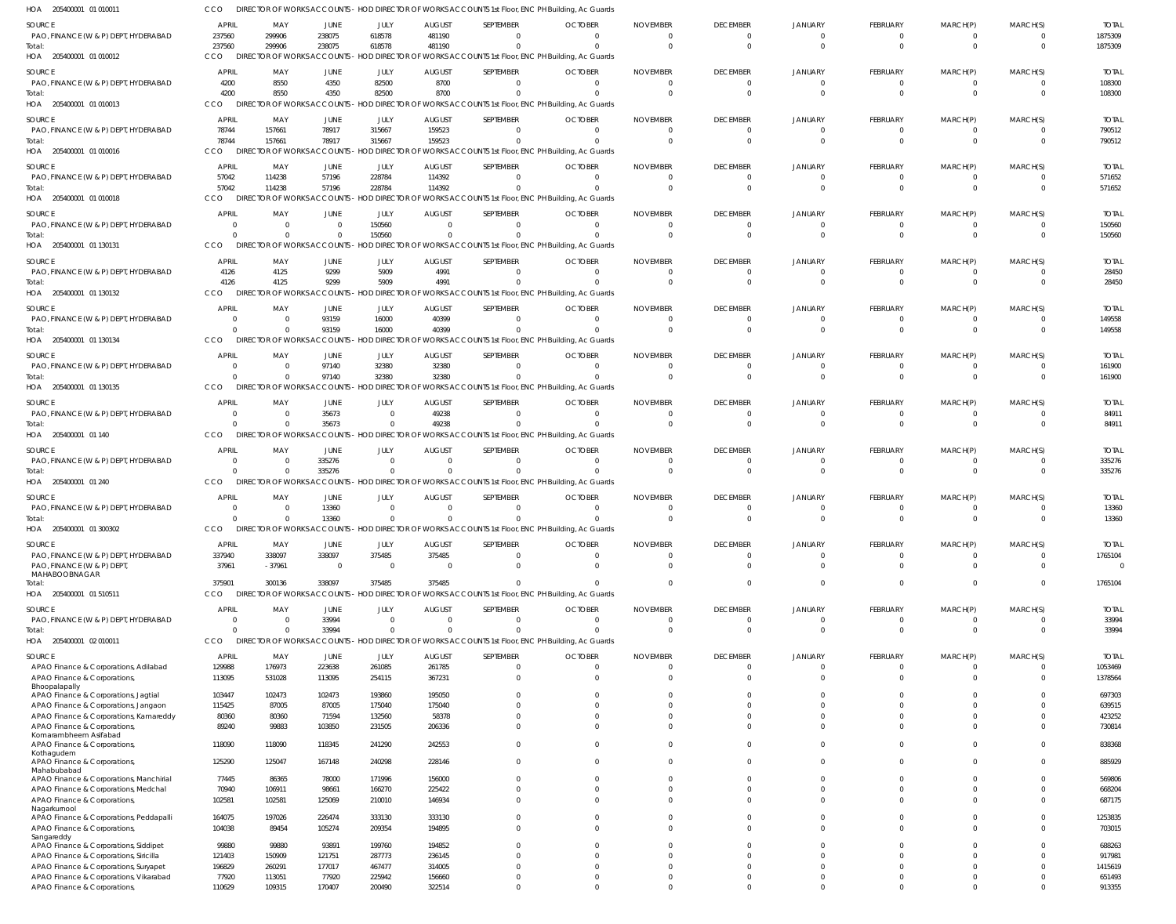| HOA 205400001 01 010011                                                 | cco                            |                                     |                      |                  |                        | DIRECTOR OF WORKS ACCOUNTS - HOD DIRECTOR OF WORKS ACCOUNTS 1st Floor, ENC PH Building, Ac Guards                 |                |                 |                            |                       |                               |                              |                            |                        |
|-------------------------------------------------------------------------|--------------------------------|-------------------------------------|----------------------|------------------|------------------------|-------------------------------------------------------------------------------------------------------------------|----------------|-----------------|----------------------------|-----------------------|-------------------------------|------------------------------|----------------------------|------------------------|
| SOURCE                                                                  | <b>APRIL</b>                   | MAY                                 | JUNE                 | JULY             | <b>AUGUST</b>          | SEPTEMBER                                                                                                         | <b>OCTOBER</b> | <b>NOVEMBER</b> | <b>DECEMBER</b>            | <b>JANUARY</b>        | FEBRUARY                      | MARCH(P)                     | MARCH(S)                   | <b>TOTAL</b>           |
| PAO, FINANCE (W & P) DEPT, HYDERABAD                                    | 237560                         | 299906                              | 238075               | 618578           | 481190                 | $\Omega$                                                                                                          |                | - 0             | 0                          | $\overline{0}$        | 0                             | 0                            | $\overline{0}$             | 1875309                |
| Total:                                                                  | 237560                         | 299906                              | 238075               | 618578           | 481190                 | $\Omega$                                                                                                          |                | $\Omega$        | $\overline{0}$             | $\Omega$              | $\mathbf{0}$                  | $\mathbf{0}$                 | $\overline{0}$             | 1875309                |
| HOA 205400001 01 010012                                                 | CCO                            | <b>DIRECTOR OF WORKS ACCOUNTS</b>   |                      |                  |                        | HOD DIRECTOR OF WORKS ACCOUNTS 1st Floor, ENC PH Building, Ac Guards                                              |                |                 |                            |                       |                               |                              |                            |                        |
| SOURCE                                                                  | <b>APRIL</b>                   | MAY                                 | JUNE                 | JULY             | <b>AUGUST</b>          | SEPTEMBER                                                                                                         | <b>OCTOBER</b> | <b>NOVEMBER</b> | <b>DECEMBER</b>            | <b>JANUARY</b>        | FEBRUARY                      | MARCH(P)                     | MARCH(S)                   | <b>TOTAL</b>           |
| PAO, FINANCE (W & P) DEPT, HYDERABAD                                    | 4200                           | 8550                                | 4350                 | 82500            | 8700                   | $\mathbf{0}$                                                                                                      |                |                 | $\overline{\mathbf{0}}$    | $\Omega$              | $\overline{0}$                | $\overline{0}$               | $\overline{0}$             | 108300                 |
| Total:                                                                  | 4200                           | 8550                                | 4350                 | 82500            | 8700                   | 0                                                                                                                 |                |                 | $\Omega$                   | $\Omega$              | $\Omega$                      | $\Omega$                     | $\Omega$                   | 108300                 |
| HOA 205400001 01 010013                                                 | <b>CCO</b>                     | DIRECTOR OF WORKS ACCOUNTS          |                      |                  |                        | - HOD DIRECTOR OF WORKS ACCOUNTS 1st Floor, ENC PH Building, Ac Guards                                            |                |                 |                            |                       |                               |                              |                            |                        |
| SOURCE                                                                  | <b>APRIL</b>                   | MAY                                 | JUNE                 | JULY             | <b>AUGUST</b>          | SEPTEMBER                                                                                                         | <b>OCTOBER</b> | <b>NOVEMBER</b> | <b>DECEMBER</b>            | JANUARY               | FEBRUARY                      | MARCH(P)                     | MARCH(S)                   | <b>TOTAL</b>           |
| PAO, FINANCE (W & P) DEPT, HYDERABAD                                    | 78744                          | 157661                              | 78917                | 315667           | 159523                 | $\Omega$                                                                                                          | $\Omega$       |                 | $\overline{0}$             | $\Omega$              | 0                             | 0                            | $\overline{0}$             | 790512                 |
| Total:                                                                  | 78744                          | 157661                              | 78917                | 315667           | 159523                 | $\mathbf{0}$                                                                                                      |                | $\Omega$        | $\overline{0}$             | $\Omega$              | $\overline{0}$                | $\overline{0}$               | $\overline{0}$             | 790512                 |
| HOA 205400001 01 010016                                                 | CCO                            | DIRECTOR OF WORKS ACCOUNTS          |                      |                  |                        | HOD DIRECTOR OF WORKS ACCOUNTS 1st Floor, ENC PH Building, Ac Guards                                              |                |                 |                            |                       |                               |                              |                            |                        |
| SOURCE                                                                  | <b>APRIL</b>                   | MAY                                 | JUNE                 | JULY             | <b>AUGUST</b>          | SEPTEMBER                                                                                                         | <b>OCTOBER</b> | <b>NOVEMBER</b> | <b>DECEMBER</b>            | <b>JANUARY</b>        | FEBRUARY                      | MARCH(P)                     | MARCH(S)                   | <b>TOTAL</b>           |
| PAO, FINANCE (W & P) DEPT, HYDERABAD                                    | 57042                          | 114238                              | 57196                | 228784           | 114392                 | $\mathbf{0}$                                                                                                      |                |                 | 0                          | $\Omega$              | $\mathbf{0}$                  | $\mathbf{0}$                 | $\overline{0}$             | 571652                 |
| Total:<br>HOA 205400001 01 010018                                       | 57042<br>CCO                   | 114238                              | 57196                | 228784           | 114392                 | $\mathbf{0}$<br>DIRECTOR OF WORKS ACCOUNTS - HOD DIRECTOR OF WORKS ACCOUNTS 1st Floor, ENC PH Building, Ac Guards |                |                 | $\Omega$                   | $\Omega$              | $\overline{0}$                | $\mathbf 0$                  | $\Omega$                   | 571652                 |
|                                                                         |                                |                                     |                      |                  |                        |                                                                                                                   |                |                 |                            |                       |                               |                              |                            |                        |
| SOURCE                                                                  | <b>APRIL</b>                   | MAY                                 | JUNE                 | JULY             | <b>AUGUST</b>          | SEPTEMBER                                                                                                         | <b>OCTOBER</b> | <b>NOVEMBER</b> | <b>DECEMBER</b>            | <b>JANUARY</b>        | FEBRUARY                      | MARCH(P)                     | MARCH(S)                   | <b>TOTAL</b>           |
| PAO, FINANCE (W & P) DEPT, HYDERABAD<br>Total:                          | $\Omega$                       | $\overline{0}$<br>$\Omega$          | $\Omega$<br>$\Omega$ | 150560<br>150560 | $\Omega$               | 0<br>$\Omega$                                                                                                     | $\Omega$       |                 | $\Omega$<br>$\Omega$       | $\Omega$<br>$\Omega$  | 0<br>$\Omega$                 | $\mathbf{0}$<br>$\Omega$     | $\Omega$<br>$\Omega$       | 150560<br>150560       |
| HOA 205400001 01 130131                                                 | CCO                            | DIRECTOR OF WORKS ACCOUNTS          |                      |                  |                        | HOD DIRECTOR OF WORKS ACCOUNTS 1st Floor, ENC PH Building, Ac Guards                                              |                |                 |                            |                       |                               |                              |                            |                        |
|                                                                         |                                |                                     |                      |                  |                        |                                                                                                                   |                |                 |                            |                       |                               |                              |                            |                        |
| SOURCE                                                                  | <b>APRIL</b>                   | MAY                                 | JUNE                 | JULY             | <b>AUGUST</b>          | SEPTEMBER                                                                                                         | <b>OCTOBER</b> | <b>NOVEMBER</b> | <b>DECEMBER</b>            | JANUARY               | FEBRUARY                      | MARCH(P)                     | MARCH(S)                   | <b>TOTAL</b>           |
| PAO, FINANCE (W & P) DEPT, HYDERABAD<br>Total:                          | 4126<br>4126                   | 4125<br>4125                        | 9299<br>9299         | 5909<br>5909     | 4991<br>4991           | $\mathbf{0}$<br>$\mathbf{0}$                                                                                      |                |                 | $\overline{0}$<br>$\Omega$ | - 0<br>$\Omega$       | $\mathbf{0}$<br>$\mathbf{0}$  | $\mathbf{0}$<br>$\mathbf{0}$ | $\overline{0}$<br>$\Omega$ | 28450<br>28450         |
| HOA 205400001 01 130132                                                 | CCO                            | DIRECTOR OF WORKS ACCOUNTS          |                      |                  |                        | - HOD DIRECTOR OF WORKS ACCOUNTS 1st Floor, ENC PH Building, Ac Guards                                            |                |                 |                            |                       |                               |                              |                            |                        |
|                                                                         |                                |                                     |                      |                  |                        |                                                                                                                   |                |                 |                            |                       |                               |                              |                            |                        |
| SOURCE<br>PAO, FINANCE (W & P) DEPT, HYDERABAD                          | <b>APRIL</b><br>$\overline{0}$ | MAY<br>$\overline{0}$               | JUNE<br>93159        | JULY<br>16000    | <b>AUGUST</b><br>40399 | SEPTEMBER<br>$\Omega$                                                                                             | <b>OCTOBER</b> | <b>NOVEMBER</b> | <b>DECEMBER</b><br>0       | <b>JANUARY</b><br>- 0 | FEBRUARY<br>0                 | MARCH(P)<br>$\Omega$         | MARCH(S)<br>$\overline{0}$ | <b>TOTAL</b><br>149558 |
| Total:                                                                  | $\Omega$                       | $\Omega$                            | 93159                | 16000            | 40399                  | $\Omega$                                                                                                          |                |                 | $\Omega$                   | $\Omega$              | $\Omega$                      | $\Omega$                     | $\Omega$                   | 149558                 |
| HOA 205400001 01 130134                                                 | CCO                            |                                     |                      |                  |                        | DIRECTOR OF WORKS ACCOUNTS - HOD DIRECTOR OF WORKS ACCOUNTS 1st Floor, ENC PH Building, Ac Guards                 |                |                 |                            |                       |                               |                              |                            |                        |
|                                                                         | <b>APRIL</b>                   | MAY                                 | JUNE                 | JULY             | <b>AUGUST</b>          | SEPTEMBER                                                                                                         | <b>OCTOBER</b> | <b>NOVEMBER</b> | <b>DECEMBER</b>            | <b>JANUARY</b>        | FEBRUARY                      | MARCH(P)                     | MARCH(S)                   | <b>TOTAL</b>           |
| SOURCE<br>PAO, FINANCE (W & P) DEPT, HYDERABAD                          | $\overline{0}$                 | $\overline{0}$                      | 97140                | 32380            | 32380                  | $\mathbf{0}$                                                                                                      |                |                 | $\Omega$                   | $\Omega$              | 0                             | 0                            | $\Omega$                   | 161900                 |
| Total:                                                                  | $\Omega$                       | $\overline{0}$                      | 97140                | 32380            | 32380                  | $\mathbf{0}$                                                                                                      |                |                 | $\overline{0}$             | $\Omega$              | $\overline{0}$                | $\mathbf{0}$                 | $\Omega$                   | 161900                 |
| HOA 205400001 01 130135                                                 | CCO                            |                                     |                      |                  |                        | DIRECTOR OF WORKS ACCOUNTS - HOD DIRECTOR OF WORKS ACCOUNTS 1st Floor, ENC PH Building, Ac Guards                 |                |                 |                            |                       |                               |                              |                            |                        |
| SOURCE                                                                  | <b>APRIL</b>                   | MAY                                 | JUNE                 | JULY             | <b>AUGUST</b>          | SEPTEMBER                                                                                                         | <b>OCTOBER</b> | <b>NOVEMBER</b> | <b>DECEMBER</b>            | JANUARY               | FEBRUARY                      | MARCH(P)                     | MARCH(S)                   | <b>TOTAL</b>           |
| PAO, FINANCE (W & P) DEPT, HYDERABAD                                    | $\Omega$                       | $\overline{0}$                      | 35673                | $\Omega$         | 49238                  | $\Omega$                                                                                                          | $\Omega$       |                 | 0                          | $\Omega$              | 0                             | 0                            | $\overline{0}$             | 84911                  |
| Total:                                                                  | $\Omega$                       | $\Omega$                            | 35673                | $\mathbf{0}$     | 49238                  | $\Omega$                                                                                                          |                |                 | $\Omega$                   | $\Omega$              | $\Omega$                      | $\Omega$                     | $\Omega$                   | 84911                  |
| HOA 205400001 01 140                                                    | CCO                            |                                     |                      |                  |                        | DIRECTOR OF WORKS ACCOUNTS - HOD DIRECTOR OF WORKS ACCOUNTS 1st Floor, ENC PH Building, Ac Guards                 |                |                 |                            |                       |                               |                              |                            |                        |
| SOURCE                                                                  | <b>APRIL</b>                   | MAY                                 | JUNE                 | JULY             | <b>AUGUST</b>          | SEPTEMBER                                                                                                         | <b>OCTOBER</b> | <b>NOVEMBER</b> | <b>DECEMBER</b>            | <b>JANUARY</b>        | FEBRUARY                      | MARCH(P)                     | MARCH(S)                   | <b>TOTAL</b>           |
| PAO, FINANCE (W & P) DEPT, HYDERABAD                                    | $\overline{0}$                 | $\overline{0}$                      | 335276               | $\overline{0}$   | $\Omega$               | $\mathbf{0}$                                                                                                      |                |                 | $\overline{0}$             | $\Omega$              | 0                             | $\mathbf{0}$                 | $\overline{0}$             | 335276                 |
| Total:                                                                  | $\Omega$                       | $\Omega$                            | 335276               | $\overline{0}$   |                        | $\Omega$                                                                                                          |                |                 | - 0                        | $\Omega$              | $\mathbf{0}$                  | $\Omega$                     | $\Omega$                   | 335276                 |
| HOA 205400001 01 240                                                    | CCO                            | DIRECTOR OF WORKS ACCOUNTS          |                      |                  |                        | HOD DIRECTOR OF WORKS ACCOUNTS 1st Floor, ENC PH Building, Ac Guards                                              |                |                 |                            |                       |                               |                              |                            |                        |
| SOURCE                                                                  | <b>APRIL</b>                   | MAY                                 | JUNE                 | JULY             | <b>AUGUST</b>          | SEPTEMBER                                                                                                         | <b>OCTOBER</b> | <b>NOVEMBER</b> | <b>DECEMBER</b>            | JANUARY               | FEBRUARY                      | MARCH(P)                     | MARCH(S)                   | <b>TOTAL</b>           |
| PAO, FINANCE (W & P) DEPT, HYDERABAD                                    | $\Omega$                       | $\Omega$                            | 13360                | $\Omega$         |                        | $\Omega$                                                                                                          |                |                 | - 0                        |                       | 0                             | $\Omega$                     | $\Omega$                   | 13360                  |
| Total:                                                                  | $\Omega$                       | $\Omega$                            | 13360                | $\Omega$         |                        |                                                                                                                   |                |                 | $\Omega$                   | $\Omega$              | $\Omega$                      | $\Omega$                     | $\Omega$                   | 13360                  |
| HOA 205400001 01 300302                                                 | CCO                            |                                     |                      |                  |                        | DIRECTOR OF WORKS ACCOUNTS - HOD DIRECTOR OF WORKS ACCOUNTS 1st Floor, ENC PH Building, Ac Guards                 |                |                 |                            |                       |                               |                              |                            |                        |
| SOURCE                                                                  | <b>APRIL</b>                   | MAY                                 | JUNE                 | JULY             | <b>AUGUST</b>          | SEPTEMBER                                                                                                         | <b>OCTOBER</b> | <b>NOVEMBER</b> | <b>DECEMBER</b>            | <b>JANUARY</b>        | FEBRUARY                      | MARCH(P)                     | MARCH(S)                   | <b>TOTAL</b>           |
| PAO, FINANCE (W & P) DEPT, HYDERABAD                                    | 337940                         | 338097                              | 338097               | 375485           | 375485                 | $\mathbf{0}$                                                                                                      |                |                 | $\overline{0}$             | $\overline{0}$        | $\overline{0}$                | $\mathbf{0}$                 | $\overline{0}$             | 1765104                |
| PAO, FINANCE (W & P) DEPT,<br>MAHABOOBNAGAR                             | 37961                          | $-37961$                            | - 0                  | $\overline{0}$   |                        | $\mathbf 0$                                                                                                       | $\Omega$       |                 | $\overline{0}$             | $\Omega$              | $\overline{0}$                | $\mathbf{0}$                 | $\overline{0}$             | $\overline{0}$         |
| Total:                                                                  | 375901                         | 300136                              | 338097               | 375485           | 375485                 | $\mathbf 0$                                                                                                       | $\Omega$       | $\Omega$        | $\Omega$                   | $\Omega$              | $\mathbf{0}$                  | $\mathbf{0}$                 | $\Omega$                   | 1765104                |
| HOA 205400001 01 510511                                                 | CCO                            | <b>DIRECTOR OF WORKS ACCOUNTS -</b> |                      |                  |                        | - HOD DIRECTOR OF WORKS ACCOUNTS 1st Floor, ENC PH Building, Ac Guards                                            |                |                 |                            |                       |                               |                              |                            |                        |
| SOURCE                                                                  | <b>APRIL</b>                   | MAY                                 | JUNE                 | JULY             | <b>AUGUST</b>          | SEPTEMBER                                                                                                         | <b>OCTOBER</b> | <b>NOVEMBER</b> | <b>DECEMBER</b>            | <b>JANUARY</b>        | FEBRUARY                      | MARCH(P)                     | MARCH(S)                   | <b>TOTAL</b>           |
| PAO, FINANCE (W & P) DEPT, HYDERABAD                                    | $\Omega$                       | $\overline{0}$                      | 33994                | $\Omega$         | $\mathsf{C}$           | $\mathbf{0}$                                                                                                      | $\Omega$       | $\Omega$        | $\overline{0}$             | $\overline{0}$        | $\mathbf{0}$                  | 0                            | $\Omega$                   | 33994                  |
| Total:                                                                  | $\Omega$                       | $\Omega$                            | 33994                | $\Omega$         | $\Omega$               | $\Omega$                                                                                                          |                | $\Omega$        | $\overline{0}$             | $\Omega$              | $\mathbf{0}$                  | $\mathbf{0}$                 | $\overline{0}$             | 33994                  |
| HOA 205400001 02 010011                                                 | CCO                            |                                     |                      |                  |                        | DIRECTOR OF WORKS ACCOUNTS - HOD DIRECTOR OF WORKS ACCOUNTS 1st Floor, ENC PH Building, Ac Guards                 |                |                 |                            |                       |                               |                              |                            |                        |
| SOURCE                                                                  | <b>APRIL</b>                   | MAY                                 | JUNE                 | JULY             | <b>AUGUST</b>          | SEPTEMBER                                                                                                         | <b>OCTOBER</b> | <b>NOVEMBER</b> | <b>DECEMBER</b>            | <b>JANUARY</b>        | <b>FEBRUARY</b>               | MARCH(P)                     | MARCH(S)                   | <b>TOTAL</b>           |
| APAO Finance & Corporations, Adilabad                                   | 129988                         | 176973                              | 223638               | 261085           | 261785                 | $\mathbf{0}$                                                                                                      | $\Omega$       |                 | $\overline{\mathbf{0}}$    | $\overline{0}$        | $\overline{0}$                | $\overline{0}$               | $\overline{0}$             | 1053469                |
| APAO Finance & Corporations,                                            | 113095                         | 531028                              | 113095               | 254115           | 367231                 | $\mathbf 0$                                                                                                       | $\Omega$       |                 | $\overline{0}$             | $\Omega$              | $\mathbf{0}$                  | $\mathbf{0}$                 | $\overline{0}$             | 1378564                |
| Bhoopalapally<br>APAO Finance & Corporations, Jagtial                   | 103447                         | 102473                              | 102473               | 193860           | 195050                 | $\mathbf 0$                                                                                                       |                |                 | $\Omega$                   | $\Omega$              | $\mathbf{0}$                  | $\mathbf{0}$                 | $\Omega$                   | 697303                 |
| APAO Finance & Corporations, Jangaon                                    | 115425                         | 87005                               | 87005                | 175040           | 175040                 | $\Omega$                                                                                                          |                |                 | $\Omega$                   | $\Omega$              | $\Omega$                      | $\Omega$                     | $\Omega$                   | 639515                 |
| APAO Finance & Corporations, Kamareddy                                  | 80360                          | 80360                               | 71594                | 132560           | 58378                  | $\Omega$                                                                                                          |                |                 | $\Omega$                   | $\Omega$              | $\mathbf 0$                   | $\mathbf 0$                  | $\Omega$                   | 423252                 |
| APAO Finance & Corporations,                                            | 89240                          | 99883                               | 103850               | 231505           | 206336                 | $\Omega$                                                                                                          |                |                 | $\Omega$                   | $\Omega$              | $\mathbf 0$                   | $\Omega$                     | $\Omega$                   | 730814                 |
| Komarambheem Asifabad<br>APAO Finance & Corporations,                   | 118090                         | 118090                              | 118345               | 241290           | 242553                 | $\mathbf{0}$                                                                                                      |                |                 | $\Omega$                   | $\Omega$              | $\mathbf 0$                   | $\mathbf 0$                  | $\Omega$                   | 838368                 |
| Kothagudem                                                              |                                |                                     |                      |                  |                        |                                                                                                                   |                |                 |                            |                       |                               |                              |                            |                        |
| APAO Finance & Corporations,                                            | 125290                         | 125047                              | 167148               | 240298           | 228146                 | $\mathbf{0}$                                                                                                      |                |                 | $\Omega$                   | $\Omega$              | $\mathbf{0}$                  | $\mathbf 0$                  | $\overline{0}$             | 885929                 |
| Mahabubabad<br>APAO Finance & Corporations, Manchirial                  | 77445                          | 86365                               | 78000                | 171996           | 156000                 | $\Omega$                                                                                                          |                |                 | $\overline{0}$             | $\Omega$              | $\mathbf 0$                   | $\mathbf 0$                  | $\Omega$                   | 569806                 |
| APAO Finance & Corporations, Medchal                                    | 70940                          | 106911                              | 98661                | 166270           | 225422                 | $\Omega$                                                                                                          |                |                 | $\Omega$                   | $\Omega$              | $\mathbf 0$                   | $\mathbf 0$                  | $\Omega$                   | 668204                 |
| APAO Finance & Corporations,                                            | 102581                         | 102581                              | 125069               | 210010           | 146934                 | $\Omega$                                                                                                          |                |                 | $\Omega$                   | $\Omega$              | $\Omega$                      | $\Omega$                     | $\Omega$                   | 687175                 |
| Nagarkurnool                                                            |                                |                                     |                      |                  |                        |                                                                                                                   |                |                 |                            |                       |                               |                              |                            |                        |
| APAO Finance & Corporations, Peddapalli<br>APAO Finance & Corporations, | 164075<br>104038               | 197026<br>89454                     | 226474<br>105274     | 333130<br>209354 | 333130<br>194895       | $\Omega$<br>$\Omega$                                                                                              |                |                 | $\Omega$<br>$\Omega$       | $\Omega$<br>$\Omega$  | $\mathbf 0$<br>$\overline{0}$ | $\Omega$<br>$\mathbf 0$      | $\Omega$<br>$\Omega$       | 1253835<br>703015      |
| Sangareddy                                                              |                                |                                     |                      |                  |                        |                                                                                                                   |                |                 |                            |                       |                               |                              |                            |                        |
| APAO Finance & Corporations, Siddipet                                   | 99880                          | 99880                               | 93891                | 199760           | 194852                 | $\Omega$                                                                                                          |                |                 | $\Omega$                   | $\Omega$              | $\Omega$                      | $\Omega$                     | $\Omega$                   | 688263                 |
| APAO Finance & Corporations, Siricilla                                  | 121403                         | 150909                              | 121751               | 287773           | 236145                 | $\Omega$                                                                                                          |                |                 | $\Omega$                   | $\Omega$              | $\mathbf 0$                   | $\Omega$                     | $\Omega$                   | 917981                 |
| APAO Finance & Corporations, Suryapet                                   | 196829                         | 260291                              | 177017               | 467477           | 314005                 | $\Omega$<br>$\mathbf 0$                                                                                           |                |                 | $\Omega$<br>$\Omega$       | $\Omega$<br>$\Omega$  | $\Omega$<br>$\mathbf{0}$      | $\Omega$<br>$\mathbf 0$      | $\Omega$<br>$\overline{0}$ | 1415619                |
| APAO Finance & Corporations, Vikarabad<br>APAO Finance & Corporations,  | 77920<br>110629                | 113051<br>109315                    | 77920<br>170407      | 225942<br>200490 | 156660<br>322514       | $\Omega$                                                                                                          |                |                 | $\Omega$                   | $\Omega$              | $\Omega$                      | $\mathbf 0$                  | $\overline{0}$             | 651493<br>913355       |
|                                                                         |                                |                                     |                      |                  |                        |                                                                                                                   |                |                 |                            |                       |                               |                              |                            |                        |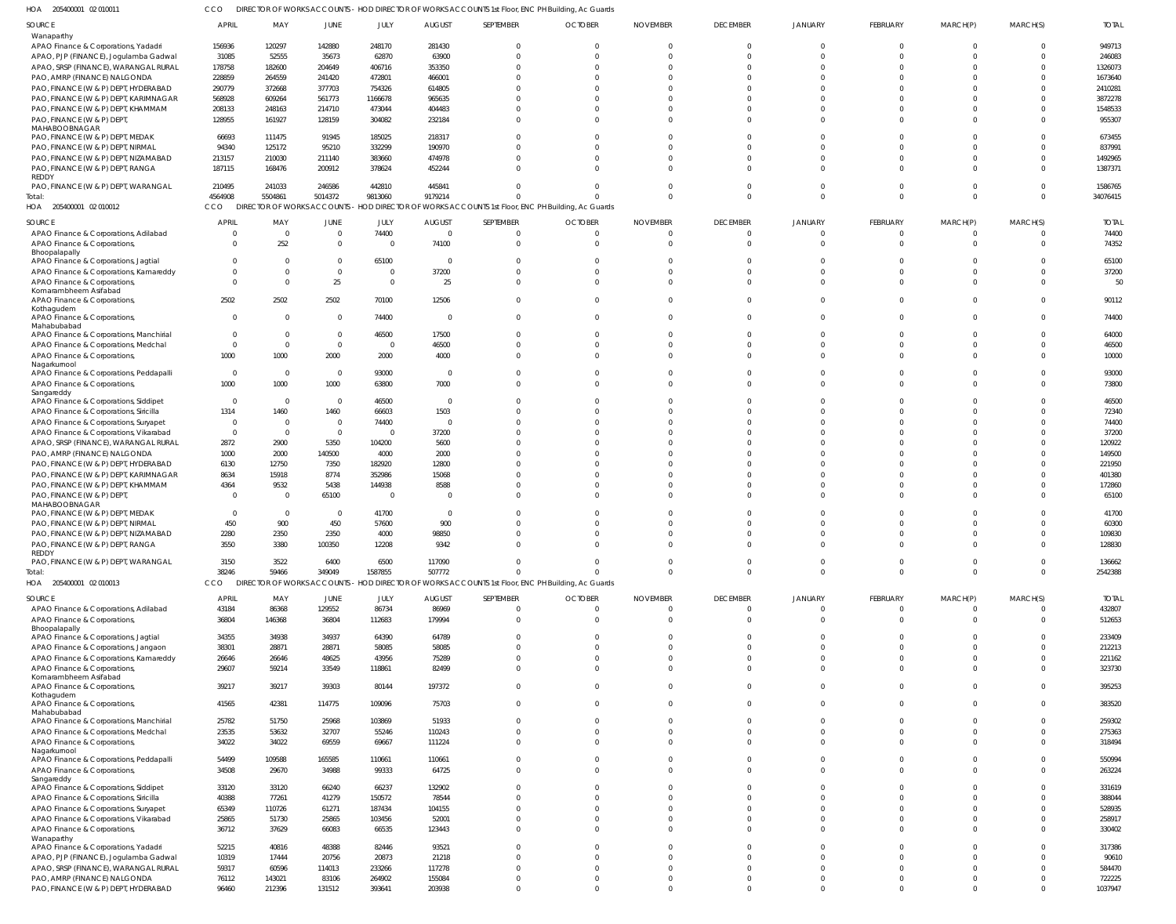205400001 02 010011 HOA CCO DIRECTOR OF WORKS ACCOUNTS - HOD DIRECTOR OF WORKS ACCOUNTS 1st Floor, ENC PH Building, Ac Guards

| SOURCE                                                               | <b>APRIL</b>   | MAY              | JUNE            | JULY             | <b>AUGUST</b>    | SEPTEMBER            | <b>OCTOBER</b>                                                                                    | <b>NOVEMBER</b>      | <b>DECEMBER</b>      | <b>JANUARY</b>          | FEBRUARY             | MARCH(P)             | MARCH(S)             | <b>TOTAL</b>      |
|----------------------------------------------------------------------|----------------|------------------|-----------------|------------------|------------------|----------------------|---------------------------------------------------------------------------------------------------|----------------------|----------------------|-------------------------|----------------------|----------------------|----------------------|-------------------|
| Wanaparthy                                                           |                |                  |                 |                  |                  |                      |                                                                                                   |                      |                      |                         |                      |                      |                      |                   |
| APAO Finance & Corporations, Yadadri                                 | 156936         | 120297           | 142880          | 248170           | 281430           | $\Omega$             |                                                                                                   | $\Omega$             | $\overline{0}$       | $\Omega$                | $\Omega$             | $\Omega$             | $\overline{0}$       | 949713            |
|                                                                      |                |                  |                 |                  |                  |                      |                                                                                                   |                      |                      |                         |                      |                      |                      |                   |
| APAO, PJP (FINANCE), Jogulamba Gadwal                                | 31085          | 52555            | 35673           | 62870            | 63900            | $\Omega$             |                                                                                                   | $\Omega$             | $\Omega$             | $\Omega$                | $\Omega$             | $\Omega$             | $\Omega$             | 246083            |
| APAO, SRSP (FINANCE), WARANGAL RURAL                                 | 178758         | 182600           | 204649          | 406716           | 353350           | $\Omega$             |                                                                                                   |                      | $\Omega$             | $\Omega$                |                      |                      | $\Omega$             | 1326073           |
| PAO, AMRP (FINANCE) NALGONDA                                         | 228859         | 264559           | 241420          | 472801           | 466001           | $\Omega$             |                                                                                                   |                      | $\Omega$             | $\Omega$                |                      |                      |                      | 1673640           |
|                                                                      |                |                  |                 |                  |                  |                      |                                                                                                   |                      |                      |                         |                      |                      |                      |                   |
| PAO, FINANCE (W & P) DEPT, HYDERABAD                                 | 290779         | 372668           | 377703          | 754326           | 614805           | $\cap$               |                                                                                                   | $\Omega$             | $\Omega$             | $\Omega$                |                      |                      |                      | 2410281           |
| PAO, FINANCE (W & P) DEPT, KARIMNAGAR                                | 568928         | 609264           | 561773          | 1166678          | 965635           | $\Omega$             |                                                                                                   |                      | $\Omega$             | $\cap$                  |                      |                      |                      | 3872278           |
| PAO, FINANCE (W & P) DEPT, KHAMMAM                                   | 208133         | 248163           | 214710          | 473044           | 404483           | $\cap$               |                                                                                                   |                      | $\Omega$             | $\cap$                  |                      |                      | $\Omega$             | 1548533           |
|                                                                      |                |                  |                 |                  |                  |                      |                                                                                                   |                      |                      |                         |                      |                      |                      |                   |
| PAO, FINANCE (W & P) DEPT,                                           | 128955         | 161927           | 128159          | 304082           | 232184           | $\Omega$             |                                                                                                   | $\Omega$             | $\Omega$             | $\Omega$                | $\Omega$             | $\Omega$             | $\Omega$             | 955307            |
| MAHABOOBNAGAR                                                        |                |                  |                 |                  |                  |                      |                                                                                                   |                      |                      |                         |                      |                      |                      |                   |
| PAO, FINANCE (W & P) DEPT, MEDAK                                     | 66693          | 111475           | 91945           | 185025           | 218317           | $\Omega$             |                                                                                                   |                      | $\Omega$             | $\Omega$                |                      |                      | $\Omega$             | 673455            |
| PAO, FINANCE (W & P) DEPT, NIRMAL                                    | 94340          | 125172           | 95210           | 332299           | 190970           | $\Omega$             |                                                                                                   |                      | $\Omega$             | $\Omega$                |                      |                      |                      | 837991            |
|                                                                      |                |                  |                 |                  |                  |                      |                                                                                                   |                      |                      |                         |                      |                      |                      |                   |
| PAO, FINANCE (W & P) DEPT, NIZAMABAD                                 | 213157         | 210030           | 211140          | 383660           | 474978           | $\cap$               |                                                                                                   | <sup>0</sup>         | $\Omega$             | $\Omega$                |                      |                      | $\Omega$             | 1492965           |
| PAO, FINANCE (W & P) DEPT, RANGA                                     | 187115         | 168476           | 200912          | 378624           | 452244           | $\Omega$             |                                                                                                   |                      | $\Omega$             | $\Omega$                |                      |                      | $\Omega$             | 1387371           |
| REDDY                                                                |                |                  |                 |                  |                  |                      |                                                                                                   |                      |                      |                         |                      |                      |                      |                   |
| PAO, FINANCE (W & P) DEPT, WARANGAL                                  | 210495         | 241033           | 246586          | 442810           | 445841           | $\cap$               |                                                                                                   |                      | $\Omega$             | $\Omega$                |                      | $\Omega$             | $\Omega$             | 1586765           |
|                                                                      |                |                  |                 |                  |                  |                      |                                                                                                   |                      |                      |                         |                      |                      |                      |                   |
| Total:                                                               | 4564908        | 5504861          | 5014372         | 9813060          | 9179214          | $\cap$               |                                                                                                   | $\Omega$             | $\Omega$             | $\Omega$                | $\Omega$             | $\Omega$             | $\Omega$             | 34076415          |
| HOA 205400001 02 010012                                              | <b>CCO</b>     |                  |                 |                  |                  |                      | DIRECTOR OF WORKS ACCOUNTS - HOD DIRECTOR OF WORKS ACCOUNTS 1st Floor, ENC PH Building, Ac Guards |                      |                      |                         |                      |                      |                      |                   |
|                                                                      |                |                  |                 |                  |                  |                      |                                                                                                   |                      |                      |                         |                      |                      |                      |                   |
| SOURCE                                                               | <b>APRIL</b>   | MAY              | <b>JUNE</b>     | JULY             | <b>AUGUST</b>    | SEPTEMBER            | <b>OCTOBER</b>                                                                                    | <b>NOVEMBER</b>      | <b>DECEMBER</b>      | JANUARY                 | FEBRUARY             | MARCH(P)             | MARCH(S)             | <b>TOTAL</b>      |
|                                                                      |                |                  | $\overline{0}$  |                  | $\mathbf 0$      | $\Omega$             |                                                                                                   | $\Omega$             |                      |                         | $\Omega$             |                      | $\Omega$             |                   |
| APAO Finance & Corporations, Adilabad                                |                | $\overline{0}$   |                 | 74400            |                  |                      |                                                                                                   |                      | $\overline{0}$       | 0                       |                      | $\overline{0}$       |                      | 74400             |
| APAO Finance & Corporations,                                         |                | 252              | $\overline{0}$  | $\overline{0}$   | 74100            | $\Omega$             | $\Omega$                                                                                          | $\Omega$             | $\overline{0}$       | $\Omega$                | $\Omega$             | $\mathbf 0$          | $\Omega$             | 74352             |
| Bhoopalapally                                                        |                |                  |                 |                  |                  |                      |                                                                                                   |                      |                      |                         |                      |                      |                      |                   |
| APAO Finance & Corporations, Jagtial                                 |                | 0                | $\overline{0}$  | 65100            | $\mathbf 0$      | $\Omega$             |                                                                                                   | 0                    | $\Omega$             | $\Omega$                |                      | $\Omega$             | $\Omega$             | 65100             |
|                                                                      |                |                  |                 |                  |                  | $\Omega$             |                                                                                                   | $\Omega$             |                      |                         | $\Omega$             |                      | $\Omega$             |                   |
| APAO Finance & Corporations, Kamareddy                               |                | $\Omega$         | $\overline{0}$  | $\overline{0}$   | 37200            |                      |                                                                                                   |                      | $\Omega$             | $\Omega$                |                      | $\Omega$             |                      | 37200             |
| APAO Finance & Corporations,                                         | $\Omega$       | $\Omega$         | 25              | $\mathbf 0$      | 25               | $\Omega$             |                                                                                                   | $\Omega$             | $\Omega$             | $\Omega$                | $\Omega$             | $\Omega$             | $\Omega$             | 50                |
| Komarambheem Asifabad                                                |                |                  |                 |                  |                  |                      |                                                                                                   |                      |                      |                         |                      |                      |                      |                   |
| APAO Finance & Corporations,                                         | 2502           | 2502             | 2502            | 70100            | 12506            | $\Omega$             |                                                                                                   | $\Omega$             | $\Omega$             | $\Omega$                | $\Omega$             | $\Omega$             | $\Omega$             | 90112             |
| Kothagudem                                                           |                |                  |                 |                  |                  |                      |                                                                                                   |                      |                      |                         |                      |                      |                      |                   |
|                                                                      |                | $\Omega$         |                 |                  |                  | $\Omega$             |                                                                                                   |                      | $\Omega$             | $\Omega$                | $\Omega$             | $\Omega$             | $\Omega$             |                   |
| APAO Finance & Corporations,                                         | $\Omega$       |                  | $\overline{0}$  | 74400            | $\mathbf 0$      |                      |                                                                                                   | $\Omega$             |                      |                         |                      |                      |                      | 74400             |
| Mahabubabad                                                          |                |                  |                 |                  |                  |                      |                                                                                                   |                      |                      |                         |                      |                      |                      |                   |
| APAO Finance & Corporations, Manchirial                              | $\Omega$       | $\Omega$         | $\overline{0}$  | 46500            | 17500            | $\Omega$             |                                                                                                   | $\Omega$             | $\Omega$             | $\Omega$                | $\Omega$             | $\Omega$             | $\Omega$             | 64000             |
| APAO Finance & Corporations, Medchal                                 | $\Omega$       | $\Omega$         | $\overline{0}$  | $\mathbf 0$      | 46500            | $\Omega$             |                                                                                                   | <sup>0</sup>         | $\Omega$             | $\Omega$                | $\Omega$             | $\Omega$             | $\Omega$             | 46500             |
|                                                                      | 1000           | 1000             | 2000            | 2000             | 4000             | $\Omega$             |                                                                                                   | $\Omega$             | $\Omega$             | $\Omega$                | $\Omega$             | $\Omega$             | $\Omega$             | 10000             |
| APAO Finance & Corporations,                                         |                |                  |                 |                  |                  |                      |                                                                                                   |                      |                      |                         |                      |                      |                      |                   |
| Nagarkurnool                                                         |                |                  |                 |                  |                  |                      |                                                                                                   |                      |                      |                         |                      |                      |                      |                   |
| APAO Finance & Corporations, Peddapalli                              | $\overline{0}$ | $\overline{0}$   | $\overline{0}$  | 93000            | $\mathbf 0$      | $\Omega$             |                                                                                                   | <sup>0</sup>         | $\Omega$             | $\Omega$                | $\Omega$             | $\mathbf 0$          | $\Omega$             | 93000             |
| APAO Finance & Corporations,                                         | 1000           | 1000             | 1000            | 63800            | 7000             | $\Omega$             |                                                                                                   | $\Omega$             | $\Omega$             | $\Omega$                | $\Omega$             | $\Omega$             | $\Omega$             | 73800             |
| Sangareddy                                                           |                |                  |                 |                  |                  |                      |                                                                                                   |                      |                      |                         |                      |                      |                      |                   |
|                                                                      |                |                  |                 |                  |                  |                      |                                                                                                   |                      |                      |                         |                      |                      |                      |                   |
| APAO Finance & Corporations, Siddipet                                | $\overline{0}$ | $\overline{0}$   | $\overline{0}$  | 46500            | $\mathbf 0$      | $\Omega$             |                                                                                                   |                      | $\Omega$             | $\Omega$                |                      | $\Omega$             | $\Omega$             | 46500             |
| APAO Finance & Corporations, Siricilla                               | 1314           | 1460             | 1460            | 66603            | 1503             | $\cap$               |                                                                                                   | $\Omega$             | $\Omega$             | $\Omega$                | $\cap$               | $\Omega$             | $\Omega$             | 72340             |
| APAO Finance & Corporations, Suryapet                                | $\overline{0}$ | $\overline{0}$   | $\overline{0}$  | 74400            | $\mathbf 0$      | $\Omega$             |                                                                                                   |                      | $\Omega$             | $\Omega$                |                      | $\Omega$             | $\Omega$             | 74400             |
|                                                                      |                |                  |                 |                  |                  |                      |                                                                                                   |                      |                      |                         |                      |                      |                      |                   |
| APAO Finance & Corporations, Vikarabad                               | $\Omega$       | $\Omega$         | $\overline{0}$  | $\overline{0}$   | 37200            | $\cap$               |                                                                                                   |                      | $\Omega$             | $\Omega$                |                      | $\cap$               | $\Omega$             | 37200             |
| APAO, SRSP (FINANCE), WARANGAL RURAL                                 | 2872           | 2900             | 5350            | 104200           | 5600             | $\cap$               |                                                                                                   |                      | $\Omega$             | $\Omega$                |                      | $\Omega$             | $\Omega$             | 120922            |
| PAO, AMRP (FINANCE) NALGONDA                                         | 1000           | 2000             | 140500          | 4000             | 2000             | $\Omega$             |                                                                                                   |                      | $\Omega$             | $\Omega$                |                      | $\Omega$             | $\Omega$             | 149500            |
|                                                                      |                |                  |                 |                  |                  |                      |                                                                                                   |                      |                      |                         |                      |                      |                      |                   |
| PAO, FINANCE (W & P) DEPT, HYDERABAD                                 | 6130           | 12750            | 7350            | 182920           | 12800            | $\cap$               |                                                                                                   |                      | $\Omega$             | $\Omega$                |                      | $\cap$               | $\Omega$             | 221950            |
| PAO, FINANCE (W & P) DEPT, KARIMNAGAR                                | 8634           | 15918            | 8774            | 352986           | 15068            | $\cap$               |                                                                                                   |                      | $\Omega$             | $\Omega$                |                      | $\Omega$             | $\Omega$             | 401380            |
|                                                                      |                |                  |                 |                  |                  |                      |                                                                                                   |                      |                      |                         |                      |                      |                      |                   |
| PAO, FINANCE (W & P) DEPT, KHAMMAM                                   | 4364           | 9532             | 5438            | 144938           | 8588             | $\Omega$             |                                                                                                   |                      | $\Omega$             | $\Omega$                |                      | $\Omega$             | $\Omega$             | 172860            |
| PAO, FINANCE (W & P) DEPT,                                           | $\Omega$       | $\mathbf{0}$     | 65100           | $\overline{0}$   | 0                | $\cap$               |                                                                                                   | $\Omega$             | $\Omega$             | $\Omega$                | $\Omega$             | $\Omega$             | $\Omega$             | 65100             |
| MAHABOOBNAGAR                                                        |                |                  |                 |                  |                  |                      |                                                                                                   |                      |                      |                         |                      |                      |                      |                   |
| PAO, FINANCE (W & P) DEPT, MEDAK                                     | $\Omega$       | $\mathbf{0}$     | $\overline{0}$  | 41700            | 0                | $\Omega$             |                                                                                                   |                      | $\Omega$             | $\Omega$                |                      |                      | $\Omega$             | 41700             |
|                                                                      |                |                  |                 |                  |                  |                      |                                                                                                   |                      |                      |                         |                      |                      |                      |                   |
| PAO, FINANCE (W & P) DEPT, NIRMAL                                    | 450            | 900              | 450             | 57600            | 900              | $\cap$               |                                                                                                   | <sup>0</sup>         | $\Omega$             | $\Omega$                |                      | $\Omega$             | $\Omega$             | 60300             |
| PAO, FINANCE (W & P) DEPT, NIZAMABAD                                 | 2280           | 2350             | 2350            | 4000             | 98850            |                      |                                                                                                   |                      |                      | $\cap$                  |                      | $\Omega$             | $\Omega$             | 109830            |
| PAO, FINANCE (W & P) DEPT, RANGA                                     | 3550           | 3380             | 100350          | 12208            | 9342             | $\Omega$             | $\Omega$                                                                                          | $\Omega$             | $\Omega$             | $\Omega$                | $\Omega$             | $\mathbf{0}$         | $\Omega$             | 128830            |
|                                                                      |                |                  |                 |                  |                  |                      |                                                                                                   |                      |                      |                         |                      |                      |                      |                   |
| REDDY                                                                |                |                  |                 |                  |                  |                      |                                                                                                   |                      |                      |                         |                      |                      |                      |                   |
| PAO, FINANCE (W & P) DEPT, WARANGAL                                  | 3150           | 3522             | 6400            | 6500             | 117090           | $\Omega$             | $\mathbf 0$                                                                                       | $\Omega$             | $\overline{0}$       | $\overline{0}$          | $\Omega$             | $\mathbf 0$          | $\overline{0}$       | 136662            |
| Total:                                                               | 38246          | 59466            | 349049          | 1587855          | 507772           | $\Omega$             | $\Omega$                                                                                          | $\Omega$             | $\Omega$             | $\overline{0}$          | $\Omega$             | $\mathbf 0$          | $\Omega$             | 2542388           |
| HOA 205400001 02 010013                                              | <b>CCO</b>     |                  |                 |                  |                  |                      | DIRECTOR OF WORKS ACCOUNTS - HOD DIRECTOR OF WORKS ACCOUNTS 1st Floor, ENC PH Building, Ac Guards |                      |                      |                         |                      |                      |                      |                   |
|                                                                      |                |                  |                 |                  |                  |                      |                                                                                                   |                      |                      |                         |                      |                      |                      |                   |
| SOURCE                                                               | <b>APRIL</b>   | MAY              | JUNE            | JULY             | <b>AUGUST</b>    | SEPTEMBER            | <b>OCTOBER</b>                                                                                    | <b>NOVEMBER</b>      | <b>DECEMBER</b>      | <b>JANUARY</b>          | FEBRUARY             | MARCH(P)             | MARCH(S)             | <b>TOTAL</b>      |
|                                                                      |                |                  |                 |                  |                  |                      |                                                                                                   |                      |                      |                         |                      |                      |                      |                   |
| APAO Finance & Corporations, Adilabad                                | 43184          | 86368            | 129552          | 86734            | 86969            | $\Omega$             | $\Omega$                                                                                          | $\Omega$             | $\overline{0}$       | $\mathbf 0$             | $\Omega$             | $\mathbf 0$          | $\overline{0}$       | 432807            |
| APAO Finance & Corporations,                                         | 36804          | 146368           | 36804           | 112683           | 179994           | $\Omega$             | $\Omega$                                                                                          | $\Omega$             | $\overline{0}$       | $\Omega$                | $\Omega$             | $\mathbf 0$          | $\Omega$             | 512653            |
| Bhoopalapally                                                        |                |                  |                 |                  |                  |                      |                                                                                                   |                      |                      |                         |                      |                      |                      |                   |
| APAO Finance & Corporations, Jagtial                                 | 34355          | 34938            | 34937           | 64390            | 64789            | $\Omega$             |                                                                                                   | <sup>0</sup>         | $\Omega$             | $\Omega$                |                      | $\Omega$             | $\Omega$             | 233409            |
|                                                                      |                |                  |                 |                  |                  |                      |                                                                                                   |                      |                      |                         |                      |                      |                      |                   |
| APAO Finance & Corporations, Jangaon                                 | 38301          | 28871            | 28871           | 58085            | 58085            | $\Omega$             | $\Omega$                                                                                          | $\Omega$             | $\Omega$             | $\Omega$                |                      | $\Omega$             | $\Omega$             | 212213            |
| APAO Finance & Corporations, Kamareddy                               | 26646          | 26646            | 48625           | 43956            | 75289            | $\Omega$             | $\Omega$                                                                                          | $\Omega$             | $\Omega$             | $\Omega$                | $\Omega$             | $\Omega$             | $\Omega$             | 221162            |
| APAO Finance & Corporations,                                         | 29607          | 59214            | 33549           | 118861           | 82499            | $\Omega$             |                                                                                                   | $\Omega$             | $\Omega$             | $\Omega$                |                      | $\Omega$             | $\Omega$             | 323730            |
|                                                                      |                |                  |                 |                  |                  |                      |                                                                                                   |                      |                      |                         |                      |                      |                      |                   |
| Komarambheem Asifabad                                                |                |                  |                 |                  |                  |                      |                                                                                                   |                      |                      |                         |                      |                      |                      |                   |
|                                                                      |                |                  | 39303           | 80144            | 197372           | $\Omega$             | $\Omega$                                                                                          | $\Omega$             | $\Omega$             | $\Omega$                | $\Omega$             | $\Omega$             | $\Omega$             | 395253            |
| APAO Finance & Corporations,                                         | 39217          | 39217            |                 |                  |                  |                      |                                                                                                   |                      |                      |                         |                      |                      |                      |                   |
| Kothagudem                                                           |                |                  |                 |                  |                  |                      |                                                                                                   |                      |                      |                         |                      |                      |                      |                   |
| APAO Finance & Corporations,                                         | 41565          | 42381            | 114775          | 109096           | 75703            | $\Omega$             | $\Omega$                                                                                          | $\Omega$             | $\Omega$             | $\Omega$                | $\Omega$             | $\Omega$             | $\Omega$             | 383520            |
|                                                                      |                |                  |                 |                  |                  |                      |                                                                                                   |                      |                      |                         |                      |                      |                      |                   |
| Mahabubabad                                                          |                |                  |                 |                  |                  | $\Omega$             |                                                                                                   | $\Omega$             | $\Omega$             | $\Omega$                |                      | $\Omega$             | $\Omega$             |                   |
| APAO Finance & Corporations, Manchirial                              | 25782          | 51750            | 25968           | 103869           | 51933            |                      |                                                                                                   |                      |                      |                         |                      |                      |                      | 259302            |
| APAO Finance & Corporations, Medchal                                 | 23535          | 53632            | 32707           | 55246            | 110243           | $\Omega$             | $\Omega$                                                                                          | $\Omega$             | $\Omega$             | $\Omega$                |                      | $\Omega$             | $\Omega$             | 275363            |
| APAO Finance & Corporations,                                         | 34022          | 34022            | 69559           | 69667            | 111224           | $\Omega$             | $\Omega$                                                                                          | $\Omega$             | $\Omega$             | $\Omega$                | $\Omega$             | $\Omega$             | $\Omega$             | 318494            |
|                                                                      |                |                  |                 |                  |                  |                      |                                                                                                   |                      |                      |                         |                      |                      |                      |                   |
| Nagarkurnool                                                         |                |                  |                 |                  |                  |                      |                                                                                                   |                      |                      |                         |                      |                      |                      |                   |
| APAO Finance & Corporations, Peddapalli                              | 54499          | 109588           | 165585          | 110661           | 110661           | $\Omega$             | $\Omega$                                                                                          | $\Omega$             | $\Omega$             | $\Omega$                |                      | $\Omega$             | $\Omega$             | 550994            |
| APAO Finance & Corporations,                                         | 34508          | 29670            | 34988           | 99333            | 64725            | $\Omega$             | $\Omega$                                                                                          | $\Omega$             | $\Omega$             | $\Omega$                | $\Omega$             | $\Omega$             | $\Omega$             | 263224            |
| Sangareddy                                                           |                |                  |                 |                  |                  |                      |                                                                                                   |                      |                      |                         |                      |                      |                      |                   |
|                                                                      | 33120          | 33120            | 66240           | 66237            | 132902           | $\Omega$             |                                                                                                   | $\Omega$             | $\Omega$             | $\Omega$                |                      | $\Omega$             | $\Omega$             | 331619            |
| APAO Finance & Corporations, Siddipet                                |                |                  |                 |                  |                  |                      |                                                                                                   |                      |                      |                         |                      |                      |                      |                   |
| APAO Finance & Corporations, Siricilla                               | 40388          | 77261            | 41279           | 150572           | 78544            | $\Omega$             |                                                                                                   | $\Omega$             | $\Omega$             | $\Omega$                |                      | $\Omega$             | $\Omega$             | 388044            |
| APAO Finance & Corporations, Suryapet                                | 65349          | 110726           | 61271           | 187434           | 104155           | $\Omega$             |                                                                                                   | $\Omega$             | $\Omega$             | $\Omega$                |                      | $\Omega$             | $\Omega$             | 528935            |
| APAO Finance & Corporations, Vikarabad                               | 25865          | 51730            | 25865           | 103456           | 52001            | $\Omega$             |                                                                                                   | $\Omega$             | $\Omega$             | $\Omega$                | $\Omega$             | $\Omega$             | $\Omega$             | 258917            |
|                                                                      |                |                  |                 |                  |                  |                      |                                                                                                   |                      |                      |                         |                      |                      |                      |                   |
| APAO Finance & Corporations,                                         | 36712          | 37629            | 66083           | 66535            | 123443           | $\Omega$             |                                                                                                   | $\Omega$             | $\Omega$             | $\Omega$                |                      | $\Omega$             | $\Omega$             | 330402            |
| Wanaparthy                                                           |                |                  |                 |                  |                  |                      |                                                                                                   |                      |                      |                         |                      |                      |                      |                   |
| APAO Finance & Corporations, Yadadri                                 | 52215          | 40816            | 48388           | 82446            | 93521            | $\Omega$             |                                                                                                   | $\Omega$             | $\Omega$             | $\Omega$                |                      | $\Omega$             | $\Omega$             | 317386            |
| APAO, PJP (FINANCE), Jogulamba Gadwal                                | 10319          | 17444            | 20756           | 20873            | 21218            | $\Omega$             |                                                                                                   | $\Omega$             | $\Omega$             | $\Omega$                |                      | $\Omega$             | $\Omega$             | 90610             |
|                                                                      |                |                  |                 |                  |                  | $\Omega$             | $\Omega$                                                                                          | $\Omega$             | $\Omega$             | $\Omega$                | $\Omega$             | $\Omega$             | $\Omega$             |                   |
| APAO, SRSP (FINANCE), WARANGAL RURAL                                 | 59317          | 60596            | 114013          | 233266           | 117278           |                      |                                                                                                   |                      |                      |                         |                      |                      |                      | 584470            |
| PAO, AMRP (FINANCE) NALGONDA<br>PAO, FINANCE (W & P) DEPT, HYDERABAD | 76112<br>96460 | 143021<br>212396 | 83106<br>131512 | 264902<br>393641 | 155084<br>203938 | $\Omega$<br>$\Omega$ | <sup>0</sup><br>$\Omega$                                                                          | $\Omega$<br>$\Omega$ | $\Omega$<br>$\Omega$ | $\mathbf 0$<br>$\Omega$ | $\Omega$<br>$\Omega$ | $\Omega$<br>$\Omega$ | $\Omega$<br>$\Omega$ | 722225<br>1037947 |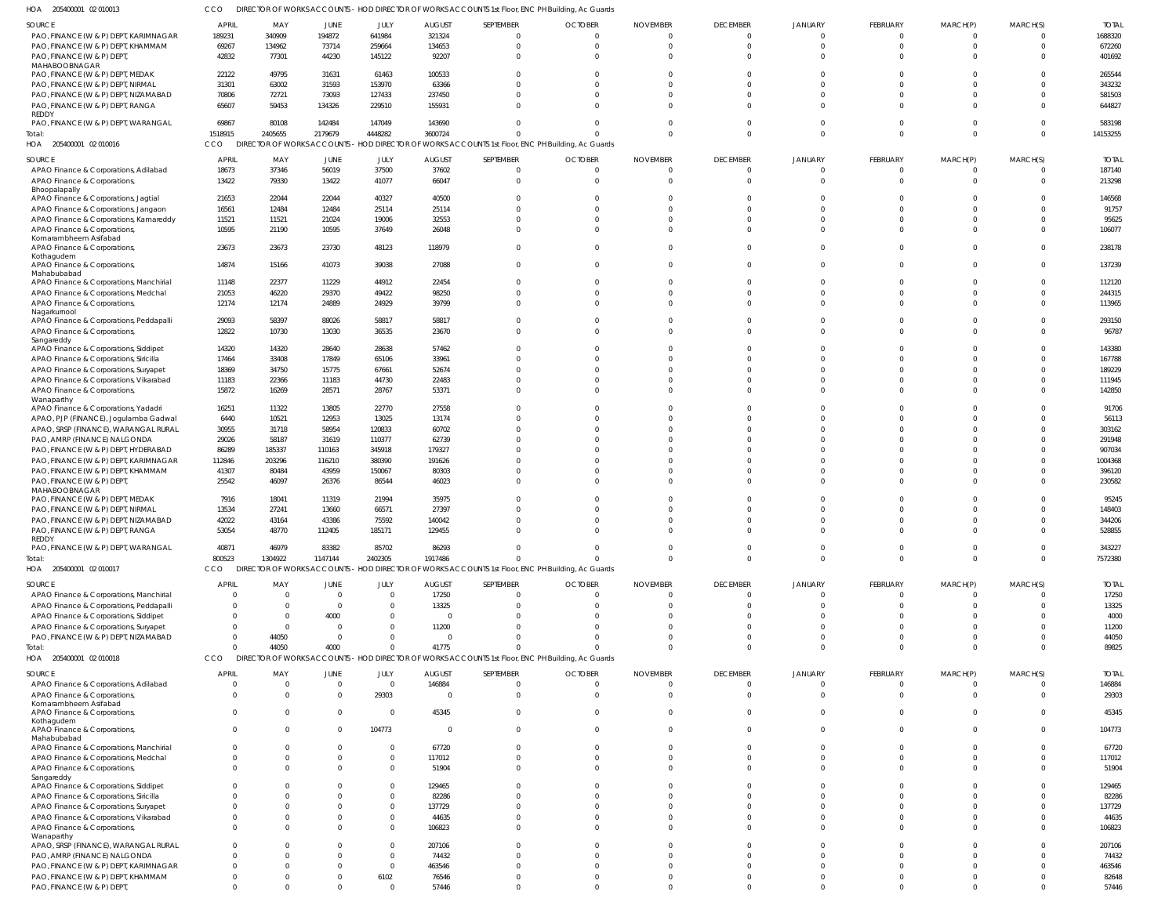| 2010013 | DIRECTOR OF WORKS ACCOUNTS - HOD DIRECTOR OF WORKS ACCOUNTS 1st Floor, ENC PH Building, Ac Guards |  |  |
|---------|---------------------------------------------------------------------------------------------------|--|--|

| HOA<br>205400001 02 010013                                                      | CCO                  |                      |                |                      |                   | DIRECTOR OF WORKS ACCOUNTS - HOD DIRECTOR OF WORKS ACCOUNTS 1st Floor, ENC PH Building, Ac Guards |                        |                      |                            |                      |                            |                            |                      |                  |
|---------------------------------------------------------------------------------|----------------------|----------------------|----------------|----------------------|-------------------|---------------------------------------------------------------------------------------------------|------------------------|----------------------|----------------------------|----------------------|----------------------------|----------------------------|----------------------|------------------|
| SOURCE                                                                          | APRIL                | MAY                  | JUNE           | JULY                 | <b>AUGUST</b>     | SEPTEMBER                                                                                         | <b>OCTOBER</b>         | <b>NOVEMBER</b>      | <b>DECEMBER</b>            | JANUARY              | <b>FEBRUARY</b>            | MARCH(P)                   | MARCH(S)             | <b>TOTAL</b>     |
| PAO, FINANCE (W & P) DEPT, KARIMNAGAR                                           | 189231               | 340909               | 194872         | 641984               | 321324            |                                                                                                   | $\Omega$               | $\Omega$             | $\overline{0}$             | $\Omega$             | $\overline{0}$             | $\Omega$                   | $\Omega$             | 1688320          |
| PAO, FINANCE (W & P) DEPT, KHAMMAM<br>PAO, FINANCE (W & P) DEPT,                | 69267<br>42832       | 134962<br>77301      | 73714<br>44230 | 259664<br>145122     | 134653<br>92207   | $\Omega$<br>$\Omega$                                                                              | $\Omega$<br>$\Omega$   | $\Omega$<br>$\Omega$ | $\overline{0}$<br>$\Omega$ | $\Omega$<br>$\Omega$ | $\overline{0}$<br>$\Omega$ | $\overline{0}$<br>$\Omega$ | $\Omega$<br>$\Omega$ | 672260<br>401692 |
| MAHABOOBNAGAR                                                                   |                      |                      |                |                      |                   |                                                                                                   |                        |                      |                            |                      |                            |                            |                      |                  |
| PAO, FINANCE (W & P) DEPT, MEDAK                                                | 22122                | 49795                | 31631          | 61463                | 100533            |                                                                                                   | - 0                    | $\Omega$             | $\Omega$                   | $\Omega$             | $\Omega$                   | $\cap$                     | $\Omega$             | 265544           |
| PAO, FINANCE (W & P) DEPT, NIRMAL                                               | 31301                | 63002                | 31593          | 153970               | 63366             |                                                                                                   | $\Omega$               | $\Omega$             | $\Omega$                   | $\Omega$             | $\Omega$                   |                            | $\Omega$             | 343232           |
| PAO, FINANCE (W & P) DEPT, NIZAMABAD                                            | 70806                | 72721                | 73093          | 127433               | 237450            |                                                                                                   | $\Omega$<br>$\Omega$   | $\Omega$<br>$\Omega$ | $\Omega$<br>$\Omega$       | $\Omega$<br>$\cap$   | $\Omega$<br>$\Omega$       | $\Omega$<br>$\Omega$       | $\Omega$<br>$\Omega$ | 581503           |
| PAO, FINANCE (W & P) DEPT, RANGA<br>REDDY                                       | 65607                | 59453                | 134326         | 229510               | 155931            |                                                                                                   |                        |                      |                            |                      |                            |                            |                      | 644827           |
| PAO, FINANCE (W & P) DEPT, WARANGAL                                             | 69867                | 80108                | 142484         | 147049               | 143690            |                                                                                                   | $\Omega$               | $\Omega$             | $\Omega$                   | $\Omega$             | $\Omega$                   | $\Omega$                   | $\Omega$             | 583198           |
| Total:                                                                          | 1518915              | 2405655              | 2179679        | 4448282              | 3600724           |                                                                                                   | $\Omega$               | $\Omega$             | $\Omega$                   | $\Omega$             | $\Omega$                   | $\Omega$                   | $\Omega$             | 14153255         |
| HOA 205400001 02 010016                                                         | CCO                  |                      |                |                      |                   | DIRECTOR OF WORKS ACCOUNTS - HOD DIRECTOR OF WORKS ACCOUNTS 1st Floor, ENC PH Building, Ac Guards |                        |                      |                            |                      |                            |                            |                      |                  |
| SOURCE                                                                          | <b>APRIL</b>         | MAY                  | JUNE           | JULY                 | <b>AUGUST</b>     | SEPTEMBER                                                                                         | <b>OCTOBER</b>         | <b>NOVEMBER</b>      | <b>DECEMBER</b>            | <b>JANUARY</b>       | FEBRUARY                   | MARCH(P)                   | MARCH(S)             | <b>TOTAL</b>     |
| APAO Finance & Corporations, Adilabad                                           | 18673                | 37346                | 56019          | 37500                | 37602             | 0                                                                                                 | $\circ$                | $\Omega$             | $\overline{0}$             | $\Omega$             | $\overline{0}$             | 0                          | $\Omega$             | 187140           |
| APAO Finance & Corporations,<br>Bhoopalapally                                   | 13422                | 79330                | 13422          | 41077                | 66047             | $\Omega$                                                                                          | $\Omega$               | $\Omega$             | $\Omega$                   | $\Omega$             | $\overline{0}$             | $\Omega$                   | $\Omega$             | 213298           |
| APAO Finance & Corporations, Jagtial                                            | 21653                | 22044                | 22044          | 40327                | 40500             |                                                                                                   | -0                     | -0                   | $\Omega$                   |                      | $\Omega$                   |                            | $\Omega$             | 146568           |
| APAO Finance & Corporations, Jangaon                                            | 16561                | 12484                | 12484          | 25114                | 25114             |                                                                                                   | $\Omega$               | $\Omega$             | $\Omega$                   | $\Omega$             | $\Omega$                   | $\Omega$                   | $\Omega$             | 91757            |
| APAO Finance & Corporations, Kamareddy                                          | 11521                | 11521                | 21024          | 19006                | 32553             |                                                                                                   | -0                     | $\Omega$             | $\Omega$                   | $\Omega$             | $\Omega$                   | $\Omega$                   | $\Omega$             | 95625            |
| APAO Finance & Corporations,<br>Komarambheem Asifabad                           | 10595                | 21190                | 10595          | 37649                | 26048             | $\Omega$                                                                                          | $\Omega$               | $\Omega$             | $\Omega$                   | $\Omega$             | $\Omega$                   | $\Omega$                   | $\Omega$             | 106077           |
| APAO Finance & Corporations,                                                    | 23673                | 23673                | 23730          | 48123                | 118979            | $\Omega$                                                                                          | $\Omega$               | $\Omega$             | $\Omega$                   | $\Omega$             | $\overline{0}$             | $\Omega$                   | $\Omega$             | 238178           |
| Kothagudem                                                                      |                      |                      |                |                      |                   |                                                                                                   |                        |                      |                            |                      |                            |                            |                      |                  |
| APAO Finance & Corporations,<br>Mahabubabad                                     | 14874                | 15166                | 41073          | 39038                | 27088             | $\Omega$                                                                                          | $\Omega$               | $\Omega$             | $\Omega$                   | $\Omega$             | $\overline{0}$             | $\Omega$                   | $\Omega$             | 137239           |
| APAO Finance & Corporations, Manchirial                                         | 11148                | 22377                | 11229          | 44912                | 22454             | 0                                                                                                 | -0                     | $\Omega$             | $\Omega$                   | $\Omega$             | $\mathbf{0}$               | $\Omega$                   | $\Omega$             | 112120           |
| APAO Finance & Corporations, Medchal                                            | 21053                | 46220                | 29370          | 49422                | 98250             |                                                                                                   | $\Omega$               | $\Omega$             | $\Omega$                   | $\Omega$             | $\Omega$                   | $\Omega$                   | $\Omega$             | 244315           |
| APAO Finance & Corporations,                                                    | 12174                | 12174                | 24889          | 24929                | 39799             | $\Omega$                                                                                          | $\Omega$               | $\Omega$             | $\Omega$                   | $\Omega$             | $\Omega$                   | $\Omega$                   | $\Omega$             | 113965           |
| Nagarkurnool<br>APAO Finance & Corporations, Peddapalli                         | 29093                | 58397                | 88026          | 58817                | 58817             | <sup>0</sup>                                                                                      | $\Omega$               | $\Omega$             | $\Omega$                   | $\Omega$             | $\Omega$                   | $\Omega$                   | $\Omega$             | 293150           |
| APAO Finance & Corporations,                                                    | 12822                | 10730                | 13030          | 36535                | 23670             | $\Omega$                                                                                          | $\Omega$               | $\Omega$             | $\Omega$                   | $\Omega$             | $\Omega$                   | $\Omega$                   | $\Omega$             | 96787            |
| Sangareddy                                                                      |                      |                      |                |                      |                   |                                                                                                   |                        |                      |                            |                      |                            |                            |                      |                  |
| APAO Finance & Corporations, Siddipet<br>APAO Finance & Corporations, Siricilla | 14320<br>17464       | 14320<br>33408       | 28640<br>17849 | 28638<br>65106       | 57462<br>33961    |                                                                                                   | - 0<br>- 0             | $\Omega$<br>$\Omega$ | $\Omega$<br>$\Omega$       | $\cap$               | $\Omega$<br>$\Omega$       | $\cap$                     | $\Omega$<br>$\Omega$ | 143380<br>167788 |
| APAO Finance & Corporations, Suryapet                                           | 18369                | 34750                | 15775          | 67661                | 52674             |                                                                                                   | $\Omega$               | $\Omega$             | $\Omega$                   | $\Omega$             | $\Omega$                   | $\Omega$                   | $\Omega$             | 189229           |
| APAO Finance & Corporations, Vikarabad                                          | 11183                | 22366                | 11183          | 44730                | 22483             |                                                                                                   | - 0                    | $\Omega$             | $\Omega$                   | $\Omega$             | $\Omega$                   | $\Omega$                   | $\Omega$             | 111945           |
| APAO Finance & Corporations,                                                    | 15872                | 16269                | 28571          | 28767                | 53371             | $\Omega$                                                                                          | $\Omega$               | $\Omega$             | $\Omega$                   | $\Omega$             | $\Omega$                   | $\Omega$                   | $\Omega$             | 142850           |
| Wanaparthy<br>APAO Finance & Corporations, Yadadri                              | 16251                | 11322                | 13805          | 22770                | 27558             |                                                                                                   | - 0                    | $\Omega$             | $\Omega$                   | $\Omega$             | $\Omega$                   |                            | $\Omega$             | 91706            |
| APAO, PJP (FINANCE), Jogulamba Gadwal                                           | 6440                 | 10521                | 12953          | 13025                | 13174             |                                                                                                   | $\Omega$               | $\Omega$             | $\Omega$                   | $\Omega$             | $\Omega$                   |                            | $\Omega$             | 56113            |
| APAO, SRSP (FINANCE), WARANGAL RURAL                                            | 30955                | 31718                | 58954          | 120833               | 60702             | <sup>0</sup>                                                                                      | - 0                    | $\Omega$             | $\Omega$                   | $\Omega$             | $\Omega$                   |                            | $\Omega$             | 303162           |
| PAO, AMRP (FINANCE) NALGONDA                                                    | 29026                | 58187                | 31619          | 110377               | 62739             |                                                                                                   |                        | $\Omega$             | $\Omega$                   |                      | $\Omega$                   |                            | $\Omega$             | 291948           |
| PAO, FINANCE (W & P) DEPT, HYDERABAD                                            | 86289                | 185337               | 110163         | 345918               | 179327            |                                                                                                   |                        | $\Omega$             | $\Omega$                   | $\Omega$             | $\Omega$                   |                            | $\Omega$             | 907034           |
| PAO, FINANCE (W & P) DEPT, KARIMNAGAR                                           | 112846               | 203296               | 116210         | 380390               | 191626            |                                                                                                   | - 0                    | $\Omega$             | $\Omega$                   | $\Omega$             | $\Omega$                   |                            | $\Omega$             | 1004368          |
| PAO, FINANCE (W & P) DEPT, KHAMMAM                                              | 41307                | 80484                | 43959          | 150067               | 80303             | <sup>0</sup>                                                                                      | $\Omega$               | $\Omega$             | $\Omega$                   | $\Omega$             | $\Omega$                   |                            | $\Omega$             | 396120           |
| PAO, FINANCE (W & P) DEPT,<br>MAHABOOBNAGAR                                     | 25542                | 46097                | 26376          | 86544                | 46023             |                                                                                                   |                        | $\Omega$             | $\Omega$                   | $\Omega$             | $\Omega$                   |                            | $\Omega$             | 230582           |
| PAO, FINANCE (W & P) DEPT, MEDAK                                                | 7916                 | 18041                | 11319          | 21994                | 35975             |                                                                                                   | - 0                    | -0                   | $\Omega$                   | $\Omega$             | $\Omega$                   |                            | $\Omega$             | 95245            |
| PAO, FINANCE (W & P) DEPT, NIRMAL                                               | 13534                | 27241                | 13660          | 66571                | 27397             |                                                                                                   | $\Omega$               | $\Omega$             | $\overline{0}$             | $\Omega$             | $\Omega$                   |                            |                      | 148403           |
| PAO, FINANCE (W & P) DEPT, NIZAMABAD                                            | 42022                | 43164                | 43386          | 75592                | 140042            | $\Omega$                                                                                          | $\Omega$               | $\Omega$             | $\Omega$                   | $\Omega$             | $\Omega$                   | $\Omega$                   | $\Omega$             | 344206           |
| PAO, FINANCE (W & P) DEPT, RANGA<br><b>REDDY</b>                                | 53054                | 48770                | 112405         | 185171               | 129455            |                                                                                                   |                        |                      |                            |                      |                            |                            |                      | 528855           |
| PAO, FINANCE (W & P) DEPT, WARANGAL                                             | 40871                | 46979                | 83382          | 85702                | 86293             | 0                                                                                                 | $\overline{0}$         | 0                    | $\overline{0}$             | $\overline{0}$       | $\mathbf{0}$               | $\overline{0}$             | $\Omega$             | 343227           |
| Total:                                                                          | 800523               | 1304922              | 1147144        | 2402305              | 1917486           | $\Omega$                                                                                          | $\Omega$               | $\Omega$             | $\Omega$                   | $\Omega$             | $\overline{0}$             | $\overline{0}$             | $\Omega$             | 7572380          |
| HOA 205400001 02 010017                                                         | CCO                  |                      |                |                      |                   | DIRECTOR OF WORKS ACCOUNTS - HOD DIRECTOR OF WORKS ACCOUNTS 1st Floor, ENC PH Building, Ac Guards |                        |                      |                            |                      |                            |                            |                      |                  |
| SOURCE                                                                          | <b>APRIL</b>         | MAY                  | JUNE           | JULY                 | <b>AUGUST</b>     | SEPTEMBER                                                                                         | <b>OCTOBER</b>         | <b>NOVEMBER</b>      | <b>DECEMBER</b>            | <b>JANUARY</b>       | <b>FEBRUARY</b>            | MARCH(P)                   | MARCH(S)             | <b>TOTAL</b>     |
| APAO Finance & Corporations, Manchirial                                         | $\Omega$             | $\Omega$             | $\Omega$       | $\Omega$             | 17250             | $\Omega$                                                                                          | $\Omega$               | $\Omega$             | $\Omega$                   | $\Omega$             | $\Omega$                   | $\Omega$                   | $\Omega$             | 17250            |
| APAO Finance & Corporations, Peddapalli                                         | $\Omega$             | $\Omega$             |                | $\Omega$             | 13325             |                                                                                                   | $\Omega$               | $\Omega$             | $\Omega$                   | $\Omega$             | $\Omega$                   | $\Omega$                   | $\Omega$             | 13325            |
| APAO Finance & Corporations, Siddipet                                           | $\Omega$             | $\Omega$<br>$\Omega$ | 4000<br>- 0    | $\Omega$<br>$\Omega$ | $\Omega$<br>11200 |                                                                                                   | - 0                    | $\Omega$<br>$\Omega$ | $\Omega$<br>$\Omega$       | $\cap$<br>$\Omega$   | $\Omega$<br>$\cap$         |                            | $\Omega$             | 4000<br>11200    |
| APAO Finance & Corporations, Suryapet<br>PAO, FINANCE (W & P) DEPT, NIZAMABAD   | $\Omega$             | 44050                |                | $\Omega$             | $\overline{0}$    |                                                                                                   | $\Omega$               | $\Omega$             | $\Omega$                   | $\Omega$             | $\Omega$                   | $\Omega$                   |                      | 44050            |
| Total:                                                                          | $\cap$               | 44050                | 4000           |                      | 41775             |                                                                                                   |                        | $\Omega$             | $\Omega$                   | $\Omega$             | $\Omega$                   | $\Omega$                   | $\Omega$             | 89825            |
| HOA 205400001 02 010018                                                         | CCO                  | <b>DIRECT</b>        |                |                      |                   | R OF WORKS ACCOUNTS - HOD DIRECTOR OF WORKS ACCOUNTS 1st Floor, ENC PH Building, Ac Guards        |                        |                      |                            |                      |                            |                            |                      |                  |
| SOURCE                                                                          | <b>APRIL</b>         | MAY                  | JUNE           | JULY                 | <b>AUGUST</b>     | SEPTEMBER                                                                                         | <b>OCTOBER</b>         | <b>NOVEMBER</b>      | <b>DECEMBER</b>            | <b>JANUARY</b>       | <b>FEBRUARY</b>            | MARCH(P)                   | MARCH(S)             | <b>TOTAL</b>     |
| APAO Finance & Corporations, Adilabad                                           | $\overline{0}$       | $\overline{0}$       | $\overline{0}$ | $\Omega$             | 146884            | $\mathbf 0$                                                                                       | $\overline{0}$         | $\overline{0}$       | $\overline{0}$             | $\overline{0}$       | $\overline{0}$             | $\overline{0}$             | $\Omega$             | 146884           |
| APAO Finance & Corporations,                                                    | $\Omega$             | $\Omega$             | $\Omega$       | 29303                | $\overline{0}$    | $\mathbf 0$                                                                                       | $\Omega$               | $\Omega$             | $\Omega$                   | $\Omega$             | $\overline{0}$             | $\overline{0}$             | $\Omega$             | 29303            |
| Komarambheem Asifabad<br>APAO Finance & Corporations,                           | $\Omega$             | $\overline{0}$       | $\Omega$       | $\overline{0}$       | 45345             | $\Omega$                                                                                          | $\Omega$               | $\Omega$             | $\Omega$                   | $\Omega$             | $\overline{0}$             | $\Omega$                   | $\Omega$             | 45345            |
| Kothagudem                                                                      |                      |                      |                |                      |                   |                                                                                                   |                        |                      |                            |                      |                            |                            |                      |                  |
| APAO Finance & Corporations,                                                    | $\Omega$             | $\Omega$             | $\Omega$       | 104773               | - 0               | $\Omega$                                                                                          | $\Omega$               | $\Omega$             | $\Omega$                   | $\Omega$             | $\Omega$                   | $\Omega$                   | $\Omega$             | 104773           |
| Mahabubabad<br>APAO Finance & Corporations, Manchirial                          | $\Omega$             | $\Omega$             | $\Omega$       | $\Omega$             | 67720             | $\Omega$                                                                                          | $\Omega$               | $\Omega$             | $\Omega$                   | $\Omega$             | $\Omega$                   | $\Omega$                   | $\Omega$             | 67720            |
| APAO Finance & Corporations, Medchal                                            | $\overline{0}$       | $\Omega$             |                | $\Omega$             | 117012            | $\Omega$                                                                                          | $\Omega$               | $\Omega$             | $\Omega$                   | $\Omega$             | $\Omega$                   | $\Omega$                   | $\Omega$             | 117012           |
| APAO Finance & Corporations,                                                    | $\Omega$             | $\Omega$             |                | $\Omega$             | 51904             | $\Omega$                                                                                          | $\Omega$               | $\Omega$             | $\Omega$                   | $\Omega$             | $\Omega$                   | $\Omega$                   | $\Omega$             | 51904            |
| Sangareddy                                                                      |                      |                      |                |                      |                   |                                                                                                   |                        |                      |                            |                      |                            |                            |                      |                  |
| APAO Finance & Corporations, Siddipet<br>APAO Finance & Corporations, Siricilla | $\Omega$<br>$\Omega$ | $\Omega$<br>$\Omega$ |                | $\Omega$<br>$\Omega$ | 129465<br>82286   |                                                                                                   | $\Omega$<br>$\sqrt{ }$ | $\Omega$<br>$\Omega$ | $\Omega$<br>$\Omega$       | $\Omega$<br>$\Omega$ | $\Omega$<br>$\Omega$       | $\Omega$                   | $\Omega$<br>$\Omega$ | 129465<br>82286  |
| APAO Finance & Corporations, Suryapet                                           | $\Omega$             | $\Omega$             |                | $\Omega$             | 137729            |                                                                                                   | - 0                    | $\Omega$             | $\Omega$                   | $\Omega$             | $\Omega$                   |                            | $\Omega$             | 137729           |
| APAO Finance & Corporations, Vikarabad                                          | $\Omega$             | $\Omega$             |                | $\Omega$             | 44635             |                                                                                                   | $\Omega$               | $\Omega$             | $\Omega$                   | $\Omega$             | $\Omega$                   |                            |                      | 44635            |
| APAO Finance & Corporations,                                                    | $\Omega$             | $\Omega$             |                | $\Omega$             | 106823            |                                                                                                   |                        | $\Omega$             | $\Omega$                   | $\Omega$             | $\Omega$                   |                            |                      | 106823           |
| Wanaparthy<br>APAO, SRSP (FINANCE), WARANGAL RURAL                              | $\Omega$             | $\Omega$             |                | $\Omega$             | 207106            |                                                                                                   |                        | $\Omega$             | $\Omega$                   | $\cap$               | $\Omega$                   |                            |                      | 207106           |
| PAO, AMRP (FINANCE) NALGONDA                                                    | $\Omega$             | $\Omega$             |                | $\Omega$             | 74432             |                                                                                                   | - 0                    | $\Omega$             | $\Omega$                   | $\Omega$             | $\Omega$                   |                            | $\Omega$             | 74432            |
| PAO, FINANCE (W & P) DEPT, KARIMNAGAR                                           | $\Omega$             | $\Omega$             |                | $\Omega$             | 463546            |                                                                                                   |                        | $\Omega$             | $\Omega$                   | $\Omega$             | $\Omega$                   |                            |                      | 463546           |
| PAO, FINANCE (W & P) DEPT, KHAMMAM                                              | $\overline{0}$       | - 0                  |                | 6102                 | 76546             |                                                                                                   | - 0                    | $\Omega$             | $\Omega$                   | $\Omega$             | $\mathbf{0}$               | $\Omega$                   | $\Omega$             | 82648            |
| PAO, FINANCE (W & P) DEPT,                                                      | $\Omega$             | $\Omega$             |                | $\mathbf 0$          | 57446             | $\Omega$                                                                                          | $\Omega$               | $\Omega$             | $\Omega$                   | $\Omega$             | $\Omega$                   | $\Omega$                   | $\Omega$             | 57446            |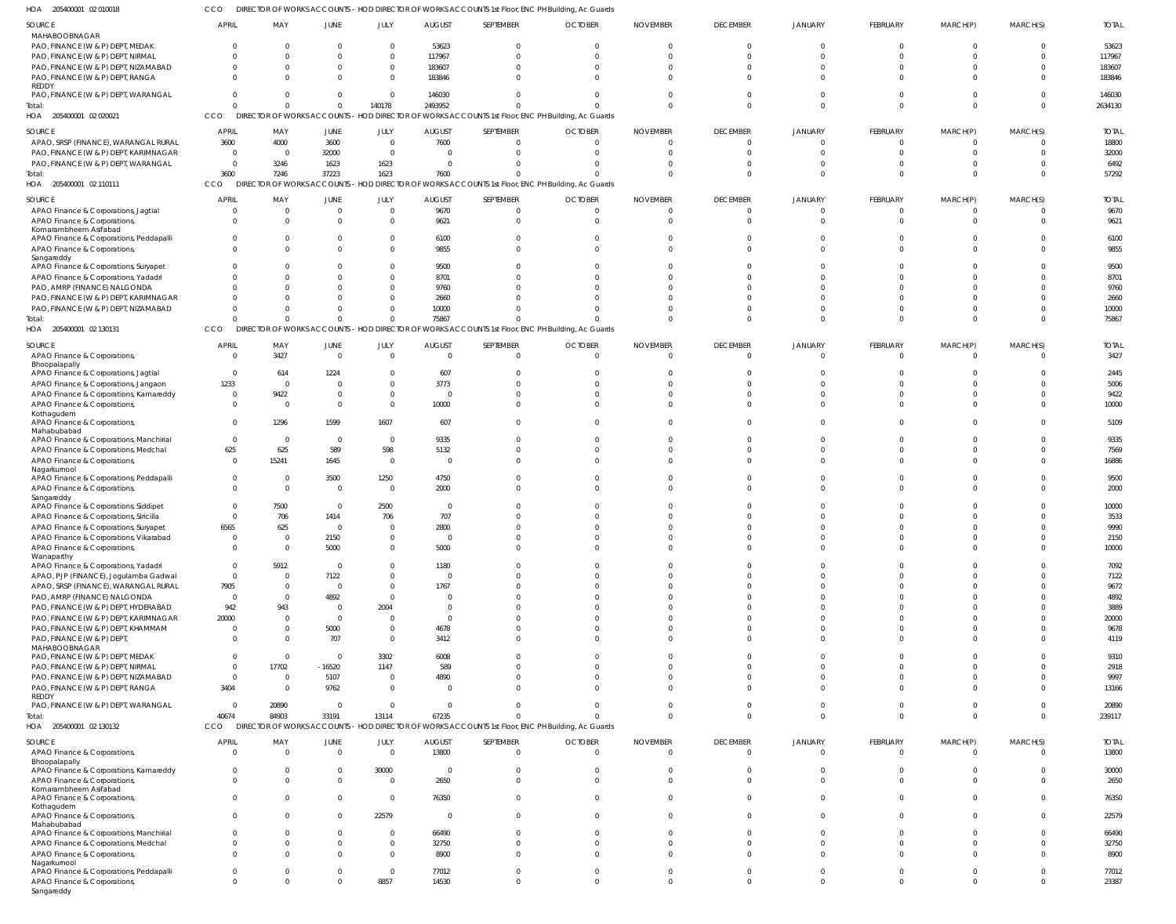205400001 02 010018 HOA CCO DIRECTOR OF WORKS ACCOUNTS - HOD DIRECTOR OF WORKS ACCOUNTS 1st Floor, ENC PH Building, Ac Guards

| SOURCE                                                                          | APRIL                   | MAY                                       | JUNE                       | JULY                   | <b>AUGUST</b>                   | SEPTEMBER                                                                                         | <b>OCTOBER</b>       | <b>NOVEMBER</b>                  | <b>DECEMBER</b>      | JANUARY       | FEBRUARY                       | MARCH(P)                   | MARCH(S) | <b>TOTAL</b>   |
|---------------------------------------------------------------------------------|-------------------------|-------------------------------------------|----------------------------|------------------------|---------------------------------|---------------------------------------------------------------------------------------------------|----------------------|----------------------------------|----------------------|---------------|--------------------------------|----------------------------|----------|----------------|
| MAHABOOBNAGAR                                                                   |                         |                                           |                            |                        |                                 |                                                                                                   |                      |                                  |                      |               |                                |                            |          |                |
| PAO, FINANCE (W & P) DEPT, MEDAK                                                |                         | $\Omega$                                  | $\Omega$                   | $\Omega$               | 53623                           |                                                                                                   |                      | $\Omega$                         | $\Omega$             |               | - 0                            | $\Omega$                   |          | 53623          |
| PAO, FINANCE (W & P) DEPT, NIRMAL                                               |                         | $\Omega$                                  | $\Omega$                   | $\Omega$               | 117967                          |                                                                                                   |                      | $\Omega$                         | $\Omega$             |               | $\Omega$                       | $\Omega$                   |          | 117967         |
| PAO, FINANCE (W & P) DEPT, NIZAMABAD                                            |                         | $\Omega$                                  | $\Omega$                   | $\Omega$               | 183607                          |                                                                                                   |                      | $\Omega$                         |                      |               | $\Omega$                       | $\Omega$                   |          | 183607         |
| PAO, FINANCE (W & P) DEPT, RANGA                                                |                         | $\Omega$                                  | $\Omega$                   | $\Omega$               | 183846                          |                                                                                                   |                      | $\Omega$                         | $\Omega$             |               | $\Omega$                       | $\Omega$                   |          | 183846         |
| REDDY<br>PAO, FINANCE (W & P) DEPT, WARANGAL                                    | $\Omega$                | $\Omega$                                  | $\Omega$                   | $\Omega$               | 146030                          |                                                                                                   |                      | $\Omega$                         | $\Omega$             |               | $\Omega$                       | $\Omega$                   |          | 146030         |
| Total:                                                                          | $\Omega$                | $\Omega$                                  | $\Omega$                   | 140178                 | 2493952                         |                                                                                                   |                      | $\Omega$                         | $\Omega$             |               | $\Omega$                       | $\Omega$                   |          | 2634130        |
| HOA 205400001 02 020021                                                         | CCO                     |                                           |                            |                        |                                 | DIRECTOR OF WORKS ACCOUNTS - HOD DIRECTOR OF WORKS ACCOUNTS 1st Floor, ENC PH Building, Ac Guards |                      |                                  |                      |               |                                |                            |          |                |
|                                                                                 | <b>APRIL</b>            | MAY                                       | JUNE                       |                        | AUGUST                          | SEPTEMBER                                                                                         | <b>OCTOBER</b>       | <b>NOVEMBER</b>                  | <b>DECEMBER</b>      | JANUARY       | FEBRUARY                       |                            | MARCH(S) | <b>TOTAL</b>   |
| SOURCE<br>APAO, SRSP (FINANCE), WARANGAL RURAL                                  | 3600                    | 4000                                      | 3600                       | JULY<br>$\overline{0}$ | 7600                            |                                                                                                   |                      | $\Omega$                         | $\Omega$             |               | $\Omega$                       | MARCH(P)<br>$\Omega$       |          | 18800          |
| PAO, FINANCE (W & P) DEPT, KARIMNAGAR                                           | $\overline{0}$          | $\overline{\mathbf{0}}$                   | 32000                      | $\Omega$               | $\overline{0}$                  |                                                                                                   | $\Omega$             | $\Omega$                         | $\Omega$             | $\Omega$      | - 0                            | $\Omega$                   | $\Omega$ | 32000          |
| PAO, FINANCE (W & P) DEPT, WARANGAL                                             | $\overline{0}$          | 3246                                      | 1623                       | 1623                   | $\Omega$                        |                                                                                                   |                      | $\Omega$                         | $\Omega$             |               | $\Omega$                       | $\Omega$                   |          | 6492           |
| Total:                                                                          | 3600                    | 7246                                      | 37223                      | 1623                   | 7600                            |                                                                                                   |                      | $\Omega$                         | $\Omega$             |               | $\Omega$                       | $\Omega$                   | $\Omega$ | 57292          |
| HOA 205400001 02 110111                                                         | CCO                     |                                           |                            |                        |                                 | DIRECTOR OF WORKS ACCOUNTS - HOD DIRECTOR OF WORKS ACCOUNTS 1st Floor, ENC PH Building, Ac Guards |                      |                                  |                      |               |                                |                            |          |                |
| SOURCE                                                                          | <b>APRIL</b>            | MAY                                       | JUNE                       | JULY                   | AUGUST                          | SEPTEMBER                                                                                         | <b>OCTOBER</b>       | <b>NOVEMBER</b>                  | <b>DECEMBER</b>      | JANUARY       | FEBRUARY                       | MARCH(P)                   | MARCH(S) | <b>TOTAL</b>   |
| APAO Finance & Corporations, Jagtial                                            | <sup>0</sup>            | $\Omega$                                  | $\Omega$                   | $\Omega$               | 9670                            |                                                                                                   | $\Omega$             | $\Omega$                         | $\Omega$             |               | $\Omega$                       | $\Omega$                   |          | 9670           |
| APAO Finance & Corporations,                                                    |                         | $\Omega$                                  | $\Omega$                   | $\Omega$               | 9621                            |                                                                                                   | $\Omega$             | $\Omega$                         | $\Omega$             |               | $\Omega$                       | $\Omega$                   |          | 9621           |
| Komarambheem Asifabad                                                           |                         |                                           |                            |                        |                                 |                                                                                                   |                      |                                  |                      |               |                                |                            |          |                |
| APAO Finance & Corporations, Peddapalli                                         |                         | $\Omega$                                  | $\Omega$                   |                        | 6100                            |                                                                                                   |                      | $\Omega$                         | $\Omega$             |               | $\Omega$                       |                            |          | 6100           |
| APAO Finance & Corporations,<br>Sangareddy                                      |                         | $\Omega$                                  | $\Omega$                   |                        | 9855                            |                                                                                                   |                      | $\Omega$                         |                      |               | $\Omega$                       | $\Omega$                   |          | 9855           |
| APAO Finance & Corporations, Suryapet                                           |                         |                                           | $\Omega$                   |                        | 9500                            |                                                                                                   |                      |                                  |                      |               |                                |                            |          | 9500           |
| APAO Finance & Corporations, Yadadri                                            |                         | $\Omega$                                  | -0                         |                        | 8701                            |                                                                                                   |                      |                                  |                      |               | -C                             |                            |          | 8701           |
| PAO, AMRP (FINANCE) NALGONDA                                                    |                         | $\Omega$                                  | -0                         |                        | 9760                            |                                                                                                   |                      | <sup>0</sup>                     |                      |               | -C                             |                            |          | 9760           |
| PAO, FINANCE (W & P) DEPT, KARIMNAGAR                                           |                         | $\Omega$                                  | $\Omega$                   |                        | 2660                            |                                                                                                   |                      |                                  |                      |               |                                |                            |          | 2660           |
| PAO, FINANCE (W & P) DEPT, NIZAMABAD                                            |                         | $\Omega$                                  | $\Omega$                   |                        | 10000                           |                                                                                                   |                      | <sup>0</sup>                     |                      |               | $\Omega$                       |                            |          | 10000          |
| Total:                                                                          |                         | $\Omega$                                  | $\Omega$                   |                        | 75867                           |                                                                                                   |                      | $\Omega$                         |                      |               | $\Omega$                       | $\Omega$                   |          | 75867          |
| HOA 205400001 02 130131                                                         | CCO                     |                                           |                            |                        |                                 | DIRECTOR OF WORKS ACCOUNTS - HOD DIRECTOR OF WORKS ACCOUNTS 1st Floor, ENC PH Building, Ac Guards |                      |                                  |                      |               |                                |                            |          |                |
| SOURCE                                                                          | APRIL                   | MAY                                       | JUNE                       | JULY                   | <b>AUGUST</b>                   | SEPTEMBER                                                                                         | <b>OCTOBER</b>       | <b>NOVEMBER</b>                  | <b>DECEMBER</b>      | JANUARY       | FEBRUARY                       | MARCH(P)                   | MARCH(S) | <b>TOTAL</b>   |
| APAO Finance & Corporations,                                                    | $\Omega$                | 3427                                      | $\overline{0}$             | $\overline{0}$         | $\overline{0}$                  | $\Omega$                                                                                          | $\Omega$             | $\Omega$                         | $\Omega$             | $\Omega$      | $\Omega$                       | $\Omega$                   | $\Omega$ | 3427           |
| Bhoopalapally                                                                   |                         |                                           |                            |                        |                                 |                                                                                                   |                      |                                  |                      |               |                                |                            |          |                |
| APAO Finance & Corporations, Jagtial                                            | $\overline{0}$          | 614                                       | 1224                       | $\Omega$               | 607                             |                                                                                                   |                      | $\Omega$                         | $\Omega$             |               | $\Omega$                       | n                          |          | 2445           |
| APAO Finance & Corporations, Jangaon                                            | 1233<br>$\overline{0}$  | $\overline{\mathbf{0}}$<br>9422           | - 0<br>- 0                 | $\Omega$<br>$\Omega$   | 3773<br>$\overline{\mathbf{0}}$ |                                                                                                   |                      | $\Omega$<br>$\Omega$             | $\Omega$<br>$\Omega$ |               | $\Omega$<br>$\Omega$           | $\Omega$                   |          | 5006<br>9422   |
| APAO Finance & Corporations, Kamareddy<br>APAO Finance & Corporations,          | $\Omega$                | - 0                                       | $\Omega$                   | $\Omega$               | 10000                           |                                                                                                   |                      | $\Omega$                         | $\Omega$             |               | $\Omega$                       | $\Omega$                   |          | 10000          |
| Kothagudem                                                                      |                         |                                           |                            |                        |                                 |                                                                                                   |                      |                                  |                      |               |                                |                            |          |                |
| APAO Finance & Corporations,                                                    | 0                       | 1296                                      | 1599                       | 1607                   | 607                             |                                                                                                   |                      | $\Omega$                         | $\Omega$             |               | $\Omega$                       |                            |          | 5109           |
| Mahabubabad                                                                     | $\mathbf 0$             | $\overline{\mathbf{0}}$                   | $\overline{0}$             | $\overline{0}$         | 9335                            | $\Omega$                                                                                          |                      | $\Omega$                         | $\Omega$             |               | $\Omega$                       | $\Omega$                   | $\Omega$ | 9335           |
| APAO Finance & Corporations, Manchirial<br>APAO Finance & Corporations, Medchal | 625                     | 625                                       | 589                        | 598                    | 5132                            |                                                                                                   | <sup>0</sup>         | $\Omega$                         | $\Omega$             |               | $\Omega$                       | $\Omega$                   |          | 7569           |
| APAO Finance & Corporations,                                                    | $\Omega$                | 15241                                     | 1645                       | $\overline{0}$         | $\overline{\mathbf{0}}$         |                                                                                                   |                      | $\Omega$                         | $\Omega$             |               | $\Omega$                       | $\Omega$                   |          | 16886          |
| Nagarkurnool                                                                    |                         |                                           |                            |                        |                                 |                                                                                                   |                      |                                  |                      |               |                                |                            |          |                |
| APAO Finance & Corporations, Peddapalli                                         | $\mathbf{0}$            | $\overline{\mathbf{0}}$                   | 3500                       | 1250                   | 4750                            |                                                                                                   |                      | $\Omega$                         | $\Omega$             |               | $\Omega$                       | $\Omega$                   |          | 9500           |
| APAO Finance & Corporations,                                                    | $\Omega$                | $\overline{0}$                            | $\overline{0}$             | $\Omega$               | 2000                            | $\Omega$                                                                                          |                      | $\Omega$                         | $\Omega$             |               | $\Omega$                       | $\Omega$                   |          | 2000           |
| Sangareddy<br>APAO Finance & Corporations, Siddipet                             | $\Omega$                | 7500                                      | $\overline{0}$             | 2500                   | $\overline{\mathbf{0}}$         |                                                                                                   |                      | $\Omega$                         | n                    |               | -0                             |                            |          | 10000          |
| APAO Finance & Corporations, Siricilla                                          | $\Omega$                | 706                                       | 1414                       | 706                    | 707                             |                                                                                                   |                      | $\Omega$                         | $\Omega$             | $\Omega$      | $\Omega$                       |                            |          | 3533           |
| APAO Finance & Corporations, Suryapet                                           | 6565                    | 625                                       | $\overline{0}$             | $\overline{0}$         | 2800                            |                                                                                                   |                      |                                  |                      |               |                                |                            |          | 9990           |
| APAO Finance & Corporations, Vikarabad                                          | $\cap$                  | $\Omega$                                  | 2150                       | $\Omega$               | $\Omega$                        |                                                                                                   |                      |                                  |                      |               |                                |                            |          | 2150           |
| APAO Finance & Corporations,                                                    | <sup>0</sup>            | $\Omega$                                  | 5000                       | $\Omega$               | 5000                            |                                                                                                   |                      | $\Omega$                         | $\Omega$             |               | $\Omega$                       | $\Omega$                   |          | 10000          |
| Wanaparthy                                                                      |                         |                                           |                            |                        |                                 |                                                                                                   |                      |                                  |                      |               |                                |                            |          |                |
| APAO Finance & Corporations, Yadadri                                            | $\mathbf{0}$            | 5912                                      | $\overline{0}$             | $\Omega$               | 1180                            |                                                                                                   |                      | $\Omega$                         | $\Omega$             |               | $\Omega$                       | $\Omega$                   |          | 7092           |
| APAO, PJP (FINANCE), Jogulamba Gadwal<br>APAO, SRSP (FINANCE), WARANGAL RURAL   | $\mathbf 0$             | $\overline{0}$<br>$\overline{\mathbf{0}}$ | 7122<br>0                  | $\Omega$<br>$\Omega$   | $\overline{0}$                  |                                                                                                   |                      | $\Omega$<br>$\Omega$             | $\Omega$<br>$\Omega$ |               | $\Omega$<br>$\Omega$           | $\Omega$<br>$\Omega$       |          | 7122           |
| PAO, AMRP (FINANCE) NALGONDA                                                    | 7905<br>$\overline{0}$  | $\overline{0}$                            | 4892                       | $\Omega$               | 1767<br>$\overline{0}$          |                                                                                                   |                      | $\Omega$                         | $\Omega$             |               | $\Omega$                       | $\Omega$                   |          | 9672<br>4892   |
| PAO, FINANCE (W & P) DEPT, HYDERABAD                                            | 942                     | 943                                       | - 0                        | 2004                   | $\overline{0}$                  |                                                                                                   |                      | $\Omega$                         | $\Omega$             |               | $\Omega$                       | $\Omega$                   |          | 3889           |
| PAO, FINANCE (W & P) DEPT, KARIMNAGAR                                           | 20000                   | $\overline{0}$                            | $\overline{0}$             | $\Omega$               | $\overline{0}$                  |                                                                                                   |                      | $\Omega$                         | $\Omega$             |               | $\Omega$                       | $\Omega$                   |          | 20000          |
| PAO, FINANCE (W & P) DEPT, KHAMMAM                                              | $\Omega$                | $\overline{0}$                            | 5000                       | $\Omega$               | 4678                            |                                                                                                   |                      | $\Omega$                         | $\Omega$             |               | $\Omega$                       | $\Omega$                   |          | 9678           |
| PAO, FINANCE (W & P) DEPT,                                                      | $\Omega$                | - 0                                       | 707                        | $\Omega$               | 3412                            |                                                                                                   |                      | $\Omega$                         | $\Omega$             |               | $\Omega$                       | $\Omega$                   |          | 4119           |
| MAHABOOBNAGAR                                                                   |                         |                                           |                            |                        |                                 |                                                                                                   |                      |                                  |                      |               |                                |                            |          |                |
| PAO, FINANCE (W & P) DEPT, MEDAK                                                | $\Omega$<br>$\mathbf 0$ | $\overline{\mathbf{0}}$<br>17702          | $\overline{0}$<br>$-16520$ | 3302                   | 6008<br>589                     |                                                                                                   |                      | $\Omega$<br>$\Omega$             | $\Omega$<br>$\Omega$ |               | $\Omega$<br>$\Omega$           | $\Omega$<br>$\Omega$       |          | 9310<br>2918   |
| PAO, FINANCE (W & P) DEPT, NIRMAL<br>PAO, FINANCE (W & P) DEPT, NIZAMABAD       | $\overline{0}$          | $\overline{0}$                            | 5107                       | 1147<br>$\overline{0}$ | 4890                            |                                                                                                   |                      | $\Omega$                         | $\Omega$             | $\Omega$      | $\Omega$                       | $\Omega$                   |          | 9997           |
| PAO, FINANCE (W & P) DEPT, RANGA                                                | 3404                    | $\overline{\mathbf{0}}$                   | 9762                       | $\Omega$               | $\overline{\mathbf{0}}$         | $\Omega$                                                                                          | $\Omega$             | $\Omega$                         | $\Omega$             | U             | $\Omega$                       | $\Omega$                   | $\Omega$ | 13166          |
| REDDY                                                                           |                         |                                           |                            |                        |                                 |                                                                                                   |                      |                                  |                      |               |                                |                            |          |                |
| PAO, FINANCE (W & P) DEPT, WARANGAL                                             | $\Omega$                | 20890                                     | 0                          | $\Omega$               | $\overline{\mathbf{0}}$         | $\Omega$                                                                                          |                      | $\Omega$                         | $\Omega$             | 0             | $\overline{0}$                 | $\Omega$                   | $\Omega$ | 20890          |
| Total:                                                                          | 40674                   | 84903                                     | 33191                      | 13114                  | 67235                           | $\Omega$                                                                                          |                      | $\Omega$                         | $\Omega$             | $\Omega$      | $\Omega$                       | $\Omega$                   | $\Omega$ | 239117         |
| HOA 205400001 02 130132                                                         | CCO                     |                                           |                            |                        |                                 | DIRECTOR OF WORKS ACCOUNTS - HOD DIRECTOR OF WORKS ACCOUNTS 1st Floor, ENC PH Building, Ac Guards |                      |                                  |                      |               |                                |                            |          |                |
| SOURCE                                                                          | <b>APRIL</b>            | MAY                                       | JUNE                       | JULY                   | <b>AUGUST</b>                   | SEPTEMBER                                                                                         | <b>OCTOBER</b>       | <b>NOVEMBER</b>                  | <b>DECEMBER</b>      | JANUARY       | FEBRUARY                       | MARCH(P)                   | MARCH(S) | <b>TOTAL</b>   |
| APAO Finance & Corporations,                                                    | $\Omega$                | $\overline{0}$                            | $\overline{0}$             | $\Omega$               | 13800                           | $\Omega$                                                                                          | $\Omega$             | $\Omega$                         | $\overline{0}$       | 0             | $\overline{0}$                 | $\Omega$                   |          | 13800          |
| Bhoopalapally                                                                   |                         |                                           |                            |                        |                                 |                                                                                                   |                      |                                  |                      |               |                                |                            |          |                |
| APAO Finance & Corporations, Kamareddy                                          | $\Omega$                | $\overline{0}$<br>$\Omega$                | $\mathbf 0$                | 30000                  | $\overline{\mathbf{0}}$         |                                                                                                   | $\Omega$<br>$\Omega$ | $\overline{0}$                   | $\Omega$<br>$\Omega$ | 0             | $\mathbf{0}$                   | $\Omega$<br>$\Omega$       |          | 30000          |
| APAO Finance & Corporations,<br>Komarambheem Asifabad                           | $\Omega$                |                                           | $\overline{0}$             | $\Omega$               | 2650                            | $\Omega$                                                                                          |                      | $\overline{0}$                   |                      | $\Omega$      | $\Omega$                       |                            |          | 2650           |
| APAO Finance & Corporations                                                     | $\Omega$                | $\overline{0}$                            | $\overline{0}$             | $\Omega$               | 76350                           | $\Omega$                                                                                          | $\Omega$             | $\overline{0}$                   | $\Omega$             | $\Omega$      | $\overline{0}$                 | $\overline{0}$             |          | 76350          |
| Kothagudem                                                                      |                         |                                           |                            |                        |                                 |                                                                                                   |                      |                                  |                      |               |                                |                            |          |                |
| APAO Finance & Corporations,<br>Mahabubabad                                     | $\Omega$                | $\Omega$                                  | $\Omega$                   | 22579                  | $\overline{\mathbf{0}}$         | $\Omega$                                                                                          |                      | $\Omega$                         | $\Omega$             | 0             | $\overline{0}$                 | $\Omega$                   |          | 22579          |
| APAO Finance & Corporations, Manchirial                                         | $\Omega$                | $\Omega$                                  | $\Omega$                   | $\Omega$               | 66490                           |                                                                                                   |                      | $\overline{0}$                   | $\Omega$             | U             | $\Omega$                       | $\Omega$                   |          | 66490          |
| APAO Finance & Corporations, Medchal                                            | $\Omega$                | $\Omega$                                  | $\mathbf 0$                | $\Omega$               | 32750                           |                                                                                                   |                      | $\Omega$                         | $\Omega$             | $\Omega$      | $\Omega$                       | $\Omega$                   |          | 32750          |
| APAO Finance & Corporations,                                                    | $\Omega$                | $\Omega$                                  | $\Omega$                   | $\Omega$               | 8900                            |                                                                                                   |                      | $\Omega$                         | $\Omega$             | $\Omega$      | $\Omega$                       | $\Omega$                   |          | 8900           |
| Nagarkurnool                                                                    |                         |                                           |                            |                        |                                 |                                                                                                   |                      |                                  |                      |               |                                |                            |          |                |
| APAO Finance & Corporations, Peddapalli                                         | 0<br>$\Omega$           | $\Omega$<br>$\overline{0}$                | $\Omega$<br>$\Omega$       | $\Omega$<br>8857       | 77012<br>14530                  | $\Omega$                                                                                          | $\Omega$<br>$\Omega$ | $\overline{0}$<br>$\overline{0}$ | $\Omega$<br>$\Omega$ | 0<br>$\Omega$ | $\mathbf{0}$<br>$\overline{0}$ | $\Omega$<br>$\overline{0}$ | $\Omega$ | 77012<br>23387 |
| APAO Finance & Corporations,<br>Sangareddy                                      |                         |                                           |                            |                        |                                 |                                                                                                   |                      |                                  |                      |               |                                |                            |          |                |
|                                                                                 |                         |                                           |                            |                        |                                 |                                                                                                   |                      |                                  |                      |               |                                |                            |          |                |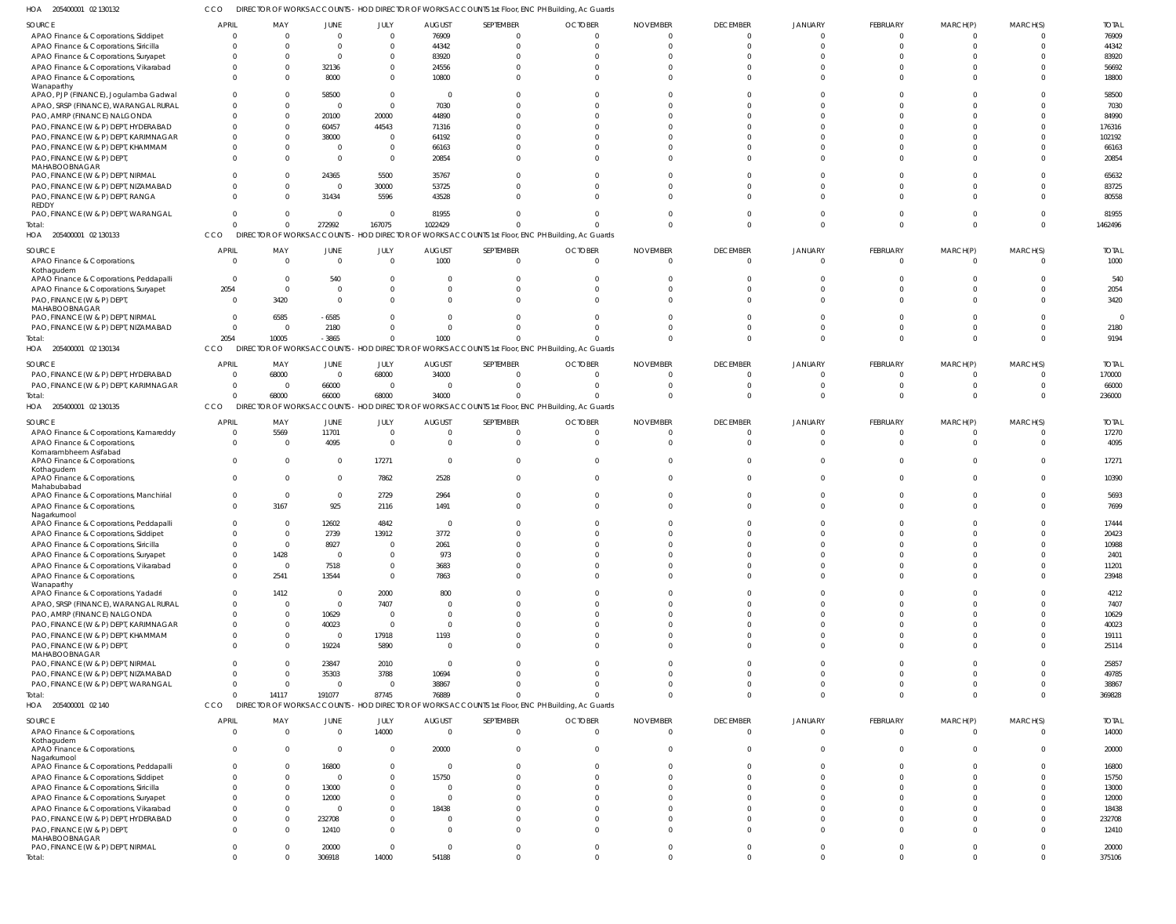205400001 02 130132 HOA CCO DIRECTOR OF WORKS ACCOUNTS - HOD DIRECTOR OF WORKS ACCOUNTS 1st Floor, ENC PH Building, Ac Guards

| SOURCE                                  | <b>APRIL</b>   | MAY            | JUNE                    | JULY           | <b>AUGUST</b>  | SEPTEMBER      | <b>OCTOBER</b>                                                                                    | <b>NOVEMBER</b> | <b>DECEMBER</b> | <b>JANUARY</b> | FEBRUARY       | MARCH(P)       | MARCH(S)       | <b>TOTAL</b> |
|-----------------------------------------|----------------|----------------|-------------------------|----------------|----------------|----------------|---------------------------------------------------------------------------------------------------|-----------------|-----------------|----------------|----------------|----------------|----------------|--------------|
| APAO Finance & Corporations, Siddipet   | 0              | $\Omega$       | $\overline{0}$          | $\mathbf 0$    | 76909          | $\overline{0}$ | $\cap$                                                                                            | $\cap$          | $\Omega$        |                | $\overline{0}$ | $\mathbf 0$    | $\Omega$       | 76909        |
| APAO Finance & Corporations, Siricilla  | $\Omega$       | $\Omega$       | $\Omega$                | $\mathbf 0$    | 44342          | $\Omega$       |                                                                                                   |                 | $\Omega$        |                | $\Omega$       | $\Omega$       | $\Omega$       | 44342        |
|                                         |                |                |                         |                |                |                |                                                                                                   |                 |                 |                |                |                |                |              |
| APAO Finance & Corporations, Suryapet   | -0             |                | $\Omega$                | $\mathbf 0$    | 83920          | $\Omega$       |                                                                                                   |                 |                 |                | $\Omega$       |                | $\Omega$       | 83920        |
| APAO Finance & Corporations, Vikarabad  | $\Omega$       |                | 32136                   | $\mathbf 0$    | 24556          | $\Omega$       |                                                                                                   |                 |                 |                | $\Omega$       |                | $\Omega$       | 56692        |
| APAO Finance & Corporations,            | $\Omega$       |                | 8000                    | $\Omega$       | 10800          | $\Omega$       |                                                                                                   |                 | $\Omega$        |                | $\Omega$       | $\Omega$       | $\Omega$       | 18800        |
| Wanaparthy                              |                |                |                         |                |                |                |                                                                                                   |                 |                 |                |                |                |                |              |
| APAO, PJP (FINANCE), Jogulamba Gadwal   | $\Omega$       |                | 58500                   | $\mathbf 0$    | $\Omega$       | $\Omega$       |                                                                                                   |                 |                 |                | $\cap$         |                | $\cap$         | 58500        |
|                                         |                |                |                         |                |                |                |                                                                                                   |                 |                 |                |                |                |                |              |
| APAO, SRSP (FINANCE), WARANGAL RURAL    | -0             |                | $\overline{\mathbf{0}}$ | $\mathbf 0$    | 7030           | $\Omega$       |                                                                                                   |                 |                 |                | $\cap$         |                | $\Omega$       | 7030         |
| PAO, AMRP (FINANCE) NALGONDA            | $\Omega$       |                | 20100                   | 20000          | 44890          | $\Omega$       |                                                                                                   |                 |                 |                | $\Omega$       |                | $\Omega$       | 84990        |
| PAO, FINANCE (W & P) DEPT, HYDERABAD    | $\Omega$       |                | 60457                   | 44543          | 71316          | $\Omega$       |                                                                                                   |                 |                 |                | $\cap$         |                | $\cap$         | 176316       |
|                                         |                |                |                         |                |                |                |                                                                                                   |                 |                 |                |                |                |                |              |
| PAO, FINANCE (W & P) DEPT, KARIMNAGAR   | $\Omega$       |                | 38000                   | $\mathbf 0$    | 64192          | $\Omega$       |                                                                                                   |                 |                 |                | $\cap$         |                | $\Omega$       | 102192       |
| PAO, FINANCE (W & P) DEPT, KHAMMAM      | $\Omega$       |                | $\overline{0}$          | $\mathbf 0$    | 66163          | $\Omega$       |                                                                                                   |                 |                 |                | $\Omega$       |                | $\Omega$       | 66163        |
| PAO, FINANCE (W & P) DEPT,              | $\Omega$       |                | $\Omega$                | $\mathbf 0$    | 20854          | $\Omega$       |                                                                                                   |                 |                 |                | $\Omega$       | $\Omega$       | $\Omega$       | 20854        |
|                                         |                |                |                         |                |                |                |                                                                                                   |                 |                 |                |                |                |                |              |
| MAHABOOBNAGAR                           |                |                |                         |                |                |                |                                                                                                   |                 |                 |                |                |                |                |              |
| PAO, FINANCE (W & P) DEPT, NIRMAL       | $\Omega$       |                | 24365                   | 5500           | 35767          | $\Omega$       |                                                                                                   |                 |                 |                | $\Omega$       |                | $\Omega$       | 65632        |
| PAO, FINANCE (W & P) DEPT, NIZAMABAD    | $\Omega$       |                | $\Omega$                | 30000          | 53725          | $\Omega$       |                                                                                                   |                 |                 |                | $\Omega$       | $\Omega$       | $\Omega$       | 83725        |
| PAO, FINANCE (W & P) DEPT, RANGA        | $\Omega$       |                | 31434                   | 5596           | 43528          | $\Omega$       |                                                                                                   |                 |                 |                | $\Omega$       | $\Omega$       | $\Omega$       | 80558        |
| REDDY                                   |                |                |                         |                |                |                |                                                                                                   |                 |                 |                |                |                |                |              |
|                                         | $\Omega$       | - 0            | $\Omega$                | $\overline{0}$ | 81955          | $\Omega$       |                                                                                                   |                 |                 |                | $\Omega$       | $\Omega$       | $\Omega$       | 81955        |
| PAO, FINANCE (W & P) DEPT, WARANGAL     |                |                |                         |                |                |                |                                                                                                   |                 |                 |                |                |                |                |              |
| Total:                                  | $\Omega$       | $\Omega$       | 272992                  | 167075         | 1022429        | $\Omega$       |                                                                                                   |                 | $\Omega$        |                | $\Omega$       | $\Omega$       | $\overline{0}$ | 1462496      |
| HOA 205400001 02 130133                 | CCO            |                |                         |                |                |                | DIRECTOR OF WORKS ACCOUNTS - HOD DIRECTOR OF WORKS ACCOUNTS 1st Floor, ENC PH Building, Ac Guards |                 |                 |                |                |                |                |              |
|                                         |                |                |                         |                |                |                |                                                                                                   |                 |                 |                |                |                |                |              |
| SOURCE                                  | <b>APRIL</b>   | MAY            | <b>JUNE</b>             | JULY           | <b>AUGUST</b>  | SEPTEMBER      | <b>OCTOBER</b>                                                                                    | <b>NOVEMBER</b> | <b>DECEMBER</b> | JANUARY        | FEBRUARY       | MARCH(P)       | MARCH(S)       | <b>TOTAL</b> |
| APAO Finance & Corporations,            | $\overline{0}$ | $\Omega$       | $\overline{0}$          | $\mathbf 0$    | 1000           | $\mathbf{0}$   | $\cap$                                                                                            |                 | $\Omega$        | $\Omega$       | $\overline{0}$ | $\overline{0}$ | $\Omega$       | 1000         |
|                                         |                |                |                         |                |                |                |                                                                                                   |                 |                 |                |                |                |                |              |
| Kothagudem                              |                |                |                         |                |                |                |                                                                                                   |                 |                 |                |                |                |                |              |
| APAO Finance & Corporations, Peddapalli | $\overline{0}$ | - 0            | 540                     | $\Omega$       | $\Omega$       | $\mathbf 0$    |                                                                                                   |                 |                 |                | $\Omega$       | $\Omega$       | $\Omega$       | 540          |
| APAO Finance & Corporations, Suryapet   | 2054           | $\Omega$       | $\overline{0}$          | $\Omega$       | $\Omega$       | $\mathbf 0$    |                                                                                                   |                 |                 |                | $\Omega$       | $\Omega$       | $\Omega$       | 2054         |
| PAO, FINANCE (W & P) DEPT,              | $\overline{0}$ | 3420           | $\Omega$                | $\Omega$       | $\Omega$       | $\Omega$       |                                                                                                   |                 | $\Omega$        |                | $\Omega$       | $\Omega$       | $\Omega$       | 3420         |
| MAHABOOBNAGAR                           |                |                |                         |                |                |                |                                                                                                   |                 |                 |                |                |                |                |              |
| PAO, FINANCE (W & P) DEPT, NIRMAL       |                |                |                         | $\Omega$       | $\Omega$       | $\mathbf 0$    |                                                                                                   |                 |                 |                | $\Omega$       | $\Omega$       | $\Omega$       | $\Omega$     |
|                                         | $\overline{0}$ | 6585           | $-6585$                 |                |                |                |                                                                                                   |                 |                 |                |                |                |                |              |
| PAO, FINANCE (W & P) DEPT, NIZAMABAD    | - 0            | - 0            | 2180                    | $\Omega$       | $\Omega$       | $\Omega$       |                                                                                                   |                 |                 |                | $\mathbf 0$    | $\Omega$       | $\Omega$       | 2180         |
| Total:                                  | 2054           | 10005          | $-3865$                 | $\Omega$       | 1000           | $\Omega$       |                                                                                                   |                 | $\Omega$        | $\Omega$       | $\Omega$       | $\Omega$       | $\Omega$       | 9194         |
| 205400001 02 130134                     | CCO            |                |                         |                |                |                | DIRECTOR OF WORKS ACCOUNTS - HOD DIRECTOR OF WORKS ACCOUNTS 1st Floor, ENC PH Building, Ac Guards |                 |                 |                |                |                |                |              |
| HOA                                     |                |                |                         |                |                |                |                                                                                                   |                 |                 |                |                |                |                |              |
| SOURCE                                  | <b>APRIL</b>   | MAY            | <b>JUNE</b>             | JULY           | <b>AUGUST</b>  | SEPTEMBER      | <b>OCTOBER</b>                                                                                    | <b>NOVEMBER</b> | <b>DECEMBER</b> | JANUARY        | FEBRUARY       | MARCH(P)       | MARCH(S)       | <b>TOTAL</b> |
|                                         |                |                |                         |                |                |                |                                                                                                   |                 |                 |                |                |                |                |              |
| PAO, FINANCE (W & P) DEPT, HYDERABAD    | $\overline{0}$ | 68000          | $\overline{0}$          | 68000          | 34000          | $\overline{0}$ |                                                                                                   |                 | 0               |                | $\Omega$       | $\Omega$       | $\Omega$       | 170000       |
| PAO, FINANCE (W & P) DEPT, KARIMNAGAR   | $\overline{0}$ | - 0            | 66000                   | $\overline{0}$ | $\Omega$       | $\overline{0}$ |                                                                                                   |                 | $\Omega$        |                | $\overline{0}$ | $\mathbf{0}$   | $\Omega$       | 66000        |
| Total:                                  | $\Omega$       | 68000          | 66000                   | 68000          | 34000          | $\Omega$       |                                                                                                   |                 | $\Omega$        |                | $\Omega$       | $\Omega$       | $\Omega$       | 236000       |
|                                         |                |                |                         |                |                |                |                                                                                                   |                 |                 |                |                |                |                |              |
| HOA 205400001 02 130135                 | CCO            |                |                         |                |                |                | DIRECTOR OF WORKS ACCOUNTS - HOD DIRECTOR OF WORKS ACCOUNTS 1st Floor, ENC PH Building, Ac Guards |                 |                 |                |                |                |                |              |
|                                         |                |                |                         |                |                |                |                                                                                                   |                 |                 |                |                |                |                |              |
| SOURCE                                  | <b>APRIL</b>   | MAY            | <b>JUNE</b>             | JULY           | <b>AUGUST</b>  | SEPTEMBER      | <b>OCTOBER</b>                                                                                    | <b>NOVEMBER</b> | <b>DECEMBER</b> | JANUARY        | FEBRUARY       | MARCH(P)       | MARCH(S)       | <b>TOTAL</b> |
| APAO Finance & Corporations, Kamareddy  | $\overline{0}$ | 5569           | 11701                   | $\mathbf 0$    | $\Omega$       | $\overline{0}$ |                                                                                                   | $\sqrt{ }$      | $\Omega$        |                | $\overline{0}$ | $\mathbf 0$    | $\Omega$       | 17270        |
| APAO Finance & Corporations,            | $\Omega$       | - 0            | 4095                    | $\mathbf 0$    | $\Omega$       | $\overline{0}$ |                                                                                                   |                 | $\Omega$        |                | $\mathbf{0}$   | $\mathbf{0}$   | $\Omega$       | 4095         |
|                                         |                |                |                         |                |                |                |                                                                                                   |                 |                 |                |                |                |                |              |
| Komarambheem Asifabad                   |                |                |                         |                |                |                |                                                                                                   |                 |                 |                |                |                |                |              |
| APAO Finance & Corporations,            | $\Omega$       | - 0            | $\overline{0}$          | 17271          | $\Omega$       | $\mathbf 0$    |                                                                                                   |                 | $\Omega$        |                | $\Omega$       | $\Omega$       | $\Omega$       | 17271        |
| Kothagudem                              |                |                |                         |                |                |                |                                                                                                   |                 |                 |                |                |                |                |              |
| APAO Finance & Corporations,            | $\Omega$       | - 0            | $\overline{0}$          | 7862           | 2528           | $\Omega$       |                                                                                                   |                 | $\Omega$        |                | $\Omega$       | $\Omega$       | $\Omega$       | 10390        |
| Mahabubabad                             |                |                |                         |                |                |                |                                                                                                   |                 |                 |                |                |                |                |              |
| APAO Finance & Corporations, Manchirial | $\Omega$       | $\Omega$       | $\overline{0}$          | 2729           | 2964           | $\Omega$       |                                                                                                   |                 |                 |                | $\Omega$       | $\Omega$       | $\Omega$       | 5693         |
| APAO Finance & Corporations,            | $\Omega$       | 3167           | 925                     | 2116           | 1491           | $\Omega$       |                                                                                                   |                 |                 |                | $\Omega$       | $\Omega$       | $\Omega$       | 7699         |
| Nagarkurnool                            |                |                |                         |                |                |                |                                                                                                   |                 |                 |                |                |                |                |              |
|                                         | $\Omega$       | $\Omega$       |                         |                | $\Omega$       | $\Omega$       |                                                                                                   |                 |                 |                | $\Omega$       |                | $\Omega$       |              |
| APAO Finance & Corporations, Peddapalli |                |                | 12602                   | 4842           |                |                |                                                                                                   |                 |                 |                |                |                |                | 17444        |
| APAO Finance & Corporations, Siddipet   | $\Omega$       | $\Omega$       | 2739                    | 13912          | 3772           | $\cap$         |                                                                                                   |                 |                 |                | $\Omega$       |                | $\cap$         | 20423        |
| APAO Finance & Corporations, Siricilla  | $\overline{0}$ | $\Omega$       | 8927                    | $\Omega$       | 2061           | $\Omega$       |                                                                                                   |                 | $\Omega$        | $\Omega$       | $\Omega$       | $\Omega$       | $\Omega$       | 10988        |
| APAO Finance & Corporations, Suryapet   | $\mathbf 0$    | 1428           | $\overline{0}$          | $\mathbf 0$    | 973            | $\mathbf 0$    |                                                                                                   |                 | $\Omega$        | $\Omega$       | $\mathbf{0}$   | $\Omega$       | $\Omega$       | 2401         |
|                                         |                |                |                         |                |                |                |                                                                                                   |                 |                 |                |                |                |                |              |
| APAO Finance & Corporations, Vikarabad  | $\mathbf 0$    | - 0            | 7518                    | $\mathbf 0$    | 3683           | $\mathbf 0$    |                                                                                                   |                 | $\Omega$        | $\Omega$       | $\Omega$       | $\Omega$       | $\Omega$       | 11201        |
| APAO Finance & Corporations,            | $\Omega$       | 2541           | 13544                   | $\mathbf 0$    | 7863           | $\Omega$       |                                                                                                   | $\cap$          | $\Omega$        | $\Omega$       | $\mathbf{0}$   | $\Omega$       | $\Omega$       | 23948        |
| Wanaparthy                              |                |                |                         |                |                |                |                                                                                                   |                 |                 |                |                |                |                |              |
| APAO Finance & Corporations, Yadadri    | $\Omega$       | 1412           | $\overline{0}$          | 2000           | 800            | $\Omega$       |                                                                                                   |                 | $\Omega$        | $\Omega$       | $\Omega$       | $\Omega$       | $\Omega$       | 4212         |
|                                         |                | $\Omega$       | $\overline{0}$          |                | $\Omega$       | $\Omega$       |                                                                                                   |                 | $\Omega$        | $\Omega$       | $\Omega$       | $\Omega$       | $\Omega$       |              |
| APAO, SRSP (FINANCE), WARANGAL RURAL    | 0              |                |                         | 7407           |                |                |                                                                                                   |                 |                 |                |                |                |                | 7407         |
| PAO, AMRP (FINANCE) NALGONDA            | $\Omega$       | $\Omega$       | 10629                   | $\mathbf 0$    | $\Omega$       | $\Omega$       |                                                                                                   |                 | $\Omega$        | $\Omega$       | $\Omega$       | $\Omega$       | $\Omega$       | 10629        |
| PAO, FINANCE (W & P) DEPT, KARIMNAGAR   | $\Omega$       | $\Omega$       | 40023                   | $\overline{0}$ | $\Omega$       | $\Omega$       |                                                                                                   |                 | $\Omega$        | $\Omega$       | $\Omega$       | $\Omega$       | $\Omega$       | 40023        |
| PAO, FINANCE (W & P) DEPT, KHAMMAM      | $\Omega$       | - 0            | $\overline{0}$          | 17918          | 1193           | $\Omega$       |                                                                                                   |                 | $\Omega$        | $\Omega$       | $\Omega$       | $\Omega$       | $\Omega$       | 19111        |
|                                         |                |                |                         |                |                |                |                                                                                                   |                 |                 |                |                |                |                |              |
| PAO, FINANCE (W & P) DEPT,              | $\Omega$       | $\Omega$       | 19224                   | 5890           | $\Omega$       | $\Omega$       |                                                                                                   |                 | $\Omega$        | $\Omega$       | $\Omega$       | $\Omega$       | $\Omega$       | 25114        |
| MAHABOOBNAGAR                           |                |                |                         |                |                |                |                                                                                                   |                 |                 |                |                |                |                |              |
| PAO, FINANCE (W & P) DEPT, NIRMAL       | $\Omega$       | - 0            | 23847                   | 2010           | $\Omega$       | $\Omega$       |                                                                                                   |                 | $\Omega$        | $\Omega$       | $\Omega$       | $\Omega$       | $\Omega$       | 25857        |
| PAO, FINANCE (W & P) DEPT, NIZAMABAD    | $\Omega$       | $\Omega$       | 35303                   | 3788           | 10694          | $\Omega$       |                                                                                                   |                 | $\Omega$        | $\Omega$       | $\Omega$       | $\Omega$       | $\Omega$       | 49785        |
| PAO, FINANCE (W & P) DEPT, WARANGAL     | $\Omega$       | $\Omega$       | $\overline{\mathbf{0}}$ | $\mathbf 0$    | 38867          | $\Omega$       |                                                                                                   |                 | $\Omega$        | $\Omega$       | $\mathbf 0$    | $\Omega$       | $\Omega$       | 38867        |
|                                         |                |                |                         |                |                | $\Omega$       |                                                                                                   |                 | $\Omega$        | $\Omega$       | $\Omega$       |                | $\Omega$       |              |
| Total:                                  | $\Omega$       | 14117          | 191077                  | 87745          | 76889          |                |                                                                                                   |                 |                 |                |                | $\mathbf 0$    |                | 369828       |
| HOA 205400001 02 140                    | CCO            |                |                         |                |                |                | DIRECTOR OF WORKS ACCOUNTS - HOD DIRECTOR OF WORKS ACCOUNTS 1st Floor, ENC PH Building, Ac Guards |                 |                 |                |                |                |                |              |
|                                         |                |                |                         |                |                |                |                                                                                                   |                 |                 |                |                |                |                |              |
| SOURCE                                  | <b>APRIL</b>   | MAY            | JUNE                    | JULY           | <b>AUGUST</b>  | SEPTEMBER      | <b>OCTOBER</b>                                                                                    | <b>NOVEMBER</b> | <b>DECEMBER</b> | JANUARY        | FEBRUARY       | MARCH(P)       | MARCH(S)       | <b>TOTAL</b> |
| APAO Finance & Corporations,            | $\overline{0}$ | $\overline{0}$ | $\overline{0}$          | 14000          | $\overline{0}$ | $\overline{0}$ | $\Omega$                                                                                          | $\Omega$        | $\mathbf 0$     | $\Omega$       | $\Omega$       | $\Omega$       | $\overline{0}$ | 14000        |
| Kothagudem                              |                |                |                         |                |                |                |                                                                                                   |                 |                 |                |                |                |                |              |
| APAO Finance & Corporations,            | $\Omega$       | - 0            | $\overline{0}$          | $\mathbf 0$    | 20000          | $\overline{0}$ | $\Omega$                                                                                          | $\Omega$        | $\Omega$        | <sup>0</sup>   | $\Omega$       | $\Omega$       | $\Omega$       | 20000        |
| Nagarkurnool                            |                |                |                         |                |                |                |                                                                                                   |                 |                 |                |                |                |                |              |
|                                         |                |                |                         |                |                |                |                                                                                                   |                 |                 |                | $\Omega$       |                |                |              |
| APAO Finance & Corporations, Peddapalli | $\Omega$       | $\Omega$       | 16800                   | $\Omega$       | $\Omega$       | $\Omega$       |                                                                                                   | $\Omega$        | $\Omega$        | <sup>0</sup>   |                | $\Omega$       | $\Omega$       | 16800        |
| APAO Finance & Corporations, Siddipet   | $\Omega$       | $\Omega$       | - 0                     | $\Omega$       | 15750          | $\Omega$       |                                                                                                   |                 | <sup>0</sup>    |                | $\Omega$       | $\Omega$       | $\Omega$       | 15750        |
| APAO Finance & Corporations, Siricilla  | $\Omega$       | $\Omega$       | 13000                   | $\Omega$       | $\Omega$       | $\Omega$       |                                                                                                   |                 |                 |                | $\Omega$       | $\Omega$       | $\Omega$       | 13000        |
|                                         |                |                |                         |                |                |                |                                                                                                   |                 |                 |                |                |                |                |              |
| APAO Finance & Corporations, Suryapet   | $\Omega$       | - 0            | 12000                   | $\Omega$       | $\Omega$       | $\Omega$       |                                                                                                   |                 |                 |                | $\Omega$       | $\Omega$       | $\Omega$       | 12000        |
| APAO Finance & Corporations, Vikarabad  | $\Omega$       | $\Omega$       | $\Omega$                | $\Omega$       | 18438          | $\Omega$       |                                                                                                   |                 |                 |                | $\Omega$       | $\Omega$       | $\Omega$       | 18438        |
| PAO, FINANCE (W & P) DEPT, HYDERABAD    | $\Omega$       | - 0            | 232708                  | $\mathbf 0$    | $\Omega$       | $\Omega$       |                                                                                                   | $\Omega$        | <sup>0</sup>    | $\Omega$       | $\Omega$       | $\Omega$       | $\Omega$       | 232708       |
|                                         | $\Omega$       |                |                         |                | $\Omega$       | $\Omega$       |                                                                                                   |                 | $\Omega$        |                | $\Omega$       | $\Omega$       | $\Omega$       |              |
| PAO, FINANCE (W & P) DEPT,              |                | $\Omega$       | 12410                   | $\Omega$       |                |                |                                                                                                   |                 |                 |                |                |                |                | 12410        |
| MAHABOOBNAGAR                           |                |                |                         |                |                |                |                                                                                                   |                 |                 |                |                |                |                |              |
| PAO, FINANCE (W & P) DEPT, NIRMAL       | $\Omega$       |                | 20000                   | $\mathbf 0$    | $\Omega$       | $\overline{0}$ | $\Omega$                                                                                          | $\Omega$        | $\mathbf 0$     | $\mathbf 0$    | $\overline{0}$ | $\mathbf 0$    | $\Omega$       | 20000        |
| Total:                                  | $\mathbf 0$    | $\Omega$       | 306918                  | 14000          | 54188          | $\mathbf 0$    | $\Omega$                                                                                          | $\Omega$        | $\Omega$        | $\Omega$       | $\Omega$       | $\Omega$       | $\Omega$       | 375106       |
|                                         |                |                |                         |                |                |                |                                                                                                   |                 |                 |                |                |                |                |              |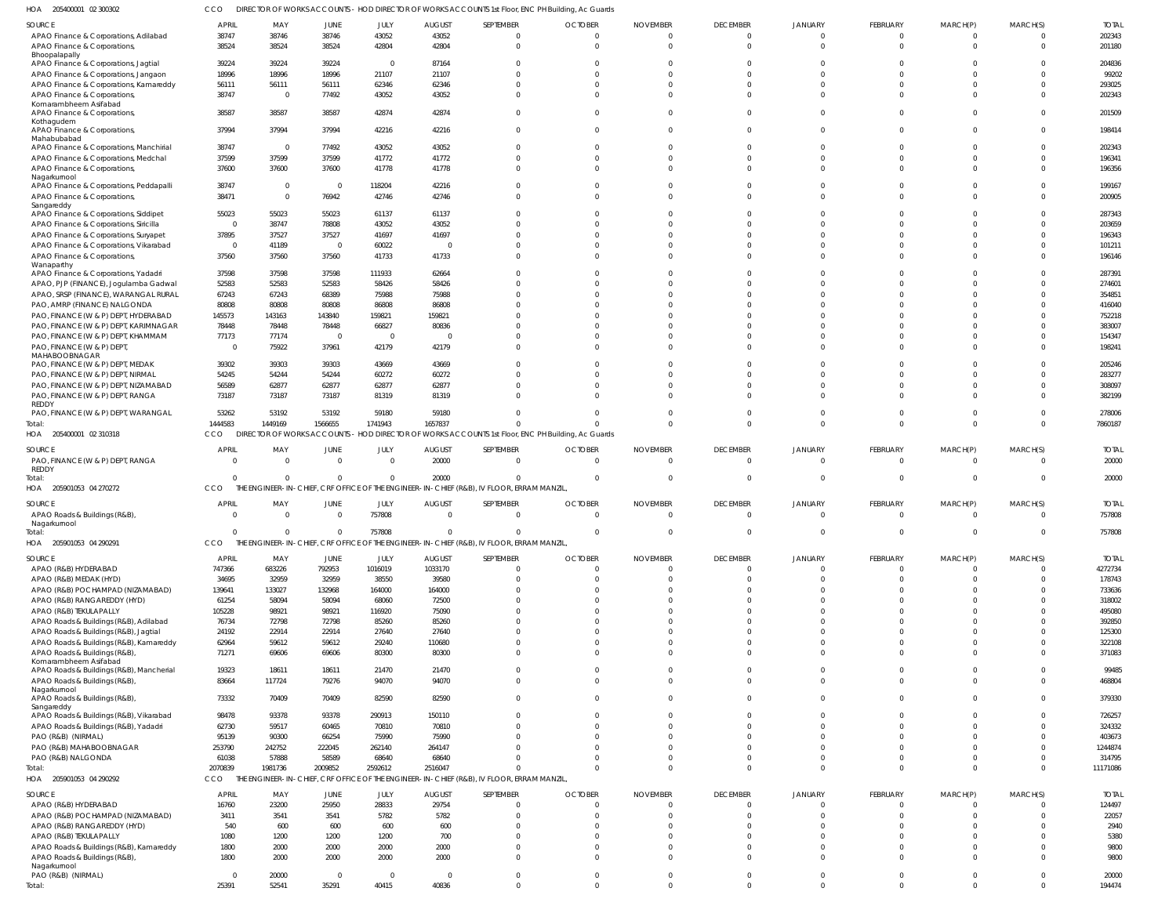205400001 02 300302 HOA CCO DIRECTOR OF WORKS ACCOUNTS - HOD DIRECTOR OF WORKS ACCOUNTS 1st Floor, ENC PH Building, Ac Guards

| <b>SOURCE</b>                                 | <b>APRIL</b>            | MAY                      | JUNE        | JULY           | <b>AUGUST</b>  | SEPTEMBER                                                                                         | <b>OCTOBER</b>        | <b>NOVEMBER</b> | <b>DECEMBER</b> | JANUARY        | FEBRUARY        | MARCH(P)       | MARCH(S)                | <b>TOTAL</b> |
|-----------------------------------------------|-------------------------|--------------------------|-------------|----------------|----------------|---------------------------------------------------------------------------------------------------|-----------------------|-----------------|-----------------|----------------|-----------------|----------------|-------------------------|--------------|
|                                               | 38747                   | 38746                    | 38746       | 43052          | 43052          | - 0                                                                                               | $\bigcap$             |                 | $\Omega$        | $\Omega$       | $\mathbf 0$     | $\mathbf 0$    | $\overline{0}$          | 202343       |
| APAO Finance & Corporations, Adilabad         |                         |                          |             |                |                |                                                                                                   |                       |                 |                 |                |                 |                |                         |              |
| APAO Finance & Corporations,                  | 38524                   | 38524                    | 38524       | 42804          | 42804          | $\Omega$                                                                                          |                       |                 | $\Omega$        |                | $\Omega$        | $\Omega$       | $\Omega$                | 201180       |
| Bhoopalapally                                 | 39224                   | 39224                    | 39224       | $\overline{0}$ | 87164          | $\Omega$                                                                                          |                       |                 |                 |                | $\Omega$        | $\Omega$       | $\Omega$                | 204836       |
| APAO Finance & Corporations, Jagtial          |                         |                          |             |                |                |                                                                                                   |                       |                 |                 |                |                 |                |                         |              |
| APAO Finance & Corporations, Jangaon          | 18996                   | 18996                    | 18996       | 21107          | 21107          | $\Omega$                                                                                          |                       |                 |                 |                | $\Omega$        | $\Omega$       | $\Omega$                | 99202        |
| APAO Finance & Corporations, Kamareddy        | 56111                   | 56111                    | 56111       | 62346          | 62346          | $\Omega$                                                                                          |                       |                 |                 |                | $\Omega$        | $\Omega$       | $\Omega$                | 293025       |
| APAO Finance & Corporations,                  | 38747                   | $\overline{\phantom{0}}$ | 77492       | 43052          | 43052          | $\Omega$                                                                                          |                       |                 |                 |                | $\Omega$        | $\Omega$       | $\Omega$                | 202343       |
| Komarambheem Asifabad                         |                         |                          |             |                |                |                                                                                                   |                       |                 |                 |                |                 |                |                         |              |
| APAO Finance & Corporations                   | 38587                   | 38587                    | 38587       | 42874          | 42874          | $\Omega$                                                                                          |                       |                 |                 |                | $\Omega$        | $\Omega$       | $\Omega$                | 201509       |
| Kothagudem                                    | 37994                   | 37994                    | 37994       | 42216          | 42216          | $\Omega$                                                                                          |                       |                 | $\Omega$        |                | $\Omega$        | $\Omega$       | $\Omega$                | 198414       |
| APAO Finance & Corporations,<br>Mahabubabad   |                         |                          |             |                |                |                                                                                                   |                       |                 |                 |                |                 |                |                         |              |
| APAO Finance & Corporations, Manchirial       | 38747                   | $\overline{\phantom{0}}$ | 77492       | 43052          | 43052          | $\Omega$                                                                                          |                       |                 |                 |                | $\Omega$        | $\Omega$       | $\Omega$                | 202343       |
| APAO Finance & Corporations, Medchal          | 37599                   | 37599                    | 37599       | 41772          | 41772          | $\Omega$                                                                                          |                       |                 | $\Omega$        |                | $\Omega$        | $\Omega$       | $\Omega$                | 196341       |
|                                               |                         |                          |             | 41778          | 41778          | $\Omega$                                                                                          |                       |                 |                 |                | $\Omega$        | $\Omega$       | $\Omega$                | 196356       |
| APAO Finance & Corporations,<br>Nagarkurnool  | 37600                   | 37600                    | 37600       |                |                |                                                                                                   |                       |                 |                 |                |                 |                |                         |              |
| APAO Finance & Corporations, Peddapalli       | 38747                   | $\overline{0}$           | $\Omega$    | 118204         | 42216          | $\Omega$                                                                                          |                       |                 | $\Omega$        | $\Omega$       | $\Omega$        | $\Omega$       | $\Omega$                | 199167       |
| APAO Finance & Corporations,                  | 38471                   | $\overline{0}$           | 76942       | 42746          | 42746          | $\Omega$                                                                                          |                       |                 | $\Omega$        |                | $\Omega$        | $\Omega$       | $\Omega$                | 200905       |
| Sangareddy                                    |                         |                          |             |                |                |                                                                                                   |                       |                 |                 |                |                 |                |                         |              |
| APAO Finance & Corporations, Siddipet         | 55023                   | 55023                    | 55023       | 61137          | 61137          | $\Omega$                                                                                          |                       |                 | <sup>0</sup>    |                | $\Omega$        | $\Omega$       | $\Omega$                | 287343       |
| APAO Finance & Corporations, Siricilla        | $\overline{\mathbf{0}}$ | 38747                    | 78808       | 43052          | 43052          | $\Omega$                                                                                          |                       |                 |                 |                | $\Omega$        | $\Omega$       | $\Omega$                | 203659       |
|                                               |                         |                          |             |                |                |                                                                                                   |                       |                 |                 |                |                 |                | $\Omega$                |              |
| APAO Finance & Corporations, Suryapet         | 37895                   | 37527                    | 37527       | 41697          | 41697          | $\Omega$                                                                                          |                       |                 |                 |                | $\Omega$        | $\Omega$       |                         | 196343       |
| APAO Finance & Corporations, Vikarabad        | $\overline{\mathbf{0}}$ | 41189                    | $\Omega$    | 60022          | $\mathfrak{c}$ | $\Omega$                                                                                          |                       |                 |                 |                | $\Omega$        | $\Omega$       | $\Omega$                | 101211       |
| APAO Finance & Corporations,                  | 37560                   | 37560                    | 37560       | 41733          | 41733          | $\Omega$                                                                                          |                       |                 |                 |                | $\Omega$        | $\Omega$       | $\Omega$                | 196146       |
| Wanaparthy                                    |                         |                          |             |                |                |                                                                                                   |                       |                 |                 |                |                 |                |                         |              |
| APAO Finance & Corporations, Yadadri          | 37598                   | 37598                    | 37598       | 111933         | 62664          | $\Omega$                                                                                          |                       |                 |                 |                | $\Omega$        | $\Omega$       | $\Omega$                | 287391       |
| APAO, PJP (FINANCE), Jogulamba Gadwal         | 52583                   | 52583                    | 52583       | 58426          | 58426          | $\Omega$                                                                                          |                       |                 |                 |                | $\Omega$        | $\Omega$       | $\Omega$                | 274601       |
| APAO, SRSP (FINANCE), WARANGAL RURAL          | 67243                   | 67243                    | 68389       | 75988          | 75988          | $\Omega$                                                                                          |                       |                 |                 |                | $\Omega$        | $\Omega$       | $\Omega$                | 354851       |
| PAO, AMRP (FINANCE) NALGONDA                  | 80808                   | 80808                    | 80808       | 86808          | 86808          | $\Omega$                                                                                          |                       |                 |                 |                | $\Omega$        | $\Omega$       | $\Omega$                | 416040       |
| PAO, FINANCE (W & P) DEPT, HYDERABAD          | 145573                  | 143163                   | 143840      | 159821         | 159821         | $\Omega$                                                                                          |                       |                 |                 |                | $\Omega$        | $\Omega$       | $\Omega$                | 752218       |
|                                               |                         | 78448                    | 78448       | 66827          | 80836          | $\Omega$                                                                                          |                       |                 |                 |                | $\Omega$        |                | $\Omega$                | 383007       |
| PAO, FINANCE (W & P) DEPT, KARIMNAGAR         | 78448                   |                          |             |                |                |                                                                                                   |                       |                 |                 |                |                 |                |                         |              |
| PAO, FINANCE (W & P) DEPT, KHAMMAM            | 77173                   | 77174                    | $\Omega$    | $\Omega$       | - C            | $\Omega$                                                                                          |                       |                 |                 |                | $\Omega$        | $\Omega$       | $\Omega$                | 154347       |
| PAO, FINANCE (W & P) DEPT,                    | $\overline{\mathbf{0}}$ | 75922                    | 37961       | 42179          | 42179          | $\Omega$                                                                                          |                       |                 |                 |                | $\Omega$        | $\Omega$       | $\Omega$                | 198241       |
| MAHABOOBNAGAR                                 |                         |                          |             |                |                |                                                                                                   |                       |                 |                 |                |                 |                |                         |              |
| PAO, FINANCE (W & P) DEPT, MEDAK              | 39302                   | 39303                    | 39303       | 43669          | 43669          | $\Omega$                                                                                          |                       |                 |                 |                | $\Omega$        | $\Omega$       | $\Omega$                | 205246       |
| PAO, FINANCE (W & P) DEPT, NIRMAL             | 54245                   | 54244                    | 54244       | 60272          | 60272          | $\Omega$                                                                                          |                       |                 |                 |                | $\Omega$        | $\Omega$       | $\Omega$                | 283277       |
| PAO, FINANCE (W & P) DEPT, NIZAMABAD          | 56589                   | 62877                    | 62877       | 62877          | 62877          | $\Omega$                                                                                          |                       |                 |                 |                | $\Omega$        | $\Omega$       | $\Omega$                | 308097       |
| PAO, FINANCE (W & P) DEPT, RANGA              | 73187                   | 73187                    | 73187       | 81319          | 81319          | $\Omega$                                                                                          |                       |                 |                 |                | $\Omega$        | $\Omega$       | $\Omega$                | 382199       |
| REDDY                                         |                         |                          |             |                |                |                                                                                                   |                       |                 |                 |                |                 |                |                         |              |
| PAO, FINANCE (W & P) DEPT, WARANGAL           | 53262                   | 53192                    | 53192       | 59180          | 59180          | $\Omega$                                                                                          |                       |                 | $\Omega$        | $\Omega$       | $\mathbf 0$     | $\mathbf 0$    | $\Omega$                | 278006       |
| Total:                                        | 1444583                 | 1449169                  | 1566655     | 1741943        | 1657837        | $\Omega$                                                                                          |                       |                 | $\Omega$        | $\Omega$       | $\overline{0}$  | $\overline{0}$ | $\overline{0}$          | 7860187      |
| HOA 205400001 02 310318                       | CCO                     |                          |             |                |                | DIRECTOR OF WORKS ACCOUNTS - HOD DIRECTOR OF WORKS ACCOUNTS 1st Floor, ENC PH Building, Ac Guards |                       |                 |                 |                |                 |                |                         |              |
|                                               |                         |                          |             |                |                |                                                                                                   |                       |                 |                 |                |                 |                |                         |              |
| SOURCE                                        | <b>APRIL</b>            | MAY                      | JUNE        | JULY           | <b>AUGUST</b>  | SEPTEMBER                                                                                         | <b>OCTOBER</b>        | <b>NOVEMBER</b> | <b>DECEMBER</b> | JANUARY        | FEBRUARY        | MARCH(P)       | MARCH(S)                | <b>TOTAL</b> |
| PAO, FINANCE (W & P) DEPT, RANGA              | $\Omega$                | $\overline{0}$           | $\Omega$    | $\Omega$       | 20000          | $\overline{0}$                                                                                    | $\Omega$              | - 0             | $\Omega$        | $\Omega$       | $\overline{0}$  | $\Omega$       | $\Omega$                | 20000        |
| REDDY                                         |                         |                          |             |                |                |                                                                                                   |                       |                 |                 |                |                 |                |                         |              |
| Total:                                        | $\Omega$                | $\Omega$                 | $\Omega$    | $\Omega$       | 20000          | $\Omega$                                                                                          | $\Omega$              | - 0             | $\Omega$        | $\Omega$       | $\overline{0}$  | $\overline{0}$ | $\overline{\mathbf{0}}$ | 20000        |
| HOA 205901053 04 270272                       | CCO                     |                          |             |                |                | THE ENGINEER-IN-CHIEF, CRF OFFICE OF THE ENGINEER-IN-CHIEF (R&B), IV FLOOR, ERRAM MANZIL,         |                       |                 |                 |                |                 |                |                         |              |
|                                               |                         |                          |             |                |                |                                                                                                   |                       |                 |                 |                |                 |                |                         |              |
| <b>SOURCE</b>                                 | <b>APRIL</b>            | MAY                      | JUNE        | JULY           | <b>AUGUST</b>  | SEPTEMBER                                                                                         | <b>OCTOBER</b>        | <b>NOVEMBER</b> | <b>DECEMBER</b> | JANUARY        | FEBRUARY        | MARCH(P)       | MARCH(S)                | <b>TOTAL</b> |
| APAO Roads & Buildings (R&B)                  | $\overline{0}$          | $\Omega$                 | $\Omega$    | 757808         | $\Omega$       | $\overline{0}$                                                                                    | $\Omega$              |                 | $\Omega$        | $\Omega$       | $\mathbf{0}$    | $\overline{0}$ | - 0                     | 757808       |
| Nagarkurnool                                  |                         |                          |             |                |                |                                                                                                   |                       |                 |                 |                |                 |                |                         |              |
| Total:                                        |                         |                          |             |                |                |                                                                                                   |                       |                 |                 |                |                 |                |                         |              |
|                                               | $\Omega$                | $\Omega$                 | $\Omega$    | 757808         | $\Omega$       | $\Omega$                                                                                          | $\cap$                |                 | $\Omega$        | $\Omega$       | $\mathbf 0$     | $\mathbf{0}$   | $\overline{0}$          | 757808       |
| HOA<br>205901053 04 290291                    | CCO                     |                          |             |                |                | THE ENGINEER-IN-CHIEF, CRF OFFICE OF THE ENGINEER-IN-CHIEF (R&B), IV FLOOR, ERRAM MANZIL,         |                       |                 |                 |                |                 |                |                         |              |
|                                               |                         |                          |             |                |                |                                                                                                   |                       |                 |                 |                |                 |                |                         |              |
| <b>SOURCE</b>                                 | <b>APRIL</b>            | MAY                      | JUNE        | JULY           | <b>AUGUST</b>  | SEPTEMBER                                                                                         | <b>OCTOBER</b>        | <b>NOVEMBER</b> | <b>DECEMBER</b> | JANUARY        | <b>FEBRUARY</b> | MARCH(P)       | MARCH(S)                | <b>TOTAL</b> |
| APAO (R&B) HYDERABAD                          | 747366                  | 683226                   | 792953      | 1016019        | 1033170        | $\overline{0}$                                                                                    | $\cap$                | $\cap$          | $\Omega$        | $\Omega$       | $\mathbf{0}$    | 0              | $\overline{0}$          | 4272734      |
| APAO (R&B) MEDAK (HYD)                        | 34695                   | 32959                    | 32959       | 38550          | 39580          | $\overline{0}$                                                                                    |                       |                 | $\Omega$        | $\Omega$       | $\mathbf 0$     | $\mathbf 0$    | $\overline{0}$          | 178743       |
| APAO (R&B) POCHAMPAD (NIZAMABAD)              | 139641                  | 133027                   | 132968      | 164000         | 164000         | $\overline{0}$                                                                                    |                       |                 |                 |                | $\Omega$        | $\Omega$       | $\Omega$                | 733636       |
| APAO (R&B) RANGAREDDY (HYD)                   | 61254                   | 58094                    | 58094       | 68060          | 72500          | $\Omega$                                                                                          |                       |                 |                 | $\Omega$       | $\Omega$        | $\Omega$       | $\Omega$                | 318002       |
| APAO (R&B) TEKULAPALLY                        | 105228                  | 98921                    | 98921       | 116920         | 75090          | $\Omega$                                                                                          |                       |                 |                 | $\Omega$       | $\Omega$        | $\Omega$       | $\Omega$                | 495080       |
|                                               |                         |                          |             |                |                | $\Omega$                                                                                          |                       |                 |                 | $\Omega$       | $\Omega$        | $\Omega$       | $\Omega$                |              |
| APAO Roads & Buildings (R&B), Adilabad        | 76734                   | 72798                    | 72798       | 85260          | 85260          |                                                                                                   |                       |                 |                 | $\Omega$       |                 |                |                         | 392850       |
| APAO Roads & Buildings (R&B), Jagtial         | 24192                   | 22914                    | 22914       | 27640          | 27640          | $\Omega$                                                                                          |                       |                 |                 |                | $\Omega$        | $\Omega$       | $\Omega$                | 125300       |
| APAO Roads & Buildings (R&B), Kamareddy       | 62964                   | 59612                    | 59612       | 29240          | 110680         | $\Omega$                                                                                          |                       |                 | $\Omega$        | $\Omega$       | $\Omega$        | $\Omega$       | $\Omega$                | 322108       |
| APAO Roads & Buildings (R&B)                  | 71271                   | 69606                    | 69606       | 80300          | 80300          | $\Omega$                                                                                          |                       |                 | $\Omega$        | $\Omega$       | $\Omega$        | $\Omega$       | $\Omega$                | 371083       |
| Komarambheem Asifabad                         |                         |                          |             |                |                |                                                                                                   |                       |                 |                 |                |                 |                |                         |              |
| APAO Roads & Buildings (R&B), Mancherial      | 19323                   | 18611                    | 18611       | 21470          | 21470          | $\Omega$                                                                                          |                       |                 | $\Omega$        | $\Omega$       | $\Omega$        | $\Omega$       | $\mathbf{0}$            | 99485        |
| APAO Roads & Buildings (R&B)                  | 83664                   | 117724                   | 79276       | 94070          | 94070          | $\Omega$                                                                                          | $\Omega$              |                 | $\Omega$        | $\Omega$       | $\Omega$        | $\Omega$       | $\Omega$                | 468804       |
| Nagarkurnool                                  |                         |                          |             |                |                |                                                                                                   |                       |                 |                 |                |                 |                |                         |              |
| APAO Roads & Buildings (R&B)                  | 73332                   | 70409                    | 70409       | 82590          | 82590          | $\Omega$                                                                                          | $\cap$                |                 | $\Omega$        | $\Omega$       | $\Omega$        | $\Omega$       | $\Omega$                | 379330       |
| Sangareddy                                    |                         |                          |             |                |                |                                                                                                   |                       |                 |                 |                |                 |                |                         |              |
| APAO Roads & Buildings (R&B), Vikarabad       | 98478                   | 93378                    | 93378       | 290913         | 150110         | $\Omega$                                                                                          |                       |                 | $\Omega$        | $\Omega$       | $\Omega$        | $\Omega$       | $\Omega$                | 726257       |
| APAO Roads & Buildings (R&B), Yadadri         | 62730                   | 59517                    | 60465       | 70810          | 70810          | $\Omega$                                                                                          |                       |                 | $\Omega$        | $\Omega$       | $\Omega$        | $\Omega$       | $\Omega$                | 324332       |
| PAO (R&B) (NIRMAL)                            | 95139                   | 90300                    | 66254       | 75990          | 75990          | $\Omega$                                                                                          |                       |                 |                 | $\Omega$       | $\Omega$        | $\Omega$       | $\Omega$                | 403673       |
| PAO (R&B) MAHABOOBNAGAR                       | 253790                  | 242752                   | 222045      | 262140         | 264147         | $\Omega$                                                                                          |                       |                 |                 | $\Omega$       | $\Omega$        | $\Omega$       | $\Omega$                | 1244874      |
| PAO (R&B) NALGONDA                            | 61038                   | 57888                    | 58589       | 68640          | 68640          | $\Omega$                                                                                          |                       |                 |                 | $\Omega$       | $\mathbf 0$     | $\mathbf 0$    | $\overline{0}$          | 314795       |
|                                               |                         |                          |             |                |                | $\Omega$                                                                                          | $\cap$                |                 | $\Omega$        | $\Omega$       | $\Omega$        | $\overline{0}$ | $\Omega$                |              |
| Total:                                        | 2070839                 | 1981736                  | 2009852     | 2592612        | 2516047        |                                                                                                   |                       |                 |                 |                |                 |                |                         | 11171086     |
| HOA 205901053 04 290292                       | CCO                     |                          |             |                |                | THE ENGINEER-IN-CHIEF, CRF OFFICE OF THE ENGINEER-IN-CHIEF (R&B), IV FLOOR, ERRAM MANZIL,         |                       |                 |                 |                |                 |                |                         |              |
|                                               | APRIL                   |                          |             |                |                |                                                                                                   |                       |                 |                 |                |                 |                |                         |              |
| SOURCE                                        |                         | MAY                      | <b>JUNE</b> | JULY           | <b>AUGUST</b>  | SEPTEMBER                                                                                         | <b>OCTOBER</b><br>- 0 | <b>NOVEMBER</b> | <b>DECEMBER</b> | JANUARY        | <b>FEBRUARY</b> | MARCH(P)       | MARCH(S)                | <b>TOTAL</b> |
| APAO (R&B) HYDERABAD                          | 16760                   | 23200                    | 25950       | 28833          | 29754          | $\overline{0}$                                                                                    |                       |                 | $\mathbf{0}$    | $\Omega$       | $\mathbf{0}$    | $\overline{0}$ | $\overline{0}$          | 124497       |
| APAO (R&B) POCHAMPAD (NIZAMABAD)              | 3411                    | 3541                     | 3541        | 5782           | 5782           | $\overline{0}$                                                                                    |                       |                 | $\Omega$        | $\Omega$       | $\mathbf 0$     | $\mathbf 0$    | $\overline{0}$          | 22057        |
| APAO (R&B) RANGAREDDY (HYD)                   | 540                     | 600                      | 600         | 600            | 600            | $\Omega$                                                                                          |                       |                 | $\Omega$        | $\Omega$       | $\mathbf 0$     | $\Omega$       | $\Omega$                | 2940         |
| APAO (R&B) TEKULAPALLY                        | 1080                    | 1200                     | 1200        | 1200           | 700            | $\Omega$                                                                                          |                       |                 | $\Omega$        | $\Omega$       | $\mathbf 0$     | $\mathbf 0$    | $\Omega$                | 5380         |
| APAO Roads & Buildings (R&B), Kamareddy       | 1800                    | 2000                     | 2000        | 2000           | 2000           | $\Omega$                                                                                          |                       |                 | $\Omega$        | $\Omega$       | $\mathbf 0$     | $\mathbf 0$    | $\Omega$                | 9800         |
|                                               | 1800                    | 2000                     | 2000        | 2000           | 2000           | $\Omega$                                                                                          |                       |                 | $\Omega$        | $\Omega$       | $\Omega$        | $\Omega$       | $\Omega$                | 9800         |
| APAO Roads & Buildings (R&B),<br>Nagarkurnool |                         |                          |             |                |                |                                                                                                   |                       |                 |                 |                |                 |                |                         |              |
|                                               | $\overline{\mathbf{0}}$ | 20000                    | $\Omega$    | $\overline{0}$ | $\overline{0}$ | $\overline{0}$                                                                                    | $\Omega$              |                 | $\mathbf{0}$    | $\overline{0}$ | $\mathbf{0}$    | $\mathbf{0}$   | $\overline{0}$          | 20000        |
| PAO (R&B) (NIRMAL)<br>Total:                  | 25391                   | 52541                    | 35291       | 40415          | 40836          | $\overline{0}$                                                                                    | $\Omega$              | $\Omega$        | $\Omega$        | $\Omega$       | $\mathbf 0$     | $\mathbf 0$    | $\Omega$                | 194474       |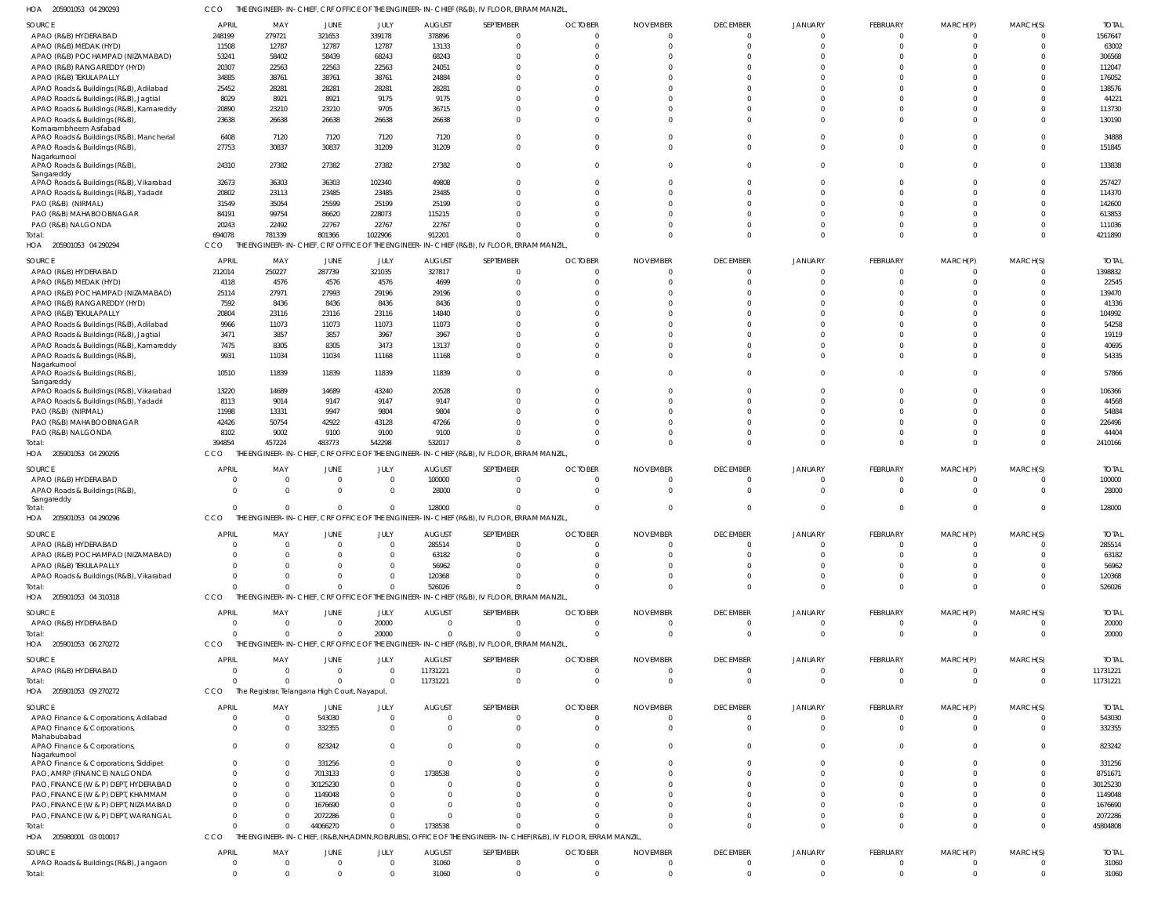205901053 04 290293 HOA CCO THE ENGINEER-IN-CHIEF, CRF OFFICE OF THE ENGINEER-IN-CHIEF (R&B), IV FLOOR, ERRAM MANZIL,

| SOURCE                                          | <b>APRIL</b>        | MAY                                           | <b>JUNE</b> | JULY                        | <b>AUGUST</b>  | SEPTEMBER                                                                                                    | <b>OCTOBER</b>    | <b>NOVEMBER</b>  | <b>DECEMBER</b>      | <b>JANUARY</b>       | FEBRUARY                | MARCH(P)                    | MARCH(S)                    | <b>TOTAL</b>   |
|-------------------------------------------------|---------------------|-----------------------------------------------|-------------|-----------------------------|----------------|--------------------------------------------------------------------------------------------------------------|-------------------|------------------|----------------------|----------------------|-------------------------|-----------------------------|-----------------------------|----------------|
| APAO (R&B) HYDERABAD                            | 248199              | 279721                                        | 321653      | 339178                      | 378896         |                                                                                                              | $\overline{0}$    | $\Omega$         | $\Omega$             |                      | $\Omega$                | $\Omega$                    | $\mathbf{0}$                | 1567647        |
| APAO (R&B) MEDAK (HYD)                          | 11508               | 12787                                         | 12787       | 12787                       | 13133          |                                                                                                              | $\Omega$          | $\Omega$         | $\Omega$             | $\cap$               | $\Omega$                | $\Omega$                    | $\Omega$                    | 63002          |
| APAO (R&B) POCHAMPAD (NIZAMABAD)                | 53241               | 58402                                         | 58439       | 68243                       | 68243          |                                                                                                              | $\Omega$          | C                | $\Omega$             |                      |                         |                             | $\Omega$                    | 306568         |
|                                                 |                     |                                               |             |                             |                |                                                                                                              |                   |                  |                      |                      |                         |                             |                             |                |
| APAO (R&B) RANGAREDDY (HYD)                     | 20307               | 22563                                         | 22563       | 22563                       | 24051          |                                                                                                              | $\Omega$          | C                | $\cap$               |                      |                         |                             | $\Omega$                    | 112047         |
| APAO (R&B) TEKULAPALLY                          | 34885               | 38761                                         | 38761       | 38761                       | 24884          |                                                                                                              | $\Omega$          | C                | $\cap$               |                      |                         |                             | $\Omega$                    | 176052         |
| APAO Roads & Buildings (R&B), Adilabad          | 25452               | 28281                                         | 28281       | 28281                       | 28281          |                                                                                                              | $\Omega$          | $\Omega$         | $\cap$               |                      |                         |                             | $\Omega$                    | 138576         |
| APAO Roads & Buildings (R&B), Jagtial           | 8029                | 8921                                          | 8921        | 9175                        | 9175           |                                                                                                              | $\Omega$          | C                |                      |                      |                         |                             | $\Omega$                    | 44221          |
|                                                 |                     |                                               |             |                             |                |                                                                                                              |                   |                  |                      |                      |                         |                             |                             |                |
| APAO Roads & Buildings (R&B), Kamareddy         | 20890               | 23210                                         | 23210       | 9705                        | 36715          |                                                                                                              | $\Omega$          | C                | $\cap$               |                      |                         | $\Omega$                    | $\Omega$                    | 113730         |
| APAO Roads & Buildings (R&B),                   | 23638               | 26638                                         | 26638       | 26638                       | 26638          |                                                                                                              | $\Omega$          | $\Omega$         | $\cap$               |                      | $\Omega$                | $\Omega$                    | $\Omega$                    | 130190         |
| Komarambheem Asifabad                           |                     |                                               |             |                             |                |                                                                                                              |                   |                  |                      |                      |                         |                             |                             |                |
| APAO Roads & Buildings (R&B), Mancherial        | 6408                | 7120                                          | 7120        | 7120                        | 7120           |                                                                                                              | $\Omega$          | $\Omega$         | $\cap$               |                      | $\Omega$                | <sup>0</sup>                | $\Omega$                    | 34888          |
| APAO Roads & Buildings (R&B)                    | 27753               | 30837                                         | 30837       | 31209                       | 31209          |                                                                                                              | $\Omega$          | $\Omega$         | $\Omega$             |                      | $\Omega$                | $\Omega$                    | $\Omega$                    | 151845         |
| Nagarkurnool                                    |                     |                                               |             |                             |                |                                                                                                              |                   |                  |                      |                      |                         |                             |                             |                |
| APAO Roads & Buildings (R&B),                   | 24310               | 27382                                         | 27382       | 27382                       | 27382          | $\Omega$                                                                                                     | $\Omega$          | $\Omega$         | $\Omega$             |                      | $\Omega$                | $\Omega$                    | $\Omega$                    | 133838         |
| Sangareddy                                      |                     |                                               |             |                             |                |                                                                                                              |                   |                  |                      |                      |                         |                             |                             |                |
| APAO Roads & Buildings (R&B), Vikarabad         | 32673               | 36303                                         | 36303       | 102340                      | 49808          |                                                                                                              | $\Omega$          | $\Omega$         | $\Omega$             |                      |                         |                             | $\Omega$                    | 257427         |
|                                                 |                     |                                               |             |                             |                |                                                                                                              | $\Omega$          | $\Omega$         | $\cap$               | $\cap$               | $\Omega$                | $\cap$                      | $\Omega$                    |                |
| APAO Roads & Buildings (R&B), Yadadri           | 20802               | 23113                                         | 23485       | 23485                       | 23485          |                                                                                                              |                   |                  |                      |                      |                         |                             |                             | 114370         |
| PAO (R&B) (NIRMAL)                              | 31549               | 35054                                         | 25599       | 25199                       | 25199          |                                                                                                              | $\Omega$          | $\Omega$         | $\cap$               |                      |                         |                             | $\Omega$                    | 142600         |
| PAO (R&B) MAHABOOBNAGAR                         | 84191               | 99754                                         | 86620       | 228073                      | 115215         |                                                                                                              | $\Omega$          | $\Omega$         | $\cap$               | $\cap$               |                         | $\Omega$                    | $\Omega$                    | 613853         |
| PAO (R&B) NALGONDA                              | 20243               | 22492                                         | 22767       | 22767                       | 22767          |                                                                                                              | $\Omega$          | $\Omega$         | $\Omega$             | $\cap$               | $\Omega$                | <sup>0</sup>                | $\Omega$                    | 111036         |
|                                                 | 694078              | 781339                                        | 801366      | 1022906                     | 912201         |                                                                                                              | $\Omega$          | $\Omega$         | $\Omega$             | $\cap$               | $\Omega$                | $\Omega$                    | $\Omega$                    | 4211890        |
| Total:                                          |                     |                                               |             |                             |                |                                                                                                              |                   |                  |                      |                      |                         |                             |                             |                |
| HOA 205901053 04 290294                         | CCO                 |                                               |             |                             |                | THE ENGINEER-IN-CHIEF, CRF OFFICE OF THE ENGINEER-IN-CHIEF (R&B), IV FLOOR, ERRAM MANZIL                     |                   |                  |                      |                      |                         |                             |                             |                |
|                                                 |                     |                                               |             |                             |                |                                                                                                              |                   |                  |                      |                      |                         |                             |                             |                |
| SOURCE                                          | <b>APRIL</b>        | MAY                                           | JUNE        | JULY                        | <b>AUGUST</b>  | SEPTEMBER                                                                                                    | <b>OCTOBER</b>    | <b>NOVEMBER</b>  | <b>DECEMBER</b>      | <b>JANUARY</b>       | FEBRUARY                | MARCH(P)                    | MARCH(S)                    | <b>TOTAL</b>   |
| APAO (R&B) HYDERABAD                            | 212014              | 250227                                        | 287739      | 321035                      | 327817         | 0                                                                                                            | $\overline{0}$    | $\Omega$         | $\Omega$             | $\Omega$             | $\mathbf 0$             | $\overline{0}$              | $\overline{0}$              | 1398832        |
| APAO (R&B) MEDAK (HYD)                          | 4118                | 4576                                          | 4576        | 4576                        | 4699           |                                                                                                              | $\Omega$          | C                | $\Omega$             | $\cap$               | $\Omega$                | $\Omega$                    | $\mathbf 0$                 | 22545          |
| APAO (R&B) POCHAMPAD (NIZAMABAD)                | 25114               | 27971                                         | 27993       | 29196                       | 29196          |                                                                                                              | $\Omega$          | C                | $\cap$               |                      |                         |                             | $\Omega$                    | 139470         |
|                                                 |                     |                                               |             |                             |                |                                                                                                              |                   |                  |                      |                      |                         |                             |                             |                |
| APAO (R&B) RANGAREDDY (HYD)                     | 7592                | 8436                                          | 8436        | 8436                        | 8436           |                                                                                                              | 0                 | C                | $\cap$               |                      |                         |                             | $\Omega$                    | 41336          |
| APAO (R&B) TEKULAPALLY                          | 20804               | 23116                                         | 23116       | 23116                       | 14840          |                                                                                                              | $\Omega$          | C                | $\cap$               |                      |                         |                             | $\Omega$                    | 104992         |
| APAO Roads & Buildings (R&B), Adilabad          | 9966                | 11073                                         | 11073       | 11073                       | 11073          |                                                                                                              | $\Omega$          | C                | $\cap$               |                      |                         |                             | $\Omega$                    | 54258          |
| APAO Roads & Buildings (R&B), Jagtial           | 3471                | 3857                                          | 3857        | 3967                        | 3967           |                                                                                                              | $\Omega$          | C                | $\cap$               |                      |                         |                             | $\Omega$                    | 19119          |
|                                                 |                     |                                               |             |                             |                |                                                                                                              |                   |                  |                      |                      |                         |                             |                             |                |
| APAO Roads & Buildings (R&B), Kamareddy         | 7475                | 8305                                          | 8305        | 3473                        | 13137          |                                                                                                              | $\Omega$          | C                | $\cap$               |                      | U                       | <sup>0</sup>                | $\Omega$                    | 40695          |
| APAO Roads & Buildings (R&B),                   | 9931                | 11034                                         | 11034       | 11168                       | 11168          |                                                                                                              | $\Omega$          | $\Omega$         | $\Omega$             | $\cap$               | $\Omega$                | $\Omega$                    | $\mathbf 0$                 | 54335          |
| Nagarkurnool                                    |                     |                                               |             |                             |                |                                                                                                              |                   |                  |                      |                      |                         |                             |                             |                |
| APAO Roads & Buildings (R&B),                   | 10510               | 11839                                         | 11839       | 11839                       | 11839          | $\Omega$                                                                                                     | $\Omega$          | $\Omega$         | $\Omega$             |                      | $\Omega$                | $\Omega$                    | $\Omega$                    | 57866          |
| Sangareddy                                      |                     |                                               |             |                             |                |                                                                                                              |                   |                  |                      |                      |                         |                             |                             |                |
| APAO Roads & Buildings (R&B), Vikarabad         | 13220               | 14689                                         | 14689       | 43240                       | 20528          |                                                                                                              | $\Omega$          | $\Omega$         | $\cap$               |                      | $\Omega$                | $\Omega$                    | $\mathbf 0$                 | 106366         |
| APAO Roads & Buildings (R&B), Yadadri           | 8113                | 9014                                          | 9147        | 9147                        | 9147           |                                                                                                              | $\Omega$          | C                | $\cap$               | $\cap$               |                         | $\Omega$                    | $\Omega$                    | 44568          |
|                                                 |                     |                                               |             |                             |                |                                                                                                              | $\Omega$          | $\Omega$         | $\cap$               | $\cap$               |                         | <sup>0</sup>                | $\Omega$                    |                |
| PAO (R&B) (NIRMAL)                              | 11998               | 13331                                         | 9947        | 9804                        | 9804           |                                                                                                              |                   |                  |                      |                      |                         |                             |                             | 54884          |
| PAO (R&B) MAHABOOBNAGAR                         | 42426               | 50754                                         | 42922       | 43128                       | 47266          |                                                                                                              | $\Omega$          | C                | $\cap$               |                      |                         | <sup>0</sup>                | $\Omega$                    | 226496         |
| PAO (R&B) NALGONDA                              | 8102                | 9002                                          | 9100        | 9100                        | 9100           |                                                                                                              | $\Omega$          | $\Omega$         | $\Omega$             | $\Omega$             | $\Omega$                | $\Omega$                    | $\mathbf 0$                 | 44404          |
| Total:                                          | 394854              | 457224                                        | 483773      | 542298                      | 532017         |                                                                                                              | $\Omega$          | $\Omega$         | $\cap$               | $\cap$               | $\Omega$                | $\Omega$                    | $\Omega$                    | 2410166        |
|                                                 |                     |                                               |             |                             |                |                                                                                                              |                   |                  |                      |                      |                         |                             |                             |                |
| HOA 205901053 04 290295                         | CCO                 |                                               |             |                             |                | THE ENGINEER-IN-CHIEF, CRF OFFICE OF THE ENGINEER-IN-CHIEF (R&B), IV FLOOR, ERRAM MANZIL,                    |                   |                  |                      |                      |                         |                             |                             |                |
| SOURCE                                          | <b>APRIL</b>        | MAY                                           | <b>JUNE</b> | JULY                        | <b>AUGUST</b>  | SEPTEMBER                                                                                                    | <b>OCTOBER</b>    | <b>NOVEMBER</b>  | <b>DECEMBER</b>      | <b>JANUARY</b>       | FEBRUARY                | MARCH(P)                    | MARCH(S)                    | <b>TOTAL</b>   |
|                                                 |                     |                                               |             |                             |                |                                                                                                              |                   |                  |                      |                      |                         |                             |                             |                |
| APAO (R&B) HYDERABAD                            | $\Omega$            | 0                                             | $\Omega$    | $\overline{0}$              | 100000         | 0                                                                                                            | $\Omega$          | $\Omega$         | $\Omega$             |                      | $\Omega$                | $\Omega$                    | $^{\circ}$                  | 100000         |
| APAO Roads & Buildings (R&B),                   | $\Omega$            | $\Omega$                                      | $\Omega$    | $\Omega$                    | 28000          | $\Omega$                                                                                                     | $\Omega$          | $\Omega$         | $\Omega$             | $\Omega$             | $\Omega$                | $\Omega$                    | $\Omega$                    | 28000          |
| Sangareddy                                      |                     |                                               |             |                             |                |                                                                                                              |                   |                  |                      |                      |                         |                             |                             |                |
| Total:                                          | $\Omega$            | $\Omega$                                      | $\Omega$    | $\mathbf 0$                 | 128000         | $\Omega$                                                                                                     | $\Omega$          | $\Omega$         | $\Omega$             | $\Omega$             | $\Omega$                | $\Omega$                    | $\mathbf{0}$                | 128000         |
| HOA 205901053 04 290296                         | CCO                 |                                               |             |                             |                | THE ENGINEER-IN-CHIEF, CRF OFFICE OF THE ENGINEER-IN-CHIEF (R&B), IV FLOOR, ERRAM MANZIL,                    |                   |                  |                      |                      |                         |                             |                             |                |
|                                                 |                     |                                               |             |                             |                |                                                                                                              |                   |                  |                      |                      |                         |                             |                             |                |
| <b>SOURCE</b>                                   | <b>APRIL</b>        | MAY                                           | JUNE        | JULY                        | <b>AUGUST</b>  | SEPTEMBER                                                                                                    | <b>OCTOBER</b>    | <b>NOVEMBER</b>  | <b>DECEMBER</b>      | <b>JANUARY</b>       | <b>FEBRUARY</b>         | MARCH(P)                    | MARCH(S)                    | <b>TOTAL</b>   |
| APAO (R&B) HYDERABAD                            | $\Omega$            | $\Omega$                                      |             | $\Omega$                    | 285514         |                                                                                                              | $\Omega$          | $\Omega$         | $\cap$               |                      | $\Omega$                | $\Omega$                    | $\Omega$                    | 285514         |
| APAO (R&B) POCHAMPAD (NIZAMABAD)                | $\Omega$            |                                               |             |                             |                |                                                                                                              |                   | $\Omega$         | $\Omega$             | $\Omega$             | $\Omega$                | $\Omega$                    | $\Omega$                    |                |
|                                                 |                     | $\Omega$                                      |             | $\mathbf{0}$                | 63182          |                                                                                                              | $\Omega$          |                  |                      |                      |                         |                             |                             | 63182          |
| APAO (R&B) TEKULAPALLY                          | $\Omega$            | $\Omega$                                      |             | $\Omega$                    | 56962          |                                                                                                              | $\Omega$          | $\Omega$         | $\cap$               | $\cap$               | $\Omega$                | $\Omega$                    | $\Omega$                    | 56962          |
| APAO Roads & Buildings (R&B), Vikarabad         | $\Omega$            | 0                                             |             | $\Omega$                    | 120368         |                                                                                                              | $\Omega$          | $\Omega$         | $\cap$               | $\Omega$             | $\Omega$                | $\Omega$                    | $\mathbf 0$                 | 120368         |
| Total:                                          | $\Omega$            | $\Omega$                                      | $\cap$      | $\Omega$                    | 526026         |                                                                                                              | $\Omega$          | $\Omega$         | $\Omega$             | $\Omega$             | $\Omega$                | $\Omega$                    | $\mathbf 0$                 | 526026         |
| HOA 205901053 04 310318                         | CCO                 |                                               |             |                             |                | THE ENGINEER-IN-CHIEF, CRF OFFICE OF THE ENGINEER-IN-CHIEF (R&B), IV FLOOR, ERRAM MANZIL,                    |                   |                  |                      |                      |                         |                             |                             |                |
|                                                 |                     |                                               |             |                             |                |                                                                                                              |                   |                  |                      |                      |                         |                             |                             |                |
| SOURCE                                          | <b>APRIL</b>        | MAY                                           | <b>JUNE</b> | JULY                        | <b>AUGUST</b>  | SEPTEMBER                                                                                                    | <b>OCTOBER</b>    | <b>NOVEMBER</b>  | <b>DECEMBER</b>      | JANUARY              | FEBRUARY                | MARCH(P)                    | MARCH(S)                    | <b>TOTAL</b>   |
| APAO (R&B) HYDERABAD                            | $\Omega$            | $\overline{0}$                                | $\Omega$    | 20000                       | $\Omega$       | $\mathbf{0}$                                                                                                 | $\overline{0}$    | $\overline{0}$   | $\Omega$             | - 0                  | $\overline{0}$          | $\overline{0}$              | $\mathbf{0}$                | 20000          |
|                                                 |                     |                                               |             |                             |                |                                                                                                              |                   |                  |                      |                      |                         |                             |                             |                |
| Total:                                          | $\Omega$            | $\Omega$                                      | $\Omega$    | 20000                       | $\Omega$       | $\Omega$                                                                                                     | $\Omega$          | $\Omega$         | $\Omega$             | $\Omega$             | $\Omega$                | $\mathbf{0}$                | $\overline{0}$              | 20000          |
| HOA 205901053 06 270272                         | CCO                 |                                               |             |                             |                | THE ENGINEER-IN-CHIEF, CRF OFFICE OF THE ENGINEER-IN-CHIEF (R&B), IV FLOOR, ERRAM MANZIL                     |                   |                  |                      |                      |                         |                             |                             |                |
|                                                 |                     |                                               |             |                             |                |                                                                                                              |                   |                  |                      |                      |                         |                             |                             |                |
| SOURCE                                          | <b>APRIL</b>        | MAY                                           | JUNE        | JULY                        | <b>AUGUST</b>  | SEPTEMBER                                                                                                    | <b>OCTOBER</b>    | <b>NOVEMBER</b>  | <b>DECEMBER</b>      | <b>JANUARY</b>       | FEBRUARY                | MARCH(P)                    | MARCH(S)                    | <b>TOTAL</b>   |
| APAO (R&B) HYDERABAD                            | $\overline{0}$      | 0                                             | $\Omega$    | $\overline{0}$              | 11731221       | 0                                                                                                            | $\overline{0}$    | $\overline{0}$   | $\Omega$             | $\Omega$             | $\overline{0}$          | $\overline{0}$              | $\overline{0}$              | 11731221       |
| Total:                                          | $\Omega$            | $\Omega$                                      | $\cap$      | $\Omega$                    | 11731221       | 0                                                                                                            | $\overline{0}$    | $\Omega$         | $\Omega$             | $\Omega$             | $\overline{0}$          | $\mathbf{0}$                | $\overline{0}$              | 11731221       |
| HOA 205901053 09 270272                         | CCO                 | The Registrar, Telangana High Court, Nayapul, |             |                             |                |                                                                                                              |                   |                  |                      |                      |                         |                             |                             |                |
|                                                 |                     |                                               |             |                             |                |                                                                                                              |                   |                  |                      |                      |                         |                             |                             |                |
| SOURCE                                          | <b>APRIL</b>        | MAY                                           | <b>JUNE</b> | JULY                        | <b>AUGUST</b>  | SEPTEMBER                                                                                                    | <b>OCTOBER</b>    | <b>NOVEMBER</b>  | <b>DECEMBER</b>      | JANUARY              | FEBRUARY                | MARCH(P)                    | MARCH(S)                    | <b>TOTAL</b>   |
|                                                 |                     |                                               |             |                             |                |                                                                                                              |                   |                  |                      |                      |                         |                             |                             |                |
| APAO Finance & Corporations, Adilabad           | $\overline{0}$      | $\overline{0}$                                | 543030      | $\overline{0}$              | - 0            | 0                                                                                                            | $\overline{0}$    | $\Omega$         | $\Omega$             | $\Omega$             | $\Omega$                | $\Omega$                    | $^{\circ}$                  | 543030         |
| APAO Finance & Corporations,                    | $\Omega$            | $\overline{0}$                                | 332355      | $\overline{0}$              | $\mathsf{C}$   | $\mathbf{0}$                                                                                                 | $\overline{0}$    | $\overline{0}$   | $\Omega$             | $\Omega$             | $\Omega$                | $\overline{0}$              | $\mathbf 0$                 | 332355         |
| Mahabubabad                                     |                     |                                               |             |                             |                |                                                                                                              |                   |                  |                      |                      |                         |                             |                             |                |
| APAO Finance & Corporations,                    | $\Omega$            | 0                                             | 823242      | $\Omega$                    |                | $\Omega$                                                                                                     | $\Omega$          | $\Omega$         | $\Omega$             |                      | $\Omega$                | $\Omega$                    | $\Omega$                    | 823242         |
| Nagarkurnool                                    |                     |                                               |             |                             |                |                                                                                                              |                   |                  |                      |                      |                         |                             |                             |                |
| APAO Finance & Corporations, Siddipet           | $\Omega$            | $\Omega$                                      | 331256      | $\Omega$                    |                |                                                                                                              | 0                 | $\Omega$         | $\Omega$             |                      |                         |                             | $\Omega$                    | 331256         |
| PAO, AMRP (FINANCE) NALGONDA                    | $\Omega$            | $\Omega$                                      | 7013133     | $\Omega$                    | 1738538        |                                                                                                              | $\Omega$          | $\Omega$         | $\Omega$             |                      |                         |                             | $\Omega$                    | 8751671        |
|                                                 | $\Omega$            | $\Omega$                                      |             | <sup>0</sup>                |                |                                                                                                              |                   | C                | $\Omega$             |                      |                         |                             | $\Omega$                    |                |
| PAO, FINANCE (W & P) DEPT, HYDERABAD            |                     |                                               | 30125230    |                             |                |                                                                                                              | -0                |                  |                      |                      |                         |                             |                             | 30125230       |
| PAO, FINANCE (W & P) DEPT, KHAMMAM              | $\Omega$            | $\Omega$                                      | 1149048     | <sup>0</sup>                |                |                                                                                                              |                   |                  |                      |                      |                         |                             | $\Omega$                    | 1149048        |
| PAO, FINANCE (W & P) DEPT, NIZAMABAD            | $\Omega$            | $\Omega$                                      | 1676690     |                             |                |                                                                                                              |                   |                  |                      |                      |                         |                             | -C                          | 1676690        |
| PAO, FINANCE (W & P) DEPT, WARANGAL             | $\Omega$            | $\Omega$                                      | 2072286     | <sup>0</sup>                |                |                                                                                                              | $\cap$            | -C               | $\Omega$             |                      | U                       | <sup>0</sup>                | $\Omega$                    | 2072286        |
| Total:                                          | $\Omega$            | $\Omega$                                      | 44066270    | $\Omega$                    | 1738538        |                                                                                                              | $\Omega$          | $\Omega$         | $\Omega$             | $\cap$               | $\Omega$                | $\Omega$                    | $\Omega$                    | 45804808       |
|                                                 |                     |                                               |             |                             |                |                                                                                                              |                   |                  |                      |                      |                         |                             |                             |                |
|                                                 |                     |                                               |             |                             |                |                                                                                                              |                   |                  |                      |                      |                         |                             |                             |                |
| HOA 205980001 03 010017                         | CCO                 |                                               |             |                             |                | THE ENGINEER-IN-CHIEF, (R&B,NH,ADMN,ROB/RUBS), OFFICE OF THE ENGINEER-IN-CHIEF(R&B), IV FLOOR, ERRAM MANZIL, |                   |                  |                      |                      |                         |                             |                             |                |
|                                                 |                     |                                               |             |                             |                |                                                                                                              |                   |                  |                      |                      |                         |                             |                             |                |
| SOURCE                                          | <b>APRIL</b>        | MAY                                           | JUNE        | JULY                        | <b>AUGUST</b>  | SEPTEMBER                                                                                                    | <b>OCTOBER</b>    | <b>NOVEMBER</b>  | <b>DECEMBER</b>      | <b>JANUARY</b>       | FEBRUARY                | MARCH(P)                    | MARCH(S)                    | <b>TOTAL</b>   |
| APAO Roads & Buildings (R&B), Jangaon<br>Total: | 0<br>$\overline{0}$ | 0                                             | $\Omega$    | $\mathbf{0}$<br>$\mathbf 0$ | 31060<br>31060 | 0<br>0                                                                                                       | 0<br>$\mathbf{0}$ | 0<br>$\mathbf 0$ | $\Omega$<br>$\Omega$ | $\Omega$<br>$\Omega$ | $\mathbf 0$<br>$\Omega$ | $\mathbf{0}$<br>$\mathbf 0$ | $\mathbf{0}$<br>$\mathbf 0$ | 31060<br>31060 |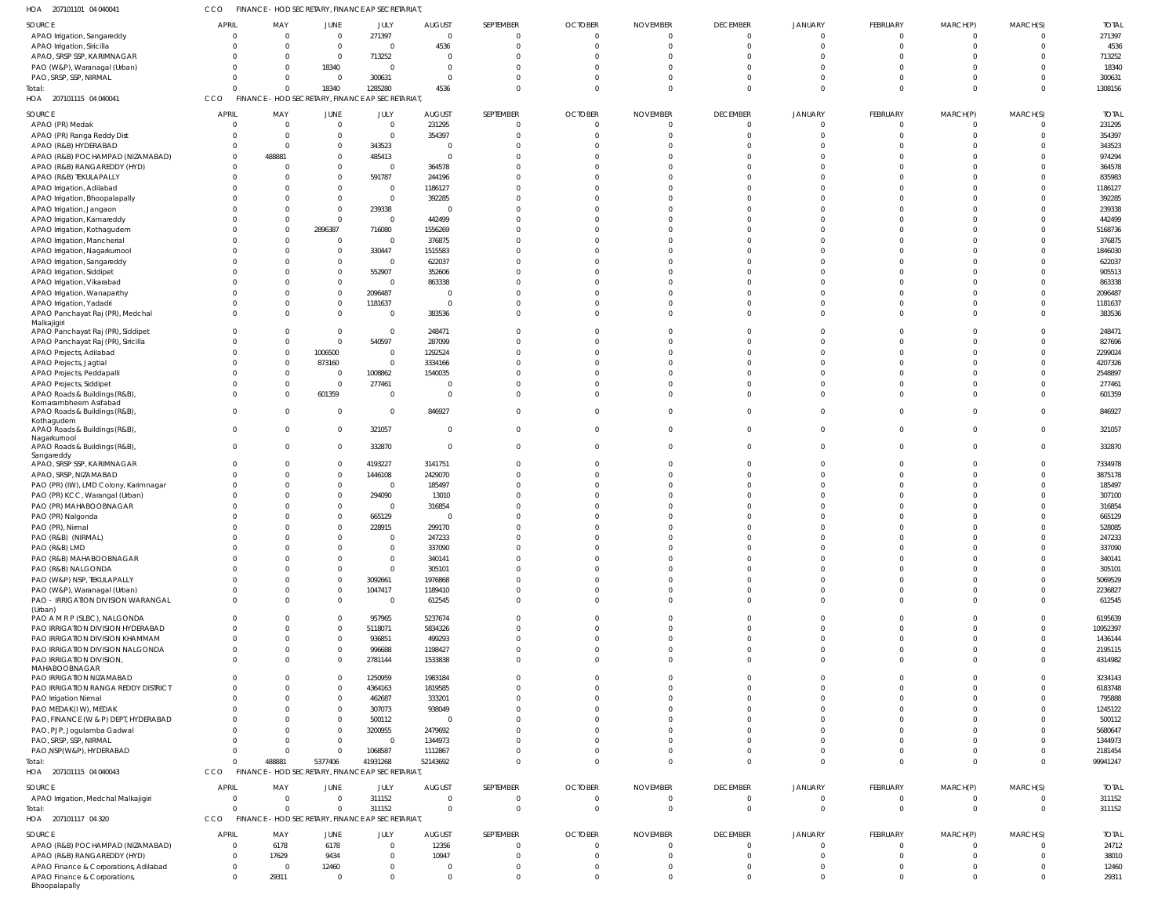| 207101101 04 040041<br>HOA                                            | CCO                     |                            | FINANCE - HOD SECRETARY, FINANCE AP SECRETARIAT             |                      |                              |                       |                                  |                             |                                |                                  |                          |               |                         |                        |
|-----------------------------------------------------------------------|-------------------------|----------------------------|-------------------------------------------------------------|----------------------|------------------------------|-----------------------|----------------------------------|-----------------------------|--------------------------------|----------------------------------|--------------------------|---------------|-------------------------|------------------------|
| SOURCE                                                                | <b>APRIL</b>            | MAY                        | JUNE                                                        | JULY                 | <b>AUGUST</b>                | SEPTEMBER             | <b>OCTOBER</b>                   | <b>NOVEMBER</b>             | <b>DECEMBER</b>                | JANUARY                          | FEBRUARY                 | MARCH(P)      | MARCH(S)                | <b>TOTAL</b>           |
| APAO Irrigation, Sangareddy                                           |                         | $\Omega$                   | $\overline{0}$                                              | 271397               | $\overline{0}$               | $\Omega$              | $\overline{0}$                   |                             | $\mathbf 0$                    | $\overline{0}$                   | $\mathbf{0}$             | 0             | $\overline{0}$          | 271397                 |
| APAO Irrigation, Siricilla<br>APAO, SRSP SSP, KARIMNAGAR              |                         | $\Omega$<br>$\overline{0}$ | $\overline{0}$<br>$\mathbf{0}$                              | $\Omega$<br>713252   | 4536<br>$\Omega$             | $\Omega$<br>$\Omega$  | $\Omega$<br>$\Omega$             |                             | $\Omega$<br>$\Omega$           | $\Omega$<br>$\Omega$             | $\Omega$<br>$\Omega$     |               | $\Omega$<br>$\Omega$    | 4536<br>713252         |
| PAO (W&P), Waranagal (Urban)                                          |                         | $\Omega$                   | 18340                                                       | $\Omega$             | $\Omega$                     | $\Omega$              | $\Omega$                         |                             |                                | $\Omega$                         | $\Omega$                 |               | $\Omega$                | 18340                  |
| PAO, SRSP, SSP, NIRMAL                                                |                         | $\Omega$                   | $\overline{0}$                                              | 300631               | $\Omega$                     | $\Omega$              | $\Omega$                         |                             |                                | $\Omega$                         | $\Omega$                 |               | $\Omega$                | 300631                 |
| Total:                                                                |                         | $\Omega$                   | 18340                                                       | 1285280              | 4536                         | $\Omega$              | $\Omega$                         |                             | $\Omega$                       | $\overline{0}$                   | $\Omega$                 | $\Omega$      | $\Omega$                | 1308156                |
| HOA 207101115 04 040041                                               | CCO                     |                            | FINANCE - HOD SECRETARY, FINANCE AP SECRETARIAT             |                      |                              |                       |                                  |                             |                                |                                  |                          |               |                         |                        |
| SOURCE                                                                | <b>APRIL</b>            | MAY                        | <b>JUNE</b>                                                 | JULY                 | <b>AUGUST</b>                | SEPTEMBER             | <b>OCTOBER</b>                   | <b>NOVEMBER</b>             | <b>DECEMBER</b>                | <b>JANUARY</b>                   | FEBRUARY                 | MARCH(P)      | MARCH(S)                | <b>TOTAL</b>           |
| APAO (PR) Medak                                                       |                         | $\Omega$                   | $\mathbf{0}$                                                | $\Omega$<br>$\Omega$ | 231295                       | $\Omega$<br>$\Omega$  | $\Omega$<br>$\Omega$             |                             | 0                              | $\Omega$                         | $\Omega$<br>$\Omega$     |               | $\Omega$<br>$\Omega$    | 231295                 |
| APAO (PR) Ranga Reddy Dist<br>APAO (R&B) HYDERABAD                    |                         | $\Omega$<br>$\Omega$       | $\overline{0}$<br>$\Omega$                                  | 343523               | 354397<br>$\Omega$           |                       | <sup>0</sup>                     |                             | $\Omega$                       | $\Omega$<br>$\Omega$             | $\Omega$                 |               | $\Omega$                | 354397<br>343523       |
| APAO (R&B) POCHAMPAD (NIZAMABAD)                                      |                         | 488881                     | $\Omega$                                                    | 485413               | $\Omega$                     | $\Omega$              |                                  |                             |                                |                                  |                          |               | $\Omega$                | 974294                 |
| APAO (R&B) RANGAREDDY (HYD)                                           |                         | $\Omega$                   | $\Omega$                                                    | - 0                  | 364578                       |                       |                                  |                             |                                |                                  |                          |               | $\Omega$                | 364578                 |
| APAO (R&B) TEKULAPALLY                                                |                         | $\Omega$                   | $\Omega$                                                    | 591787               | 244196                       | $\Omega$              |                                  |                             |                                | $\Omega$                         |                          |               | $\Omega$                | 835983                 |
| APAO Irrigation, Adilabad<br>APAO Irrigation, Bhoopalapally           |                         | $\Omega$                   | $\Omega$<br>$\Omega$                                        | - 0<br>$\Omega$      | 1186127<br>392285            |                       |                                  |                             |                                |                                  |                          |               | $\Omega$<br>$\Omega$    | 1186127<br>392285      |
| APAO Irrigation, Jangaon                                              |                         | $\Omega$                   | $\Omega$                                                    | 239338               | $\Omega$                     |                       |                                  |                             |                                | <sup>0</sup>                     |                          |               | $\Omega$                | 239338                 |
| APAO Irrigation, Kamareddy                                            |                         | $\Omega$                   | $\Omega$                                                    | $\Omega$             | 442499                       |                       |                                  |                             |                                | $\Omega$                         |                          |               | $\Omega$                | 442499                 |
| APAO Irrigation, Kothagudem                                           |                         | $\Omega$                   | 2896387                                                     | 716080               | 1556269                      |                       |                                  |                             |                                |                                  |                          |               | $\Omega$                | 5168736                |
| APAO Irrigation, Mancherial                                           |                         | $\Omega$                   | $\Omega$                                                    | $\Omega$             | 376875                       |                       |                                  |                             |                                |                                  |                          |               | $\Omega$                | 376875                 |
| APAO Irrigation, Nagarkurnool<br>APAO Irrigation, Sangareddy          |                         | $\Omega$<br>$\Omega$       | $\Omega$<br>$\Omega$                                        | 330447<br>$\Omega$   | 1515583<br>622037            |                       |                                  |                             |                                | $\Omega$                         |                          |               | $\Omega$<br>$\Omega$    | 1846030<br>622037      |
| APAO Irrigation, Siddipet                                             |                         | $\Omega$                   | $\Omega$                                                    | 552907               | 352606                       |                       |                                  |                             |                                | $\Omega$                         |                          |               | $\Omega$                | 905513                 |
| APAO Irrigation, Vikarabad                                            |                         | $\Omega$                   | $\Omega$                                                    | $\sqrt{ }$           | 863338                       |                       |                                  |                             |                                |                                  |                          |               |                         | 863338                 |
| APAO Irrigation, Wanaparthy                                           |                         | $\Omega$                   | $\Omega$                                                    | 2096487              | $\Omega$                     |                       |                                  |                             |                                | $\Omega$                         |                          |               | $\Omega$                | 2096487                |
| APAO Irrigation, Yadadri                                              |                         | $\Omega$<br>$\Omega$       | $\Omega$<br>$\Omega$                                        | 1181637<br>$\Omega$  | $\Omega$<br>383536           | $\Omega$<br>$\Omega$  | $\Omega$                         |                             |                                | $\Omega$<br>$\Omega$             | $\Omega$<br>$\Omega$     |               | $\Omega$<br>$\Omega$    | 1181637<br>383536      |
| APAO Panchayat Raj (PR), Medchal<br>Malkajigiri                       |                         |                            |                                                             |                      |                              |                       |                                  |                             |                                |                                  |                          |               |                         |                        |
| APAO Panchayat Raj (PR), Siddipet                                     |                         | $\Omega$                   | $\Omega$                                                    | $\Omega$             | 248471                       | $\Omega$              |                                  |                             |                                | $\Omega$                         | $\Omega$                 |               | $\Omega$                | 248471                 |
| APAO Panchayat Raj (PR), Siricilla                                    |                         | $\Omega$                   | $\mathbf{0}$                                                | 540597               | 287099                       | $\Omega$              |                                  |                             |                                | $\Omega$                         | $\Omega$                 |               | $\Omega$                | 827696                 |
| APAO Projects, Adilabad<br>APAO Projects, Jagtial                     |                         | $\Omega$<br>$\Omega$       | 1006500<br>873160                                           | $\Omega$<br>$\Omega$ | 1292524<br>3334166           | $\Omega$              |                                  |                             |                                | $\Omega$<br>$\Omega$             | $\Omega$<br>$\Omega$     |               | $\Omega$<br>$\Omega$    | 2299024<br>4207326     |
| APAO Projects, Peddapalli                                             |                         | $\Omega$                   | $\overline{0}$                                              | 1008862              | 1540035                      |                       |                                  |                             |                                | $\Omega$                         | $\Omega$                 |               | $\Omega$                | 2548897                |
| APAO Projects, Siddipet                                               |                         | $\Omega$                   | $\overline{0}$                                              | 277461               | $\Omega$                     | $\Omega$              |                                  |                             |                                | $\Omega$                         | $\Omega$                 |               | $\Omega$                | 277461                 |
| APAO Roads & Buildings (R&B),                                         |                         | $\Omega$                   | 601359                                                      | - 0                  | $\Omega$                     | $\Omega$              | $\Omega$                         |                             |                                | $\Omega$                         | $\Omega$                 |               | $\Omega$                | 601359                 |
| Komarambheem Asifabad<br>APAO Roads & Buildings (R&B),                |                         | $\Omega$                   | $\overline{0}$                                              | $\Omega$             | 846927                       | $\Omega$              | $\Omega$                         |                             | $\Omega$                       | $\Omega$                         | $\Omega$                 |               | $\Omega$                | 846927                 |
| Kothagudem                                                            |                         |                            |                                                             |                      |                              |                       |                                  |                             |                                |                                  |                          |               |                         |                        |
| APAO Roads & Buildings (R&B),<br>Nagarkurnool                         | <sup>0</sup>            | $\Omega$                   | $\Omega$                                                    | 321057               | $\Omega$                     | $\Omega$              | $\Omega$                         |                             | $\Omega$                       | $\Omega$                         | $\Omega$                 |               | $\Omega$                | 321057                 |
| APAO Roads & Buildings (R&B),                                         | $\Omega$                | $\Omega$                   | $\Omega$                                                    | 332870               | $\Omega$                     | $\Omega$              | $\Omega$                         |                             | $\Omega$                       | $\Omega$                         | $\Omega$                 |               | $\Omega$                | 332870                 |
| Sangareddy<br>APAO, SRSP SSP, KARIMNAGAR                              |                         | $\Omega$                   | $\Omega$                                                    | 4193227              | 3141751                      | $\Omega$              |                                  |                             |                                | <sup>0</sup>                     | $\Omega$                 |               | $\Omega$                | 7334978                |
| APAO, SRSP, NIZAMABAD                                                 |                         | $\Omega$                   | $\Omega$                                                    | 1446108              | 2429070                      |                       | U                                |                             |                                | $\Omega$                         | $\Omega$                 |               | $\Omega$                | 3875178                |
| PAO (PR) (IW), LMD Colony, Karimnagar                                 |                         | $\Omega$                   | $\Omega$                                                    | $\Omega$             | 185497                       |                       |                                  |                             |                                |                                  | $\Omega$                 |               | $\Omega$                | 185497                 |
| PAO (PR) KCC, Warangal (Urban)                                        |                         | $\Omega$                   | $\Omega$                                                    | 294090               | 13010                        |                       |                                  |                             |                                |                                  |                          |               | $\Omega$                | 307100                 |
| PAO (PR) MAHABOOBNAGAR                                                |                         | $\Omega$                   | $\Omega$<br>$\Omega$                                        | 665129               | 316854<br>$\Omega$           | $\Omega$              |                                  |                             |                                |                                  |                          |               | $\Omega$                | 316854<br>665129       |
| PAO (PR) Nalgonda<br>PAO (PR), Nirmal                                 |                         |                            |                                                             | 228915               | 299170                       |                       |                                  |                             |                                |                                  |                          |               |                         | 528085                 |
| PAO (R&B) (NIRMAL)                                                    |                         | $\Omega$                   | $\Omega$                                                    | $\Omega$             | 247233                       |                       |                                  |                             |                                |                                  |                          |               |                         | 247233                 |
| PAO (R&B) LMD                                                         |                         | $\Omega$                   | $\Omega$                                                    | $\Omega$             | 337090                       | $\Omega$              | $\Omega$                         |                             |                                | $\Omega$                         | $\Omega$                 |               |                         | 337090                 |
| PAO (R&B) MAHABOOBNAGAR                                               |                         | $\Omega$<br>$\Omega$       | $\Omega$                                                    | $\Omega$<br>$\Omega$ | 340141                       | $\Omega$              | $\Omega$                         |                             |                                | $\Omega$<br>$\Omega$             |                          |               |                         | 340141                 |
| PAO (R&B) NALGONDA<br>PAO (W&P) NSP, TEKULAPALLY                      |                         | $\Omega$                   | $\Omega$<br>$\Omega$                                        | 3092661              | 305101<br>1976868            |                       |                                  |                             |                                |                                  |                          |               |                         | 305101<br>5069529      |
| PAO (W&P), Waranagal (Urban)                                          |                         | $\Omega$                   | $\Omega$                                                    | 1047417              | 1189410                      | $\Omega$              |                                  |                             |                                | $\Omega$                         | $\Omega$                 |               | $\Omega$                | 2236827                |
| PAO - IRRIGATION DIVISION WARANGAL                                    |                         | $\Omega$                   | $\Omega$                                                    | $\Omega$             | 612545                       | $\Omega$              | $\Omega$                         |                             |                                | $\Omega$                         | $\Omega$                 |               | $\Omega$                | 612545                 |
| (Urban)<br>PAO A M R P (SLBC), NALGONDA                               |                         |                            | $\Omega$                                                    | 957965               | 5237674                      | $\Omega$              |                                  |                             |                                | $\Omega$                         | $\Omega$                 |               |                         | 6195639                |
| PAO IRRIGATION DIVISION HYDERABAD                                     |                         | $\Omega$                   | $\Omega$                                                    | 5118071              | 5834326                      | $\Omega$              | $\Omega$                         |                             |                                | $\Omega$                         | $\Omega$                 |               | $\Omega$                | 10952397               |
| PAO IRRIGATION DIVISION KHAMMAM                                       |                         | $\Omega$                   | $\Omega$                                                    | 936851               | 499293                       | $\Omega$              |                                  |                             |                                | $\Omega$                         | $\Omega$                 |               | $\Omega$                | 1436144                |
| PAO IRRIGATION DIVISION NALGONDA                                      |                         | $\Omega$                   | $\Omega$                                                    | 996688               | 1198427                      | $\Omega$              |                                  |                             |                                | $\Omega$                         | $\Omega$                 |               | $\Omega$                | 2195115                |
| PAO IRRIGATION DIVISION,<br>MAHABOOBNAGAR                             |                         | $\Omega$                   | $\Omega$                                                    | 2781144              | 1533838                      | $\Omega$              | $\Omega$                         |                             |                                | $\Omega$                         | $\Omega$                 |               | $\Omega$                | 4314982                |
| PAO IRRIGATION NIZAMABAD                                              |                         | $\Omega$                   | $\Omega$                                                    | 1250959              | 1983184                      |                       | <sup>0</sup>                     |                             |                                | $\Omega$                         |                          |               | $\Omega$                | 3234143                |
| PAO IRRIGATION RANGA REDDY DISTRICT                                   |                         | $\Omega$                   | $\Omega$                                                    | 4364163              | 1819585                      |                       |                                  |                             |                                | $\Omega$                         |                          |               |                         | 6183748                |
| PAO Irrigation Nirmal<br>PAO MEDAK(IW), MEDAK                         |                         | $\Omega$<br>$\Omega$       | $\Omega$<br>$\Omega$                                        | 462687<br>307073     | 333201<br>938049             |                       | <sup>0</sup>                     |                             |                                | $\Omega$<br>$\Omega$             | $\Omega$                 |               | $\Omega$                | 795888<br>1245122      |
| PAO, FINANCE (W & P) DEPT, HYDERABAD                                  |                         | $\Omega$                   | $\Omega$                                                    | 500112               | $\Omega$                     |                       |                                  |                             |                                | $\Omega$                         |                          |               |                         | 500112                 |
| PAO, PJP, Jogulamba Gadwal                                            |                         | $\Omega$                   | $\Omega$                                                    | 3200955              | 2479692                      |                       |                                  |                             |                                | $\Omega$                         |                          |               |                         | 5680647                |
| PAO, SRSP, SSP, NIRMAL                                                |                         | $\Omega$                   | $\Omega$                                                    | $\Omega$             | 1344973                      |                       |                                  |                             |                                | $\Omega$                         |                          |               |                         | 1344973                |
| PAO, NSP (W&P), HYDERABAD                                             | $\Omega$                | $\Omega$                   | $\Omega$                                                    | 1068587              | 1112867                      | $\Omega$<br>$\Omega$  | $\Omega$<br>$\Omega$             |                             |                                | $\Omega$<br>$\Omega$             | $\Omega$<br>$\Omega$     |               | $\Omega$<br>$\Omega$    | 2181454                |
| Total:<br>HOA 207101115 04 040043                                     | CCO                     | 488881                     | 5377406<br>FINANCE - HOD SECRETARY, FINANCE AP SECRETARIAT, | 41931268             | 52143692                     |                       |                                  |                             |                                |                                  |                          |               |                         | 99941247               |
|                                                                       |                         |                            |                                                             |                      |                              |                       |                                  |                             |                                |                                  |                          |               |                         |                        |
| SOURCE<br>APAO Irrigation, Medchal Malkajigiri                        | <b>APRIL</b><br>0       | MAY<br>$\Omega$            | <b>JUNE</b><br>$\overline{0}$                               | JULY<br>311152       | <b>AUGUST</b><br>$\mathbf 0$ | SEPTEMBER<br>$\Omega$ | <b>OCTOBER</b><br>$\overline{0}$ | <b>NOVEMBER</b><br>$\Omega$ | <b>DECEMBER</b><br>$\mathbf 0$ | <b>JANUARY</b><br>$\overline{0}$ | FEBRUARY<br>$\mathbf{0}$ | MARCH(P)<br>0 | MARCH(S)<br>$\mathbf 0$ | <b>TOTAL</b><br>311152 |
| Total:                                                                | $\Omega$                | $\Omega$                   | $\overline{0}$                                              | 311152               | $\Omega$                     | $\Omega$              | $\Omega$                         |                             | $\Omega$                       | $\Omega$                         | $\Omega$                 | $\Omega$      | $\Omega$                | 311152                 |
| HOA 207101117 04 320                                                  | CCO                     |                            | FINANCE - HOD SECRETARY, FINANCE AP SECRETARIAT,            |                      |                              |                       |                                  |                             |                                |                                  |                          |               |                         |                        |
| SOURCE                                                                | <b>APRIL</b>            | MAY                        | JUNE                                                        | JULY                 | <b>AUGUST</b>                | SEPTEMBER             | <b>OCTOBER</b>                   | <b>NOVEMBER</b>             | <b>DECEMBER</b>                | <b>JANUARY</b>                   | FEBRUARY                 | MARCH(P)      | MARCH(S)                | <b>TOTAL</b>           |
| APAO (R&B) POCHAMPAD (NIZAMABAD)                                      | $\Omega$                | 6178                       | 6178                                                        | $\Omega$             | 12356                        | $\Omega$              | $\Omega$                         |                             | 0                              | $\Omega$                         | $\Omega$                 |               | $\Omega$                | 24712                  |
| APAO (R&B) RANGAREDDY (HYD)                                           | $\Omega$                | 17629                      | 9434                                                        | $\Omega$             | 10947                        | $\Omega$              | $\Omega$                         |                             | $\Omega$                       | $\Omega$                         | $\Omega$                 |               | $\Omega$                | 38010                  |
| APAO Finance & Corporations, Adilabad<br>APAO Finance & Corporations, | $\mathbf 0$<br>$\Omega$ | $\overline{0}$<br>29311    | 12460<br>$\mathbf{0}$                                       | $\Omega$             | $\Omega$<br>$\Omega$         | $\Omega$<br>$\Omega$  | $\Omega$<br>$\Omega$             |                             | 0<br>$\Omega$                  | $\Omega$<br>$\Omega$             | $\Omega$<br>$\Omega$     | $\Omega$      | $\Omega$<br>$\Omega$    | 12460<br>29311         |
| Bhoopalapally                                                         |                         |                            |                                                             |                      |                              |                       |                                  |                             |                                |                                  |                          |               |                         |                        |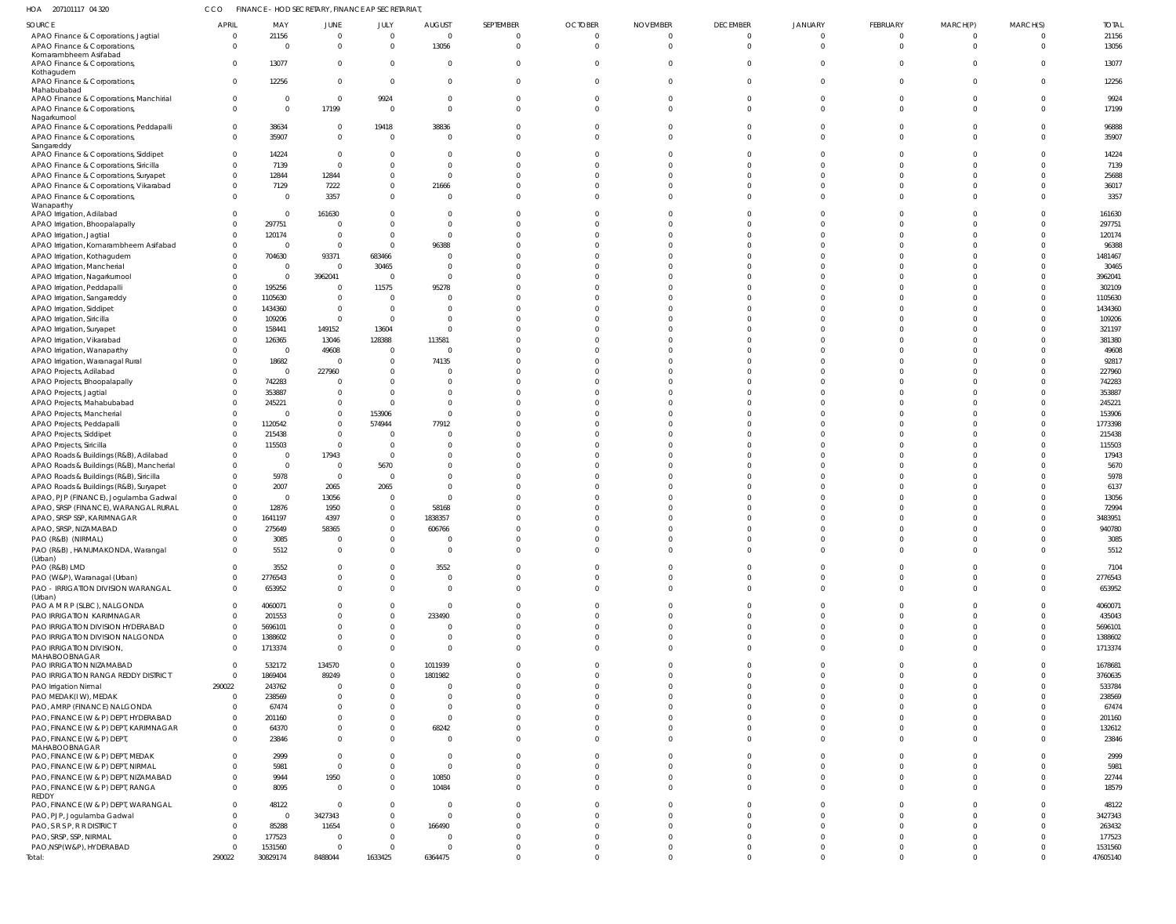| HOA | 207101117 04 320 | FINANCE - HOD SECRETARY, FINANCE AP SECRETARIAT, |
|-----|------------------|--------------------------------------------------|
|     |                  |                                                  |

| SOURCE                                                     | <b>APRIL</b>         | MAY                     | JUNE              | JULY                             | <b>AUGUST</b>           | SEPTEMBER            | <b>OCTOBER</b> | <b>NOVEMBER</b>  | <b>DECEMBER</b>      | <b>JANUARY</b> | FEBRUARY | MARCH(P) | MARCH(S)             | <b>TOTAL</b>     |
|------------------------------------------------------------|----------------------|-------------------------|-------------------|----------------------------------|-------------------------|----------------------|----------------|------------------|----------------------|----------------|----------|----------|----------------------|------------------|
| APAO Finance & Corporations, Jagtial                       | $\overline{0}$       | 21156                   | $\overline{0}$    | $\overline{0}$                   | $\overline{0}$          | $\overline{0}$       | $\overline{0}$ | $\overline{0}$   | $\overline{0}$       | $\overline{0}$ | $\Omega$ | $\Omega$ | $\mathbf 0$          | 21156            |
| APAO Finance & Corporations                                | $\Omega$             | $\Omega$                | $\overline{0}$    | $\overline{0}$                   | 13056                   | $\Omega$             | $\Omega$       | $\Omega$         | $\Omega$             | $\Omega$       | $\Omega$ | $\Omega$ | $\Omega$             | 13056            |
| Komarambheem Asifabad                                      |                      |                         |                   |                                  |                         |                      |                |                  |                      |                |          |          |                      |                  |
| APAO Finance & Corporations,                               | 0                    | 13077                   | $\Omega$          | $\overline{0}$                   | $\overline{0}$          | $\mathbf 0$          | $\Omega$       | $\Omega$         | $\Omega$             | $\Omega$       |          |          | $\Omega$             | 13077            |
| Kothagudem<br>APAO Finance & Corporations,                 | $\Omega$             | 12256                   | $\overline{0}$    | $\overline{0}$                   | $\Omega$                | $\Omega$             | $\Omega$       | $\Omega$         | $\Omega$             | $\Omega$       | $\Omega$ |          | $\Omega$             | 12256            |
| Mahabubabad                                                |                      |                         |                   |                                  |                         |                      |                |                  |                      |                |          |          |                      |                  |
| APAO Finance & Corporations, Manchirial                    | 0                    | - 0                     | $\overline{0}$    | 9924                             | $\overline{0}$          | 0                    | $\overline{0}$ | $\overline{0}$   | 0                    | $\Omega$       |          |          | $\mathbf 0$          | 9924             |
| APAO Finance & Corporations,                               | $\mathbf 0$          | $\Omega$                | 17199             | $\overline{0}$                   | $\overline{0}$          | $\Omega$             | $\Omega$       | $\Omega$         | $\Omega$             | $\Omega$       | $\Omega$ | $\Omega$ | $\mathbf 0$          | 17199            |
| Nagarkurnool<br>APAO Finance & Corporations, Peddapalli    | 0                    | 38634                   | $\overline{0}$    | 19418                            | 38836                   | 0                    | $\overline{0}$ | $\Omega$         | 0                    | $\Omega$       |          |          | $\mathbf 0$          | 96888            |
| APAO Finance & Corporations,                               | $\Omega$             | 35907                   | $\overline{0}$    | $\overline{0}$                   | $\Omega$                | $\Omega$             | $\Omega$       | $\Omega$         | $\Omega$             | $\Omega$       |          |          | $\Omega$             | 35907            |
| Sangareddy                                                 |                      |                         |                   |                                  |                         |                      |                |                  |                      |                |          |          |                      |                  |
| APAO Finance & Corporations, Siddipet                      | $\Omega$             | 14224                   | $\Omega$          | 0                                | $\Omega$                | $\Omega$             |                | $\Omega$         | $\Omega$             |                |          |          | $\Omega$             | 14224            |
| APAO Finance & Corporations, Siricilla                     | $\Omega$             | 7139                    | $\overline{0}$    | $\Omega$                         | $\Omega$                | $\Omega$             | $\Omega$       | $\Omega$         | $\Omega$             | $\Omega$       |          |          | $\Omega$             | 7139             |
| APAO Finance & Corporations, Suryapet                      | $\mathbf 0$          | 12844                   | 12844             | $\mathbf{0}$                     | $\Omega$                | $\Omega$             |                | $\Omega$         | $\Omega$             | C              |          |          | $\Omega$             | 25688            |
| APAO Finance & Corporations, Vikarabad                     | $\Omega$             | 7129                    | 7222              | $\mathbf{0}$                     | 21666                   | $\Omega$             | $\Omega$       | $\Omega$         | $\Omega$             | $\Omega$       |          |          | $\Omega$             | 36017            |
| APAO Finance & Corporations,                               | $\Omega$             | $\overline{\mathbf{0}}$ | 3357              | $\mathbf{0}$                     | $\Omega$                | $\Omega$             | $\Omega$       | $\Omega$         | $\Omega$             | $\Omega$       |          |          | $\Omega$             | 3357             |
| Wanaparthy                                                 |                      |                         |                   |                                  |                         |                      |                |                  |                      |                |          |          |                      |                  |
| APAO Irrigation, Adilabad                                  | $\Omega$             | $\overline{0}$          | 161630            | $\Omega$                         | $\overline{0}$          | $\Omega$             | $\Omega$       | $\Omega$         | $\Omega$             | $\Omega$       |          |          | $\Omega$             | 161630           |
| APAO Irrigation, Bhoopalapally                             | $\Omega$             | 297751                  | $\Omega$          | $\Omega$                         | $\Omega$<br>$\Omega$    | $\Omega$             | $\Omega$       | $\cap$<br>$\cap$ | $\Omega$<br>$\Omega$ | C              |          |          | $\Omega$             | 297751           |
| APAO Irrigation, Jagtial                                   | $\Omega$             | 120174                  | $\overline{0}$    | $\overline{0}$<br>$\overline{0}$ | 96388                   | $\Omega$             |                |                  | $\Omega$             | $\Omega$<br>C  |          |          | $\Omega$<br>$\Omega$ | 120174           |
| APAO Irrigation, Komarambheem Asifabad                     | $\Omega$<br>$\Omega$ | - 0                     | $\overline{0}$    |                                  | $\Omega$                | $\Omega$<br>$\Omega$ | $\cap$         |                  | $\Omega$             | $\Omega$       |          |          | $\Omega$             | 96388            |
| APAO Irrigation, Kothagudem<br>APAO Irrigation, Mancherial | $\Omega$             | 704630<br>0             | 93371<br>$\Omega$ | 683466<br>30465                  | $\Omega$                | $\Omega$             |                |                  | $\Omega$             |                |          |          | $\Omega$             | 1481467<br>30465 |
| APAO Irrigation, Nagarkurnool                              | $\Omega$             | $\overline{0}$          | 3962041           | $\overline{0}$                   | $\Omega$                | $\Omega$             | $\cap$         |                  | $\Omega$             |                |          |          | $\Omega$             | 3962041          |
| APAO Irrigation, Peddapalli                                | $\Omega$             | 195256                  | $\overline{0}$    | 11575                            | 95278                   | -0                   |                |                  | $\Omega$             | C              |          |          | $\Omega$             | 302109           |
| APAO Irrigation, Sangareddy                                | $\Omega$             | 1105630                 | $\overline{0}$    | $\overline{0}$                   | $\Omega$                | $\Omega$             | $\cap$         |                  | $\Omega$             | $\Omega$       |          |          | $\Omega$             | 1105630          |
| APAO Irrigation, Siddipet                                  | $\Omega$             | 1434360                 | $\overline{0}$    | $\overline{0}$                   | $\Omega$                | $\Omega$             |                |                  | $\Omega$             |                |          |          | $\Omega$             | 1434360          |
| APAO Irrigation, Siricilla                                 | $\Omega$             | 109206                  | $\Omega$          | $\overline{0}$                   | $\Omega$                | $\Omega$             |                |                  | $\Omega$             |                |          |          | $\Omega$             | 109206           |
| APAO Irrigation, Suryapet                                  |                      | 158441                  | 149152            | 13604                            | $\Omega$                | $\Omega$             |                |                  | $\Omega$             | C              |          |          | $\Omega$             | 321197           |
| APAO Irrigation, Vikarabad                                 | $\Omega$             | 126365                  | 13046             | 128388                           | 113581                  | $\Omega$             |                |                  | $\Omega$             | $\Omega$       |          |          | $\Omega$             | 381380           |
| APAO Irrigation, Wanaparthy                                | $\Omega$             | - 0                     | 49608             | $\overline{0}$                   | $\Omega$                | $\Omega$             |                |                  | $\Omega$             |                |          |          | $\Omega$             | 49608            |
| APAO Irrigation, Waranagal Rural                           | $\Omega$             | 18682                   | $\Omega$          | $\overline{0}$                   | 74135                   | $\Omega$             |                |                  | $\Omega$             | C              |          |          | $\Omega$             | 92817            |
| APAO Projects, Adilabad                                    | $\Omega$             | $\overline{0}$          | 227960            | $\overline{0}$                   | $\Omega$                | -0                   |                |                  | $\Omega$             | C              |          |          | $\Omega$             | 227960           |
| APAO Projects, Bhoopalapally                               | $\Omega$             | 742283                  | $\Omega$          | $\Omega$                         | $\Omega$                | $\Omega$             | $\cap$         |                  | $\Omega$             | $\Omega$       |          |          | $\Omega$             | 742283           |
| APAO Projects, Jagtial                                     |                      | 353887                  | $\overline{0}$    | $\Omega$                         | $\Omega$                | $\Omega$             |                |                  | $\Omega$             |                |          |          | $\Omega$             | 353887           |
| APAO Projects, Mahabubabad                                 | $\Omega$             | 245221                  | $\overline{0}$    | $\Omega$                         | $\Omega$                | $\Omega$             | $\cap$         |                  | $\Omega$             | ſ              |          |          | $\Omega$             | 245221           |
| APAO Projects, Mancherial                                  | $\Omega$             | - 0                     | $\overline{0}$    | 153906                           | $\Omega$                | $\Omega$             |                |                  | $\Omega$             | C              |          |          | $\Omega$             | 153906           |
| APAO Projects, Peddapalli                                  | $\Omega$             | 1120542                 | $\overline{0}$    | 574944                           | 77912                   | $\Omega$             | $\cap$         |                  | $\Omega$             | $\Omega$       |          |          | $\Omega$             | 1773398          |
| APAO Projects, Siddipet                                    | $\Omega$             | 215438                  | $\overline{0}$    | $\Omega$                         | $\Omega$                | $\Omega$             |                |                  | $\Omega$             |                |          |          | $\Omega$             | 215438           |
| APAO Projects, Siricilla                                   | $\Omega$             | 115503                  | $\overline{0}$    | $\overline{0}$                   | $\Omega$                | $\Omega$             |                |                  | $\Omega$             |                |          |          | $\Omega$             | 115503           |
| APAO Roads & Buildings (R&B), Adilabad                     | $\Omega$             | - 0                     | 17943             | $\overline{0}$                   | $\Omega$                | $\Omega$             |                |                  | $\Omega$             | C              |          |          | $\Omega$             | 17943            |
| APAO Roads & Buildings (R&B), Mancherial                   | $\Omega$             | $\overline{0}$          | $\overline{0}$    | 5670                             | $\Omega$                | $\Omega$             |                |                  | $\Omega$             | $\Omega$       |          |          | $\Omega$             | 5670             |
| APAO Roads & Buildings (R&B), Siricilla                    | $\Omega$             | 5978                    | $\overline{0}$    | $\overline{0}$                   | $\Omega$                | $\Omega$             |                |                  | C                    |                |          |          | $\Omega$             | 5978             |
| APAO Roads & Buildings (R&B), Suryapet                     | 0                    | 2007                    | 2065              | 2065                             | $\Omega$                | $\Omega$             |                |                  | $\Omega$             |                |          |          | $\Omega$             | 6137             |
| APAO, PJP (FINANCE), Jogulamba Gadwal                      | $\mathbf 0$          | 0                       | 13056             | $\overline{0}$                   | $\Omega$                | $\Omega$             |                |                  | C                    |                |          |          | $\Omega$             | 13056            |
| APAO, SRSP (FINANCE), WARANGAL RURAL                       | $\mathbf 0$          | 12876                   | 1950              | $\overline{0}$                   | 58168                   | $\Omega$             |                |                  | $\Omega$             | $\Omega$       |          |          | $\Omega$             | 72994            |
| APAO, SRSP SSP, KARIMNAGAR                                 | $\Omega$             | 1641197                 | 4397              | $\overline{0}$                   | 1838357                 | $\Omega$             | $\Omega$       | $\Omega$         | $\Omega$             | $\Omega$       |          |          | $\Omega$             | 3483951          |
| APAO, SRSP, NIZAMABAD                                      | $\Omega$             | 275649                  | 58365             | $\Omega$                         | 606766                  | $\Omega$             | $\Omega$       |                  | $\Omega$             |                |          |          | $\Omega$             | 940780           |
| PAO (R&B) (NIRMAL)                                         |                      | 3085                    |                   |                                  |                         |                      |                |                  |                      |                |          |          |                      | 3085             |
| PAO (R&B), HANUMAKONDA, Warangal                           | $\Omega$             | 5512                    | $\Omega$          | $\Omega$                         | $\Omega$                | $\Omega$             | $\Omega$       | $\Omega$         | $\Omega$             |                |          |          | $\Omega$             | 5512             |
| (Urban)<br>PAO (R&B) LMD                                   | $\Omega$             | 3552                    | $\Omega$          | $\Omega$                         | 3552                    | $\Omega$             | $\Omega$       | $\Omega$         | $\Omega$             | $\Omega$       |          |          | $\Omega$             | 7104             |
| PAO (W&P), Waranagal (Urban)                               | $\Omega$             | 2776543                 | $\mathbf{0}$      | $\mathbf{0}$                     | $\overline{0}$          | $\Omega$             | $\Omega$       | $\Omega$         | $\Omega$             | $\Omega$       |          |          | $\Omega$             | 2776543          |
| PAO - IRRIGATION DIVISION WARANGAL                         | $\Omega$             | 653952                  | $\Omega$          | $\overline{0}$                   | $\overline{0}$          | $\Omega$             | $\Omega$       | $\Omega$         | $\Omega$             | $\Omega$       | $\Omega$ |          | $\Omega$             | 653952           |
| (Urban)                                                    |                      |                         |                   |                                  |                         |                      |                |                  |                      |                |          |          |                      |                  |
| PAO A M R P (SLBC), NALGONDA                               | $\Omega$             | 4060071                 | $\Omega$          | $\Omega$                         | $\Omega$                | $\Omega$             | $\Omega$       | $\Omega$         | $\Omega$             | C              |          |          | $\Omega$             | 4060071          |
| PAO IRRIGATION KARIMNAGAR                                  | $\Omega$             | 201553                  | $\Omega$          | $\Omega$                         | 233490                  | $\Omega$             | $\Omega$       | $\Omega$         | $\Omega$             | C              |          |          | $\Omega$             | 435043           |
| PAO IRRIGATION DIVISION HYDERABAD                          | $\Omega$             | 5696101                 | $\Omega$          | $\Omega$                         | $\Omega$                | $\Omega$             | $\Omega$       | $\Omega$         | $\Omega$             | C              |          |          | $\Omega$             | 5696101          |
| PAO IRRIGATION DIVISION NALGONDA                           | $\Omega$             | 1388602                 | $\Omega$          | $\mathbf{0}$                     | $\Omega$                | $\Omega$             | $\Omega$       | $\Omega$         | $\Omega$             | $\Omega$       |          |          | $\Omega$             | 1388602          |
| PAO IRRIGATION DIVISION,                                   | $\Omega$             | 1713374                 | $\overline{0}$    | $\overline{0}$                   | $\Omega$                | $\Omega$             | $\Omega$       | $\Omega$         | $\Omega$             | $\Omega$       |          |          | $\Omega$             | 1713374          |
| MAHABOOBNAGAR<br>PAO IRRIGATION NIZAMABAD                  | $\Omega$             | 532172                  | 134570            | 0                                | 1011939                 | $\Omega$             | $\Omega$       | $\Omega$         | -C                   |                |          |          | $\Omega$             | 1678681          |
| PAO IRRIGATION RANGA REDDY DISTRICT                        | $\Omega$             | 1869404                 | 89249             | $\mathbf{0}$                     | 1801982                 | $\Omega$             | $\Omega$       | $\Omega$         | $\Omega$             | C              |          |          | $\Omega$             | 3760635          |
| PAO Irrigation Nirmal                                      | 290022               | 243762                  | $\Omega$          | $\mathbf{0}$                     | $\Omega$                |                      |                |                  | C                    | ſ              |          |          | $\Omega$             | 533784           |
| PAO MEDAK(IW), MEDAK                                       | $\Omega$             | 238569                  | $\Omega$          | $\Omega$                         | $\Omega$                |                      | $\Omega$       |                  | C                    |                |          |          | $\Omega$             | 238569           |
| PAO, AMRP (FINANCE) NALGONDA                               | $\Omega$             | 67474                   | $\Omega$          | $\Omega$                         | $\Omega$                |                      |                |                  |                      |                |          |          |                      | 67474            |
| PAO, FINANCE (W & P) DEPT, HYDERABAD                       | $\Omega$             | 201160                  | $\Omega$          | $\Omega$                         | $\Omega$                |                      |                |                  | C                    |                |          |          | $\Omega$             | 201160           |
| PAO, FINANCE (W & P) DEPT, KARIMNAGAR                      | $\Omega$             | 64370                   | $\Omega$          | $\mathbf{0}$                     | 68242                   | $\Omega$             | $\Omega$       | $\Omega$         | $\Omega$             | $\Omega$       |          |          | $\Omega$             | 132612           |
| PAO, FINANCE (W & P) DEPT,                                 | $\Omega$             | 23846                   | $\Omega$          | $\Omega$                         | $\Omega$                | $\Omega$             | $\Omega$       | $\Omega$         | $\Omega$             | $\Omega$       |          |          | $\Omega$             | 23846            |
| MAHABOOBNAGAR                                              |                      |                         |                   |                                  |                         |                      |                |                  |                      |                |          |          |                      |                  |
| PAO, FINANCE (W & P) DEPT, MEDAK                           | $\Omega$             | 2999                    | $\Omega$          | $\Omega$                         | $\Omega$                | $\Omega$             | $\Omega$       | $\Omega$         | -C                   |                |          |          | $\Omega$             | 2999             |
| PAO, FINANCE (W & P) DEPT, NIRMAL                          | $\Omega$             | 5981                    | $\overline{0}$    | $\Omega$                         | $\overline{0}$          | $\Omega$             | $\Omega$       | $\Omega$         | $\Omega$             | $\Omega$       |          |          | $\Omega$             | 5981             |
| PAO, FINANCE (W & P) DEPT, NIZAMABAD                       | $\Omega$             | 9944                    | 1950              | $\mathbf{0}$                     | 10850                   | $\Omega$             | $\Omega$       | $\Omega$         | $\Omega$             | $\Omega$       |          |          | $\Omega$             | 22744            |
| PAO, FINANCE (W & P) DEPT, RANGA                           | $\Omega$             | 8095                    | $\Omega$          | $\overline{0}$                   | 10484                   | $\Omega$             | $\Omega$       | $\Omega$         | $\Omega$             | $\Omega$       |          |          | $\Omega$             | 18579            |
| REDDY<br>PAO, FINANCE (W & P) DEPT, WARANGAL               | $\Omega$             | 48122                   | $\Omega$          | $\mathbf{0}$                     | $\overline{\mathbf{0}}$ | $\Omega$             | $\Omega$       | $\Omega$         | C                    | -C             |          |          | $\Omega$             | 48122            |
| PAO, PJP, Jogulamba Gadwal                                 | $\Omega$             | $\Omega$                | 3427343           | $\mathbf{0}$                     | $\Omega$                | $\Omega$             | $\Omega$       | $\Omega$         | $\Omega$             | $\Omega$       |          |          | $\Omega$             | 3427343          |
| PAO, S R S P, R R DISTRICT                                 | $\Omega$             | 85288                   | 11654             | $\mathbf{0}$                     | 166490                  | $\Omega$             |                | $\Omega$         | C                    | C              |          |          |                      | 263432           |
| PAO, SRSP, SSP, NIRMAL                                     | $\Omega$             | 177523                  | $\Omega$          | $\mathbf{0}$                     | $\Omega$                | $\Omega$             | $\Omega$       | $\Omega$         | -C                   | $\Omega$       |          |          |                      | 177523           |
| PAO, NSP(W&P), HYDERABAD                                   | $\Omega$             | 1531560                 | $\Omega$          | $\Omega$                         | $\Omega$                | $\Omega$             | $\Omega$       | $\Omega$         | $\Omega$             | $\Omega$       |          |          |                      | 1531560          |
| Total:                                                     | 290022               | 30829174                | 8488044           | 1633425                          | 6364475                 | $\Omega$             | $\Omega$       | $\Omega$         | $\Omega$             | $\Omega$       |          |          | $\Omega$             | 47605140         |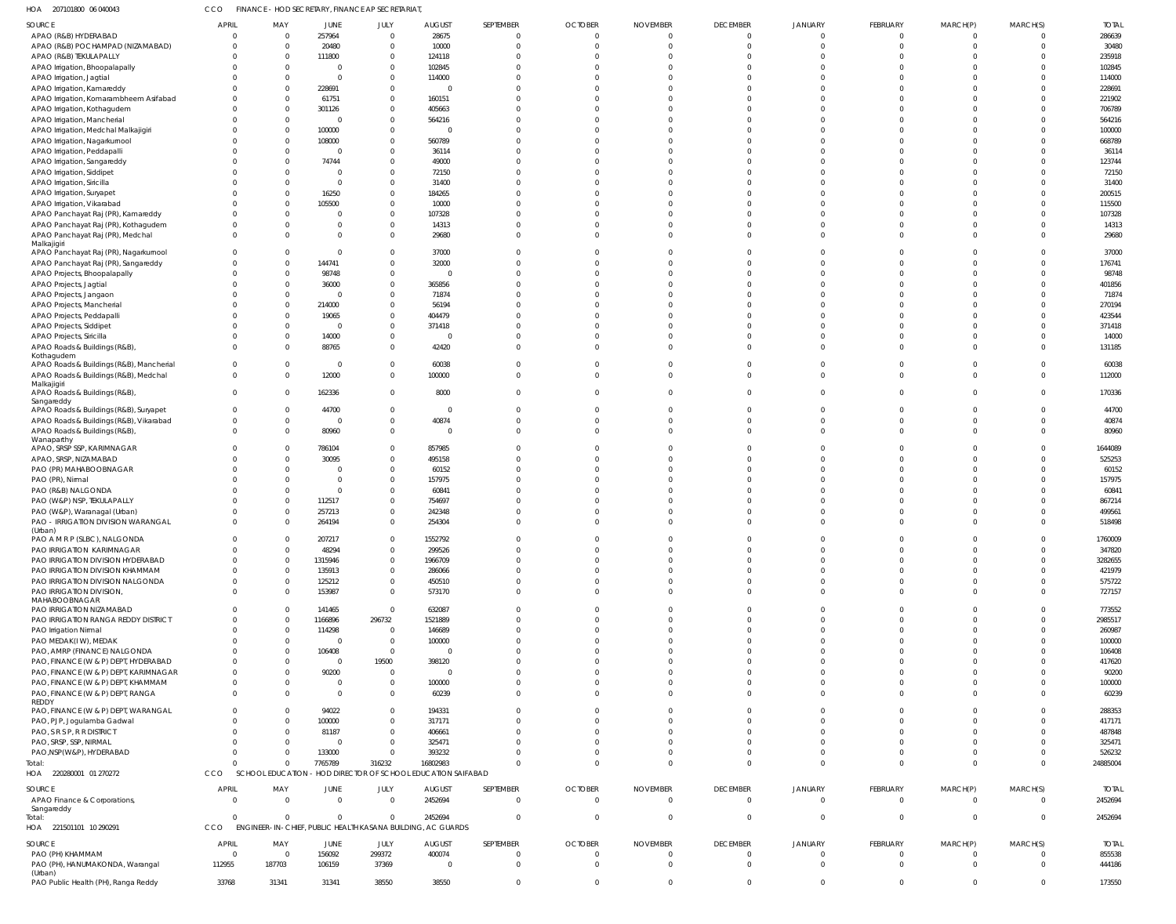| 207101800 06 040043<br>HOA                                                    | <b>CCO</b>           | FINANCE - HOD SECRETARY, FINANCE AP SECRETARIAT             |                         |                          |                                           |                      |                      |                      |                                  |                      |                      |                      |                      |                   |
|-------------------------------------------------------------------------------|----------------------|-------------------------------------------------------------|-------------------------|--------------------------|-------------------------------------------|----------------------|----------------------|----------------------|----------------------------------|----------------------|----------------------|----------------------|----------------------|-------------------|
| SOURCE                                                                        | <b>APRIL</b>         | MAY                                                         | JUNE                    | JULY                     | <b>AUGUST</b>                             | SEPTEMBER            | <b>OCTOBER</b>       | <b>NOVEMBER</b>      | <b>DECEMBER</b>                  | <b>JANUARY</b>       | FEBRUARY             | MARCH(P)             | MARCH(S)             | <b>TOTAL</b>      |
| APAO (R&B) HYDERABAD                                                          |                      | 0                                                           | 257964                  | $\mathbf 0$              | 28675                                     | $\overline{0}$       | $\overline{0}$       | $\mathbf 0$          | $\overline{0}$                   | $\mathbf{0}$         | $\Omega$             | $\overline{0}$       | $\overline{0}$       | 286639            |
| APAO (R&B) POCHAMPAD (NIZAMABAD)                                              | $\Omega$             | $\mathbf 0$                                                 | 20480                   | $\mathbf{0}$             | 10000                                     | $\Omega$             | $\Omega$             | $\Omega$             | $\mathbf 0$                      | $\Omega$             | C.                   | $\Omega$             | $\Omega$             | 30480             |
| APAO (R&B) TEKULAPALLY                                                        | $\Omega$             | $\mathbf 0$                                                 | 111800                  | $\mathbf 0$              | 124118                                    | $\Omega$             | $\Omega$             | $\Omega$             | $\Omega$                         | $\Omega$             | C.                   | $\Omega$             |                      | 235918            |
| APAO Irrigation, Bhoopalapally                                                |                      | $\mathbf 0$                                                 | 0                       | $\mathbf 0$              | 102845                                    | $\Omega$             | $\Omega$             | $\Omega$             | $\Omega$                         |                      | -C                   | $\Omega$             |                      | 102845            |
| APAO Irrigation, Jagtial                                                      |                      | $\mathbf 0$                                                 | $\Omega$                | $\Omega$                 | 114000                                    | $\Omega$             | $\Omega$             | $\Omega$             | $\Omega$                         |                      | -C                   | $\Omega$             |                      | 114000            |
| APAO Irrigation, Kamareddy                                                    | 0<br>$\Omega$        | $\Omega$<br>0                                               | 228691                  | $\mathbf{0}$<br>$\Omega$ | $\Omega$                                  | $\Omega$<br>$\Omega$ | $\Omega$<br>$\Omega$ | $\Omega$<br>$\Omega$ | $\Omega$<br>$\Omega$             |                      | -C<br>-C             | $\Omega$<br>$\Omega$ | $\Omega$             | 228691            |
| APAO Irrigation, Komarambheem Asifabad                                        |                      | $\mathbf 0$                                                 | 61751<br>301126         | $\mathbf 0$              | 160151<br>405663                          | $\Omega$             | $\Omega$             | $\Omega$             | $\Omega$                         |                      |                      | $\Omega$             | $\Omega$             | 221902<br>706789  |
| APAO Irrigation, Kothagudem<br>APAO Irrigation, Mancherial                    |                      | $\mathbf 0$                                                 | 0                       | $\Omega$                 | 564216                                    | $\Omega$             | $\Omega$             | $\Omega$             | $\Omega$                         |                      | -C                   | $\Omega$             |                      | 564216            |
| APAO Irrigation, Medchal Malkajigiri                                          |                      | $\mathbf 0$                                                 | 100000                  | $\mathbf 0$              | $\Omega$                                  | $\Omega$             | $\Omega$             | $\Omega$             | $\Omega$                         |                      | -C                   | $\Omega$             | $\Omega$             | 100000            |
| APAO Irrigation, Nagarkurnool                                                 |                      | 0                                                           | 108000                  | $\Omega$                 | 560789                                    | $\Omega$             | $\Omega$             | $\Omega$             | $\Omega$                         |                      | -C                   |                      | $\Omega$             | 668789            |
| APAO Irrigation, Peddapalli                                                   |                      | $\Omega$                                                    | 0                       | $\mathbf 0$              | 36114                                     | $\Omega$             | $\Omega$             | $\Omega$             | $\Omega$                         |                      |                      | $\Omega$             | $\Omega$             | 36114             |
| APAO Irrigation, Sangareddy                                                   |                      | 0                                                           | 74744                   | $\Omega$                 | 49000                                     | $\Omega$             | $\Omega$             | $\Omega$             | $\Omega$                         |                      | -C                   | $\Omega$             |                      | 123744            |
| APAO Irrigation, Siddipet                                                     |                      | 0                                                           | $\Omega$                | $\mathbf 0$              | 72150                                     | $\Omega$             | $\Omega$             | $\Omega$             | $\Omega$                         |                      | -C                   | $\Omega$             | $\Omega$             | 72150             |
| APAO Irrigation, Siricilla                                                    |                      | $\Omega$                                                    | $\Omega$                | $\Omega$                 | 31400                                     | $\Omega$             | $\Omega$             | $\Omega$             | $\Omega$                         |                      |                      | $\Omega$             | $\Omega$             | 31400             |
| APAO Irrigation, Suryapet                                                     |                      | 0                                                           | 16250                   | $\mathbf{0}$             | 184265                                    | $\Omega$             | $\Omega$             | $\Omega$             | $\Omega$                         |                      | -C                   | $\Omega$             | $\Omega$             | 200515            |
| APAO Irrigation, Vikarabad                                                    | $\Omega$             | 0                                                           | 105500                  | $\Omega$                 | 10000                                     | $\Omega$             | $\Omega$             | $\Omega$             | $\Omega$                         |                      | -C                   | $\Omega$             |                      | 115500            |
| APAO Panchayat Raj (PR), Kamareddy                                            | 0                    | 0                                                           | $\Omega$                | $\mathbf 0$              | 107328                                    | $\Omega$             | $\Omega$             | $\Omega$             | $\Omega$                         |                      |                      | $\Omega$             | $\Omega$             | 107328            |
| APAO Panchayat Raj (PR), Kothagudem                                           | $\Omega$             | $\Omega$                                                    | $\Omega$                | $\Omega$                 | 14313                                     | $\Omega$             | $\Omega$             | $\Omega$             | $\Omega$                         | $\Omega$             | C.                   | $\Omega$             | $\Omega$             | 14313             |
| APAO Panchayat Raj (PR), Medchal                                              | $\Omega$             | $\Omega$                                                    | $\Omega$                | $\mathbf 0$              | 29680                                     | $\Omega$             | $\Omega$             | $\Omega$             | $\Omega$                         | $\Omega$             | $\Omega$             | $\Omega$             | $\Omega$             | 29680             |
| Malkajigiri<br>APAO Panchayat Raj (PR), Nagarkurnool                          | $\Omega$             | 0                                                           | $\Omega$                | $\Omega$                 | 37000                                     | $\Omega$             | $\Omega$             | $\Omega$             | $\Omega$                         |                      | -C                   | $\Omega$             |                      | 37000             |
| APAO Panchayat Raj (PR), Sangareddy                                           | 0                    | $\mathbf 0$                                                 | 144741                  | $\mathbf 0$              | 32000                                     | $\Omega$             | $\Omega$             | $\Omega$             | $\Omega$                         |                      | -C                   | $\Omega$             |                      | 176741            |
| APAO Projects, Bhoopalapally                                                  |                      | 0                                                           | 98748                   | $\Omega$                 | $\Omega$                                  | $\Omega$             | $\Omega$             | $\Omega$             | $\Omega$                         | $\Omega$             | -C                   | $\Omega$             | $\Omega$             | 98748             |
| APAO Projects, Jagtial                                                        |                      | $\Omega$                                                    | 36000                   | $\mathbf{0}$             | 365856                                    | $\Omega$             | $\Omega$             | $\Omega$             | $\Omega$                         | $\Omega$             | -C                   | $\Omega$             | $\Omega$             | 401856            |
| APAO Projects, Jangaon                                                        |                      | $\mathbf 0$                                                 | $\Omega$                | $\Omega$                 | 71874                                     | $\Omega$             | $\Omega$             | $\Omega$             | $\Omega$                         |                      | -C                   | $\Omega$             |                      | 71874             |
| APAO Projects, Mancherial                                                     |                      | $\mathbf 0$                                                 | 214000                  | $\mathbf 0$              | 56194                                     | $\Omega$             | $\Omega$             | $\Omega$             | $\Omega$                         |                      |                      | $\Omega$             |                      | 270194            |
| APAO Projects, Peddapalli                                                     | <sup>0</sup>         | 0                                                           | 19065                   | $\Omega$                 | 404479                                    | $\Omega$             | $\Omega$             | $\Omega$             | $\Omega$                         | $\Omega$             | -C                   | $\Omega$             |                      | 423544            |
| APAO Projects, Siddipet                                                       | <sup>0</sup>         | $\mathbf 0$                                                 | 0                       | $\mathbf 0$              | 371418                                    | $\Omega$             | $\Omega$             | $\Omega$             | $\Omega$                         |                      | -C                   | $\Omega$             | $\Omega$             | 371418            |
| APAO Projects, Siricilla                                                      | $\Omega$             | $\mathbf 0$                                                 | 14000                   | $\Omega$                 | $\Omega$                                  | $\Omega$             | $\Omega$             | $\Omega$             | $\Omega$                         | $\Omega$             | C.                   | $\Omega$             | $\Omega$             | 14000             |
| APAO Roads & Buildings (R&B),                                                 | $\Omega$             | $\Omega$                                                    | 88765                   | $\Omega$                 | 42420                                     | $\Omega$             | $\Omega$             | $\Omega$             | $\Omega$                         | $\Omega$             | -C                   | $\Omega$             | $\Omega$             | 131185            |
| Kothagudem                                                                    |                      |                                                             |                         |                          |                                           |                      |                      |                      |                                  |                      |                      |                      |                      |                   |
| APAO Roads & Buildings (R&B), Mancherial                                      | $\Omega$             | $\mathbf 0$                                                 | $\overline{0}$          | $\Omega$                 | 60038                                     | $\Omega$             | $\Omega$             | $\Omega$             | $\Omega$                         | $\Omega$             | C.                   | $\Omega$             | $\Omega$             | 60038             |
| APAO Roads & Buildings (R&B), Medchal<br>Malkajigiri                          | $\Omega$             | $\mathbf 0$                                                 | 12000                   | $\mathbf 0$              | 100000                                    | $\Omega$             | $\Omega$             | $\Omega$             | $\Omega$                         | $\Omega$             | $\Omega$             | $\Omega$             | $\Omega$             | 112000            |
| APAO Roads & Buildings (R&B),                                                 | 0                    | $\mathbf 0$                                                 | 162336                  | $\mathbf 0$              | 8000                                      | $\Omega$             | $\Omega$             | $\Omega$             | $\Omega$                         | $\Omega$             | $\Omega$             | $\Omega$             | $\Omega$             | 170336            |
| Sangareddy                                                                    |                      |                                                             |                         |                          |                                           |                      |                      |                      |                                  |                      |                      |                      |                      |                   |
| APAO Roads & Buildings (R&B), Suryapet                                        | 0                    | 0                                                           | 44700                   | $\mathbf 0$              | $\overline{0}$                            | $\overline{0}$       | $\overline{0}$       | $\Omega$             | $\mathbf{0}$                     | $\Omega$             | $\Omega$             | $\mathbf{0}$         | $\mathbf{0}$         | 44700             |
| APAO Roads & Buildings (R&B), Vikarabad                                       | $\Omega$             | $\mathbf 0$                                                 | $\overline{0}$          | $\mathbf 0$              | 40874                                     | $\Omega$             | $\Omega$             | $\Omega$             | $\mathbf 0$                      | $\Omega$             | $\Omega$             | $\Omega$             | $\Omega$             | 40874             |
| APAO Roads & Buildings (R&B),                                                 | $\Omega$             | $\mathbf 0$                                                 | 80960                   | $\mathbf{0}$             | $\overline{0}$                            | $\Omega$             | $\Omega$             | $\Omega$             | $\Omega$                         | $\Omega$             | $\Omega$             | $\Omega$             | $\Omega$             | 80960             |
| Wanaparthy<br>APAO, SRSP SSP, KARIMNAGAR                                      |                      | 0                                                           | 786104                  | $\Omega$                 | 857985                                    | $\Omega$             | $\Omega$             | $\Omega$             | $\Omega$                         |                      |                      | $\Omega$             |                      | 1644089           |
| APAO, SRSP, NIZAMABAD                                                         |                      | 0                                                           | 30095                   | $\mathbf 0$              | 495158                                    | $\Omega$             | $\Omega$             | $\Omega$             | $\Omega$                         |                      | -C                   | $\Omega$             |                      | 525253            |
| PAO (PR) MAHABOOBNAGAR                                                        |                      | $\Omega$                                                    | $\Omega$                | $\Omega$                 | 60152                                     | $\Omega$             | $\Omega$             | $\Omega$             | $\Omega$                         |                      | -C                   | $\Omega$             | $\Omega$             | 60152             |
| PAO (PR), Nirmal                                                              |                      | 0                                                           | 0                       | $\mathbf{0}$             | 157975                                    | $\Omega$             | $\Omega$             |                      | $\Omega$                         |                      |                      |                      | $\Omega$             | 157975            |
| PAO (R&B) NALGONDA                                                            |                      | 0                                                           | $\Omega$                | $\Omega$                 | 60841                                     | $\Omega$             | $\Omega$             |                      | $\Omega$                         |                      |                      |                      |                      | 60841             |
| PAO (W&P) NSP, TEKULAPALLY                                                    |                      | 0                                                           | 112517                  | $\mathbf 0$              | 754697                                    |                      | $\Omega$             |                      | $\Omega$                         |                      | -C                   |                      |                      | 867214            |
| PAO (W&P), Waranagal (Urban)                                                  |                      | 0                                                           | 257213                  | $\Omega$                 | 242348                                    | $\Omega$             | $\Omega$             |                      | $\Omega$                         |                      |                      |                      |                      | 499561            |
| PAO - IRRIGATION DIVISION WARANGAL                                            |                      | $\Omega$                                                    | 264194                  | $\Omega$                 | 254304                                    | $\Omega$             |                      | $\Omega$             |                                  |                      |                      |                      |                      | 518498            |
| (Urban)                                                                       |                      |                                                             |                         |                          |                                           |                      |                      |                      |                                  |                      |                      |                      |                      |                   |
| PAO A M R P (SLBC), NALGONDA<br><b>PAO IRRIGATION KARIMNAGAR</b>              | $\Omega$<br>$\Omega$ | $\Omega$<br>$\mathbf 0$                                     | 207217<br>48294         | $\Omega$<br>$\mathbf 0$  | 1552792<br>299526                         | $\Omega$<br>$\Omega$ | $\Omega$<br>$\Omega$ | $\Omega$<br>$\Omega$ | $\overline{0}$<br>$\overline{0}$ | $\Omega$<br>$\Omega$ | $\Omega$<br>$\Omega$ | $\Omega$<br>$\Omega$ | $\Omega$<br>$\Omega$ | 1760009<br>347820 |
| PAO IRRIGATION DIVISION HYDERABAD                                             | $\Omega$             | $\mathbf 0$                                                 | 1315946                 | $\Omega$                 | 1966709                                   | $\Omega$             | $\Omega$             | $\Omega$             | $\Omega$                         | $\Omega$             | $\Omega$             | $\Omega$             |                      | 3282655           |
| PAO IRRIGATION DIVISION KHAMMAM                                               | $\Omega$             | $\mathbf 0$                                                 | 135913                  | $\mathbf 0$              | 286066                                    | $\Omega$             | $\Omega$             | $\Omega$             | $\Omega$                         | $\Omega$             | $\Omega$             | $\Omega$             | $\Omega$             | 421979            |
| PAO IRRIGATION DIVISION NALGONDA                                              | $\Omega$             | $\mathbf 0$                                                 | 125212                  | $\Omega$                 | 450510                                    | $\Omega$             | $\Omega$             | $\Omega$             | $\Omega$                         | $\Omega$             | $\Omega$             | $\Omega$             | $\Omega$             | 575722            |
| PAO IRRIGATION DIVISION,                                                      | <sup>0</sup>         | $\mathbf 0$                                                 | 153987                  | $\mathbf 0$              | 573170                                    | $\Omega$             | $\Omega$             | $\Omega$             | $\mathbf{0}$                     | $\Omega$             | $\Omega$             | $\Omega$             | $\Omega$             | 727157            |
| MAHABOOBNAGAR                                                                 |                      |                                                             |                         |                          |                                           |                      |                      |                      |                                  |                      |                      |                      |                      |                   |
| PAO IRRIGATION NIZAMABAD                                                      | <sup>0</sup>         | $\mathbf 0$                                                 | 141465                  | $\mathbf 0$              | 632087                                    | $\Omega$             | $\Omega$             | $\Omega$             | $\Omega$                         | $\Omega$             | $\Omega$             | $\Omega$             | $\Omega$             | 773552            |
| PAO IRRIGATION RANGA REDDY DISTRICT                                           |                      | $\mathbf 0$                                                 | 1166896                 | 296732                   | 1521889                                   | $\Omega$             | $\Omega$             | $\Omega$             | $\Omega$                         | $\Omega$             | $\Omega$             | $\Omega$             | $\Omega$             | 2985517           |
| PAO Irrigation Nirmal                                                         | <sup>0</sup>         | $\mathbf 0$                                                 | 114298                  | $\mathbf{0}$             | 146689                                    | $\Omega$             | $\Omega$             | $\Omega$             | $\Omega$                         | $\Omega$             | $\Omega$             | $\Omega$             | $\Omega$             | 260987            |
| PAO MEDAK(IW), MEDAK                                                          | $\Omega$             | $\mathbf 0$                                                 | $\overline{0}$          | $\mathbf 0$              | 100000                                    | $\Omega$             | $\Omega$             | $\Omega$             | $\Omega$                         | $\Omega$             | $\Omega$             | $\Omega$             | $\Omega$             | 100000            |
| PAO, AMRP (FINANCE) NALGONDA                                                  | $\Omega$             | $\mathbf 0$                                                 | 106408                  | $\mathbf 0$              | $\Omega$                                  | $\Omega$             | $\Omega$             | $\Omega$<br>$\Omega$ | $\Omega$                         | $\Omega$             | $\Omega$             | $\Omega$<br>$\Omega$ |                      | 106408            |
| PAO, FINANCE (W & P) DEPT, HYDERABAD<br>PAO, FINANCE (W & P) DEPT, KARIMNAGAR | $\Omega$<br>$\Omega$ | $\Omega$<br>$\Omega$                                        | $\overline{0}$<br>90200 | 19500<br>$\mathbf 0$     | 398120<br>$\overline{\mathbf{0}}$         | $\Omega$<br>$\Omega$ | $\Omega$<br>$\Omega$ | $\Omega$             | $\Omega$<br>$\Omega$             | $\Omega$<br>$\Omega$ | $\Omega$<br>$\Omega$ | $\Omega$             | $\Omega$             | 417620<br>90200   |
| PAO, FINANCE (W & P) DEPT, KHAMMAM                                            | $\Omega$             | $\boldsymbol{0}$                                            | $\Omega$                | $\mathbf 0$              | 100000                                    | $\Omega$             | $\Omega$             | $\Omega$             | $\Omega$                         | $\Omega$             | $\Omega$             | $\Omega$             | $\Omega$             | 100000            |
| PAO, FINANCE (W & P) DEPT, RANGA                                              | $\Omega$             | $\Omega$                                                    | $\Omega$                | $\Omega$                 | 60239                                     | $\Omega$             | $\Omega$             | $\Omega$             | $\Omega$                         | $\Omega$             | $\Omega$             | $\Omega$             | $\Omega$             | 60239             |
| REDDY                                                                         |                      |                                                             |                         |                          |                                           |                      |                      |                      |                                  |                      |                      |                      |                      |                   |
| PAO, FINANCE (W & P) DEPT, WARANGAL                                           | $\Omega$             | 0                                                           | 94022                   | $\mathbf{0}$             | 194331                                    | $\Omega$             | $\Omega$             | $\Omega$             | $\mathbf 0$                      | $\Omega$             | $\Omega$             | $\Omega$             | $\Omega$             | 288353            |
| PAO, PJP, Jogulamba Gadwal                                                    | $\Omega$             | $\Omega$                                                    | 100000                  | $\mathbf 0$              | 317171                                    | $\Omega$             | $\Omega$             | $\Omega$             | $\Omega$                         | $\Omega$             | $\Omega$             | $\Omega$             | $\Omega$             | 417171            |
| PAO, S R S P, R R DISTRICT                                                    | $\Omega$             | $\mathbf 0$                                                 | 81187                   | $\mathbf 0$              | 406661                                    | $\Omega$             | $\Omega$             | $\Omega$             | $\Omega$                         | $\Omega$             | $\Omega$             | $\Omega$             | $\Omega$             | 487848            |
| PAO, SRSP, SSP, NIRMAL                                                        | $\Omega$             | $\Omega$                                                    | $\overline{0}$          | $\mathbf 0$              | 325471                                    | $\Omega$             | $\Omega$             | $\Omega$             | $\Omega$                         | $\Omega$             | $\Omega$             | $\Omega$             | $\Omega$             | 325471            |
| PAO, NSP(W&P), HYDERABAD                                                      | $\Omega$             | $\mathbf 0$                                                 | 133000                  | $\mathbf 0$              | 393232                                    | $\Omega$             | $\Omega$             | $\Omega$             | $\mathbf 0$                      | $\mathbf{0}$         | $\Omega$             | $\Omega$             | $\Omega$             | 526232            |
| Total:                                                                        | $\Omega$             | $\Omega$                                                    | 7765789                 | 316232                   | 16802983                                  | $\Omega$             | $\Omega$             | $\Omega$             | $\Omega$                         | $\Omega$             | $\Omega$             | $\Omega$             | $\Omega$             | 24885004          |
| HOA 220280001 01 270272                                                       | CCO                  | SCHOOL EDUCATION                                            |                         |                          | HOD DIRECTOR OF SCHOOL EDUCATION SAIFABAD |                      |                      |                      |                                  |                      |                      |                      |                      |                   |
| SOURCE                                                                        | <b>APRIL</b>         | MAY                                                         | <b>JUNE</b>             | JULY                     | <b>AUGUST</b>                             | SEPTEMBER            | <b>OCTOBER</b>       | <b>NOVEMBER</b>      | <b>DECEMBER</b>                  | JANUARY              | FEBRUARY             | MARCH(P)             | MARCH(S)             | <b>TOTAL</b>      |
| APAO Finance & Corporations,                                                  | $\Omega$             | $\mathbf 0$                                                 | $\Omega$                | $\mathbf 0$              | 2452694                                   | $\Omega$             | $\mathbf{0}$         | $\overline{0}$       | $\overline{0}$                   | $\mathbf{0}$         | $\Omega$             | $\overline{0}$       | $\Omega$             | 2452694           |
| Sangareddy                                                                    |                      |                                                             |                         |                          |                                           |                      |                      |                      |                                  |                      |                      |                      |                      |                   |
| Total:                                                                        | $\Omega$             | $\mathbf 0$                                                 | $\mathbf{0}$            | $\mathbf 0$              | 2452694                                   | $\Omega$             | $\mathbf{0}$         | $\overline{0}$       | $\overline{0}$                   | $\mathbf{0}$         | $\overline{0}$       | $\overline{0}$       | $\Omega$             | 2452694           |
| HOA 221501101 10 290291                                                       | CCO                  | ENGINEER-IN-CHIEF, PUBLIC HEALTH KASANA BUILDING, AC GUARDS |                         |                          |                                           |                      |                      |                      |                                  |                      |                      |                      |                      |                   |
| SOURCE                                                                        | <b>APRIL</b>         | MAY                                                         | JUNE                    | JULY                     | <b>AUGUST</b>                             | SEPTEMBER            | <b>OCTOBER</b>       | <b>NOVEMBER</b>      | <b>DECEMBER</b>                  | <b>JANUARY</b>       | FEBRUARY             | MARCH(P)             | MARCH(S)             | <b>TOTAL</b>      |
| PAO (PH) KHAMMAM                                                              | $\Omega$             | $\mathbf 0$                                                 | 156092                  | 299372                   | 400074                                    | $\overline{0}$       | $\overline{0}$       | $\overline{0}$       | $\overline{0}$                   | $\mathbf{0}$         | $\overline{0}$       | - 0                  | $\Omega$             | 855538            |
| PAO (PH), HANUMAKONDA, Warangal                                               | 112955               | 187703                                                      | 106159                  | 37369                    | $\overline{0}$                            | $\overline{0}$       | $\mathbf{0}$         | $\overline{0}$       | $\mathbf 0$                      | $\Omega$             | $\Omega$             | $\Omega$             | $\Omega$             | 444186            |
| (Urban)<br>PAO Public Health (PH), Ranga Reddy                                | 33768                | 31341                                                       | 31341                   | 38550                    | 38550                                     | $\mathbf 0$          | $\overline{0}$       | $\mathbf{0}$         | $\mathbf 0$                      | $\mathbf 0$          | $\mathbf{0}$         | $\overline{0}$       | $\mathbf 0$          | 173550            |
|                                                                               |                      |                                                             |                         |                          |                                           |                      |                      |                      |                                  |                      |                      |                      |                      |                   |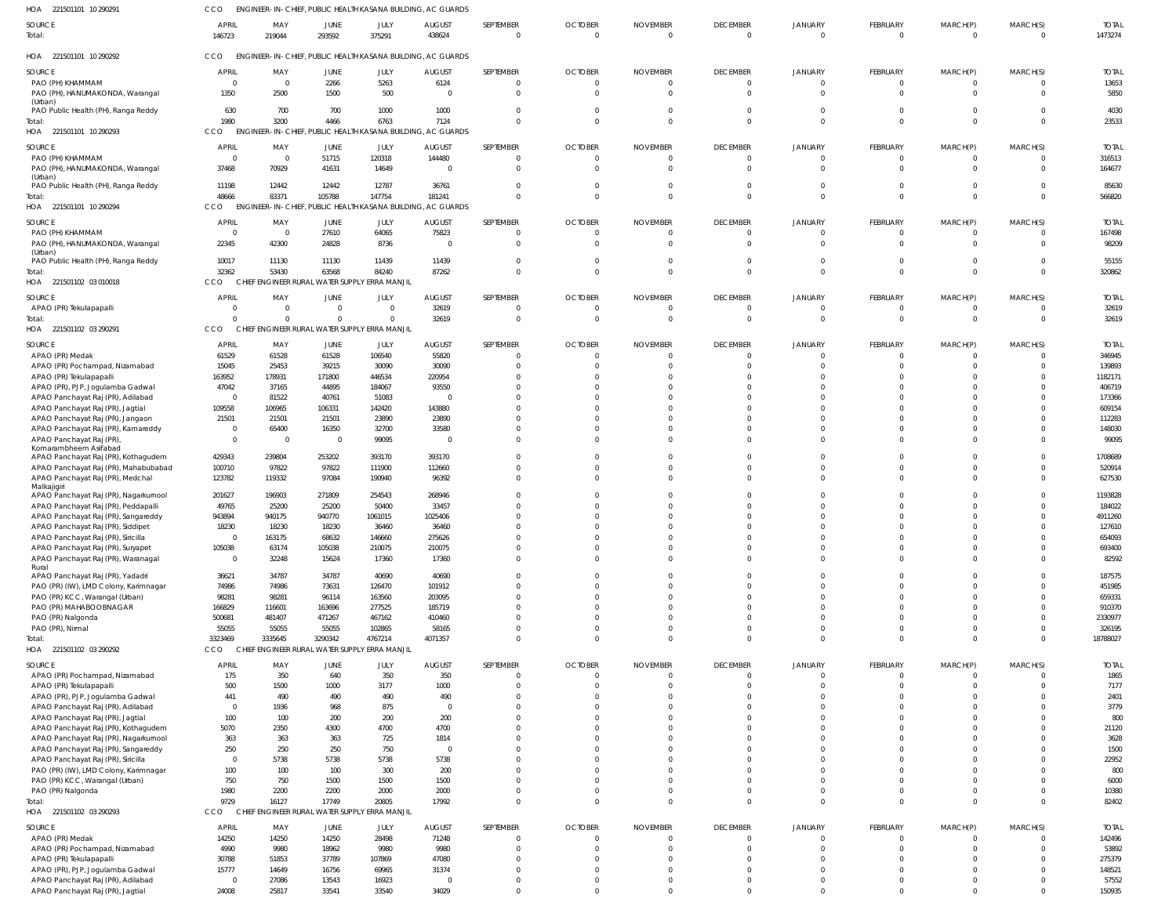221501101 10 290291 HOA 221501101 10 290292 HOA 221501101 10 290293 HOA 221501101 10 290294 HOA 221501102 03 010018 221501102 03 290291 HOA 221501102 03 290292 HOA 221501102 03 290293 HOA HOA ENGINEER-IN-CHIEF, PUBLIC HEALTH KASANA BUILDING, AC GUARDS ENGINEER-IN-CHIEF, PUBLIC HEALTH KASANA BUILDING, AC GUARDS ENGINEER-IN-CHIEF, PUBLIC HEALTH KASANA BUILDING, AC GUARDS CCO ENGINEER-IN-CHIEF, PUBLIC HEALTH KASANA BUILDING, AC GUARDS CHIEF ENGINEER RURAL WATER SUPPLY ERRA MANJIL CCO CHIEF ENGINEER RURAL WATER SUPPLY ERRA MANJIL CHIEF ENGINEER RURAL WATER SUPPLY ERRA MANJIL CHIEF ENGINEER RURAL WATER SUPPLY ERRA MANJIL CCO CCO. **CCO** CCO CCO CCO  $\Omega$   $\Omega$   $\Omega$   $\bigcap$   $\Omega$   $\Omega$  $\Omega$  $\Omega$   $\Omega$   $\Omega$  $\Omega$  $\Omega$  $\Omega$   $\Omega$  $\Omega$   $\Omega$   $\Omega$  $\Omega$  $\Omega$   $\cap$  $\Omega$   $\Omega$  $\Omega$  $\Omega$   $\Omega$  PAO (PH) KHAMMAM PAO (PH), HANUMAKONDA, Warangal (Urban) PAO Public Health (PH), Ranga Reddy PAO (PH) KHAMMAM PAO (PH), HANUMAKONDA, Warangal (Urban) PAO Public Health (PH), Ranga Reddy PAO (PH) KHAMMAM PAO (PH), HANUMAKONDA, Warangal (Urban) PAO Public Health (PH), Ranga Reddy APAO (PR) Tekulapapalli APAO (PR) Medak APAO (PR) Pochampad, Nizamabad APAO (PR) Tekulapapalli APAO (PR), PJP, Jogulamba Gadwal APAO Panchayat Raj (PR), Adilabad APAO Panchayat Raj (PR), Jagtial APAO Panchayat Raj (PR), Jangaon APAO Panchayat Raj (PR), Kamareddy APAO Panchayat Raj (PR), Komarambheem Asifabad APAO Panchayat Raj (PR), Kothagudem APAO Panchayat Raj (PR), Mahabubabad APAO Panchayat Raj (PR), Medchal Malkajigiri APAO Panchayat Raj (PR), Nagarkurnool APAO Panchayat Raj (PR), Peddapalli APAO Panchayat Raj (PR), Sangareddy APAO Panchayat Raj (PR), Siddipet APAO Panchayat Raj (PR), Siricilla APAO Panchayat Raj (PR), Suryapet APAO Panchayat Raj (PR), Waranagal Rural APAO Panchayat Raj (PR), Yadadri PAO (PR) (IW), LMD Colony, Karimnagar PAO (PR) KCC, Warangal (Urban) PAO (PR) MAHABOOBNAGAR PAO (PR) Nalgonda PAO (PR), Nirmal APAO (PR) Pochampad, Nizamabad APAO (PR) Tekulapapalli APAO (PR), PJP, Jogulamba Gadwal APAO Panchayat Raj (PR), Adilabad APAO Panchayat Raj (PR), Jagtial APAO Panchayat Raj (PR), Kothagudem APAO Panchayat Raj (PR), Nagarkurnool APAO Panchayat Raj (PR), Sangareddy APAO Panchayat Raj (PR), Siricilla PAO (PR) (IW), LMD Colony, Karimnagar PAO (PR) KCC, Warangal (Urban) PAO (PR) Nalgonda APAO (PR) Medak APAO (PR) Pochampad, Nizamabad APAO (PR) Tekulapapalli APAO (PR), PJP, Jogulamba Gadwal APAO Panchayat Raj (PR), Adilabad APAO Panchayat Raj (PR), Jagtial **SOURCE** SOURCE **SOURCE** SOURCE SOURCE SOURCE SOURCE **SOURCE**   $\overline{0}$  $\mathbf 0$  APRIL **APRIL** APRIL APRIL APRIL APRIL APRIL APRIL MAY MAY MAY MAY MAY MAY MAY MAY JUNE JUNE JUNE JUNE JUNE JUNE JUNE JUNE JULY JULY JULY JULY JULY JULY JULY JULY  $\mathbf 0$  AUGUST AUGUST AUGUST AUGUST AUGUST AUGUST AUGUST AUGUST  $\Omega$   $\Omega$   $\Omega$   $\Omega$   $\Omega$   $\bigcap$   $\Omega$ SEPTEMBER SEPTEMBER SEPTEMBER SEPTEMBER SEPTEMBER SEPTEMBER SEPTEMBER SEPTEMBER  $\Omega$   $\Omega$   $\Omega$   $\Omega$   $\Omega$   $\Omega$   $\Omega$   $\Omega$  $\Omega$   $\Omega$   $\Omega$   $\Omega$   $\Omega$   $\Omega$   $\Omega$   $\Omega$   $\Omega$   $\Omega$   $\Omega$ **OCTOBER** OCTOBER OCTOBER **OCTOBER** OCTOBER OCTOBER OCTOBER OCTOBER  $\Omega$   $\Omega$   $\Omega$   $\Omega$   $\Omega$   $\Omega$   $\Omega$   $\Omega$  $\Omega$   $\Omega$   $\Omega$   $\Omega$  $\Omega$   $\Omega$   $\Omega$   $\Omega$   $\Omega$  $\Omega$   $\Omega$   $\Omega$  $\Omega$   $\Omega$ NOVEMBER NOVEMBER NOVEMBER NOVEMBER NOVEMBER NOVEMBER NOVEMBER NOVEMBER  $\Omega$   $\Omega$   $\Omega$   $\Omega$   $\Omega$   $\Omega$   $\Omega$  $\theta$  DECEMBER DECEMBER DECEMBER **DECEMBER** DECEMBER DECEMBER DECEMBER DECEMBER  $\Omega$   $\Omega$   $\overline{0}$   $\Omega$  $\Omega$   $\Omega$   $\Omega$   $\Omega$   $\Omega$   $\Omega$  $\Omega$  $\Omega$   $\Omega$  $\Omega$   $\Omega$   $\Omega$   $\mathbf{0}$   $\Omega$ JANUARY JANUARY JANUARY JANUARY JANUARY JANUARY JANUARY **JANUARY**   $\Omega$   $\Omega$   $\Omega$   $\Omega$   $\Omega$   $\Omega$   $\Omega$ FEBRUARY FEBRUARY FEBRUARY FEBRUARY FEBRUARY FEBRUARY FEBRUARY FEBRUARY  $\Omega$   $\Omega$   $\Omega$  $\Omega$   $\Omega$   $\Omega$   $\Omega$   $\Omega$   $\Omega$  $\theta$  $\Omega$   $\Omega$   $\Omega$  $\Omega$   $\Omega$   $\theta$   $\Omega$ MARCH(P) MARCH(P) MARCH(P) MARCH(P) MARCH(P) MARCH(P) MARCH(P) MARCH(P)  $\Omega$   $\cap$   $\Omega$   $\Omega$   $\Omega$   $\Omega$   $\cap$   $\cap$   $\Omega$   $\cap$   $\Omega$   $\Omega$   $\Omega$ MARCH(S) MARCH(S) MARCH(S) MARCH(S) MARCH(S) MARCH(S) MARCH(S) MARCH(S) TOTAL TOTAL TOTAL TOTAL TOTAL TOTAL TOTAL TOTAL Total: Total: Total: Total: Total: Total: Total: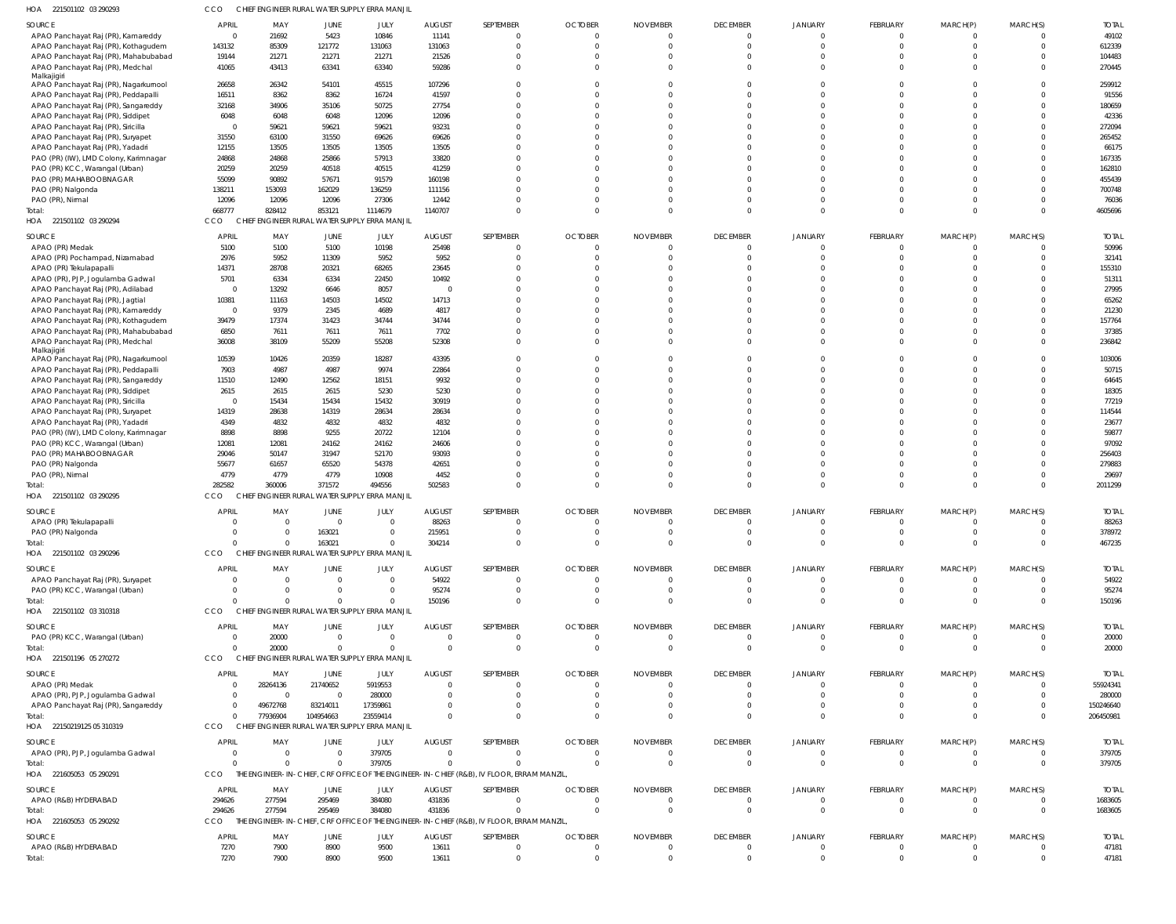| HOA 221501102 03 290293                              | CCO                  |                         |                  | CHIEF ENGINEER RURAL WATER SUPPLY ERRA MANJIL |                        |                                                                                           |                               |                               |                                             |                                           |                                |                            |                      |                       |
|------------------------------------------------------|----------------------|-------------------------|------------------|-----------------------------------------------|------------------------|-------------------------------------------------------------------------------------------|-------------------------------|-------------------------------|---------------------------------------------|-------------------------------------------|--------------------------------|----------------------------|----------------------|-----------------------|
| SOURCE                                               | APRIL                | MAY                     | JUNE             | JULY                                          | <b>AUGUST</b>          | SEPTEMBER                                                                                 | <b>OCTOBER</b>                | <b>NOVEMBER</b>               | <b>DECEMBER</b>                             | <b>JANUARY</b>                            | FEBRUARY                       | MARCH(P)                   | MARCH(S)             | <b>TOTAL</b>          |
| APAO Panchayat Raj (PR), Kamareddy                   | $\overline{0}$       | 21692                   | 5423             | 10846                                         | 11141                  | $\mathbf{0}$                                                                              | $\Omega$                      | $\Omega$                      | $\overline{0}$                              | $\Omega$                                  | $\mathbf{0}$                   | $\mathbf{0}$               | $\overline{0}$       | 49102                 |
| APAO Panchayat Raj (PR), Kothagudem                  | 143132               | 85309                   | 121772           | 131063                                        | 131063                 | $\Omega$                                                                                  | $\Omega$                      | $\Omega$                      | $\overline{0}$                              | $\overline{0}$                            | $\mathbf 0$                    | $\mathbf 0$                | $\overline{0}$       | 612339                |
| APAO Panchayat Raj (PR), Mahabubabad                 | 19144                | 21271                   | 21271            | 21271                                         | 21526                  | $\Omega$                                                                                  | $\Omega$                      |                               | $\Omega$                                    | $\Omega$                                  | $\Omega$                       | $\Omega$                   | $\Omega$             | 104483                |
| APAO Panchayat Raj (PR), Medchal<br>Malkajigiri      | 41065                | 43413                   | 63341            | 63340                                         | 59286                  | $\Omega$                                                                                  | $\Omega$                      | $\Omega$                      | $\Omega$                                    | $\Omega$                                  | $\Omega$                       | $\Omega$                   | $\overline{0}$       | 270445                |
| APAO Panchayat Raj (PR), Nagarkurnool                | 26658                | 26342                   | 54101            | 45515                                         | 107296                 | $\Omega$                                                                                  |                               |                               | $\Omega$                                    | $\Omega$                                  | $\Omega$                       | $\Omega$                   | $\Omega$             | 259912                |
| APAO Panchayat Raj (PR), Peddapalli                  | 16511                | 8362                    | 8362             | 16724                                         | 41597                  | $\Omega$                                                                                  |                               |                               | $\Omega$                                    | $\Omega$                                  | $\Omega$                       | $\Omega$                   | $\Omega$             | 91556                 |
| APAO Panchayat Raj (PR), Sangareddy                  | 32168                | 34906                   | 35106            | 50725                                         | 27754                  | $\Omega$                                                                                  |                               |                               | $\Omega$                                    | $\Omega$                                  | $\Omega$                       | $\Omega$                   | $\Omega$             | 180659                |
| APAO Panchayat Raj (PR), Siddipet                    | 6048                 | 6048                    | 6048             | 12096                                         | 12096                  | $\Omega$                                                                                  |                               |                               | $\Omega$                                    | $\Omega$                                  | $\Omega$                       | $\Omega$                   | $\Omega$             | 42336                 |
| APAO Panchayat Raj (PR), Siricilla                   | $\overline{0}$       | 59621                   | 59621            | 59621                                         | 93231                  | $\Omega$                                                                                  |                               |                               | $\Omega$                                    | $\Omega$                                  | $\Omega$                       | $\Omega$                   | $\Omega$             | 272094                |
| APAO Panchayat Raj (PR), Suryapet                    | 31550                | 63100                   | 31550            | 69626                                         | 69626                  | $\Omega$                                                                                  |                               |                               | $\Omega$                                    | $\Omega$                                  | $\Omega$                       | $\Omega$                   | $\Omega$             | 265452                |
| APAO Panchayat Raj (PR), Yadadri                     | 12155                | 13505                   | 13505            | 13505                                         | 13505                  | $\Omega$                                                                                  |                               |                               | $\Omega$                                    | $\Omega$                                  | $\Omega$                       | $\Omega$                   | $\Omega$             | 66175                 |
| PAO (PR) (IW), LMD Colony, Karimnagar                | 24868                | 24868                   | 25866            | 57913                                         | 33820                  | $\Omega$                                                                                  |                               |                               | $\Omega$                                    | $\Omega$                                  | $\Omega$                       | $\Omega$                   | $\Omega$             | 167335                |
| PAO (PR) KCC, Warangal (Urban)                       | 20259                | 20259                   | 40518            | 40515                                         | 41259                  | $\Omega$<br>$\Omega$                                                                      |                               |                               | $\Omega$<br>$\Omega$                        | $\Omega$<br>$\Omega$                      | $\Omega$<br>$\Omega$           | $\Omega$<br>$\Omega$       | $\Omega$<br>$\Omega$ | 162810                |
| PAO (PR) MAHABOOBNAGAR<br>PAO (PR) Nalgonda          | 55099<br>138211      | 90892<br>153093         | 57671<br>162029  | 91579<br>136259                               | 160198<br>111156       |                                                                                           |                               |                               | $\Omega$                                    | $\Omega$                                  | $\Omega$                       | $\Omega$                   | $\Omega$             | 455439<br>700748      |
| PAO (PR), Nirmal                                     | 12096                | 12096                   | 12096            | 27306                                         | 12442                  | $\Omega$                                                                                  | - 0                           |                               | $\Omega$                                    | $\Omega$                                  | $\Omega$                       | $\Omega$                   | $\Omega$             | 76036                 |
| Total:                                               | 668777               | 828412                  | 853121           | 1114679                                       | 1140707                | $\Omega$                                                                                  | $\Omega$                      | $\Omega$                      | $\Omega$                                    | $\Omega$                                  | $\Omega$                       | $\Omega$                   | $\overline{0}$       | 4605696               |
| HOA 221501102 03 290294                              | CCO                  |                         |                  | CHIEF ENGINEER RURAL WATER SUPPLY ERRA MANJIL |                        |                                                                                           |                               |                               |                                             |                                           |                                |                            |                      |                       |
| SOURCE                                               | <b>APRIL</b>         | MAY                     | JUNE             | JULY                                          | <b>AUGUST</b>          | SEPTEMBER                                                                                 | <b>OCTOBER</b>                | <b>NOVEMBER</b>               | <b>DECEMBER</b>                             | <b>JANUARY</b>                            | FEBRUARY                       | MARCH(P)                   | MARCH(S)             | <b>TOTAL</b>          |
| APAO (PR) Medak                                      | 5100                 | 5100                    | 5100             | 10198                                         | 25498                  | $\mathbf 0$                                                                               |                               |                               | $\overline{0}$                              | $\mathbf 0$                               | $\overline{0}$                 | 0                          | $\overline{0}$       | 50996                 |
| APAO (PR) Pochampad, Nizamabad                       | 2976                 | 5952                    | 11309            | 5952                                          | 5952                   | $\Omega$                                                                                  |                               |                               | $\Omega$                                    | $\Omega$                                  | $\mathbf 0$                    | $\mathbf 0$                | $\Omega$             | 32141                 |
| APAO (PR) Tekulapapalli                              | 14371                | 28708                   | 20321            | 68265                                         | 23645                  | $\Omega$                                                                                  |                               |                               | $\Omega$                                    | $\Omega$                                  | $\mathbf{0}$                   | $\Omega$                   | $\Omega$             | 155310                |
| APAO (PR), PJP, Jogulamba Gadwal                     | 5701                 | 6334                    | 6334             | 22450                                         | 10492                  | $\Omega$                                                                                  |                               |                               | $\Omega$                                    | $\Omega$                                  | $\mathbf 0$                    | $\Omega$                   | $\Omega$             | 51311                 |
| APAO Panchayat Raj (PR), Adilabad                    | $\overline{0}$       | 13292                   | 6646             | 8057                                          | - (                    | $\Omega$                                                                                  |                               |                               | $\Omega$                                    | $\Omega$                                  | $\Omega$                       | $\Omega$                   | $\Omega$             | 27995                 |
| APAO Panchayat Raj (PR), Jagtial                     | 10381                | 11163                   | 14503            | 14502                                         | 14713                  | $\Omega$                                                                                  |                               |                               | $\Omega$                                    | $\Omega$                                  | $\Omega$                       | $\Omega$                   | $\Omega$             | 65262                 |
| APAO Panchayat Raj (PR), Kamareddy                   | $\overline{0}$       | 9379                    | 2345             | 4689                                          | 4817                   | $\Omega$                                                                                  |                               |                               | $\Omega$                                    | $\Omega$                                  | $\Omega$                       | $\Omega$                   | $\Omega$             | 21230                 |
| APAO Panchayat Raj (PR), Kothagudem                  | 39479                | 17374                   | 31423            | 34744                                         | 34744                  | $\Omega$                                                                                  |                               |                               | $\Omega$                                    | $\Omega$                                  | $\Omega$                       | $\Omega$                   | $\Omega$             | 157764                |
| APAO Panchayat Raj (PR), Mahabubabad                 | 6850                 | 7611                    | 7611             | 7611                                          | 7702                   | $\Omega$                                                                                  |                               |                               | $\Omega$                                    | $\Omega$                                  | $\mathbf 0$                    | $\Omega$                   | $\Omega$             | 37385                 |
| APAO Panchayat Raj (PR), Medchal                     | 36008                | 38109                   | 55209            | 55208                                         | 52308                  | $\Omega$                                                                                  |                               |                               | $\Omega$                                    | $\Omega$                                  | $\Omega$                       | $\Omega$                   | $\Omega$             | 236842                |
| Malkajigiri<br>APAO Panchayat Raj (PR), Nagarkurnool | 10539                | 10426                   | 20359            | 18287                                         | 43395                  | $\Omega$                                                                                  |                               |                               | $\Omega$                                    | $\Omega$                                  | $\mathbf{0}$                   | $\mathbf 0$                | $\overline{0}$       | 103006                |
| APAO Panchayat Raj (PR), Peddapalli                  | 7903                 | 4987                    | 4987             | 9974                                          | 22864                  | $\Omega$                                                                                  |                               |                               | $\Omega$                                    | $\Omega$                                  | $\Omega$                       | $\Omega$                   | $\Omega$             | 50715                 |
| APAO Panchayat Raj (PR), Sangareddy                  | 11510                | 12490                   | 12562            | 18151                                         | 9932                   | $\Omega$                                                                                  |                               |                               | $\Omega$                                    | $\Omega$                                  | $\Omega$                       | $\Omega$                   | $\Omega$             | 64645                 |
| APAO Panchayat Raj (PR), Siddipet                    | 2615                 | 2615                    | 2615             | 5230                                          | 5230                   | $\Omega$                                                                                  |                               |                               | $\Omega$                                    | $\Omega$                                  | $\Omega$                       | $\Omega$                   | $\Omega$             | 18305                 |
| APAO Panchayat Raj (PR), Siricilla                   | $\overline{0}$       | 15434                   | 15434            | 15432                                         | 30919                  | $\Omega$                                                                                  |                               |                               | $\Omega$                                    | $\Omega$                                  | $\Omega$                       | $\Omega$                   | $\Omega$             | 77219                 |
| APAO Panchayat Raj (PR), Suryapet                    | 14319                | 28638                   | 14319            | 28634                                         | 28634                  | $\Omega$                                                                                  |                               |                               | $\Omega$                                    | $\Omega$                                  | $\Omega$                       | $\Omega$                   | $\Omega$             | 114544                |
| APAO Panchayat Raj (PR), Yadadri                     | 4349                 | 4832                    | 4832             | 4832                                          | 4832                   | $\Omega$                                                                                  |                               |                               | $\Omega$                                    | $\Omega$                                  | $\Omega$                       | $\Omega$                   | $\Omega$             | 23677                 |
| PAO (PR) (IW), LMD Colony, Karimnagar                | 8898                 | 8898                    | 9255             | 20722                                         | 12104                  | $\Omega$                                                                                  |                               |                               | $\Omega$                                    | $\Omega$                                  | $\Omega$                       | $\Omega$                   | $\Omega$             | 59877                 |
| PAO (PR) KCC, Warangal (Urban)                       | 12081                | 12081                   | 24162            | 24162                                         | 24606                  | $\Omega$                                                                                  |                               |                               | $\Omega$                                    | $\Omega$                                  | $\Omega$                       | $\Omega$                   | $\Omega$             | 97092                 |
| PAO (PR) MAHABOOBNAGAR                               | 29046                | 50147                   | 31947            | 52170                                         | 93093                  | $\Omega$                                                                                  |                               |                               | $\Omega$                                    | $\Omega$                                  | $\Omega$                       | $\Omega$                   | $\Omega$             | 256403                |
| PAO (PR) Nalgonda                                    | 55677<br>4779        | 61657<br>4779           | 65520<br>4779    | 54378<br>10908                                | 42651<br>4452          | $\Omega$<br>$\mathbf 0$                                                                   |                               |                               | $\Omega$<br>$\Omega$                        | $\Omega$<br>$\Omega$                      | $\Omega$<br>$\mathbf 0$        | $\Omega$<br>$\mathbf 0$    | $\Omega$<br>$\Omega$ | 279883<br>29697       |
| PAO (PR), Nirmal<br>Total:                           | 282582               | 360006                  | 371572           | 494556                                        | 502583                 | $\Omega$                                                                                  |                               |                               | $\Omega$                                    | $\Omega$                                  | $\Omega$                       | $\overline{0}$             | $\Omega$             | 2011299               |
| HOA 221501102 03 290295                              | CCO                  | <b>CHIE</b>             |                  | ENGINEER RURAL WATER SUPPLY ERRA MANJIL       |                        |                                                                                           |                               |                               |                                             |                                           |                                |                            |                      |                       |
|                                                      |                      |                         |                  |                                               |                        |                                                                                           |                               |                               |                                             |                                           |                                |                            |                      |                       |
| SOURCE                                               | <b>APRIL</b>         | MAY                     | JUNE             | JULY                                          | <b>AUGUST</b>          | SEPTEMBER                                                                                 | <b>OCTOBER</b>                | <b>NOVEMBER</b>               | <b>DECEMBER</b>                             | <b>JANUARY</b>                            | FEBRUARY                       | MARCH(P)                   | MARCH(S)             | <b>TOTAL</b>          |
| APAO (PR) Tekulapapalli                              | $\Omega$             | $\Omega$                | $\Omega$         | $\Omega$                                      | 88263                  | $\Omega$                                                                                  | $\Omega$                      | $\Omega$                      | $\overline{0}$                              | $\Omega$                                  | $\overline{0}$<br>$\mathbf{0}$ | $\Omega$                   | $\overline{0}$       | 88263<br>378972       |
| PAO (PR) Nalgonda<br>Total:                          | $\Omega$             | $\Omega$                | 163021<br>163021 | $\overline{0}$                                | 215951<br>304214       | $\mathbf 0$                                                                               | $\Omega$                      | $\Omega$                      | $\overline{0}$                              | $\Omega$                                  | $\overline{0}$                 | 0<br>$\mathbf{0}$          | $\Omega$             | 467235                |
| HOA 221501102 03 290296                              | CCO                  |                         |                  | CHIEF ENGINEER RURAL WATER SUPPLY ERRA MANJIL |                        |                                                                                           |                               |                               |                                             |                                           |                                |                            |                      |                       |
| SOURCE                                               | <b>APRIL</b>         | MAY                     | JUNE             | JULY                                          | <b>AUGUST</b>          | SEPTEMBER                                                                                 | <b>OCTOBER</b>                | <b>NOVEMBER</b>               | <b>DECEMBER</b>                             | <b>JANUARY</b>                            | FEBRUARY                       | MARCH(P)                   | MARCH(S)             | <b>TOTAL</b>          |
| APAO Panchayat Raj (PR), Suryapet                    | $\overline{0}$       | $\overline{0}$          | $\Omega$         | $\Omega$                                      | 54922                  | $\mathbf{0}$                                                                              |                               |                               | $\overline{0}$                              | $\overline{\mathbf{0}}$                   | $\overline{0}$                 | $\overline{0}$             | $\Omega$             | 54922                 |
| PAO (PR) KCC, Warangal (Urban)                       | $\overline{0}$       | $\overline{0}$          |                  | $\overline{0}$                                | 95274                  | $\mathbf{0}$                                                                              |                               |                               | $\overline{0}$                              | $\overline{0}$                            | $\overline{0}$                 | $\overline{0}$             | $\overline{0}$       | 95274                 |
| Total:                                               | $\Omega$             | $\Omega$                |                  | $\overline{0}$                                | 150196                 | $\mathbf 0$                                                                               |                               |                               | $\Omega$                                    | $\Omega$                                  | $\overline{0}$                 | $\overline{0}$             | $\Omega$             | 150196                |
| HOA 221501102 03 310318                              | CCO                  |                         |                  | CHIEF ENGINEER RURAL WATER SUPPLY ERRA MANJIL |                        |                                                                                           |                               |                               |                                             |                                           |                                |                            |                      |                       |
| SOURCE                                               | <b>APRIL</b>         | MAY                     | JUNE             | JULY                                          | <b>AUGUST</b>          | SEPTEMBER                                                                                 | <b>OCTOBER</b>                | <b>NOVEMBER</b>               | <b>DECEMBER</b>                             | <b>JANUARY</b>                            | FEBRUARY                       | MARCH(P)                   | MARCH(S)             | <b>TOTAL</b>          |
| PAO (PR) KCC, Warangal (Urban)                       | $\overline{0}$       | 20000                   | $\Omega$         | $\overline{0}$                                | $\Omega$               | $\mathbf{0}$                                                                              | $\overline{0}$                | $\Omega$                      | $\overline{0}$                              | $\overline{0}$                            | $\overline{0}$                 | $\overline{0}$             | $\overline{0}$       | 20000                 |
| Total:                                               | $\Omega$             | 20000                   | $\Omega$         | $\mathbf{0}$                                  | $\Omega$               | $\mathbf 0$                                                                               | $\Omega$                      | $\Omega$                      | $\overline{0}$                              | $\Omega$                                  | $\mathbf{0}$                   | $\mathbf{0}$               | $\overline{0}$       | 20000                 |
| HOA 221501196 05 270272                              | CCO                  |                         |                  | CHIEF ENGINEER RURAL WATER SUPPLY ERRA MANJIL |                        |                                                                                           |                               |                               |                                             |                                           |                                |                            |                      |                       |
| SOURCE                                               | <b>APRIL</b>         | MAY                     | JUNE             | JULY                                          | <b>AUGUST</b>          | SEPTEMBER                                                                                 | <b>OCTOBER</b>                | <b>NOVEMBER</b>               | <b>DECEMBER</b>                             | <b>JANUARY</b>                            | FEBRUARY                       | MARCH(P)                   | MARCH(S)             | <b>TOTAL</b>          |
| APAO (PR) Medak                                      | $\overline{0}$       | 28264136                | 21740652         | 5919553                                       | - 0                    | $\mathbf{0}$                                                                              |                               |                               | $\overline{0}$                              | $\overline{0}$                            | $\overline{0}$                 | $\overline{0}$             | $\Omega$             | 55924341              |
| APAO (PR), PJP, Jogulamba Gadwal                     | $\overline{0}$       | $\overline{\mathbf{0}}$ | $\Omega$         | 280000                                        |                        | $\mathbf 0$                                                                               |                               |                               | $\Omega$                                    | $\overline{0}$                            | $\overline{0}$                 | $\overline{0}$             | $\Omega$             | 280000                |
| APAO Panchayat Raj (PR), Sangareddy                  | $\overline{0}$       | 49672768                | 83214011         | 17359861                                      |                        | $\Omega$                                                                                  |                               |                               | $\Omega$                                    | $\Omega$                                  | $\mathbf{0}$                   | $\mathbf{0}$               | $\Omega$             | 150246640             |
| Total:                                               | $\Omega$             | 77936904                | 104954663        | 23559414                                      |                        | $\Omega$                                                                                  |                               |                               | $\Omega$                                    | $\overline{0}$                            | $\mathbf 0$                    | $\mathbf{0}$               | $\Omega$             | 206450981             |
| HOA 22150219125 05 310319                            | CCO                  |                         |                  | CHIEF ENGINEER RURAL WATER SUPPLY ERRA MANJIL |                        |                                                                                           |                               |                               |                                             |                                           |                                |                            |                      |                       |
| SOURCE                                               | <b>APRIL</b>         | MAY                     | JUNE             | JULY                                          | <b>AUGUST</b>          | SEPTEMBER                                                                                 | <b>OCTOBER</b>                | <b>NOVEMBER</b>               | <b>DECEMBER</b>                             | <b>JANUARY</b>                            | FEBRUARY                       | MARCH(P)                   | MARCH(S)             | <b>TOTAL</b>          |
| APAO (PR), PJP, Jogulamba Gadwal                     | $\overline{0}$       | $\overline{0}$          | $\Omega$         | 379705                                        | $\Omega$               | $\mathbf{0}$                                                                              | $\Omega$                      | $\Omega$                      | $\overline{\mathbf{0}}$                     | $\overline{0}$                            | $\mathbf{0}$                   | $\mathbf{0}$               | $\overline{0}$       | 379705                |
| Total:                                               | $\Omega$             | $\Omega$                | $\Omega$         | 379705                                        | $\Omega$               | $\Omega$                                                                                  | $\Omega$                      | $\Omega$                      | $\overline{0}$                              | $\overline{0}$                            | $\mathbf{0}$                   | $\mathbf{0}$               | $\overline{0}$       | 379705                |
| HOA 221605053 05 290291                              | <b>CCO</b>           |                         |                  |                                               |                        | THE ENGINEER-IN-CHIEF, CRF OFFICE OF THE ENGINEER-IN-CHIEF (R&B), IV FLOOR, ERRAM MANZIL, |                               |                               |                                             |                                           |                                |                            |                      |                       |
| SOURCE                                               | APRIL                | MAY                     | JUNE             | JULY                                          | <b>AUGUST</b>          | SEPTEMBER                                                                                 | <b>OCTOBER</b>                | <b>NOVEMBER</b>               | <b>DECEMBER</b>                             | <b>JANUARY</b>                            | FEBRUARY                       | MARCH(P)                   | MARCH(S)             | <b>TOTAL</b>          |
| APAO (R&B) HYDERABAD                                 | 294626               | 277594                  | 295469           | 384080                                        | 431836                 | $\mathbf{0}$                                                                              |                               |                               | $\overline{0}$                              | $\overline{0}$                            | $\overline{0}$                 | 0                          | $\overline{0}$       | 1683605               |
| Total:                                               | 294626               | 277594                  | 295469           | 384080                                        | 431836                 | $\mathbf{0}$                                                                              |                               | $\Omega$                      | $\overline{0}$                              | $\overline{0}$                            | $\mathbf{0}$                   | $\mathbf{0}$               | $\overline{0}$       | 1683605               |
| HOA 221605053 05 290292                              | CCO                  |                         |                  |                                               |                        | THE ENGINEER-IN-CHIEF, CRF OFFICE OF THE ENGINEER-IN-CHIEF (R&B), IV FLOOR, ERRAM MANZIL, |                               |                               |                                             |                                           |                                |                            |                      |                       |
|                                                      |                      |                         |                  |                                               |                        |                                                                                           |                               |                               |                                             |                                           |                                |                            | MARCH(S)             |                       |
| <b>SOURCE</b><br>APAO (R&B) HYDERABAD                | <b>APRIL</b><br>7270 | MAY<br>7900             | JUNE<br>8900     | JULY<br>9500                                  | <b>AUGUST</b><br>13611 | SEPTEMBER<br>$\mathbf{0}$                                                                 | <b>OCTOBER</b><br>$\mathbf 0$ | <b>NOVEMBER</b><br>$^{\circ}$ | <b>DECEMBER</b><br>$\overline{\phantom{0}}$ | <b>JANUARY</b><br>$\overline{\mathbf{0}}$ | FEBRUARY<br>$\mathbf 0$        | MARCH(P)<br>$\overline{0}$ | $\overline{0}$       | <b>TOTAL</b><br>47181 |
| Total:                                               | 7270                 | 7900                    | 8900             | 9500                                          | 13611                  | $\mathbf 0$                                                                               |                               |                               | $\overline{0}$                              | $\overline{0}$                            | $\overline{0}$                 | $\mathbf 0$                | $\mathbf{0}$         | 47181                 |
|                                                      |                      |                         |                  |                                               |                        |                                                                                           |                               |                               |                                             |                                           |                                |                            |                      |                       |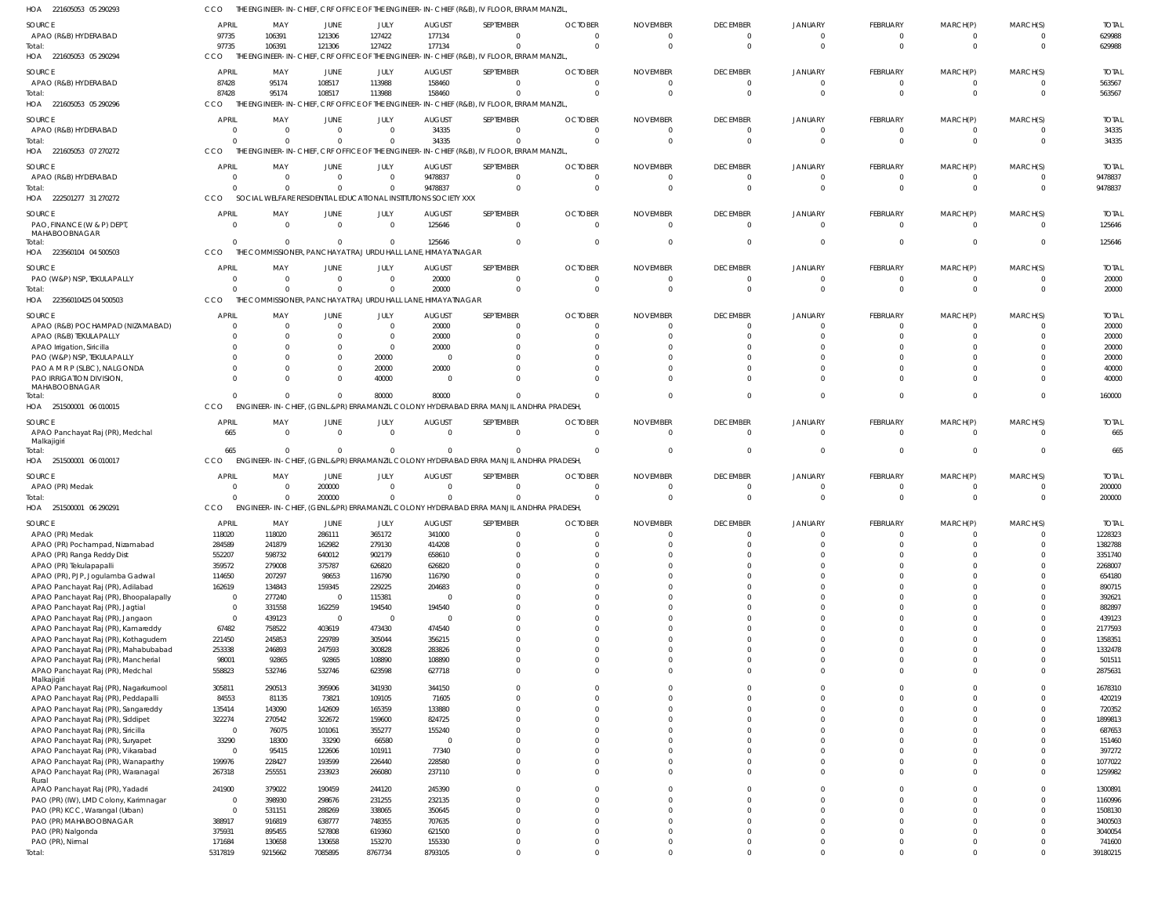221605053 05 290293 HOA CCO THE ENGINEER-IN-CHIEF, CRF OFFICE OF THE ENGINEER-IN-CHIEF (R&B), IV FLOOR, ERRAM MANZIL,

| SOURCE                                          | <b>APRIL</b>             | MAY                   | JUNE             | JULY             | <b>AUGUST</b>                                                   | SEPTEMBER                                                                                | <b>OCTOBER</b> | <b>NOVEMBER</b> | <b>DECEMBER</b>             | <b>JANUARY</b>             | FEBRUARY                    | MARCH(P)             | MARCH(S) | <b>TOTAL</b>      |
|-------------------------------------------------|--------------------------|-----------------------|------------------|------------------|-----------------------------------------------------------------|------------------------------------------------------------------------------------------|----------------|-----------------|-----------------------------|----------------------------|-----------------------------|----------------------|----------|-------------------|
| APAO (R&B) HYDERABAD                            | 97735                    | 106391                | 121306           | 127422           | 177134                                                          | $\Omega$                                                                                 |                |                 | $\Omega$                    | $\Omega$                   | 0                           | 0                    |          | 629988            |
| Total:                                          | 97735                    | 106391                | 121306           | 127422           | 177134                                                          | $\Omega$                                                                                 |                | - 0             | $\Omega$                    | $\Omega$                   | $\Omega$                    | $\Omega$             | $\Omega$ | 629988            |
| HOA 221605053 05 290294                         | CCO                      |                       |                  |                  |                                                                 | THE ENGINEER-IN-CHIEF, CRF OFFICE OF THE ENGINEER-IN-CHIEF (R&B), IV FLOOR, ERRAM MANZIL |                |                 |                             |                            |                             |                      |          |                   |
|                                                 |                          |                       |                  |                  |                                                                 |                                                                                          |                |                 |                             |                            |                             |                      |          |                   |
| SOURCE                                          | APRIL                    | MAY                   | JUNE             | JULY             | <b>AUGUST</b>                                                   | SEPTEMBER                                                                                | <b>OCTOBER</b> | <b>NOVEMBER</b> | <b>DECEMBER</b>             | JANUARY                    | FEBRUARY                    | MARCH(P)             | MARCH(S) | <b>TOTAL</b>      |
| APAO (R&B) HYDERABAD                            | 87428                    | 95174                 | 108517           | 113988           | 158460                                                          | $\mathbf 0$                                                                              | $\Omega$       |                 | 0                           | $\Omega$                   | $^{\circ}$                  | 0                    | $\Omega$ | 563567            |
| Total:                                          | 87428                    | 95174                 | 108517           | 113988           | 158460                                                          | $\Omega$                                                                                 |                | $\Omega$        | $\Omega$                    | $\Omega$                   | $\Omega$                    | $\mathbf 0$          | $\Omega$ | 563567            |
| HOA 221605053 05 290296                         | CCO                      |                       |                  |                  |                                                                 | THE ENGINEER-IN-CHIEF, CRF OFFICE OF THE ENGINEER-IN-CHIEF (R&B), IV FLOOR, ERRAM MANZIL |                |                 |                             |                            |                             |                      |          |                   |
| SOURCE                                          | <b>APRIL</b>             | MAY                   | JUNE             | JULY             | AUGUST                                                          | SEPTEMBER                                                                                | <b>OCTOBER</b> | <b>NOVEMBER</b> | <b>DECEMBER</b>             | JANUARY                    | <b>FEBRUARY</b>             | MARCH(P)             | MARCH(S) | <b>TOTAI</b>      |
| APAO (R&B) HYDERABAD                            |                          | <sup>0</sup>          | $\Omega$         | $\Omega$         | 34335                                                           | $\Omega$                                                                                 |                |                 | $\Omega$                    | $\Omega$                   | $\Omega$                    | $\Omega$             | $\Omega$ | 34335             |
| Total:                                          |                          | <sup>0</sup>          | $\Omega$         | $\Omega$         | 34335                                                           | $\Omega$                                                                                 |                |                 | $\Omega$                    | $\Omega$                   | $\Omega$                    | $\Omega$             | $\Omega$ | 34335             |
| HOA 221605053 07 270272                         | CCO                      | THE ENGINEER-IN-CHIEF |                  |                  |                                                                 | CRF OFFICE OF THE ENGINEER-IN-CHIEF (R&B), IV FLOOR, ERRAM MANZIL                        |                |                 |                             |                            |                             |                      |          |                   |
|                                                 |                          |                       |                  |                  |                                                                 |                                                                                          |                |                 |                             |                            |                             |                      |          |                   |
| SOURCE                                          | <b>APRIL</b>             | MAY                   | JUNE             | JULY             | <b>AUGUST</b>                                                   | SEPTEMBER                                                                                | <b>OCTOBER</b> | <b>NOVEMBER</b> | <b>DECEMBER</b>             | JANUARY                    | <b>FEBRUARY</b>             | MARCH(P)             | MARCH(S) | <b>TOTAL</b>      |
| APAO (R&B) HYDERABAD                            | - 0                      | $\Omega$              | $\Omega$         | $\overline{0}$   | 9478837                                                         | $\overline{0}$                                                                           | $\Omega$       | $\Omega$        | $\Omega$                    | $\Omega$                   | $\Omega$                    | 0                    | $\Omega$ | 9478837           |
| Total:                                          |                          | <sup>0</sup>          | $\Omega$         | $\Omega$         | 9478837                                                         | $\overline{0}$                                                                           |                | - 0             | $\Omega$                    | $\Omega$                   | $\overline{0}$              | $\mathbf{0}$         | $\Omega$ | 9478837           |
| HOA 222501277 31 270272                         | CCO                      |                       |                  |                  | SOCIAL WELFARE RESIDENTIAL EDUCATIONAL INSTITUTIONS SOCIETY XXX |                                                                                          |                |                 |                             |                            |                             |                      |          |                   |
| SOURCE                                          | <b>APRIL</b>             | MAY                   | <b>JUNE</b>      | JULY             | <b>AUGUST</b>                                                   | SEPTEMBER                                                                                | <b>OCTOBER</b> | <b>NOVEMBER</b> | <b>DECEMBER</b>             | JANUARY                    | FEBRUARY                    | MARCH(P)             | MARCH(S) | <b>TOTAL</b>      |
| PAO, FINANCE (W & P) DEPT,                      |                          | $\Omega$              | $\Omega$         | $\overline{0}$   | 125646                                                          | $\Omega$                                                                                 |                | $\Omega$        | $\Omega$                    | $\Omega$                   | $\Omega$                    | $\Omega$             | $\Omega$ | 125646            |
| MAHABOOBNAGAR                                   |                          |                       |                  |                  |                                                                 |                                                                                          |                |                 |                             |                            |                             |                      |          |                   |
| Total:                                          |                          | $\Omega$              | $\Omega$         | $\Omega$         | 125646                                                          | $\Omega$                                                                                 |                |                 | $\Omega$                    | $\Omega$                   | $\Omega$                    | $\Omega$             | $\Omega$ | 125646            |
| HOA 223560104 04 500503                         | CCO<br>THE               |                       |                  |                  | COMMISSIONER, PANCHAYAT RAJ URDU HALL LANE, HIMAYATNAGAR        |                                                                                          |                |                 |                             |                            |                             |                      |          |                   |
|                                                 |                          |                       |                  |                  |                                                                 |                                                                                          |                |                 |                             |                            |                             |                      |          |                   |
| SOURCE                                          | <b>APRIL</b>             | MAY                   | JUNE             | JULY             | <b>AUGUST</b>                                                   | SEPTEMBER                                                                                | <b>OCTOBER</b> | <b>NOVEMBER</b> | <b>DECEMBER</b>             | JANUARY                    | FEBRUARY                    | MARCH(P)             | MARCH(S) | <b>TOTAL</b>      |
| PAO (W&P) NSP, TEKULAPALLY                      |                          | $\Omega$              | $\Omega$         | $\Omega$         | 20000                                                           | $\mathbf{0}$                                                                             | $\Omega$       |                 | $\Omega$                    | $\Omega$                   | $\mathbf 0$                 | 0                    | $\Omega$ | 20000             |
| Total:                                          |                          | $\Omega$              | $\Omega$         | $\Omega$         | 20000                                                           | $\mathbf{0}$                                                                             |                | - 0             | $\Omega$                    | $\Omega$                   | $\overline{0}$              | $\mathbf 0$          | $\Omega$ | 20000             |
| HOA 22356010425 04 500503                       | CCO.                     |                       |                  |                  | THE COMMISSIONER, PANCHAYAT RAJ URDU HALL LANE, HIMAYATNAGAR    |                                                                                          |                |                 |                             |                            |                             |                      |          |                   |
| SOURCE                                          | <b>APRIL</b>             | MAY                   | <b>JUNE</b>      | JULY             | <b>AUGUST</b>                                                   | SEPTEMBER                                                                                | <b>OCTOBER</b> | <b>NOVEMBER</b> | <b>DECEMBER</b>             | JANUARY                    | <b>FEBRUARY</b>             | MARCH(P)             | MARCH(S) | <b>TOTAL</b>      |
| APAO (R&B) POCHAMPAD (NIZAMABAD)                |                          |                       | 0                | $\Omega$         | 20000                                                           | $\Omega$                                                                                 |                |                 |                             | <sup>0</sup>               | $\Omega$                    | O                    |          | 20000             |
| APAO (R&B) TEKULAPALLY                          |                          |                       |                  | $\Omega$         | 20000                                                           | $\Omega$                                                                                 |                |                 |                             |                            | n                           |                      |          | 20000             |
| APAO Irrigation, Siricilla                      |                          |                       |                  | $\Omega$         | 20000                                                           |                                                                                          |                |                 |                             |                            |                             |                      |          | 20000             |
| PAO (W&P) NSP, TEKULAPALLY                      |                          |                       |                  | 20000            | $\Omega$                                                        |                                                                                          |                |                 |                             |                            |                             |                      |          | 20000             |
| PAO A M R P (SLBC), NALGONDA                    |                          |                       |                  | 20000            | 20000                                                           | $\Omega$                                                                                 |                |                 |                             |                            |                             |                      |          | 40000             |
| PAO IRRIGATION DIVISION                         |                          |                       |                  | 40000            | $\Omega$                                                        | $\Omega$                                                                                 |                |                 |                             |                            | $\Omega$                    |                      |          | 40000             |
| MAHABOOBNAGAR                                   |                          |                       |                  |                  |                                                                 |                                                                                          |                |                 |                             |                            |                             |                      |          |                   |
| Total:                                          |                          | <sup>0</sup>          | $\Omega$         | 80000            | 80000                                                           | $\Omega$                                                                                 |                |                 |                             |                            | $\Omega$                    | $\Omega$             | $\Omega$ | 160000            |
| HOA 251500001 06 010015                         | CCO                      |                       |                  |                  |                                                                 | ENGINEER-IN-CHIEF, (GENL.&PR) ERRAMANZIL COLONY HYDERABAD ERRA MANJIL ANDHRA PRADESH     |                |                 |                             |                            |                             |                      |          |                   |
|                                                 | APRIL                    |                       |                  |                  |                                                                 | SEPTEMBER                                                                                | <b>OCTOBER</b> | <b>NOVEMBER</b> |                             |                            |                             |                      | MARCH(S) | <b>TOTAL</b>      |
| SOURCE                                          |                          | MAY<br>$\Omega$       | JUNE<br>$\Omega$ | JULY<br>$\Omega$ | <b>AUGUST</b><br>$\Omega$                                       | $\overline{0}$                                                                           | $\Omega$       | $\Omega$        | <b>DECEMBER</b><br>$\Omega$ | JANUARY<br>$\Omega$        | <b>FEBRUARY</b><br>$\Omega$ | MARCH(P)<br>$\Omega$ | $\Omega$ |                   |
| APAO Panchayat Raj (PR), Medchal<br>Malkajigiri | 665                      |                       |                  |                  |                                                                 |                                                                                          |                |                 |                             |                            |                             |                      |          | 665               |
| Total:                                          | 665                      | $\Omega$              | $\Omega$         | $\Omega$         | $\Omega$                                                        | $\mathbf 0$                                                                              |                |                 | $\Omega$                    | $\Omega$                   | $\Omega$                    | $\Omega$             | $\Omega$ | 665               |
| HOA 251500001 06 010017                         | CCO                      |                       |                  |                  |                                                                 | ENGINEER-IN-CHIEF, (GENL.&PR) ERRAMANZIL COLONY HYDERABAD ERRA MANJIL ANDHRA PRADESH,    |                |                 |                             |                            |                             |                      |          |                   |
|                                                 |                          |                       |                  |                  |                                                                 |                                                                                          |                |                 |                             |                            |                             |                      |          |                   |
| SOURCE                                          | APRIL                    | MAY                   | JUNE             | JULY             | <b>AUGUST</b>                                                   | SEPTEMBER                                                                                | <b>OCTOBER</b> | <b>NOVEMBER</b> | <b>DECEMBER</b>             | <b>JANUARY</b>             | <b>FEBRUARY</b>             | MARCH(P)             | MARCH(S) | <b>TOTAL</b>      |
| APAO (PR) Medak                                 |                          | $\Omega$              | 200000           | $\Omega$         | $\Omega$                                                        | $\Omega$                                                                                 |                |                 | $\Omega$                    | $\Omega$                   | $\Omega$                    | $\Omega$             | $\Omega$ | 200000            |
| Total:                                          |                          |                       | 200000           | $\Omega$         | $\Omega$                                                        | $\Omega$                                                                                 |                |                 | $\Omega$                    | $\Omega$                   | $\Omega$                    | $\Omega$             | $\Omega$ | 200000            |
| HOA 251500001 06 290291                         | CCO                      |                       |                  |                  |                                                                 | ENGINEER-IN-CHIEF, (GENL.&PR) ERRAMANZIL COLONY HYDERABAD ERRA MANJIL ANDHRA PRADESH     |                |                 |                             |                            |                             |                      |          |                   |
| SOURCE                                          | <b>APRIL</b>             | MAY                   | JUNE             | JULY             | <b>AUGUST</b>                                                   | SEPTEMBER                                                                                | <b>OCTOBER</b> | <b>NOVEMBER</b> | <b>DECEMBER</b>             | JANUARY                    | FEBRUARY                    | MARCH(P)             | MARCH(S) | <b>TOTAL</b>      |
| APAO (PR) Medak                                 | 118020                   | 118020                | 286111           | 365172           | 341000                                                          | $\Omega$                                                                                 |                |                 |                             |                            |                             |                      |          | 1228323           |
| APAO (PR) Pochampad, Nizamabad                  | 284589                   | 241879                | 162982           | 279130           | 414208                                                          | $\mathbf 0$                                                                              |                |                 |                             |                            | $\Omega$                    |                      | $\Omega$ | 1382788           |
| APAO (PR) Ranga Reddy Dist                      | 552207                   | 598732                | 640012           | 902179           | 658610                                                          | $\mathbf 0$                                                                              | $\Omega$       |                 | $\Omega$                    | $\Omega$                   | $\Omega$                    | $\Omega$             | $\Omega$ | 3351740           |
| APAO (PR) Tekulapapalli                         | 359572                   | 279008                | 375787           | 626820           | 626820                                                          | $\mathbf 0$                                                                              |                |                 | $\Omega$                    | $\Omega$                   | $\Omega$                    | $\Omega$             | $\Omega$ | 2268007           |
| APAO (PR), PJP, Jogulamba Gadwal                | 114650                   | 207297                | 98653            | 116790           | 116790                                                          | $\Omega$                                                                                 |                |                 | $\Omega$                    | $\Omega$                   | $\Omega$                    | $\Omega$             | $\Omega$ | 654180            |
| APAO Panchayat Raj (PR), Adilabad               | 162619                   | 134843                | 159345           | 229225           | 204683                                                          | $\Omega$                                                                                 |                |                 |                             | $\Omega$                   | $\Omega$                    | $\Omega$             | $\Omega$ | 890715            |
| APAO Panchayat Raj (PR), Bhoopalapally          | $\overline{0}$           | 277240                | $\overline{0}$   | 115381           | $\mathbf{0}$                                                    | $\Omega$                                                                                 |                |                 | $\Omega$                    | $\Omega$                   | $\Omega$                    | $\Omega$             | $\Omega$ | 392621            |
| APAO Panchayat Raj (PR), Jagtial                | $\overline{0}$           | 331558                | 162259           | 194540           | 194540                                                          | $\Omega$                                                                                 |                |                 |                             | $\Omega$                   | $\Omega$                    | $\Omega$             | $\Omega$ | 882897            |
| APAO Panchayat Raj (PR), Jangaon                | $\overline{0}$           | 439123                | $\overline{0}$   | $\mathbf 0$      | $\Omega$                                                        | $\Omega$                                                                                 |                |                 | $\Omega$                    | $\Omega$                   | $\Omega$                    | $\Omega$             | $\Omega$ | 439123            |
| APAO Panchayat Raj (PR), Kamareddy              |                          |                       | 403619           | 473430           | 474540                                                          | $\mathbf 0$                                                                              |                |                 | $\Omega$                    | $\Omega$                   | $\Omega$                    | $\Omega$             | $\Omega$ | 2177593           |
| APAO Panchayat Raj (PR), Kothagudem             |                          |                       |                  |                  |                                                                 |                                                                                          |                |                 |                             |                            |                             |                      |          | 1358351           |
|                                                 | 67482                    | 758522                |                  |                  |                                                                 |                                                                                          |                |                 |                             |                            |                             |                      |          |                   |
|                                                 | 221450                   | 245853                | 229789           | 305044           | 356215                                                          | $\Omega$                                                                                 |                |                 | $\Omega$                    | $\Omega$                   | $\Omega$                    | $\Omega$             | $\Omega$ |                   |
| APAO Panchayat Raj (PR), Mahabubabad            | 253338                   | 246893                | 247593           | 300828           | 283826                                                          | $\Omega$                                                                                 |                |                 | $\Omega$                    | $\Omega$                   | $\Omega$                    | $\Omega$             | $\Omega$ | 1332478           |
| APAO Panchayat Raj (PR), Mancherial             | 98001                    | 92865                 | 92865            | 108890           | 108890                                                          | $\mathbf 0$                                                                              |                |                 | $\Omega$                    | $\overline{0}$             | $\Omega$                    | $\Omega$             | $\Omega$ | 501511            |
| APAO Panchayat Raj (PR), Medchal                | 558823                   | 532746                | 532746           | 623598           | 627718                                                          | $\Omega$                                                                                 | $\Omega$       | $\Omega$        | $\Omega$                    | $\Omega$                   | $\Omega$                    | $\Omega$             | $\Omega$ | 2875631           |
| Malkajigiri                                     |                          |                       |                  |                  |                                                                 | $\Omega$                                                                                 |                |                 | $\Omega$                    | $\Omega$                   | $\Omega$                    | $\Omega$             | $\Omega$ |                   |
| APAO Panchayat Raj (PR), Nagarkurnool           | 305811<br>84553          | 290513<br>81135       | 395906<br>73821  | 341930<br>109105 | 344150<br>71605                                                 | $\mathbf 0$                                                                              |                |                 | $\Omega$                    | $\Omega$                   | $\Omega$                    | $\Omega$             | $\Omega$ | 1678310<br>420219 |
| APAO Panchayat Raj (PR), Peddapalli             |                          |                       |                  |                  |                                                                 | $\mathbf 0$                                                                              |                |                 | $\Omega$                    | $\overline{0}$             | $\Omega$                    | $\Omega$             | $\Omega$ |                   |
| APAO Panchayat Raj (PR), Sangareddy             | 135414                   | 143090                | 142609           | 165359           | 133880                                                          | $\Omega$                                                                                 |                |                 | $\Omega$                    | $\Omega$                   | $\Omega$                    | $\Omega$             | $\Omega$ | 720352            |
| APAO Panchayat Raj (PR), Siddipet               | 322274<br>$\overline{0}$ | 270542                | 322672           | 159600           | 824725                                                          | $\Omega$                                                                                 |                |                 | $\Omega$                    | $\Omega$                   | $\Omega$                    | $\Omega$             | $\Omega$ | 1899813           |
| APAO Panchayat Raj (PR), Siricilla              |                          | 76075                 | 101061           | 355277           | 155240<br>$\overline{0}$                                        | $\mathbf 0$                                                                              |                |                 |                             | $\Omega$                   | $\Omega$                    | $\Omega$             | $\Omega$ | 687653            |
| APAO Panchayat Raj (PR), Suryapet               | 33290                    | 18300                 | 33290            | 66580            |                                                                 | $\Omega$                                                                                 |                |                 | $\Omega$                    | $\Omega$                   | $\Omega$                    | $\Omega$             | $\Omega$ | 151460            |
| APAO Panchayat Raj (PR), Vikarabad              | $\overline{0}$           | 95415                 | 122606           | 101911           | 77340                                                           |                                                                                          | $\Omega$       |                 | $\Omega$                    |                            |                             | $\Omega$             | $\Omega$ | 397272            |
| APAO Panchayat Raj (PR), Wanaparthy             | 199976                   | 228427                | 193599           | 226440           | 228580                                                          | $\mathbf 0$<br>$\Omega$                                                                  | $\Omega$       |                 | $\Omega$                    | $\overline{0}$<br>$\Omega$ | $\mathbf 0$<br>$\Omega$     | $\Omega$             | $\Omega$ | 1077022           |
| APAO Panchayat Raj (PR), Waranagal<br>Rural     | 267318                   | 255551                | 233923           | 266080           | 237110                                                          |                                                                                          |                |                 |                             |                            |                             |                      |          | 1259982           |
| APAO Panchayat Raj (PR), Yadadri                | 241900                   | 379022                | 190459           | 244120           | 245390                                                          | $\mathbf 0$                                                                              | $\Omega$       | $\Omega$        | $\Omega$                    | $\mathbf 0$                | $\Omega$                    | $\Omega$             | $\Omega$ | 1300891           |
| PAO (PR) (IW), LMD Colony, Karimnagar           | $\overline{0}$           | 398930                | 298676           | 231255           | 232135                                                          | $\mathbf{0}$                                                                             | $\Omega$       | $\Omega$        | $\Omega$                    | $\Omega$                   | $\Omega$                    | $\Omega$             | $\Omega$ | 1160996           |
| PAO (PR) KCC, Warangal (Urban)                  | $\overline{0}$           | 531151                | 288269           | 338065           | 350645                                                          | $\mathbf 0$                                                                              |                |                 | $\Omega$                    | $\Omega$                   | $\Omega$                    | $\Omega$             | $\Omega$ | 1508130           |
| PAO (PR) MAHABOOBNAGAR                          | 388917                   | 916819                | 638777           | 748355           | 707635                                                          | $\Omega$                                                                                 |                |                 | $\Omega$                    | $\Omega$                   | $\Omega$                    | $\Omega$             | $\Omega$ | 3400503           |
| PAO (PR) Nalgonda                               | 375931                   | 895455                | 527808           | 619360           | 621500                                                          | $\mathbf 0$                                                                              |                |                 | $\Omega$                    | $\Omega$                   | $\Omega$                    | $\Omega$             | $\Omega$ | 3040054           |
| PAO (PR), Nirmal                                | 171684                   | 130658                | 130658           | 153270           | 155330                                                          | $\mathbf 0$                                                                              | $\Omega$       | $\Omega$        | $\overline{0}$              | $\overline{0}$             | $\mathbf 0$                 | 0                    | $\Omega$ | 741600            |
| Total:                                          | 5317819                  | 9215662               | 7085895          | 8767734          | 8793105                                                         | $\mathbf{0}$                                                                             | $\Omega$       | $\Omega$        | $\Omega$                    | $\Omega$                   | $\Omega$                    | $\Omega$             | $\Omega$ | 39180215          |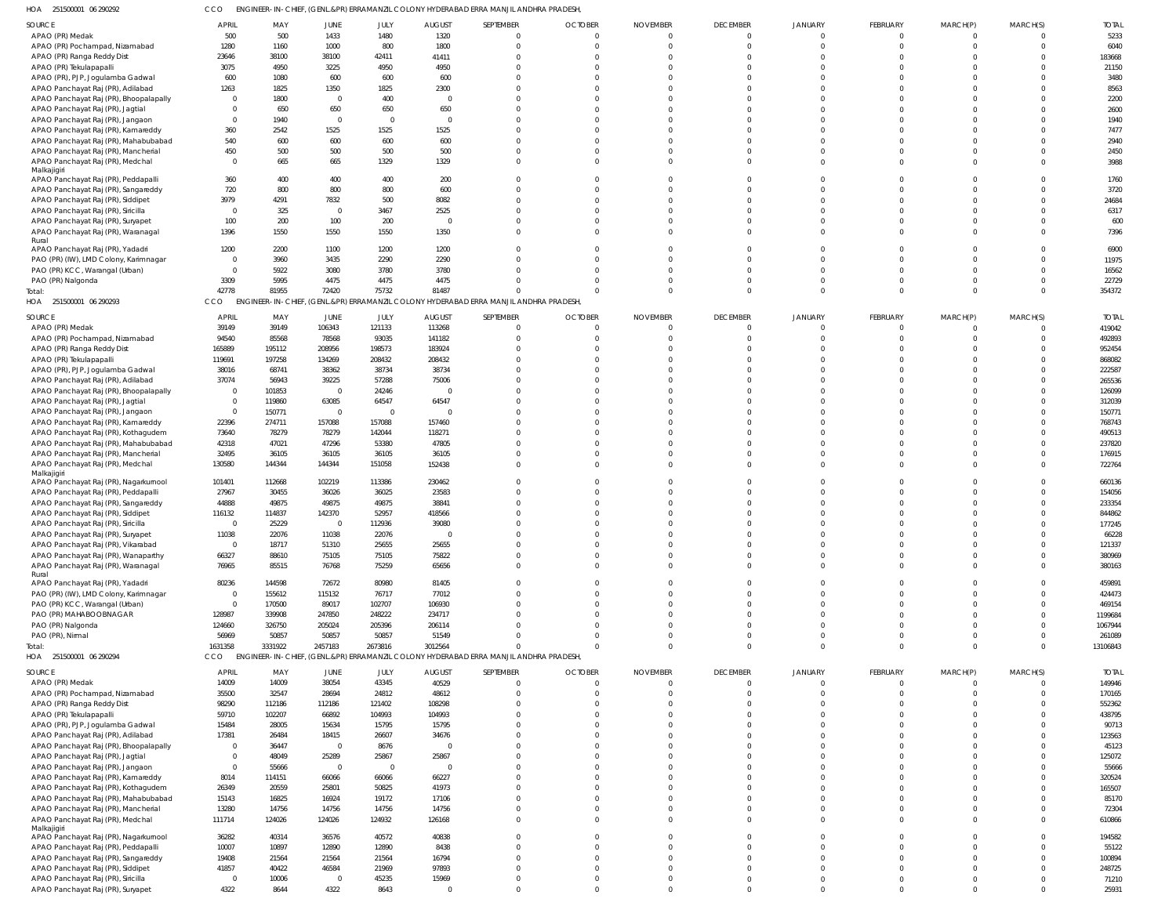251500001 06 290292 HOA CCO ENGINEER-IN-CHIEF, (GENL.&PR) ERRAMANZIL COLONY HYDERABAD ERRA MANJIL ANDHRA PRADESH,

| השוו<br><b>LUBUOUUT OU LIVLIL</b>      | 〜〜〜            |         |                |                |                | ENOTICENTIN'S CHIEF, (OENERN IN ENVANDANCE COLON I THIDENADAD ENVANDAMENTO INA FINADESIT |                |                 |                 |              |                |                |              |              |
|----------------------------------------|----------------|---------|----------------|----------------|----------------|------------------------------------------------------------------------------------------|----------------|-----------------|-----------------|--------------|----------------|----------------|--------------|--------------|
| SOURCE                                 | <b>APRIL</b>   | MAY     | JUNE           | JULY           | <b>AUGUST</b>  | SEPTEMBER                                                                                | <b>OCTOBER</b> | <b>NOVEMBER</b> | <b>DECEMBER</b> | JANUARY      | FEBRUARY       | MARCH(P)       | MARCH(S)     | <b>TOTAL</b> |
| APAO (PR) Medak                        | 500            | 500     | 1433           | 1480           | 1320           | $\Omega$                                                                                 | $\Omega$       | $\Omega$        | $\mathbf{0}$    | $\Omega$     |                |                | $\Omega$     | 5233         |
| APAO (PR) Pochampad, Nizamabad         | 1280           | 1160    | 1000           | 800            | 1800           | $\Omega$                                                                                 | $\Omega$       | $\Omega$        | $\mathbf 0$     | $\Omega$     |                |                | $\Omega$     | 6040         |
| APAO (PR) Ranga Reddy Dist             | 23646          | 38100   | 38100          | 42411          | 41411          | $\Omega$                                                                                 | $\Omega$       | $\Omega$        | $\Omega$        | $\Omega$     |                |                | $\Omega$     | 183668       |
| APAO (PR) Tekulapapalli                | 3075           | 4950    | 3225           | 4950           | 4950           |                                                                                          | $\Omega$       |                 | $\Omega$        | $\Omega$     |                |                |              | 21150        |
|                                        |                |         |                |                |                |                                                                                          | n              |                 |                 | $\Omega$     |                |                | $\Omega$     |              |
| APAO (PR), PJP, Jogulamba Gadwal       | 600            | 1080    | 600            | 600            | 600            |                                                                                          |                |                 | $\Omega$        |              |                |                |              | 3480         |
| APAO Panchayat Raj (PR), Adilabad      | 1263           | 1825    | 1350           | 1825           | 2300           |                                                                                          | $\Omega$       |                 | $\Omega$        | $\Omega$     |                |                | $\Omega$     | 8563         |
| APAO Panchayat Raj (PR), Bhoopalapally | $\mathbf 0$    | 1800    | $\overline{0}$ | 400            | $\overline{0}$ |                                                                                          | $\cap$         |                 | $\Omega$        | $\Omega$     |                |                | $\Omega$     | 2200         |
| APAO Panchayat Raj (PR), Jagtial       | $\Omega$       | 650     | 650            | 650            | 650            |                                                                                          | $\Omega$       |                 | $\Omega$        | $\Omega$     |                |                | $\Omega$     | 2600         |
| APAO Panchayat Raj (PR), Jangaon       | $\Omega$       | 1940    | $\overline{0}$ | - 0            | $\overline{0}$ |                                                                                          | $\cap$         |                 | $\Omega$        | $\Omega$     |                |                | $\Omega$     | 1940         |
| APAO Panchayat Raj (PR), Kamareddy     | 360            | 2542    | 1525           | 1525           | 1525           |                                                                                          | $\Omega$       |                 | $\Omega$        | $\Omega$     |                |                | $\Omega$     | 7477         |
| APAO Panchayat Raj (PR), Mahabubabad   | 540            | 600     | 600            | 600            | 600            |                                                                                          | $\cap$         |                 | $\Omega$        | $\Omega$     |                |                | $\Omega$     | 2940         |
| APAO Panchayat Raj (PR), Mancherial    | 450            | 500     | 500            | 500            | 500            | $\Omega$                                                                                 | $\Omega$       | $\Omega$        | $\Omega$        | $\Omega$     |                |                | $\Omega$     | 2450         |
| APAO Panchayat Raj (PR), Medchal       | $\Omega$       | 665     | 665            | 1329           | 1329           | $\Omega$                                                                                 | $\Omega$       | $\Omega$        | $\Omega$        | $\Omega$     |                |                | $\Omega$     | 3988         |
| Malkajigiri                            |                |         |                |                |                |                                                                                          |                |                 |                 |              |                |                |              |              |
| APAO Panchayat Raj (PR), Peddapalli    | 360            | 400     | 400            | 400            | 200            | $\Omega$                                                                                 | $\Omega$       | $\Omega$        | $\Omega$        | $\Omega$     |                |                |              | 1760         |
|                                        | 720            | 800     | 800            | 800            | 600            | $\Omega$                                                                                 | $\Omega$       | $\Omega$        | $\Omega$        | $\Omega$     |                |                | $\Omega$     | 3720         |
| APAO Panchayat Raj (PR), Sangareddy    |                |         |                |                |                | $\Omega$                                                                                 | $\Omega$       | $\Omega$        |                 |              |                |                | $\Omega$     |              |
| APAO Panchayat Raj (PR), Siddipet      | 3979           | 4291    | 7832           | 500            | 8082           |                                                                                          |                |                 | $\Omega$        | $\Omega$     |                |                |              | 24684        |
| APAO Panchayat Raj (PR), Siricilla     | $\Omega$       | 325     | $\circ$        | 3467           | 2525           |                                                                                          | $\Omega$       | $\Omega$        | $\Omega$        | $\Omega$     |                |                | $\Omega$     | 6317         |
| APAO Panchayat Raj (PR), Suryapet      | 100            | 200     | 100            | 200            | $\overline{0}$ | $\Omega$                                                                                 | $\Omega$       | $\Omega$        | $\Omega$        | $\Omega$     |                |                | $\Omega$     | 600          |
| APAO Panchayat Raj (PR), Waranagal     | 1396           | 1550    | 1550           | 1550           | 1350           | $\Omega$                                                                                 | $\Omega$       | $\Omega$        | $\Omega$        | $\Omega$     |                |                | $\Omega$     | 7396         |
| Rural                                  |                |         |                |                |                |                                                                                          |                |                 |                 |              |                |                |              |              |
| APAO Panchayat Raj (PR), Yadadri       | 1200           | 2200    | 1100           | 1200           | 1200           | $\Omega$                                                                                 | $\Omega$       | $\Omega$        | $\Omega$        | $\Omega$     |                |                |              | 6900         |
| PAO (PR) (IW), LMD Colony, Karimnagar  | $\overline{0}$ | 3960    | 3435           | 2290           | 2290           | $\Omega$                                                                                 | $\cap$         | $\Omega$        | $\Omega$        | $\Omega$     |                |                | $\Omega$     | 11975        |
| PAO (PR) KCC, Warangal (Urban)         | $\overline{0}$ | 5922    | 3080           | 3780           | 3780           | <sup>0</sup>                                                                             | $\Omega$       |                 | $\Omega$        | $\Omega$     |                |                | $\Omega$     | 16562        |
| PAO (PR) Nalgonda                      | 3309           | 5995    | 4475           | 4475           | 4475           | $\Omega$                                                                                 | $\Omega$       | $\Omega$        | $\Omega$        | $\Omega$     |                |                | $\Omega$     | 22729        |
| Total:                                 | 42778          | 81955   | 72420          | 75732          | 81487          | $\Omega$                                                                                 | $\Omega$       | $\Omega$        | $\Omega$        | $\Omega$     | $\Omega$       | $\Omega$       | $\Omega$     | 354372       |
| HOA 251500001 06 290293                | <b>CCO</b>     |         |                |                |                | ENGINEER-IN-CHIEF, (GENL.&PR) ERRAMANZIL COLONY HYDERABAD ERRA MANJIL ANDHRA PRADESH     |                |                 |                 |              |                |                |              |              |
|                                        |                |         |                |                |                |                                                                                          |                |                 |                 |              |                |                |              |              |
| SOURCE                                 | <b>APRIL</b>   | MAY     | JUNE           | JULY           | <b>AUGUST</b>  | SEPTEMBER                                                                                | <b>OCTOBER</b> | <b>NOVEMBER</b> | <b>DECEMBER</b> | JANUARY      | FEBRUARY       | MARCH(P)       | MARCH(S)     | <b>TOTAL</b> |
| APAO (PR) Medak                        | 39149          | 39149   | 106343         | 121133         | 113268         | $\mathbf{0}$                                                                             | $\Omega$       | $\Omega$        | $\mathbf 0$     | $\Omega$     |                |                | $\Omega$     | 419042       |
| APAO (PR) Pochampad, Nizamabad         | 94540          | 85568   | 78568          | 93035          | 141182         | $\Omega$                                                                                 | $\overline{0}$ | $\Omega$        | $\mathbf 0$     | $\mathbf{0}$ |                |                | $\Omega$     | 492893       |
| APAO (PR) Ranga Reddy Dist             | 165889         | 195112  | 208956         | 198573         | 183924         | <sup>0</sup>                                                                             | $\Omega$       | $\Omega$        | $\Omega$        | $\Omega$     |                |                | $\Omega$     | 952454       |
|                                        |                |         |                |                |                | <sup>0</sup>                                                                             | $\Omega$       | $\Omega$        | $\Omega$        |              |                |                | $\Omega$     |              |
| APAO (PR) Tekulapapalli                | 119691         | 197258  | 134269         | 208432         | 208432         |                                                                                          |                |                 |                 | $\Omega$     |                |                |              | 868082       |
| APAO (PR), PJP, Jogulamba Gadwal       | 38016          | 68741   | 38362          | 38734          | 38734          | <sup>0</sup>                                                                             | $\Omega$       | $\Omega$        | $\Omega$        | $\Omega$     |                |                | $\Omega$     | 222587       |
| APAO Panchayat Raj (PR), Adilabad      | 37074          | 56943   | 39225          | 57288          | 75006          |                                                                                          | $\Omega$       | $\Omega$        | $\Omega$        | $\Omega$     |                |                | $\Omega$     | 265536       |
| APAO Panchayat Raj (PR), Bhoopalapally | $\overline{0}$ | 101853  | $\overline{0}$ | 24246          | $\overline{0}$ | <sup>0</sup>                                                                             | $\Omega$       | $\Omega$        | $\Omega$        | $\Omega$     |                |                | <sup>0</sup> | 126099       |
| APAO Panchayat Raj (PR), Jagtial       | $\overline{0}$ | 119860  | 63085          | 64547          | 64547          |                                                                                          | $\Omega$       | $\Omega$        | $\Omega$        | $\Omega$     |                |                | $\Omega$     | 312039       |
| APAO Panchayat Raj (PR), Jangaon       | $\overline{0}$ | 150771  | $\overline{0}$ | $\Omega$       | $\overline{0}$ | <sup>0</sup>                                                                             | $\Omega$       | $\Omega$        | $\Omega$        | $\Omega$     |                |                | $\Omega$     | 150771       |
| APAO Panchayat Raj (PR), Kamareddy     | 22396          | 274711  | 157088         | 157088         | 157460         | $\Omega$                                                                                 | $\Omega$       | $\Omega$        | $\Omega$        | $\Omega$     |                |                | $\Omega$     | 768743       |
|                                        |                |         |                |                |                | <sup>0</sup>                                                                             | $\Omega$       | $\Omega$        | $\Omega$        | $\Omega$     |                |                | $\Omega$     | 490513       |
| APAO Panchayat Raj (PR), Kothagudem    | 73640          | 78279   | 78279          | 142044         | 118271         |                                                                                          |                |                 |                 |              |                |                |              |              |
| APAO Panchayat Raj (PR), Mahabubabad   | 42318          | 47021   | 47296          | 53380          | 47805          | <sup>0</sup>                                                                             | $\Omega$       | $\Omega$        | $\Omega$        | $\Omega$     |                |                | $\Omega$     | 237820       |
| APAO Panchayat Raj (PR), Mancherial    | 32495          | 36105   | 36105          | 36105          | 36105          | $\Omega$                                                                                 | $\Omega$       | $\Omega$        | $\Omega$        | $\Omega$     |                |                | $\Omega$     | 176915       |
| APAO Panchayat Raj (PR), Medchal       | 130580         | 144344  | 144344         | 151058         | 152438         | $\Omega$                                                                                 | $\Omega$       | $\Omega$        | $\Omega$        | $\Omega$     |                |                | $\Omega$     | 722764       |
| Malkajigiri                            |                |         |                |                |                |                                                                                          |                |                 |                 |              |                |                |              |              |
| APAO Panchayat Raj (PR), Nagarkurnool  | 101401         | 112668  | 102219         | 113386         | 230462         | $\Omega$                                                                                 | $\Omega$       | $\Omega$        | $\Omega$        | $\Omega$     |                |                | <sup>0</sup> | 660136       |
| APAO Panchayat Raj (PR), Peddapalli    | 27967          | 30455   | 36026          | 36025          | 23583          | $\Omega$                                                                                 | $\Omega$       | $\Omega$        | $\Omega$        | $\Omega$     |                |                | $\Omega$     | 154056       |
| APAO Panchayat Raj (PR), Sangareddy    | 44888          | 49875   | 49875          | 49875          | 38841          | <sup>0</sup>                                                                             |                | $\Omega$        | $\Omega$        | $\Omega$     |                |                |              | 233354       |
| APAO Panchayat Raj (PR), Siddipet      | 116132         | 114837  | 142370         | 52957          | 418566         |                                                                                          | $\Omega$       | $\Omega$        | $\mathbf 0$     | $\Omega$     |                |                |              | 844862       |
| APAO Panchayat Raj (PR), Siricilla     | $\overline{0}$ | 25229   | $\circ$        | 112936         | 39080          | $\Omega$                                                                                 | $\Omega$       | $\Omega$        | $\Omega$        | $\Omega$     |                |                | $\Omega$     | 177245       |
| APAO Panchayat Raj (PR), Suryapet      | 11038          | 22076   | 11038          | 22076          |                |                                                                                          |                |                 |                 |              |                |                |              | 66228        |
| APAO Panchayat Raj (PR), Vikarabad     | $\overline{0}$ | 18717   | 51310          | 25655          | 25655          | $\mathbf 0$                                                                              | $\Omega$       | $\Omega$        | $\Omega$        | $\Omega$     |                |                | $\Omega$     | 121337       |
|                                        |                |         |                |                |                |                                                                                          |                |                 |                 |              |                |                |              |              |
| APAO Panchayat Raj (PR), Wanaparthy    | 66327          | 88610   | 75105          | 75105          | 75822          | $\mathbf 0$                                                                              | $\overline{0}$ | $\overline{0}$  | $\mathbf 0$     | $\mathbf 0$  |                |                | $\Omega$     | 380969       |
| APAO Panchayat Raj (PR), Waranagal     | 76965          | 85515   | 76768          | 75259          | 65656          | $\Omega$                                                                                 | $\Omega$       | $\Omega$        | $\Omega$        | $\Omega$     |                |                | $\Omega$     | 380163       |
| Rural                                  |                |         |                |                |                |                                                                                          |                |                 |                 |              |                |                |              |              |
| APAO Panchayat Raj (PR), Yadadri       | 80236          | 144598  | 72672          | 80980          | 81405          | $\Omega$                                                                                 | $\Omega$       | $\Omega$        | $\Omega$        | $\mathbf 0$  |                |                | $\Omega$     | 459891       |
| PAO (PR) (IW), LMD Colony, Karimnagar  | $\overline{0}$ | 155612  | 115132         | 76717          | 77012          | $\Omega$                                                                                 | $\Omega$       | $\Omega$        | $\Omega$        | $\mathbf 0$  |                |                | <sup>0</sup> | 424473       |
| PAO (PR) KCC, Warangal (Urban)         | $\overline{0}$ | 170500  | 89017          | 102707         | 106930         | $\Omega$                                                                                 | $\Omega$       | $\Omega$        | $\mathbf 0$     | $\mathbf 0$  |                |                | $\Omega$     | 469154       |
| PAO (PR) MAHABOOBNAGAR                 | 128987         | 339908  | 247850         | 248222         | 234717         | $\Omega$                                                                                 | $\Omega$       | $\Omega$        | $\Omega$        | $\mathbf 0$  |                |                | $\Omega$     | 1199684      |
| PAO (PR) Nalgonda                      | 124660         | 326750  | 205024         | 205396         | 206114         |                                                                                          | $\Omega$       | $\Omega$        | $\Omega$        | $\mathbf 0$  |                |                | $\Omega$     | 1067944      |
| PAO (PR), Nirmal                       | 56969          | 50857   | 50857          | 50857          | 51549          | $\Omega$                                                                                 | $\Omega$       | $\Omega$        | $\mathbf 0$     | $\mathbf 0$  |                |                | $\Omega$     | 261089       |
| Total:                                 | 1631358        | 3331922 | 2457183        | 2673816        | 3012564        | $\Omega$                                                                                 | $\Omega$       | $\overline{0}$  | $\mathbf 0$     | $\mathbf 0$  |                | $\Omega$       | $\mathbf{0}$ | 13106843     |
| HOA 251500001 06 290294                | CCO            |         |                |                |                | ENGINEER-IN-CHIEF, (GENL.&PR) ERRAMANZIL COLONY HYDERABAD ERRA MANJIL ANDHRA PRADESH     |                |                 |                 |              |                |                |              |              |
|                                        |                |         |                |                |                |                                                                                          |                |                 |                 |              |                |                |              |              |
| SOURCE                                 | <b>APRIL</b>   | MAY     | JUNE           | JULY           | <b>AUGUST</b>  | SEPTEMBER                                                                                | <b>OCTOBER</b> | <b>NOVEMBER</b> | <b>DECEMBER</b> | JANUARY      | FEBRUARY       | MARCH(P)       | MARCH(S)     | <b>TOTAL</b> |
| APAO (PR) Medak                        | 14009          | 14009   | 38054          | 43345          | 40529          | $\overline{0}$                                                                           | $\overline{0}$ | $\Omega$        | $\mathbf 0$     | $\Omega$     | $\Omega$       | $\Omega$       | $\Omega$     | 149946       |
| APAO (PR) Pochampad, Nizamabad         | 35500          | 32547   | 28694          | 24812          | 48612          | $\Omega$                                                                                 | $\circ$        | $\Omega$        | $\mathbf 0$     | $\mathbf{0}$ |                | $\Omega$       | $\Omega$     | 170165       |
| APAO (PR) Ranga Reddy Dist             | 98290          | 112186  | 112186         | 121402         | 108298         | $\Omega$                                                                                 | $\Omega$       | $\Omega$        | $\Omega$        | $\Omega$     |                |                | $\Omega$     | 552362       |
| APAO (PR) Tekulapapalli                | 59710          | 102207  | 66892          | 104993         | 104993         | $\Omega$                                                                                 | $\Omega$       | $\Omega$        | $\Omega$        | $\Omega$     |                |                | $\Omega$     | 438795       |
|                                        |                |         |                |                |                |                                                                                          | $\Omega$       | $\Omega$        | $\Omega$        | $\Omega$     |                |                | $\Omega$     |              |
| APAO (PR), PJP, Jogulamba Gadwal       | 15484          | 28005   | 15634          | 15795          | 15795          |                                                                                          |                |                 |                 |              |                |                |              | 90713        |
| APAO Panchayat Raj (PR), Adilabad      | 17381          | 26484   | 18415          | 26607          | 34676          |                                                                                          | $\Omega$       | $\Omega$        | $\Omega$        | $\Omega$     |                |                | $\Omega$     | 123563       |
| APAO Panchayat Raj (PR), Bhoopalapally | $\overline{0}$ | 36447   | $\overline{0}$ | 8676           | $\overline{0}$ | <sup>0</sup>                                                                             | $\Omega$       | $\Omega$        | $\Omega$        | $\Omega$     |                |                | $\Omega$     | 45123        |
| APAO Panchayat Raj (PR), Jagtial       | $\overline{0}$ | 48049   | 25289          | 25867          | 25867          | $\Omega$                                                                                 | $\Omega$       | $\Omega$        | $\Omega$        | $\Omega$     |                |                | $\Omega$     | 125072       |
| APAO Panchayat Raj (PR), Jangaon       | $\overline{0}$ | 55666   | $\overline{0}$ | $\overline{0}$ | $\overline{0}$ | $\Omega$                                                                                 | $\Omega$       | $\Omega$        | $\Omega$        | $\Omega$     |                |                | $\Omega$     | 55666        |
| APAO Panchayat Raj (PR), Kamareddy     | 8014           | 114151  | 66066          | 66066          | 66227          | $\Omega$                                                                                 | $\Omega$       | $\Omega$        | $\Omega$        | $\Omega$     |                |                | $\Omega$     | 320524       |
| APAO Panchayat Raj (PR), Kothagudem    | 26349          | 20559   | 25801          | 50825          | 41973          | $\Omega$                                                                                 | $\Omega$       | $\Omega$        | $\Omega$        | $\Omega$     |                |                | $\Omega$     | 165507       |
|                                        | 15143          | 16825   | 16924          | 19172          | 17106          | $\Omega$                                                                                 | $\Omega$       | $\Omega$        | $\Omega$        | $\Omega$     |                |                | $\Omega$     | 85170        |
| APAO Panchayat Raj (PR), Mahabubabad   |                |         |                |                |                |                                                                                          |                |                 |                 |              |                |                |              |              |
| APAO Panchayat Raj (PR), Mancherial    | 13280          | 14756   | 14756          | 14756          | 14756          | $\Omega$                                                                                 | $\mathbf{0}$   | $\Omega$        | $\Omega$        | $\mathbf 0$  |                |                | $\Omega$     | 72304        |
| APAO Panchayat Raj (PR), Medchal       | 111714         | 124026  | 124026         | 124932         | 126168         | $\Omega$                                                                                 | $\Omega$       | $\Omega$        | $\Omega$        | $\Omega$     | $\Omega$       | $\cap$         | $\Omega$     | 610866       |
| Malkajigiri                            |                |         |                |                |                |                                                                                          |                |                 |                 |              |                |                |              |              |
| APAO Panchayat Raj (PR), Nagarkurnool  | 36282          | 40314   | 36576          | 40572          | 40838          | $\Omega$                                                                                 | $\Omega$       | $\Omega$        | $\Omega$        | $\mathbf 0$  |                |                | $\Omega$     | 194582       |
| APAO Panchayat Raj (PR), Peddapalli    | 10007          | 10897   | 12890          | 12890          | 8438           | $\Omega$                                                                                 | $\Omega$       | $\Omega$        | $\Omega$        | $\Omega$     |                |                | $\Omega$     | 55122        |
| APAO Panchayat Raj (PR), Sangareddy    | 19408          | 21564   | 21564          | 21564          | 16794          | $\Omega$                                                                                 | $\Omega$       | $\Omega$        | $\Omega$        | $\Omega$     |                |                | $\Omega$     | 100894       |
| APAO Panchayat Raj (PR), Siddipet      | 41857          | 40422   | 46584          | 21969          | 97893          | $\Omega$                                                                                 | $\Omega$       | $\Omega$        | $\Omega$        | $\Omega$     |                | $\cap$         | $\Omega$     | 248725       |
| APAO Panchayat Raj (PR), Siricilla     | $\overline{0}$ | 10006   | $\overline{0}$ | 45235          | 15969          | $\mathbf 0$                                                                              | $\overline{0}$ | $\mathbf{0}$    | $\mathbf 0$     | $\mathbf 0$  | $\overline{0}$ | $\overline{0}$ | $\Omega$     | 71210        |
| APAO Panchayat Raj (PR), Suryapet      | 4322           | 8644    | 4322           | 8643           | $\overline{0}$ | $\mathbf 0$                                                                              | $\Omega$       | $\Omega$        | $\mathbf 0$     | $\mathbf 0$  | $\Omega$       | $\Omega$       | $\Omega$     | 25931        |
|                                        |                |         |                |                |                |                                                                                          |                |                 |                 |              |                |                |              |              |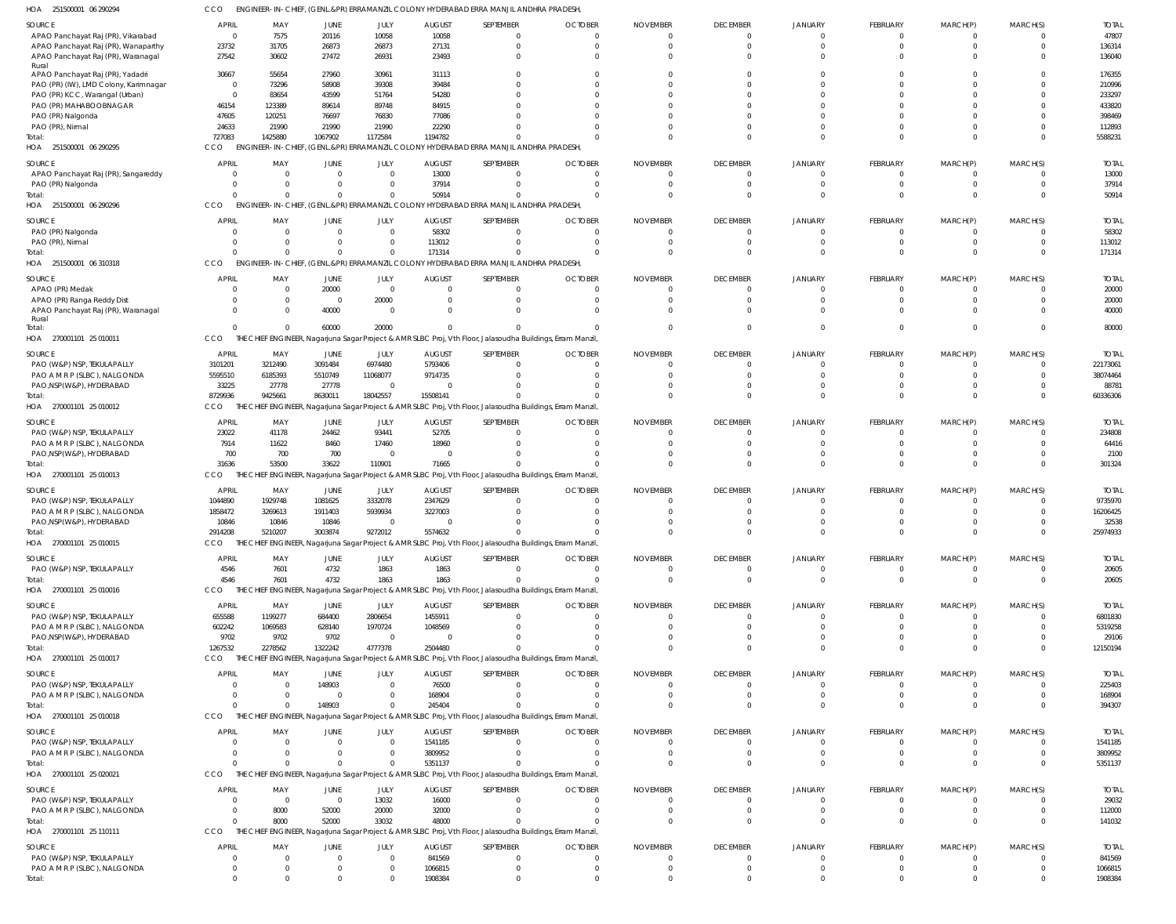| HOA<br>251500001 06 290294                                 | CCO                     |                                     |                      |                         |                          | ENGINEER-IN-CHIEF, (GENL.&PR) ERRAMANZIL COLONY HYDERABAD ERRA MANJIL ANDHRA PRADESH,                       |                            |                             |                        |                      |                  |              |          |                         |
|------------------------------------------------------------|-------------------------|-------------------------------------|----------------------|-------------------------|--------------------------|-------------------------------------------------------------------------------------------------------------|----------------------------|-----------------------------|------------------------|----------------------|------------------|--------------|----------|-------------------------|
| SOURCE                                                     | <b>APRIL</b>            | MAY                                 | JUNE                 | JULY                    | <b>AUGUST</b>            | SEPTEMBER                                                                                                   | <b>OCTOBER</b>             | <b>NOVEMBER</b>             | <b>DECEMBER</b>        | <b>JANUARY</b>       | <b>FEBRUARY</b>  | MARCH(P)     | MARCH(S) | <b>TOTAI</b>            |
| APAO Panchayat Raj (PR), Vikarabad                         | $\overline{0}$          | 7575                                | 20116                | 10058                   | 10058                    | $\Omega$                                                                                                    | $\Omega$                   | $\Omega$                    | $\Omega$               | $\Omega$             | 0                |              |          | 47807                   |
| APAO Panchayat Raj (PR), Wanaparthy                        | 23732                   | 31705                               | 26873                | 26873                   | 27131                    | $\Omega$                                                                                                    | $\Omega$                   | $\Omega$                    | $\Omega$               | $\Omega$             | $\Omega$         |              | $\Omega$ | 136314                  |
| APAO Panchayat Raj (PR), Waranagal<br>Rural                | 27542                   | 30602                               | 27472                | 26931                   | 23493                    | $\Omega$                                                                                                    | $\Omega$                   | $\cup$                      | $\Omega$               | $\cap$               |                  |              |          | 136040                  |
| APAO Panchayat Raj (PR), Yadadri                           | 30667                   | 55654                               | 27960                | 30961                   | 31113                    |                                                                                                             | $\Omega$                   | $\cup$                      |                        |                      |                  |              |          | 176355                  |
| PAO (PR) (IW), LMD Colony, Karimnagar                      | $\overline{\mathbf{0}}$ | 73296                               | 58908                | 39308                   | 39484                    |                                                                                                             |                            | $\cup$                      |                        |                      |                  |              |          | 210996                  |
| PAO (PR) KCC, Warangal (Urban)                             | $\overline{0}$<br>46154 | 83654<br>123389                     | 43599<br>89614       | 51764<br>89748          | 54280<br>84915           |                                                                                                             | -C<br>-C                   | $\cup$<br>$\cup$            |                        |                      |                  |              |          | 233297<br>433820        |
| PAO (PR) MAHABOOBNAGAR<br>PAO (PR) Nalgonda                | 47605                   | 120251                              | 76697                | 76830                   | 77086                    |                                                                                                             | -C                         | n                           |                        |                      |                  |              |          | 398469                  |
| PAO (PR), Nirmal                                           | 24633                   | 21990                               | 21990                | 21990                   | 22290                    |                                                                                                             |                            | $\cup$                      | $\cap$                 |                      |                  |              |          | 112893                  |
| Total:                                                     | 727083                  | 1425880                             | 1067902              | 1172584                 | 1194782                  |                                                                                                             | $\sqrt{ }$                 | $\Omega$                    | $\Omega$               | $\cap$               | $\Omega$         |              |          | 5588231                 |
| HOA 251500001 06 290295                                    | CCO                     | <b>ENGINEER-IN-CHIEF</b>            |                      |                         |                          | (GENL.&PR) ERRAMANZIL COLONY HYDERABAD ERRA MANJIL ANDHRA PRADESH                                           |                            |                             |                        |                      |                  |              |          |                         |
| SOURCE                                                     | <b>APRIL</b>            | MAY                                 | JUNE                 | JULY                    | <b>AUGUST</b>            | SEPTEMBER                                                                                                   | <b>OCTOBER</b>             | <b>NOVEMBER</b>             | <b>DECEMBER</b>        | <b>JANUARY</b>       | FEBRUARY         | MARCH(P)     | MARCH(S) | <b>TOTAI</b>            |
| APAO Panchayat Raj (PR), Sangareddy                        | $\Omega$                | $\overline{0}$                      | $\overline{0}$       | $\Omega$                | 13000                    | $\Omega$                                                                                                    | $\overline{0}$             | $\mathbf 0$                 | $\Omega$               | $\Omega$             | $\mathbf 0$      |              |          | 13000                   |
| PAO (PR) Nalgonda                                          | $\Omega$                | 0                                   | 0                    | $\Omega$                | 37914                    | $\Omega$                                                                                                    | $\Omega$                   | $\Omega$                    | $\Omega$               | $\Omega$             | 0                |              | $\Omega$ | 37914                   |
| Total:<br>HOA 251500001 06 290296                          | $\Omega$<br>CCO         | $\overline{0}$                      | $\mathbf 0$          |                         | 50914                    | $\Omega$<br>ENGINEER-IN-CHIEF, (GENL.&PR) ERRAMANZIL COLONY HYDERABAD ERRA MANJIL ANDHRA PRADESH,           | $\Omega$                   | C                           | $\Omega$               | $\Omega$             | $\Omega$         |              | $\Omega$ | 50914                   |
|                                                            |                         |                                     |                      |                         |                          |                                                                                                             |                            |                             |                        |                      |                  |              |          |                         |
| SOURCE                                                     | <b>APRIL</b>            | MAY                                 | JUNE                 | JULY                    | <b>AUGUST</b>            | SEPTEMBER                                                                                                   | <b>OCTOBER</b>             | <b>NOVEMBER</b>             | <b>DECEMBER</b>        | <b>JANUARY</b>       | FEBRUARY         | MARCH(P)     | MARCH(S) | <b>TOTAI</b>            |
| PAO (PR) Nalgonda<br>PAO (PR), Nirmal                      | - 0<br>$\Omega$         | $\overline{\mathbf{0}}$<br>$\Omega$ | $\Omega$<br>$\Omega$ | $\Omega$<br>$\Omega$    | 58302<br>113012          | $\Omega$<br>$\Omega$                                                                                        | $\Omega$<br>$\Omega$       | $\Omega$<br>$\Omega$        | $\Omega$<br>$\Omega$   | $\Omega$             | 0<br>$\Omega$    |              | $\Omega$ | 58302<br>113012         |
| Total:                                                     | $\Omega$                | $\Omega$                            | $\mathbf{0}$         | $\Omega$                | 171314                   | $\Omega$                                                                                                    | $\Omega$                   | C                           | $\Omega$               | $\Omega$             | $\Omega$         |              | $\Omega$ | 171314                  |
| HOA 251500001 06 310318                                    | CCO                     |                                     |                      |                         |                          | ENGINEER-IN-CHIEF, (GENL.&PR) ERRAMANZIL COLONY HYDERABAD ERRA MANJIL ANDHRA PRADESH,                       |                            |                             |                        |                      |                  |              |          |                         |
| SOURCE                                                     | <b>APRIL</b>            | MAY                                 | JUNE                 | JULY                    | <b>AUGUST</b>            | SEPTEMBER                                                                                                   | <b>OCTOBER</b>             | <b>NOVEMBER</b>             | <b>DECEMBER</b>        | <b>JANUARY</b>       | <b>FEBRUARY</b>  | MARCH(P)     | MARCH(S) | <b>TOTAL</b>            |
| APAO (PR) Medak                                            | $\Omega$                | - 0                                 | 20000                | $\overline{\mathbf{0}}$ | 0                        | 0                                                                                                           | $\Omega$                   | $\Omega$                    | $\Omega$               |                      | 0                |              |          | 20000                   |
| APAO (PR) Ranga Reddy Dist                                 | $\Omega$                | $\overline{0}$                      | $\overline{0}$       | 20000                   | $\overline{0}$           | $\Omega$                                                                                                    | 0                          | $\Omega$                    | $\Omega$               | $\Omega$             | $\Omega$         |              |          | 20000                   |
| APAO Panchayat Raj (PR), Waranagal                         | $\Omega$                | $\Omega$                            | 40000                | $\Omega$                | $\Omega$                 | $\Omega$                                                                                                    | $\Omega$                   | $\Omega$                    | $\Omega$               | $\cap$               | $\Omega$         |              |          | 40000                   |
| Rural<br>Total:                                            | $\Omega$                | $\Omega$                            | 60000                | 20000                   | $\Omega$                 | $\Omega$                                                                                                    |                            | $\Omega$                    | $\Omega$               | $\Omega$             | $\Omega$         |              | $\Omega$ | 80000                   |
| HOA 270001101 25 010011                                    | CCO                     |                                     |                      |                         |                          | THE CHIEF ENGINEER, Nagarjuna Sagar Project & AMR SLBC Proj, Vth Floor, Jalasoudha Buildings, Erram Manzil, |                            |                             |                        |                      |                  |              |          |                         |
| SOURCE                                                     | APRIL                   | MAY                                 | JUNE                 | JULY                    | <b>AUGUST</b>            | SEPTEMBER                                                                                                   | <b>OCTOBER</b>             | <b>NOVEMBER</b>             | <b>DECEMBER</b>        | <b>JANUARY</b>       | <b>FEBRUARY</b>  | MARCH(P)     | MARCH(S) | <b>TOTAI</b>            |
| PAO (W&P) NSP, TEKULAPALLY                                 | 3101201                 | 3212490                             | 3091484              | 6974480                 | 5793406                  | $\Omega$                                                                                                    | $\Omega$                   | $\Omega$                    | $\Omega$               | $\cap$               | 0                |              |          | 22173061                |
| PAO A M R P (SLBC), NALGONDA                               | 5595510                 | 6185393                             | 5510749              | 11068077                | 9714735                  | $\Omega$                                                                                                    | $\Omega$                   | $\Omega$                    | $\Omega$               |                      |                  |              |          | 38074464                |
| PAO, NSP(W&P), HYDERABAD                                   | 33225                   | 27778                               | 27778                | $\Omega$                | $\Omega$                 |                                                                                                             | -C                         | $\Omega$                    | $\Omega$               |                      |                  |              |          | 88781                   |
| Total:                                                     | 8729936                 | 9425661                             | 863001               | 18042557                | 15508141                 |                                                                                                             |                            | C                           | $\Omega$               | $\cap$               | $\Omega$         | $\Omega$     | $\Omega$ | 60336306                |
| HOA 270001101 25 010012                                    | <b>CCO</b>              |                                     |                      |                         |                          | THE CHIEF ENGINEER, Nagarjuna Sagar Project & AMR SLBC Proj, Vth Floor, Jalasoudha Buildings, Erram Manzil, |                            |                             |                        |                      |                  |              |          |                         |
| SOURCE                                                     | <b>APRIL</b>            | MAY                                 | JUNE                 | JULY                    | <b>AUGUST</b>            | SEPTEMBER                                                                                                   | <b>OCTOBER</b>             | <b>NOVEMBER</b>             | <b>DECEMBER</b>        | <b>JANUARY</b>       | <b>FEBRUARY</b>  | MARCH(P)     | MARCH(S) | <b>TOTAL</b>            |
| PAO (W&P) NSP, TEKULAPALLY                                 | 23022                   | 41178                               | 24462                | 93441                   | 52705                    | $\Omega$                                                                                                    | - 0                        | $\Omega$                    | $\Omega$               | $\cap$               | 0                |              |          | 234808                  |
| PAO A M R P (SLBC), NALGONDA<br>PAO, NSP(W&P), HYDERABAD   | 7914<br>700             | 11622<br>700                        | 8460<br>700          | 17460<br>- 0            | 18960<br>$\Omega$        |                                                                                                             | -0<br>-C                   | $\Omega$<br>$\Omega$        | $\Omega$<br>$\Omega$   | $\Omega$             | 0                |              | $\Omega$ | 64416<br>2100           |
| Total:                                                     | 31636                   | 53500                               | 33622                | 110901                  | 71665                    |                                                                                                             |                            | C                           | $\Omega$               | $\cap$               | $\Omega$         |              | $\cap$   | 301324                  |
| HOA 270001101 25 010013                                    | CCO                     |                                     |                      |                         |                          | THE CHIEF ENGINEER, Nagarjuna Sagar Project & AMR SLBC Proj, Vth Floor, Jalasoudha Buildings, Erram Manzil, |                            |                             |                        |                      |                  |              |          |                         |
| SOURCE                                                     | <b>APRIL</b>            | MAY                                 | JUNE                 | JULY                    | <b>AUGUST</b>            | SEPTEMBER                                                                                                   | <b>OCTOBER</b>             | <b>NOVEMBER</b>             | <b>DECEMBER</b>        | <b>JANUARY</b>       | <b>FEBRUARY</b>  | MARCH(P)     | MARCH(S) | <b>TOTAI</b>            |
| PAO (W&P) NSP, TEKULAPALLY                                 | 1044890                 | 1929748                             | 1081625              | 3332078                 | 2347629                  | $\Omega$                                                                                                    | $\Omega$                   | $\Omega$                    | - 0                    |                      |                  |              |          | 9735970                 |
| PAO A M R P (SLBC), NALGONDA                               | 1858472                 | 3269613                             | 1911403              | 5939934                 | 3227003                  |                                                                                                             |                            |                             |                        |                      |                  |              |          | 16206425                |
| PAO, NSP(W&P), HYDERABAD                                   | 10846                   | 10846                               | 10846                | $\Omega$                | $\Omega$                 | U                                                                                                           | $\cap$                     |                             | $\cap$                 |                      |                  |              |          | 32538                   |
| lotal                                                      | 2914208                 | 5210207                             | 3003874              | 9272012                 | 5574632                  |                                                                                                             |                            |                             |                        |                      |                  |              |          | 25974933                |
| HOA 270001101 25 010015                                    | <b>CCO</b>              |                                     |                      |                         |                          | THE CHIEF ENGINEER, Nagarjuna Sagar Project & AMR SLBC Proj, Vth Floor, Jalasoudha Buildings, Erram Manzil, |                            |                             |                        |                      |                  |              |          |                         |
| SOURCE                                                     | <b>APRIL</b>            | MAY                                 | JUNE                 | JULY                    | <b>AUGUST</b>            | SEPTEMBER                                                                                                   | <b>OCTOBER</b>             | <b>NOVEMBER</b>             | <b>DECEMBER</b>        | <b>JANUARY</b>       | FEBRUARY         | MARCH(P)     | MARCH(S) | <b>TOTAL</b>            |
| PAO (W&P) NSP, TEKULAPALLY<br>Total:                       | 4546<br>4546            | 7601<br>7601                        | 4732<br>4732         | 1863<br>1863            | 1863<br>1863             | 0<br>$\Omega$                                                                                               | 0<br>$\Omega$              | $\Omega$<br>- 0             | $\Omega$<br>$\Omega$   | $\Omega$             | 0<br>$\mathbf 0$ | $\mathbf{0}$ | $\Omega$ | 20605<br>20605          |
| HOA 270001101 25 010016                                    | CCO                     |                                     |                      |                         |                          | THE CHIEF ENGINEER, Nagarjuna Sagar Project & AMR SLBC Proj, Vth Floor, Jalasoudha Buildings, Erram Manzil, |                            |                             |                        |                      |                  |              |          |                         |
|                                                            |                         |                                     |                      |                         |                          |                                                                                                             |                            |                             |                        |                      |                  |              |          |                         |
| SOURCE<br>PAO (W&P) NSP, TEKULAPALLY                       | APRIL<br>655588         | MAY<br>1199277                      | JUNE<br>684400       | JULY<br>2806654         | <b>AUGUST</b><br>1455911 | SEPTEMBER                                                                                                   | <b>OCTOBER</b><br>$\Omega$ | <b>NOVEMBER</b><br>$\Omega$ | <b>DECEMBER</b><br>- 0 | <b>JANUARY</b>       | FEBRUARY         | MARCH(P)     | MARCH(S) | <b>TOTAL</b><br>6801830 |
| PAO A M R P (SLBC), NALGONDA                               | 602242                  | 1069583                             | 628140               | 1970724                 | 1048569                  |                                                                                                             | $\Omega$                   | $\Omega$                    | $\Omega$               |                      |                  |              |          | 5319258                 |
| PAO, NSP(W&P), HYDERABAD                                   | 9702                    | 9702                                | 9702                 | $\Omega$                | $\Omega$                 |                                                                                                             |                            |                             |                        |                      |                  |              |          | 29106                   |
| Total:                                                     | 1267532                 | 2278562                             | 1322242              | 4777378                 | 2504480                  |                                                                                                             |                            | C                           | $\Omega$               | $\Omega$             | $\Omega$         |              |          | 12150194                |
| HOA 270001101 25 010017                                    | <b>CCO</b>              |                                     |                      |                         |                          | THE CHIEF ENGINEER, Nagarjuna Sagar Project & AMR SLBC Proj, Vth Floor, Jalasoudha Buildings, Erram Manzil, |                            |                             |                        |                      |                  |              |          |                         |
| SOURCE                                                     | <b>APRIL</b>            | MAY                                 | JUNE                 | JULY                    | <b>AUGUST</b>            | SEPTEMBER                                                                                                   | <b>OCTOBER</b>             | <b>NOVEMBER</b>             | <b>DECEMBER</b>        | <b>JANUARY</b>       | FEBRUARY         | MARCH(P)     | MARCH(S) | <b>TOTAL</b>            |
| PAO (W&P) NSP, TEKULAPALLY                                 | $\Omega$                | $\overline{\mathbf{0}}$             | 148903               | $\Omega$                | 76500                    | $\Omega$                                                                                                    | - 0                        | 0                           | $\Omega$               | $\cap$               | 0                |              |          | 225403                  |
| PAO A M R P (SLBC), NALGONDA                               | $\Omega$                | $\overline{\mathbf{0}}$             | $\overline{0}$       |                         | 168904                   |                                                                                                             | $\Omega$                   | $\Omega$                    | $\Omega$               | $\Omega$             | 0                |              |          | 168904                  |
| Total:<br>HOA 270001101 25 010018                          | $\Omega$<br>CCO         | $\overline{\mathbf{0}}$             | 148903               |                         | 245404                   | THE CHIEF ENGINEER, Nagarjuna Sagar Project & AMR SLBC Proj, Vth Floor, Jalasoudha Buildings, Erram Manzil, |                            | C                           | $\Omega$               | $\cap$               | 0                |              |          | 394307                  |
|                                                            |                         |                                     |                      |                         |                          |                                                                                                             |                            |                             |                        |                      |                  |              |          |                         |
| SOURCE                                                     | <b>APRIL</b>            | MAY                                 | JUNE                 | JULY                    | <b>AUGUST</b>            | SEPTEMBER                                                                                                   | <b>OCTOBER</b>             | <b>NOVEMBER</b>             | <b>DECEMBER</b>        | <b>JANUARY</b>       | FEBRUARY         | MARCH(P)     | MARCH(S) | <b>TOTAL</b>            |
| PAO (W&P) NSP, TEKULAPALLY<br>PAO A M R P (SLBC), NALGONDA | $\Omega$<br>$\Omega$    | $\Omega$<br>$\overline{0}$          | $\Omega$<br>$\Omega$ | $\Omega$<br>$\Omega$    | 1541185<br>3809952       | $\Omega$<br>$\Omega$                                                                                        | $\Omega$<br>$\Omega$       | $\Omega$<br>$\Omega$        | - 0<br>$\Omega$        | $\Omega$             | $\Omega$         |              |          | 1541185<br>3809952      |
| Total:                                                     | $\Omega$                | $\Omega$                            | $\Omega$             | $\Omega$                | 5351137                  |                                                                                                             |                            | C                           | $\Omega$               | $\Omega$             |                  |              |          | 5351137                 |
| HOA 270001101 25 020021                                    | CCO                     |                                     |                      |                         |                          | THE CHIEF ENGINEER, Nagarjuna Sagar Project & AMR SLBC Proj, Vth Floor, Jalasoudha Buildings, Erram Manzil, |                            |                             |                        |                      |                  |              |          |                         |
| SOURCE                                                     | <b>APRIL</b>            | MAY                                 | JUNE                 | JULY                    | <b>AUGUST</b>            | SEPTEMBER                                                                                                   | <b>OCTOBER</b>             | <b>NOVEMBER</b>             | <b>DECEMBER</b>        | <b>JANUARY</b>       | FEBRUARY         | MARCH(P)     | MARCH(S) | <b>TOTAL</b>            |
| PAO (W&P) NSP, TEKULAPALLY                                 | $\Omega$                | $\overline{\mathbf{0}}$             | $\overline{0}$       | 13032                   | 16000                    | 0                                                                                                           | $\Omega$                   | $\Omega$                    |                        |                      |                  |              |          | 29032                   |
| PAO A M R P (SLBC), NALGONDA                               | $\overline{0}$          | 8000                                | 52000                | 20000                   | 32000                    | $\Omega$                                                                                                    | - 0                        | $\Omega$                    | $\Omega$               | $\Omega$             | 0                |              |          | 112000                  |
| Total:                                                     | $\Omega$                | 8000                                | 52000                | 33032                   | 48000                    |                                                                                                             |                            |                             | $\Omega$               | $\Omega$             |                  | 0            |          | 141032                  |
| HOA 270001101 25 110111                                    | <b>CCO</b>              |                                     |                      |                         |                          | THE CHIEF ENGINEER, Nagarjuna Sagar Project & AMR SLBC Proj, Vth Floor, Jalasoudha Buildings, Erram Manzil, |                            |                             |                        |                      |                  |              |          |                         |
| SOURCE                                                     | <b>APRIL</b>            | MAY                                 | JUNE                 | JULY                    | <b>AUGUST</b>            | SEPTEMBER                                                                                                   | <b>OCTOBER</b>             | <b>NOVEMBER</b>             | <b>DECEMBER</b>        | <b>JANUARY</b>       | <b>FEBRUARY</b>  | MARCH(P)     | MARCH(S) | <b>TOTAL</b>            |
| PAO (W&P) NSP, TEKULAPALLY                                 | - 0                     | $\overline{\mathbf{0}}$             | $\overline{0}$       | $\Omega$                | 841569                   | $\mathbf 0$                                                                                                 | $\Omega$                   | $\Omega$                    | - 0                    | $\Omega$             |                  |              |          | 841569                  |
| PAO A M R P (SLBC), NALGONDA<br>Total:                     | 0<br>$\Omega$           | 0<br>$\Omega$                       | 0<br>$\Omega$        | $\Omega$                | 1066815<br>1908384       | $\Omega$<br>$\Omega$                                                                                        | 0<br>$\Omega$              | 0<br>$\Omega$               | $\Omega$<br>$\Omega$   | $\Omega$<br>$\Omega$ | $\Omega$         |              |          | 1066815<br>1908384      |
|                                                            |                         |                                     |                      |                         |                          |                                                                                                             |                            |                             |                        |                      |                  |              |          |                         |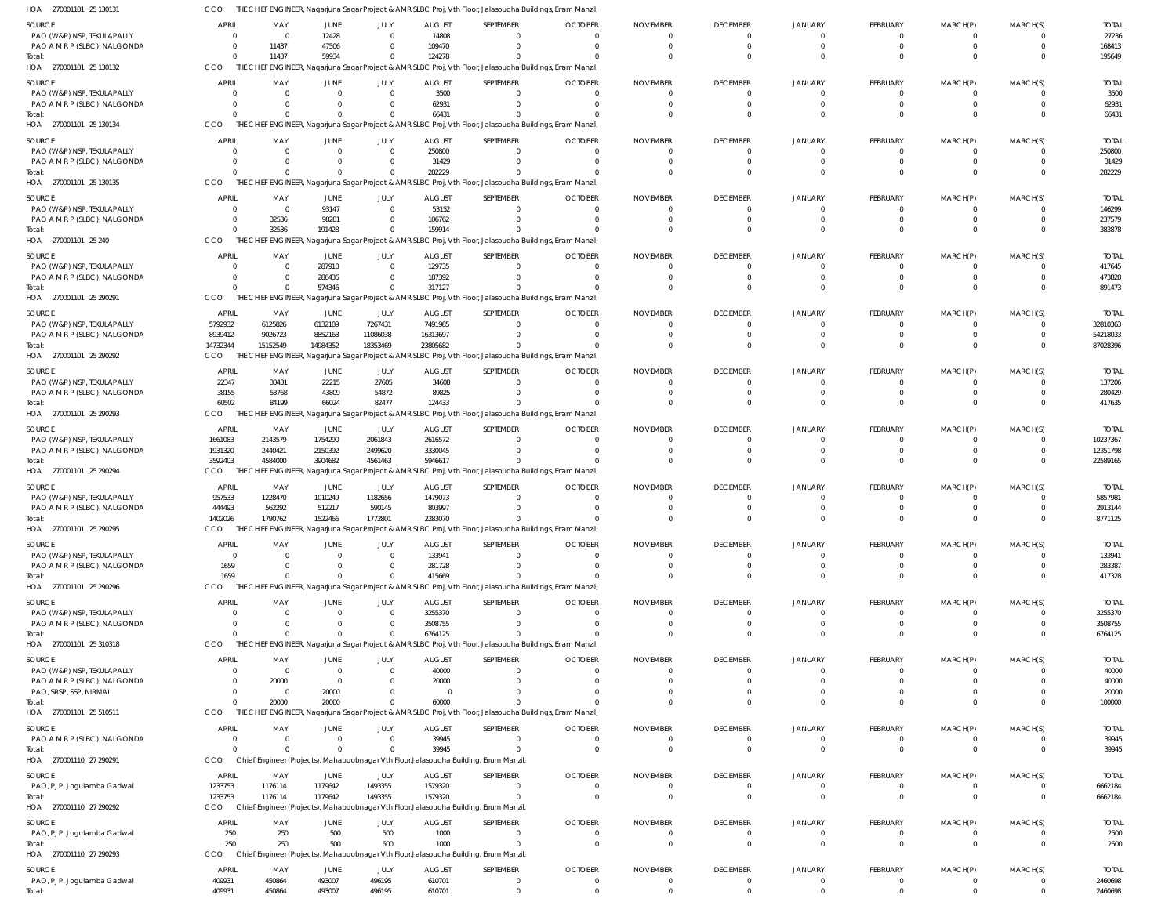| SOURCE                                                     | APRIL                  | MAY                                 | <b>JUNE</b>                | JULY                             | <b>AUGUST</b>            | SEPTEMBER                                                                                                   | <b>OCTOBER</b>             | <b>NOVEMBER</b>             | <b>DECEMBER</b> | <b>JANUARY</b> | FEBRUARY                    | MARCH(P)                         | MARCH(S) | <b>TOTAL</b>            |
|------------------------------------------------------------|------------------------|-------------------------------------|----------------------------|----------------------------------|--------------------------|-------------------------------------------------------------------------------------------------------------|----------------------------|-----------------------------|-----------------|----------------|-----------------------------|----------------------------------|----------|-------------------------|
| PAO (W&P) NSP, TEKULAPALLY<br>PAO A M R P (SLBC), NALGONDA |                        | $\overline{\mathbf{0}}$<br>11437    | 12428<br>47506             | $\overline{0}$<br>$\Omega$       | 14808<br>109470          |                                                                                                             | $\Omega$                   | $\Omega$                    |                 |                | $\Omega$                    | $\Omega$                         |          | 27236<br>168413         |
| Total:                                                     |                        | 11437                               | 59934                      | $\mathbf{0}$                     | 124278                   |                                                                                                             |                            | $\Omega$                    |                 |                |                             |                                  |          | 195649                  |
| HOA 270001101 25 130132                                    | <b>CCO</b>             |                                     |                            |                                  |                          | THE CHIEF ENGINEER, Nagarjuna Sagar Project & AMR SLBC Proj, Vth Floor, Jalasoudha Buildings, Erram Manzil, |                            |                             |                 |                |                             |                                  |          |                         |
| SOURCE                                                     | <b>APRIL</b>           | MAY                                 | JUNE                       | JULY                             | <b>AUGUST</b>            | SEPTEMBER                                                                                                   | <b>OCTOBER</b>             | <b>NOVEMBER</b>             | <b>DECEMBER</b> | JANUARY        | FEBRUARY                    | MARCH(P)                         | MARCH(S) | <b>TOTAL</b>            |
| PAO (W&P) NSP, TEKULAPALLY<br>PAO A M R P (SLBC), NALGONDA |                        | $\overline{0}$<br>$\Omega$          | $\overline{0}$<br>$\Omega$ | $\mathbf{0}$<br>$\overline{0}$   | 3500<br>62931            |                                                                                                             | $\Omega$<br>$\Omega$       | $\Omega$<br>$\Omega$        |                 |                | $\Omega$                    |                                  |          | 3500<br>62931           |
| Total:                                                     |                        |                                     | $\Omega$                   | $\Omega$                         | 66431                    |                                                                                                             |                            | $\Omega$                    |                 |                |                             |                                  |          | 66431                   |
| HOA 270001101 25 130134                                    | <b>CCO</b>             |                                     |                            |                                  |                          | THE CHIEF ENGINEER, Nagarjuna Sagar Project & AMR SLBC Proj, Vth Floor, Jalasoudha Buildings, Erram Manzil, |                            |                             |                 |                |                             |                                  |          |                         |
| SOURCE                                                     | APRIL                  | MAY                                 | JUNE                       | JULY                             | <b>AUGUST</b>            | SEPTEMBER                                                                                                   | <b>OCTOBER</b>             | <b>NOVEMBER</b>             | <b>DECEMBER</b> | <b>JANUARY</b> | FEBRUARY                    | MARCH(P)                         | MARCH(S) | <b>TOTAL</b>            |
| PAO (W&P) NSP, TEKULAPALLY                                 |                        | $\overline{0}$                      | $\overline{0}$             | $\overline{0}$                   | 250800                   |                                                                                                             | $\Omega$                   |                             |                 |                |                             |                                  |          | 250800                  |
| PAO A M R P (SLBC), NALGONDA                               |                        |                                     |                            | 0                                | 31429                    |                                                                                                             |                            |                             |                 |                |                             |                                  |          | 31429                   |
| Total:<br>HOA 270001101 25 130135                          | <b>CCO</b>             |                                     | $\Omega$                   | $\Omega$                         | 282229                   | THE CHIEF ENGINEER, Nagarjuna Sagar Project & AMR SLBC Proj, Vth Floor, Jalasoudha Buildings, Erram Manzil, |                            |                             |                 |                | $\Omega$                    |                                  |          | 282229                  |
|                                                            |                        |                                     |                            |                                  |                          |                                                                                                             |                            |                             |                 |                |                             |                                  |          |                         |
| SOURCE<br>PAO (W&P) NSP, TEKULAPALLY                       | <b>APRIL</b>           | MAY<br>$\overline{0}$               | JUNE<br>93147              | JULY<br>$\overline{0}$           | <b>AUGUST</b><br>53152   | SEPTEMBER                                                                                                   | <b>OCTOBER</b><br>$\Omega$ | <b>NOVEMBER</b><br>$\Omega$ | <b>DECEMBER</b> | JANUARY        | <b>FEBRUARY</b>             | MARCH(P)                         | MARCH(S) | <b>TOTAI</b><br>146299  |
| PAO A M R P (SLBC), NALGONDA                               |                        | 32536                               | 98281                      | $\Omega$                         | 106762                   |                                                                                                             | $\Omega$                   | $\Omega$                    |                 |                |                             |                                  |          | 237579                  |
| Total:                                                     |                        | 32536                               | 191428                     | $\Omega$                         | 159914                   |                                                                                                             |                            |                             |                 |                | $\Omega$                    |                                  |          | 383878                  |
| HOA 270001101 25 240                                       | CCO                    |                                     |                            |                                  |                          | THE CHIEF ENGINEER, Nagarjuna Sagar Project & AMR SLBC Proj, Vth Floor, Jalasoudha Buildings, Erram Manzil, |                            |                             |                 |                |                             |                                  |          |                         |
| SOURCE                                                     | <b>APRIL</b>           | MAY                                 | JUNE                       | JULY                             | <b>AUGUST</b>            | SEPTEMBER                                                                                                   | <b>OCTOBER</b>             | <b>NOVEMBER</b>             | <b>DECEMBER</b> | <b>JANUARY</b> | FEBRUARY                    | MARCH(P)                         | MARCH(S) | <b>TOTAI</b>            |
| PAO (W&P) NSP, TEKULAPALLY                                 |                        | $^{\circ}$<br>$\Omega$              | 287910                     | $\overline{0}$<br>$\Omega$       | 129735<br>187392         |                                                                                                             | $\Omega$                   | $\Omega$                    |                 |                | $\Omega$                    | $\Omega$                         |          | 417645                  |
| PAO A M R P (SLBC), NALGONDA<br>Total:                     |                        | $\overline{\mathbf{0}}$             | 286436<br>574346           | $^{\circ}$                       | 317127                   |                                                                                                             |                            |                             |                 |                |                             |                                  |          | 473828<br>891473        |
| HOA 270001101 25 290291                                    | CCO                    | THE CHIEF ENGINEER,                 |                            |                                  |                          | Nagarjuna Sagar Project & AMR SLBC Proj, Vth Floor, Jalasoudha Buildings, Erram Manzil,                     |                            |                             |                 |                |                             |                                  |          |                         |
| SOURCE                                                     | <b>APRIL</b>           | MAY                                 | JUNE                       | JULY                             | <b>AUGUST</b>            | SEPTEMBER                                                                                                   | <b>OCTOBER</b>             | <b>NOVEMBER</b>             | <b>DECEMBER</b> | JANUARY        | <b>FEBRUARY</b>             | MARCH(P)                         | MARCH(S) | <b>TOTAI</b>            |
| PAO (W&P) NSP, TEKULAPALLY                                 | 5792932                | 6125826                             | 6132189                    | 7267431                          | 7491985                  |                                                                                                             | $\Omega$                   | $\Omega$                    |                 |                | $\Omega$                    |                                  |          | 32810363                |
| PAO A M R P (SLBC), NALGONDA                               | 8939412                | 9026723                             | 8852163                    | 11086038                         | 16313697                 |                                                                                                             | $\Omega$                   | $\Omega$                    | $\Omega$        |                | $\Omega$                    |                                  |          | 54218033                |
| Total:                                                     | 14732344               | 15152549                            | 14984352                   | 18353469                         | 23805682                 |                                                                                                             |                            |                             |                 |                |                             |                                  |          | 87028396                |
| HOA 270001101 25 290292                                    | <b>CCO</b>             |                                     |                            |                                  |                          | THE CHIEF ENGINEER, Nagarjuna Sagar Project & AMR SLBC Proj, Vth Floor, Jalasoudha Buildings, Erram Manzil, |                            |                             |                 |                |                             |                                  |          |                         |
| SOURCE                                                     | APRIL                  | MAY                                 | JUNE                       | JULY                             | <b>AUGUST</b>            | SEPTEMBER                                                                                                   | <b>OCTOBER</b>             | <b>NOVEMBER</b>             | <b>DECEMBER</b> | JANUARY        | FEBRUARY                    | MARCH(P)                         | MARCH(S) | <b>TOTAL</b>            |
| PAO (W&P) NSP, TEKULAPALLY<br>PAO A M R P (SLBC), NALGONDA | 22347<br>38155         | 30431<br>53768                      | 22215<br>43809             | 27605<br>54872                   | 34608<br>89825           |                                                                                                             | $\Omega$                   |                             |                 |                |                             |                                  |          | 137206<br>280429        |
|                                                            | 60502                  | 84199                               | 66024                      | 82477                            | 124433                   |                                                                                                             |                            |                             |                 |                |                             |                                  |          | 417635                  |
| HOA 270001101 25 290293                                    | CCO                    |                                     |                            |                                  |                          | THE CHIEF ENGINEER, Nagarjuna Sagar Project & AMR SLBC Proj, Vth Floor, Jalasoudha Buildings, Erram Manzil, |                            |                             |                 |                |                             |                                  |          |                         |
| SOURCE                                                     | <b>APRIL</b>           | MAY                                 | JUNE                       | JULY                             | <b>AUGUST</b>            | SEPTEMBER                                                                                                   | <b>OCTOBER</b>             | <b>NOVEMBER</b>             | <b>DECEMBER</b> | JANUARY        | FEBRUARY                    | MARCH(P)                         | MARCH(S) | <b>TOTAI</b>            |
| PAO (W&P) NSP, TEKULAPALLY                                 | 1661083                | 2143579                             | 1754290                    | 2061843                          | 2616572                  |                                                                                                             | $\Omega$                   | $\Omega$                    |                 |                | $\Omega$                    |                                  |          | 10237367                |
| PAO A M R P (SLBC), NALGONDA                               | 1931320                | 2440421<br>4584000                  | 2150392                    | 2499620                          | 3330045<br>5946617       |                                                                                                             |                            | $\Omega$                    |                 |                |                             |                                  |          | 12351798                |
| lotal:<br>HOA 270001101 25 290294                          | 3592403<br>CCO         |                                     | 3904682                    | 4561463                          |                          | THE CHIEF ENGINEER, Nagarjuna Sagar Project & AMR SLBC Proj, Vth Floor, Jalasoudha Buildings, Erram Manzil, |                            |                             |                 |                |                             |                                  |          | 22589165                |
|                                                            |                        |                                     |                            |                                  |                          |                                                                                                             |                            |                             |                 |                |                             |                                  |          |                         |
| SOURCE<br>PAO (W&P) NSP, TEKULAPALLY                       | <b>APRIL</b><br>957533 | MAY<br>1228470                      | JUNE<br>1010249            | JULY<br>1182656                  | <b>AUGUST</b><br>1479073 | SEPTEMBER                                                                                                   | <b>OCTOBER</b><br>$\Omega$ | <b>NOVEMBER</b><br>$\Omega$ | <b>DECEMBER</b> | <b>JANUARY</b> | <b>FEBRUARY</b><br>$\Omega$ | MARCH(P)<br>$\Omega$             | MARCH(S) | <b>TOTAL</b><br>5857981 |
| PAO A M R P (SLBC), NALGONDA                               | 444493                 | 562292                              | 512217                     | 590145                           | 803997                   |                                                                                                             |                            |                             |                 |                |                             |                                  |          | 2913144                 |
| lotal:                                                     | 1402026                | 1790762                             | 1522466                    | 1772801                          | 2283070                  |                                                                                                             |                            |                             |                 |                |                             |                                  |          | 8771125                 |
| HOA 270001101 25 290295                                    | CCO                    |                                     |                            |                                  |                          | THE CHIEF ENGINEER, Nagarjuna Sagar Project & AMR SLBC Proj, Vth Floor, Jalasoudha Buildings, Erram Manzil, |                            |                             |                 |                |                             |                                  |          |                         |
| SOURCE                                                     | <b>APRIL</b>           | MAY                                 | <b>JUNE</b>                | JULY                             | <b>AUGUST</b>            | SEPTEMBER                                                                                                   | <b>OCTOBER</b>             | <b>NOVEMBER</b>             | <b>DECEMBER</b> | JANUARY        | FEBRUARY                    | MARCH(P)                         | MARCH(S) | <b>TOTAL</b>            |
| PAO (W&P) NSP, TEKULAPALLY<br>PAO A M R P (SLBC), NALGONDA | $\Omega$<br>1659       | $\Omega$<br>$\Omega$                | $\Omega$<br>$\Omega$       | $\overline{0}$<br>$\overline{0}$ | 133941<br>281728         |                                                                                                             | $\overline{0}$<br>$\Omega$ | $\Omega$<br>$\Omega$        | $\Omega$        | $\Omega$       | $^{\circ}$<br>$\Omega$      | $\Omega$                         |          | 133941<br>283387        |
| Total:                                                     | 1659                   | $\Omega$                            | $\Omega$                   | $\Omega$                         | 415669                   |                                                                                                             |                            | $\Omega$                    | $\Omega$        | $\Omega$       |                             |                                  |          | 417328                  |
| HOA 270001101 25 290296                                    | CCO                    |                                     |                            |                                  |                          | THE CHIEF ENGINEER, Nagarjuna Sagar Project & AMR SLBC Proj, Vth Floor, Jalasoudha Buildings, Erram Manzil, |                            |                             |                 |                |                             |                                  |          |                         |
| SOURCE                                                     | APRIL                  | MAY                                 | <b>JUNE</b>                | JULY                             | <b>AUGUST</b>            | SEPTEMBER                                                                                                   | <b>OCTOBER</b>             | <b>NOVEMBER</b>             | <b>DECEMBER</b> | <b>JANUARY</b> | FEBRUARY                    | MARCH(P)                         | MARCH(S) | <b>TOTAL</b>            |
| PAO (W&P) NSP, TEKULAPALLY                                 |                        | $\Omega$                            | $\Omega$                   | $\overline{0}$                   | 3255370                  |                                                                                                             | $\Omega$                   |                             |                 |                | 0                           |                                  |          | 3255370                 |
| PAO A M R P (SLBC), NALGONDA                               |                        | $\Omega$                            | $\Omega$                   | $\overline{0}$                   | 3508755                  |                                                                                                             | $\Omega$                   |                             |                 |                | $\Omega$                    | $\Omega$                         |          | 3508755                 |
| Total:<br>HOA 270001101 25 310318                          | <b>CCO</b>             | $\Omega$                            | $\Omega$                   | $\Omega$                         | 6764125                  | THE CHIEF ENGINEER, Nagarjuna Sagar Project & AMR SLBC Proj, Vth Floor, Jalasoudha Buildings, Erram Manzil, |                            |                             |                 |                |                             | $\Omega$                         |          | 6764125                 |
|                                                            |                        |                                     |                            |                                  |                          |                                                                                                             |                            |                             |                 |                |                             |                                  |          |                         |
| <b>SOURCE</b><br>PAO (W&P) NSP, TEKULAPALLY                | <b>APRIL</b>           | MAY<br>$\Omega$                     | JUNE<br>$\overline{0}$     | JULY<br>$\overline{0}$           | <b>AUGUST</b><br>40000   | SEPTEMBER                                                                                                   | <b>OCTOBER</b><br>$\Omega$ | <b>NOVEMBER</b><br>$\Omega$ | <b>DECEMBER</b> | JANUARY        | FEBRUARY<br>0               | MARCH(P)                         | MARCH(S) | <b>TOTAL</b><br>40000   |
| PAO A M R P (SLBC), NALGONDA                               |                        | 20000                               | $\overline{0}$             | $\overline{0}$                   | 20000                    |                                                                                                             |                            |                             |                 |                |                             |                                  |          | 40000                   |
| PAO, SRSP, SSP, NIRMAL                                     |                        | $\Omega$                            | 20000                      | $\Omega$                         | - 0                      |                                                                                                             |                            |                             |                 |                |                             |                                  |          | 20000                   |
| Total:                                                     | $\Omega$               | 20000                               | 20000                      | $\overline{0}$                   | 60000                    |                                                                                                             |                            | $\Omega$                    |                 |                |                             |                                  |          | 100000                  |
| HOA 270001101 25 510511                                    | CCO                    |                                     |                            |                                  |                          | THE CHIEF ENGINEER, Nagarjuna Sagar Project & AMR SLBC Proj, Vth Floor, Jalasoudha Buildings, Erram Manzil, |                            |                             |                 |                |                             |                                  |          |                         |
| SOURCE                                                     | APRIL                  | MAY                                 | <b>JUNE</b>                | JULY                             | <b>AUGUST</b>            | SEPTEMBER                                                                                                   | <b>OCTOBER</b>             | <b>NOVEMBER</b>             | <b>DECEMBER</b> | <b>JANUARY</b> | FEBRUARY                    | MARCH(P)                         | MARCH(S) | <b>TOTAL</b>            |
| PAO A M R P (SLBC), NALGONDA<br>Total:                     | $\Omega$               | $\overline{\mathbf{0}}$<br>$\Omega$ | $\overline{0}$<br>$\Omega$ | $\overline{0}$<br>$\mathbf{0}$   | 39945<br>39945           |                                                                                                             | 0<br>$\Omega$              | 0<br>$\overline{0}$         | $\Omega$        | $\Omega$       | 0<br>$\Omega$               | 0<br>$\Omega$                    |          | 39945<br>39945          |
| HOA 270001110 27 290291                                    | <b>CCO</b>             |                                     |                            |                                  |                          | Chief Engineer (Projects), Mahaboobnagar Vth Floor, Jalasoudha Building, Errum Manzil,                      |                            |                             |                 |                |                             |                                  |          |                         |
| SOURCE                                                     | <b>APRIL</b>           | MAY                                 | JUNE                       | JULY                             | <b>AUGUST</b>            | SEPTEMBER                                                                                                   | <b>OCTOBER</b>             | <b>NOVEMBER</b>             | <b>DECEMBER</b> | <b>JANUARY</b> | FEBRUARY                    | MARCH(P)                         | MARCH(S) | <b>TOTAL</b>            |
| PAO, PJP, Jogulamba Gadwal                                 | 1233753                | 1176114                             | 1179642                    | 1493355                          | 1579320                  | - 0                                                                                                         | $\Omega$                   | $\mathbf 0$                 |                 |                | $^{\circ}$                  | $\Omega$                         |          | 6662184                 |
| Total:                                                     | 1233753                | 1176114                             | 1179642                    | 1493355                          | 1579320                  | - 0                                                                                                         | $\Omega$                   | $\Omega$                    | $\Omega$        |                | $\Omega$                    | $\Omega$                         | $\Omega$ | 6662184                 |
| HOA 270001110 27 290292                                    | CCO                    |                                     |                            |                                  |                          | Chief Engineer (Projects), Mahaboobnagar Vth Floor, Jalasoudha Building, Errum Manzil,                      |                            |                             |                 |                |                             |                                  |          |                         |
| SOURCE                                                     | APRIL                  | MAY                                 | JUNE                       | JULY                             | <b>AUGUST</b>            | SEPTEMBER                                                                                                   | <b>OCTOBER</b>             | <b>NOVEMBER</b>             | <b>DECEMBER</b> | <b>JANUARY</b> | FEBRUARY                    | MARCH(P)                         | MARCH(S) | <b>TOTAL</b>            |
| PAO, PJP, Jogulamba Gadwal                                 | 250                    | 250                                 | 500                        | 500                              | 1000                     |                                                                                                             | $\overline{0}$<br>$\Omega$ | $\Omega$<br>$\Omega$        | - 0<br>$\Omega$ | $\Omega$       | $^{\circ}$<br>$\Omega$      | $\overline{0}$<br>$\overline{0}$ | $\Omega$ | 2500                    |
| Total:<br>HOA 270001110 27 290293                          | 250<br><b>CCO</b>      | 250                                 | 500                        | 500                              | 1000                     | Chief Engineer (Projects), Mahaboobnagar Vth Floor, Jalasoudha Building, Errum Manzil,                      |                            |                             |                 |                |                             |                                  |          | 2500                    |
|                                                            | <b>APRIL</b>           |                                     |                            |                                  |                          |                                                                                                             | <b>OCTOBER</b>             |                             | <b>DECEMBER</b> |                | FEBRUARY                    | MARCH(P)                         | MARCH(S) |                         |
| SOURCE<br>PAO, PJP, Jogulamba Gadwal                       | 409931                 | MAY<br>450864                       | JUNE<br>493007             | JULY<br>496195                   | <b>AUGUST</b><br>610701  | SEPTEMBER                                                                                                   | 0                          | <b>NOVEMBER</b><br>0        |                 | <b>JANUARY</b> | 0                           |                                  |          | <b>TOTAL</b><br>2460698 |
| Total:                                                     | 409931                 | 450864                              | 493007                     | 496195                           | 610701                   |                                                                                                             |                            |                             |                 |                |                             |                                  |          | 2460698                 |

CCO THE CHIEF ENGINEER, Nagarjuna Sagar Project & AMR SLBC Proj, Vth Floor, Jalasoudha Buildings, Erram Manzil,

270001101 25 130131 HOA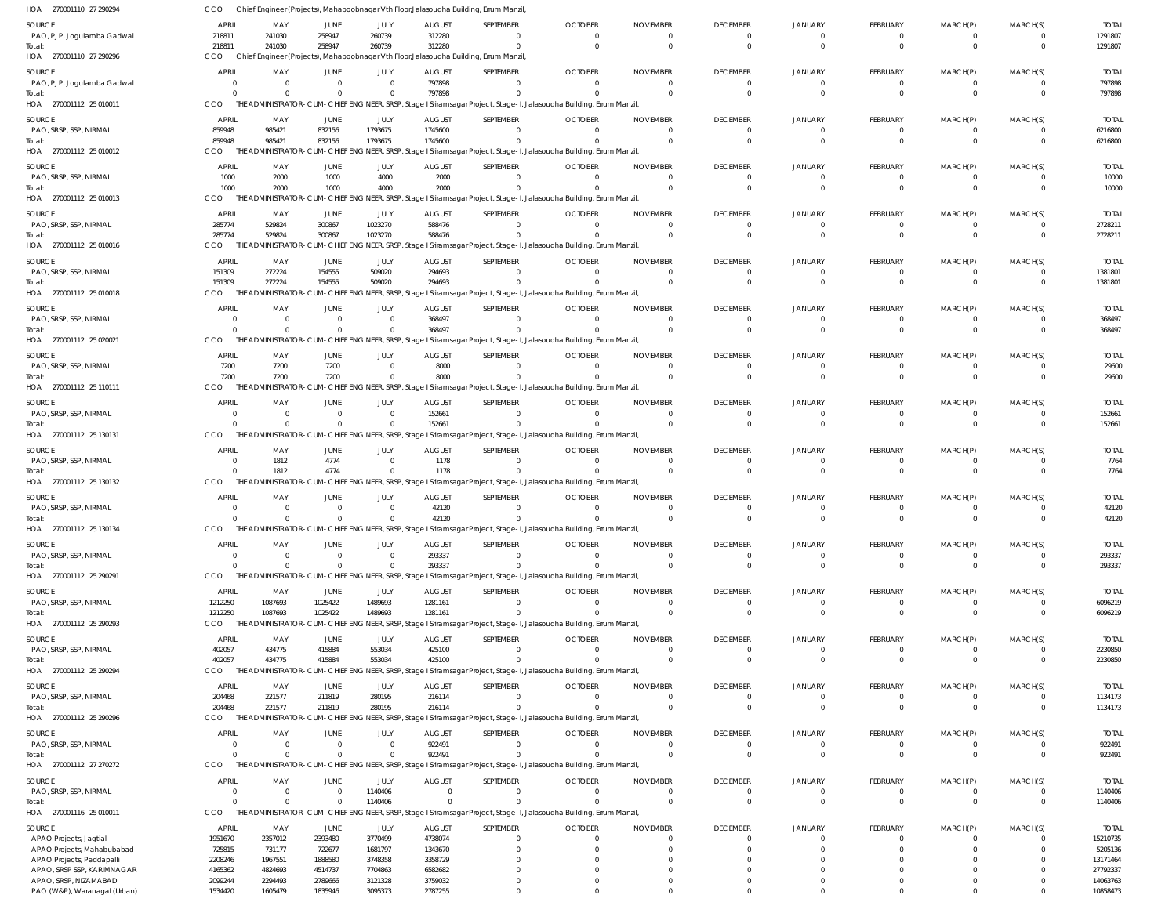| HOA 270001110 27 290294                              | CCO                        |                                     |                            |                            |                         | Chief Engineer (Projects), Mahaboobnagar Vth Floor, Jalasoudha Building, Errum Manzil |                                                                                                                      |                             |                             |                            |                      |                      |                                  |                        |
|------------------------------------------------------|----------------------------|-------------------------------------|----------------------------|----------------------------|-------------------------|---------------------------------------------------------------------------------------|----------------------------------------------------------------------------------------------------------------------|-----------------------------|-----------------------------|----------------------------|----------------------|----------------------|----------------------------------|------------------------|
| SOURCE                                               | APRIL                      | MAY                                 | JUNE                       | JULY                       | <b>AUGUST</b>           | SEPTEMBER                                                                             | <b>OCTOBER</b>                                                                                                       | <b>NOVEMBER</b>             | <b>DECEMBER</b>             | <b>JANUARY</b>             | <b>FEBRUARY</b>      | MARCH(P)             | MARCH(S)                         | <b>TOTAL</b>           |
| PAO, PJP, Jogulamba Gadwal                           | 218811                     | 241030                              | 258947                     | 260739                     | 312280                  | $\mathbf{0}$                                                                          | $\Omega$                                                                                                             | $\Omega$                    | $\mathbf{0}$                | $\overline{0}$             | $\Omega$             | $\Omega$             | $\overline{0}$                   | 1291807                |
| Total:                                               | 218811                     | 241030                              | 258947                     | 260739                     | 312280                  | $\Omega$                                                                              | $\Omega$                                                                                                             | $\Omega$                    | $\Omega$                    | $\overline{0}$             | $\Omega$             | $\Omega$             | $\overline{0}$                   | 1291807                |
| HOA 270001110 27 290296                              | CCO                        |                                     |                            |                            |                         | Chief Engineer (Projects), Mahaboobnagar Vth Floor, Jalasoudha Building, Errum Manzil |                                                                                                                      |                             |                             |                            |                      |                      |                                  |                        |
| SOURCE                                               | <b>APRIL</b>               | MAY                                 | JUNE                       | JULY                       | <b>AUGUST</b>           | SEPTEMBER                                                                             | <b>OCTOBER</b>                                                                                                       | <b>NOVEMBER</b>             | <b>DECEMBER</b>             | JANUARY                    | FEBRUARY             | MARCH(P)             | MARCH(S)                         | <b>TOTAL</b>           |
| PAO, PJP, Jogulamba Gadwal                           | $\Omega$                   | $\overline{\mathbf{0}}$             | $\overline{0}$             | $\Omega$                   | 797898                  | $\mathbf{0}$                                                                          |                                                                                                                      | $\Omega$                    | $\overline{0}$              | $\overline{0}$             | $\Omega$             | $\Omega$             | $\overline{0}$                   | 797898                 |
| Total:                                               | $\Omega$                   | - 0                                 | $\Omega$                   | $\Omega$                   | 797898                  | $\Omega$                                                                              |                                                                                                                      | $\cap$                      | $\Omega$                    | $\Omega$                   | $\Omega$             | $\Omega$             | $\Omega$                         | 797898                 |
| HOA 270001112 25 010011                              | CCO                        |                                     |                            |                            |                         |                                                                                       | THE ADMINISTRATOR-CUM-CHIEF ENGINEER, SRSP, Stage I Sriramsagar Project, Stage-I, Jalasoudha Building, Errum Manzil, |                             |                             |                            |                      |                      |                                  |                        |
| SOURCE                                               | APRIL                      | MAY                                 | JUNE                       | JULY                       | <b>AUGUST</b>           | SEPTEMBER                                                                             | <b>OCTOBER</b>                                                                                                       | <b>NOVEMBER</b>             | <b>DECEMBER</b>             | <b>JANUARY</b>             | FEBRUARY             | MARCH(P)             | MARCH(S)                         | <b>TOTAL</b>           |
| PAO, SRSP, SSP, NIRMAL                               | 859948                     | 985421                              | 832156                     | 1793675                    | 1745600                 | $\Omega$                                                                              |                                                                                                                      | $\Omega$                    | $\Omega$                    | $\mathbf{0}$               |                      | $\Omega$             | $\overline{0}$                   | 6216800                |
| Total:                                               | 859948                     | 985421                              | 832156                     | 1793675                    | 1745600                 | $\Omega$                                                                              |                                                                                                                      | $\Omega$                    | $\Omega$                    | $\Omega$                   | $\Omega$             | $\Omega$             | $\overline{0}$                   | 6216800                |
| HOA 270001112 25 010012                              | CCO                        |                                     |                            |                            |                         |                                                                                       | THE ADMINISTRATOR-CUM-CHIEF ENGINEER, SRSP, Stage I Sriramsagar Project, Stage-I, Jalasoudha Building, Errum Manzil, |                             |                             |                            |                      |                      |                                  |                        |
| SOURCE                                               | <b>APRIL</b>               | MAY                                 | JUNE                       | JULY                       | <b>AUGUST</b>           | SEPTEMBER                                                                             | <b>OCTOBER</b>                                                                                                       | <b>NOVEMBER</b>             | <b>DECEMBER</b>             | JANUARY                    | FEBRUARY             | MARCH(P)             | MARCH(S)                         | <b>TOTAL</b>           |
| PAO, SRSP, SSP, NIRMAL                               | 1000                       | 2000                                | 1000                       | 4000                       | 2000                    | $\mathbf{0}$                                                                          |                                                                                                                      |                             | $\overline{0}$              | $\overline{0}$             | $\Omega$             | $\overline{0}$       | $\overline{0}$                   | 10000                  |
| lotal:                                               | 1000                       | 2000                                | 1000                       | 4000                       | 2000                    | $\Omega$                                                                              |                                                                                                                      |                             | $\overline{0}$              | $\Omega$                   | $\Omega$             | $\Omega$             | $\overline{0}$                   | 10000                  |
| HOA 270001112 25 010013                              | CCO                        |                                     |                            |                            |                         |                                                                                       | THE ADMINISTRATOR-CUM-CHIEF ENGINEER, SRSP, Stage I Sriramsagar Project, Stage-I, Jalasoudha Building, Errum Manzil, |                             |                             |                            |                      |                      |                                  |                        |
| SOURCE                                               | <b>APRIL</b>               | MAY                                 | JUNE                       | JULY                       | <b>AUGUST</b>           | SEPTEMBER                                                                             | <b>OCTOBER</b>                                                                                                       | <b>NOVEMBER</b>             | <b>DECEMBER</b>             | JANUARY                    | FEBRUARY             | MARCH(P)             | MARCH(S)                         | <b>TOTAL</b>           |
| PAO, SRSP, SSP, NIRMAL                               | 285774                     | 529824                              | 300867                     | 1023270                    | 588476                  | $\Omega$                                                                              | $\cap$                                                                                                               | $\Omega$                    | $\Omega$                    | $\mathbf{0}$               | $\Omega$             | $\Omega$             | $\overline{0}$                   | 2728211                |
| Total:<br>HOA 270001112 25 010016                    | 285774<br>CCO              | 529824<br>THE ADMINISTRATOR-        | 300867                     | 1023270                    | 588476                  | $\Omega$                                                                              | CUM-CHIEF ENGINEER, SRSP, Stage I Sriramsagar Project, Stage-I, Jalasoudha Building, Errum Manzil,                   | $\Omega$                    | $\Omega$                    | $\Omega$                   | $\Omega$             | $\Omega$             | $\overline{0}$                   | 2728211                |
|                                                      |                            |                                     |                            |                            |                         |                                                                                       |                                                                                                                      |                             |                             |                            |                      |                      |                                  |                        |
| SOURCE                                               | APRIL                      | MAY                                 | JUNE                       | JULY                       | <b>AUGUST</b>           | SEPTEMBER                                                                             | <b>OCTOBER</b>                                                                                                       | <b>NOVEMBER</b>             | <b>DECEMBER</b>             | <b>JANUARY</b>             | FEBRUARY             | MARCH(P)             | MARCH(S)                         | <b>TOTAL</b>           |
| PAO, SRSP, SSP, NIRMAL                               | 151309                     | 272224                              | 154555                     | 509020                     | 294693                  | $\mathbf{0}$<br>$\Omega$                                                              |                                                                                                                      | $\Omega$                    | $\overline{0}$<br>$\Omega$  | $\overline{0}$<br>$\Omega$ | $\Omega$<br>$\Omega$ | $\Omega$<br>$\Omega$ | $\overline{0}$<br>$\Omega$       | 1381801                |
| Total:<br>HOA 270001112 25 010018                    | 151309<br><b>CCO</b>       | 272224                              | 154555                     | 509020                     | 294693                  |                                                                                       | THE ADMINISTRATOR-CUM-CHIEF ENGINEER, SRSP, Stage I Sriramsagar Project, Stage-I, Jalasoudha Building, Errum Manzil, |                             |                             |                            |                      |                      |                                  | 1381801                |
|                                                      |                            |                                     |                            |                            |                         |                                                                                       |                                                                                                                      |                             |                             |                            |                      |                      |                                  |                        |
| SOURCE                                               | <b>APRIL</b>               | MAY                                 | JUNE                       | JULY                       | <b>AUGUST</b>           | SEPTEMBER                                                                             | <b>OCTOBER</b>                                                                                                       | <b>NOVEMBER</b>             | <b>DECEMBER</b>             | JANUARY                    | FEBRUARY             | MARCH(P)             | MARCH(S)                         | <b>TOTAL</b>           |
| PAO, SRSP, SSP, NIRMAL                               | $\overline{0}$<br>$\Omega$ | $\overline{\mathbf{0}}$<br>$\Omega$ | $\mathbf 0$<br>$\Omega$    | $\overline{0}$<br>$\Omega$ | 368497<br>368497        | $\Omega$<br>$\Omega$                                                                  | $\cap$                                                                                                               | $\Omega$<br>$\Omega$        | $\mathbf{0}$<br>$\Omega$    | $\Omega$<br>$\Omega$       | $\Omega$<br>$\Omega$ | $\Omega$<br>$\Omega$ | $\overline{0}$<br>$\overline{0}$ | 368497<br>368497       |
| Total:<br>HOA 270001112 25 020021                    | CCO                        |                                     |                            |                            |                         |                                                                                       | THE ADMINISTRATOR-CUM-CHIEF ENGINEER, SRSP, Stage I Sriramsagar Project, Stage-I, Jalasoudha Building, Errum Manzil, |                             |                             |                            |                      |                      |                                  |                        |
|                                                      |                            |                                     |                            |                            |                         |                                                                                       |                                                                                                                      |                             |                             |                            |                      |                      |                                  |                        |
| SOURCE                                               | <b>APRIL</b>               | MAY                                 | JUNE                       | JULY                       | <b>AUGUST</b>           | SEPTEMBER                                                                             | <b>OCTOBER</b>                                                                                                       | <b>NOVEMBER</b>             | <b>DECEMBER</b>             | JANUARY                    | FEBRUARY             | MARCH(P)             | MARCH(S)                         | <b>TOTAL</b>           |
| PAO, SRSP, SSP, NIRMAL<br>Total:                     | 7200<br>7200               | 7200<br>7200                        | 7200<br>7200               | $\overline{0}$<br>$\Omega$ | 8000<br>8000            | $\mathbf{0}$<br>$\Omega$                                                              |                                                                                                                      |                             | $\overline{0}$<br>$\Omega$  | $\overline{0}$<br>$\Omega$ | $\Omega$<br>$\Omega$ | $\Omega$<br>$\Omega$ | $\overline{0}$<br>$\overline{0}$ | 29600<br>29600         |
| HOA 270001112 25 110111                              | CCO                        | THE ADM                             |                            |                            |                         |                                                                                       | NISTRATOR-CUM-CHIEF ENGINEER, SRSP, Stage I Sriramsagar Project, Stage-I, Jalasoudha Building, Errum Manzil,         |                             |                             |                            |                      |                      |                                  |                        |
|                                                      |                            |                                     |                            |                            |                         |                                                                                       |                                                                                                                      |                             |                             |                            |                      |                      |                                  |                        |
| SOURCE<br>PAO, SRSP, SSP, NIRMAL                     | APRIL<br>$\Omega$          | MAY<br>$\overline{\mathbf{0}}$      | JUNE<br>$\Omega$           | JULY<br>$\Omega$           | <b>AUGUST</b><br>152661 | SEPTEMBER<br>$\Omega$                                                                 | <b>OCTOBER</b>                                                                                                       | <b>NOVEMBER</b><br>$\Omega$ | <b>DECEMBER</b><br>0        | JANUARY<br>$\overline{0}$  | FEBRUARY<br>$\Omega$ | MARCH(P)<br>$\Omega$ | MARCH(S)<br>$\overline{0}$       | <b>TOTAL</b><br>152661 |
| Total:                                               | $\Omega$                   | $\Omega$                            | $\Omega$                   | $\overline{0}$             | 152661                  | $\Omega$                                                                              |                                                                                                                      | $\Omega$                    | $\Omega$                    | $\Omega$                   | $\Omega$             | $\Omega$             | $\Omega$                         | 152661                 |
| HOA 270001112 25 130131                              | CCO                        |                                     |                            |                            |                         |                                                                                       | THE ADMINISTRATOR-CUM-CHIEF ENGINEER, SRSP, Stage I Sriramsagar Project, Stage-I, Jalasoudha Building, Errum Manzil, |                             |                             |                            |                      |                      |                                  |                        |
| SOURCE                                               | <b>APRIL</b>               | MAY                                 | JUNE                       | JULY                       | <b>AUGUST</b>           | SEPTEMBER                                                                             | <b>OCTOBER</b>                                                                                                       | <b>NOVEMBER</b>             | <b>DECEMBER</b>             | <b>JANUARY</b>             | FEBRUARY             | MARCH(P)             | MARCH(S)                         | <b>TOTAL</b>           |
| PAO, SRSP, SSP, NIRMAL                               | $\overline{0}$             | 1812                                | 4774                       | $\overline{0}$             | 1178                    | $\mathbf{0}$                                                                          | $\cap$                                                                                                               | $\Omega$                    | $\overline{0}$              | $\overline{0}$             | $\Omega$             | $\Omega$             | $\overline{0}$                   | 7764                   |
| Total:                                               | $\Omega$                   | 1812                                | 4774                       | $\Omega$                   | 1178                    | $\Omega$                                                                              |                                                                                                                      |                             | $\Omega$                    | $\Omega$                   | $\Omega$             | $\Omega$             | $\Omega$                         | 7764                   |
| HOA 270001112 25 130132                              | CCO                        | THE ADN                             |                            |                            |                         |                                                                                       | NISTRATOR-CUM-CHIEF ENGINEER, SRSP, Stage I Sriramsagar Project, Stage-I, Jalasoudha Building, Errum Manzil,         |                             |                             |                            |                      |                      |                                  |                        |
| SOURCE                                               | <b>APRIL</b>               | MAY                                 | JUNE                       | JULY                       | <b>AUGUST</b>           | SEPTEMBER                                                                             | <b>OCTOBER</b>                                                                                                       | <b>NOVEMBER</b>             | <b>DECEMBER</b>             | JANUARY                    | FEBRUARY             | MARCH(P)             | MARCH(S)                         | <b>TOTAL</b>           |
| PAO, SRSP, SSP, NIRMAL                               | $\Omega$                   | - 0                                 | $\Omega$                   | $\Omega$                   | 42120                   | $\Omega$                                                                              |                                                                                                                      |                             | $\Omega$                    | $\Omega$                   |                      |                      | $\Omega$                         | 42120                  |
| Total:                                               | $\Omega$                   | - 0                                 | $\Omega$                   | $\Omega$                   | 42120                   |                                                                                       |                                                                                                                      | $\Omega$                    | $\Omega$                    | $\Omega$                   | $\Omega$             | $\Omega$             | $\Omega$                         | 42120                  |
| HOA 270001112 25 130134                              | CCO                        |                                     |                            |                            |                         |                                                                                       | THE ADMINISTRATOR-CUM-CHIEF ENGINEER, SRSP, Stage   Sriramsagar Project, Stage-I, Jalasoudha Building, Errum Manzil, |                             |                             |                            |                      |                      |                                  |                        |
| SOURCE                                               | <b>APRIL</b>               | MAY                                 | JUNE                       | JULY                       | <b>AUGUST</b>           | SEPTEMBER                                                                             | <b>OCTOBER</b>                                                                                                       | <b>NOVEMBER</b>             | <b>DECEMBER</b>             | <b>JANUARY</b>             | <b>FEBRUARY</b>      | MARCH(P)             | MARCH(S)                         | <b>TOTAL</b>           |
| PAO, SRSP, SSP, NIRMAL                               | $\overline{0}$             | $\overline{0}$                      | $\overline{0}$             | $\Omega$                   | 293337                  | $\mathbf{0}$                                                                          |                                                                                                                      |                             | $\overline{0}$              | $\mathbf{0}$               | $\Omega$             | $\Omega$             | $\overline{0}$                   | 293337                 |
| Total:                                               | $\Omega$                   | $\overline{0}$                      | $\Omega$                   | $\Omega$                   | 293337                  | $\mathbf 0$                                                                           |                                                                                                                      | $\Omega$                    | $\mathbf 0$                 | $\overline{0}$             | $\Omega$             | $\Omega$             | $\overline{0}$                   | 293337                 |
| HOA 270001112 25 290291                              | CCO                        |                                     |                            |                            |                         |                                                                                       | THE ADMINISTRATOR-CUM-CHIEF ENGINEER, SRSP, Stage I Sriramsagar Project, Stage-I, Jalasoudha Building, Errum Manzil, |                             |                             |                            |                      |                      |                                  |                        |
| SOURCE                                               | APRIL                      | MAY                                 | JUNE                       | JULY                       | <b>AUGUST</b>           | SEPTEMBER                                                                             | <b>OCTOBER</b>                                                                                                       | <b>NOVEMBER</b>             | <b>DECEMBER</b>             | JANUARY                    | FEBRUARY             | MARCH(P)             | MARCH(S)                         | <b>TOTAL</b>           |
| PAO, SRSP, SSP, NIRMAL                               | 1212250                    | 1087693                             | 1025422                    | 1489693                    | 1281161                 | $\mathbf{0}$                                                                          | $\Omega$                                                                                                             | $\Omega$                    | $\mathbf{0}$                | $\overline{0}$             | $\Omega$             | $\Omega$             | $\overline{0}$                   | 6096219                |
| Total:                                               | 1212250                    | 1087693                             | 1025422                    | 1489693                    | 1281161                 | $\Omega$                                                                              |                                                                                                                      | $\Omega$                    | $\overline{0}$              | $\mathbf 0$                | $\Omega$             | $\Omega$             | $\overline{0}$                   | 6096219                |
| HOA 270001112 25 290293                              | CCO                        |                                     |                            |                            |                         |                                                                                       | THE ADMINISTRATOR-CUM-CHIEF ENGINEER, SRSP, Stage I Sriramsagar Project, Stage-I, Jalasoudha Building, Errum Manzil, |                             |                             |                            |                      |                      |                                  |                        |
| SOURCE                                               | APRIL                      | MAY                                 | JUNE                       | JULY                       | <b>AUGUST</b>           | SEPTEMBER                                                                             | <b>OCTOBER</b>                                                                                                       | <b>NOVEMBER</b>             | <b>DECEMBER</b>             | JANUARY                    | FEBRUARY             | MARCH(P)             | MARCH(S)                         | <b>TOTAL</b>           |
| PAO, SRSP, SSP, NIRMAL                               | 402057                     | 434775                              | 415884                     | 553034                     | 425100                  | $\mathbf{0}$                                                                          | - 0                                                                                                                  | $\Omega$                    | $\overline{0}$              | $\overline{0}$             | $\overline{0}$       | $\overline{0}$       | $\overline{0}$                   | 2230850                |
| Total:<br>HOA 270001112 25 290294                    | 402057                     | 434775                              | 415884                     | 553034                     | 425100                  | $\Omega$                                                                              |                                                                                                                      | $\Omega$                    | $\Omega$                    | $\overline{0}$             | $\Omega$             | $\Omega$             | $\overline{0}$                   | 2230850                |
|                                                      | <b>CCO</b>                 |                                     |                            |                            |                         |                                                                                       | THE ADMINISTRATOR-CUM-CHIEF ENGINEER, SRSP, Stage I Sriramsagar Project, Stage-I, Jalasoudha Building, Errum Manzil, |                             |                             |                            |                      |                      |                                  |                        |
| SOURCE                                               | APRIL                      | MAY                                 | JUNE                       | JULY                       | <b>AUGUST</b>           | SEPTEMBER                                                                             | <b>OCTOBER</b>                                                                                                       | <b>NOVEMBER</b>             | <b>DECEMBER</b>             | JANUARY                    | FEBRUARY             | MARCH(P)             | MARCH(S)                         | <b>TOTAL</b>           |
| PAO, SRSP, SSP, NIRMAL                               | 204468                     | 221577                              | 211819                     | 280195                     | 216114                  | $\Omega$                                                                              | $\cap$                                                                                                               | $\Omega$                    | $\mathbf{0}$                | $\overline{0}$             | $\Omega$             | $\Omega$             | $\overline{0}$                   | 1134173                |
| Total:<br>HOA 270001112 25 290296                    | 204468<br>CCO              | 221577                              | 211819                     | 280195                     | 216114                  | $\Omega$                                                                              | THE ADMINISTRATOR-CUM-CHIEF ENGINEER, SRSP, Stage I Sriramsagar Project, Stage-I, Jalasoudha Building, Errum Manzil, | $\Omega$                    | $\mathbf{0}$                | $\overline{0}$             | $\overline{0}$       | $\overline{0}$       | $\overline{0}$                   | 1134173                |
|                                                      |                            |                                     |                            |                            |                         |                                                                                       |                                                                                                                      |                             |                             |                            |                      |                      |                                  |                        |
| SOURCE                                               | <b>APRIL</b>               | MAY                                 | JUNE                       | JULY                       | <b>AUGUST</b>           | SEPTEMBER                                                                             | <b>OCTOBER</b>                                                                                                       | <b>NOVEMBER</b>             | <b>DECEMBER</b>             | <b>JANUARY</b>             | FEBRUARY             | MARCH(P)             | MARCH(S)                         | <b>TOTAL</b>           |
| PAO, SRSP, SSP, NIRMAL                               | $\overline{0}$<br>$\Omega$ | $\overline{\mathbf{0}}$             | $\overline{0}$             | $\overline{0}$             | 922491                  | $\mathbf{0}$                                                                          |                                                                                                                      |                             | $\mathbf{0}$                | $\overline{0}$             | $\overline{0}$       | $\Omega$             | $\overline{0}$                   | 922491                 |
| Total:<br>HOA 270001112 27 270272                    | CCO                        | $\Omega$                            | $\Omega$                   | $\Omega$                   | 922491                  | $\Omega$                                                                              | THE ADMINISTRATOR-CUM-CHIEF ENGINEER, SRSP, Stage I Sriramsagar Project, Stage-I, Jalasoudha Building, Errum Manzil, | $\Omega$                    | $\overline{0}$              | $\overline{0}$             | $\mathbf{0}$         | $\Omega$             | $\overline{\mathbf{0}}$          | 922491                 |
|                                                      |                            |                                     |                            |                            |                         |                                                                                       |                                                                                                                      |                             |                             |                            |                      |                      |                                  |                        |
| SOURCE                                               | <b>APRIL</b>               | MAY                                 | JUNE                       | JULY                       | <b>AUGUST</b>           | SEPTEMBER                                                                             | <b>OCTOBER</b>                                                                                                       | <b>NOVEMBER</b>             | <b>DECEMBER</b>             | JANUARY                    | FEBRUARY             | MARCH(P)             | MARCH(S)                         | <b>TOTAL</b>           |
| PAO, SRSP, SSP, NIRMAL                               | $\Omega$<br>$\Omega$       | $\overline{\mathbf{0}}$<br>- 0      | $\overline{0}$<br>$\Omega$ | 1140406                    | $\Omega$<br>$\Omega$    | $\mathbf{0}$<br>$\Omega$                                                              | $\Omega$                                                                                                             | $\Omega$<br>$\Omega$        | $\mathbf{0}$<br>$\mathbf 0$ | $\overline{0}$<br>$\Omega$ | $\Omega$<br>$\Omega$ | $\Omega$<br>$\Omega$ | $\overline{0}$<br>$\overline{0}$ | 1140406                |
| Total:<br>HOA 270001116 25 010011                    | CCO                        |                                     |                            | 1140406                    |                         |                                                                                       | THE ADMINISTRATOR-CUM-CHIEF ENGINEER, SRSP, Stage I Sriramsagar Project, Stage-I, Jalasoudha Building, Errum Manzil, |                             |                             |                            |                      |                      |                                  | 1140406                |
|                                                      |                            |                                     |                            |                            |                         |                                                                                       |                                                                                                                      |                             |                             |                            |                      |                      |                                  |                        |
| SOURCE                                               | <b>APRIL</b>               | MAY                                 | JUNE                       | JULY                       | <b>AUGUST</b>           | SEPTEMBER                                                                             | <b>OCTOBER</b>                                                                                                       | <b>NOVEMBER</b>             | <b>DECEMBER</b>             | JANUARY                    | FEBRUARY             | MARCH(P)             | MARCH(S)                         | <b>TOTAL</b>           |
| APAO Projects, Jagtial<br>APAO Projects, Mahabubabad | 1951670<br>725815          | 2357012<br>731177                   | 2393480<br>722677          | 3770499<br>1681797         | 4738074<br>1343670      | $\mathbf{0}$<br>$\mathbf 0$                                                           |                                                                                                                      |                             | $\overline{0}$<br>$\Omega$  | $\overline{0}$<br>$\Omega$ | $\Omega$<br>$\Omega$ | $\Omega$<br>$\Omega$ | $\overline{0}$<br>$\Omega$       | 15210735<br>5205136    |
| APAO Projects, Peddapalli                            | 2208246                    | 1967551                             | 1888580                    | 3748358                    | 3358729                 |                                                                                       |                                                                                                                      |                             |                             | $\Omega$                   |                      |                      | $\Omega$                         | 13171464               |
| APAO, SRSP SSP, KARIMNAGAR                           | 4165362                    | 4824693                             | 4514737                    | 7704863                    | 6582682                 |                                                                                       |                                                                                                                      |                             | 0                           | $\Omega$                   |                      |                      | $\Omega$                         | 27792337               |
| APAO, SRSP, NIZAMABAD                                | 2099244                    | 2294493                             | 2789666                    | 3121328                    | 3759032                 | $\Omega$                                                                              |                                                                                                                      |                             | $\Omega$                    | $\overline{0}$             | $\Omega$             | $\Omega$             | $\Omega$                         | 14063763               |
| PAO (W&P), Waranagal (Urban)                         | 1534420                    | 1605479                             | 1835946                    | 3095373                    | 2787255                 | $\Omega$                                                                              |                                                                                                                      |                             | $\Omega$                    | $\overline{0}$             | $\Omega$             | $\Omega$             | $\Omega$                         | 10858473               |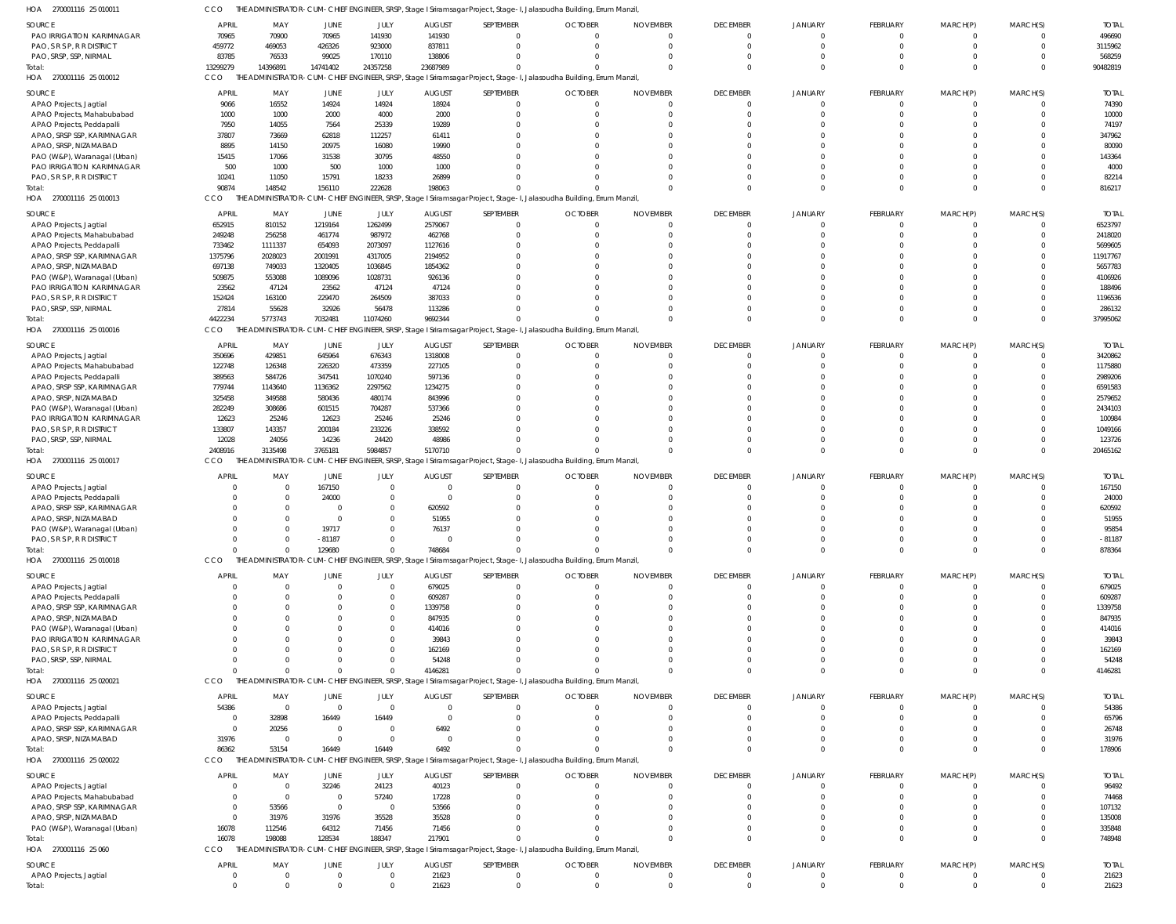270001116 25 010011 HOA 270001116 25 010012 HOA 270001116 25 010013 HOA 270001116 25 010016 HOA 270001116 25 010017 HOA 270001116 25 010018 HOA 270001116 25 020021 HOA 270001116 25 020022 HOA 270001116 25 060 HOA THE ADMINISTRATOR-CUM-CHIEF ENGINEER, SRSP, Stage I Sriramsagar Project, Stage-I, Jalasoudha Building, Errum Manzil, THE ADMINISTRATOR-CUM-CHIEF ENGINEER, SRSP, Stage I Sriramsagar Project, Stage-I, Jalasoudha Building, Errum Manzil, CCO THE ADMINISTRATOR-CUM-CHIEF ENGINEER, SRSP, Stage I Sriramsagar Project, Stage-I, Jalasoudha Building, Errum Manzil, THE ADMINISTRATOR-CUM-CHIEF ENGINEER, SRSP, Stage I Sriramsagar Project, Stage-I, Jalasoudha Building, Errum Manzil, THE ADMINISTRATOR-CUM-CHIEF ENGINEER, SRSP, Stage I Sriramsagar Project, Stage-I, Jalasoudha Building, Errum Manzil, THE ADMINISTRATOR-CUM-CHIEF ENGINEER, SRSP, Stage I Sriramsagar Project, Stage-I, Jalasoudha Building, Errum Manzil, THE ADMINISTRATOR-CUM-CHIEF ENGINEER, SRSP, Stage I Sriramsagar Project, Stage-I, Jalasoudha Building, Errum Manzil, THE ADMINISTRATOR-CUM-CHIEF ENGINEER, SRSP, Stage I Sriramsagar Project, Stage-I, Jalasoudha Building, Errum Manzil, THE ADMINISTRATOR-CUM-CHIEF ENGINEER, SRSP, Stage I Sriramsagar Project, Stage-I, Jalasoudha Building, Errum Manzil, CCO CCO **CCO** CCO **CCO CCO** CCO CCO 13299279 90874 4422234 2408916  $\Omega$ 0 86362 16078 0 14396891 148542 5773743 3135498  $\bigcap$ 0 53154 198088 0 14741402 156110 7032481 3765181 129680 0 16449 128534 0 24357258 222628 11074260 5984857  $\bigcap$ 0 16449 188347 0 23687989 198063 9692344 5170710 748684 4146281 6492 217901 21623 0 0 0 0 0 0 0 0 0  $\Omega$ 0 0 0  $\Omega$ 0 0 0 0 0 0  $\bigcap$ 0  $\bigcap$ 0  $\sqrt{2}$  $\sqrt{2}$ 0 0 0  $\Omega$  $\Omega$  $\bigcap$ 0  $\Omega$  $\Omega$ 0 0  $\mathbf{C}$ 0 0  $\Omega$ 0  $\Omega$  $\Omega$ 0 0 0  $\bigcap$ 0  $\bigcap$ 0  $\sqrt{2}$  $\bigcap$ 0 0 0 0 0  $\Omega$ 0  $\Omega$  $\Omega$ 0 0 0  $\Omega$  $\Omega$  $\Omega$ 0  $\Omega$  $\Omega$ 0 90482819 816217 37995062 20465162 878364 4146281 178906 748948 21623 PAO IRRIGATION KARIMNAGAR PAO, S R S P, R R DISTRICT PAO, SRSP, SSP, NIRMAL APAO Projects, Jagtial APAO Projects, Mahabubabad APAO Projects, Peddapalli APAO, SRSP SSP, KARIMNAGAR APAO, SRSP, NIZAMABAD PAO (W&P), Waranagal (Urban) PAO IRRIGATION KARIMNAGAR PAO, S R S P, R R DISTRICT APAO Projects, Jagtial APAO Projects, Mahabubabad APAO Projects, Peddapalli APAO, SRSP SSP, KARIMNAGAR APAO, SRSP, NIZAMABAD PAO (W&P), Waranagal (Urban) PAO IRRIGATION KARIMNAGAR PAO, S R S P, R R DISTRICT PAO, SRSP, SSP, NIRMAL APAO Projects, Jagtial APAO Projects, Mahabubabad APAO Projects, Peddapalli APAO, SRSP SSP, KARIMNAGAR APAO, SRSP, NIZAMABAD PAO (W&P), Waranagal (Urban) PAO IRRIGATION KARIMNAGAR PAO, S R S P, R R DISTRICT PAO, SRSP, SSP, NIRMAL APAO Projects, Jagtial APAO Projects, Peddapalli APAO, SRSP SSP, KARIMNAGAR APAO, SRSP, NIZAMABAD PAO (W&P), Waranagal (Urban) PAO, S R S P, R R DISTRICT APAO Projects, Jagtial APAO Projects, Peddapalli APAO, SRSP SSP, KARIMNAGAR APAO, SRSP, NIZAMABAD PAO (W&P), Waranagal (Urban) PAO IRRIGATION KARIMNAGAR PAO, S R S P, R R DISTRICT PAO, SRSP, SSP, NIRMAL APAO Projects, Jagtial APAO Projects, Peddapalli APAO, SRSP SSP, KARIMNAGAR APAO, SRSP, NIZAMABAD APAO Projects, Jagtial APAO Projects, Mahabubabad APAO, SRSP SSP, KARIMNAGAR APAO, SRSP, NIZAMABAD PAO (W&P), Waranagal (Urban) APAO Projects, Jagtial SOURCE SOURCE **SOURCE** SOURCE SOURCE SOURCE **SOURCE** SOURCE SOURCE 70965 459772 83785 9066 1000 7950 37807 8895 15415 500 10241 652915 249248 733462 1375796 697138 509875 23562 152424 27814 350696 122748 389563 779744 325458 282249 12623 133807 12028  $\Omega$  $\Omega$  $\mathbf{C}$  $\Omega$ 0  $\Omega$  $\Omega$ 0  $\Omega$ 0  $\Omega$  $\Omega$  $\mathbf{C}$  $\Omega$ 54386 0  $\Omega$ 31976 0 0  $\Omega$  $\mathfrak{g}$ 16078 0 APRIL APRIL APRIL APRIL **APRIL** APRIL APRIL APRIL APRIL 70900 469053 76533 16552 1000 14055 73669 14150 17066 1000 11050 810152 256258 1111337 2028023 749033 553088 47124 163100 55628 429851 126348 584726 1143640 349588 308686 25246 143357 24056 0 0 0  $\Omega$ 0 0  $\Omega$ 0  $\sqrt{2}$ 0  $\Omega$  $\Omega$ 0  $\Omega$ 0 32898 20256 0 0 0 53566 31976 112546 0 MAY MAY MAY MAY MAY MAY MAY MAY MAY 70965 426326 99025 14924 2000 7564 62818 20975 31538 500 15791 1219164 461774 654093 2001991 1320405 1089096 23562 229470 32926 645964 226320 347541 1136362 580436 601515 12623 200184 14236 167150 24000  $\mathbf{C}$  $\Omega$ 19717 -81187  $\Omega$ 0  $\Omega$ 0  $\Omega$  $\Omega$ 0  $\Omega$ 0 16449 0 0 32246 0  $\Omega$ 31976 64312 0 JUNE JUNE JUNE JUNE JUNE JUNE **JUNE** JUNE JUNE 141930 923000 170110 14924 4000 25339 112257 16080 30795 1000 18233 1262499 987972 2073097 4317005 1036845 1028731 47124 264509 56478 676343 473359 1070240 2297562 480174 704287 25246 233226 24420 0  $\Omega$ 0  $\Omega$ 0  $\Omega$  $\Omega$ 0  $\Omega$ 0  $\Omega$  $\Omega$ 0  $\Omega$  $\Omega$ 16449 0 0 24123 57240  $\Omega$ 35528 71456 0 JULY JULY JULY JULY JULY JULY JULY JULY JULY 141930 837811 138806 18924 2000 19289 61411 19990 48550 1000 26899 2579067 462768 1127616 2194952 1854362 926136 47124 387033 113286 1318008 227105 597136 1234275 843996 537366 25246 338592 48986 0  $\Omega$ 620592 51955 76137  $\Omega$ 679025 609287 1339758 847935 414016 39843 162169 54248 0  $\Omega$ 6492 0 40123 17228 53566 35528 71456 21623 AUGUST AUGUST AUGUST AUGUST AUGUST AUGUST **AUGUST** AUGUST AUGUST 0 0  $\sqrt{2}$ 0 0 0 0 0 0 0 0 0 0 0 0 0 0 0 0 0  $\Omega$ 0 0 0 0 0 0 0 0 0 0 0 0 0 0  $\Omega$ 0 0 0 0 0 0 0 0 0 0 0 0 0 0 0 0  $\Omega$ SEPTEMBER SEPTEMBER SEPTEMBER SEPTEMBER SEPTEMBER SEPTEMBER SEPTEMBER SEPTEMBER SEPTEMBER 0 0  $\Omega$ 0 0 0 0 0 0 0 0 0 0 0 0 0 0 0 0 0 0 0 0 0 0 0 0 0 0 0 0 0 0 0 0  $\Omega$ 0 0 0 0 0 0  $\Omega$ 0 0 0 0  $\Omega$ 0 0 0 0  $\Omega$ **OCTOBER OCTOBER** OCTOBER OCTOBER OCTOBER OCTOBER OCTOBER **OCTOBER** OCTOBER 0 0  $\Omega$ 0 0 0 0 0 0 0 0 0  $\Omega$ 0 0  $\Omega$ 0 0 0  $\Omega$ 0 0  $\Omega$ 0 0 0 0  $\sqrt{2}$ 0  $\Omega$  $\Omega$ 0  $\Omega$ 0  $\Omega$  $\Omega$ 0  $\sqrt{2}$ 0  $\Omega$  $\Omega$ 0  $\Omega$ 0  $\Omega$  $\Omega$ 0 0 0  $\Omega$ 0 0  $\Omega$ NOVEMBER NOVEMBER NOVEMBER NOVEMBER NOVEMBER NOVEMBER NOVEMBER NOVEMBER NOVEMBER 0 0  $\Omega$ 0 0  $\bigcap$ 0  $\bigcap$ 0  $\Omega$ 0 0  $\Omega$ 0  $\Omega$  $\Omega$ 0  $\bigcap$ 0 0 0 0  $\Omega$ 0 0 0 0  $\cap$ 0  $\Omega$  $\Omega$ 0  $\bigcap$ 0  $\Omega$  $\Omega$ 0  $\cap$ 0  $\Omega$  $\Omega$ 0  $\Omega$ 0  $\Omega$  $\Omega$ 0  $\Omega$ 0  $\Omega$  $\bigcap$ 0 0 DECEMBER DECEMBER DECEMBER DECEMBER DECEMBER DECEMBER **DECEMBER** DECEMBER DECEMBER  $\Omega$ 0  $\Omega$ 0  $\mathsf{C}$  $\mathfrak{g}$ 0  $\Omega$ 0  $\Omega$  $\Omega$  $\mathbf{C}$  $\Omega$ 0  $\mathsf{C}$  $\Omega$ 0  $\Omega$ 0 0  $\Omega$  $\mathbf{C}$  $\Omega$ 0  $\mathsf{C}$  $\mathfrak{g}$ 0  $\Omega$  $\mathfrak{c}$ 0  $\Omega$  $\mathbf{C}$  $\Omega$ 0 0  $\Omega$ 0  $\Omega$ 0  $\Omega$  $\Omega$ 0  $\Omega$ 0  $\Omega$  $\Omega$ 0 0 0  $\Omega$  $\Omega$  $\mathbf{C}$ 0 JANUARY JANUARY JANUARY JANUARY JANUARY JANUARY JANUARY JANUARY JANUARY  $\Omega$ 0  $\Omega$ 0  $\Omega$ 0 0  $\sqrt{2}$ 0 0 0 0  $\Omega$ 0 0  $\sqrt{2}$ 0  $\sqrt{2}$ 0  $\Omega$  $\Omega$ 0  $\Omega$ 0 0 0 0  $\sqrt{2}$ 0  $\Omega$  $\Omega$ 0  $\sqrt{2}$ 0  $\Omega$  $\Omega$ 0  $\sqrt{2}$ 0 0 0 0  $\sqrt{2}$ 0  $\Omega$  $\sqrt{2}$ 0 0 0  $\Omega$ 0 0 0 FEBRUARY FEBRUARY FEBRUARY FEBRUARY FEBRUARY FEBRUARY FEBRUARY FEBRUARY FEBRUARY  $\Omega$ 0  $\Omega$ 0 0  $\sqrt{2}$ 0  $\Omega$ 0  $\Omega$  $\Omega$ 0  $\Omega$ 0 0  $\Omega$ 0  $\Omega$ 0 0  $\Omega$ 0  $\Omega$  $\Omega$  $\sqrt{ }$  $\Omega$ 0  $\Omega$ 0  $\sqrt{2}$  $\Omega$ 0  $\Omega$ 0  $\Omega$  $\Omega$ 0  $\Omega$ 0  $\Omega$  $\Omega$ 0  $\Omega$ 0  $\Omega$  $\Omega$ 0  $\Omega$  $\Omega$  $\Omega$  $\Omega$ 0 0 MARCH(P) MARCH(P) MARCH(P) MARCH(P) MARCH(P) MARCH(P) MARCH(P) MARCH(P) MARCH(P) 0 0  $\Omega$ 0 0 0 0  $\cap$ 0  $\Omega$  $\Omega$ 0  $\Omega$ 0 0  $\Omega$ 0  $\cap$ 0  $\Omega$  $\bigcap$ 0  $\cap$ 0 0 0 0  $\cap$ 0  $\Omega$  $\Omega$ 0  $\cap$ 0  $\Omega$  $\Omega$ 0  $\cap$ 0  $\Omega$  $\Omega$ 0  $\Omega$ 0  $\Omega$  $\Omega$ 0  $\Omega$ 0  $\Omega$  $\Omega$ 0  $\Omega$ MARCH(S) MARCH(S) MARCH(S) MARCH(S) MARCH(S) MARCH(S) MARCH(S) MARCH(S) MARCH(S) 496690 3115962 568259 74390 10000 74197 347962 80090 143364 4000 82214 6523797 2418020 5699605 11917767 5657783 4106926 188496 1196536 286132 3420862 1175880 2989206 6591583 2579652 2434103 100984 1049166 123726 167150 24000 620592 51955 95854 -81187 679025 609287 1339758 847935 414016 39843 162169 54248 54386 65796 26748 31976 96492 74468 107132 135008 335848 21623 TOTAL TOTAL TOTAL TOTAL TOTAL TOTAL TOTAL TOTAL TOTAL Total: Total: Total: Total: Total: Total: Total: Total: Total: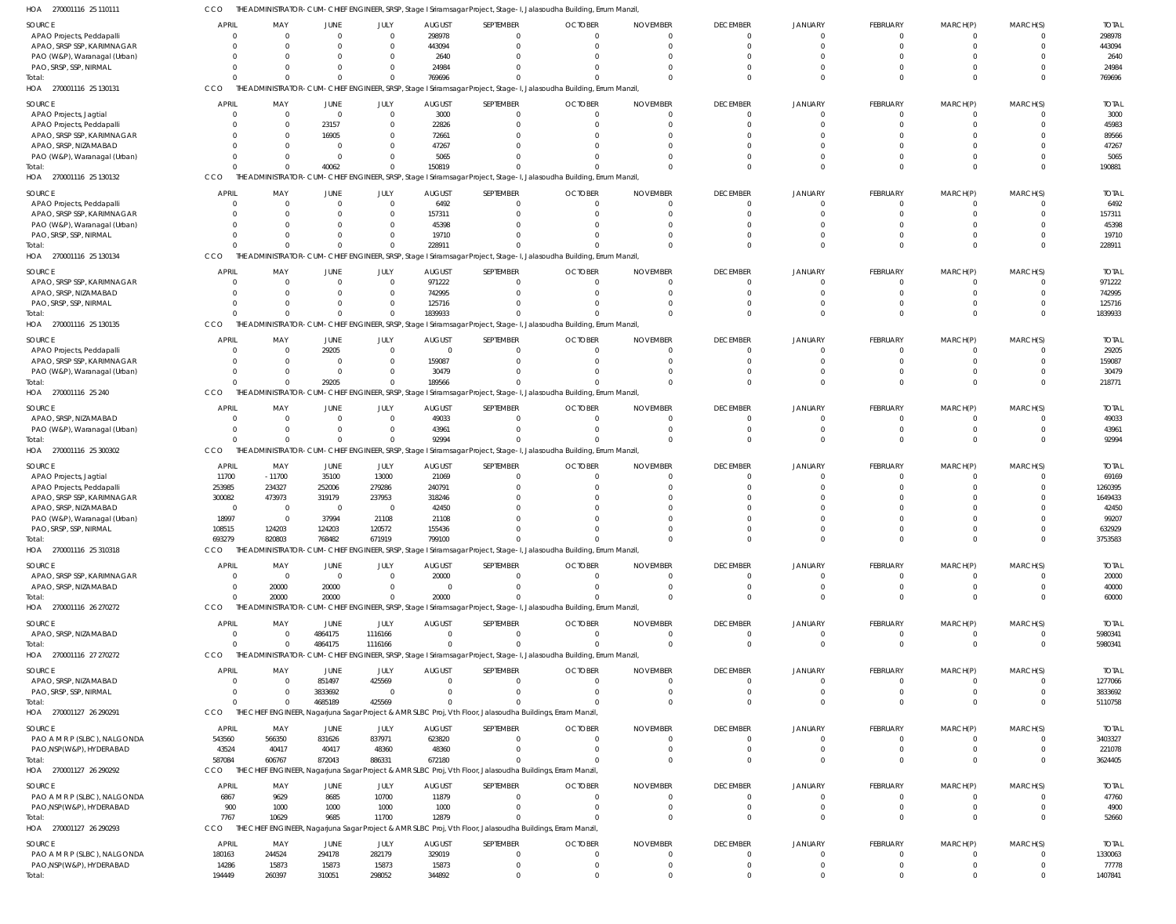| HOA<br>270001116 25 110111                               |                |                |                         |               |               |                      | THE ADMINISTRATOR-CUM-CHIEF ENGINEER, SRSP, Stage I Sriramsagar Project, Stage-I, Jalasoudha Building, Errum Manzil, |                                |                 |                                  |                                  |                              |                      |               |
|----------------------------------------------------------|----------------|----------------|-------------------------|---------------|---------------|----------------------|----------------------------------------------------------------------------------------------------------------------|--------------------------------|-----------------|----------------------------------|----------------------------------|------------------------------|----------------------|---------------|
| <b>SOURCE</b>                                            | <b>APRIL</b>   | MAY            | JUNE                    | JULY          | <b>AUGUST</b> | SEPTEMBER            | <b>OCTOBER</b>                                                                                                       | <b>NOVEMBER</b>                | <b>DECEMBER</b> | <b>JANUARY</b>                   | FEBRUARY                         | MARCH(P)                     | MARCH(S)             | <b>TOTAL</b>  |
| APAO Projects, Peddapalli                                | $\Omega$       | $\overline{0}$ | $\Omega$                | $\Omega$      | 298978        | $\Omega$             |                                                                                                                      | $\Omega$                       | $\Omega$        | $\Omega$                         | $\mathbf 0$                      | $\Omega$                     |                      | 298978        |
| APAO, SRSP SSP, KARIMNAGAR                               | $\Omega$       | $\Omega$       | $\Omega$                | - 0           | 443094        | $\Omega$             | $\Omega$                                                                                                             | $\Omega$                       | $\Omega$        | $\Omega$                         | $\Omega$                         | $\Omega$                     | $\Omega$             | 443094        |
| PAO (W&P), Waranagal (Urban)                             | $\Omega$       | $\Omega$       | $\Omega$                |               | 2640          | 0                    |                                                                                                                      | $\Omega$                       |                 | $\Omega$                         | $\Omega$                         |                              |                      | 2640          |
| PAO, SRSP, SSP, NIRMAL                                   | $\Omega$       | $\Omega$       | $\Omega$                |               | 24984         | $\Omega$             |                                                                                                                      | $\Omega$                       |                 | $\Omega$                         | $\Omega$                         | $\Omega$                     |                      | 24984         |
| Total:                                                   | $\Omega$       | $\Omega$       | $\Omega$                | $\Omega$      | 769696        | $\Omega$             |                                                                                                                      | $\Omega$                       | $\Omega$        | $\Omega$                         | $\Omega$                         | $\Omega$                     | $\Omega$             | 769696        |
| HOA<br>270001116 25 130131                               | CCO            |                |                         |               |               |                      | THE ADMINISTRATOR-CUM-CHIEF ENGINEER, SRSP, Stage I Sriramsagar Project, Stage-I, Jalasoudha Building, Errum Manzil, |                                |                 |                                  |                                  |                              |                      |               |
| <b>SOURCE</b>                                            | <b>APRIL</b>   | MAY            | JUNE                    | JULY          | <b>AUGUST</b> | SEPTEMBER            | <b>OCTOBER</b>                                                                                                       | <b>NOVEMBER</b>                | <b>DECEMBER</b> | <b>JANUARY</b>                   | FEBRUARY                         | MARCH(P)                     | MARCH(S)             | <b>TOTAL</b>  |
| APAO Projects, Jagtial                                   | $\overline{0}$ | $\overline{0}$ | $\overline{0}$          | $\mathbf 0$   | 3000          | $\overline{0}$       |                                                                                                                      | $\overline{0}$                 |                 | $\overline{0}$                   | $\mathbf 0$                      | $\Omega$                     |                      | 3000          |
| APAO Projects, Peddapalli                                | $\Omega$       | $\overline{0}$ | 23157                   |               | 22826         | $\overline{0}$       | $\Omega$                                                                                                             | $\mathbf{0}$                   |                 | $\Omega$                         | $\mathbf 0$                      | $\Omega$                     | $\Omega$             | 45983         |
| APAO, SRSP SSP, KARIMNAGAR                               | $\Omega$       | $\overline{0}$ | 16905                   |               | 72661         | $\Omega$             |                                                                                                                      | $\Omega$                       |                 |                                  | $\Omega$                         |                              |                      | 89566         |
| APAO, SRSP, NIZAMABAD                                    | $\Omega$       | $\Omega$       | $\Omega$                |               | 47267         | $\Omega$             |                                                                                                                      | $\Omega$                       |                 |                                  | $\Omega$                         |                              |                      | 47267         |
| PAO (W&P), Waranagal (Urban)                             | $\Omega$       | $\mathbf 0$    | $\overline{0}$          |               | 5065          |                      |                                                                                                                      | $\Omega$                       |                 | $\Omega$                         | $\mathbf 0$                      | $\Omega$                     | $\Omega$             | 5065          |
| Total:                                                   | $\Omega$       | $\mathbf 0$    | 40062                   |               | 150819        | $\Omega$             |                                                                                                                      | $\Omega$                       |                 | $\Omega$                         | $\mathbf 0$                      | $\Omega$                     | $\Omega$             | 190881        |
| HOA<br>270001116 25 130132                               | CCO            |                |                         |               |               |                      | THE ADMINISTRATOR-CUM-CHIEF ENGINEER, SRSP, Stage I Sriramsagar Project, Stage-I, Jalasoudha Building, Errum Manzil, |                                |                 |                                  |                                  |                              |                      |               |
| SOURCE                                                   | <b>APRIL</b>   | MAY            | JUNE                    | JULY          | <b>AUGUST</b> | SEPTEMBER            | <b>OCTOBER</b>                                                                                                       | <b>NOVEMBER</b>                | <b>DECEMBER</b> | <b>JANUARY</b>                   | FEBRUARY                         | MARCH(P)                     | MARCH(S)             | <b>TOTAL</b>  |
| APAO Projects, Peddapalli                                | $\Omega$       | $\overline{0}$ | $\Omega$                | $\Omega$      | 6492          | $\Omega$             |                                                                                                                      | $\Omega$                       | $\Omega$        | $\overline{0}$                   | $\overline{0}$                   | $\Omega$                     |                      | 6492          |
| APAO, SRSP SSP, KARIMNAGAR                               | $\Omega$       | $\Omega$       | $\Omega$                | $\Omega$      | 157311        | $\Omega$             |                                                                                                                      | $\Omega$                       | $\Omega$        | $\Omega$                         | $\Omega$                         | $\Omega$                     | $\Omega$             | 157311        |
| PAO (W&P), Waranagal (Urban)                             | - 0            | $\Omega$       | $\Omega$                |               | 45398         | 0                    |                                                                                                                      | $\Omega$                       |                 | n                                | $\Omega$                         |                              |                      | 45398         |
| PAO, SRSP, SSP, NIRMAL                                   | $\Omega$       | $\Omega$       | $\Omega$                |               | 19710         | $\Omega$             |                                                                                                                      | $\Omega$                       | $\Omega$        | $\Omega$                         | $\Omega$                         | $\Omega$                     |                      | 19710         |
| Total:                                                   | $\Omega$       | $\Omega$       | $\Omega$                | $\Omega$      | 228911        | $\Omega$             |                                                                                                                      | $\Omega$                       | $\Omega$        | $\Omega$                         | $\Omega$                         | $\Omega$                     | $\Omega$             | 228911        |
| HOA<br>270001116 25 130134                               | CCO            |                |                         |               |               |                      | THE ADMINISTRATOR-CUM-CHIEF ENGINEER, SRSP, Stage I Sriramsagar Project, Stage-I, Jalasoudha Building, Errum Manzil, |                                |                 |                                  |                                  |                              |                      |               |
|                                                          |                |                |                         |               |               |                      |                                                                                                                      |                                |                 |                                  |                                  |                              |                      |               |
| <b>SOURCE</b>                                            | <b>APRIL</b>   | MAY            | <b>JUNE</b>             | JULY          | <b>AUGUST</b> | SEPTEMBER            | <b>OCTOBER</b>                                                                                                       | <b>NOVEMBER</b>                | <b>DECEMBER</b> | <b>JANUARY</b>                   | FEBRUARY                         | MARCH(P)                     | MARCH(S)             | <b>TOTAL</b>  |
| APAO, SRSP SSP, KARIMNAGAR                               | $\overline{0}$ | $\overline{0}$ | $\overline{0}$          | $\mathbf 0$   | 971222        | $\overline{0}$       |                                                                                                                      | $\overline{0}$                 |                 | $\Omega$                         | $\mathbf 0$                      | $\Omega$                     |                      | 971222        |
| APAO, SRSP, NIZAMABAD                                    | $\overline{0}$ | $\overline{0}$ | $\Omega$                | $\Omega$      | 742995        | $\Omega$             |                                                                                                                      | $\mathbf 0$                    |                 | $\Omega$                         | $\mathbf 0$                      | $\Omega$                     | $\Omega$             | 742995        |
| PAO, SRSP, SSP, NIRMAL                                   | $\Omega$       | $\overline{0}$ | $\Omega$                |               | 125716        | $\Omega$             |                                                                                                                      | $\Omega$                       |                 | $\Omega$                         | $\mathbf 0$                      | $\Omega$                     | $\Omega$             | 125716        |
| Total:                                                   | $\Omega$       | $\Omega$       | $\Omega$                | $\Omega$      | 1839933       | $\Omega$             |                                                                                                                      | $\Omega$                       |                 | $\Omega$                         | $\mathbf 0$                      | $\Omega$                     | $\Omega$             | 1839933       |
| HOA 270001116 25 130135                                  | CCO            |                |                         |               |               |                      | THE ADMINISTRATOR-CUM-CHIEF ENGINEER, SRSP, Stage I Sriramsagar Project, Stage-I, Jalasoudha Building, Errum Manzil, |                                |                 |                                  |                                  |                              |                      |               |
| SOURCE                                                   | <b>APRIL</b>   | MAY            | JUNE                    | JULY          | <b>AUGUST</b> | SEPTEMBER            | <b>OCTOBER</b>                                                                                                       | <b>NOVEMBER</b>                | <b>DECEMBER</b> | <b>JANUARY</b>                   | FEBRUARY                         | MARCH(P)                     | MARCH(S)             | <b>TOTAL</b>  |
| APAO Projects, Peddapalli                                | $\Omega$       | $\overline{0}$ | 29205                   | $\Omega$      | $\mathbf 0$   | $\Omega$             | $\Omega$                                                                                                             | $\Omega$                       | $\Omega$        | $\Omega$                         | $\overline{0}$                   | $\Omega$                     |                      | 29205         |
| APAO, SRSP SSP, KARIMNAGAR                               | $\Omega$       | $\mathbf 0$    | $\Omega$                | - 0           | 159087        | $\Omega$             |                                                                                                                      | $\Omega$                       | - 0             | $\Omega$                         | $\mathbf 0$                      | $\Omega$                     | $\Omega$             | 159087        |
| PAO (W&P), Waranagal (Urban)                             | $\Omega$       | $\mathbf 0$    | $\overline{0}$          | - 0           | 30479         | $\Omega$             |                                                                                                                      | $\Omega$                       | $\Omega$        | $\Omega$                         | $\mathbf 0$                      | $\Omega$                     |                      | 30479         |
| Total:                                                   |                | $\Omega$       | 29205                   | $\Omega$      | 189566        | $\Omega$             |                                                                                                                      | $\Omega$                       |                 | $\Omega$                         | $\Omega$                         | $\Omega$                     | $\Omega$             | 218771        |
| HOA<br>270001116 25 240                                  | CCO            |                |                         |               |               |                      | THE ADMINISTRATOR-CUM-CHIEF ENGINEER, SRSP, Stage I Sriramsagar Project, Stage-I, Jalasoudha Building, Errum Manzil, |                                |                 |                                  |                                  |                              |                      |               |
| SOURCE                                                   | <b>APRIL</b>   | MAY            | JUNE                    | JULY          | <b>AUGUST</b> | SEPTEMBER            | <b>OCTOBER</b>                                                                                                       | <b>NOVEMBER</b>                | <b>DECEMBER</b> | <b>JANUARY</b>                   | FEBRUARY                         | MARCH(P)                     | MARCH(S)             | <b>TOTAL</b>  |
| APAO, SRSP, NIZAMABAD                                    | $\overline{0}$ | $\overline{0}$ | $\overline{0}$          | $\Omega$      | 49033         | $\Omega$             | $\Omega$                                                                                                             | $\overline{0}$                 | $\Omega$        | $\overline{0}$                   | $\overline{0}$                   | $\overline{0}$               | $\Omega$             | 49033         |
| PAO (W&P), Waranagal (Urban)                             | $\overline{0}$ | $\overline{0}$ | $\mathbf{0}$            |               | 43961         | $\Omega$             | $\Omega$                                                                                                             | $\overline{0}$                 |                 | $\Omega$                         | $\overline{0}$                   | $\overline{0}$               | $\Omega$             | 43961         |
| Total:                                                   | $\Omega$       | $\Omega$       | $\Omega$                |               | 92994         | $\Omega$             |                                                                                                                      | $\mathbf 0$                    | $\Omega$        | $\Omega$                         | $\mathbf{0}$                     | $\Omega$                     | $\Omega$             | 92994         |
| HOA 270001116 25 300302                                  | CCO            |                |                         |               |               |                      | THE ADMINISTRATOR-CUM-CHIEF ENGINEER, SRSP, Stage I Sriramsagar Project, Stage-I, Jalasoudha Building, Errum Manzil, |                                |                 |                                  |                                  |                              |                      |               |
| <b>SOURCE</b>                                            | <b>APRIL</b>   | MAY            | JUNE                    | JULY          | <b>AUGUST</b> | SEPTEMBER            | <b>OCTOBER</b>                                                                                                       | <b>NOVEMBER</b>                | <b>DECEMBER</b> | <b>JANUARY</b>                   | FEBRUARY                         | MARCH(P)                     | MARCH(S)             | <b>TOTAL</b>  |
| APAO Projects, Jagtial                                   | 11700          | $-11700$       | 35100                   | 13000         | 21069         | $\Omega$             |                                                                                                                      | $\Omega$                       | $\Omega$        | $\Omega$                         | $\overline{0}$                   | $\Omega$                     |                      | 69169         |
| APAO Projects, Peddapalli                                | 253985         | 234327         | 252006                  | 279286        | 240791        | $\Omega$             |                                                                                                                      | $\Omega$                       |                 |                                  | $\Omega$                         |                              |                      | 1260395       |
| APAO, SRSP SSP, KARIMNAGAR                               | 300082         | 473973         | 319179                  | 237953        | 318246        | $\Omega$             |                                                                                                                      |                                |                 |                                  |                                  |                              |                      | 1649433       |
| APAO, SRSP, NIZAMABAD                                    | $\Omega$       | $\overline{0}$ | $\overline{\mathbf{0}}$ | $\Omega$      | 42450         | $\Omega$             |                                                                                                                      | $\Omega$                       |                 |                                  | $\Omega$                         |                              |                      | 42450         |
| PAO (W&P), Waranagal (Urban)                             | 18997          | $\overline{0}$ | 37994                   | 21108         | 21108         | $\Omega$             |                                                                                                                      | $\Omega$                       |                 | $\cap$                           | $\Omega$                         |                              |                      | 99207         |
| PAO, SRSP, SSP, NIRMAL                                   | 108515         | 124203         | 124203                  | 120572        | 155436        |                      |                                                                                                                      |                                |                 |                                  |                                  |                              |                      | 632929        |
| Total:                                                   | 693279         | 820803         | 768482                  | 671919        | 799100        | $\Omega$             |                                                                                                                      | $\Omega$                       | $\Omega$        | $\Omega$                         | $\mathbf{0}$                     | $\overline{0}$               | $\Omega$             | 3753583       |
| HOA 270001116 25 310318                                  | CCO            |                |                         |               |               |                      | THE ADMINISTRATOR-CUM-CHIEF ENGINEER, SRSP, Stage I Sriramsagar Project, Stage-I, Jalasoudha Building, Errum Manzil, |                                |                 |                                  |                                  |                              |                      |               |
| <b>SOURCE</b>                                            | <b>APRIL</b>   | MAY            | <b>JUNE</b>             | JULY          | <b>AUGUST</b> | SEPTEMBER            | <b>OCTOBER</b>                                                                                                       | <b>NOVEMBER</b>                | <b>DECEMBER</b> | <b>JANUARY</b>                   | FEBRUARY                         | MARCH(P)                     | MARCH(S)             | <b>TOTAL</b>  |
| APAO, SRSP SSP, KARIMNAGAR                               | $\overline{0}$ | $\overline{0}$ | $\overline{0}$          | $\Omega$      | 20000         | $\Omega$             | $\Omega$                                                                                                             | $\mathbf{0}$                   |                 | $\overline{0}$                   | $\overline{0}$                   | $\overline{0}$               |                      | 20000         |
| APAO, SRSP, NIZAMABAD                                    | $\overline{0}$ | 20000          | 20000                   | - 0           | $\mathbf{0}$  | $\overline{0}$       | $\Omega$                                                                                                             | $\mathbf{0}$                   |                 | $\overline{0}$                   | $\overline{0}$                   | $\overline{0}$               | $\Omega$             | 40000         |
| Total:                                                   | $\Omega$       | 20000          | 20000                   | $\Omega$      | 20000         | $\Omega$             |                                                                                                                      | $\Omega$                       |                 | $\Omega$                         | $\Omega$                         | $\Omega$                     |                      | 60000         |
| HOA 270001116 26 270272                                  | CCO            |                |                         |               |               |                      | THE ADMINISTRATOR-CUM-CHIEF ENGINEER, SRSP, Stage I Sriramsagar Project, Stage-I, Jalasoudha Building, Errum Manzil, |                                |                 |                                  |                                  |                              |                      |               |
|                                                          |                |                |                         |               |               |                      |                                                                                                                      |                                |                 |                                  |                                  |                              |                      |               |
| <b>SOURCE</b>                                            | <b>APRIL</b>   | MAY            | JUNE                    | JULY          | <b>AUGUST</b> | SEPTEMBER            | <b>OCTOBER</b>                                                                                                       | <b>NOVEMBER</b>                | <b>DECEMBER</b> | <b>JANUARY</b>                   | FEBRUARY                         | MARCH(P)                     | MARCH(S)             | <b>TOTAL</b>  |
| APAO, SRSP, NIZAMABAD                                    | $\Omega$       | $\overline{0}$ | 4864175                 | 1116166       | $\Omega$      | $\Omega$             | $\Omega$                                                                                                             | $\overline{0}$                 | $\Omega$        | $^{\circ}$                       | $\mathbf 0$                      | $^{\circ}$                   |                      | 5980341       |
| Total:                                                   | $\Omega$       | $\overline{0}$ | 4864175                 | 1116166       | $\Omega$      | $\overline{0}$       | $\cap$                                                                                                               | $\mathbf 0$                    | $\Omega$        | $\Omega$                         | $\overline{0}$                   | $\overline{0}$               | $\Omega$             | 5980341       |
| HOA 270001116 27 270272                                  | CCO            |                |                         |               |               |                      | THE ADMINISTRATOR-CUM-CHIEF ENGINEER, SRSP, Stage I Sriramsagar Project, Stage-I, Jalasoudha Building, Errum Manzil, |                                |                 |                                  |                                  |                              |                      |               |
| <b>SOURCE</b>                                            | <b>APRIL</b>   | MAY            | JUNE                    | JULY          | <b>AUGUST</b> | SEPTEMBER            | <b>OCTOBER</b>                                                                                                       | <b>NOVEMBER</b>                | <b>DECEMBER</b> | <b>JANUARY</b>                   | FEBRUARY                         | MARCH(P)                     | MARCH(S)             | <b>TOTAL</b>  |
| APAO, SRSP, NIZAMABAD                                    | $\overline{0}$ | $\overline{0}$ | 851497                  | 425569        | $\Omega$      | $\overline{0}$       | $\Omega$                                                                                                             | $\mathbf{0}$                   |                 | $^{\circ}$                       | $\overline{0}$                   | - 0                          |                      | 1277066       |
| PAO, SRSP, SSP, NIRMAL                                   | $\Omega$       | $\overline{0}$ | 3833692                 | $\Omega$      |               | $\Omega$             | $\Omega$                                                                                                             | $\overline{0}$                 |                 | $^{\circ}$                       | $\overline{0}$                   | $\overline{0}$               | $\Omega$             | 3833692       |
| Total:                                                   | $\Omega$       | $\mathbf 0$    | 4685189                 | 425569        | $\Omega$      | $\Omega$             |                                                                                                                      | $\Omega$                       |                 | $\overline{0}$                   | $\overline{0}$                   | $\overline{0}$               | $\Omega$             | 5110758       |
| HOA<br>270001127 26 290291                               | CCO            |                |                         |               |               |                      | THE CHIEF ENGINEER, Nagarjuna Sagar Project & AMR SLBC Proj, Vth Floor, Jalasoudha Buildings, Erram Manzil,          |                                |                 |                                  |                                  |                              |                      |               |
| <b>SOURCE</b>                                            | <b>APRIL</b>   | MAY            | JUNE                    | JULY          | <b>AUGUST</b> | SEPTEMBER            | <b>OCTOBER</b>                                                                                                       | <b>NOVEMBER</b>                | <b>DECEMBER</b> | <b>JANUARY</b>                   | FEBRUARY                         | MARCH(P)                     | MARCH(S)             | <b>TOTAL</b>  |
| PAO A M R P (SLBC), NALGONDA                             | 543560         | 566350         | 831626                  | 837971        | 623820        | $\Omega$             | $\Omega$                                                                                                             | $\Omega$                       | - 0             | $\Omega$                         | $\Omega$                         | $\Omega$                     |                      | 3403327       |
| PAO, NSP(W&P), HYDERABAD                                 | 43524          | 40417          | 40417                   | 48360         | 48360         | $\Omega$             | $\Omega$                                                                                                             | $\Omega$                       | - 0             | $\overline{0}$                   | $\mathbf 0$                      | $\overline{0}$               | $\Omega$             | 221078        |
| Total:                                                   | 587084         | 606767         | 872043                  | 886331        | 672180        | $\Omega$             |                                                                                                                      | $\Omega$                       | $\Omega$        | $\Omega$                         | $\mathbf 0$                      | $\Omega$                     | $\Omega$             | 3624405       |
| HOA 270001127 26 290292                                  | CCO            |                |                         |               |               |                      | THE CHIEF ENGINEER, Nagarjuna Sagar Project & AMR SLBC Proj, Vth Floor, Jalasoudha Buildings, Erram Manzil,          |                                |                 |                                  |                                  |                              |                      |               |
|                                                          |                |                |                         |               |               |                      |                                                                                                                      |                                |                 |                                  |                                  |                              |                      |               |
| SOURCE                                                   | <b>APRIL</b>   | MAY            | JUNE                    | JULY          | <b>AUGUST</b> | SEPTEMBER            | <b>OCTOBER</b><br>$\Omega$                                                                                           | <b>NOVEMBER</b>                | <b>DECEMBER</b> | <b>JANUARY</b>                   | FEBRUARY                         | MARCH(P)                     | MARCH(S)<br>$\Omega$ | <b>TOTAL</b>  |
| PAO A M R P (SLBC), NALGONDA<br>PAO, NSP(W&P), HYDERABAD | 6867<br>900    | 9629<br>1000   | 8685<br>1000            | 10700<br>1000 | 11879<br>1000 | $\Omega$<br>$\Omega$ | $\Omega$                                                                                                             | $\overline{0}$<br>$\mathbf{0}$ | -0              | $\overline{0}$<br>$\overline{0}$ | $\overline{0}$<br>$\overline{0}$ | $^{\circ}$<br>$\overline{0}$ | $\Omega$             | 47760<br>4900 |
| Total:                                                   | 7767           | 10629          | 9685                    | 11700         | 12879         | $\Omega$             |                                                                                                                      | $\Omega$                       |                 | $\overline{0}$                   | $\mathbf 0$                      | $\overline{0}$               | $\Omega$             | 52660         |
| HOA 270001127 26 290293                                  | CCO            |                |                         |               |               |                      | THE CHIEF ENGINEER, Nagarjuna Sagar Project & AMR SLBC Proj, Vth Floor, Jalasoudha Buildings, Erram Manzil,          |                                |                 |                                  |                                  |                              |                      |               |
|                                                          |                |                |                         |               |               |                      |                                                                                                                      |                                |                 |                                  |                                  |                              |                      |               |
| <b>SOURCE</b>                                            | <b>APRIL</b>   | MAY            | JUNE                    | JULY          | <b>AUGUST</b> | SEPTEMBER            | <b>OCTOBER</b>                                                                                                       | <b>NOVEMBER</b>                | <b>DECEMBER</b> | <b>JANUARY</b>                   | FEBRUARY                         | MARCH(P)                     | MARCH(S)             | <b>TOTAL</b>  |
| PAO A M R P (SLBC), NALGONDA                             | 180163         | 244524         | 294178                  | 282179        | 329019        | $\Omega$             | $\Omega$                                                                                                             | $\Omega$                       | $\Omega$        | $\mathbf{0}$                     | $\mathbf 0$                      | $\mathbf{0}$                 |                      | 1330063       |
| PAO, NSP(W&P), HYDERABAD                                 | 14286          | 15873          | 15873                   | 15873         | 15873         | $\mathbf{0}$         |                                                                                                                      | $\mathbf{0}$                   | $\Omega$        | $\overline{0}$                   | $\mathbf{0}$                     | $\overline{0}$               |                      | 77778         |
| Total:                                                   | 194449         | 260397         | 310051                  | 298052        | 344892        | $\Omega$             |                                                                                                                      | $\Omega$                       |                 | $\Omega$                         | $\Omega$                         |                              |                      | 1407841       |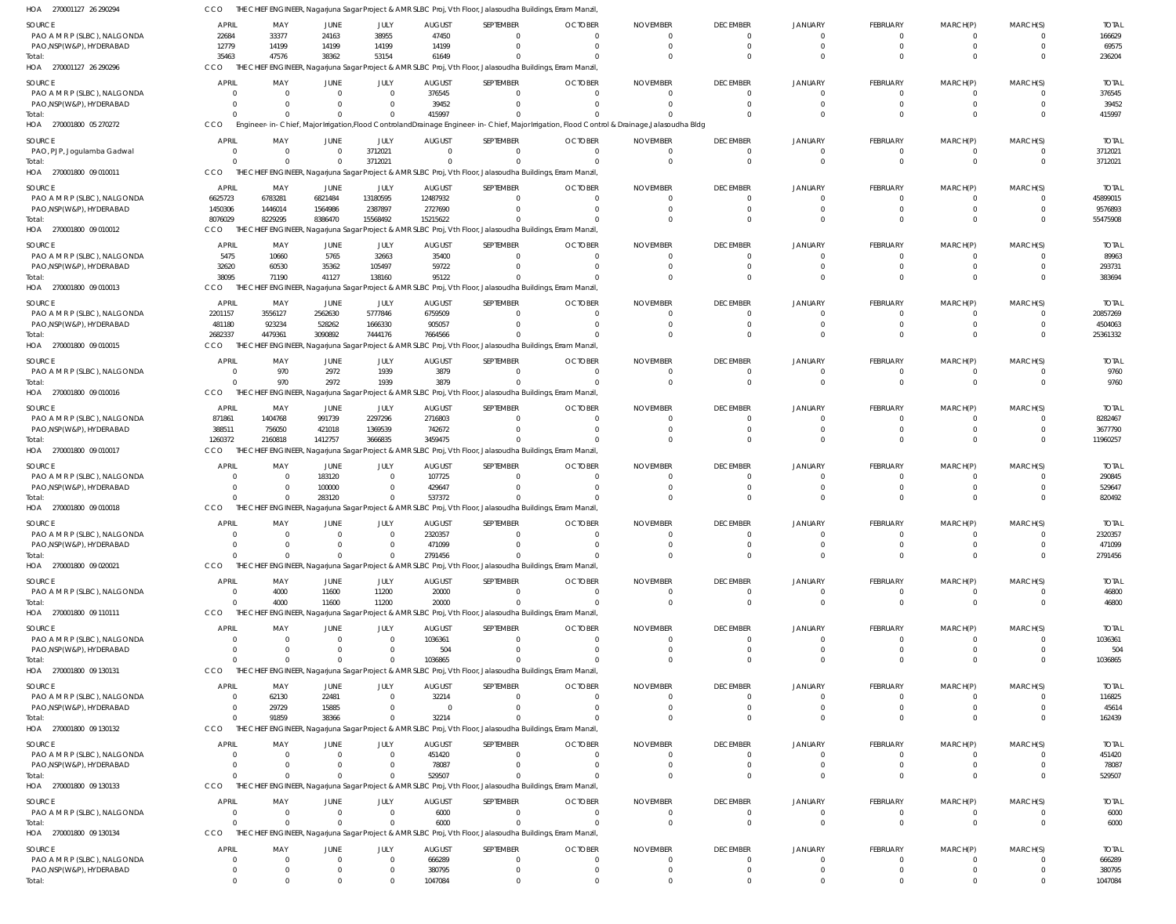| HOA 270001127 26 290294                                   | CCO               |                                                  |                            |                                  |                         | THE CHIEF ENGINEER, Nagarjuna Sagar Project & AMR SLBC Proj, Vth Floor, Jalasoudha Buildings, Erram Manzil,                                   |                            |                             |                             |                      |                |                |              |                        |
|-----------------------------------------------------------|-------------------|--------------------------------------------------|----------------------------|----------------------------------|-------------------------|-----------------------------------------------------------------------------------------------------------------------------------------------|----------------------------|-----------------------------|-----------------------------|----------------------|----------------|----------------|--------------|------------------------|
| SOURCE                                                    | <b>APRIL</b>      | MAY                                              | JUNE                       | JULY                             | <b>AUGUST</b>           | SEPTEMBER                                                                                                                                     | <b>OCTOBER</b>             | <b>NOVEMBER</b>             | <b>DECEMBER</b>             | <b>JANUARY</b>       | FEBRUARY       | MARCH(P)       | MARCH(S)     | <b>TOTAL</b>           |
| PAO A M R P (SLBC), NALGONDA                              | 22684             | 33377                                            | 24163                      | 38955                            | 47450                   | $\Omega$                                                                                                                                      | $\Omega$                   | $\Omega$                    | 0                           | $\Omega$             | -0             | -0             |              | 166629                 |
| PAO, NSP (W&P), HYDERABAD                                 | 12779             | 14199                                            | 14199                      | 14199                            | 14199                   | $\Omega$                                                                                                                                      | $\Omega$                   | $\Omega$                    | $\mathbf 0$                 | $\Omega$             | $\Omega$       | $\Omega$       | 0            | 69575                  |
| Total:                                                    | 35463             | 47576                                            | 38362                      | 53154                            | 61649                   | $\Omega$                                                                                                                                      |                            | $\Omega$                    | $\Omega$                    | $\Omega$             |                |                | 0            | 236204                 |
| HOA 270001127 26 290296                                   | CCO               |                                                  |                            |                                  |                         | THE CHIEF ENGINEER, Nagarjuna Sagar Project & AMR SLBC Proj, Vth Floor, Jalasoudha Buildings, Erram Manzil,                                   |                            |                             |                             |                      |                |                |              |                        |
| SOURCE                                                    | <b>APRIL</b>      | MAY                                              | JUNE                       | JULY                             | <b>AUGUST</b>           | SEPTEMBER                                                                                                                                     | <b>OCTOBER</b>             | <b>NOVEMBER</b>             | <b>DECEMBER</b>             | JANUARY              | FEBRUARY       | MARCH(P)       | MARCH(S)     | <b>TOTAL</b>           |
| PAO A M R P (SLBC), NALGONDA<br>PAO, NSP (W&P), HYDERABAD |                   | $\Omega$<br>$\Omega$<br>$\mathbf{0}$<br>$\Omega$ | $\overline{0}$<br>$\Omega$ | $\overline{0}$<br>$\overline{0}$ | 376545<br>39452         | $\mathbf{0}$<br>$^{\circ}$                                                                                                                    | $\Omega$<br>$\Omega$       | $\Omega$<br>$\Omega$        | $\Omega$<br>$\Omega$        | $\Omega$<br>$\Omega$ |                |                | 0            | 376545<br>39452        |
|                                                           |                   | $\Omega$<br>$\Omega$                             | $\overline{0}$             | $\overline{0}$                   | 415997                  | $\Omega$                                                                                                                                      |                            |                             | $\Omega$                    |                      |                |                |              | 415997                 |
| HOA 270001800 05 270272                                   | CCO               |                                                  |                            |                                  |                         | Engineer-in-Chief, Major Irrigation, Flood Controland Drainage Engineer-in-Chief, Major Irrigation, Flood Control & Drainage, Jalasoudha Bldg |                            |                             |                             |                      |                |                |              |                        |
| SOURCE                                                    | <b>APRIL</b>      | MAY                                              | JUNE                       | JULY                             | <b>AUGUST</b>           | SEPTEMBER                                                                                                                                     | <b>OCTOBER</b>             | <b>NOVEMBER</b>             | <b>DECEMBER</b>             | JANUARY              | FEBRUARY       | MARCH(P)       | MARCH(S)     | <b>TOTAL</b>           |
| PAO, PJP, Jogulamba Gadwal                                |                   | $\mathbf{0}$<br>$\Omega$                         | $\overline{0}$             | 3712021                          | $\Omega$                | $\mathbf{0}$                                                                                                                                  | $\Omega$                   | $\Omega$                    | 0                           | $\Omega$             | -0             | 0              | 0            | 3712021                |
| Total:                                                    |                   | $\Omega$<br>$\Omega$                             | $\overline{0}$             | 3712021                          | $\Omega$                | $\Omega$                                                                                                                                      | $\Omega$                   | $\Omega$                    | $\mathbf 0$                 | $\Omega$             | $\Omega$       | $\Omega$       | $\mathbf{0}$ | 3712021                |
| HOA 270001800 09 010011                                   | <b>CCO</b>        |                                                  |                            |                                  |                         | THE CHIEF ENGINEER, Nagarjuna Sagar Project & AMR SLBC Proj, Vth Floor, Jalasoudha Buildings, Erram Manzil,                                   |                            |                             |                             |                      |                |                |              |                        |
| SOURCE                                                    | <b>APRIL</b>      | MAY                                              | JUNE                       | JULY                             | <b>AUGUST</b>           | SEPTEMBER                                                                                                                                     | <b>OCTOBER</b>             | <b>NOVEMBER</b>             | <b>DECEMBER</b>             | JANUARY              | FEBRUARY       | MARCH(P)       | MARCH(S)     | <b>TOTAL</b>           |
| PAO A M R P (SLBC), NALGONDA                              | 6625723           | 6783281                                          | 6821484                    | 13180595                         | 12487932                | $\mathbf{0}$                                                                                                                                  | $\Omega$                   | - 0                         | $\Omega$                    | 0                    |                |                |              | 45899015               |
| PAO, NSP (W&P), HYDERABAD                                 | 1450306           | 1446014                                          | 1564986                    | 2387897                          | 2727690                 | $\Omega$                                                                                                                                      | $\Omega$                   | $\Omega$                    | $\mathbf 0$                 | $\Omega$             |                |                | 0            | 9576893                |
| Total:                                                    | 8076029           | 8229295                                          | 8386470                    | 15568492                         | 15215622                | $\Omega$                                                                                                                                      |                            | $\Omega$                    | $\Omega$                    | $\Omega$             |                |                | 0            | 55475908               |
| HOA 270001800 09 010012                                   | CCO               |                                                  |                            |                                  |                         | CHIEF ENGINEER, Nagarjuna Sagar Project & AMR SLBC Proj, Vth Floor, Jalasoudha Buildings, Erram Manzil,                                       |                            |                             |                             |                      |                |                |              |                        |
| SOURCE                                                    | <b>APRIL</b>      | MAY                                              | JUNE                       | JULY                             | <b>AUGUST</b>           | SEPTEMBER                                                                                                                                     | <b>OCTOBER</b>             | <b>NOVEMBER</b>             | <b>DECEMBER</b>             | <b>JANUARY</b>       | FEBRUARY       | MARCH(P)       | MARCH(S)     | <b>TOTAL</b>           |
| PAO A M R P (SLBC), NALGONDA                              | 5475              | 10660                                            | 5765                       | 32663                            | 35400                   | $\mathbf{0}$                                                                                                                                  |                            | $\Omega$<br>$\Omega$        | $\Omega$                    | $\Omega$             |                | -0             |              | 89963                  |
| PAO, NSP (W&P), HYDERABAD<br>Total:                       | 32620<br>38095    | 60530<br>71190                                   | 35362<br>41127             | 105497<br>138160                 | 59722<br>95122          | $\Omega$<br>$\Omega$                                                                                                                          | $\Omega$                   | $\Omega$                    | $\mathbf 0$<br>$\Omega$     | $\Omega$<br>$\Omega$ |                | -0             | 0            | 293731<br>383694       |
| HOA 270001800 09 010013                                   | CCO               |                                                  |                            |                                  |                         | CHIEF ENGINEER, Nagarjuna Sagar Project & AMR SLBC Proj, Vth Floor, Jalasoudha Buildings, Erram Manzil,                                       |                            |                             |                             |                      |                |                |              |                        |
| SOURCE                                                    | <b>APRIL</b>      | MAY                                              | JUNE                       | JULY                             | <b>AUGUST</b>           | SEPTEMBER                                                                                                                                     | <b>OCTOBER</b>             | <b>NOVEMBER</b>             | <b>DECEMBER</b>             | <b>JANUARY</b>       | FEBRUARY       | MARCH(P)       | MARCH(S)     | <b>TOTAL</b>           |
| PAO A M R P (SLBC), NALGONDA                              | 2201157           | 3556127                                          | 2562630                    | 5777846                          | 6759509                 | $\mathbf{0}$                                                                                                                                  | $\Omega$                   | $\Omega$                    | $\mathbf 0$                 | $\Omega$             | -0             | -0             | 0            | 20857269               |
| PAO, NSP (W&P), HYDERABAD                                 | 481180            | 923234                                           | 528262                     | 1666330                          | 905057                  | $\Omega$                                                                                                                                      |                            | $\Omega$                    | $\Omega$                    | $\Omega$             |                |                | 0            | 4504063                |
| Total:                                                    | 2682337           | 4479361                                          | 3090892                    | 7444176                          | 7664566                 | $\Omega$                                                                                                                                      |                            |                             | $\Omega$                    | $\Omega$             |                |                | $\Omega$     | 25361332               |
| HOA 270001800 09 010015                                   | CCO               |                                                  |                            |                                  |                         | CHIEF ENGINEER, Nagarjuna Sagar Project & AMR SLBC Proj, Vth Floor, Jalasoudha Buildings, Erram Manzil,                                       |                            |                             |                             |                      |                |                |              |                        |
| SOURCE                                                    | <b>APRIL</b>      | MAY                                              | JUNE                       | JULY                             | <b>AUGUST</b>           | SEPTEMBER                                                                                                                                     | <b>OCTOBER</b>             | <b>NOVEMBER</b>             | <b>DECEMBER</b>             | <b>JANUARY</b>       | FEBRUARY       | MARCH(P)       | MARCH(S)     | <b>TOTAL</b>           |
| PAO A M R P (SLBC), NALGONDA                              |                   | 970<br>$\Omega$                                  | 2972                       | 1939                             | 3879                    | $\mathbf{0}$                                                                                                                                  | $\Omega$                   | $\Omega$                    | 0                           | $\Omega$             | -0             | 0              |              | 9760                   |
| Total:                                                    |                   | 970<br>$\Omega$                                  | 2972                       | 1939                             | 3879                    | $\Omega$                                                                                                                                      |                            | $\Omega$                    | $\Omega$                    | $\Omega$             | $\Omega$       | $\Omega$       | $\Omega$     | 9760                   |
| HOA 270001800 09 010016                                   | CCO               |                                                  |                            |                                  |                         | THE CHIEF ENGINEER, Nagarjuna Sagar Project & AMR SLBC Proj, Vth Floor, Jalasoudha Buildings, Erram Manzil,                                   |                            |                             |                             |                      |                |                |              |                        |
| SOURCE                                                    | <b>APRIL</b>      | MAY                                              | JUNE                       | JULY                             | <b>AUGUST</b>           | SEPTEMBER                                                                                                                                     | <b>OCTOBER</b>             | <b>NOVEMBER</b>             | <b>DECEMBER</b>             | <b>JANUARY</b>       | FEBRUARY       | MARCH(P)       | MARCH(S)     | <b>TOTAL</b>           |
| PAO A M R P (SLBC), NALGONDA                              | 871861            | 1404768                                          | 991739                     | 2297296                          | 2716803                 | $\mathbf{0}$                                                                                                                                  | $\Omega$                   | $\Omega$                    | $\Omega$                    | $\Omega$             |                | -0             | 0            | 8282467                |
| PAO, NSP(W&P), HYDERABAD<br>Total:                        | 388511<br>1260372 | 756050<br>2160818                                | 421018<br>1412757          | 1369539<br>3666835               | 742672<br>3459475       | $\Omega$<br>$\Omega$                                                                                                                          | $\Omega$                   | $\Omega$<br>$\Omega$        | $\Omega$<br>$\Omega$        | $\Omega$<br>$\Omega$ |                |                | $\Omega$     | 3677790<br>11960257    |
| HOA 270001800 09 010017                                   | CCO               |                                                  |                            |                                  |                         | THE CHIEF ENGINEER, Nagarjuna Sagar Project & AMR SLBC Proj, Vth Floor, Jalasoudha Buildings, Erram Manzil,                                   |                            |                             |                             |                      |                |                |              |                        |
|                                                           | <b>APRIL</b>      |                                                  |                            |                                  |                         |                                                                                                                                               |                            |                             |                             |                      |                |                |              |                        |
| SOURCE<br>PAO A M R P (SLBC), NALGONDA                    |                   | MAY<br>0<br>$\mathbf 0$                          | JUNE<br>183120             | JULY<br>$\overline{0}$           | <b>AUGUST</b><br>107725 | SEPTEMBER<br>$\mathbf{0}$                                                                                                                     | <b>OCTOBER</b><br>$\Omega$ | <b>NOVEMBER</b><br>$\Omega$ | <b>DECEMBER</b><br>$\Omega$ | JANUARY<br>$\Omega$  | FEBRUARY<br>-0 | MARCH(P)<br>-0 | MARCH(S)     | <b>TOTAL</b><br>290845 |
| PAO, NSP (W&P), HYDERABAD                                 |                   | $\Omega$<br>$\Omega$                             | 100000                     | $\overline{0}$                   | 429647                  | $\Omega$                                                                                                                                      | $\Omega$                   | $\Omega$                    | $\Omega$                    | $\Omega$             | -0             | -0             | 0            | 529647                 |
| Total:                                                    |                   | $\Omega$<br>$\Omega$                             | 283120                     | $\Omega$                         | 537372                  | $\Omega$                                                                                                                                      |                            | $\Omega$                    | $\Omega$                    | $\Omega$             | $\Omega$       |                | $\Omega$     | 820492                 |
| HOA 270001800 09 010018                                   | CCO               |                                                  |                            |                                  |                         | THE CHIEF ENGINEER, Nagarjuna Sagar Project & AMR SLBC Proj, Vth Floor, Jalasoudha Buildings, Erram Manzil,                                   |                            |                             |                             |                      |                |                |              |                        |
| SOURCE                                                    | <b>APRIL</b>      | MAY                                              | JUNE                       | JULY                             | AUGUST                  | SEPTEMBER                                                                                                                                     | <b>OCTOBER</b>             | <b>NOVEMBER</b>             | <b>DECEMBER</b>             | <b>JANUARY</b>       | FEBRUARY       | MARCH(P)       | MARCH(S)     | <b>TOTAL</b>           |
| PAO A M R P (SLBC), NALGONDA                              |                   |                                                  |                            | 0                                | 2320357                 |                                                                                                                                               |                            |                             |                             |                      |                |                |              | 2320357                |
| PAO, NSP(W&P), HYDERABAD                                  |                   | $\Omega$<br>$\Omega$                             | $\Omega$                   | $\overline{0}$                   | 471099                  | $\Omega$                                                                                                                                      |                            | $\Omega$                    | $\Omega$                    |                      |                |                | 0            | 471099                 |
| Total:<br>HOA 270001800 09 020021                         | CCO               | $\Omega$<br>$\cap$                               | $\Omega$                   | $\overline{0}$                   | 2791456                 | $\Omega$<br>THE CHIEF ENGINEER, Nagarjuna Sagar Project & AMR SLBC Proj, Vth Floor, Jalasoudha Buildings, Erram Manzil,                       |                            | $\Omega$                    | $\Omega$                    | $\Omega$             |                |                | $\Omega$     | 2791456                |
|                                                           |                   |                                                  |                            |                                  |                         |                                                                                                                                               |                            |                             |                             |                      |                |                |              |                        |
| SOURCE                                                    | <b>APRIL</b>      | MAY                                              | JUNE                       | JULY                             | <b>AUGUST</b>           | SEPTEMBER                                                                                                                                     | <b>OCTOBER</b>             | <b>NOVEMBER</b>             | <b>DECEMBER</b>             | JANUARY              | FEBRUARY       | MARCH(P)       | MARCH(S)     | <b>TOTAL</b>           |
| PAO A M R P (SLBC), NALGONDA<br>Total:                    |                   | 4000<br>$\mathbf{0}$<br>4000<br>$\Omega$         | 11600<br>11600             | 11200<br>11200                   | 20000<br>20000          | $\mathbf{0}$<br>$\Omega$                                                                                                                      | $\Omega$                   | - 0<br>$\Omega$             | 0<br>$\Omega$               | 0<br>$\Omega$        | -0<br>$\Omega$ | -0<br>$\Omega$ | 0            | 46800<br>46800         |
| HOA 270001800 09 110111                                   | <b>CCO</b>        |                                                  |                            |                                  |                         | THE CHIEF ENGINEER, Nagarjuna Sagar Project & AMR SLBC Proj, Vth Floor, Jalasoudha Buildings, Erram Manzil,                                   |                            |                             |                             |                      |                |                |              |                        |
|                                                           | <b>APRIL</b>      | MAY                                              |                            | JULY                             | <b>AUGUST</b>           | SEPTEMBER                                                                                                                                     | <b>OCTOBER</b>             | <b>NOVEMBER</b>             | <b>DECEMBER</b>             | JANUARY              | FEBRUARY       | MARCH(P)       | MARCH(S)     | <b>TOTAL</b>           |
| SOURCE<br>PAO A M R P (SLBC), NALGONDA                    |                   | $\overline{0}$<br>0                              | JUNE<br>$\overline{0}$     | $\overline{0}$                   | 1036361                 | 0                                                                                                                                             | $\Omega$                   | - 0                         | 0                           |                      |                |                |              | 1036361                |
| PAO, NSP (W&P), HYDERABAD                                 |                   | $\mathbf{0}$                                     | $\Omega$                   | $\overline{0}$                   | 504                     | 0                                                                                                                                             | $\Omega$                   | $\Omega$                    | $\Omega$                    | $\Omega$             |                |                | 0            | 504                    |
| Total:                                                    |                   | $\Omega$                                         | $\Omega$                   | $\Omega$                         | 1036865                 | $\Omega$                                                                                                                                      |                            | $\Omega$                    | $\Omega$                    | $\Omega$             |                |                | 0            | 1036865                |
| HOA 270001800 09 130131                                   | CCO               |                                                  |                            |                                  |                         | THE CHIEF ENGINEER, Nagarjuna Sagar Project & AMR SLBC Proj, Vth Floor, Jalasoudha Buildings, Erram Manzil,                                   |                            |                             |                             |                      |                |                |              |                        |
| SOURCE                                                    | <b>APRIL</b>      | MAY                                              | JUNE                       | JULY                             | <b>AUGUST</b>           | SEPTEMBER                                                                                                                                     | <b>OCTOBER</b>             | <b>NOVEMBER</b>             | <b>DECEMBER</b>             | <b>JANUARY</b>       | FEBRUARY       | MARCH(P)       | MARCH(S)     | <b>TOTAL</b>           |
| PAO A M R P (SLBC), NALGONDA                              |                   | 62130<br>0                                       | 22481                      | $\overline{0}$                   | 32214                   | $\Omega$                                                                                                                                      |                            |                             | $\Omega$                    | 0                    |                |                |              | 116825                 |
| PAO, NSP (W&P), HYDERABAD                                 |                   | 29729<br>$\Omega$                                | 15885                      | $\overline{0}$                   | $\Omega$                | $\Omega$                                                                                                                                      | - 0                        | $\Omega$                    | $\Omega$                    | $\Omega$             |                | -0             | 0            | 45614                  |
| Total:<br>HOA 270001800 09 130132                         | CCO               | 91859<br>$\Omega$                                | 38366                      | $\Omega$                         | 32214                   | $\Omega$<br>THE CHIEF ENGINEER, Nagarjuna Sagar Project & AMR SLBC Proj, Vth Floor, Jalasoudha Buildings, Erram Manzil,                       |                            | $\Omega$                    | $\Omega$                    | $\Omega$             |                |                |              | 162439                 |
|                                                           |                   |                                                  |                            |                                  |                         |                                                                                                                                               |                            |                             |                             |                      |                |                |              |                        |
| SOURCE                                                    | <b>APRIL</b>      | MAY                                              | JUNE                       | JULY                             | <b>AUGUST</b>           | SEPTEMBER                                                                                                                                     | <b>OCTOBER</b>             | <b>NOVEMBER</b>             | <b>DECEMBER</b>             | <b>JANUARY</b>       | FEBRUARY       | MARCH(P)       | MARCH(S)     | <b>TOTAL</b>           |
| PAO A M R P (SLBC), NALGONDA<br>PAO, NSP (W&P), HYDERABAD |                   | $\Omega$<br>$\Omega$<br>$\Omega$<br>$\Omega$     | $\Omega$<br>$\Omega$       | $\overline{0}$<br>$\overline{0}$ | 451420<br>78087         | $\mathbf{0}$<br>0                                                                                                                             | $\Omega$<br>$\Omega$       | $\Omega$<br>$\Omega$        | $\mathbf 0$<br>$\Omega$     | $\Omega$<br>$\Omega$ |                | -0             | 0<br>0       | 451420<br>78087        |
| Total:                                                    |                   | $\Omega$<br>$\Omega$                             | $\mathbf{0}$               | $\overline{0}$                   | 529507                  | $\Omega$                                                                                                                                      |                            |                             | $\Omega$                    | $\Omega$             |                |                | 0            | 529507                 |
| HOA 270001800 09 130133                                   | CCO               |                                                  |                            |                                  |                         | HIEF ENGINEER, Nagarjuna Sagar Project & AMR SLBC Proj, Vth Floor, Jalasoudha Buildings, Erram Manzil                                         |                            |                             |                             |                      |                |                |              |                        |
| SOURCE                                                    | <b>APRIL</b>      | MAY                                              | JUNE                       | JULY                             | <b>AUGUST</b>           | SEPTEMBER                                                                                                                                     | <b>OCTOBER</b>             | <b>NOVEMBER</b>             | <b>DECEMBER</b>             | <b>JANUARY</b>       | FEBRUARY       | MARCH(P)       | MARCH(S)     | <b>TOTAL</b>           |
| PAO A M R P (SLBC), NALGONDA                              |                   | $\mathbf{0}$<br>$\Omega$                         | $\overline{0}$             | $\overline{0}$                   | 6000                    | 0                                                                                                                                             | $\Omega$                   | - 0                         | 0                           | $\Omega$             | -0             | -0             |              | 6000                   |
| Total:                                                    |                   | $\Omega$<br>$\Omega$                             | $\overline{0}$             | $\overline{0}$                   | 6000                    | $\Omega$                                                                                                                                      | $\Omega$                   | $\Omega$                    | $\mathbf 0$                 | $\Omega$             | $\Omega$       | $\mathbf 0$    | $\Omega$     | 6000                   |
| HOA 270001800 09 130134                                   | CCO               |                                                  |                            |                                  |                         | THE CHIEF ENGINEER, Nagarjuna Sagar Project & AMR SLBC Proj, Vth Floor, Jalasoudha Buildings, Erram Manzil,                                   |                            |                             |                             |                      |                |                |              |                        |
| SOURCE                                                    | <b>APRIL</b>      | MAY                                              | JUNE                       | JULY                             | <b>AUGUST</b>           | SEPTEMBER                                                                                                                                     | <b>OCTOBER</b>             | <b>NOVEMBER</b>             | <b>DECEMBER</b>             | JANUARY              | FEBRUARY       | MARCH(P)       | MARCH(S)     | <b>TOTAL</b>           |
| PAO A M R P (SLBC), NALGONDA                              |                   | $\Omega$<br>0                                    | $\overline{0}$             | $\overline{0}$                   | 666289                  | $\overline{0}$                                                                                                                                | $\Omega$                   | $\Omega$                    | 0                           | 0                    | -0             | -0             |              | 666289                 |
| PAO, NSP(W&P), HYDERABAD                                  |                   | $^{\circ}$<br>$\Omega$                           | $\overline{0}$             | $\overline{0}$                   | 380795                  | $\mathbf{0}$                                                                                                                                  | $\Omega$                   | $\Omega$                    | 0                           | 0                    |                | -0             |              | 380795                 |
| Total:                                                    |                   | $\mathbf 0$<br>$\Omega$                          | $\overline{0}$             | $\overline{0}$                   | 1047084                 | $\mathbf{0}$                                                                                                                                  |                            |                             |                             | $\mathbf{0}$         |                |                | $\Omega$     | 1047084                |

CCO THE CHIEF ENGINEER, Nagarjuna Sagar Project & AMR SLBC Proj, Vth Floor, Jalasoudha Buildings, Erram Manzil,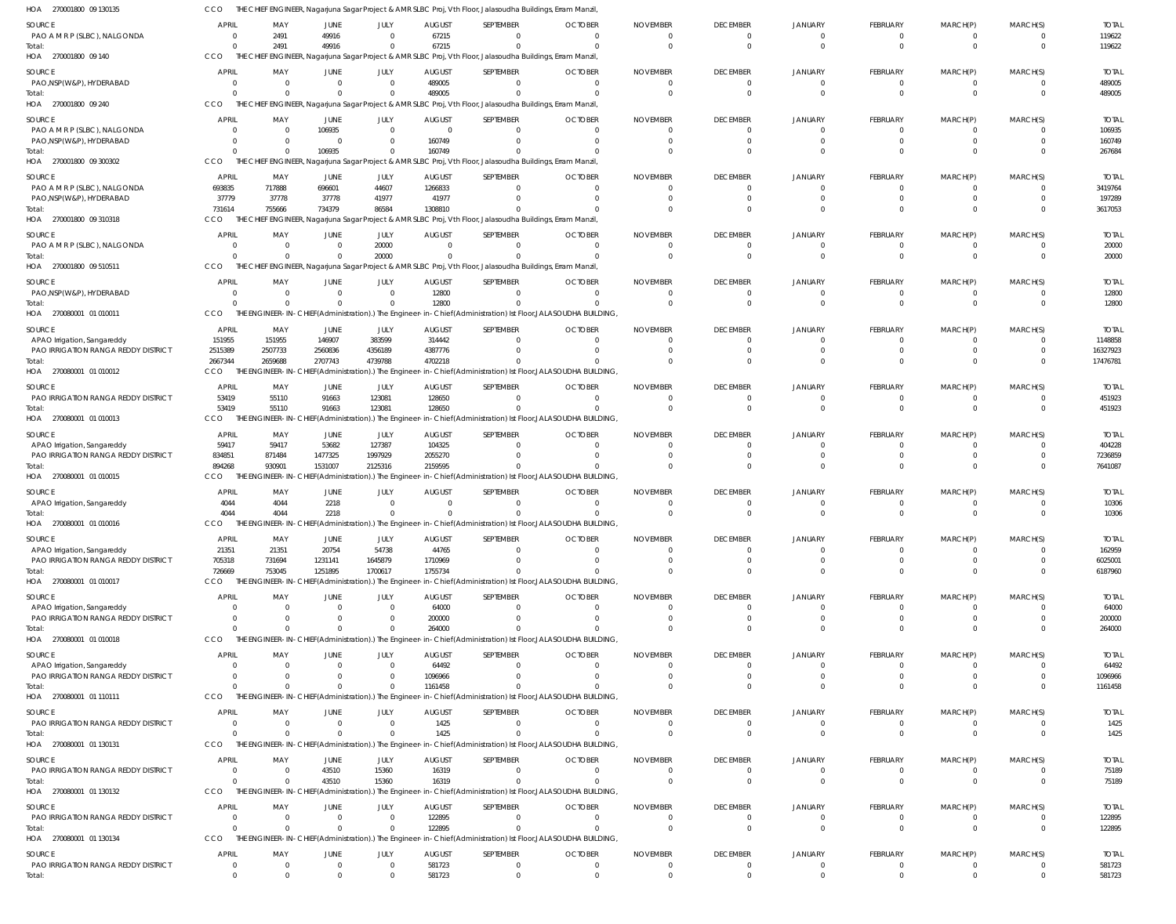| HOA 270001800 09 130135                                            | ссо                  |                                     |                                   |                            |                            | THE CHIEF ENGINEER, Nagarjuna Sagar Project & AMR SLBC Proj, Vth Floor, Jalasoudha Buildings, Erram Manzil,   |                     |                            |                             |                |                      |                |          |                   |
|--------------------------------------------------------------------|----------------------|-------------------------------------|-----------------------------------|----------------------------|----------------------------|---------------------------------------------------------------------------------------------------------------|---------------------|----------------------------|-----------------------------|----------------|----------------------|----------------|----------|-------------------|
| SOURCE                                                             | <b>APRIL</b>         | MAY                                 | JUNE                              | JULY                       | <b>AUGUST</b>              | SEPTEMBER                                                                                                     | <b>OCTOBER</b>      | <b>NOVEMBER</b>            | <b>DECEMBER</b>             | <b>JANUARY</b> | <b>FEBRUARY</b>      | MARCH(P)       | MARCH(S) | <b>TOTAL</b>      |
| PAO A M R P (SLBC), NALGONDA                                       | $\Omega$             | 2491                                | 49916                             | $\Omega$                   | 67215                      |                                                                                                               | $\Omega$            | $\overline{0}$             | $\Omega$                    |                | $\overline{0}$       | $\Omega$       |          | 119622            |
| Total:                                                             | $\Omega$             | 2491                                | 49916                             | $\overline{0}$             | 67215                      | $\Omega$                                                                                                      | $\Omega$            | $\Omega$                   | $\Omega$                    | $\Omega$       | $\Omega$             | $\Omega$       | $\Omega$ | 119622            |
| HOA 270001800 09 140                                               | CCO                  |                                     |                                   |                            |                            | THE CHIEF ENGINEER, Nagarjuna Sagar Project & AMR SLBC Proj, Vth Floor, Jalasoudha Buildings, Erram Manzil,   |                     |                            |                             |                |                      |                |          |                   |
| SOURCE                                                             | APRIL                | MAY                                 | JUNE                              | JULY                       | <b>AUGUST</b>              | SEPTEMBER                                                                                                     | <b>OCTOBER</b>      | <b>NOVEMBER</b>            | <b>DECEMBER</b>             | <b>JANUARY</b> | <b>FEBRUARY</b>      | MARCH(P)       | MARCH(S) | <b>TOTAL</b>      |
| PAO, NSP(W&P), HYDERABAD                                           | $\Omega$             | $\overline{0}$                      | $\overline{0}$                    | $\overline{0}$             | 489005                     |                                                                                                               | $\overline{0}$      | $\overline{0}$             | $\Omega$                    | $\Omega$       | 0                    | $\overline{0}$ | $\Omega$ | 489005            |
| Total:                                                             | $\cap$               | $\Omega$                            | $\Omega$                          | $\Omega$                   | 489005                     |                                                                                                               | - 0                 | $\Omega$                   | $\Omega$                    |                | $\Omega$             | $\Omega$       |          | 489005            |
| HOA 270001800 09 240                                               | CCO                  |                                     |                                   |                            |                            | THE CHIEF ENGINEER, Nagarjuna Sagar Project & AMR SLBC Proj, Vth Floor, Jalasoudha Buildings, Erram Manzil,   |                     |                            |                             |                |                      |                |          |                   |
| SOURCE                                                             | <b>APRIL</b>         | MAY                                 | JUNE                              | JULY                       | <b>AUGUST</b>              | SEPTEMBER                                                                                                     | <b>OCTOBER</b>      | <b>NOVEMBER</b>            | <b>DECEMBER</b>             | <b>JANUARY</b> | FEBRUARY             | MARCH(P)       | MARCH(S) | <b>TOTAL</b>      |
| PAO A M R P (SLBC), NALGONDA                                       | $\Omega$             | $\overline{0}$                      | 106935                            | $\overline{0}$             | $\overline{0}$             |                                                                                                               | $\Omega$            | $\Omega$                   |                             |                |                      |                |          | 106935            |
| PAO, NSP(W&P), HYDERABAD                                           |                      | $\overline{\mathbf{0}}$<br>$\Omega$ | $\overline{\mathbf{0}}$<br>106935 | $\overline{0}$<br>$\Omega$ | 160749<br>160749           |                                                                                                               | - 0                 | $\overline{0}$<br>$\Omega$ |                             |                |                      |                |          | 160749<br>267684  |
| Total:<br>HOA 270001800 09 300302                                  | CCO                  |                                     |                                   |                            |                            | THE CHIEF ENGINEER, Nagarjuna Sagar Project & AMR SLBC Proj, Vth Floor, Jalasoudha Buildings, Erram Manzil,   |                     |                            |                             |                |                      |                |          |                   |
|                                                                    |                      |                                     |                                   |                            |                            |                                                                                                               |                     |                            |                             |                |                      |                |          |                   |
| SOURCE                                                             | APRIL                | MAY                                 | JUNE                              | JULY                       | <b>AUGUST</b>              | SEPTEMBER                                                                                                     | <b>OCTOBER</b>      | <b>NOVEMBER</b>            | <b>DECEMBER</b><br>$\Omega$ | <b>JANUARY</b> | <b>FEBRUARY</b>      | MARCH(P)       | MARCH(S) | <b>TOTAI</b>      |
| PAO A M R P (SLBC), NALGONDA<br>PAO, NSP (W&P), HYDERABAD          | 693835<br>37779      | 717888<br>37778                     | 696601<br>37778                   | 44607<br>41977             | 1266833<br>41977           |                                                                                                               | 0<br>$\Omega$       | $\overline{0}$<br>$\Omega$ |                             |                | $\Omega$<br>$\Omega$ | 0              |          | 3419764<br>197289 |
| Total:                                                             | 731614               | 755666                              | 734379                            | 86584                      | 1308810                    |                                                                                                               |                     | $\Omega$                   | $\Omega$                    |                |                      |                | $\Omega$ | 3617053           |
| HOA 270001800 09 310318                                            | CCO                  |                                     |                                   |                            |                            | THE CHIEF ENGINEER, Nagarjuna Sagar Project & AMR SLBC Proj, Vth Floor, Jalasoudha Buildings, Erram Manzil,   |                     |                            |                             |                |                      |                |          |                   |
| SOURCE                                                             | APRIL                | MAY                                 | JUNE                              | JULY                       | <b>AUGUST</b>              | SEPTEMBER                                                                                                     | <b>OCTOBER</b>      | <b>NOVEMBER</b>            | <b>DECEMBER</b>             | <b>JANUARY</b> | <b>FEBRUARY</b>      | MARCH(P)       | MARCH(S) | <b>TOTAL</b>      |
| PAO A M R P (SLBC), NALGONDA                                       | $\Omega$             | $\overline{0}$                      | $\overline{\mathbf{0}}$           | 20000                      | $\overline{0}$             |                                                                                                               | - 0                 | $\overline{0}$             |                             |                | $\overline{0}$       | $\Omega$       |          | 20000             |
| Total:                                                             | $\cap$               | $\Omega$                            | $\overline{0}$                    | 20000                      | $\Omega$                   | $\Omega$                                                                                                      | $\Omega$            | $\Omega$                   | $\Omega$                    |                | $\Omega$             | $\Omega$       | $\Omega$ | 20000             |
| HOA 270001800 09 510511                                            | <b>CCO</b>           |                                     |                                   |                            |                            | THE CHIEF ENGINEER, Nagarjuna Sagar Project & AMR SLBC Proj, Vth Floor, Jalasoudha Buildings, Erram Manzil,   |                     |                            |                             |                |                      |                |          |                   |
| SOURCE                                                             | <b>APRIL</b>         | MAY                                 | JUNE                              | JULY                       | <b>AUGUST</b>              | SEPTEMBER                                                                                                     | <b>OCTOBER</b>      | <b>NOVEMBER</b>            | <b>DECEMBER</b>             | <b>JANUARY</b> | <b>FEBRUARY</b>      | MARCH(P)       | MARCH(S) | <b>TOTAL</b>      |
| PAO, NSP (W&P), HYDERABAD                                          | $\Omega$             | $\overline{0}$                      | $\overline{0}$                    | $\overline{0}$             | 12800                      |                                                                                                               | $\overline{0}$      | $\overline{0}$             | $\Omega$                    | $\Omega$       | $\Omega$             | $\overline{0}$ |          | 12800             |
| Total:                                                             | $\cap$               | $\Omega$                            | $\overline{0}$                    | $\Omega$                   | 12800                      |                                                                                                               | $\Omega$            | $\Omega$                   | $\Omega$                    |                | $\Omega$             | $\Omega$       | $\Omega$ | 12800             |
| HOA 270080001 01 010011                                            | CCO                  |                                     |                                   |                            |                            | THE ENGINEER-IN-CHIEF(Administration).) The Engineer-in-Chief(Administration) Ist Floor,JALASOUDHA BUILDING,  |                     |                            |                             |                |                      |                |          |                   |
| SOURCE                                                             | APRIL                | MAY                                 | JUNE                              | JULY                       | <b>AUGUST</b>              | SEPTEMBER                                                                                                     | <b>OCTOBER</b>      | <b>NOVEMBER</b>            | <b>DECEMBER</b>             | <b>JANUARY</b> | FEBRUARY             | MARCH(P)       | MARCH(S) | <b>TOTAL</b>      |
| APAO Irrigation, Sangareddy                                        | 151955               | 151955                              | 146907                            | 383599                     | 314442                     | $\Omega$                                                                                                      | $\Omega$            | $\Omega$                   |                             |                |                      |                |          | 1148858           |
| PAO IRRIGATION RANGA REDDY DISTRICT                                | 2515389              | 2507733                             | 2560836                           | 4356189                    | 4387776                    |                                                                                                               | $\Omega$            | $\Omega$                   |                             |                |                      |                |          | 16327923          |
| Total:                                                             | 2667344              | 2659688                             | 2707743                           | 4739788                    | 4702218                    |                                                                                                               | $\Omega$            | $\Omega$                   |                             |                | $\Omega$             |                |          | 17476781          |
| HOA 270080001 01 010012                                            | CCO                  |                                     |                                   |                            |                            | THE ENGINEER-IN-CHIEF(Administration).) The Engineer-in-Chief(Administration) Ist Floor,JALASOUDHA BUILDING,  |                     |                            |                             |                |                      |                |          |                   |
| SOURCE                                                             | APRIL                | MAY                                 | JUNE                              | JULY                       | <b>AUGUST</b>              | SEPTEMBER                                                                                                     | <b>OCTOBER</b>      | <b>NOVEMBER</b>            | <b>DECEMBER</b>             | <b>JANUARY</b> | FEBRUARY             | MARCH(P)       | MARCH(S) | <b>TOTAL</b>      |
| PAO IRRIGATION RANGA REDDY DISTRICT                                | 53419                | 55110                               | 91663                             | 123081                     | 128650                     |                                                                                                               | $\overline{0}$      | $\overline{0}$             | $\Omega$                    |                | 0                    | $\overline{0}$ | $\Omega$ | 451923            |
| Total:                                                             | 53419                | 55110                               | 91663                             | 123081                     | 128650                     |                                                                                                               | $\Omega$            | $\Omega$                   | $\Omega$                    | $\Omega$       | $\Omega$             | $\Omega$       | $\Omega$ | 451923            |
| HOA 270080001 01 010013                                            | CCO                  |                                     |                                   |                            |                            | THE ENGINEER-IN-CHIEF(Administration).) The Engineer-in-Chief(Administration) Ist Floor,JALASOUDHA BUILDING,  |                     |                            |                             |                |                      |                |          |                   |
| SOURCE                                                             | APRIL                | MAY                                 | JUNE                              | JULY                       | <b>AUGUST</b>              | SEPTEMBER                                                                                                     | <b>OCTOBER</b>      | <b>NOVEMBER</b>            | <b>DECEMBER</b>             | <b>JANUARY</b> | FEBRUARY             | MARCH(P)       | MARCH(S) | <b>TOTAL</b>      |
| APAO Irrigation, Sangareddy                                        | 59417                | 59417                               | 53682                             | 127387                     | 104325                     |                                                                                                               | $\Omega$            | $\Omega$                   |                             |                |                      |                |          | 404228            |
| PAO IRRIGATION RANGA REDDY DISTRICT                                | 834851               | 871484                              | 1477325                           | 1997929                    | 2055270                    |                                                                                                               | $\Omega$            |                            |                             |                |                      |                |          | 7236859           |
| Total:<br>HOA 270080001 01 010015                                  | 894268<br>CCO        | 930901                              | 1531007                           | 2125316                    | 2159595                    | THE ENGINEER-IN-CHIEF(Administration).) The Engineer-in-Chief(Administration) Ist Floor, JALASOUDHA BUILDING, | $\Omega$            | $\Omega$                   |                             |                |                      |                |          | 7641087           |
|                                                                    |                      |                                     |                                   |                            |                            |                                                                                                               |                     |                            |                             |                |                      |                |          |                   |
| SOURCE                                                             | APRIL                | MAY                                 | JUNE                              | JULY                       | <b>AUGUST</b>              | SEPTEMBER                                                                                                     | <b>OCTOBER</b>      | <b>NOVEMBER</b>            | <b>DECEMBER</b>             | <b>JANUARY</b> | <b>FEBRUARY</b>      | MARCH(P)       | MARCH(S) | <b>TOTAL</b>      |
| APAO Irrigation, Sangareddy                                        | 4044                 | 4044                                | 2218                              | $\overline{0}$             | $\overline{0}$<br>$\Omega$ |                                                                                                               | $\overline{0}$      | $\overline{0}$<br>$\Omega$ |                             |                | $\Omega$             |                |          | 10306             |
| HOA 270080001 01 010016                                            | 4044<br>CCO          | 4044                                | 2218                              | $\Omega$                   |                            | THE ENGINEER-IN-CHIEF(Administration).) The Engineer-in-Chief(Administration) Ist Floor, JALASOUDHA BUILDING  |                     |                            |                             |                |                      |                |          | 10306             |
|                                                                    |                      |                                     |                                   |                            |                            |                                                                                                               |                     |                            |                             |                |                      |                |          |                   |
| SOURCE                                                             | <b>APRIL</b>         | MAY                                 | JUNE                              | JULY<br>54738              | <b>AUGUST</b>              | SEPTEMBER                                                                                                     | <b>OCTOBER</b>      | <b>NOVEMBER</b>            | <b>DECEMBER</b>             | <b>JANUARY</b> | FEBRUARY             | MARCH(P)       | MARCH(S) | <b>TOTAL</b>      |
| APAO Irrigation, Sangareddy<br>PAO IRRIGATION RANGA REDDY DISTRICT | 21351<br>705318      | 21351<br>731694                     | 20754<br>1231141                  | 1645879                    | 44765<br>1710969           |                                                                                                               | $\Omega$<br>- 0     | $\Omega$<br>$\Omega$       |                             |                |                      |                |          | 162959<br>6025001 |
| Total:                                                             | 726669               | 753045                              | 1251895                           | 1700617                    | 1755734                    |                                                                                                               | $\Omega$            | $\Omega$                   |                             |                |                      |                |          | 6187960           |
| HOA 270080001 01 010017                                            | CCO                  |                                     |                                   |                            |                            | THE ENGINEER-IN-CHIEF(Administration).) The Engineer-in-Chief(Administration) Ist Floor,JALASOUDHA BUILDING,  |                     |                            |                             |                |                      |                |          |                   |
| SOURCE                                                             | APRIL                | MAY                                 | JUNE                              | JULY                       | <b>AUGUST</b>              | SEPTEMBER                                                                                                     | <b>OCTOBER</b>      | <b>NOVEMBER</b>            | <b>DECEMBER</b>             | <b>JANUARY</b> | <b>FEBRUARY</b>      | MARCH(P)       | MARCH(S) | <b>TOTAL</b>      |
| APAO Irrigation, Sangareddy                                        |                      | $\overline{0}$                      | $\overline{0}$                    | $\overline{0}$             | 64000                      |                                                                                                               | $\Omega$            | $\Omega$                   |                             |                |                      |                |          | 64000             |
| PAO IRRIGATION RANGA REDDY DISTRICT                                | $\Omega$             | $\overline{0}$                      | $\overline{0}$                    | $\Omega$                   | 200000                     |                                                                                                               | $\Omega$            | $\Omega$                   |                             |                |                      |                |          | 200000            |
| Total:                                                             | $\cap$               | $\Omega$                            | $\Omega$                          | $\Omega$                   | 264000                     |                                                                                                               | $\Omega$            | $\Omega$                   |                             |                |                      |                |          | 264000            |
| HOA 270080001 01 010018                                            | CCO                  |                                     |                                   |                            |                            | THE ENGINEER-IN-CHIEF(Administration).) The Engineer-in-Chief(Administration) Ist Floor,JALASOUDHA BUILDING,  |                     |                            |                             |                |                      |                |          |                   |
| SOURCE                                                             | <b>APRIL</b>         | MAY                                 | JUNE                              | JULY                       | <b>AUGUST</b>              | SEPTEMBER                                                                                                     | <b>OCTOBER</b>      | <b>NOVEMBER</b>            | <b>DECEMBER</b>             | <b>JANUARY</b> | <b>FEBRUARY</b>      | MARCH(P)       | MARCH(S) | <b>TOTAL</b>      |
| APAO Irrigation, Sangareddy                                        |                      | $\overline{\mathbf{0}}$             | $\overline{0}$                    | $\overline{0}$             | 64492                      |                                                                                                               | $\Omega$            | $\Omega$                   |                             |                |                      |                |          | 64492             |
| PAO IRRIGATION RANGA REDDY DISTRICT                                | $\Omega$             | $\Omega$                            | $\Omega$                          | $\Omega$                   | 1096966                    |                                                                                                               | $\Omega$            | $\Omega$                   |                             |                |                      |                |          | 1096966           |
| Total:                                                             | $\cap$               | $\Omega$                            | $\Omega$                          | $\Omega$                   | 1161458                    |                                                                                                               | $\Omega$            | $\Omega$                   |                             |                |                      |                |          | 1161458           |
| HOA 270080001 01 110111                                            | CCO                  |                                     |                                   |                            |                            | THE ENGINEER-IN-CHIEF(Administration).) The Engineer-in-Chief(Administration) Ist Floor, JALASOUDHA BUILDING  |                     |                            |                             |                |                      |                |          |                   |
| SOURCE                                                             | <b>APRIL</b>         | MAY                                 | JUNE                              | JULY                       | <b>AUGUST</b>              | SEPTEMBER                                                                                                     | <b>OCTOBER</b>      | <b>NOVEMBER</b>            | <b>DECEMBER</b>             | <b>JANUARY</b> | FEBRUARY             | MARCH(P)       | MARCH(S) | <b>TOTAL</b>      |
| PAO IRRIGATION RANGA REDDY DISTRICT                                | $\Omega$             | $\overline{0}$                      | $\overline{\mathbf{0}}$           | $\overline{0}$             | 1425                       |                                                                                                               | $\overline{0}$      | $\Omega$                   |                             |                |                      |                |          | 1425              |
| Total:                                                             | $\Omega$             | $\overline{0}$                      | $\overline{0}$                    | $\Omega$                   | 1425                       |                                                                                                               | $\overline{0}$      | $\overline{0}$             | $\Omega$                    | $\Omega$       | $\mathbf 0$          | $\Omega$       | $\Omega$ | 1425              |
| HOA 270080001 01 130131                                            | CCO                  |                                     |                                   |                            |                            | THE ENGINEER-IN-CHIEF(Administration).) The Engineer-in-Chief(Administration) Ist Floor,JALASOUDHA BUILDING,  |                     |                            |                             |                |                      |                |          |                   |
| SOURCE                                                             | <b>APRIL</b>         | MAY                                 | JUNE                              | JULY                       | <b>AUGUST</b>              | SEPTEMBER                                                                                                     | <b>OCTOBER</b>      | <b>NOVEMBER</b>            | <b>DECEMBER</b>             | <b>JANUARY</b> | <b>FEBRUARY</b>      | MARCH(P)       | MARCH(S) | <b>TOTAL</b>      |
| PAO IRRIGATION RANGA REDDY DISTRICT                                | $\Omega$             | $\overline{0}$                      | 43510                             | 15360                      | 16319                      | $\Omega$                                                                                                      | 0                   | 0                          |                             |                | 0                    |                |          | 75189             |
| Total:                                                             | $\cap$               | $\Omega$                            | 43510                             | 15360                      | 16319                      | $\Omega$                                                                                                      | $\Omega$            | $\Omega$                   | $\Omega$                    |                | $\Omega$             | $\Omega$       |          | 75189             |
| HOA 270080001 01 130132                                            | CCO                  |                                     |                                   |                            |                            | THE ENGINEER-IN-CHIEF(Administration).) The Engineer-in-Chief(Administration) Ist Floor,JALASOUDHA BUILDING,  |                     |                            |                             |                |                      |                |          |                   |
| SOURCE                                                             | APRIL                | MAY                                 | JUNE                              | JULY                       | <b>AUGUST</b>              | SEPTEMBER                                                                                                     | <b>OCTOBER</b>      | <b>NOVEMBER</b>            | <b>DECEMBER</b>             | JANUARY        | <b>FEBRUARY</b>      | MARCH(P)       | MARCH(S) | <b>TOTAL</b>      |
| PAO IRRIGATION RANGA REDDY DISTRICT                                | $\Omega$             | $\overline{0}$                      | $\overline{0}$                    | $\overline{0}$             | 122895                     |                                                                                                               | $\overline{0}$      | $\overline{0}$             | $\Omega$                    |                |                      | 0              |          | 122895            |
| Total:<br>HOA 270080001 01 130134                                  | $\Omega$<br>CCO      | $\overline{0}$                      | $\overline{0}$                    | $\Omega$                   | 122895                     | THE ENGINEER-IN-CHIEF(Administration).) The Engineer-in-Chief(Administration) Ist Floor,JALASOUDHA BUILDING,  | $\Omega$            | - 0                        | $\Omega$                    | $\Omega$       | $\Omega$             | $\overline{0}$ |          | 122895            |
|                                                                    |                      |                                     |                                   |                            |                            |                                                                                                               |                     |                            |                             |                |                      |                |          |                   |
| SOURCE                                                             | <b>APRIL</b>         | MAY                                 | JUNE                              | JULY                       | <b>AUGUST</b>              | SEPTEMBER                                                                                                     | <b>OCTOBER</b>      | <b>NOVEMBER</b>            | <b>DECEMBER</b>             | <b>JANUARY</b> | FEBRUARY             | MARCH(P)       | MARCH(S) | <b>TOTAL</b>      |
| PAO IRRIGATION RANGA REDDY DISTRICT                                | $\Omega$<br>$\Omega$ | $\overline{0}$<br>$\overline{0}$    | $\overline{0}$<br>$\overline{0}$  | $\overline{0}$             | 581723                     |                                                                                                               | 0<br>$\overline{0}$ | 0<br>$\overline{0}$        | $\Omega$<br>$\Omega$        | $\Omega$       | 0<br>$\mathbf 0$     | $\overline{0}$ | $\Omega$ | 581723            |
| Total:                                                             |                      |                                     |                                   | $\overline{0}$             | 581723                     | $\overline{0}$                                                                                                |                     |                            |                             |                |                      |                |          | 581723            |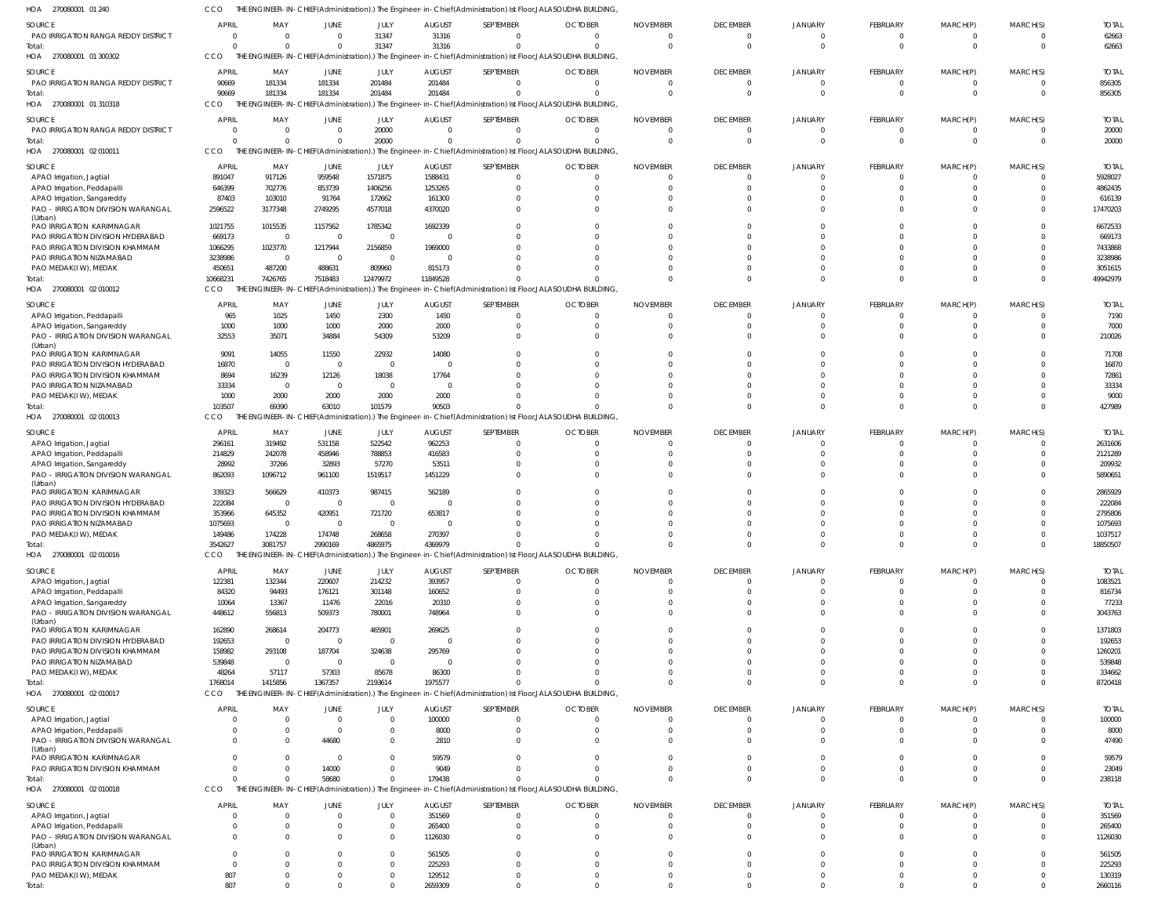| HOA 270080001 01 240                                                 |                          |                          |                                  |                         |                                   |                                                                                                               | THE ENGINEER-IN-CHIEF(Administration).) The Engineer-in-Chief(Administration) Ist Floor,JALASOUDHA BUILDING |                             |                        |                      |                              |                            |                      |                       |
|----------------------------------------------------------------------|--------------------------|--------------------------|----------------------------------|-------------------------|-----------------------------------|---------------------------------------------------------------------------------------------------------------|-------------------------------------------------------------------------------------------------------------|-----------------------------|------------------------|----------------------|------------------------------|----------------------------|----------------------|-----------------------|
| <b>SOURCE</b>                                                        | <b>APRIL</b>             | MAY                      | JUNE                             | JULY                    | <b>AUGUST</b>                     | SEPTEMBER                                                                                                     | <b>OCTOBER</b>                                                                                              | <b>NOVEMBER</b>             | <b>DECEMBER</b>        | <b>JANUARY</b>       | <b>FEBRUARY</b>              | MARCH(P)                   | MARCH(S)             | <b>TOTAL</b>          |
| PAO IRRIGATION RANGA REDDY DISTRICT                                  | $\Omega$                 | $\overline{0}$           | $\overline{0}$                   | 31347                   | 31316                             | $\Omega$                                                                                                      | $\overline{0}$                                                                                              | $\overline{0}$              | $\Omega$               | - 0                  | $\mathbf{0}$                 | 0                          | - 0                  | 62663                 |
| Total:                                                               |                          | $\Omega$                 | $\Omega$                         | 31347                   | 31316                             | $\Omega$                                                                                                      | $\Omega$                                                                                                    | $\Omega$                    | $\Omega$               | $\Omega$             | $\mathbf 0$                  | $\mathbf 0$                | $\Omega$             | 62663                 |
| 270080001 01 300302<br>HOA                                           | <b>CCO</b>               |                          |                                  |                         |                                   | THE ENGINEER-IN-CHIEF(Administration).) The Engineer-in-Chief(Administration) Ist Floor, JALASOUDHA BUILDING, |                                                                                                             |                             |                        |                      |                              |                            |                      |                       |
| SOURCE                                                               | <b>APRIL</b>             | MAY                      | JUNE                             | <b>JULY</b>             | <b>AUGUST</b>                     | SEPTEMBER                                                                                                     | <b>OCTOBER</b>                                                                                              | <b>NOVEMBER</b>             | <b>DECEMBER</b>        | <b>JANUARY</b>       | <b>FEBRUARY</b>              | MARCH(P)                   | MARCH(S)             | <b>TOTAL</b>          |
| PAO IRRIGATION RANGA REDDY DISTRICT                                  | 90669                    | 181334                   | 181334<br>181334                 | 201484<br>201484        | 201484<br>201484                  | $\Omega$                                                                                                      | $\overline{0}$<br>$\Omega$                                                                                  | $\overline{0}$<br>$\Omega$  | $\Omega$<br>$\Omega$   | $\Omega$<br>$\Omega$ | $\mathbf{0}$<br>$\mathbf{0}$ | $\mathbf 0$<br>$\mathbf 0$ | $\Omega$             | 856305                |
| Total:<br>HOA 270080001 01 310318                                    | 90669<br>CCO             | 181334                   |                                  |                         |                                   | THE ENGINEER-IN-CHIEF(Administration).) The Engineer-in-Chief(Administration) Ist Floor, JALASOUDHA BUILDING, |                                                                                                             |                             |                        |                      |                              |                            |                      | 856305                |
|                                                                      |                          |                          |                                  |                         |                                   |                                                                                                               |                                                                                                             |                             |                        |                      |                              |                            |                      |                       |
| SOURCE<br>PAO IRRIGATION RANGA REDDY DISTRICT                        | <b>APRIL</b><br>$\Omega$ | MAY<br>$\overline{0}$    | JUNE<br>$\overline{0}$           | JULY<br>20000           | <b>AUGUST</b><br>$\overline{0}$   | SEPTEMBER<br>$\Omega$                                                                                         | <b>OCTOBER</b><br>$\Omega$                                                                                  | <b>NOVEMBER</b><br>$\Omega$ | <b>DECEMBER</b><br>- 0 | <b>JANUARY</b>       | <b>FEBRUARY</b><br>0         | MARCH(P)<br>-0             | MARCH(S)             | <b>TOTAL</b><br>20000 |
| Total:                                                               | $\Omega$                 | $\Omega$                 | $\overline{0}$                   | 20000                   | $\Omega$                          | $\Omega$                                                                                                      | $\Omega$                                                                                                    | $\overline{0}$              | $\Omega$               | $\cap$               | $\mathbf{0}$                 | $\mathbf 0$                | $\Omega$             | 20000                 |
| HOA 270080001 02010011                                               | <b>CCO</b>               |                          |                                  |                         |                                   | THE ENGINEER-IN-CHIEF(Administration).) The Engineer-in-Chief(Administration) Ist Floor, JALASOUDHA BUILDING, |                                                                                                             |                             |                        |                      |                              |                            |                      |                       |
| SOURCE                                                               | <b>APRIL</b>             | MAY                      | JUNE                             | JULY                    | <b>AUGUST</b>                     | SEPTEMBER                                                                                                     | <b>OCTOBER</b>                                                                                              | <b>NOVEMBER</b>             | <b>DECEMBER</b>        | <b>JANUARY</b>       | <b>FEBRUARY</b>              | MARCH(P)                   | MARCH(S)             | <b>TOTAL</b>          |
| APAO Irrigation, Jagtial                                             | 891047                   | 917126                   | 959548                           | 1571875                 | 1588431                           |                                                                                                               | $\circ$                                                                                                     | $^{\circ}$                  | $\Omega$               |                      | 0                            | 0                          |                      | 5928027               |
| APAO Irrigation, Peddapalli                                          | 646399                   | 702776                   | 853739                           | 1406256                 | 1253265                           |                                                                                                               | $\Omega$                                                                                                    | $\Omega$                    | $\Omega$               |                      | $\Omega$                     | $\Omega$                   |                      | 4862435               |
| APAO Irrigation, Sangareddy                                          | 87403                    | 103010                   | 91764                            | 172662                  | 161300                            |                                                                                                               | $\Omega$                                                                                                    | $\Omega$                    |                        |                      | $\Omega$                     |                            |                      | 616139                |
| PAO - IRRIGATION DIVISION WARANGAL                                   | 2596522                  | 3177348                  | 2749295                          | 4577018                 | 4370020                           |                                                                                                               | $\Omega$                                                                                                    | $\Omega$                    | $\cap$                 | $\cap$               | $\Omega$                     | $\Omega$                   | $\Omega$             | 17470203              |
| (Urban)<br>PAO IRRIGATION KARIMNAGAR                                 | 1021755                  | 1015535                  | 1157562                          | 1785342                 | 1692339                           |                                                                                                               |                                                                                                             | $\Omega$                    |                        |                      | $\Omega$                     |                            |                      | 6672533               |
| PAO IRRIGATION DIVISION HYDERABAD                                    | 669173                   | $\overline{0}$           | $\overline{0}$                   | $\overline{0}$          | $\overline{\mathbf{0}}$           |                                                                                                               | $\Omega$                                                                                                    | $\Omega$                    | $\cap$                 |                      | $\Omega$                     |                            |                      | 669173                |
| PAO IRRIGATION DIVISION KHAMMAM                                      | 1066295                  | 1023770                  | 1217944                          | 2156859                 | 1969000                           |                                                                                                               |                                                                                                             | $\Omega$                    | $\cap$                 |                      | $\Omega$                     |                            |                      | 7433868               |
| PAO IRRIGATION NIZAMABAD                                             | 3238986                  | $\overline{0}$           | $\overline{0}$                   | $\overline{0}$          | - 0                               |                                                                                                               |                                                                                                             | $\Omega$                    | $\cap$                 |                      | $\Omega$                     |                            |                      | 3238986               |
| PAO MEDAK(IW), MEDAK                                                 | 450651                   | 487200                   | 488631                           | 809960                  | 815173                            |                                                                                                               | $\Omega$                                                                                                    | $\Omega$<br>$\Omega$        | $\cap$<br>$\Omega$     | $\Omega$             | $\Omega$<br>$\Omega$         | $\Omega$<br>$\Omega$       | $\Omega$<br>$\Omega$ | 3051615               |
| Total:<br>HOA 270080001 02 010012                                    | 10668231<br>CCO          | 7426765                  | 7518483                          | 12479972                | 11849528                          | THE ENGINEER-IN-CHIEF(Administration).) The Engineer-in-Chief(Administration) Ist Floor,JALASOUDHA BUILDING,  |                                                                                                             |                             |                        |                      |                              |                            |                      | 49942979              |
|                                                                      |                          |                          |                                  |                         |                                   |                                                                                                               |                                                                                                             |                             |                        |                      |                              |                            |                      |                       |
| SOURCE                                                               | <b>APRIL</b>             | MAY                      | JUNE                             | JULY                    | <b>AUGUST</b>                     | SEPTEMBER                                                                                                     | <b>OCTOBER</b>                                                                                              | <b>NOVEMBER</b>             | <b>DECEMBER</b>        | JANUARY              | <b>FEBRUARY</b>              | MARCH(P)                   | MARCH(S)             | <b>TOTAL</b>          |
| APAO Irrigation, Peddapalli<br>APAO Irrigation, Sangareddy           | 965<br>1000              | 1025<br>1000             | 1450<br>1000                     | 2300<br>2000            | 1450<br>2000                      | $\Omega$<br>$\Omega$                                                                                          | $\circ$<br>$\Omega$                                                                                         | -0<br>$\Omega$              | $\Omega$<br>$\Omega$   |                      | 0<br>$\Omega$                | $\Omega$<br>$\Omega$       | $\Omega$<br>$\Omega$ | 7190<br>7000          |
| PAO - IRRIGATION DIVISION WARANGAL                                   | 32553                    | 35071                    | 34884                            | 54309                   | 53209                             | $\Box$                                                                                                        | $\Omega$                                                                                                    | $\Omega$                    | $\Omega$               | $\cap$               | $\Omega$                     | $\Omega$                   | $\Omega$             | 210026                |
| (Urban)                                                              |                          |                          |                                  |                         |                                   |                                                                                                               |                                                                                                             |                             |                        |                      |                              |                            |                      |                       |
| PAO IRRIGATION KARIMNAGAR                                            | 9091                     | 14055                    | 11550                            | 22932<br>$\overline{0}$ | 14080                             |                                                                                                               |                                                                                                             | $\Omega$<br>$\Omega$        |                        |                      | n                            |                            |                      | 71708                 |
| PAO IRRIGATION DIVISION HYDERABAD<br>PAO IRRIGATION DIVISION KHAMMAM | 16870<br>8694            | $\overline{0}$<br>16239  | $\overline{0}$<br>12126          | 18038                   | $\overline{\mathbf{0}}$<br>17764  |                                                                                                               |                                                                                                             | $\cap$                      |                        |                      |                              |                            |                      | 16870<br>72861        |
| PAO IRRIGATION NIZAMABAD                                             | 33334                    | $\overline{0}$           | $\overline{\mathbf{0}}$          | $\overline{0}$          | $\overline{\mathbf{0}}$           |                                                                                                               |                                                                                                             | $\cap$                      |                        |                      |                              |                            |                      | 33334                 |
| PAO MEDAK(IW), MEDAK                                                 | 1000                     | 2000                     | 2000                             | 2000                    | 2000                              |                                                                                                               |                                                                                                             | $\Omega$                    | $\cap$                 |                      | $\Omega$                     | $\Omega$                   |                      | 9000                  |
| Total:                                                               | 103507                   | 69390                    | 63010                            | 101579                  | 90503                             |                                                                                                               |                                                                                                             | $\Omega$                    | $\Omega$               | $\Omega$             | $\Omega$                     | $\Omega$                   | $\Omega$             | 427989                |
| HOA 270080001 02 010013                                              | CCO                      |                          |                                  |                         |                                   | THE ENGINEER-IN-CHIEF(Administration).) The Engineer-in-Chief(Administration) Ist Floor, JALASOUDHA BUILDING, |                                                                                                             |                             |                        |                      |                              |                            |                      |                       |
| SOURCE                                                               | <b>APRIL</b>             | MAY                      | JUNE                             | JULY                    | <b>AUGUST</b>                     | SEPTEMBER                                                                                                     | <b>OCTOBER</b>                                                                                              | <b>NOVEMBER</b>             | <b>DECEMBER</b>        | <b>JANUARY</b>       | <b>FEBRUARY</b>              | MARCH(P)                   | MARCH(S)             | <b>TOTAL</b>          |
| APAO Irrigation, Jagtial                                             | 296161                   | 319492                   | 531158                           | 522542                  | 962253                            |                                                                                                               | $\Omega$                                                                                                    | $\Omega$                    | $\Omega$               |                      | 0                            | $\Omega$                   |                      | 2631606               |
| APAO Irrigation, Peddapalli                                          | 214829                   | 242078                   | 458946                           | 788853                  | 416583                            |                                                                                                               | $\Omega$                                                                                                    | $\Omega$                    | $\Omega$               |                      | $\Omega$                     |                            |                      | 2121289               |
| APAO Irrigation, Sangareddy<br>PAO - IRRIGATION DIVISION WARANGAL    | 28992<br>862093          | 37266<br>1096712         | 32893<br>961100                  | 57270<br>1519517        | 53511<br>1451229                  |                                                                                                               | $\Omega$<br>$\Omega$                                                                                        | $\Omega$<br>$\Omega$        | - 0<br>$\Omega$        | $\cap$               | $\Omega$<br>$\Omega$         | $\Omega$                   |                      | 209932<br>5890651     |
| (Urban)                                                              |                          |                          |                                  |                         |                                   |                                                                                                               |                                                                                                             |                             |                        |                      |                              |                            |                      |                       |
| PAO IRRIGATION KARIMNAGAR                                            | 339323                   | 566629                   | 410373                           | 987415                  | 562189                            |                                                                                                               |                                                                                                             | $\Omega$                    |                        |                      | $\Omega$                     |                            |                      | 2865929               |
| PAO IRRIGATION DIVISION HYDERABAD                                    | 222084                   | $\overline{0}$           | $\overline{0}$<br>420951         | $\overline{0}$          | $\overline{\mathbf{0}}$           |                                                                                                               | $\Omega$<br>$\cap$                                                                                          | $\Omega$<br>$\Omega$        | - 0<br>$\cap$          |                      | $\Omega$<br>$\Omega$         |                            |                      | 222084                |
| PAO IRRIGATION DIVISION KHAMMAM<br>PAO IRRIGATION NIZAMABAD          | 353966<br>1075693        | 645352<br>$\overline{0}$ | $\overline{0}$                   | 721720<br>$\circ$       | 653817<br>$\overline{\mathbf{0}}$ |                                                                                                               | $\cap$                                                                                                      | $\Omega$                    | $\cap$                 |                      | $\Omega$                     |                            | $\Omega$             | 2795806<br>1075693    |
| PAO MEDAK(IW), MEDAK                                                 | 149486                   | 174228                   | 174748                           | 268658                  | 270397                            |                                                                                                               | $\Omega$                                                                                                    | $\Omega$                    |                        |                      | 0                            |                            |                      | 1037517               |
| Total:                                                               | 3542627                  | 3081757                  | 2990169                          | 4865975                 | 4369979                           | $\Omega$                                                                                                      | $\Omega$                                                                                                    | $\Omega$                    | $\Omega$               | $\Omega$             | $\mathbf 0$                  | $\mathbf 0$                | $\Omega$             | 18850507              |
| HOA 270080001 02 010016                                              | CCO                      |                          |                                  |                         |                                   | THE ENGINEER-IN-CHIEF(Administration).) The Engineer-in-Chief(Administration) Ist Floor,JALASOUDHA BUILDING,  |                                                                                                             |                             |                        |                      |                              |                            |                      |                       |
| SOURCE                                                               | <b>APRIL</b>             | MAY                      | JUNE                             | JULY                    | <b>AUGUST</b>                     | SEPTEMBER                                                                                                     | <b>OCTOBER</b>                                                                                              | <b>NOVEMBER</b>             | <b>DECEMBER</b>        | <b>JANUARY</b>       | <b>FEBRUARY</b>              | MARCH(P)                   | MARCH(S)             | <b>TOTAL</b>          |
| APAO Irrigation, Jagtial                                             | 122381                   | 132344                   | 220607                           | 214232                  | 393957                            | $\Omega$                                                                                                      | $\overline{0}$                                                                                              | $\overline{0}$              | $\Omega$               | $\cap$               | $\mathbf{0}$                 | 0                          | $\Omega$             | 1083521               |
| APAO Irrigation, Peddapalli                                          | 84320                    | 94493                    | 176121                           | 301148                  | 160652                            | $\Omega$                                                                                                      | $\circ$                                                                                                     | $^{\circ}$                  | $\Omega$               | $\cap$               | $\Omega$                     | $\Omega$                   | $\Omega$             | 816734                |
| APAO Irrigation, Sangareddy                                          | 10064                    | 13367                    | 11476                            | 22016                   | 20310                             |                                                                                                               | $\circ$                                                                                                     | $^{\circ}$                  | $\Omega$               | $\Omega$             | $\Omega$                     | $\Omega$                   |                      | 77233                 |
| PAO - IRRIGATION DIVISION WARANGAL<br>(Urban)                        | 448612                   | 556813                   | 509373                           | 780001                  | 748964                            | $\Omega$                                                                                                      | $\Omega$                                                                                                    | $\Omega$                    | $\Omega$               | $\Omega$             | $\Omega$                     | $\Omega$                   | $\Omega$             | 3043763               |
| PAO IRRIGATION KARIMNAGAR                                            | 162890                   | 268614                   | 204773                           | 465901                  | 269625                            |                                                                                                               | $\Omega$                                                                                                    | $\Omega$                    |                        |                      |                              |                            |                      | 1371803               |
| PAO IRRIGATION DIVISION HYDERABAD                                    | 192653                   | $\overline{0}$           | $\overline{0}$                   | $\overline{0}$          | $\Omega$                          |                                                                                                               | $\Omega$                                                                                                    | $\Omega$                    | $\Omega$               | $\Omega$             |                              |                            | $\Omega$             | 192653                |
| PAO IRRIGATION DIVISION KHAMMAM                                      | 158982                   | 293108                   | 187704                           | 324638                  | 295769                            |                                                                                                               | $\Omega$                                                                                                    | $\Omega$                    |                        | $\Omega$             |                              |                            |                      | 1260201               |
| PAO IRRIGATION NIZAMABAD<br>PAO MEDAK(IW), MEDAK                     | 539848<br>48264          | $\overline{0}$<br>57117  | $\overline{\mathbf{0}}$<br>57303 | $\overline{0}$<br>85678 | $\Omega$<br>86300                 |                                                                                                               | $\Omega$                                                                                                    | $\Omega$<br>$\Omega$        | $\Omega$               | $\Omega$             | $\Omega$                     | $\Omega$                   |                      | 539848<br>334662      |
| Total:                                                               | 1768014                  | 1415856                  | 1367357                          | 2193614                 | 1975577                           |                                                                                                               | $\Omega$                                                                                                    | $\Omega$                    | $\Omega$               | $\Omega$             | $\Omega$                     | $\Omega$                   | $\Omega$             | 8720418               |
| HOA 270080001 02 010017                                              | CCO                      |                          |                                  |                         |                                   | THE ENGINEER-IN-CHIEF(Administration).) The Engineer-in-Chief(Administration) Ist Floor, JALASOUDHA BUILDING, |                                                                                                             |                             |                        |                      |                              |                            |                      |                       |
| SOURCE                                                               | <b>APRIL</b>             | MAY                      | JUNE                             | JULY                    | <b>AUGUST</b>                     | SEPTEMBER                                                                                                     | <b>OCTOBER</b>                                                                                              | <b>NOVEMBER</b>             | <b>DECEMBER</b>        | <b>JANUARY</b>       | <b>FEBRUARY</b>              | MARCH(P)                   | MARCH(S)             | <b>TOTAL</b>          |
| APAO Irrigation, Jagtial                                             |                          | $\overline{0}$           | $\overline{0}$                   | $\overline{0}$          | 100000                            | $\mathbf{0}$                                                                                                  | $\overline{0}$                                                                                              | $\overline{0}$              | $\Omega$               | $\Omega$             | $\mathbf{0}$                 | $\mathbf 0$                | $\Omega$             | 100000                |
| APAO Irrigation, Peddapalli                                          |                          | $\overline{0}$           | $\overline{\mathbf{0}}$          | $\overline{0}$          | 8000                              |                                                                                                               | $\overline{0}$                                                                                              | $\overline{0}$              | $\Omega$               | $\Omega$             | $\mathbf{0}$                 | $\mathbf 0$                | $\Omega$             | 8000                  |
| PAO - IRRIGATION DIVISION WARANGAL                                   |                          | $\Omega$                 | 44680                            | $\overline{0}$          | 2810                              | $\Omega$                                                                                                      | $\Omega$                                                                                                    | $\overline{0}$              | $\Omega$               | $\Omega$             | $\mathbf{0}$                 | $\Omega$                   | $\Omega$             | 47490                 |
| (Urban)<br>PAO IRRIGATION KARIMNAGAR                                 |                          | $\overline{0}$           | $\overline{\mathbf{0}}$          | $\overline{0}$          | 59579                             |                                                                                                               | $\overline{0}$                                                                                              | $\overline{0}$              | $\Omega$               | $\Omega$             | $\mathbf{0}$                 | $\mathbf 0$                | $\Omega$             | 59579                 |
| PAO IRRIGATION DIVISION KHAMMAM                                      | $\cap$                   | $\Omega$                 | 14000                            | $\Omega$                | 9049                              |                                                                                                               | $\Omega$                                                                                                    | $\overline{0}$              | $\Omega$               | $\Omega$             | $\mathbf{0}$                 | $\mathbf 0$                | $\Omega$             | 23049                 |
| Total:                                                               | $\cap$                   | $\Omega$                 | 58680                            | $\Omega$                | 179438                            |                                                                                                               | $\Omega$                                                                                                    | $\Omega$                    | $\Omega$               | $\Omega$             | $\Omega$                     | $\mathbf 0$                | $\Omega$             | 238118                |
| HOA 270080001 02 010018                                              | <b>CCO</b>               |                          |                                  |                         |                                   | THE ENGINEER-IN-CHIEF(Administration).) The Engineer-in-Chief(Administration) Ist Floor, JALASOUDHA BUILDING, |                                                                                                             |                             |                        |                      |                              |                            |                      |                       |
| SOURCE                                                               | <b>APRIL</b>             | MAY                      | JUNE                             | JULY                    | <b>AUGUST</b>                     | SEPTEMBER                                                                                                     | <b>OCTOBER</b>                                                                                              | <b>NOVEMBER</b>             | <b>DECEMBER</b>        | <b>JANUARY</b>       | <b>FEBRUARY</b>              | MARCH(P)                   | MARCH(S)             | <b>TOTAL</b>          |
| APAO Irrigation, Jagtial                                             |                          | $\overline{0}$           | $\overline{0}$                   | $\overline{0}$          | 351569                            | $\Omega$                                                                                                      | $\overline{0}$                                                                                              | $\Omega$                    | $\Omega$               | $\Omega$             | $\Omega$                     | 0                          | $\Omega$             | 351569                |
| APAO Irrigation, Peddapalli                                          |                          | $\overline{0}$           | $\mathbf 0$                      | $\overline{0}$          | 265400                            | $\Omega$                                                                                                      | $\overline{0}$                                                                                              | $^{\circ}$                  | $\Omega$               | $\Omega$             | $\Omega$                     | 0                          | $\Omega$             | 265400                |
| PAO - IRRIGATION DIVISION WARANGAL<br>(Urban)                        |                          | $\Omega$                 | $\Omega$                         | $\overline{0}$          | 1126030                           | $\Omega$                                                                                                      | $\Omega$                                                                                                    | $\Omega$                    | $\Omega$               | $\Omega$             | $\Omega$                     | $\Omega$                   | $\Omega$             | 1126030               |
| PAO IRRIGATION KARIMNAGAR                                            |                          | $\Omega$                 | $\Omega$                         | $\overline{0}$          | 561505                            |                                                                                                               | $\Omega$                                                                                                    | $^{\circ}$                  | $\Omega$               |                      | $\Omega$                     |                            |                      | 561505                |
| PAO IRRIGATION DIVISION KHAMMAM                                      |                          | $\Omega$                 | $\Omega$                         | $\overline{0}$          | 225293                            | $\Omega$                                                                                                      | $\Omega$                                                                                                    | $\Omega$                    | $\Omega$               | $\Omega$             | $\Omega$                     | n                          | $\Omega$             | 225293                |
| PAO MEDAK(IW), MEDAK                                                 | 807                      | $\overline{0}$           | 0                                | $\mathbf 0$             | 129512                            | $\Omega$                                                                                                      | $\circ$                                                                                                     | $\overline{0}$              | $\Omega$               | $\Omega$             | $\mathbf 0$                  | 0                          | $\Omega$             | 130319                |
| Total:                                                               | 807                      | $\Omega$                 | $\Omega$                         | $\Omega$                | 2659309                           | $\Omega$                                                                                                      | $\Omega$                                                                                                    | $\Omega$                    | $\Omega$               | $\Omega$             | $\Omega$                     | $\Omega$                   | $\Omega$             | 2660116               |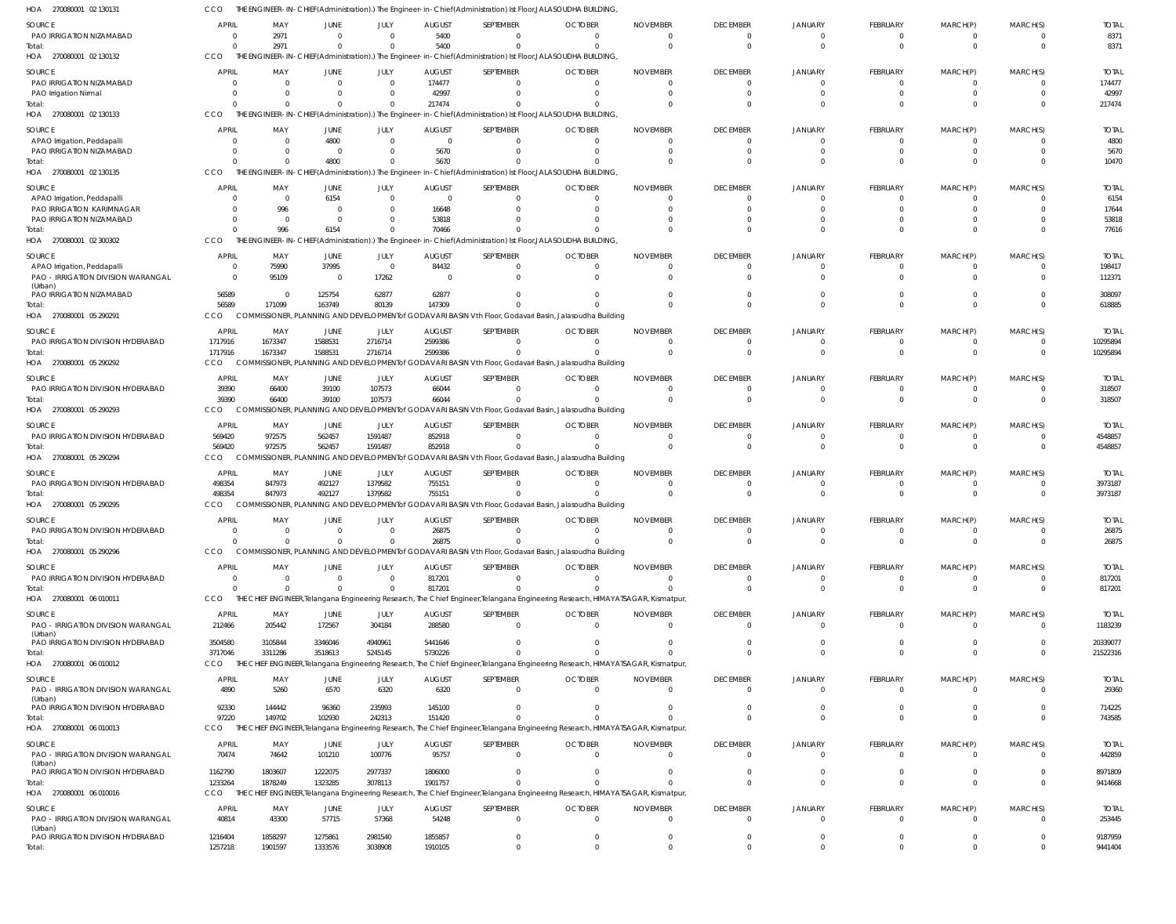| HOA<br>270080001 02 130131                         |                          |                         |                          |                           |                                 |                       | ,THE ENGINEER-IN-CHIEF(Administration).) The Engineer-in-Chief(Administration) Ist Floor,JALASOUDHA BUILDING تا           |                                                                                                                                             |                                   |                                  |                         |                               |                            |                         |
|----------------------------------------------------|--------------------------|-------------------------|--------------------------|---------------------------|---------------------------------|-----------------------|---------------------------------------------------------------------------------------------------------------------------|---------------------------------------------------------------------------------------------------------------------------------------------|-----------------------------------|----------------------------------|-------------------------|-------------------------------|----------------------------|-------------------------|
| <b>SOURCE</b>                                      | <b>APRIL</b>             | MAY                     | <b>JUNE</b>              | JULY                      | <b>AUGUST</b>                   | SEPTEMBER             | <b>OCTOBER</b>                                                                                                            | <b>NOVEMBER</b>                                                                                                                             | <b>DECEMBER</b>                   | <b>JANUARY</b>                   | FEBRUARY                | MARCH(P)                      | MARCH(S)                   | <b>TOTAL</b>            |
| PAO IRRIGATION NIZAMABAD<br>Total:                 |                          | 2971<br>2971            | $\mathbf{0}$<br>$\Omega$ | $^{\circ}$<br>$\mathbf 0$ | 5400<br>5400                    | $\Omega$              | $\Omega$<br>$\Omega$                                                                                                      | $\Omega$<br>$\Omega$                                                                                                                        | $\overline{0}$<br>$\overline{0}$  | $\Omega$<br>$\Omega$             | - 0<br>$\mathbf 0$      | $\overline{0}$<br>$\mathbf 0$ | $\Omega$<br>$\Omega$       | 8371<br>8371            |
| HOA 270080001 02 130132                            | CCO                      |                         |                          |                           |                                 |                       | THE ENGINEER-IN-CHIEF(Administration).) The Engineer-in-Chief(Administration) Ist Floor,JALASOUDHA BUILDING,              |                                                                                                                                             |                                   |                                  |                         |                               |                            |                         |
| SOURCE                                             | <b>APRI</b>              | MAY                     | <b>JUNE</b>              | JULY                      | <b>AUGUST</b>                   | SEPTEMBER             | <b>OCTOBER</b>                                                                                                            | <b>NOVEMBER</b>                                                                                                                             | <b>DECEMBER</b>                   | <b>JANUARY</b>                   | <b>FEBRUARY</b>         | MARCH(P)                      | MARCH(S)                   | <b>TOTAL</b>            |
| PAO IRRIGATION NIZAMABAD                           |                          | $\Omega$                | $\mathbf{0}$             | $\overline{0}$            | 174477                          | $\Omega$              | $\Omega$                                                                                                                  | $\Omega$                                                                                                                                    | $\overline{0}$                    | $\overline{0}$                   | $\Omega$                | $\mathbf{0}$                  | $\Omega$                   | 174477                  |
| PAO Irrigation Nirmal                              |                          | $\Omega$                | $\mathbf{0}$             | $\mathbf 0$               | 42997                           | $\Omega$              | $\Omega$                                                                                                                  | <sup>0</sup>                                                                                                                                | $\circ$                           | $\Omega$                         | $\Omega$                | $\mathbf 0$                   | $\Omega$<br>$\Omega$       | 42997                   |
| Total:<br>HOA 270080001 02 130133                  | CCO                      | $\Omega$                | $\Omega$                 | $\mathbf{0}$              | 217474                          | $\Omega$              | $\Omega$<br>THE ENGINEER-IN-CHIEF(Administration).) The Engineer-in-Chief(Administration) Ist Floor,JALASOUDHA BUILDING,  | <sup>0</sup>                                                                                                                                | $\Omega$                          | $\Omega$                         | $\Omega$                | $\mathbf 0$                   |                            | 217474                  |
| SOURCE                                             | <b>APRI</b>              | MAY                     | <b>JUNE</b>              | JULY                      | <b>AUGUST</b>                   | SEPTEMBER             | <b>OCTOBER</b>                                                                                                            | <b>NOVEMBER</b>                                                                                                                             | <b>DECEMBER</b>                   | <b>JANUARY</b>                   | FEBRUARY                | MARCH(P)                      | MARCH(S)                   | <b>TOTAL</b>            |
| APAO Irrigation, Peddapalli                        |                          | $\Omega$                | 4800                     | $\mathbf 0$               | $\mathbf 0$                     |                       | $\Omega$                                                                                                                  | $\Omega$                                                                                                                                    | $\Omega$                          | $\Omega$                         |                         | - 0                           | $\Omega$                   | 4800                    |
| PAO IRRIGATION NIZAMABAD                           |                          | $\Omega$                | $\mathbf{0}$             | $\mathbf 0$               | 5670                            |                       | $\Omega$                                                                                                                  | $\Omega$                                                                                                                                    | $\overline{0}$                    | $\Omega$                         | $\Omega$                | $\overline{0}$                | $\Omega$                   | 5670                    |
| Total:<br>HOA 270080001 02 130135                  | CCO                      | $\Omega$                | 4800                     | $\Omega$                  | 5670                            |                       | THE ENGINEER-IN-CHIEF(Administration).) The Engineer-in-Chief(Administration) Ist Floor, JALASOUDHA BUILDING,             |                                                                                                                                             | $\Omega$                          | $\Omega$                         | $\Omega$                | $\Omega$                      | $\Omega$                   | 10470                   |
|                                                    |                          |                         |                          |                           |                                 |                       |                                                                                                                           |                                                                                                                                             |                                   |                                  |                         |                               |                            |                         |
| SOURCE<br>APAO Irrigation, Peddapalli              | <b>APRI</b>              | MAY<br>$\overline{0}$   | <b>JUNE</b><br>6154      | JULY<br>$\overline{0}$    | <b>AUGUST</b><br>$\overline{0}$ | SEPTEMBER             | <b>OCTOBER</b><br>0                                                                                                       | <b>NOVEMBER</b><br>0                                                                                                                        | <b>DECEMBER</b><br>$\overline{0}$ | <b>JANUARY</b><br>$\Omega$       | FEBRUARY                | MARCH(P)<br>$^{\circ}$        | MARCH(S)                   | <b>TOTAL</b><br>6154    |
| PAO IRRIGATION KARIMNAGAR                          |                          | 996                     | $\mathbf{0}$             | $\mathbf 0$               | 16648                           |                       |                                                                                                                           | $\Omega$                                                                                                                                    | $\Omega$                          | $\Omega$                         | $\Omega$                | $\Omega$                      | $\Omega$                   | 17644                   |
| PAO IRRIGATION NIZAMABAD                           |                          | $\Omega$                | $\mathbf{0}$             | $\mathbf 0$               | 53818                           |                       |                                                                                                                           |                                                                                                                                             | $\Omega$                          | $\Omega$                         | $\Omega$                | $\Omega$                      |                            | 53818                   |
| Total:<br>HOA 270080001 02 300302                  | CCO                      | 996                     | 6154                     | $\mathbf{0}$              | 70466                           |                       | $\Omega$<br>THE ENGINEER-IN-CHIEF(Administration).) The Engineer-in-Chief(Administration) Ist Floor, JALASOUDHA BUILDING, |                                                                                                                                             | $\Omega$                          | $\Omega$                         | $\Omega$                | $\Omega$                      | $\Omega$                   | 77616                   |
|                                                    |                          |                         |                          |                           |                                 |                       |                                                                                                                           |                                                                                                                                             |                                   |                                  |                         |                               |                            |                         |
| SOURCE<br>APAO Irrigation, Peddapalli              | <b>APRIL</b><br>$\Omega$ | MAY<br>75990            | JUNE<br>37995            | JULY<br>$\mathbf{0}$      | <b>AUGUST</b><br>84432          | SEPTEMBER             | <b>OCTOBER</b><br>$\Omega$                                                                                                | <b>NOVEMBER</b><br>$\Omega$                                                                                                                 | <b>DECEMBER</b><br>$\Omega$       | <b>JANUARY</b><br>$\Omega$       | FEBRUARY<br>-0          | MARCH(P)<br>$^{\circ}$        | MARCH(S)<br>$\Omega$       | <b>TOTAL</b><br>198417  |
| PAO - IRRIGATION DIVISION WARANGAL                 | $\Omega$                 | 95109                   | $\overline{0}$           | 17262                     |                                 | $\Omega$              | $\Omega$                                                                                                                  | $\Omega$                                                                                                                                    | $\Omega$                          | $\Omega$                         | $\Omega$                | $\Omega$                      | $\Omega$                   | 112371                  |
| (Urban)<br>PAO IRRIGATION NIZAMABAD                | 56589                    | $\overline{\mathbf{0}}$ | 125754                   | 62877                     | 62877                           |                       |                                                                                                                           |                                                                                                                                             | $\Omega$                          | $\Omega$                         |                         | $^{\circ}$                    | $\Omega$                   | 308097                  |
| Total:                                             | 56589                    | 171099                  | 163749                   | 80139                     | 147309                          |                       |                                                                                                                           | $\Omega$                                                                                                                                    | $\Omega$                          | $\Omega$                         | $\Omega$                | $\Omega$                      | $\Omega$                   | 618885                  |
| 270080001 05 290291<br>HOA                         | CCO                      |                         |                          |                           |                                 |                       | COMMISSIONER, PLANNING AND DEVELOPMENT of GODAVARI BASIN Vth Floor, Godavari Basin, Jalasoudha Building                   |                                                                                                                                             |                                   |                                  |                         |                               |                            |                         |
| SOURCE                                             | <b>APRIL</b>             | MAY                     | JUNE                     | JULY                      | <b>AUGUST</b>                   | SEPTEMBER             | <b>OCTOBER</b>                                                                                                            | <b>NOVEMBER</b>                                                                                                                             | <b>DECEMBER</b>                   | <b>JANUARY</b>                   | FEBRUARY                | MARCH(P)                      | MARCH(S)                   | <b>TOTAL</b>            |
| PAO IRRIGATION DIVISION HYDERABAD                  | 1717916<br>1717916       | 1673347<br>1673347      | 1588531<br>1588531       | 2716714<br>2716714        | 2599386<br>2599386              | $\Omega$<br>$\Omega$  | $\overline{0}$<br>$\Omega$                                                                                                | $\Omega$<br>$\Omega$                                                                                                                        | $\overline{0}$<br>$\Omega$        | $\overline{0}$<br>$\Omega$       | $\mathbf 0$<br>$\Omega$ | $\mathbf 0$<br>$\overline{0}$ | $\overline{0}$<br>$\Omega$ | 10295894<br>10295894    |
| Total:<br>HOA 270080001 05 290292                  | CCO                      |                         |                          |                           |                                 |                       | COMMISSIONER, PLANNING AND DEVELOPMENT of GODAVARI BASIN Vth Floor, Godavari Basin, Jalasoudha Building                   |                                                                                                                                             |                                   |                                  |                         |                               |                            |                         |
| SOURCE                                             | <b>APRI</b>              | MAY                     | JUNE                     | JULY                      | <b>AUGUST</b>                   | SEPTEMBER             | <b>OCTOBER</b>                                                                                                            | <b>NOVEMBER</b>                                                                                                                             | <b>DECEMBER</b>                   | <b>JANUARY</b>                   | FEBRUARY                | MARCH(P)                      | MARCH(S)                   | <b>TOTAL</b>            |
| PAO IRRIGATION DIVISION HYDERABAD                  | 39390                    | 66400                   | 39100                    | 107573                    | 66044                           | $\Omega$              | $\Omega$                                                                                                                  | $\Omega$                                                                                                                                    | $\overline{0}$                    | $\Omega$                         | -0                      | $^{\circ}$                    | $\Omega$                   | 318507                  |
| Total:                                             | 39390                    | 66400                   | 39100                    | 107573                    | 66044                           |                       |                                                                                                                           | $\Omega$                                                                                                                                    | $\Omega$                          | $\Omega$                         | $\Omega$                | $\mathbf 0$                   | $\Omega$                   | 318507                  |
| HOA 270080001 05 290293                            | CCO                      |                         |                          |                           |                                 |                       | COMMISSIONER, PLANNING AND DEVELOPMENT of GODAVARI BASIN Vth Floor, Godavari Basin, Jalasoudha Building                   |                                                                                                                                             |                                   |                                  |                         |                               |                            |                         |
| <b>SOURCE</b><br>PAO IRRIGATION DIVISION HYDERABAD | <b>APRIL</b><br>569420   | MAY<br>972575           | JUNE<br>562457           | JULY<br>1591487           | <b>AUGUST</b><br>852918         | SEPTEMBER<br>$\Omega$ | <b>OCTOBER</b><br>$\Omega$                                                                                                | <b>NOVEMBER</b><br>$\Omega$                                                                                                                 | <b>DECEMBER</b><br>$\overline{0}$ | <b>JANUARY</b><br>$\Omega$       | FEBRUARY<br>$\Omega$    | MARCH(P)<br>$^{\circ}$        | MARCH(S)<br>$\Omega$       | <b>TOTAL</b><br>4548857 |
| Total:                                             | 569420                   | 972575                  | 562457                   | 1591487                   | 852918                          | $\Omega$              |                                                                                                                           | $\Omega$                                                                                                                                    | $\overline{0}$                    | $\Omega$                         | $\mathbf 0$             | $\mathbf 0$                   | $\Omega$                   | 4548857                 |
| HOA 270080001 05 290294                            | CCO                      |                         |                          |                           |                                 |                       | COMMISSIONER, PLANNING AND DEVELOPMENTof GODAVARI BASIN Vth Floor, Godavari Basin, Jalasoudha Building                    |                                                                                                                                             |                                   |                                  |                         |                               |                            |                         |
| SOURCE                                             | APRII                    | MAY                     | JUNE                     | JULY                      | <b>AUGUST</b>                   | SEPTEMBER             | <b>OCTOBER</b>                                                                                                            | <b>NOVEMBER</b>                                                                                                                             | <b>DECEMBER</b>                   | <b>JANUARY</b>                   | FEBRUARY                | MARCH(P)                      | MARCH(S)                   | <b>TOTAL</b>            |
| PAO IRRIGATION DIVISION HYDERABAD                  | 498354                   | 847973                  | 492127                   | 1379582                   | 755151                          | $\Omega$              | $\Omega$                                                                                                                  | $\Omega$                                                                                                                                    | $\overline{0}$                    | $\Omega$                         | -0                      | $\overline{0}$                | $\overline{0}$             | 3973187                 |
| Total:<br>HOA 270080001 05 290295                  | 498354<br>CCO            | 847973                  | 492127                   | 1379582                   | 755151                          |                       | $\Omega$<br>COMMISSIONER, PLANNING AND DEVELOPMENT of GODAVARI BASIN Vth Floor, Godavari Basin, Jalasoudha Building       | $\Omega$                                                                                                                                    | $\Omega$                          | $\Omega$                         | $\Omega$                | $\Omega$                      | $\Omega$                   | 3973187                 |
| SOURCE                                             | <b>APRIL</b>             | MAY                     | JUNE                     | JULY                      | <b>AUGUST</b>                   | SEPTEMBER             | <b>OCTOBER</b>                                                                                                            | <b>NOVEMBER</b>                                                                                                                             | <b>DECEMBER</b>                   | <b>JANUARY</b>                   | FEBRUARY                | MARCH(P)                      | MARCH(S)                   | <b>TOTAL</b>            |
| PAO IRRIGATION DIVISION HYDERABAD                  |                          |                         | $\cap$                   | $\Omega$                  | 26875                           |                       |                                                                                                                           |                                                                                                                                             |                                   |                                  |                         |                               |                            | 26875                   |
| Total:                                             | $\Omega$                 | $\Omega$                | $\mathbf 0$              | $\overline{0}$            | 26875                           |                       |                                                                                                                           | $\Omega$                                                                                                                                    | $\Omega$                          | $\overline{0}$                   | $\Omega$                | $\overline{0}$                | $\Omega$                   | 26875                   |
| HOA 270080001 05 290296                            | CCO                      |                         |                          |                           |                                 |                       | COMMISSIONER, PLANNING AND DEVELOPMENT of GODAVARI BASIN Vth Floor, Godavari Basin, Jalasoudha Building                   |                                                                                                                                             |                                   |                                  |                         |                               |                            |                         |
| SOURCE<br>PAO IRRIGATION DIVISION HYDERABAD        | <b>APRIL</b><br>$\Omega$ | MAY<br>$\Omega$         | JUNE<br>$\mathbf{0}$     | JULY<br>$\overline{0}$    | <b>AUGUST</b><br>817201         | SEPTEMBER<br>$\Omega$ | <b>OCTOBER</b><br>- 0                                                                                                     | <b>NOVEMBER</b><br>$\overline{0}$                                                                                                           | <b>DECEMBER</b><br>$\overline{0}$ | <b>JANUARY</b><br>$\overline{0}$ | <b>FEBRUARY</b><br>- 0  | MARCH(P)<br>$\mathbf{0}$      | MARCH(S)<br>$\Omega$       | <b>TOTAL</b><br>817201  |
| Total:                                             | $\Omega$                 | $\Omega$                | $\Omega$                 | $\mathbf 0$               | 817201                          |                       | $\Omega$                                                                                                                  | $\Omega$                                                                                                                                    | $\overline{0}$                    | $\overline{0}$                   | $\mathbf 0$             | $\overline{0}$                | $\Omega$                   | 817201                  |
| HOA 270080001 06 010011                            | CCO                      |                         |                          |                           |                                 |                       |                                                                                                                           | THE CHIEF ENGINEER, Telangana Engineering Research, The Chief Engineer, Telangana Engineering Research, HIMAYATSAGAR, Kismatpur             |                                   |                                  |                         |                               |                            |                         |
| SOURCE                                             | <b>APRIL</b>             | MAY                     | JUNE                     | JULY                      | <b>AUGUST</b>                   | SEPTEMBER             | <b>OCTOBER</b>                                                                                                            | <b>NOVEMBER</b>                                                                                                                             | <b>DECEMBER</b>                   | <b>JANUARY</b>                   | FEBRUARY                | MARCH(P)                      | MARCH(S)                   | <b>TOTAL</b>            |
| PAO - IRRIGATION DIVISION WARANGAL                 | 212466                   | 205442                  | 172567                   | 304184                    | 288580                          | $\Omega$              | $\overline{0}$                                                                                                            | $\overline{0}$                                                                                                                              | $\overline{\mathbf{0}}$           | $\overline{0}$                   | $\Omega$                | $\overline{0}$                | $\Omega$                   | 1183239                 |
| (Urban)<br>PAO IRRIGATION DIVISION HYDERABAD       | 3504580                  | 3105844                 | 3346046                  | 4940961                   | 5441646                         | $\Omega$              | $\Omega$                                                                                                                  | $\Omega$                                                                                                                                    | $\Omega$                          | $\overline{0}$                   | $\Omega$                | $\mathbf 0$                   | $\Omega$                   | 20339077                |
| Total:                                             | 3717046                  | 3311286                 | 3518613                  | 5245145                   | 5730226                         |                       | $\Omega$                                                                                                                  | $\Omega$                                                                                                                                    | $\Omega$                          | $\overline{0}$                   | $\Omega$                | $\overline{0}$                | $\Omega$                   | 21522316                |
| HOA 270080001 06 010012                            | CCO                      |                         |                          |                           |                                 |                       |                                                                                                                           | THE CHIEF ENGINEER, Telangana Engineering Research, The Chief Engineer, Telangana Engineering Research, HIMAYATSAGAR, Kismatpur             |                                   |                                  |                         |                               |                            |                         |
| SOURCE                                             | <b>APRIL</b>             | MAY                     | JUNE                     | JULY                      | <b>AUGUST</b>                   | SEPTEMBER             | <b>OCTOBER</b>                                                                                                            | <b>NOVEMBER</b>                                                                                                                             | <b>DECEMBER</b>                   | <b>JANUARY</b>                   | FEBRUARY                | MARCH(P)                      | MARCH(S)                   | <b>TOTAL</b>            |
| PAO - IRRIGATION DIVISION WARANGAL<br>(Urban)      | 4890                     | 5260                    | 6570                     | 6320                      | 6320                            | $\Omega$              | $\overline{0}$                                                                                                            | $\Omega$                                                                                                                                    | $\overline{0}$                    | $\overline{0}$                   | $\Omega$                | $\mathbf{0}$                  | $\Omega$                   | 29360                   |
| PAO IRRIGATION DIVISION HYDERABAD                  | 92330                    | 144442                  | 96360                    | 235993                    | 145100                          |                       | $\Omega$                                                                                                                  | $\Omega$                                                                                                                                    | $\Omega$                          | $\overline{0}$                   | - 0                     | $\overline{0}$                | $\Omega$                   | 714225                  |
| Total:<br>HOA 270080001 06 010013                  | 97220<br>CCO             | 149702                  | 102930                   | 242313                    | 151420                          |                       | $\Omega$                                                                                                                  | $\Omega$<br>THE CHIEF ENGINEER, Telangana Engineering Research, The Chief Engineer, Telangana Engineering Research, HIMAYATSAGAR, Kismatpur | $\Omega$                          | $\Omega$                         | $\Omega$                | $\overline{0}$                | $\Omega$                   | 743585                  |
|                                                    |                          |                         |                          |                           |                                 |                       |                                                                                                                           |                                                                                                                                             |                                   |                                  |                         |                               |                            |                         |
| SOURCE<br>PAO - IRRIGATION DIVISION WARANGAL       | <b>APRIL</b><br>70474    | MAY<br>74642            | JUNE<br>101210           | JULY<br>100776            | <b>AUGUST</b><br>95757          | SEPTEMBER<br>$\Omega$ | <b>OCTOBER</b><br>$\Omega$                                                                                                | <b>NOVEMBER</b><br>$\Omega$                                                                                                                 | <b>DECEMBER</b><br>$\overline{0}$ | <b>JANUARY</b><br>$\overline{0}$ | FEBRUARY<br>$\Omega$    | MARCH(P)<br>$\overline{0}$    | MARCH(S)<br>$\Omega$       | <b>TOTAL</b><br>442859  |
| (Urban)                                            |                          |                         |                          |                           |                                 |                       |                                                                                                                           |                                                                                                                                             |                                   |                                  |                         |                               |                            |                         |
| PAO IRRIGATION DIVISION HYDERABAD<br>Total:        | 1162790<br>1233264       | 1803607<br>1878249      | 1222075<br>1323285       | 2977337<br>3078113        | 1806000<br>1901757              | $\Omega$<br>$\Omega$  | 0<br>$\Omega$                                                                                                             | $\Omega$<br>$\Omega$                                                                                                                        | $\Omega$<br>$\Omega$              | $\overline{0}$<br>$\Omega$       | $\mathbf 0$<br>$\Omega$ | $\overline{0}$<br>$\mathbf 0$ | $\Omega$<br>$\overline{0}$ | 8971809<br>9414668      |
| HOA 270080001 06 010016                            | CCO                      |                         |                          |                           |                                 |                       |                                                                                                                           | THE CHIEF ENGINEER, Telangana Engineering Research, The Chief Engineer, Telangana Engineering Research, HIMAYATSAGAR, Kismatpur             |                                   |                                  |                         |                               |                            |                         |
| <b>SOURCE</b>                                      | <b>APRIL</b>             | MAY                     | JUNE                     | JULY                      | <b>AUGUST</b>                   | SEPTEMBER             | <b>OCTOBER</b>                                                                                                            | <b>NOVEMBER</b>                                                                                                                             | <b>DECEMBER</b>                   | <b>JANUARY</b>                   | FEBRUARY                | MARCH(P)                      | MARCH(S)                   | <b>TOTAL</b>            |
| PAO - IRRIGATION DIVISION WARANGAL                 | 40814                    | 43300                   | 57715                    | 57368                     | 54248                           | $\Omega$              | $\Omega$                                                                                                                  | $\Omega$                                                                                                                                    | $\overline{\mathbf{0}}$           | $\Omega$                         | $\Omega$                | $\mathbf{0}$                  | $\Omega$                   | 253445                  |
| (Urban)<br>PAO IRRIGATION DIVISION HYDERABAD       | 1216404                  | 1858297                 | 1275861                  | 2981540                   | 1855857                         | $\Omega$              | 0                                                                                                                         | $\Omega$                                                                                                                                    | $\overline{0}$                    | $\overline{0}$                   | $^{\circ}$              | $\mathbf{0}$                  | $\overline{0}$             | 9187959                 |
| Total:                                             | 1257218                  | 1901597                 | 1333576                  | 3038908                   | 1910105                         |                       | $\Omega$                                                                                                                  | $\Omega$                                                                                                                                    | $\Omega$                          | $\Omega$                         | $\Omega$                | $\Omega$                      | $\Omega$                   | 9441404                 |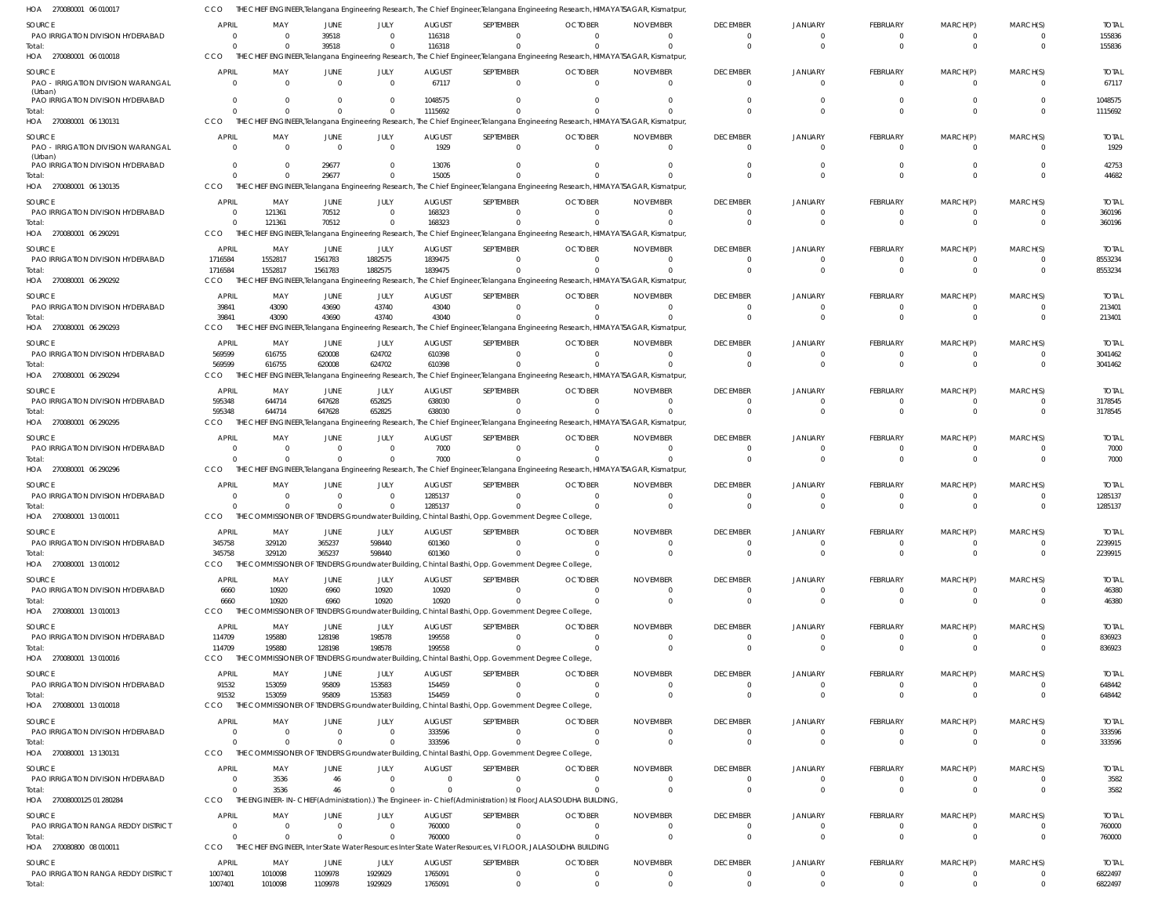| HOA 270080001 06 010017                              |                                |                            |                      |                            |                          | THE CHIEF ENGINEER,Telangana Engineering Research, The Chief Engineer,Telangana Engineering Research, HIMAYATSAGAR, Kismatpur,   |                            |                             |                                           |                                  |                             |                            |                                  |                         |
|------------------------------------------------------|--------------------------------|----------------------------|----------------------|----------------------------|--------------------------|----------------------------------------------------------------------------------------------------------------------------------|----------------------------|-----------------------------|-------------------------------------------|----------------------------------|-----------------------------|----------------------------|----------------------------------|-------------------------|
| SOURCE                                               | <b>APRIL</b>                   | MAY                        | <b>JUNE</b>          | JULY                       | <b>AUGUST</b>            | SEPTEMBER                                                                                                                        | <b>OCTOBER</b>             | <b>NOVEMBER</b>             | <b>DECEMBER</b>                           | <b>JANUARY</b>                   | <b>FEBRUARY</b>             | MARCH(P)                   | MARCH(S)                         | <b>TOTAL</b>            |
| PAO IRRIGATION DIVISION HYDERABAD                    | $\Omega$                       | $\Omega$                   | 39518                | $\overline{0}$             | 116318                   | $\Omega$                                                                                                                         |                            |                             | $\Omega$                                  | $\overline{0}$                   | - 0                         | $\Omega$                   | $\overline{0}$                   | 155836                  |
| Total:                                               | $\Omega$                       | $\Omega$                   | 39518                | $\mathbf{0}$               | 116318                   | $\Omega$                                                                                                                         |                            |                             | $\Omega$                                  | $\Omega$                         | $\Omega$                    | $\Omega$                   | $\Omega$                         | 155836                  |
| HOA 270080001 06 010018                              | CCO                            |                            |                      |                            |                          | THE CHIEF ENGINEER, Telangana Engineering Research, The Chief Engineer, Telangana Engineering Research, HIMAYATSAGAR, Kismatpur, |                            |                             |                                           |                                  |                             |                            |                                  |                         |
| SOURCE                                               | <b>APRIL</b>                   | MAY                        | JUNE                 | JULY                       | <b>AUGUST</b>            | SEPTEMBER                                                                                                                        | <b>OCTOBER</b>             | <b>NOVEMBER</b>             | <b>DECEMBER</b>                           | <b>JANUARY</b>                   | FEBRUARY                    | MARCH(P)                   | MARCH(S)                         | <b>TOTAL</b>            |
| PAO - IRRIGATION DIVISION WARANGAL                   | $\Omega$                       | $\overline{0}$             | $\Omega$             | $\overline{0}$             | 67117                    | $\overline{0}$                                                                                                                   | $\Omega$                   | $\Omega$                    | $\overline{0}$                            | $\overline{0}$                   | $\Omega$                    | $\overline{0}$             | $\overline{0}$                   | 67117                   |
| (Urban)<br>PAO IRRIGATION DIVISION HYDERABAD         | $\Omega$                       | $\Omega$                   |                      | $\Omega$                   | 1048575                  | $\Omega$                                                                                                                         |                            |                             | $\Omega$                                  | $\Omega$                         | $\Omega$                    |                            | $\Omega$                         | 1048575                 |
| Total:                                               | $\Omega$                       | $\Omega$                   | $\Omega$             | $\overline{0}$             | 1115692                  | $\Omega$                                                                                                                         |                            |                             | $\Omega$                                  | $\Omega$                         | $\Omega$                    | $\Omega$                   | $\Omega$                         | 1115692                 |
| HOA 270080001 06 130131                              | CCO                            |                            |                      |                            |                          | THE CHIEF ENGINEER, Telangana Engineering Research, The Chief Engineer, Telangana Engineering Research, HIMAYATSAGAR, Kismatpur, |                            |                             |                                           |                                  |                             |                            |                                  |                         |
| SOURCE                                               | <b>APRIL</b>                   | MAY                        | JUNE                 | JULY                       | <b>AUGUST</b>            | SEPTEMBER                                                                                                                        | <b>OCTOBER</b>             | <b>NOVEMBER</b>             | <b>DECEMBER</b>                           | <b>JANUARY</b>                   | <b>FEBRUARY</b>             | MARCH(P)                   | MARCH(S)                         | <b>TOTAL</b>            |
| PAO - IRRIGATION DIVISION WARANGAL                   | $\Omega$                       | $\Omega$                   | $\Omega$             | $\overline{0}$             | 1929                     | $\Omega$                                                                                                                         |                            |                             | $\overline{0}$                            | $\Omega$                         | $\Omega$                    | $\Omega$                   | $\Omega$                         | 1929                    |
| (Urban)                                              |                                |                            |                      |                            |                          |                                                                                                                                  |                            |                             |                                           |                                  |                             |                            |                                  |                         |
| PAO IRRIGATION DIVISION HYDERABAD                    | $\Omega$<br>$\Omega$           | $\Omega$<br>$\Omega$       | 29677<br>29677       | $\overline{0}$<br>$\Omega$ | 13076<br>15005           | $\Omega$                                                                                                                         |                            |                             | $\Omega$<br>$\Omega$                      | $\Omega$<br>$\Omega$             | $\Omega$<br>$\Omega$        | $\Omega$                   | $\Omega$<br>$\Omega$             | 42753                   |
| Total:<br>HOA 270080001 06 130135                    | CCO                            |                            |                      |                            |                          | THE CHIEF ENGINEER, Telangana Engineering Research, The Chief Engineer, Telangana Engineering Research, HIMAYATSAGAR, Kismatpur, |                            |                             |                                           |                                  |                             |                            |                                  | 44682                   |
|                                                      |                                |                            |                      |                            |                          |                                                                                                                                  |                            |                             |                                           |                                  |                             |                            |                                  |                         |
| SOURCE<br>PAO IRRIGATION DIVISION HYDERABAD          | <b>APRIL</b><br>$\overline{0}$ | MAY<br>121361              | JUNE<br>70512        | JULY<br>$\overline{0}$     | <b>AUGUST</b><br>168323  | SEPTEMBER<br>$^{\circ}$                                                                                                          | <b>OCTOBER</b>             | <b>NOVEMBER</b>             | <b>DECEMBER</b><br>$\overline{0}$         | <b>JANUARY</b><br>$\Omega$       | <b>FEBRUARY</b><br>$\Omega$ | MARCH(P)<br>$\Omega$       | MARCH(S)<br>0                    | <b>TOTAL</b><br>360196  |
| Total:                                               | $\overline{0}$                 | 121361                     | 70512                | $\overline{0}$             | 168323                   | $\Omega$                                                                                                                         |                            |                             | $\Omega$                                  | $\Omega$                         | $\Omega$                    | $\Omega$                   | $\overline{0}$                   | 360196                  |
| HOA 270080001 06 290291                              | CCO                            |                            |                      |                            |                          | THE CHIEF ENGINEER, Telangana Engineering Research, The Chief Engineer, Telangana Engineering Research, HIMAYATSAGAR, Kismatpur, |                            |                             |                                           |                                  |                             |                            |                                  |                         |
|                                                      | <b>APRIL</b>                   | MAY                        |                      |                            |                          |                                                                                                                                  | <b>OCTOBER</b>             | <b>NOVEMBER</b>             | <b>DECEMBER</b>                           | <b>JANUARY</b>                   | <b>FEBRUARY</b>             |                            |                                  |                         |
| SOURCE<br>PAO IRRIGATION DIVISION HYDERABAD          | 1716584                        | 1552817                    | JUNE<br>1561783      | JULY<br>1882575            | <b>AUGUST</b><br>1839475 | SEPTEMBER<br>$\Omega$                                                                                                            |                            |                             | $\overline{0}$                            | $\Omega$                         | - 0                         | MARCH(P)<br>$\Omega$       | MARCH(S)<br>$\overline{0}$       | <b>TOTAL</b><br>8553234 |
| Total:                                               | 1716584                        | 1552817                    | 1561783              | 1882575                    | 1839475                  | $\Omega$                                                                                                                         |                            |                             | $\Omega$                                  | $\Omega$                         | $\Omega$                    | $\Omega$                   | $\Omega$                         | 8553234                 |
| HOA 270080001 06 290292                              | CCO                            |                            |                      |                            |                          | THE CHIEF ENGINEER, Telangana Engineering Research, The Chief Engineer, Telangana Engineering Research, HIMAYATSAGAR, Kismatpur, |                            |                             |                                           |                                  |                             |                            |                                  |                         |
| SOURCE                                               | <b>APRIL</b>                   | MAY                        | JUNE                 | JULY                       | <b>AUGUST</b>            | SEPTEMBER                                                                                                                        | <b>OCTOBER</b>             | <b>NOVEMBER</b>             | <b>DECEMBER</b>                           | <b>JANUARY</b>                   | FEBRUARY                    | MARCH(P)                   | MARCH(S)                         | <b>TOTAL</b>            |
| PAO IRRIGATION DIVISION HYDERABAD                    | 39841                          | 43090                      | 43690                | 43740                      | 43040                    | $\Omega$                                                                                                                         | $\cap$                     | $\Omega$                    | $\overline{\mathbf{0}}$                   | $\overline{0}$                   | $\Omega$                    | $\Omega$                   | $\overline{0}$                   | 213401                  |
| Total:                                               | 39841                          | 43090                      | 43690                | 43740                      | 43040                    |                                                                                                                                  |                            |                             | $\Omega$                                  | $\Omega$                         | $\Omega$                    | $\Omega$                   | $\Omega$                         | 213401                  |
| HOA 270080001 06 290293                              | CCO                            |                            |                      |                            |                          | THE CHIEF ENGINEER, Telangana Engineering Research, The Chief Engineer, Telangana Engineering Research, HIMAYATSAGAR, Kismatpur, |                            |                             |                                           |                                  |                             |                            |                                  |                         |
| SOURCE                                               | <b>APRIL</b>                   | MAY                        | JUNE                 | JULY                       | <b>AUGUST</b>            | SEPTEMBER                                                                                                                        | <b>OCTOBER</b>             | <b>NOVEMBER</b>             | <b>DECEMBER</b>                           | <b>JANUARY</b>                   | <b>FEBRUARY</b>             | MARCH(P)                   | MARCH(S)                         | <b>TOTAL</b>            |
| PAO IRRIGATION DIVISION HYDERABAD                    | 569599                         | 616755                     | 620008               | 624702                     | 610398                   | $\Omega$                                                                                                                         |                            |                             | $\Omega$                                  | $\Omega$                         | - 0                         | - 0                        | $\Omega$                         | 3041462                 |
| Total:                                               | 569599                         | 616755                     | 620008               | 624702                     | 610398                   | $\Omega$                                                                                                                         |                            |                             | $\Omega$                                  | $\Omega$                         | $\Omega$                    | $\Omega$                   | $\Omega$                         | 3041462                 |
| HOA 270080001 06 290294                              | <b>CCO</b>                     |                            |                      |                            |                          | THE CHIEF ENGINEER, Telangana Engineering Research, The Chief Engineer, Telangana Engineering Research, HIMAYATSAGAR, Kismatpur, |                            |                             |                                           |                                  |                             |                            |                                  |                         |
| SOURCE                                               | APRIL                          | MAY                        | JUNE                 | JULY                       | <b>AUGUST</b>            | SEPTEMBER                                                                                                                        | <b>OCTOBER</b>             | <b>NOVEMBER</b>             | <b>DECEMBER</b>                           | <b>JANUARY</b>                   | FEBRUARY                    | MARCH(P)                   | MARCH(S)                         | <b>TOTAL</b>            |
| PAO IRRIGATION DIVISION HYDERABAD                    | 595348                         | 644714                     | 647628               | 652825                     | 638030                   | $\overline{0}$                                                                                                                   |                            |                             | $\overline{0}$                            | $^{\circ}$                       | $\Omega$                    | $\Omega$                   | $\overline{0}$                   | 3178545                 |
| Total:                                               | 595348                         | 644714                     | 647628               | 652825                     | 638030                   | $\Omega$                                                                                                                         |                            |                             | $\Omega$                                  | $\Omega$                         | $\Omega$                    | $\Omega$                   | $\Omega$                         | 3178545                 |
| HOA 270080001 06 290295                              | CCO                            |                            |                      |                            |                          | THE CHIEF ENGINEER, Telangana Engineering Research, The Chief Engineer, Telangana Engineering Research, HIMAYATSAGAR, Kismatpur, |                            |                             |                                           |                                  |                             |                            |                                  |                         |
| SOURCE                                               | <b>APRIL</b>                   | MAY                        | JUNE                 | <b>JULY</b>                | <b>AUGUST</b>            | SEPTEMBER                                                                                                                        | <b>OCTOBER</b>             | <b>NOVEMBER</b>             | <b>DECEMBER</b>                           | <b>JANUARY</b>                   | FEBRUARY                    | MARCH(P)                   | MARCH(S)                         | <b>TOTAL</b>            |
| PAO IRRIGATION DIVISION HYDERABAD                    | $\Omega$                       | $\Omega$                   | $\Omega$             | $\overline{0}$             | 7000                     | $\Omega$                                                                                                                         | $\cap$                     | $\Omega$                    | $\Omega$                                  | $\Omega$                         | - 0                         | - 0                        | $\Omega$                         | 7000                    |
| Total:                                               | $\Omega$                       | $\Omega$                   | $\Omega$             | $\overline{0}$             | 7000                     | $\Omega$                                                                                                                         |                            |                             | $\Omega$                                  | $\Omega$                         | $\Omega$                    | $\Omega$                   | $\Omega$                         | 7000                    |
| HOA 270080001 06 290296                              | CCO                            |                            |                      |                            |                          | THE CHIEF ENGINEER, Telangana Engineering Research, The Chief Engineer, Telangana Engineering Research, HIMAYATSAGAR, Kismatpur, |                            |                             |                                           |                                  |                             |                            |                                  |                         |
| SOURCE                                               | <b>APRIL</b>                   | MAY                        | JUNE                 | JULY                       | <b>AUGUST</b>            | SEPTEMBER                                                                                                                        | <b>OCTOBER</b>             | <b>NOVEMBER</b>             | <b>DECEMBER</b>                           | <b>JANUARY</b>                   | FEBRUARY                    | MARCH(P)                   | MARCH(S)                         | <b>TOTAL</b>            |
| PAO IRRIGATION DIVISION HYDERABAD                    | $\Omega$                       | $\Omega$                   |                      | $\overline{0}$             | 1285137                  | $\overline{0}$                                                                                                                   |                            |                             | $\overline{0}$                            | $\overline{0}$                   | $\Omega$                    | $\Omega$                   | $\overline{0}$                   | 1285137                 |
| Total:                                               | $\Omega$                       |                            |                      | $\Omega$                   | 1285137                  |                                                                                                                                  |                            |                             | $\Omega$                                  | $\Omega$                         | $\Omega$                    | $\Omega$                   | $\Omega$                         | 1285137                 |
| HOA 270080001 13 010011                              | CCO                            |                            |                      |                            |                          | THE COMMISSIONER OF TENDERS Groundwater Building, Chintal Basthi, Opp. Government Degree College,                                |                            |                             |                                           |                                  |                             |                            |                                  |                         |
| SOURCE                                               | <b>APRIL</b>                   | MAY                        | JUNE                 | JULY                       | <b>AUGUST</b>            | SEPTEMBER                                                                                                                        | <b>OCTOBER</b>             | <b>NOVEMBER</b>             | <b>DECEMBER</b>                           | <b>JANUARY</b>                   | FEBRUAR\                    | MARCH(P)                   | MARCH(S)                         | <b>TOTAL</b>            |
| PAO IRRIGATION DIVISION HYDERABAD                    | 345758                         | 329120                     | 365237               | 598440                     | 601360                   | $\Omega$                                                                                                                         | - 0                        |                             | $\Omega$                                  | $\overline{0}$                   | - 0                         | $\Omega$                   | $\Omega$                         | 2239915                 |
| Total:                                               | 345758                         | 329120                     | 365237               | 598440                     | 601360                   | $\Omega$                                                                                                                         | $\cap$                     | $\Omega$                    | $\overline{0}$                            | $\overline{0}$                   | $\Omega$                    | $\Omega$                   | $\overline{0}$                   | 2239915                 |
| HOA 270080001 13 010012                              | CCO                            |                            |                      |                            |                          | THE COMMISSIONER OF TENDERS Groundwater Building, Chintal Basthi, Opp. Government Degree College,                                |                            |                             |                                           |                                  |                             |                            |                                  |                         |
| SOURCE                                               | <b>APRIL</b>                   | MAY                        | <b>JUNE</b>          | JULY                       | <b>AUGUST</b>            | SEPTEMBER                                                                                                                        | <b>OCTOBER</b>             | <b>NOVEMBER</b>             | <b>DECEMBER</b>                           | <b>JANUARY</b>                   | <b>FEBRUARY</b>             | MARCH(P)                   | MARCH(S)                         | <b>TOTAL</b>            |
| PAO IRRIGATION DIVISION HYDERABAD                    | 6660                           | 10920                      | 6960                 | 10920                      | 10920                    | $^{\circ}$                                                                                                                       |                            |                             | $\overline{0}$                            | $^{\circ}$                       | $\Omega$                    | - 0                        | 0                                | 46380                   |
| Total:                                               | 6660<br>CCO                    | 10920                      | 6960                 | 10920                      | 10920                    | $\Omega$                                                                                                                         |                            |                             | $\overline{0}$                            | $\overline{0}$                   | $\Omega$                    | $\Omega$                   | 0                                | 46380                   |
| HOA 270080001 13 010013                              |                                |                            |                      |                            |                          | THE COMMISSIONER OF TENDERS Groundwater Building, Chintal Basthi, Opp. Government Degree College                                 |                            |                             |                                           |                                  |                             |                            |                                  |                         |
| SOURCE                                               | <b>APRIL</b>                   | MAY                        | <b>JUNE</b>          | JULY                       | <b>AUGUST</b>            | SEPTEMBER                                                                                                                        | <b>OCTOBER</b>             | <b>NOVEMBER</b>             | <b>DECEMBER</b>                           | <b>JANUARY</b>                   | FEBRUARY                    | MARCH(P)                   | MARCH(S)                         | <b>TOTAL</b>            |
| PAO IRRIGATION DIVISION HYDERABAD                    | 114709                         | 195880                     | 128198               | 198578                     | 199558                   | $\Omega$                                                                                                                         | - 0                        | $\cap$                      | $\overline{0}$                            | $^{\circ}$                       | $\Omega$                    | $\Omega$                   | $\overline{0}$                   | 836923                  |
| Total:<br>HOA 270080001 13 010016                    | 114709<br>CCO                  | 195880                     | 128198               | 198578                     | 199558                   | $\Omega$<br>THE COMMISSIONER OF TENDERS Groundwater Building, Chintal Basthi, Opp. Government Degree College,                    |                            |                             | $\overline{0}$                            | $\overline{0}$                   | $\Omega$                    | $\Omega$                   | $\overline{0}$                   | 836923                  |
|                                                      |                                |                            |                      |                            |                          |                                                                                                                                  |                            |                             |                                           |                                  |                             |                            |                                  |                         |
| SOURCE                                               | APRIL                          | MAY                        | JUNE                 | JULY                       | <b>AUGUST</b>            | SEPTEMBER                                                                                                                        | <b>OCTOBER</b>             | <b>NOVEMBER</b>             | <b>DECEMBER</b>                           | <b>JANUARY</b>                   | FEBRUARY                    | MARCH(P)                   | MARCH(S)                         | <b>TOTAL</b>            |
| PAO IRRIGATION DIVISION HYDERABAD                    | 91532                          | 153059                     | 95809                | 153583                     | 154459                   | $\overline{0}$                                                                                                                   | $\Omega$                   |                             | $\overline{\mathbf{0}}$                   | $\overline{0}$                   | $\Omega$                    | $\Omega$                   | $\overline{0}$                   | 648442                  |
| Total:<br>HOA 270080001 13 010018                    | 91532<br>CCO                   | 153059                     | 95809                | 153583                     | 154459                   | $\Omega$<br>THE COMMISSIONER OF TENDERS Groundwater Building, Chintal Basthi, Opp. Government Degree College,                    |                            |                             | $\overline{0}$                            | $\overline{0}$                   | $\Omega$                    | $\Omega$                   | $\overline{0}$                   | 648442                  |
|                                                      |                                |                            |                      |                            |                          |                                                                                                                                  |                            |                             |                                           |                                  |                             |                            |                                  |                         |
| SOURCE                                               | <b>APRIL</b>                   | MAY                        | JUNE                 | JULY                       | <b>AUGUST</b>            | SEPTEMBER                                                                                                                        | <b>OCTOBER</b>             | <b>NOVEMBER</b>             | <b>DECEMBER</b>                           | <b>JANUARY</b>                   | FEBRUARY                    | MARCH(P)                   | MARCH(S)                         | <b>TOTAL</b>            |
| PAO IRRIGATION DIVISION HYDERABAD                    | $\Omega$<br>$\Omega$           | $\Omega$<br>$\Omega$       | $\Omega$<br>$\Omega$ | $\overline{0}$<br>$\Omega$ | 333596<br>333596         | $\Omega$<br>$\Omega$                                                                                                             |                            |                             | $\overline{0}$<br>$\overline{\mathbf{0}}$ | - 0<br>$\overline{0}$            | - 0<br>$\Omega$             | - 0<br>$\Omega$            | $\overline{0}$<br>$\overline{0}$ | 333596<br>333596        |
| Total:<br>HOA 270080001 13 130131                    | CCO                            |                            |                      |                            |                          | THE COMMISSIONER OF TENDERS Groundwater Building, Chintal Basthi, Opp. Government Degree College,                                |                            |                             |                                           |                                  |                             |                            |                                  |                         |
|                                                      |                                |                            |                      |                            |                          |                                                                                                                                  |                            |                             |                                           |                                  |                             |                            |                                  |                         |
| SOURCE                                               | <b>APRIL</b>                   | MAY                        | <b>JUNE</b>          | JULY                       | <b>AUGUST</b>            | SEPTEMBER                                                                                                                        | <b>OCTOBER</b>             | <b>NOVEMBER</b>             | <b>DECEMBER</b>                           | <b>JANUARY</b>                   | FEBRUARY                    | MARCH(P)                   | MARCH(S)                         | <b>TOTAL</b>            |
| PAO IRRIGATION DIVISION HYDERABAD<br>Total:          | $\mathbf{0}$<br>$\Omega$       | 3536<br>3536               | 46<br>46             | $\overline{0}$<br>$\Omega$ | $\Omega$                 | $\mathbf{0}$<br>$\Omega$                                                                                                         |                            |                             | $\overline{0}$<br>$\overline{0}$          | $\mathbf{0}$<br>$\overline{0}$   | $\Omega$<br>$\Omega$        | - 0<br>$\Omega$            | 0<br>0                           | 3582<br>3582            |
| HOA 27008000125 01 280284                            | CCO                            |                            |                      |                            |                          | THE ENGINEER-IN-CHIEF(Administration).) The Engineer-in-Chief(Administration) Ist Floor, JALASOUDHA BUILDING,                    |                            |                             |                                           |                                  |                             |                            |                                  |                         |
|                                                      |                                |                            |                      |                            |                          |                                                                                                                                  |                            |                             |                                           |                                  |                             |                            |                                  |                         |
| SOURCE                                               | <b>APRIL</b>                   | MAY                        | JUNE                 | JULY                       | <b>AUGUST</b>            | SEPTEMBER                                                                                                                        | <b>OCTOBER</b>             | <b>NOVEMBER</b>             | <b>DECEMBER</b>                           | <b>JANUARY</b>                   | FEBRUARY                    | MARCH(P)                   | MARCH(S)                         | <b>TOTAL</b>            |
| PAO IRRIGATION RANGA REDDY DISTRICT<br>Total:        | $\Omega$<br>$\Omega$           | $\overline{0}$<br>$\Omega$ | $\Omega$<br>$\Omega$ | $\overline{0}$<br>$\Omega$ | 760000<br>760000         | $\Omega$<br>$\Omega$                                                                                                             | $\Omega$<br>$\Omega$       | $\Omega$                    | $\overline{0}$<br>$\overline{0}$          | $\overline{0}$<br>$\overline{0}$ | $\Omega$<br>$\Omega$        | $\Omega$<br>$\Omega$       | $\overline{0}$<br>$\overline{0}$ | 760000<br>760000        |
| HOA 270080800 08 010011                              | CCO                            |                            |                      |                            |                          | THE CHIEF ENGINEER, Inter State Water Resources Inter State Water Resources, VI FLOOR, JALASOUDHA BUILDING                       |                            |                             |                                           |                                  |                             |                            |                                  |                         |
|                                                      |                                |                            |                      |                            |                          |                                                                                                                                  |                            |                             |                                           |                                  |                             |                            |                                  |                         |
| <b>SOURCE</b><br>PAO IRRIGATION RANGA REDDY DISTRICT | APRIL<br>1007401               | MAY<br>1010098             | JUNE<br>1109978      | JULY<br>1929929            | <b>AUGUST</b><br>1765091 | SEPTEMBER<br>$\overline{0}$                                                                                                      | <b>OCTOBER</b><br>$\Omega$ | <b>NOVEMBER</b><br>$\Omega$ | <b>DECEMBER</b><br>$\overline{0}$         | <b>JANUARY</b><br>$\overline{0}$ | FEBRUARY<br>$\overline{0}$  | MARCH(P)<br>$\overline{0}$ | MARCH(S)<br>$\overline{0}$       | <b>TOTAL</b><br>6822497 |
| Total:                                               | 1007401                        | 1010098                    | 1109978              | 1929929                    | 1765091                  | $\overline{0}$                                                                                                                   |                            |                             | $\overline{0}$                            | $\overline{0}$                   | $\Omega$                    | $\Omega$                   | $\overline{0}$                   | 6822497                 |
|                                                      |                                |                            |                      |                            |                          |                                                                                                                                  |                            |                             |                                           |                                  |                             |                            |                                  |                         |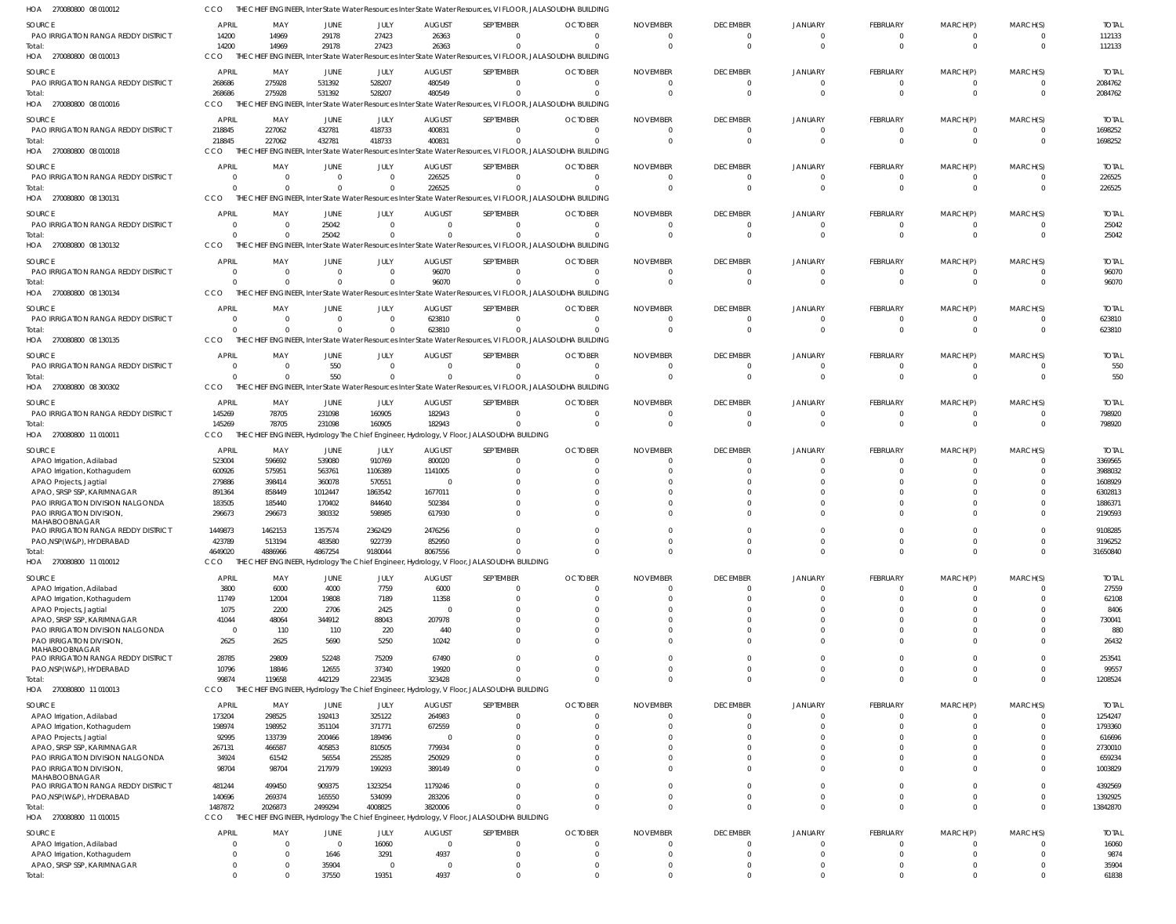| HOA<br>270080800 08 010012                                       |                  |                     |                   |                   |                         | THE CHIEF ENGINEER, Inter State Water Resources Inter State Water Resources, VI FLOOR, JALASOUDHA BUILDING |                      |                      |                            |                            |                      |                      |                                  |                         |
|------------------------------------------------------------------|------------------|---------------------|-------------------|-------------------|-------------------------|------------------------------------------------------------------------------------------------------------|----------------------|----------------------|----------------------------|----------------------------|----------------------|----------------------|----------------------------------|-------------------------|
| SOURCE                                                           | <b>APRIL</b>     | MAY                 | <b>JUNE</b>       | JULY              | <b>AUGUST</b>           | SEPTEMBER                                                                                                  | <b>OCTOBER</b>       | <b>NOVEMBER</b>      | <b>DECEMBER</b>            | <b>JANUARY</b>             | <b>FEBRUARY</b>      | MARCH(P)             | MARCH(S)                         | <b>TOTAL</b>            |
| PAO IRRIGATION RANGA REDDY DISTRICT                              | 14200            | 14969               | 29178             | 27423             | 26363                   | $\Omega$                                                                                                   | $\Omega$             | $\Omega$             | 0                          | $\overline{0}$             | - 0                  | $\Omega$             | $\overline{0}$                   | 112133                  |
| Total:                                                           | 14200            | 14969               | 29178             | 27423             | 26363                   | $\Omega$                                                                                                   | $\Omega$             | $\Omega$             | $\Omega$                   | $\Omega$                   | $\Omega$             | $\Omega$             | $\Omega$                         | 112133                  |
| HOA 270080800 08 010013                                          | CCO              |                     |                   |                   |                         | THE CHIEF ENGINEER, Inter State Water Resources Inter State Water Resources, VI FLOOR, JALASOUDHA BUILDING |                      |                      |                            |                            |                      |                      |                                  |                         |
| SOURCE                                                           | <b>APRIL</b>     | MAY                 | JUNE              | JULY              | <b>AUGUST</b>           | SEPTEMBER                                                                                                  | <b>OCTOBER</b>       | <b>NOVEMBER</b>      | <b>DECEMBER</b>            | <b>JANUARY</b>             | FEBRUARY             | MARCH(P)             | MARCH(S)                         | <b>TOTAL</b>            |
| PAO IRRIGATION RANGA REDDY DISTRICT                              | 268686           | 275928              | 531392            | 528207            | 480549                  | $\overline{0}$                                                                                             | $\overline{0}$       | $\Omega$             | $\overline{0}$             | $\overline{0}$             | $\Omega$             | $\Omega$             | $\overline{0}$                   | 2084762                 |
| Total:                                                           | 268686           | 275928              | 531392            | 528207            | 480549                  | $\Omega$                                                                                                   | $\Omega$             | $\Omega$             | $\Omega$                   | $\mathsf{C}$               | $\Omega$             | $\Omega$             | $\Omega$                         | 2084762                 |
| HOA 270080800 08 010016                                          | CCO              |                     |                   |                   |                         | THE CHIEF ENGINEER, Inter State Water Resources Inter State Water Resources, VI FLOOR, JALASOUDHA BUILDING |                      |                      |                            |                            |                      |                      |                                  |                         |
| SOURCE                                                           | <b>APRIL</b>     | MAY                 | JUNE              | JULY              | <b>AUGUST</b>           | SEPTEMBER                                                                                                  | <b>OCTOBER</b>       | <b>NOVEMBER</b>      | <b>DECEMBER</b>            | <b>JANUARY</b>             | FEBRUARY             | MARCH(P)             | MARCH(S)                         | <b>TOTAL</b>            |
| <b>PAO IRRIGATION RANGA REDDY DISTRICT</b>                       | 218845           | 227062              | 432781            | 418733            | 400831                  | $\Omega$                                                                                                   | $\Omega$             | $\Omega$             | $\Omega$                   | $\Omega$                   | - 0                  | - 0                  | $\Omega$                         | 1698252                 |
| Total:                                                           | 218845           | 227062              | 432781            | 418733            | 400831                  | $\Omega$                                                                                                   | $\Omega$             | $\Omega$             | $\overline{0}$             | $\Omega$                   | $\Omega$             | $\Omega$             | $\overline{0}$                   | 1698252                 |
| HOA 270080800 08 010018                                          | CCO              | THE CHIEF ENGINEER, |                   |                   |                         | , Inter State Water Resources Inter State Water Resources, VI FLOOR, JALASOUDHA BUILDING                   |                      |                      |                            |                            |                      |                      |                                  |                         |
| SOURCE                                                           | <b>APRIL</b>     | MAY                 | <b>JUNE</b>       | JULY              | <b>AUGUST</b>           | SEPTEMBER                                                                                                  | <b>OCTOBER</b>       | <b>NOVEMBER</b>      | <b>DECEMBER</b>            | <b>JANUARY</b>             | <b>FEBRUARY</b>      | MARCH(P)             | MARCH(S)                         | <b>TOTAL</b>            |
| PAO IRRIGATION RANGA REDDY DISTRICT                              | 0                | $\Omega$            | $\overline{0}$    | $\overline{0}$    | 226525                  | $\mathbf 0$                                                                                                | $\Omega$             | $\Omega$             | 0                          | 0                          | $\Omega$             | $\Omega$             | $\overline{0}$                   | 226525                  |
| Total:                                                           | $\Omega$         |                     | $\Omega$          | $\Omega$          | 226525                  | $\Omega$                                                                                                   | $\Omega$             | $\Omega$             | $\overline{0}$             | C                          | $\Omega$             | $\Omega$             | $\Omega$                         | 226525                  |
| HOA 270080800 08 130131                                          | <b>CCO</b>       |                     |                   |                   |                         | THE CHIEF ENGINEER, Inter State Water Resources Inter State Water Resources, VI FLOOR, JALASOUDHA BUILDING |                      |                      |                            |                            |                      |                      |                                  |                         |
| SOURCE                                                           | <b>APRIL</b>     | MAY                 | JUNE              | JULY              | <b>AUGUST</b>           | SEPTEMBER                                                                                                  | <b>OCTOBER</b>       | <b>NOVEMBER</b>      | <b>DECEMBER</b>            | <b>JANUARY</b>             | FEBRUARY             | MARCH(P)             | MARCH(S)                         | <b>TOTAL</b>            |
| PAO IRRIGATION RANGA REDDY DISTRICT                              | - 0              | $\Omega$            | 25042             | $\overline{0}$    | $\Omega$                | $\mathbf 0$                                                                                                | $\Omega$             | $\Omega$             | $\overline{0}$             | $\Omega$                   | $\Omega$             | $\Omega$             | $\Omega$                         | 25042                   |
| Total:                                                           | $\Omega$         | $\Omega$            | 25042             | $\overline{0}$    | $\Omega$                | $\Omega$                                                                                                   | $\Omega$             | $\Omega$             | $\Omega$                   | $\Omega$                   | $\Omega$             | $\Omega$             | $\Omega$                         | 25042                   |
| HOA 270080800 08 130132                                          | CCO<br>THE       |                     |                   |                   |                         | ENGINEER, Inter State Water Resources Inter State Water Resources, VI FLOOR, JALASOUDHA BUILDING           |                      |                      |                            |                            |                      |                      |                                  |                         |
| SOURCE                                                           | <b>APRIL</b>     | MAY                 | <b>JUNE</b>       | JULY              | <b>AUGUST</b>           | SEPTEMBER                                                                                                  | <b>OCTOBER</b>       | <b>NOVEMBER</b>      | <b>DECEMBER</b>            | <b>JANUARY</b>             | <b>FEBRUARY</b>      | MARCH(P)             | MARCH(S)                         | <b>TOTAL</b>            |
| PAO IRRIGATION RANGA REDDY DISTRICT                              | $\overline{0}$   | $\Omega$            | $\overline{0}$    | $\mathbf 0$       | 96070                   | $\mathbf 0$                                                                                                | $\Omega$             | $\Omega$             | 0                          | $\Omega$                   | $\Omega$             | $\Omega$             | $\circ$                          | 96070                   |
| Total:                                                           | $\Omega$         |                     | $\overline{0}$    | $\mathbf 0$       | 96070                   | $\Omega$                                                                                                   | $\Omega$             | $\Omega$             | $\Omega$                   | $\Omega$                   | $\Omega$             | $\Omega$             | $\Omega$                         | 96070                   |
| HOA 270080800 08 130134                                          | CCO              |                     |                   |                   |                         | THE CHIEF ENGINEER, Inter State Water Resources Inter State Water Resources, VI FLOOR, JALASOUDHA BUILDING |                      |                      |                            |                            |                      |                      |                                  |                         |
| SOURCE                                                           | <b>APRIL</b>     | MAY                 | <b>JUNE</b>       | JULY              | <b>AUGUST</b>           | SEPTEMBER                                                                                                  | <b>OCTOBER</b>       | <b>NOVEMBER</b>      | <b>DECEMBER</b>            | <b>JANUARY</b>             | <b>FEBRUARY</b>      | MARCH(P)             | MARCH(S)                         | <b>TOTAL</b>            |
| PAO IRRIGATION RANGA REDDY DISTRICT                              | - 0              | $\Omega$            | $\overline{0}$    | $\overline{0}$    | 623810                  | $\mathbf 0$                                                                                                | $\Omega$             | $\Omega$             | 0                          | $\Omega$                   | - 0                  | - 0                  | $\mathbf{0}$                     | 623810                  |
| Total:                                                           | $\Omega$         |                     | $\Omega$          | $\Omega$          | 623810                  | $\Omega$                                                                                                   | $\Omega$             | $\Omega$             | $\Omega$                   | $\Omega$                   | $\Omega$             | $\Omega$             | $\Omega$                         | 623810                  |
| HOA 270080800 08 130135                                          | <b>CCO</b>       |                     |                   |                   |                         | THE CHIEF ENGINEER, Inter State Water Resources Inter State Water Resources, VI FLOOR, JALASOUDHA BUILDING |                      |                      |                            |                            |                      |                      |                                  |                         |
| SOURCE                                                           | <b>APRIL</b>     | MAY                 | <b>JUNE</b>       | JULY              | <b>AUGUST</b>           | SEPTEMBER                                                                                                  | <b>OCTOBER</b>       | <b>NOVEMBER</b>      | <b>DECEMBER</b>            | <b>JANUARY</b>             | FEBRUARY             | MARCH(P)             | MARCH(S)                         | <b>TOTAL</b>            |
| PAO IRRIGATION RANGA REDDY DISTRICT                              | 0                | $\Omega$            | 550               | $\overline{0}$    | $\Omega$                | $\mathbf 0$                                                                                                | $\Omega$             |                      | 0                          | $\Omega$                   | $\Omega$             | $\Omega$             | - 0                              | 550                     |
| Total:                                                           | $\Omega$         |                     | 550               | $\mathbf 0$       | $\Omega$                | $\Omega$                                                                                                   | $\Omega$             | $\Omega$             | $\overline{0}$             | $\Omega$                   | $\Omega$             | $\Omega$             | $\overline{0}$                   | 550                     |
| HOA 270080800 08 300302                                          | CCO<br>THE       |                     |                   |                   |                         | CHIEF ENGINEER, Inter State Water Resources Inter State Water Resources, VI FLOOR, JALASOUDHA BUILDING     |                      |                      |                            |                            |                      |                      |                                  |                         |
| SOURCE                                                           | <b>APRIL</b>     | MAY                 | JUNE              | JULY              | <b>AUGUST</b>           | SEPTEMBER                                                                                                  | <b>OCTOBER</b>       | <b>NOVEMBER</b>      | <b>DECEMBER</b>            | <b>JANUARY</b>             | <b>FEBRUARY</b>      | MARCH(P)             | MARCH(S)                         | <b>TOTAL</b>            |
| PAO IRRIGATION RANGA REDDY DISTRICT                              | 145269           | 78705               | 231098            | 160905            | 182943                  | $\overline{0}$                                                                                             | $\Omega$             | $\Omega$             | 0                          | $\Omega$                   | - 0                  | $\Omega$             | $\overline{0}$                   | 798920                  |
| Total:                                                           | 145269           | 78705               | 231098            | 160905            | 182943                  | $\Omega$                                                                                                   | $\Omega$             | $\Omega$             | $\overline{0}$             | $\Omega$                   | $\Omega$             | $\Omega$             | $\Omega$                         | 798920                  |
| HOA 270080800 11 010011                                          | CCO              |                     |                   |                   |                         | THE CHIEF ENGINEER, Hydrology The Chief Engineer, Hydrology, V Floor, JALASOUDHA BUILDING                  |                      |                      |                            |                            |                      |                      |                                  |                         |
| SOURCE                                                           | <b>APRIL</b>     | MAY                 | JUNE              | JULY              | <b>AUGUST</b>           | SEPTEMBER                                                                                                  | <b>OCTOBER</b>       | <b>NOVEMBER</b>      | <b>DECEMBER</b>            | <b>JANUARY</b>             | FEBRUARY             | MARCH(P)             | MARCH(S)                         | <b>TOTAL</b>            |
| APAO Irrigation, Adilabad                                        | 523004           | 596692              | 539080            | 910769            | 800020                  | $\mathbf 0$                                                                                                | $\Omega$             |                      | $\overline{0}$             | C                          | $\Omega$             | $\Omega$             | $\Omega$                         | 3369565                 |
| APAO Irrigation, Kothagudem                                      | 600926           | 575951              | 563761            | 1106389           | 1141005                 | $\Omega$                                                                                                   |                      |                      | -C                         |                            | $\Omega$             |                      | $\Omega$                         | 3988032                 |
| APAO Projects, Jagtial                                           | 279886           | 398414              | 360078            | 570551            | $\Omega$                | $\Omega$                                                                                                   |                      |                      |                            |                            |                      |                      |                                  | 1608929                 |
| APAO, SRSP SSP, KARIMNAGAR<br>PAO IRRIGATION DIVISION NALGONDA   | 891364<br>183505 | 858449<br>185440    | 1012447<br>170402 | 1863542<br>844640 | 1677011<br>502384       | $\Omega$<br>$\Omega$                                                                                       |                      |                      |                            |                            |                      |                      | n                                | 6302813<br>1886371      |
| PAO IRRIGATION DIVISION,                                         | 296673           | 296673              | 380332            | 598985            | 617930                  | $\Omega$                                                                                                   |                      |                      |                            |                            | $\Omega$             | $\Omega$             | $\Omega$                         | 2190593                 |
| MAHABOOBNAGAR                                                    |                  |                     |                   |                   |                         |                                                                                                            |                      |                      |                            |                            |                      |                      |                                  |                         |
| PAO IRRIGATION RANGA REDDY DISTRICT                              | 1449873          | 1462153             | 1357574           | 2362429           | 2476256                 |                                                                                                            |                      |                      |                            |                            |                      |                      |                                  | 9108285                 |
| PAO, NSP (W&P), HYDERABAD                                        | 423789           | 513194              | 483580            | 922739            | 852950                  | $\mathbf{0}$                                                                                               | <sup>0</sup>         | <sup>0</sup>         | C                          | C                          | $\Omega$             | $\Omega$             | $\Omega$                         | 3196252                 |
| Total:<br>HOA 270080800 11 010012                                | 4649020<br>CCO   | 4886966             | 4867254           | 9180044           | 8067556                 | $\mathbf 0$<br>THE CHIEF ENGINEER, Hydrology The Chief Engineer, Hydrology, V Floor, JALASOUDHA BUILDING   | $\mathbf{0}$         | $\mathbf 0$          | $\overline{0}$             | $\overline{0}$             | $\overline{0}$       | $\Omega$             | $\overline{0}$                   | 31650840                |
|                                                                  |                  |                     |                   |                   |                         |                                                                                                            |                      |                      |                            |                            |                      |                      |                                  |                         |
| SOURCE                                                           | <b>APRIL</b>     | MAY                 | JUNE              | JULY              | <b>AUGUST</b>           | SEPTEMBER                                                                                                  | <b>OCTOBER</b>       | <b>NOVEMBER</b>      | <b>DECEMBER</b>            | <b>JANUARY</b>             | FEBRUARY             | MARCH(P)             | MARCH(S)                         | <b>TOTAL</b>            |
| APAO Irrigation, Adilabad                                        | 3800             | 6000                | 4000              | 7759              | 6000                    | $\overline{0}$<br>$\Omega$                                                                                 | $\Omega$<br>$\Omega$ | $\Omega$<br>$\Omega$ | $\overline{0}$<br>$\Omega$ | $\overline{0}$<br>$\Omega$ | $\Omega$<br>$\Omega$ | $\Omega$<br>$\Omega$ | $\Omega$<br>$\Omega$             | 27559                   |
| APAO Irrigation, Kothagudem<br>APAO Projects, Jagtial            | 11749<br>1075    | 12004<br>2200       | 19808<br>2706     | 7189<br>2425      | 11358<br>$\Omega$       | $\Omega$                                                                                                   |                      |                      | $\Omega$                   | $\Omega$                   | $\Omega$             |                      | $\Omega$                         | 62108<br>8406           |
| APAO, SRSP SSP, KARIMNAGAR                                       | 41044            | 48064               | 344912            | 88043             | 207978                  | $\Omega$                                                                                                   |                      |                      | $\Omega$                   | $\Omega$                   | $\Omega$             | $\cap$               | $\Omega$                         | 730041                  |
| PAO IRRIGATION DIVISION NALGONDA                                 | $\overline{0}$   | 110                 | 110               | 220               | 440                     | $\mathbf{0}$                                                                                               | <sup>0</sup>         | <sup>0</sup>         | $\Omega$                   | $\Omega$                   | $\Omega$             | $\Omega$             | $\overline{0}$                   | 880                     |
| PAO IRRIGATION DIVISION,                                         | 2625             | 2625                | 5690              | 5250              | 10242                   | $\Omega$                                                                                                   | $\Omega$             | $\Omega$             | $\Omega$                   | $\Omega$                   | $\Omega$             | $\Omega$             | $\Omega$                         | 26432                   |
| MAHABOOBNAGAR                                                    |                  |                     |                   |                   |                         | $\Omega$                                                                                                   |                      |                      | $\Omega$                   | $\Omega$                   | $\Omega$             |                      |                                  |                         |
| PAO IRRIGATION RANGA REDDY DISTRICT<br>PAO, NSP (W&P), HYDERABAD | 28785<br>10796   | 29809<br>18846      | 52248<br>12655    | 75209<br>37340    | 67490<br>19920          | $\Omega$                                                                                                   | $\Omega$             | $\Omega$             | $\Omega$                   | $\Omega$                   | $\Omega$             | $\Omega$<br>$\Omega$ | $\overline{0}$<br>$\overline{0}$ | 253541<br>99557         |
| Total:                                                           | 99874            | 119658              | 442129            | 223435            | 323428                  | $\Omega$                                                                                                   | $\Omega$             | $\Omega$             | $\Omega$                   | $\Omega$                   | $\Omega$             | $\Omega$             | $\overline{0}$                   | 1208524                 |
| HOA 270080800 11 010013                                          | CCO              |                     |                   |                   |                         | THE CHIEF ENGINEER, Hydrology The Chief Engineer, Hydrology, V Floor, JALASOUDHA BUILDING                  |                      |                      |                            |                            |                      |                      |                                  |                         |
|                                                                  | <b>APRIL</b>     |                     |                   |                   |                         |                                                                                                            | <b>OCTOBER</b>       |                      | <b>DECEMBER</b>            |                            |                      |                      |                                  |                         |
| SOURCE<br>APAO Irrigation, Adilabad                              | 173204           | MAY<br>298525       | JUNE<br>192413    | JULY<br>325122    | <b>AUGUST</b><br>264983 | SEPTEMBER<br>$\mathbf 0$                                                                                   |                      | <b>NOVEMBER</b>      | $\mathbf 0$                | <b>JANUARY</b><br>0        | FEBRUARY<br>$\Omega$ | MARCH(P)<br>$\Omega$ | MARCH(S)<br>$\overline{0}$       | <b>TOTAL</b><br>1254247 |
| APAO Irrigation, Kothagudem                                      | 198974           | 198952              | 351104            | 371771            | 672559                  | $\mathbf 0$                                                                                                | <sup>0</sup>         |                      | $\Omega$                   | C                          | $\Omega$             | $\Omega$             | $\Omega$                         | 1793360                 |
| APAO Projects, Jagtial                                           | 92995            | 133739              | 200466            | 189496            | $\Omega$                | $\mathbf 0$                                                                                                |                      |                      | C                          | C                          | $\Omega$             | $\Omega$             | $\Omega$                         | 616696                  |
| APAO, SRSP SSP, KARIMNAGAR                                       | 267131           | 466587              | 405853            | 810505            | 779934                  | $\Omega$                                                                                                   |                      |                      | C                          | $\Omega$                   | $\Omega$             | $\Omega$             | $\Omega$                         | 2730010                 |
| PAO IRRIGATION DIVISION NALGONDA                                 | 34924            | 61542               | 56554             | 255285            | 250929                  | $\mathbf{0}$                                                                                               | <sup>0</sup>         | <sup>0</sup>         | $\Omega$                   | $\Omega$                   | $\Omega$             | $\Omega$             | $\overline{0}$                   | 659234                  |
| PAO IRRIGATION DIVISION,                                         | 98704            | 98704               | 217979            | 199293            | 389149                  | $\Omega$                                                                                                   |                      | <sup>0</sup>         | $\Omega$                   | $\Omega$                   | $\Omega$             | $\Omega$             | $\Omega$                         | 1003829                 |
| MAHABOOBNAGAR<br>PAO IRRIGATION RANGA REDDY DISTRICT             | 481244           | 499450              | 909375            | 1323254           | 1179246                 | $\mathbf{0}$                                                                                               | $\Omega$             | $\Omega$             | $\Omega$                   | $\Omega$                   | $\Omega$             | $\Omega$             | $\overline{0}$                   | 4392569                 |
| PAO, NSP (W&P), HYDERABAD                                        | 140696           | 269374              | 165550            | 534099            | 283206                  | $\mathbf 0$                                                                                                | $\Omega$             | $\Omega$             | $\overline{0}$             | $\overline{0}$             | $\Omega$             | $\Omega$             | $\overline{0}$                   | 1392925                 |
| Total:                                                           | 1487872          | 2026873             | 2499294           | 4008825           | 3820006                 | $\Omega$                                                                                                   | $\Omega$             | $\Omega$             | $\Omega$                   | $\Omega$                   | $\Omega$             | $\Omega$             | $\Omega$                         | 13842870                |
| HOA 270080800 11 010015                                          | CCO              |                     |                   |                   |                         | THE CHIEF ENGINEER, Hydrology The Chief Engineer, Hydrology, V Floor, JALASOUDHA BUILDING                  |                      |                      |                            |                            |                      |                      |                                  |                         |
| SOURCE                                                           | APRIL            | MAY                 | JUNE              | JULY              | <b>AUGUST</b>           | SEPTEMBER                                                                                                  | <b>OCTOBER</b>       | <b>NOVEMBER</b>      | <b>DECEMBER</b>            | <b>JANUARY</b>             | <b>FEBRUARY</b>      | MARCH(P)             | MARCH(S)                         | <b>TOTAL</b>            |
| APAO Irrigation, Adilabad                                        | 0                | - 0                 | $\overline{0}$    | 16060             | $\overline{0}$          | $\mathbf 0$                                                                                                | $\Omega$             | $\Omega$             | $\overline{0}$             | $\Omega$                   | $\Omega$             | - 0                  | $\Omega$                         | 16060                   |
| APAO Irrigation, Kothagudem                                      | $\Omega$         |                     | 1646              | 3291              | 4937                    | $\Omega$                                                                                                   | $\Omega$             |                      | $\Omega$                   | $\Omega$                   | $\Omega$             | $\Omega$             | $\Omega$                         | 9874                    |
| APAO, SRSP SSP, KARIMNAGAR                                       | $\Omega$         |                     | 35904             | 0                 | $\Omega$                | $\mathbf 0$                                                                                                | $\Omega$             | <sup>0</sup>         | 0                          | $\Omega$                   | $\Omega$             | - 0                  | $\overline{0}$                   | 35904                   |
| Total:                                                           | $\Omega$         |                     | 37550             | 19351             | 4937                    | $\Omega$                                                                                                   | $\Omega$             | $\Omega$             | $\Omega$                   | $\Omega$                   | $\Omega$             | $\Omega$             | $\Omega$                         | 61838                   |
|                                                                  |                  |                     |                   |                   |                         |                                                                                                            |                      |                      |                            |                            |                      |                      |                                  |                         |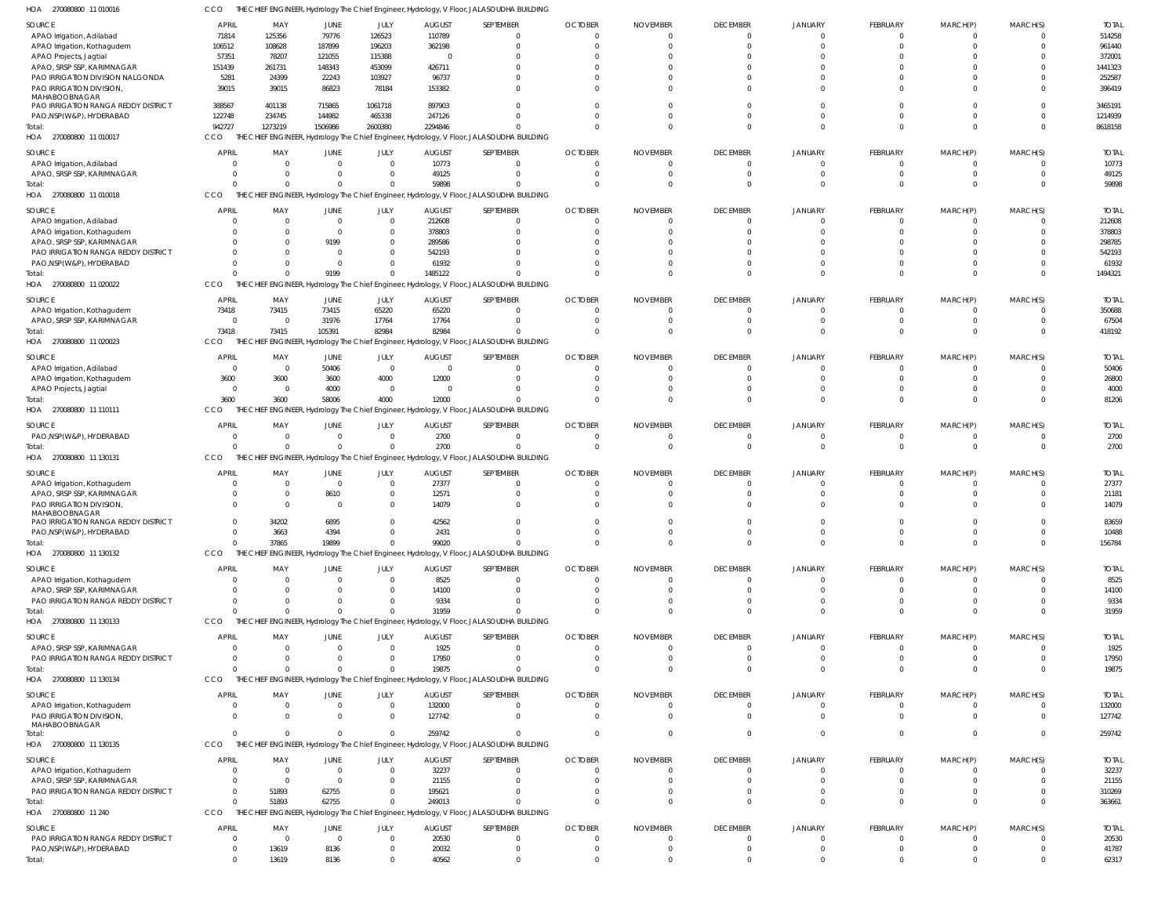| HOA<br>270080800 11 010016                                        | CCO                  |                |                  |                      |                  | THE CHIEF ENGINEER, Hydrology The Chief Engineer, Hydrology, V Floor, JALASOUDHA BUILDING |                |                 |                 |                      |                      |                      |                      |                  |
|-------------------------------------------------------------------|----------------------|----------------|------------------|----------------------|------------------|-------------------------------------------------------------------------------------------|----------------|-----------------|-----------------|----------------------|----------------------|----------------------|----------------------|------------------|
| SOURCE                                                            | APRIL                | MAY            | JUNE             | JULY                 | <b>AUGUST</b>    | SEPTEMBER                                                                                 | <b>OCTOBER</b> | <b>NOVEMBER</b> | <b>DECEMBER</b> | JANUARY              | FEBRUARY             | MARCH(P)             | MARCH(S)             | <b>TOTAI</b>     |
| APAO Irrigation, Adilabad                                         | 71814                | 125356         | 79776            | 126523               | 110789           | $\Omega$                                                                                  |                |                 | $\overline{0}$  | $\Omega$             | 0                    | $\Omega$             | $\Omega$             | 514258           |
| APAO Irrigation, Kothagudem                                       | 106512               | 108628         | 187899           | 196203               | 362198           | $\Omega$                                                                                  |                |                 | $\Omega$        | $\Omega$             | $\Omega$             | $\Omega$             | $\Omega$             | 961440           |
| APAO Projects, Jagtial                                            | 57351                | 78207          | 121055           | 115388               | - 0              | $\Omega$                                                                                  |                |                 |                 |                      | $\cup$               |                      |                      | 372001           |
| APAO, SRSP SSP, KARIMNAGAR                                        | 151439               | 261731         | 148343           | 453099               | 426711           | $\Omega$                                                                                  |                |                 |                 | $\Omega$             | $\Omega$             | C.                   | $\Omega$             | 1441323          |
| PAO IRRIGATION DIVISION NALGONDA                                  | 5281                 | 24399          | 22243            | 103927               | 96737            | $\Omega$<br>$\Omega$                                                                      |                |                 |                 | $\Omega$<br>$\Omega$ | $\Omega$<br>$\Omega$ | $\Omega$<br>$\Omega$ | $\Omega$<br>$\Omega$ | 252587           |
| PAO IRRIGATION DIVISION,<br>MAHABOOBNAGAR                         | 39015                | 39015          | 86823            | 78184                | 153382           |                                                                                           |                |                 |                 |                      |                      |                      |                      | 396419           |
| PAO IRRIGATION RANGA REDDY DISTRICT                               | 388567               | 401138         | 715865           | 1061718              | 897903           | $\Omega$                                                                                  |                |                 |                 | $\Omega$             | $\cup$               | C.                   | $\Omega$             | 3465191          |
| PAO, NSP (W&P), HYDERABAD                                         | 122748               | 234745         | 144982           | 465338               | 247126           | $\Omega$                                                                                  |                |                 | $\Omega$        | $\Omega$             | $\Omega$             | $\Omega$             | $\Omega$             | 1214939          |
| Total:                                                            | 942727               | 1273219        | 1506986          | 2600380              | 2294846          | $\Omega$                                                                                  |                |                 | $\Omega$        | $\Omega$             | $\Omega$             | $\Omega$             | $\Omega$             | 8618158          |
| HOA 270080800 11 010017                                           | CCO                  |                |                  |                      |                  | THE CHIEF ENGINEER, Hydrology The Chief Engineer, Hydrology, V Floor, JALASOUDHA BUILDING |                |                 |                 |                      |                      |                      |                      |                  |
| SOURCE                                                            | <b>APRIL</b>         | MAY            | JUNE             | JULY                 | <b>AUGUST</b>    | SEPTEMBER                                                                                 | <b>OCTOBER</b> | <b>NOVEMBER</b> | <b>DECEMBER</b> | JANUARY              | FEBRUARY             | MARCH(P)             | MARCH(S)             | <b>TOTAI</b>     |
| APAO Irrigation, Adilabad                                         | $\Omega$             |                | $\Omega$         | $\mathbf 0$          | 10773            | $\overline{0}$                                                                            |                |                 | $\overline{0}$  | $\Omega$             | $\overline{0}$       | O                    | $\Omega$             | 10773            |
| APAO, SRSP SSP, KARIMNAGAR                                        | $\Omega$             |                | $\Omega$         | $\Omega$             | 49125            | $\Omega$                                                                                  |                |                 | $\Omega$        | $\Omega$             | $\overline{0}$       | $\mathbf 0$          | $\Omega$             | 49125            |
| Total:                                                            | $\Omega$             |                | $\Omega$         | $\Omega$             | 59898            | $\Omega$                                                                                  |                |                 | $\Omega$        | $\Omega$             | $\mathbf 0$          | $\Omega$             | $\Omega$             | 59898            |
| HOA 270080800 11 010018                                           | CCO                  |                |                  |                      |                  | THE CHIEF ENGINEER, Hydrology The Chief Engineer, Hydrology, V Floor, JALASOUDHA BUILDING |                |                 |                 |                      |                      |                      |                      |                  |
| SOURCE                                                            | <b>APRIL</b>         | MAY            | JUNE             | JULY                 | <b>AUGUST</b>    | SEPTEMBER                                                                                 | <b>OCTOBER</b> | <b>NOVEMBER</b> | <b>DECEMBER</b> | JANUARY              | FEBRUARY             | MARCH(P)             | MARCH(S)             | <b>TOTAI</b>     |
| APAO Irrigation, Adilabad                                         | $\Omega$             | $\Omega$       | $\overline{0}$   | $\mathbf 0$          | 212608           | $\overline{0}$                                                                            |                |                 | $\Omega$        | $\Omega$             | 0                    | 0                    | $\Omega$             | 212608           |
| APAO Irrigation, Kothagudem                                       | $\Omega$             |                | $\Omega$         | $\Omega$             | 378803           | $\Omega$                                                                                  |                |                 |                 |                      | $\Omega$             |                      | $\Omega$             | 378803           |
| APAO, SRSP SSP, KARIMNAGAR<br>PAO IRRIGATION RANGA REDDY DISTRICT | $\Omega$<br>$\Omega$ |                | 9199<br>$\Omega$ | $\Omega$<br>$\Omega$ | 289586<br>542193 | $\Omega$<br>$\Omega$                                                                      |                |                 |                 |                      | $\cup$<br>$\Omega$   | $\cup$               | $\Omega$<br>$\Omega$ | 298785<br>542193 |
| PAO, NSP (W&P), HYDERABAD                                         | $\Omega$             |                | $\Omega$         | $\Omega$             | 61932            | $\Omega$                                                                                  |                |                 | $\Omega$        | $\Omega$             | $\Omega$             | $\Omega$             | $\Omega$             | 61932            |
| Total:                                                            | $\Omega$             |                | 9199             | $\Omega$             | 1485122          | $\Omega$                                                                                  |                |                 | $\Omega$        | $\Omega$             | $\Omega$             | $\mathbf{0}$         | $\Omega$             | 1494321          |
| HOA 270080800 11 020022                                           | CCO                  |                |                  |                      |                  | THE CHIEF ENGINEER, Hydrology The Chief Engineer, Hydrology, V Floor, JALASOUDHA BUILDING |                |                 |                 |                      |                      |                      |                      |                  |
| SOURCE                                                            | <b>APRIL</b>         | MAY            | JUNE             | JULY                 | <b>AUGUST</b>    | SEPTEMBER                                                                                 | <b>OCTOBER</b> | <b>NOVEMBER</b> | <b>DECEMBER</b> | JANUARY              | FEBRUARY             | MARCH(P)             | MARCH(S)             | <b>TOTAI</b>     |
| APAO Irrigation, Kothagudem                                       | 73418                | 73415          | 73415            | 65220                | 65220            | $\overline{0}$                                                                            |                |                 | $\Omega$        | $\Omega$             | 0                    | 0                    | $\Omega$             | 350688           |
| APAO, SRSP SSP, KARIMNAGAR                                        | $\overline{0}$       | - 0            | 31976            | 17764                | 17764            | $\overline{0}$                                                                            |                |                 | $\Omega$        | $\Omega$             | $\overline{0}$       | $\mathbf 0$          | $\Omega$             | 67504            |
| Total:                                                            | 73418                | 73415          | 105391           | 82984                | 82984            | $\Omega$                                                                                  |                |                 | $\Omega$        | $\Omega$             | $\mathbf{0}$         | $\Omega$             | $\Omega$             | 418192           |
| HOA 270080800 11 020023                                           | CCO<br>THE           |                |                  |                      |                  | ENGINEER, Hydrology The Chief Engineer, Hydrology, V Floor, JALASOUDHA BUILDING           |                |                 |                 |                      |                      |                      |                      |                  |
| SOURCE                                                            | <b>APRIL</b>         | MAY            | JUNE             | JULY                 | <b>AUGUST</b>    | SEPTEMBER                                                                                 | <b>OCTOBER</b> | <b>NOVEMBER</b> | <b>DECEMBER</b> | JANUARY              | FEBRUARY             | MARCH(P)             | MARCH(S)             | <b>TOTAI</b>     |
| APAO Irrigation, Adilabad                                         | $\overline{0}$       | $\overline{0}$ | 50406            | $\overline{0}$       | $\Omega$         | $\Omega$                                                                                  |                |                 | $\Omega$        | $\Omega$             | $\Omega$             | C.                   | $\Omega$             | 50406            |
| APAO Irrigation, Kothagudem                                       | 3600                 | 3600           | 3600             | 4000                 | 12000            | $\overline{0}$                                                                            |                |                 | $\Omega$        | $\Omega$             | $\mathbf 0$          | $\Omega$             | $\Omega$             | 26800            |
| APAO Projects, Jagtial                                            | $\Omega$             | $\overline{0}$ | 4000             | $\overline{0}$       | - 0              | $\Omega$                                                                                  |                |                 | $\Omega$        | $\Omega$             | $\Omega$             | $\Omega$             | $\Omega$             | 4000             |
| Total:                                                            | 3600                 | 3600           | 58006            | 4000                 | 12000            | $\Omega$                                                                                  |                |                 | $\Omega$        | $\Omega$             | $\Omega$             | $\mathbf{0}$         | $\Omega$             | 81206            |
| HOA 270080800 11 110111                                           | CCO                  | THE CHIEF      |                  |                      |                  | FINGINEER, Hydrology The Chief Engineer, Hydrology, V Floor, JALASOUDHA BUILDING          |                |                 |                 |                      |                      |                      |                      |                  |
| SOURCE                                                            | <b>APRIL</b>         | MAY            | JUNE             | JULY                 | <b>AUGUST</b>    | SEPTEMBER                                                                                 | <b>OCTOBER</b> | <b>NOVEMBER</b> | <b>DECEMBER</b> | JANUARY              | FEBRUARY             | MARCH(P)             | MARCH(S)             | <b>TOTAL</b>     |
| PAO, NSP (W&P), HYDERABAD                                         | $\overline{0}$       | $\Omega$       | $\Omega$         | $\mathbf 0$          | 2700             | $\overline{0}$                                                                            |                |                 | $\Omega$        | $\Omega$             | $\overline{0}$       | O                    | $\Omega$             | 2700             |
| Total:                                                            | $\Omega$             | $\Omega$       | $\overline{0}$   | $\Omega$             | 2700             | $\overline{0}$                                                                            |                |                 | $\overline{0}$  | $\Omega$             | $\mathbf{0}$         | $\mathbf{0}$         | $\overline{0}$       | 2700             |
| HOA 270080800 11 130131                                           | CCO                  |                |                  |                      |                  | THE CHIEF ENGINEER, Hydrology The Chief Engineer, Hydrology, V Floor, JALASOUDHA BUILDING |                |                 |                 |                      |                      |                      |                      |                  |
| SOURCE                                                            | <b>APRIL</b>         | MAY            | JUNE             | JULY                 | <b>AUGUST</b>    | SEPTEMBER                                                                                 | <b>OCTOBER</b> | <b>NOVEMBER</b> | <b>DECEMBER</b> | JANUARY              | FEBRUARY             | MARCH(P)             | MARCH(S)             | <b>TOTAI</b>     |
| APAO Irrigation, Kothagudem                                       | $\Omega$             | $\Omega$       | $\overline{0}$   | $\mathbf 0$          | 27377            | $\overline{0}$                                                                            |                |                 | 0               | $\Omega$             | $\mathbf 0$          | $\Omega$             | $\Omega$             | 27377            |
| APAO, SRSP SSP, KARIMNAGAR                                        | $\Omega$             | $\overline{0}$ | 8610             | $\mathbf 0$          | 12571            | $\Omega$                                                                                  |                |                 | $\Omega$        |                      | $\Omega$             | $\Omega$             | $\Omega$             | 21181            |
| PAO IRRIGATION DIVISION,                                          | $\Omega$             | $\Omega$       | $\Omega$         | $\Omega$             | 14079            | $\Omega$                                                                                  |                |                 | $\Omega$        | $\Omega$             | $\Omega$             | $\Omega$             | $\Omega$             | 14079            |
| MAHABOOBNAGAR<br>PAO IRRIGATION RANGA REDDY DISTRICT              | $\Omega$             | 34202          | 6895             | $\Omega$             | 42562            | $\Omega$                                                                                  |                |                 |                 | $\Omega$             | $\Omega$             | $\Omega$             | $\Omega$             | 83659            |
| PAO, NSP(W&P), HYDERABAD                                          |                      | 3663           | 4394             |                      | 2431             |                                                                                           |                |                 |                 |                      |                      |                      |                      | 10488            |
| Total:                                                            | $\Omega$             | 37865          | 19899            | $\Omega$             | 99020            | $\Omega$                                                                                  | $\cap$         |                 | $\Omega$        | $\Omega$             | $\Omega$             | $\Omega$             | $\Omega$             | 156784           |
| HOA 270080800 11 130132                                           | CCO                  |                |                  |                      |                  | THE CHIEF ENGINEER, Hydrology The Chief Engineer, Hydrology, V Floor, JALASOUDHA BUILDING |                |                 |                 |                      |                      |                      |                      |                  |
| SOURCE                                                            | <b>APRIL</b>         | MAY            | JUNE             | JULY                 | <b>AUGUST</b>    | SEPTEMBER                                                                                 | <b>OCTOBER</b> | <b>NOVEMBER</b> | <b>DECEMBER</b> | JANUARY              | FEBRUARY             | MARCH(P)             | MARCH(S)             | <b>TOTAL</b>     |
| APAO Irrigation, Kothagudem                                       | $\overline{0}$       | -0             | $\Omega$         | $\mathbf{0}$         | 8525             | $\overline{0}$                                                                            |                |                 | $\Omega$        | $\overline{0}$       | $\overline{0}$       | $^{\circ}$           | $\Omega$             | 8525             |
| APAO, SRSP SSP, KARIMNAGAR                                        | $\Omega$             |                |                  | $\mathbf{0}$         | 14100            | $\overline{0}$                                                                            |                |                 | $\Omega$        | $\Omega$             | $\mathbf 0$          | $\Omega$             | $\Omega$             | 14100            |
| PAO IRRIGATION RANGA REDDY DISTRICT                               | $\Omega$             |                |                  | 0                    | 9334             | $\Omega$                                                                                  |                |                 |                 | $\Omega$             | $\mathbf 0$          | $\Omega$             | $\Omega$             | 9334             |
| Total:                                                            | $\Omega$             |                | $\Omega$         | $\Omega$             | 31959            | $\Omega$                                                                                  |                |                 | $\Omega$        | $\Omega$             | $\Omega$             | $\Omega$             | $\Omega$             | 31959            |
| HOA 270080800 11 130133                                           | CCO                  |                |                  |                      |                  | THE CHIEF ENGINEER, Hydrology The Chief Engineer, Hydrology, V Floor, JALASOUDHA BUILDING |                |                 |                 |                      |                      |                      |                      |                  |
| SOURCE                                                            | <b>APRIL</b>         | MAY            | JUNE             | JULY                 | <b>AUGUST</b>    | SEPTEMBER                                                                                 | <b>OCTOBER</b> | <b>NOVEMBER</b> | <b>DECEMBER</b> | JANUARY              | <b>FEBRUARY</b>      | MARCH(P)             | MARCH(S)             | <b>TOTAL</b>     |
| APAO, SRSP SSP, KARIMNAGAR                                        | $\Omega$             | $\Omega$       | $\Omega$         | $\Omega$             | 1925             | $\overline{0}$                                                                            |                |                 | $\Omega$        | $\Omega$             | $\Omega$             | $\Omega$             | $\Omega$             | 1925             |
| PAO IRRIGATION RANGA REDDY DISTRICT                               | $\overline{0}$       | $\Omega$       | $\Omega$         | $\mathbf{0}$         | 17950            | $\overline{0}$                                                                            |                |                 | $\Omega$        | $\Omega$             | $\mathbf 0$          | $\mathbf 0$          | $\Omega$             | 17950            |
| Total:                                                            | $\Omega$             | $\Omega$       | $\Omega$         | $\Omega$             | 19875            | $\Omega$                                                                                  |                |                 | $\Omega$        | $\Omega$             | $\Omega$             | $\Omega$             | $\Omega$             | 19875            |
| HOA 270080800 11 130134                                           | CCO                  |                |                  |                      |                  | THE CHIEF ENGINEER, Hydrology The Chief Engineer, Hydrology, V Floor, JALASOUDHA BUILDING |                |                 |                 |                      |                      |                      |                      |                  |
| SOURCE                                                            | <b>APRIL</b>         | MAY            | JUNE             | JULY                 | <b>AUGUST</b>    | SEPTEMBER                                                                                 | <b>OCTOBER</b> | <b>NOVEMBER</b> | <b>DECEMBER</b> | JANUARY              | FEBRUARY             | MARCH(P)             | MARCH(S)             | <b>TOTAL</b>     |
| APAO Irrigation, Kothagudem                                       | $\overline{0}$       | $\Omega$       | $\overline{0}$   | $\mathbf 0$          | 132000           | $\overline{0}$                                                                            |                |                 | $\overline{0}$  | $\overline{0}$       | $\overline{0}$       | $\mathbf 0$          | $\Omega$             | 132000           |
| PAO IRRIGATION DIVISION,<br>MAHABOOBNAGAR                         | $\Omega$             | $\Omega$       | $\Omega$         | $\mathbf 0$          | 127742           | $\overline{0}$                                                                            |                |                 | $\Omega$        | $\Omega$             | $\Omega$             | $\Omega$             | $\Omega$             | 127742           |
| Total:                                                            | $\overline{0}$       | $\Omega$       | $\overline{0}$   | $\Omega$             | 259742           | $\overline{0}$                                                                            |                |                 | $\Omega$        | $\Omega$             | $\overline{0}$       | $\mathbf 0$          | $\Omega$             | 259742           |
| HOA 270080800 11 130135                                           | CCO<br>THE           |                |                  |                      |                  | CHIEF ENGINEER, Hydrology The Chief Engineer, Hydrology, V Floor, JALASOUDHA BUILDING     |                |                 |                 |                      |                      |                      |                      |                  |
| SOURCE                                                            | <b>APRIL</b>         | MAY            | JUNE             | JULY                 | <b>AUGUST</b>    | SEPTEMBER                                                                                 | <b>OCTOBER</b> | <b>NOVEMBER</b> | <b>DECEMBER</b> | JANUARY              | FEBRUARY             | MARCH(P)             | MARCH(S)             | <b>TOTAL</b>     |
| APAO Irrigation, Kothagudem                                       | $\Omega$             | $\Omega$       | $\Omega$         | $\Omega$             | 32237            | $\Omega$                                                                                  |                |                 | $\Omega$        | $\Omega$             | $\Omega$             | $\Omega$             | $\Omega$             | 32237            |
| APAO, SRSP SSP, KARIMNAGAR                                        | $\Omega$             | $\overline{0}$ | $\Omega$         | $\Omega$             | 21155            | $\Omega$                                                                                  |                |                 | $\Omega$        | $\Omega$             | $\Omega$             | $\mathbf 0$          | $\Omega$             | 21155            |
| PAO IRRIGATION RANGA REDDY DISTRICT                               | $\Omega$             | 51893          | 62755            | $\Omega$             | 195621           | $\overline{0}$                                                                            |                |                 |                 | $\Omega$             | $\mathbf 0$          | $\mathbf 0$          | $\Omega$             | 310269           |
| Total:                                                            | $\Omega$             | 51893          | 62755            | $\Omega$             | 249013           | $\Omega$                                                                                  |                |                 | $\Omega$        | $\Omega$             | $\Omega$             | $\Omega$             | $\Omega$             | 363661           |
| HOA 270080800 11 240                                              | CCO                  | THE CHIEF      |                  |                      |                  | ENGINEER, Hydrology The Chief Engineer, Hydrology, V Floor, JALASOUDHA BUILDING           |                |                 |                 |                      |                      |                      |                      |                  |
| SOURCE                                                            | <b>APRIL</b>         | MAY            | JUNE             | JULY                 | <b>AUGUST</b>    | SEPTEMBER                                                                                 | <b>OCTOBER</b> | <b>NOVEMBER</b> | <b>DECEMBER</b> | JANUARY              | FEBRUARY             | MARCH(P)             | MARCH(S)             | <b>TOTAL</b>     |
| PAO IRRIGATION RANGA REDDY DISTRICT                               | $\overline{0}$       | - 0            | $\Omega$         | $\mathbf{0}$         | 20530            | $\overline{0}$                                                                            | $\cap$         |                 | $\overline{0}$  | $\overline{0}$       | $\overline{0}$       | $^{\circ}$           | $\Omega$             | 20530            |
| PAO, NSP (W&P), HYDERABAD                                         | $\overline{0}$       | 13619          | 8136             | 0                    | 20032            | $\overline{0}$                                                                            |                |                 | $\overline{0}$  | $\overline{0}$       | $\mathbf 0$          | $\mathbf 0$          | $\overline{0}$       | 41787            |
| Total:                                                            | $\overline{0}$       | 13619          | 8136             | $\Omega$             | 40562            | $\Omega$                                                                                  |                |                 | $\Omega$        | $\Omega$             | $\Omega$             | $\Omega$             | $\Omega$             | 62317            |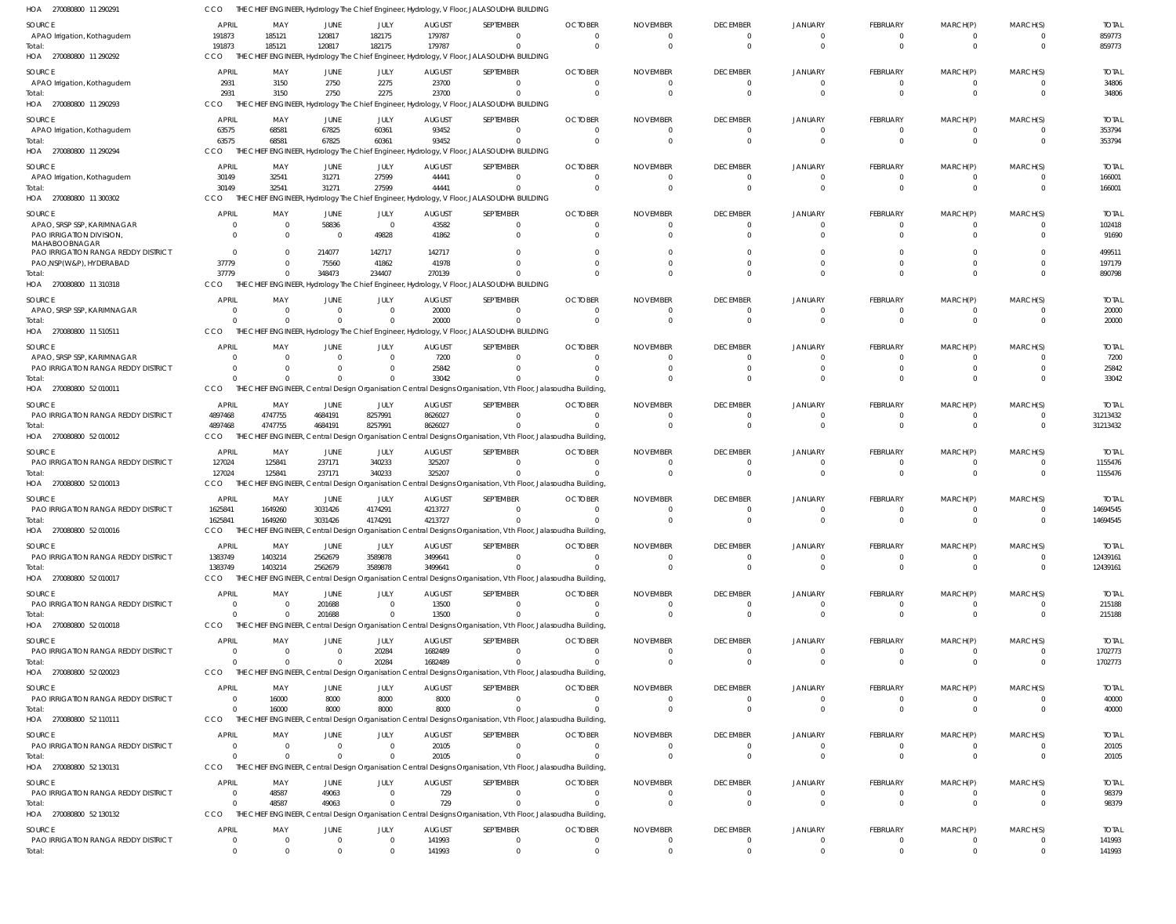| HOA<br>270080800 11 29029                                                       | CCO                          |                            |                               |                        |                          | THE CHIEF ENGINEER, Hydrology The Chief Engineer, Hydrology, V Floor, JALASOUDHA BUILDING                                |                                     |                                     |                                |                            |                            |                 |                         |                          |
|---------------------------------------------------------------------------------|------------------------------|----------------------------|-------------------------------|------------------------|--------------------------|--------------------------------------------------------------------------------------------------------------------------|-------------------------------------|-------------------------------------|--------------------------------|----------------------------|----------------------------|-----------------|-------------------------|--------------------------|
| SOURCE                                                                          | <b>APRIL</b>                 | MAY                        | JUNE                          | JULY                   | <b>AUGUST</b>            | SEPTEMBER                                                                                                                | <b>OCTOBER</b>                      | <b>NOVEMBER</b>                     | <b>DECEMBER</b>                | <b>JANUARY</b>             | <b>FEBRUARY</b>            | MARCH(P)        | MARCH(S)                | <b>TOTAL</b>             |
| APAO Irrigation, Kothagudem                                                     | 191873<br>191873             | 185121<br>185121           | 120817<br>120817              | 182175<br>182175       | 179787<br>179787         | $\Omega$<br>$\Omega$                                                                                                     | $\Omega$<br>$\Omega$                | $\overline{\mathbf{0}}$<br>$\Omega$ | 0<br>$\mathbf 0$               | 0<br>$\Omega$              | - 0<br>$\Omega$            | - 0<br>$\Omega$ | $\Omega$<br>$\mathbf 0$ | 859773<br>859773         |
| HOA 270080800 11 290292                                                         | CCO                          |                            |                               |                        |                          | THE CHIEF ENGINEER, Hydrology The Chief Engineer, Hydrology, V Floor, JALASOUDHA BUILDING                                |                                     |                                     |                                |                            |                            |                 |                         |                          |
| SOURCE                                                                          | <b>APRIL</b>                 | MAY                        | JUNE                          | JULY                   | <b>AUGUST</b>            | SEPTEMBER                                                                                                                | <b>OCTOBER</b>                      | <b>NOVEMBER</b>                     | <b>DECEMBER</b>                | <b>JANUARY</b>             | FEBRUARY                   | MARCH(P)        | MARCH(S)                | <b>TOTAL</b>             |
| APAO Irrigation, Kothagudem                                                     | 2931                         | 3150                       | 2750                          | 2275                   | 23700                    | 0                                                                                                                        | $\Omega$                            | $\overline{0}$                      | 0                              | 0                          | - 0                        |                 | 0                       | 34806                    |
| HOA 270080800 11 290293                                                         | 2931<br>CCO                  | 3150                       | 2750                          | 2275                   | 23700                    | -0<br>THE CHIEF ENGINEER, Hydrology The Chief Engineer, Hydrology, V Floor, JALASOUDHA BUILDING                          | $\Omega$                            | $\Omega$                            | $\Omega$                       | $\Omega$                   | - 0                        |                 | $\Omega$                | 34806                    |
|                                                                                 |                              |                            |                               |                        |                          |                                                                                                                          |                                     |                                     |                                |                            |                            |                 |                         |                          |
| SOURCE<br>APAO Irrigation, Kothagudem                                           | <b>APRIL</b><br>63575        | MAY<br>68581               | JUNE<br>67825                 | JULY<br>60361          | <b>AUGUST</b><br>93452   | SEPTEMBER<br>$\Omega$                                                                                                    | <b>OCTOBER</b><br>$\Omega$          | NOVEMBER<br>$\Omega$                | <b>DECEMBER</b><br>$\Omega$    | <b>JANUARY</b><br>$\Omega$ | FEBRUARY<br>- 0            | MARCH(P)        | MARCH(S)<br>$\Omega$    | <b>TOTAL</b><br>353794   |
|                                                                                 | 63575                        | 68581                      | 67825                         | 60361                  | 93452                    | $\Omega$                                                                                                                 | $\Omega$                            | $\overline{0}$                      | $\mathbf 0$                    | $\mathbf 0$                | $\Omega$                   | $\Omega$        | $\mathbf 0$             | 353794                   |
| HOA 270080800 11 290294                                                         | <b>CCO</b>                   |                            |                               |                        |                          | THE CHIEF ENGINEER, Hydrology The Chief Engineer, Hydrology, V Floor, JALASOUDHA BUILDING                                |                                     |                                     |                                |                            |                            |                 |                         |                          |
| SOURCE                                                                          | <b>APRIL</b>                 | MAY                        | JUNE                          | JULY                   | <b>AUGUST</b>            | SEPTEMBER                                                                                                                | <b>OCTOBER</b>                      | <b>NOVEMBER</b>                     | <b>DECEMBER</b>                | <b>JANUARY</b>             | <b>FEBRUARY</b>            | MARCH(P)        | MARCH(S)                | <b>TOTAL</b>             |
| APAO Irrigation, Kothagudem                                                     | 30149<br>30149               | 32541<br>32541             | 31271<br>31271                | 27599<br>27599         | 44441<br>44441           | 0<br>$\Omega$                                                                                                            | $\overline{\mathbf{0}}$<br>$\Omega$ | $\overline{0}$<br>$\Omega$          | 0<br>$\mathbf 0$               | 0<br>$\mathbf 0$           | - 0<br>$\Omega$            |                 | 0<br>$\mathbf 0$        | 166001<br>166001         |
| HOA 270080800 11 300302                                                         | CCO                          |                            |                               |                        |                          | THE CHIEF ENGINEER, Hydrology The Chief Engineer, Hydrology, V Floor, JALASOUDHA BUILDING                                |                                     |                                     |                                |                            |                            |                 |                         |                          |
| SOURCE                                                                          | <b>APRIL</b>                 | MAY                        | JUNE                          | JULY                   | <b>AUGUST</b>            | SEPTEMBER                                                                                                                | <b>OCTOBER</b>                      | <b>NOVEMBER</b>                     | <b>DECEMBER</b>                | <b>JANUARY</b>             | FEBRUARY                   | MARCH(P)        | MARCH(S)                | <b>TOTAL</b>             |
| APAO, SRSP SSP, KARIMNAGAR                                                      | $\Omega$<br>$\Omega$         | $\overline{0}$<br>$\Omega$ | 58836<br>$\Omega$             | $\overline{0}$         | 43582                    | $^{\circ}$                                                                                                               | $\overline{0}$<br>$\Omega$          | $\overline{0}$<br>$\Omega$          | $\Omega$                       | $\Omega$                   | $\Omega$<br>$\Omega$       | $\Omega$        | $\Omega$                | 102418                   |
| PAO IRRIGATION DIVISION<br>MAHABOOBNAGAR<br>PAO IRRIGATION RANGA REDDY DISTRICT | $\Omega$                     | $\Omega$                   | 214077                        | 49828<br>142717        | 41862<br>142717          | $\Omega$<br>$\Omega$                                                                                                     | - 0                                 | $\Omega$                            | $\Omega$<br>$\Omega$           | $\Omega$                   |                            |                 | $\Omega$<br>$\Omega$    | 91690<br>499511          |
| PAO, NSP(W&P), HYDERABAD                                                        | 37779                        |                            | 75560                         | 41862                  | 41978                    | $\Omega$                                                                                                                 | $\Omega$                            | $\Omega$                            | $\Omega$                       | $\Omega$                   |                            |                 | $\Omega$                | 197179                   |
| Total:<br>HOA 270080800 11310318                                                | 37779<br>CCO                 | $\Omega$                   | 348473                        | 234407                 | 270139                   | $\Omega$<br>THE CHIEF ENGINEER, Hydrology The Chief Engineer, Hydrology, V Floor, JALASOUDHA BUILDING                    | $\Omega$                            | $\Omega$                            | $\Omega$                       | $\Omega$                   | $\Omega$                   | $\Omega$        | $\Omega$                | 890798                   |
|                                                                                 | <b>APRIL</b>                 | MAY                        |                               |                        |                          |                                                                                                                          |                                     | <b>NOVEMBER</b>                     |                                |                            |                            |                 |                         |                          |
| SOURCE<br>APAO, SRSP SSP, KARIMNAGAR                                            | 0                            | $\Omega$                   | JUNE<br>$\overline{0}$        | JULY<br>$\overline{0}$ | <b>AUGUST</b><br>20000   | SEPTEMBER<br>0                                                                                                           | <b>OCTOBER</b><br>$\Omega$          | $\overline{0}$                      | <b>DECEMBER</b><br>0           | <b>JANUARY</b><br>0        | FEBRUARY                   | MARCH(P)        | MARCH(S)<br>$\Omega$    | <b>TOTAL</b><br>20000    |
| Total:                                                                          | $\Omega$                     | $\Omega$                   | $\overline{0}$                | $\overline{0}$         | 20000                    | 0                                                                                                                        | $\Omega$                            | $\overline{0}$                      | $\mathbf{0}$                   | $\mathbf 0$                | $\Omega$                   |                 | $\mathbf 0$             | 20000                    |
| HOA 270080800 11510511                                                          | CCO                          |                            |                               |                        |                          | THE CHIEF ENGINEER, Hydrology The Chief Engineer, Hydrology, V Floor, JALASOUDHA BUILDING                                |                                     |                                     |                                |                            |                            |                 |                         |                          |
| SOURCE<br>APAO, SRSP SSP, KARIMNAGAR                                            | <b>APRIL</b><br>$\Omega$     | MAY                        | JUNE<br>$\Omega$              | JULY<br>$\overline{0}$ | <b>AUGUST</b><br>7200    | SEPTEMBER<br>$\Omega$                                                                                                    | <b>OCTOBER</b><br>$\Omega$          | <b>NOVEMBER</b><br>$\Omega$         | <b>DECEMBER</b><br>$\Omega$    | <b>JANUARY</b><br>$\Omega$ | FEBRUARY<br>- 0            | MARCH(P)        | MARCH(S)<br>$\Omega$    | <b>TOTAL</b><br>7200     |
| PAO IRRIGATION RANGA REDDY DISTRICT                                             | $\Omega$                     | $\Omega$                   | $\Omega$                      | $\Omega$               | 25842                    | $\Omega$                                                                                                                 | $\Omega$                            | $\Omega$                            | $\Omega$                       | $\Omega$                   |                            |                 | $\Omega$                | 25842                    |
| Total:                                                                          | $\Omega$                     | $\Omega$                   | $\overline{0}$                | $\Omega$               | 33042                    | $\Omega$                                                                                                                 |                                     | $\Omega$                            | $\Omega$                       | $\Omega$                   |                            |                 | $\Omega$                | 33042                    |
| HOA 270080800 52010011                                                          | CCO                          |                            |                               |                        |                          | THE CHIEF ENGINEER, Central Design Organisation Central Designs Organisation, Vth Floor, Jalasoudha Building             |                                     |                                     |                                |                            |                            |                 |                         |                          |
| SOURCE<br>PAO IRRIGATION RANGA REDDY DISTRICT                                   | <b>APRIL</b><br>4897468      | MAY<br>4747755             | JUNE<br>4684191               | JULY<br>8257991        | <b>AUGUST</b><br>8626027 | SEPTEMBER<br>$\Omega$                                                                                                    | <b>OCTOBER</b><br>$\Omega$          | <b>NOVEMBER</b><br>$\overline{0}$   | <b>DECEMBER</b><br>0           | <b>JANUARY</b><br>0        | <b>FEBRUARY</b><br>- 0     | MARCH(P)        | MARCH(S)<br>0           | <b>TOTAL</b><br>31213432 |
| Total:                                                                          | 4897468                      | 4747755                    | 4684191                       | 8257991                | 8626027                  | $\Omega$                                                                                                                 | $\Omega$                            | $\Omega$                            | $\mathbf 0$                    | $\mathbf 0$                | $\Omega$                   |                 | $\mathbf 0$             | 31213432                 |
| HOA 270080800 52 010012                                                         | CCO                          |                            |                               |                        |                          | THE CHIEF ENGINEER, Central Design Organisation Central Designs Organisation, Vth Floor, Jalasoudha Building             |                                     |                                     |                                |                            |                            |                 |                         |                          |
| SOURCE                                                                          | <b>APRIL</b>                 | MAY                        | JUNE                          | JULY                   | <b>AUGUST</b>            | SEPTEMBER                                                                                                                | <b>OCTOBER</b>                      | <b>NOVEMBER</b>                     | <b>DECEMBER</b>                | <b>JANUARY</b>             | FEBRUARY                   | MARCH(P)        | MARCH(S)                | <b>TOTAL</b>             |
| PAO IRRIGATION RANGA REDDY DISTRICT<br>Total:                                   | 127024<br>127024             | 125841<br>125841           | 237171<br>237171              | 340233<br>340233       | 325207<br>325207         | $^{\circ}$<br>$\Omega$                                                                                                   | $\Omega$<br>$\Omega$                | $\overline{0}$<br>$\Omega$          | $\Omega$<br>$\Omega$           | $\Omega$<br>$\Omega$       | $\Omega$<br>$\Omega$       | $\Omega$        | $\Omega$<br>$\Omega$    | 1155476<br>1155476       |
| HOA 270080800 52010013                                                          | <b>CCO</b>                   |                            |                               |                        |                          | THE CHIEF ENGINEER, Central Design Organisation Central Designs Organisation, Vth Floor, Jalasoudha Building             |                                     |                                     |                                |                            |                            |                 |                         |                          |
| SOURCE                                                                          | <b>APRIL</b>                 | MAY                        | JUNE                          | JULY                   | <b>AUGUST</b>            | SEPTEMBER                                                                                                                | <b>OCTOBER</b>                      | <b>NOVEMBER</b>                     | <b>DECEMBER</b>                | <b>JANUARY</b>             | FEBRUARY                   | MARCH(P)        | MARCH(S)                | <b>TOTAL</b>             |
| PAO IRRIGATION RANGA REDDY DISTRICT                                             | 1625841<br>1625841           | 1649260<br>1649260         | 3031426<br>3031426            | 4174291<br>4174291     | 4213727<br>4213727       | 0<br>0                                                                                                                   | $\Omega$<br>$\Omega$                | $\Omega$<br>$\Omega$                | $\Omega$<br>$\Omega$           | 0<br>$\Omega$              | - 0                        |                 | 0<br>$\Omega$           | 14694545<br>14694545     |
| lotal:<br>HOA 270080800 52 010016                                               |                              |                            |                               |                        |                          | CCO THE CHIEF ENGINEER, Central Design Organisation Central Designs Organisation, Vth Floor, Jalasoudha Building         |                                     |                                     |                                |                            |                            |                 |                         |                          |
| SOURCE                                                                          | <b>APRIL</b>                 | MAY                        | JUNE                          | JULY                   | <b>AUGUST</b>            | SEPTEMBER                                                                                                                | <b>OCTOBER</b>                      | <b>NOVEMBER</b>                     | <b>DECEMBER</b>                | <b>JANUARY</b>             | <b>FEBRUARY</b>            | MARCH(P)        | MARCH(S)                | <b>TOTAL</b>             |
| <b>PAO IRRIGATION RANGA REDDY DISTRICT</b>                                      | 1383749                      | 1403214                    | 2562679                       | 3589878                | 3499641                  | $\Omega$                                                                                                                 | $\Omega$                            | $\Omega$                            | $\mathbf{0}$                   | $\overline{0}$             | - 0                        |                 | $\Omega$                | 12439161                 |
| Total:<br>HOA 270080800 52 010017                                               | 1383749<br>CCO               | 1403214                    | 2562679                       | 3589878                | 3499641                  | $\Omega$<br>THE CHIEF ENGINEER, Central Design Organisation Central Designs Organisation, Vth Floor, Jalasoudha Building | $\Omega$                            | $\overline{0}$                      | $\Omega$                       | $\mathbf 0$                | $\Omega$                   | $\Omega$        | $\mathbf{0}$            | 12439161                 |
| SOURCE                                                                          | APRIL                        | MAY                        | <b>JUNE</b>                   | JULY                   | <b>AUGUST</b>            | SEPTEMBER                                                                                                                | <b>OCTOBER</b>                      | <b>NOVEMBER</b>                     | <b>DECEMBER</b>                | <b>JANUARY</b>             | FEBRUARY                   | MARCH(P)        | MARCH(S)                | <b>TOTAL</b>             |
| PAO IRRIGATION RANGA REDDY DISTRICT                                             | $\mathbf{0}$                 | $\Omega$                   | 201688                        | $\overline{0}$         | 13500                    | $\Omega$                                                                                                                 | $\overline{\mathbf{0}}$             | $\overline{\mathbf{0}}$             | 0                              | 0                          | - 0                        |                 | $\Omega$                | 215188                   |
| Total:                                                                          | $\mathbf{0}$                 | $\Omega$                   | 201688                        | $\overline{0}$         | 13500                    | $\Omega$                                                                                                                 | $\Omega$                            | $\overline{0}$                      | $\mathbf{0}$                   | $\mathbf{0}$               | $\Omega$                   | - 0             | $\mathbf{0}$            | 215188                   |
| HOA 270080800 52 010018                                                         | CCO                          |                            |                               |                        |                          | THE CHIEF ENGINEER, Central Design Organisation Central Designs Organisation, Vth Floor, Jalasoudha Building             |                                     |                                     |                                |                            |                            |                 |                         |                          |
| SOURCE<br><b>PAO IRRIGATION RANGA REDDY DISTRICT</b>                            | <b>APRIL</b><br>$\Omega$     | MAY<br>$\Omega$            | <b>JUNE</b><br>$\overline{0}$ | JULY<br>20284          | <b>AUGUST</b><br>1682489 | SEPTEMBER<br>$\overline{0}$                                                                                              | <b>OCTOBER</b><br>$\Omega$          | <b>NOVEMBER</b><br>$\Omega$         | <b>DECEMBER</b><br>$\Omega$    | <b>JANUARY</b><br>$\Omega$ | FEBRUARY<br>- 0            | MARCH(P)<br>- 0 | MARCH(S)<br>$\Omega$    | <b>TOTAL</b><br>1702773  |
| Total:                                                                          | $\Omega$                     | $\Omega$                   | $\overline{0}$                | 20284                  | 1682489                  | $\Omega$                                                                                                                 | $\Omega$                            | $\Omega$                            | $\mathbf{0}$                   | $\mathbf 0$                | $\Omega$                   | $\Omega$        | $\mathbf 0$             | 1702773                  |
| HOA 270080800 52020023                                                          | CCO                          |                            |                               |                        |                          | THE CHIEF ENGINEER, Central Design Organisation Central Designs Organisation, Vth Floor, Jalasoudha Building             |                                     |                                     |                                |                            |                            |                 |                         |                          |
| SOURCE                                                                          | <b>APRIL</b>                 | MAY                        | JUNE                          | JULY                   | <b>AUGUST</b>            | SEPTEMBER                                                                                                                | <b>OCTOBER</b>                      | <b>NOVEMBER</b>                     | <b>DECEMBER</b>                | <b>JANUARY</b>             | FEBRUARY                   | MARCH(P)        | MARCH(S)                | <b>TOTAL</b>             |
| PAO IRRIGATION RANGA REDDY DISTRICT<br>Total:                                   | $\mathbf{0}$<br>0            | 16000<br>16000             | 8000<br>8000                  | 8000<br>8000           | 8000<br>8000             | $\overline{0}$<br>$\Omega$                                                                                               | $\overline{0}$<br>$\Omega$          | $\overline{0}$<br>$\Omega$          | $\mathbf 0$<br>$\Omega$        | 0<br>$\Omega$              | - 0<br>$\Omega$            | - 0<br>$\Omega$ | 0<br>$\Omega$           | 40000<br>40000           |
| HOA 270080800 52 110111                                                         | CCO                          |                            |                               |                        |                          | THE CHIEF ENGINEER, Central Design Organisation Central Designs Organisation, Vth Floor, Jalasoudha Building             |                                     |                                     |                                |                            |                            |                 |                         |                          |
| SOURCE                                                                          | <b>APRIL</b>                 | MAY                        | JUNE                          | JULY                   | <b>AUGUST</b>            | SEPTEMBER                                                                                                                | <b>OCTOBER</b>                      | <b>NOVEMBER</b>                     | <b>DECEMBER</b>                | <b>JANUARY</b>             | FEBRUARY                   | MARCH(P)        | MARCH(S)                | <b>TOTAL</b>             |
| PAO IRRIGATION RANGA REDDY DISTRICT                                             | $\Omega$                     | $\Omega$                   | $\overline{0}$                | $\overline{0}$         | 20105                    | $\Omega$                                                                                                                 | $\Omega$                            | $\Omega$                            | $\Omega$                       | $\Omega$                   | - 0                        |                 | $\Omega$                | 20105                    |
| Total:<br>HOA 270080800 52 130131                                               | $\Omega$<br>CCO              | $\Omega$                   | $\overline{0}$                | $\Omega$               | 20105                    | $\Omega$<br>THE CHIEF ENGINEER, Central Design Organisation Central Designs Organisation, Vth Floor, Jalasoudha Building | $\Omega$                            | $\Omega$                            | $\mathbf{0}$                   | $\mathbf 0$                | $\Omega$                   | $\Omega$        | $\mathbf{0}$            | 20105                    |
| SOURCE                                                                          | <b>APRIL</b>                 | MAY                        | JUNE                          | JULY                   | <b>AUGUST</b>            | SEPTEMBER                                                                                                                | <b>OCTOBER</b>                      | <b>NOVEMBER</b>                     | <b>DECEMBER</b>                | <b>JANUARY</b>             | FEBRUARY                   | MARCH(P)        | MARCH(S)                | <b>TOTAL</b>             |
| PAO IRRIGATION RANGA REDDY DISTRICT                                             | $\mathbf{0}$                 | 48587                      | 49063                         | $\overline{0}$         | 729                      | $^{\circ}$                                                                                                               | $\overline{\mathbf{0}}$             | $\overline{\mathbf{0}}$             | 0                              | 0                          | - 0                        |                 | $\Omega$                | 98379                    |
| Total:                                                                          | $\mathbf{0}$                 | 48587                      | 49063                         | $\overline{0}$         | 729                      | $\Omega$                                                                                                                 | $\Omega$                            | $\overline{0}$                      | $\mathbf{0}$                   | $\mathbf 0$                | $\Omega$                   | $\Omega$        | $\mathbf 0$             | 98379                    |
| HOA 270080800 52 130132                                                         | CCO                          |                            |                               |                        |                          | THE CHIEF ENGINEER, Central Design Organisation Central Designs Organisation, Vth Floor, Jalasoudha Building             |                                     |                                     |                                |                            |                            |                 |                         |                          |
| SOURCE<br>PAO IRRIGATION RANGA REDDY DISTRICT                                   | <b>APRIL</b><br>$\mathbf{0}$ | MAY<br>$\Omega$            | JUNE<br>$\overline{0}$        | JULY<br>$\overline{0}$ | <b>AUGUST</b><br>141993  | SEPTEMBER<br>$^{\circ}$                                                                                                  | <b>OCTOBER</b><br>$\overline{0}$    | <b>NOVEMBER</b><br>$\overline{0}$   | <b>DECEMBER</b><br>$\mathbf 0$ | <b>JANUARY</b><br>0        | FEBRUARY<br>$\overline{0}$ | MARCH(P)<br>- 0 | MARCH(S)<br>0           | <b>TOTAL</b><br>141993   |
| Total:                                                                          | $\mathbf{0}$                 | $\overline{0}$             | $\overline{0}$                | $\overline{0}$         | 141993                   | $\overline{0}$                                                                                                           | $\overline{0}$                      | $\overline{0}$                      | $\mathbf 0$                    | $\mathbf{0}$               | $\overline{0}$             | $\overline{0}$  | $\mathbf{0}$            | 141993                   |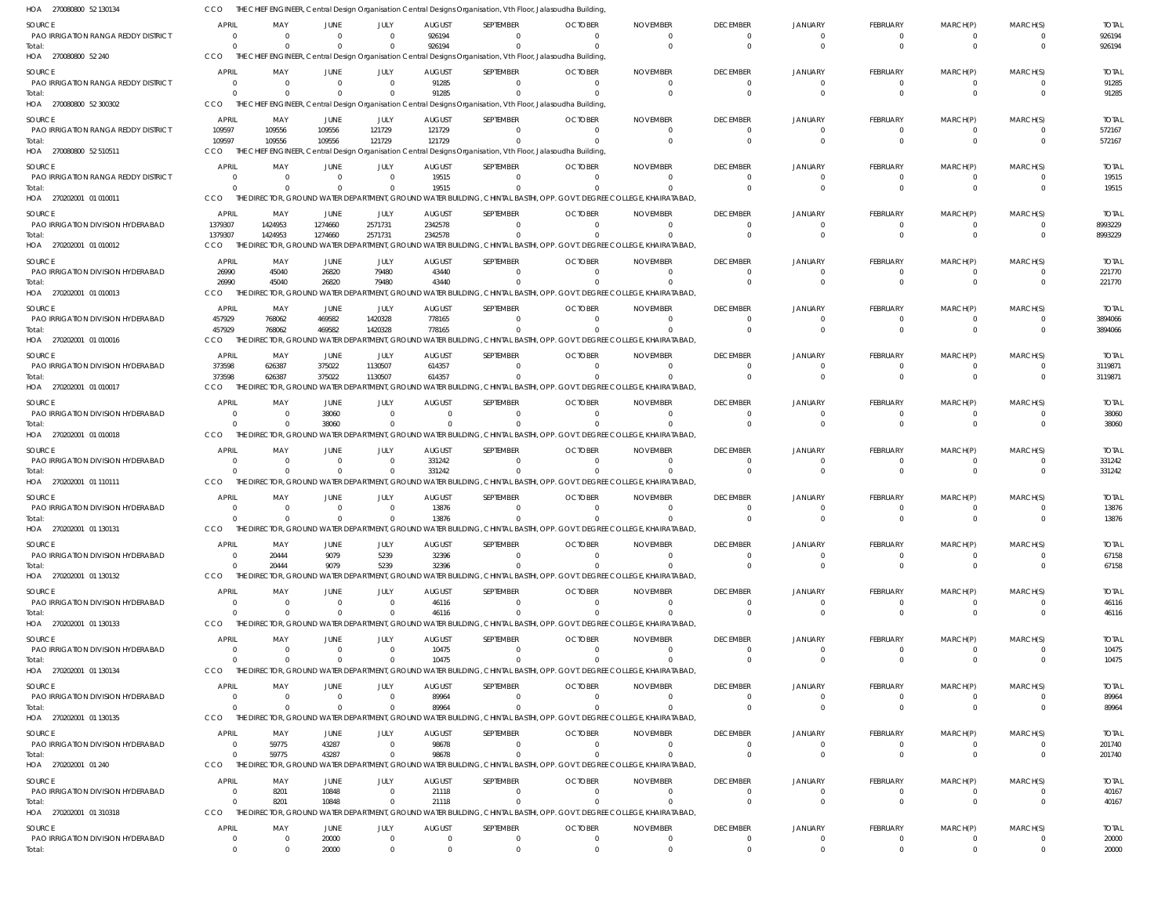| HOA 270080800 52 130134                       |                         |                            |                            |                                  |                                 | THE CHIEF ENGINEER, Central Design Organisation Central Designs Organisation, Vth Floor, Jalasoudha Building, |                                  |                                                                                                                                   |                                   |                            |                          |                          |                            |                         |
|-----------------------------------------------|-------------------------|----------------------------|----------------------------|----------------------------------|---------------------------------|---------------------------------------------------------------------------------------------------------------|----------------------------------|-----------------------------------------------------------------------------------------------------------------------------------|-----------------------------------|----------------------------|--------------------------|--------------------------|----------------------------|-------------------------|
| SOURCE                                        | <b>APRIL</b>            | MAY                        | JUNE                       | <b>JULY</b>                      | <b>AUGUST</b>                   | SEPTEMBER                                                                                                     | <b>OCTOBER</b>                   | <b>NOVEMBER</b>                                                                                                                   | <b>DECEMBER</b>                   | JANUARY                    | <b>FEBRUARY</b>          | MARCH(P)                 | MARCH(S)                   | <b>TOTAL</b>            |
| PAO IRRIGATION RANGA REDDY DISTRICT<br>Total: | $\Omega$<br>$\Omega$    | $\overline{0}$<br>$\Omega$ | $\mathbf 0$<br>$\Omega$    | $\Omega$<br>$\Omega$             | 926194<br>926194                | $\Omega$                                                                                                      | $\Omega$<br>$\Omega$             | $\Omega$<br>$\Omega$                                                                                                              | $\overline{0}$<br>$\Omega$        | $\Omega$<br>$\Omega$       | 0<br>$\mathbf 0$         | 0<br>$\Omega$            | $\overline{0}$<br>$\Omega$ | 926194<br>926194        |
| HOA 270080800 52 240                          | CCO                     |                            |                            |                                  |                                 | THE CHIEF ENGINEER, Central Design Organisation Central Designs Organisation, Vth Floor, Jalasoudha Building, |                                  |                                                                                                                                   |                                   |                            |                          |                          |                            |                         |
| SOURCE<br>PAO IRRIGATION RANGA REDDY DISTRICT | APRIL<br>$\Omega$       | MAY<br>$\overline{0}$      | JUNE<br>$\overline{0}$     | JULY<br>$\Omega$                 | <b>AUGUST</b><br>91285          | SEPTEMBER<br>$\Omega$                                                                                         | <b>OCTOBER</b><br>$\overline{0}$ | <b>NOVEMBER</b><br>$\overline{0}$                                                                                                 | <b>DECEMBER</b><br>$\overline{0}$ | <b>JANUARY</b><br>$\Omega$ | <b>FEBRUARY</b><br>0     | MARCH(P)<br>$\mathbf{0}$ | MARCH(S)<br>$\Omega$       | <b>TOTAL</b><br>91285   |
| Total:                                        | $\Omega$                | - 0                        | $\Omega$                   |                                  | 91285                           |                                                                                                               | $\Omega$                         | $\Omega$                                                                                                                          | $\Omega$                          | $\Omega$                   | $\Omega$                 | $\Omega$                 | $\Omega$                   | 91285                   |
| HOA 270080800 52 300302                       | CCO                     |                            |                            |                                  |                                 | THE CHIEF ENGINEER, Central Design Organisation Central Designs Organisation, Vth Floor, Jalasoudha Building, |                                  |                                                                                                                                   |                                   |                            |                          |                          |                            |                         |
| SOURCE                                        | APRIL                   | MAY                        | JUNE                       | JULY                             | <b>AUGUST</b>                   | SEPTEMBER<br>$\Omega$                                                                                         | <b>OCTOBER</b><br>$\Omega$       | <b>NOVEMBER</b><br>$\Omega$                                                                                                       | <b>DECEMBER</b><br>$\Omega$       | <b>JANUARY</b><br>$\Omega$ | <b>FEBRUARY</b>          | MARCH(P)                 | MARCH(S)<br>$\Omega$       | <b>TOTAL</b>            |
| PAO IRRIGATION RANGA REDDY DISTRICT<br>Total: | 109597<br>109597        | 109556<br>109556           | 109556<br>109556           | 121729<br>121729                 | 121729<br>121729                |                                                                                                               | $\Omega$                         | $\Omega$                                                                                                                          | $\Omega$                          | $\Omega$                   | $\Omega$<br>$\mathbf 0$  | $\Omega$<br>$\mathbf{0}$ | $\Omega$                   | 572167<br>572167        |
| HOA 270080800 52 510511                       | <b>CCO</b>              |                            |                            |                                  |                                 | THE CHIEF ENGINEER, Central Design Organisation Central Designs Organisation, Vth Floor, Jalasoudha Building, |                                  |                                                                                                                                   |                                   |                            |                          |                          |                            |                         |
| SOURCE<br>PAO IRRIGATION RANGA REDDY DISTRICT | APRIL<br>$\Omega$       | MAY<br>$\overline{0}$      | <b>JUNE</b>                | <b>JULY</b><br>- 0               | <b>AUGUST</b>                   | SEPTEMBER<br>$\Omega$                                                                                         | <b>OCTOBER</b>                   | <b>NOVEMBER</b>                                                                                                                   | <b>DECEMBER</b><br>$\Omega$       | <b>JANUARY</b><br>$\Omega$ | FEBRUARY                 | MARCH(P)                 | MARCH(S)<br>$\Omega$       | <b>TOTAL</b><br>19515   |
| Total:                                        | $\Omega$                | $\Omega$                   | $\overline{0}$<br>$\Omega$ | - 0                              | 19515<br>19515                  | $\Omega$                                                                                                      | -0<br>$\Omega$                   | -0<br>$\Omega$                                                                                                                    | $\Omega$                          | $\Omega$                   | 0<br>$\mathbf 0$         | 0<br>$\Omega$            | $\Omega$                   | 19515                   |
| HOA 270202001 01010011                        | CCO                     |                            |                            |                                  |                                 |                                                                                                               |                                  | THE DIRECTOR, GROUND WATER DEPARTMENT, GROUND WATER BUILDING, CHINTAL BASTHI, OPP. GOVT. DEGREE COLLEGE, KHAIRATABAD,             |                                   |                            |                          |                          |                            |                         |
| SOURCE<br>PAO IRRIGATION DIVISION HYDERABAD   | <b>APRIL</b><br>1379307 | MAY<br>1424953             | <b>JUNE</b><br>1274660     | JULY<br>2571731                  | <b>AUGUST</b><br>2342578        | SEPTEMBER<br>$\Omega$                                                                                         | <b>OCTOBER</b><br>$\Omega$       | <b>NOVEMBER</b><br>$\Omega$                                                                                                       | <b>DECEMBER</b><br>$\Omega$       | JANUARY<br>$\Omega$        | <b>FEBRUARY</b><br>0     | MARCH(P)<br>$\Omega$     | MARCH(S)<br>$\Omega$       | <b>TOTAL</b><br>8993229 |
| Total:                                        | 1379307                 | 1424953                    | 1274660                    | 2571731                          | 2342578                         | $\Omega$                                                                                                      | $\Omega$                         | $\Omega$                                                                                                                          | $\Omega$                          | $\Omega$                   | $\overline{0}$           | $\Omega$                 | $\Omega$                   | 8993229                 |
| HOA 270202001 01 010012                       | <b>CCO</b>              |                            |                            |                                  |                                 |                                                                                                               |                                  | THE DIRECTOR, GROUND WATER DEPARTMENT, GROUND WATER BUILDING, CHINTAL BASTHI, OPP. GOVT. DEGREE COLLEGE, KHAIRATABAD,             |                                   |                            |                          |                          |                            |                         |
| SOURCE<br>PAO IRRIGATION DIVISION HYDERABAD   | <b>APRIL</b>            | MAY                        | JUNE                       | <b>JULY</b><br>79480             | <b>AUGUST</b><br>43440          | SEPTEMBER<br>$\Omega$                                                                                         | <b>OCTOBER</b><br>$\Omega$       | <b>NOVEMBER</b><br>$\Omega$                                                                                                       | <b>DECEMBER</b><br>$\Omega$       | JANUARY<br>$\Omega$        | <b>FEBRUARY</b>          | MARCH(P)                 | MARCH(S)<br>$\overline{0}$ | <b>TOTAL</b>            |
| Total:                                        | 26990<br>26990          | 45040<br>45040             | 26820<br>26820             | 79480                            | 43440                           | $\Omega$                                                                                                      | $\Omega$                         |                                                                                                                                   | $\Omega$                          | $\Omega$                   | 0<br>$\mathbf 0$         | 0<br>$\Omega$            | $\Omega$                   | 221770<br>221770        |
| HOA 270202001 01 010013                       | <b>CCO</b>              |                            |                            |                                  |                                 |                                                                                                               |                                  | THE DIRECTOR, GROUND WATER DEPARTMENT, GROUND WATER BUILDING, CHINTAL BASTHI, OPP. GOVT. DEGREE COLLEGE, KHAIRATABAD,             |                                   |                            |                          |                          |                            |                         |
| SOURCE                                        | <b>APRIL</b>            | MAY                        | JUNE                       | JULY                             | <b>AUGUST</b>                   | SEPTEMBER                                                                                                     | <b>OCTOBER</b>                   | <b>NOVEMBER</b>                                                                                                                   | <b>DECEMBER</b>                   | <b>JANUARY</b>             | <b>FEBRUARY</b>          | MARCH(P)                 | MARCH(S)                   | <b>TOTAL</b>            |
| PAO IRRIGATION DIVISION HYDERABAD<br>Total:   | 457929<br>457929        | 768062<br>768062           | 469582<br>469582           | 1420328<br>1420328               | 778165<br>778165                | $\Omega$                                                                                                      | $\Omega$<br>$\Omega$             | $\Omega$<br>$\Omega$                                                                                                              | $\Omega$<br>$\Omega$              | $\Omega$<br>$\Omega$       | 0<br>$\Omega$            | $\Omega$<br>$\Omega$     | $\overline{0}$<br>$\Omega$ | 3894066<br>3894066      |
| HOA 270202001 01 010016                       | <b>CCO</b>              |                            |                            |                                  |                                 |                                                                                                               |                                  | THE DIRECTOR, GROUND WATER DEPARTMENT, GROUND WATER BUILDING, CHINTAL BASTHI, OPP. GOVT. DEGREE COLLEGE, KHAIRATABAD,             |                                   |                            |                          |                          |                            |                         |
| SOURCE                                        | <b>APRIL</b>            | MAY                        | JUNE                       | JULY                             | <b>AUGUST</b>                   | SEPTEMBER                                                                                                     | <b>OCTOBER</b>                   | <b>NOVEMBER</b>                                                                                                                   | <b>DECEMBER</b>                   | <b>JANUARY</b>             | <b>FEBRUARY</b>          | MARCH(P)                 | MARCH(S)                   | <b>TOTAL</b>            |
| PAO IRRIGATION DIVISION HYDERABAD<br>Total:   | 373598<br>373598        | 626387<br>626387           | 375022<br>375022           | 1130507<br>1130507               | 614357<br>614357                | $\Omega$<br>$\Omega$                                                                                          | $\Omega$<br>$\Omega$             | $\Omega$<br>$\Omega$                                                                                                              | $\Omega$<br>$\Omega$              |                            | 0<br>$\mathbf 0$         | $\Omega$<br>$\Omega$     | $\Omega$<br>$\Omega$       | 3119871<br>3119871      |
| HOA 270202001 01 010017                       | <b>CCO</b>              |                            |                            |                                  |                                 |                                                                                                               |                                  | THE DIRECTOR, GROUND WATER DEPARTMENT, GROUND WATER BUILDING, CHINTAL BASTHI, OPP. GOVT. DEGREE COLLEGE, KHAIRATABAD,             |                                   |                            |                          |                          |                            |                         |
| SOURCE                                        | <b>APRIL</b>            | MAY                        | JUNE                       | JULY                             | <b>AUGUST</b>                   | SEPTEMBER                                                                                                     | <b>OCTOBER</b>                   | <b>NOVEMBER</b>                                                                                                                   | <b>DECEMBER</b>                   | JANUARY                    | <b>FEBRUARY</b>          | MARCH(P)                 | MARCH(S)                   | <b>TOTAL</b>            |
| PAO IRRIGATION DIVISION HYDERABAD<br>Total:   | $\Omega$                | - 0<br>$\Omega$            | 38060<br>38060             | $\Omega$<br>$\Omega$             | $\Omega$<br>$\Omega$            | $\Omega$<br>$\Omega$                                                                                          | $\Omega$<br>$\Omega$             | $\Omega$<br>$\Omega$                                                                                                              | $\Omega$<br>$\Omega$              | $\Omega$<br>$\Omega$       | 0<br>$\Omega$            | $\Omega$<br>$\Omega$     | $\overline{0}$<br>$\Omega$ | 38060<br>38060          |
| HOA 270202001 01 010018                       | <b>CCO</b>              |                            |                            |                                  |                                 |                                                                                                               |                                  | THE DIRECTOR, GROUND WATER DEPARTMENT, GROUND WATER BUILDING, CHINTAL BASTHI, OPP. GOVT. DEGREE COLLEGE, KHAIRATABAD,             |                                   |                            |                          |                          |                            |                         |
| SOURCE                                        | <b>APRIL</b>            | MAY                        | JUNE                       | JULY                             | <b>AUGUST</b>                   | SEPTEMBER                                                                                                     | <b>OCTOBER</b>                   | <b>NOVEMBER</b>                                                                                                                   | <b>DECEMBER</b>                   | <b>JANUARY</b>             | <b>FEBRUARY</b>          | MARCH(P)                 | MARCH(S)                   | <b>TOTAL</b>            |
| PAO IRRIGATION DIVISION HYDERABAD<br>Total:   | $\Omega$<br>$\Omega$    | $\overline{0}$<br>$\Omega$ | $\overline{0}$<br>$\Omega$ | $\Omega$                         | 331242<br>331242                | $\overline{0}$                                                                                                | $\overline{0}$                   | $\Omega$                                                                                                                          | $\Omega$<br>$\Omega$              | $\Omega$                   | 0<br>$\Omega$            | 0<br>$\Omega$            | $\Omega$<br>$\Omega$       | 331242<br>331242        |
| HOA 270202001 01 110111                       | <b>CCO</b>              |                            |                            |                                  |                                 |                                                                                                               |                                  | THE DIRECTOR, GROUND WATER DEPARTMENT, GROUND WATER BUILDING, CHINTAL BASTHI, OPP. GOVT. DEGREE COLLEGE, KHAIRATABAD,             |                                   |                            |                          |                          |                            |                         |
| SOURCE                                        | <b>APRIL</b>            | MAY                        | JUNE                       | JULY                             | <b>AUGUST</b>                   | SEPTEMBER                                                                                                     | <b>OCTOBER</b>                   | <b>NOVEMBER</b>                                                                                                                   | <b>DECEMBER</b>                   | <b>JANUARY</b>             | <b>FEBRUARY</b>          | MARCH(P)                 | MARCH(S)                   | <b>TOTAL</b>            |
| PAO IRRIGATION DIVISION HYDERABAD<br>Total:   | $\Omega$<br>$\Omega$    | $\Omega$                   | $\Omega$<br>$\Omega$       | $\Omega$                         | 13876<br>13876                  | $\Omega$                                                                                                      | $\Omega$                         | $\Omega$                                                                                                                          | $\Omega$<br>$\Omega$              | $\Omega$                   | $\Omega$<br>$\Omega$     | $\Omega$                 | $\Omega$<br>$\Omega$       | 13876<br>13876          |
| HOA 270202001 01 130131                       | CCO                     |                            |                            |                                  |                                 |                                                                                                               |                                  | THE DIRECTOR, GROUND WATER DEPARTMENT, GROUND WATER BUILDING, CHINTAL BASTHI, OPP, GOVT, DEGREE COLLEGE, KHAIRATABAD,             |                                   |                            |                          |                          |                            |                         |
| SOURCE                                        | <b>APRIL</b>            | MAY                        | <b>JUNE</b>                | JULY                             | <b>AUGUST</b>                   | SEPTEMBER                                                                                                     | <b>OCTOBER</b>                   | <b>NOVEMBER</b>                                                                                                                   | <b>DECEMBER</b>                   | <b>JANUARY</b>             | <b>FEBRUARY</b>          | MARCH(P)                 | MARCH(S)                   | <b>TOTAL</b>            |
| PAO IRRIGATION DIVISION HYDERABAD<br>Total:   | $\Omega$<br>$\Omega$    | 20444<br>20444             | 9079<br>9079               | 5239<br>5239                     | 32396<br>32396                  | $\Omega$                                                                                                      | -0<br>$\Omega$                   | -0<br>$\overline{0}$                                                                                                              | $\Omega$<br>$\Omega$              | $\Omega$<br>$\Omega$       | 0<br>$\mathbf{0}$        | 0<br>$\mathbf{0}$        | $\Omega$<br>$\Omega$       | 67158<br>67158          |
| HOA 270202001 01 130132                       | <b>CCO</b>              |                            |                            |                                  |                                 |                                                                                                               |                                  | THE DIRECTOR, GROUND WATER DEPARTMENT, GROUND WATER BUILDING, CHINTAL BASTHI, OPP. GOVT. DEGREE COLLEGE, KHAIRATABAD,             |                                   |                            |                          |                          |                            |                         |
| SOURCE                                        | <b>APRIL</b>            | MAY                        | JUNE                       | JULY                             | <b>AUGUST</b>                   | SEPTEMBER                                                                                                     | <b>OCTOBER</b>                   | <b>NOVEMBER</b>                                                                                                                   | <b>DECEMBER</b>                   | JANUARY                    | <b>FEBRUARY</b>          | MARCH(P)                 | MARCH(S)                   | <b>TOTAL</b>            |
| PAO IRRIGATION DIVISION HYDERABAD<br>Total:   | $\Omega$<br>$\Omega$    | $\overline{0}$<br>$\Omega$ | $\Omega$<br>$\Omega$       | $\overline{0}$<br>$\overline{0}$ | 46116<br>46116                  | $\Omega$<br>$\Omega$                                                                                          | $\Omega$<br>$\Omega$             | $\Omega$<br>$\Omega$                                                                                                              | $\Omega$<br>$\Omega$              | $\Omega$<br>$\Omega$       | 0<br>$\mathbf{0}$        | 0<br>$\mathbf 0$         | $\Omega$<br>$\Omega$       | 46116<br>46116          |
| HOA 270202001 01 130133                       | CCO                     |                            |                            |                                  |                                 |                                                                                                               |                                  | THE DIRECTOR, GROUND WATER DEPARTMENT, GROUND WATER BUILDING, CHINTAL BASTHI, OPP. GOVT. DEGREE COLLEGE, KHAIRATABAD,             |                                   |                            |                          |                          |                            |                         |
| SOURCE                                        | <b>APRIL</b>            | MAY                        | JUNE                       | JULY                             | <b>AUGUST</b>                   | SEPTEMBER                                                                                                     | <b>OCTOBER</b>                   | <b>NOVEMBER</b>                                                                                                                   | <b>DECEMBER</b>                   | JANUARY                    | <b>FEBRUARY</b>          | MARCH(P)                 | MARCH(S)                   | <b>TOTAL</b>            |
| PAO IRRIGATION DIVISION HYDERABAD             | - 0                     | $\overline{0}$             | $\overline{0}$             | - 0                              | 10475                           | $\Omega$                                                                                                      | $\overline{0}$                   | - 0                                                                                                                               | $\Omega$<br>$\Omega$              | $\Omega$                   | 0                        | 0                        | $\Omega$                   | 10475                   |
| Total:<br>HOA 270202001 01 130134             | $\Omega$<br><b>CCO</b>  | $\Omega$                   | $\Omega$                   |                                  | 10475                           |                                                                                                               | -0                               | -0<br>THE DIRECTOR, GROUND WATER DEPARTMENT, GROUND WATER BUILDING, CHINTAL BASTHI, OPP. GOVT. DEGREE COLLEGE, KHAIRATABAD,       |                                   | $\Omega$                   | $\overline{0}$           | $\mathbf{0}$             | $\Omega$                   | 10475                   |
| SOURCE                                        | <b>APRIL</b>            | MAY                        | JUNE                       | JULY                             | AUGUST                          | SEPTEMBER                                                                                                     | <b>OCTOBER</b>                   | <b>NOVEMBER</b>                                                                                                                   | <b>DECEMBER</b>                   | <b>JANUARY</b>             | <b>FEBRUARY</b>          | MARCH(P)                 | MARCH(S)                   | <b>TOTAL</b>            |
| PAO IRRIGATION DIVISION HYDERABAD             | $\Omega$                | $\overline{0}$             | $\Omega$                   | $\overline{0}$                   | 89964                           | $\Omega$                                                                                                      | $\Omega$                         | $\Omega$                                                                                                                          | $\Omega$                          | $\Omega$                   | 0                        | $\Omega$                 | $\Omega$                   | 89964                   |
| Total:<br>HOA 270202001 01 130135             | $\Omega$<br>CCO         | $\Omega$                   | $\overline{0}$             | $\Omega$                         | 89964                           | $\Omega$                                                                                                      | $\Omega$                         | $\Omega$<br>THE DIRECTOR, GROUND WATER DEPARTMENT, GROUND WATER BUILDING, CHINTAL BASTHI, OPP. GOVT. DEGREE COLLEGE, KHAIRATABAD, | $\Omega$                          | $\Omega$                   | $\mathbf 0$              | $\mathbf{0}$             | $\overline{0}$             | 89964                   |
| SOURCE                                        | <b>APRIL</b>            | MAY                        | <b>JUNE</b>                | <b>JULY</b>                      | <b>AUGUST</b>                   | SEPTEMBER                                                                                                     | <b>OCTOBER</b>                   | <b>NOVEMBER</b>                                                                                                                   | <b>DECEMBER</b>                   | <b>JANUARY</b>             | <b>FEBRUARY</b>          | MARCH(P)                 | MARCH(S)                   | <b>TOTAL</b>            |
| PAO IRRIGATION DIVISION HYDERABAD             | $\Omega$                | 59775                      | 43287                      | - 0                              | 98678                           | $\Omega$                                                                                                      | - 0                              | 0                                                                                                                                 | $\Omega$                          | $\Omega$                   | 0                        | 0                        | $\overline{0}$             | 201740                  |
| Total:<br>HOA 270202001 01 240                | $\Omega$<br><b>CCO</b>  | 59775                      | 43287                      | $\Omega$                         | 98678                           | $\Omega$                                                                                                      | $\Omega$                         | $\Omega$<br>THE DIRECTOR, GROUND WATER DEPARTMENT, GROUND WATER BUILDING, CHINTAL BASTHI, OPP. GOVT. DEGREE COLLEGE, KHAIRATABAD, | $\Omega$                          | $\Omega$                   | $\mathbf{0}$             | $\mathbf{0}$             | $\Omega$                   | 201740                  |
| SOURCE                                        | <b>APRIL</b>            | MAY                        | JUNE                       | JULY                             | <b>AUGUST</b>                   | SEPTEMBER                                                                                                     | <b>OCTOBER</b>                   | <b>NOVEMBER</b>                                                                                                                   | <b>DECEMBER</b>                   | JANUARY                    | <b>FEBRUARY</b>          | MARCH(P)                 | MARCH(S)                   | <b>TOTAL</b>            |
| PAO IRRIGATION DIVISION HYDERABAD             | $\Omega$                | 8201                       | 10848                      | $\overline{0}$                   | 21118                           | $\Omega$                                                                                                      | $\Omega$                         | $\Omega$                                                                                                                          | $\Omega$                          | $\Omega$                   | 0                        | 0                        | $\Omega$                   | 40167                   |
| Total:<br>HOA 270202001 01 310318             | $\Omega$<br><b>CCO</b>  | 8201                       | 10848                      | $\Omega$                         | 21118                           | $\Omega$                                                                                                      | $\Omega$                         | $\Omega$<br>THE DIRECTOR, GROUND WATER DEPARTMENT, GROUND WATER BUILDING, CHINTAL BASTHI, OPP. GOVT. DEGREE COLLEGE, KHAIRATABAD, | $\Omega$                          | $\Omega$                   | $\mathbf 0$              | $\mathbf{0}$             | $\Omega$                   | 40167                   |
|                                               | <b>APRIL</b>            |                            | <b>JUNE</b>                |                                  |                                 |                                                                                                               |                                  |                                                                                                                                   |                                   |                            |                          |                          |                            |                         |
| SOURCE<br>PAO IRRIGATION DIVISION HYDERABAD   | $\overline{0}$          | MAY<br>$\overline{0}$      | 20000                      | JULY<br>$\Omega$                 | <b>AUGUST</b><br>$\overline{0}$ | SEPTEMBER<br>$^{\circ}$                                                                                       | <b>OCTOBER</b><br>$\overline{0}$ | <b>NOVEMBER</b><br>$\overline{0}$                                                                                                 | <b>DECEMBER</b><br>$\overline{0}$ | JANUARY<br>$\overline{0}$  | FEBRUARY<br>$\mathbf{0}$ | MARCH(P)<br>0            | MARCH(S)<br>$\overline{0}$ | <b>TOTAL</b><br>20000   |
| Total:                                        | $\Omega$                | $\Omega$                   | 20000                      |                                  | $\Omega$                        |                                                                                                               | $\Omega$                         | $\Omega$                                                                                                                          | $\Omega$                          | $\Omega$                   | $\Omega$                 | $\Omega$                 | $\Omega$                   | 20000                   |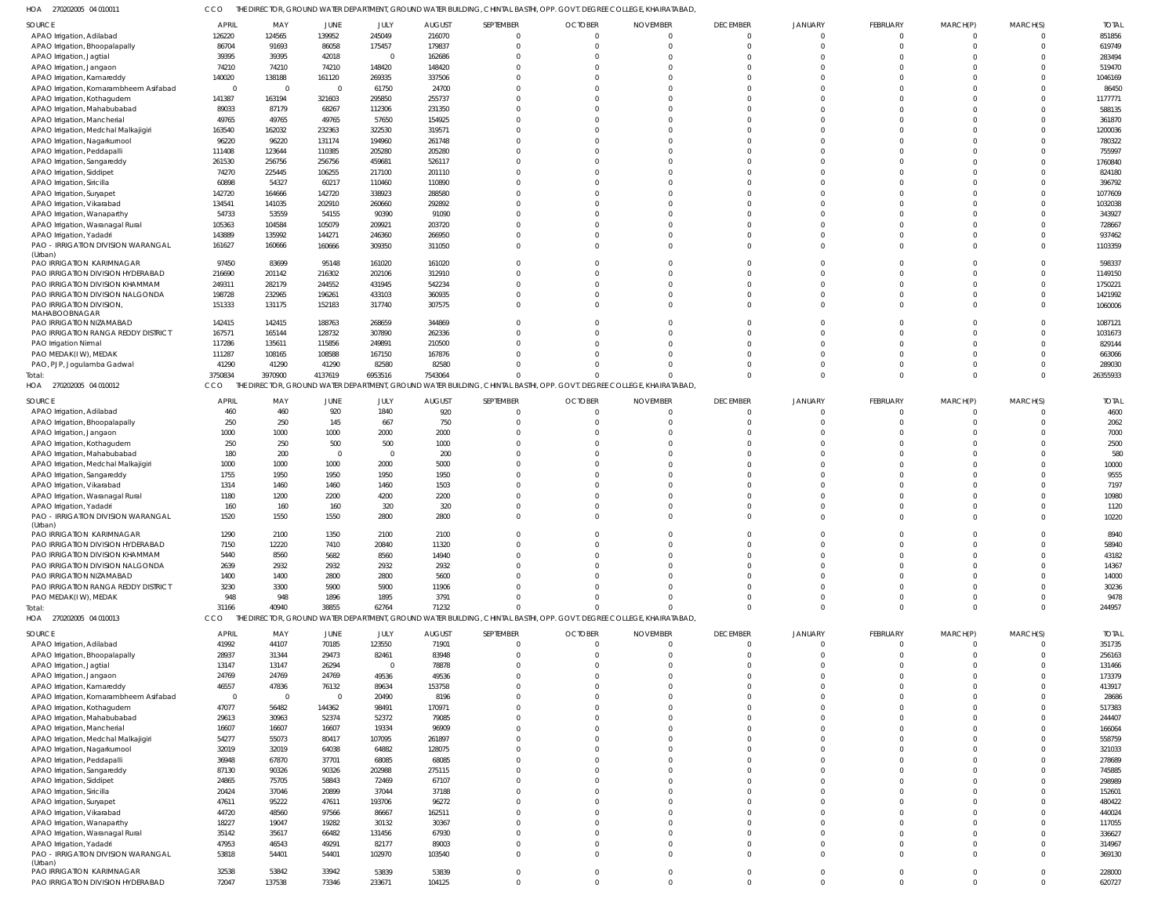270202005 04 010011 HOA CCO THE DIRECTOR, GROUND WATER DEPARTMENT, GROUND WATER BUILDING, CHINTAL BASTHI, OPP. GOVT. DEGREE COLLEGE, KHAIRATABAD,

| $\sim$<br>LICLOSS CTURE                |                |                         | $\cup$ . $\cup$ . $\cup$ . $\cup$ $\cup$ . $\cup$ . $\cup$ . $\cup$ . $\cup$ . $\cup$ |                         |               |           |                |                                                                                                                       |                 |                |                 |          |          |              |
|----------------------------------------|----------------|-------------------------|---------------------------------------------------------------------------------------|-------------------------|---------------|-----------|----------------|-----------------------------------------------------------------------------------------------------------------------|-----------------|----------------|-----------------|----------|----------|--------------|
| SOURCE                                 | <b>APRIL</b>   | MAY                     | JUNE                                                                                  | JULY                    | <b>AUGUST</b> | SEPTEMBER | <b>OCTOBER</b> | <b>NOVEMBER</b>                                                                                                       | <b>DECEMBER</b> | JANUARY        | <b>FEBRUARY</b> | MARCH(P) | MARCH(S) | <b>TOTAI</b> |
| APAO Irrigation, Adilabad              | 126220         | 124565                  | 139952                                                                                | 245049                  | 216070        | $\Omega$  | $\Omega$       | C                                                                                                                     | $\Omega$        | $\Omega$       |                 |          |          | 851856       |
| APAO Irrigation, Bhoopalapally         | 86704          | 91693                   | 86058                                                                                 | 175457                  | 179837        |           | -C             | C                                                                                                                     | $\Omega$        | $\cap$         |                 |          |          | 619749       |
| APAO Irrigation, Jagtial               | 39395          | 39395                   | 42018                                                                                 | $\Omega$                | 162686        |           | -C             | C                                                                                                                     | $\Omega$        |                |                 |          |          | 283494       |
| APAO Irrigation, Jangaon               | 74210          | 74210                   | 74210                                                                                 | 148420                  | 148420        |           |                | C                                                                                                                     | $\cap$          |                |                 |          |          | 519470       |
| APAO Irrigation, Kamareddy             | 140020         | 138188                  | 161120                                                                                | 269335                  | 337506        |           | ſ              |                                                                                                                       |                 |                |                 |          |          | 1046169      |
| APAO Irrigation, Komarambheem Asifabad | $\overline{0}$ | $\overline{\mathbf{0}}$ | $\overline{0}$                                                                        | 61750                   | 24700         |           |                | C                                                                                                                     |                 | $\cap$         |                 |          |          | 86450        |
| APAO Irrigation, Kothagudem            | 141387         | 163194                  | 321603                                                                                | 295850                  | 255737        |           |                |                                                                                                                       |                 |                |                 |          |          | 1177771      |
| APAO Irrigation, Mahabubabad           | 89033          | 87179                   | 68267                                                                                 | 112306                  | 231350        |           |                |                                                                                                                       |                 |                |                 |          |          | 588135       |
| APAO Irrigation, Mancherial            | 49765          | 49765                   | 49765                                                                                 | 57650                   | 154925        |           |                |                                                                                                                       |                 |                |                 |          |          | 361870       |
| APAO Irrigation, Medchal Malkajigiri   | 163540         | 162032                  | 232363                                                                                | 322530                  | 319571        |           | ſ              | C                                                                                                                     |                 | $\cap$         |                 |          |          | 1200036      |
|                                        | 96220          | 96220                   | 131174                                                                                | 194960                  | 261748        |           |                |                                                                                                                       |                 | $\cap$         |                 |          |          | 780322       |
| APAO Irrigation, Nagarkurnool          |                |                         |                                                                                       |                         |               |           |                |                                                                                                                       |                 |                |                 |          |          |              |
| APAO Irrigation, Peddapalli            | 111408         | 123644                  | 110385                                                                                | 205280                  | 205280        |           |                |                                                                                                                       |                 |                |                 |          |          | 755997       |
| APAO Irrigation, Sangareddy            | 261530         | 256756                  | 256756                                                                                | 459681                  | 526117        |           | -C             |                                                                                                                       |                 |                |                 |          |          | 1760840      |
| APAO Irrigation, Siddipet              | 74270          | 225445                  | 106255                                                                                | 217100                  | 201110        |           |                |                                                                                                                       |                 | $\cap$         |                 |          |          | 824180       |
| APAO Irrigation, Siricilla             | 60898          | 54327                   | 60217                                                                                 | 110460                  | 110890        |           | -C             | C                                                                                                                     |                 | $\Omega$       |                 |          |          | 396792       |
| APAO Irrigation, Suryapet              | 142720         | 164666                  | 142720                                                                                | 338923                  | 288580        |           |                |                                                                                                                       |                 |                |                 |          |          | 1077609      |
| APAO Irrigation, Vikarabad             | 134541         | 141035                  | 202910                                                                                | 260660                  | 292892        |           | ſ              |                                                                                                                       |                 |                |                 |          |          | 1032038      |
| APAO Irrigation, Wanaparthy            | 54733          | 53559                   | 54155                                                                                 | 90390                   | 91090         |           | ſ              | C                                                                                                                     |                 | $\cap$         |                 |          |          | 343927       |
| APAO Irrigation, Waranagal Rural       | 105363         | 104584                  | 105079                                                                                | 209921                  | 203720        |           | ſ              |                                                                                                                       |                 | $\Omega$       |                 |          |          | 728667       |
| APAO Irrigation, Yadadri               | 143889         | 135992                  | 144271                                                                                | 246360                  | 266950        |           | -C             | C                                                                                                                     | $\Omega$        | $\Omega$       |                 |          |          | 937462       |
| PAO - IRRIGATION DIVISION WARANGAL     | 161627         | 160666                  | 160666                                                                                | 309350                  | 311050        | U         | $\Omega$       |                                                                                                                       | $\Omega$        | $\Omega$       |                 |          |          | 1103359      |
| (Urban)                                |                |                         |                                                                                       |                         |               |           |                |                                                                                                                       |                 |                |                 |          |          |              |
| PAO IRRIGATION KARIMNAGAR              | 97450          | 83699                   | 95148                                                                                 | 161020                  | 161020        |           | -C             | C                                                                                                                     |                 |                |                 |          |          | 598337       |
| PAO IRRIGATION DIVISION HYDERABAD      | 216690         | 201142                  | 216302                                                                                | 202106                  | 312910        |           | $\Omega$       | C                                                                                                                     | $\Omega$        | $\Omega$       |                 |          |          | 1149150      |
| PAO IRRIGATION DIVISION KHAMMAM        | 249311         | 282179                  | 244552                                                                                | 431945                  | 542234        |           | -C             | C                                                                                                                     | $\Omega$        | $\Omega$       |                 |          |          | 1750221      |
| PAO IRRIGATION DIVISION NALGONDA       | 198728         | 232965                  | 196261                                                                                | 433103                  | 360935        |           | -C             | C                                                                                                                     | $\Omega$        | $\Omega$       |                 |          |          | 1421992      |
| PAO IRRIGATION DIVISION,               | 151333         | 131175                  | 152183                                                                                | 317740                  | 307575        |           | -C             | C                                                                                                                     | $\Omega$        | $\Omega$       |                 |          |          | 1060006      |
| MAHABOOBNAGAR                          |                |                         |                                                                                       |                         |               |           |                |                                                                                                                       |                 |                |                 |          |          |              |
| PAO IRRIGATION NIZAMABAD               | 142415         | 142415                  | 188763                                                                                | 268659                  | 344869        |           | $\Omega$       | $\Omega$                                                                                                              | $\Omega$        | $\Omega$       |                 |          |          | 1087121      |
| PAO IRRIGATION RANGA REDDY DISTRICT    | 167571         | 165144                  | 128732                                                                                | 307890                  | 262336        |           |                | C                                                                                                                     | $\Omega$        | $\Omega$       |                 |          |          | 1031673      |
| PAO Irrigation Nirmal                  | 117286         | 135611                  | 115856                                                                                | 249891                  | 210500        |           | -C             |                                                                                                                       | $\cap$          | $\Omega$       |                 |          |          | 829144       |
| PAO MEDAK(IW), MEDAK                   | 111287         | 108165                  | 108588                                                                                | 167150                  | 167876        |           | -C             |                                                                                                                       | $\cap$          | $\cap$         |                 |          |          | 663066       |
| PAO, PJP, Jogulamba Gadwal             | 41290          | 41290                   | 41290                                                                                 | 82580                   | 82580         |           | -C             |                                                                                                                       |                 | $\Omega$       |                 |          |          | 289030       |
| Total:                                 | 3750834        | 3970900                 | 4137619                                                                               | 6953516                 | 7543064       |           |                |                                                                                                                       | $\Omega$        | $\Omega$       | $\Omega$        |          |          | 26355933     |
| HOA 270202005 04 010012                | CCO            |                         |                                                                                       |                         |               |           |                | THE DIRECTOR, GROUND WATER DEPARTMENT, GROUND WATER BUILDING, CHINTAL BASTHI, OPP. GOVT. DEGREE COLLEGE, KHAIRATABAD, |                 |                |                 |          |          |              |
| SOURCE                                 | <b>APRIL</b>   | MAY                     | JUNE                                                                                  | JULY                    | <b>AUGUST</b> | SEPTEMBER | <b>OCTOBER</b> | <b>NOVEMBER</b>                                                                                                       | <b>DECEMBER</b> | <b>JANUARY</b> | FEBRUARY        | MARCH(P) | MARCH(S) | <b>TOTAL</b> |
|                                        |                | 460                     | 920                                                                                   |                         |               | $\Omega$  | $\Omega$       | C                                                                                                                     | $\Omega$        |                | 0               |          |          | 4600         |
| APAO Irrigation, Adilabad              | 460            |                         |                                                                                       | 1840                    | 920           |           |                |                                                                                                                       | $\Omega$        |                |                 |          | $\Omega$ |              |
| APAO Irrigation, Bhoopalapally         | 250            | 250                     | 145                                                                                   | 667                     | 750           | $\Omega$  | $\Omega$       | C                                                                                                                     |                 | $\Omega$       | $\Omega$        |          |          | 2062         |
| APAO Irrigation, Jangaon               | 1000           | 1000                    | 1000                                                                                  | 2000                    | 2000          |           | -C             | -C                                                                                                                    | $\Omega$        | $\Omega$       |                 |          |          | 7000         |
| APAO Irrigation, Kothagudem            | 250            | 250                     | 500                                                                                   | 500                     | 1000          |           | -C             |                                                                                                                       | $\Omega$        | $\cap$         |                 |          |          | 2500         |
| APAO Irrigation, Mahabubabad           | 180            | 200                     | $\overline{0}$                                                                        | $\overline{\mathbf{0}}$ | 200           |           | -C             |                                                                                                                       | $\Omega$        | $\Omega$       |                 |          |          | 580          |
| APAO Irrigation, Medchal Malkajigiri   | 1000           | 1000                    | 1000                                                                                  | 2000                    | 5000          |           | -C             |                                                                                                                       | $\Omega$        | $\Omega$       |                 |          |          | 10000        |
| APAO Irrigation, Sangareddy            | 1755           | 1950                    | 1950                                                                                  | 1950                    | 1950          |           | -C             |                                                                                                                       | $\cap$          | $\Omega$       |                 |          |          | 9555         |
| APAO Irrigation, Vikarabad             | 1314           | 1460                    | 1460                                                                                  | 1460                    | 1503          |           |                |                                                                                                                       | $\cap$          |                |                 |          |          | 7197         |
| APAO Irrigation, Waranagal Rural       | 1180           | 1200                    | 2200                                                                                  | 4200                    | 2200          |           |                |                                                                                                                       | $\Omega$        |                |                 |          |          | 10980        |
| APAO Irrigation, Yadadri               | 160            | 160                     | 160                                                                                   | 320                     | 320           |           | -C             |                                                                                                                       | $\Omega$        |                |                 |          |          | 1120         |
| PAO - IRRIGATION DIVISION WARANGAL     | 1520           | 1550                    | 1550                                                                                  | 2800                    | 2800          | $\Omega$  | $\Omega$       |                                                                                                                       | $\Omega$        |                |                 |          |          | 10220        |
| (Urban)                                |                |                         |                                                                                       |                         |               |           |                |                                                                                                                       |                 |                |                 |          |          |              |
| PAO IRRIGATION KARIMNAGAR              | 1290           | 2100                    | 1350                                                                                  | 2100                    | 2100          |           |                |                                                                                                                       |                 |                |                 |          |          | 8940         |
| PAO IRRIGATION DIVISION HYDERABAD      | 7150           | 12220                   | 7410                                                                                  | 20840                   | 11320         |           | $\Omega$       |                                                                                                                       |                 |                |                 |          |          | 58940        |
| PAO IRRIGATION DIVISION KHAMMAM        | 5440           | 8560                    | 5682                                                                                  | 8560                    | 14940         | $\Omega$  | $\Omega$       | $\Omega$                                                                                                              | $\Omega$        | $\Omega$       | $\Omega$        |          | $\Omega$ | 43182        |
| PAO IRRIGATION DIVISION NALGONDA       | 2639           | 2932                    | 2932                                                                                  | 2932                    | 2932          | O         | $\Omega$       | $\Omega$                                                                                                              | $\Omega$        | $\Omega$       |                 |          | $\Omega$ | 14367        |
| PAO IRRIGATION NIZAMABAD               | 1400           | 1400                    | 2800                                                                                  | 2800                    | 5600          |           | $\Omega$       | $\sqrt{2}$                                                                                                            | $\Omega$        | $\Omega$       |                 |          | $\Omega$ | 14000        |
| PAO IRRIGATION RANGA REDDY DISTRICT    | 3230           | 3300                    | 5900                                                                                  | 5900                    | 11906         |           | $\Omega$       | $\Omega$                                                                                                              | $\Omega$        | $\Omega$       |                 |          | $\Omega$ | 30236        |
| PAO MEDAK(IW), MEDAK                   | 948            | 948                     | 1896                                                                                  | 1895                    | 3791          | $\Omega$  | $\Omega$       | $\Omega$                                                                                                              | $\Omega$        | $\Omega$       | $\Omega$        | $\Omega$ | $\Omega$ | 9478         |
| Total:                                 | 31166          | 40940                   | 38855                                                                                 | 62764                   | 71232         | $\Omega$  | $\Omega$       |                                                                                                                       | $\Omega$        | $\Omega$       | $\Omega$        | $\Omega$ | $\Omega$ | 244957       |
| HOA 270202005 04 010013                | CCO            |                         |                                                                                       |                         |               |           |                | THE DIRECTOR, GROUND WATER DEPARTMENT, GROUND WATER BUILDING, CHINTAL BASTHI, OPP. GOVT. DEGREE COLLEGE, KHAIRATABAD, |                 |                |                 |          |          |              |
| SOURCE                                 | <b>APRIL</b>   | MAY                     | JUNE                                                                                  | JULY                    | <b>AUGUST</b> | SEPTEMBER | <b>OCTOBER</b> | <b>NOVEMBER</b>                                                                                                       | <b>DECEMBER</b> | <b>JANUARY</b> | FEBRUARY        | MARCH(P) | MARCH(S) | <b>TOTAL</b> |
| APAO Irrigation, Adilabad              | 41992          | 44107                   | 70185                                                                                 | 123550                  | 71901         | $\Omega$  | $\Omega$       | $\Omega$                                                                                                              | $\Omega$        | $\Omega$       | $\Omega$        |          |          | 351735       |
|                                        |                |                         |                                                                                       |                         |               | O         | $\Omega$       | $\Omega$                                                                                                              | $\Omega$        | $\Omega$       | $\Omega$        |          | $\Omega$ |              |
| APAO Irrigation, Bhoopalapally         | 28937          | 31344                   | 29473                                                                                 | 82461                   | 83948         |           |                | $\Omega$                                                                                                              | $\Omega$        | $\Omega$       |                 |          |          | 256163       |
| APAO Irrigation, Jagtial               | 13147          | 13147                   | 26294                                                                                 | - 0                     | 78878         |           | $\Omega$       |                                                                                                                       |                 |                |                 |          |          | 131466       |
| APAO Irrigation, Jangaon               | 24769          | 24769                   | 24769                                                                                 | 49536                   | 49536         |           | $\Omega$       | $\Omega$                                                                                                              | $\Omega$        | $\Omega$       |                 |          |          | 173379       |
| APAO Irrigation, Kamareddy             | 46557          | 47836                   | 76132                                                                                 | 89634                   | 153758        |           | $\Omega$       | $\Omega$                                                                                                              | $\Omega$        | $\Omega$       |                 |          |          | 413917       |
| APAO Irrigation, Komarambheem Asifabad | $\overline{0}$ | $\overline{\mathbf{0}}$ | $\overline{0}$                                                                        | 20490                   | 8196          |           | $\Omega$       | $\Omega$                                                                                                              | $\Omega$        | $\Omega$       |                 |          |          | 28686        |
| APAO Irrigation, Kothagudem            | 47077          | 56482                   | 144362                                                                                | 98491                   | 170971        |           | $\Omega$       | $\Omega$                                                                                                              | $\Omega$        | $\Omega$       |                 |          |          | 517383       |
| APAO Irrigation, Mahabubabad           | 29613          | 30963                   | 52374                                                                                 | 52372                   | 79085         |           | $\Omega$       | $\Omega$                                                                                                              | $\Omega$        | $\Omega$       |                 |          |          | 244407       |
| APAO Irrigation, Mancherial            | 16607          | 16607                   | 16607                                                                                 | 19334                   | 96909         |           | $\Omega$       | $\sqrt{2}$                                                                                                            | $\Omega$        | $\Omega$       |                 |          |          | 166064       |
| APAO Irrigation, Medchal Malkajigiri   | 54277          | 55073                   | 80417                                                                                 | 107095                  | 261897        |           | $\Omega$       | $\Omega$                                                                                                              | $\Omega$        | $\Omega$       |                 |          |          | 558759       |
| APAO Irrigation, Nagarkurnool          | 32019          | 32019                   | 64038                                                                                 | 64882                   | 128075        |           | $\Omega$       | $\Omega$                                                                                                              | $\Omega$        | $\Omega$       |                 |          |          | 321033       |
| APAO Irrigation, Peddapalli            | 36948          | 67870                   | 37701                                                                                 | 68085                   | 68085         |           | $\Omega$       | $\Omega$                                                                                                              | $\Omega$        | $\Omega$       |                 |          |          | 278689       |
| APAO Irrigation, Sangareddy            | 87130          | 90326                   | 90326                                                                                 | 202988                  | 275115        |           | $\Omega$       | C                                                                                                                     | $\Omega$        | $\Omega$       |                 |          |          | 745885       |
| APAO Irrigation, Siddipet              | 24865          | 75705                   | 58843                                                                                 | 72469                   | 67107         |           | $\Omega$       | $\Omega$                                                                                                              | $\Omega$        | $\Omega$       |                 |          |          | 298989       |
| APAO Irrigation, Siricilla             | 20424          | 37046                   | 20899                                                                                 | 37044                   | 37188         |           | $\Omega$       | $\Omega$                                                                                                              | $\Omega$        | $\Omega$       |                 |          |          | 152601       |
| APAO Irrigation, Suryapet              | 47611          | 95222                   | 47611                                                                                 | 193706                  | 96272         |           | $\Omega$       | $\Omega$                                                                                                              | $\Omega$        | $\Omega$       |                 |          |          | 480422       |
| APAO Irrigation, Vikarabad             | 44720          | 48560                   | 97566                                                                                 | 86667                   | 162511        |           | $\Omega$       | $\Omega$                                                                                                              | $\Omega$        | $\Omega$       |                 |          |          | 440024       |
| APAO Irrigation, Wanaparthy            | 18227          | 19047                   | 19282                                                                                 | 30132                   | 30367         |           | $\Omega$       | $\Omega$                                                                                                              | $\Omega$        | $\Omega$       |                 |          |          | 117055       |
| APAO Irrigation, Waranagal Rural       | 35142          | 35617                   | 66482                                                                                 | 131456                  | 67930         | O         | $\Omega$       | $\Omega$                                                                                                              | $\Omega$        | $\Omega$       |                 |          |          | 336627       |
| APAO Irrigation, Yadadri               | 47953          | 46543                   | 49291                                                                                 | 82177                   | 89003         | $\Omega$  | $\Omega$       | $\Omega$                                                                                                              | $\Omega$        | $\Omega$       | $\Omega$        |          |          | 314967       |
| PAO - IRRIGATION DIVISION WARANGAL     | 53818          | 54401                   | 54401                                                                                 | 102970                  | 103540        | $\Omega$  | $\Omega$       | $\Omega$                                                                                                              | $\Omega$        | $\Omega$       | $\Omega$        |          |          | 369130       |
| (Urban)                                |                |                         |                                                                                       |                         |               |           |                |                                                                                                                       |                 |                |                 |          |          |              |
| PAO IRRIGATION KARIMNAGAR              | 32538          | 53842                   | 33942                                                                                 | 53839                   | 53839         | $\Omega$  | $\overline{0}$ | $\Omega$                                                                                                              | $\Omega$        | $\Omega$       | $\Omega$        | $\Omega$ |          | 228000       |
| PAO IRRIGATION DIVISION HYDERABAD      | 72047          | 137538                  | 73346                                                                                 | 233671                  | 104125        | $\Omega$  | $\Omega$       | $\Omega$                                                                                                              | $\Omega$        | $\Omega$       | $\Omega$        | $\Omega$ |          | 620727       |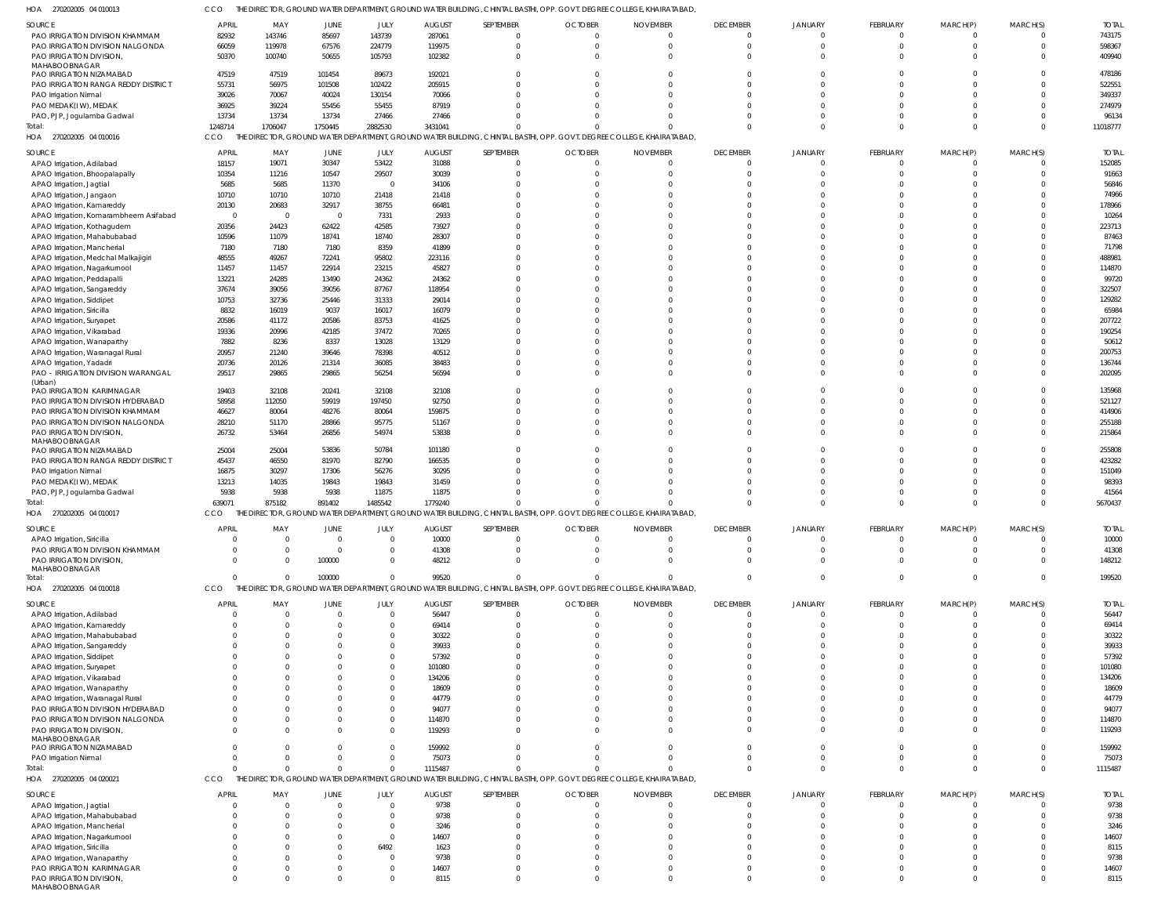270202005 04 010013 HOA 270202005 04 010016 HOA 270202005 04 010017 HOA 270202005 04 010018 HOA 270202005 04 020021 HOA THE DIRECTOR, GROUND WATER DEPARTMENT, GROUND WATER BUILDING, CHINTAL BASTHI, OPP. GOVT. DEGREE COLLEGE, KHAIRATABAD, THE DIRECTOR, GROUND WATER DEPARTMENT, GROUND WATER BUILDING, CHINTAL BASTHI, OPP. GOVT. DEGREE COLLEGE, KHAIRATABAD, THE DIRECTOR, GROUND WATER DEPARTMENT, GROUND WATER BUILDING, CHINTAL BASTHI, OPP. GOVT. DEGREE COLLEGE, KHAIRATABAD, THE DIRECTOR, GROUND WATER DEPARTMENT, GROUND WATER BUILDING, CHINTAL BASTHI, OPP. GOVT. DEGREE COLLEGE, KHAIRATABAD, THE DIRECTOR, GROUND WATER DEPARTMENT, GROUND WATER BUILDING, CHINTAL BASTHI, OPP. GOVT. DEGREE COLLEGE, KHAIRATABAD, CCO CCO CCO **CCO** CCO  $\Omega$  $\Omega$   $\Omega$   $\Omega$  $\bigcap$   $\bigcap$   $\Omega$  $\Omega$   $\bigcap$   $\Omega$   $\Omega$  $\Omega$   $\Omega$   $\Omega$   $\Omega$  $\Omega$  PAO IRRIGATION DIVISION KHAMMAM PAO IRRIGATION DIVISION NALGONDA PAO IRRIGATION DIVISION, MAHABOOBNAGAR PAO IRRIGATION NIZAMABAD PAO IRRIGATION RANGA REDDY DISTRICT PAO Irrigation Nirmal PAO MEDAK(I W), MEDAK PAO, PJP, Jogulamba Gadwal APAO Irrigation, Adilabad APAO Irrigation, Bhoopalapally APAO Irrigation, Jagtial APAO Irrigation, Jangaon APAO Irrigation, Kamareddy APAO Irrigation, Komarambheem Asifabad APAO Irrigation, Kothagudem APAO Irrigation, Mahabubabad APAO Irrigation, Mancherial APAO Irrigation, Medchal Malkajigiri APAO Irrigation, Nagarkurnool APAO Irrigation, Peddapalli APAO Irrigation, Sangareddy APAO Irrigation, Siddipet APAO Irrigation, Siricilla APAO Irrigation, Survapet APAO Irrigation, Vikarabad APAO Irrigation, Wanaparthy APAO Irrigation, Waranagal Rural APAO Irrigation, Yadadri PAO - IRRIGATION DIVISION WARANGAL (Urban) PAO IRRIGATION KARIMNAGAR PAO IRRIGATION DIVISION HYDERABAD PAO IRRIGATION DIVISION KHAMMAM PAO IRRIGATION DIVISION NALGONDA PAO IRRIGATION DIVISION, MAHABOOBNAGAR PAO IRRIGATION NIZAMABAD PAO IRRIGATION RANGA REDDY DISTRICT PAO Irrigation Nirmal PAO MEDAK(I W), MEDAK PAO, PJP, Jogulamba Gadwal APAO Irrigation, Siricilla PAO IRRIGATION DIVISION KHAMMAM PAO IRRIGATION DIVISION, MAHABOOBNAGAR APAO Irrigation, Adilabad APAO Irrigation, Kamareddy APAO Irrigation, Mahabubabad APAO Irrigation, Sangareddy APAO Irrigation, Siddipet APAO Irrigation, Suryapet APAO Irrigation, Vikarabad APAO Irrigation, Wanaparthy APAO Irrigation, Waranagal Rural PAO IRRIGATION DIVISION HYDERABAD PAO IRRIGATION DIVISION NALGONDA PAO IRRIGATION DIVISION, MAHABOOBNAGAR PAO IRRIGATION NIZAMABAD PAO Irrigation Nirmal APAO Irrigation, Jagtial APAO Irrigation, Mahabubabad APAO Irrigation, Mancherial APAO Irrigation, Nagarkurnool APAO Irrigation, Siricilla APAO Irrigation, Wanaparthy PAO IRRIGATION KARIMNAGAR SOURCE **SOURCE** SOURCE SOURCE SOURCE  $\Omega$   $\Omega$   $\mathfrak{g}$  $\mathbf{C}$  $\Omega$  $\mathfrak{c}$  $\Omega$  $\mathfrak{g}$  $\Omega$  $\Omega$   $\mathfrak{c}$  $\mathsf{C}$  $\Omega$  $\mathbf{C}$  $\Omega$   $\Omega$  $\Omega$  APRIL **APRIL** APRIL APRIL **APRIL**   $\sqrt{0}$   $\sqrt{0}$   $\Omega$   $\Omega$  $\Omega$  $\Omega$  $\Omega$   $\Omega$   $\Omega$   $\Omega$   $\Omega$  MAY MAY MAY MAY MAY  $\Omega$   $\Omega$   $\Omega$   $\Omega$   $\Omega$  $\mathfrak{g}$  $\Omega$  $\Omega$   $\mathbf 0$  $\Omega$   $\Omega$   $\Omega$  JUNE JUNE JUNE JUNE JUNE  $\bigcap$   $\Omega$   $\Omega$   $\Omega$   $\Omega$  $\Omega$   $\Omega$   $\Omega$  $\Omega$   $\Omega$   $\bigcap$  JULY JULY JULY JULY JULY AUGUST AUGUST AUGUST AUGUST AUGUST  $\Omega$   $\Omega$   $\Omega$   $\Omega$   $\Omega$   $\Omega$  $\Omega$   $\Omega$   $\Omega$   $\Omega$   $\bigcap$   $\Omega$   $\Omega$   $\Omega$   $\Omega$   $\sqrt{2}$   $\Omega$  $\bigcap$  SEPTEMBER SEPTEMBER SEPTEMBER SEPTEMBER SEPTEMBER  $\Omega$   $\Omega$   $\Omega$   $\Omega$   $\Omega$   $\Omega$   $\Omega$  $\Omega$   $\Omega$   $\Omega$   $\Omega$  $\Omega$   $\Omega$   $\Omega$  $\Omega$  **OCTOBER OCTOBER** OCTOBER **OCTOBER** OCTOBER  $\Omega$   $\sqrt{2}$   $\Omega$   $\Omega$   $\Omega$   $\Omega$  $\Omega$   $\Omega$   $\Omega$  $\Omega$   $\Omega$   $\Omega$  $\Omega$   $\Omega$   $\Omega$   $\Omega$   $\Omega$  $\Omega$   $\Omega$   $\Omega$  $\Omega$   $\Omega$   $\Omega$   $\Omega$  $\Omega$   $\Omega$   $\Omega$  $\Omega$   $\Omega$   $\Omega$  $\Omega$  NOVEMBER NOVEMBER NOVEMBER NOVEMBER NOVEMBER  $\Omega$   $\Omega$   $\Omega$   $\Omega$   $\Omega$  $\Omega$  $\Omega$   $\Omega$  $\Omega$   $\Omega$   $\Omega$  $\Omega$   $\Omega$   $\Omega$   $\Omega$  $\Omega$  $\Omega$  $\bigcap$   $\Omega$   $\Omega$  $\bigcap$   $\Omega$  $\Omega$   $\Omega$  DECEMBER DECEMBER DECEMBER DECEMBER DECEMBER  $\Omega$   $\Omega$   $\mathbf{C}$  $\Omega$   $\Omega$  $\Omega$  $\Omega$   $\Omega$  $\Omega$  $\Omega$   $\Omega$   $\Omega$  $\Omega$   $\Omega$   $\Omega$  $\Omega$  $\Omega$  $\Omega$   $\Omega$   $\Omega$   $\Omega$  $\sqrt{2}$  $\Omega$  $\Omega$   $\Omega$  $\mathbf 0$   $\theta$  JANUARY JANUARY JANUARY JANUARY JANUARY  $\Omega$   $\Omega$   $\Omega$   $\Omega$   $\Omega$  $\Omega$   $\Omega$   $\Omega$  $\Omega$   $\sqrt{2}$   $\Omega$  $\Omega$   $\Omega$   $\Omega$   $\Omega$   $\sqrt{2}$   $\Omega$   $\Omega$   $\Omega$   $\Omega$   $\Omega$  $\Omega$   $\Omega$   $\Omega$  FEBRUARY FEBRUARY FEBRUARY FEBRUARY FEBRUARY  $\Omega$   $\Omega$   $\Omega$   $\Omega$   $\Omega$  $\Omega$  $\Omega$  $\overline{0}$   $\Omega$  $\Omega$  $\Omega$   $\Omega$   $\Omega$  $\Omega$   $\Omega$   $\mathfrak{o}$   $\Omega$  $\Omega$  $\Omega$  $\Omega$   $\Omega$   $\Omega$   $\mathbf 0$  $\Omega$  $\Omega$  $\Omega$  $\Omega$  $\mathbf 0$   $\Omega$   $\Omega$   $\Omega$   $\Omega$  MARCH(P) MARCH(P) MARCH(P) MARCH(P) MARCH(P)  $\Omega$   $\Omega$   $\Omega$   $\bigcap$   $\Omega$  $\bigcap$  $\Omega$  $\Omega$   $\Omega$   $\Omega$   $\bigcap$   $^{\circ}$  $\Omega$   $\Omega$   $^{\circ}$   $\Omega$  $\Omega$   $\Omega$   $\Omega$   $\Omega$   $\Omega$  $\Omega$   $\Omega$  $\Omega$   $\Omega$  MARCH(S) MARCH(S) MARCH(S) MARCH(S) MARCH(S) TOTAL TOTAL TOTAL TOTAL TOTAL Total: Total: Total: Total:

PAO IRRIGATION DIVISION, MAHABOOBNAGAR

 $\Omega$ 

 $\Omega$ 

 $\Omega$ 

 $\Omega$ 

 $\sqrt{2}$ 

 $\Omega$ 

 $\Omega$ 

 $\Omega$ 

 $\Omega$ 

 $\Omega$ 

 $\Omega$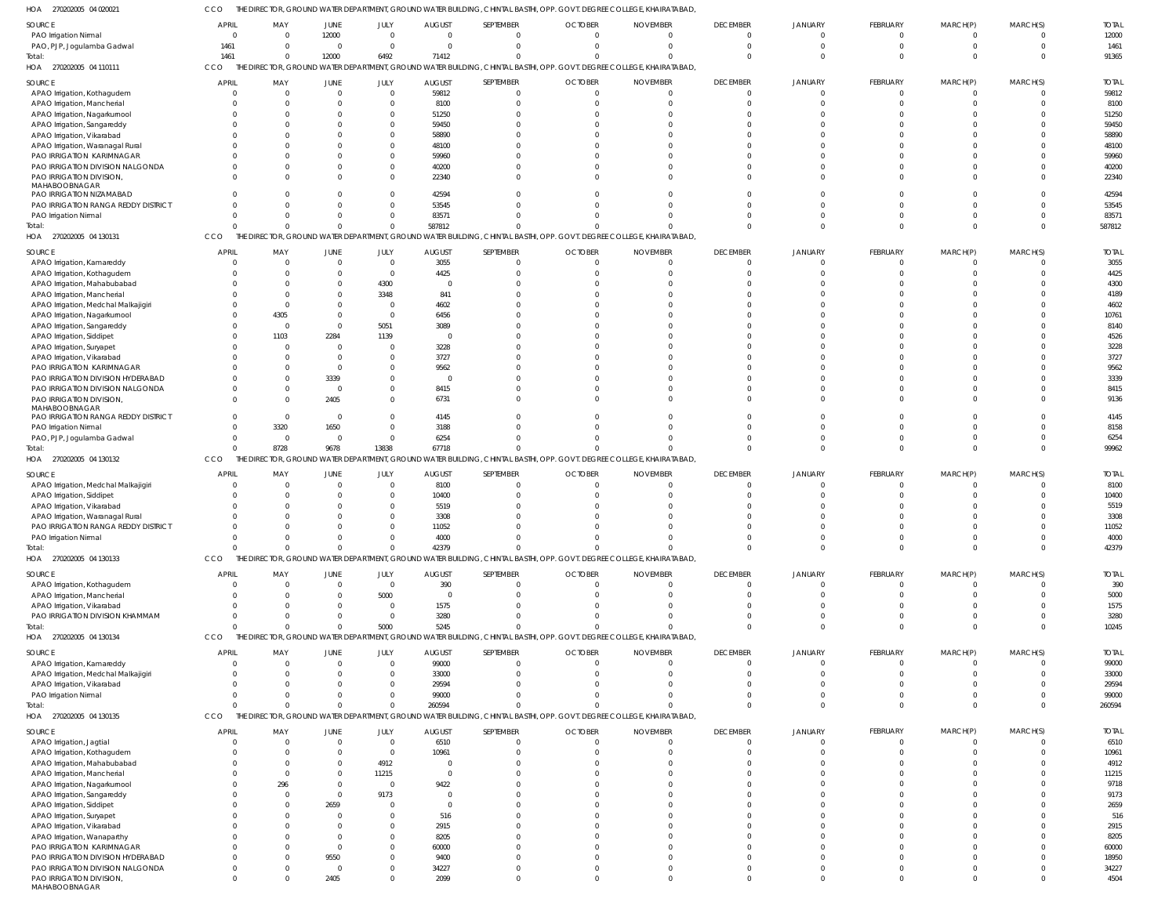CCO THE DIRECTOR, GROUND WATER DEPARTMENT, GROUND WATER BUILDING, CHINTAL BASTHI, OPP. GOVT. DEGREE COLLEGE, KHAIRATABAD,

| HOA<br>270202005 04 020021                                |                          |                 |                         |                   |                   |                       | the director, ground water department, ground water building, chintal basthi, OPP. Govt. Degree College, Khairatabad, |                             |                             |                            |                             |                      |                      |                |
|-----------------------------------------------------------|--------------------------|-----------------|-------------------------|-------------------|-------------------|-----------------------|-----------------------------------------------------------------------------------------------------------------------|-----------------------------|-----------------------------|----------------------------|-----------------------------|----------------------|----------------------|----------------|
| SOURCE                                                    | <b>APRIL</b>             | MAY             | JUNE                    | JULY              | <b>AUGUST</b>     | SEPTEMBER             | <b>OCTOBER</b>                                                                                                        | <b>NOVEMBER</b>             | <b>DECEMBER</b>             | <b>JANUARY</b>             | <b>FEBRUARY</b>             | MARCH(P)             | MARCH(S)             | <b>TOTAL</b>   |
| PAO Irrigation Nirmal                                     | $\Omega$                 | $\Omega$        | 12000                   | $\Omega$          | $\overline{0}$    | $\Omega$              |                                                                                                                       |                             | $\Omega$                    | $\Omega$                   | $\Omega$                    | 0                    | $\Omega$             | 12000          |
| PAO, PJP, Jogulamba Gadwal                                | 1461                     | $\Omega$        | $\Omega$                | $\Omega$          | $\Omega$          | $\Omega$              |                                                                                                                       | <sup>0</sup>                | $\Omega$                    | $\Omega$                   | $\Omega$                    | $\Omega$             | $\Omega$             | 1461           |
| Total:                                                    | 1461                     | $\overline{0}$  | 12000                   | 6492              | 71412             | $\Omega$              |                                                                                                                       |                             | $\Omega$                    | $\Omega$                   | $\Omega$                    |                      | $\Omega$             | 91365          |
| HOA 270202005 04 110111                                   | CCO                      |                 |                         |                   |                   |                       | THE DIRECTOR, GROUND WATER DEPARTMENT, GROUND WATER BUILDING, CHINTAL BASTHI, OPP. GOVT. DEGREE COLLEGE, KHAIRATABAD, |                             |                             |                            |                             |                      |                      |                |
| SOURCE                                                    | <b>APRIL</b>             | MAY             | <b>JUNE</b>             | JULY              | <b>AUGUST</b>     | SEPTEMBER             | <b>OCTOBER</b>                                                                                                        | <b>NOVEMBER</b>             | <b>DECEMBER</b>             | <b>JANUARY</b>             | FEBRUARY                    | MARCH(P)             | MARCH(S)             | <b>TOTAL</b>   |
| APAO Irrigation, Kothagudem                               | $\Omega$                 | $\overline{0}$  | $\Omega$                | $\Omega$          | 59812             | $\Omega$              |                                                                                                                       |                             | $\mathbf{0}$                | $\Omega$                   | $\overline{0}$              |                      | $\mathbf 0$          | 59812          |
| APAO Irrigation, Mancherial                               | $\Omega$                 | $\overline{0}$  | $\Omega$                | $\Omega$          | 8100              | $\Omega$              |                                                                                                                       |                             | $\Omega$                    | $\Omega$                   | $\Omega$                    |                      | $\mathbf 0$          | 8100           |
| APAO Irrigation, Nagarkurnool                             |                          | $\mathbf 0$     |                         | $\Omega$          | 51250             |                       |                                                                                                                       |                             | $\Omega$                    |                            |                             |                      | $\Omega$             | 51250          |
| APAO Irrigation, Sangareddy                               |                          | $\Omega$        |                         | $\Omega$          | 59450             |                       |                                                                                                                       |                             | $\Omega$                    |                            | $\Omega$                    |                      | $\Omega$             | 59450          |
| APAO Irrigation, Vikarabad                                |                          | $\Omega$        |                         | $\Omega$          | 58890             |                       |                                                                                                                       |                             | $\Omega$                    |                            |                             |                      | $\Omega$             | 58890          |
| APAO Irrigation, Waranagal Rural                          |                          | $\Omega$        |                         | $\Omega$          | 48100             |                       |                                                                                                                       |                             | $\Omega$                    |                            |                             |                      | $\Omega$             | 48100          |
| PAO IRRIGATION KARIMNAGAR                                 |                          | $\Omega$        |                         | $\Omega$          | 59960             |                       |                                                                                                                       |                             | $\Omega$                    |                            |                             |                      | $\Omega$             | 59960          |
| PAO IRRIGATION DIVISION NALGONDA                          |                          | $\Omega$        |                         | $\Omega$          | 40200             |                       |                                                                                                                       |                             | $\Omega$                    |                            | $\Omega$                    |                      | $\Omega$             | 40200          |
| PAO IRRIGATION DIVISION,                                  | $\Omega$                 | $\Omega$        |                         | $\Omega$          | 22340             |                       |                                                                                                                       |                             | $\Omega$                    |                            | $\Omega$                    |                      | $\Omega$             | 22340          |
| MAHABOOBNAGAR                                             |                          |                 |                         |                   |                   |                       |                                                                                                                       |                             |                             |                            |                             |                      |                      |                |
| PAO IRRIGATION NIZAMABAD                                  | $\Omega$                 | $\Omega$        |                         | $\Omega$          | 42594             | $\cap$                |                                                                                                                       |                             | $\Omega$                    |                            | $\Omega$                    |                      | $\Omega$             | 42594          |
| PAO IRRIGATION RANGA REDDY DISTRICT                       | $\Omega$                 | $\Omega$        | $\Omega$                | $\Omega$          | 53545             | $\cap$                |                                                                                                                       |                             | $\Omega$                    |                            | $\Omega$                    |                      | $\Omega$             | 53545          |
| PAO Irrigation Nirmal                                     | $\Omega$                 | $\Omega$        | $\Omega$                | $\Omega$          | 83571             |                       |                                                                                                                       |                             | $\Omega$                    | $\Omega$                   | $\Omega$                    |                      | $\Omega$             | 83571          |
| Total:                                                    | $\Omega$                 | $\Omega$        | $\Omega$                | $\Omega$          | 587812            |                       |                                                                                                                       |                             | $\Omega$                    | $\Omega$                   | $\Omega$                    |                      | $\Omega$             | 587812         |
| HOA 270202005 04 130131                                   | CCO                      |                 |                         |                   |                   |                       | THE DIRECTOR, GROUND WATER DEPARTMENT, GROUND WATER BUILDING, CHINTAL BASTHI, OPP. GOVT. DEGREE COLLEGE, KHAIRATABAD, |                             |                             |                            |                             |                      |                      |                |
| SOURCE                                                    | <b>APRIL</b>             | MAY             | JUNE                    | JULY              | <b>AUGUST</b>     | SEPTEMBER             | <b>OCTOBER</b>                                                                                                        | <b>NOVEMBER</b>             | <b>DECEMBER</b>             | JANUARY                    | FEBRUARY                    | MARCH(P)             | MARCH(S)             | <b>TOTAL</b>   |
| APAO Irrigation, Kamareddy                                |                          | $\Omega$        | $\Omega$                | $\Omega$          | 3055              | $\Omega$              |                                                                                                                       |                             | $\Omega$                    | $\Omega$                   | $\Omega$                    |                      | $\Omega$             | 3055           |
| APAO Irrigation, Kothagudem                               |                          | $\Omega$        |                         | $\Omega$          | 4425              | $\Omega$              |                                                                                                                       |                             | $\Omega$                    |                            |                             |                      |                      | 4425           |
| APAO Irrigation, Mahabubabad                              |                          | $\Omega$        |                         | 4300              | $\Omega$          |                       |                                                                                                                       |                             | $\Omega$                    |                            |                             |                      |                      | 4300           |
| APAO Irrigation, Mancherial                               |                          | $\Omega$        |                         | 3348              | 841               |                       |                                                                                                                       |                             |                             |                            |                             |                      |                      | 4189           |
| APAO Irrigation, Medchal Malkajigiri                      |                          | $\Omega$        |                         | $\Omega$          | 4602              |                       |                                                                                                                       |                             |                             |                            |                             |                      |                      | 4602           |
| APAO Irrigation, Nagarkurnool                             |                          | 4305            |                         | $\Omega$          | 6456              |                       |                                                                                                                       |                             |                             |                            |                             |                      |                      | 10761          |
| APAO Irrigation, Sangareddy                               | $\Omega$                 | $\Omega$        |                         | 5051              | 3089              |                       |                                                                                                                       |                             |                             |                            |                             |                      |                      | 8140           |
| APAO Irrigation, Siddipet                                 |                          | 1103            | 2284                    | 1139              | $\Omega$          |                       |                                                                                                                       |                             |                             |                            |                             |                      |                      | 4526           |
| APAO Irrigation, Suryapet                                 | $\Omega$                 | $\Omega$        |                         | $\Omega$          | 3228              |                       |                                                                                                                       |                             |                             |                            |                             |                      |                      | 3228           |
| APAO Irrigation, Vikarabad                                |                          | $\Omega$        |                         | $\Omega$          | 3727              |                       |                                                                                                                       |                             |                             |                            |                             |                      |                      | 3727           |
| PAO IRRIGATION KARIMNAGAR                                 |                          | $\Omega$        | $\Omega$                | $\Omega$          | 9562              |                       |                                                                                                                       |                             |                             |                            |                             |                      |                      | 9562           |
| PAO IRRIGATION DIVISION HYDERABAD                         |                          | $\Omega$        | 3339                    | $\Omega$          | $\Omega$          |                       |                                                                                                                       |                             |                             |                            |                             |                      |                      | 3339           |
| PAO IRRIGATION DIVISION NALGONDA                          | $\Omega$                 | $\Omega$        | $\Omega$                | $\Omega$          | 8415              |                       |                                                                                                                       |                             | $\Omega$                    |                            | $\Omega$                    |                      | $\Omega$             | 8415           |
| PAO IRRIGATION DIVISION,                                  | $\Omega$                 | $\Omega$        | 2405                    | $\Omega$          | 6731              |                       |                                                                                                                       |                             |                             |                            | $\Omega$                    |                      |                      | 9136           |
| MAHABOOBNAGAR<br>PAO IRRIGATION RANGA REDDY DISTRICT      | $\Omega$                 | $\Omega$        | $\Omega$                | $\Omega$          | 4145              |                       |                                                                                                                       |                             | $\Omega$                    |                            |                             |                      | $\Omega$             | 4145           |
| PAO Irrigation Nirmal                                     | $\Omega$                 | 3320            | 1650                    | $\Omega$          | 3188              |                       |                                                                                                                       |                             |                             |                            |                             |                      |                      | 8158           |
| PAO, PJP, Jogulamba Gadwal                                | $\Omega$                 | $\overline{0}$  | $\Omega$                | $\Omega$          | 6254              |                       |                                                                                                                       |                             | $\Omega$                    | $\Omega$                   | $\Omega$                    |                      | $\Omega$             | 6254           |
| Total:                                                    | $\Omega$                 | 8728            | 9678                    | 13838             | 67718             |                       |                                                                                                                       |                             | $\Omega$                    | $\Omega$                   | $\Omega$                    |                      | $\Omega$             | 99962          |
| HOA 270202005 04 130132                                   | CCO                      |                 |                         |                   |                   |                       | THE DIRECTOR, GROUND WATER DEPARTMENT, GROUND WATER BUILDING, CHINTAL BASTHI, OPP. GOVT. DEGREE COLLEGE, KHAIRATABAD, |                             |                             |                            |                             |                      |                      |                |
|                                                           |                          |                 |                         |                   |                   |                       |                                                                                                                       |                             |                             |                            |                             |                      |                      |                |
| SOURCE                                                    | <b>APRIL</b>             | MAY             | JUNE                    | JULY              | <b>AUGUST</b>     | SEPTEMBER             | <b>OCTOBER</b>                                                                                                        | <b>NOVEMBER</b>             | <b>DECEMBER</b>             | <b>JANUARY</b>             | <b>FEBRUARY</b>             | MARCH(P)             | MARCH(S)             | <b>TOTAL</b>   |
|                                                           |                          |                 |                         | $\Omega$          | 8100              | $\Omega$              |                                                                                                                       |                             | $\mathbf{0}$                | $\Omega$                   | $\overline{0}$              |                      | $\Omega$             | 8100           |
| APAO Irrigation, Medchal Malkajigiri                      | $\Omega$                 | $\mathbf{0}$    | $\Omega$                |                   |                   |                       |                                                                                                                       |                             | $\Omega$                    |                            | $\Omega$                    |                      | $\Omega$             | 10400          |
| APAO Irrigation, Siddipet                                 | $\Omega$                 | $\Omega$        | $\Omega$                | $\Omega$          | 10400             | $\Omega$              |                                                                                                                       |                             |                             |                            |                             |                      |                      |                |
| APAO Irrigation, Vikarabad                                |                          | $\Omega$        |                         | $\Omega$          | 5519              |                       |                                                                                                                       |                             | $\Omega$                    |                            |                             |                      | $\Omega$             | 5519           |
| APAO Irrigation, Waranagal Rural                          |                          | $\Omega$        |                         | $\Omega$          | 3308              |                       |                                                                                                                       |                             | $\Omega$                    |                            |                             |                      | $\Omega$             | 3308           |
| PAO IRRIGATION RANGA REDDY DISTRICT                       | $\cap$                   | $\Omega$        |                         | $\Omega$          | 11052             |                       |                                                                                                                       |                             |                             |                            |                             |                      | $\Omega$             | 11052          |
| PAO Irrigation Nirmal                                     | $\Omega$                 | $\Omega$        | $\Omega$                | $\Omega$          | 4000              | $\Omega$              |                                                                                                                       |                             | $\Omega$                    | $\Omega$                   | $\Omega$                    | $\Omega$             | $\Omega$             | 4000           |
| Total:                                                    | $\Omega$                 | $\overline{0}$  | $\Omega$                | $\Omega$          | 42379             | $\cap$                |                                                                                                                       |                             | $\Omega$                    | $\Omega$                   | $\overline{0}$              | $\mathbf 0$          | $\overline{0}$       | 42379          |
| HOA 270202005 04 130133                                   | CCO                      |                 |                         |                   |                   |                       | THE DIRECTOR, GROUND WATER DEPARTMENT, GROUND WATER BUILDING, CHINTAL BASTHI, OPP. GOVT. DEGREE COLLEGE, KHAIRATABAD, |                             |                             |                            |                             |                      |                      |                |
| SOURCE                                                    | <b>APRIL</b>             | MAY             | JUNE                    | JULY              | <b>AUGUST</b>     | SEPTEMBER             | <b>OCTOBER</b>                                                                                                        | <b>NOVEMBER</b>             | <b>DECEMBER</b>             | <b>JANUARY</b>             | <b>FEBRUARY</b>             | MARCH(P)             | MARCH(S)             | <b>TOTAL</b>   |
| APAO Irrigation, Kothagudem                               | $\overline{0}$           | $\overline{0}$  | $\Omega$                | $\Omega$          | 390               | $\Omega$              | $\Omega$                                                                                                              | $\Omega$                    | $\Omega$                    | $\Omega$                   | $\Omega$                    | <sup>0</sup>         | $\Omega$             | 390            |
| APAO Irrigation, Mancherial                               | $\Omega$                 | $\Omega$        |                         | 5000              | $\Omega$          | $\Omega$              |                                                                                                                       |                             | $\Omega$                    | $\Omega$                   | $\Omega$                    |                      | $\Omega$             | 5000           |
| APAO Irrigation, Vikarabad                                | $\Omega$                 | $\Omega$        |                         | $\Omega$          | 1575              | $\Omega$              |                                                                                                                       |                             | $\Omega$                    | $\Omega$                   | $\Omega$                    |                      | $\Omega$             | 1575           |
| PAO IRRIGATION DIVISION KHAMMAM                           | $\Omega$                 | $\Omega$        |                         | $\Omega$          | 3280              | $\Omega$              |                                                                                                                       |                             | $\Omega$                    | $\Omega$                   | $\Omega$                    |                      | $\Omega$             | 3280           |
| Total:                                                    | $\Omega$                 | $\Omega$        |                         | 5000              | 5245              | $\Omega$              |                                                                                                                       |                             | $\Omega$                    | $\Omega$                   | $\Omega$                    | $\Omega$             | $\Omega$             | 10245          |
| HOA 270202005 04 130134                                   | CCO                      |                 |                         |                   |                   |                       | THE DIRECTOR, GROUND WATER DEPARTMENT, GROUND WATER BUILDING, CHINTAL BASTHI, OPP. GOVT. DEGREE COLLEGE, KHAIRATABAD, |                             |                             |                            |                             |                      |                      |                |
| SOURCE                                                    | <b>APRIL</b>             | MAY             | JUNE                    | JULY              | <b>AUGUST</b>     | SEPTEMBER             | <b>OCTOBER</b>                                                                                                        | <b>NOVEMBER</b>             | <b>DECEMBER</b>             | <b>JANUARY</b>             | <b>FEBRUARY</b>             | MARCH(P)             | MARCH(S)             | <b>TOTAL</b>   |
| APAO Irrigation, Kamareddy                                | $\overline{0}$           | $\overline{0}$  | $\Omega$                | $\Omega$          | 99000             | $\Omega$              | $\mathbf 0$                                                                                                           | $\Omega$                    | $\overline{0}$              | $\overline{0}$             | $\overline{0}$              | $\mathbf 0$          | $\mathbf 0$          | 99000          |
| APAO Irrigation, Medchal Malkajigiri                      | $\overline{0}$           | $\overline{0}$  | $\Omega$                | $\Omega$          | 33000             | $\Omega$              | $\Omega$                                                                                                              |                             | $\Omega$                    | $\Omega$                   | $\Omega$                    | $\Omega$             | $\Omega$             |                |
|                                                           | $\Omega$                 | $\Omega$        | $\cap$                  | $\Omega$          | 29594             | $\Omega$              |                                                                                                                       |                             | $\Omega$                    | $\Omega$                   | $\Omega$                    | <sup>0</sup>         | $\Omega$             | 33000<br>29594 |
| APAO Irrigation, Vikarabad<br>PAO Irrigation Nirmal       | $\Omega$                 | $\mathbf{0}$    | $\Omega$                | $\Omega$          | 99000             | $\Omega$              |                                                                                                                       |                             | $\Omega$                    | $\Omega$                   | $\Omega$                    | $\Omega$             | $\Omega$             | 99000          |
| Total:                                                    | $\Omega$                 | $\mathbf 0$     | $\Omega$                | $\Omega$          | 260594            | $\Omega$              |                                                                                                                       | $\Omega$                    | $\Omega$                    | $\Omega$                   | $\Omega$                    | $\Omega$             | $\Omega$             | 260594         |
| HOA 270202005 04 130135                                   | CCO                      |                 |                         |                   |                   |                       | THE DIRECTOR, GROUND WATER DEPARTMENT, GROUND WATER BUILDING, CHINTAL BASTHI, OPP. GOVT. DEGREE COLLEGE, KHAIRATABAD, |                             |                             |                            |                             |                      |                      |                |
|                                                           |                          |                 |                         |                   |                   |                       |                                                                                                                       |                             |                             |                            |                             |                      |                      |                |
| SOURCE                                                    | <b>APRIL</b><br>$\Omega$ | MAY<br>$\Omega$ | <b>JUNE</b><br>$\Omega$ | JULY<br>$\Omega$  | <b>AUGUST</b>     | SEPTEMBER<br>$\Omega$ | <b>OCTOBER</b>                                                                                                        | <b>NOVEMBER</b><br>$\Omega$ | <b>DECEMBER</b><br>$\Omega$ | <b>JANUARY</b><br>$\Omega$ | <b>FEBRUARY</b><br>$\Omega$ | MARCH(P)<br>$\Omega$ | MARCH(S)<br>$\Omega$ | <b>TOTAL</b>   |
| APAO Irrigation, Jagtial                                  | $\Omega$                 | $\Omega$        |                         | $\Omega$          | 6510              | $\Omega$              |                                                                                                                       |                             | $\Omega$                    | $\Omega$                   | $\Omega$                    | $\Omega$             | $\Omega$             | 6510           |
| APAO Irrigation, Kothagudem                               | $\Omega$                 | $\Omega$        |                         |                   | 10961<br>$\Omega$ | $\Omega$              |                                                                                                                       |                             | $\Omega$                    | $\Omega$                   | $\Omega$                    |                      | $\Omega$             | 10961          |
| APAO Irrigation, Mahabubabad                              | $\Omega$                 | $\Omega$        |                         | 4912              | $\Omega$          | $\Omega$              |                                                                                                                       |                             | n                           | $\Omega$                   | $\cap$                      |                      | $\Omega$             | 4912           |
| APAO Irrigation, Mancherial                               |                          |                 |                         | 11215<br>$\Omega$ |                   | $\Omega$              |                                                                                                                       |                             |                             |                            |                             |                      |                      | 11215          |
| APAO Irrigation, Nagarkurnool                             | $\cap$                   | 296<br>$\Omega$ | $\Omega$                |                   | 9422<br>$\Omega$  | $\cap$                |                                                                                                                       |                             |                             |                            |                             |                      | $\Omega$             | 9718           |
| APAO Irrigation, Sangareddy                               |                          | $\Omega$        | 2659                    | 9173<br>$\Omega$  | $\Omega$          | $\Omega$              |                                                                                                                       |                             |                             |                            |                             |                      |                      | 9173<br>2659   |
| APAO Irrigation, Siddipet                                 |                          | $\Omega$        |                         | $\Omega$          | 516               |                       |                                                                                                                       |                             |                             |                            |                             |                      |                      | 516            |
| APAO Irrigation, Suryapet                                 |                          | $\Omega$        |                         | $\Omega$          | 2915              | $\Omega$              |                                                                                                                       |                             |                             |                            |                             |                      |                      | 2915           |
| APAO Irrigation, Vikarabad<br>APAO Irrigation, Wanaparthy |                          | $\Omega$        |                         | $\Omega$          | 8205              | $\cap$                |                                                                                                                       |                             | n                           |                            | $\cap$                      |                      |                      | 8205           |
| PAO IRRIGATION KARIMNAGAR                                 |                          | $\Omega$        | $\Omega$                | $\Omega$          | 60000             | $\Omega$              |                                                                                                                       |                             |                             |                            | $\cap$                      |                      |                      | 60000          |
| PAO IRRIGATION DIVISION HYDERABAD                         | $\cap$                   | $\Omega$        | 9550                    | $\Omega$          | 9400              | $\Omega$              |                                                                                                                       |                             | $\Omega$                    | $\Omega$                   | $\cap$                      |                      |                      | 18950          |
| PAO IRRIGATION DIVISION NALGONDA                          | $\Omega$                 | $\Omega$        | $\Omega$                | $\Omega$          | 34227             | $\Omega$              |                                                                                                                       |                             | $\Omega$                    | $\Omega$                   | $\Omega$                    |                      |                      | 34227          |
| PAO IRRIGATION DIVISION,<br>MAHABOOBNAGAR                 | $\Omega$                 | $\Omega$        | 2405                    | $\Omega$          | 2099              | $\Omega$              |                                                                                                                       | $\Omega$                    | $\Omega$                    | $\Omega$                   | $\Omega$                    |                      | $\Omega$             | 4504           |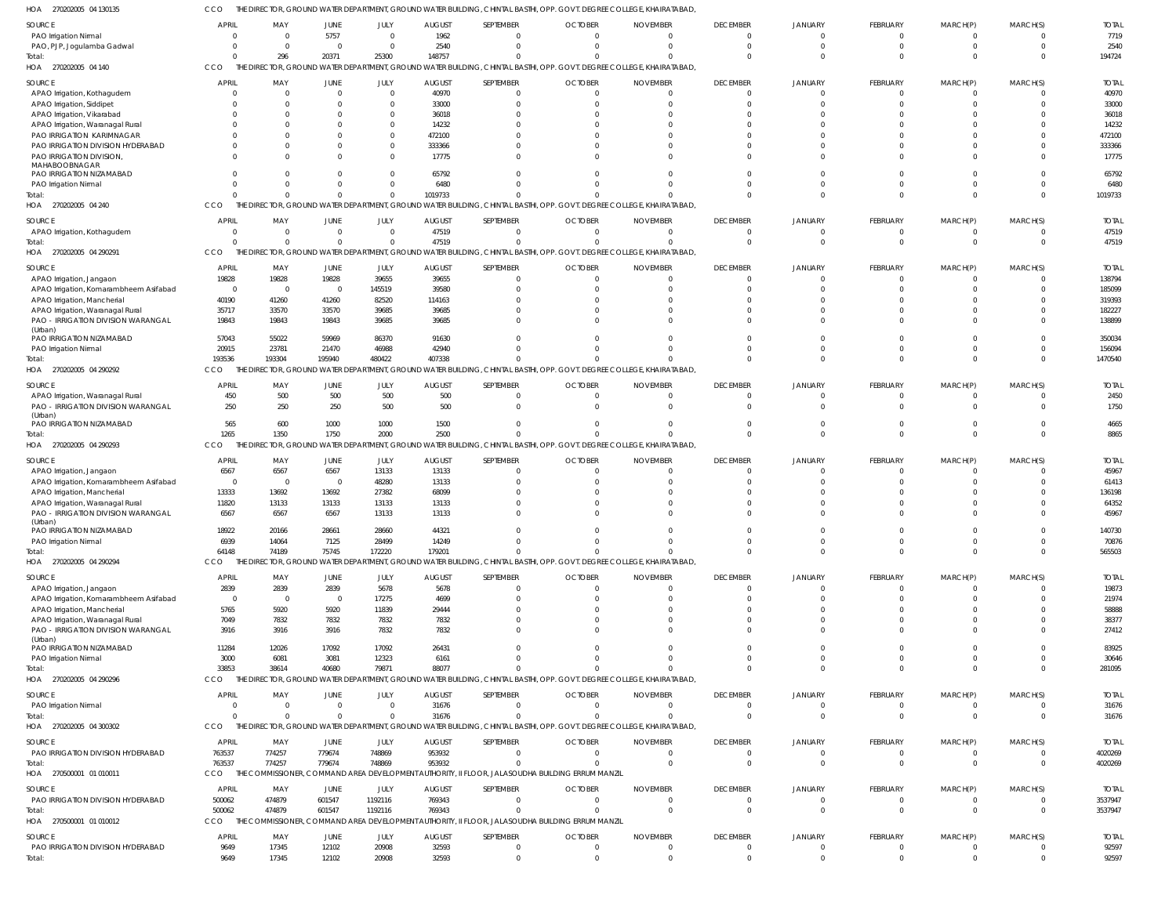CCO THE DIRECTOR, GROUND WATER DEPARTMENT, GROUND WATER BUILDING, CHINTAL BASTHI, OPP. GOVT. DEGREE COLLEGE, KHAIRATABAD,

| HOA<br>270202005 04 130135                                             |                                  |                                  |                               |                      |                        |                       | ihe Director, Ground water Department, Ground water Building, Chintal Basthi, Opp. Govt. Degree College, Khairatabad, |                             |                                   |                                |                                |                              |                      |                       |
|------------------------------------------------------------------------|----------------------------------|----------------------------------|-------------------------------|----------------------|------------------------|-----------------------|-----------------------------------------------------------------------------------------------------------------------|-----------------------------|-----------------------------------|--------------------------------|--------------------------------|------------------------------|----------------------|-----------------------|
| SOURCE                                                                 | <b>APRIL</b>                     | MAY                              | <b>JUNE</b>                   | JULY                 | <b>AUGUST</b>          | SEPTEMBER             | <b>OCTOBER</b>                                                                                                        | <b>NOVEMBER</b>             | <b>DECEMBER</b>                   | <b>JANUARY</b>                 | FEBRUARY                       | MARCH(P)                     | MARCH(S)             | <b>TOTAI</b>          |
| PAO Irrigation Nirmal                                                  |                                  | $\Omega$                         | 5757                          | $\Omega$             | 1962                   | $\Omega$              |                                                                                                                       |                             | $\Omega$                          |                                | $\mathbf{0}$                   | $\Omega$                     | $\Omega$             | 7719                  |
| PAO, PJP, Jogulamba Gadwal                                             |                                  | $\Omega$                         | $\overline{0}$                | $\Omega$             | 2540                   | $\Omega$              |                                                                                                                       |                             | $\Omega$                          |                                | $\mathbf{0}$                   | $\Omega$                     | $\Omega$             | 2540                  |
| Total:<br>HOA 270202005 04 140                                         | <b>CCO</b>                       | 296                              | 20371                         | 25300                | 148757                 | $\Omega$              | THE DIRECTOR, GROUND WATER DEPARTMENT, GROUND WATER BUILDING, CHINTAL BASTHI, OPP. GOVT. DEGREE COLLEGE, KHAIRATABAD, |                             | $\Omega$                          |                                | $\Omega$                       | $\Omega$                     | $\Omega$             | 194724                |
|                                                                        |                                  |                                  |                               |                      |                        |                       |                                                                                                                       |                             |                                   |                                |                                |                              |                      |                       |
| SOURCE<br>APAO Irrigation, Kothagudem                                  | <b>APRIL</b>                     | MAY<br>$\Omega$                  | <b>JUNE</b><br>$\overline{0}$ | JULY<br>$\Omega$     | <b>AUGUST</b><br>40970 | SEPTEMBER<br>$\Omega$ | <b>OCTOBER</b>                                                                                                        | <b>NOVEMBER</b>             | <b>DECEMBER</b><br>$\overline{0}$ | JANUARY                        | FEBRUARY<br>0                  | MARCH(P)<br>$\Omega$         | MARCH(S)             | <b>TOTAL</b><br>40970 |
| APAO Irrigation, Siddipet                                              |                                  | $\Omega$                         | $\Omega$                      | $\Omega$             | 33000                  | $\Omega$              |                                                                                                                       |                             | $\Omega$                          |                                | $\Omega$                       | $\Omega$                     | $\Omega$             | 33000                 |
| APAO Irrigation, Vikarabad                                             |                                  | $\Omega$                         | $\Omega$                      | $\Omega$             | 36018                  | $\cap$                |                                                                                                                       |                             | $\Omega$                          |                                | $\Omega$                       |                              | $\cap$               | 36018                 |
| APAO Irrigation, Waranagal Rural                                       |                                  | $\Omega$                         | $\Omega$                      | $\Omega$             | 14232                  | $\cap$                |                                                                                                                       |                             | $\Omega$                          |                                | $\Omega$                       |                              | $\cap$               | 14232                 |
| PAO IRRIGATION KARIMNAGAR<br>PAO IRRIGATION DIVISION HYDERABAD         |                                  | $\Omega$<br>$\Omega$             | $\Omega$<br>$\Omega$          | $\Omega$<br>$\Omega$ | 472100<br>333366       | $\cap$<br>$\cap$      |                                                                                                                       |                             | $\Omega$<br>$\Omega$              |                                | $\Omega$<br>$\Omega$           |                              | $\Omega$<br>$\cap$   | 472100<br>333366      |
| PAO IRRIGATION DIVISION,                                               |                                  | $\Omega$                         | $\Omega$                      | $\Omega$             | 17775                  | $\cap$                |                                                                                                                       |                             | $\Omega$                          |                                | $\Omega$                       | $\Omega$                     | $\cap$               | 17775                 |
| MAHABOOBNAGAR                                                          |                                  |                                  |                               |                      |                        |                       |                                                                                                                       |                             |                                   |                                |                                |                              |                      |                       |
| PAO IRRIGATION NIZAMABAD<br>PAO Irrigation Nirmal                      |                                  | $\Omega$<br>$\Omega$             | $\Omega$<br>$\mathbf 0$       | $\Omega$<br>$\Omega$ | 65792<br>6480          | $\cap$<br>$\cap$      |                                                                                                                       |                             | $\Omega$<br>$\Omega$              |                                | $\Omega$<br>$\Omega$           | $\Omega$<br>$\Omega$         | $\cap$<br>$\Omega$   | 65792<br>6480         |
| Total:                                                                 |                                  | $\Omega$                         | $\mathbf{0}$                  | $\Omega$             | 1019733                | $\cap$                |                                                                                                                       |                             | $\Omega$                          | $\Omega$                       | $\mathbf 0$                    | $\Omega$                     | $\Omega$             | 1019733               |
| HOA 270202005 04 240                                                   | <b>CCO</b>                       |                                  |                               |                      |                        |                       | THE DIRECTOR, GROUND WATER DEPARTMENT, GROUND WATER BUILDING, CHINTAL BASTHI, OPP. GOVT. DEGREE COLLEGE, KHAIRATABAD, |                             |                                   |                                |                                |                              |                      |                       |
| SOURCE                                                                 | <b>APRIL</b>                     | MAY                              | <b>JUNE</b>                   | JULY                 | <b>AUGUST</b>          | SEPTEMBER             | <b>OCTOBER</b>                                                                                                        | <b>NOVEMBER</b>             | <b>DECEMBER</b>                   | <b>JANUARY</b>                 | FEBRUARY                       | MARCH(P)                     | MARCH(S)             | <b>TOTAL</b>          |
| APAO Irrigation, Kothagudem                                            | $\Omega$                         | $\mathbf 0$                      | $\overline{0}$                | $\Omega$             | 47519                  | $\Omega$              | $\Omega$                                                                                                              | $\Omega$                    | $\Omega$                          |                                | $\mathbf{0}$                   | $\overline{0}$               | $\Omega$             | 47519                 |
| Total:                                                                 |                                  | $\Omega$                         | $\mathbf{0}$                  | $\Omega$             | 47519                  | $\Omega$              | $\Omega$                                                                                                              | $\Omega$                    | $\overline{0}$                    | $\Omega$                       | $\mathbf{0}$                   | $\overline{0}$               | $\Omega$             | 47519                 |
| HOA 270202005 04 290291                                                | CCO                              |                                  |                               |                      |                        |                       | THE DIRECTOR, GROUND WATER DEPARTMENT, GROUND WATER BUILDING, CHINTAL BASTHI, OPP. GOVT. DEGREE COLLEGE, KHAIRATABAD, |                             |                                   |                                |                                |                              |                      |                       |
| SOURCE                                                                 | <b>APRIL</b>                     | MAY                              | JUNE                          | JULY                 | <b>AUGUST</b>          | SEPTEMBER             | <b>OCTOBER</b>                                                                                                        | <b>NOVEMBER</b>             | <b>DECEMBER</b>                   | <b>JANUARY</b>                 | FEBRUARY                       | MARCH(P)                     | MARCH(S)             | <b>TOTAL</b>          |
| APAO Irrigation, Jangaon                                               | 19828                            | 19828                            | 19828                         | 39655                | 39655                  | $\Omega$<br>$\Omega$  | $\Omega$                                                                                                              |                             | $\overline{0}$<br>$\Omega$        |                                | $\mathbf{0}$<br>$\Omega$       | $\Omega$                     | $\Omega$<br>$\cap$   | 138794                |
| APAO Irrigation, Komarambheem Asifabad<br>APAO Irrigation, Mancheria   | $\overline{\mathbf{0}}$<br>40190 | $\overline{\mathbf{0}}$<br>41260 | $\overline{0}$<br>41260       | 145519<br>82520      | 39580<br>114163        | $\cap$                |                                                                                                                       |                             | $\Omega$                          |                                | $\Omega$                       |                              | $\Omega$             | 185099<br>319393      |
| APAO Irrigation, Waranagal Rural                                       | 35717                            | 33570                            | 33570                         | 39685                | 39685                  | $\Omega$              |                                                                                                                       |                             | $\Omega$                          |                                | $\Omega$                       |                              | $\Omega$             | 182227                |
| PAO - IRRIGATION DIVISION WARANGAL                                     | 19843                            | 19843                            | 19843                         | 39685                | 39685                  | $\Omega$              |                                                                                                                       |                             | $\Omega$                          |                                | $\Omega$                       | $\Omega$                     | $\Omega$             | 138899                |
| (Urban)<br>PAO IRRIGATION NIZAMABAD                                    | 57043                            | 55022                            | 59969                         | 86370                | 91630                  | $\Omega$              |                                                                                                                       |                             | $\Omega$                          |                                | $\Omega$                       |                              | $\Omega$             | 350034                |
| PAO Irrigation Nirmal                                                  | 20915                            | 23781                            | 21470                         | 46988                | 42940                  | $\cap$                |                                                                                                                       |                             | $\Omega$                          |                                | $\Omega$                       | $\Omega$                     | $\Omega$             | 156094                |
| Total:                                                                 | 193536                           | 193304                           | 195940                        | 480422               | 407338                 | $\cap$                |                                                                                                                       |                             | $\Omega$                          | $\Omega$                       | $\Omega$                       | $\Omega$                     | $\Omega$             | 1470540               |
| 270202005 04 290292<br>HOA                                             | CCO                              | THE D                            |                               |                      |                        |                       | ECTOR, GROUND WATER DEPARTMENT, GROUND WATER BUILDING, CHINTAL BASTHI, OPP. GOVT. DEGREE COLLEGE, KHAIRATABAD,        |                             |                                   |                                |                                |                              |                      |                       |
| SOURCE                                                                 | <b>APRIL</b>                     | MAY                              | JUNE                          | JULY                 | <b>AUGUST</b>          | SEPTEMBER             | <b>OCTOBER</b>                                                                                                        | <b>NOVEMBER</b>             | <b>DECEMBER</b>                   | <b>JANUARY</b>                 | FEBRUARY                       | MARCH(P)                     | MARCH(S)             | <b>TOTAI</b>          |
| APAO Irrigation, Waranagal Rural<br>PAO - IRRIGATION DIVISION WARANGAL | 450<br>250                       | 500<br>250                       | 500<br>250                    | 500<br>500           | 500<br>500             | $\Omega$<br>$\Omega$  | $\Omega$<br>$\Omega$                                                                                                  |                             | $\Omega$<br>$\Omega$              |                                | $\Omega$<br>$\Omega$           | 0<br>$\Omega$                | $\Omega$<br>$\Omega$ | 2450<br>1750          |
| (Urban)                                                                |                                  |                                  |                               |                      |                        |                       |                                                                                                                       |                             |                                   |                                |                                |                              |                      |                       |
| PAO IRRIGATION NIZAMABAD                                               | 565                              | 600                              | 1000                          | 1000                 | 1500                   | $\cap$                |                                                                                                                       |                             | $\Omega$                          |                                | $\Omega$                       | $\Omega$                     | $\Omega$             | 4665                  |
| Total:<br>HOA 270202005 04 290293                                      | 1265<br>CCO                      | 1350                             | 1750                          | 2000                 | 2500                   | $\cap$                | THE DIRECTOR, GROUND WATER DEPARTMENT, GROUND WATER BUILDING, CHINTAL BASTHI, OPP. GOVT. DEGREE COLLEGE, KHAIRATABAD, |                             | $\Omega$                          |                                | $\Omega$                       | $\Omega$                     | $\Omega$             | 8865                  |
|                                                                        |                                  |                                  |                               |                      |                        |                       |                                                                                                                       |                             |                                   |                                |                                |                              |                      |                       |
| SOURCE<br>APAO Irrigation, Jangaon                                     | <b>APRIL</b><br>6567             | MAY<br>6567                      | <b>JUNE</b><br>6567           | JULY<br>13133        | <b>AUGUST</b><br>13133 | SEPTEMBER<br>$\Omega$ | <b>OCTOBER</b>                                                                                                        | <b>NOVEMBER</b>             | <b>DECEMBER</b><br>$\overline{0}$ | <b>JANUARY</b>                 | FEBRUARY<br>$\overline{0}$     | MARCH(P)<br>$\Omega$         | MARCH(S)<br>$\cap$   | <b>TOTAL</b><br>45967 |
| APAO Irrigation, Komarambheem Asifabad                                 | $\overline{0}$                   | $\overline{0}$                   | $\overline{0}$                | 48280                | 13133                  | $\Omega$              |                                                                                                                       |                             | $\Omega$                          |                                | $\Omega$                       |                              | $\Omega$             | 61413                 |
| APAO Irrigation, Mancheria                                             | 13333                            | 13692                            | 13692                         | 27382                | 68099                  | $\cap$                |                                                                                                                       |                             | $\Omega$                          |                                | $\Omega$                       |                              | $\Omega$             | 136198                |
| APAO Irrigation, Waranagal Rural                                       | 11820                            | 13133                            | 13133                         | 13133                | 13133                  | $\Omega$              |                                                                                                                       |                             | $\Omega$                          |                                | $\Omega$                       |                              |                      | 64352                 |
| PAO - IRRIGATION DIVISION WARANGAL<br>(Urban)                          | 6567                             | 6567                             | 6567                          | 13133                | 13133                  | $\cap$                |                                                                                                                       |                             | $\Omega$                          |                                | $\Omega$                       | $\Omega$                     | $\cap$               | 45967                 |
| PAO IRRIGATION NIZAMABAD                                               | 18922                            | 20166                            | 28661                         | 28660                | 44321                  |                       |                                                                                                                       |                             |                                   |                                |                                |                              |                      | 140730                |
| PAO Irrigation Nirmal                                                  | 6939                             | 14064                            | 7125                          | 28499                | 14249                  |                       |                                                                                                                       |                             | $\Omega$                          |                                | $\mathbf 0$                    | $\Omega$                     | $\Omega$             | 70876                 |
| Total:<br>HOA 270202005 04 290294                                      | 64148<br>CCO                     | 74189                            | 75745                         | 172220               | 179201                 | $\cap$                | THE DIRECTOR, GROUND WATER DEPARTMENT, GROUND WATER BUILDING, CHINTAL BASTHI, OPP. GOVT. DEGREE COLLEGE, KHAIRATABAD, | $\Omega$                    | $\overline{0}$                    | $\Omega$                       | $\mathbf{0}$                   | $\overline{0}$               | $\Omega$             | 565503                |
|                                                                        |                                  |                                  |                               |                      |                        |                       |                                                                                                                       |                             |                                   |                                |                                |                              |                      |                       |
| SOURCE<br>APAO Irrigation, Jangaon                                     | <b>APRIL</b><br>2839             | MAY<br>2839                      | JUNE<br>2839                  | JULY<br>5678         | <b>AUGUST</b><br>5678  | SEPTEMBER<br>$\Omega$ | <b>OCTOBER</b><br>$\Omega$                                                                                            | <b>NOVEMBER</b><br>$\Omega$ | <b>DECEMBER</b><br>$\overline{0}$ | JANUARY<br>$\Omega$            | FEBRUARY<br>$\overline{0}$     | MARCH(P)<br>$\overline{0}$   | MARCH(S)<br>$\Omega$ | <b>TOTAL</b><br>19873 |
| APAO Irrigation, Komarambheem Asifabad                                 | $\overline{0}$                   | $\overline{0}$                   | $\overline{0}$                | 17275                | 4699                   | $\Omega$              |                                                                                                                       | $\Omega$                    | $\Omega$                          |                                | $\mathbf 0$                    | $\Omega$                     | $\Omega$             | 21974                 |
| APAO Irrigation, Mancherial                                            | 5765                             | 5920                             | 5920                          | 11839                | 29444                  | $\Omega$              |                                                                                                                       |                             | $\Omega$                          |                                | $\Omega$                       |                              | $\Omega$             | 58888                 |
| APAO Irrigation, Waranagal Rural                                       | 7049                             | 7832                             | 7832                          | 7832                 | 7832                   | $\Omega$<br>$\Omega$  |                                                                                                                       |                             | $\Omega$<br>$\Omega$              |                                | $\Omega$                       | $\Omega$<br>$\Omega$         | $\Omega$<br>$\Omega$ | 38377                 |
| PAO - IRRIGATION DIVISION WARANGAL<br>(Urban)                          | 3916                             | 3916                             | 3916                          | 7832                 | 7832                   |                       |                                                                                                                       |                             |                                   |                                | $\Omega$                       |                              |                      | 27412                 |
| PAO IRRIGATION NIZAMABAD                                               | 11284                            | 12026                            | 17092                         | 17092                | 26431                  | $\cap$                |                                                                                                                       |                             | $\Omega$                          |                                | $\Omega$                       | $\Omega$                     | $\Omega$             | 83925                 |
| PAO Irrigation Nirmal                                                  | 3000<br>33853                    | 6081<br>38614                    | 3081<br>40680                 | 12323<br>79871       | 6161<br>88077          | $\Omega$<br>$\cap$    |                                                                                                                       | $\Omega$<br>$\Omega$        | $\Omega$<br>$\Omega$              | $\Omega$                       | $\Omega$<br>$\Omega$           | $\Omega$<br>$\Omega$         | $\Omega$<br>$\Omega$ | 30646                 |
| Total:<br>HOA 270202005 04 290296                                      | CCO                              |                                  |                               |                      |                        |                       | THE DIRECTOR, GROUND WATER DEPARTMENT, GROUND WATER BUILDING, CHINTAL BASTHI, OPP. GOVT. DEGREE COLLEGE, KHAIRATABAD, |                             |                                   |                                |                                |                              |                      | 281095                |
|                                                                        | <b>APRIL</b>                     | MAY                              |                               |                      | <b>AUGUST</b>          | SEPTEMBER             | <b>OCTOBER</b>                                                                                                        |                             | <b>DECEMBER</b>                   |                                | FEBRUARY                       | MARCH(P)                     | MARCH(S)             | <b>TOTAL</b>          |
| SOURCE<br>PAO Irrigation Nirmal                                        | $\overline{0}$                   | $\mathbf 0$                      | JUNE<br>$\overline{0}$        | JULY<br>$\Omega$     | 31676                  | $\Omega$              | $\Omega$                                                                                                              | <b>NOVEMBER</b><br>$\Omega$ | $\overline{0}$                    | <b>JANUARY</b><br>$\mathbf{0}$ | $\overline{0}$                 | $\overline{0}$               | $\Omega$             | 31676                 |
| Total:                                                                 | $\Omega$                         | $\Omega$                         | $\mathbf 0$                   | $\Omega$             | 31676                  | $\Omega$              |                                                                                                                       |                             | $\Omega$                          | $\Omega$                       | $\mathbf{0}$                   | $\overline{0}$               | $\Omega$             | 31676                 |
| HOA 270202005 04 300302                                                | CCO                              |                                  |                               |                      |                        |                       | THE DIRECTOR, GROUND WATER DEPARTMENT, GROUND WATER BUILDING, CHINTAL BASTHI, OPP. GOVT. DEGREE COLLEGE, KHAIRATABAD, |                             |                                   |                                |                                |                              |                      |                       |
| SOURCE                                                                 | <b>APRIL</b>                     | MAY                              | JUNE                          | JULY                 | <b>AUGUST</b>          | SEPTEMBER             | <b>OCTOBER</b>                                                                                                        | <b>NOVEMBER</b>             | <b>DECEMBER</b>                   | <b>JANUARY</b>                 | FEBRUARY                       | MARCH(P)                     | MARCH(S)             | <b>TOTAL</b>          |
| PAO IRRIGATION DIVISION HYDERABAD                                      | 763537                           | 774257                           | 779674                        | 748869               | 953932                 | $\Omega$              | $\Omega$                                                                                                              | $\Omega$                    | $\overline{0}$                    | $\Omega$                       | $\mathbf{0}$                   | $^{\circ}$                   | $\Omega$             | 4020269               |
| Total:                                                                 | 763537                           | 774257                           | 779674                        | 748869               | 953932                 | $\Omega$              |                                                                                                                       | $\Omega$                    | $\Omega$                          | $\Omega$                       | $\mathbf{0}$                   | $\overline{0}$               | $\Omega$             | 4020269               |
| HOA 270500001 01 010011                                                | CCO                              | THE COMMISSIONER,                |                               |                      |                        |                       | COMMAND AREA DEVELOPMENT AUTHORITY, II FLOOR, JALASOUDHA BUILDING ERRUM MANZIL                                        |                             |                                   |                                |                                |                              |                      |                       |
| SOURCE                                                                 | <b>APRIL</b>                     | MAY                              | JUNE                          | JULY                 | <b>AUGUST</b>          | SEPTEMBER             | <b>OCTOBER</b>                                                                                                        | <b>NOVEMBER</b>             | <b>DECEMBER</b>                   | JANUARY                        | FEBRUARY                       | MARCH(P)                     | MARCH(S)             | <b>TOTAL</b>          |
| PAO IRRIGATION DIVISION HYDERABAD<br>Total:                            | 500062<br>500062                 | 474879<br>474879                 | 601547<br>601547              | 1192116<br>1192116   | 769343<br>769343       | $\Omega$<br>$\Omega$  | $\mathbf{0}$<br>$\Omega$                                                                                              | $\Omega$<br>$\Omega$        | $\overline{0}$<br>$\overline{0}$  | $\mathbf{0}$<br>$\Omega$       | $\overline{0}$<br>$\mathbf{0}$ | $^{\circ}$<br>$\overline{0}$ | $\Omega$<br>$\Omega$ | 3537947<br>3537947    |
| HOA 270500001 01 010012                                                | CCO                              | THE COMMISSIONER,                |                               |                      |                        |                       | COMMAND AREA DEVELOPMENT AUTHORITY, II FLOOR, JALASOUDHA BUILDING ERRUM MANZIL                                        |                             |                                   |                                |                                |                              |                      |                       |
| <b>SOURCE</b>                                                          | <b>APRIL</b>                     | MAY                              | JUNE                          | JULY                 | <b>AUGUST</b>          | SEPTEMBER             | <b>OCTOBER</b>                                                                                                        | <b>NOVEMBER</b>             | <b>DECEMBER</b>                   | <b>JANUARY</b>                 | FEBRUARY                       | MARCH(P)                     | MARCH(S)             | <b>TOTAL</b>          |
| PAO IRRIGATION DIVISION HYDERABAD                                      | 9649                             | 17345                            | 12102                         | 20908                | 32593                  | $\Omega$              | $\Omega$                                                                                                              | $\Omega$                    | $\overline{0}$                    | $\Omega$                       | $\mathbf 0$                    | $\Omega$                     | $\Omega$             | 92597                 |
| Total:                                                                 | 9649                             | 17345                            | 12102                         | 20908                | 32593                  | $\Omega$              |                                                                                                                       |                             |                                   |                                | $\Omega$                       |                              |                      | 92597                 |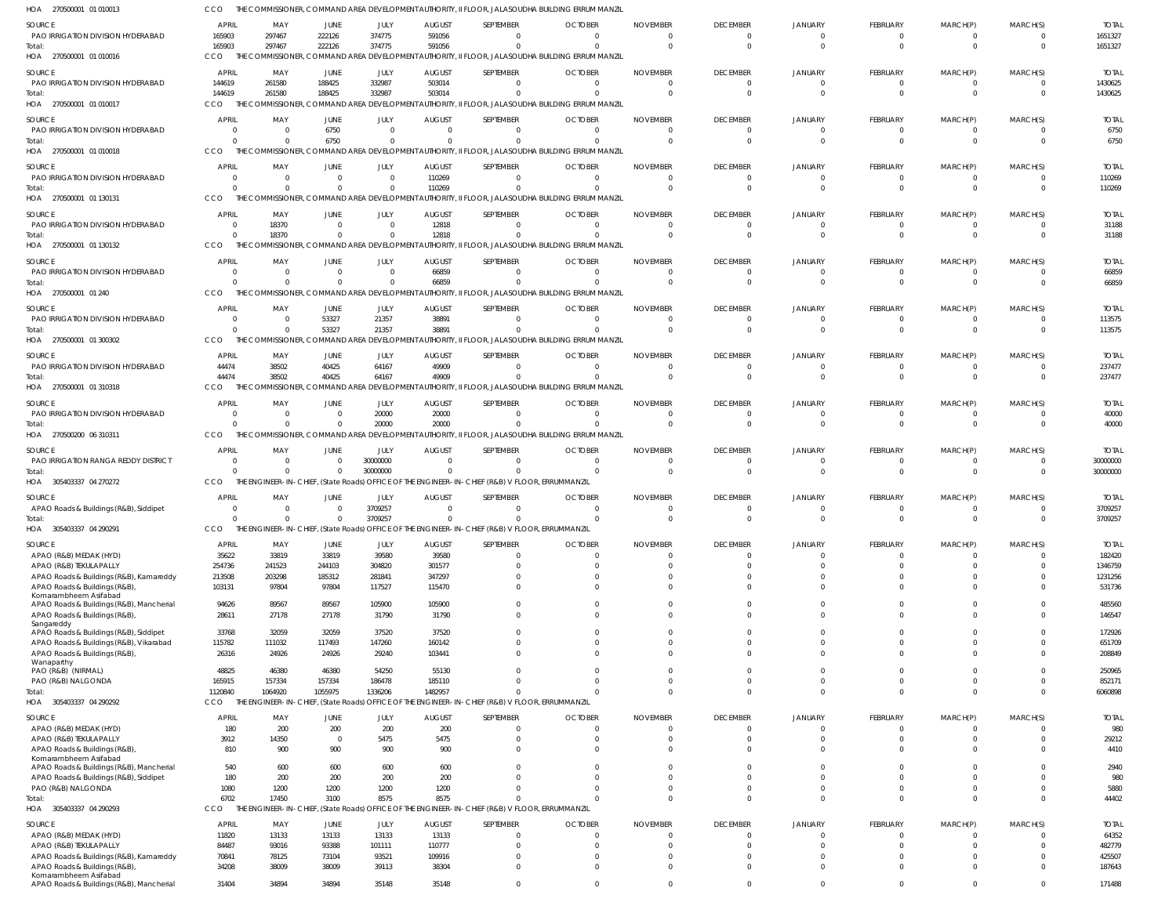| HOA 270500001 01 010013                                                 | cco                            |                                                       |                   |                      |                           |                                                                                                             | THE COMMISSIONER, COMMAND AREA DEVELOPMENT AUTHORITY, II FLOOR, JALASOUDHA BUILDING ERRUM MANZIL             |                             |                                |                      |                            |                      |                            |                          |
|-------------------------------------------------------------------------|--------------------------------|-------------------------------------------------------|-------------------|----------------------|---------------------------|-------------------------------------------------------------------------------------------------------------|--------------------------------------------------------------------------------------------------------------|-----------------------------|--------------------------------|----------------------|----------------------------|----------------------|----------------------------|--------------------------|
| <b>SOURCE</b>                                                           | <b>APRIL</b>                   | MAY                                                   | <b>JUNE</b>       | JULY                 | <b>AUGUST</b>             | SEPTEMBER                                                                                                   | <b>OCTOBER</b>                                                                                               | <b>NOVEMBER</b>             | <b>DECEMBER</b>                | <b>JANUARY</b>       | FEBRUARY                   | MARCH(P)             | MARCH(S)                   | <b>TOTAL</b>             |
| PAO IRRIGATION DIVISION HYDERABAD                                       | 165903                         | 297467                                                | 222126            | 374775               | 591056                    | $\Omega$                                                                                                    | $\Omega$                                                                                                     | $\Omega$                    | - 0                            | $\overline{0}$       | - 0                        | $\Omega$             | 0                          | 1651327                  |
| Total:<br>HOA 270500001 01 010016                                       | 165903<br>CCO                  | 297467<br>THE COMMISSIONER,                           | 222126            | 374775               | 591056                    | $\Omega$                                                                                                    | $\Omega$<br>COMMAND AREA DEVELOPMENT AUTHORITY, II FLOOR, JALASOUDHA BUILDING ERRUM MANZIL                   | $\Omega$                    | $\Omega$                       | $\Omega$             | $\Omega$                   | $\Omega$             | $\Omega$                   | 1651327                  |
| SOURCE                                                                  | <b>APRIL</b>                   | MAY                                                   | JUNE              | JULY                 | <b>AUGUST</b>             | SEPTEMBER                                                                                                   | <b>OCTOBER</b>                                                                                               | <b>NOVEMBER</b>             | <b>DECEMBER</b>                | <b>JANUARY</b>       | FEBRUARY                   | MARCH(P)             | MARCH(S)                   | <b>TOTAL</b>             |
| PAO IRRIGATION DIVISION HYDERABAD                                       | 144619                         | 261580                                                | 188425            | 332987               | 503014                    | $\mathbf{0}$                                                                                                | $\Omega$                                                                                                     | $\overline{0}$              | 0                              | 0                    | $\Omega$                   | $\overline{0}$       | $\overline{0}$             | 1430625                  |
| Total:                                                                  | 144619                         | 261580                                                | 188425            | 332987               | 503014                    | $\mathbf 0$                                                                                                 | $\Omega$                                                                                                     | $\Omega$                    | $\Omega$                       | $\Omega$             | $\Omega$                   | $\Omega$             | $\Omega$                   | 1430625                  |
| HOA 270500001 01 010017                                                 | CCO                            | THE COMMISSIONER, COMMAND AREA DEVELOPMENT AUTHORITY, |                   |                      |                           |                                                                                                             | II FLOOR, JALASOUDHA BUILDING ERRUM MANZIL                                                                   |                             |                                |                      |                            |                      |                            |                          |
| SOURCE                                                                  | <b>APRIL</b>                   | MAY                                                   | JUNE              | JULY                 | <b>AUGUST</b>             | SEPTEMBER                                                                                                   | <b>OCTOBER</b>                                                                                               | <b>NOVEMBER</b>             | <b>DECEMBER</b>                | <b>JANUARY</b>       | FEBRUARY                   | MARCH(P)             | MARCH(S)                   | <b>TOTAL</b>             |
| PAO IRRIGATION DIVISION HYDERABAD                                       | $\Omega$                       | $\Omega$                                              | 6750              | $\mathbf 0$          | $\Omega$                  | $\Omega$                                                                                                    | $\Omega$                                                                                                     | $\Omega$                    | $\Omega$                       | $\Omega$             | $\Omega$                   | $\Omega$             | $\Omega$                   | 6750                     |
| Total:<br>HOA 270500001 01 010018                                       | $\Omega$<br><b>CCO</b>         | $\Omega$                                              | 6750              | $\Omega$             |                           | $\Omega$                                                                                                    | $\Omega$<br>THE COMMISSIONER, COMMAND AREA DEVELOPMENT AUTHORITY, II FLOOR, JALASOUDHA BUILDING ERRUM MANZIL | $\Omega$                    | $\Omega$                       | $\Omega$             | $\Omega$                   | $\Omega$             | $\overline{0}$             | 6750                     |
|                                                                         |                                |                                                       |                   |                      |                           |                                                                                                             |                                                                                                              |                             |                                |                      |                            |                      |                            |                          |
| SOURCE<br>PAO IRRIGATION DIVISION HYDERABAD                             | <b>APRIL</b><br>$\Omega$       | MAY<br>$\overline{0}$                                 | JUNE<br>- 0       | JULY<br>$\mathbf{0}$ | <b>AUGUST</b><br>110269   | SEPTEMBER<br>$\overline{0}$                                                                                 | <b>OCTOBER</b><br>$\Omega$                                                                                   | <b>NOVEMBER</b><br>$\Omega$ | <b>DECEMBER</b><br>0           | JANUARY<br>0         | FEBRUARY                   | MARCH(P)<br>$\Omega$ | MARCH(S)<br>0              | <b>TOTAL</b><br>110269   |
| Total:                                                                  | $\Omega$                       | $\Omega$                                              | $\cap$            | $\Omega$             | 110269                    | $\mathbf 0$                                                                                                 | $\Omega$                                                                                                     | $\Omega$                    | - 0                            | 0                    | $\Omega$                   | $\Omega$             | $\Omega$                   | 110269                   |
| HOA 270500001 01 130131                                                 | CCO                            |                                                       |                   |                      |                           |                                                                                                             | THE COMMISSIONER, COMMAND AREA DEVELOPMENT AUTHORITY, II FLOOR, JALASOUDHA BUILDING ERRUM MANZIL             |                             |                                |                      |                            |                      |                            |                          |
| <b>SOURCE</b>                                                           | <b>APRIL</b>                   | MAY                                                   | JUNE              | JULY                 | <b>AUGUST</b>             | SEPTEMBER                                                                                                   | <b>OCTOBER</b>                                                                                               | <b>NOVEMBER</b>             | <b>DECEMBER</b>                | <b>JANUARY</b>       | FEBRUARY                   | MARCH(P)             | MARCH(S)                   | <b>TOTAL</b>             |
| PAO IRRIGATION DIVISION HYDERABAD                                       | 0                              | 18370                                                 | $\Omega$          | $\Omega$             | 12818                     | $\mathbf{0}$                                                                                                | $\Omega$                                                                                                     | $\Omega$                    | - 0                            | $\Omega$             |                            | $\Omega$             | 0                          | 31188                    |
| Total:<br>HOA 270500001 01 130132                                       | $\Omega$<br><b>CCO</b>         | 18370                                                 | $\Omega$          | $\Omega$             | 12818                     | $\Omega$                                                                                                    | $\Omega$<br>THE COMMISSIONER, COMMAND AREA DEVELOPMENT AUTHORITY, II FLOOR, JALASOUDHA BUILDING ERRUM MANZIL | $\Omega$                    | $\Omega$                       | $\Omega$             | $\Omega$                   | $\Omega$             | $\Omega$                   | 31188                    |
|                                                                         |                                |                                                       |                   |                      |                           |                                                                                                             |                                                                                                              |                             |                                |                      |                            |                      |                            |                          |
| SOURCE<br>PAO IRRIGATION DIVISION HYDERABAD                             | <b>APRIL</b><br>$\overline{0}$ | MAY<br>$\Omega$                                       | JUNE<br>- 0       | JULY<br>$\mathbf{0}$ | <b>AUGUST</b><br>66859    | SEPTEMBER<br>$\overline{0}$                                                                                 | <b>OCTOBER</b><br>$\Omega$                                                                                   | <b>NOVEMBER</b><br>$\Omega$ | <b>DECEMBER</b><br>0           | <b>JANUARY</b><br>0  | FEBRUARY<br>$\Omega$       | MARCH(P)<br>$\Omega$ | MARCH(S)<br>0              | <b>TOTAL</b><br>66859    |
| Total:                                                                  | $\Omega$                       | $\Omega$                                              | $\cap$            | $\Omega$             | 66859                     | $\Omega$                                                                                                    | $\Omega$                                                                                                     | <sup>0</sup>                | $\Omega$                       | $\Omega$             | $\Omega$                   | $\Omega$             | $\Omega$                   | 66859                    |
| HOA 270500001 01 240                                                    | CCO                            |                                                       |                   |                      |                           |                                                                                                             | THE COMMISSIONER, COMMAND AREA DEVELOPMENT AUTHORITY, II FLOOR, JALASOUDHA BUILDING ERRUM MANZIL             |                             |                                |                      |                            |                      |                            |                          |
| SOURCE                                                                  | <b>APRIL</b>                   | MAY                                                   | JUNE              | JULY                 | <b>AUGUST</b>             | SEPTEMBER                                                                                                   | <b>OCTOBER</b>                                                                                               | <b>NOVEMBER</b>             | <b>DECEMBER</b>                | <b>JANUARY</b>       | FEBRUARY                   | MARCH(P)             | MARCH(S)                   | <b>TOTAL</b>             |
| PAO IRRIGATION DIVISION HYDERABAD                                       | $\Omega$                       | $\Omega$                                              | 53327             | 21357                | 38891                     | $\Omega$                                                                                                    | $\Omega$                                                                                                     | $\Omega$                    | $\Omega$                       | $\Omega$             | $\Omega$                   | $\Omega$             | $^{\circ}$                 | 113575                   |
| Total:<br>HOA 270500001 01 300302                                       | $\Omega$<br><b>CCO</b>         | $\Omega$                                              | 53327             | 21357                | 38891                     | $\Omega$                                                                                                    | $\Omega$<br>THE COMMISSIONER, COMMAND AREA DEVELOPMENT AUTHORITY, II FLOOR, JALASOUDHA BUILDING ERRUM MANZIL | $\Omega$                    | $\Omega$                       | $\Omega$             |                            | $\Omega$             | $\Omega$                   | 113575                   |
|                                                                         |                                |                                                       |                   |                      |                           |                                                                                                             |                                                                                                              |                             |                                |                      |                            |                      |                            |                          |
| SOURCE<br>PAO IRRIGATION DIVISION HYDERABAD                             | <b>APRIL</b><br>44474          | MAY<br>38502                                          | JUNE<br>40425     | JULY<br>64167        | <b>AUGUST</b><br>49909    | SEPTEMBER<br>$\overline{0}$                                                                                 | <b>OCTOBER</b>                                                                                               | <b>NOVEMBER</b><br>$\Omega$ | <b>DECEMBER</b><br>0           | <b>JANUARY</b><br>0  | FEBRUARY                   | MARCH(P)             | MARCH(S)<br>0              | <b>TOTAL</b><br>237477   |
| Total:                                                                  | 44474                          | 38502                                                 | 40425             | 64167                | 49909                     | $\mathbf 0$                                                                                                 | $\Omega$                                                                                                     | <sup>0</sup>                | - 0                            | 0                    | $\Omega$                   | $\Omega$             | $\Omega$                   | 237477                   |
| HOA 270500001 01 310318                                                 | CCO                            | THE COMMISSIONER, COMMAND AREA                        |                   |                      | DEVELOPMENT AUTHORITY,    |                                                                                                             | II FLOOR, JALASOUDHA BUILDING ERRUM MANZIL                                                                   |                             |                                |                      |                            |                      |                            |                          |
| <b>SOURCE</b>                                                           | <b>APRIL</b>                   | MAY                                                   | JUNE              | JULY                 | <b>AUGUST</b>             | SEPTEMBER                                                                                                   | <b>OCTOBER</b>                                                                                               | <b>NOVEMBER</b>             | <b>DECEMBER</b>                | <b>JANUARY</b>       | FEBRUARY                   | MARCH(P)             | MARCH(S)                   | <b>TOTAL</b>             |
| PAO IRRIGATION DIVISION HYDERABAD                                       | $\Omega$                       | $\Omega$                                              | $\Omega$          | 20000                | 20000                     | $\Omega$                                                                                                    | $\Omega$                                                                                                     | $\Omega$                    | - 0                            | 0                    | - 0                        | $\Omega$             | 0                          | 40000                    |
| Total:                                                                  | $\Omega$                       | $\Omega$                                              | $\Omega$          | 20000                | 20000                     | $\Omega$                                                                                                    | $\Omega$<br>THE COMMISSIONER, COMMAND AREA DEVELOPMENT AUTHORITY, II FLOOR, JALASOUDHA BUILDING ERRUM MANZIL | $\Omega$                    | $\Omega$                       | $\Omega$             | $\Omega$                   | $\Omega$             | $\Omega$                   | 40000                    |
| HOA 270500200 06 310311                                                 | CCO                            |                                                       |                   |                      |                           |                                                                                                             |                                                                                                              |                             |                                |                      |                            |                      |                            |                          |
| SOURCE<br>PAO IRRIGATION RANGA REDDY DISTRICT                           | <b>APRIL</b><br>$\overline{0}$ | MAY<br>$\Omega$                                       | JUNE<br>$\Omega$  | JULY<br>30000000     | <b>AUGUST</b><br>$\Omega$ | SEPTEMBER<br>$\mathbf{0}$                                                                                   | <b>OCTOBER</b><br>$\Omega$                                                                                   | <b>NOVEMBER</b><br>$\Omega$ | <b>DECEMBER</b><br>0           | <b>JANUARY</b><br>0  | FEBRUARY                   | MARCH(P)<br>$\Omega$ | MARCH(S)<br>0              | <b>TOTAL</b><br>30000000 |
| Total:                                                                  | $\Omega$                       | $\Omega$                                              | $\Omega$          | 30000000             |                           | $\Omega$                                                                                                    |                                                                                                              |                             | $\Omega$                       | $\Omega$             | $\Omega$                   | $\Omega$             | -0                         | 30000000                 |
| HOA 305403337 04 270272                                                 | CCO                            |                                                       |                   |                      |                           | THE ENGINEER-IN-CHIEF, (State Roads) OFFICE OF THE ENGINEER-IN-CHIEF (R&B) V FLOOR, ERRUMMANZIL             |                                                                                                              |                             |                                |                      |                            |                      |                            |                          |
| SOURCE                                                                  | <b>APRIL</b>                   | MAY                                                   | JUNE              | JULY                 | <b>AUGUST</b>             | SEPTEMBER                                                                                                   | <b>OCTOBER</b>                                                                                               | <b>NOVEMBER</b>             | <b>DECEMBER</b>                | <b>JANUARY</b>       | FEBRUARY                   | MARCH(P)             | MARCH(S)                   | <b>TOTAL</b>             |
| APAO Roads & Buildings (R&B), Siddipet                                  | $\Omega$                       | $\Omega$                                              | $\Omega$          | 3709257              | $\Omega$                  | $\Omega$                                                                                                    |                                                                                                              |                             | $\Omega$                       | $\Omega$             |                            |                      | $\Omega$                   | 3709257                  |
| Total:<br>HOA 305403337 04 290291                                       | $\Omega$<br>CCO                | $\Omega$                                              | $\Omega$          | 3709257              |                           | $\Omega$<br>THE ENGINEER-IN-CHIEF, (State Roads) OFFICE OF THE ENGINEER-IN-CHIEF (R&B) V FLOOR, ERRUMMANZIL |                                                                                                              |                             | $\Omega$                       | $\Omega$             | $\Omega$                   | $\Omega$             | $\Omega$                   | 3709257                  |
|                                                                         |                                |                                                       |                   |                      |                           |                                                                                                             |                                                                                                              |                             |                                |                      |                            |                      |                            |                          |
| SOURCE<br>APAO (R&B) MEDAK (HYD)                                        | <b>APRIL</b><br>35622          | MAY<br>33819                                          | JUNE<br>33819     | JULY<br>39580        | <b>AUGUST</b><br>39580    | SEPTEMBER<br>$\mathbf 0$                                                                                    | <b>OCTOBER</b><br>$\Omega$                                                                                   | <b>NOVEMBER</b><br>$\Omega$ | <b>DECEMBER</b><br>$\mathbf 0$ | <b>JANUARY</b><br>0  | FEBRUARY<br>$\overline{0}$ | MARCH(P)<br>$\Omega$ | MARCH(S)<br>0              | <b>TOTAL</b><br>182420   |
| APAO (R&B) TEKULAPALLY                                                  | 254736                         | 241523                                                | 244103            | 304820               | 301577                    | $\mathbf 0$                                                                                                 | $\Omega$                                                                                                     | $\Omega$                    | $\Omega$                       | $\Omega$             | $\Omega$                   | $\Omega$             | $\Omega$                   | 1346759                  |
| APAO Roads & Buildings (R&B), Kamareddy                                 | 213508                         | 203298                                                | 185312            | 281841               | 347297                    | $\mathbf 0$                                                                                                 | <sup>0</sup>                                                                                                 | <sup>0</sup>                | $\Omega$                       | $\Omega$             | $\Omega$                   | $\Omega$             | $\mathbf 0$                | 1231256                  |
| APAO Roads & Buildings (R&B)<br>Komarambheem Asifabad                   | 103131                         | 97804                                                 | 97804             | 117527               | 115470                    | $\mathbf 0$                                                                                                 | <sup>0</sup>                                                                                                 | $\Omega$                    | $\Omega$                       | $\Omega$             | $\Omega$                   | $\Omega$             | $\Omega$                   | 531736                   |
| APAO Roads & Buildings (R&B), Mancherial                                | 94626                          | 89567                                                 | 89567             | 105900               | 105900                    | $\mathbf 0$                                                                                                 | 0                                                                                                            | $\Omega$                    | $\mathbf 0$                    | $\mathbf{0}$         | $\Omega$                   | $\overline{0}$       | $\mathbf 0$                | 485560                   |
| APAO Roads & Buildings (R&B)<br>Sangareddy                              | 28611                          | 27178                                                 | 27178             | 31790                | 31790                     | $\mathbf 0$                                                                                                 | $\Omega$                                                                                                     | $\Omega$                    | $\Omega$                       | $\Omega$             | $\Omega$                   | $\Omega$             | $\mathbf 0$                | 146547                   |
| APAO Roads & Buildings (R&B), Siddipet                                  | 33768                          | 32059                                                 | 32059             | 37520                | 37520                     | $\mathbf 0$                                                                                                 | $\Omega$                                                                                                     | $\Omega$                    | $\Omega$                       | $\Omega$             | $\Omega$                   | $\overline{0}$       | $\mathbf 0$                | 172926                   |
| APAO Roads & Buildings (R&B), Vikarabad                                 | 115782                         | 111032                                                | 117493            | 147260               | 160142                    | $\mathbf 0$                                                                                                 | $\Omega$                                                                                                     | $\Omega$                    | $\Omega$                       | $\Omega$             | $\Omega$                   | $\Omega$             | $\mathbf 0$                | 651709                   |
| APAO Roads & Buildings (R&B),<br>Wanaparthy                             | 26316                          | 24926                                                 | 24926             | 29240                | 103441                    | $\Omega$                                                                                                    | $\Omega$                                                                                                     | $\Omega$                    | $\Omega$                       | $\Omega$             | $\Omega$                   | $\Omega$             | $\Omega$                   | 208849                   |
| PAO (R&B) (NIRMAL)                                                      | 48825                          | 46380                                                 | 46380             | 54250                | 55130                     | $\Omega$                                                                                                    | $\Omega$                                                                                                     | $\Omega$                    | $\Omega$                       | $\Omega$             | $\Omega$                   | $\Omega$             | $\Omega$                   | 250965                   |
| PAO (R&B) NALGONDA<br>Total:                                            | 165915<br>1120840              | 157334<br>1064920                                     | 157334<br>1055975 | 186478<br>1336206    | 185110<br>1482957         | $\mathbf 0$<br>$\Omega$                                                                                     | $\Omega$<br>$\Omega$                                                                                         | $\Omega$<br>$\Omega$        | $\Omega$<br>$\Omega$           | $\Omega$<br>$\Omega$ | $\Omega$<br>$\Omega$       | $\Omega$<br>$\Omega$ | $\mathbf 0$<br>$\mathbf 0$ | 852171<br>6060898        |
| HOA 305403337 04 290292                                                 | CCO                            |                                                       |                   |                      |                           | THE ENGINEER-IN-CHIEF, (State Roads) OFFICE OF THE ENGINEER-IN-CHIEF (R&B) V FLOOR, ERRUMMANZIL             |                                                                                                              |                             |                                |                      |                            |                      |                            |                          |
| <b>SOURCE</b>                                                           | <b>APRIL</b>                   | MAY                                                   | <b>JUNE</b>       | JULY                 | <b>AUGUST</b>             | SEPTEMBER                                                                                                   | <b>OCTOBER</b>                                                                                               | <b>NOVEMBER</b>             | <b>DECEMBER</b>                | <b>JANUARY</b>       | FEBRUARY                   | MARCH(P)             | MARCH(S)                   | <b>TOTAL</b>             |
| APAO (R&B) MEDAK (HYD)                                                  | 180                            | 200                                                   | 200               | 200                  | 200                       | $\mathbf{0}$                                                                                                | $\Omega$                                                                                                     | $\Omega$                    | $\overline{0}$                 | $\mathbf{0}$         | $\Omega$                   | $\Omega$             | $\mathbf 0$                | 980                      |
| APAO (R&B) TEKULAPALLY                                                  | 3912                           | 14350                                                 | $\Omega$          | 5475                 | 5475                      | $\mathbf 0$                                                                                                 | $\Omega$                                                                                                     | $\Omega$                    | $\mathbf 0$                    | $\mathbf{0}$         | $\Omega$                   | $\Omega$             | $\mathbf 0$                | 29212                    |
| APAO Roads & Buildings (R&B),<br>Komarambheem Asifabad                  | 810                            | 900                                                   | 900               | 900                  | 900                       | $\Omega$                                                                                                    | $\Omega$                                                                                                     | $\Omega$                    | $\Omega$                       | $\Omega$             | $\Omega$                   | $\Omega$             | $\Omega$                   | 4410                     |
| APAO Roads & Buildings (R&B), Mancherial                                | 540                            | 600                                                   | 600               | 600                  | 600                       | $\Omega$                                                                                                    | $\Omega$                                                                                                     | $\Omega$                    | $\Omega$                       | $\Omega$             | $\Omega$                   | $\Omega$             | $\Omega$                   | 2940                     |
| APAO Roads & Buildings (R&B), Siddipet                                  | 180                            | 200                                                   | 200               | 200                  | 200                       | $\Omega$                                                                                                    | $\Omega$                                                                                                     | $\Omega$                    | $\Omega$                       | $\Omega$             | $\Omega$                   | $\Omega$             | $\Omega$                   | 980                      |
| PAO (R&B) NALGONDA<br>Total:                                            | 1080<br>6702                   | 1200<br>17450                                         | 1200<br>3100      | 1200<br>8575         | 1200<br>8575              | $\Omega$<br>$\Omega$                                                                                        | $\Omega$                                                                                                     | $\Omega$<br>$\cap$          | $\Omega$<br>$\Omega$           | $\Omega$<br>$\Omega$ | $\Omega$<br>$\Omega$       | $\Omega$<br>$\Omega$ | $\Omega$<br>$\Omega$       | 5880<br>44402            |
| HOA 305403337 04 290293                                                 | CCO                            |                                                       |                   |                      |                           | THE ENGINEER-IN-CHIEF, (State Roads) OFFICE OF THE ENGINEER-IN-CHIEF (R&B) V FLOOR, ERRUMMANZIL             |                                                                                                              |                             |                                |                      |                            |                      |                            |                          |
| SOURCE                                                                  | <b>APRIL</b>                   | MAY                                                   | JUNE              | JULY                 | <b>AUGUST</b>             | SEPTEMBER                                                                                                   | <b>OCTOBER</b>                                                                                               | <b>NOVEMBER</b>             | <b>DECEMBER</b>                | <b>JANUARY</b>       | FEBRUARY                   | MARCH(P)             | MARCH(S)                   | <b>TOTAL</b>             |
| APAO (R&B) MEDAK (HYD)                                                  | 11820                          | 13133                                                 | 13133             | 13133                | 13133                     | $\overline{0}$                                                                                              | 0                                                                                                            | $\Omega$                    | $\mathbf 0$                    | 0                    | $\Omega$                   | $\Omega$             | 0                          | 64352                    |
| APAO (R&B) TEKULAPALLY                                                  | 84487                          | 93016                                                 | 93388             | 101111               | 110777                    | $\mathbf 0$                                                                                                 | $\Omega$                                                                                                     | $\Omega$                    | $\Omega$                       | $\Omega$             | $\Omega$                   | $\Omega$             | $\mathbf 0$                | 482779                   |
| APAO Roads & Buildings (R&B), Kamareddy<br>APAO Roads & Buildings (R&B) | 70841<br>34208                 | 78125<br>38009                                        | 73104<br>38009    | 93521<br>39113       | 109916<br>38304           | $\mathbf 0$<br>$\mathbf 0$                                                                                  | $\Omega$<br><sup>0</sup>                                                                                     | $\Omega$<br>$\Omega$        | $\Omega$<br>$\Omega$           | $\Omega$<br>$\Omega$ | $\Omega$<br>$\Omega$       | $\Omega$<br>$\Omega$ | 0<br>$\Omega$              | 425507<br>187643         |
| Komarambheem Asifabad                                                   |                                |                                                       |                   |                      |                           |                                                                                                             |                                                                                                              |                             |                                |                      |                            |                      |                            |                          |
| APAO Roads & Buildings (R&B), Mancherial                                | 31404                          | 34894                                                 | 34894             | 35148                | 35148                     | $\mathbf 0$                                                                                                 | $\Omega$                                                                                                     | $\Omega$                    | $\mathbf 0$                    | $\mathbf 0$          | $\Omega$                   | $\Omega$             | $\mathbf 0$                | 171488                   |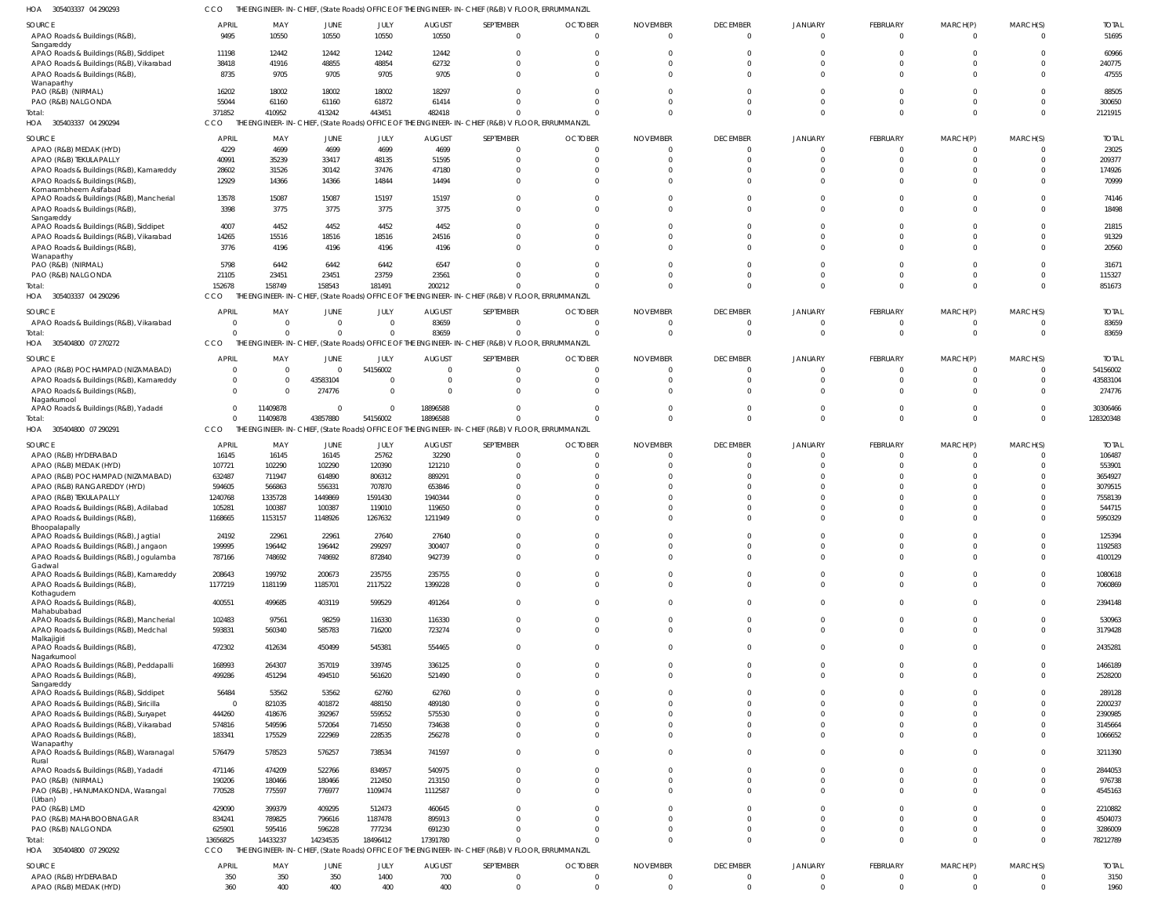305403337 04 290293 HOA CCO THE ENGINEER-IN-CHIEF, (State Roads) OFFICE OF THE ENGINEER-IN-CHIEF (R&B) V FLOOR, ERRUMMANZIL

| SOURCE<br>APAO Roads & Buildings (R&B),<br>Sangareddy                                  | <b>APRIL</b><br>9495 | MAY<br>10550     | JUNE<br>10550    | JULY<br>10550     | <b>AUGUST</b><br>10550 | SEPTEMBER<br>$\overline{0}$                                                                                 | <b>OCTOBER</b><br>$\Omega$ | <b>NOVEMBER</b><br>- 0 | <b>DECEMBER</b><br>$\overline{0}$ | JANUARY<br>$\overline{0}$ | FEBRUARY<br>$\overline{0}$     | MARCH(P)<br>$\overline{0}$ | MARCH(S)<br>$\overline{0}$ | <b>TOTAL</b><br>51695 |
|----------------------------------------------------------------------------------------|----------------------|------------------|------------------|-------------------|------------------------|-------------------------------------------------------------------------------------------------------------|----------------------------|------------------------|-----------------------------------|---------------------------|--------------------------------|----------------------------|----------------------------|-----------------------|
| APAO Roads & Buildings (R&B), Siddipet                                                 | 11198                | 12442            | 12442            | 12442             | 12442                  | $\Omega$                                                                                                    |                            |                        |                                   |                           | $\Omega$                       |                            |                            | 60966                 |
| APAO Roads & Buildings (R&B), Vikarabad<br>APAO Roads & Buildings (R&B),<br>Wanaparthy | 38418<br>8735        | 41916<br>9705    | 48855<br>9705    | 48854<br>9705     | 62732<br>9705          | $\Omega$<br>$\Omega$                                                                                        |                            |                        |                                   | $\Omega$                  | $\Omega$<br>$\Omega$           | $\Omega$<br>$\Omega$       | $\Omega$                   | 240775<br>47555       |
| PAO (R&B) (NIRMAL)                                                                     | 16202                | 18002            | 18002            | 18002             | 18297                  | $\Omega$                                                                                                    |                            |                        |                                   |                           | $\Omega$                       | $\Omega$                   |                            | 88505                 |
| PAO (R&B) NALGONDA                                                                     | 55044                | 61160            | 61160            | 61872             | 61414                  | $\Omega$                                                                                                    |                            |                        | $\Omega$                          | $\Omega$                  | $\Omega$                       | $\Omega$                   | $\Omega$                   | 300650                |
| Total:<br>HOA 305403337 04 290294                                                      | 371852<br>CCO        | 410952           | 413242           | 443451            | 482418                 | $\Omega$<br>THE ENGINEER-IN-CHIEF, (State Roads) OFFICE OF THE ENGINEER-IN-CHIEF (R&B) V FLOOR, ERRUMMANZIL |                            |                        | $\Omega$                          | $\Omega$                  | $\Omega$                       | $\Omega$                   | $\Omega$                   | 2121915               |
|                                                                                        | <b>APRIL</b>         | MAY              |                  |                   |                        | SEPTEMBER                                                                                                   | <b>OCTOBER</b>             | <b>NOVEMBER</b>        |                                   |                           |                                |                            |                            | <b>TOTAL</b>          |
| SOURCE<br>APAO (R&B) MEDAK (HYD)                                                       | 4229                 | 4699             | JUNE<br>4699     | JULY<br>4699      | <b>AUGUST</b><br>4699  | $\overline{0}$                                                                                              |                            |                        | <b>DECEMBER</b><br>$\Omega$       | JANUARY<br>$\Omega$       | FEBRUARY<br>$\mathbf 0$        | MARCH(P)<br>$\Omega$       | MARCH(S)<br>$\Omega$       | 23025                 |
| APAO (R&B) TEKULAPALLY                                                                 | 40991                | 35239            | 33417            | 48135             | 51595                  | $\Omega$                                                                                                    |                            |                        | $\Omega$                          | $\Omega$                  | $\Omega$                       | $\Omega$                   | $\Omega$                   | 209377                |
| APAO Roads & Buildings (R&B), Kamareddy                                                | 28602                | 31526            | 30142            | 37476             | 47180                  | $\Omega$                                                                                                    |                            |                        | $\Omega$                          |                           | $\mathbf 0$                    | $\Omega$                   | $\Omega$                   | 174926                |
| APAO Roads & Buildings (R&B)<br>Komarambheem Asifabad                                  | 12929                | 14366            | 14366            | 14844             | 14494                  | $\Omega$                                                                                                    |                            |                        |                                   | $\Omega$                  | $\Omega$                       | $\Omega$                   | $\Omega$                   | 70999                 |
| APAO Roads & Buildings (R&B), Mancherial<br>APAO Roads & Buildings (R&B),              | 13578<br>3398        | 15087<br>3775    | 15087<br>3775    | 15197<br>3775     | 15197<br>3775          | $\Omega$<br>$\Omega$                                                                                        |                            |                        | $\Omega$<br>$\Omega$              | $\Omega$<br>$\Omega$      | $\Omega$<br>$\Omega$           | $\Omega$<br>$\Omega$       | $\Omega$<br>$\Omega$       | 74146<br>18498        |
| Sangareddy                                                                             |                      |                  |                  |                   |                        |                                                                                                             |                            |                        |                                   |                           |                                |                            |                            |                       |
| APAO Roads & Buildings (R&B), Siddipet<br>APAO Roads & Buildings (R&B), Vikarabad      | 4007<br>14265        | 4452<br>15516    | 4452<br>18516    | 4452<br>18516     | 4452<br>24516          | $\Omega$<br>$\Omega$                                                                                        |                            |                        | $\Omega$                          | $\Omega$                  | $\Omega$<br>$\Omega$           | $\Omega$<br>$\Omega$       | $\Omega$<br>$\Omega$       | 21815<br>91329        |
| APAO Roads & Buildings (R&B),                                                          | 3776                 | 4196             | 4196             | 4196              | 4196                   | $\Omega$                                                                                                    |                            |                        |                                   | $\Omega$                  | $\Omega$                       | $\Omega$                   | $\Omega$                   | 20560                 |
| Wanaparthy                                                                             |                      |                  |                  |                   |                        |                                                                                                             |                            |                        |                                   |                           |                                |                            |                            |                       |
| PAO (R&B) (NIRMAL)                                                                     | 5798                 | 6442             | 6442             | 6442              | 6547                   | $\Omega$                                                                                                    |                            |                        |                                   | $\Omega$                  | $\Omega$                       | $\Omega$                   | $\Omega$                   | 31671                 |
| PAO (R&B) NALGONDA<br>Total:                                                           | 21105<br>152678      | 23451<br>158749  | 23451<br>158543  | 23759<br>181491   | 23561<br>200212        | $\Omega$<br>$\Omega$                                                                                        |                            |                        | $\Omega$<br>$\Omega$              | $\Omega$<br>$\Omega$      | $\mathbf 0$<br>$\Omega$        | $\Omega$<br>$\Omega$       | $\Omega$<br>$\Omega$       | 115327<br>851673      |
| HOA 305403337 04 290296                                                                | CCO                  |                  |                  |                   |                        | THE ENGINEER-IN-CHIEF, (State Roads) OFFICE OF THE ENGINEER-IN-CHIEF (R&B) V FLOOR, ERRUMMANZIL             |                            |                        |                                   |                           |                                |                            |                            |                       |
| SOURCE                                                                                 | <b>APRIL</b>         | MAY              | JUNE             | JULY              | <b>AUGUST</b>          | SEPTEMBER                                                                                                   | <b>OCTOBER</b>             | <b>NOVEMBER</b>        | <b>DECEMBER</b>                   | JANUARY                   | FEBRUARY                       | MARCH(P)                   | MARCH(S)                   | <b>TOTAI</b>          |
| APAO Roads & Buildings (R&B), Vikarabad                                                | $\Omega$             | $\Omega$         | $\Omega$         | $\Omega$          | 83659                  | $\Omega$                                                                                                    | $\sqrt{ }$                 |                        | $\Omega$                          | $\Omega$                  | $\mathbf 0$                    | 0                          | $\Omega$                   | 83659                 |
| Total:                                                                                 | $\Omega$             |                  | $\Omega$         | $\Omega$          | 83659                  | $\Omega$                                                                                                    |                            |                        | $\Omega$                          | $\Omega$                  | $\mathbf{0}$                   | $\mathbf 0$                | $\Omega$                   | 83659                 |
| HOA 305404800 07 270272                                                                | CCO                  |                  |                  |                   |                        | THE ENGINEER-IN-CHIEF, (State Roads) OFFICE OF THE ENGINEER-IN-CHIEF (R&B) V FLOOR, ERRUMMANZIL             |                            |                        |                                   |                           |                                |                            |                            |                       |
| SOURCE                                                                                 | <b>APRIL</b>         | MAY              | JUNE             | JULY              | <b>AUGUST</b>          | SEPTEMBER                                                                                                   | <b>OCTOBER</b>             | <b>NOVEMBER</b>        | <b>DECEMBER</b>                   | JANUARY                   | <b>FEBRUARY</b>                | MARCH(P)                   | MARCH(S)                   | <b>TOTAL</b>          |
| APAO (R&B) POCHAMPAD (NIZAMABAD)                                                       | $\Omega$             | $\Omega$         |                  | 54156002          | $\Omega$               | $\overline{0}$                                                                                              |                            |                        | $\Omega$                          | $\Omega$                  | $\Omega$                       | C                          | $\Omega$                   | 54156002              |
| APAO Roads & Buildings (R&B), Kamareddy                                                | $\overline{0}$       | $\Omega$         | 43583104         | $\Omega$          | $\Omega$               | $\overline{0}$                                                                                              | $\Omega$                   |                        | $\Omega$                          | $\Omega$                  | $\mathbf 0$                    | 0                          | $\Omega$                   | 43583104              |
| APAO Roads & Buildings (R&B),                                                          | $\Omega$             | $\Omega$         | 274776           | $\mathbf 0$       |                        | $\Omega$                                                                                                    |                            |                        | $\Omega$                          | $\Omega$                  | $\Omega$                       | $\Omega$                   | $\Omega$                   | 274776                |
| Nagarkurnool<br>APAO Roads & Buildings (R&B), Yadadri                                  | $\Omega$             | 11409878         | $\Omega$         | $\Omega$          | 18896588               | $\Omega$                                                                                                    |                            |                        | $\Omega$                          | $\Omega$                  | $\mathbf 0$                    | $\mathbf 0$                | $\Omega$                   | 30306466              |
| Total:                                                                                 | $\Omega$             | 11409878         | 43857880         | 54156002          | 18896588               | $\Omega$                                                                                                    |                            |                        | $\Omega$                          | $\Omega$                  | $\mathbf 0$                    | $\Omega$                   | $\Omega$                   | 128320348             |
| HOA 305404800 07 290291                                                                | CCO                  |                  |                  |                   |                        | THE ENGINEER-IN-CHIEF, (State Roads) OFFICE OF THE ENGINEER-IN-CHIEF (R&B) V FLOOR, ERRUMMANZIL             |                            |                        |                                   |                           |                                |                            |                            |                       |
| SOURCE                                                                                 | <b>APRIL</b>         | MAY              | <b>JUNE</b>      | JULY              | <b>AUGUST</b>          | SEPTEMBER                                                                                                   | <b>OCTOBER</b>             | <b>NOVEMBER</b>        | <b>DECEMBER</b>                   | JANUARY                   | FEBRUARY                       | MARCH(P)                   | MARCH(S)                   | <b>TOTAL</b>          |
| APAO (R&B) HYDERABAD                                                                   | 16145                | 16145            | 16145            | 25762             | 32290                  | $\Omega$                                                                                                    |                            |                        | $\Omega$                          | $\Omega$                  | $\mathbf 0$                    | C                          | $\Omega$                   | 106487                |
| APAO (R&B) MEDAK (HYD)                                                                 | 107721               | 102290           | 102290           | 120390            | 121210                 | $\Omega$                                                                                                    |                            |                        |                                   |                           | $\Omega$                       |                            |                            | 553901                |
| APAO (R&B) POCHAMPAD (NIZAMABAD)<br>APAO (R&B) RANGAREDDY (HYD)                        | 632487<br>594605     | 711947<br>566863 | 614890<br>556331 | 806312<br>707870  | 889291<br>653846       | $\Omega$                                                                                                    |                            |                        |                                   |                           | $\Omega$<br>$\Omega$           |                            |                            | 3654927<br>3079515    |
| APAO (R&B) TEKULAPALLY                                                                 | 1240768              | 1335728          | 1449869          | 1591430           | 1940344                | $\Omega$                                                                                                    |                            |                        |                                   |                           | $\Omega$                       |                            |                            | 7558139               |
| APAO Roads & Buildings (R&B), Adilabad                                                 | 105281               | 100387           | 100387           | 119010            | 119650                 | $\Omega$                                                                                                    |                            |                        |                                   |                           | $\Omega$                       |                            |                            | 544715                |
| APAO Roads & Buildings (R&B),                                                          | 1168665              | 1153157          | 1148926          | 1267632           | 1211949                | $\Omega$                                                                                                    |                            |                        |                                   |                           | $\Omega$                       | $\Omega$                   |                            | 5950329               |
| Bhoopalapally<br>APAO Roads & Buildings (R&B), Jagtial                                 | 24192                | 22961            | 22961            | 27640             | 27640                  | $\Omega$                                                                                                    |                            |                        |                                   |                           | $\Omega$                       | $\Omega$                   | $\Omega$                   | 125394                |
| APAO Roads & Buildings (R&B), Jangaon                                                  | 199995               | 196442           | 196442           | 299297            | 300407                 | $\Omega$                                                                                                    |                            |                        | $\Omega$                          | $\Omega$                  | $\mathbf 0$                    | $\Omega$                   | $\Omega$                   | 1192583               |
| APAO Roads & Buildings (R&B), Jogulamba                                                | 787166               | 748692           | 748692           | 872840            | 942739                 | $\overline{0}$                                                                                              |                            |                        | $\Omega$                          | $\Omega$                  | $\mathbf{0}$                   | $\Omega$                   | $\Omega$                   | 4100129               |
| Gadwal<br>APAO Roads & Buildings (R&B), Kamareddy                                      | 208643               | 199792           | 200673           | 235755            | 235755                 | $\Omega$                                                                                                    |                            |                        | $\Omega$                          | $\Omega$                  | $\mathbf 0$                    | $\Omega$                   | $\Omega$                   | 1080618               |
| APAO Roads & Buildings (R&B),                                                          | 1177219              | 1181199          | 1185701          | 2117522           | 1399228                | $\mathbf 0$                                                                                                 | $\cap$                     |                        | $\Omega$                          | $\Omega$                  | $\mathbf{0}$                   | $\Omega$                   | $\Omega$                   | 7060869               |
| Kothagudem<br>APAO Roads & Buildings (R&B),                                            | 400551               | 499685           | 403119           | 599529            | 491264                 | $\mathbf 0$                                                                                                 | $\Omega$                   | $\Omega$               | $\Omega$                          | $\Omega$                  | $\mathbf{0}$                   | $\mathbf 0$                | $\overline{0}$             | 2394148               |
| Mahabubabad                                                                            |                      |                  |                  |                   |                        |                                                                                                             |                            |                        |                                   |                           |                                |                            |                            |                       |
| APAO Roads & Buildings (R&B), Mancherial                                               | 102483               | 97561            | 98259            | 116330            | 116330                 | $\overline{0}$                                                                                              | $\cap$                     |                        | $\Omega$                          | $\Omega$                  | $\mathbf{0}$                   | $\mathbf 0$                | $\Omega$                   | 530963                |
| APAO Roads & Buildings (R&B), Medchal<br>Malkajigiri                                   | 593831               | 560340           | 585783           | 716200            | 723274                 | $\overline{0}$                                                                                              | $\Omega$                   |                        | $\Omega$                          | $\overline{0}$            | $\mathbf{0}$                   | $\mathbf 0$                | $\Omega$                   | 3179428               |
| APAO Roads & Buildings (R&B),<br>Nagarkurnool                                          | 472302               | 412634           | 450499           | 545381            | 554465                 | $\mathbf 0$                                                                                                 | $\cap$                     |                        | $\Omega$                          | $\overline{0}$            | $\mathbf{0}$                   | $\mathbf 0$                | $\Omega$                   | 2435281               |
| APAO Roads & Buildings (R&B), Peddapalli                                               | 168993               | 264307           | 357019           | 339745            | 336125                 | $\overline{0}$                                                                                              | $\Omega$                   |                        | $\Omega$                          | $\overline{0}$            | $\mathbf{0}$                   | $\mathbf 0$                | $\Omega$                   | 1466189               |
| APAO Roads & Buildings (R&B),                                                          | 499286               | 451294           | 494510           | 561620            | 521490                 | $\overline{0}$                                                                                              | $\cap$                     |                        | $\Omega$                          | $\Omega$                  | $\mathbf{0}$                   | $\Omega$                   | $\Omega$                   | 2528200               |
| Sangareddy<br>APAO Roads & Buildings (R&B), Siddipet                                   | 56484                | 53562            | 53562            | 62760             | 62760                  | $\Omega$                                                                                                    |                            |                        | $\Omega$                          | $\Omega$                  | $\Omega$                       | $\Omega$                   | $\Omega$                   | 289128                |
| APAO Roads & Buildings (R&B), Siricilla                                                | $\overline{0}$       | 821035           | 401872           | 488150            | 489180                 | $\Omega$                                                                                                    |                            |                        | $\Omega$                          | $\Omega$                  | $\Omega$                       | $\Omega$                   | $\Omega$                   | 2200237               |
| APAO Roads & Buildings (R&B), Suryapet                                                 | 444260               | 418676           | 392967           | 559552            | 575530                 | $\Omega$                                                                                                    |                            |                        | $\Omega$                          | $\Omega$                  | $\mathbf 0$                    | $\Omega$                   | $\Omega$                   | 2390985               |
| APAO Roads & Buildings (R&B), Vikarabad                                                | 574816               | 549596           | 572064           | 714550            | 734638                 | $\Omega$                                                                                                    |                            |                        | $\Omega$                          | $\Omega$                  | $\mathbf 0$                    | $\mathbf 0$                | $\Omega$                   | 3145664               |
| APAO Roads & Buildings (R&B),                                                          | 183341               | 175529           | 222969           | 228535            | 256278                 | $\overline{0}$                                                                                              |                            |                        | $\Omega$                          | $\Omega$                  | $\mathbf 0$                    | $\mathbf 0$                | $\Omega$                   | 1066652               |
| Wanaparthy<br>APAO Roads & Buildings (R&B), Waranagal                                  | 576479               | 578523           | 576257           | 738534            | 741597                 | $\mathbf 0$                                                                                                 | $\cap$                     |                        | $\Omega$                          | $\Omega$                  | $\mathbf{0}$                   | $\mathbf 0$                | $\Omega$                   | 3211390               |
| Rural<br>APAO Roads & Buildings (R&B), Yadadri                                         | 471146               | 474209           | 522766           | 834957            | 540975                 | $\mathbf 0$                                                                                                 |                            |                        | $\Omega$                          | $\Omega$                  | $\mathbf{0}$                   | $\Omega$                   | $\Omega$                   | 2844053               |
| PAO (R&B) (NIRMAL)                                                                     | 190206               | 180466           | 180466           | 212450            | 213150                 | $\overline{0}$                                                                                              |                            |                        | $\overline{0}$                    | $\overline{0}$            | $\mathbf{0}$                   | $\mathbf 0$                | $\Omega$                   | 976738                |
| PAO (R&B), HANUMAKONDA, Warangal                                                       | 770528               | 775597           | 776977           | 1109474           | 1112587                | $\mathbf 0$                                                                                                 |                            |                        | $\Omega$                          | $\Omega$                  | $\mathbf{0}$                   | $\mathbf 0$                | $\Omega$                   | 4545163               |
| (Urban)                                                                                |                      |                  |                  |                   |                        |                                                                                                             |                            |                        |                                   |                           |                                |                            |                            |                       |
| PAO (R&B) LMD<br>PAO (R&B) MAHABOOBNAGAR                                               | 429090<br>834241     | 399379<br>789825 | 409295<br>796616 | 512473<br>1187478 | 460645<br>895913       | $\overline{0}$<br>$\Omega$                                                                                  |                            |                        | $\Omega$<br>$\Omega$              | $\Omega$<br>$\Omega$      | $\overline{0}$<br>$\mathbf{0}$ | $\mathbf 0$<br>$\mathbf 0$ | $\Omega$<br>$\Omega$       | 2210882<br>4504073    |
| PAO (R&B) NALGONDA                                                                     | 625901               | 595416           | 596228           | 777234            | 691230                 | $\Omega$                                                                                                    |                            |                        | $\Omega$                          | $\overline{0}$            | $\mathbf{0}$                   | $\mathbf 0$                | $\Omega$                   | 3286009               |
| Total:                                                                                 | 13656825             | 14433237         | 14234535         | 18496412          | 17391780               | $\Omega$                                                                                                    |                            |                        | $\Omega$                          | $\Omega$                  | $\mathbf 0$                    | $\mathbf 0$                | $\Omega$                   | 78212789              |
| HOA 305404800 07 290292                                                                | CCO                  |                  |                  |                   |                        | THE ENGINEER-IN-CHIEF, (State Roads) OFFICE OF THE ENGINEER-IN-CHIEF (R&B) V FLOOR, ERRUMMANZIL             |                            |                        |                                   |                           |                                |                            |                            |                       |
| SOURCE                                                                                 | <b>APRIL</b>         | MAY              | JUNE             | JULY              | <b>AUGUST</b>          | SEPTEMBER                                                                                                   | <b>OCTOBER</b>             | <b>NOVEMBER</b>        | <b>DECEMBER</b>                   | JANUARY                   | <b>FEBRUARY</b>                | MARCH(P)                   | MARCH(S)                   | <b>TOTAL</b>          |
| APAO (R&B) HYDERABAD                                                                   | 350                  | 350              | 350              | 1400              | 700                    | $\overline{0}$                                                                                              | - 0                        | - 0                    | $\overline{0}$                    | $\overline{0}$            | $\overline{0}$                 | $\overline{0}$             | $\Omega$                   | 3150                  |
| APAO (R&B) MEDAK (HYD)                                                                 | 360                  | 400              | 400              | 400               | 400                    | $\overline{0}$                                                                                              | $\Omega$                   | $\Omega$               | $\overline{0}$                    | $\overline{0}$            | $\mathbf{0}$                   | $\mathbf 0$                | $\overline{0}$             | 1960                  |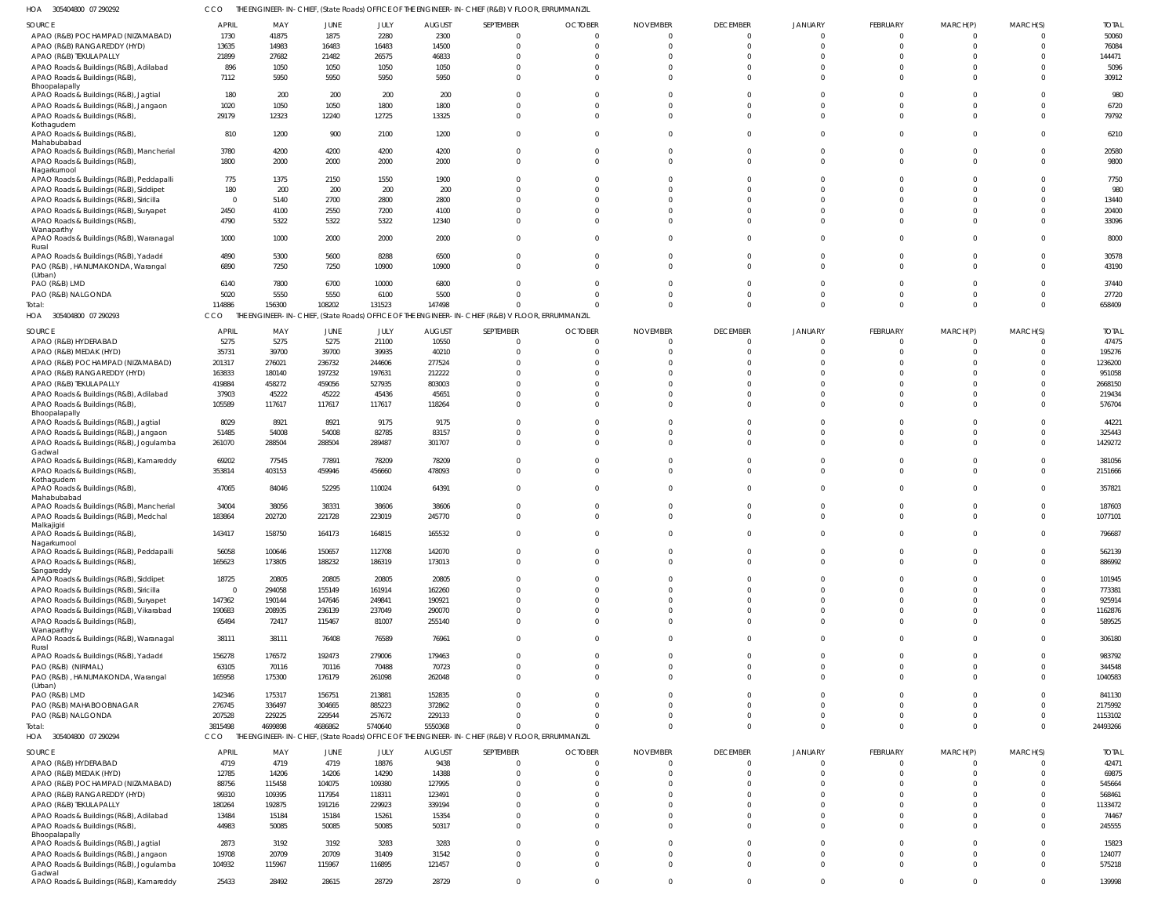305404800 07 290292 HOA CCO THE ENGINEER-IN-CHIEF, (State Roads) OFFICE OF THE ENGINEER-IN-CHIEF (R&B) V FLOOR, ERRUMMANZIL

| SOURCE                                            | <b>APRIL</b>   | MAY     | JUNE    | JULY    | <b>AUGUST</b> | SEPTEMBER                                                                                       | <b>OCTOBER</b> | <b>NOVEMBER</b> | <b>DECEMBER</b> | <b>JANUARY</b> | FEBRUARY    | MARCH(P)    | MARCH(S)     | <b>TOTAL</b> |
|---------------------------------------------------|----------------|---------|---------|---------|---------------|-------------------------------------------------------------------------------------------------|----------------|-----------------|-----------------|----------------|-------------|-------------|--------------|--------------|
| APAO (R&B) POCHAMPAD (NIZAMABAD)                  | 1730           | 41875   | 1875    | 2280    | 2300          |                                                                                                 | $\Omega$       | $\Omega$        | $\Omega$        |                | 0           |             |              | 50060        |
| APAO (R&B) RANGAREDDY (HYD)                       | 13635          | 14983   | 16483   | 16483   | 14500         |                                                                                                 | $\Omega$       | $\Omega$        | $\Omega$        | $\cap$         | $\Omega$    |             | $\cap$       | 76084        |
| APAO (R&B) TEKULAPALLY                            | 21899          | 27682   | 21482   | 26575   | 46833         |                                                                                                 | $\mathsf{C}$   | $\Omega$        | $\Omega$        |                |             |             |              | 144471       |
| APAO Roads & Buildings (R&B), Adilabad            | 896            | 1050    | 1050    | 1050    | 1050          |                                                                                                 | $\Omega$       | $\Omega$        | $\Omega$        | $\cap$         |             |             |              | 5096         |
| APAO Roads & Buildings (R&B),                     | 7112           | 5950    | 5950    | 5950    | 5950          |                                                                                                 | $\Omega$       | $\Omega$        | $\Omega$        | $\Omega$       | $\Omega$    |             |              | 30912        |
| Bhoopalapally                                     |                |         |         |         |               |                                                                                                 |                |                 |                 |                |             |             |              |              |
| APAO Roads & Buildings (R&B), Jagtial             | 180            | 200     | 200     | 200     | 200           |                                                                                                 | $\Omega$       | $\Omega$        |                 |                |             |             |              | 980          |
| APAO Roads & Buildings (R&B), Jangaon             | 1020           | 1050    | 1050    | 1800    | 1800          |                                                                                                 | $\mathsf{C}$   | $\cup$          | $\cap$          |                |             |             |              | 6720         |
| APAO Roads & Buildings (R&B),                     | 29179          | 12323   | 12240   | 12725   | 13325         | $\Omega$                                                                                        | $\Omega$       | $\Omega$        | $\Omega$        | $\Omega$       | 0           |             | $\Omega$     | 79792        |
| Kothagudem                                        |                |         |         |         |               |                                                                                                 |                |                 |                 |                |             |             |              |              |
| APAO Roads & Buildings (R&B),                     | 810            | 1200    | 900     | 2100    | 1200          | $\Omega$                                                                                        | $\Omega$       | $\Omega$        | $\Omega$        | $\Omega$       | 0           |             |              | 6210         |
| Mahabubabad                                       |                |         |         |         |               |                                                                                                 |                |                 |                 |                |             |             |              |              |
| APAO Roads & Buildings (R&B), Mancherial          | 3780           | 4200    | 4200    | 4200    | 4200          |                                                                                                 | $\Omega$       | $\Omega$        | $\Omega$        | $\Omega$       |             |             |              | 20580        |
| APAO Roads & Buildings (R&B),                     | 1800           | 2000    | 2000    | 2000    | 2000          | $\Omega$                                                                                        | $\Omega$       | $\Omega$        | $\Omega$        | $\Omega$       | $\Omega$    |             |              | 9800         |
| Nagarkurnool                                      |                |         |         |         |               |                                                                                                 |                |                 |                 |                |             |             |              |              |
| APAO Roads & Buildings (R&B), Peddapalli          | 775            | 1375    | 2150    | 1550    | 1900          |                                                                                                 |                | $\Omega$        |                 |                |             |             |              | 7750         |
| APAO Roads & Buildings (R&B), Siddipet            | 180            | 200     | 200     | 200     | 200           |                                                                                                 |                | $\cup$          |                 |                |             |             |              | 980          |
| APAO Roads & Buildings (R&B), Siricilla           | $\overline{0}$ | 5140    | 2700    | 2800    | 2800          |                                                                                                 |                | $\Omega$        |                 |                |             |             |              | 13440        |
| APAO Roads & Buildings (R&B), Suryapet            | 2450           | 4100    | 2550    | 7200    | 4100          |                                                                                                 | -0             | $\cup$          | $\cap$          |                |             |             |              | 20400        |
| APAO Roads & Buildings (R&B)                      | 4790           | 5322    | 5322    | 5322    | 12340         |                                                                                                 | $\Omega$       | $\Omega$        | $\Omega$        | $\Omega$       |             |             |              | 33096        |
| Wanaparthy                                        |                |         |         |         |               |                                                                                                 |                |                 |                 |                |             |             |              |              |
| APAO Roads & Buildings (R&B), Waranagal           | 1000           | 1000    | 2000    | 2000    | 2000          | $\Omega$                                                                                        | $\Omega$       | $\Omega$        | $\Omega$        |                | 0           |             |              | 8000         |
| Rural<br>APAO Roads & Buildings (R&B), Yadadri    | 4890           | 5300    | 5600    | 8288    | 6500          |                                                                                                 | $\Omega$       | $\Omega$        | $\Omega$        |                |             |             |              | 30578        |
| PAO (R&B), HANUMAKONDA, Warangal                  | 6890           | 7250    |         | 10900   | 10900         | $\Omega$                                                                                        | $\Omega$       | $\Omega$        | $\Omega$        | $\cap$         | $\Omega$    |             |              | 43190        |
| (Urban)                                           |                |         | 7250    |         |               |                                                                                                 |                |                 |                 |                |             |             |              |              |
| PAO (R&B) LMD                                     | 6140           | 7800    | 6700    | 10000   | 6800          |                                                                                                 | $\mathsf{C}$   | $\Omega$        |                 |                |             |             |              | 37440        |
| PAO (R&B) NALGONDA                                | 5020           | 5550    | 5550    | 6100    | 5500          |                                                                                                 | $\Omega$       | $\Omega$        | $\Omega$        | $\Omega$       | $\Omega$    |             | $\Omega$     | 27720        |
| Total:                                            | 114886         | 156300  | 108202  | 131523  | 147498        | $\Omega$                                                                                        | $\mathsf{C}$   | C               | $\Omega$        | $\Omega$       | $\Omega$    | $\Omega$    | $\Omega$     | 658409       |
| HOA 305404800 07 290293                           | CCO            |         |         |         |               | THE ENGINEER-IN-CHIEF, (State Roads) OFFICE OF THE ENGINEER-IN-CHIEF (R&B) V FLOOR, ERRUMMANZIL |                |                 |                 |                |             |             |              |              |
|                                                   |                |         |         |         |               |                                                                                                 |                |                 |                 |                |             |             |              |              |
| SOURCE                                            | <b>APRIL</b>   | MAY     | JUNE    | JULY    | <b>AUGUST</b> | SEPTEMBER                                                                                       | <b>OCTOBER</b> | <b>NOVEMBER</b> | <b>DECEMBER</b> | <b>JANUARY</b> | FEBRUARY    | MARCH(P)    | MARCH(S)     | <b>TOTAL</b> |
| APAO (R&B) HYDERABAD                              | 5275           | 5275    | 5275    | 21100   | 10550         | $\Omega$                                                                                        | $\Omega$       | $\Omega$        | $\Omega$        |                | $\Omega$    |             |              | 47475        |
| APAO (R&B) MEDAK (HYD)                            | 35731          | 39700   | 39700   | 39935   | 40210         | $\Omega$                                                                                        | $\Omega$       | $\Omega$        | $\Omega$        | $\Omega$       | $\Omega$    |             | $\Omega$     | 195276       |
| APAO (R&B) POCHAMPAD (NIZAMABAD)                  | 201317         | 276021  | 236732  | 244606  | 277524        |                                                                                                 |                | $\Omega$        |                 |                |             |             |              | 1236200      |
| APAO (R&B) RANGAREDDY (HYD)                       | 163833         | 180140  | 197232  | 197631  | 212222        |                                                                                                 |                |                 |                 |                |             |             |              | 951058       |
| APAO (R&B) TEKULAPALLY                            | 419884         | 458272  | 459056  | 527935  | 803003        |                                                                                                 |                | $\sqrt{ }$      |                 |                |             |             |              | 2668150      |
| APAO Roads & Buildings (R&B), Adilabad            | 37903          | 45222   | 45222   | 45436   | 45651         |                                                                                                 | $\mathsf{C}$   | $\cup$          | $\Omega$        | $\Omega$       |             |             |              | 219434       |
| APAO Roads & Buildings (R&B)                      | 105589         | 117617  | 117617  | 117617  | 118264        | $\Omega$                                                                                        | $\Omega$       | $\Omega$        | $\Omega$        |                |             |             |              | 576704       |
| Bhoopalapally                                     |                |         |         |         |               |                                                                                                 |                |                 |                 |                |             |             |              |              |
| APAO Roads & Buildings (R&B), Jagtial             | 8029           | 8921    | 8921    | 9175    | 9175          | $\Omega$                                                                                        | $\Omega$       | $\Omega$        |                 | $\Omega$       |             |             |              | 44221        |
| APAO Roads & Buildings (R&B), Jangaon             | 51485          | 54008   | 54008   | 82785   | 83157         |                                                                                                 | $\Omega$       | $\Omega$        | $\Omega$        | $\Omega$       | $\Omega$    |             |              | 325443       |
| APAO Roads & Buildings (R&B), Jogulamba           | 261070         | 288504  | 288504  | 289487  | 301707        | $\Omega$                                                                                        | $\Omega$       | $\Omega$        | $\Omega$        | $\Omega$       | $\Omega$    |             | $\Omega$     | 1429272      |
| Gadwal                                            |                |         |         |         |               |                                                                                                 |                |                 |                 |                |             |             |              |              |
| APAO Roads & Buildings (R&B), Kamareddy           | 69202          | 77545   | 77891   | 78209   | 78209         |                                                                                                 | $\Omega$       | $\Omega$        | $\Omega$        | $\Omega$       |             |             |              | 381056       |
| APAO Roads & Buildings (R&B),                     | 353814         | 403153  | 459946  | 456660  | 478093        | $\Omega$                                                                                        | $\Omega$       | $\Omega$        | $\Omega$        | $\Omega$       | $\Omega$    |             | $\Omega$     | 2151666      |
| Kothagudem                                        |                |         |         |         |               |                                                                                                 |                |                 |                 |                |             |             |              |              |
| APAO Roads & Buildings (R&B)                      | 47065          | 84046   | 52295   | 110024  | 64391         | $\Omega$                                                                                        | $\Omega$       | $\cup$          | $\Omega$        | $\Omega$       |             |             |              | 357821       |
| Mahabubabad                                       |                |         |         |         |               |                                                                                                 |                |                 |                 |                |             |             |              |              |
| APAO Roads & Buildings (R&B), Mancherial          | 34004          | 38056   | 38331   | 38606   | 38606         | $\Omega$                                                                                        | $\Omega$       | $\Omega$        | $\Omega$        | $\Omega$       | $\Omega$    |             |              | 187603       |
| APAO Roads & Buildings (R&B), Medchal             | 183864         | 202720  | 221728  | 223019  | 245770        | $\Omega$                                                                                        | $\Omega$       | $\Omega$        | $\Omega$        | $\cap$         |             |             |              | 1077101      |
| Malkajigiri<br>APAO Roads & Buildings (R&B),      | 143417         | 158750  | 164173  | 164815  | 165532        |                                                                                                 |                |                 |                 |                |             |             |              | 796687       |
| Nagarkurnool                                      |                |         |         |         |               |                                                                                                 |                |                 |                 |                |             |             |              |              |
| APAO Roads & Buildings (R&B), Peddapalli          | 56058          | 100646  | 150657  | 112708  | 142070        | $\mathbf 0$                                                                                     | $\overline{0}$ | $\mathbf 0$     | $\Omega$        | $\Omega$       | 0           |             | $\Omega$     | 562139       |
| APAO Roads & Buildings (R&B)                      | 165623         | 173805  | 188232  | 186319  | 173013        | $\mathbf 0$                                                                                     | $\Omega$       | $\Omega$        | $\Omega$        | $\Omega$       | $\mathbf 0$ | $\Omega$    | $\Omega$     | 886992       |
| Sangareddy                                        |                |         |         |         |               |                                                                                                 |                |                 |                 |                |             |             |              |              |
| APAO Roads & Buildings (R&B), Siddipet            | 18725          | 20805   | 20805   | 20805   | 20805         | $\Omega$                                                                                        | $\overline{0}$ | $\mathbf 0$     | $\Omega$        | $\Omega$       |             |             |              | 101945       |
| APAO Roads & Buildings (R&B), Siricilla           | $\overline{0}$ | 294058  | 155149  | 161914  | 162260        | $\Omega$                                                                                        | $\Omega$       | $\Omega$        | $\Omega$        | $\Omega$       | $\Omega$    |             | $\Omega$     | 773381       |
| APAO Roads & Buildings (R&B), Suryapet            | 147362         | 190144  | 147646  | 249841  | 190921        | $\Omega$                                                                                        | $\Omega$       | $\Omega$        | $\Omega$        | $\Omega$       | $\Omega$    |             | $\Omega$     | 925914       |
| APAO Roads & Buildings (R&B), Vikarabad           | 190683         | 208935  | 236139  | 237049  | 290070        | $\Omega$                                                                                        | $\Omega$       | $\Omega$        | $\Omega$        | $\Omega$       | $\Omega$    |             |              | 1162876      |
| APAO Roads & Buildings (R&B)                      | 65494          | 72417   | 115467  | 81007   | 255140        | $\Omega$                                                                                        | $\Omega$       | $\Omega$        | $\Omega$        | $\Omega$       | $\Omega$    |             |              | 589525       |
| Wanaparthy                                        |                |         |         |         |               |                                                                                                 |                |                 |                 |                |             |             |              |              |
| APAO Roads & Buildings (R&B), Waranagal           | 38111          | 38111   | 76408   | 76589   | 76961         | $\Omega$                                                                                        | $\Omega$       | $\Omega$        | $\Omega$        | $\Omega$       | $\Omega$    | $\Omega$    | $\Omega$     | 306180       |
| Rural                                             |                |         |         |         |               |                                                                                                 |                |                 |                 |                |             |             |              |              |
| APAO Roads & Buildings (R&B), Yadadri             | 156278         | 176572  | 192473  | 279006  | 179463        | $\Omega$                                                                                        | $\Omega$       | $\mathbf 0$     | $\Omega$        | $\Omega$       |             |             |              | 983792       |
| PAO (R&B) (NIRMAL)                                | 63105          | 70116   | 70116   | 70488   | 70723         | $\Omega$                                                                                        | $\Omega$       | $\overline{0}$  | $\Omega$        | $\Omega$       | $\Omega$    | $\Omega$    | $\Omega$     | 344548       |
| PAO (R&B), HANUMAKONDA, Warangal                  | 165958         | 175300  | 176179  | 261098  | 262048        | $\Omega$                                                                                        | $\Omega$       | $\Omega$        | $\Omega$        | $\Omega$       | $\Omega$    |             | $\Omega$     | 1040583      |
| (Urban)                                           |                |         |         |         |               | $\Omega$                                                                                        |                |                 | $\Omega$        | $\Omega$       |             |             |              |              |
| PAO (R&B) LMD                                     | 142346         | 175317  | 156751  | 213881  | 152835        |                                                                                                 | $\Omega$       | $\Omega$        |                 |                |             |             |              | 841130       |
| PAO (R&B) MAHABOOBNAGAR                           | 276745         | 336497  | 304665  | 885223  | 372862        |                                                                                                 | $\Omega$       | $\Omega$        | $\Omega$        | $\Omega$       | $\Omega$    |             | $\Omega$     | 2175992      |
| PAO (R&B) NALGONDA                                | 207528         | 229225  | 229544  | 257672  | 229133        | $\Omega$                                                                                        | $\Omega$       | $\Omega$        | $\Omega$        | $\Omega$       | $\Omega$    |             | $\Omega$     | 1153102      |
| Total:                                            | 3815498        | 4699898 | 4686862 | 5740640 | 5550368       | $\Omega$                                                                                        | $\Omega$       | $\Omega$        | $\Omega$        | $\Omega$       | $\Omega$    | $\Omega$    | $\Omega$     | 24493266     |
| HOA 305404800 07 290294                           | CCO            |         |         |         |               | THE ENGINEER-IN-CHIEF, (State Roads) OFFICE OF THE ENGINEER-IN-CHIEF (R&B) V FLOOR, ERRUMMANZIL |                |                 |                 |                |             |             |              |              |
| SOURCE                                            | <b>APRIL</b>   | MAY     | JUNE    | JULY    | <b>AUGUST</b> | SEPTEMBER                                                                                       | <b>OCTOBER</b> | <b>NOVEMBER</b> | <b>DECEMBER</b> | JANUARY        | FEBRUARY    | MARCH(P)    | MARCH(S)     | <b>TOTAL</b> |
| APAO (R&B) HYDERABAD                              | 4719           | 4719    | 4719    | 18876   | 9438          | $\mathbf 0$                                                                                     | $\overline{0}$ | $\mathbf 0$     | $\Omega$        | $\Omega$       | $\mathbf 0$ |             |              | 42471        |
|                                                   |                |         | 14206   |         | 14388         | $\Omega$                                                                                        | $\overline{0}$ | $\Omega$        | $\Omega$        | $\Omega$       | $\Omega$    |             | $\Omega$     | 69875        |
| APAO (R&B) MEDAK (HYD)                            | 12785          | 14206   |         | 14290   |               |                                                                                                 |                |                 |                 |                |             |             |              |              |
| APAO (R&B) POCHAMPAD (NIZAMABAD)                  | 88756          | 115458  | 104075  | 109380  | 127995        | $\Omega$                                                                                        | $\Omega$       | $\Omega$        | $\Omega$        | $\Omega$       |             |             | $\cap$       | 545664       |
| APAO (R&B) RANGAREDDY (HYD)                       | 99310          | 109395  | 117954  | 118311  | 123491        | $\Omega$                                                                                        | $\Omega$       | $\Omega$        | $\Omega$        | $\Omega$       |             |             | $\Omega$     | 568461       |
| APAO (R&B) TEKULAPALLY                            | 180264         | 192875  | 191216  | 229923  | 339194        | $\Omega$                                                                                        | $\Omega$       | $\Omega$        | $\Omega$        | $\Omega$       |             |             | $\Omega$     | 1133472      |
| APAO Roads & Buildings (R&B), Adilabad            | 13484          | 15184   | 15184   | 15261   | 15354         | $\Omega$                                                                                        | $\Omega$       | $\Omega$        | $\Omega$        | $\Omega$       | $\Omega$    |             | $\cap$       | 74467        |
| APAO Roads & Buildings (R&B),                     | 44983          | 50085   | 50085   | 50085   | 50317         | $\Omega$                                                                                        | $\Omega$       | $\Omega$        | $\Omega$        | $\Omega$       | $\Omega$    |             | $\Omega$     | 245555       |
| Bhoopalapally                                     |                |         |         |         |               | $\Omega$                                                                                        |                |                 | $\Omega$        | $\Omega$       |             |             | $\Omega$     |              |
| APAO Roads & Buildings (R&B), Jagtial             | 2873           | 3192    | 3192    | 3283    | 3283          |                                                                                                 | $\Omega$       | $\Omega$        |                 |                | $\Omega$    |             |              | 15823        |
| APAO Roads & Buildings (R&B), Jangaon             | 19708          | 20709   | 20709   | 31409   | 31542         | $\mathbf 0$                                                                                     | $\Omega$       | $\Omega$        | $\Omega$        | $\Omega$       | $\Omega$    |             | $\Omega$     | 124077       |
| APAO Roads & Buildings (R&B), Jogulamba           | 104932         | 115967  | 115967  | 116895  | 121457        | $\mathbf 0$                                                                                     | $\overline{0}$ | $\overline{0}$  | $\Omega$        | $\Omega$       | $\mathbf 0$ | $\Omega$    | $\Omega$     | 575218       |
| Gadwal<br>APAO Roads & Buildings (R&B), Kamareddy | 25433          | 28492   | 28615   | 28729   | 28729         | $\overline{0}$                                                                                  | $\mathbf{0}$   | $\overline{0}$  | $\overline{0}$  | $\mathbf{0}$   | $\mathbf 0$ | $\mathbf 0$ | $\mathbf{0}$ | 139998       |
|                                                   |                |         |         |         |               |                                                                                                 |                |                 |                 |                |             |             |              |              |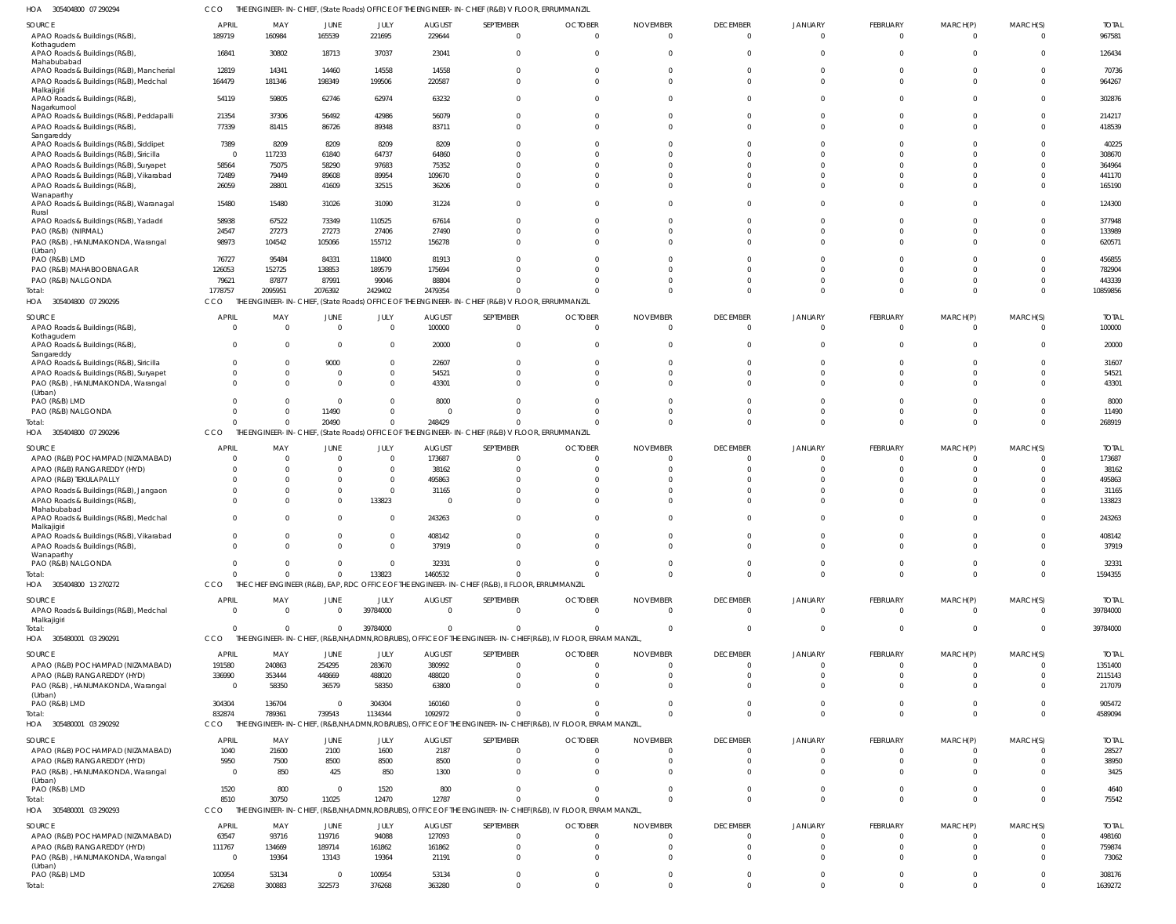305404800 07 290294 HOA CCO THE ENGINEER-IN-CHIEF, (State Roads) OFFICE OF THE ENGINEER-IN-CHIEF (R&B) V FLOOR, ERRUMMANZIL

|                                                                                        |                          |                                                |                          | .                    |                                 |                                                                                                                         |                                  |                                   |                             |                            |                                   |                            |                              |                          |
|----------------------------------------------------------------------------------------|--------------------------|------------------------------------------------|--------------------------|----------------------|---------------------------------|-------------------------------------------------------------------------------------------------------------------------|----------------------------------|-----------------------------------|-----------------------------|----------------------------|-----------------------------------|----------------------------|------------------------------|--------------------------|
| <b>SOURCE</b><br>APAO Roads & Buildings (R&B),                                         | <b>APRIL</b><br>189719   | MAY<br>160984                                  | JUNE<br>165539           | JULY<br>221695       | <b>AUGUST</b><br>229644         | SEPTEMBER<br>$\Omega$                                                                                                   | <b>OCTOBER</b><br>$\Omega$       | <b>NOVEMBER</b><br>$\Omega$       | <b>DECEMBER</b><br>$\Omega$ | <b>JANUARY</b>             | FEBRUARY<br>$\Omega$              | MARCH(P)<br>$\Omega$       | MARCH(S)<br>$\Omega$         | <b>TOTAL</b><br>967581   |
| Kothagudem<br>APAO Roads & Buildings (R&B),<br>Mahabubabad                             | 16841                    | 30802                                          | 18713                    | 37037                | 23041                           | $\Omega$                                                                                                                | $\Omega$                         | $\Omega$                          |                             |                            | $\Omega$                          | 0                          | $\Omega$                     | 126434                   |
| APAO Roads & Buildings (R&B), Mancherial<br>APAO Roads & Buildings (R&B), Medchal      | 12819<br>164479          | 14341<br>181346                                | 14460<br>198349          | 14558<br>199506      | 14558<br>220587                 | $\Omega$<br>$\Omega$                                                                                                    | $\Omega$<br>$\Omega$             | $\Omega$<br>$\Omega$              |                             |                            | $\Omega$<br>$\Omega$              | 0<br><sup>0</sup>          | $\Omega$<br>$\Omega$         | 70736<br>964267          |
| Malkajigiri<br>APAO Roads & Buildings (R&B),                                           | 54119                    | 59805                                          | 62746                    | 62974                | 63232                           | $\Omega$                                                                                                                | $\Omega$                         | $\Omega$                          |                             |                            | $\Omega$                          | $\Omega$                   | $\Omega$                     | 302876                   |
| Nagarkurnool<br>APAO Roads & Buildings (R&B), Peddapalli                               | 21354                    | 37306                                          | 56492                    | 42986                | 56079                           | $\Omega$                                                                                                                | $\Omega$                         | $\Omega$                          |                             |                            | $\Omega$                          |                            | $\Omega$                     | 214217                   |
| APAO Roads & Buildings (R&B),<br>Sangareddy<br>APAO Roads & Buildings (R&B), Siddipet  | 77339<br>7389            | 81415<br>8209                                  | 86726<br>8209            | 89348<br>8209        | 83711<br>8209                   | $\Omega$                                                                                                                | $\Omega$                         | $\Omega$<br>$\Omega$              |                             |                            | $\Omega$                          | $\Omega$                   | $\Omega$<br>$\Omega$         | 418539<br>40225          |
| APAO Roads & Buildings (R&B), Siricilla                                                | $\Omega$                 | 117233                                         | 61840                    | 64737                | 64860                           |                                                                                                                         |                                  | $\Omega$                          |                             |                            |                                   |                            | $\Omega$                     | 308670                   |
| APAO Roads & Buildings (R&B), Suryapet                                                 | 58564                    | 75075                                          | 58290                    | 97683                | 75352                           | U                                                                                                                       | $\Omega$                         | $\Omega$                          |                             |                            |                                   |                            | $\Omega$                     | 364964                   |
| APAO Roads & Buildings (R&B), Vikarabad<br>APAO Roads & Buildings (R&B),               | 72489<br>26059           | 79449<br>28801                                 | 89608<br>41609           | 89954<br>32515       | 109670<br>36206                 | <sup>0</sup>                                                                                                            | $\Omega$                         | $\Omega$                          |                             |                            | <sup>0</sup>                      |                            | $\Omega$<br>$\Omega$         | 441170<br>165190         |
| Wanaparthy<br>APAO Roads & Buildings (R&B), Waranagal                                  | 15480                    | 15480                                          | 31026                    | 31090                | 31224                           | $\Omega$                                                                                                                | $\Omega$                         | $\Omega$                          |                             |                            | $\Omega$                          | <sup>0</sup>               | $\Omega$                     | 124300                   |
| Rural<br>APAO Roads & Buildings (R&B), Yadadri                                         | 58938                    | 67522                                          | 73349                    | 110525               | 67614                           | $\Omega$                                                                                                                | $\Omega$                         | $\Omega$                          |                             |                            |                                   |                            | $\Omega$                     | 377948                   |
| PAO (R&B) (NIRMAL)<br>PAO (R&B), HANUMAKONDA, Warangal                                 | 24547<br>98973           | 27273<br>104542                                | 27273<br>105066          | 27406<br>155712      | 27490<br>156278                 | $\Omega$<br>$\Omega$                                                                                                    | $\Omega$<br>$\Omega$             | $\Omega$<br>$\Omega$              |                             |                            | U<br>$\Omega$                     | <sup>0</sup>               | $\Omega$<br>$\Omega$         | 133989<br>620571         |
| (Urban)                                                                                |                          |                                                |                          |                      |                                 |                                                                                                                         |                                  |                                   |                             |                            |                                   |                            |                              |                          |
| PAO (R&B) LMD                                                                          | 76727                    | 95484                                          | 84331<br>138853          | 118400<br>189579     | 81913                           |                                                                                                                         | $\Omega$                         | $\Omega$<br>$\Omega$              |                             |                            |                                   |                            | $\Omega$<br>$\Omega$         | 456855                   |
| PAO (R&B) MAHABOOBNAGAR<br>PAO (R&B) NALGONDA                                          | 126053<br>79621          | 152725<br>87877                                | 87991                    | 99046                | 175694<br>88804                 |                                                                                                                         | $\Omega$<br>$\Omega$             | $\Omega$                          |                             | $\Omega$                   | $\Omega$                          |                            | $\Omega$                     | 782904<br>443339         |
| Total:                                                                                 | 1778757                  | 2095951                                        | 2076392                  | 2429402              | 2479354                         | $\Omega$                                                                                                                | $\Omega$                         | $\Omega$                          |                             | $\Omega$                   | $\Omega$                          | $\Omega$                   | $\Omega$                     | 10859856                 |
| HOA 305404800 07 290295                                                                | CCO                      |                                                |                          |                      |                                 | THE ENGINEER-IN-CHIEF, (State Roads) OFFICE OF THE ENGINEER-IN-CHIEF (R&B) V FLOOR, ERRUMMANZIL                         |                                  |                                   |                             |                            |                                   |                            |                              |                          |
| SOURCE<br>APAO Roads & Buildings (R&B),                                                | <b>APRIL</b><br>$\Omega$ | MAY<br>$\Omega$                                | JUNE<br>$\overline{0}$   | JULY<br>$\Omega$     | <b>AUGUST</b><br>100000         | SEPTEMBER<br>$\overline{0}$                                                                                             | <b>OCTOBER</b><br>$\overline{0}$ | <b>NOVEMBER</b><br>$\Omega$       | <b>DECEMBER</b><br>$\Omega$ | <b>JANUARY</b>             | FEBRUARY<br>$\Omega$              | MARCH(P)<br>$\Omega$       | MARCH(S)<br>$\Omega$         | <b>TOTAL</b><br>100000   |
| Kothagudem<br>APAO Roads & Buildings (R&B),<br>Sangareddy                              | $\Omega$                 | - 0                                            | $\Omega$                 | $\Omega$             | 20000                           | $\Omega$                                                                                                                | $\Omega$                         | $\Omega$                          | $\Omega$                    |                            | $\Omega$                          | $\Omega$                   | $\mathbf 0$                  | 20000                    |
| APAO Roads & Buildings (R&B), Siricilla                                                |                          | $\Omega$                                       | 9000                     | - 0                  | 22607                           | $\Omega$                                                                                                                | $\Omega$                         | $\Omega$                          |                             |                            |                                   |                            | $\mathbf{0}$                 | 31607                    |
| APAO Roads & Buildings (R&B), Suryapet<br>PAO (R&B), HANUMAKONDA, Warangal<br>(Urban)  | $\Omega$                 | $\Omega$<br>$\Omega$                           | $\Omega$<br>$\Omega$     | $\Omega$<br>$\Omega$ | 54521<br>43301                  | $\Omega$<br>$\Omega$                                                                                                    | $\Omega$<br>$\Omega$             | $\Omega$<br>$\Omega$              | $\Omega$                    |                            | $\Omega$<br>$\Omega$              | $\Omega$<br>$\Omega$       | $\Omega$<br>$\Omega$         | 54521<br>43301           |
| PAO (R&B) LMD                                                                          |                          | $\Omega$                                       | $\Omega$                 |                      | 8000                            | $\Omega$                                                                                                                | $\Omega$                         | $\Omega$                          |                             |                            |                                   |                            | $\Omega$                     | 8000                     |
| PAO (R&B) NALGONDA                                                                     |                          | $\Omega$                                       | 11490                    |                      | $\overline{0}$                  | $\Omega$                                                                                                                | $\Omega$                         | $\Omega$                          | $\Omega$                    | $\Omega$                   | $\Omega$                          | 0                          | $\mathbf 0$                  | 11490                    |
| Total:<br>HOA 305404800 07 290296                                                      | CCO                      | $\Omega$                                       | 20490                    | $\Omega$             | 248429                          | $\Omega$<br>THE ENGINEER-IN-CHIEF, (State Roads) OFFICE OF THE ENGINEER-IN-CHIEF (R&B) V FLOOR, ERRUMMANZIL             | $\Omega$                         | $\Omega$                          | $\Omega$                    | $\Omega$                   | $\Omega$                          | $\Omega$                   | $\Omega$                     | 268919                   |
|                                                                                        |                          |                                                |                          |                      |                                 |                                                                                                                         |                                  |                                   |                             |                            |                                   |                            |                              |                          |
| <b>SOURCE</b><br>APAO (R&B) POCHAMPAD (NIZAMABAD)                                      | <b>APRIL</b><br>$\Omega$ | MAY<br>$\Omega$                                | JUNE<br>$\Omega$         | JULY<br>$\Omega$     | AUGUST<br>173687                | SEPTEMBER<br>$\Omega$                                                                                                   | <b>OCTOBER</b><br>$\Omega$       | <b>NOVEMBER</b><br>$\Omega$       | <b>DECEMBER</b>             | <b>JANUARY</b>             | <b>FEBRUARY</b><br>$\Omega$       | MARCH(P)<br>$\Omega$       | MARCH(S)<br>$\Omega$         | <b>TOTAL</b><br>173687   |
| APAO (R&B) RANGAREDDY (HYD)                                                            |                          | $\Omega$                                       | $\Omega$                 | $\Omega$             | 38162                           | U                                                                                                                       | $\Omega$                         | $\Omega$                          |                             |                            | $\Omega$                          |                            | $\Omega$                     | 38162                    |
| APAO (R&B) TEKULAPALLY                                                                 |                          | $\Omega$                                       | $\Omega$                 | $\Omega$             | 495863                          |                                                                                                                         | $\Omega$                         | $\Omega$                          |                             |                            |                                   |                            | $\Omega$                     | 495863                   |
| APAO Roads & Buildings (R&B), Jangaon                                                  |                          | $\Omega$                                       | $\Omega$                 | $\Omega$             | 31165                           |                                                                                                                         | $\Omega$                         | $\Omega$                          |                             |                            |                                   |                            | $\Omega$                     | 31165                    |
| APAO Roads & Buildings (R&B),<br>Mahabubabad                                           |                          | $\Omega$                                       | $\Omega$                 | 133823               | 0                               | $\Omega$                                                                                                                | $\Omega$                         | $\Omega$                          |                             |                            |                                   |                            | $\Omega$                     | 133823                   |
| APAO Roads & Buildings (R&B), Medchal<br>Malkajigiri                                   |                          | $\Omega$                                       | $\Omega$                 |                      | 243263                          | $\Omega$                                                                                                                |                                  | $\Omega$                          |                             |                            | $\Omega$                          | 0                          | $\Omega$                     | 243263                   |
| APAO Roads & Buildings (R&B), Vikarabad<br>APAO Roads & Buildings (R&B),<br>Wanaparthy | $\sqrt{2}$               | $\sqrt{ }$<br>$\Omega$                         | $\cap$                   | $\sqrt{2}$           | 408142<br>37919                 | $\Omega$                                                                                                                | $\Omega$                         | $\Omega$                          |                             |                            | $\Omega$                          | $\Omega$                   | $\cap$<br>$\Omega$           | 408142<br>37919          |
| PAO (R&B) NALGONDA                                                                     | $\Omega$                 | $\Omega$                                       | $\Omega$                 | $\Omega$             | 32331                           | $\Omega$                                                                                                                | $\Omega$                         | $\Omega$                          |                             |                            | $\mathbf 0$                       | $\Omega$                   | $\Omega$                     | 32331                    |
| Total:                                                                                 | $\Omega$                 | $\Omega$                                       | $\Omega$                 | 133823               | 1460532                         | $\Omega$                                                                                                                | $\Omega$                         | $\Omega$                          |                             | $\Omega$                   | $\Omega$                          | $\mathbf{0}$               | $\Omega$                     | 1594355                  |
| HOA 305404800 13 270272                                                                | CCO                      |                                                |                          |                      |                                 | THE CHIEF ENGINEER (R&B), EAP, RDC OFFICE OF THE ENGINEER-IN-CHIEF (R&B), II FLOOR, ERRUMMANZIL                         |                                  |                                   |                             |                            |                                   |                            |                              |                          |
| <b>SOURCE</b><br>APAO Roads & Buildings (R&B), Medchal<br>Malkajigiri                  | <b>APRIL</b><br>$\Omega$ | MAY<br>$\overline{0}$                          | JUNE<br>$\overline{0}$   | JULY<br>39784000     | <b>AUGUST</b><br>$\overline{0}$ | SEPTEMBER<br>$\mathbf{0}$                                                                                               | <b>OCTOBER</b><br>$\overline{0}$ | <b>NOVEMBER</b><br>$\overline{0}$ | <b>DECEMBER</b><br>$\Omega$ | <b>JANUARY</b><br>$\Omega$ | <b>FEBRUARY</b><br>$\overline{0}$ | MARCH(P)<br>$\overline{0}$ | MARCH(S)<br>$\mathbf 0$      | <b>TOTAL</b><br>39784000 |
| Total:<br>HOA 305480001 03 290291                                                      | $\Omega$<br>CCO          | $\Omega$                                       | $\overline{0}$           | 39784000             | $\Omega$                        | $\Omega$<br>THE ENGINEER-IN-CHIEF, (R&B,NH,ADMN,ROB/RUBS), OFFICE OF THE ENGINEER-IN-CHIEF(R&B), IV FLOOR, ERRAM MANZIL | $\Omega$                         | $\overline{\mathbf{0}}$           |                             |                            | $\overline{0}$                    | $\overline{0}$             | $^{\circ}$                   | 39784000                 |
| <b>SOURCE</b>                                                                          | <b>APRIL</b>             | MAY                                            | JUNE                     | JULY                 | <b>AUGUST</b>                   | SEPTEMBER                                                                                                               | <b>OCTOBER</b>                   | <b>NOVEMBER</b>                   | <b>DECEMBER</b>             | <b>JANUARY</b>             | <b>FEBRUARY</b>                   | MARCH(P)                   | MARCH(S)                     | <b>TOTAL</b>             |
| APAO (R&B) POCHAMPAD (NIZAMABAD)                                                       | 191580                   | 240863                                         | 254295                   | 283670               | 380992                          | 0                                                                                                                       | $\Omega$                         | $\Omega$                          |                             |                            | 0                                 | 0                          | 0                            | 1351400                  |
| APAO (R&B) RANGAREDDY (HYD)                                                            | 336990                   | 353444                                         | 448669                   | 488020               | 488020                          | $\Omega$                                                                                                                | $\overline{0}$                   | $\overline{0}$                    |                             |                            | $\Omega$                          | 0                          | $\mathbf{0}$                 | 2115143                  |
| PAO (R&B), HANUMAKONDA, Warangal<br>(Urban)                                            | $\overline{0}$           | 58350                                          | 36579                    | 58350                | 63800                           | $\Omega$                                                                                                                | $\Omega$                         | $\Omega$                          |                             |                            | $\Omega$                          | $\Omega$                   | $\Omega$                     | 217079                   |
| PAO (R&B) LMD                                                                          | 304304                   | 136704                                         | $\overline{0}$           | 304304               | 160160                          | $\Omega$                                                                                                                | $\Omega$                         | $\Omega$                          |                             |                            | $\Omega$                          | $\Omega$                   | $\mathbf{0}$                 | 905472                   |
| Total:                                                                                 | 832874                   | 789361                                         | 739543                   | 1134344              | 1092972                         | $\Omega$                                                                                                                | $\Omega$                         | $\Omega$                          |                             |                            | $\Omega$                          | $\Omega$                   | $\Omega$                     | 4589094                  |
| HOA 305480001 03 290292                                                                | CCO                      | THE ENGINEER-IN-CHIEF, (R&B,NH,ADMN,ROB/RUBS), |                          |                      |                                 | OFFICE OF THE ENGINEER-IN-CHIEF(R&B), IV FLOOR, ERRAM MANZIL                                                            |                                  |                                   |                             |                            |                                   |                            |                              |                          |
| <b>SOURCE</b>                                                                          | <b>APRIL</b>             | MAY                                            | JUNE                     | JULY                 | <b>AUGUST</b>                   | SEPTEMBER                                                                                                               | <b>OCTOBER</b>                   | <b>NOVEMBER</b>                   | <b>DECEMBER</b>             | JANUARY                    | <b>FEBRUARY</b>                   | MARCH(P)                   | MARCH(S)                     | <b>TOTAL</b>             |
| APAO (R&B) POCHAMPAD (NIZAMABAD)<br>APAO (R&B) RANGAREDDY (HYD)                        | 1040<br>5950             | 21600<br>7500                                  | 2100<br>8500             | 1600<br>8500         | 2187<br>8500                    | $\mathbf{0}$<br>$\mathbf{0}$                                                                                            | - 0<br>$\overline{0}$            | - 0<br>$\overline{0}$             | $\Omega$                    |                            | $\mathbf{0}$<br>0                 | 0<br>0                     | $\mathbf{0}$<br>$\mathbf{0}$ | 28527<br>38950           |
| PAO (R&B), HANUMAKONDA, Warangal                                                       | $\overline{0}$           | 850                                            | 425                      | 850                  | 1300                            | $\Omega$                                                                                                                | $\Omega$                         | $\Omega$                          |                             |                            | $\Omega$                          | $\Omega$                   | $\Omega$                     | 3425                     |
| (Urban)<br>PAO (R&B) LMD                                                               | 1520                     | 800                                            | $\overline{0}$           | 1520                 | 800                             | $\Omega$                                                                                                                | $\overline{0}$                   | $\overline{0}$                    |                             | $\Omega$                   | $\mathbf 0$                       | $\mathbf{0}$               | $\mathbf{0}$                 | 4640                     |
| Total:<br>HOA 305480001 03 290293                                                      | 8510<br>CCO              | 30750                                          | 11025                    | 12470                | 12787                           | $\Omega$<br>THE ENGINEER-IN-CHIEF, (R&B,NH,ADMN,ROB/RUBS), OFFICE OF THE ENGINEER-IN-CHIEF(R&B), IV FLOOR, ERRAM MANZIL | $\Omega$                         | $\Omega$                          | $\Omega$                    | $\Omega$                   | $\Omega$                          | $\Omega$                   | $\mathbf 0$                  | 75542                    |
|                                                                                        |                          |                                                |                          |                      |                                 |                                                                                                                         |                                  |                                   |                             |                            |                                   |                            |                              |                          |
| <b>SOURCE</b><br>APAO (R&B) POCHAMPAD (NIZAMABAD)                                      | <b>APRIL</b><br>63547    | MAY<br>93716                                   | JUNE<br>119716           | JULY<br>94088        | <b>AUGUST</b><br>127093         | SEPTEMBER<br>$\overline{0}$                                                                                             | <b>OCTOBER</b><br>$\overline{0}$ | <b>NOVEMBER</b><br>$\circ$        | <b>DECEMBER</b>             | <b>JANUARY</b>             | FEBRUARY<br>$\overline{0}$        | MARCH(P)<br>$\Omega$       | MARCH(S)<br>0                | <b>TOTAL</b><br>498160   |
| APAO (R&B) RANGAREDDY (HYD)                                                            | 111767                   | 134669                                         | 189714                   | 161862               | 161862                          | $\mathbf 0$                                                                                                             | $\Omega$                         | $\circ$                           |                             |                            | 0                                 |                            | $\Omega$                     | 759874                   |
| PAO (R&B), HANUMAKONDA, Warangal<br>(Urban)                                            | $\Omega$                 | 19364                                          | 13143                    | 19364                | 21191                           | $\Omega$                                                                                                                | $\Omega$                         | $\Omega$                          |                             |                            | $\Omega$                          |                            | $\Omega$                     | 73062                    |
| PAO (R&B) LMD<br>Total:                                                                | 100954<br>276268         | 53134<br>300883                                | $\overline{0}$<br>322573 | 100954<br>376268     | 53134<br>363280                 | $\mathbf 0$<br>$\Omega$                                                                                                 | $\Omega$<br>$\Omega$             | $\overline{0}$<br>$\Omega$        | $\Omega$                    | $\Omega$                   | $\mathbf{0}$<br>$\Omega$          | $\overline{0}$<br>$\Omega$ | $\mathbf 0$<br>$\Omega$      | 308176<br>1639272        |
|                                                                                        |                          |                                                |                          |                      |                                 |                                                                                                                         |                                  |                                   |                             |                            |                                   |                            |                              |                          |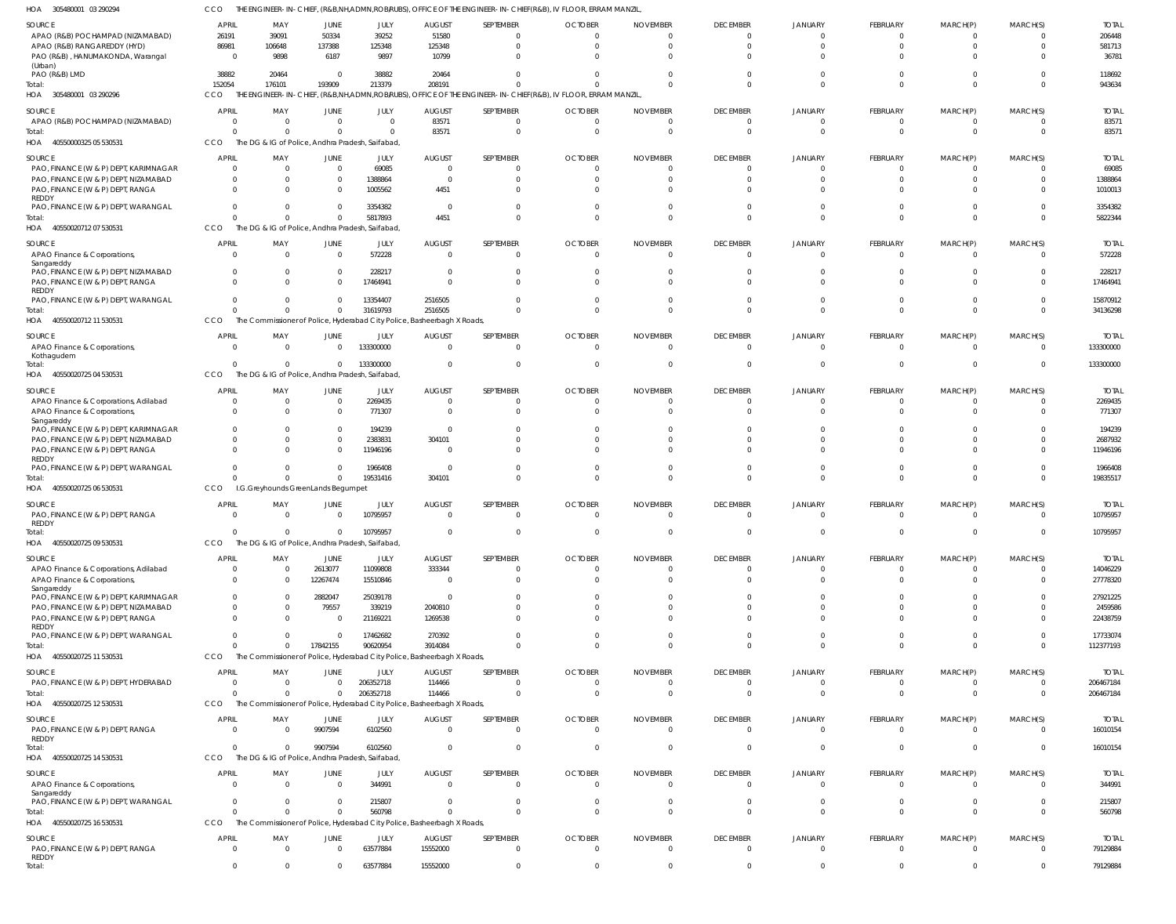| HOA 305480001 03 290294                                                  | CCO                      |                                    |                  |                                                                                     |                                 |                              | THE ENGINEER-IN-CHIEF, (R&B,NH,ADMN,ROB/RUBS), OFFICE OF THE ENGINEER-IN-CHIEF(R&B), IV FLOOR, ERRAM MANZIL, |                             |                                   |                            |                                |                            |                         |                           |
|--------------------------------------------------------------------------|--------------------------|------------------------------------|------------------|-------------------------------------------------------------------------------------|---------------------------------|------------------------------|--------------------------------------------------------------------------------------------------------------|-----------------------------|-----------------------------------|----------------------------|--------------------------------|----------------------------|-------------------------|---------------------------|
| SOURCE                                                                   | APRIL                    | MAY                                | JUNE             | JULY                                                                                | <b>AUGUST</b>                   | SEPTEMBER                    | <b>OCTOBER</b>                                                                                               | <b>NOVEMBER</b>             | <b>DECEMBER</b>                   | <b>JANUARY</b>             | <b>FEBRUARY</b>                | MARCH(P)                   | MARCH(S)                | <b>TOTAL</b>              |
| APAO (R&B) POCHAMPAD (NIZAMABAD)                                         | 26191                    | 39091                              | 50334            | 39252                                                                               | 51580                           | $^{\circ}$                   |                                                                                                              | $\Omega$                    | $\overline{0}$                    |                            | $\Omega$                       | $\Omega$                   | $\Omega$                | 206448                    |
| APAO (R&B) RANGAREDDY (HYD)                                              | 86981                    | 106648                             | 137388           | 125348                                                                              | 125348                          | $\mathbf 0$                  | $\Omega$                                                                                                     |                             | $\Omega$                          |                            | $\Omega$                       | $\Omega$                   | $\mathbf 0$             | 581713                    |
| PAO (R&B), HANUMAKONDA, Warangal<br>(Urban)                              | $\Omega$                 | 9898                               | 6187             | 9897                                                                                | 10799                           | $\Omega$                     |                                                                                                              |                             | $\Omega$                          |                            |                                |                            | $\Omega$                | 36781                     |
| PAO (R&B) LMD                                                            | 38882                    | 20464                              | $\mathbf{0}$     | 38882                                                                               | 20464                           | $\Omega$                     |                                                                                                              |                             | $\Omega$                          |                            |                                |                            | $\mathbf 0$             | 118692                    |
| Total:                                                                   | 152054                   | 176101                             | 193909           | 213379                                                                              | 208191                          | $\Omega$                     |                                                                                                              |                             | $\Omega$                          |                            | $\Omega$                       | $\Omega$                   | $\Omega$                | 943634                    |
| HOA 305480001 03 290296                                                  | CCO                      |                                    |                  |                                                                                     |                                 |                              | THE ENGINEER-IN-CHIEF, (R&B,NH,ADMN,ROB/RUBS), OFFICE OF THE ENGINEER-IN-CHIEF(R&B), IV FLOOR, ERRAM MANZIL, |                             |                                   |                            |                                |                            |                         |                           |
| SOURCE                                                                   | APRIL                    | MAY                                | <b>JUNE</b>      | JULY                                                                                | <b>AUGUST</b>                   | SEPTEMBER                    | <b>OCTOBER</b>                                                                                               | <b>NOVEMBER</b>             | <b>DECEMBER</b>                   | <b>JANUARY</b>             | FEBRUARY                       | MARCH(P)                   | MARCH(S)                | <b>TOTAL</b>              |
| APAO (R&B) POCHAMPAD (NIZAMABAD)<br>Total:                               |                          | $\Omega$<br>$\Omega$               | 0<br>$\Omega$    | $\overline{0}$<br>$\Omega$                                                          | 83571<br>83571                  | $\mathbf{0}$<br>$\mathbf{0}$ | $\Omega$                                                                                                     |                             | $\overline{0}$<br>$\overline{0}$  |                            | 0<br>$\Omega$                  | 0<br>$\Omega$              | 0<br>$\mathbf 0$        | 83571<br>83571            |
| HOA 40550000325 05 530531                                                | CCO                      |                                    |                  | The DG & IG of Police, Andhra Pradesh, Saifabad,                                    |                                 |                              |                                                                                                              |                             |                                   |                            |                                |                            |                         |                           |
|                                                                          |                          |                                    |                  |                                                                                     |                                 |                              |                                                                                                              |                             |                                   |                            |                                |                            |                         |                           |
| <b>SOURCE</b><br>PAO, FINANCE (W & P) DEPT, KARIMNAGAR                   | <b>APRIL</b><br>$\Omega$ | MAY<br>$\Omega$                    | <b>JUNE</b><br>0 | JULY<br>69085                                                                       | <b>AUGUST</b><br>$\overline{0}$ | SEPTEMBER<br>$\mathbf{0}$    | <b>OCTOBER</b><br>$\Omega$                                                                                   | <b>NOVEMBER</b>             | <b>DECEMBER</b><br>$\overline{0}$ | <b>JANUARY</b>             | <b>FEBRUARY</b>                | MARCH(P)                   | MARCH(S)<br>$\Omega$    | <b>TOTAL</b><br>69085     |
| PAO, FINANCE (W & P) DEPT, NIZAMABAD                                     | $\Omega$                 | $\Omega$                           | $\Omega$         | 1388864                                                                             | $\Omega$                        | $\mathbf 0$                  |                                                                                                              |                             | $\Omega$                          |                            |                                |                            | $\mathbf 0$             | 1388864                   |
| PAO, FINANCE (W & P) DEPT, RANGA                                         | $\Omega$                 | $\Omega$                           | $\Omega$         | 1005562                                                                             | 4451                            | $\Omega$                     |                                                                                                              |                             | $\Omega$                          |                            |                                |                            | $\Omega$                | 1010013                   |
| REDDY<br>PAO, FINANCE (W & P) DEPT, WARANGAL                             |                          | $\Omega$                           | $\Omega$         | 3354382                                                                             | $\Omega$                        | $\Omega$                     |                                                                                                              |                             | $\Omega$                          |                            |                                |                            | $\Omega$                | 3354382                   |
| Total:                                                                   |                          | $\Omega$                           | $\Omega$         | 5817893                                                                             | 4451                            | $\Omega$                     |                                                                                                              |                             | $\Omega$                          |                            | $\Omega$                       | $\Omega$                   | $\mathbf 0$             | 5822344                   |
| HOA 40550020712 07 530531                                                | <b>CCO</b>               |                                    |                  | The DG & IG of Police, Andhra Pradesh, Saifabad                                     |                                 |                              |                                                                                                              |                             |                                   |                            |                                |                            |                         |                           |
| SOURCE                                                                   | <b>APRIL</b>             | MAY                                | <b>JUNE</b>      | JULY                                                                                | <b>AUGUST</b>                   | SEPTEMBER                    | <b>OCTOBER</b>                                                                                               | <b>NOVEMBER</b>             | <b>DECEMBER</b>                   | <b>JANUARY</b>             | FEBRUARY                       | MARCH(P)                   | MARCH(S)                | <b>TOTAL</b>              |
| APAO Finance & Corporations,                                             | $\Omega$                 | $\Omega$                           | $\mathbf 0$      | 572228                                                                              | $\Omega$                        | $\mathbf{0}$                 | $\Omega$                                                                                                     |                             | $\overline{0}$                    |                            | $\Omega$                       | $\Omega$                   | $\Omega$                | 572228                    |
| Sangareddy                                                               |                          | $\Omega$                           | $\Omega$         |                                                                                     | $\Omega$                        | $\Omega$                     |                                                                                                              |                             | $\Omega$                          |                            |                                |                            | $\Omega$                |                           |
| PAO, FINANCE (W & P) DEPT, NIZAMABAD<br>PAO, FINANCE (W & P) DEPT, RANGA | $\Omega$                 | $\Omega$                           | $\Omega$         | 228217<br>17464941                                                                  | $\Omega$                        | $\Omega$                     |                                                                                                              |                             | $\Omega$                          |                            |                                | $\Omega$                   | $\Omega$                | 228217<br>17464941        |
| <b>REDDY</b>                                                             |                          |                                    |                  |                                                                                     |                                 |                              |                                                                                                              |                             |                                   |                            |                                |                            |                         |                           |
| PAO, FINANCE (W & P) DEPT, WARANGAL                                      |                          | $\Omega$                           | $\Omega$         | 13354407                                                                            | 2516505                         | $\Omega$                     |                                                                                                              |                             | $\Omega$                          |                            |                                |                            | $\Omega$                | 15870912                  |
| Total:<br>HOA 40550020712 11 530531                                      | CCO                      | $\Omega$                           | $\mathbf 0$      | 31619793<br>The Commissioner of Police, Hyderabad City Police, Basheerbagh X Roads, | 2516505                         | $\Omega$                     |                                                                                                              |                             | $\Omega$                          |                            | $\Omega$                       | $\Omega$                   | $\Omega$                | 34136298                  |
|                                                                          |                          |                                    |                  |                                                                                     |                                 |                              |                                                                                                              |                             |                                   |                            |                                |                            |                         |                           |
| SOURCE                                                                   | <b>APRIL</b><br>$\Omega$ | MAY<br>$\Omega$                    | JUNE             | JULY<br>133300000                                                                   | <b>AUGUST</b><br>$\Omega$       | SEPTEMBER<br>$\overline{0}$  | <b>OCTOBER</b><br>$\Omega$                                                                                   | <b>NOVEMBER</b><br>$\Omega$ | <b>DECEMBER</b><br>$\overline{0}$ | <b>JANUARY</b><br>$\Omega$ | <b>FEBRUARY</b><br>$\mathbf 0$ | MARCH(P)<br>$\overline{0}$ | MARCH(S)<br>$\mathbf 0$ | <b>TOTAL</b><br>133300000 |
| APAO Finance & Corporations,<br>Kothagudem                               |                          |                                    | 0                |                                                                                     |                                 |                              |                                                                                                              |                             |                                   |                            |                                |                            |                         |                           |
| Total:                                                                   | $\Omega$                 | $\Omega$                           | $\mathbf 0$      | 133300000                                                                           | $\Omega$                        | $\overline{0}$               | $\Omega$                                                                                                     |                             | $\overline{0}$                    |                            | 0                              | $\Omega$                   | $\mathbf 0$             | 133300000                 |
| HOA 40550020725 04 530531                                                | CCO                      |                                    |                  | The DG & IG of Police, Andhra Pradesh, Saifabad                                     |                                 |                              |                                                                                                              |                             |                                   |                            |                                |                            |                         |                           |
| SOURCE                                                                   | <b>APRIL</b>             | MAY                                | <b>JUNE</b>      | JULY                                                                                | <b>AUGUST</b>                   | SEPTEMBER                    | <b>OCTOBER</b>                                                                                               | <b>NOVEMBER</b>             | <b>DECEMBER</b>                   | <b>JANUARY</b>             | <b>FEBRUARY</b>                | MARCH(P)                   | MARCH(S)                | <b>TOTAL</b>              |
| APAO Finance & Corporations, Adilabad                                    |                          | $\Omega$                           | 0                | 2269435                                                                             | $\Omega$                        | 0                            |                                                                                                              |                             | $\overline{0}$                    |                            | 0                              | 0                          | 0                       | 2269435                   |
| APAO Finance & Corporations,<br>Sangareddy                               |                          | $\Omega$                           | $\Omega$         | 771307                                                                              | $\Omega$                        | $\Omega$                     |                                                                                                              |                             | $\Omega$                          |                            |                                |                            | $\Omega$                | 771307                    |
| PAO, FINANCE (W & P) DEPT, KARIMNAGAR                                    |                          | $\Omega$                           | $\mathbf 0$      | 194239                                                                              | $\Omega$                        | $\Omega$                     |                                                                                                              |                             | $\Omega$                          |                            |                                |                            | $\Omega$                | 194239                    |
| PAO, FINANCE (W & P) DEPT, NIZAMABAD                                     |                          | $\Omega$                           | $\Omega$         | 2383831                                                                             | 304101                          | $\Omega$                     |                                                                                                              |                             |                                   |                            |                                |                            | $\Omega$                | 2687932                   |
| PAO, FINANCE (W & P) DEPT, RANGA<br><b>REDDY</b>                         |                          | $\Omega$                           | $\Omega$         | 11946196                                                                            | $\Omega$                        | $\Omega$                     |                                                                                                              |                             | $\Omega$                          |                            |                                |                            | $\Omega$                | 11946196                  |
| PAO, FINANCE (W & P) DEPT, WARANGAL                                      |                          | <sup>0</sup>                       | 0                | 1966408                                                                             | $\Omega$                        | $\Omega$                     |                                                                                                              |                             | $\Omega$                          |                            |                                |                            | $\Omega$                | 1966408                   |
| Total:                                                                   |                          | $\Omega$                           | $\mathbf 0$      | 19531416                                                                            | 304101                          | $\Omega$                     |                                                                                                              |                             | $\Omega$                          |                            | $\Omega$                       | $\Omega$                   | $\Omega$                | 19835517                  |
| HOA 40550020725 06 530531                                                | CCO                      | I.G.Greyhounds GreenLands Begumpet |                  |                                                                                     |                                 |                              |                                                                                                              |                             |                                   |                            |                                |                            |                         |                           |
| SOURCE                                                                   | <b>APRIL</b>             | MAY                                | JUNE             | JULY                                                                                | <b>AUGUST</b>                   | SEPTEMBER                    | <b>OCTOBER</b>                                                                                               | <b>NOVEMBER</b>             | <b>DECEMBER</b>                   | <b>JANUARY</b>             | <b>FEBRUARY</b>                | MARCH(P)                   | MARCH(S)                | <b>TOTAL</b>              |
| PAO, FINANCE (W & P) DEPT, RANGA<br><b>REDDY</b>                         | $\Omega$                 | $\Omega$                           | 0                | 10795957                                                                            | $\overline{0}$                  | $\mathbf 0$                  | $\Omega$                                                                                                     | $\Omega$                    | $\Omega$                          | $\Omega$                   | $\Omega$                       | $\overline{0}$             | $^{\circ}$              | 10795957                  |
| Total:                                                                   |                          |                                    |                  | 10795957                                                                            |                                 |                              |                                                                                                              |                             |                                   |                            |                                |                            |                         | 10795957                  |
| 40550020725 09 530531<br>HOA                                             | CCO                      |                                    |                  | The DG & IG of Police, Andhra Pradesh, Saifabad                                     |                                 |                              |                                                                                                              |                             |                                   |                            |                                |                            |                         |                           |
| SOURCE                                                                   | <b>APRIL</b>             | MAY                                | <b>JUNE</b>      | JULY                                                                                | <b>AUGUST</b>                   | SEPTEMBER                    | <b>OCTOBER</b>                                                                                               | <b>NOVEMBER</b>             | <b>DECEMBER</b>                   | <b>JANUARY</b>             | FEBRUARY                       | MARCH(P)                   | MARCH(S)                | <b>TOTAL</b>              |
| APAO Finance & Corporations, Adilabad                                    | $\Omega$                 | $\Omega$                           | 2613077          | 11099808                                                                            | 333344                          | $\mathbf{0}$                 |                                                                                                              |                             | $\overline{0}$                    |                            | $\Omega$                       | 0                          | 0                       | 14046229                  |
| APAO Finance & Corporations,                                             |                          | $\Omega$                           | 12267474         | 15510846                                                                            | $\overline{0}$                  | $\mathbf 0$                  |                                                                                                              |                             | $\Omega$                          | $\Omega$                   | $\Omega$                       | $\mathbf 0$                | $\mathbf 0$             | 27778320                  |
| Sangareddy<br>PAO, FINANCE (W & P) DEPT, KARIMNAGAR                      | $\Omega$                 |                                    | 2882047          | 25039178                                                                            | $\overline{0}$                  | $\mathbf{0}$                 |                                                                                                              |                             | $\Omega$                          |                            |                                |                            | 0                       | 27921225                  |
| PAO, FINANCE (W & P) DEPT, NIZAMABAD                                     |                          | $\Omega$                           | 79557            | 339219                                                                              | 2040810                         | $\Omega$                     |                                                                                                              |                             | $\Omega$                          | $\Omega$                   |                                | $\Omega$                   | $\mathbf 0$             | 2459586                   |
| PAO, FINANCE (W & P) DEPT, RANGA                                         | $\Omega$                 | $\Omega$                           | $\mathbf 0$      | 21169221                                                                            | 1269538                         | $\mathbf 0$                  |                                                                                                              |                             | $\Omega$                          |                            |                                | $\Omega$                   | $\mathbf 0$             | 22438759                  |
| REDDY<br>PAO, FINANCE (W & P) DEPT, WARANGAL                             |                          | $\Omega$                           | $\mathbf 0$      | 17462682                                                                            | 270392                          | $\mathbf 0$                  |                                                                                                              |                             | $\Omega$                          | $\cap$                     | $\Omega$                       | $\Omega$                   | $\mathbf 0$             | 17733074                  |
| Total:                                                                   | $\cap$                   | $\Omega$                           | 17842155         | 90620954                                                                            | 3914084                         | $\mathbf{0}$                 |                                                                                                              |                             | $\Omega$                          | $\Omega$                   | $\mathbf 0$                    | $\overline{0}$             | $\overline{0}$          | 112377193                 |
| HOA 40550020725 11 530531                                                | CCO                      |                                    |                  | The Commissioner of Police, Hyderabad City Police, Basheerbagh X Roads,             |                                 |                              |                                                                                                              |                             |                                   |                            |                                |                            |                         |                           |
| SOURCE                                                                   | <b>APRIL</b>             | MAY                                | JUNE             | JULY                                                                                | <b>AUGUST</b>                   | SEPTEMBER                    | <b>OCTOBER</b>                                                                                               | <b>NOVEMBER</b>             | <b>DECEMBER</b>                   | <b>JANUARY</b>             | <b>FEBRUARY</b>                | MARCH(P)                   | MARCH(S)                | <b>TOTAL</b>              |
| PAO, FINANCE (W & P) DEPT, HYDERABAD                                     | $\Omega$                 | $\Omega$                           | $\mathbf 0$      | 206352718                                                                           | 114466                          | $\overline{0}$               | $\Omega$                                                                                                     | $\Omega$                    | $\overline{0}$                    | $\Omega$                   | 0                              | $^{\circ}$                 | $\overline{0}$          | 206467184                 |
| Total:                                                                   | $\cap$                   | $\Omega$                           | $\mathbf 0$      | 206352718                                                                           | 114466                          | $\mathbf{0}$                 | $\Omega$                                                                                                     | - 0                         | $\overline{0}$                    | $\Omega$                   | $\mathbf 0$                    | $\Omega$                   | $\overline{0}$          | 206467184                 |
| HOA 40550020725 12 530531                                                | CCO                      |                                    |                  | The Commissioner of Police, Hyderabad City Police, Basheerbagh X Roads,             |                                 |                              |                                                                                                              |                             |                                   |                            |                                |                            |                         |                           |
| SOURCE                                                                   | <b>APRIL</b>             | MAY                                | JUNE             | JULY                                                                                | <b>AUGUST</b>                   | SEPTEMBER                    | <b>OCTOBER</b>                                                                                               | <b>NOVEMBER</b>             | <b>DECEMBER</b>                   | <b>JANUARY</b>             | <b>FEBRUARY</b>                | MARCH(P)                   | MARCH(S)                | <b>TOTAL</b>              |
| PAO, FINANCE (W & P) DEPT, RANGA<br>REDDY                                | - 0                      | $\Omega$                           | 9907594          | 6102560                                                                             | $\overline{0}$                  | $\overline{0}$               | $\Omega$                                                                                                     | $\Omega$                    | $\overline{0}$                    | $\Omega$                   | $\mathbf 0$                    | $\overline{0}$             | $\overline{0}$          | 16010154                  |
| Total:                                                                   | $\cap$                   | $\Omega$                           | 9907594          | 6102560                                                                             | $\overline{0}$                  | $\mathbf{0}$                 | $\Omega$                                                                                                     |                             | $\overline{0}$                    | $\Omega$                   | $\mathbf 0$                    | $\overline{0}$             | $\overline{0}$          | 16010154                  |
| HOA 40550020725 14 530531                                                | CCO                      |                                    |                  | The DG & IG of Police, Andhra Pradesh, Saifabad,                                    |                                 |                              |                                                                                                              |                             |                                   |                            |                                |                            |                         |                           |
| SOURCE                                                                   | <b>APRIL</b>             | MAY                                | <b>JUNE</b>      | JULY                                                                                | <b>AUGUST</b>                   | SEPTEMBER                    | <b>OCTOBER</b>                                                                                               | <b>NOVEMBER</b>             | <b>DECEMBER</b>                   | <b>JANUARY</b>             | <b>FEBRUARY</b>                | MARCH(P)                   | MARCH(S)                | <b>TOTAL</b>              |
| APAO Finance & Corporations,                                             | $\cap$                   | $\Omega$                           | $\Omega$         | 344991                                                                              | $\Omega$                        | $\overline{0}$               | $\Omega$                                                                                                     | -0                          | $\overline{0}$                    | $\Omega$                   | $\Omega$                       | $\Omega$                   | $^{\circ}$              | 344991                    |
| Sangareddy<br>PAO, FINANCE (W & P) DEPT, WARANGAL                        | $\Omega$                 | $\Omega$                           | $\mathbf 0$      | 215807                                                                              | $\Omega$                        | $\overline{0}$               | $\Omega$                                                                                                     | -0                          | $\overline{0}$                    | $\Omega$                   | $\Omega$                       | $\overline{0}$             | $\mathbf 0$             | 215807                    |
| Total:                                                                   |                          | $\Omega$                           | $\Omega$         | 560798                                                                              | $\Omega$                        | $\mathbf{0}$                 | $\cap$                                                                                                       |                             | $\Omega$                          | $\Omega$                   | $\Omega$                       | $\Omega$                   | $\mathbf 0$             | 560798                    |
| HOA 40550020725 16 530531                                                | CCO                      |                                    |                  | The Commissioner of Police, Hyderabad City Police, Basheerbagh X Roads,             |                                 |                              |                                                                                                              |                             |                                   |                            |                                |                            |                         |                           |
| SOURCE                                                                   | <b>APRIL</b>             | MAY                                | <b>JUNE</b>      | JULY                                                                                | <b>AUGUST</b>                   | SEPTEMBER                    | <b>OCTOBER</b>                                                                                               | <b>NOVEMBER</b>             | <b>DECEMBER</b>                   | <b>JANUARY</b>             | <b>FEBRUARY</b>                | MARCH(P)                   | MARCH(S)                | <b>TOTAL</b>              |
| PAO, FINANCE (W & P) DEPT, RANGA                                         | $\Omega$                 | $\overline{0}$                     | $\mathbf 0$      | 63577884                                                                            | 15552000                        | $\overline{0}$               | $\Omega$                                                                                                     | $\Omega$                    | $\overline{0}$                    | $\Omega$                   | $\overline{0}$                 | $\overline{0}$             | $\overline{0}$          | 79129884                  |
| REDDY<br>Total:                                                          | $\Omega$                 | $\mathbf 0$                        | 0                | 63577884                                                                            | 15552000                        | $\overline{0}$               | $\Omega$                                                                                                     |                             | $\overline{0}$                    | $\Omega$                   | $\mathbf 0$                    | $\mathbf 0$                | $\overline{0}$          | 79129884                  |
|                                                                          |                          |                                    |                  |                                                                                     |                                 |                              |                                                                                                              |                             |                                   |                            |                                |                            |                         |                           |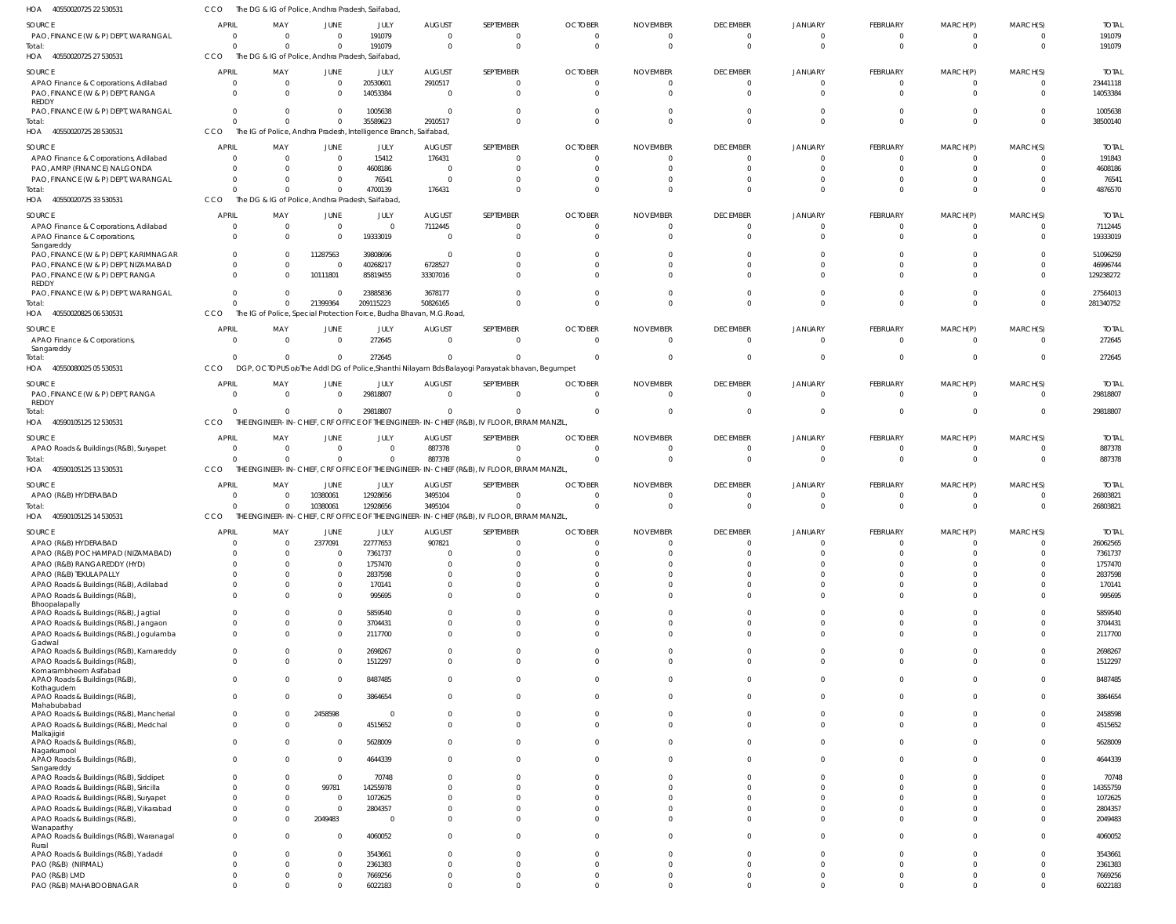| HOA<br>40550020725 22 530531                      | CCO                              |                                                 |                         | The DG & IG of Police, Andhra Pradesh, Saifabad                  |                                                                     |                                                                                                |                          |                      |                            |                                  |                      |                      |                      |                    |
|---------------------------------------------------|----------------------------------|-------------------------------------------------|-------------------------|------------------------------------------------------------------|---------------------------------------------------------------------|------------------------------------------------------------------------------------------------|--------------------------|----------------------|----------------------------|----------------------------------|----------------------|----------------------|----------------------|--------------------|
| SOURCE                                            | <b>APRIL</b>                     | MAY                                             | JUNE                    | JULY                                                             | <b>AUGUST</b>                                                       | SEPTEMBER                                                                                      | <b>OCTOBER</b>           | <b>NOVEMBER</b>      | <b>DECEMBER</b>            | <b>JANUARY</b>                   | FEBRUARY             | MARCH(P)             | MARCH(S)             | <b>TOTAL</b>       |
| PAO, FINANCE (W & P) DEPT, WARANGAL               | $\overline{0}$                   | - 0                                             | $\Omega$                | 191079                                                           | $\Omega$                                                            | $\mathbf 0$                                                                                    | $\Omega$                 | $\Omega$             | $\overline{0}$             | $\overline{0}$                   | $\Omega$             | $\Omega$             | $\overline{0}$       | 191079             |
| Total:                                            | $\Omega$                         | $\Omega$                                        | $\Omega$                | 191079                                                           | $\Omega$                                                            | $\overline{0}$                                                                                 | $\Omega$                 | $\Omega$             | $\overline{0}$             | $\overline{0}$                   | $\Omega$             | $\Omega$             | $\overline{0}$       | 191079             |
| HOA 40550020725 27 530531                         | CCO                              | The DG & IG of Police, Andhra Pradesh, Saifabad |                         |                                                                  |                                                                     |                                                                                                |                          |                      |                            |                                  |                      |                      |                      |                    |
| SOURCE                                            | <b>APRIL</b>                     | MAY                                             | JUNE                    | JULY                                                             | <b>AUGUST</b>                                                       | SEPTEMBER                                                                                      | <b>OCTOBER</b>           | <b>NOVEMBER</b>      | <b>DECEMBER</b>            | <b>JANUARY</b>                   | FEBRUARY             | MARCH(P)             | MARCH(S)             | <b>TOTAL</b>       |
| APAO Finance & Corporations, Adilabad             | $\circ$                          | - 0                                             | $\overline{0}$          | 20530601                                                         | 2910517                                                             | $\overline{0}$                                                                                 | $\Omega$                 | $\Omega$             | $\overline{0}$             | $\overline{0}$                   | $\Omega$             | $\Omega$             | $\overline{0}$       | 23441118           |
| PAO, FINANCE (W & P) DEPT, RANGA                  | $\Omega$                         |                                                 | $\Omega$                | 14053384                                                         | $\Omega$                                                            | $\overline{0}$                                                                                 | $\Omega$                 |                      | $\Omega$                   | $\Omega$                         | $\Omega$             | $\Omega$             | $\Omega$             | 14053384           |
| REDDY                                             |                                  |                                                 |                         |                                                                  |                                                                     |                                                                                                |                          |                      |                            |                                  |                      |                      |                      |                    |
| PAO, FINANCE (W & P) DEPT, WARANGAL               | $\Omega$                         |                                                 | $\Omega$                | 1005638                                                          | $\Omega$                                                            | $\mathbf 0$                                                                                    |                          |                      | $\Omega$                   | $\Omega$                         | $\Omega$             | $\Omega$             | $\Omega$             | 1005638            |
| Total:                                            | $\Omega$                         |                                                 | $\mathbf{0}$            | 35589623                                                         | 2910517                                                             | $\mathbf{0}$                                                                                   | $\Omega$                 | $\Omega$             | $\overline{0}$             | $\Omega$                         | $\Omega$             | $\Omega$             | $\overline{0}$       | 38500140           |
| HOA 40550020725 28 530531                         | CCO                              |                                                 |                         | The IG of Police, Andhra Pradesh, Intelligence Branch, Saifabad, |                                                                     |                                                                                                |                          |                      |                            |                                  |                      |                      |                      |                    |
| SOURCE                                            | <b>APRIL</b>                     | MAY                                             | JUNE                    | JULY                                                             | <b>AUGUST</b>                                                       | SEPTEMBER                                                                                      | <b>OCTOBER</b>           | <b>NOVEMBER</b>      | <b>DECEMBER</b>            | <b>JANUARY</b>                   | FEBRUARY             | MARCH(P)             | MARCH(S)             | <b>TOTAL</b>       |
| APAO Finance & Corporations, Adilabad             | $\Omega$                         | $\Omega$                                        | $\overline{0}$          | 15412                                                            | 176431                                                              | $\Omega$                                                                                       | $\Omega$                 | $\Omega$             | $\Omega$                   | $\Omega$                         | - 0                  | - 0                  | $\Omega$             | 191843             |
| PAO, AMRP (FINANCE) NALGONDA                      | $\Omega$                         |                                                 | $\Omega$                | 4608186                                                          | $\Omega$                                                            | $\mathbf 0$                                                                                    | $\Omega$                 | $\Omega$             | $\Omega$                   | $\Omega$                         | $\Omega$             | $\Omega$             | $\overline{0}$       | 4608186            |
| PAO, FINANCE (W & P) DEPT, WARANGAL               | $\Omega$                         | $\Omega$                                        | $\Omega$                | 76541                                                            | $\Omega$                                                            | $\Omega$                                                                                       | $\Omega$                 |                      | $\Omega$                   | $\Omega$                         | $\Omega$             | $\Omega$             | $\Omega$             | 76541              |
| Total:                                            | $\Omega$                         |                                                 | $\Omega$                | 4700139                                                          | 176431                                                              | $\Omega$                                                                                       | $\Omega$                 |                      | $\Omega$                   | $\Omega$                         | $\Omega$             | $\Omega$             | $\Omega$             | 4876570            |
| HOA 40550020725 33 530531                         | CCO                              | The DG & IG of Police, Andhra Pradesh, Saifabad |                         |                                                                  |                                                                     |                                                                                                |                          |                      |                            |                                  |                      |                      |                      |                    |
|                                                   |                                  |                                                 |                         |                                                                  |                                                                     |                                                                                                |                          |                      |                            |                                  |                      |                      |                      |                    |
| SOURCE                                            | <b>APRIL</b>                     | MAY                                             | JUNE                    | JULY                                                             | <b>AUGUST</b>                                                       | SEPTEMBER                                                                                      | <b>OCTOBER</b>           | <b>NOVEMBER</b>      | <b>DECEMBER</b>            | <b>JANUARY</b>                   | FEBRUARY             | MARCH(P)             | MARCH(S)             | <b>TOTAL</b>       |
| APAO Finance & Corporations, Adilabad             | $\circ$                          | - 0                                             | $\overline{0}$          | $\mathbf{0}$                                                     | 7112445                                                             | $\overline{0}$                                                                                 |                          |                      | $\overline{0}$             | $\overline{0}$                   | $\Omega$             | - 0                  | $\Omega$             | 7112445            |
| APAO Finance & Corporations<br>Sangareddy         | $\Omega$                         |                                                 | $\Omega$                | 19333019                                                         | $\Omega$                                                            | $\overline{0}$                                                                                 | $\Omega$                 | $\Omega$             | $\overline{0}$             | $\Omega$                         | $\Omega$             | $\Omega$             | $\Omega$             | 19333019           |
| PAO, FINANCE (W & P) DEPT, KARIMNAGAR             | $\overline{0}$                   |                                                 | 11287563                | 39808696                                                         | 0                                                                   | $\mathbf 0$                                                                                    |                          |                      | $\Omega$                   | n                                | $\Omega$             | - 0                  | $\Omega$             | 51096259           |
| PAO, FINANCE (W & P) DEPT, NIZAMABAD              | $\Omega$                         |                                                 | $\overline{0}$          | 40268217                                                         | 6728527                                                             | $\Omega$                                                                                       |                          |                      | $\Omega$                   | $\Omega$                         | $\Omega$             | $\cap$               | $\Omega$             | 46996744           |
| PAO, FINANCE (W & P) DEPT, RANGA                  | $\Omega$                         |                                                 | 10111801                | 85819455                                                         | 33307016                                                            | $\Omega$                                                                                       |                          |                      | $\Omega$                   | $\Omega$                         | $\Omega$             | $\Omega$             | $\Omega$             | 129238272          |
| REDDY                                             |                                  |                                                 |                         |                                                                  |                                                                     |                                                                                                |                          |                      |                            |                                  |                      |                      |                      |                    |
| PAO, FINANCE (W & P) DEPT, WARANGAL               | $\Omega$                         |                                                 | 0                       | 23885836                                                         | 3678177                                                             | $\Omega$                                                                                       |                          |                      | $\Omega$                   | $\Omega$                         | $\Omega$             | $\Omega$             | $\Omega$             | 27564013           |
| Total:                                            | $\Omega$                         |                                                 | 21399364                | 209115223                                                        | 50826165                                                            | $\Omega$                                                                                       | $\Omega$                 | $\Omega$             | $\Omega$                   | $\Omega$                         | $\Omega$             | $\Omega$             | $\Omega$             | 281340752          |
| HOA 40550020825 06 530531                         | CCO                              |                                                 |                         |                                                                  | The IG of Police, Special Protection Force, Budha Bhavan, M.G.Road, |                                                                                                |                          |                      |                            |                                  |                      |                      |                      |                    |
| SOURCE                                            | <b>APRIL</b>                     | MAY                                             | JUNE                    | JULY                                                             | <b>AUGUST</b>                                                       | SEPTEMBER                                                                                      | <b>OCTOBER</b>           | <b>NOVEMBER</b>      | <b>DECEMBER</b>            | <b>JANUARY</b>                   | FEBRUARY             | MARCH(P)             | MARCH(S)             | <b>TOTAL</b>       |
| APAO Finance & Corporations,                      | $\overline{0}$                   | $\Omega$                                        | $\overline{0}$          | 272645                                                           | $\Omega$                                                            | $\overline{0}$                                                                                 | $\Omega$                 | $\Omega$             | $\overline{0}$             | $\overline{0}$                   | $\Omega$             | $\Omega$             | $\Omega$             | 272645             |
| Sangareddy                                        |                                  |                                                 |                         |                                                                  |                                                                     |                                                                                                |                          |                      |                            |                                  |                      |                      |                      |                    |
| Total:                                            | $\Omega$                         | $\Omega$                                        | $\mathbf{0}$            | 272645                                                           | $\Omega$                                                            | $\Omega$                                                                                       | $\Omega$                 | $\Omega$             | $\overline{0}$             | $\overline{0}$                   | - 0                  | $\Omega$             | $\overline{0}$       | 272645             |
| HOA 40550080025 05 530531                         | CCO                              |                                                 |                         |                                                                  |                                                                     | DGP, OCTOPUS oloThe Addl DG of Police, Shanthi Nilayam Bds Balayogi Parayatak bhavan, Begumpet |                          |                      |                            |                                  |                      |                      |                      |                    |
| SOURCE                                            | <b>APRIL</b>                     | MAY                                             | JUNE                    | JULY                                                             | <b>AUGUST</b>                                                       | SEPTEMBER                                                                                      | <b>OCTOBER</b>           | <b>NOVEMBER</b>      | <b>DECEMBER</b>            | <b>JANUARY</b>                   | FEBRUARY             | MARCH(P)             | MARCH(S)             | <b>TOTAL</b>       |
| PAO, FINANCE (W & P) DEPT, RANGA                  | $\overline{0}$                   | $\Omega$                                        | $\overline{0}$          | 29818807                                                         | $\overline{0}$                                                      | $\overline{0}$                                                                                 | $\Omega$                 | $\Omega$             | $\overline{0}$             | $\overline{0}$                   | $\Omega$             | $\Omega$             | $\overline{0}$       | 29818807           |
| <b>REDDY</b>                                      |                                  |                                                 |                         |                                                                  |                                                                     |                                                                                                |                          |                      |                            |                                  |                      |                      |                      |                    |
| Total:                                            | $\Omega$                         | - 0                                             | $\overline{0}$          | 29818807                                                         | $\Omega$                                                            | $\overline{0}$                                                                                 | $\Omega$                 | $\Omega$             | $\overline{0}$             | $\overline{0}$                   | $\Omega$             | $\Omega$             | $\overline{0}$       | 29818807           |
| HOA 40590105125 12 530531                         | CCO                              |                                                 |                         |                                                                  |                                                                     | THE ENGINEER-IN-CHIEF, CRF OFFICE OF THE ENGINEER-IN-CHIEF (R&B), IV FLOOR, ERRAM MANZIL,      |                          |                      |                            |                                  |                      |                      |                      |                    |
| SOURCE                                            | <b>APRIL</b>                     | MAY                                             | JUNE                    | JULY                                                             | <b>AUGUST</b>                                                       | SEPTEMBER                                                                                      | <b>OCTOBER</b>           | <b>NOVEMBER</b>      | <b>DECEMBER</b>            | <b>JANUARY</b>                   | FEBRUARY             | MARCH(P)             | MARCH(S)             | <b>TOTAL</b>       |
| APAO Roads & Buildings (R&B), Suryapet            | $\overline{0}$                   | $\Omega$                                        | $\overline{\mathbf{0}}$ | $\mathbf{0}$                                                     | 887378                                                              | $\overline{0}$                                                                                 | $\Omega$                 | $\Omega$             | $\overline{0}$             | $\overline{0}$                   | - 0                  | - 0                  | $\overline{0}$       | 887378             |
| Total:                                            | $\Omega$                         | $\Omega$                                        | $\Omega$                | $\mathbf{0}$                                                     | 887378                                                              | $\mathbf{0}$                                                                                   | $\Omega$                 | $\Omega$             | $\Omega$                   | $\Omega$                         | $\Omega$             | $\Omega$             | $\Omega$             | 887378             |
| HOA 40590105125 13 530531                         | CCO                              |                                                 |                         |                                                                  |                                                                     | THE ENGINEER-IN-CHIEF, CRF OFFICE OF THE ENGINEER-IN-CHIEF (R&B), IV FLOOR, ERRAM MANZIL       |                          |                      |                            |                                  |                      |                      |                      |                    |
|                                                   |                                  |                                                 |                         |                                                                  |                                                                     |                                                                                                |                          |                      |                            |                                  |                      |                      |                      |                    |
|                                                   |                                  |                                                 |                         |                                                                  |                                                                     |                                                                                                |                          |                      |                            |                                  |                      |                      |                      |                    |
| SOURCE                                            | <b>APRIL</b>                     | MAY                                             | JUNE                    | JULY                                                             | <b>AUGUST</b>                                                       | SEPTEMBER                                                                                      | <b>OCTOBER</b>           | <b>NOVEMBER</b>      | <b>DECEMBER</b>            | <b>JANUARY</b>                   | FEBRUARY             | MARCH(P)             | MARCH(S)             | <b>TOTAL</b>       |
| APAO (R&B) HYDERABAD                              | - 0                              |                                                 | 10380061                | 12928656                                                         | 3495104                                                             | $\overline{0}$                                                                                 | $\Omega$                 | $\Omega$             | $\overline{0}$             | $\overline{0}$                   | $\Omega$             | $\Omega$             | $\overline{0}$       | 26803821           |
| Total:                                            | $\Omega$                         |                                                 | 10380061                | 12928656                                                         | 3495104                                                             | $\mathbf 0$                                                                                    | $\Omega$                 | $\Omega$             | $\Omega$                   | $\Omega$                         | $\Omega$             | $\Omega$             | $\Omega$             | 26803821           |
| HOA 40590105125 14 530531                         | CCO                              |                                                 |                         |                                                                  |                                                                     | THE ENGINEER-IN-CHIEF, CRF OFFICE OF THE ENGINEER-IN-CHIEF (R&B), IV FLOOR, ERRAM MANZIL,      |                          |                      |                            |                                  |                      |                      |                      |                    |
| SOURCE                                            | <b>APRIL</b>                     | MAY                                             | <b>JUNE</b>             | JULY                                                             | <b>AUGUST</b>                                                       | SEPTEMBER                                                                                      | <b>OCTOBER</b>           | <b>NOVEMBER</b>      | <b>DECEMBER</b>            | <b>JANUARY</b>                   | FEBRUARY             | MARCH(P)             | MARCH(S)             | <b>TOTAL</b>       |
| APAO (R&B) HYDERABAD                              | $\overline{0}$                   | -C                                              | 2377091                 | 22777653                                                         | 907821                                                              | $\overline{0}$                                                                                 | $\Omega$                 | $\Omega$             | $\Omega$                   | $\Omega$                         | $\Omega$             | $\Omega$             | $\Omega$             | 26062565           |
| APAO (R&B) POCHAMPAD (NIZAMABAD)                  | $\overline{0}$                   | - 0                                             | $\mathbf{0}$            | 7361737                                                          | $\Omega$                                                            | $\mathbf 0$                                                                                    | $\Omega$                 | $\Omega$             | $\Omega$                   | $\Omega$                         | $\Omega$             | $\Omega$             | $\Omega$             | 7361737            |
| APAO (R&B) RANGAREDDY (HYD)                       | $\Omega$                         |                                                 | $\Omega$                | 1757470                                                          | $\Omega$                                                            | $\Omega$                                                                                       | $\Omega$                 |                      | $\Omega$                   | $\Omega$                         | $\Omega$             | $\cap$               | $\Omega$             | 1757470            |
| APAO (R&B) TEKULAPALLY                            | $\Omega$                         |                                                 | $\Omega$                | 2837598                                                          | $\Omega$                                                            | $\Omega$                                                                                       | $\Omega$                 |                      | $\Omega$                   | $\Omega$                         | $\Omega$             | $\Omega$             | $\Omega$             | 2837598            |
| APAO Roads & Buildings (R&B), Adilabad            | $\Omega$                         |                                                 | $\Omega$                | 170141                                                           | $\Omega$                                                            | $\Omega$                                                                                       | $\Omega$                 | $\Omega$             | $\Omega$                   | $\Omega$                         | $\Omega$             | $\Omega$             | $\Omega$             | 170141             |
| APAO Roads & Buildings (R&B),                     | $\Omega$                         |                                                 | $\Omega$                | 995695                                                           | $\Omega$                                                            | $\Omega$                                                                                       | $\Omega$                 | $\Omega$             | $\Omega$                   | $\Omega$                         | $\Omega$             | $\Omega$             | $\Omega$             | 995695             |
| Bhoopalapally                                     |                                  |                                                 |                         |                                                                  |                                                                     |                                                                                                |                          |                      |                            |                                  |                      |                      |                      |                    |
| APAO Roads & Buildings (R&B), Jagtial             | $\Omega$                         |                                                 | $\overline{0}$          | 5859540                                                          | $\Omega$                                                            | $\Omega$                                                                                       | $\Omega$                 | $\Omega$             | $\Omega$                   | $\Omega$                         | $\Omega$             | $\Omega$             | $\Omega$             | 5859540            |
| APAO Roads & Buildings (R&B), Jangaon             | $\overline{0}$                   |                                                 | $\mathbf{0}$            | 3704431                                                          | $\Omega$                                                            | $\mathbf 0$                                                                                    | $\Omega$                 | $\Omega$<br>$\Omega$ | $\Omega$                   | $\Omega$                         | $\Omega$             | $\Omega$             | $\Omega$             | 3704431            |
| APAO Roads & Buildings (R&B), Jogulamba<br>Gadwal | $\Omega$                         |                                                 | $\Omega$                | 2117700                                                          | $\Omega$                                                            | $\Omega$                                                                                       | $\Omega$                 |                      | $\Omega$                   | $\Omega$                         | $\Omega$             | $\Omega$             | $\Omega$             | 2117700            |
| APAO Roads & Buildings (R&B), Kamareddy           | $\overline{0}$                   |                                                 | $\overline{0}$          | 2698267                                                          | $\Omega$                                                            | $\mathbf 0$                                                                                    | $\Omega$                 | $\Omega$             | $\Omega$                   | $\Omega$                         | $\Omega$             | $\Omega$             | $\Omega$             | 2698267            |
| APAO Roads & Buildings (R&B)                      | $\Omega$                         |                                                 | $\mathbf 0$             | 1512297                                                          | $\Omega$                                                            | $\Omega$                                                                                       | $\Omega$                 | $\Omega$             | $\Omega$                   | $\Omega$                         | $\Omega$             | $\Omega$             | $\Omega$             | 1512297            |
| Komarambheem Asifabad                             |                                  |                                                 |                         |                                                                  |                                                                     |                                                                                                |                          |                      |                            |                                  |                      |                      |                      |                    |
| APAO Roads & Buildings (R&B)                      | $\Omega$                         |                                                 | $\overline{0}$          | 8487485                                                          | $\Omega$                                                            | $\Omega$                                                                                       | $\Omega$                 | <sup>0</sup>         | $\Omega$                   | $\Omega$                         | $\Omega$             | $\Omega$             | $\Omega$             | 8487485            |
| Kothagudem                                        | $\Omega$                         |                                                 | $\Omega$                |                                                                  | $\Omega$                                                            | $\Omega$                                                                                       | $\Omega$                 | $\Omega$             | $\Omega$                   | $\Omega$                         | $\Omega$             | $\Omega$             | $\Omega$             |                    |
| APAO Roads & Buildings (R&B),<br>Mahabubabad      |                                  |                                                 |                         | 3864654                                                          |                                                                     |                                                                                                |                          |                      |                            |                                  |                      |                      |                      | 3864654            |
| APAO Roads & Buildings (R&B), Mancherial          | $\overline{0}$                   |                                                 | 2458598                 | $\Omega$                                                         |                                                                     | $\Omega$                                                                                       | <sup>0</sup>             | <sup>0</sup>         | $\Omega$                   | $\Omega$                         | $\Omega$             | $\Omega$             | $\Omega$             | 2458598            |
| APAO Roads & Buildings (R&B), Medchal             | $\Omega$                         |                                                 | $\Omega$                | 4515652                                                          | $\Omega$                                                            | $\Omega$                                                                                       | $\Omega$                 | $\Omega$             | $\Omega$                   | $\Omega$                         | $\Omega$             | $\Omega$             | $\Omega$             | 4515652            |
| Malkajigiri                                       |                                  |                                                 |                         |                                                                  |                                                                     |                                                                                                |                          |                      |                            |                                  |                      |                      |                      |                    |
| APAO Roads & Buildings (R&B),<br>Nagarkurnool     | $\overline{0}$                   |                                                 | $\Omega$                | 5628009                                                          | $\Omega$                                                            | $\Omega$                                                                                       | $\Omega$                 | $\Omega$             | $\Omega$                   | $\Omega$                         | $\Omega$             | $\Omega$             | $\Omega$             | 5628009            |
| APAO Roads & Buildings (R&B),                     | $\overline{0}$                   |                                                 | $\Omega$                | 4644339                                                          | $\Omega$                                                            | $\Omega$                                                                                       | $\Omega$                 | $\Omega$             | $\Omega$                   | $\Omega$                         | $\Omega$             | $\Omega$             | $\Omega$             | 4644339            |
| Sangareddy                                        |                                  |                                                 |                         |                                                                  |                                                                     |                                                                                                |                          |                      |                            |                                  |                      |                      |                      |                    |
| APAO Roads & Buildings (R&B), Siddipet            | $\Omega$                         |                                                 | $\Omega$                | 70748                                                            |                                                                     | $\Omega$                                                                                       |                          |                      | $\Omega$                   | $\Omega$                         | $\Omega$             | $\Omega$             | $\Omega$             | 70748              |
| APAO Roads & Buildings (R&B), Siricilla           | $\Omega$                         |                                                 | 99781                   | 14255978                                                         |                                                                     | $\Omega$                                                                                       | $\Omega$                 |                      | $\Omega$                   | $\Omega$                         | $\Omega$             | $\Omega$             | $\Omega$             | 14355759           |
| APAO Roads & Buildings (R&B), Suryapet            | $\Omega$                         |                                                 | $\Omega$                | 1072625                                                          |                                                                     | $\Omega$                                                                                       |                          |                      | $\Omega$                   | $\Omega$                         | $\Omega$             | $\Omega$             | $\Omega$             | 1072625            |
| APAO Roads & Buildings (R&B), Vikarabad           | $\Omega$                         |                                                 | $\Omega$                | 2804357                                                          |                                                                     | $\Omega$                                                                                       | U                        |                      | $\Omega$                   | $\Omega$                         | $\Omega$             | $\Omega$             | $\Omega$             | 2804357            |
| APAO Roads & Buildings (R&B),                     | $\Omega$                         |                                                 | 2049483                 | $\Omega$                                                         | $\Omega$                                                            | $\Omega$                                                                                       | $\Omega$                 | $\Omega$             | $\Omega$                   | $\Omega$                         | $\Omega$             | $\Omega$             | $\Omega$             | 2049483            |
| Wanaparthy                                        | $\overline{0}$                   |                                                 | $\Omega$                | 4060052                                                          | $\Omega$                                                            | $\Omega$                                                                                       | $\Omega$                 | $\Omega$             | $\Omega$                   | $\Omega$                         | $\Omega$             | $\Omega$             | $\Omega$             | 4060052            |
| APAO Roads & Buildings (R&B), Waranagal<br>Rural  |                                  |                                                 |                         |                                                                  |                                                                     |                                                                                                |                          |                      |                            |                                  |                      |                      |                      |                    |
| APAO Roads & Buildings (R&B), Yadadri             | $\overline{0}$                   |                                                 | $\mathbf{0}$            | 3543661                                                          |                                                                     | $\Omega$                                                                                       |                          |                      | $\Omega$                   | $\Omega$                         | $\Omega$             | $\Omega$             | $\Omega$             | 3543661            |
| PAO (R&B) (NIRMAL)                                | $\Omega$                         |                                                 | $\Omega$                | 2361383                                                          | <sup>0</sup>                                                        | $\Omega$                                                                                       | $\Omega$                 | $\Omega$             | $\Omega$                   | $\Omega$                         | $\Omega$             | $\Omega$             | $\Omega$             | 2361383            |
| PAO (R&B) LMD<br>PAO (R&B) MAHABOOBNAGAR          | $\overline{0}$<br>$\overline{0}$ |                                                 | $\Omega$<br>$\Omega$    | 7669256<br>6022183                                               | <sup>0</sup><br>$\Omega$                                            | $\mathbf 0$<br>$\Omega$                                                                        | <sup>0</sup><br>$\Omega$ | $\Omega$<br>$\Omega$ | $\overline{0}$<br>$\Omega$ | $\overline{0}$<br>$\overline{0}$ | $\Omega$<br>$\Omega$ | $\Omega$<br>$\Omega$ | $\Omega$<br>$\Omega$ | 7669256<br>6022183 |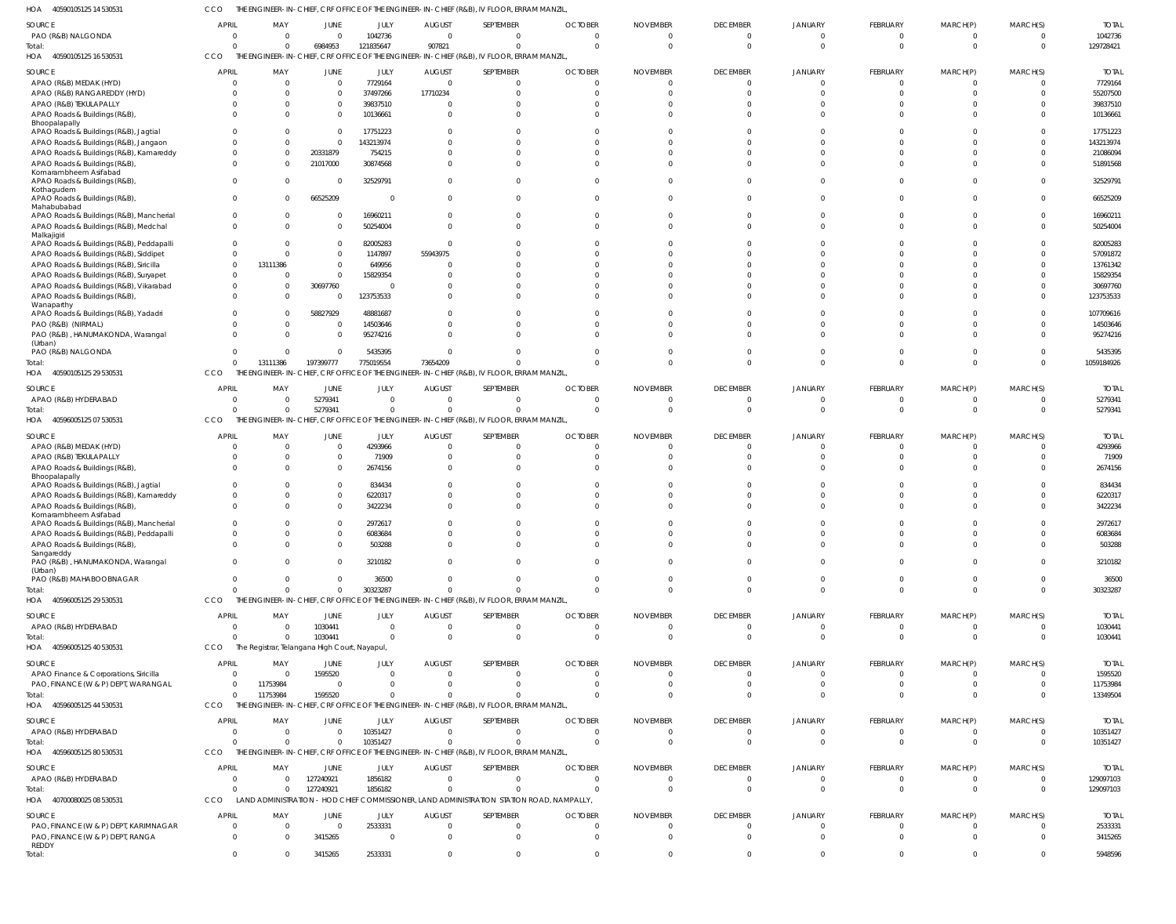40590105125 14 530531 HOA CCO THE ENGINEER-IN-CHIEF, CRF OFFICE OF THE ENGINEER-IN-CHIEF (R&B), IV FLOOR, ERRAM MANZIL,

| <b>SOURCE</b>                               |                |          |                                               |                |               |                                                                                           |                |                 |                 |                |                 |                |          |              |
|---------------------------------------------|----------------|----------|-----------------------------------------------|----------------|---------------|-------------------------------------------------------------------------------------------|----------------|-----------------|-----------------|----------------|-----------------|----------------|----------|--------------|
|                                             | <b>APRIL</b>   | MAY      | <b>JUNE</b>                                   | JULY           | <b>AUGUST</b> | SEPTEMBER                                                                                 | <b>OCTOBER</b> | <b>NOVEMBER</b> | <b>DECEMBER</b> | <b>JANUARY</b> | <b>FEBRUARY</b> | MARCH(P)       | MARCH(S) | <b>TOTAL</b> |
| PAO (R&B) NALGONDA                          | $\Omega$       |          | $\Omega$                                      | 1042736        | $\Omega$      | $\Omega$                                                                                  |                |                 | $\Omega$        |                | $\Omega$        |                |          | 1042736      |
| Total:                                      | $\Omega$       | $\Omega$ | 6984953                                       | 121835647      | 907821        | $\Omega$                                                                                  | $\Omega$       | $\Omega$        | $\Omega$        | $\Omega$       | $\Omega$        | $\Omega$       | $\Omega$ | 129728421    |
| HOA 40590105125 16 530531                   | <b>CCO</b>     |          |                                               |                |               | THE ENGINEER-IN-CHIEF, CRF OFFICE OF THE ENGINEER-IN-CHIEF (R&B), IV FLOOR, ERRAM MANZIL, |                |                 |                 |                |                 |                |          |              |
|                                             |                |          |                                               |                |               |                                                                                           |                |                 |                 |                |                 |                |          |              |
| SOURCE                                      | <b>APRIL</b>   | MAY      | JUNE                                          | JULY           | <b>AUGUST</b> | SEPTEMBER                                                                                 | <b>OCTOBER</b> | <b>NOVEMBER</b> | <b>DECEMBER</b> | <b>JANUARY</b> | FEBRUARY        | MARCH(P)       | MARCH(S) | <b>TOTAL</b> |
| APAO (R&B) MEDAK (HYD)                      | $\Omega$       | $\Omega$ | $\overline{0}$                                | 7729164        | $\Omega$      | $\Omega$                                                                                  | $\Omega$       | $\Omega$        | $\mathbf{0}$    | $\Omega$       | $\Omega$        |                |          | 7729164      |
| APAO (R&B) RANGAREDDY (HYD)                 | $\Omega$       | $\Omega$ | $\Omega$                                      | 37497266       | 17710234      | $\Omega$                                                                                  | $\Omega$       | $\Omega$        | $\Omega$        |                | $\Omega$        | $\Omega$       |          | 55207500     |
| APAO (R&B) TEKULAPALLY                      | $\Omega$       | $\Omega$ | $\overline{0}$                                | 39837510       | $\Omega$      | $\Omega$                                                                                  |                |                 | $\Omega$        |                | $\Omega$        |                |          | 39837510     |
| APAO Roads & Buildings (R&B),               | $\Omega$       | $\Omega$ | $\Omega$                                      | 10136661       | $\Omega$      | $\Omega$                                                                                  | $\Omega$       | $\Omega$        | $\Omega$        |                | $\Omega$        |                |          | 10136661     |
| Bhoopalapally                               |                |          |                                               |                |               |                                                                                           |                |                 |                 |                |                 |                |          |              |
| APAO Roads & Buildings (R&B), Jagtial       | $\Omega$       |          | $\Omega$                                      | 17751223       | $\Omega$      | $\Omega$                                                                                  |                |                 |                 |                |                 |                |          | 17751223     |
| APAO Roads & Buildings (R&B), Jangaon       | $\Omega$       | $\Omega$ | $\Omega$                                      | 143213974      | $\Omega$      | $\Omega$                                                                                  |                |                 | $\Omega$        |                | $\Omega$        |                |          | 143213974    |
| APAO Roads & Buildings (R&B), Kamareddy     | $\Omega$       | $\Omega$ | 20331879                                      | 754215         | $\Omega$      | $\Omega$                                                                                  |                |                 | $\Omega$        |                | $\Omega$        |                |          | 21086094     |
| APAO Roads & Buildings (R&B),               | $\Omega$       | $\Omega$ | 21017000                                      | 30874568       | $\Omega$      | $\Omega$                                                                                  |                |                 | $\Omega$        |                | $\Omega$        |                |          | 51891568     |
| Komarambheem Asifabad                       |                |          |                                               |                |               |                                                                                           |                |                 |                 |                |                 |                |          |              |
| APAO Roads & Buildings (R&B),               | $\Omega$       |          | $\Omega$                                      | 32529791       | $\Omega$      | $\Omega$                                                                                  |                |                 | $\Omega$        |                |                 |                |          | 32529791     |
| Kothagudem                                  |                |          |                                               |                |               |                                                                                           |                |                 |                 |                |                 |                |          |              |
| APAO Roads & Buildings (R&B),               | $\Omega$       | $\Omega$ | 66525209                                      | $\Omega$       | $\Omega$      | $\Omega$                                                                                  | $\Omega$       |                 | $\Omega$        | $\Omega$       | $\Omega$        |                | $\Omega$ | 66525209     |
| Mahabubabad                                 |                |          |                                               |                |               |                                                                                           |                |                 |                 |                |                 |                |          |              |
| APAO Roads & Buildings (R&B), Mancherial    | $\mathbf 0$    |          | $\Omega$                                      | 16960211       | $\Omega$      | $\Omega$                                                                                  |                |                 | $\Omega$        |                | $\Omega$        |                |          | 16960211     |
| APAO Roads & Buildings (R&B), Medchal       | $\Omega$       | $\Omega$ | $\Omega$                                      | 50254004       | $\Omega$      | $\Omega$                                                                                  |                | $\Omega$        | $\Omega$        |                | $\Omega$        | $\Omega$       |          | 50254004     |
| Malkajigiri                                 |                |          |                                               |                |               |                                                                                           |                |                 |                 |                |                 |                |          |              |
| APAO Roads & Buildings (R&B), Peddapalli    | $\Omega$       | $\Omega$ | $\Omega$                                      | 82005283       | $\Omega$      | $\Omega$                                                                                  |                |                 | <sup>0</sup>    |                |                 |                |          | 82005283     |
| APAO Roads & Buildings (R&B), Siddipet      | $\Omega$       | $\Omega$ | $\Omega$                                      | 1147897        | 55943975      | $\Omega$                                                                                  |                |                 | <sup>0</sup>    |                | $\Omega$        |                |          | 57091872     |
| APAO Roads & Buildings (R&B), Siricilla     | $\Omega$       | 13111386 | $\Omega$                                      | 649956         |               | $\Omega$                                                                                  |                |                 |                 |                |                 |                |          | 13761342     |
| APAO Roads & Buildings (R&B), Suryapet      | $\Omega$       | $\Omega$ | $\Omega$                                      | 15829354       | $\Omega$      | $\Omega$                                                                                  |                |                 |                 |                |                 |                |          | 15829354     |
| APAO Roads & Buildings (R&B), Vikarabad     | $\mathbf 0$    | $\Omega$ | 30697760                                      | $\mathbf 0$    | $\Omega$      | $\Omega$                                                                                  |                |                 |                 |                |                 |                |          | 30697760     |
| APAO Roads & Buildings (R&B),               | $\Omega$       | $\Omega$ | $\Omega$                                      | 123753533      | $\Omega$      | $\Omega$                                                                                  |                |                 | $\Omega$        |                | $\Omega$        |                |          | 123753533    |
| Wanaparthy                                  |                |          |                                               |                |               |                                                                                           |                |                 |                 |                |                 |                |          |              |
| APAO Roads & Buildings (R&B), Yadadri       | $\Omega$       | $\Omega$ | 58827929                                      | 48881687       | $\Omega$      | $\Omega$                                                                                  |                |                 | $\Omega$        |                | $\Omega$        |                |          | 107709616    |
| PAO (R&B) (NIRMAL)                          | $\Omega$       | $\Omega$ | $\Omega$                                      | 14503646       | $\Omega$      | $\Omega$                                                                                  |                |                 | $\Omega$        |                | $\Omega$        |                |          | 14503646     |
| PAO (R&B), HANUMAKONDA, Warangal            | $\Omega$       | $\Omega$ | $\Omega$                                      | 95274216       | $\Omega$      | $\Omega$                                                                                  |                |                 | $\Omega$        |                | $\Omega$        |                |          | 95274216     |
| (Urban)                                     |                |          |                                               |                |               |                                                                                           |                |                 |                 |                |                 |                |          |              |
| PAO (R&B) NALGONDA                          | $\Omega$       | $\Omega$ | $\Omega$                                      | 5435395        | $\Omega$      | $\Omega$                                                                                  |                |                 | $\Omega$        |                | $\Omega$        |                |          | 5435395      |
| Total:                                      | $\Omega$       | 13111386 | 197399777                                     | 775019554      | 73654209      | $\Omega$                                                                                  |                | $\Omega$        | $\Omega$        | $\Omega$       | $\Omega$        | $\Omega$       |          | 1059184926   |
| HOA<br>40590105125 29 530531                | <b>CCO</b>     |          |                                               |                |               | THE ENGINEER-IN-CHIEF, CRF OFFICE OF THE ENGINEER-IN-CHIEF (R&B), IV FLOOR, ERRAM MANZIL, |                |                 |                 |                |                 |                |          |              |
|                                             |                |          |                                               |                |               |                                                                                           |                |                 |                 |                |                 |                |          |              |
| SOURCE                                      | <b>APRIL</b>   | MAY      | JUNE                                          | JULY           | <b>AUGUST</b> | SEPTEMBER                                                                                 | <b>OCTOBER</b> | <b>NOVEMBER</b> | <b>DECEMBER</b> | <b>JANUARY</b> | <b>FEBRUARY</b> | MARCH(P)       | MARCH(S) | <b>TOTAL</b> |
| APAO (R&B) HYDERABAD                        | $\Omega$       | $\Omega$ | 5279341                                       | $\Omega$       | $\Omega$      | $\Omega$                                                                                  |                |                 | $\Omega$        |                | $\Omega$        | <sup>0</sup>   |          | 5279341      |
| Total:                                      | $\Omega$       | $\Omega$ | 5279341                                       | $\mathbf 0$    | $\Omega$      | $\Omega$                                                                                  | $\Omega$       | $\Omega$        | $\Omega$        | $\Omega$       | $\Omega$        | $\Omega$       | $\Omega$ | 5279341      |
| 40596005125 07 530531<br>HOA                | CCO            |          |                                               |                |               | THE ENGINEER-IN-CHIEF, CRF OFFICE OF THE ENGINEER-IN-CHIEF (R&B), IV FLOOR, ERRAM MANZIL, |                |                 |                 |                |                 |                |          |              |
|                                             |                |          |                                               |                |               |                                                                                           |                |                 |                 |                |                 |                |          |              |
| SOURCE                                      | <b>APRIL</b>   | MAY      | JUNE                                          | JULY           | <b>AUGUST</b> | SEPTEMBER                                                                                 | <b>OCTOBER</b> | <b>NOVEMBER</b> | <b>DECEMBER</b> | <b>JANUARY</b> | FEBRUARY        | MARCH(P)       | MARCH(S) | <b>TOTAL</b> |
| APAO (R&B) MEDAK (HYD)                      | $\Omega$       | $\Omega$ | $\Omega$                                      | 4293966        | $\Omega$      | $\Omega$                                                                                  | $\Omega$       | $\Omega$        | $\Omega$        | $\Omega$       | $\Omega$        | $\Omega$       | $\Omega$ | 4293966      |
| APAO (R&B) TEKULAPALLY                      | $\Omega$       | $\Omega$ | $\Omega$                                      | 71909          | $\Omega$      | $\Omega$                                                                                  | $\Omega$       | $\Omega$        | $\Omega$        |                | $\Omega$        | $\Omega$       |          | 71909        |
| APAO Roads & Buildings (R&B),               | $\Omega$       | $\Omega$ | $\Omega$                                      | 2674156        | $\Omega$      | $\Omega$                                                                                  |                |                 | $\Omega$        |                | $\Omega$        |                |          | 2674156      |
| Bhoopalapally                               |                |          |                                               |                |               |                                                                                           |                |                 |                 |                |                 |                |          |              |
| APAO Roads & Buildings (R&B), Jagtial       | $\Omega$       |          | $\Omega$                                      | 834434         | $\Omega$      | $\Omega$                                                                                  |                |                 |                 |                |                 |                |          | 834434       |
| APAO Roads & Buildings (R&B), Kamareddy     | $\Omega$       | $\Omega$ | $\Omega$                                      | 6220317        | $\Omega$      | $\Omega$                                                                                  |                |                 | <sup>0</sup>    |                | $\Omega$        |                |          | 6220317      |
| APAO Roads & Buildings (R&B)                | $\Omega$       |          | $\Omega$                                      | 3422234        | $\Omega$      | $\Omega$                                                                                  |                |                 | $\Omega$        |                | $\Omega$        |                |          | 3422234      |
| Komarambheem Asifabad                       |                |          |                                               |                |               |                                                                                           |                |                 |                 |                |                 |                |          |              |
| APAO Roads & Buildings (R&B), Mancherial    |                |          |                                               |                |               |                                                                                           |                |                 |                 |                |                 |                |          |              |
|                                             | $\Omega$       |          | $\Omega$                                      | 2972617        | $\Omega$      | $\Omega$                                                                                  |                |                 |                 |                |                 |                |          | 2972617      |
|                                             | $\Omega$       | $\Omega$ | $\Omega$                                      | 6083684        | $\Omega$      |                                                                                           |                |                 |                 |                |                 |                | $\Omega$ | 6083684      |
| APAO Roads & Buildings (R&B), Peddapalli    | $\mathbf 0$    |          | $\Omega$                                      |                |               | $\Omega$                                                                                  |                |                 | $\Omega$        |                | $\Omega$        | $\Omega$       |          |              |
| APAO Roads & Buildings (R&B),<br>Sangareddy |                |          |                                               | 503288         |               |                                                                                           |                |                 |                 |                |                 |                |          | 503288       |
| PAO (R&B), HANUMAKONDA, Warangal            | $\overline{0}$ |          |                                               | 3210182        |               | $\Omega$                                                                                  |                |                 | $\Omega$        | $\Omega$       | $\Omega$        | $\Omega$       |          | 3210182      |
| (Urban)                                     |                |          |                                               |                |               |                                                                                           |                |                 |                 |                |                 |                |          |              |
| PAO (R&B) MAHABOOBNAGAR                     | $\mathbf 0$    | $\Omega$ | $\Omega$                                      | 36500          | $\Omega$      | $\overline{0}$                                                                            |                | $\Omega$        | $\mathbf{0}$    | $\Omega$       | $\overline{0}$  | $\mathbf 0$    | $\Omega$ | 36500        |
| Total:                                      | $\Omega$       | $\Omega$ | $\Omega$                                      | 30323287       | $\Omega$      | $\Omega$                                                                                  | $\Omega$       | $\Omega$        | $\Omega$        | $\Omega$       | $\Omega$        | $\Omega$       | $\Omega$ | 30323287     |
| HOA 40596005125 29 530531                   | CCO            |          |                                               |                |               | THE ENGINEER-IN-CHIEF, CRF OFFICE OF THE ENGINEER-IN-CHIEF (R&B), IV FLOOR, ERRAM MANZIL, |                |                 |                 |                |                 |                |          |              |
|                                             |                |          |                                               |                |               |                                                                                           |                |                 |                 |                |                 |                |          |              |
| SOURCE                                      | <b>APRIL</b>   | MAY      | <b>JUNE</b>                                   | JULY           | <b>AUGUST</b> | SEPTEMBER                                                                                 | <b>OCTOBER</b> | <b>NOVEMBER</b> | <b>DECEMBER</b> | <b>JANUARY</b> | <b>FEBRUARY</b> | MARCH(P)       | MARCH(S) | <b>TOTAL</b> |
| APAO (R&B) HYDERABAD                        | $\overline{0}$ | $\Omega$ | 1030441                                       | $\overline{0}$ | $\Omega$      | $\overline{0}$                                                                            | $\Omega$       | $\Omega$        | $\overline{0}$  | $\Omega$       | $\overline{0}$  | $\Omega$       |          | 1030441      |
| Total:                                      | $\Omega$       | $\Omega$ | 1030441                                       | $\Omega$       | $\Omega$      | $\Omega$                                                                                  | $\Omega$       | $\Omega$        | $\mathbf{0}$    | $\Omega$       | $\overline{0}$  | $\Omega$       |          | 1030441      |
| HOA 40596005125 40 530531                   | CCO            |          | The Registrar, Telangana High Court, Nayapul, |                |               |                                                                                           |                |                 |                 |                |                 |                |          |              |
|                                             |                |          |                                               |                |               |                                                                                           |                |                 |                 |                |                 |                |          |              |
| SOURCE                                      | <b>APRIL</b>   | MAY      | <b>JUNE</b>                                   | <b>JULY</b>    | <b>AUGUST</b> | SEPTEMBER                                                                                 | <b>OCTOBER</b> | <b>NOVEMBER</b> | <b>DECEMBER</b> | <b>JANUARY</b> | FEBRUARY        | MARCH(P)       | MARCH(S) | <b>TOTAL</b> |
| APAO Finance & Corporations, Siricilla      | $\overline{0}$ | $\Omega$ | 1595520                                       | $\Omega$       | $\Omega$      | $\overline{0}$                                                                            | $\Omega$       | $\Omega$        | $\overline{0}$  | $\Omega$       | $\Omega$        | $\Omega$       |          | 1595520      |
| PAO, FINANCE (W & P) DEPT, WARANGAL         | $\overline{0}$ | 11753984 | $\Omega$                                      | $\Omega$       | $\Omega$      | $\overline{0}$                                                                            | $\Omega$       | $\Omega$        | $\mathbf{0}$    | $\Omega$       | $\overline{0}$  | $\overline{0}$ |          | 11753984     |
| Total:                                      | $\mathbf 0$    | 11753984 | 1595520                                       | $\Omega$       | $\Omega$      | $\Omega$                                                                                  | $\Omega$       | $\Omega$        | $\Omega$        | $\Omega$       | $\Omega$        | $\Omega$       |          | 13349504     |
| HOA<br>40596005125 44 530531                | CCO            |          |                                               |                |               | THE ENGINEER-IN-CHIEF, CRF OFFICE OF THE ENGINEER-IN-CHIEF (R&B), IV FLOOR, ERRAM MANZIL, |                |                 |                 |                |                 |                |          |              |
|                                             |                |          |                                               |                |               |                                                                                           |                |                 |                 |                |                 |                |          |              |
| SOURCE                                      | <b>APRIL</b>   | MAY      | JUNE                                          | JULY           | <b>AUGUST</b> | SEPTEMBER                                                                                 | <b>OCTOBER</b> | <b>NOVEMBER</b> | <b>DECEMBER</b> | <b>JANUARY</b> | FEBRUARY        | MARCH(P)       | MARCH(S) | <b>TOTAL</b> |
| APAO (R&B) HYDERABAD                        | $\overline{0}$ | $\Omega$ | $\overline{0}$                                | 10351427       | $\Omega$      | $\Omega$                                                                                  | $\Omega$       | $\Omega$        | $\overline{0}$  | $\mathbf 0$    | $\overline{0}$  | $\overline{0}$ |          | 10351427     |
| Total:                                      | $\Omega$       | $\Omega$ | $\overline{0}$                                | 10351427       | $\Omega$      | $\Omega$                                                                                  | $\Omega$       | $\Omega$        | $\mathbf{0}$    | $\Omega$       | $\Omega$        | $\Omega$       |          | 10351427     |
| HOA 40596005125 80 530531                   | CCO            |          |                                               |                |               | THE ENGINEER-IN-CHIEF, CRF OFFICE OF THE ENGINEER-IN-CHIEF (R&B), IV FLOOR, ERRAM MANZIL, |                |                 |                 |                |                 |                |          |              |
|                                             |                |          |                                               |                |               |                                                                                           |                |                 |                 |                |                 |                |          |              |
| SOURCE                                      | <b>APRIL</b>   | MAY      | JUNE                                          | JULY           | <b>AUGUST</b> | SEPTEMBER                                                                                 | <b>OCTOBER</b> | <b>NOVEMBER</b> | <b>DECEMBER</b> | <b>JANUARY</b> | FEBRUARY        | MARCH(P)       | MARCH(S) | <b>TOTAL</b> |
| APAO (R&B) HYDERABAD                        | $\mathbf{0}$   | $\Omega$ | 127240921                                     | 1856182        | $\Omega$      | $\overline{\mathbf{0}}$                                                                   | $\Omega$       | $\overline{0}$  | $\overline{0}$  | $\Omega$       | $\overline{0}$  | $\Omega$       | $\Omega$ | 129097103    |
| Total:                                      | $\overline{0}$ | $\Omega$ | 127240921                                     | 1856182        | $\Omega$      | $\Omega$                                                                                  | $\Omega$       | $\Omega$        | $\mathbf{0}$    | $\Omega$       | $\overline{0}$  | - 0            | $\Omega$ | 129097103    |
| HOA 40700080025 08 530531                   | CCO            |          |                                               |                |               | LAND ADMINISTRATION - HOD CHIEF COMMISSIONER, LAND ADMINISTRATION STATION ROAD, NAMPALLY, |                |                 |                 |                |                 |                |          |              |
|                                             |                |          |                                               |                |               |                                                                                           |                |                 |                 |                |                 |                |          |              |
| SOURCE                                      | <b>APRIL</b>   | MAY      | <b>JUNE</b>                                   | JULY           | <b>AUGUST</b> | SEPTEMBER                                                                                 | <b>OCTOBER</b> | <b>NOVEMBER</b> | <b>DECEMBER</b> | <b>JANUARY</b> | FEBRUARY        | MARCH(P)       | MARCH(S) | <b>TOTAL</b> |
| PAO, FINANCE (W & P) DEPT, KARIMNAGAR       | $\overline{0}$ | $\Omega$ | $\overline{0}$                                | 2533331        | $\Omega$      | $\overline{0}$                                                                            |                | $\Omega$        | $\overline{0}$  | $\Omega$       | $\overline{0}$  |                |          | 2533331      |
| PAO, FINANCE (W & P) DEPT, RANGA            | $\overline{0}$ | $\Omega$ | 3415265                                       | $\overline{0}$ | $\Omega$      | $\overline{0}$                                                                            | $\Omega$       | $\Omega$        | $\overline{0}$  | $\Omega$       | $\overline{0}$  | $\Omega$       |          | 3415265      |
| REDDY<br>Total:                             | $\overline{0}$ | $\Omega$ | 3415265                                       | 2533331        | $\Omega$      | $\overline{0}$                                                                            | $\Omega$       | $\mathbf 0$     | $\mathbf{0}$    | $\mathbf 0$    | $\overline{0}$  | $\mathbf 0$    | $\Omega$ | 5948596      |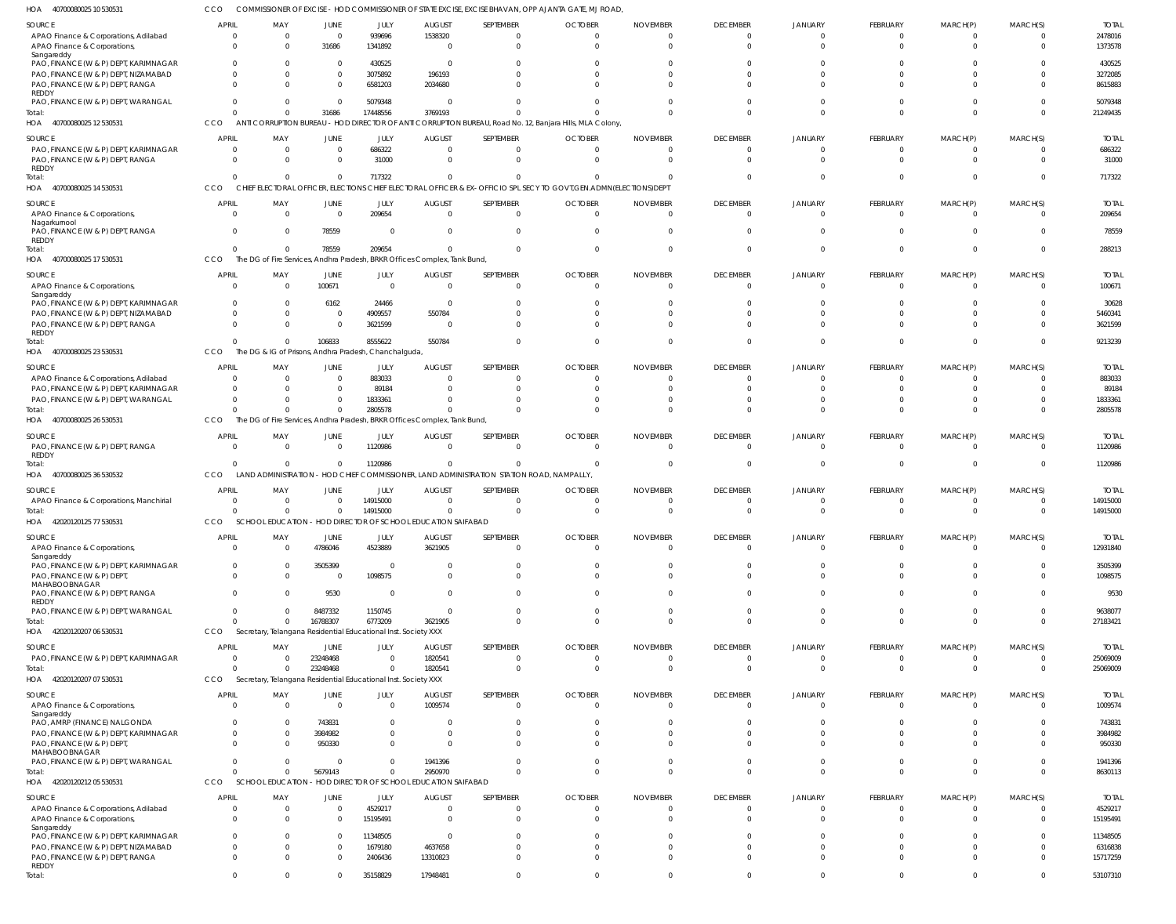| HOA<br>40700080025 10 530531                                             |                                |                                                                |                      |                    |                                                                           |                                                                                           | COMMISSIONER OF EXCISE - HOD COMMISSIONER OF STATE EXCISE, EXCISE BHAVAN, OPP AJANTA GATE, MJ ROAD,                |                                   |                                   |                            |                      |                      |                      |                          |
|--------------------------------------------------------------------------|--------------------------------|----------------------------------------------------------------|----------------------|--------------------|---------------------------------------------------------------------------|-------------------------------------------------------------------------------------------|--------------------------------------------------------------------------------------------------------------------|-----------------------------------|-----------------------------------|----------------------------|----------------------|----------------------|----------------------|--------------------------|
| SOURCE                                                                   | <b>APRIL</b>                   | MAY                                                            | JUNE                 | JULY               | <b>AUGUST</b>                                                             | SEPTEMBER                                                                                 | <b>OCTOBER</b>                                                                                                     | <b>NOVEMBER</b>                   | <b>DECEMBER</b>                   | JANUARY                    | FEBRUARY             | MARCH(P)             | MARCH(S)             | <b>TOTAL</b>             |
| APAO Finance & Corporations, Adilabad                                    | $\overline{0}$                 | $\overline{0}$                                                 | $\Omega$             | 939696             | 1538320                                                                   | $\Omega$                                                                                  | $\overline{0}$                                                                                                     | $\overline{0}$                    | $\mathbf 0$                       | $\Omega$                   | $\Omega$             | -0                   |                      | 2478016                  |
| APAO Finance & Corporations                                              | $\Omega$                       | $\Omega$                                                       | 31686                | 1341892            | $\overline{0}$                                                            | $\Omega$                                                                                  | $\Omega$                                                                                                           | $\Omega$                          | $\overline{0}$                    | $\Omega$                   | $\Omega$             | $\Omega$             | $\Omega$             | 1373578                  |
| Sangareddy                                                               |                                |                                                                |                      |                    |                                                                           |                                                                                           |                                                                                                                    |                                   |                                   |                            |                      |                      |                      |                          |
| PAO, FINANCE (W & P) DEPT, KARIMNAGAR                                    | $\Omega$<br>$\Omega$           | -0<br>$\Omega$                                                 | $\Omega$<br>$\Omega$ | 430525             | - 0<br>196193                                                             |                                                                                           | 0<br>$\Omega$                                                                                                      | $\Omega$                          | $\Omega$<br>$\Omega$              | $\Omega$                   |                      |                      |                      | 430525                   |
| PAO, FINANCE (W & P) DEPT, NIZAMABAD<br>PAO, FINANCE (W & P) DEPT, RANGA | $\Omega$                       | $\Omega$                                                       | $\Omega$             | 3075892<br>6581203 | 2034680                                                                   |                                                                                           | $\Omega$                                                                                                           | $\Omega$                          | $\Omega$                          | $\Omega$                   |                      |                      | $\Omega$             | 3272085<br>8615883       |
| REDDY                                                                    |                                |                                                                |                      |                    |                                                                           |                                                                                           |                                                                                                                    |                                   |                                   |                            |                      |                      |                      |                          |
| PAO, FINANCE (W & P) DEPT, WARANGAL                                      | $\Omega$                       | $\Omega$                                                       | $\Omega$             | 5079348            | $\Omega$                                                                  |                                                                                           | $\cap$                                                                                                             | $\cap$                            | $\Omega$                          | $\Omega$                   |                      |                      |                      | 5079348                  |
| Total:                                                                   | $\Omega$                       | $\Omega$                                                       | 31686                | 17448556           | 3769193                                                                   |                                                                                           |                                                                                                                    | $\Omega$                          | $\Omega$                          | $\Omega$                   |                      |                      | $\Omega$             | 21249435                 |
| 40700080025 12 530531<br>HOA                                             | CCO                            |                                                                |                      |                    |                                                                           |                                                                                           | ANTI CORRUPTION BUREAU - HOD DIRECTOR OF ANTI CORRUPTION BUREAU, Road No. 12, Banjara Hills, MLA Colony,           |                                   |                                   |                            |                      |                      |                      |                          |
| SOURCE                                                                   | <b>APRIL</b>                   | MAY                                                            | <b>JUNE</b>          | JULY               | <b>AUGUST</b>                                                             | SEPTEMBER                                                                                 | <b>OCTOBER</b>                                                                                                     | <b>NOVEMBER</b>                   | <b>DECEMBER</b>                   | JANUARY                    | <b>FEBRUARY</b>      | MARCH(P)             | MARCH(S)             | <b>TOTAL</b>             |
| PAO, FINANCE (W & P) DEPT, KARIMNAGAR                                    | $^{\circ}$                     | $\overline{0}$                                                 | $\Omega$             | 686322             | - 0                                                                       | $^{\circ}$                                                                                | $\overline{0}$                                                                                                     | $\overline{0}$                    | $^{\circ}$                        | 0                          | $\Omega$             |                      | 0                    | 686322                   |
| PAO, FINANCE (W & P) DEPT, RANGA                                         | $\overline{0}$                 | $\Omega$                                                       | $\Omega$             | 31000              | $\Omega$                                                                  | $\overline{0}$                                                                            | $\overline{0}$                                                                                                     | $\overline{0}$                    | $\overline{0}$                    | $\mathbf 0$                | $\Omega$             | $\Omega$             | $\Omega$             | 31000                    |
| REDDY                                                                    |                                |                                                                |                      |                    |                                                                           |                                                                                           |                                                                                                                    |                                   |                                   |                            |                      |                      |                      |                          |
| Total:                                                                   | $\Omega$                       | $\Omega$                                                       | $\Omega$             | 717322             | $\Omega$                                                                  | $\Omega$                                                                                  | $\Omega$                                                                                                           | $\overline{0}$                    | $\mathbf 0$                       | $\Omega$                   | $\cap$               | -0                   | $\Omega$             | 717322                   |
| 40700080025 14 530531<br>HOA                                             | CCO                            |                                                                |                      |                    |                                                                           |                                                                                           | CHIEF ELECTORAL OFFICER, ELECTIONS CHIEF ELECTORAL OFFICER & EX-OFFICIO SPL SECY TO GOVT, GEN.ADMN(ELECTIONS) DEPT |                                   |                                   |                            |                      |                      |                      |                          |
| SOURCE                                                                   | <b>APRIL</b>                   | MAY                                                            | JUNE                 | JULY               | <b>AUGUST</b>                                                             | SEPTEMBER                                                                                 | <b>OCTOBER</b>                                                                                                     | <b>NOVEMBER</b>                   | <b>DECEMBER</b>                   | <b>JANUARY</b>             | FEBRUARY             | MARCH(P)             | MARCH(S)             | <b>TOTAL</b>             |
| APAO Finance & Corporations,                                             | $\Omega$                       | $\overline{0}$                                                 | $\Omega$             | 209654             | $\overline{0}$                                                            | $\overline{0}$                                                                            | $\overline{0}$                                                                                                     | $\Omega$                          | $\overline{0}$                    | $\Omega$                   | $\Omega$             | $\Omega$             | $\Omega$             | 209654                   |
| Nagarkurnool<br>PAO, FINANCE (W & P) DEPT, RANGA                         | $\Omega$                       | - 0                                                            | 78559                | $\Omega$           | $\Omega$                                                                  | $\Omega$                                                                                  | $\Omega$                                                                                                           | $\Omega$                          | $\Omega$                          | $\Omega$                   |                      |                      |                      | 78559                    |
| REDDY                                                                    |                                |                                                                |                      |                    |                                                                           |                                                                                           |                                                                                                                    |                                   |                                   |                            |                      |                      |                      |                          |
| Total:                                                                   | $\Omega$                       | $\Omega$                                                       | 78559                | 209654             | $\Omega$                                                                  | $\Omega$                                                                                  | $\Omega$                                                                                                           | $\Omega$                          | $\mathbf 0$                       | $\Omega$                   | $\Omega$             | $\Omega$             | $\Omega$             | 288213                   |
| HOA<br>40700080025 17 530531                                             | CCO                            |                                                                |                      |                    | The DG of Fire Services, Andhra Pradesh, BRKR Offices Complex, Tank Bund, |                                                                                           |                                                                                                                    |                                   |                                   |                            |                      |                      |                      |                          |
| SOURCE                                                                   | <b>APRIL</b>                   | MAY                                                            | <b>JUNE</b>          | JULY               | <b>AUGUST</b>                                                             | SEPTEMBER                                                                                 | <b>OCTOBER</b>                                                                                                     | <b>NOVEMBER</b>                   | <b>DECEMBER</b>                   | <b>JANUARY</b>             | FEBRUARY             | MARCH(P)             | MARCH(S)             | <b>TOTAL</b>             |
| APAO Finance & Corporations                                              | $\overline{0}$                 | - 0                                                            | 100671               | $\overline{0}$     | $\overline{0}$                                                            | $\overline{0}$                                                                            | $\overline{0}$                                                                                                     | $\overline{0}$                    | $\overline{0}$                    | $\mathbf 0$                | $\Omega$             | $\Omega$             | $\Omega$             | 100671                   |
| Sangareddy                                                               |                                |                                                                |                      |                    |                                                                           |                                                                                           |                                                                                                                    |                                   |                                   |                            |                      |                      |                      |                          |
| PAO, FINANCE (W & P) DEPT, KARIMNAGAR                                    | $\overline{0}$                 | $\Omega$                                                       | 6162                 | 24466              | $\overline{0}$                                                            | $\Omega$                                                                                  | - 0                                                                                                                | $\overline{0}$                    | $^{\circ}$                        | $\Omega$                   |                      |                      |                      | 30628                    |
| PAO, FINANCE (W & P) DEPT, NIZAMABAD                                     | $\Omega$                       | -0                                                             | $\Omega$             | 4909557            | 550784                                                                    | $\Omega$                                                                                  | $\Omega$                                                                                                           | $\Omega$                          | $\mathbf 0$                       | $\Omega$                   |                      |                      | $\Omega$             | 5460341                  |
| PAO, FINANCE (W & P) DEPT, RANGA<br>REDDY                                | $\Omega$                       | $\Omega$                                                       | $\Omega$             | 3621599            | $\Omega$                                                                  | $\Omega$                                                                                  | $\Omega$                                                                                                           | $\Omega$                          | $\Omega$                          | $\Omega$                   |                      |                      | $\Omega$             | 3621599                  |
| Total:                                                                   | $\Omega$                       | $\Omega$                                                       | 106833               | 8555622            | 550784                                                                    | $\Omega$                                                                                  | $\Omega$                                                                                                           | $\Omega$                          | $\mathbf{0}$                      | $\Omega$                   | $\cap$               | $\Omega$             | $\Omega$             | 9213239                  |
| 40700080025 23 530531<br>HOA                                             | CCO                            | The DG & IG of Prisons, Andhra Pradesh, Chanchalguda           |                      |                    |                                                                           |                                                                                           |                                                                                                                    |                                   |                                   |                            |                      |                      |                      |                          |
|                                                                          |                                |                                                                |                      |                    |                                                                           |                                                                                           |                                                                                                                    |                                   |                                   |                            |                      |                      |                      |                          |
| SOURCE<br>APAO Finance & Corporations, Adilabad                          | <b>APRIL</b><br>$\Omega$       | MAY<br>$\Omega$                                                | JUNE<br>$\Omega$     | JULY<br>883033     | <b>AUGUST</b><br>$\Omega$                                                 | SEPTEMBER<br><sup>0</sup>                                                                 | <b>OCTOBER</b><br>$\Omega$                                                                                         | <b>NOVEMBER</b><br>$\Omega$       | <b>DECEMBER</b><br>0              | <b>JANUARY</b><br>$\Omega$ | FEBRUARY<br>- 0      | MARCH(P)             | MARCH(S)             | <b>TOTAL</b><br>883033   |
| PAO, FINANCE (W & P) DEPT, KARIMNAGAR                                    | $\Omega$                       | $\Omega$                                                       | - 0                  | 89184              | $\Omega$                                                                  | $\Omega$                                                                                  | $\Omega$                                                                                                           | $\Omega$                          | $^{\circ}$                        | $\Omega$                   |                      |                      |                      | 89184                    |
| PAO, FINANCE (W & P) DEPT, WARANGAL                                      | $\Omega$                       | $\Omega$                                                       | $\Omega$             | 1833361            | $\Omega$                                                                  |                                                                                           | $\Omega$                                                                                                           | $\Omega$                          | $\mathbf 0$                       | $\Omega$                   |                      |                      |                      | 1833361                  |
| Total:                                                                   | $\Omega$                       | $\Omega$                                                       | $\Omega$             | 2805578            | $\Omega$                                                                  | $\Omega$                                                                                  | $\Omega$                                                                                                           | $\Omega$                          | $\Omega$                          | $\Omega$                   |                      | $\Omega$             | $\Omega$             | 2805578                  |
| 40700080025 26 530531<br>HOA                                             | CCO                            |                                                                |                      |                    | The DG of Fire Services, Andhra Pradesh, BRKR Offices Complex, Tank Bund, |                                                                                           |                                                                                                                    |                                   |                                   |                            |                      |                      |                      |                          |
|                                                                          |                                |                                                                |                      |                    |                                                                           |                                                                                           |                                                                                                                    |                                   |                                   |                            |                      |                      |                      |                          |
| SOURCE                                                                   | <b>APRIL</b>                   | MAY                                                            | JUNE                 | JULY               | <b>AUGUST</b>                                                             | SEPTEMBER                                                                                 | <b>OCTOBER</b><br>$\overline{0}$                                                                                   | <b>NOVEMBER</b><br>$\overline{0}$ | <b>DECEMBER</b>                   | JANUARY                    | FEBRUARY<br>$\Omega$ | MARCH(P)             | MARCH(S)<br>$\Omega$ | <b>TOTAL</b>             |
| PAO, FINANCE (W & P) DEPT, RANGA<br><b>REDDY</b>                         | $\overline{0}$                 | $\overline{0}$                                                 | $\Omega$             | 1120986            | $\overline{0}$                                                            | $\overline{0}$                                                                            |                                                                                                                    |                                   | $\overline{0}$                    | $\overline{0}$             |                      | - 0                  |                      | 1120986                  |
| Total:                                                                   | $\Omega$                       | $\Omega$                                                       | $\Omega$             | 1120986            | $\Omega$                                                                  | $\Omega$                                                                                  | $\overline{0}$                                                                                                     | - 0                               | $\mathbf 0$                       | 0                          | $\Omega$             | $\Omega$             | $\Omega$             | 1120986                  |
| HOA<br>40700080025 36 530532                                             | CCO                            |                                                                |                      |                    |                                                                           | LAND ADMINISTRATION - HOD CHIEF COMMISSIONER, LAND ADMINISTRATION STATION ROAD, NAMPALLY, |                                                                                                                    |                                   |                                   |                            |                      |                      |                      |                          |
| SOURCE                                                                   | <b>APRIL</b>                   | MAY                                                            | JUNE                 | JULY               | <b>AUGUST</b>                                                             | SEPTEMBER                                                                                 | <b>OCTOBER</b>                                                                                                     | <b>NOVEMBER</b>                   | <b>DECEMBER</b>                   | <b>JANUARY</b>             | <b>FEBRUARY</b>      | MARCH(P)             | MARCH(S)             | <b>TOTAL</b>             |
| APAO Finance & Corporations, Manchirial                                  | $\Omega$                       | $\Omega$                                                       | $\Omega$             | 14915000           | $\Omega$                                                                  | $\Omega$                                                                                  | $\Omega$                                                                                                           | $\Omega$                          | 0                                 | $\Omega$                   |                      |                      | $\Omega$             | 14915000                 |
| Total:                                                                   | $\Omega$                       | $\Omega$                                                       | $\Omega$             | 14915000           | $\Omega$                                                                  | $\Omega$                                                                                  | $\Omega$                                                                                                           | $\Omega$                          | $\Omega$                          | $\Omega$                   | $\Omega$             |                      |                      | 14915000                 |
| HOA 42020120125 77 530531                                                | CCO                            |                                                                |                      |                    | SCHOOL EDUCATION - HOD DIRECTOR OF SCHOOL EDUCATION SAIFABAD              |                                                                                           |                                                                                                                    |                                   |                                   |                            |                      |                      |                      |                          |
|                                                                          |                                |                                                                |                      |                    |                                                                           |                                                                                           |                                                                                                                    |                                   |                                   |                            |                      |                      |                      |                          |
| SOURCE                                                                   | <b>APRIL</b><br>$\overline{0}$ | MAY<br>$\Omega$                                                | JUNE                 | JULY<br>4523889    | <b>AUGUST</b><br>3621905                                                  | SEPTEMBER<br>$\overline{0}$                                                               | <b>OCTOBER</b><br>$\overline{0}$                                                                                   | <b>NOVEMBER</b><br>$\overline{0}$ | <b>DECEMBER</b><br>$\overline{0}$ | JANUARY<br>$\mathbf 0$     | FEBRUARY<br>$\Omega$ | MARCH(P)<br>$\Omega$ | MARCH(S)<br>$\Omega$ | <b>TOTAL</b><br>12931840 |
| APAO Finance & Corporations,<br>Sangareddy                               |                                |                                                                | 4786046              |                    |                                                                           |                                                                                           |                                                                                                                    |                                   |                                   |                            |                      |                      |                      |                          |
| PAO, FINANCE (W & P) DEPT, KARIMNAGAR                                    | $\overline{0}$                 | $\Omega$                                                       | 3505399              | $\Omega$           | $\Omega$                                                                  | $\Omega$                                                                                  | $\Omega$                                                                                                           | $\Omega$                          | $\Omega$                          | $\Omega$                   |                      |                      | $\Omega$             | 3505399                  |
| PAO, FINANCE (W & P) DEPT,                                               | $\Omega$                       | $\Omega$                                                       | $\Omega$             | 1098575            | $\Omega$                                                                  | $\overline{0}$                                                                            | $\Omega$                                                                                                           | $\Omega$                          | $\overline{0}$                    | $\Omega$                   | $\Omega$             | $\Omega$             | $\Omega$             | 1098575                  |
| MAHABOOBNAGAR                                                            | $\Omega$                       | -0                                                             | 9530                 | $\overline{0}$     | $\overline{0}$                                                            | $\mathbf 0$                                                                               | $\Omega$                                                                                                           | $\Omega$                          | $\mathbf 0$                       | $\Omega$                   | $\Omega$             | $\Omega$             | $\Omega$             | 9530                     |
| PAO, FINANCE (W & P) DEPT, RANGA<br>REDDY                                |                                |                                                                |                      |                    |                                                                           |                                                                                           |                                                                                                                    |                                   |                                   |                            |                      |                      |                      |                          |
| PAO, FINANCE (W & P) DEPT, WARANGAL                                      | $\overline{0}$                 | - 0                                                            | 8487332              | 1150745            | $\overline{0}$                                                            | $\Omega$                                                                                  | $\overline{0}$                                                                                                     | $\overline{0}$                    | $\mathbf 0$                       | 0                          |                      | $\Omega$             | $\Omega$             | 9638077                  |
| Total:                                                                   | $\Omega$                       | $\Omega$                                                       | 16788307             | 6773209            | 3621905                                                                   | $\Omega$                                                                                  | $\Omega$                                                                                                           | $\Omega$                          | $\overline{0}$                    | $\overline{0}$             | $\Omega$             | $\Omega$             | $\Omega$             | 27183421                 |
| HOA 42020120207 06 530531                                                | CCO                            | Secretary, Telangana Residential Educational Inst. Society XXX |                      |                    |                                                                           |                                                                                           |                                                                                                                    |                                   |                                   |                            |                      |                      |                      |                          |
| SOURCE                                                                   | <b>APRIL</b>                   | MAY                                                            | <b>JUNE</b>          | JULY               | <b>AUGUST</b>                                                             | SEPTEMBER                                                                                 | <b>OCTOBER</b>                                                                                                     | <b>NOVEMBER</b>                   | <b>DECEMBER</b>                   | JANUARY                    | FEBRUARY             | MARCH(P)             | MARCH(S)             | <b>TOTAL</b>             |
| PAO, FINANCE (W & P) DEPT, KARIMNAGAR                                    | $\Omega$                       | $\Omega$                                                       | 23248468             | $\Omega$           | 1820541                                                                   | $\Omega$                                                                                  | $\overline{0}$                                                                                                     | $\mathbf{0}$                      | $\mathbf 0$                       | $\Omega$                   | $\Omega$             | $\Omega$             | $\Omega$             | 25069009                 |
| Total:                                                                   | $\Omega$                       | $\Omega$                                                       | 23248468             | $\Omega$           | 1820541                                                                   | $\Omega$                                                                                  | $\Omega$                                                                                                           | $\Omega$                          | $\Omega$                          | $\Omega$                   | $\Omega$             | $\Omega$             | $\Omega$             | 25069009                 |
| HOA 42020120207 07 530531                                                | CCO                            | Secretary, Telangana Residential Educational Inst. Society XXX |                      |                    |                                                                           |                                                                                           |                                                                                                                    |                                   |                                   |                            |                      |                      |                      |                          |
| SOURCE                                                                   | APRIL                          | MAY                                                            | JUNE                 | JULY               | <b>AUGUST</b>                                                             | SEPTEMBER                                                                                 | <b>OCTOBER</b>                                                                                                     | <b>NOVEMBER</b>                   | <b>DECEMBER</b>                   | JANUARY                    | FEBRUARY             | MARCH(P)             | MARCH(S)             | <b>TOTAL</b>             |
| APAO Finance & Corporations,                                             | $\overline{0}$                 | $\Omega$                                                       | $\Omega$             | $\overline{0}$     | 1009574                                                                   | $\overline{0}$                                                                            | $\overline{0}$                                                                                                     | $\overline{0}$                    | $\overline{0}$                    | $\overline{0}$             | $\Omega$             | $\Omega$             | $\overline{0}$       | 1009574                  |
| Sangareddy                                                               |                                |                                                                |                      |                    |                                                                           |                                                                                           |                                                                                                                    |                                   |                                   |                            |                      |                      |                      |                          |
| PAO, AMRP (FINANCE) NALGONDA                                             | $\overline{0}$                 | $\Omega$                                                       | 743831               | $\overline{0}$     | - 0                                                                       | 0                                                                                         | $\circ$                                                                                                            | $\overline{0}$                    | $^{\circ}$                        | $\Omega$                   |                      |                      |                      | 743831                   |
| PAO, FINANCE (W & P) DEPT, KARIMNAGAR                                    | $\Omega$                       | -0                                                             | 3984982              | $\Omega$           | $\Omega$                                                                  | $\Omega$                                                                                  | $\Omega$                                                                                                           | $\overline{0}$                    | $\overline{0}$                    | $\mathbf 0$                | $\Omega$             |                      | $\Omega$             | 3984982                  |
| PAO, FINANCE (W & P) DEPT,                                               | $\Omega$                       | - 0                                                            | 950330               | $\Omega$           | $\Omega$                                                                  | $\Omega$                                                                                  | $\Omega$                                                                                                           | $\Omega$                          | $\Omega$                          | $\Omega$                   |                      |                      |                      | 950330                   |
| MAHABOOBNAGAR<br>PAO, FINANCE (W & P) DEPT, WARANGAL                     | $\Omega$                       | - 0                                                            | $\Omega$             | $\Omega$           | 1941396                                                                   | $\Omega$                                                                                  | $\Omega$                                                                                                           | $\Omega$                          | $\mathbf 0$                       | $\Omega$                   | $\cap$               | $\Omega$             | $\Omega$             | 1941396                  |
| Total:                                                                   | $\Omega$                       | $\Omega$                                                       | 5679143              | $\Omega$           | 2950970                                                                   | $\Omega$                                                                                  | $\Omega$                                                                                                           | $\Omega$                          | $\overline{0}$                    | $\overline{0}$             | $\Omega$             | $\Omega$             | $\Omega$             | 8630113                  |
| HOA<br>42020120212 05 530531                                             | CCO                            | <b>SCHOOL EDUCATION</b>                                        |                      |                    | HOD DIRECTOR OF SCHOOL EDUCATION SAIFABAD                                 |                                                                                           |                                                                                                                    |                                   |                                   |                            |                      |                      |                      |                          |
|                                                                          |                                |                                                                |                      |                    |                                                                           |                                                                                           |                                                                                                                    |                                   |                                   |                            |                      |                      |                      |                          |
| SOURCE                                                                   | APRIL                          | MAY                                                            | JUNE                 | JULY               | <b>AUGUST</b>                                                             | SEPTEMBER                                                                                 | <b>OCTOBER</b>                                                                                                     | <b>NOVEMBER</b>                   | <b>DECEMBER</b>                   | JANUARY                    | FEBRUARY             | MARCH(P)             | MARCH(S)             | <b>TOTAL</b>             |
| APAO Finance & Corporations, Adilabad                                    | $\overline{0}$<br>$\Omega$     | - 0                                                            | $\Omega$<br>$\Omega$ | 4529217            | - 0                                                                       | $\Omega$<br>$\Omega$                                                                      | $\Omega$<br>$\Omega$                                                                                               | $\Omega$<br>$\Omega$              | $\Omega$<br>$\Omega$              | $\Omega$<br>$\Omega$       | $\Omega$             | $\Omega$             | $\Omega$             | 4529217                  |
| APAO Finance & Corporations<br>Sangareddy                                |                                | $\Omega$                                                       |                      | 15195491           | $\overline{0}$                                                            |                                                                                           |                                                                                                                    |                                   |                                   |                            |                      |                      |                      | 15195491                 |
| PAO, FINANCE (W & P) DEPT, KARIMNAGAR                                    | $\Omega$                       | $\Omega$                                                       | $\Omega$             | 11348505           | $\overline{0}$                                                            | $\Omega$                                                                                  | $\Omega$                                                                                                           | $\Omega$                          | $\Omega$                          | $\Omega$                   |                      |                      |                      | 11348505                 |
| PAO, FINANCE (W & P) DEPT, NIZAMABAD                                     | $\Omega$                       | $\Omega$                                                       | $\Omega$             | 1679180            | 4637658                                                                   | $\Omega$                                                                                  | $\Omega$                                                                                                           | $\Omega$                          | $\Omega$                          | $\Omega$                   |                      |                      |                      | 6316838                  |
| PAO, FINANCE (W & P) DEPT, RANGA                                         | $\Omega$                       | $\Omega$                                                       | $\Omega$             | 2406436            | 13310823                                                                  | $\Omega$                                                                                  | $\Omega$                                                                                                           | $\Omega$                          | $\Omega$                          | $\Omega$                   |                      |                      |                      | 15717259                 |
|                                                                          |                                |                                                                |                      |                    |                                                                           |                                                                                           |                                                                                                                    |                                   |                                   |                            |                      |                      |                      |                          |
| REDDY<br>Total:                                                          | $\mathbf 0$                    | $\mathbf 0$                                                    | $\mathbf{0}$         | 35158829           | 17948481                                                                  | $\mathbf 0$                                                                               | $\overline{0}$                                                                                                     | $\mathbf{0}$                      | $\mathbf{0}$                      | $\overline{0}$             | $\Omega$             | $\mathbf 0$          | $\mathbf 0$          | 53107310                 |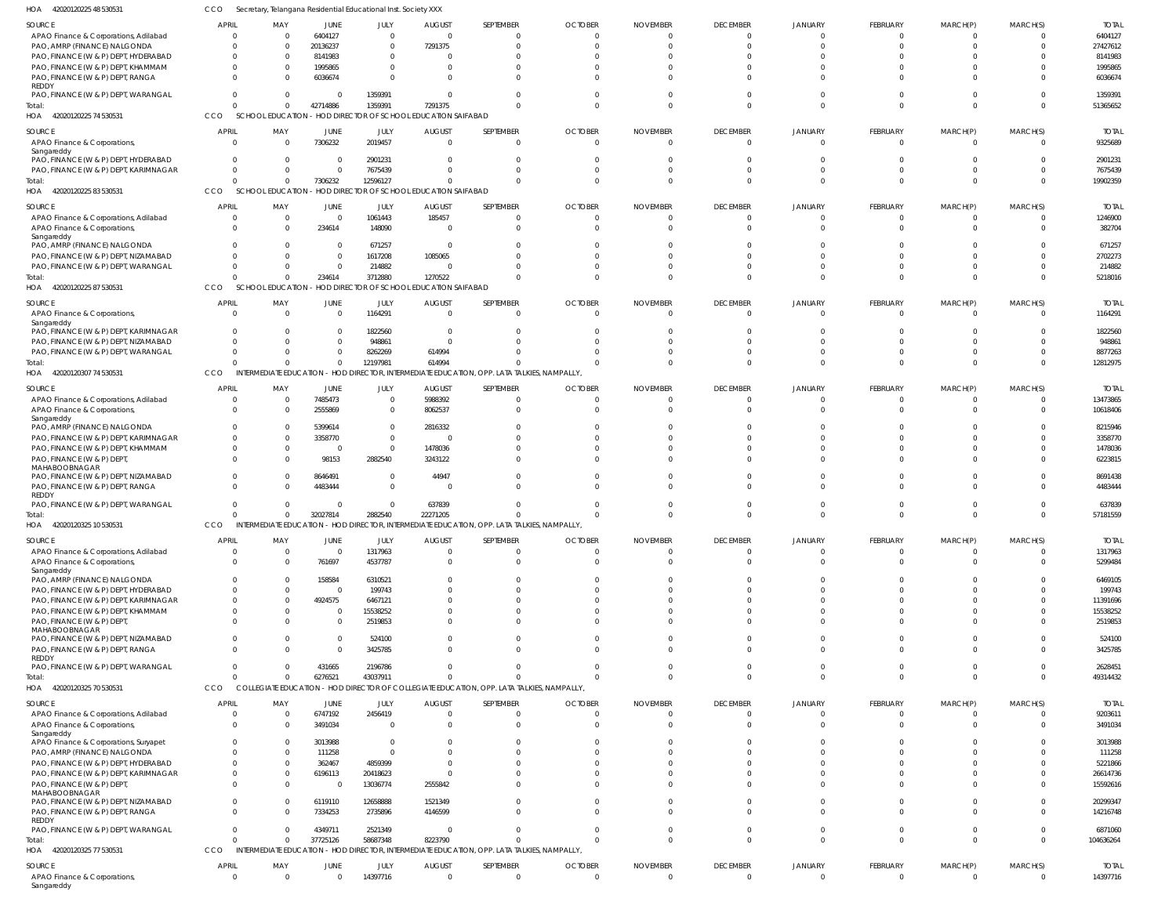| 1OA<br>42020120225 48 530531                                          | CCO          |                                                    |                        | Secretary, Telangana Residential Educational Inst. Society XXX |                     |                                                                                             |                |                 |                                |                         |                      |                      |                            |                         |
|-----------------------------------------------------------------------|--------------|----------------------------------------------------|------------------------|----------------------------------------------------------------|---------------------|---------------------------------------------------------------------------------------------|----------------|-----------------|--------------------------------|-------------------------|----------------------|----------------------|----------------------------|-------------------------|
| SOURCE                                                                | <b>APRIL</b> | MAY                                                | JUNE                   | JULY                                                           | <b>AUGUST</b>       | SEPTEMBER                                                                                   | <b>OCTOBER</b> | <b>NOVEMBER</b> | <b>DECEMBER</b>                | JANUARY                 | FEBRUARY             | MARCH(P)             | MARCH(S)                   | <b>TOTAL</b>            |
| APAO Finance & Corporations, Adilabad                                 |              | $\Omega$<br>- 0                                    | 6404127                | $\Omega$                                                       | $\overline{0}$      | 0                                                                                           | $\Omega$       |                 | 0                              | $\Omega$                | $\Omega$             | $\Omega$             | $\Omega$                   | 6404127                 |
| PAO, AMRP (FINANCE) NALGONDA                                          |              | $\cap$<br>$\Omega$                                 | 20136237               | $\Omega$                                                       | 7291375             | $\Omega$                                                                                    |                |                 | $\Omega$                       | $\Omega$                | $\Omega$             | $\Omega$             | $\Omega$                   | 27427612                |
| PAO, FINANCE (W & P) DEPT, HYDERABAD                                  |              | $\mathbf{0}$                                       | 8141983                | $\Omega$                                                       | $\Omega$            |                                                                                             |                |                 |                                |                         |                      |                      |                            | 8141983                 |
| PAO, FINANCE (W & P) DEPT, KHAMMAM                                    |              | $\Omega$                                           | 1995865                | $\Omega$                                                       | $\Omega$            |                                                                                             |                |                 | 0                              |                         | - 0                  |                      | $\Omega$                   | 1995865                 |
| PAO, FINANCE (W & P) DEPT, RANGA<br>REDDY                             |              | $\cap$                                             | 6036674                | $\Omega$                                                       | $\Omega$            |                                                                                             |                |                 |                                |                         | $\cap$               | $\Omega$             | $\Omega$                   | 6036674                 |
| PAO, FINANCE (W & P) DEPT, WARANGAL                                   |              | $\Omega$<br>$\Omega$                               | $\Omega$               | 1359391                                                        | $\Omega$            |                                                                                             |                |                 | $\Omega$                       | $\Omega$                | $\cap$               | $\Omega$             | $\Omega$                   | 1359391                 |
| Total:                                                                |              | $\Omega$<br>$\Omega$                               | 42714886               | 1359391                                                        | 7291375             | $\Omega$                                                                                    |                |                 | $\Omega$                       | $\Omega$                | $\Omega$             | $\Omega$             | $\Omega$                   | 51365652                |
| HOA 42020120225 74 530531                                             | CCO          | <b>SCHOOL EDUCATION</b>                            |                        | - HOD DIRECTOR OF SCHOOL EDUCATION SAIFABAD                    |                     |                                                                                             |                |                 |                                |                         |                      |                      |                            |                         |
| SOURCE                                                                | <b>APRIL</b> | MAY                                                | JUNE                   | JULY                                                           | <b>AUGUST</b>       | SEPTEMBER                                                                                   | <b>OCTOBER</b> | <b>NOVEMBER</b> | <b>DECEMBER</b>                | JANUARY                 | FEBRUARY             | MARCH(P)             | MARCH(S)                   | <b>TOTAL</b>            |
| APAO Finance & Corporations,                                          |              | $\Omega$<br>$\Omega$                               | 7306232                | 2019457                                                        | $\overline{0}$      | 0                                                                                           |                |                 | $\mathbf 0$                    | $\mathbf{0}$            | $\Omega$             | $\Omega$             | $\Omega$                   | 9325689                 |
| Sangareddy                                                            |              |                                                    |                        |                                                                |                     |                                                                                             |                |                 |                                |                         |                      |                      |                            |                         |
| PAO, FINANCE (W & P) DEPT, HYDERABAD                                  |              | $\cap$<br>$\Omega$                                 | 0                      | 2901231                                                        | 0                   |                                                                                             |                |                 | $\Omega$                       | $\Omega$                | $\Omega$             | $\Omega$             | $\Omega$                   | 2901231                 |
| PAO, FINANCE (W & P) DEPT, KARIMNAGAR                                 |              | $\Omega$<br>$\cap$                                 | $\overline{0}$         | 7675439                                                        | $\Omega$            |                                                                                             |                |                 | <sup>0</sup>                   | $\Omega$                | $\cap$               | $\Omega$             | $\Omega$                   | 7675439                 |
| Total:                                                                |              | $\Omega$<br>$\mathbf{0}$                           | 7306232                | 12596127                                                       | $\Omega$            | $\Omega$                                                                                    |                |                 | $\Omega$                       | $\Omega$                | $\Omega$             | $\Omega$             | $\Omega$                   | 19902359                |
| HOA 42020120225 83 530531                                             | CCO          | SCHOOL EDUCATION                                   |                        | - HOD DIRECTOR OF SCHOOL EDUCATION SAIFABAD                    |                     |                                                                                             |                |                 |                                |                         |                      |                      |                            |                         |
| SOURCE                                                                | <b>APRIL</b> | MAY                                                | JUNE                   | JULY                                                           | <b>AUGUST</b>       | SEPTEMBER                                                                                   | <b>OCTOBER</b> | <b>NOVEMBER</b> | <b>DECEMBER</b>                | JANUARY                 | FEBRUARY             | MARCH(P)             | MARCH(S)                   | <b>TOTAL</b>            |
| APAO Finance & Corporations, Adilabad                                 |              | $\overline{0}$<br>$\Omega$                         | $\overline{0}$         | 1061443                                                        | 185457              | 0                                                                                           | - 0            |                 | $\mathbf 0$                    | $\Omega$                | $\Omega$             | $\Omega$             | 0                          | 1246900                 |
| APAO Finance & Corporations,                                          |              | $\Omega$<br>$\Omega$                               | 234614                 | 148090                                                         | 0                   | $\Omega$                                                                                    | $\Omega$       |                 | $\Omega$                       | $\Omega$                | $\Omega$             | $\Omega$             | $\Omega$                   | 382704                  |
| Sangareddy<br>PAO, AMRP (FINANCE) NALGONDA                            |              |                                                    | $\overline{0}$         | 671257                                                         | - 0                 |                                                                                             |                |                 |                                |                         |                      |                      | $\Omega$                   | 671257                  |
| PAO, FINANCE (W & P) DEPT, NIZAMABAD                                  |              |                                                    | $\overline{0}$         | 1617208                                                        | 1085065             |                                                                                             |                |                 |                                |                         |                      | $\cap$               | $\Omega$                   | 2702273                 |
| PAO, FINANCE (W & P) DEPT, WARANGAL                                   |              |                                                    | $\overline{0}$         | 214882                                                         | $\overline{0}$      |                                                                                             |                |                 |                                |                         | $\Omega$             | $\Omega$             | $\Omega$                   | 214882                  |
| Total:                                                                |              |                                                    | 234614                 | 3712880                                                        | 1270522             |                                                                                             |                |                 | $\Omega$                       | $\Omega$                | $\Omega$             | $\Omega$             | $\Omega$                   | 5218016                 |
| 42020120225 87 530531<br>HOA                                          | CCO          | SCHOOL EDUCATION                                   |                        | HOD DIRECTOR OF SCHOOL EDUCATION SAIFABAD                      |                     |                                                                                             |                |                 |                                |                         |                      |                      |                            |                         |
|                                                                       |              |                                                    |                        |                                                                |                     |                                                                                             |                |                 |                                |                         |                      |                      |                            |                         |
| SOURCE<br>APAO Finance & Corporations,                                | <b>APRIL</b> | MAY<br>$\Omega$<br>$\Omega$                        | JUNE<br>$\overline{0}$ | JULY<br>1164291                                                | <b>AUGUST</b><br>0  | SEPTEMBER<br>0                                                                              | <b>OCTOBER</b> | <b>NOVEMBER</b> | <b>DECEMBER</b><br>$\mathbf 0$ | JANUARY<br>$\mathbf{0}$ | FEBRUARY<br>$\Omega$ | MARCH(P)<br>$\Omega$ | MARCH(S)<br>$\Omega$       | <b>TOTAL</b><br>1164291 |
| Sangareddy                                                            |              |                                                    |                        |                                                                |                     |                                                                                             |                |                 |                                |                         |                      |                      |                            |                         |
| PAO, FINANCE (W & P) DEPT, KARIMNAGAR                                 |              | $\Omega$<br>$\Omega$                               | $\mathbf 0$            | 1822560                                                        | 0                   | 0                                                                                           |                |                 | 0                              | $\Omega$                | $\Omega$             | $\Omega$             | $\Omega$                   | 1822560                 |
| PAO, FINANCE (W & P) DEPT, NIZAMABAD                                  |              | $\cap$                                             | $\Omega$               | 948861                                                         | $\Omega$            |                                                                                             |                |                 |                                |                         | $\cap$               | $\cap$               | $\Omega$                   | 948861                  |
| PAO, FINANCE (W & P) DEPT, WARANGAL                                   |              | $\cap$<br>$\Omega$                                 | $\mathbf 0$            | 8262269                                                        | 614994              |                                                                                             |                |                 | $\Omega$                       | $\Omega$                | $\Omega$             | $\Omega$             | $\Omega$                   | 8877263                 |
| Total:                                                                |              | $\Omega$<br>$\Omega$                               | $\overline{0}$         | 12197981                                                       | 614994              |                                                                                             |                |                 | $\Omega$                       | $\Omega$                | $\Omega$             | $\Omega$             | $\Omega$                   | 12812975                |
| HOA 42020120307 74 530531                                             | <b>CCO</b>   |                                                    |                        |                                                                |                     | INTERMEDIATE EDUCATION - HOD DIRECTOR, INTERMEDIATE EDUCATION, OPP. LATA TALKIES, NAMPALLY  |                |                 |                                |                         |                      |                      |                            |                         |
| SOURCE                                                                | <b>APRIL</b> | MAY                                                | JUNE                   | JULY                                                           | <b>AUGUST</b>       | SEPTEMBER                                                                                   | <b>OCTOBER</b> | <b>NOVEMBER</b> | <b>DECEMBER</b>                | JANUARY                 | FEBRUARY             | MARCH(P)             | MARCH(S)                   | <b>TOTAL</b>            |
| APAO Finance & Corporations, Adilabad                                 |              | $\overline{0}$<br>$\Omega$                         | 7485473                | $\Omega$                                                       | 5988392             | 0                                                                                           | - 0            |                 | $\mathbf 0$                    | $\Omega$                | $\Omega$             | - 0                  | 0                          | 13473865                |
| APAO Finance & Corporations,                                          |              | $\Omega$<br>$\Omega$                               | 2555869                | $\Omega$                                                       | 8062537             | $\Omega$                                                                                    |                |                 | $\Omega$                       | $\Omega$                | $\Omega$             | $\Omega$             | $\Omega$                   | 10618406                |
| Sangareddy                                                            |              |                                                    |                        |                                                                |                     |                                                                                             |                |                 |                                |                         |                      |                      |                            |                         |
| PAO, AMRP (FINANCE) NALGONDA<br>PAO, FINANCE (W & P) DEPT, KARIMNAGAR |              | $\Omega$                                           | 5399614<br>3358770     | - 0<br>$\Omega$                                                | 2816332<br>$\Omega$ |                                                                                             |                |                 | U                              |                         |                      |                      | $\Omega$                   | 8215946<br>3358770      |
| PAO, FINANCE (W & P) DEPT, KHAMMAM                                    |              |                                                    | $\overline{0}$         | $\Omega$                                                       | 1478036             |                                                                                             |                |                 |                                |                         |                      | $\Omega$             | $\Omega$                   | 1478036                 |
| PAO, FINANCE (W & P) DEPT,                                            |              |                                                    | 98153                  | 2882540                                                        | 3243122             |                                                                                             |                |                 | U                              |                         | $\cap$               | $\cap$               | $\Omega$                   | 6223815                 |
| MAHABOOBNAGAR                                                         |              |                                                    |                        |                                                                |                     |                                                                                             |                |                 |                                |                         |                      |                      |                            |                         |
| PAO, FINANCE (W & P) DEPT, NIZAMABAD                                  |              |                                                    | 8646491                | - 0                                                            | 44947               |                                                                                             |                |                 |                                |                         |                      |                      | $\Omega$                   | 8691438                 |
| PAO, FINANCE (W & P) DEPT, RANGA                                      |              | $\Omega$                                           | 4483444                | $\overline{0}$                                                 | $\Omega$            |                                                                                             |                |                 | U                              | $\Omega$                | $\cap$               | $\cap$               | $\Omega$                   | 4483444                 |
| REDDY<br>PAO, FINANCE (W & P) DEPT, WARANGAL                          |              |                                                    | 0                      | - 0                                                            | 637839              |                                                                                             |                |                 |                                |                         | $\Omega$             | - 0                  | $\Omega$                   | 637839                  |
| Total:                                                                |              | $\Omega$                                           | 32027814               | 2882540                                                        | 22271205            |                                                                                             |                |                 | $\Omega$                       | $\Omega$                | $\Omega$             | $\Omega$             | $\Omega$                   | 57181559                |
| HOA 42020120325 10 530531                                             | CCO          |                                                    |                        |                                                                |                     | INTERMEDIATE EDUCATION - HOD DIRECTOR, INTERMEDIATE EDUCATION, OPP. LATA TALKIES, NAMPALLY, |                |                 |                                |                         |                      |                      |                            |                         |
|                                                                       |              |                                                    |                        |                                                                |                     |                                                                                             |                |                 |                                |                         |                      |                      |                            |                         |
| SOURCE                                                                | APRIL        | MAY                                                | JUNE                   | JULY                                                           | <b>AUGUST</b>       | SEPTEMBER                                                                                   | <b>OCTOBER</b> | <b>NOVEMBER</b> | <b>DECEMBER</b>                | <b>JANUARY</b>          | FEBRUARY             | MARCH(P)             | MARCH(S)                   | <b>TOTAL</b>            |
| APAO Finance & Corporations, Adilabad                                 |              | $\Omega$<br>$\overline{0}$<br>$\Omega$<br>$\Omega$ | $\overline{0}$         | 1317963                                                        | $\overline{0}$<br>0 | 0<br>0                                                                                      | - 0            |                 | $\mathbf 0$<br>$\Omega$        | $\mathbf 0$<br>$\Omega$ | $\Omega$<br>$\Omega$ | $\Omega$<br>$\Omega$ | $\overline{0}$<br>$\Omega$ | 1317963                 |
| APAO Finance & Corporations,<br>Sangareddy                            |              |                                                    | 761697                 | 4537787                                                        |                     |                                                                                             |                |                 |                                |                         |                      |                      |                            | 5299484                 |
| PAO, AMRP (FINANCE) NALGONDA                                          |              | $\cap$<br>$\Omega$                                 | 158584                 | 6310521                                                        | $\mathbf 0$         | 0                                                                                           |                |                 | $\Omega$                       | $\Omega$                | $\Omega$             | $\cap$               | $\Omega$                   | 6469105                 |
| PAO, FINANCE (W & P) DEPT, HYDERABAD                                  |              | $\Omega$<br>$\Omega$                               | $\overline{0}$         | 199743                                                         | $\Omega$            |                                                                                             |                |                 | $\Omega$                       | $\Omega$                | $\cap$               | $\Omega$             | $\Omega$                   | 199743                  |
| PAO, FINANCE (W & P) DEPT, KARIMNAGAR                                 |              | $\Omega$<br>$\Omega$                               | 4924575                | 6467121                                                        | $\Omega$            |                                                                                             |                |                 | $\Omega$                       | $\Omega$                | $\cap$               | $\cap$               | $\Omega$                   | 11391696                |
| PAO, FINANCE (W & P) DEPT, KHAMMAM                                    |              | $\Omega$                                           | $\overline{0}$         | 15538252                                                       | $\Omega$            |                                                                                             |                |                 | U                              | $\Omega$                | $\cap$               | $\Omega$             | $\Omega$                   | 15538252                |
| PAO, FINANCE (W & P) DEPT,                                            |              | $\cap$                                             | $\overline{0}$         | 2519853                                                        | $\Omega$            |                                                                                             |                |                 | $\Omega$                       | $\Omega$                | $\cap$               | $\Omega$             | $\Omega$                   | 2519853                 |
| MAHABOOBNAGAR<br>PAO, FINANCE (W & P) DEPT, NIZAMABAD                 |              | $\Omega$<br>$\Omega$                               | $\overline{0}$         | 524100                                                         | $\Omega$            | 0                                                                                           |                |                 | $\Omega$                       | $\Omega$                | $\Omega$             | $\Omega$             | $\Omega$                   | 524100                  |
| PAO, FINANCE (W & P) DEPT, RANGA                                      |              | $\Omega$<br>$\Omega$                               | - 0                    | 3425785                                                        | $\Omega$            | $\Omega$                                                                                    |                |                 | $\Omega$                       | $\Omega$                | $\Omega$             | $\Omega$             | $\Omega$                   | 3425785                 |
| REDDY                                                                 |              |                                                    |                        |                                                                |                     |                                                                                             |                |                 |                                |                         |                      |                      |                            |                         |
| PAO, FINANCE (W & P) DEPT, WARANGAL                                   |              | $\Omega$<br>$\Omega$                               | 431665                 | 2196786                                                        | $\Omega$            | 0                                                                                           |                |                 | $\Omega$                       | $\Omega$                | $\Omega$             | $\Omega$             | $\overline{0}$             | 2628451                 |
| Total:                                                                |              | $\Omega$<br>$\Omega$                               | 6276521                | 43037911                                                       | $\Omega$            | $\Omega$                                                                                    |                |                 | $\Omega$                       | $\mathbf 0$             | $\Omega$             | $\Omega$             | $\Omega$                   | 49314432                |
| HOA 42020120325 70 530531                                             | CCO          |                                                    |                        |                                                                |                     | COLLEGIATE EDUCATION - HOD DIRECTOR OF COLLEGIATE EDUCATION, OPP. LATA TALKIES, NAMPALLY    |                |                 |                                |                         |                      |                      |                            |                         |
| SOURCE                                                                | <b>APRIL</b> | MAY                                                | JUNE                   | JULY                                                           | <b>AUGUST</b>       | SEPTEMBER                                                                                   | <b>OCTOBER</b> | <b>NOVEMBER</b> | <b>DECEMBER</b>                | JANUARY                 | FEBRUARY             | MARCH(P)             | MARCH(S)                   | <b>TOTAL</b>            |
| APAO Finance & Corporations, Adilabad                                 |              | $\overline{0}$<br>$\Omega$                         | 6747192                | 2456419                                                        | $\Omega$            | 0                                                                                           | -C             |                 | $\mathbf 0$                    | $\Omega$                | $\Omega$             | $\Omega$             | $\Omega$                   | 9203611                 |
| APAO Finance & Corporations,                                          |              | $\Omega$<br>$\Omega$                               | 3491034                | $\Omega$                                                       | $\Omega$            | $\Omega$                                                                                    |                |                 | $\Omega$                       | $\Omega$                | $\Omega$             | $\Omega$             | $\Omega$                   | 3491034                 |
| Sangareddy<br>APAO Finance & Corporations, Suryapet                   |              | $\Omega$                                           | 3013988                | $\Omega$                                                       | $\Omega$            |                                                                                             |                |                 | U                              | $\Omega$                | $\Omega$             | $\Omega$             | $\Omega$                   | 3013988                 |
| PAO, AMRP (FINANCE) NALGONDA                                          |              | $\Omega$<br>$\Omega$                               | 111258                 | $\Omega$                                                       | $\Omega$            |                                                                                             |                |                 | U                              | $\Omega$                | $\cap$               | $\Omega$             | $\Omega$                   | 111258                  |
| PAO, FINANCE (W & P) DEPT, HYDERABAD                                  |              | $\Omega$<br>$\Omega$                               | 362467                 | 4859399                                                        | $\Omega$            |                                                                                             |                |                 |                                | $\Omega$                | $\Omega$             | $\Omega$             |                            | 5221866                 |
| PAO, FINANCE (W & P) DEPT, KARIMNAGAR                                 |              | $\Omega$<br>$\Omega$                               | 6196113                | 20418623                                                       | $\Omega$            |                                                                                             |                |                 | U                              | $\Omega$                | $\Omega$             | $\Omega$             | $\Omega$                   | 26614736                |
| PAO, FINANCE (W & P) DEPT,                                            |              | $\Omega$<br>$\Omega$                               | - 0                    | 13036774                                                       | 2555842             |                                                                                             |                |                 | U                              | $\Omega$                | $\Omega$             | $\Omega$             | $\Omega$                   | 15592616                |
| MAHABOOBNAGAR                                                         |              |                                                    |                        |                                                                |                     |                                                                                             |                |                 |                                |                         |                      |                      |                            |                         |
| PAO, FINANCE (W & P) DEPT, NIZAMABAD                                  |              | $\Omega$<br>$\Omega$                               | 6119110                | 12658888                                                       | 1521349             | U                                                                                           |                |                 | $\Omega$                       | $\Omega$                | $\Omega$             | $\Omega$             | $\Omega$                   | 20299347                |
| PAO, FINANCE (W & P) DEPT, RANGA<br>REDDY                             |              | $\Omega$<br>$\Omega$                               | 7334253                | 2735896                                                        | 4146599             |                                                                                             |                |                 | $\Omega$                       | $\Omega$                | $\Omega$             | $\Omega$             | $\Omega$                   | 14216748                |
| PAO, FINANCE (W & P) DEPT, WARANGAL                                   |              | $\Omega$<br>$\Omega$                               | 4349711                | 2521349                                                        | - 0                 | $\Omega$                                                                                    |                |                 | $\Omega$                       | $\Omega$                | $\Omega$             | $\Omega$             | $\Omega$                   | 6871060                 |
| Total:                                                                |              | $\Omega$<br>$\mathbf 0$                            | 37725126               | 58687348                                                       | 8223790             |                                                                                             |                |                 | $\Omega$                       | $\Omega$                | $\Omega$             | $\Omega$             | $\Omega$                   | 104636264               |
| HOA 42020120325 77 530531                                             | CCO          |                                                    |                        |                                                                |                     | INTERMEDIATE EDUCATION - HOD DIRECTOR, INTERMEDIATE EDUCATION, OPP. LATA TALKIES, NAMPALLY, |                |                 |                                |                         |                      |                      |                            |                         |
| SOURCE                                                                | APRIL        | MAY                                                | JUNE                   | JULY                                                           | <b>AUGUST</b>       | SEPTEMBER                                                                                   | <b>OCTOBER</b> | <b>NOVEMBER</b> | <b>DECEMBER</b>                | JANUARY                 | <b>FEBRUARY</b>      | MARCH(P)             | MARCH(S)                   | <b>TOTAL</b>            |
| APAO Finance & Corporations,                                          |              | $\overline{0}$<br>$\overline{0}$                   | $\overline{0}$         | 14397716                                                       | $\overline{0}$      | 0                                                                                           | $\mathbf 0$    | $\Omega$        | $\overline{0}$                 | $\overline{0}$          | $\overline{0}$       | $\overline{0}$       | $\mathbf{0}$               | 14397716                |
| Sangareddy                                                            |              |                                                    |                        |                                                                |                     |                                                                                             |                |                 |                                |                         |                      |                      |                            |                         |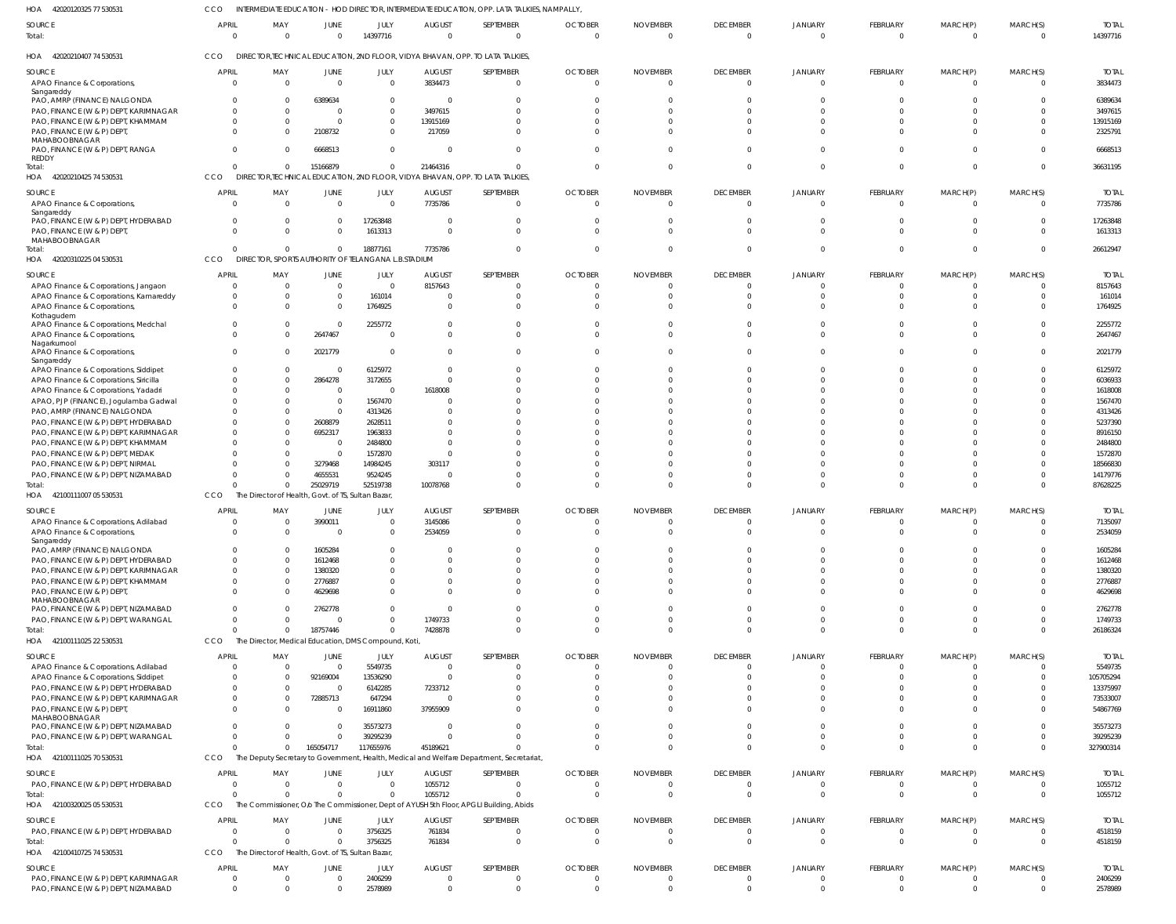| HOA<br>42020120325 77 530531                                                        | CCO                        |                                                                 |                      |                        |                              | INTERMEDIATE EDUCATION - HOD DIRECTOR, INTERMEDIATE EDUCATION, OPP. LATA TALKIES, NAMPALLY,          |                            |                             |                                  |                            |                                   |                            |                            |                          |
|-------------------------------------------------------------------------------------|----------------------------|-----------------------------------------------------------------|----------------------|------------------------|------------------------------|------------------------------------------------------------------------------------------------------|----------------------------|-----------------------------|----------------------------------|----------------------------|-----------------------------------|----------------------------|----------------------------|--------------------------|
| SOURCE<br>Total:                                                                    | <b>APRIL</b><br>$\Omega$   | MAY<br>$\Omega$                                                 | JUNE                 | JULY<br>14397716       | <b>AUGUST</b><br>$\Omega$    | SEPTEMBER<br>$\Omega$                                                                                | <b>OCTOBER</b><br>$\Omega$ | <b>NOVEMBER</b><br>$\Omega$ | <b>DECEMBER</b><br>$\Omega$      | <b>JANUARY</b><br>$\Omega$ | FEBRUARY<br>$\Omega$              | MARCH(P)<br>$\Omega$       | MARCH(S)<br>$\mathbf{0}$   | <b>TOTAL</b><br>14397716 |
| HOA 42020210407 74 530531                                                           | <b>CCO</b>                 |                                                                 |                      |                        |                              | DIRECTOR, TECHNICAL EDUCATION, 2ND FLOOR, VIDYA BHAVAN, OPP. TO LATA TALKIES                         |                            |                             |                                  |                            |                                   |                            |                            |                          |
| SOURCE<br>APAO Finance & Corporations,                                              | <b>APRIL</b><br>$\Omega$   | MAY<br>$\overline{0}$                                           | JUNE<br>$\Omega$     | JULY<br>$\overline{0}$ | <b>AUGUST</b><br>3834473     | SEPTEMBER<br>$\mathbf{0}$                                                                            | <b>OCTOBER</b><br>$\Omega$ | <b>NOVEMBER</b><br>$\Omega$ | <b>DECEMBER</b><br>$\mathbf{0}$  | <b>JANUARY</b><br>$\Omega$ | <b>FEBRUARY</b><br>$\overline{0}$ | MARCH(P)<br>$\overline{0}$ | MARCH(S)<br>$\Omega$       | <b>TOTAL</b><br>3834473  |
| Sangareddy<br>PAO, AMRP (FINANCE) NALGONDA<br>PAO, FINANCE (W & P) DEPT, KARIMNAGAR | $\Omega$<br>$\Omega$       | $\Omega$<br>$\Omega$                                            | 6389634              | $\Omega$<br>$\Omega$   | - 0<br>3497615               | $\Omega$<br>$\Omega$                                                                                 |                            |                             | $\Omega$<br>$\Omega$             | $\Omega$<br>$\Omega$       | $\Omega$<br>$\Omega$              | $\Omega$<br>$\Omega$       | $\Omega$<br>$\Omega$       | 6389634<br>3497615       |
| PAO, FINANCE (W & P) DEPT, KHAMMAM                                                  | $\Omega$                   | $\Omega$                                                        |                      | 0                      | 13915169                     | $\Omega$                                                                                             |                            |                             | $\Omega$                         | $\Omega$                   | $\Omega$                          | $\Omega$                   | $\Omega$                   | 13915169                 |
| PAO, FINANCE (W & P) DEPT,<br>MAHABOOBNAGAR                                         | $\Omega$                   | $\Omega$                                                        | 2108732              | $\Omega$               | 217059                       | <sup>0</sup>                                                                                         |                            |                             | $\Omega$                         | $\Omega$                   | $\Omega$                          | $\Omega$                   | $\Omega$                   | 2325791                  |
| PAO, FINANCE (W & P) DEPT, RANGA<br><b>REDDY</b>                                    | $\Omega$                   | $\Omega$                                                        | 6668513              | $\overline{0}$         | -C                           | $\Omega$                                                                                             |                            |                             | $\Omega$                         | $\Omega$                   | $\Omega$                          | $\Omega$                   | $\Omega$                   | 6668513                  |
| Total:<br>HOA 42020210425 74 530531                                                 | $\Omega$<br>CCO            | $\Omega$                                                        | 15166879             | $\Omega$               | 21464316                     | $\Omega$<br>DIRECTOR, TECHNICAL EDUCATION, 2ND FLOOR, VIDYA BHAVAN, OPP. TO LATA TALKIES             |                            |                             | $\Omega$                         | $\Omega$                   | $\overline{0}$                    | $\overline{0}$             | $\Omega$                   | 36631195                 |
| SOURCE<br>APAO Finance & Corporations,<br>Sangareddy                                | <b>APRIL</b><br>$\Omega$   | MAY<br>$\Omega$                                                 | JUNE<br>$\Omega$     | JULY<br>$\Omega$       | <b>AUGUST</b><br>7735786     | SEPTEMBER<br>$\Omega$                                                                                | <b>OCTOBER</b><br>$\Omega$ | <b>NOVEMBER</b><br>- 0      | <b>DECEMBER</b><br>$\Omega$      | <b>JANUARY</b><br>$\Omega$ | FEBRUARY<br>$\Omega$              | MARCH(P)<br>$\Omega$       | MARCH(S)<br>$\overline{0}$ | <b>TOTAL</b><br>7735786  |
| PAO, FINANCE (W & P) DEPT, HYDERABAD<br>PAO, FINANCE (W & P) DEPT,                  | $\Omega$<br>$\Omega$       | $\Omega$<br>$\Omega$                                            | $\Omega$             | 17263848<br>1613313    | - 0<br>$\mathsf{C}$          | $\Omega$<br>$\Omega$                                                                                 |                            |                             | $\Omega$<br>$\Omega$             | $\Omega$<br>$\Omega$       | $\Omega$<br>$\Omega$              | $\Omega$<br>$\Omega$       | $\Omega$<br>$\Omega$       | 17263848<br>1613313      |
| MAHABOOBNAGAR<br>Total:<br>HOA 42020310225 04 530531                                | $\Omega$<br>CCO            | $\Omega$<br>DIRECTOR, SPORTS AUTHORITY OF TELANGANA L.B.STADIUM | $\Omega$             | 18877161               | 7735786                      | $\Omega$                                                                                             |                            |                             | $\Omega$                         | $\Omega$                   | $\Omega$                          | $\Omega$                   | $\Omega$                   | 26612947                 |
| SOURCE                                                                              | <b>APRIL</b>               | MAY                                                             | JUNE                 | JULY                   | <b>AUGUST</b>                | SEPTEMBER                                                                                            | <b>OCTOBER</b>             | <b>NOVEMBER</b>             | <b>DECEMBER</b>                  | JANUARY                    | FEBRUARY                          | MARCH(P)                   | MARCH(S)                   | <b>TOTAL</b>             |
| APAO Finance & Corporations, Jangaon                                                | $\Omega$                   | $\Omega$                                                        | 0                    | $\Omega$               | 8157643                      | $\overline{0}$                                                                                       |                            |                             | $\overline{0}$                   | $\mathbf 0$                | $\overline{0}$                    | 0                          | $\Omega$                   | 8157643                  |
| APAO Finance & Corporations, Kamareddy                                              | $\Omega$                   | $\Omega$                                                        | $\Omega$             | 161014                 | -C                           | $\Omega$                                                                                             |                            |                             | $\Omega$                         | $\Omega$                   | $\mathbf{0}$                      | $\Omega$                   | $\Omega$                   | 161014                   |
| APAO Finance & Corporations,<br>Kothagudem                                          | $\Omega$                   | $\Omega$                                                        | $\Omega$             | 1764925                |                              | $\Omega$                                                                                             |                            |                             | $\Omega$                         | $\Omega$                   | $\Omega$                          | $\Omega$                   | $\Omega$                   | 1764925                  |
| APAO Finance & Corporations, Medchal<br>APAO Finance & Corporations,                | $\Omega$<br>$\Omega$       | $\Omega$<br>$\Omega$                                            | $\Omega$<br>2647467  | 2255772<br>$\Omega$    |                              | $\Omega$<br>$\Omega$                                                                                 |                            |                             | $\Omega$<br>$\Omega$             | $\Omega$<br>$\Omega$       | $\Omega$<br>$\Omega$              | $\Omega$<br>$\Omega$       | $\Omega$<br>$\Omega$       | 2255772<br>2647467       |
| Nagarkurnool<br>APAO Finance & Corporations,<br>Sangareddy                          | $\Omega$                   | $\Omega$                                                        | 2021779              | $\Omega$               |                              | $\Omega$                                                                                             |                            |                             | $\Omega$                         | $\Omega$                   | $\Omega$                          | $\Omega$                   | $\Omega$                   | 2021779                  |
| APAO Finance & Corporations, Siddipet                                               | $\Omega$                   | $\Omega$                                                        | - 0                  | 6125972                | -C                           | $\Omega$                                                                                             |                            |                             | $\Omega$                         | $\Omega$                   | $\Omega$                          | $\Omega$                   | $\Omega$                   | 6125972                  |
| APAO Finance & Corporations, Siricilla                                              | $\Omega$                   | $\Omega$                                                        | 2864278              | 3172655                |                              | $\Omega$                                                                                             |                            |                             | $\Omega$                         | $\Omega$                   | $\Omega$                          | $\Omega$                   | $\Omega$                   | 6036933                  |
| APAO Finance & Corporations, Yadadri<br>APAO, PJP (FINANCE), Jogulamba Gadwal       | $\Omega$<br>$\Omega$       | $\Omega$<br>$\Omega$                                            | 0<br>$\Omega$        | $\Omega$<br>1567470    | 1618008                      | $\Omega$                                                                                             |                            |                             | $\Omega$<br>$\Omega$             | $\Omega$<br>$\Omega$       | $\Omega$<br>$\Omega$              | $\Omega$<br>$\Omega$       | $\Omega$<br>$\Omega$       | 1618008<br>1567470       |
| PAO, AMRP (FINANCE) NALGONDA                                                        |                            | $\Omega$                                                        | $\mathbf{0}$         | 4313426                |                              | $\Omega$                                                                                             |                            |                             | $\Omega$                         |                            | $\Omega$                          | $\Omega$                   | $\Omega$                   | 4313426                  |
| PAO, FINANCE (W & P) DEPT, HYDERABAD                                                |                            | $\Omega$                                                        | 2608879              | 2628511                |                              |                                                                                                      |                            |                             | $\Omega$                         |                            | $\Omega$                          | $\Omega$                   | $\Omega$                   | 5237390                  |
| PAO, FINANCE (W & P) DEPT, KARIMNAGAR                                               |                            | $\Omega$                                                        | 6952317              | 1963833                |                              | $\Omega$                                                                                             |                            |                             | $\Omega$                         | $\Omega$                   | $\Omega$                          | $\Omega$                   | $\Omega$                   | 8916150                  |
| PAO, FINANCE (W & P) DEPT, KHAMMAM<br>PAO, FINANCE (W & P) DEPT, MEDAK              |                            | $\Omega$<br>$\Omega$                                            | - 0<br>0             | 2484800<br>1572870     |                              |                                                                                                      |                            |                             | $\Omega$<br>$\Omega$             | $\Omega$                   | $\Omega$<br>$\Omega$              | $\Omega$<br>$\Omega$       | $\Omega$<br>$\Omega$       | 2484800<br>1572870       |
| PAO, FINANCE (W & P) DEPT, NIRMAL                                                   |                            | $\Omega$                                                        | 3279468              | 14984245               | 303117                       | $\Omega$                                                                                             |                            |                             | $\Omega$                         | $\Omega$                   | $\Omega$                          | $\Omega$                   | $\Omega$                   | 18566830                 |
| PAO, FINANCE (W & P) DEPT, NIZAMABAD                                                |                            | $\Omega$                                                        | 4655531              | 9524245                | - 0                          | $\Omega$                                                                                             |                            |                             | $\Omega$                         | $\Omega$                   | $\Omega$                          | $\Omega$                   | $\Omega$                   | 14179776                 |
| Total:<br>HOA 42100111007 05 530531                                                 | CCO                        | $\Omega$<br>The Director of Health, Govt. of TS, Sultan Bazar,  | 25029719             | 52519738               | 10078768                     | $\Omega$                                                                                             |                            |                             | $\Omega$                         | $\Omega$                   | $\Omega$                          | $\Omega$                   | $\Omega$                   | 87628225                 |
| SOURCE                                                                              | <b>APRIL</b>               | MAY                                                             | JUNE                 | JULY                   | <b>AUGUST</b>                | SEPTEMBER                                                                                            | <b>OCTOBER</b>             | <b>NOVEMBER</b>             | <b>DECEMBER</b>                  | <b>JANUARY</b>             | FEBRUARY                          | MARCH(P)                   | MARCH(S)                   | <b>TOTAL</b>             |
| APAO Finance & Corporations, Adilabad                                               | $\Omega$                   | $\Omega$                                                        | 3990011              | $\Omega$               | 3145086                      | $\Omega$                                                                                             |                            | $\Omega$                    | $\Omega$                         | $\Omega$                   | $\Omega$                          | $\Omega$                   | $\Omega$                   | 7135097                  |
| APAO Finance & Corporations,<br>Sangareddy                                          |                            | $\Omega$                                                        |                      | 0                      | 2534059                      |                                                                                                      |                            |                             |                                  |                            | $\Omega$                          |                            | <sup>0</sup>               | 2534059                  |
| PAO, AMRP (FINANCE) NALGONDA                                                        |                            | $\Omega$                                                        | 1605284              | <sup>0</sup>           |                              |                                                                                                      |                            |                             | $\Omega$                         |                            | $\Omega$                          |                            |                            | 1605284                  |
| PAO, FINANCE (W & P) DEPT, HYDERABAD                                                |                            | $\Omega$                                                        | 1612468              |                        |                              |                                                                                                      |                            |                             |                                  |                            | $\Omega$                          |                            |                            | 1612468                  |
| PAO, FINANCE (W & P) DEPT, KARIMNAGAR<br>PAO, FINANCE (W & P) DEPT, KHAMMAM         |                            | $\Omega$<br>$\Omega$                                            | 1380320<br>2776887   |                        |                              |                                                                                                      |                            |                             | $\Omega$                         |                            | $\Omega$<br>$\Omega$              |                            |                            | 1380320<br>2776887       |
| PAO, FINANCE (W & P) DEPT,<br>MAHABOOBNAGAR                                         |                            | $\Omega$                                                        | 4629698              |                        |                              | $\Omega$                                                                                             |                            |                             |                                  |                            | $\Omega$                          | $\Omega$                   | $\Omega$                   | 4629698                  |
| PAO, FINANCE (W & P) DEPT, NIZAMABAD                                                |                            | $\Omega$                                                        | 2762778              | 0                      |                              |                                                                                                      |                            |                             | $\Omega$                         | $\Omega$                   | $\Omega$                          | $\Omega$                   | $\Omega$                   | 2762778                  |
| PAO, FINANCE (W & P) DEPT, WARANGAL<br>Total:                                       |                            | $\Omega$<br>$\Omega$                                            | -C<br>18757446       | 0<br><sup>0</sup>      | 1749733<br>7428878           | $\Omega$                                                                                             |                            |                             | $\Omega$<br>$\Omega$             | $\Omega$<br>$\Omega$       | $\Omega$<br>$\Omega$              | $\Omega$<br>$\Omega$       | $\Omega$                   | 1749733<br>26186324      |
| HOA 42100111025 22 530531                                                           | CCO                        | The Director, Medical Education, DMS Compound, Koti,            |                      |                        |                              |                                                                                                      |                            |                             |                                  |                            |                                   |                            |                            |                          |
| SOURCE                                                                              | <b>APRIL</b>               | MAY                                                             | JUNE                 | JULY                   | <b>AUGUST</b>                | SEPTEMBER                                                                                            | <b>OCTOBER</b>             | <b>NOVEMBER</b>             | <b>DECEMBER</b>                  | JANUARY                    | FEBRUARY                          | MARCH(P)                   | MARCH(S)                   | <b>TOTAL</b>             |
| APAO Finance & Corporations, Adilabad                                               | $\Omega$<br>$\Omega$       | $\Omega$<br>$\Omega$                                            | $\Omega$<br>92169004 | 5549735<br>13536290    | $\mathsf{C}$<br>$\mathsf{C}$ | $\Omega$<br>$\Omega$                                                                                 |                            |                             | $\Omega$<br>$\Omega$             | $\Omega$<br>$\Omega$       | $\Omega$<br>$\Omega$              | $\Omega$<br>$\Omega$       | $\Omega$<br>$\Omega$       | 5549735<br>105705294     |
| APAO Finance & Corporations, Siddipet<br>PAO, FINANCE (W & P) DEPT, HYDERABAD       | $\Omega$                   | $\Omega$                                                        | $\Omega$             | 6142285                | 7233712                      |                                                                                                      |                            |                             | $\Omega$                         | $\Omega$                   | $\Omega$                          | $\Omega$                   |                            | 13375997                 |
| PAO, FINANCE (W & P) DEPT, KARIMNAGAR<br>PAO, FINANCE (W & P) DEPT,                 | $\Omega$<br>$\Omega$       | $\overline{0}$<br>$\Omega$                                      | 72885713<br>- 0      | 647294<br>16911860     | - 0<br>37955909              | $\Omega$                                                                                             |                            |                             | $\Omega$<br>$\Omega$             | $\Omega$<br>$\Omega$       | $\Omega$<br>$\Omega$              | $\Omega$<br>$\Omega$       | $\Omega$<br>$\Omega$       | 73533007<br>54867769     |
| MAHABOOBNAGAR<br>PAO, FINANCE (W & P) DEPT, NIZAMABAD                               |                            | $\Omega$                                                        | $\Omega$             | 35573273               | - 0                          | $\Omega$                                                                                             |                            |                             | $\Omega$                         | $\Omega$                   | $\Omega$                          | $\Omega$                   | $\Omega$                   | 35573273                 |
| PAO, FINANCE (W & P) DEPT, WARANGAL                                                 | $\Omega$                   | $\Omega$                                                        |                      | 39295239               |                              | $\Omega$                                                                                             |                            |                             | $\Omega$                         | $\Omega$                   | $\Omega$                          | $\Omega$                   | $\Omega$                   | 39295239                 |
| Total:<br>HOA 42100111025 70 530531                                                 | $\Omega$<br>CCO            | $\Omega$                                                        | 165054717            | 117655976              | 45189621                     | $\Omega$<br>The Deputy Secretary to Government, Health, Medical and Welfare Department, Secretariat, |                            |                             | $\Omega$                         | $\Omega$                   | $\Omega$                          | $\Omega$                   | $\Omega$                   | 327900314                |
|                                                                                     |                            |                                                                 |                      |                        |                              |                                                                                                      |                            |                             |                                  |                            |                                   |                            |                            |                          |
| SOURCE<br>PAO, FINANCE (W & P) DEPT, HYDERABAD                                      | APRIL<br>$\Omega$          | MAY<br>$\Omega$                                                 | JUNE<br>$\Omega$     | JULY<br>$\Omega$       | <b>AUGUST</b><br>1055712     | SEPTEMBER<br>$\Omega$                                                                                | <b>OCTOBER</b>             | <b>NOVEMBER</b>             | <b>DECEMBER</b><br>$\Omega$      | JANUARY<br>$\Omega$        | FEBRUARY<br>$\Omega$              | MARCH(P)<br>0              | MARCH(S)<br>$\Omega$       | <b>TOTAL</b><br>1055712  |
| Total:                                                                              | $\Omega$                   | $\Omega$                                                        |                      | $\Omega$               | 1055712                      | $\Omega$                                                                                             |                            |                             | $\Omega$                         | $\Omega$                   | $\Omega$                          | $\Omega$                   | $\Omega$                   | 1055712                  |
| HOA 42100320025 05 530531                                                           | CCO                        |                                                                 |                      |                        |                              | The Commissioner, Olo The Commissioner, Dept of AYUSH 5th Floor, APGLI Building, Abids               |                            |                             |                                  |                            |                                   |                            |                            |                          |
| SOURCE                                                                              | <b>APRIL</b>               | MAY                                                             | JUNE                 | JULY                   | <b>AUGUST</b>                | SEPTEMBER                                                                                            | <b>OCTOBER</b>             | <b>NOVEMBER</b>             | <b>DECEMBER</b>                  | JANUARY                    | <b>FEBRUARY</b>                   | MARCH(P)                   | MARCH(S)                   | <b>TOTAL</b>             |
| PAO, FINANCE (W & P) DEPT, HYDERABAD                                                | $\Omega$<br>$\Omega$       | $\overline{0}$<br>$\Omega$                                      | $\Omega$             | 3756325                | 761834                       | $\mathbf{0}$                                                                                         | $\Omega$                   | $\Omega$                    | $\overline{0}$<br>$\overline{0}$ | $\Omega$<br>$\Omega$       | $\overline{0}$<br>$\overline{0}$  | 0<br>$\overline{0}$        | $\Omega$                   | 4518159                  |
| Total:<br>HOA 42100410725 74 530531                                                 | CCO                        | The Director of Health, Govt. of TS, Sultan Bazar,              | $\Omega$             | 3756325                | 761834                       | $\mathbf{0}$                                                                                         | $\Omega$                   | $\Omega$                    |                                  |                            |                                   |                            | $\overline{0}$             | 4518159                  |
| SOURCE                                                                              | <b>APRIL</b>               | MAY                                                             | JUNE                 | JULY                   | <b>AUGUST</b>                | SEPTEMBER                                                                                            | <b>OCTOBER</b>             | <b>NOVEMBER</b>             | <b>DECEMBER</b>                  | <b>JANUARY</b>             | FEBRUARY                          | MARCH(P)                   | MARCH(S)                   | <b>TOTAL</b>             |
| PAO, FINANCE (W & P) DEPT, KARIMNAGAR<br>PAO, FINANCE (W & P) DEPT, NIZAMABAD       | $\Omega$<br>$\overline{0}$ | $\Omega$<br>$\Omega$                                            | $\Omega$             | 2406299<br>2578989     | $\Omega$                     | $\Omega$<br>$\Omega$                                                                                 |                            | $\Omega$                    | $\overline{0}$<br>$\Omega$       | $\Omega$<br>$\Omega$       | $\overline{0}$<br>$\Omega$        | $\Omega$<br>$\Omega$       | $\overline{0}$<br>$\Omega$ | 2406299<br>2578989       |
|                                                                                     |                            |                                                                 |                      |                        |                              |                                                                                                      |                            |                             |                                  |                            |                                   |                            |                            |                          |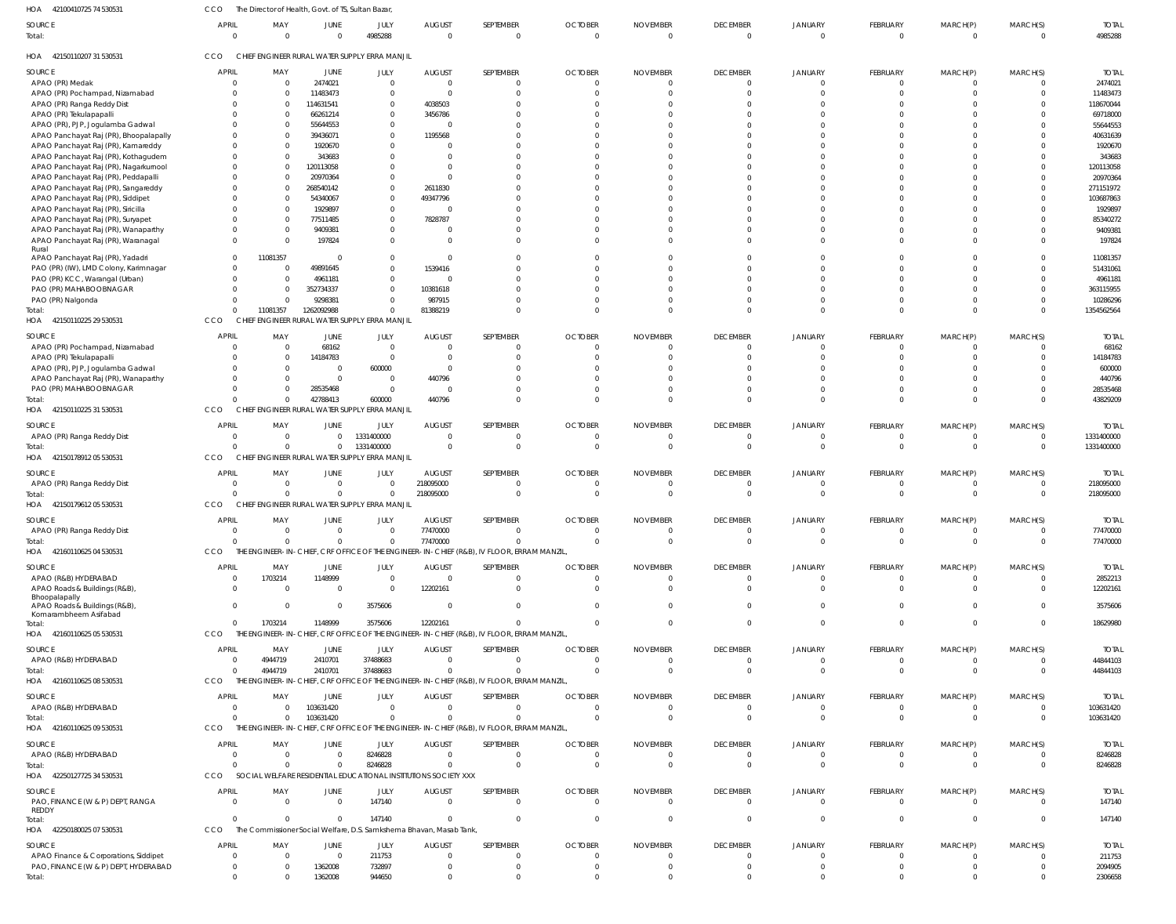| HOA<br>42100410725 74 530531                | CCO                      | The Director of Health, Govt. of TS, Sultan Bazar, |                  |                                                                     |                               |                                                                                           |                              |                             |                                 |                           |                      |                      |                            |                         |
|---------------------------------------------|--------------------------|----------------------------------------------------|------------------|---------------------------------------------------------------------|-------------------------------|-------------------------------------------------------------------------------------------|------------------------------|-----------------------------|---------------------------------|---------------------------|----------------------|----------------------|----------------------------|-------------------------|
| SOURCE<br>Total:                            | <b>APRIL</b><br>$\Omega$ | MAY<br>$\overline{0}$                              | JUNE<br>$\Omega$ | JULY<br>4985288                                                     | <b>AUGUST</b><br>$\mathsf{C}$ | SEPTEMBER<br>$\mathbf{0}$                                                                 | <b>OCTOBER</b><br>$\sqrt{ }$ | <b>NOVEMBER</b><br>$\Omega$ | <b>DECEMBER</b><br>$\mathbf{0}$ | JANUARY<br>$\overline{0}$ | FEBRUARY<br>$\Omega$ | MARCH(P)<br>$\Omega$ | MARCH(S)<br>$\overline{0}$ | <b>TOTAL</b><br>4985288 |
| HOA 42150110207 31 530531                   | CCO                      |                                                    |                  | CHIEF ENGINEER RURAL WATER SUPPLY ERRA MANJIL                       |                               |                                                                                           |                              |                             |                                 |                           |                      |                      |                            |                         |
| SOURCE                                      | <b>APRIL</b>             | MAY                                                | JUNE             | JULY                                                                | <b>AUGUST</b>                 | SEPTEMBER                                                                                 | <b>OCTOBER</b>               | <b>NOVEMBER</b>             | <b>DECEMBER</b>                 | JANUARY                   | FEBRUARY             | MARCH(P)             | MARCH(S)                   | <b>TOTAL</b>            |
| APAO (PR) Medak                             | $\Omega$                 | $\overline{0}$                                     | 2474021          | $\overline{0}$                                                      | C                             | $\Omega$                                                                                  |                              |                             | $\overline{0}$                  | $\overline{0}$            | - 0                  |                      | $\overline{0}$             | 2474021                 |
| APAO (PR) Pochampad, Nizamabad              | $\Omega$                 | $\overline{\mathbf{0}}$                            | 11483473         | $\Omega$                                                            | $\mathsf{C}$                  | $\Omega$                                                                                  |                              |                             | $\Omega$                        | $\Omega$                  | $\Omega$             | $\Omega$             | $\overline{0}$             | 11483473                |
| APAO (PR) Ranga Reddy Dist                  | $\Omega$                 | $\overline{\mathbf{0}}$                            | 114631541        | $\Omega$                                                            | 4038503                       | $\Omega$                                                                                  |                              |                             | U                               | $\Omega$                  |                      |                      | $\Omega$                   | 118670044               |
| APAO (PR) Tekulapapalli                     | $\Omega$                 | $\overline{\mathbf{0}}$                            | 66261214         | $\Omega$                                                            | 3456786                       |                                                                                           |                              |                             |                                 | $\Omega$                  |                      |                      | $\Omega$                   | 69718000                |
| APAO (PR), PJP, Jogulamba Gadwal            | $\Omega$                 | $\overline{\mathbf{0}}$                            | 55644553         | $\Omega$                                                            |                               | $\Omega$                                                                                  |                              |                             | U                               | $\Omega$                  |                      | $\cap$               | $\Omega$                   | 55644553                |
| APAO Panchayat Raj (PR), Bhoopalapally      | $\Omega$                 | $\overline{\mathbf{0}}$                            | 39436071         | $\Omega$                                                            | 1195568                       |                                                                                           |                              |                             |                                 |                           |                      | $\Omega$             | $\Omega$                   | 40631639                |
| APAO Panchayat Raj (PR), Kamareddy          | $\Omega$                 | - 0                                                | 1920670          | $\Omega$                                                            |                               |                                                                                           |                              |                             | U                               | $\Omega$                  |                      | $\cap$               | $\Omega$                   | 1920670                 |
| APAO Panchayat Raj (PR), Kothagudem         | $\Omega$                 | $\overline{\mathbf{0}}$                            | 343683           |                                                                     | -C                            | $\Omega$                                                                                  |                              |                             |                                 |                           |                      | $\Omega$             | $\Omega$                   | 343683                  |
| APAO Panchayat Raj (PR), Nagarkurnool       | $\Omega$                 | $\Omega$                                           | 120113058        | $\Omega$                                                            | -C                            | n                                                                                         |                              |                             | $\Omega$                        | n                         |                      | $\cap$               | $\Omega$                   | 120113058               |
| APAO Panchayat Raj (PR), Peddapalli         | $\Omega$                 | - 0                                                | 20970364         | $\Omega$                                                            | -C                            | $\Omega$                                                                                  |                              |                             |                                 | $\Omega$                  |                      | $\Omega$             | $\Omega$                   | 20970364                |
| APAO Panchayat Raj (PR), Sangareddy         | $\Omega$                 | $\overline{0}$                                     | 268540142        | $\Omega$                                                            | 2611830                       | $\Omega$                                                                                  |                              |                             | $\Omega$                        | $\Omega$                  |                      | $\cap$               | $\Omega$                   | 271151972               |
|                                             | $\Omega$                 | 0                                                  | 54340067         | $\Omega$                                                            | 49347796                      |                                                                                           |                              |                             | U                               | $\Omega$                  |                      | $\Omega$             | $\Omega$                   | 103687863               |
| APAO Panchayat Raj (PR), Siddipet           | $\Omega$                 | $\Omega$                                           |                  | $\Omega$                                                            |                               |                                                                                           |                              |                             | $\Omega$                        | $\Omega$                  |                      | $\cap$               | $\Omega$                   |                         |
| APAO Panchayat Raj (PR), Siricilla          | $\Omega$                 |                                                    | 1929897          |                                                                     |                               | $\Omega$                                                                                  |                              |                             | U                               | $\Omega$                  |                      | $\Omega$             |                            | 1929897                 |
| APAO Panchayat Raj (PR), Suryapet           |                          | - 0                                                | 77511485         | $\Omega$                                                            | 7828787                       |                                                                                           |                              |                             |                                 |                           |                      |                      | $\Omega$                   | 85340272                |
| APAO Panchayat Raj (PR), Wanaparthy         | $\Omega$                 | 0                                                  | 9409381          | $\Omega$                                                            | - 0                           | $\Omega$                                                                                  |                              |                             | $\Omega$                        | $\Omega$                  |                      | $\Omega$             | $\Omega$                   | 9409381                 |
| APAO Panchayat Raj (PR), Waranagal<br>Rural | $\Omega$                 | - 0                                                | 197824           | $\Omega$                                                            | -C                            | $\Omega$                                                                                  |                              |                             | $\Omega$                        | $\Omega$                  | $\Omega$             | $\Omega$             | $\Omega$                   | 197824                  |
| APAO Panchayat Raj (PR), Yadadri            | $\Omega$                 | 11081357                                           | $\Omega$         | $\Omega$                                                            | - 0                           | $\Omega$                                                                                  |                              |                             | $\Omega$                        | $\Omega$                  |                      | $\cap$               | $\Omega$                   | 11081357                |
| PAO (PR) (IW), LMD Colony, Karimnagar       | $\Omega$                 | 0                                                  | 49891645         | $\Omega$                                                            | 1539416                       | $\Omega$                                                                                  |                              |                             | $\Omega$                        | $\Omega$                  |                      | $\Omega$             | $\Omega$                   | 51431061                |
| PAO (PR) KCC, Warangal (Urban)              | $\Omega$                 | $\overline{0}$                                     | 4961181          | $\Omega$                                                            |                               | $\Omega$                                                                                  |                              |                             | $\Omega$                        | $\Omega$                  |                      | $\cap$               | $\Omega$                   | 4961181                 |
| PAO (PR) MAHABOOBNAGAR                      | $\Omega$                 | - 0                                                | 352734337        | $\Omega$                                                            | 10381618                      | $\Omega$                                                                                  |                              |                             |                                 | $\Omega$                  |                      | $\Omega$             | $\Omega$                   | 363115955               |
| PAO (PR) Nalgonda                           | $\Omega$                 | $\overline{0}$                                     | 9298381          | $\Omega$                                                            | 987915                        | $\Omega$                                                                                  |                              |                             | $\Omega$                        | $\Omega$                  | $\Omega$             | $\Omega$             | $\Omega$                   | 10286296                |
|                                             | $\Omega$                 | 11081357                                           | 1262092988       | $\Omega$                                                            | 81388219                      | $\Omega$                                                                                  | $\cap$                       |                             | $\Omega$                        | $\Omega$                  | $\Omega$             | $\Omega$             | $\Omega$                   | 1354562564              |
| Total:<br>HOA 42150110225 29 530531         | CCO                      |                                                    |                  | CHIEF ENGINEER RURAL WATER SUPPLY ERRA MANJIL                       |                               |                                                                                           |                              |                             |                                 |                           |                      |                      |                            |                         |
|                                             |                          |                                                    |                  |                                                                     |                               |                                                                                           |                              |                             |                                 |                           |                      |                      |                            |                         |
| SOURCE                                      | <b>APRIL</b>             | MAY                                                | JUNE             | JULY                                                                | <b>AUGUST</b>                 | SEPTEMBER                                                                                 | <b>OCTOBER</b>               | <b>NOVEMBER</b>             | <b>DECEMBER</b>                 | JANUARY                   | FEBRUARY             | MARCH(P)             | MARCH(S)                   | <b>TOTAL</b>            |
| APAO (PR) Pochampad, Nizamabad              | $\Omega$                 | $\overline{\mathbf{0}}$                            | 68162            | $\Omega$                                                            |                               | 0                                                                                         |                              |                             | $\overline{0}$                  | $\overline{0}$            | $\Omega$             | $\Omega$             | $\overline{0}$             | 68162                   |
| APAO (PR) Tekulapapalli                     | $\Omega$                 | $\overline{\mathbf{0}}$                            | 14184783         | $\Omega$                                                            | - 0                           | $\mathbf{0}$                                                                              |                              |                             | $\Omega$                        | $\Omega$                  | $\Omega$             | $\Omega$             | $\overline{0}$             | 14184783                |
| APAO (PR), PJP, Jogulamba Gadwal            | $\Omega$                 | $\overline{\mathbf{0}}$                            | $\circ$          | 600000                                                              |                               | $\Omega$                                                                                  |                              |                             | U                               | $\Omega$                  | $\cap$               | $\Omega$             | $\Omega$                   | 600000                  |
| APAO Panchayat Raj (PR), Wanaparthy         |                          | $\Omega$                                           | $\circ$          | $\Omega$                                                            | 440796                        | $\Omega$                                                                                  |                              |                             | $\Omega$                        | $\Omega$                  | $\Omega$             | $\Omega$             | $\Omega$                   | 440796                  |
| PAO (PR) MAHABOOBNAGAR                      | $\Omega$                 | $\overline{0}$                                     | 28535468         | $\Omega$                                                            |                               | $\Omega$                                                                                  |                              |                             | $\Omega$                        | $\Omega$                  | $\Omega$             | $\Omega$             | $\overline{0}$             | 28535468                |
| Total:                                      | $\Omega$                 | $\overline{\mathbf{0}}$                            | 42788413         | 600000                                                              | 440796                        | $\Omega$                                                                                  |                              |                             | $\Omega$                        | $\Omega$                  | $\Omega$             | $\Omega$             | $\Omega$                   | 43829209                |
| HOA 42150110225 31 530531                   | CCO                      |                                                    |                  | CHIEF ENGINEER RURAL WATER SUPPLY ERRA MANJIL                       |                               |                                                                                           |                              |                             |                                 |                           |                      |                      |                            |                         |
|                                             |                          |                                                    |                  |                                                                     |                               |                                                                                           |                              |                             |                                 |                           |                      |                      |                            |                         |
| SOURCE                                      | <b>APRIL</b>             | MAY                                                | JUNE             | JULY                                                                | <b>AUGUST</b>                 | SEPTEMBER                                                                                 | <b>OCTOBER</b>               | <b>NOVEMBER</b>             | <b>DECEMBER</b>                 | JANUARY                   | FEBRUARY             | MARCH(P)             | MARCH(S)                   | <b>TOTAI</b>            |
| APAO (PR) Ranga Reddy Dist                  | $\Omega$                 | $\overline{\mathbf{0}}$                            | $\mathbf{0}$     | 1331400000                                                          | $\mathsf{C}$                  | 0                                                                                         | $\sqrt{ }$                   |                             | $\overline{0}$                  | $\overline{0}$            | - 0                  | $\Omega$             | $\overline{0}$             | 1331400000              |
| Total:                                      | $\Omega$                 | $\Omega$                                           | $\mathbf{0}$     | 1331400000                                                          | $\Omega$                      | $\mathbf 0$                                                                               | $\Omega$                     | $\Omega$                    | $\overline{0}$                  | $\Omega$                  | $\Omega$             | $\Omega$             | $\Omega$                   | 1331400000              |
| HOA<br>42150178912 05 530531                | CCO                      |                                                    |                  | CHIEF ENGINEER RURAL WATER SUPPLY ERRA MANJIL                       |                               |                                                                                           |                              |                             |                                 |                           |                      |                      |                            |                         |
| SOURCE                                      | <b>APRIL</b>             | MAY                                                | JUNE             | JULY                                                                | <b>AUGUST</b>                 | SEPTEMBER                                                                                 | <b>OCTOBER</b>               | <b>NOVEMBER</b>             | <b>DECEMBER</b>                 | JANUARY                   | FEBRUARY             | MARCH(P)             | MARCH(S)                   | <b>TOTAL</b>            |
| APAO (PR) Ranga Reddy Dist                  | $\overline{0}$           | $\overline{\mathbf{0}}$                            | $\overline{0}$   | $\Omega$                                                            | 218095000                     | $\mathbf{0}$                                                                              | - 0                          | - 0                         | $\overline{0}$                  | $\overline{0}$            | $\Omega$             | $\Omega$             | $\overline{0}$             | 218095000               |
| Total:                                      | $\Omega$                 | $\Omega$                                           | $\mathbf 0$      |                                                                     | 218095000                     | $\mathbf 0$                                                                               | - 0                          |                             | $\overline{0}$                  | $\overline{0}$            | $\Omega$             | $\Omega$             | $\overline{\mathbf{0}}$    | 218095000               |
| HOA 4215017961205530531                     | CCO                      |                                                    |                  | CHIEF ENGINEER RURAL WATER SUPPLY ERRA MANJIL                       |                               |                                                                                           |                              |                             |                                 |                           |                      |                      |                            |                         |
|                                             |                          |                                                    |                  |                                                                     |                               |                                                                                           |                              |                             |                                 |                           |                      |                      |                            |                         |
| SOURCE                                      | <b>APRIL</b>             | MAY                                                | JUNE             | JULY                                                                | <b>AUGUST</b>                 | SEPTEMBER                                                                                 | <b>OCTOBER</b>               | <b>NOVEMBER</b>             | <b>DECEMBER</b>                 | JANUARY                   | FEBRUARY             | MARCH(P)             | MARCH(S)                   | <b>TOTAL</b>            |
| APAO (PR) Ranga Reddy Dist                  | $\overline{0}$           | $\overline{0}$                                     | $\mathbf{0}$     | $\Omega$                                                            | 77470000                      | $\mathbf{0}$                                                                              |                              | $\Omega$                    | $\mathbf{0}$                    | $\overline{0}$            | $\Omega$             | $\Omega$             | $\overline{0}$             | 77470000                |
| Total:                                      | $\Omega$                 | $\Omega$                                           | $\Omega$         | $\Omega$                                                            | 77470000                      | $\Omega$                                                                                  |                              | $\Omega$                    | $\overline{0}$                  | $\overline{0}$            | $\Omega$             | $\Omega$             | $\overline{0}$             | 77470000                |
| HOA 42160110625 04 530531                   | CCO                      |                                                    |                  |                                                                     |                               | THE ENGINEER-IN-CHIEF, CRF OFFICE OF THE ENGINEER-IN-CHIEF (R&B), IV FLOOR, ERRAM MANZIL, |                              |                             |                                 |                           |                      |                      |                            |                         |
| SOURCE                                      | <b>APRIL</b>             | MAY                                                | JUNE             | JULY                                                                | <b>AUGUST</b>                 | SEPTEMBER                                                                                 | <b>OCTOBER</b>               | <b>NOVEMBER</b>             | <b>DECEMBER</b>                 | JANUARY                   | FEBRUARY             | MARCH(P)             | MARCH(S)                   | <b>TOTAL</b>            |
| APAO (R&B) HYDERABAD                        | $\overline{0}$           | 1703214                                            | 1148999          | $\overline{0}$                                                      | C                             | $\mathbf{0}$                                                                              |                              |                             | $\mathbf{0}$                    | $\mathbf{0}$              | $\Omega$             | $\Omega$             | $\overline{0}$             | 2852213                 |
| APAO Roads & Buildings (R&B),               | $\Omega$                 | $\overline{0}$                                     | $\overline{0}$   | $\overline{0}$                                                      | 12202161                      | $\mathbf 0$                                                                               |                              | - 0                         | $\overline{0}$                  | $\overline{0}$            | $\Omega$             | $\Omega$             | $\overline{\mathbf{0}}$    | 12202161                |
| Bhoopalapally                               |                          |                                                    |                  |                                                                     |                               |                                                                                           |                              |                             |                                 |                           |                      |                      |                            |                         |
| APAO Roads & Buildings (R&B),               | $\Omega$                 | $\overline{0}$                                     | $\overline{0}$   | 3575606                                                             | - 0                           | $\mathbf 0$                                                                               |                              |                             | $\Omega$                        | $\mathbf 0$               | $\Omega$             | $\Omega$             | $\overline{0}$             | 3575606                 |
| Komarambheem Asifabad                       |                          |                                                    |                  |                                                                     |                               |                                                                                           |                              |                             |                                 |                           |                      |                      |                            |                         |
| Total:                                      | $\overline{0}$           | 1703214                                            | 1148999          | 3575606                                                             | 12202161                      | $\mathbf 0$                                                                               |                              | $\Omega$                    | $\overline{0}$                  | $\overline{0}$            | $\Omega$             | $\Omega$             | $\overline{0}$             | 18629980                |
| HOA 42160110625 05 530531                   | CCO                      |                                                    |                  |                                                                     |                               | THE ENGINEER-IN-CHIEF, CRF OFFICE OF THE ENGINEER-IN-CHIEF (R&B), IV FLOOR, ERRAM MANZIL, |                              |                             |                                 |                           |                      |                      |                            |                         |
| SOURCE                                      | <b>APRIL</b>             | MAY                                                | JUNE             | JULY                                                                | <b>AUGUST</b>                 | SEPTEMBER                                                                                 | <b>OCTOBER</b>               | <b>NOVEMBER</b>             | <b>DECEMBER</b>                 | JANUARY                   | FEBRUARY             | MARCH(P)             | MARCH(S)                   | <b>TOTAL</b>            |
| APAO (R&B) HYDERABAD                        | $\overline{0}$           | 4944719                                            | 2410701          | 37488683                                                            | $\Omega$                      | $\mathbf{0}$                                                                              | $\Omega$                     | $\Omega$                    | $\mathbf{0}$                    | $\overline{0}$            | $\overline{0}$       | $\Omega$             | $\overline{0}$             | 44844103                |
| Total:                                      | $\Omega$                 | 4944719                                            | 2410701          | 37488683                                                            | $\Omega$                      | $\Omega$                                                                                  | $\cap$                       | $\Omega$                    | $\overline{0}$                  | $\Omega$                  | $\Omega$             | $\Omega$             | $\overline{0}$             | 44844103                |
| HOA 42160110625 08 530531                   | CCO                      |                                                    |                  |                                                                     |                               | THE ENGINEER-IN-CHIEF, CRF OFFICE OF THE ENGINEER-IN-CHIEF (R&B), IV FLOOR, ERRAM MANZIL, |                              |                             |                                 |                           |                      |                      |                            |                         |
|                                             |                          |                                                    |                  |                                                                     |                               |                                                                                           |                              |                             |                                 |                           |                      |                      |                            |                         |
| SOURCE                                      | <b>APRIL</b>             | MAY                                                | JUNE             | JULY                                                                | <b>AUGUST</b>                 | SEPTEMBER                                                                                 | <b>OCTOBER</b>               | <b>NOVEMBER</b>             | <b>DECEMBER</b>                 | JANUARY                   | FEBRUARY             | MARCH(P)             | MARCH(S)                   | <b>TOTAL</b>            |
| APAO (R&B) HYDERABAD                        | $\overline{0}$           | $\overline{\mathbf{0}}$                            | 103631420        | $\Omega$                                                            | $\Omega$                      | $\mathbf{0}$                                                                              | - 0                          | - 0                         | $\mathbf{0}$                    | $\overline{0}$            | $\Omega$             | $\Omega$             | $\overline{\mathbf{0}}$    | 103631420               |
| Total:                                      | $\Omega$                 | $\overline{0}$                                     | 103631420        | $\Omega$                                                            |                               | $\mathbf 0$                                                                               | - 0                          |                             | $\overline{0}$                  | $\overline{0}$            | $\Omega$             | $\mathbf{0}$         | $\overline{0}$             | 103631420               |
| HOA 42160110625 09 530531                   | CCO                      |                                                    |                  |                                                                     |                               | THE ENGINEER-IN-CHIEF, CRF OFFICE OF THE ENGINEER-IN-CHIEF (R&B), IV FLOOR, ERRAM MANZIL, |                              |                             |                                 |                           |                      |                      |                            |                         |
| SOURCE                                      | <b>APRIL</b>             | MAY                                                | JUNE             | JULY                                                                | <b>AUGUST</b>                 | SEPTEMBER                                                                                 | <b>OCTOBER</b>               | <b>NOVEMBER</b>             | <b>DECEMBER</b>                 | JANUARY                   | FEBRUARY             |                      | MARCH(S)                   | <b>TOTAL</b>            |
|                                             |                          |                                                    |                  |                                                                     |                               |                                                                                           |                              |                             |                                 |                           |                      | MARCH(P)             |                            |                         |
| APAO (R&B) HYDERABAD                        | $\overline{0}$           | $\overline{\mathbf{0}}$                            | $\overline{0}$   | 8246828                                                             | $\overline{0}$                | $\mathbf{0}$                                                                              | - 0                          |                             | $\mathbf{0}$                    | $\overline{0}$            | - 0                  | $\Omega$             | $\overline{0}$             | 8246828                 |
| Total:                                      | $\Omega$                 | - 0                                                | $\overline{0}$   | 8246828                                                             | $\Omega$                      | $\Omega$                                                                                  | $\Omega$                     | $\Omega$                    | $\overline{0}$                  | $\overline{0}$            | $\Omega$             | $\Omega$             | $\overline{0}$             | 8246828                 |
| HOA 42250127725 34 530531                   | CCO                      |                                                    |                  | SOCIAL WELFARE RESIDENTIAL EDUCATIONAL INSTITUTIONS SOCIETY XXX     |                               |                                                                                           |                              |                             |                                 |                           |                      |                      |                            |                         |
| SOURCE                                      | <b>APRIL</b>             | MAY                                                | JUNE             | JULY                                                                | <b>AUGUST</b>                 | SEPTEMBER                                                                                 | <b>OCTOBER</b>               | <b>NOVEMBER</b>             | <b>DECEMBER</b>                 | JANUARY                   | FEBRUARY             | MARCH(P)             | MARCH(S)                   | <b>TOTAL</b>            |
| PAO, FINANCE (W & P) DEPT, RANGA            | $\overline{0}$           | $\overline{0}$                                     | $\overline{0}$   | 147140                                                              | - 0                           | $\mathbf{0}$                                                                              | $\Omega$                     | $\Omega$                    | $\overline{0}$                  | $\overline{0}$            | $\Omega$             | $\Omega$             | $\overline{0}$             | 147140                  |
| <b>REDDY</b>                                |                          |                                                    |                  |                                                                     |                               |                                                                                           |                              |                             |                                 |                           |                      |                      |                            |                         |
| Total:                                      | $\Omega$                 | - 0                                                | $\Omega$         | 147140                                                              | -C                            | $\mathbf 0$                                                                               | $\Omega$                     | $\Omega$                    | $\overline{0}$                  | $\overline{0}$            | $\Omega$             | $\overline{0}$       | $\overline{0}$             | 147140                  |
| HOA 42250180025 07 530531                   | CCO                      |                                                    |                  | The Commissioner Social Welfare, D.S. Samkshema Bhavan, Masab Tank, |                               |                                                                                           |                              |                             |                                 |                           |                      |                      |                            |                         |
| SOURCE                                      | <b>APRIL</b>             | MAY                                                | JUNE             | JULY                                                                | <b>AUGUST</b>                 | SEPTEMBER                                                                                 | <b>OCTOBER</b>               | <b>NOVEMBER</b>             | <b>DECEMBER</b>                 | JANUARY                   | FEBRUARY             | MARCH(P)             | MARCH(S)                   | <b>TOTAL</b>            |
| APAO Finance & Corporations, Siddipet       | $\overline{\mathbf{0}}$  | $\overline{\mathbf{0}}$                            | $\overline{0}$   | 211753                                                              | $\Omega$                      | $\mathbf{0}$                                                                              | $\Omega$                     | $\Omega$                    | $\mathbf{0}$                    | $\mathbf{0}$              | $\Omega$             | $\Omega$             | - 0                        | 211753                  |
| PAO, FINANCE (W & P) DEPT, HYDERABAD        | $\overline{0}$           | - 0                                                | 1362008          | 732897                                                              | $\Omega$                      | $\mathbf{0}$                                                                              |                              |                             | $\overline{0}$                  | $\overline{0}$            | $\Omega$             | $\Omega$             | $\overline{0}$             | 2094905                 |
| Total:                                      | $\overline{0}$           | $\Omega$                                           | 1362008          | 944650                                                              |                               |                                                                                           |                              |                             |                                 | $\Omega$                  |                      |                      | $\Omega$                   | 2306658                 |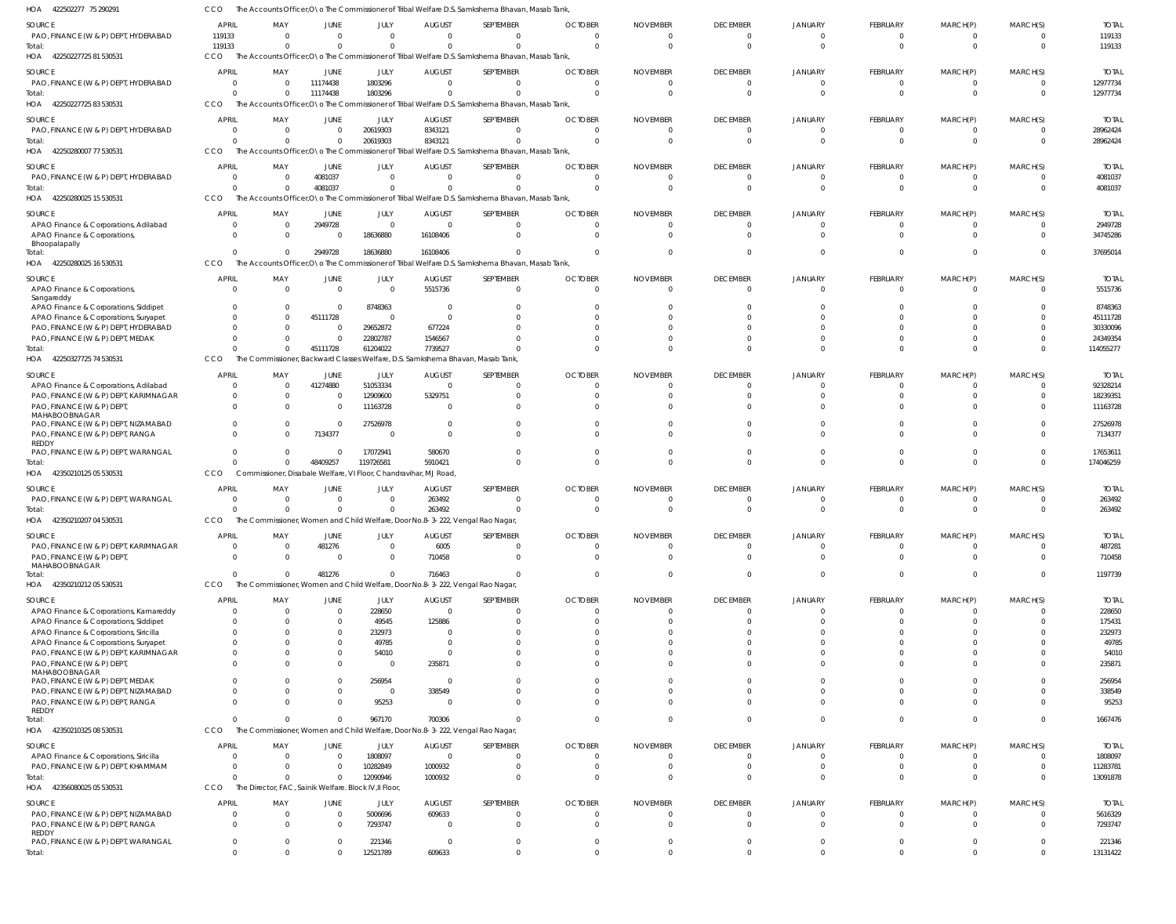| HOA<br>422502277 75 290291                                                      |                                |                                                                  |                          |                         |                                                                               | The Accounts Officer, O a The Commissioner of Tribal Welfare D.S. Samkshema Bhavan, Masab Tank,              |                            |                        |                             |                            |                               |                              |                                           |                          |
|---------------------------------------------------------------------------------|--------------------------------|------------------------------------------------------------------|--------------------------|-------------------------|-------------------------------------------------------------------------------|--------------------------------------------------------------------------------------------------------------|----------------------------|------------------------|-----------------------------|----------------------------|-------------------------------|------------------------------|-------------------------------------------|--------------------------|
| SOURCE                                                                          | <b>APRIL</b>                   | MAY                                                              | <b>JUNE</b>              | JULY                    | <b>AUGUST</b>                                                                 | SEPTEMBER                                                                                                    | <b>OCTOBER</b>             | <b>NOVEMBER</b>        | <b>DECEMBER</b>             | <b>JANUARY</b>             | FEBRUARY                      | MARCH(P)                     | MARCH(S)                                  | <b>TOTAL</b>             |
| PAO, FINANCE (W & P) DEPT, HYDERABAD                                            | 119133                         | $\Omega$                                                         | $\Omega$                 | $\mathbf 0$             | $\Omega$                                                                      | $\Omega$                                                                                                     | $\Omega$                   | $\Omega$               | $\Omega$                    | $\Omega$                   | $^{\circ}$                    | $^{\circ}$                   | $\overline{0}$                            | 119133                   |
| Total:                                                                          | 119133                         | $\Omega$                                                         | $\Omega$                 | $\Omega$                | $\Omega$                                                                      | $\Omega$                                                                                                     | $\cap$                     | $\Omega$               | $\Omega$                    | $\Omega$                   | $\mathbf{0}$                  | $\mathbf{0}$                 | $\overline{0}$                            | 119133                   |
| 42250227725 81 530531<br>HOA                                                    | <b>CCO</b>                     |                                                                  |                          |                         |                                                                               | The Accounts Officer, O \o The Commissioner of Tribal Welfare D.S. Samkshema Bhavan, Masab Tank,             |                            |                        |                             |                            |                               |                              |                                           |                          |
| SOURCE                                                                          | <b>APRIL</b>                   | MAY                                                              | JUNE                     | JULY                    | <b>AUGUST</b>                                                                 | SEPTEMBER                                                                                                    | <b>OCTOBER</b>             | <b>NOVEMBER</b>        | <b>DECEMBER</b>             | <b>JANUARY</b>             | FEBRUARY                      | MARCH(P)                     | MARCH(S)                                  | <b>TOTAL</b>             |
| PAO, FINANCE (W & P) DEPT, HYDERABAD                                            | $\overline{0}$                 |                                                                  | 11174438                 | 1803296                 | $\Omega$                                                                      | $\mathbf 0$                                                                                                  | - 0                        | $\Omega$               | $\mathbf 0$                 | $\Omega$                   | $\overline{0}$                | $\overline{0}$               | $\overline{0}$                            | 12977734                 |
| Total:<br>42250227725 83 530531<br>HOA                                          | $\Omega$<br>CCO                |                                                                  | 11174438                 | 1803296                 |                                                                               | $\Omega$<br>The Accounts Officer, O \o The Commissioner of Tribal Welfare D.S. Samkshema Bhavan, Masab Tank, | - 0                        |                        | $\Omega$                    |                            | $\mathbf{0}$                  | $\overline{0}$               | $\Omega$                                  | 12977734                 |
|                                                                                 |                                |                                                                  |                          |                         |                                                                               |                                                                                                              |                            |                        |                             |                            |                               |                              |                                           |                          |
| SOURCE                                                                          | <b>APRIL</b>                   | MAY                                                              | JUNE                     | JULY                    | <b>AUGUST</b>                                                                 | SEPTEMBER                                                                                                    | <b>OCTOBER</b>             | <b>NOVEMBER</b>        | <b>DECEMBER</b>             | <b>JANUARY</b>             | FEBRUARY                      | MARCH(P)                     | MARCH(S)                                  | <b>TOTAL</b>             |
| PAO, FINANCE (W & P) DEPT, HYDERABAD                                            | $\Omega$<br>$\Omega$           | $\Omega$                                                         | $\Omega$<br>$\mathbf{0}$ | 20619303                | 8343121                                                                       | $\Omega$<br>$\Omega$                                                                                         | - 0<br>- 0                 | $\Omega$<br>$\Omega$   | $\Omega$<br>$\Omega$        | $\Omega$                   | $^{\circ}$<br>$\overline{0}$  | $\mathbf{0}$<br>$\mathbf{0}$ | $\overline{\mathbf{0}}$<br>$\overline{0}$ | 28962424                 |
| Total:<br>HOA 42250280007 77 530531                                             | CCO                            |                                                                  |                          | 20619303                | 8343121                                                                       | The Accounts Officer, O \o The Commissioner of Tribal Welfare D.S. Samkshema Bhavan, Masab Tank,             |                            |                        |                             |                            |                               |                              |                                           | 28962424                 |
|                                                                                 |                                |                                                                  |                          |                         |                                                                               |                                                                                                              |                            |                        |                             |                            |                               |                              |                                           |                          |
| SOURCE<br>PAO, FINANCE (W & P) DEPT, HYDERABAD                                  | <b>APRIL</b><br>$^{\circ}$     | MAY                                                              | JUNE<br>4081037          | JULY<br>$\mathbf 0$     | <b>AUGUST</b><br>$\Omega$                                                     | SEPTEMBER<br>$\overline{0}$                                                                                  | <b>OCTOBER</b>             | <b>NOVEMBER</b>        | <b>DECEMBER</b><br>0        | <b>JANUARY</b><br>0        | FEBRUARY<br>$\overline{0}$    | MARCH(P)<br>$\mathbf{0}$     | MARCH(S)<br>0                             | <b>TOTAL</b><br>4081037  |
| Total:                                                                          | $\mathsf{C}$                   |                                                                  | 4081037                  | $\Omega$                |                                                                               | $\Omega$                                                                                                     |                            |                        | $\Omega$                    |                            | $\mathbf{0}$                  | $\mathbf{0}$                 | $\Omega$                                  | 4081037                  |
| HOA 42250280025 15 530531                                                       | CCO                            |                                                                  |                          |                         |                                                                               | The Accounts Officer, O \o The Commissioner of Tribal Welfare D.S. Samkshema Bhavan, Masab Tank,             |                            |                        |                             |                            |                               |                              |                                           |                          |
| SOURCE                                                                          | <b>APRIL</b>                   | MAY                                                              | JUNE                     | JULY                    | <b>AUGUST</b>                                                                 | SEPTEMBER                                                                                                    | <b>OCTOBER</b>             | <b>NOVEMBER</b>        | <b>DECEMBER</b>             | <b>JANUARY</b>             | FEBRUARY                      | MARCH(P)                     | MARCH(S)                                  | <b>TOTAL</b>             |
| APAO Finance & Corporations, Adilabad                                           | $^{\circ}$                     | - 0                                                              | 2949728                  | $\mathbf 0$             | $\Omega$                                                                      | $\overline{0}$                                                                                               | $\Omega$                   | $\Omega$               | $\Omega$                    | $\Omega$                   | $\overline{0}$                | $\mathbf{0}$                 | $\Omega$                                  | 2949728                  |
| APAO Finance & Corporations                                                     | $\Omega$                       | - 0                                                              | $\Omega$                 | 18636880                | 16108406                                                                      | $\Omega$                                                                                                     | $\cap$                     | $\cap$                 | $\Omega$                    |                            | $\mathbf 0$                   | $\Omega$                     | $\Omega$                                  | 34745286                 |
| Bhoopalapally                                                                   |                                |                                                                  |                          |                         |                                                                               |                                                                                                              |                            |                        |                             |                            |                               |                              |                                           |                          |
| Total:<br>HOA 42250280025 16 530531                                             | $\Omega$<br>CCO                | $\Omega$<br>The Accounts Officer, O\o The Commissioner of Tribal | 2949728                  | 18636880                | 16108406                                                                      | $\Omega$<br>Welfare D.S. Samkshema Bhavan, Masab Tank,                                                       |                            |                        | $\Omega$                    |                            | $\mathbf 0$                   | $\mathbf 0$                  | $\Omega$                                  | 37695014                 |
|                                                                                 |                                |                                                                  |                          |                         |                                                                               |                                                                                                              |                            |                        |                             |                            |                               |                              |                                           |                          |
| SOURCE                                                                          | <b>APRIL</b>                   | MAY                                                              | <b>JUNE</b>              | JULY                    | <b>AUGUST</b>                                                                 | SEPTEMBER                                                                                                    | <b>OCTOBER</b>             | <b>NOVEMBER</b>        | <b>DECEMBER</b>             | <b>JANUARY</b>             | FEBRUARY                      | MARCH(P)                     | MARCH(S)                                  | <b>TOTAL</b>             |
| APAO Finance & Corporations,<br>Sangareddy                                      | - 0                            |                                                                  | - 0                      | $\Omega$                | 5515736                                                                       | $\mathbf 0$                                                                                                  | $\cap$                     |                        | $\Omega$                    | 0                          | $\overline{0}$                | $\mathbf 0$                  | $\Omega$                                  | 5515736                  |
| APAO Finance & Corporations, Siddipet                                           | $\Omega$                       |                                                                  | $\Omega$                 | 8748363                 | - 0                                                                           | $\Omega$                                                                                                     |                            |                        |                             |                            | $\mathbf 0$                   | $\Omega$                     | $\Omega$                                  | 8748363                  |
| APAO Finance & Corporations, Suryapet                                           | $\Omega$                       |                                                                  | 45111728                 | $\mathbf 0$             | - 0                                                                           | $\Omega$                                                                                                     |                            |                        |                             |                            | $\mathbf 0$                   | $\Omega$                     | $\Omega$                                  | 45111728                 |
| PAO, FINANCE (W & P) DEPT, HYDERABAD                                            | -C                             |                                                                  | $\Omega$                 | 29652872                | 677224                                                                        | $\Omega$                                                                                                     |                            |                        |                             |                            | $\Omega$                      | $\Omega$                     | $\Omega$                                  | 30330096                 |
| PAO, FINANCE (W & P) DEPT, MEDAK<br>Total:                                      | $\Omega$<br>C                  |                                                                  | $\Omega$<br>45111728     | 22802787<br>61204022    | 1546567<br>7739527                                                            | $\Omega$<br>$\Omega$                                                                                         |                            |                        |                             |                            | $\mathbf 0$<br>$\mathbf 0$    | $\mathbf 0$<br>$\mathbf 0$   | $\Omega$<br>$\Omega$                      | 24349354<br>114055277    |
| HOA 42250327725 74 530531                                                       | CCO                            | The                                                              |                          |                         | Commissioner, Backward Classes Welfare, D.S. Samkshema Bhavan, Masab Tank,    |                                                                                                              |                            |                        |                             |                            |                               |                              |                                           |                          |
|                                                                                 |                                |                                                                  |                          |                         |                                                                               |                                                                                                              |                            |                        |                             |                            |                               |                              |                                           |                          |
| SOURCE<br>APAO Finance & Corporations, Adilabad                                 | <b>APRIL</b><br>$\Omega$       | MAY                                                              | JUNE<br>41274880         | JULY<br>51053334        | <b>AUGUST</b><br>$\cap$                                                       | SEPTEMBER<br>$\Omega$                                                                                        | <b>OCTOBER</b>             | <b>NOVEMBER</b>        | <b>DECEMBER</b><br>$\Omega$ | <b>JANUARY</b>             | FEBRUARY<br>$\mathbf 0$       | MARCH(P)<br>$\mathbf{0}$     | MARCH(S)<br>$\Omega$                      | <b>TOTAL</b><br>92328214 |
| PAO, FINANCE (W & P) DEPT, KARIMNAGAR                                           | $\Omega$                       |                                                                  | $\Omega$                 | 12909600                | 5329751                                                                       | $\Omega$                                                                                                     |                            |                        | $\Omega$                    |                            | $\mathbf 0$                   | $\Omega$                     | $\Omega$                                  | 18239351                 |
| PAO, FINANCE (W & P) DEPT                                                       | $\Omega$                       |                                                                  | $\Omega$                 | 11163728                | $\cap$                                                                        | $\Omega$                                                                                                     |                            |                        |                             |                            | $\Omega$                      | $\Omega$                     | $\Omega$                                  | 11163728                 |
| MAHABOOBNAGAR                                                                   |                                |                                                                  |                          |                         |                                                                               |                                                                                                              |                            |                        |                             |                            |                               |                              |                                           |                          |
| PAO, FINANCE (W & P) DEPT, NIZAMABAD<br>PAO, FINANCE (W & P) DEPT, RANGA        | $\Omega$<br>$\Omega$           |                                                                  | $\Omega$<br>7134377      | 27526978<br>$\Omega$    | $\cap$                                                                        | $\Omega$<br>$\Omega$                                                                                         |                            |                        |                             |                            | $\Omega$<br>$\Omega$          | $\Omega$<br>$\Omega$         | $\Omega$<br>$\Omega$                      | 27526978<br>7134377      |
| REDDY                                                                           |                                |                                                                  |                          |                         |                                                                               |                                                                                                              |                            |                        |                             |                            |                               |                              |                                           |                          |
| PAO, FINANCE (W & P) DEPT, WARANGAL                                             | $\Omega$                       |                                                                  | $\Omega$                 | 17072941                | 580670                                                                        | $\Omega$                                                                                                     |                            |                        | $\Omega$                    |                            | $\mathbf 0$                   | $\Omega$                     | $\overline{0}$                            | 17653611                 |
| Total:<br>HOA 42350210125 05 530531                                             | $\Omega$                       | $\Omega$                                                         | 48409257                 | 119726581               | 5910421                                                                       | $\Omega$                                                                                                     |                            |                        | $\Omega$                    |                            | $\Omega$                      | $\Omega$                     | $\Omega$                                  | 174046259                |
|                                                                                 | CCO                            | Commissioner, Disabale Welfare, VI Floor, Chandravihar, MJ Road, |                          |                         |                                                                               |                                                                                                              |                            |                        |                             |                            |                               |                              |                                           |                          |
| SOURCE                                                                          | <b>APRIL</b>                   | MAY                                                              | JUNE                     | JULY                    | <b>AUGUST</b>                                                                 | SEPTEMBER                                                                                                    | <b>OCTOBER</b>             | <b>NOVEMBER</b>        | <b>DECEMBER</b>             | JANUARY                    | FEBRUARY                      | MARCH(P)                     | MARCH(S)                                  | <b>TOTAL</b>             |
| PAO, FINANCE (W & P) DEPT, WARANGAL<br>Total:                                   | C<br>C                         |                                                                  | 0<br>$\Omega$            | $\mathbf 0$<br>$\Omega$ | 263492<br>263492                                                              | $\overline{0}$<br>$\Omega$                                                                                   |                            |                        | $\mathbf 0$<br>$\Omega$     |                            | $\overline{0}$<br>$\mathbf 0$ | 0<br>$\Omega$                | $\overline{0}$<br>$\Omega$                | 263492<br>263492         |
| HOA 42350210207 04 530531                                                       | <b>CCO</b>                     |                                                                  |                          |                         | The Commissioner, Women and Child Welfare, Door No.8-3-222, Vengal Rao Nagar, |                                                                                                              |                            |                        |                             |                            |                               |                              |                                           |                          |
|                                                                                 |                                |                                                                  |                          |                         |                                                                               |                                                                                                              |                            |                        |                             |                            |                               |                              |                                           |                          |
| SOURCE<br>PAO, FINANCE (W & P) DEPT, KARIMNAGAR                                 | <b>APRIL</b><br>$\overline{0}$ | MAY<br>$\Omega$                                                  | JUNE<br>481276           | JULY<br>$\mathbf 0$     | <b>AUGUST</b><br>6005                                                         | SEPTEMBER<br>$\overline{0}$                                                                                  | <b>OCTOBER</b><br>$\Omega$ | <b>NOVEMBER</b><br>- 0 | <b>DECEMBER</b><br>$\Omega$ | <b>JANUARY</b><br>$\Omega$ | FEBRUARY<br>$\mathbf 0$       | MARCH(P)<br>$\mathbf{0}$     | MARCH(S)<br>$\Omega$                      | <b>TOTAL</b><br>487281   |
| PAO, FINANCE (W & P) DEPT                                                       | $\Omega$                       | $\Omega$                                                         | $\Omega$                 | $\mathbf 0$             | 710458                                                                        | $\mathbf 0$                                                                                                  | $\Omega$                   | $\Omega$               | $\Omega$                    | $\Omega$                   | $\overline{0}$                | $\mathbf{0}$                 | $\Omega$                                  | 710458                   |
| MAHABOOBNAGAR                                                                   |                                |                                                                  |                          |                         |                                                                               |                                                                                                              |                            |                        |                             |                            |                               |                              |                                           |                          |
| Total:                                                                          | $\Omega$                       |                                                                  | 481276                   | $\Omega$                | 716463                                                                        | $\overline{0}$                                                                                               | - 0                        |                        | $\Omega$                    | $\Omega$                   | $\mathbf 0$                   | $\overline{0}$               | $\overline{\mathbf{0}}$                   | 1197739                  |
| HOA 42350210212 05 530531                                                       | CCO                            |                                                                  |                          |                         | The Commissioner, Women and Child Welfare, Door No.8-3-222, Vengal Rao Nagar, |                                                                                                              |                            |                        |                             |                            |                               |                              |                                           |                          |
| SOURCE                                                                          | APRIL                          | MAY                                                              | <b>JUNE</b>              | JULY                    | <b>AUGUST</b>                                                                 | SEPTEMBER                                                                                                    | <b>OCTOBER</b>             | <b>NOVEMBER</b>        | <b>DECEMBER</b>             | <b>JANUARY</b>             | FEBRUARY                      | MARCH(P)                     | MARCH(S)                                  | <b>TOTAL</b>             |
| APAO Finance & Corporations, Kamareddy                                          | $\mathbf{0}$                   |                                                                  | - 0                      | 228650                  | $\Omega$                                                                      | 0                                                                                                            |                            |                        | 0                           |                            | $\mathbf 0$                   | $\mathbf{0}$                 | - 0                                       | 228650                   |
| APAO Finance & Corporations, Siddipet<br>APAO Finance & Corporations, Siricilla | - 0<br>$\Omega$                |                                                                  | $\Omega$<br>$\Omega$     | 49545<br>232973         | 125886                                                                        | $\Omega$<br>$\Omega$                                                                                         |                            |                        | $\Omega$                    |                            | $\mathbf{0}$<br>$\mathbf 0$   | $\mathbf 0$<br>$\Omega$      | $\Omega$<br>$\Omega$                      | 175431<br>232973         |
| APAO Finance & Corporations, Suryapet                                           | $\Omega$                       |                                                                  | $\Omega$                 | 49785                   |                                                                               | $\Omega$                                                                                                     |                            |                        |                             |                            | $\mathbf 0$                   | $\Omega$                     | $\Omega$                                  | 49785                    |
| PAO, FINANCE (W & P) DEPT, KARIMNAGAR                                           | $\Omega$                       |                                                                  | $\Omega$                 | 54010                   |                                                                               | $\Omega$                                                                                                     |                            |                        |                             |                            | $\mathbf 0$                   | $\Omega$                     | $\Omega$                                  | 54010                    |
| PAO, FINANCE (W & P) DEPT                                                       | $\Omega$                       |                                                                  | $\Omega$                 | 0                       | 235871                                                                        | $\mathbf 0$                                                                                                  |                            |                        |                             |                            | $\mathbf 0$                   | $\mathbf 0$                  | $\Omega$                                  | 235871                   |
| MAHABOOBNAGAR<br>PAO, FINANCE (W & P) DEPT, MEDAK                               | $\Omega$                       |                                                                  | 0                        | 256954                  | $\overline{0}$                                                                | $\Omega$                                                                                                     |                            |                        |                             |                            | $\mathbf 0$                   | $\mathbf 0$                  | $\Omega$                                  | 256954                   |
| PAO, FINANCE (W & P) DEPT, NIZAMABAD                                            | C                              |                                                                  | $\Omega$                 | $\mathbf 0$             | 338549                                                                        | $\Omega$                                                                                                     |                            |                        |                             |                            | $\mathbf 0$                   | $\Omega$                     | $\Omega$                                  | 338549                   |
| PAO, FINANCE (W & P) DEPT, RANGA                                                | $\Omega$                       |                                                                  | $\Omega$                 | 95253                   |                                                                               | $\mathbf 0$                                                                                                  |                            |                        |                             |                            | $\mathbf{0}$                  | $\Omega$                     | $\Omega$                                  | 95253                    |
| REDDY<br>Total:                                                                 | $\Omega$                       |                                                                  | $\mathbf{0}$             | 967170                  | 700306                                                                        | $\Omega$                                                                                                     |                            |                        | $\Omega$                    | $\Omega$                   | $\mathbf{0}$                  | $\mathbf{0}$                 | $\overline{0}$                            | 1667476                  |
| HOA 42350210325 08 530531                                                       | CCO                            | The                                                              |                          |                         | Commissioner, Women and Child Welfare, Door No.8-3-222, Vengal Rao Nagar,     |                                                                                                              |                            |                        |                             |                            |                               |                              |                                           |                          |
|                                                                                 |                                |                                                                  |                          |                         |                                                                               |                                                                                                              |                            |                        |                             |                            |                               |                              |                                           |                          |
| SOURCE<br>APAO Finance & Corporations, Siricilla                                | <b>APRIL</b><br>- 0            | MAY<br>- 0                                                       | JUNE<br>$\Omega$         | JULY<br>1808097         | <b>AUGUST</b><br>$\Omega$                                                     | SEPTEMBER<br>0                                                                                               | <b>OCTOBER</b><br>- 0      | <b>NOVEMBER</b><br>- 0 | <b>DECEMBER</b><br>$\Omega$ | <b>JANUARY</b><br>0        | FEBRUARY<br>$^{\circ}$        | MARCH(P)<br>$\mathbf{0}$     | MARCH(S)<br>- 0                           | <b>TOTAL</b><br>1808097  |
| PAO, FINANCE (W & P) DEPT, KHAMMAM                                              | $\Omega$                       | $\Omega$                                                         | $\Omega$                 | 10282849                | 1000932                                                                       | $\overline{0}$                                                                                               | $\Omega$                   | $\Omega$               | $\mathbf 0$                 | $\Omega$                   | $\overline{0}$                | $\overline{0}$               | $\overline{0}$                            | 11283781                 |
| Total:                                                                          | $\Omega$                       | $\Omega$                                                         | $\overline{0}$           | 12090946                | 1000932                                                                       | $\mathbf 0$                                                                                                  | $\Omega$                   | $\cap$                 | $\Omega$                    | $\Omega$                   | $\mathbf 0$                   | $\overline{0}$               | - 0                                       | 13091878                 |
| HOA 42356080025 05 530531                                                       | CCO                            | The Director, FAC, Sainik Welfare. Block IV, Il Floor,           |                          |                         |                                                                               |                                                                                                              |                            |                        |                             |                            |                               |                              |                                           |                          |
| SOURCE                                                                          | <b>APRIL</b>                   | MAY                                                              | <b>JUNE</b>              | JULY                    | <b>AUGUST</b>                                                                 | SEPTEMBER                                                                                                    | <b>OCTOBER</b>             | <b>NOVEMBER</b>        | <b>DECEMBER</b>             | <b>JANUARY</b>             | FEBRUARY                      | MARCH(P)                     | MARCH(S)                                  | <b>TOTAL</b>             |
| PAO, FINANCE (W & P) DEPT, NIZAMABAD                                            | C                              |                                                                  | $\Omega$                 | 5006696                 | 609633                                                                        | 0                                                                                                            |                            |                        | 0                           | 0                          | $\overline{0}$                | $\mathbf{0}$                 | - 0                                       | 5616329                  |
| PAO, FINANCE (W & P) DEPT, RANGA                                                | $\overline{0}$                 |                                                                  | 0                        | 7293747                 | $\Omega$                                                                      | $\mathbf 0$                                                                                                  | $\Omega$                   | $\Omega$               | $\Omega$                    | $\Omega$                   | $\overline{0}$                | $\mathbf{0}$                 | $\Omega$                                  | 7293747                  |
| REDDY<br>PAO, FINANCE (W & P) DEPT, WARANGAL                                    | $\overline{0}$                 | - 0                                                              | 0                        | 221346                  | $\Omega$                                                                      | $\mathbf 0$                                                                                                  | $\Omega$                   | $\Omega$               | $\mathbf 0$                 | $\mathbf 0$                | $\mathbf 0$                   | $\overline{0}$               | $\overline{\mathbf{0}}$                   | 221346                   |
| Total:                                                                          | $\mathbf 0$                    |                                                                  | $\Omega$                 | 12521789                | 609633                                                                        | $\mathbf 0$                                                                                                  |                            | $\Omega$               | $\Omega$                    | $\Omega$                   | $\overline{0}$                | $\mathbf 0$                  | $\mathbf{0}$                              | 13131422                 |
|                                                                                 |                                |                                                                  |                          |                         |                                                                               |                                                                                                              |                            |                        |                             |                            |                               |                              |                                           |                          |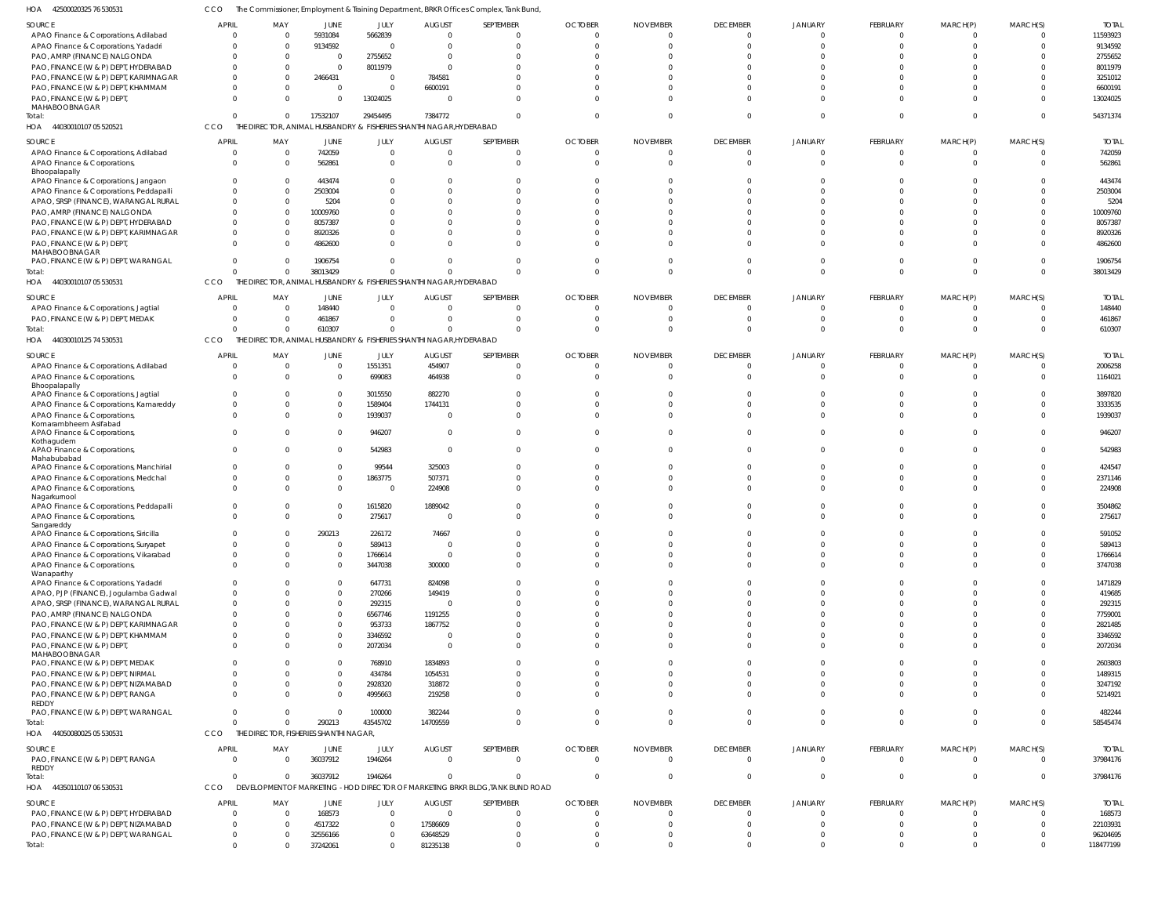42500020325 76 530531 HOA CCO The Commissioner, Employment & Training Department, BRKR Offices Complex, Tank Bund,

| SOURCE                                  | <b>APRIL</b> | MAY                                    | JUNE           | JULY           | <b>AUGUST</b>                                                       | SEPTEMBER                                                                      | <b>OCTOBER</b> | <b>NOVEMBER</b> | <b>DECEMBER</b> | JANUARY     | FEBRUARY       | MARCH(P)       | MARCH(S)       | <b>TOTAL</b> |
|-----------------------------------------|--------------|----------------------------------------|----------------|----------------|---------------------------------------------------------------------|--------------------------------------------------------------------------------|----------------|-----------------|-----------------|-------------|----------------|----------------|----------------|--------------|
| APAO Finance & Corporations, Adilabad   | $\Omega$     | $\Omega$                               | 5931084        | 5662839        |                                                                     | $\Omega$                                                                       | $\Omega$       |                 | $\mathbf{0}$    |             | $\overline{0}$ | $\Omega$       | $\Omega$       | 11593923     |
| APAO Finance & Corporations, Yadadri    |              | $\Omega$                               | 9134592        | $\Omega$       |                                                                     | $\Omega$                                                                       | $\Omega$       |                 | $\Omega$        |             | $\Omega$       | $\Omega$       | $\Omega$       | 9134592      |
| PAO, AMRP (FINANCE) NALGONDA            |              | $\Omega$                               | $\overline{0}$ | 2755652        |                                                                     |                                                                                |                |                 | $\Omega$        |             | $\Omega$       | $\Omega$       |                | 2755652      |
| PAO, FINANCE (W & P) DEPT, HYDERABAD    |              | $\Omega$                               | $\mathbf 0$    | 8011979        |                                                                     |                                                                                |                |                 | $\Omega$        |             | $\Omega$       |                |                | 8011979      |
| PAO, FINANCE (W & P) DEPT, KARIMNAGAR   |              | $\Omega$                               | 2466431        | $\overline{0}$ | 784581                                                              |                                                                                |                |                 | $\Omega$        |             | $\Omega$       | $\Omega$       | $\Omega$       | 3251012      |
|                                         |              |                                        |                |                |                                                                     |                                                                                |                |                 |                 |             |                |                |                |              |
| PAO, FINANCE (W & P) DEPT, KHAMMAM      |              | $\Omega$                               | $\mathbf{0}$   | $\overline{0}$ | 6600191                                                             |                                                                                |                |                 | $\Omega$        |             | $\Omega$       | $\Omega$       | $\Omega$       | 6600191      |
| PAO, FINANCE (W & P) DEPT,              |              | $\Omega$                               | $\Omega$       | 13024025       |                                                                     |                                                                                |                |                 | $\Omega$        |             | $\Omega$       | $\Omega$       | $\Omega$       | 13024025     |
| MAHABOOBNAGAR                           |              |                                        |                |                |                                                                     |                                                                                |                |                 |                 |             |                |                |                |              |
| Total:                                  |              | $\Omega$                               | 17532107       | 29454495       | 7384772                                                             | $\Omega$                                                                       | <sup>0</sup>   |                 | $\Omega$        |             | $\Omega$       | $\Omega$       | $\Omega$       | 54371374     |
| HOA 44030010107 05 520521               | CCO          |                                        |                |                | THE DIRECTOR, ANIMAL HUSBANDRY & FISHERIES SHANTHI NAGAR, HYDERABAD |                                                                                |                |                 |                 |             |                |                |                |              |
| SOURCE                                  | <b>APRIL</b> | MAY                                    | JUNE           | JULY           | <b>AUGUST</b>                                                       | SEPTEMBER                                                                      | <b>OCTOBER</b> | <b>NOVEMBER</b> | <b>DECEMBER</b> | JANUARY     | FEBRUARY       | MARCH(P)       | MARCH(S)       | <b>TOTAL</b> |
|                                         |              |                                        |                |                |                                                                     |                                                                                |                |                 |                 |             |                |                |                |              |
| APAO Finance & Corporations, Adilabad   |              | $\Omega$                               | 742059         | $\overline{0}$ |                                                                     | $\Omega$                                                                       | $\Omega$       |                 | $\overline{0}$  | $\Omega$    | $\mathbf 0$    | 0              | $\overline{0}$ | 742059       |
| APAO Finance & Corporations,            |              | $\Omega$                               | 562861         | $\Omega$       |                                                                     | $\Omega$                                                                       | $\Omega$       |                 | $\Omega$        | $\Omega$    | $\mathbf{0}$   | $\mathbf{0}$   | $\Omega$       | 562861       |
| Bhoopalapally                           |              |                                        |                |                |                                                                     |                                                                                |                |                 |                 |             |                |                |                |              |
| APAO Finance & Corporations, Jangaon    |              |                                        | 443474         | $\Omega$       |                                                                     |                                                                                |                |                 | $\Omega$        |             | $\Omega$       |                |                | 443474       |
| APAO Finance & Corporations, Peddapalli |              |                                        | 2503004        | $\Omega$       |                                                                     |                                                                                |                |                 | $\Omega$        |             | $\Omega$       |                |                | 2503004      |
| APAO, SRSP (FINANCE), WARANGAL RURAL    |              |                                        | 5204           | $\Omega$       |                                                                     |                                                                                |                |                 | $\Omega$        |             | $\Omega$       |                |                | 5204         |
| PAO, AMRP (FINANCE) NALGONDA            |              |                                        | 10009760       | $\Omega$       |                                                                     |                                                                                |                |                 |                 |             | $\Omega$       |                |                | 10009760     |
| PAO, FINANCE (W & P) DEPT, HYDERABAD    |              |                                        | 8057387        | $\Omega$       |                                                                     |                                                                                |                |                 | $\Omega$        |             | $\Omega$       |                |                | 8057387      |
| PAO, FINANCE (W & P) DEPT, KARIMNAGAR   |              |                                        | 8920326        | $\Omega$       |                                                                     |                                                                                |                |                 | $\Omega$        |             | $\Omega$       |                |                | 8920326      |
|                                         |              |                                        |                |                |                                                                     |                                                                                |                |                 |                 |             |                |                |                |              |
| PAO, FINANCE (W & P) DEPT,              |              |                                        | 4862600        | $\Omega$       |                                                                     |                                                                                |                |                 | $\Omega$        |             | $\Omega$       | $\Omega$       | $\Omega$       | 4862600      |
| MAHABOOBNAGAR                           |              |                                        |                | $\Omega$       |                                                                     | $\Omega$                                                                       |                |                 | $\Omega$        |             | $\Omega$       | $\Omega$       | $\Omega$       | 1906754      |
| PAO, FINANCE (W & P) DEPT, WARANGAL     |              |                                        | 1906754        |                |                                                                     |                                                                                |                |                 |                 |             |                |                |                |              |
| Total:                                  |              | $\Omega$                               | 38013429       | $\Omega$       | $\Omega$                                                            | $\Omega$                                                                       | $\Omega$       |                 | $\Omega$        | $\Omega$    | $\Omega$       | $\Omega$       | $\Omega$       | 38013429     |
| HOA 44030010107 05 530531               | CCO          |                                        |                |                | THE DIRECTOR, ANIMAL HUSBANDRY & FISHERIES SHANTHI NAGAR, HYDERABAD |                                                                                |                |                 |                 |             |                |                |                |              |
|                                         | <b>APRIL</b> | MAY                                    | JUNE           | JULY           | <b>AUGUST</b>                                                       | SEPTEMBER                                                                      | <b>OCTOBER</b> | <b>NOVEMBER</b> | <b>DECEMBER</b> |             | FEBRUARY       | MARCH(P)       | MARCH(S)       | <b>TOTAL</b> |
| SOURCE                                  |              |                                        |                |                |                                                                     |                                                                                |                |                 |                 | JANUARY     |                |                |                |              |
| APAO Finance & Corporations, Jagtial    |              | $\Omega$                               | 148440         | $\mathbf{0}$   |                                                                     | $\Omega$                                                                       | $\Omega$       |                 | $\Omega$        | $\Omega$    | $\mathbf 0$    | $\mathbf{0}$   | $\Omega$       | 148440       |
| PAO, FINANCE (W & P) DEPT, MEDAK        | $\Omega$     | $\Omega$                               | 461867         | $\mathbf{0}$   | $\Omega$                                                            | $\Omega$                                                                       | $\Omega$       |                 | $\Omega$        | $\Omega$    | $\mathbf 0$    | $\mathbf 0$    | $\Omega$       | 461867       |
| Total:                                  |              | $\Omega$                               | 610307         | $\mathbf{0}$   |                                                                     | $\Omega$                                                                       | $\Omega$       |                 | $\Omega$        | $\Omega$    | $\mathbf 0$    | $\Omega$       | $\Omega$       | 610307       |
| HOA 44030010125 74 530531               | CCO          |                                        |                |                | THE DIRECTOR, ANIMAL HUSBANDRY & FISHERIES SHANTHI NAGAR, HYDERABAD |                                                                                |                |                 |                 |             |                |                |                |              |
|                                         |              |                                        |                |                |                                                                     |                                                                                |                |                 |                 |             |                |                |                |              |
| SOURCE                                  | <b>APRIL</b> | MAY                                    | <b>JUNE</b>    | JULY           | <b>AUGUST</b>                                                       | SEPTEMBER                                                                      | <b>OCTOBER</b> | <b>NOVEMBER</b> | <b>DECEMBER</b> | JANUARY     | FEBRUARY       | MARCH(P)       | MARCH(S)       | <b>TOTAL</b> |
| APAO Finance & Corporations, Adilabad   |              |                                        | $\mathbf{0}$   | 1551351        | 454907                                                              | $\Omega$                                                                       |                |                 | $\mathbf{0}$    | 0           | $\mathbf 0$    | 0              | $\overline{0}$ | 2006258      |
| APAO Finance & Corporations,            |              | $\Omega$                               | $\mathbf{0}$   | 699083         | 464938                                                              | $\Omega$                                                                       |                |                 | $\Omega$        |             | $\Omega$       | $\Omega$       | $\Omega$       | 1164021      |
| Bhoopalapally                           |              |                                        |                |                |                                                                     |                                                                                |                |                 |                 |             |                |                |                |              |
| APAO Finance & Corporations, Jagtial    |              | $\Omega$                               | $\mathbf{0}$   | 3015550        | 882270                                                              | $\Omega$                                                                       |                |                 | $\Omega$        |             | $\Omega$       | $\Omega$       | $\Omega$       | 3897820      |
| APAO Finance & Corporations, Kamareddy  |              | $\Omega$                               | $\Omega$       | 1589404        | 1744131                                                             |                                                                                |                |                 | $\Omega$        |             | $\Omega$       | $\Omega$       | $\Omega$       | 3333535      |
| APAO Finance & Corporations,            |              | <sup>0</sup>                           | $\Omega$       | 1939037        |                                                                     | $\Omega$                                                                       |                |                 | $\Omega$        |             | $\Omega$       | $\Omega$       | $\Omega$       | 1939037      |
| Komarambheem Asifabad                   |              |                                        |                |                |                                                                     |                                                                                |                |                 |                 |             |                |                |                |              |
| APAO Finance & Corporations,            |              |                                        | $\Omega$       | 946207         |                                                                     | $\Omega$                                                                       |                |                 | $\Omega$        |             | $\Omega$       | $\Omega$       | $\Omega$       | 946207       |
| Kothagudem                              |              |                                        |                |                |                                                                     |                                                                                |                |                 |                 |             |                |                |                |              |
| APAO Finance & Corporations,            |              | <sup>0</sup>                           | $\Omega$       | 542983         | $\Omega$                                                            | $\Omega$                                                                       | $\Omega$       |                 | $\Omega$        |             | $\Omega$       | $\Omega$       | $\Omega$       | 542983       |
| Mahabubabad                             |              |                                        |                |                |                                                                     |                                                                                |                |                 |                 |             |                |                |                |              |
| APAO Finance & Corporations, Manchirial |              | $\Omega$                               | $\Omega$       | 99544          | 325003                                                              | $\Omega$                                                                       |                |                 | $\Omega$        |             | $\Omega$       | $\Omega$       | $\Omega$       | 424547       |
| APAO Finance & Corporations, Medchal    |              | $\Omega$                               | $\mathbf 0$    | 1863775        | 507371                                                              |                                                                                |                |                 | $\Omega$        |             | $\Omega$       | $\Omega$       | $\Omega$       | 2371146      |
|                                         |              |                                        |                |                |                                                                     |                                                                                |                |                 |                 |             |                |                |                |              |
| APAO Finance & Corporations,            |              |                                        | $\Omega$       | 0              | 224908                                                              |                                                                                |                |                 | $\Omega$        |             | $\Omega$       | $\Omega$       | $\Omega$       | 224908       |
| Nagarkurnool                            |              |                                        |                |                |                                                                     |                                                                                |                |                 | $\Omega$        |             |                |                | $\Omega$       |              |
| APAO Finance & Corporations, Peddapalli |              |                                        | $\mathbf{0}$   | 1615820        | 1889042                                                             | $\Omega$                                                                       |                |                 |                 |             | $\Omega$       | $\Omega$       |                | 3504862      |
| APAO Finance & Corporations,            |              | $\Omega$                               | $\Omega$       | 275617         |                                                                     | $\Omega$                                                                       | $\Omega$       |                 | $\Omega$        |             | $\Omega$       | $\Omega$       | $\Omega$       | 275617       |
| Sangareddy                              |              |                                        |                |                |                                                                     |                                                                                |                |                 |                 |             |                |                |                |              |
| APAO Finance & Corporations, Siricilla  | $\cap$       | $\Omega$                               | 290213         | 226172         | 74667                                                               |                                                                                |                |                 |                 |             | $\Omega$       | $\Omega$       | $\Omega$       | 591052       |
| APAO Finance & Corporations, Suryapet   |              |                                        | $\Omega$       | 589413         | $\Omega$                                                            | $\Omega$                                                                       | $\Omega$       |                 | $\Omega$        |             | $\Omega$       | $\Omega$       | $\Omega$       | 589413       |
| APAO Finance & Corporations, Vikarabad  |              | $\Omega$                               | $\mathbf{0}$   | 1766614        | $\Omega$                                                            | $\Omega$                                                                       | $\Omega$       |                 | $\Omega$        | $\Omega$    | $\overline{0}$ | $\Omega$       | $\Omega$       | 1766614      |
| APAO Finance & Corporations,            |              | $\Omega$                               | $\Omega$       | 3447038        | 300000                                                              | $\Omega$                                                                       | $\Omega$       |                 | $\Omega$        | $\Omega$    | $\overline{0}$ | $\Omega$       | $\Omega$       | 3747038      |
| Wanaparthy                              |              |                                        |                |                |                                                                     |                                                                                |                |                 |                 |             |                |                |                |              |
| APAO Finance & Corporations, Yadadri    |              |                                        | $\mathbf{0}$   | 647731         | 824098                                                              | $\Omega$                                                                       | $\Omega$       |                 | $\Omega$        | 0           | $\mathbf 0$    | $\Omega$       | $\Omega$       | 1471829      |
| APAO, PJP (FINANCE), Jogulamba Gadwal   |              |                                        | $\Omega$       | 270266         | 149419                                                              | $\Omega$                                                                       |                |                 | $\Omega$        |             | $\Omega$       | $\Omega$       |                | 419685       |
| APAO, SRSP (FINANCE), WARANGAL RURAL    |              | $\Omega$                               | $\mathbf{0}$   | 292315         |                                                                     |                                                                                |                |                 | $\Omega$        |             | $\Omega$       | $\Omega$       | $\Omega$       | 292315       |
| PAO, AMRP (FINANCE) NALGONDA            |              |                                        | $\Omega$       | 6567746        | 1191255                                                             |                                                                                |                |                 | $\Omega$        |             | $\Omega$       | $\Omega$       |                | 7759001      |
|                                         |              | <sup>0</sup>                           | $\Omega$       |                |                                                                     |                                                                                |                |                 | $\Omega$        |             |                | $\Omega$       |                |              |
| PAO, FINANCE (W & P) DEPT, KARIMNAGAR   |              |                                        |                | 953733         | 1867752                                                             |                                                                                |                |                 |                 |             | $\Omega$       |                |                | 2821485      |
| PAO, FINANCE (W & P) DEPT, KHAMMAM      |              |                                        | $\Omega$       | 3346592        | $\Omega$                                                            |                                                                                |                |                 | $\Omega$        |             | $\Omega$       | $\Omega$       |                | 3346592      |
| PAO, FINANCE (W & P) DEPT,              |              | $\Omega$                               | $\Omega$       | 2072034        | $\Omega$                                                            | $\Omega$                                                                       | <sup>0</sup>   |                 | $\Omega$        | 0           | $\Omega$       | $\Omega$       | $\Omega$       | 2072034      |
| MAHABOOBNAGAR                           |              |                                        |                |                |                                                                     |                                                                                |                |                 |                 |             |                |                |                |              |
| PAO, FINANCE (W & P) DEPT, MEDAK        |              |                                        | $\Omega$       | 768910         | 1834893                                                             |                                                                                |                |                 | $\Omega$        |             | $\Omega$       | $\Omega$       |                | 2603803      |
| PAO, FINANCE (W & P) DEPT, NIRMAL       |              | $\Omega$                               | $\mathbf{0}$   | 434784         | 1054531                                                             |                                                                                | <sup>0</sup>   |                 | $\Omega$        | U           | $\Omega$       | $\Omega$       | $\Omega$       | 1489315      |
| PAO, FINANCE (W & P) DEPT, NIZAMABAD    |              | $\Omega$                               | $\Omega$       | 2928320        | 318872                                                              | $\Omega$                                                                       |                |                 | $\Omega$        |             | $\Omega$       | $\Omega$       |                | 3247192      |
| PAO, FINANCE (W & P) DEPT, RANGA        |              | <sup>0</sup>                           | $\Omega$       | 4995663        | 219258                                                              | $\Omega$                                                                       | <sup>0</sup>   |                 | $\Omega$        |             | $\Omega$       | $\Omega$       |                | 5214921      |
| REDDY                                   |              |                                        |                |                |                                                                     |                                                                                |                |                 |                 |             |                |                |                |              |
| PAO, FINANCE (W & P) DEPT, WARANGAL     |              | $\Omega$                               | $\mathbf{0}$   | 100000         | 382244                                                              | $\Omega$                                                                       | $\Omega$       |                 | $\Omega$        | $\Omega$    | $\mathbf 0$    | $\mathbf{0}$   | $\Omega$       | 482244       |
| Total:                                  |              | $\Omega$                               | 290213         | 43545702       | 14709559                                                            | $\Omega$                                                                       | $\Omega$       | $\Omega$        | $\Omega$        | $\Omega$    | $\overline{0}$ | $\mathbf{0}$   | $\Omega$       | 58545474     |
| 44050080025 05 530531<br>HOA            | CCO          | THE DIRECTOR, FISHERIES SHANTHI NAGAR, |                |                |                                                                     |                                                                                |                |                 |                 |             |                |                |                |              |
|                                         |              |                                        |                |                |                                                                     |                                                                                |                |                 |                 |             |                |                |                |              |
| SOURCE                                  | <b>APRIL</b> | MAY                                    | <b>JUNE</b>    | JULY           | <b>AUGUST</b>                                                       | SEPTEMBER                                                                      | <b>OCTOBER</b> | <b>NOVEMBER</b> | <b>DECEMBER</b> | JANUARY     | FEBRUARY       | MARCH(P)       | MARCH(S)       | <b>TOTAL</b> |
| PAO, FINANCE (W & P) DEPT, RANGA        | $\Omega$     | $\Omega$                               | 36037912       | 1946264        | $\Omega$                                                            | $\overline{0}$                                                                 | $\overline{0}$ | $\Omega$        | $\overline{0}$  | $\Omega$    | $\overline{0}$ | $\overline{0}$ | $\overline{0}$ | 37984176     |
| REDDY                                   |              |                                        |                |                |                                                                     |                                                                                |                |                 |                 |             |                |                |                |              |
| Total:                                  | $\Omega$     | $^{\circ}$                             | 36037912       | 1946264        | $\Omega$                                                            | $\Omega$                                                                       | $\overline{0}$ | $\Omega$        | $\overline{0}$  | $\mathbf 0$ | $\overline{0}$ | $\mathbf 0$    | $\overline{0}$ | 37984176     |
| HOA 44350110107 06 530531               | CCO          |                                        |                |                |                                                                     | DEVELOPMENT OF MARKETING - HOD DIRECTOR OF MARKETING BRKR BLDG, TANK BUND ROAD |                |                 |                 |             |                |                |                |              |
|                                         |              |                                        |                |                |                                                                     |                                                                                |                |                 |                 |             |                |                |                |              |
| SOURCE                                  | <b>APRIL</b> | MAY                                    | <b>JUNE</b>    | JULY           | <b>AUGUST</b>                                                       | SEPTEMBER                                                                      | <b>OCTOBER</b> | <b>NOVEMBER</b> | <b>DECEMBER</b> | JANUARY     | FEBRUARY       | MARCH(P)       | MARCH(S)       | <b>TOTAL</b> |
| PAO, FINANCE (W & P) DEPT, HYDERABAD    | $\Omega$     | $\Omega$                               | 168573         | $\mathbf{0}$   | $\Omega$                                                            | $\Omega$                                                                       | $\Omega$       |                 | $\mathbf{0}$    | $\Omega$    | $\mathbf 0$    | $\Omega$       | $\Omega$       | 168573       |
| PAO, FINANCE (W & P) DEPT, NIZAMABAD    |              | $\Omega$                               | 4517322        | $\overline{0}$ | 17586609                                                            | $\Omega$                                                                       | $\Omega$       |                 | $\Omega$        | $\Omega$    | $\overline{0}$ | $\Omega$       | $\Omega$       | 22103931     |
| PAO, FINANCE (W & P) DEPT, WARANGAL     | $\Omega$     |                                        | 32556166       | $\mathbf 0$    | 63648529                                                            | $\mathbf 0$                                                                    | $\Omega$       |                 | $\overline{0}$  | $\mathbf 0$ | $\overline{0}$ | $\mathbf{0}$   |                | 96204695     |
|                                         |              |                                        |                |                |                                                                     |                                                                                |                |                 |                 |             |                |                |                |              |
| Total:                                  | $\Omega$     | $\Omega$                               | 37242061       | $\mathbf 0$    | 81235138                                                            | $\Omega$                                                                       | $\Omega$       | $\Omega$        | $\Omega$        | $\Omega$    | $\mathbf{0}$   | $\mathbf 0$    | $\Omega$       | 118477199    |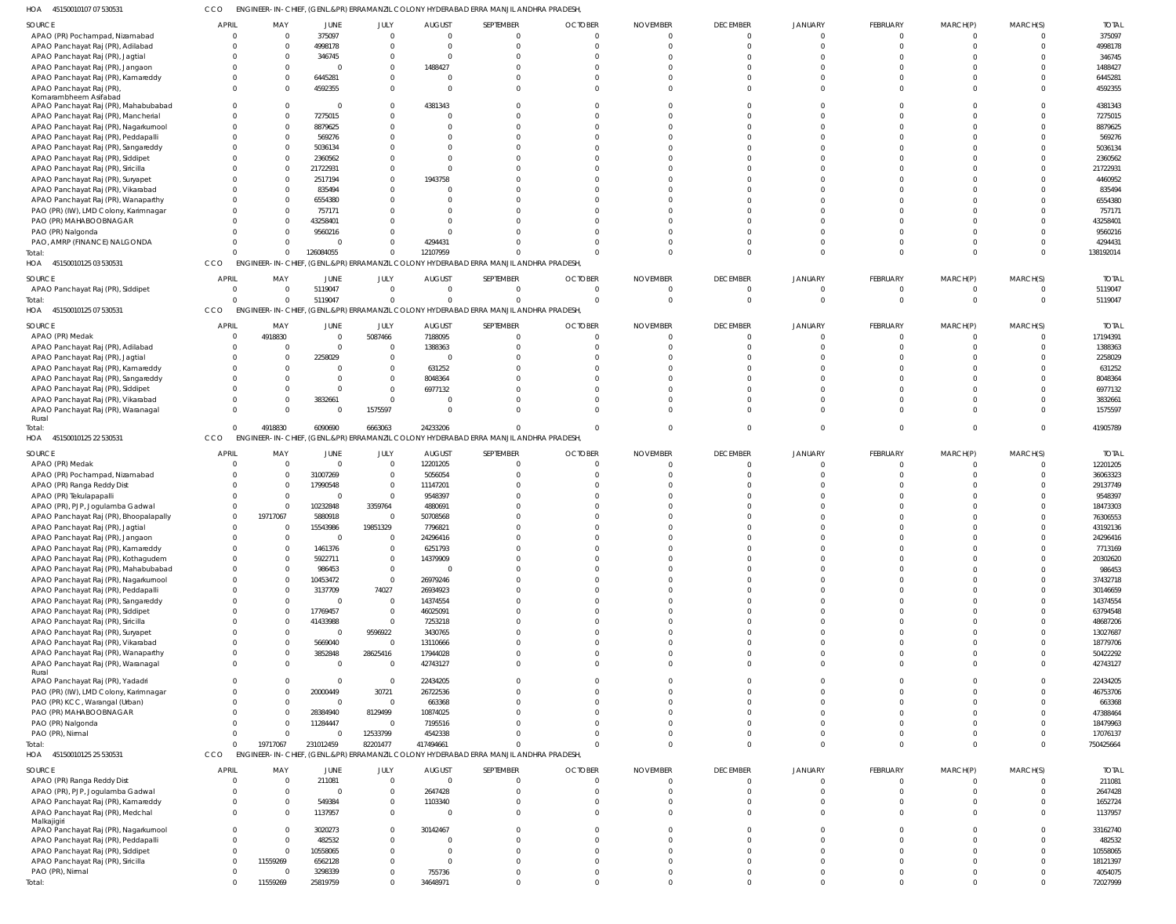45150010107 07 530531 HOA CCO ENGINEER-IN-CHIEF, (GENL.&PR) ERRAMANZIL COLONY HYDERABAD ERRA MANJIL ANDHRA PRADESH,

| SOURCE                                 | APRIL        | MAY      | JUNE                | JULY                 | <b>AUGUST</b>      | SEPTEMBER                                                                             | <b>OCTOBER</b> | <b>NOVEMBER</b> | <b>DECEMBER</b>      | JANUARY              | FEBRUARY             | MARCH(P)             | MARCH(S) | <b>TOTAI</b>        |
|----------------------------------------|--------------|----------|---------------------|----------------------|--------------------|---------------------------------------------------------------------------------------|----------------|-----------------|----------------------|----------------------|----------------------|----------------------|----------|---------------------|
| APAO (PR) Pochampad, Nizamabad         |              |          | 375097              | $\Omega$             | $\Omega$           | $\mathbf{0}$                                                                          |                |                 | $\Omega$             | $\Omega$             | $\overline{0}$       | $\Omega$             |          | 375097              |
| APAO Panchayat Raj (PR), Adilabad      |              |          | 4998178             | $\Omega$             |                    | $\Omega$                                                                              |                |                 | $\Omega$             | $\Omega$             | $\Omega$             |                      | $\Omega$ | 4998178             |
| APAO Panchayat Raj (PR), Jagtial       |              |          | 346745              | $\Omega$             |                    | $\Omega$                                                                              |                |                 |                      |                      |                      |                      |          | 346745              |
| APAO Panchayat Raj (PR), Jangaon       |              |          | 0                   | $\Omega$             | 1488427            | $\Omega$                                                                              |                |                 |                      |                      |                      |                      |          | 1488427             |
| APAO Panchayat Raj (PR), Kamareddy     |              |          | 6445281             | $\Omega$             |                    | $\Omega$                                                                              |                |                 |                      |                      |                      |                      |          | 6445281             |
| APAO Panchayat Raj (PR)                |              |          | 4592355             | $\Omega$             |                    | $\Omega$                                                                              |                |                 |                      |                      | $\Omega$             |                      | $\Omega$ | 4592355             |
| Komarambheem Asifabad                  |              |          |                     |                      |                    |                                                                                       |                |                 |                      |                      |                      |                      |          |                     |
| APAO Panchayat Raj (PR), Mahabubabad   |              |          | $\Omega$            | $\Omega$             | 4381343            | $\Omega$                                                                              |                |                 |                      |                      |                      |                      |          | 4381343             |
| APAO Panchayat Raj (PR), Mancherial    |              |          | 7275015             | $\Omega$             |                    | $\Omega$                                                                              |                |                 |                      |                      | $\Omega$             |                      |          | 7275015             |
|                                        |              |          | 8879625             | $\Omega$             |                    | $\Omega$                                                                              |                |                 |                      |                      |                      |                      |          | 8879625             |
| APAO Panchayat Raj (PR), Nagarkurnool  |              |          |                     |                      |                    |                                                                                       |                |                 |                      |                      |                      |                      |          |                     |
| APAO Panchayat Raj (PR), Peddapalli    |              |          | 569276              | $\Omega$             |                    | $\Omega$                                                                              |                |                 |                      |                      |                      |                      |          | 569276              |
| APAO Panchayat Raj (PR), Sangareddy    |              |          | 5036134             | $\Omega$             |                    | $\Omega$                                                                              |                |                 |                      |                      |                      |                      |          | 5036134             |
| APAO Panchayat Raj (PR), Siddipet      |              |          | 2360562             | $\Omega$             |                    | $\Omega$                                                                              |                |                 |                      |                      |                      |                      |          | 2360562             |
| APAO Panchayat Raj (PR), Siricilla     |              |          | 21722931            | $\Omega$             |                    |                                                                                       |                |                 |                      |                      |                      |                      |          | 21722931            |
| APAO Panchayat Raj (PR), Suryapet      |              |          | 2517194             | $\Omega$             | 1943758            |                                                                                       |                |                 |                      |                      |                      |                      |          | 4460952             |
| APAO Panchayat Raj (PR), Vikarabad     |              |          | 835494              | $\Omega$             |                    |                                                                                       |                |                 |                      |                      |                      |                      |          | 835494              |
| APAO Panchayat Raj (PR), Wanaparthy    |              |          | 6554380             | $\Omega$             |                    | $\Omega$                                                                              |                |                 |                      |                      |                      |                      |          | 6554380             |
| PAO (PR) (IW), LMD Colony, Karimnagar  |              |          | 757171              | $\Omega$             |                    |                                                                                       |                |                 |                      |                      |                      |                      |          | 757171              |
| PAO (PR) MAHABOOBNAGAR                 |              |          | 43258401            | $\Omega$             |                    |                                                                                       |                |                 |                      |                      |                      |                      |          | 43258401            |
|                                        |              |          |                     | $\Omega$             |                    |                                                                                       |                |                 |                      |                      |                      |                      |          |                     |
| PAO (PR) Nalgonda                      |              |          | 9560216             |                      |                    |                                                                                       |                |                 |                      |                      |                      |                      |          | 9560216             |
| PAO, AMRP (FINANCE) NALGONDA           |              |          | 0                   | $\Omega$             | 4294431            | $\Omega$                                                                              |                |                 |                      |                      | $\Omega$             |                      |          | 4294431             |
| Total:                                 |              | 0        | 126084055           | $\Omega$             | 12107959           | $\Omega$                                                                              |                |                 |                      | $\Omega$             | $\Omega$             | $\Omega$             | $\Omega$ | 138192014           |
| 45150010125 03 530531<br>HOA           | CCO          |          |                     |                      |                    | ENGINEER-IN-CHIEF, (GENL.&PR) ERRAMANZIL COLONY HYDERABAD ERRA MANJIL ANDHRA PRADESH  |                |                 |                      |                      |                      |                      |          |                     |
|                                        | <b>APRIL</b> | MAY      |                     |                      |                    |                                                                                       |                |                 |                      |                      |                      |                      |          | <b>TOTAI</b>        |
| SOURCE                                 |              |          | JUNE                | JULY                 | <b>AUGUST</b>      | SEPTEMBER                                                                             | <b>OCTOBER</b> | <b>NOVEMBER</b> | <b>DECEMBER</b>      | <b>JANUARY</b>       | <b>FEBRUARY</b>      | MARCH(P)             | MARCH(S) |                     |
| APAO Panchayat Raj (PR), Siddipet      | $\Omega$     | $\Omega$ | 5119047             | $\mathbf{0}$         | $\Omega$           | $\mathbf{0}$                                                                          |                | - 0             | $\Omega$             | $\Omega$             | $\overline{0}$       | $\Omega$             | $\Omega$ | 5119047             |
| Total:                                 |              | $\Omega$ | 5119047             | $\Omega$             | $\Omega$           | $\mathbf 0$                                                                           | $\Omega$       | - 0             | $\Omega$             | $\Omega$             | $\overline{0}$       | $\overline{0}$       | $\Omega$ | 5119047             |
| 45150010125 07 530531<br>HOA           | CCO          |          |                     |                      |                    | ENGINEER-IN-CHIEF, (GENL.&PR) ERRAMANZIL COLONY HYDERABAD ERRA MANJIL ANDHRA PRADESH, |                |                 |                      |                      |                      |                      |          |                     |
|                                        |              |          |                     |                      |                    |                                                                                       |                |                 |                      |                      |                      |                      |          |                     |
| SOURCE                                 | <b>APRIL</b> | MAY      | <b>JUNE</b>         | JULY                 | <b>AUGUST</b>      | SEPTEMBER                                                                             | <b>OCTOBER</b> | <b>NOVEMBER</b> | <b>DECEMBER</b>      | <b>JANUARY</b>       | FEBRUARY             | MARCH(P)             | MARCH(S) | <b>TOTAL</b>        |
| APAO (PR) Medak                        |              | 4918830  | $\Omega$            | 5087466              | 7188095            | $\mathbf{0}$                                                                          |                |                 | $\Omega$             | $\Omega$             | $\Omega$             | $\Omega$             |          | 17194391            |
| APAO Panchayat Raj (PR), Adilabad      |              |          | $\Omega$            | $\Omega$             | 1388363            | $\Omega$                                                                              |                |                 |                      |                      | $\Omega$             |                      |          | 1388363             |
| APAO Panchayat Raj (PR), Jagtial       |              |          | 2258029             | $\Omega$             |                    | $\Omega$                                                                              |                |                 |                      |                      |                      |                      |          | 2258029             |
| APAO Panchayat Raj (PR), Kamareddy     |              |          |                     | $\Omega$             | 631252             | $\Omega$                                                                              |                |                 |                      |                      |                      |                      |          | 631252              |
| APAO Panchayat Raj (PR), Sangareddy    |              |          | 0                   | $\Omega$             | 8048364            | $\Omega$                                                                              |                |                 |                      |                      |                      |                      |          | 8048364             |
| APAO Panchayat Raj (PR), Siddipet      |              |          | $\Omega$            | $\Omega$             | 6977132            |                                                                                       |                |                 |                      |                      |                      |                      |          | 6977132             |
| APAO Panchayat Raj (PR), Vikarabad     |              |          | 3832661             | $\overline{0}$       |                    | $\Omega$                                                                              |                |                 |                      |                      |                      |                      |          | 3832661             |
| APAO Panchayat Raj (PR), Waranagal     |              |          | $\Omega$            | 1575597              | $\Omega$           | $\Omega$                                                                              |                |                 |                      |                      | $\Omega$             |                      | $\Omega$ | 1575597             |
| Rural                                  |              |          |                     |                      |                    |                                                                                       |                |                 |                      |                      |                      |                      |          |                     |
| Total:                                 |              | 4918830  | 6090690             | 6663063              | 24233206           | $\Omega$                                                                              |                |                 | $\Omega$             | $\Omega$             | $\Omega$             | $\Omega$             | $\Omega$ | 41905789            |
| 45150010125 22 530531<br>HOA           | CCO          |          |                     |                      |                    | ENGINEER-IN-CHIEF, (GENL.&PR) ERRAMANZIL COLONY HYDERABAD ERRA MANJIL ANDHRA PRADESH  |                |                 |                      |                      |                      |                      |          |                     |
|                                        |              |          |                     |                      |                    |                                                                                       |                |                 |                      |                      |                      |                      |          |                     |
| SOURCE                                 | <b>APRIL</b> | MAY      | JUNE                | JULY                 | <b>AUGUST</b>      | SEPTEMBER                                                                             | <b>OCTOBER</b> | <b>NOVEMBER</b> | <b>DECEMBER</b>      | JANUARY              | <b>FEBRUARY</b>      | MARCH(P)             | MARCH(S) | <b>TOTAL</b>        |
| APAO (PR) Medak                        |              | $\Omega$ | $\mathbf 0$         | $\overline{0}$       | 12201205           | $\overline{0}$                                                                        |                |                 | $\Omega$             | $\Omega$             | $\Omega$             | $\Omega$             | $\Omega$ | 12201205            |
| APAO (PR) Pochampad, Nizamabad         |              | $\Omega$ | 31007269            | $\mathbf{0}$         | 5056054            | $\Omega$                                                                              |                |                 |                      |                      | $\Omega$             |                      |          | 36063323            |
| APAO (PR) Ranga Reddy Dist             |              | $\Omega$ | 17990548            | $\overline{0}$       | 11147201           | $\Omega$                                                                              |                |                 |                      |                      | $\Omega$             |                      |          | 29137749            |
| APAO (PR) Tekulapapalli                |              | $\Omega$ | $\mathbf 0$         | $\mathbf{0}$         | 9548397            | $\Omega$                                                                              |                |                 |                      |                      |                      |                      |          | 9548397             |
| APAO (PR), PJP, Jogulamba Gadwal       |              | $\Omega$ | 10232848            | 3359764              | 4880691            | $\Omega$                                                                              |                |                 |                      |                      |                      |                      |          | 18473303            |
|                                        |              |          |                     |                      |                    |                                                                                       |                |                 |                      |                      |                      |                      |          |                     |
| APAO Panchayat Raj (PR), Bhoopalapally |              | 19717067 | 5880918             | $\overline{0}$       | 50708568           | $\Omega$                                                                              |                |                 |                      |                      |                      |                      |          | 76306553            |
| APAO Panchayat Raj (PR), Jagtial       | $\Omega$     | $\Omega$ | 15543986            | 19851329             | 7796821            | $\Omega$                                                                              |                |                 |                      |                      |                      |                      | $\Omega$ | 43192136            |
| APAO Panchayat Raj (PR), Jangaon       |              |          |                     | 0                    | 24296416           |                                                                                       |                |                 |                      |                      |                      |                      |          | 24296416            |
| APAO Panchayat Raj (PR), Kamareddy     |              |          | 1461376             | $\overline{0}$       | 6251793            | $\Omega$                                                                              |                |                 |                      |                      | $\Omega$             |                      |          | 7713169             |
| APAO Panchayat Raj (PR), Kothagudem    |              | $\Omega$ | 5922711             | $\mathbf{0}$         | 14379909           | $\mathbf 0$                                                                           |                |                 | $\Omega$             | $\Omega$             | $\Omega$             |                      | $\Omega$ | 20302620            |
| APAO Panchayat Raj (PR), Mahabubabad   |              | $\Omega$ | 986453              | $\mathbf{0}$         | $\Omega$           | $\Omega$                                                                              |                |                 |                      | $\Omega$             | $\Omega$             |                      |          | 986453              |
| APAO Panchayat Raj (PR), Nagarkurnool  |              |          | 10453472            | $\overline{0}$       | 26979246           | $\Omega$                                                                              |                |                 |                      | $\Omega$             | $\Omega$             |                      |          | 37432718            |
| APAO Panchayat Raj (PR), Peddapalli    |              |          | 3137709             | 74027                | 26934923           | $\Omega$                                                                              |                |                 |                      | $\Omega$             | $\Omega$             |                      | $\Omega$ | 30146659            |
| APAO Panchayat Raj (PR), Sangareddy    |              | $\Omega$ | $\mathbf 0$         | $\overline{0}$       | 14374554           | $\Omega$                                                                              |                |                 |                      | $\Omega$             | $\Omega$             |                      |          | 14374554            |
|                                        |              |          |                     |                      |                    | $\Omega$                                                                              |                |                 |                      | $\Omega$             | $\Omega$             |                      |          |                     |
| APAO Panchayat Raj (PR), Siddipet      |              |          | 17769457            | $\overline{0}$       | 46025091           |                                                                                       |                |                 |                      |                      |                      |                      |          | 63794548            |
| APAO Panchayat Raj (PR), Siricilla     |              |          | 41433988            | $\overline{0}$       | 7253218            | $\mathbf 0$                                                                           |                |                 |                      | $\Omega$             | $\Omega$             |                      |          | 48687206            |
| APAO Panchayat Raj (PR), Suryapet      |              | $\Omega$ | $\Omega$            | 9596922              | 3430765            | $\Omega$                                                                              |                |                 |                      | $\Omega$             | $\Omega$             |                      | $\Omega$ | 13027687            |
| APAO Panchayat Raj (PR), Vikarabad     |              |          | 5669040             | $\overline{0}$       | 13110666           | $\Omega$                                                                              |                |                 |                      | $\Omega$             | $\Omega$             |                      | $\Omega$ | 18779706            |
| APAO Panchayat Raj (PR), Wanaparthy    |              | $\Omega$ | 3852848             | 28625416             | 17944028           | $\Omega$                                                                              |                |                 |                      | $\Omega$             | $\Omega$             | $\Omega$             | $\Omega$ | 50422292            |
| APAO Panchayat Raj (PR), Waranagal     |              | $\Omega$ | $\overline{0}$      | $\overline{0}$       | 42743127           | $\Omega$                                                                              |                |                 |                      | $\Omega$             | $\Omega$             | $\Omega$             | $\Omega$ | 42743127            |
| Rural                                  |              |          |                     |                      |                    |                                                                                       |                |                 |                      |                      |                      |                      |          |                     |
| APAO Panchayat Raj (PR), Yadadri       |              |          | $\Omega$            | $\overline{0}$       | 22434205           | $\Omega$                                                                              |                |                 | $\Omega$             | $\Omega$             | $\Omega$             | $\Omega$             | $\Omega$ | 22434205            |
| PAO (PR) (IW), LMD Colony, Karimnagar  |              |          | 20000449            | 30721                | 26722536           | $\mathbf 0$                                                                           |                |                 |                      | $\Omega$             | $\Omega$             |                      |          | 46753706            |
| PAO (PR) KCC, Warangal (Urban)         |              | $\Omega$ | $\Omega$            | $\overline{0}$       | 663368             | $\Omega$                                                                              |                |                 | $\Omega$             | $\Omega$             | $\Omega$             | $\Omega$             | $\Omega$ | 663368              |
| PAO (PR) MAHABOOBNAGAR                 |              |          | 28384940            | 8129499              | 10874025           | $\Omega$                                                                              |                |                 |                      | $\Omega$             | $\Omega$             |                      |          | 47388464            |
| PAO (PR) Nalgonda                      |              | $\Omega$ | 11284447            | $\overline{0}$       | 7195516            | $\Omega$                                                                              |                |                 |                      | $\Omega$             | $\Omega$             | $\Omega$             | $\Omega$ | 18479963            |
| PAO (PR), Nirmal                       |              | $\Omega$ | $\Omega$            | 12533799             | 4542338            | $\mathbf 0$                                                                           |                |                 |                      | $\Omega$             | $\Omega$             | $\Omega$             | $\Omega$ | 17076137            |
| Total:                                 |              |          |                     |                      |                    |                                                                                       |                |                 |                      | $\Omega$             | $\Omega$             | $\Omega$             | $\Omega$ | 750425664           |
|                                        |              |          |                     |                      |                    |                                                                                       |                |                 |                      |                      |                      |                      |          |                     |
|                                        |              | 19717067 | 231012459           | 82201477             | 417494661          | $\Omega$                                                                              |                |                 |                      |                      |                      |                      |          |                     |
| HOA 45150010125 25 530531              | CCO          |          |                     |                      |                    | ENGINEER-IN-CHIEF, (GENL.&PR) ERRAMANZIL COLONY HYDERABAD ERRA MANJIL ANDHRA PRADESH  |                |                 |                      |                      |                      |                      |          |                     |
| SOURCE                                 | APRIL        | MAY      | <b>JUNE</b>         | JULY                 | <b>AUGUST</b>      | SEPTEMBER                                                                             | <b>OCTOBER</b> | <b>NOVEMBER</b> | <b>DECEMBER</b>      | JANUARY              | FEBRUARY             | MARCH(P)             | MARCH(S) | <b>TOTAL</b>        |
|                                        |              |          |                     |                      | $\Omega$           |                                                                                       |                |                 |                      |                      |                      |                      | $\Omega$ |                     |
| APAO (PR) Ranga Reddy Dist             |              |          | 211081              | $\mathbf 0$          |                    | $\mathbf{0}$                                                                          |                |                 | $\overline{0}$       | $\overline{0}$       | $\overline{0}$       | $\mathbf 0$          |          | 211081              |
| APAO (PR), PJP, Jogulamba Gadwal       |              | $\Omega$ | $\mathbf 0$         | $\mathbf 0$          | 2647428            | $\mathbf 0$                                                                           |                |                 | $\Omega$             | $\Omega$             | $\Omega$             | $\Omega$             | $\Omega$ | 2647428             |
| APAO Panchayat Raj (PR), Kamareddy     |              |          | 549384              | $\mathbf 0$          | 1103340            | $\mathbf 0$                                                                           |                |                 | $\Omega$             | $\Omega$             | $\Omega$             | $\Omega$             | $\Omega$ | 1652724             |
| APAO Panchayat Raj (PR), Medchal       |              |          | 1137957             | $\mathbf 0$          | $\Omega$           | $\Omega$                                                                              |                |                 |                      | $\Omega$             | $\Omega$             | $\Omega$             | $\Omega$ | 1137957             |
| Malkajigiri                            |              |          |                     |                      |                    |                                                                                       |                |                 |                      |                      |                      |                      |          |                     |
| APAO Panchayat Raj (PR), Nagarkurnool  |              |          | 3020273             | $\Omega$             | 30142467           | $\Omega$                                                                              |                |                 |                      |                      | $\Omega$             |                      |          | 33162740            |
| APAO Panchayat Raj (PR), Peddapalli    |              | $\Omega$ | 482532              | $\overline{0}$       |                    | $\Omega$                                                                              |                |                 | $\Omega$             | $\Omega$             | $\Omega$             |                      |          | 482532              |
| APAO Panchayat Raj (PR), Siddipet      |              | $\Omega$ | 10558065            | $\Omega$             | $\Omega$           | $\Omega$                                                                              |                |                 |                      | $\Omega$             | $\Omega$             |                      |          | 10558065            |
| APAO Panchayat Raj (PR), Siricilla     |              | 11559269 | 6562128             | $\Omega$             | $\Omega$           | $\Omega$                                                                              |                |                 |                      | $\Omega$             | $\Omega$             |                      |          | 18121397            |
| PAO (PR), Nirmal<br>Total:             |              | 11559269 | 3298339<br>25819759 | $\Omega$<br>$\Omega$ | 755736<br>34648971 | $\mathbf 0$<br>$\Omega$                                                               |                |                 | $\Omega$<br>$\Omega$ | $\Omega$<br>$\Omega$ | $\Omega$<br>$\Omega$ | $\Omega$<br>$\Omega$ | $\Omega$ | 4054075<br>72027999 |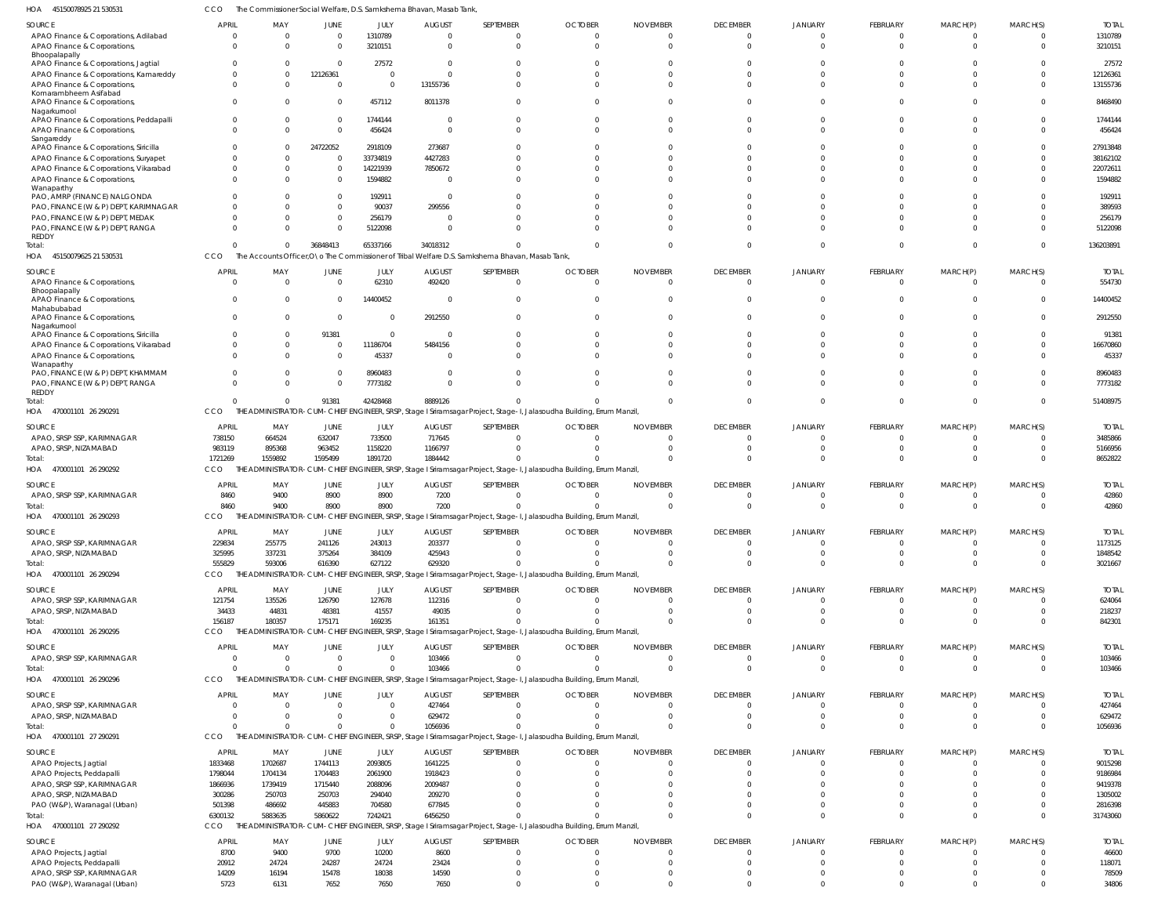45150079625 21 530531 HOA 470001101 26 290291 HOA 470001101 26 290292 470001101 26 290293 470001101 26 290294 HOA 470001101 26 290295 HOA 470001101 26 290296 HOA 470001101 27 290291 HOA 470001101 27 290292 HOA HOA HOA The Accounts Officer,O\o The Commissioner of Tribal Welfare D.S. Samkshema Bhavan, Masab Tank, THE ADMINISTRATOR-CUM-CHIEF ENGINEER, SRSP, Stage I Sriramsagar Project, Stage-I, Jalasoudha Building, Errum Manzil, THE ADMINISTRATOR-CUM-CHIEF ENGINEER, SRSP, Stage I Sriramsagar Project, Stage-I, Jalasoudha Building, Errum Manzil, THE ADMINISTRATOR-CUM-CHIEF ENGINEER, SRSP, Stage I Sriramsagar Project, Stage-I, Jalasoudha Building, Errum Manzil, THE ADMINISTRATOR-CUM-CHIEF ENGINEER, SRSP, Stage I Sriramsagar Project, Stage-I, Jalasoudha Building, Errum Manzil, THE ADMINISTRATOR-CUM-CHIEF ENGINEER, SRSP, Stage I Sriramsagar Project, Stage-I, Jalasoudha Building, Errum Manzil, THE ADMINISTRATOR-CUM-CHIEF ENGINEER, SRSP, Stage I Sriramsagar Project, Stage-I, Jalasoudha Building, Errum Manzil, THE ADMINISTRATOR-CUM-CHIEF ENGINEER, SRSP, Stage I Sriramsagar Project, Stage-I, Jalasoudha Building, Errum Manzil, THE ADMINISTRATOR-CUM-CHIEF ENGINEER, SRSP, Stage I Sriramsagar Project, Stage-I, Jalasoudha Building, Errum Manzil, **CCO** CCO **CCO** CCO CCO CCO **CCO** CCO **CCO** 0  $\Omega$ 1721269 8460 555829 156187  $\Omega$ 0 6300132 0 0 1559892 9400 593006 180357 0 0 5883635 36848413 91381 1595499 8900 616390 175171 0 0 5860622 65337166 42428468 1891720 8900 627122 169235  $\Omega$ 0 7242421 34018312 8889126 1884442 7200 629320 161351 103466 1056936 6456250 0 0 0 0 0 0 0 0 0  $\Omega$  $\Omega$ 0 0  $\Omega$ 0 0 0 0 0 0 0 0 0 0 0 0 0 0 0 0 0  $\Omega$ 0  $\Omega$ 0 0 0 0 0  $\Omega$ 0 0  $\Omega$ 0 0 0 0 0  $\Omega$ 0 0 0 0 0 0 0 0 0 0 0 0 0 0 0 0 0  $\Omega$ 0 0  $\Omega$ 0 0 136203891 51408975 8652822 42860 3021667 842301 103466 1056936 31743060 APAO Finance & Corporations, Adilabad APAO Finance & Corporations, Bhoopalapally APAO Finance & Corporations, Jagtial APAO Finance & Corporations, Kamareddy APAO Finance & Corporations, Komarambheem Asifabad APAO Finance & Corporations, Nagarkurnool APAO Finance & Corporations, Peddapalli APAO Finance & Corporations, Sangareddy APAO Finance & Corporations, Siricilla APAO Finance & Corporations, Suryapet APAO Finance & Corporations, Vikarabad APAO Finance & Corporations, Wanaparthy PAO, AMRP (FINANCE) NALGONDA PAO, FINANCE (W & P) DEPT, KARIMNAGAR PAO, FINANCE (W & P) DEPT, MEDAK PAO, FINANCE (W & P) DEPT, RANGA REDDY APAO Finance & Corporations, Bhoopalapally APAO Finance & Corporations, Mahabubabad APAO Finance & Corporations, Nagarkurnool APAO Finance & Corporations, Siricilla APAO Finance & Corporations, Vikarabad APAO Finance & Corporations, **Wanaparthy** PAO, FINANCE (W & P) DEPT, KHAMMAM PAO, FINANCE (W & P) DEPT, RANGA REDDY APAO, SRSP SSP, KARIMNAGAR APAO, SRSP, NIZAMABAD APAO, SRSP SSP, KARIMNAGAR APAO, SRSP SSP, KARIMNAGAR APAO, SRSP, NIZAMABAD APAO, SRSP SSP, KARIMNAGAR APAO, SRSP, NIZAMABAD APAO, SRSP SSP, KARIMNAGAR APAO, SRSP SSP, KARIMNAGAR APAO, SRSP, NIZAMABAD APAO Projects, Jagtial APAO Projects, Peddapalli APAO, SRSP SSP, KARIMNAGAR APAO, SRSP, NIZAMABAD PAO (W&P), Waranagal (Urban) APAO Projects, Jagtial APAO Projects, Peddapalli APAO, SRSP SSP, KARIMNAGAR PAO (W&P), Waranagal (Urban) SOURCE SOURCE SOURCE SOURCE SOURCE SOURCE SOURCE SOURCE SOURCE SOURCE 0  $\mathbf{C}$  $\mathfrak{g}$ 0  $\Omega$ 0 0  $\Omega$ 0  $\Omega$  $\mathfrak{g}$  $\Omega$ 0 0  $\sqrt{2}$  $\mathbf{C}$  $\mathfrak{g}$  $\sqrt{2}$ 0  $\mathfrak{g}$ 0  $\Omega$  $\Omega$  $\Omega$ 738150 983119 8460 229834 325995 121754 34433 0 0  $\Omega$ 1833468 1798044 1866936 300286 501398 8700 20912 14209 5723 APRIL APRIL APRIL **APRIL** APRIL **APRI APRIL APRI APRIL APRIL**  $\Omega$ 0  $\Omega$ 0 0  $\Omega$  $\Omega$ 0 0  $\Omega$  $\Omega$  $\Omega$ 0 0  $\Omega$ 0  $\Omega$  $\Omega$ 0 0 0 0 0  $\Omega$ 664524 895368 9400 255775 337231 135526 44831 0 0 0 1702687 1704134 1739419 250703 486692 9400 24724 16194 6131 MAY MAY MAY MAY MAY MAY MAY MAY MAY MAY  $\Omega$ 0  $\Omega$ 12126361  $\Omega$  $\Omega$ 0 0 24722052  $\Omega$ 0 0 0 0  $\Omega$ 0 0  $\Omega$ 0 91381  $\Omega$ 0 0  $\Omega$ 632047 963452 8900 241126 375264 126790 48381 0  $\Omega$  $\theta$ 1744113 1704483 1715440 250703 445883 9700 24287 15478 7652 JUNE JUNE JUNE JUNE JUNE JUNE **JUNE** JUNE JUNE JUNE 1310789 3210151 27572 0  $\Omega$ 457112 1744144 456424 2918109 33734819 14221939 1594882 192911 90037 256179 5122098 62310 14400452 0  $\Omega$ 11186704 45337 8960483 7773182 733500 1158220 8900 243013 384109 127678 41557 0 0 0 2093805 2061900 2088096 294040 704580 10200 24724 18038 7650 JULY JULY JULY JULY JULY JULY JULY JULY JULY JULY  $\Omega$ 0  $\Omega$ 0 13155736 8011378  $\Omega$ 0 273687 4427283 7850672 0  $\Omega$ 299556  $\Omega$ 0 492420  $\Omega$ 2912550  $\Omega$ 5484156 0 0  $\Omega$ 717645 1166797 7200 203377 425943 112316 49035 103466 427464 629472 1641225 1918423 2009487 209270 677845 8600 23424 14590 7650 AUGUST AUGUST AUGUST AUGUST AUGUST AUGUST AUGUST AUGUST AUGUST AUGUST  $\Omega$ 0 0 0  $\Omega$ 0 0 0 0 0 0 0 0 0 0 0  $\sqrt{2}$ 0 0 0 0  $\Omega$ 0 0 0  $\Omega$ 0 0  $\Omega$ 0 0  $\Omega$ 0 0 0 0 0 0 0 0 0 0 0 SEPTEMBER SEPTEMBER SEPTEMBER SEPTEMBER SEPTEMBER SEPTEMBER SEPTEMBER SEPTEMBER SEPTEMBER SEPTEMBER  $\Omega$ 0 0 0  $\Omega$ 0 0  $\Omega$ 0 0 0 0 0 0 0 0  $\Omega$ 0 0 0 0  $\Omega$ 0 0 0  $\Omega$ 0 0 0 0  $\Omega$ 0 0 0 0 0 0 0 0 0  $\Omega$ 0  $\Omega$ **OCTOBER** OCTOBER OCTOBER **OCTOBER** OCTOBER OCTOBER **OCTOBER** OCTOBER OCTOBER OCTOBER 0 0 0 0 0 0 0  $\Omega$ 0 0 0 0 0 0 0 0 0  $\sqrt{2}$ 0 0 0  $\Omega$ 0 0  $\Omega$ 0 0  $\Omega$ 0 0  $\Omega$ 0 0  $\Omega$ 0 0 0 0 0 0 0 0 0 NOVEMBER NOVEMBER NOVEMBER NOVEMBER NOVEMBER NOVEMBER NOVEMBER NOVEMBER NOVEMBER NOVEMBER 0 0 0 0  $\Omega$ 0 0  $\Omega$ 0  $\Omega$ 0  $\Omega$ 0  $\Omega$  $\bigcap$ 0 0  $\Omega$ 0 0 0 0 0 0  $\Omega$ 0 0 0 0 0  $\Omega$ 0 0 0 0  $\Omega$ 0  $\Omega$ 0 0 0 0 0 DECEMBER DECEMBER DECEMBER **DECEMBER** DECEMBER DECEMBER **DECEMBER** DECEMBER DECEMBER DECEMBER  $\Omega$ 0 0  $\mathbf{C}$  $\Omega$  $\mathsf{C}$ 0  $\Omega$ 0  $\Omega$ 0  $\Omega$ 0  $\Omega$  $\Omega$ 0 0 0 0 0 0  $\Omega$ 0  $\mathfrak{g}$ 0 0 0 0 0  $\Omega$  $\Omega$ 0 0  $\mathfrak{g}$ 0 0 0  $\Omega$  $\Omega$ 0 0 0  $\Omega$ JANUARY JANUARY JANUARY JANUARY JANUARY JANUARY JANUARY JANUARY JANUARY JANUARY  $\Omega$ 0 0 0 0 0 0 0 0 0 0 0 0 0 0 0  $\Omega$  $\sqrt{2}$ 0 0 0 0 0 0 0 0 0 0 0 0  $\Omega$ 0 0 0 0 0 0 0 0 0 0 0 0 FEBRUARY FEBRUARY FEBRUARY FEBRUARY FEBRUARY FEBRUARY FEBRUARY FEBRUARY FEBRUARY FEBRUARY  $\Omega$ 0  $\Omega$ 0  $\Omega$  $\Omega$  $\Omega$ 0 0  $\Omega$  $\Omega$  $\Omega$ 0  $\Omega$  $\Omega$ 0  $\Omega$  $\Omega$ 0  $\Omega$  $\Omega$  $\Omega$  $\Omega$ 0  $\Omega$ 0 0 0 0  $\Omega$ 0 0 0  $\Omega$ 0 0 0  $\Omega$  $\Omega$ 0 0 0  $\Omega$ MARCH(P) MARCH(P) MARCH(P) MARCH(P) MARCH(P) MARCH(P) MARCH(P) MARCH(P) MARCH(P) MARCH(P) 0 0 0 0  $\Omega$ 0 0  $\Omega$ 0  $\Omega$ 0  $\Omega$ 0  $\Omega$  $\bigcap$ 0  $\bigcap$  $\bigcap$ 0 0 0 0 0 0  $\Omega$  $\Omega$ 0  $\Omega$ 0 0 0 0 0 0 0  $\Omega$ 0  $\Omega$ 0 0 0 0  $\Omega$ MARCH(S) MARCH(S) MARCH(S) MARCH(S) MARCH(S) MARCH(S) MARCH(S) MARCH(S) MARCH(S) MARCH(S) 1310789 3210151 27572 12126361 13155736 8468490 1744144 456424 27913848 38162102 22072611 1594882 192911 389593 256179 5122098 554730 14400452 2912550 91381 16670860 45337 8960483 7773182 3485866 5166956 42860 1173125 1848542 624064 218237 103466 427464 629472 9015298 9186984 9419378 1305002 2816398 46600 118071 78509 34806 TOTAL TOTAL TOTAL TOTAL TOTAL TOTAL TOTAL TOTAL TOTAL TOTAL Total: Total: Total: Total: Total: Total: Total: Total: Total:

45150078925 21 530531 HOA

CCO

The Commissioner Social Welfare, D.S. Samkshema Bhavan, Masab Tank,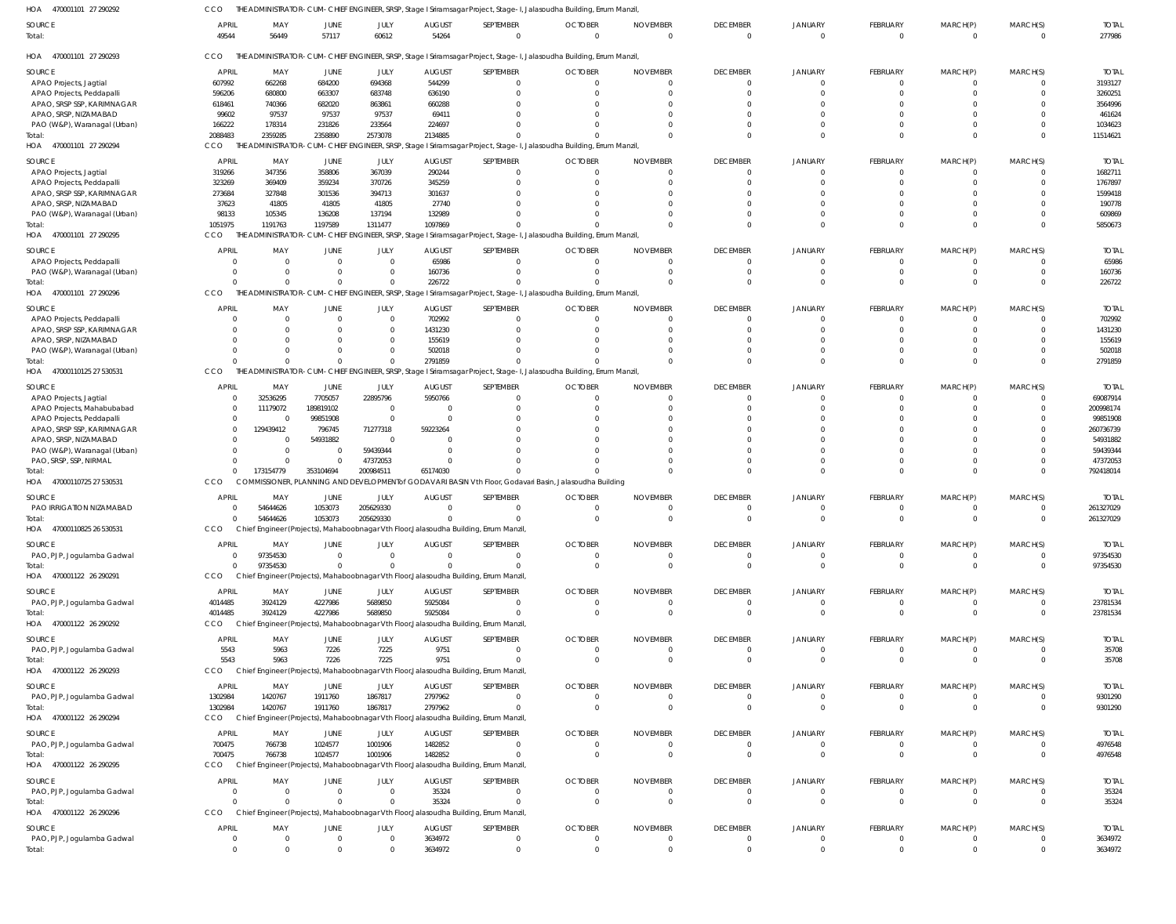| HOA 470001101 27 290292           | CCO                   |                               |                |                |                        |                                                                                       | THE ADMINISTRATOR-CUM-CHIEF ENGINEER, SRSP, Stage I Sriramsagar Project, Stage-I, Jalasoudha Building, Errum Manzil, |                             |                             |                            |                            |                            |                      |                        |
|-----------------------------------|-----------------------|-------------------------------|----------------|----------------|------------------------|---------------------------------------------------------------------------------------|----------------------------------------------------------------------------------------------------------------------|-----------------------------|-----------------------------|----------------------------|----------------------------|----------------------------|----------------------|------------------------|
| SOURCE<br>Total:                  | <b>APRIL</b><br>49544 | MAY<br>56449                  | JUNE<br>57117  | JULY<br>60612  | <b>AUGUST</b><br>54264 | SEPTEMBER<br>$\Omega$                                                                 | <b>OCTOBER</b><br>$\Omega$                                                                                           | <b>NOVEMBER</b><br>$\Omega$ | <b>DECEMBER</b><br>$\Omega$ | <b>JANUARY</b><br>$\Omega$ | FEBRUARY<br>$\overline{0}$ | MARCH(P)<br>$\overline{0}$ | MARCH(S)<br>$\Omega$ | <b>TOTAL</b><br>277986 |
| HOA 470001101 27 290293           | CCO                   |                               |                |                |                        |                                                                                       | THE ADMINISTRATOR-CUM-CHIEF ENGINEER, SRSP, Stage I Sriramsagar Project, Stage-I, Jalasoudha Building, Errum Manzil, |                             |                             |                            |                            |                            |                      |                        |
| SOURCE                            | <b>APRIL</b>          | MAY                           | JUNE           | JULY           | <b>AUGUST</b>          | SEPTEMBER                                                                             | <b>OCTOBER</b>                                                                                                       | <b>NOVEMBER</b>             | <b>DECEMBER</b>             | <b>JANUARY</b>             | <b>FEBRUARY</b>            | MARCH(P)                   | MARCH(S)             | <b>TOTAL</b>           |
| APAO Projects, Jagtial            | 607992                | 662268                        | 684200         | 694368         | 544299                 |                                                                                       | 0                                                                                                                    | 0                           | $\Omega$                    |                            | - 0                        | 0                          |                      | 3193127                |
| APAO Projects, Peddapalli         | 596206                | 680800                        | 663307         | 683748         | 636190                 |                                                                                       | $\Omega$                                                                                                             | $\Omega$                    | $\Omega$                    |                            | $\overline{0}$             | $\Omega$                   |                      | 3260251                |
| APAO, SRSP SSP, KARIMNAGAR        | 618461                | 740366                        | 682020         | 863861         | 660288                 |                                                                                       | $\Omega$                                                                                                             | $\Omega$                    |                             |                            | $\Omega$                   |                            |                      | 3564996                |
| APAO, SRSP, NIZAMABAD             | 99602                 | 97537                         | 97537          | 97537          | 69411                  |                                                                                       |                                                                                                                      | $\Omega$                    |                             |                            | $\Omega$                   |                            |                      | 461624                 |
|                                   |                       |                               |                |                |                        |                                                                                       |                                                                                                                      |                             |                             |                            |                            |                            |                      |                        |
| PAO (W&P), Waranagal (Urban)      | 166222                | 178314                        | 231826         | 233564         | 224697                 |                                                                                       |                                                                                                                      | $\Omega$                    |                             |                            | $\Omega$                   | $\Omega$                   |                      | 1034623                |
| Total:<br>HOA 470001101 27 290294 | 2088483<br>CCO        | 2359285<br>THE ADMINISTRATOR- | 2358890        | 2573078        | 2134885                |                                                                                       | CUM-CHIEF ENGINEER, SRSP, Stage I Sriramsagar Project, Stage-I, Jalasoudha Building, Errum Manzil,                   | $\Omega$                    | $\Omega$                    | $\Omega$                   | $\Omega$                   | $\Omega$                   | $\Omega$             | 11514621               |
| <b>SOURCE</b>                     | APRIL                 | MAY                           | JUNE           | JULY           | <b>AUGUST</b>          | SEPTEMBER                                                                             | <b>OCTOBER</b>                                                                                                       | <b>NOVEMBER</b>             | <b>DECEMBER</b>             | <b>JANUARY</b>             | <b>FEBRUARY</b>            | MARCH(P)                   | MARCH(S)             | <b>TOTAI</b>           |
|                                   |                       |                               |                |                |                        |                                                                                       |                                                                                                                      |                             |                             |                            |                            |                            |                      |                        |
| APAO Projects, Jagtial            | 319266                | 347356                        | 358806         | 367039         | 290244                 |                                                                                       | $\overline{0}$                                                                                                       | $\Omega$                    | $\Omega$                    | $\Omega$                   | $\overline{0}$             | - 0                        | $\Omega$             | 1682711                |
| APAO Projects, Peddapalli         | 323269                | 369409                        | 359234         | 370726         | 345259                 |                                                                                       | $\Omega$                                                                                                             | $\Omega$                    | $\Omega$                    | $\Omega$                   | $\Omega$                   | $\Omega$                   | $\Omega$             | 1767897                |
| APAO, SRSP SSP, KARIMNAGAR        | 273684                | 327848                        | 301536         | 394713         | 301637                 |                                                                                       | 0                                                                                                                    | 0                           |                             |                            | $\Omega$                   |                            |                      | 1599418                |
| APAO, SRSP, NIZAMABAD             | 37623                 | 41805                         | 41805          | 41805          | 27740                  |                                                                                       | $\Omega$                                                                                                             | $\Omega$                    |                             |                            | $\Omega$                   |                            |                      | 190778                 |
| PAO (W&P), Waranagal (Urban)      | 98133                 | 105345                        | 136208         | 137194         | 132989                 |                                                                                       |                                                                                                                      | $\Omega$                    | $\Omega$                    | $\Omega$                   | $\Omega$                   | $\Omega$                   |                      | 609869                 |
| Total:                            | 1051975               | 1191763                       | 1197589        | 1311477        | 1097869                |                                                                                       |                                                                                                                      | $\Omega$                    | $\Omega$                    | $\Omega$                   | $\Omega$                   | $\Omega$                   | $\Omega$             | 5850673                |
| HOA 470001101 27 290295           | CCO                   | THE ADMINISTRATOR-            |                |                |                        |                                                                                       | CUM-CHIEF ENGINEER, SRSP, Stage I Sriramsagar Project, Stage-I, Jalasoudha Building, Errum Manzil,                   |                             |                             |                            |                            |                            |                      |                        |
|                                   |                       |                               |                |                |                        |                                                                                       |                                                                                                                      |                             |                             |                            |                            |                            |                      |                        |
| <b>SOURCE</b>                     | <b>APRIL</b>          | MAY                           | JUNE           | JULY           | <b>AUGUST</b>          | SEPTEMBER                                                                             | <b>OCTOBER</b>                                                                                                       | <b>NOVEMBER</b>             | <b>DECEMBER</b>             | <b>JANUARY</b>             | <b>FEBRUARY</b>            | MARCH(P)                   | MARCH(S)             | <b>TOTAL</b>           |
| APAO Projects, Peddapalli         | $\Omega$              | $\overline{0}$                | $\overline{0}$ | $\Omega$       | 65986                  | $\Omega$                                                                              | $\overline{0}$                                                                                                       | $\overline{0}$              | $\Omega$                    | $\Omega$                   | $\overline{0}$             | $\overline{0}$             | $\Omega$             | 65986                  |
| PAO (W&P), Waranagal (Urban)      | $\Omega$              | $\overline{0}$                | 0              | - 0            | 160736                 |                                                                                       | 0                                                                                                                    | $\Omega$                    | $\Omega$                    |                            | $\overline{0}$             | $\Omega$                   | $\Omega$             | 160736                 |
| Total:                            | $\Omega$              | $\Omega$                      | $\Omega$       |                | 226722                 |                                                                                       | $\Omega$                                                                                                             | $\Omega$                    | $\Omega$                    | $\Omega$                   | $\overline{0}$             | $\Omega$                   | $\Omega$             | 226722                 |
| HOA 470001101 27 290296           | CCO                   |                               |                |                |                        |                                                                                       | THE ADMINISTRATOR-CUM-CHIEF ENGINEER, SRSP, Stage I Sriramsagar Project, Stage-I, Jalasoudha Building, Errum Manzil, |                             |                             |                            |                            |                            |                      |                        |
| SOURCE                            | <b>APRIL</b>          | MAY                           | JUNE           | JULY           | <b>AUGUST</b>          | SEPTEMBER                                                                             | <b>OCTOBER</b>                                                                                                       | <b>NOVEMBER</b>             | <b>DECEMBER</b>             | <b>JANUARY</b>             | <b>FEBRUARY</b>            | MARCH(P)                   | MARCH(S)             | <b>TOTAL</b>           |
| APAO Projects, Peddapalli         | $\Omega$              | $\overline{0}$                | 0              | $\Omega$       | 702992                 |                                                                                       | $\Omega$                                                                                                             | $\Omega$                    | $\Omega$                    | $\Omega$                   | $^{\circ}$                 | $\Omega$                   |                      | 702992                 |
| APAO, SRSP SSP, KARIMNAGAR        | $\Omega$              | $\Omega$                      | -0             | $\Omega$       | 1431230                |                                                                                       | 0                                                                                                                    | $\Omega$                    | $\Omega$                    |                            | $\Omega$                   | $\Omega$                   | $\Omega$             | 1431230                |
| APAO, SRSP, NIZAMABAD             | $\Omega$              | $\Omega$                      | $\Omega$       | $\Omega$       | 155619                 |                                                                                       | 0                                                                                                                    | $\Omega$                    |                             |                            | $\Omega$                   |                            |                      | 155619                 |
| PAO (W&P), Waranagal (Urban)      | $\Omega$              | $\Omega$                      | $\Omega$       |                | 502018                 |                                                                                       |                                                                                                                      | $\Omega$                    | $\Omega$                    |                            | $\Omega$                   | $\Omega$                   |                      | 502018                 |
| Total:                            | $\Omega$              | $\Omega$                      | $\mathbf 0$    | $\Omega$       | 2791859                |                                                                                       |                                                                                                                      | $\Omega$                    | $\Omega$                    | $\Omega$                   | $\Omega$                   | $\Omega$                   | $\Omega$             | 2791859                |
| HOA 47000110125 27 530531         | CCO                   |                               |                |                |                        |                                                                                       | THE ADMINISTRATOR-CUM-CHIEF ENGINEER, SRSP, Stage I Sriramsagar Project, Stage-I, Jalasoudha Building, Errum Manzil, |                             |                             |                            |                            |                            |                      |                        |
|                                   |                       |                               |                |                |                        |                                                                                       |                                                                                                                      |                             |                             |                            |                            |                            |                      |                        |
| SOURCE                            | <b>APRIL</b>          | MAY                           | JUNE           | JULY           | <b>AUGUST</b>          | SEPTEMBER                                                                             | <b>OCTOBER</b>                                                                                                       | <b>NOVEMBER</b>             | <b>DECEMBER</b>             | <b>JANUARY</b>             | FEBRUARY                   | MARCH(P)                   | MARCH(S)             | <b>TOTAL</b>           |
| APAO Projects, Jagtial            | $\Omega$              | 32536295                      | 7705057        | 22895796       | 5950766                |                                                                                       | 0                                                                                                                    | $\Omega$                    | $\Omega$                    |                            | $^{\circ}$                 | 0                          |                      | 69087914               |
| APAO Projects, Mahabubabad        | $\Omega$              | 11179072                      | 189819102      | $\Omega$       | 0                      |                                                                                       | $\Omega$                                                                                                             | $\Omega$                    |                             |                            | $\Omega$                   |                            |                      | 200998174              |
| APAO Projects, Peddapalli         | $\Omega$              | $\overline{0}$                | 99851908       | $\Omega$       | $\Omega$               |                                                                                       | -0                                                                                                                   | -0                          |                             |                            |                            |                            |                      | 99851908               |
| APAO, SRSP SSP, KARIMNAGAR        | $\Omega$              | 129439412                     | 796745         | 71277318       | 59223264               |                                                                                       | $\Omega$                                                                                                             | $\Omega$                    |                             |                            |                            |                            |                      | 260736739              |
| APAO, SRSP, NIZAMABAD             |                       | $\overline{0}$                | 54931882       | - 0            | $\Omega$               |                                                                                       | $\sqrt{ }$                                                                                                           | $\Omega$                    |                             |                            |                            |                            |                      | 54931882               |
|                                   |                       |                               |                |                |                        |                                                                                       |                                                                                                                      |                             |                             |                            |                            |                            |                      |                        |
| PAO (W&P), Waranagal (Urban)      |                       | $\overline{0}$                | 0              | 59439344       | $\Omega$               |                                                                                       | $\Omega$                                                                                                             | $\Omega$                    |                             |                            | $\Omega$                   |                            |                      | 59439344               |
| PAO, SRSP, SSP, NIRMAL            |                       | $\overline{0}$                | $\mathbf 0$    | 47372053       | $\sqrt{ }$             |                                                                                       |                                                                                                                      | $\Omega$                    | $\Omega$                    |                            | $\Omega$                   | $\Omega$                   |                      | 47372053               |
| Total:                            | $\Omega$              | 173154779                     | 353104694      | 200984511      | 65174030               |                                                                                       |                                                                                                                      | $\Omega$                    | $\Omega$                    |                            | $\Omega$                   | $\Omega$                   | $\Omega$             | 792418014              |
| HOA 47000110725 27 530531         | CCO                   |                               |                |                |                        |                                                                                       | COMMISSIONER, PLANNING AND DEVELOPMENT of GODAVARI BASIN Vth Floor, Godavari Basin, Jalasoudha Building              |                             |                             |                            |                            |                            |                      |                        |
| SOURCE                            | APRIL                 | MAY                           | JUNE           | JULY           | <b>AUGUST</b>          | SEPTEMBER                                                                             | <b>OCTOBER</b>                                                                                                       | <b>NOVEMBER</b>             | <b>DECEMBER</b>             | <b>JANUARY</b>             | <b>FEBRUARY</b>            | MARCH(P)                   | MARCH(S)             | <b>TOTAI</b>           |
| PAO IRRIGATION NIZAMABAD          |                       | 54644626                      | 1053073        | 205629330      | $\Omega$               |                                                                                       | $\Omega$                                                                                                             | $\Omega$                    | $\Omega$                    | $\Omega$                   | $\overline{0}$             | - 0                        | $\Omega$             | 261327029              |
| Total:                            | $\Omega$              | 54644626                      | 1053073        | 205629330      | $\Omega$               | $\Omega$                                                                              | $\Omega$                                                                                                             | $\Omega$                    | $\Omega$                    | $\Omega$                   | $\Omega$                   | $\Omega$                   | $\Omega$             | 261327029              |
| HOA 47000110825 26 530531         | CCO                   |                               |                |                |                        | Chief Engineer (Projects), Mahaboobnagar Vth Floor, Jalasoudha Building, Errum Manzil |                                                                                                                      |                             |                             |                            |                            |                            |                      |                        |
|                                   |                       |                               |                |                |                        |                                                                                       |                                                                                                                      |                             |                             |                            |                            |                            |                      |                        |
| SOURCE                            | <b>APRIL</b>          | MAY                           | JUNE           | JULY           | <b>AUGUST</b>          | SEPTEMBER                                                                             | <b>OCTOBER</b>                                                                                                       | <b>NOVEMBER</b>             | <b>DECEMBER</b>             | <b>JANUARY</b>             | FEBRUARY                   | MARCH(P)                   | MARCH(S)             | <b>TOTAL</b>           |
| PAO, PJP, Jogulamba Gadwal        | $\overline{0}$        | 97354530                      | $\overline{0}$ | $\Omega$       | $\overline{0}$         | $^{\circ}$                                                                            | $\overline{0}$                                                                                                       | $\overline{0}$              | $\overline{\mathbf{0}}$     | - 0                        | $^{\circ}$                 | $\overline{0}$             | $\Omega$             | 97354530               |
| Total:                            | $\mathbf{0}$          | 97354530                      | $\overline{0}$ |                | $\Omega$               | $\Omega$                                                                              | $\overline{0}$                                                                                                       | $\overline{0}$              | $\overline{0}$              | $\overline{0}$             | $\overline{0}$             | $\overline{0}$             | $\Omega$             | 97354530               |
| HOA 470001122 26 290291           | <b>CCO</b>            |                               |                |                |                        | Chief Engineer (Projects), Mahaboobnagar Vth Floor, Jalasoudha Building, Errum Manzil |                                                                                                                      |                             |                             |                            |                            |                            |                      |                        |
|                                   |                       |                               |                |                |                        |                                                                                       |                                                                                                                      |                             |                             |                            |                            |                            |                      |                        |
| SOURCE                            | APRIL                 | MAY                           | JUNE           | JULY           | <b>AUGUST</b>          | SEPTEMBER                                                                             | <b>OCTOBER</b>                                                                                                       | <b>NOVEMBER</b>             | <b>DECEMBER</b>             | <b>JANUARY</b>             | FEBRUARY                   | MARCH(P)                   | MARCH(S)             | <b>TOTAL</b>           |
| PAO, PJP, Jogulamba Gadwal        | 4014485               | 3924129                       | 4227986        | 5689850        | 5925084                | $\Omega$                                                                              | $\overline{0}$                                                                                                       | $\overline{0}$              | $^{\circ}$                  | 0                          | $^{\circ}$                 | $^{\circ}$                 | $\Omega$             | 23781534               |
| Total:                            | 4014485               | 3924129                       | 4227986        | 5689850        | 5925084                | $\Omega$                                                                              | $\overline{0}$                                                                                                       | $\overline{0}$              | $\overline{0}$              | $\Omega$                   | $\overline{0}$             | $\overline{0}$             | $\overline{0}$       | 23781534               |
| HOA 470001122 26 290292           | <b>CCO</b>            |                               |                |                |                        | Chief Engineer (Projects), Mahaboobnagar Vth Floor, Jalasoudha Building, Errum Manzil |                                                                                                                      |                             |                             |                            |                            |                            |                      |                        |
|                                   |                       |                               |                |                |                        |                                                                                       |                                                                                                                      |                             |                             |                            |                            |                            |                      |                        |
| SOURCE                            | <b>APRIL</b>          | MAY                           | JUNE           | JULY           | <b>AUGUST</b>          | SEPTEMBER                                                                             | <b>OCTOBER</b>                                                                                                       | <b>NOVEMBER</b>             | <b>DECEMBER</b>             | <b>JANUARY</b>             | FEBRUARY                   | MARCH(P)                   | MARCH(S)             | <b>TOTAL</b>           |
| PAO, PJP, Jogulamba Gadwal        | 5543                  | 5963                          | 7226           | 7225           | 9751                   | $^{\circ}$                                                                            | $\overline{0}$                                                                                                       | $\mathbf{0}$                | 0                           | $\Omega$                   | $^{\circ}$                 | $^{\circ}$                 | $\Omega$             | 35708                  |
| Total:                            | 5543                  | 5963                          | 7226           | 7225           | 9751                   | $\mathbf 0$                                                                           | $\overline{0}$                                                                                                       | $\overline{0}$              | $\overline{0}$              | $\overline{0}$             | $\overline{0}$             | $\overline{0}$             | $\overline{0}$       | 35708                  |
| HOA 470001122 26 290293           | <b>CCO</b>            |                               |                |                |                        | Chief Engineer (Projects), Mahaboobnagar Vth Floor, Jalasoudha Building, Errum Manzil |                                                                                                                      |                             |                             |                            |                            |                            |                      |                        |
| SOURCE                            | APRIL                 | MAY                           | JUNE           | JULY           | <b>AUGUST</b>          | SEPTEMBER                                                                             | <b>OCTOBER</b>                                                                                                       | <b>NOVEMBER</b>             | <b>DECEMBER</b>             | <b>JANUARY</b>             | <b>FEBRUARY</b>            | MARCH(P)                   | MARCH(S)             | <b>TOTAL</b>           |
|                                   | 1302984               | 1420767                       | 1911760        | 1867817        | 2797962                | $^{\circ}$                                                                            | $\overline{0}$                                                                                                       | $\overline{0}$              | $\overline{\mathbf{0}}$     | 0                          | $^{\circ}$                 | $^{\circ}$                 | $\Omega$             | 9301290                |
| PAO, PJP, Jogulamba Gadwal        |                       |                               |                |                |                        |                                                                                       |                                                                                                                      |                             |                             |                            |                            |                            |                      |                        |
| Total:                            | 1302984               | 1420767                       | 1911760        | 1867817        | 2797962                | $\Omega$                                                                              | $\Omega$                                                                                                             | $\overline{0}$              | $\Omega$                    | $\Omega$                   | $\overline{0}$             | $\overline{0}$             | $\Omega$             | 9301290                |
| HOA 470001122 26 290294           | CCO                   |                               |                |                |                        | Chief Engineer (Projects), Mahaboobnagar Vth Floor, Jalasoudha Building, Errum Manzil |                                                                                                                      |                             |                             |                            |                            |                            |                      |                        |
| SOURCE                            | <b>APRIL</b>          | MAY                           | JUNE           | JULY           | <b>AUGUST</b>          | SEPTEMBER                                                                             | <b>OCTOBER</b>                                                                                                       | <b>NOVEMBER</b>             | <b>DECEMBER</b>             | <b>JANUARY</b>             | <b>FEBRUARY</b>            | MARCH(P)                   | MARCH(S)             | <b>TOTAL</b>           |
| PAO, PJP, Jogulamba Gadwal        | 700475                | 766738                        | 1024577        | 1001906        | 1482852                | $\Omega$                                                                              | $\overline{0}$                                                                                                       | $\overline{0}$              | $\mathbf{0}$                | 0                          | $\overline{0}$             | $\overline{0}$             | $\Omega$             | 4976548                |
| Total:                            | 700475                | 766738                        | 1024577        | 1001906        | 1482852                | $\Omega$                                                                              | $\overline{0}$                                                                                                       | $\overline{0}$              | $\overline{0}$              | $\overline{0}$             | $\overline{0}$             | $\overline{0}$             | $\Omega$             | 4976548                |
| HOA 470001122 26 290295           | <b>CCO</b>            |                               |                |                |                        | Chief Engineer (Projects), Mahaboobnagar Vth Floor, Jalasoudha Building, Errum Manzil |                                                                                                                      |                             |                             |                            |                            |                            |                      |                        |
|                                   |                       |                               |                |                |                        |                                                                                       |                                                                                                                      |                             |                             |                            |                            |                            |                      |                        |
| SOURCE                            | <b>APRIL</b>          | MAY                           | <b>JUNE</b>    | JULY           | <b>AUGUST</b>          | SEPTEMBER                                                                             | <b>OCTOBER</b>                                                                                                       | <b>NOVEMBER</b>             | <b>DECEMBER</b>             | <b>JANUARY</b>             | <b>FEBRUARY</b>            | MARCH(P)                   | MARCH(S)             | <b>TOTAL</b>           |
| PAO, PJP, Jogulamba Gadwal        | $\overline{0}$        | $\overline{0}$                | $\overline{0}$ | $\overline{0}$ | 35324                  | $\overline{0}$                                                                        | $\mathbf 0$                                                                                                          | $\overline{0}$              | $\overline{\mathbf{0}}$     | $\Omega$                   | $\mathbf{0}$               | $\mathbf{0}$               | $\overline{0}$       | 35324                  |
| Total:                            | $\Omega$              | $\Omega$                      | $\mathbf{0}$   | $\Omega$       | 35324                  | $\Omega$                                                                              | $\overline{0}$                                                                                                       | $\overline{0}$              | $\overline{0}$              | $\Omega$                   | $\overline{0}$             | $\overline{0}$             | $\Omega$             | 35324                  |
| HOA 470001122 26 290296           | CCO                   |                               |                |                |                        | Chief Engineer (Projects), Mahaboobnagar Vth Floor, Jalasoudha Building, Errum Manzil |                                                                                                                      |                             |                             |                            |                            |                            |                      |                        |
|                                   |                       |                               |                |                |                        |                                                                                       |                                                                                                                      |                             |                             |                            |                            |                            |                      |                        |
| SOURCE                            | <b>APRIL</b>          | MAY                           | JUNE           | JULY           | <b>AUGUST</b>          | SEPTEMBER                                                                             | <b>OCTOBER</b>                                                                                                       | <b>NOVEMBER</b>             | <b>DECEMBER</b>             | <b>JANUARY</b>             | FEBRUARY                   | MARCH(P)                   | MARCH(S)             | <b>TOTAL</b>           |
| PAO, PJP, Jogulamba Gadwal        | $\mathbf 0$           | $\overline{0}$                | $\overline{0}$ | $\Omega$       | 3634972                | 0                                                                                     | $\overline{0}$                                                                                                       | $\overline{0}$              | $\overline{0}$              | 0                          | $\overline{0}$             | $\overline{0}$             | $\mathbf{0}$         | 3634972                |
| Total:                            | $\overline{0}$        | $\overline{0}$                | $\overline{0}$ | $\overline{0}$ | 3634972                | $\overline{0}$                                                                        | $\Omega$                                                                                                             | $\overline{0}$              | $\Omega$                    | $\Omega$                   | $\Omega$                   | $\overline{0}$             | $\Omega$             | 3634972                |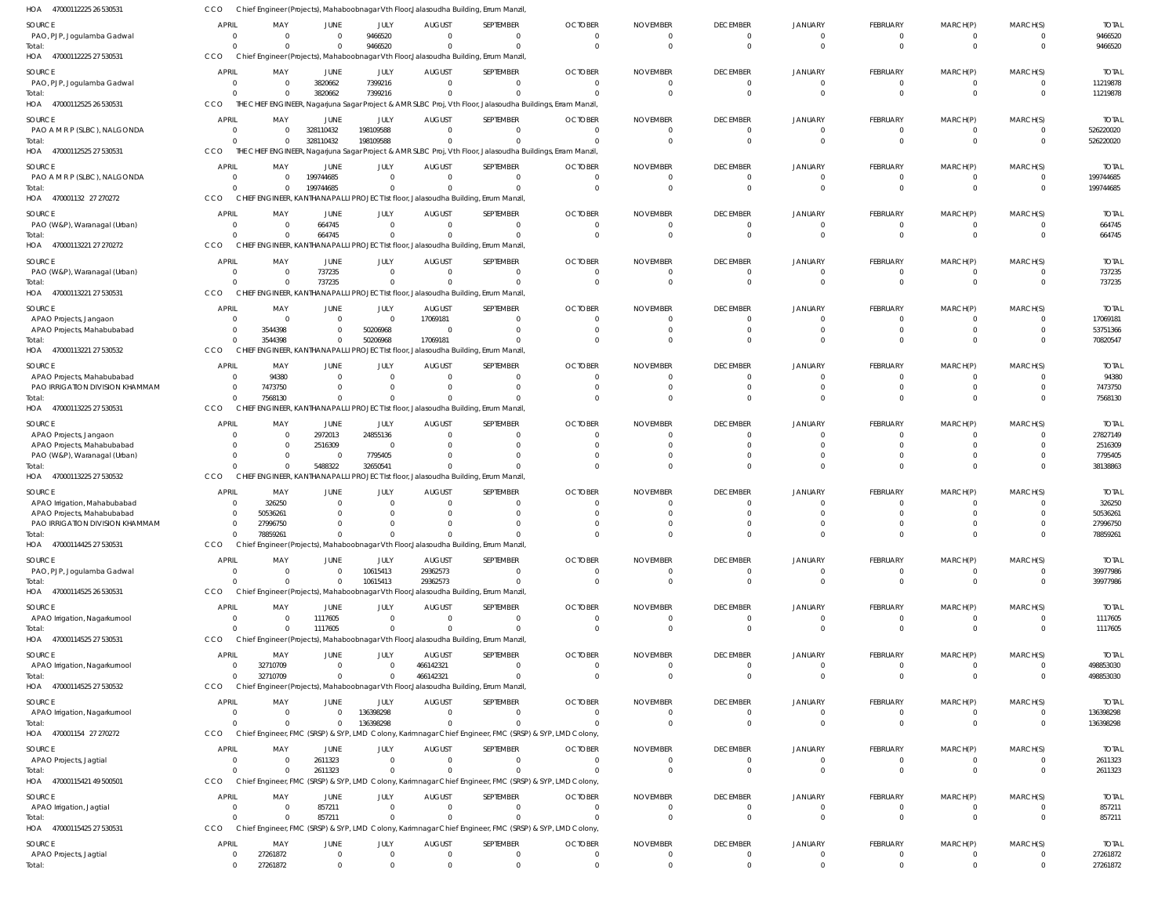| HOA 47000112225 26 530531                                  | CCO                            |                                                  |                               |                      |                            | Chief Engineer (Projects), Mahaboobnagar Vth Floor, Jalasoudha Building, Errum Manzil                             |                            |                             |                                |                            |                             |                              |                            |                           |
|------------------------------------------------------------|--------------------------------|--------------------------------------------------|-------------------------------|----------------------|----------------------------|-------------------------------------------------------------------------------------------------------------------|----------------------------|-----------------------------|--------------------------------|----------------------------|-----------------------------|------------------------------|----------------------------|---------------------------|
| SOURCE                                                     | <b>APRIL</b>                   | MAY                                              | JUNE                          | JULY                 | <b>AUGUST</b>              | SEPTEMBER                                                                                                         | <b>OCTOBER</b>             | <b>NOVEMBER</b>             | <b>DECEMBER</b>                | <b>JANUARY</b>             | FEBRUARY                    | MARCH(P)                     | MARCH(S)                   | <b>TOTAL</b>              |
| PAO, PJP, Jogulamba Gadwal                                 | $\overline{0}$                 | $\Omega$                                         | $\overline{0}$                | 9466520              | $\Omega$                   | $\overline{0}$                                                                                                    | $\Omega$                   | $\Omega$                    | 0                              | $\mathbf 0$                | $^{\circ}$                  | $\mathbf{0}$                 | 0                          | 9466520                   |
| Total:                                                     | $\mathsf{C}$                   | $\Omega$                                         | $\Omega$                      | 9466520              |                            | $\mathbf 0$                                                                                                       | $\Omega$                   | $\Omega$                    | $\mathbf 0$                    | $\Omega$                   | $\mathbf{0}$                | $\mathbf{0}$                 | $\overline{0}$             | 9466520                   |
| HOA 47000112225 27 530531                                  | CCO                            |                                                  |                               |                      |                            | Chief Engineer (Projects), Mahaboobnagar Vth Floor, Jalasoudha Building, Errum Manzil                             |                            |                             |                                |                            |                             |                              |                            |                           |
| SOURCE                                                     | <b>APRIL</b>                   | MAY                                              | JUNE                          | JULY                 | <b>AUGUST</b>              | SEPTEMBER                                                                                                         | <b>OCTOBER</b>             | <b>NOVEMBER</b>             | <b>DECEMBER</b>                | <b>JANUARY</b>             | FEBRUARY                    | MARCH(P)                     | MARCH(S)                   | <b>TOTAL</b>              |
| PAO, PJP, Jogulamba Gadwal<br>Total:                       | $\overline{0}$<br>$\Omega$     |                                                  | 3820662<br>3820662            | 7399216<br>7399216   |                            | $\mathbf 0$<br>$\Omega$                                                                                           | - 0                        |                             | $\Omega$<br>$\Omega$           | $\Omega$<br>$\Omega$       | $\mathbf 0$<br>$\mathbf{0}$ | $\mathbf{0}$<br>$\mathbf{0}$ | $\overline{0}$<br>$\Omega$ | 11219878<br>11219878      |
| HOA 47000112525 26 530531                                  | CCO                            |                                                  |                               |                      |                            | THE CHIEF ENGINEER, Nagarjuna Sagar Project & AMR SLBC Proj, Vth Floor, Jalasoudha Buildings, Erram Manzil,       |                            |                             |                                |                            |                             |                              |                            |                           |
| SOURCE                                                     | <b>APRIL</b>                   | MAY                                              | JUNE                          | JULY                 | <b>AUGUST</b>              | SEPTEMBER                                                                                                         | <b>OCTOBER</b>             | <b>NOVEMBER</b>             | <b>DECEMBER</b>                | <b>JANUARY</b>             | FEBRUARY                    | MARCH(P)                     | MARCH(S)                   | <b>TOTAL</b>              |
| PAO A M R P (SLBC), NALGONDA                               | $\overline{0}$                 | $\Omega$                                         | 328110432                     | 198109588            | $\Omega$                   | $\mathbf 0$                                                                                                       | $\Omega$                   | - 0                         | 0                              | $\Omega$                   | $^{\circ}$                  | $\mathbf{0}$                 | $\overline{\mathbf{0}}$    | 526220020                 |
| Total:                                                     | $\Omega$                       |                                                  | 328110432                     | 198109588            |                            | $\Omega$                                                                                                          |                            |                             | $\Omega$                       | $\Omega$                   | $\mathbf 0$                 | $\mathbf{0}$                 | $\overline{0}$             | 526220020                 |
| HOA 47000112525 27 530531                                  | CCO                            |                                                  |                               |                      |                            | THE CHIEF ENGINEER, Nagarjuna Sagar Project & AMR SLBC Proj, Vth Floor, Jalasoudha Buildings, Erram Manzil,       |                            |                             |                                |                            |                             |                              |                            |                           |
| SOURCE                                                     | <b>APRIL</b>                   | MAY                                              | JUNE                          | JULY                 | <b>AUGUST</b>              | SEPTEMBER                                                                                                         | <b>OCTOBER</b>             | <b>NOVEMBER</b>             | <b>DECEMBER</b>                | JANUARY                    | FEBRUARY                    | MARCH(P)                     | MARCH(S)                   | <b>TOTAL</b>              |
| PAO A M R P (SLBC), NALGONDA                               | - 0                            |                                                  | 199744685                     | $\Omega$             |                            | $\mathbf 0$                                                                                                       |                            |                             | 0                              | 0                          | $^{\circ}$                  | $\mathbf{0}$                 | $\overline{0}$             | 199744685                 |
| Total:<br>HOA 470001132 27 270272                          | $\Omega$<br>CCO                |                                                  | 199744685                     | $\mathbf 0$          |                            | $\Omega$<br>CHIEF ENGINEER, KANTHANAPALLI PROJECT Ist floor, Jalasoudha Building, Errum Manzil                    |                            |                             | $\mathbf 0$                    |                            | $\mathbf 0$                 | $\mathbf 0$                  | $\overline{0}$             | 199744685                 |
|                                                            |                                |                                                  |                               |                      |                            |                                                                                                                   |                            |                             |                                |                            |                             |                              |                            |                           |
| SOURCE                                                     | <b>APRIL</b><br>$\mathbf{0}$   | MAY<br>$\Omega$                                  | <b>JUNE</b><br>664745         | JULY<br>$\mathbf 0$  | <b>AUGUST</b><br>$\Omega$  | SEPTEMBER<br>0                                                                                                    | <b>OCTOBER</b><br>$\Omega$ | <b>NOVEMBER</b><br>$\Omega$ | <b>DECEMBER</b><br>0           | <b>JANUARY</b><br>$\Omega$ | FEBRUARY<br>0               | MARCH(P)<br>$\mathbf{0}$     | MARCH(S)<br>0              | <b>TOTAL</b><br>664745    |
| PAO (W&P), Waranagal (Urban)<br>Total:                     | $\mathsf{C}$                   |                                                  | 664745                        | $\mathbf 0$          |                            | $\mathbf 0$                                                                                                       | $\Omega$                   | $\Omega$                    | $\Omega$                       | $\Omega$                   | $\mathbf{0}$                | $\mathbf 0$                  | $\overline{0}$             | 664745                    |
| HOA 47000113221 27 270272                                  | CCO                            |                                                  |                               |                      |                            | CHIEF ENGINEER, KANTHANAPALLI PROJECT Ist floor, Jalasoudha Building, Errum Manzil                                |                            |                             |                                |                            |                             |                              |                            |                           |
| SOURCE                                                     | <b>APRIL</b>                   | MAY                                              | JUNE                          | JULY                 | <b>AUGUST</b>              | SEPTEMBER                                                                                                         | <b>OCTOBER</b>             | <b>NOVEMBER</b>             | <b>DECEMBER</b>                | <b>JANUARY</b>             | FEBRUARY                    | MARCH(P)                     | MARCH(S)                   | <b>TOTAL</b>              |
| PAO (W&P), Waranagal (Urban)                               | C                              | $\Omega$                                         | 737235                        | $\Omega$             |                            | $\overline{0}$                                                                                                    | - 0                        |                             | $\mathbf 0$                    | $\Omega$                   | $\mathbf 0$                 | $\mathbf{0}$                 | $\overline{0}$             | 737235                    |
| Total:                                                     | $\mathsf{C}$                   |                                                  | 737235                        | $\mathbf 0$          |                            | $\Omega$                                                                                                          |                            |                             | $\Omega$                       | $\Omega$                   | $\mathbf{0}$                | $\mathbf{0}$                 | $\Omega$                   | 737235                    |
| HOA 47000113221 27 530531                                  | CCO                            |                                                  |                               |                      |                            | CHIEF ENGINEER, KANTHANAPALLI PROJECT Ist floor, Jalasoudha Building, Errum Manzil                                |                            |                             |                                |                            |                             |                              |                            |                           |
| SOURCE                                                     | <b>APRIL</b>                   | MAY                                              | JUNE                          | JULY                 | <b>AUGUST</b>              | SEPTEMBER                                                                                                         | <b>OCTOBER</b>             | <b>NOVEMBER</b>             | <b>DECEMBER</b>                | <b>JANUARY</b>             | FEBRUARY                    | MARCH(P)                     | MARCH(S)                   | <b>TOTAL</b>              |
| APAO Projects, Jangaon                                     | C                              | $\Omega$                                         | $\mathbf{0}$                  | $\mathbf 0$          | 17069181                   | $\mathbf 0$                                                                                                       |                            | $\Omega$                    | $\Omega$                       |                            | $^{\circ}$                  | $\mathbf{0}$                 | $\overline{0}$             | 17069181                  |
| APAO Projects, Mahabubabad<br>Total:                       | $\overline{0}$<br>$\sqrt{2}$   | 3544398<br>3544398                               | $\mathbf{0}$<br>$\Omega$      | 50206968<br>50206968 | $\Omega$<br>17069181       | $\mathbf 0$<br>$\Omega$                                                                                           |                            |                             | $\Omega$<br>$\Omega$           |                            | 0<br>$\mathbf 0$            | $\mathbf{0}$<br>$\mathbf 0$  | $\Omega$<br>$\Omega$       | 53751366<br>70820547      |
| HOA 47000113221 27 530532                                  | CCO                            | CHIEF ENGINEER, KANTHANAPALLI PROJECT Ist floor, |                               |                      |                            | Jalasoudha Building, Errum Manzil                                                                                 |                            |                             |                                |                            |                             |                              |                            |                           |
| SOURCE                                                     | <b>APRIL</b>                   | MAY                                              | JUNE                          | JULY                 | <b>AUGUST</b>              | SEPTEMBER                                                                                                         | <b>OCTOBER</b>             | <b>NOVEMBER</b>             | <b>DECEMBER</b>                | <b>JANUARY</b>             | FEBRUARY                    | MARCH(P)                     | MARCH(S)                   | <b>TOTAL</b>              |
| APAO Projects, Mahabubabad                                 | $\overline{0}$                 | 94380                                            | $\Omega$                      | $\Omega$             |                            | $\mathbf 0$                                                                                                       |                            |                             | $\Omega$                       | $\Omega$                   | $\mathbf 0$                 | $\mathbf{0}$                 | $\Omega$                   | 94380                     |
| PAO IRRIGATION DIVISION KHAMMAM                            | $\mathbf{0}$                   | 7473750                                          | $\Omega$                      | 0                    |                            | $\mathbf 0$                                                                                                       |                            |                             | 0                              |                            | $\mathbf 0$                 | $\mathbf{0}$                 | $\Omega$                   | 7473750                   |
| Total:                                                     | $\Omega$                       | 7568130                                          | $\Omega$                      | $\Omega$             |                            | $\Omega$                                                                                                          |                            |                             | $\Omega$                       |                            | $\mathbf 0$                 | $\mathbf 0$                  | $\Omega$                   | 7568130                   |
| HOA 47000113225 27 530531                                  | CCO                            |                                                  |                               |                      |                            | CHIEF ENGINEER, KANTHANAPALLI PROJECT Ist floor, Jalasoudha Building, Errum Manzil                                |                            |                             |                                |                            |                             |                              |                            |                           |
| SOURCE                                                     | <b>APRIL</b>                   | MAY                                              | JUNE                          | JULY                 | <b>AUGUST</b>              | SEPTEMBER                                                                                                         | <b>OCTOBER</b>             | <b>NOVEMBER</b>             | <b>DECEMBER</b>                | <b>JANUARY</b>             | FEBRUARY                    | MARCH(P)                     | MARCH(S)                   | <b>TOTAL</b>              |
| APAO Projects, Jangaon                                     | - 0                            | $\Omega$<br>$\Omega$                             | 2972013<br>2516309            | 24855136<br>$\Omega$ |                            | 0<br>$\Omega$                                                                                                     |                            |                             | 0<br>$\Omega$                  |                            | 0<br>$\mathbf 0$            | $\Omega$<br>$\Omega$         | $\Omega$<br>$\Omega$       | 27827149<br>2516309       |
| APAO Projects, Mahabubabad<br>PAO (W&P), Waranagal (Urban) | $\Omega$                       |                                                  | - 0                           | 7795405              |                            | $\mathbf 0$                                                                                                       |                            |                             | $\Omega$                       |                            | $\mathbf 0$                 | $\mathbf{0}$                 | $\Omega$                   | 7795405                   |
| Total:                                                     | $\sqrt{2}$                     |                                                  | 5488322                       | 32650541             |                            | $\Omega$                                                                                                          |                            |                             |                                |                            | $\mathbf 0$                 | $\mathbf 0$                  | $\Omega$                   | 38138863                  |
| HOA 47000113225 27 530532                                  | CCO                            |                                                  |                               |                      |                            | CHIEF ENGINEER, KANTHANAPALLI PROJECT Ist floor, Jalasoudha Building, Errum Manzil                                |                            |                             |                                |                            |                             |                              |                            |                           |
| SOURCE                                                     | <b>APRIL</b>                   | MAY                                              | JUNE                          | JULY                 | <b>AUGUST</b>              | SEPTEMBER                                                                                                         | <b>OCTOBER</b>             | <b>NOVEMBER</b>             | <b>DECEMBER</b>                | <b>JANUARY</b>             | FEBRUARY                    | MARCH(P)                     | MARCH(S)                   | <b>TOTAL</b>              |
| APAO Irrigation, Mahabubabad                               | $\mathbf{0}$                   | 326250                                           | $\Omega$                      | $\mathbf 0$          |                            | 0                                                                                                                 |                            |                             | $\Omega$                       | $\Omega$                   | 0                           | $\Omega$                     | - 0                        | 326250                    |
| APAO Projects, Mahabubabad                                 | - 0<br>$\Omega$                | 50536261<br>27996750                             | $\Omega$                      | 0<br>$\Omega$        |                            | 0<br>$\Omega$                                                                                                     |                            |                             | $\Omega$                       |                            | 0<br>$\Omega$               | 0<br>$\Omega$                | $\Omega$                   | 50536261<br>27996750      |
| PAO IRRIGATION DIVISION KHAMMAM<br>Total:                  |                                | $\mathbf{0}$<br>78859261                         | $\mathbf{0}$                  | $\Omega$             |                            |                                                                                                                   |                            |                             |                                |                            | $^{\circ}$                  | $\Omega$                     | $\Omega$                   | 78859261                  |
| HOA 47000114425 27 530531                                  | CCO                            |                                                  |                               |                      |                            | Chief Engineer (Projects), Mahaboobnagar Vth Floor, Jalasoudha Building, Errum Manzil                             |                            |                             |                                |                            |                             |                              |                            |                           |
| SOURCE                                                     | <b>APRIL</b>                   | MAY                                              | <b>JUNE</b>                   | JULY                 | <b>AUGUST</b>              | SEPTEMBER                                                                                                         | <b>OCTOBER</b>             | <b>NOVEMBER</b>             | <b>DECEMBER</b>                | <b>JANUARY</b>             | FEBRUARY                    | MARCH(P)                     | MARCH(S)                   | <b>TOTAL</b>              |
| PAO, PJP, Jogulamba Gadwal                                 | $\overline{0}$                 | $\Omega$                                         | $\mathbf{0}$                  | 10615413             | 29362573                   | $\mathbf 0$                                                                                                       | $\Omega$                   | $\Omega$                    | 0                              | 0                          | $^{\circ}$                  | $^{\circ}$                   | $\overline{0}$             | 39977986                  |
| Total:                                                     | $\Omega$                       |                                                  | $\mathbf{0}$                  | 10615413             | 29362573                   | $\mathbf 0$                                                                                                       | $\Omega$                   | $\Omega$                    | $\mathbf{0}$                   | $\Omega$                   | $\overline{0}$              | $\mathbf{0}$                 | $\overline{0}$             | 39977986                  |
| HOA 47000114525 26 530531                                  | CCO                            |                                                  |                               |                      |                            | Chief Engineer (Projects), Mahaboobnagar Vth Floor, Jalasoudha Building, Errum Manzil                             |                            |                             |                                |                            |                             |                              |                            |                           |
| SOURCE                                                     | APRIL                          | MAY                                              | <b>JUNE</b>                   | JULY                 | <b>AUGUST</b>              | SEPTEMBER                                                                                                         | <b>OCTOBER</b>             | <b>NOVEMBER</b>             | <b>DECEMBER</b>                | <b>JANUARY</b>             | FEBRUARY                    | MARCH(P)                     | MARCH(S)                   | <b>TOTAL</b>              |
| APAO Irrigation, Nagarkurnool                              | $\mathbf{0}$                   |                                                  | 1117605                       | $\mathbf 0$          | $\Omega$                   | 0                                                                                                                 |                            |                             | 0                              | 0                          | 0                           | $\mathbf{0}$                 | 0                          | 1117605                   |
| Total:<br>HOA 47000114525 27 530531                        | $\Omega$<br>CCO                |                                                  | 1117605                       | $\mathbf 0$          |                            | $\Omega$<br>Chief Engineer (Projects), Mahaboobnagar Vth Floor, Jalasoudha Building, Errum Manzil                 |                            |                             | $\Omega$                       | $\Omega$                   | $\mathbf 0$                 | $\mathbf 0$                  | $\overline{0}$             | 1117605                   |
|                                                            |                                |                                                  |                               |                      |                            |                                                                                                                   |                            |                             |                                |                            |                             |                              |                            |                           |
| SOURCE<br>APAO Irrigation, Nagarkurnool                    | <b>APRIL</b><br>$\overline{0}$ | MAY<br>32710709                                  | <b>JUNE</b><br>$\overline{0}$ | JULY<br>$\mathbf 0$  | <b>AUGUST</b><br>466142321 | SEPTEMBER<br>$\mathbf 0$                                                                                          | <b>OCTOBER</b><br>$\Omega$ | <b>NOVEMBER</b><br>$\Omega$ | <b>DECEMBER</b><br>$\mathbf 0$ | <b>JANUARY</b><br>$\Omega$ | FEBRUARY<br>$\mathbf 0$     | MARCH(P)<br>$^{\circ}$       | MARCH(S)<br>$\overline{0}$ | <b>TOTAL</b><br>498853030 |
| Total:                                                     | $\Omega$                       | 32710709                                         | $\mathbf 0$                   | $\mathbf 0$          | 466142321                  | $\mathbf{0}$                                                                                                      | $\Omega$                   | $\Omega$                    | $\mathbf 0$                    | $\Omega$                   | $\mathbf{0}$                | $\mathbf 0$                  | $\overline{0}$             | 498853030                 |
| HOA 47000114525 27 530532                                  | CCO                            |                                                  |                               |                      |                            | Chief Engineer (Projects), Mahaboobnagar Vth Floor, Jalasoudha Building, Errum Manzil                             |                            |                             |                                |                            |                             |                              |                            |                           |
| SOURCE                                                     | APRIL                          | MAY                                              | <b>JUNE</b>                   | JULY                 | <b>AUGUST</b>              | SEPTEMBER                                                                                                         | <b>OCTOBER</b>             | <b>NOVEMBER</b>             | <b>DECEMBER</b>                | <b>JANUARY</b>             | FEBRUARY                    | MARCH(P)                     | MARCH(S)                   | <b>TOTAL</b>              |
| APAO Irrigation, Nagarkurnool                              | $\overline{0}$                 |                                                  | $^{\circ}$                    | 136398298            | $\Omega$                   | $\mathbf 0$                                                                                                       | $\Omega$                   |                             | 0                              | 0                          | 0                           | $\mathbf{0}$                 | $\overline{\mathbf{0}}$    | 136398298                 |
| Total:                                                     | $\Omega$                       |                                                  | $\mathbf{0}$                  | 136398298            |                            | $\mathbf{0}$                                                                                                      |                            |                             | $\Omega$                       | $\Omega$                   | $\mathbf{0}$                | $\mathbf{0}$                 | $\overline{0}$             | 136398298                 |
| HOA 470001154 27 270272                                    | CCO                            |                                                  |                               |                      |                            | Chief Engineer, FMC (SRSP) & SYP, LMD Colony, Karimnagar Chief Engineer, FMC (SRSP) & SYP, LMD Colony             |                            |                             |                                |                            |                             |                              |                            |                           |
| SOURCE                                                     | <b>APRIL</b>                   | MAY                                              | JUNE                          | JULY                 | <b>AUGUST</b>              | SEPTEMBER                                                                                                         | <b>OCTOBER</b>             | <b>NOVEMBER</b>             | <b>DECEMBER</b>                | <b>JANUARY</b>             | FEBRUARY                    | MARCH(P)                     | MARCH(S)                   | <b>TOTAL</b>              |
| APAO Projects, Jagtial                                     | $\overline{0}$                 | $\Omega$                                         | 2611323                       | $\mathbf 0$          | $\Omega$                   | $\mathbf 0$                                                                                                       | $\Omega$                   | $\Omega$                    | 0                              | $\Omega$                   | $^{\circ}$                  | $\mathbf{0}$                 | $\overline{0}$             | 2611323                   |
| Total:<br>HOA 47000115421 49 500501                        | $\Omega$<br>CCO                |                                                  | 2611323                       | $\Omega$             |                            | $\Omega$<br>Chief Engineer, FMC (SRSP) & SYP, LMD Colony, Karimnagar Chief Engineer, FMC (SRSP) & SYP, LMD Colony |                            | $\Omega$                    | $\Omega$                       | $\Omega$                   | $\mathbf 0$                 | $\mathbf 0$                  | $\Omega$                   | 2611323                   |
|                                                            |                                |                                                  |                               |                      |                            |                                                                                                                   |                            |                             |                                |                            |                             |                              |                            |                           |
| SOURCE<br>APAO Irrigation, Jagtial                         | <b>APRIL</b><br>$\overline{0}$ | MAY                                              | <b>JUNE</b><br>857211         | JULY<br>$\Omega$     | <b>AUGUST</b>              | SEPTEMBER<br>$\mathbf 0$                                                                                          | <b>OCTOBER</b>             | <b>NOVEMBER</b>             | <b>DECEMBER</b><br>$\Omega$    | <b>JANUARY</b><br>0        | FEBRUARY<br>0               | MARCH(P)<br>$\mathbf{0}$     | MARCH(S)<br>0              | <b>TOTAL</b><br>857211    |
| Total:                                                     | $\Omega$                       |                                                  | 857211                        | $\mathbf 0$          |                            | $\mathbf 0$                                                                                                       |                            |                             | $\mathbf 0$                    | $\Omega$                   | $\mathbf{0}$                | $\mathbf 0$                  | $\overline{0}$             | 857211                    |
| HOA 47000115425 27 530531                                  | CCO                            |                                                  |                               |                      |                            | Chief Engineer, FMC (SRSP) & SYP, LMD Colony, Karimnagar Chief Engineer, FMC (SRSP) & SYP, LMD Colony             |                            |                             |                                |                            |                             |                              |                            |                           |
| SOURCE                                                     | <b>APRIL</b>                   | MAY                                              | JUNE                          | JULY                 | <b>AUGUST</b>              | SEPTEMBER                                                                                                         | <b>OCTOBER</b>             | <b>NOVEMBER</b>             | <b>DECEMBER</b>                | <b>JANUARY</b>             | FEBRUARY                    | MARCH(P)                     | MARCH(S)                   | <b>TOTAL</b>              |
| APAO Projects, Jagtial                                     | $\overline{0}$                 | 27261872                                         | $^{\circ}$                    | $\mathbf 0$          | $\Omega$                   | $\mathbf 0$                                                                                                       | $\Omega$                   | $\Omega$                    | 0                              | 0                          | 0                           | $\mathbf{0}$                 | 0                          | 27261872                  |
| Total:                                                     | $\overline{0}$                 | 27261872                                         | $\mathbf 0$                   | $\mathbf{0}$         | $\mathbf 0$                | $\mathbf 0$                                                                                                       | $\Omega$                   | $\Omega$                    | $\Omega$                       | $\mathbf 0$                | $\mathbf{0}$                | $\mathbf{0}$                 | $\mathbf{0}$               | 27261872                  |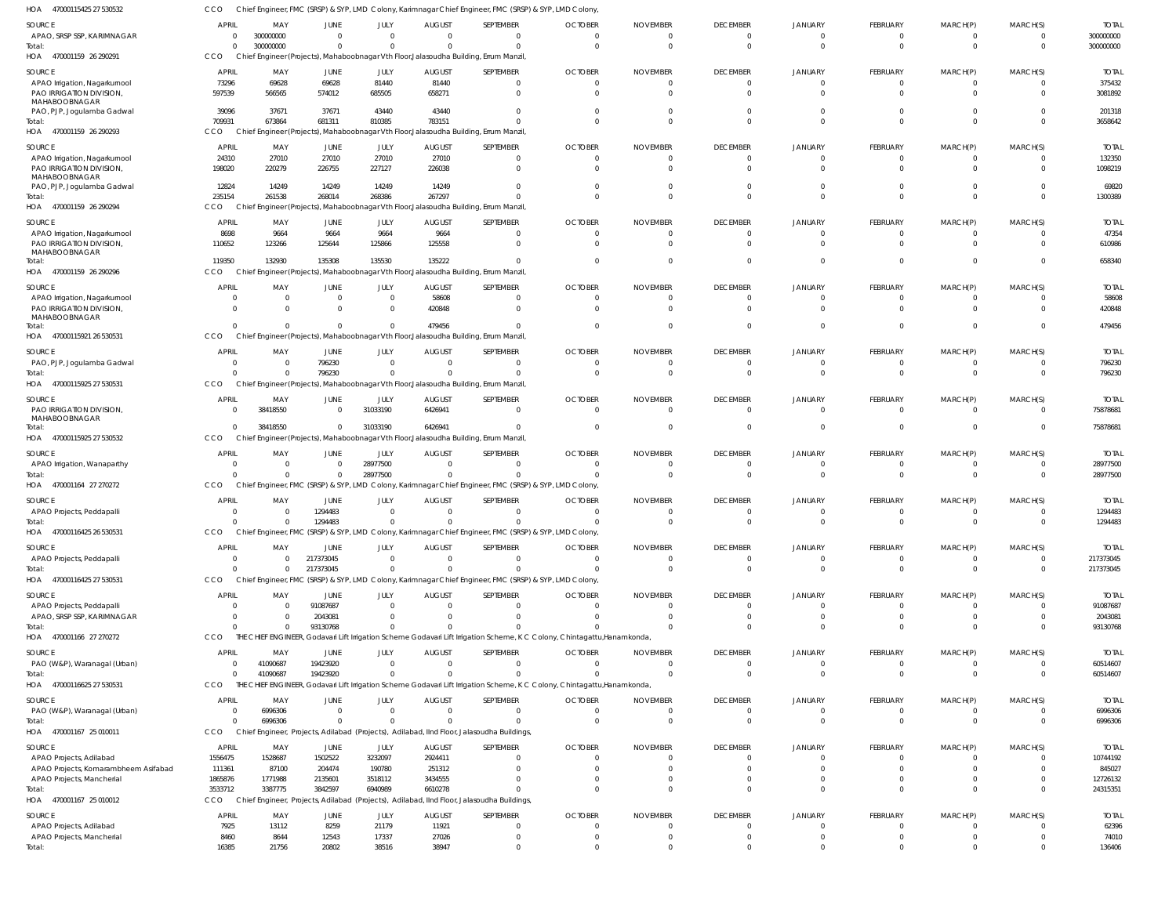| HOA<br>47000115425 27 530532                            | CCO                  |                            |                        |                                |                            | Chief Engineer, FMC (SRSP) & SYP, LMD Colony, Karimnagar Chief Engineer, FMC (SRSP) & SYP, LMD Colony                     |                 |                 |                                   |                            |                             |                                  |                                  |                        |
|---------------------------------------------------------|----------------------|----------------------------|------------------------|--------------------------------|----------------------------|---------------------------------------------------------------------------------------------------------------------------|-----------------|-----------------|-----------------------------------|----------------------------|-----------------------------|----------------------------------|----------------------------------|------------------------|
| SOURCE                                                  | APRIL                | MAY                        | JUNE                   | JULY                           | <b>AUGUST</b>              | SEPTEMBER                                                                                                                 | <b>OCTOBER</b>  | <b>NOVEMBER</b> | <b>DECEMBER</b>                   | <b>JANUARY</b>             | FEBRUARY                    | MARCH(P)                         | MARCH(S)                         | <b>TOTAL</b>           |
| APAO, SRSP SSP, KARIMNAGAR                              | $\Omega$             | 300000000                  | $\mathbf{0}$           | $\mathbf 0$                    | $\Omega$                   | $^{\circ}$                                                                                                                | $\Omega$        | - 0             | $\overline{0}$                    | $\Omega$                   | $\mathbf{0}$                | $\Omega$                         | $^{\circ}$                       | 300000000              |
| Total:                                                  | $\Omega$             | 300000000                  | $\mathbf 0$            | $\overline{0}$                 | $\Omega$                   | $\mathbf 0$                                                                                                               | $\Omega$        | $\Omega$        | $\overline{0}$                    | $\Omega$                   | $\mathbf 0$                 | $\Omega$                         | $\overline{0}$                   | 300000000              |
| 470001159 26 290291<br>HOA                              | <b>CCO</b>           |                            |                        |                                |                            | Chief Engineer (Projects), Mahaboobnagar Vth Floor, Jalasoudha Building, Errum Manzil,                                    |                 |                 |                                   |                            |                             |                                  |                                  |                        |
| SOURCE                                                  | <b>APRIL</b>         | MAY                        | JUNE                   | JULY                           | <b>AUGUST</b>              | SEPTEMBER                                                                                                                 | <b>OCTOBER</b>  | <b>NOVEMBER</b> | <b>DECEMBER</b>                   | <b>JANUARY</b>             | <b>FEBRUARY</b>             | MARCH(P)                         | MARCH(S)                         | <b>TOTAL</b>           |
| APAO Irrigation, Nagarkurnool                           | 73296                | 69628                      | 69628                  | 81440                          | 81440                      | $\mathbf{0}$                                                                                                              | - 0             |                 | $\overline{0}$                    | $\Omega$                   | $\mathbf{0}$                | $\mathbf{0}$                     | $\overline{0}$                   | 375432                 |
| PAO IRRIGATION DIVISION,                                | 597539               | 566565                     | 574012                 | 685505                         | 658271                     | $\mathbf{0}$                                                                                                              |                 |                 | $\Omega$                          |                            | $\Omega$                    |                                  | $\mathbf 0$                      | 3081892                |
| MAHABOOBNAGAR<br>PAO, PJP, Jogulamba Gadwal             | 39096                | 37671                      | 37671                  | 43440                          | 43440                      | $\mathbf 0$                                                                                                               |                 |                 | $\Omega$                          |                            | $\Omega$                    |                                  | $\mathbf 0$                      | 201318                 |
| Total:                                                  | 709931               | 673864                     | 681311                 | 810385                         | 783151                     | $\Omega$                                                                                                                  |                 |                 | $\Omega$                          | $\Omega$                   | $\mathbf 0$                 | $\Omega$                         | $\mathbf 0$                      | 3658642                |
| 470001159 26 290293<br>HOA                              | CCO                  |                            |                        |                                |                            | Chief Engineer (Projects), Mahaboobnagar Vth Floor, Jalasoudha Building, Errum Manzil                                     |                 |                 |                                   |                            |                             |                                  |                                  |                        |
| SOURCE                                                  | <b>APRIL</b>         | MAY                        | JUNE                   | JULY                           | <b>AUGUST</b>              | SEPTEMBER                                                                                                                 | <b>OCTOBER</b>  | <b>NOVEMBER</b> | <b>DECEMBER</b>                   | <b>JANUARY</b>             | FEBRUARY                    | MARCH(P)                         | MARCH(S)                         | <b>TOTAL</b>           |
| APAO Irrigation, Nagarkurnool                           | 24310                | 27010                      | 27010                  | 27010                          | 27010                      | $\mathbf 0$                                                                                                               |                 |                 | $\overline{0}$                    | $\Omega$                   | 0                           |                                  | 0                                | 132350                 |
| PAO IRRIGATION DIVISION,                                | 198020               | 220279                     | 226755                 | 227127                         | 226038                     | $\mathbf 0$                                                                                                               |                 |                 | $\Omega$                          | $\Omega$                   | $\Omega$                    |                                  | $\mathbf 0$                      | 1098219                |
| MAHABOOBNAGAR                                           |                      | 14249                      | 14249                  | 14249                          |                            | $\Omega$                                                                                                                  |                 |                 | $\Omega$                          |                            | $\Omega$                    |                                  | $\mathbf 0$                      |                        |
| PAO, PJP, Jogulamba Gadwal<br>Total:                    | 12824<br>235154      | 261538                     | 268014                 | 268386                         | 14249<br>267297            | $\Omega$                                                                                                                  |                 |                 | $\Omega$                          | $\Omega$                   | $\Omega$                    | $\Omega$                         | $\Omega$                         | 69820<br>1300389       |
| HOA 470001159 26 290294                                 | CCO                  |                            |                        |                                |                            | Chief Engineer (Projects), Mahaboobnagar Vth Floor, Jalasoudha Building, Errum Manzil,                                    |                 |                 |                                   |                            |                             |                                  |                                  |                        |
|                                                         |                      |                            |                        |                                |                            |                                                                                                                           |                 |                 |                                   |                            |                             |                                  |                                  |                        |
| SOURCE<br>APAO Irrigation, Nagarkurnool                 | <b>APRIL</b><br>8698 | MAY<br>9664                | JUNE<br>9664           | JULY<br>9664                   | <b>AUGUST</b><br>9664      | SEPTEMBER<br>$\overline{0}$                                                                                               | <b>OCTOBER</b>  | <b>NOVEMBER</b> | <b>DECEMBER</b><br>$\overline{0}$ | <b>JANUARY</b><br>$\Omega$ | FEBRUARY<br>$\mathbf{0}$    | MARCH(P)                         | MARCH(S)<br>$^{\circ}$           | <b>TOTAL</b><br>47354  |
| PAO IRRIGATION DIVISION,                                | 110652               | 123266                     | 125644                 | 125866                         | 125558                     | $\overline{0}$                                                                                                            |                 |                 | $\Omega$                          | $\Omega$                   | $\mathbf{0}$                | $\Omega$                         | $\mathbf 0$                      | 610986                 |
| MAHABOOBNAGAR                                           |                      |                            |                        |                                |                            |                                                                                                                           |                 |                 |                                   |                            |                             |                                  |                                  |                        |
| Total:                                                  | 119350               | 132930                     | 135308                 | 135530                         | 135222                     | $\mathbf 0$                                                                                                               | - 0             |                 | $\Omega$                          | $\Omega$                   | $\mathbf{0}$                | $\Omega$                         | $\mathbf{0}$                     | 658340                 |
| 470001159 26 290296<br>HOA                              | CCO                  |                            |                        |                                |                            | Chief Engineer (Projects), Mahaboobnagar Vth Floor, Jalasoudha Building, Errum Manzil                                     |                 |                 |                                   |                            |                             |                                  |                                  |                        |
| SOURCE                                                  | <b>APRIL</b>         | MAY                        | <b>JUNE</b>            | JULY                           | <b>AUGUST</b>              | SEPTEMBER                                                                                                                 | <b>OCTOBER</b>  | <b>NOVEMBER</b> | <b>DECEMBER</b>                   | <b>JANUARY</b>             | <b>FEBRUARY</b>             | MARCH(P)                         | MARCH(S)                         | <b>TOTAL</b>           |
| APAO Irrigation, Nagarkurnool                           | $\Omega$             | $\Omega$                   | $\mathbf{0}$           | $\overline{0}$                 | 58608                      | $^{\circ}$                                                                                                                |                 |                 | $\overline{0}$                    | $\Omega$                   | 0                           |                                  | $^{\circ}$                       | 58608                  |
| PAO IRRIGATION DIVISION,<br>MAHABOOBNAGAR               | $\Omega$             | $\Omega$                   | $\mathbf{0}$           | $\overline{0}$                 | 420848                     | $\overline{0}$                                                                                                            | - 0             |                 | $\overline{0}$                    | $\Omega$                   | $\Omega$                    | $\Omega$                         | $\mathbf{0}$                     | 420848                 |
| Total:                                                  |                      | $\Omega$                   | $\Omega$               | $\mathbf{0}$                   | 479456                     | $\Omega$                                                                                                                  | $\cap$          |                 | $\Omega$                          | $\Omega$                   | $\Omega$                    | $\Omega$                         | $\mathbf{0}$                     | 479456                 |
| 47000115921 26 530531<br>HOA                            | CCO                  |                            |                        |                                |                            | Chief Engineer (Projects), Mahaboobnagar Vth Floor, Jalasoudha Building, Errum Manzil                                     |                 |                 |                                   |                            |                             |                                  |                                  |                        |
| SOURCE                                                  | APRIL                | MAY                        | JUNE                   | JULY                           | <b>AUGUST</b>              | SEPTEMBER                                                                                                                 | <b>OCTOBER</b>  | <b>NOVEMBER</b> | <b>DECEMBER</b>                   | <b>JANUARY</b>             | FEBRUARY                    | MARCH(P)                         | MARCH(S)                         | <b>TOTAL</b>           |
| PAO, PJP, Jogulamba Gadwal                              |                      | $\Omega$                   | 796230                 | $\overline{0}$                 | $\overline{0}$             | $\overline{0}$                                                                                                            | - 0             |                 | $\overline{0}$                    | $\Omega$                   | $\mathbf{0}$                | $\mathbf{0}$                     | $\overline{0}$                   | 796230                 |
| Total:                                                  |                      | $\Omega$                   | 796230                 | $\mathbf 0$                    |                            | $\mathbf 0$                                                                                                               |                 |                 | $\Omega$                          | $\Omega$                   | $\mathbf{0}$                | $\Omega$                         | $\mathbf{0}$                     | 796230                 |
| 47000115925 27 530531<br>HOA                            | CCO                  |                            |                        |                                |                            | Chief Engineer (Projects), Mahaboobnagar Vth Floor, Jalasoudha Building, Errum Manzil,                                    |                 |                 |                                   |                            |                             |                                  |                                  |                        |
| SOURCE                                                  | APRIL                | MAY                        | <b>JUNE</b>            | JULY                           | <b>AUGUST</b>              | SEPTEMBER                                                                                                                 | <b>OCTOBER</b>  | <b>NOVEMBER</b> | <b>DECEMBER</b>                   | <b>JANUARY</b>             | FEBRUARY                    | MARCH(P)                         | MARCH(S)                         | <b>TOTAL</b>           |
| PAO IRRIGATION DIVISION,                                |                      | 38418550                   | $\mathbf{0}$           | 31033190                       | 6426941                    | $\overline{0}$                                                                                                            | $\cap$          | - 0             | $\overline{0}$                    | $\Omega$                   | $\mathbf{0}$                | $\Omega$                         | $\mathbf 0$                      | 75878681               |
| MAHABOOBNAGAR                                           |                      |                            |                        |                                |                            |                                                                                                                           |                 |                 |                                   |                            |                             |                                  |                                  |                        |
| Total:                                                  | CCO                  | 38418550                   | $\mathbf 0$            | 31033190                       | 6426941                    | $\Omega$                                                                                                                  | - 0             |                 | $\overline{0}$                    | $\Omega$                   | $\Omega$                    | $\Omega$                         | $\mathbf 0$                      | 75878681               |
| 47000115925 27 530532<br>HOA                            |                      |                            |                        |                                |                            | Chief Engineer (Projects), Mahaboobnagar Vth Floor, Jalasoudha Building, Errum Manzil                                     |                 |                 |                                   |                            |                             |                                  |                                  |                        |
| SOURCE                                                  | <b>APRIL</b>         | MAY                        | <b>JUNE</b>            | JULY                           | <b>AUGUST</b>              | SEPTEMBER                                                                                                                 | <b>OCTOBER</b>  | <b>NOVEMBER</b> | <b>DECEMBER</b>                   | <b>JANUARY</b>             | FEBRUARY                    | MARCH(P)                         | MARCH(S)                         | <b>TOTAL</b>           |
| APAO Irrigation, Wanaparthy                             |                      | $\overline{0}$             | $\overline{0}$         | 28977500                       | $\overline{0}$             | $\overline{0}$                                                                                                            |                 |                 | $\overline{0}$                    | $\Omega$                   | $\overline{0}$              |                                  | $^{\circ}$                       | 28977500               |
| Total:<br>HOA 470001164 27 270272                       | CCO                  | $\Omega$                   | $\mathbf 0$            | 28977500                       | $\Omega$                   | $\mathbf 0$<br>Chief Engineer, FMC (SRSP) & SYP, LMD Colony, Karimnagar Chief Engineer, FMC (SRSP) & SYP, LMD Colony      |                 |                 | $\overline{0}$                    | $\Omega$                   | $\mathbf 0$                 | $\overline{0}$                   | $\overline{0}$                   | 28977500               |
|                                                         |                      |                            |                        |                                |                            |                                                                                                                           |                 |                 |                                   |                            |                             |                                  |                                  |                        |
| SOURCE                                                  | APRIL                | MAY                        | JUNE                   | JULY                           | <b>AUGUST</b>              | SEPTEMBER                                                                                                                 | <b>OCTOBER</b>  | <b>NOVEMBER</b> | <b>DECEMBER</b>                   | <b>JANUARY</b>             | FEBRUARY                    | MARCH(P)                         | MARCH(S)                         | <b>TOTAL</b>           |
| APAO Projects, Peddapalli                               | $\Omega$             | $\Omega$                   | 1294483                | $\Omega$                       | $\Omega$<br>$\overline{0}$ | $^{\circ}$                                                                                                                | - 0<br>$\Omega$ | $\cap$          | $\overline{0}$<br>$\Omega$        | $\Omega$                   | 0<br>$\Omega$               | $\Omega$                         | $\Omega$<br>$\Omega$             | 1294483                |
| Total:<br>47000116425 26 530531<br>HOA                  | CCO                  |                            | 1294483                | $\overline{0}$                 |                            | $\overline{0}$<br>Chief Engineer, FMC (SRSP) & SYP, LMD Colony, Karimnagar Chief Engineer, FMC (SRSP) & SYP, LMD Colony   |                 |                 |                                   |                            |                             |                                  |                                  | 1294483                |
|                                                         |                      |                            |                        |                                |                            |                                                                                                                           |                 |                 |                                   |                            |                             |                                  |                                  |                        |
| SOURCE                                                  | <b>APRIL</b>         | MAY                        | <b>JUNE</b>            | JULY                           | <b>AUGUST</b>              | SEPTEMBER                                                                                                                 | <b>OCTOBER</b>  | <b>NOVEMBER</b> | <b>DECEMBER</b>                   | <b>JANUARY</b>             | FEBRUARY                    | MARCH(P)                         | MARCH(S)                         | <b>TOTAL</b>           |
| APAO Projects, Peddapalli<br>Total:                     | $\Omega$             | $\overline{0}$<br>$\Omega$ | 217373045<br>217373045 | $\mathbf{0}$<br>$\overline{0}$ | $\overline{0}$<br>$\Omega$ | $\overline{0}$<br>$\overline{0}$                                                                                          | $\Omega$        | - 0             | $\overline{0}$<br>$\overline{0}$  | $\Omega$<br>$\Omega$       | $\mathbf{0}$<br>$\mathbf 0$ | $\overline{0}$<br>$\overline{0}$ | $\overline{0}$<br>$\overline{0}$ | 217373045<br>217373045 |
| HOA 47000116425 27 530531                               | CCO                  |                            |                        |                                |                            | Chief Engineer, FMC (SRSP) & SYP, LMD Colony, Karimnagar Chief Engineer, FMC (SRSP) & SYP, LMD Colony                     |                 |                 |                                   |                            |                             |                                  |                                  |                        |
|                                                         |                      |                            |                        |                                |                            |                                                                                                                           |                 |                 |                                   |                            |                             |                                  |                                  |                        |
| SOURCE                                                  | <b>APRIL</b>         | MAY                        | <b>JUNE</b>            | JULY                           | <b>AUGUST</b>              | SEPTEMBER                                                                                                                 | <b>OCTOBER</b>  | <b>NOVEMBER</b> | <b>DECEMBER</b>                   | <b>JANUARY</b>             | <b>FEBRUARY</b>             | MARCH(P)                         | MARCH(S)                         | <b>TOTAL</b>           |
| APAO Projects, Peddapalli<br>APAO, SRSP SSP, KARIMNAGAR | $\Omega$<br>$\Omega$ | $\Omega$<br>$\Omega$       | 91087687<br>2043081    | $\Omega$<br>$\mathbf 0$        | $\Omega$<br>$\Omega$       | $^{\circ}$<br>$\mathbf 0$                                                                                                 |                 |                 | $\overline{0}$<br>$\Omega$        | $\Omega$<br>$\Omega$       | 0<br>$\Omega$               |                                  | $^{\circ}$<br>$\mathbf 0$        | 91087687<br>2043081    |
| Total:                                                  |                      | $\Omega$                   | 93130768               | $\Omega$                       | $\Omega$                   | $\Omega$                                                                                                                  |                 |                 | $\Omega$                          | $\Omega$                   | $\Omega$                    | $\Omega$                         | $\Omega$                         | 93130768               |
| 470001166 27 270272<br>HOA                              | CCO                  |                            |                        |                                |                            | THE CHIEF ENGINEER, Godavari Lift Irrigation Scheme Godavari Lift Irrigation Scheme, K C Colony, Chintagattu, Hanamkonda  |                 |                 |                                   |                            |                             |                                  |                                  |                        |
| SOURCE                                                  | <b>APRIL</b>         | MAY                        | JUNE                   | JULY                           | <b>AUGUST</b>              | SEPTEMBER                                                                                                                 | <b>OCTOBER</b>  | <b>NOVEMBER</b> | <b>DECEMBER</b>                   | <b>JANUARY</b>             | FEBRUARY                    | MARCH(P)                         | MARCH(S)                         | <b>TOTAL</b>           |
| PAO (W&P), Waranagal (Urban)                            |                      | 41090687                   | 19423920               | $\mathbf{0}$                   | $\overline{0}$             | $\overline{0}$                                                                                                            | $\Omega$        | $\Omega$        | $\overline{0}$                    | $\Omega$                   | $\mathbf{0}$                | $\overline{0}$                   | $\overline{0}$                   | 60514607               |
| Total:                                                  | $\Omega$             | 41090687                   | 19423920               | $\mathbf 0$                    | $\Omega$                   | $\mathbf 0$                                                                                                               |                 | $\Omega$        | $\Omega$                          | $\Omega$                   | $\mathbf{0}$                | $\overline{0}$                   | $\mathbf{0}$                     | 60514607               |
| 47000116625 27 530531<br>HOA                            | CCO                  |                            |                        |                                |                            | THE CHIEF ENGINEER, Godavari Lift Irrigation Scheme Godavari Lift Irrigation Scheme, K C Colony, Chintagattu, Hanamkonda, |                 |                 |                                   |                            |                             |                                  |                                  |                        |
| SOURCE                                                  | <b>APRIL</b>         | MAY                        | JUNE                   | JULY                           | <b>AUGUST</b>              | SEPTEMBER                                                                                                                 | <b>OCTOBER</b>  | <b>NOVEMBER</b> | <b>DECEMBER</b>                   | <b>JANUARY</b>             | FEBRUARY                    | MARCH(P)                         | MARCH(S)                         | <b>TOTAL</b>           |
| PAO (W&P), Waranagal (Urban)                            | $\Omega$             | 6996306                    | $\mathbf 0$            | $\mathbf{0}$                   | $\Omega$                   | $\overline{0}$                                                                                                            | $\Omega$        | $\Omega$        | $\overline{0}$                    | $\Omega$                   | $\mathbf{0}$                | $\Omega$                         | $^{\circ}$                       | 6996306                |
| Total:                                                  | $\Omega$             | 6996306                    | $\Omega$               | $\Omega$                       | $\Omega$                   | $\mathbf 0$                                                                                                               | $\Omega$        | $\Omega$        | $\overline{0}$                    | $\Omega$                   | $\mathbf{0}$                | $\Omega$                         | $\overline{0}$                   | 6996306                |
| HOA 470001167 25 010011                                 | CCO                  |                            |                        |                                |                            | Chief Engineer, Projects, Adilabad (Projects), Adilabad, IInd Floor, Jalasoudha Buildings                                 |                 |                 |                                   |                            |                             |                                  |                                  |                        |
| SOURCE                                                  | APRIL                | MAY                        | JUNE                   | JULY                           | <b>AUGUST</b>              | SEPTEMBER                                                                                                                 | <b>OCTOBER</b>  | <b>NOVEMBER</b> | <b>DECEMBER</b>                   | <b>JANUARY</b>             | FEBRUARY                    | MARCH(P)                         | MARCH(S)                         | <b>TOTAL</b>           |
| APAO Projects, Adilabad                                 | 1556475              | 1528687                    | 1502522                | 3232097                        | 2924411                    | $\mathbf 0$                                                                                                               |                 |                 | $\overline{0}$                    | $\Omega$                   | 0                           |                                  | $^{\circ}$                       | 10744192               |
| APAO Projects, Komarambheem Asifabad                    | 111361               | 87100                      | 204474                 | 190780                         | 251312                     | $\mathbf 0$                                                                                                               |                 |                 | $\Omega$                          | $\Omega$                   | $\Omega$                    |                                  | $\mathbf 0$                      | 845027                 |
| APAO Projects, Mancherial                               | 1865876              | 1771988                    | 2135601                | 3518112                        | 3434555                    | $\mathbf 0$                                                                                                               |                 |                 | $\Omega$                          |                            | $\mathbf 0$                 |                                  | $\mathbf 0$                      | 12726132               |
| Total:                                                  | 3533712              | 3387775                    | 3842597                | 6940989                        | 6610278                    | $\mathbf 0$                                                                                                               |                 |                 | $\Omega$                          | $\Omega$                   | $\Omega$                    | $\Omega$                         | $\mathbf{0}$                     | 24315351               |
| HOA 470001167 25 010012                                 | <b>CCO</b>           |                            |                        |                                |                            | Chief Engineer, Projects, Adilabad (Projects), Adilabad, IInd Floor, Jalasoudha Buildings                                 |                 |                 |                                   |                            |                             |                                  |                                  |                        |
| SOURCE                                                  | APRIL                | MAY                        | JUNE                   | JULY                           | <b>AUGUST</b>              | SEPTEMBER                                                                                                                 | <b>OCTOBER</b>  | <b>NOVEMBER</b> | <b>DECEMBER</b>                   | <b>JANUARY</b>             | FEBRUARY                    | MARCH(P)                         | MARCH(S)                         | <b>TOTAL</b>           |
| APAO Projects, Adilabad                                 | 7925                 | 13112                      | 8259                   | 21179                          | 11921                      | $\mathbf 0$                                                                                                               | $\Omega$        | $\Omega$        | $\overline{0}$                    | $\Omega$                   | $\mathbf{0}$                | $\Omega$                         | 0                                | 62396                  |
| APAO Projects, Mancherial                               | 8460                 | 8644                       | 12543                  | 17337                          | 27026                      | $\mathbf 0$                                                                                                               | $\Omega$        | - 0             | $\overline{0}$                    | $\Omega$                   | $\mathbf{0}$                | $\overline{0}$                   | $\mathbf 0$                      | 74010                  |
| Total:                                                  | 16385                | 21756                      | 20802                  | 38516                          | 38947                      | $\mathbf 0$                                                                                                               | $\Omega$        | $\cap$          | $\Omega$                          | $\Omega$                   | $\Omega$                    | $\Omega$                         | $\Omega$                         | 136406                 |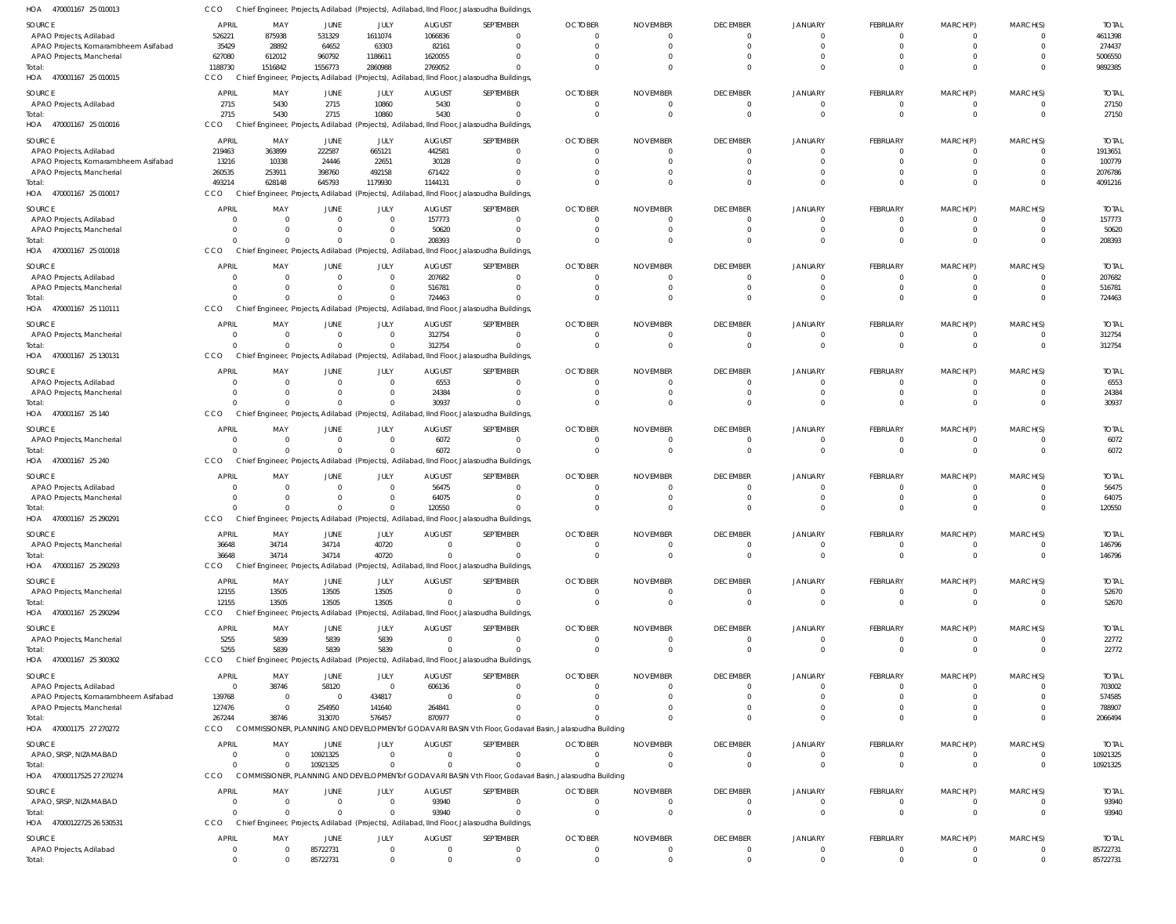| HOA 470001167 25 010013 | CCO Chief Engineer, Projects, Adilabad (Projects), Adilabad, IInd Floor, Jalasoudha Buildings, |  |
|-------------------------|------------------------------------------------------------------------------------------------|--|
|                         |                                                                                                |  |

| $\sim$<br>$10001101$ 20010010        |                  |                         |                          |                  |                                 | $100$ , $100$ cos, $100$ cos $\binom{10}{10}$ cos, $100$ condition, $100$ $100$ condition to be a condition |                                  |                         |                                 |                               |                            |                          |                      |                        |
|--------------------------------------|------------------|-------------------------|--------------------------|------------------|---------------------------------|-------------------------------------------------------------------------------------------------------------|----------------------------------|-------------------------|---------------------------------|-------------------------------|----------------------------|--------------------------|----------------------|------------------------|
| SOURCE                               | APRIL            | MAY                     | JUNE                     | JULY             | <b>AUGUST</b>                   | SEPTEMBER                                                                                                   | <b>OCTOBER</b>                   | <b>NOVEMBER</b>         | <b>DECEMBER</b>                 | JANUARY                       | <b>FEBRUARY</b>            | MARCH(P)                 | MARCH(S)             | <b>TOTAL</b>           |
| APAO Projects, Adilabad              | 526221           | 875938                  | 531329                   | 1611074          | 1066836                         |                                                                                                             | $\Omega$                         | $\Omega$                | $\Omega$                        | 0                             | $\Omega$                   | $\Omega$                 | $\Omega$             | 4611398                |
| APAO Projects, Komarambheem Asifabad | 35429            | 28892                   | 64652                    | 63303            | 82161                           |                                                                                                             | $\Omega$                         | $\Omega$                | $\Omega$                        | $\Omega$                      | <sup>0</sup>               |                          | $\Omega$             | 274437                 |
| APAO Projects, Mancherial            | 627080           | 612012                  | 960792                   | 1186611          | 1620055                         |                                                                                                             | $\Omega$                         | U                       | $\Omega$                        | $\Omega$                      | <sup>0</sup>               |                          | $\Omega$             | 5006550                |
| Total:                               | 1188730          | 1516842                 | 1556773                  | 2860988          | 2769052                         |                                                                                                             | $\Omega$                         | $\Omega$                | $\Omega$                        | $\Omega$                      | $\Omega$                   | $\Omega$                 | $\Omega$             | 9892385                |
| HOA 470001167 25 010015              | CCO              |                         |                          |                  |                                 | Chief Engineer, Projects, Adilabad (Projects), Adilabad, IInd Floor, Jalasoudha Buildings                   |                                  |                         |                                 |                               |                            |                          |                      |                        |
| SOURCE                               | <b>APRIL</b>     | MAY                     | <b>JUNE</b>              | JULY             | <b>AUGUST</b>                   | SEPTEMBER                                                                                                   | <b>OCTOBER</b>                   | <b>NOVEMBER</b>         | <b>DECEMBER</b>                 | JANUARY                       | <b>FEBRUARY</b>            | MARCH(P)                 | MARCH(S)             | <b>TOTAL</b>           |
| APAO Projects, Adilabad              | 2715             | 5430                    | 2715                     | 10860            | 5430                            | $\Omega$                                                                                                    | $\overline{0}$                   | $\mathbf 0$             | $\mathbf 0$                     | 0                             | $\overline{0}$             | 0                        | $\mathbf{0}$         | 27150                  |
| Total:                               | 2715             | 5430                    | 2715                     | 10860            | 5430                            |                                                                                                             | $\overline{0}$                   | $\mathbf 0$             | $\mathbf{0}$                    | $\mathbf 0$                   | $\mathbf 0$                | $\mathbf 0$              | $\overline{0}$       | 27150                  |
| HOA 470001167 25 010016              | CCO              |                         |                          |                  |                                 | Chief Engineer, Projects, Adilabad (Projects), Adilabad, IInd Floor, Jalasoudha Buildings                   |                                  |                         |                                 |                               |                            |                          |                      |                        |
| SOURCE                               | <b>APRIL</b>     | MAY                     | JUNE                     | JULY             | <b>AUGUST</b>                   | SEPTEMBER                                                                                                   | <b>OCTOBER</b>                   | <b>NOVEMBER</b>         | <b>DECEMBER</b>                 | <b>JANUARY</b>                | FEBRUARY                   | MARCH(P)                 | MARCH(S)             | <b>TOTAL</b>           |
| APAO Projects, Adilabad              | 219463           | 363899                  | 222587                   | 665121           | 442581                          |                                                                                                             | $\Omega$                         | $\Omega$                | $\Omega$                        | $\Omega$                      | $\Omega$                   | $\Omega$                 | $\Omega$             | 1913651                |
| APAO Projects, Komarambheem Asifabad | 13216            | 10338                   | 24446                    | 22651            | 30128                           |                                                                                                             | $\Omega$                         | $\Omega$                | $\Omega$                        | $\Omega$                      | <sup>0</sup>               | $\Omega$                 | $\Omega$             | 100779                 |
| APAO Projects, Mancherial            | 260535           | 253911                  | 398760                   | 492158           | 671422                          |                                                                                                             | $\Omega$                         |                         | $\Omega$                        | $\Omega$                      |                            |                          | $\Omega$             | 2076786                |
| Total:                               | 493214           | 628148                  | 645793                   | 1179930          | 1144131                         |                                                                                                             | $\Omega$                         | $\Omega$                | $\Omega$                        | $\Omega$                      | $\Omega$                   | $\Omega$                 | $\Omega$             | 4091216                |
| HOA<br>470001167 25 010017           | CCO              |                         |                          |                  |                                 | Chief Engineer, Projects, Adilabad (Projects), Adilabad, IInd Floor, Jalasoudha Buildings                   |                                  |                         |                                 |                               |                            |                          |                      |                        |
| SOURCE                               | <b>APRIL</b>     | MAY                     | JUNE                     | JULY             | <b>AUGUST</b>                   | SEPTEMBER                                                                                                   | <b>OCTOBER</b>                   | <b>NOVEMBER</b>         | <b>DECEMBER</b>                 | JANUARY                       | FEBRUARY                   | MARCH(P)                 | MARCH(S)             | <b>TOTAL</b>           |
| APAO Projects, Adilabad              | $\Omega$         | $\Omega$                | $\overline{0}$           | $\overline{0}$   | 157773                          | $\Omega$                                                                                                    | $\overline{0}$                   | $\mathbf 0$             | $\mathbf 0$                     | $\mathbf 0$                   | $\overline{0}$             | $\Omega$                 | $\mathbf{0}$         | 157773                 |
| APAO Projects, Mancherial            | $\Omega$         | $\Omega$                | $\overline{0}$           | $\overline{0}$   | 50620                           |                                                                                                             | $\Omega$                         | $\mathbf 0$             | $\mathbf 0$                     | $\mathbf 0$                   | $\Omega$                   | $\Omega$                 | $\mathbf 0$          | 50620                  |
| lotal:                               | $\cap$           | $\Omega$                | $\overline{0}$           | $\overline{0}$   | 208393                          |                                                                                                             | $\Omega$                         | $\Omega$                | $\mathbf 0$                     | $\mathbf 0$                   | $\Omega$                   |                          | $\Omega$             | 208393                 |
| HOA 470001167 25 010018              | CCO              |                         |                          |                  |                                 | Chief Engineer, Projects, Adilabad (Projects), Adilabad, IInd Floor, Jalasoudha Buildings                   |                                  |                         |                                 |                               |                            |                          |                      |                        |
| SOURCE                               | APRIL            | MAY                     | JUNE                     | JULY             | <b>AUGUST</b>                   | SEPTEMBER                                                                                                   | <b>OCTOBER</b>                   | <b>NOVEMBER</b>         | <b>DECEMBER</b>                 | <b>JANUARY</b>                | FEBRUARY                   | MARCH(P)                 | MARCH(S)             | <b>TOTAL</b>           |
| APAO Projects, Adilabad              |                  | $\Omega$                | $\Omega$                 | $\overline{0}$   | 207682                          |                                                                                                             | $\Omega$                         | $\mathbf 0$             | $\Omega$                        | $\Omega$                      | $\Omega$                   | $\Omega$                 | $\Omega$             | 207682                 |
| APAO Projects, Mancherial            | $\Omega$         | $\Omega$                | $\Omega$                 | $\Omega$         | 516781                          |                                                                                                             | $\Omega$                         | $\Omega$                | $\Omega$                        | $\Omega$                      | 0                          | $\Omega$                 | $\Omega$             | 516781                 |
| Total:                               | $\Omega$         | $\Omega$                | $\Omega$                 | $\mathbf 0$      | 724463                          |                                                                                                             | $\Omega$                         | $\Omega$                | $\Omega$                        | $\Omega$                      | <sup>0</sup>               | $\Omega$                 | $\Omega$             | 724463                 |
| HOA 470001167 25 110111              | CCO              |                         |                          |                  |                                 | Chief Engineer, Projects, Adilabad (Projects), Adilabad, IInd Floor, Jalasoudha Buildings                   |                                  |                         |                                 |                               |                            |                          |                      |                        |
| SOURCE                               | <b>APRIL</b>     | MAY                     | JUNE                     | JULY             | <b>AUGUST</b>                   | SEPTEMBER                                                                                                   | <b>OCTOBER</b>                   | <b>NOVEMBER</b>         | <b>DECEMBER</b>                 | JANUARY                       | FEBRUARY                   | MARCH(P)                 | MARCH(S)             | <b>TOTAL</b>           |
| APAO Projects, Mancherial            | $\Omega$         | $\overline{\mathbf{0}}$ | $\overline{0}$           | $\overline{0}$   | 312754                          | $\Omega$                                                                                                    | $\overline{0}$                   | $\mathbf 0$             | $\mathbf{0}$                    | 0                             | $\overline{0}$             | $\mathbf{0}$             | 0                    | 312754                 |
| Total:                               | $\Omega$         | $\Omega$                | $\overline{0}$           | $\Omega$         | 312754                          |                                                                                                             | $\Omega$                         | $\mathbf 0$             | $\mathbf 0$                     | $\mathbf 0$                   | $\Omega$                   | $\Omega$                 | $\overline{0}$       | 312754                 |
| HOA 470001167 25 130131              | CCO              |                         |                          |                  |                                 | Chief Engineer, Projects, Adilabad (Projects), Adilabad, IInd Floor, Jalasoudha Buildings                   |                                  |                         |                                 |                               |                            |                          |                      |                        |
| SOURCE                               | <b>APRIL</b>     | MAY                     | JUNE                     | JULY             | <b>AUGUST</b>                   | SEPTEMBER                                                                                                   | <b>OCTOBER</b>                   | <b>NOVEMBER</b>         | <b>DECEMBER</b>                 | JANUARY                       | FEBRUARY                   | MARCH(P)                 | MARCH(S)             | <b>TOTAL</b>           |
| APAO Projects, Adilabad              | $\Omega$         | $\overline{0}$          | $\overline{0}$           | $\overline{0}$   | 6553                            | $\Omega$                                                                                                    | $\Omega$                         | $\Omega$                | $\Omega$                        | $\Omega$                      | $\Omega$                   | $\Omega$                 | $\Omega$             | 6553                   |
| APAO Projects, Mancherial            | $\Omega$         | $\Omega$                | $\Omega$                 | $\overline{0}$   | 24384                           |                                                                                                             | $\Omega$                         | $\Omega$                | $\Omega$                        | $\Omega$                      | 0                          | $\Omega$                 | $\Omega$             | 24384                  |
| Total:                               |                  | $\Omega$                | $\Omega$                 | $\Omega$         | 30937                           |                                                                                                             | $\Omega$                         | $\Omega$                | $\Omega$                        | $\Omega$                      | $\Omega$                   | $\Omega$                 | $\Omega$             | 30937                  |
| HOA 470001167 25 140                 | CCO              |                         |                          |                  |                                 | Chief Engineer, Projects, Adilabad (Projects), Adilabad, IInd Floor, Jalasoudha Buildings                   |                                  |                         |                                 |                               |                            |                          |                      |                        |
| SOURCE                               | <b>APRIL</b>     | MAY                     | JUNE                     | JULY             | <b>AUGUST</b>                   | SEPTEMBER                                                                                                   | <b>OCTOBER</b>                   | <b>NOVEMBER</b>         | <b>DECEMBER</b>                 | JANUARY                       | <b>FEBRUARY</b>            | MARCH(P)                 | MARCH(S)             | <b>TOTAL</b>           |
| APAO Projects, Mancherial            | $\Omega$         | $\overline{\mathbf{0}}$ | $\overline{\mathbf{0}}$  | $\overline{0}$   | 6072                            | $\Omega$                                                                                                    | $\overline{0}$                   | $\mathbf 0$             | $\mathbf 0$                     | 0                             | 0                          |                          | $\Omega$             | 6072                   |
| Total:                               | $\Omega$         | $\Omega$                | $\overline{0}$           | $\overline{0}$   | 6072                            | $\Omega$                                                                                                    | $\overline{0}$                   | $\mathbf 0$             | $\mathbf{0}$                    | $\mathbf 0$                   | $\overline{0}$             | $\Omega$                 | $\mathbf 0$          | 6072                   |
| HOA 470001167 25 240                 | CCO              |                         |                          |                  |                                 | Chief Engineer, Projects, Adilabad (Projects), Adilabad, IInd Floor, Jalasoudha Buildings                   |                                  |                         |                                 |                               |                            |                          |                      |                        |
|                                      | <b>APRIL</b>     | MAY                     |                          | JULY             |                                 | SEPTEMBER                                                                                                   | <b>OCTOBER</b>                   | <b>NOVEMBER</b>         | <b>DECEMBER</b>                 | <b>JANUARY</b>                | FEBRUARY                   | MARCH(P)                 | MARCH(S)             | <b>TOTAL</b>           |
| SOURCE<br>APAO Projects, Adilabad    |                  | $\Omega$                | JUNE<br>$\Omega$         | $\overline{0}$   | <b>AUGUST</b><br>56475          |                                                                                                             | $\Omega$                         | $\Omega$                | $\Omega$                        | $\Omega$                      | $\Omega$                   | $\Omega$                 | $\Omega$             | 56475                  |
| APAO Projects, Mancherial            | $\Omega$         | $\Omega$                | $\Omega$                 | $\Omega$         | 64075                           |                                                                                                             | $\Omega$                         | $\Omega$                | $\overline{0}$                  | $\Omega$                      | 0                          |                          | $\Omega$             | 64075                  |
| Total:                               |                  | $\Omega$                | $\Omega$                 | $\Omega$         | 120550                          |                                                                                                             | $\Omega$                         | $\Omega$                | $\Omega$                        | $\Omega$                      | $\Omega$                   |                          | $\Omega$             | 120550                 |
| HOA 470001167 25 290291              | CCO              |                         |                          |                  |                                 | Chief Engineer, Projects, Adilabad (Projects), Adilabad, IInd Floor, Jalasoudha Buildings                   |                                  |                         |                                 |                               |                            |                          |                      |                        |
|                                      |                  |                         |                          |                  |                                 |                                                                                                             |                                  |                         |                                 |                               |                            |                          |                      |                        |
| SOURCE<br>APAO Projects, Mancherial  | APRIL<br>36648   | MAY<br>34714            | <b>JUNE</b><br>34714     | JULY<br>40720    | <b>AUGUST</b><br>$\overline{0}$ | SEPTEMBER<br>- 0                                                                                            | <b>OCTOBER</b><br>$\overline{0}$ | NOVEMBER<br>$\Omega$    | <b>DECEMBER</b><br>$\mathbf{0}$ | <b>JANUARY</b><br>$\mathbf 0$ | FEBRUARY<br>0              | MARCH(P)<br>0            | MARCH(S)<br>$\Omega$ | <b>TOTAL</b><br>146796 |
| Total:                               | 36648            | 34714                   | 34714                    | 40720            | $\Omega$                        | $\Omega$                                                                                                    | $\overline{0}$                   | $\mathbf 0$             | $\mathbf 0$                     | $\overline{0}$                | $\overline{0}$             | $\mathbf 0$              | $\overline{0}$       | 146796                 |
| HOA 470001167 25 290293              | CCO              |                         |                          |                  |                                 | Chief Engineer, Projects, Adilabad (Projects), Adilabad, IInd Floor, Jalasoudha Buildings                   |                                  |                         |                                 |                               |                            |                          |                      |                        |
|                                      |                  |                         |                          |                  |                                 |                                                                                                             |                                  |                         |                                 |                               |                            |                          |                      |                        |
| SOURCE                               | APRIL            | MAY                     | JUNE                     | JULY             | <b>AUGUST</b><br>$\Omega$       | SEPTEMBER                                                                                                   | <b>OCTOBER</b>                   | <b>NOVEMBER</b>         | <b>DECEMBER</b>                 | JANUARY                       | <b>FEBRUARY</b>            | MARCH(P)                 | MARCH(S)             | <b>TOTAL</b>           |
| APAO Projects, Mancherial<br>Total:  | 12155<br>12155   | 13505<br>13505          | 13505<br>13505           | 13505<br>13505   | $\Omega$                        | $\Omega$<br>$\Omega$                                                                                        | $\mathbf{0}$<br>$\Omega$         | $\mathbf 0$<br>$\Omega$ | $\mathbf{0}$<br>$\Omega$        | 0<br>$\Omega$                 | $\overline{0}$<br>$\Omega$ | $\mathbf{0}$<br>$\Omega$ | $\Omega$<br>$\Omega$ | 52670<br>52670         |
| HOA 470001167 25 290294              | CCO              |                         |                          |                  |                                 | Chief Engineer, Projects, Adilabad (Projects), Adilabad, IInd Floor, Jalasoudha Buildings,                  |                                  |                         |                                 |                               |                            |                          |                      |                        |
|                                      |                  |                         |                          |                  |                                 |                                                                                                             |                                  |                         |                                 |                               |                            |                          |                      |                        |
| SOURCE                               | <b>APRIL</b>     | MAY                     | JUNE                     | JULY             | <b>AUGUST</b>                   | SEPTEMBER                                                                                                   | <b>OCTOBER</b>                   | <b>NOVEMBER</b>         | <b>DECEMBER</b>                 | JANUARY                       | FEBRUARY                   | MARCH(P)                 | MARCH(S)             | <b>TOTAL</b>           |
| APAO Projects, Mancherial            | 5255             | 5839                    | 5839                     | 5839             | $\overline{0}$<br>$\Omega$      | $\Omega$                                                                                                    | $\overline{0}$<br>$\Omega$       | $\mathbf 0$<br>$\Omega$ | $\mathbf 0$                     | $\mathbf 0$                   | $\overline{0}$             | $\mathbf{0}$             | $\mathbf{0}$         | 22772                  |
| Total:<br>HOA 470001167 25 300302    | 5255<br>CCO      | 5839                    | 5839                     | 5839             |                                 | Chief Engineer, Projects, Adilabad (Projects), Adilabad, IInd Floor, Jalasoudha Buildings                   |                                  |                         | $\mathbf{0}$                    | $\mathbf{0}$                  | $\overline{0}$             | $\mathbf 0$              | $\mathbf{0}$         | 22772                  |
|                                      |                  |                         |                          |                  |                                 |                                                                                                             |                                  |                         |                                 |                               |                            |                          |                      |                        |
| SOURCE                               | <b>APRIL</b>     | MAY                     | <b>JUNE</b>              | JULY             | <b>AUGUST</b>                   | SEPTEMBER                                                                                                   | <b>OCTOBER</b>                   | <b>NOVEMBER</b>         | <b>DECEMBER</b>                 | JANUARY                       | FEBRUARY                   | MARCH(P)                 | MARCH(S)             | <b>TOTAL</b>           |
| APAO Projects, Adilabad              | $\Omega$         | 38746                   | 58120                    | $\overline{0}$   | 606136                          |                                                                                                             | $\Omega$                         | $\Omega$                | $\Omega$                        | $\Omega$                      | $\Omega$                   | $\Omega$                 | $\Omega$             | 703002                 |
| APAO Projects, Komarambheem Asifabad | 139768           | - 0                     | $\overline{\phantom{0}}$ | 434817           | 0                               |                                                                                                             | $\Omega$                         | $\Omega$                | $\Omega$                        | $\Omega$                      | 0                          | $\Omega$                 | $\Omega$             | 574585                 |
| APAO Projects, Mancherial<br>Total:  | 127476<br>267244 | - 0<br>38746            | 254950<br>313070         | 141640<br>576457 | 264841<br>870977                | $\Omega$                                                                                                    | $\Omega$<br>$\Omega$             | $\Omega$                | $\Omega$<br>$\Omega$            | $\mathbf 0$<br>$\Omega$       | <sup>0</sup><br>$\Omega$   | $\Omega$<br>$\Omega$     | $\Omega$<br>$\Omega$ | 788907<br>2066494      |
| HOA 470001175 27 270272              | CCO              |                         |                          |                  |                                 | COMMISSIONER, PLANNING AND DEVELOPMENT of GODAVARI BASIN Vth Floor, Godavari Basin, Jalasoudha Building     |                                  |                         |                                 |                               |                            |                          |                      |                        |
|                                      |                  |                         |                          |                  |                                 |                                                                                                             |                                  |                         |                                 |                               |                            |                          |                      |                        |
| SOURCE                               | <b>APRIL</b>     | MAY                     | JUNE                     | JULY             | <b>AUGUST</b>                   | SEPTEMBER                                                                                                   | <b>OCTOBER</b>                   | <b>NOVEMBER</b>         | <b>DECEMBER</b>                 | JANUARY                       | <b>FEBRUARY</b>            | MARCH(P)                 | MARCH(S)             | <b>TOTAL</b>           |
| APAO, SRSP, NIZAMABAD                | $\Omega$         | $\overline{\mathbf{0}}$ | 10921325                 | $\overline{0}$   | $\overline{0}$                  | $\Omega$                                                                                                    | $\overline{0}$                   | $\mathbf 0$             | $\mathbf 0$                     | 0                             | $\overline{0}$             | $\mathbf{0}$             | $\mathbf{0}$         | 10921325               |
| Total:                               | $\Omega$         | $\overline{0}$          | 10921325                 | $\overline{0}$   | $\mathbf{0}$                    | $\Omega$                                                                                                    | $\Omega$                         | $\Omega$                | $\overline{0}$                  | $\mathbf 0$                   | $\overline{0}$             | $\mathbf 0$              | $\mathbf{0}$         | 10921325               |
| HOA 47000117525 27 270274            | CCO              |                         |                          |                  |                                 | COMMISSIONER, PLANNING AND DEVELOPMENT of GODAVARI BASIN Vth Floor, Godavari Basin, Jalasoudha Building     |                                  |                         |                                 |                               |                            |                          |                      |                        |
| SOURCE                               | APRIL            | MAY                     | JUNE                     | JULY             | AUGUST                          | SEPTEMBER                                                                                                   | <b>OCTOBER</b>                   | <b>NOVEMBER</b>         | <b>DECEMBER</b>                 | JANUARY                       | FEBRUARY                   | MARCH(P)                 | MARCH(S)             | <b>TOTAL</b>           |
| APAO, SRSP, NIZAMABAD                | $\Omega$         | $\Omega$                | $\overline{0}$           | $\overline{0}$   | 93940                           | $\Omega$                                                                                                    | $\mathbf{0}$                     | $\mathbf 0$             | $\overline{0}$                  | 0                             | $\overline{0}$             | $\mathbf{0}$             | $\Omega$             | 93940                  |
| Total:                               | $\Omega$         | $\Omega$                | $\Omega$                 | $\Omega$         | 93940                           | $\Omega$                                                                                                    | $\Omega$                         | $\Omega$                | $\Omega$                        | $\Omega$                      | $\Omega$                   | $\Omega$                 | $\Omega$             | 93940                  |
| HOA 47000122725 26 530531            | CCO              |                         |                          |                  |                                 | Chief Engineer, Projects, Adilabad (Projects), Adilabad, IInd Floor, Jalasoudha Buildings                   |                                  |                         |                                 |                               |                            |                          |                      |                        |
| SOURCE                               | APRIL            | MAY                     | JUNE                     | JULY             | AUGUST                          | SEPTEMBER                                                                                                   | <b>OCTOBER</b>                   | <b>NOVEMBER</b>         | <b>DECEMBER</b>                 | JANUARY                       | FEBRUARY                   | MARCH(P)                 | MARCH(S)             | <b>TOTAL</b>           |
| APAO Projects, Adilabad              | $\overline{0}$   | $\overline{0}$          | 85722731                 | $\overline{0}$   | $\overline{0}$                  | $\Omega$                                                                                                    | $\overline{0}$                   | $\mathbf 0$             | $\mathbf{0}$                    | $\mathbf 0$                   | $\overline{0}$             | $\mathbf{0}$             | $\overline{0}$       | 85722731               |
| Total:                               | $\Omega$         | $\Omega$                | 85722731                 | $\Omega$         | $\Omega$                        |                                                                                                             |                                  |                         |                                 | $\Omega$                      |                            |                          |                      | 85722731               |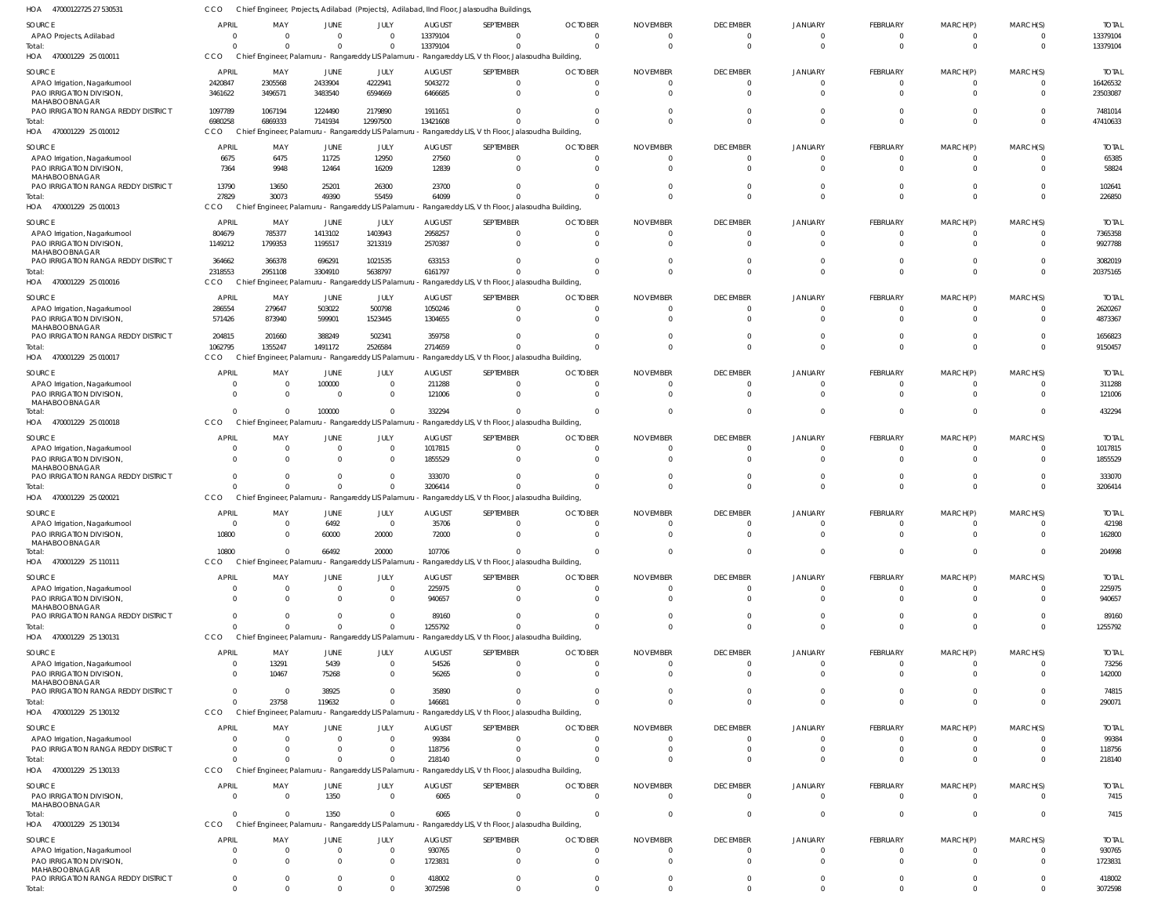| HOA<br>47000122725 27 530531                              | CCO                 |                                                                |                          |                               |                          | Chief Engineer, Projects, Adilabad (Projects), Adilabad, IInd Floor, Jalasoudha Buildings                         |                                  |                             |                                   |                                  |                            |                             |                            |                         |
|-----------------------------------------------------------|---------------------|----------------------------------------------------------------|--------------------------|-------------------------------|--------------------------|-------------------------------------------------------------------------------------------------------------------|----------------------------------|-----------------------------|-----------------------------------|----------------------------------|----------------------------|-----------------------------|----------------------------|-------------------------|
| <b>SOURCE</b>                                             | <b>APRIL</b>        | MAY                                                            | <b>JUNE</b>              | JULY                          | <b>AUGUST</b>            | SEPTEMBER                                                                                                         | <b>OCTOBER</b>                   | <b>NOVEMBER</b>             | <b>DECEMBER</b>                   | <b>JANUARY</b>                   | FEBRUARY                   | MARCH(P)                    | MARCH(S)                   | <b>TOTAL</b>            |
| APAO Projects, Adilabad                                   | $\Omega$            | $\Omega$                                                       | $\mathbf{0}$             | $\overline{0}$                | 13379104                 |                                                                                                                   | $\Omega$                         | $\Omega$                    | $\overline{0}$                    | $\mathbf{0}$                     | -0                         | $\mathbf{0}$                | $\Omega$                   | 13379104                |
| Total:<br>HOA 470001229 25 010011                         | $\cap$<br>CCO       | $\Omega$<br>Chief Engineer, Palamuru - Rangareddy LIS Palamuru | $\mathbf{0}$             | $\mathbf 0$                   | 13379104                 | $\Omega$<br>- Rangareddy LIS, V th Floor, Jalasoudha Building,                                                    | $\Omega$                         | $\Omega$                    | $\overline{0}$                    | $\Omega$                         | $\mathbf 0$                | $\overline{0}$              | $\Omega$                   | 13379104                |
| SOURCE                                                    | APRIL               | MAY                                                            | JUNE                     | JULY                          | <b>AUGUST</b>            | SEPTEMBER                                                                                                         | <b>OCTOBER</b>                   | <b>NOVEMBER</b>             | <b>DECEMBER</b>                   | <b>JANUARY</b>                   | FEBRUARY                   | MARCH(P)                    | MARCH(S)                   | <b>TOTAL</b>            |
| APAO Irrigation, Nagarkurnool                             | 2420847             | 2305568                                                        | 2433904                  | 4222941                       | 5043272                  | $\Omega$                                                                                                          | $\overline{0}$                   | $\Omega$                    | $\overline{0}$                    | $\overline{0}$                   | $\mathbf 0$                | $\overline{0}$              | $\overline{0}$             | 16426532                |
| PAO IRRIGATION DIVISION                                   | 3461622             | 3496571                                                        | 3483540                  | 6594669                       | 6466685                  | $\Omega$                                                                                                          | $\Omega$                         | $\Omega$                    | $\Omega$                          | $\Omega$                         | $\Omega$                   | $\mathbf{0}$                | $\Omega$                   | 23503087                |
| MAHABOOBNAGAR<br>PAO IRRIGATION RANGA REDDY DISTRICT      | 1097789             | 1067194                                                        | 1224490                  | 2179890                       | 1911651                  |                                                                                                                   |                                  | $\Omega$                    | $\Omega$                          | $\Omega$                         | $\Omega$                   | $\mathbf 0$                 | $\Omega$                   | 7481014                 |
| Total:                                                    | 6980258             | 6869333                                                        | 7141934                  | 12997500                      | 13421608                 |                                                                                                                   | $\Omega$                         | $\Omega$                    | $\Omega$                          | $\overline{0}$                   | $\Omega$                   | $\overline{0}$              | $\Omega$                   | 47410633                |
| 470001229 25 010012<br>HOA                                | CCO                 |                                                                |                          |                               |                          | Chief Engineer, Palamuru - Rangareddy LIS Palamuru - Rangareddy LIS, V th Floor, Jalasoudha Building,             |                                  |                             |                                   |                                  |                            |                             |                            |                         |
| SOURCE                                                    | <b>APRI</b>         | MAY                                                            | JUNE                     | JULY                          | <b>AUGUST</b>            | SEPTEMBER                                                                                                         | <b>OCTOBER</b>                   | <b>NOVEMBER</b>             | <b>DECEMBER</b>                   | <b>JANUARY</b>                   | <b>FEBRUARY</b>            | MARCH(P)                    | MARCH(S)                   | <b>TOTAL</b>            |
| APAO Irrigation, Nagarkurnool                             | 6675                | 6475                                                           | 11725                    | 12950                         | 27560                    | $\Omega$                                                                                                          | $\Omega$                         | $\Omega$                    | $\overline{0}$                    | $\Omega$                         | -0                         | - 0                         | $\Omega$                   | 65385                   |
| PAO IRRIGATION DIVISION<br>MAHABOOBNAGAR                  | 7364                | 9948                                                           | 12464                    | 16209                         | 12839                    | $\Omega$                                                                                                          | $\Omega$                         | $\Omega$                    | $\overline{0}$                    | $\Omega$                         | $\Omega$                   | $\mathbf 0$                 | $\Omega$                   | 58824                   |
| PAO IRRIGATION RANGA REDDY DISTRICT                       | 13790               | 13650                                                          | 25201                    | 26300                         | 23700                    |                                                                                                                   |                                  |                             | $\overline{0}$                    | $\Omega$                         | $\Omega$                   | $\mathbf{0}$                | $\Omega$                   | 102641                  |
| Total:                                                    | 27829               | 30073                                                          | 49390                    | 55459                         | 64099                    |                                                                                                                   | $\Omega$                         | $\Omega$                    | $\Omega$                          | $\Omega$                         | $\Omega$                   | $\Omega$                    | $\Omega$                   | 226850                  |
| HOA 470001229 25 010013                                   | CCO                 |                                                                |                          |                               |                          | Chief Engineer, Palamuru - Rangareddy LIS Palamuru - Rangareddy LIS, V th Floor, Jalasoudha Building,             |                                  |                             |                                   |                                  |                            |                             |                            |                         |
| SOURCE                                                    | <b>APRIL</b>        | MAY                                                            | JUNE                     | JULY                          | <b>AUGUST</b>            | SEPTEMBER                                                                                                         | <b>OCTOBER</b>                   | <b>NOVEMBER</b>             | <b>DECEMBER</b>                   | <b>JANUARY</b>                   | FEBRUARY                   | MARCH(P)                    | MARCH(S)                   | <b>TOTAL</b>            |
| APAO Irrigation, Nagarkurnool                             | 804679              | 785377                                                         | 1413102                  | 1403943                       | 2958257                  | $\Omega$<br>$\Omega$                                                                                              | 0<br>$\Omega$                    | $\mathbf{0}$<br>$\Omega$    | $\overline{0}$<br>$\overline{0}$  | $\mathbf{0}$<br>$\Omega$         | $\mathbf 0$<br>$\Omega$    | $\mathbf{0}$<br>$\mathbf 0$ | $\overline{0}$<br>$\Omega$ | 7365358                 |
| PAO IRRIGATION DIVISION<br>MAHABOOBNAGAR                  | 1149212             | 1799353                                                        | 1195517                  | 3213319                       | 2570387                  |                                                                                                                   |                                  |                             |                                   |                                  |                            |                             |                            | 9927788                 |
| PAO IRRIGATION RANGA REDDY DISTRICT                       | 364662              | 366378                                                         | 696291                   | 1021535                       | 633153                   | $\Omega$                                                                                                          | $\Omega$                         | $\Omega$                    | $\overline{0}$                    | $\mathbf{0}$                     | $\Omega$                   | $\mathbf 0$                 | $\Omega$                   | 3082019                 |
| Total:<br>HOA 470001229 25 010016                         | 2318553<br>CCO      | 2951108                                                        | 3304910                  | 5638797                       | 6161797                  | $\Omega$<br>Chief Engineer, Palamuru - Rangareddy LIS Palamuru - Rangareddy LIS, V th Floor, Jalasoudha Building, | $\Omega$                         | $\Omega$                    | $\overline{0}$                    | $\overline{0}$                   | $\mathbf 0$                | $\mathbf 0$                 | $\Omega$                   | 20375165                |
|                                                           |                     |                                                                |                          |                               |                          |                                                                                                                   |                                  |                             |                                   |                                  |                            |                             |                            |                         |
| SOURCE                                                    | APRII<br>286554     | MAY<br>279647                                                  | JUNE<br>503022           | JULY<br>500798                | <b>AUGUST</b><br>1050246 | SEPTEMBER<br>- 0                                                                                                  | <b>OCTOBER</b><br>$\Omega$       | <b>NOVEMBER</b><br>$\Omega$ | <b>DECEMBER</b><br>$\overline{0}$ | <b>JANUARY</b><br>$\overline{0}$ | FEBRUARY<br>$\overline{0}$ | MARCH(P)<br>$\mathbf{0}$    | MARCH(S)<br>$\Omega$       | <b>TOTAL</b><br>2620267 |
| APAO Irrigation, Nagarkurnool<br>PAO IRRIGATION DIVISION  | 571426              | 873940                                                         | 599901                   | 1523445                       | 1304655                  | $\Omega$                                                                                                          | $\Omega$                         | $\Omega$                    | $\Omega$                          | $\Omega$                         | $\Omega$                   | $\Omega$                    | $\Omega$                   | 4873367                 |
| MAHABOOBNAGAR                                             |                     |                                                                |                          |                               |                          |                                                                                                                   |                                  |                             |                                   |                                  |                            |                             |                            |                         |
| PAO IRRIGATION RANGA REDDY DISTRICT<br>Total:             | 204815<br>1062795   | 201660<br>1355247                                              | 388249<br>1491172        | 502341<br>2526584             | 359758<br>2714659        |                                                                                                                   | $\Omega$                         | <sup>0</sup><br>$\Omega$    | $\Omega$<br>$\Omega$              | $\Omega$<br>$\Omega$             | $\Omega$<br>$\Omega$       | $\overline{0}$<br>$\Omega$  | $\Omega$<br>$\Omega$       | 1656823<br>9150457      |
| 470001229 25 010017<br>HOA                                | CCO                 | Chief Engineer, Palamuru - Rangareddy LIS Palamuru             |                          |                               |                          | - Rangareddy LIS, V th Floor, Jalasoudha Building,                                                                |                                  |                             |                                   |                                  |                            |                             |                            |                         |
| SOURCE                                                    | <b>APRIL</b>        | MAY                                                            | JUNE                     | JULY                          | <b>AUGUST</b>            | SEPTEMBER                                                                                                         | <b>OCTOBER</b>                   | <b>NOVEMBER</b>             | <b>DECEMBER</b>                   | <b>JANUARY</b>                   | FEBRUARY                   | MARCH(P)                    | MARCH(S)                   | <b>TOTAL</b>            |
| APAO Irrigation, Nagarkurnool                             | - 0                 | $\Omega$                                                       | 100000                   | $\overline{0}$                | 211288                   | $\Omega$                                                                                                          | $\Omega$                         | $\Omega$                    | $\overline{0}$                    | $\mathbf{0}$                     | $\Omega$                   | $\mathbf 0$                 | $\Omega$                   | 311288                  |
| PAO IRRIGATION DIVISION                                   | $\cap$              | $\overline{0}$                                                 | $\overline{0}$           | $\mathbf 0$                   | 121006                   | $\Omega$                                                                                                          | $\Omega$                         | $\Omega$                    | $\overline{0}$                    | $\overline{0}$                   | $\Omega$                   | $\overline{0}$              | $\Omega$                   | 121006                  |
| MAHABOOBNAGAR<br>Total:                                   |                     | $\Omega$                                                       | 100000                   | $\overline{0}$                | 332294                   | $\Omega$                                                                                                          | $\Omega$                         | $\Omega$                    | $\overline{0}$                    | $\overline{0}$                   | $\Omega$                   | $\mathbf 0$                 | $\Omega$                   | 432294                  |
| HOA 470001229 25 010018                                   | CCO                 | Chief Engineer, Palamuru - Rangareddy LIS Palamuru             |                          |                               |                          | - Rangareddy LIS, V th Floor, Jalasoudha Building,                                                                |                                  |                             |                                   |                                  |                            |                             |                            |                         |
| SOURCE                                                    | <b>APRI</b>         | MAY                                                            | <b>JUNE</b>              | JULY                          | <b>AUGUST</b>            | SEPTEMBER                                                                                                         | <b>OCTOBER</b>                   | <b>NOVEMBER</b>             | <b>DECEMBER</b>                   | <b>JANUARY</b>                   | FEBRUARY                   | MARCH(P)                    | MARCH(S)                   | <b>TOTAL</b>            |
| APAO Irrigation, Nagarkurnool                             | $\Omega$            | $\overline{0}$                                                 | $\mathbf{0}$             | $\overline{0}$                | 1017815                  | - 0                                                                                                               | $\Omega$                         | $\Omega$                    | $\overline{0}$                    | $\Omega$                         | $\Omega$                   | $\mathbf{0}$                | $\Omega$                   | 1017815                 |
| PAO IRRIGATION DIVISION                                   | $\cap$              | $\Omega$                                                       | $\Omega$                 | $\mathbf 0$                   | 1855529                  | $\Omega$                                                                                                          | $\Omega$                         | $\Omega$                    | $\Omega$                          | $\Omega$                         | $\Omega$                   | $\Omega$                    | $\Omega$                   | 1855529                 |
| MAHABOOBNAGAR<br>PAO IRRIGATION RANGA REDDY DISTRICT      | $\Omega$            | $\Omega$                                                       | $\mathbf{0}$             | $\mathbf{0}$                  | 333070                   |                                                                                                                   |                                  | <sup>0</sup>                | $\Omega$                          | $\Omega$                         | $\Omega$                   | $\mathbf{0}$                | $\Omega$                   | 333070                  |
| Total:                                                    |                     | $\Omega$                                                       | $\Omega$                 | $\overline{0}$                | 3206414                  |                                                                                                                   | $\Omega$                         | $\Omega$                    | $\Omega$                          | $\Omega$                         | $\Omega$                   | $\Omega$                    | $\Omega$                   | 3206414                 |
| 470001229 25 020021<br>HOA                                | CCO                 |                                                                |                          |                               |                          | Chief Engineer, Palamuru - Rangareddy LIS Palamuru - Rangareddy LIS, V th Floor, Jalasoudha Building,             |                                  |                             |                                   |                                  |                            |                             |                            |                         |
| SOURCE                                                    | <b>APRIL</b>        | MAY                                                            | JUNE                     | JULY                          | <b>AUGUST</b>            | SEPTEMBER                                                                                                         | <b>OCTOBER</b>                   | <b>NOVEMBER</b>             | <b>DECEMBER</b>                   | <b>JANUARY</b>                   | FEBRUARY                   | MARCH(P)                    | MARCH(S)                   | <b>TOTAL</b>            |
| APAO Irrigation, Nagarkurnool<br>PAO IRRIGATION DIVISION, | $\Omega$<br>10800   | $\overline{0}$                                                 | 6492<br>60000            | $\overline{0}$<br>20000       | 35706<br>72000           | $\Omega$                                                                                                          | $\overline{0}$                   | $\Omega$                    | $\overline{0}$                    | $\overline{0}$                   | $\mathbf{0}$               | $\overline{0}$              | $\Omega$                   | 42198<br>162800         |
| MAHABOOBNAGAR                                             |                     |                                                                |                          |                               |                          |                                                                                                                   |                                  |                             |                                   |                                  |                            |                             |                            |                         |
| Total:                                                    | 10800               | $\Omega$                                                       | 66492                    | 20000                         | 107706                   | $\Omega$                                                                                                          | $\Omega$                         | $\Omega$                    | $\overline{0}$                    | $\overline{0}$                   | $\mathbf 0$                | $\overline{0}$              | $\overline{0}$             | 204998                  |
| HOA 470001229 25 110111                                   | CCO                 |                                                                |                          |                               |                          | Chief Engineer, Palamuru - Rangareddy LIS Palamuru - Rangareddy LIS, V th Floor, Jalasoudha Building,             |                                  |                             |                                   |                                  |                            |                             |                            |                         |
| SOURCE                                                    | <b>APRIL</b>        | MAY                                                            | <b>JUNE</b>              | JULY                          | <b>AUGUST</b>            | SEPTEMBER                                                                                                         | <b>OCTOBER</b>                   | <b>NOVEMBER</b>             | <b>DECEMBER</b>                   | <b>JANUARY</b>                   | FEBRUARY                   | MARCH(P)                    | MARCH(S)                   | <b>TOTAL</b>            |
| APAO Irrigation, Nagarkurnool<br>PAO IRRIGATION DIVISION  | $\Omega$<br>$\cap$  | $\overline{0}$<br>$\Omega$                                     | $\mathbf{0}$<br>$\Omega$ | $\overline{0}$<br>$\mathbf 0$ | 225975<br>940657         | - 0<br>$\Omega$                                                                                                   | $\mathbf 0$<br>$\Omega$          | $\Omega$<br>$\Omega$        | $\overline{0}$<br>$\Omega$        | $\overline{0}$<br>$\Omega$       | $\mathbf{0}$<br>$\Omega$   | $\mathbf{0}$<br>$\mathbf 0$ | $\Omega$<br>$\Omega$       | 225975<br>940657        |
| MAHABOOBNAGAR                                             |                     |                                                                |                          |                               |                          |                                                                                                                   |                                  |                             |                                   |                                  |                            |                             |                            |                         |
| PAO IRRIGATION RANGA REDDY DISTRICT                       | $\cap$              | $\Omega$                                                       | $\Omega$                 | $\Omega$                      | 89160                    |                                                                                                                   | $\Omega$                         | <sup>0</sup>                | $\Omega$                          | $\overline{0}$                   | $\Omega$                   | $\mathbf{0}$                | $\Omega$                   | 89160                   |
| Total:<br>HOA<br>470001229 25 130131                      | CCO                 | $\Omega$<br>Chief Engineer, Palamuru - Rangareddy LIS Palamuru | $\Omega$                 | $\Omega$                      | 1255792                  | Rangareddy LIS, V th Floor, Jalasoudha Building,                                                                  | $\Omega$                         | $\Omega$                    | $\Omega$                          | $\Omega$                         | $\Omega$                   | $\Omega$                    | $\Omega$                   | 1255792                 |
|                                                           |                     |                                                                |                          |                               |                          |                                                                                                                   |                                  |                             |                                   |                                  |                            |                             |                            |                         |
| SOURCE<br>APAO Irrigation, Nagarkurnool                   | <b>APRIL</b><br>- 0 | MAY<br>13291                                                   | JUNE<br>5439             | JULY<br>$\overline{0}$        | <b>AUGUST</b><br>54526   | SEPTEMBER<br>$\Omega$                                                                                             | <b>OCTOBER</b><br>$\overline{0}$ | <b>NOVEMBER</b><br>$\Omega$ | <b>DECEMBER</b><br>$\overline{0}$ | <b>JANUARY</b><br>$\mathbf{0}$   | FEBRUARY<br>$\Omega$       | MARCH(P)<br>$\overline{0}$  | MARCH(S)<br>$\Omega$       | <b>TOTAL</b><br>73256   |
| PAO IRRIGATION DIVISION                                   | $\Omega$            | 10467                                                          | 75268                    | $\overline{0}$                | 56265                    | $\Omega$                                                                                                          | $\Omega$                         | $\Omega$                    | $\Omega$                          | $\Omega$                         | $\Omega$                   | $\mathbf 0$                 | $\Omega$                   | 142000                  |
| MAHABOOBNAGAR                                             | $\Omega$            | $\Omega$                                                       |                          |                               |                          |                                                                                                                   | $\Omega$                         | $\Omega$                    | $\Omega$                          | $\overline{0}$                   | $\Omega$                   | $\mathbf 0$                 | $\Omega$                   |                         |
| PAO IRRIGATION RANGA REDDY DISTRICT<br>Total:             | $\Omega$            | 23758                                                          | 38925<br>119632          | $\overline{0}$<br>$\mathbf 0$ | 35890<br>146681          |                                                                                                                   | $\Omega$                         | $\Omega$                    | $\Omega$                          | $\mathbf 0$                      | $\Omega$                   | $\overline{0}$              | $\overline{0}$             | 74815<br>290071         |
| HOA 470001229 25 130132                                   | CCO                 | Chief Engineer, Palamuru - Rangareddy LIS Palamuru             |                          |                               |                          | Rangareddy LIS, V th Floor, Jalasoudha Building,                                                                  |                                  |                             |                                   |                                  |                            |                             |                            |                         |
| SOURCE                                                    | <b>APRI</b>         | MAY                                                            | <b>JUNE</b>              | JULY                          | <b>AUGUST</b>            | SEPTEMBER                                                                                                         | <b>OCTOBER</b>                   | <b>NOVEMBER</b>             | <b>DECEMBER</b>                   | <b>JANUARY</b>                   | FEBRUARY                   | MARCH(P)                    | MARCH(S)                   | <b>TOTAL</b>            |
| APAO Irrigation, Nagarkurnool                             |                     | $\Omega$                                                       | $\Omega$                 | $\overline{0}$                | 99384                    |                                                                                                                   | $\Omega$                         | $\Omega$                    | $\Omega$                          | $\Omega$                         |                            | -0                          | $\Omega$                   | 99384                   |
| PAO IRRIGATION RANGA REDDY DISTRICT                       | $\Omega$            | $\Omega$                                                       | $\Omega$                 | $\Omega$                      | 118756                   |                                                                                                                   | $\Omega$                         | $\Omega$                    | $\Omega$                          | $\Omega$                         | $\Omega$                   | $\overline{0}$              | $\Omega$                   | 118756                  |
| Total:                                                    |                     | $\Omega$                                                       | $\Omega$                 | $\Omega$                      | 218140                   |                                                                                                                   | $\Omega$                         | <sup>0</sup>                | $\Omega$                          | $\Omega$                         | $\Omega$                   | $\Omega$                    | $\Omega$                   | 218140                  |
| 470001229 25 130133<br>HOA                                | CCO                 |                                                                |                          |                               |                          | Chief Engineer, Palamuru - Rangareddy LIS Palamuru - Rangareddy LIS, V th Floor, Jalasoudha Building,             |                                  |                             |                                   |                                  |                            |                             |                            |                         |
| SOURCE                                                    | <b>APRIL</b>        | MAY                                                            | JUNE                     | JULY                          | <b>AUGUST</b>            | SEPTEMBER                                                                                                         | <b>OCTOBER</b>                   | <b>NOVEMBER</b>             | <b>DECEMBER</b>                   | <b>JANUARY</b>                   | FEBRUARY                   | MARCH(P)                    | MARCH(S)                   | <b>TOTAL</b>            |
| PAO IRRIGATION DIVISION<br>MAHABOOBNAGAR                  | $\Omega$            | $\overline{0}$                                                 | 1350                     | $\overline{0}$                | 6065                     | $\Omega$                                                                                                          | $\overline{0}$                   | $\Omega$                    | $\overline{\mathbf{0}}$           | $\overline{0}$                   | $\mathbf 0$                | $\overline{0}$              | $\Omega$                   | 7415                    |
| Total:                                                    | $\Omega$            | $\Omega$                                                       | 1350                     | $\overline{0}$                | 6065                     | $\Omega$                                                                                                          | $\Omega$                         | $\Omega$                    | $\overline{0}$                    | $\overline{0}$                   | $\mathbf 0$                | $\overline{0}$              | $\overline{0}$             | 7415                    |
| HOA 470001229 25 130134                                   | CCO                 |                                                                |                          |                               |                          | Chief Engineer, Palamuru - Rangareddy LIS Palamuru - Rangareddy LIS, V th Floor, Jalasoudha Building,             |                                  |                             |                                   |                                  |                            |                             |                            |                         |
| SOURCE                                                    | <b>APRIL</b>        | MAY                                                            | <b>JUNE</b>              | JULY                          | <b>AUGUST</b>            | SEPTEMBER                                                                                                         | <b>OCTOBER</b>                   | <b>NOVEMBER</b>             | <b>DECEMBER</b>                   | <b>JANUARY</b>                   | FEBRUARY                   | MARCH(P)                    | MARCH(S)                   | <b>TOTAL</b>            |
| APAO Irrigation, Nagarkurnool                             | $\Omega$            | $\Omega$                                                       | $\mathbf{0}$             | $\overline{0}$                | 930765                   |                                                                                                                   | $\Omega$                         | $\Omega$                    | $\Omega$                          | $\Omega$                         |                            | - 0                         | $\Omega$                   | 930765                  |
| PAO IRRIGATION DIVISION<br>MAHABOOBNAGAR                  | $\Omega$            | $\Omega$                                                       | $\Omega$                 | $\Omega$                      | 1723831                  | $\Omega$                                                                                                          | $\Omega$                         | $\Omega$                    | $\overline{0}$                    | $\Omega$                         | $\Omega$                   | $\Omega$                    | $\Omega$                   | 1723831                 |
| PAO IRRIGATION RANGA REDDY DISTRICT                       | $\Omega$            | $\mathbf{0}$                                                   | $\mathbf{0}$             | $\Omega$                      | 418002                   | $\Omega$                                                                                                          | 0                                | $\Omega$                    | $\overline{0}$                    | $\mathbf{0}$                     | $\overline{0}$             | $\mathbf 0$                 | $\overline{0}$             | 418002                  |
| Total:                                                    | $\Omega$            | $\Omega$                                                       | $\Omega$                 | $\Omega$                      | 3072598                  |                                                                                                                   | $\Omega$                         | $\Omega$                    | $\Omega$                          | $\Omega$                         | $\Omega$                   | $\Omega$                    | $\Omega$                   | 3072598                 |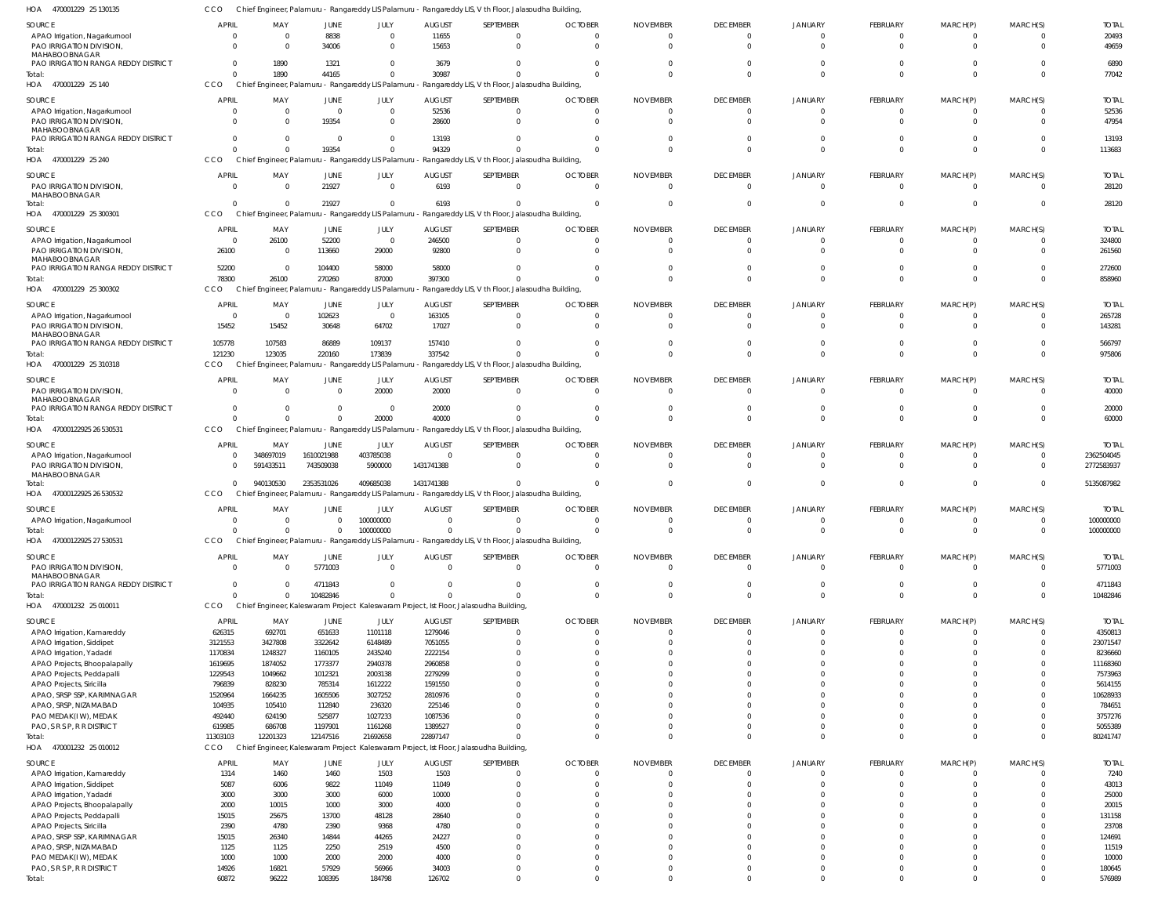| SOURCE                                               | <b>APRIL</b>   | MAY          | JUNE           | JULY                                                 | <b>AUGUST</b> | SEPTEMBER                                                                                             | <b>OCTOBER</b> | <b>NOVEMBER</b> | <b>DECEMBER</b> | <b>JANUARY</b> | FEBRUARY        | MARCH(P)    | MARCH(S)       | <b>TOTAL</b>  |
|------------------------------------------------------|----------------|--------------|----------------|------------------------------------------------------|---------------|-------------------------------------------------------------------------------------------------------|----------------|-----------------|-----------------|----------------|-----------------|-------------|----------------|---------------|
| APAO Irrigation, Nagarkurnool                        | - 0            | $\Omega$     | 8838           | $\Omega$                                             | 11655         | $\Omega$                                                                                              |                | - 0             | $\Omega$        |                | $\Omega$        | $\Omega$    | $\Omega$       | 20493         |
| PAO IRRIGATION DIVISION,                             | $\Omega$       |              | 34006          | $\Omega$                                             | 15653         | $\Omega$                                                                                              |                |                 | U               |                | $\Omega$        | $\Omega$    | $\Omega$       | 49659         |
| MAHABOOBNAGAR                                        | $\Omega$       |              |                | $\Omega$                                             |               | $\Omega$                                                                                              |                |                 |                 |                | $\Omega$        | $\Omega$    | $\Omega$       |               |
| PAO IRRIGATION RANGA REDDY DISTRICT                  | $\Omega$       | 1890<br>1890 | 1321<br>44165  | $\Omega$                                             | 3679<br>30987 | $\Omega$                                                                                              |                |                 | $\Omega$        |                | $\Omega$        | $\Omega$    | $\Omega$       | 6890<br>77042 |
| Total:<br>HOA 470001229 25 140                       | CCO            |              |                |                                                      |               | Chief Engineer, Palamuru - Rangareddy LIS Palamuru - Rangareddy LIS, V th Floor, Jalasoudha Building  |                |                 |                 |                |                 |             |                |               |
|                                                      |                |              |                |                                                      |               |                                                                                                       |                |                 |                 |                |                 |             |                |               |
| SOURCE                                               | <b>APRIL</b>   | MAY          | JUNE           | JULY                                                 | <b>AUGUST</b> | SEPTEMBER                                                                                             | <b>OCTOBER</b> | <b>NOVEMBER</b> | <b>DECEMBER</b> | JANUARY        | FEBRUARY        | MARCH(P)    | MARCH(S)       | <b>TOTAL</b>  |
| APAO Irrigation, Nagarkurnool                        | - 0            | $\Omega$     | $\overline{0}$ | $\overline{0}$                                       | 52536         | $\overline{0}$                                                                                        |                | $\Omega$        | 0               | $\Omega$       | $\mathbf{0}$    | $\Omega$    | $\Omega$       | 52536         |
| PAO IRRIGATION DIVISION,                             | $\Omega$       | $\Omega$     | 19354          | $\Omega$                                             | 28600         | $\Omega$                                                                                              |                |                 | $\Omega$        |                | $\Omega$        | $\Omega$    | $\Omega$       | 47954         |
| MAHABOOBNAGAR<br>PAO IRRIGATION RANGA REDDY DISTRICT | $\Omega$       | $\Omega$     | $\Omega$       | $\Omega$                                             | 13193         | $\Omega$                                                                                              |                |                 |                 |                | $\mathbf{0}$    | $\Omega$    | $\Omega$       | 13193         |
| Total:                                               | $\Omega$       |              | 19354          | $\Omega$                                             | 94329         | $\Omega$                                                                                              |                |                 | $\Omega$        | $\Omega$       | $\Omega$        | $\Omega$    | $\Omega$       | 113683        |
| HOA 470001229 25 240                                 | <b>CCO</b>     |              |                |                                                      |               | Chief Engineer, Palamuru - Rangareddy LIS Palamuru - Rangareddy LIS, V th Floor, Jalasoudha Building  |                |                 |                 |                |                 |             |                |               |
|                                                      |                |              |                |                                                      |               |                                                                                                       |                |                 |                 |                |                 |             |                |               |
| SOURCE                                               | <b>APRIL</b>   | MAY          | <b>JUNE</b>    | JULY                                                 | <b>AUGUST</b> | SEPTEMBER                                                                                             | <b>OCTOBER</b> | <b>NOVEMBER</b> | <b>DECEMBER</b> | <b>JANUARY</b> | FEBRUARY        | MARCH(P)    | MARCH(S)       | <b>TOTAL</b>  |
| PAO IRRIGATION DIVISION,                             | $\Omega$       | $\Omega$     | 21927          | $\Omega$                                             | 6193          | $\Omega$                                                                                              |                |                 | $\Omega$        | $\Omega$       | $\Omega$        | $\Omega$    | $\Omega$       | 28120         |
| MAHABOOBNAGAR<br>Total:                              | $\Omega$       |              | 21927          | $\Omega$                                             | 6193          | $\Omega$                                                                                              |                |                 | U               |                | $\Omega$        | $\Omega$    | $\Omega$       | 28120         |
| HOA 470001229 25 300301                              | <b>CCO</b>     |              |                |                                                      |               | Chief Engineer, Palamuru - Rangareddy LIS Palamuru - Rangareddy LIS, V th Floor, Jalasoudha Building  |                |                 |                 |                |                 |             |                |               |
|                                                      |                |              |                |                                                      |               |                                                                                                       |                |                 |                 |                |                 |             |                |               |
| SOURCE                                               | <b>APRIL</b>   | MAY          | JUNE           | JULY                                                 | <b>AUGUST</b> | SEPTEMBER                                                                                             | <b>OCTOBER</b> | <b>NOVEMBER</b> | <b>DECEMBER</b> | <b>JANUARY</b> | FEBRUARY        | MARCH(P)    | MARCH(S)       | <b>TOTAL</b>  |
| APAO Irrigation, Nagarkurnool                        | $\overline{0}$ | 26100        | 52200          | $\overline{\mathbf{0}}$                              | 246500        | $\overline{0}$                                                                                        |                | $\Omega$        | $\Omega$        | $\Omega$       | $\Omega$        | $\Omega$    | $\Omega$       | 324800        |
| PAO IRRIGATION DIVISION,                             | 26100          | - 0          | 113660         | 29000                                                | 92800         | $\Omega$                                                                                              |                |                 | $\Omega$        |                | $\Omega$        | $\Omega$    | $\Omega$       | 261560        |
| MAHABOOBNAGAR<br>PAO IRRIGATION RANGA REDDY DISTRICT | 52200          | - 0          | 104400         | 58000                                                | 58000         | $\Omega$                                                                                              |                |                 |                 |                | $\Omega$        | $\Omega$    | $\Omega$       | 272600        |
| Total:                                               | 78300          | 26100        | 270260         | 87000                                                | 397300        | $\Omega$                                                                                              |                |                 |                 |                | $\Omega$        | $\Omega$    | $\Omega$       | 858960        |
| HOA 470001229 25 300302                              | <b>CCO</b>     |              |                | Chief Engineer, Palamuru - Rangareddy LIS Palamuru - |               | - Rangareddy LIS, V th Floor, Jalasoudha Building,                                                    |                |                 |                 |                |                 |             |                |               |
|                                                      |                |              |                |                                                      |               |                                                                                                       |                |                 |                 |                |                 |             |                |               |
| SOURCE                                               | <b>APRIL</b>   | MAY          | JUNE           | JULY                                                 | <b>AUGUST</b> | SEPTEMBER                                                                                             | <b>OCTOBER</b> | <b>NOVEMBER</b> | <b>DECEMBER</b> | <b>JANUARY</b> | FEBRUARY        | MARCH(P)    | MARCH(S)       | <b>TOTAL</b>  |
| APAO Irrigation, Nagarkurnool                        | - 0            | - 0          | 102623         | $\Omega$                                             | 163105        | $\Omega$                                                                                              |                |                 | 0               |                | $\Omega$        | $\Omega$    | $\Omega$       | 265728        |
| PAO IRRIGATION DIVISION,                             | 15452          | 15452        | 30648          | 64702                                                | 17027         | $\Omega$                                                                                              |                |                 |                 |                | $\Omega$        | $\Omega$    | $\Omega$       | 143281        |
| MAHABOOBNAGAR<br>PAO IRRIGATION RANGA REDDY DISTRICT | 105778         | 107583       | 86889          | 109137                                               | 157410        | $\Omega$                                                                                              |                |                 | 0               |                | $\Omega$        | $\Omega$    | $\Omega$       | 566797        |
| Total:                                               | 121230         | 123035       | 220160         | 173839                                               | 337542        | $\Omega$                                                                                              |                |                 | $\Omega$        |                | $\Omega$        | $\Omega$    | $\Omega$       | 975806        |
| HOA 470001229 25 310318                              | CCO            |              |                |                                                      |               | Chief Engineer, Palamuru - Rangareddy LIS Palamuru - Rangareddy LIS, V th Floor, Jalasoudha Building, |                |                 |                 |                |                 |             |                |               |
|                                                      |                |              |                |                                                      |               |                                                                                                       |                |                 |                 |                |                 |             |                |               |
| SOURCE                                               | APRIL          | MAY          | JUNE           | JULY                                                 | <b>AUGUST</b> | SEPTEMBER                                                                                             | <b>OCTOBER</b> | <b>NOVEMBER</b> | <b>DECEMBER</b> | JANUARY        | FEBRUARY        | MARCH(P)    | MARCH(S)       | <b>TOTAL</b>  |
| PAO IRRIGATION DIVISION,                             | $\Omega$       | $\Omega$     | $\overline{0}$ | 20000                                                | 20000         | $\overline{0}$                                                                                        |                |                 | $\Omega$        |                | $\Omega$        | $\Omega$    | $\Omega$       | 40000         |
| MAHABOOBNAGAR<br>PAO IRRIGATION RANGA REDDY DISTRICT | - 0            |              | $\Omega$       | $\Omega$                                             | 20000         | $\Omega$                                                                                              |                |                 | $\Omega$        |                | $\mathbf{0}$    | $\Omega$    | $\Omega$       | 20000         |
| Total:                                               |                |              | $\Omega$       | 20000                                                | 40000         | $\Omega$                                                                                              |                |                 |                 |                | $\Omega$        | $\Omega$    | $\Omega$       | 60000         |
| HOA 47000122925 26 530531                            | CCO            |              |                |                                                      |               | Chief Engineer, Palamuru - Rangareddy LIS Palamuru - Rangareddy LIS, V th Floor, Jalasoudha Building, |                |                 |                 |                |                 |             |                |               |
|                                                      |                |              |                |                                                      |               |                                                                                                       |                |                 |                 |                |                 |             |                |               |
| SOURCE                                               | APRIL          | MAY          | JUNE           | <b>JULY</b>                                          | <b>AUGUST</b> | SEPTEMBER                                                                                             | <b>OCTOBER</b> | <b>NOVEMBER</b> | <b>DECEMBER</b> | <b>JANUARY</b> | FEBRUARY        | MARCH(P)    | MARCH(S)       | <b>TOTAI</b>  |
| APAO Irrigation, Nagarkurnool                        | $\Omega$       | 348697019    | 1610021988     | 403785038                                            | $\Omega$      | $\Omega$                                                                                              |                |                 | 0               |                | $\Omega$        | $\Omega$    | $\Omega$       | 2362504045    |
| PAO IRRIGATION DIVISION,                             | $\Omega$       | 591433511    | 743509038      | 5900000                                              | 1431741388    | $\Omega$                                                                                              |                |                 |                 |                | $\Omega$        | $\Omega$    | $\Omega$       | 2772583937    |
| MAHABOOBNAGAR<br>Total:                              | $\Omega$       | 940130530    | 2353531026     | 409685038                                            | 1431741388    | $\Omega$                                                                                              |                |                 | U               |                | $\Omega$        | $\Omega$    | $\Omega$       | 5135087982    |
| HOA 47000122925 26 530532                            | <b>CCO</b>     |              |                |                                                      |               | Chief Engineer, Palamuru - Rangareddy LIS Palamuru - Rangareddy LIS, V th Floor, Jalasoudha Building  |                |                 |                 |                |                 |             |                |               |
|                                                      |                |              |                |                                                      |               |                                                                                                       |                |                 |                 |                |                 |             |                |               |
| SOURCE                                               | <b>APRIL</b>   | MAY          | JUNE           | JULY                                                 | <b>AUGUST</b> | SEPTEMBER                                                                                             | <b>OCTOBER</b> | <b>NOVEMBER</b> | <b>DECEMBER</b> | <b>JANUARY</b> | FEBRUARY        | MARCH(P)    | MARCH(S)       | <b>TOTAL</b>  |
| APAO Irrigation, Nagarkurnool                        | $\Omega$       |              | $\Omega$       | 100000000                                            | $\Omega$      | $\Omega$                                                                                              |                |                 | 0               |                | $\Omega$        | $\Omega$    | $\Omega$       | 100000000     |
| Total:                                               | $\Omega$       | $\Omega$     | $\overline{0}$ | 100000000                                            | $\Omega$      | $\Omega$                                                                                              |                |                 | $\Omega$        | $\Omega$       | $\Omega$        | $\Omega$    | $\Omega$       | 100000000     |
| HOA 47000122925 27 530531                            | CCO            |              |                |                                                      |               | Chief Engineer, Palamuru - Rangareddy LIS Palamuru - Rangareddy LIS, V th Floor, Jalasoudha Building, |                |                 |                 |                |                 |             |                |               |
| SOURCE                                               | <b>APRIL</b>   | MAY          | <b>JUNE</b>    | JULY                                                 | <b>AUGUST</b> | SEPTEMBER                                                                                             | <b>OCTOBER</b> | <b>NOVEMBER</b> | <b>DECEMBER</b> | <b>JANUARY</b> | FEBRUARY        | MARCH(P)    | MARCH(S)       | <b>TOTAL</b>  |
| PAO IRRIGATION DIVISION,                             | $\Omega$       | $\Omega$     | 5771003        | $\Omega$                                             | $\Omega$      | $\Omega$                                                                                              | $\Omega$       | $\Omega$        | $\Omega$        | $\Omega$       | $\Omega$        | $\Omega$    | $\Omega$       | 5771003       |
| MAHABOOBNAGAR                                        |                |              |                |                                                      |               |                                                                                                       |                |                 |                 |                |                 |             |                |               |
| <b>PAO IRRIGATION RANGA REDDY DISTRICT</b>           | $\Omega$       | $\Omega$     | 4711843        | $\Omega$                                             | $\Omega$      | $\mathbf 0$                                                                                           |                | - 0             | $\Omega$        | $\Omega$       | $\mathbf 0$     | $\mathbf 0$ | $\Omega$       | 4711843       |
| Total:                                               | $\Omega$       |              | 10482846       | $\Omega$                                             | $\Omega$      | $\Omega$                                                                                              |                | $\Omega$        | $\Omega$        | $\Omega$       | $\mathbf{0}$    | $\mathbf 0$ | $\Omega$       | 10482846      |
| HOA 470001232 25 010011                              | <b>CCO</b>     |              |                |                                                      |               | Chief Engineer, Kaleswaram Project Kaleswaram Project, Ist Floor, Jalasoudha Building,                |                |                 |                 |                |                 |             |                |               |
| SOURCE                                               | <b>APRIL</b>   | MAY          | JUNE           | JULY                                                 | <b>AUGUST</b> | SEPTEMBER                                                                                             | <b>OCTOBER</b> | <b>NOVEMBER</b> | <b>DECEMBER</b> | <b>JANUARY</b> | <b>FEBRUARY</b> | MARCH(P)    | MARCH(S)       | <b>TOTAL</b>  |
| APAO Irrigation, Kamareddy                           | 626315         | 692701       | 651633         | 1101118                                              | 1279046       | $\overline{0}$                                                                                        |                | $\Omega$        | $\mathbf 0$     | $\Omega$       | $\overline{0}$  | 0           | $\Omega$       | 4350813       |
| APAO Irrigation, Siddipet                            | 3121553        | 3427808      | 3322642        | 6148489                                              | 7051055       | $\mathbf 0$                                                                                           |                |                 | $\Omega$        |                | $\mathbf 0$     | $\mathbf 0$ | $\Omega$       | 23071547      |
| APAO Irrigation, Yadadri                             | 1170834        | 1248327      | 1160105        | 2435240                                              | 2222154       | $\Omega$                                                                                              |                |                 | $\Omega$        | $\Omega$       | $\Omega$        | $\Omega$    | $\Omega$       | 8236660       |
| APAO Projects, Bhoopalapally                         | 1619695        | 1874052      | 1773377        | 2940378                                              | 2960858       | $\Omega$                                                                                              |                |                 |                 | $\Omega$       | $\Omega$        | $\Omega$    | $\Omega$       | 11168360      |
| APAO Projects, Peddapalli                            | 1229543        | 1049662      | 1012321        | 2003138                                              | 2279299       | $\Omega$                                                                                              |                |                 |                 | $\Omega$       | $\Omega$        | $\Omega$    |                | 7573963       |
| APAO Projects, Siricilla                             | 796839         | 828230       | 785314         | 1612222                                              | 1591550       | $\Omega$                                                                                              |                |                 |                 |                | $\Omega$        | $\Omega$    |                | 5614155       |
| APAO, SRSP SSP, KARIMNAGAR                           | 1520964        | 1664235      | 1605506        | 3027252                                              | 2810976       | $\Omega$                                                                                              |                |                 |                 | $\Omega$       | $\Omega$        | $\Omega$    |                | 10628933      |
| APAO, SRSP, NIZAMABAD                                | 104935         | 105410       | 112840         | 236320                                               | 225146        | $\Omega$                                                                                              |                |                 |                 | $\Omega$       | $\Omega$        | $\Omega$    |                | 784651        |
| PAO MEDAK(IW), MEDAK                                 | 492440         | 624190       | 525877         | 1027233                                              | 1087536       | $\Omega$                                                                                              |                |                 |                 | $\Omega$       | $\Omega$        | $\Omega$    |                | 3757276       |
| PAO, S R S P, R R DISTRICT                           | 619985         | 686708       | 1197901        | 1161268                                              | 1389527       | $\Omega$                                                                                              |                |                 | $\Omega$        | $\Omega$       | $\mathbf 0$     | $\mathbf 0$ | $\Omega$       | 5055389       |
| Total:                                               | 11303103       | 12201323     | 12147516       | 21692658                                             | 22897147      | $\Omega$                                                                                              |                |                 | $\Omega$        | $\Omega$       | $\Omega$        | $\Omega$    | $\Omega$       | 80241747      |
| HOA 470001232 25 010012                              | CCO            |              |                |                                                      |               | Chief Engineer, Kaleswaram Project Kaleswaram Project, Ist Floor, Jalasoudha Building,                |                |                 |                 |                |                 |             |                |               |
| SOURCE                                               | <b>APRIL</b>   | MAY          | JUNE           | JULY                                                 | <b>AUGUST</b> | SEPTEMBER                                                                                             | <b>OCTOBER</b> | <b>NOVEMBER</b> | <b>DECEMBER</b> | <b>JANUARY</b> | FEBRUARY        | MARCH(P)    | MARCH(S)       | <b>TOTAL</b>  |
| APAO Irrigation, Kamareddy                           | 1314           | 1460         | 1460           | 1503                                                 | 1503          | $\mathbf{0}$                                                                                          |                |                 | $\Omega$        | $\Omega$       | $\mathbf{0}$    | 0           | $\overline{0}$ | 7240          |
| APAO Irrigation, Siddipet                            | 5087           | 6006         | 9822           | 11049                                                | 11049         | $\mathbf 0$                                                                                           |                |                 | $\Omega$        |                | $\mathbf{0}$    | $\mathbf 0$ | $\Omega$       | 43013         |
| APAO Irrigation, Yadadri                             | 3000           | 3000         | 3000           | 6000                                                 | 10000         | $\Omega$                                                                                              |                |                 |                 |                | $\Omega$        | $\Omega$    | $\Omega$       | 25000         |
| APAO Projects, Bhoopalapally                         | 2000           | 10015        | 1000           | 3000                                                 | 4000          | $\Omega$                                                                                              |                |                 |                 |                | $\Omega$        | $\Omega$    | $\Omega$       | 20015         |
| APAO Projects, Peddapalli                            | 15015          | 25675        | 13700          | 48128                                                | 28640         | $\Omega$                                                                                              |                |                 |                 |                | $\Omega$        | $\Omega$    |                | 131158        |
| APAO Projects, Siricilla                             | 2390           | 4780         | 2390           | 9368                                                 | 4780          | $\Omega$                                                                                              |                |                 |                 |                | $\Omega$        | $\Omega$    | $\Omega$       | 23708         |
| APAO, SRSP SSP, KARIMNAGAR                           | 15015          | 26340        | 14844          | 44265                                                | 24227         | $\Omega$                                                                                              |                |                 |                 |                | $\Omega$        | $\Omega$    | $\Omega$       | 124691        |
| APAO, SRSP, NIZAMABAD                                | 1125           | 1125         | 2250           | 2519                                                 | 4500          | $\Omega$                                                                                              |                |                 | $\Omega$        | $\Omega$       | $\mathbf 0$     | $\Omega$    | $\Omega$       | 11519         |
| PAO MEDAK(IW), MEDAK                                 | 1000           | 1000         | 2000           | 2000                                                 | 4000          | $\mathbf 0$                                                                                           |                |                 | $\Omega$        | $\overline{0}$ | $\mathbf 0$     | $\mathbf 0$ | $\Omega$       | 10000         |
| PAO, S R S P, R R DISTRICT                           | 14926          | 16821        | 57929          | 56966                                                | 34003         | $\Omega$                                                                                              |                |                 |                 | $\Omega$       | $\Omega$        | $\Omega$    | $\Omega$       | 180645        |

CCO Chief Engineer, Palamuru - Rangareddy LIS Palamuru - Rangareddy LIS, V th Floor, Jalasoudha Building,

470001229 25 130135 HOA

Total:

 $\mathbf 0$ 

 $\mathbf 0$ 

 $\mathbf 0$ 

 $\,$  0  $\,$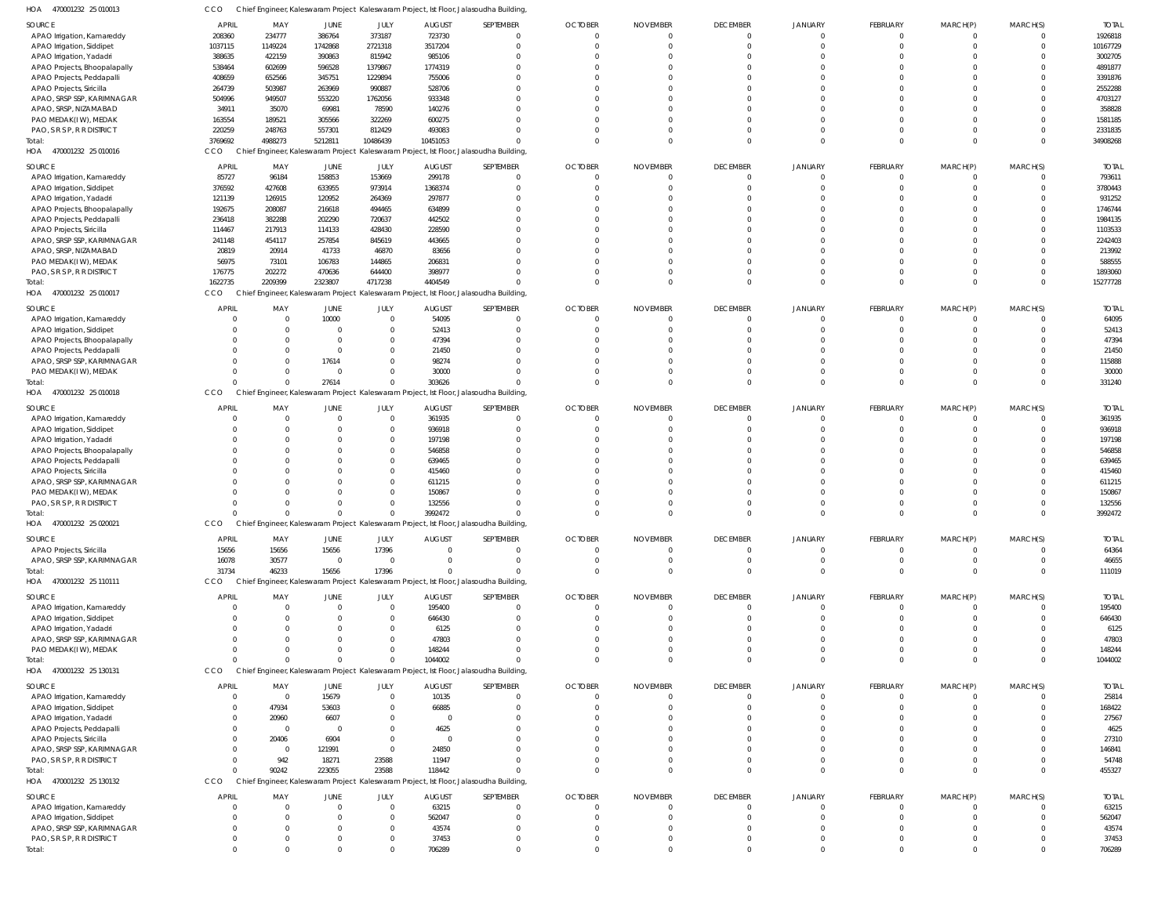|                                                          |                      |                      | ,                    |                                  | . <i>.</i> .     |                                                                                        |                         |                      |                      |                      |              |          |                         |                    |
|----------------------------------------------------------|----------------------|----------------------|----------------------|----------------------------------|------------------|----------------------------------------------------------------------------------------|-------------------------|----------------------|----------------------|----------------------|--------------|----------|-------------------------|--------------------|
| SOURCE                                                   | <b>APRIL</b>         | MAY                  | JUNE                 | JULY                             | AUGUST           | SEPTEMBER                                                                              | <b>OCTOBER</b>          | <b>NOVEMBER</b>      | <b>DECEMBER</b>      | <b>JANUARY</b>       | FEBRUARY     | MARCH(P) | MARCH(S)                | <b>TOTAL</b>       |
| APAO Irrigation, Kamareddy                               | 208360               | 234777               | 386764               | 373187                           | 723730           | $\Omega$                                                                               | $\mathbf 0$             | $\mathbf 0$          | $\mathbf{0}$         | $\Omega$             | 0            | 0        | $\Omega$                | 1926818            |
| APAO Irrigation, Siddipet                                | 1037115              | 1149224              | 1742868              | 2721318                          | 3517204          |                                                                                        | $\Omega$                | $\Omega$             | $\Omega$             | $\Omega$             | $\Omega$     |          | $\mathbf 0$             | 10167729           |
| APAO Irrigation, Yadadri                                 | 388635               | 422159               | 390863               | 815942                           | 985106           |                                                                                        |                         | $\Omega$             | $\Omega$             | $\Omega$             |              |          | $\Omega$                | 3002705            |
| APAO Projects, Bhoopalapally                             | 538464               | 602699               | 596528               | 1379867                          | 1774319          |                                                                                        |                         | $\Omega$             | $\Omega$             | $\Omega$             |              |          | $\Omega$                | 4891877            |
| APAO Projects, Peddapalli                                | 408659               | 652566               | 345751               | 1229894<br>990887                | 755006<br>528706 |                                                                                        |                         | $\Omega$             | $\Omega$<br>$\Omega$ | $\Omega$<br>$\Omega$ |              |          | $\Omega$<br>$\Omega$    | 3391876            |
| APAO Projects, Siricilla<br>APAO, SRSP SSP, KARIMNAGAR   | 264739<br>504996     | 503987<br>949507     | 263969<br>553220     | 1762056                          | 933348           |                                                                                        |                         |                      | $\Omega$             | $\Omega$             |              |          | $\Omega$                | 2552288<br>4703127 |
| APAO, SRSP, NIZAMABAD                                    | 34911                | 35070                | 69981                | 78590                            | 140276           |                                                                                        |                         |                      | $\Omega$             | $\Omega$             |              |          | $\Omega$                | 358828             |
| PAO MEDAK(IW), MEDAK                                     | 163554               | 189521               | 305566               | 322269                           | 600275           |                                                                                        |                         |                      | $\Omega$             | $\Omega$             |              |          | $\Omega$                | 1581185            |
| PAO, S R S P, R R DISTRICT                               | 220259               | 248763               | 557301               | 812429                           | 493083           |                                                                                        | $\Omega$                | $\Omega$             | $\Omega$             | $\Omega$             |              |          | $\Omega$                | 2331835            |
| Total:                                                   | 3769692              | 4988273              | 5212811              | 10486439                         | 10451053         |                                                                                        | $\Omega$                | $\Omega$             | $\Omega$             | $\Omega$             | $\Omega$     | $\Omega$ | $\Omega$                | 34908268           |
| 470001232 25 010016<br>HOA                               | CCO                  |                      |                      |                                  |                  | Chief Engineer, Kaleswaram Project Kaleswaram Project, Ist Floor, Jalasoudha Building, |                         |                      |                      |                      |              |          |                         |                    |
| SOURCE                                                   | <b>APRIL</b>         | MAY                  | JUNE                 | JULY                             | <b>AUGUST</b>    | SEPTEMBER                                                                              | <b>OCTOBER</b>          | <b>NOVEMBER</b>      | <b>DECEMBER</b>      | JANUARY              | FEBRUARY     | MARCH(P) | MARCH(S)                | <b>TOTAL</b>       |
| APAO Irrigation, Kamareddy                               | 85727                | 96184                | 158853               | 153669                           | 299178           | $\Omega$                                                                               | $\overline{0}$          | 0                    | $^{\circ}$           | $\mathbf{0}$         | $\Omega$     | $\Omega$ | $^{\circ}$              | 793611             |
| APAO Irrigation, Siddipet                                | 376592               | 427608               | 633955               | 973914                           | 1368374          |                                                                                        | $\Omega$                | $\Omega$             | $\mathbf 0$          | $\Omega$             | $\Omega$     | $\Omega$ | $\mathbf 0$             | 3780443            |
| APAO Irrigation, Yadadri                                 | 121139               | 126915               | 120952               | 264369                           | 297877           |                                                                                        | $\Omega$                | $\Omega$             | $\Omega$             | $\Omega$             |              |          | $\Omega$                | 931252             |
| APAO Projects, Bhoopalapally                             | 192675               | 208087               | 216618               | 494465                           | 634899           |                                                                                        |                         |                      | $\Omega$             | $\Omega$             |              |          | $\Omega$                | 1746744            |
| APAO Projects, Peddapalli                                | 236418               | 382288               | 202290               | 720637                           | 442502           |                                                                                        |                         | $\Omega$             | $\Omega$             | $\Omega$             |              |          | $\Omega$                | 1984135            |
| APAO Projects, Siricilla                                 | 114467               | 217913               | 114133               | 428430                           | 228590           |                                                                                        |                         |                      | $\Omega$             | $\Omega$             |              |          | $\Omega$                | 1103533            |
| APAO, SRSP SSP, KARIMNAGAR                               | 241148               | 454117               | 257854               | 845619                           | 443665           |                                                                                        |                         |                      | $\Omega$             | $\Omega$             |              |          | $\Omega$                | 2242403            |
| APAO, SRSP, NIZAMABAD                                    | 20819                | 20914                | 41733                | 46870                            | 83656            |                                                                                        |                         |                      | $\Omega$             | $\Omega$             |              |          | $\Omega$                | 213992             |
| PAO MEDAK(IW), MEDAK                                     | 56975                | 73101                | 106783               | 144865                           | 206831           |                                                                                        |                         |                      | $\Omega$             | $\Omega$             |              |          | $\Omega$                | 588555             |
| PAO, S R S P, R R DISTRICT                               | 176775               | 202272               | 470636               | 644400                           | 398977           |                                                                                        | $\Omega$                | $\Omega$             | $\Omega$             | $\mathbf 0$          | 0            | 0        | $\mathbf 0$             | 1893060            |
| Total:                                                   | 1622735              | 2209399              | 2323807              | 4717238                          | 4404549          | $\Omega$                                                                               | $\Omega$                | $\Omega$             | $\Omega$             | $\Omega$             | $\Omega$     | $\Omega$ | $\Omega$                | 15277728           |
| HOA<br>470001232 25 010017                               | CCO                  |                      |                      |                                  |                  | Chief Engineer, Kaleswaram Project Kaleswaram Project, Ist Floor, Jalasoudha Building, |                         |                      |                      |                      |              |          |                         |                    |
| SOURCE                                                   | <b>APRIL</b>         | MAY                  | JUNE                 | JULY                             | <b>AUGUST</b>    | SEPTEMBER                                                                              | <b>OCTOBER</b>          | <b>NOVEMBER</b>      | <b>DECEMBER</b>      | <b>JANUARY</b>       | FEBRUARY     | MARCH(P) | MARCH(S)                | <b>TOTAL</b>       |
| APAO Irrigation, Kamareddy                               | C                    | $\Omega$             | 10000                | $\overline{0}$                   | 54095            | $\Omega$                                                                               | $\overline{0}$          | $\Omega$             | $\mathbf{0}$         | $\Omega$             | $\mathbf 0$  | 0        | $\mathbf{0}$            | 64095              |
| APAO Irrigation, Siddipet                                |                      |                      | $\Omega$             | $\overline{0}$                   | 52413            |                                                                                        | $\Omega$                | $\Omega$             | $\Omega$             | $\Omega$             |              | 0        | $\Omega$                | 52413              |
| APAO Projects, Bhoopalapally                             |                      |                      | $\Omega$             | $\overline{0}$                   | 47394            |                                                                                        |                         | $\Omega$             | $\Omega$             | $\Omega$             |              |          | $\Omega$                | 47394              |
| APAO Projects, Peddapalli                                | $\Omega$             |                      | $\Omega$             | $\overline{0}$                   | 21450            |                                                                                        |                         | $\Omega$             | $\Omega$             | $\Omega$             |              |          | $\Omega$                | 21450              |
| APAO, SRSP SSP, KARIMNAGAR                               |                      |                      | 17614                | $\overline{0}$                   | 98274            |                                                                                        |                         | $\Omega$             | $\Omega$             | $\Omega$             |              |          | $\Omega$                | 115888             |
| PAO MEDAK(IW), MEDAK                                     | $\Omega$             | $\Omega$<br>$\Omega$ | $\Omega$             | $\Omega$<br>$\overline{0}$       | 30000            | $\Omega$                                                                               | $\Omega$<br>$\Omega$    | $\Omega$<br>$\Omega$ | $\Omega$<br>$\Omega$ | $\Omega$<br>$\Omega$ |              |          | $\Omega$<br>$\Omega$    | 30000              |
| Total<br>470001232 25 010018<br>HOA                      | CCO                  |                      | 27614                |                                  | 303626           | Chief Engineer, Kaleswaram Project Kaleswaram Project, Ist Floor, Jalasoudha Building, |                         |                      |                      |                      | 0            | 0        |                         | 331240             |
|                                                          |                      |                      |                      |                                  |                  |                                                                                        |                         |                      |                      |                      |              |          |                         |                    |
| SOURCE                                                   | <b>APRIL</b>         | MAY                  | <b>JUNE</b>          | JULY                             | <b>AUGUST</b>    | SEPTEMBER                                                                              | <b>OCTOBER</b>          | <b>NOVEMBER</b>      | <b>DECEMBER</b>      | <b>JANUARY</b>       | FEBRUARY     | MARCH(P) | MARCH(S)                | <b>TOTAL</b>       |
| APAO Irrigation, Kamareddy                               | C                    | $\Omega$             | $\Omega$             | $\overline{0}$                   | 361935           | $\Omega$                                                                               | $\overline{0}$          | $\overline{0}$       | $\mathbf{0}$         | 0                    | $\mathbf{0}$ | $\Omega$ | $\mathbf{0}$            | 361935             |
| APAO Irrigation, Siddipet                                | $\Omega$             | $\Omega$             | $\Omega$<br>$\Omega$ | $\overline{0}$<br>$\overline{0}$ | 936918           | $\Omega$                                                                               | $\Omega$                | $\Omega$             | $\Omega$             | $\Omega$<br>$\Omega$ | $\Omega$     | $\Omega$ | $\mathbf 0$<br>$\Omega$ | 936918             |
| APAO Irrigation, Yadadri<br>APAO Projects, Bhoopalapally | $\Omega$<br>$\Omega$ | $\Omega$             | $\Omega$             | $\overline{0}$                   | 197198<br>546858 |                                                                                        |                         | $\Omega$<br>$\Omega$ | $\Omega$<br>$\Omega$ | $\Omega$             |              |          | $\Omega$                | 197198<br>546858   |
| APAO Projects, Peddapalli                                | $\Omega$             |                      | $\Omega$             | $\overline{0}$                   | 639465           |                                                                                        | $\Omega$                | $\Omega$             | $\Omega$             | $\Omega$             |              |          | $\Omega$                | 639465             |
| APAO Projects, Siricilla                                 | $\Omega$             |                      | $\Omega$             | $\overline{0}$                   | 415460           |                                                                                        |                         |                      | $\Omega$             | $\Omega$             |              |          | $\Omega$                | 415460             |
| APAO, SRSP SSP, KARIMNAGAR                               | $\Omega$             |                      | $\Omega$             | $\overline{0}$                   | 611215           |                                                                                        |                         |                      | $\Omega$             | $\Omega$             |              |          | $\Omega$                | 611215             |
| PAO MEDAK(IW), MEDAK                                     | $\Omega$             |                      | $\Omega$             | $\overline{0}$                   | 150867           |                                                                                        |                         | $\Omega$             | $\Omega$             | $\Omega$             |              |          | $\Omega$                | 150867             |
| PAO, S R S P, R R DISTRICT                               | $\Omega$             | $\Omega$             | $\Omega$             | $\overline{0}$                   | 132556           |                                                                                        | $\Omega$                | $\Omega$             | $\Omega$             | $\Omega$             |              |          | $\mathbf 0$             | 132556             |
| Total                                                    |                      |                      | $\Omega$             | $\Omega$                         | 3992472          | $\Omega$                                                                               | $\Omega$                | $\Omega$             | $\Omega$             | $\Omega$             | $\Omega$     | $\Omega$ | $\mathbf 0$             | 3992472            |
| HOA 470001232 25 020021                                  | CCO                  |                      |                      |                                  |                  | Chief Engineer, Kaleswaram Project Kaleswaram Project, Ist Floor, Jalasoudha Building, |                         |                      |                      |                      |              |          |                         |                    |
| SOURCE                                                   | APRIL                | MAY                  | JUNE                 | JULY                             | <b>AUGUST</b>    | SEPTEMBER                                                                              | <b>OCTOBER</b>          | <b>NOVEMBER</b>      | <b>DECEMBER</b>      | JANUARY              | FEBRUARY     | MARCH(P) | MARCH(S)                | <b>TOTAL</b>       |
| APAO Projects, Siricilla                                 | 15656                | 15656                | 15656                | 17396                            | $\overline{0}$   | $\Omega$                                                                               | $\overline{\mathbf{0}}$ | $\overline{0}$       | 0                    | 0                    | $\Omega$     | $\Omega$ | $\Omega$                | 64364              |
| APAO, SRSP SSP, KARIMNAGAR                               | 16078                | 30577                | $\overline{0}$       | $\overline{\mathbf{0}}$          | $\Omega$         |                                                                                        | $\Omega$                | $\Omega$             | $\Omega$             | $\Omega$             |              | 0        | $\Omega$                | 46655              |
| Total:                                                   | 31734                | 46233                | 15656                | 17396                            | $\Omega$         | $\Omega$                                                                               | $\Omega$                | $\Omega$             | $\Omega$             | $\Omega$             |              | $\Omega$ | $\mathbf{0}$            | 111019             |
| 470001232 25 110111<br>HOA                               | <b>CCO</b>           |                      |                      |                                  |                  | Chief Engineer, Kaleswaram Project Kaleswaram Project, Ist Floor, Jalasoudha Building, |                         |                      |                      |                      |              |          |                         |                    |
| SOURCE                                                   | <b>APRIL</b>         | MAY                  | <b>JUNE</b>          | JULY                             | <b>AUGUST</b>    | SEPTEMBER                                                                              | <b>OCTOBER</b>          | <b>NOVEMBER</b>      | <b>DECEMBER</b>      | <b>JANUARY</b>       | FEBRUARY     | MARCH(P) | MARCH(S)                | <b>TOTAL</b>       |
| APAO Irrigation, Kamareddy                               | $\Omega$             | $\Omega$             | $\overline{0}$       | $\overline{0}$                   | 195400           | $\Omega$                                                                               | $\overline{0}$          | 0                    | $\mathbf{0}$         | 0                    | 0            | 0        | -0                      | 195400             |
| APAO Irrigation, Siddipet                                | $\Omega$             | $\Omega$             | $\Omega$             | $\overline{0}$                   | 646430           | $\Omega$                                                                               | $\Omega$                | $\Omega$             | $\mathbf{0}$         | $\mathbf{0}$         | $\Omega$     | $\Omega$ | $\mathbf{0}$            | 646430             |
| APAO Irrigation, Yadadri                                 | $\Omega$             |                      |                      | $\overline{0}$                   | 6125             |                                                                                        |                         |                      | $\Omega$             | $\Omega$             |              |          | $\Omega$                | 6125               |
| APAO, SRSP SSP, KARIMNAGAR                               | $\Omega$             |                      |                      | $\overline{0}$                   | 47803            |                                                                                        |                         | $\Omega$             | $\Omega$             | $\Omega$             |              |          | $\Omega$                | 47803              |
| PAO MEDAK(IW), MEDAK                                     | $\Omega$             | $\Omega$             | $\Omega$             | $\overline{0}$                   | 148244           | $\Omega$                                                                               | $\overline{0}$          | $\overline{0}$       | $\Omega$             | $\mathbf 0$          | 0            | 0        | $\mathbf{0}$            | 148244             |
| Total:                                                   | $\Omega$             | $\Omega$             | $\Omega$             | $\Omega$                         | 1044002          | $\Omega$                                                                               | $\Omega$                | $\Omega$             | $\Omega$             | $\Omega$             | $\Omega$     | $\Omega$ | $\mathbf 0$             | 1044002            |
| HOA<br>470001232 25 130131                               | CCO                  |                      |                      |                                  |                  | Chief Engineer, Kaleswaram Project Kaleswaram Project, Ist Floor, Jalasoudha Building, |                         |                      |                      |                      |              |          |                         |                    |
| SOURCE                                                   | <b>APRIL</b>         | MAY                  | JUNE                 | JULY                             | <b>AUGUST</b>    | SEPTEMBER                                                                              | <b>OCTOBER</b>          | <b>NOVEMBER</b>      | <b>DECEMBER</b>      | <b>JANUARY</b>       | FEBRUARY     | MARCH(P) | MARCH(S)                | <b>TOTAL</b>       |
| APAO Irrigation, Kamareddy                               | $\Omega$             | $\mathbf 0$          | 15679                | $\overline{0}$                   | 10135            | $\Omega$                                                                               | $\overline{0}$          | $\Omega$             | $\mathbf{0}$         | $\Omega$             | 0            | $\Omega$ | $\mathbf{0}$            | 25814              |
| APAO Irrigation, Siddipet                                | $\Omega$             | 47934                | 53603                | $\overline{0}$                   | 66885            |                                                                                        | $\Omega$                | $\Omega$             | $\Omega$             | $\Omega$             |              |          | $\Omega$                | 168422             |
| APAO Irrigation, Yadadri                                 | $\Omega$             | 20960                | 6607                 | $\overline{0}$                   | $\overline{0}$   |                                                                                        |                         |                      | $\Omega$             | $\Omega$             |              |          | $\Omega$                | 27567              |
| APAO Projects, Peddapalli                                | $\Omega$             | $\Omega$             | $\Omega$             | $\overline{0}$                   | 4625             |                                                                                        |                         |                      | $\Omega$             | $\Omega$             |              |          | $\Omega$                | 4625               |
| APAO Projects, Siricilla                                 | $\Omega$             | 20406                | 6904                 | $\overline{0}$                   | $\overline{0}$   |                                                                                        |                         |                      | $\Omega$             | $\Omega$             |              |          | $\Omega$                | 27310              |
| APAO, SRSP SSP, KARIMNAGAR                               | $\Omega$             | $\Omega$             | 121991               | $\overline{0}$                   | 24850            |                                                                                        |                         |                      | $\Omega$             | $\Omega$             |              |          | $\Omega$                | 146841             |
| PAO, S R S P, R R DISTRICT                               | $\Omega$             | 942                  | 18271                | 23588                            | 11947            |                                                                                        | $\Omega$                | $\mathbf 0$          | $\Omega$             | $\Omega$             |              |          | $\Omega$                | 54748              |
| Total:                                                   | $\Omega$             | 90242                | 223055               | 23588                            | 118442           |                                                                                        | $\Omega$                | $\Omega$             | $\Omega$             | $\Omega$             | $\Omega$     | $\Omega$ | $\Omega$                | 455327             |
| HOA<br>470001232 25 130132                               | CCO                  |                      |                      |                                  |                  | Chief Engineer, Kaleswaram Project Kaleswaram Project, Ist Floor, Jalasoudha Building, |                         |                      |                      |                      |              |          |                         |                    |
| SOURCE                                                   | <b>APRIL</b>         | MAY                  | <b>JUNE</b>          | JULY                             | AUGUST           | SEPTEMBER                                                                              | <b>OCTOBER</b>          | <b>NOVEMBER</b>      | <b>DECEMBER</b>      | <b>JANUARY</b>       | FEBRUARY     | MARCH(P) | MARCH(S)                | <b>TOTAL</b>       |
| APAO Irrigation, Kamareddy                               | $\Omega$             | $\Omega$             | $\overline{0}$       | $\overline{0}$                   | 63215            | $\Omega$                                                                               | $\Omega$                | $\Omega$             | $\mathbf{0}$         | 0                    | 0            | 0        | $\Omega$                | 63215              |
| APAO Irrigation, Siddipet                                | $\Omega$             | $\Omega$             | $\Omega$             | $\overline{0}$                   | 562047           |                                                                                        | - 0                     | $\Omega$             | $\Omega$             | $\Omega$             |              |          | $\mathbf{0}$            | 562047             |
| APAO, SRSP SSP, KARIMNAGAR                               | $\Omega$             |                      | $\Omega$             | $\overline{0}$                   | 43574            |                                                                                        | $\Omega$                | $\Omega$             | $\Omega$             | $\Omega$             |              |          | $\Omega$                | 43574              |
| PAO, S R S P, R R DISTRICT                               | $\Omega$             | $\Omega$             | $\overline{0}$       | $\overline{0}$                   | 37453            | $\Omega$                                                                               | $\overline{0}$          | $\overline{0}$       | $\mathbf{0}$         | $\mathbf 0$          | 0            | 0        | $\mathbf{0}$            | 37453              |
| Total:                                                   | $\Omega$             | $\Omega$             | $\Omega$             | $\mathbf 0$                      | 706289           | $\Omega$                                                                               | $\Omega$                | $\Omega$             | $\Omega$             | $\Omega$             | $\Omega$     | $\Omega$ | $\Omega$                | 706289             |

470001232 25 010013 HOA CCO Chief Engineer, Kaleswaram Project Kaleswaram Project, Ist Floor, Jalasoudha Building,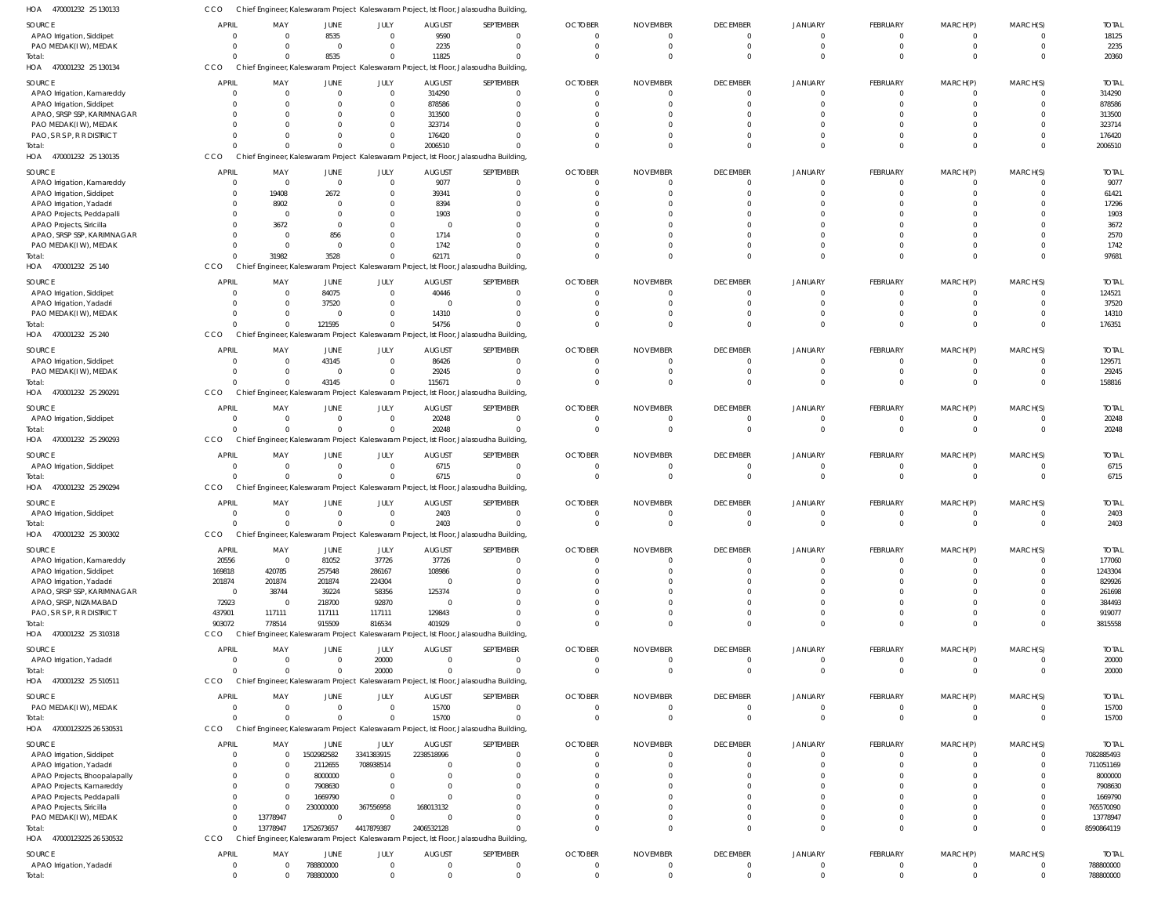| HOA<br>470001232 25 130133                              | CCO              |                            |                            |                                  |                        | Chief Engineer, Kaleswaram Project Kaleswaram Project, Ist Floor, Jalasoudha Building             |                      |                             |                                  |                                  |                      |                 |                         |                        |
|---------------------------------------------------------|------------------|----------------------------|----------------------------|----------------------------------|------------------------|---------------------------------------------------------------------------------------------------|----------------------|-----------------------------|----------------------------------|----------------------------------|----------------------|-----------------|-------------------------|------------------------|
| SOURCE                                                  | <b>APRIL</b>     | MAY                        | JUNE                       | JULY                             | <b>AUGUST</b>          | SEPTEMBER                                                                                         | <b>OCTOBER</b>       | <b>NOVEMBER</b>             | <b>DECEMBER</b>                  | <b>JANUARY</b>                   | FEBRUARY             | MARCH(P)        | MARCH(S)                | <b>TOTAL</b>           |
| APAO Irrigation, Siddipet                               | - 0              | $\Omega$                   | 8535                       | $\mathbf 0$                      | 9590                   | $\Omega$                                                                                          | $\Omega$             | $\Omega$                    | $\mathbf 0$                      | $\overline{0}$                   | $\Omega$             | $\Omega$        | $\Omega$                | 18125                  |
| PAO MEDAK(IW), MEDAK                                    |                  | $\Omega$                   | $\overline{0}$             | $\mathbf 0$                      | 2235                   | $\Omega$                                                                                          | $\Omega$             | $\mathbf 0$                 | $\overline{0}$                   | $\overline{0}$                   | $\Omega$             | $\Omega$        | $\mathbf 0$             | 2235                   |
| Total:                                                  |                  | $\Omega$                   | 8535                       | $\mathbf{0}$                     | 11825                  | $\Omega$                                                                                          |                      | $\Omega$                    | $\Omega$                         | $\Omega$                         | $\Omega$             | $\Omega$        | $\Omega$                | 20360                  |
| HOA 470001232 25 130134                                 | CCO              |                            |                            |                                  |                        | Chief Engineer, Kaleswaram Project Kaleswaram Project, Ist Floor, Jalasoudha Building             |                      |                             |                                  |                                  |                      |                 |                         |                        |
| SOURCE                                                  | <b>APRIL</b>     | MAY                        | JUNE                       | <b>JULY</b>                      | <b>AUGUST</b>          | SEPTEMBER                                                                                         | <b>OCTOBER</b>       | <b>NOVEMBER</b>             | <b>DECEMBER</b>                  | <b>JANUARY</b>                   | <b>FEBRUARY</b>      | MARCH(P)        | MARCH(S)                | <b>TOTAI</b>           |
| APAO Irrigation, Kamareddy                              |                  | $\overline{0}$<br>$\Omega$ | $\mathbf 0$<br>$\Omega$    | $\overline{0}$<br>$\overline{0}$ | 314290                 | $\Omega$<br>$\Omega$                                                                              |                      | 0<br>$\Omega$               | $\overline{0}$<br>$\overline{0}$ | $\overline{0}$<br>$\Omega$       | $\Omega$<br>$\Omega$ | $\Omega$        | 0<br>$\Omega$           | 314290                 |
| APAO Irrigation, Siddipet<br>APAO, SRSP SSP, KARIMNAGAR |                  | $\Omega$                   | $\Omega$                   | $\overline{0}$                   | 878586<br>313500       | $\Omega$                                                                                          |                      |                             | C                                | $\Omega$                         |                      |                 | $\Omega$                | 878586<br>313500       |
| PAO MEDAK(IW), MEDAK                                    |                  | $\Omega$                   | $\Omega$                   | $\mathbf{0}$                     | 323714                 | $\cap$                                                                                            |                      | $\Omega$                    | $\Omega$                         | $\Omega$                         | $\cap$               |                 | $\Omega$                | 323714                 |
| PAO, S R S P, R R DISTRICT                              |                  | $\Omega$                   | $\mathbf 0$                | $\mathbf 0$                      | 176420                 | $\Omega$                                                                                          |                      | $\Omega$                    | $\Omega$                         | $\Omega$                         | $\Omega$             | $\Omega$        | $\Omega$                | 176420                 |
| Total:                                                  |                  | $\Omega$                   | $\Omega$                   | $\mathbf 0$                      | 2006510                | $\Omega$                                                                                          |                      | $\Omega$                    | $\Omega$                         | $\Omega$                         | $\Omega$             | $\Omega$        | $\Omega$                | 2006510                |
| HOA 470001232 25 130135                                 | CCO              |                            |                            |                                  |                        | Chief Engineer, Kaleswaram Project Kaleswaram Project, Ist Floor, Jalasoudha Building             |                      |                             |                                  |                                  |                      |                 |                         |                        |
| SOURCE                                                  | <b>APRI</b>      | MAY                        | JUNE                       | JULY                             | <b>AUGUST</b>          | SEPTEMBER                                                                                         | <b>OCTOBER</b>       | <b>NOVEMBER</b>             | <b>DECEMBER</b>                  | <b>JANUARY</b>                   | <b>FEBRUARY</b>      | MARCH(P)        | MARCH(S)                | <b>TOTAL</b>           |
| APAO Irrigation, Kamareddy                              | - 0              | $\overline{0}$             | $\overline{0}$             | $\overline{0}$                   | 9077                   | $\Omega$                                                                                          |                      | $\Omega$                    | $\overline{0}$                   | $\overline{0}$                   | $\Omega$             |                 | $\Omega$                | 9077                   |
| APAO Irrigation, Siddipet                               |                  | 19408                      | 2672                       | $\mathbf 0$                      | 39341                  | $\Omega$                                                                                          |                      | $\Omega$                    | $\Omega$                         | $\Omega$                         | $\Omega$             |                 | $\Omega$                | 61421                  |
| APAO Irrigation, Yadadri<br>APAO Projects, Peddapalli   |                  | 8902<br>- 0                | 0<br>$\Omega$              | $\mathbf 0$<br>$\mathbf 0$       | 8394<br>1903           | $\Omega$                                                                                          |                      |                             | $\Omega$<br>$\Omega$             | $\Omega$<br>$\Omega$             |                      |                 |                         | 17296<br>1903          |
| APAO Projects, Siricilla                                |                  | 3672                       | 0                          | $\mathbf 0$                      | $\overline{0}$         |                                                                                                   |                      |                             | $\Omega$                         | $\Omega$                         |                      |                 |                         | 3672                   |
| APAO, SRSP SSP, KARIMNAGAR                              |                  | $\Omega$                   | 856                        | $\mathbf 0$                      | 1714                   |                                                                                                   |                      | $\Omega$                    | $\Omega$                         | $\Omega$                         |                      |                 |                         | 2570                   |
| PAO MEDAK(IW), MEDAK                                    |                  | $\overline{0}$             | $\overline{0}$             | $\mathbf{0}$                     | 1742                   | $\Omega$                                                                                          |                      | $\Omega$                    | $\Omega$                         | $\Omega$                         | $\Omega$             | $\Omega$        | $\Omega$                | 1742                   |
| Total:                                                  |                  | 31982                      | 3528                       | $\mathbf 0$                      | 62171                  |                                                                                                   |                      | $\Omega$                    | $\Omega$                         | $\Omega$                         | $\Omega$             | $\Omega$        | $\Omega$                | 97681                  |
| HOA 470001232 25 140                                    | CCO              |                            |                            |                                  |                        | Chief Engineer, Kaleswaram Project Kaleswaram Project, Ist Floor, Jalasoudha Building             |                      |                             |                                  |                                  |                      |                 |                         |                        |
| SOURCE                                                  | <b>APRIL</b>     | MAY                        | JUNE                       | JULY                             | <b>AUGUST</b>          | SEPTEMBER                                                                                         | <b>OCTOBER</b>       | <b>NOVEMBER</b>             | <b>DECEMBER</b>                  | <b>JANUARY</b>                   | <b>FEBRUARY</b>      | MARCH(P)        | MARCH(S)                | <b>TOTAL</b>           |
| APAO Irrigation, Siddipet                               | - 0              | 0                          | 84075                      | $\overline{0}$                   | 40446                  | $\Omega$                                                                                          | $\Omega$             | $^{\circ}$                  | $\overline{0}$                   | $\overline{0}$                   | $\Omega$             | $\Omega$        | $\mathbf 0$             | 124521                 |
| APAO Irrigation, Yadadri<br>PAO MEDAK(IW), MEDAK        |                  | 0<br>$\mathbf 0$           | 37520<br>$\overline{0}$    | $\overline{0}$<br>$\overline{0}$ | 0<br>14310             | $\Omega$<br>$\Omega$                                                                              |                      | $\Omega$<br>$\Omega$        | $\mathbf 0$<br>$\Omega$          | $\Omega$<br>$\Omega$             | $\Omega$<br>$\Omega$ | $\Omega$        | $\Omega$<br>$\Omega$    | 37520<br>14310         |
| Total:                                                  |                  | $\Omega$                   | 121595                     | $\overline{0}$                   | 54756                  | $\cap$                                                                                            |                      | $\Omega$                    | $\Omega$                         | $\Omega$                         | $\Omega$             | $\Omega$        | $\Omega$                | 176351                 |
| 470001232 25 240<br>HOA                                 | CCO              |                            |                            |                                  |                        | Chief Engineer, Kaleswaram Project Kaleswaram Project, Ist Floor, Jalasoudha Building             |                      |                             |                                  |                                  |                      |                 |                         |                        |
| SOURCE                                                  | <b>APRI</b>      | MAY                        | JUNE                       | JULY                             | <b>AUGUST</b>          | SEPTEMBER                                                                                         | <b>OCTOBER</b>       | <b>NOVEMBER</b>             | <b>DECEMBER</b>                  | <b>JANUARY</b>                   | FEBRUARY             | MARCH(P)        | MARCH(S)                | <b>TOTAL</b>           |
| APAO Irrigation, Siddipet                               |                  | 0                          | 43145                      | $\overline{0}$                   | 86426                  | $\Omega$                                                                                          |                      | $\Omega$                    | $\overline{0}$                   | $\overline{0}$                   | $\Omega$             |                 | $\Omega$                | 129571                 |
| PAO MEDAK(IW), MEDAK                                    | $\Omega$         | $\overline{0}$             | $\overline{0}$             | $\mathbf{0}$                     | 29245                  | $\Omega$                                                                                          |                      | $\Omega$                    | $\overline{0}$                   | $\Omega$                         | $\Omega$             | $\Omega$        | $\Omega$                | 29245                  |
| Total:                                                  |                  | $\Omega$                   | 43145                      | $\overline{0}$                   | 115671                 | $\Omega$                                                                                          |                      | $\Omega$                    | $\Omega$                         | $\Omega$                         | $\Omega$             | $\Omega$        | $\Omega$                | 158816                 |
| HOA 470001232 25 290291                                 | CCO              |                            |                            |                                  |                        | Chief Engineer, Kaleswaram Project Kaleswaram Project, Ist Floor, Jalasoudha Building             |                      |                             |                                  |                                  |                      |                 |                         |                        |
| SOURCE                                                  | <b>APRIL</b>     | MAY                        | JUNE                       | JULY                             | <b>AUGUST</b>          | SEPTEMBER                                                                                         | <b>OCTOBER</b>       | <b>NOVEMBER</b>             | <b>DECEMBER</b>                  | <b>JANUARY</b>                   | <b>FEBRUARY</b>      | MARCH(P)        | MARCH(S)                | <b>TOTAL</b>           |
| APAO Irrigation, Siddipet                               | $\Omega$         | $\overline{0}$             | $\overline{0}$             | $\overline{0}$                   | 20248                  | $\Omega$                                                                                          | $\Omega$             | $\overline{0}$              | $\overline{0}$                   | $\overline{0}$                   | $\Omega$             | $\Omega$        | $\mathbf 0$             | 20248                  |
| Total:                                                  |                  | $\Omega$                   | $\Omega$                   | $\mathbf 0$                      | 20248                  | $\Omega$                                                                                          | $\Omega$             | $\Omega$                    | $\overline{0}$                   | $\overline{0}$                   | $\Omega$             | $\Omega$        | $\Omega$                | 20248                  |
| HOA<br>470001232 25 290293                              | CCO              |                            |                            |                                  |                        | Chief Engineer, Kaleswaram Project Kaleswaram Project, Ist Floor, Jalasoudha Building             |                      |                             |                                  |                                  |                      |                 |                         |                        |
| SOURCE                                                  | <b>APRIL</b>     | MAY                        | JUNE                       | JULY                             | <b>AUGUST</b>          | SEPTEMBER                                                                                         | <b>OCTOBER</b>       | <b>NOVEMBER</b>             | <b>DECEMBER</b>                  | <b>JANUARY</b>                   | FEBRUARY             | MARCH(P)        | MARCH(S)                | <b>TOTAL</b>           |
| APAO Irrigation, Siddipet                               |                  | $\overline{0}$             | $\mathbf 0$                | $\overline{0}$                   | 6715                   | $\Omega$                                                                                          |                      | $\Omega$                    | 0                                | $\Omega$                         | $\Omega$             |                 | $\Omega$                | 6715                   |
| Total:<br>HOA 470001232 25 290294                       | CCO              | $\Omega$                   | $\Omega$                   | $\overline{0}$                   | 6715                   | $\Omega$<br>Chief Engineer, Kaleswaram Project Kaleswaram Project, Ist Floor, Jalasoudha Building | $\Omega$             | $\Omega$                    | $\overline{0}$                   | $\Omega$                         | $\overline{0}$       | $\Omega$        | $\Omega$                | 6715                   |
|                                                         |                  |                            |                            |                                  |                        |                                                                                                   |                      |                             |                                  |                                  |                      |                 |                         |                        |
| SOURCE                                                  | <b>APRIL</b>     | MAY                        | JUNE                       | JULY                             | <b>AUGUST</b>          | SEPTEMBER                                                                                         | <b>OCTOBER</b>       | <b>NOVEMBER</b>             | <b>DECEMBER</b>                  | <b>JANUARY</b>                   | FEBRUARY             | MARCH(P)        | MARCH(S)                | <b>TOTAL</b>           |
| APAO Irrigation, Siddipet<br>Total:                     | $\Omega$         | 0<br>$\Omega$              | $\mathbf 0$<br>$\mathbf 0$ | $\overline{0}$<br>$\overline{0}$ | 2403<br>2403           | $\Omega$<br>$\Omega$                                                                              | $\Omega$<br>$\Omega$ | 0<br>$\Omega$               | $\overline{0}$<br>$\Omega$       | $\overline{0}$<br>$\overline{0}$ | $\Omega$<br>$\Omega$ | $\Omega$        | $\Omega$<br>$\Omega$    | 2403<br>2403           |
| HOA<br>470001232 25 300302                              | CCO              |                            |                            |                                  |                        | Chief Engineer, Kaleswaram Project Kaleswaram Project, Ist Floor, Jalasoudha Building             |                      |                             |                                  |                                  |                      |                 |                         |                        |
|                                                         | <b>APRIL</b>     |                            |                            |                                  |                        | SEPTEMBER                                                                                         | <b>OCTOBER</b>       |                             | <b>DECEMBER</b>                  |                                  |                      |                 | MARCH(S)                |                        |
| SOURCE<br>APAO Irrigation, Kamareddy                    | 20556            | MAY<br>$\overline{0}$      | JUNE<br>81052              | JULY<br>37726                    | <b>AUGUST</b><br>37726 | $\Omega$                                                                                          | $\Omega$             | <b>NOVEMBER</b><br>$\Omega$ | 0                                | <b>JANUARY</b><br>$\overline{0}$ | FEBRUARY<br>$\Omega$ | MARCH(P)<br>- 0 | $\Omega$                | <b>TOTAI</b><br>177060 |
| APAO Irrigation, Siddipet                               | 169818           | 420785                     | 257548                     | 286167                           | 108986                 | $\Omega$                                                                                          |                      | $\Omega$                    | $\overline{0}$                   | $\overline{0}$                   | $\Omega$             | $\Omega$        | $\Omega$                | 1243304                |
| APAO Irrigation, Yadadri                                | 201874           | 201874                     | 201874                     | 224304                           | $\mathbf 0$            |                                                                                                   |                      |                             | $\Omega$                         | $\Omega$                         | $\Omega$             |                 |                         | 829926                 |
| APAO, SRSP SSP, KARIMNAGAR                              | - 0              | 38744                      | 39224                      | 58356                            | 125374                 |                                                                                                   |                      | $\Omega$                    | $\Omega$                         | $\Omega$                         | $\cap$               |                 |                         | 261698                 |
| APAO, SRSP, NIZAMABAD                                   | 72923            | $\overline{\mathbf{0}}$    | 218700                     | 92870                            | $\Omega$               |                                                                                                   |                      | $\Omega$                    | $\Omega$                         | $\Omega$                         | $\Omega$             |                 |                         | 384493                 |
| PAO, S R S P, R R DISTRICT<br>Total:                    | 437901<br>903072 | 117111<br>778514           | 117111<br>915509           | 117111<br>816534                 | 129843<br>401929       |                                                                                                   |                      | $\Omega$<br>$\Omega$        | $\Omega$<br>$\Omega$             | $\Omega$<br>$\Omega$             | $\Omega$<br>$\Omega$ | $\Omega$        | $\Omega$<br>$\mathbf 0$ | 919077<br>3815558      |
| HOA 470001232 25 310318                                 | CCO              |                            |                            |                                  |                        | Chief Engineer, Kaleswaram Project Kaleswaram Project, Ist Floor, Jalasoudha Building             |                      |                             |                                  |                                  |                      |                 |                         |                        |
| SOURCE                                                  | <b>APRIL</b>     | MAY                        | JUNE                       | JULY                             | <b>AUGUST</b>          | SEPTEMBER                                                                                         | <b>OCTOBER</b>       | <b>NOVEMBER</b>             | <b>DECEMBER</b>                  | <b>JANUARY</b>                   | <b>FEBRUARY</b>      | MARCH(P)        | MARCH(S)                | <b>TOTAL</b>           |
| APAO Irrigation, Yadadri                                |                  | $\overline{0}$             | $\mathbf 0$                | 20000                            | $\mathbf 0$            | $\Omega$                                                                                          | 0                    | $\overline{0}$              | $\overline{0}$                   | $\overline{0}$                   | $\overline{0}$       | $\Omega$        | 0                       | 20000                  |
| Total:                                                  |                  | $\Omega$                   | $\Omega$                   | 20000                            | $\Omega$               | $\Omega$                                                                                          | $\Omega$             | $\overline{0}$              | $\overline{0}$                   | $\overline{0}$                   | $\mathbf{0}$         | $\mathbf 0$     | $\mathbf 0$             | 20000                  |
| HOA 470001232 25 510511                                 | CCO              |                            |                            |                                  |                        | Chief Engineer, Kaleswaram Project Kaleswaram Project, Ist Floor, Jalasoudha Building             |                      |                             |                                  |                                  |                      |                 |                         |                        |
| SOURCE                                                  | <b>APRIL</b>     | MAY                        | JUNE                       | JULY                             | <b>AUGUST</b>          | SEPTEMBER                                                                                         | <b>OCTOBER</b>       | <b>NOVEMBER</b>             | <b>DECEMBER</b>                  | <b>JANUARY</b>                   | <b>FEBRUARY</b>      | MARCH(P)        | MARCH(S)                | <b>TOTAL</b>           |
| PAO MEDAK(IW), MEDAK                                    | - 0              | $\overline{0}$             | $\overline{0}$             | $\overline{0}$                   | 15700                  | $\Omega$                                                                                          | $\Omega$             | $\overline{0}$              | $\mathbf 0$                      | $\overline{0}$                   | $\overline{0}$       | $\Omega$        | $\mathbf 0$             | 15700                  |
| Total:                                                  | $\cap$           | $\Omega$                   | $\Omega$                   | $\mathbf 0$                      | 15700                  | $\Omega$                                                                                          | $\Omega$             | $\Omega$                    | $\overline{0}$                   | $\Omega$                         | $\Omega$             | $\Omega$        | $\mathbf 0$             | 15700                  |
| HOA<br>47000123225 26 530531                            | CCO              |                            |                            |                                  |                        | Chief Engineer, Kaleswaram Project Kaleswaram Project, Ist Floor, Jalasoudha Building,            |                      |                             |                                  |                                  |                      |                 |                         |                        |
| SOURCE                                                  | APRIL            | MAY                        | JUNE                       | JULY                             | <b>AUGUST</b>          | SEPTEMBER                                                                                         | <b>OCTOBER</b>       | <b>NOVEMBER</b>             | <b>DECEMBER</b>                  | <b>JANUARY</b>                   | <b>FEBRUARY</b>      | MARCH(P)        | MARCH(S)                | <b>TOTAL</b>           |
| APAO Irrigation, Siddipet                               |                  | 0                          | 1502982582                 | 3341383915                       | 2238518996             | $\Omega$                                                                                          | $\Omega$             | $\Omega$                    | $\overline{0}$                   | $\overline{0}$                   | $\Omega$             | $\Omega$        | $\mathbf 0$             | 7082885493             |
| APAO Irrigation, Yadadri                                |                  | 0                          | 2112655                    | 708938514                        |                        | $\Omega$                                                                                          |                      | $\Omega$                    | 0                                | $\overline{0}$                   | $\Omega$             | $\Omega$        | $\Omega$                | 711051169              |
| APAO Projects, Bhoopalapally                            |                  | $\overline{0}$             | 8000000                    | $\overline{0}$                   |                        | $\Omega$                                                                                          |                      | $\Omega$                    | $\Omega$                         | $\overline{0}$                   | $\Omega$             |                 |                         | 8000000                |
| APAO Projects, Kamareddy<br>APAO Projects, Peddapalli   |                  | 0<br>$\mathbf 0$           | 7908630<br>1669790         | $\overline{0}$<br>$\overline{0}$ | 0<br>$\Omega$          | $\Omega$                                                                                          |                      | $\Omega$<br>$\Omega$        | C<br>C                           | $\Omega$<br>$\Omega$             | $\Omega$             |                 |                         | 7908630<br>1669790     |
| APAO Projects, Siricilla                                | $\Omega$         | $\Omega$                   | 230000000                  | 367556958                        | 168013132              | $\Omega$                                                                                          |                      | $\Omega$                    | $\Omega$                         | $\Omega$                         | $\Omega$             |                 | $\Omega$                | 765570090              |
| PAO MEDAK(IW), MEDAK                                    |                  | 13778947                   | $\mathbf 0$                | $\mathbf{0}$                     | $\Omega$               | $\Omega$                                                                                          |                      | $\Omega$                    | $\Omega$                         | $\overline{0}$                   | $\Omega$             | $\Omega$        | $\Omega$                | 13778947               |
| Total:                                                  | $\Omega$         | 13778947                   | 1752673657                 | 4417879387                       | 2406532128             | $\cap$                                                                                            |                      | $\Omega$                    | $\Omega$                         | $\Omega$                         | $\Omega$             | $\Omega$        | $\Omega$                | 8590864119             |
| 47000123225 26 530532<br>HOA                            | CCO              |                            |                            |                                  |                        | Chief Engineer, Kaleswaram Project Kaleswaram Project, Ist Floor, Jalasoudha Building,            |                      |                             |                                  |                                  |                      |                 |                         |                        |
| SOURCE                                                  | APRIL            | MAY                        | JUNE                       | <b>JULY</b>                      | <b>AUGUST</b>          | SEPTEMBER                                                                                         | <b>OCTOBER</b>       | <b>NOVEMBER</b>             | <b>DECEMBER</b>                  | <b>JANUARY</b>                   | <b>FEBRUARY</b>      | MARCH(P)        | MARCH(S)                | <b>TOTAL</b>           |
| APAO Irrigation, Yadadri                                | - 0              | $\mathbf 0$                | 788800000                  | $\overline{0}$                   | $\mathbf 0$            | $\Omega$                                                                                          | $\Omega$             | $\mathbf 0$                 | $\overline{0}$                   | $\overline{0}$                   | $\Omega$             |                 | $\Omega$                | 788800000              |
| Total:                                                  | $\Omega$         | $\Omega$                   | 788800000                  | $\overline{0}$                   | $\Omega$               | $\Omega$                                                                                          | $\Omega$             | $\Omega$                    | $\Omega$                         | $\Omega$                         | $\Omega$             |                 | $\Omega$                | 788800000              |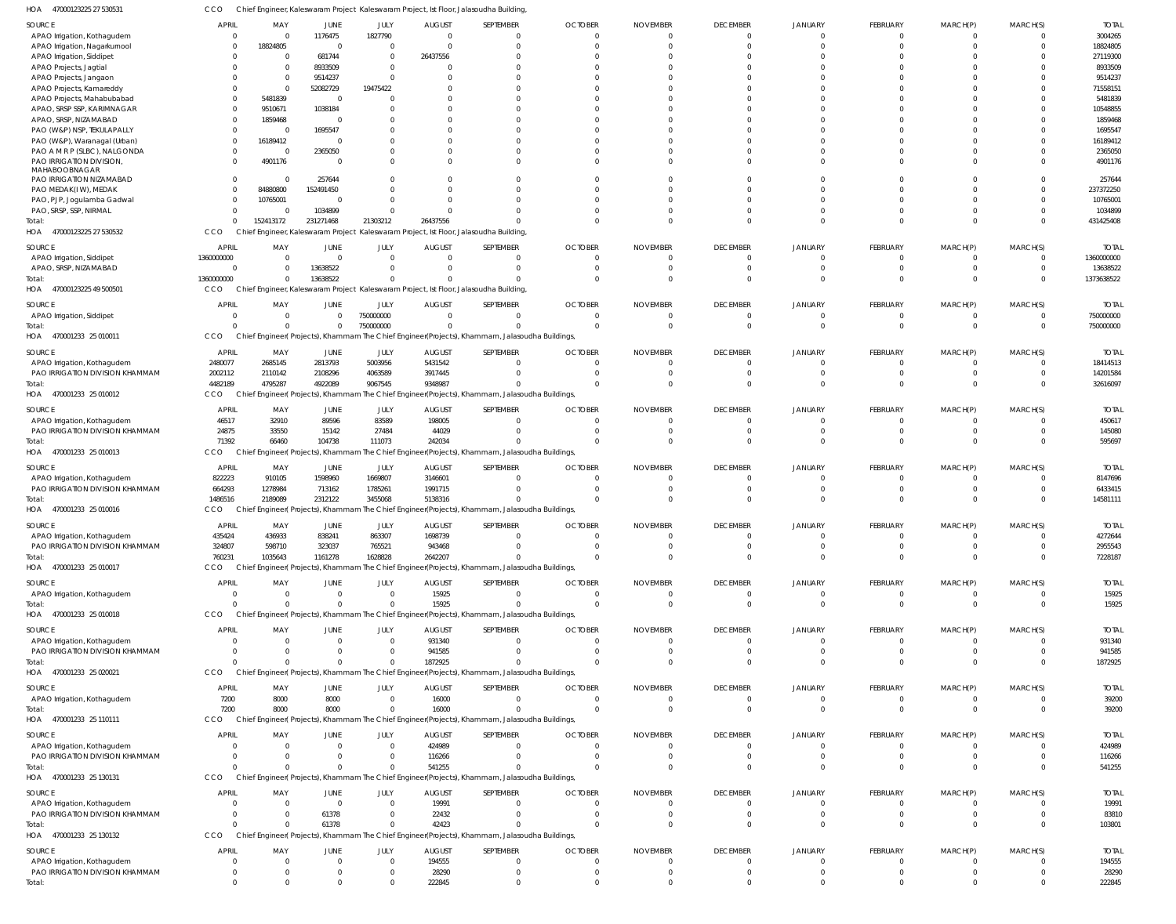47000123225 27 530531 HOA CCO Chief Engineer, Kaleswaram Project Kaleswaram Project, Ist Floor, Jalasoudha Building,

| SOURCE                          | <b>APRIL</b> | MAY       | <b>JUNE</b>             | JULY                    | <b>AUGUST</b>            | SEPTEMBER                                                                                      | <b>OCTOBER</b> | <b>NOVEMBER</b> | <b>DECEMBER</b> | JANUARY        | FEBRUARY        | MARCH(P)       | MARCH(S)    | <b>TOTAL</b> |
|---------------------------------|--------------|-----------|-------------------------|-------------------------|--------------------------|------------------------------------------------------------------------------------------------|----------------|-----------------|-----------------|----------------|-----------------|----------------|-------------|--------------|
| APAO Irrigation, Kothagudem     | $\mathbf{0}$ | $\Omega$  | 1176475                 | 1827790                 | $\overline{0}$           |                                                                                                | $\Omega$       | $\Omega$        | $\overline{0}$  | $\Omega$       | $\mathbf{0}$    |                |             | 3004265      |
| APAO Irrigation, Nagarkurnoo    | 0            | 18824805  | $\overline{0}$          | $\overline{0}$          | $\Omega$                 |                                                                                                |                | $\Omega$        | $\Omega$        | $\Omega$       | $\Omega$        |                | $\Omega$    | 18824805     |
| APAO Irrigation, Siddipet       | $\Omega$     | $\Omega$  | 681744                  | $\overline{0}$          | 26437556                 |                                                                                                |                |                 | $\Omega$        |                |                 |                |             | 27119300     |
| APAO Projects, Jagtial          |              | $\Omega$  | 8933509                 | $\overline{0}$          | $\Omega$                 |                                                                                                |                |                 | $\Omega$        |                |                 |                |             | 8933509      |
| APAO Projects, Jangaon          |              | $\Omega$  | 9514237                 | $\Omega$                |                          |                                                                                                |                |                 |                 |                |                 |                |             | 9514237      |
| APAO Projects, Kamareddy        |              | $\Omega$  | 52082729                | 19475422                |                          |                                                                                                |                |                 | $\Omega$        |                |                 |                |             | 71558151     |
| APAO Projects, Mahabubabad      | $\Omega$     | 5481839   | $\overline{0}$          | $\Omega$                |                          |                                                                                                |                |                 |                 |                |                 |                |             | 5481839      |
| APAO, SRSP SSP, KARIMNAGAR      | $\Omega$     | 9510671   | 1038184                 | $\Omega$                |                          |                                                                                                |                |                 | $\Omega$        |                |                 |                |             | 10548855     |
| APAO, SRSP, NIZAMABAD           |              | 1859468   | 0                       |                         |                          |                                                                                                |                |                 |                 |                |                 |                |             | 1859468      |
| PAO (W&P) NSP, TEKULAPALLY      | $\Omega$     | $\Omega$  | 1695547                 | $\Omega$                |                          |                                                                                                |                |                 |                 |                |                 |                |             | 1695547      |
| PAO (W&P), Waranagal (Urban)    | $\Omega$     | 16189412  | - 0                     | $\Omega$                |                          |                                                                                                |                |                 | $\Omega$        |                |                 |                |             | 16189412     |
| PAO A M R P (SLBC), NALGONDA    | $\Omega$     | $\Omega$  | 2365050                 | $\Omega$                |                          |                                                                                                |                |                 | $\Omega$        |                |                 |                |             | 2365050      |
| PAO IRRIGATION DIVISION,        | $\Omega$     | 4901176   | - 0                     | $\Omega$                | $\Omega$                 |                                                                                                |                |                 | $\Omega$        |                | $\Omega$        |                |             | 4901176      |
| MAHABOOBNAGAR                   |              |           |                         |                         |                          |                                                                                                |                |                 |                 |                |                 |                |             |              |
| PAO IRRIGATION NIZAMABAD        | $\Omega$     | $\Omega$  | 257644                  | $\Omega$                |                          |                                                                                                |                |                 | $\Omega$        |                |                 |                |             | 257644       |
| PAO MEDAK(IW), MEDAK            | $\Omega$     | 84880800  | 152491450               | $\Omega$                |                          |                                                                                                |                |                 | $\Omega$        |                |                 |                |             | 237372250    |
| PAO, PJP, Jogulamba Gadwal      | $\Omega$     | 10765001  | - 0                     | $\Omega$                |                          |                                                                                                |                |                 | $\Omega$        | $\Omega$       |                 |                |             | 10765001     |
| PAO, SRSP, SSP, NIRMAL          | $\Omega$     | $\Omega$  | 1034899                 | $\Omega$                |                          |                                                                                                |                |                 | $\Omega$        |                |                 |                |             | 1034899      |
| Total:                          | $\Omega$     | 152413172 | 231271468               | 21303212                | 26437556                 |                                                                                                |                |                 | $\Omega$        | $\Omega$       | $\Omega$        | $\Omega$       |             | 431425408    |
| 47000123225 27 530532<br>HOA    | CCO          |           |                         |                         |                          | Chief Engineer, Kaleswaram Project Kaleswaram Project, Ist Floor, Jalasoudha Building          |                |                 |                 |                |                 |                |             |              |
|                                 |              |           |                         |                         |                          |                                                                                                | <b>OCTOBER</b> |                 | <b>DECEMBER</b> |                |                 |                |             |              |
| SOURCE                          | <b>APRIL</b> | MAY       | <b>JUNE</b>             | JULY                    | <b>AUGUST</b>            | SEPTEMBER                                                                                      |                | <b>NOVEMBER</b> |                 | JANUARY        | <b>FEBRUARY</b> | MARCH(P)       | MARCH(S)    | <b>TOTAI</b> |
| APAO Irrigation, Siddipet       | 1360000000   | $\Omega$  | $\overline{0}$          | $\overline{0}$          | $\overline{0}$           |                                                                                                | $\Omega$       | $\Omega$        | $\Omega$        | $\Omega$       | $\mathbf{0}$    | 0              |             | 1360000000   |
| APAO, SRSP, NIZAMABAD           | $\Omega$     | $\Omega$  | 13638522                | $\overline{0}$          | $\Omega$                 |                                                                                                |                | $\Omega$        | $\Omega$        | $\Omega$       | $\Omega$        | $\Omega$       | $\Omega$    | 13638522     |
| otal:                           | 1360000000   | $\Omega$  | 13638522                | $\Omega$                | $\Omega$                 |                                                                                                |                |                 | $\Omega$        | $\Omega$       | $\Omega$        |                | $\Omega$    | 1373638522   |
| 47000123225 49 500501<br>HOA    | CCO          |           |                         |                         |                          | Chief Engineer, Kaleswaram Project Kaleswaram Project, Ist Floor, Jalasoudha Building          |                |                 |                 |                |                 |                |             |              |
| SOURCE                          | <b>APRIL</b> | MAY       | <b>JUNE</b>             | JULY                    | <b>AUGUST</b>            | SEPTEMBER                                                                                      | <b>OCTOBER</b> | <b>NOVEMBER</b> | <b>DECEMBER</b> | <b>JANUARY</b> | <b>FEBRUARY</b> | MARCH(P)       | MARCH(S)    | <b>TOTAI</b> |
| APAO Irrigation, Siddipet       | 0            | $\Omega$  | $\mathbf{0}$            | 750000000               | $\overline{0}$           | $\Omega$                                                                                       | $\Omega$       | $\Omega$        | $\overline{0}$  | $\Omega$       | $\mathbf{0}$    | 0              |             | 750000000    |
| Total                           | $\Omega$     | $\Omega$  | $\mathbf{0}$            | 750000000               | $\Omega$                 |                                                                                                | $\Omega$       | $\Omega$        | $\mathbf 0$     | $\Omega$       | $\Omega$        | $\Omega$       | $\mathbf 0$ | 750000000    |
| HOA<br>470001233 25 01001       | <b>CCO</b>   |           |                         |                         |                          | Chief Engineer(Projects), Khammam The Chief Engineer(Projects), Khammam, Jalasoudha Buildings, |                |                 |                 |                |                 |                |             |              |
|                                 |              |           |                         |                         |                          |                                                                                                |                |                 |                 |                |                 |                |             |              |
| SOURCE                          | <b>APRIL</b> | MAY       | JUNE                    | JULY                    | <b>AUGUST</b>            | SEPTEMBER                                                                                      | <b>OCTOBER</b> | <b>NOVEMBER</b> | <b>DECEMBER</b> | <b>JANUARY</b> | FEBRUARY        | MARCH(P)       | MARCH(S)    | <b>TOTAI</b> |
| APAO Irrigation, Kothagudem     | 2480077      | 2685145   | 2813793                 | 5003956                 | 5431542                  |                                                                                                | $\Omega$       | $\Omega$        | $\overline{0}$  | $\Omega$       | $\mathbf{0}$    | 0              |             | 18414513     |
| PAO IRRIGATION DIVISION KHAMMAM | 2002112      | 2110142   | 2108296                 | 4063589                 | 3917445                  |                                                                                                |                |                 | $\Omega$        | $\Omega$       | $\Omega$        |                |             | 14201584     |
| Total                           | 4482189      | 4795287   | 4922089                 | 9067545                 | 9348987                  |                                                                                                |                |                 | $\Omega$        | $\Omega$       | $\Omega$        |                | $\Omega$    | 32616097     |
| 470001233 25 010012<br>HOA      | CCO          |           |                         |                         |                          | Chief Engineer(Projects), Khammam The Chief Engineer(Projects), Khammam, Jalasoudha Buildings, |                |                 |                 |                |                 |                |             |              |
| SOURCE                          | <b>APRIL</b> | MAY       | <b>JUNE</b>             | JULY                    | <b>AUGUST</b>            | SEPTEMBER                                                                                      | <b>OCTOBER</b> | <b>NOVEMBER</b> | <b>DECEMBER</b> | <b>JANUARY</b> | FEBRUARY        | MARCH(P)       | MARCH(S)    | <b>TOTAI</b> |
| APAO Irrigation, Kothagudem     | 46517        | 32910     | 89596                   | 83589                   | 198005                   |                                                                                                | $\Omega$       | $\Omega$        | $\overline{0}$  | $\Omega$       | $\mathbf{0}$    | 0              |             | 450617       |
| PAO IRRIGATION DIVISION KHAMMAM | 24875        | 33550     | 15142                   | 27484                   | 44029                    |                                                                                                |                |                 | $\overline{0}$  | $\Omega$       | $\Omega$        |                | $\Omega$    | 145080       |
|                                 | 71392        | 66460     | 104738                  | 111073                  | 242034                   |                                                                                                |                |                 | $\Omega$        | $\Omega$       | $\Omega$        |                | $\Omega$    | 595697       |
| HOA<br>470001233 25 010013      | <b>CCO</b>   |           |                         |                         |                          |                                                                                                |                |                 |                 |                |                 |                |             |              |
|                                 |              |           |                         |                         |                          | Chief Engineer(Projects), Khammam The Chief Engineer(Projects), Khammam, Jalasoudha Buildings, |                |                 |                 |                |                 |                |             |              |
| SOURCE                          | <b>APRIL</b> | MAY       | JUNE                    | JULY                    | <b>AUGUST</b>            | SEPTEMBER                                                                                      | <b>OCTOBER</b> | <b>NOVEMBER</b> | <b>DECEMBER</b> | JANUARY        | <b>FEBRUARY</b> | MARCH(P)       | MARCH(S)    | <b>TOTAL</b> |
| APAO Irrigation, Kothagudem     | 822223       | 910105    | 1598960                 | 1669807                 | 3146601                  |                                                                                                |                |                 | $\Omega$        | $\Omega$       | $\Omega$        |                |             | 8147696      |
| PAO IRRIGATION DIVISION KHAMMAM | 664293       | 1278984   | 713162                  | 1785261                 | 1991715                  |                                                                                                |                |                 | $\Omega$        | $\Omega$       |                 |                |             | 6433415      |
|                                 | 1486516      | 2189089   | 2312122                 | 3455068                 | 5138316                  |                                                                                                |                |                 | $\Omega$        | $\Omega$       | $\Omega$        | $\Omega$       | $\Omega$    | 14581111     |
| 470001233 25 010016<br>HOA      | <b>CCO</b>   |           |                         |                         |                          | Chief Engineer(Projects), Khammam The Chief Engineer(Projects), Khammam, Jalasoudha Buildings, |                |                 |                 |                |                 |                |             |              |
|                                 | <b>APRIL</b> | MAY       |                         |                         |                          | SEPTEMBER                                                                                      | <b>OCTOBER</b> | <b>NOVEMBER</b> | <b>DECEMBER</b> | JANUARY        | <b>FEBRUARY</b> |                |             | <b>TOTAL</b> |
| SOURCE                          |              |           | <b>JUNE</b>             | JULY                    | <b>AUGUST</b><br>1698739 |                                                                                                | $\Omega$       | $\Omega$        | $\Omega$        |                |                 | MARCH(P)       | MARCH(S)    |              |
| APAO Irrigation, Kothagudem     | 435424       | 436933    | 838241                  | 863307                  |                          | $\Omega$                                                                                       |                |                 |                 | $\Omega$       | $\Omega$        |                |             | 4272644      |
| PAO IRRIGATION DIVISION KHAMMAM | 324807       | 598710    | 323037                  | 765521                  | 943468                   |                                                                                                |                |                 | $\mathbf 0$     | $\Omega$       | $\mathbf 0$     | $\Omega$       | $\Omega$    | 2955543      |
| Total:                          | 760231       | 1035643   | 1161278                 | 1628828                 | 2642207                  |                                                                                                |                | $\Omega$        | $\mathbf{0}$    | $\mathbf 0$    | $\mathbf{0}$    | $\overline{0}$ | $\Omega$    | 7228187      |
| HOA 470001233 25 010017         | <b>CCO</b>   |           |                         |                         |                          | Chief Engineer(Projects), Khammam The Chief Engineer(Projects), Khammam, Jalasoudha Buildings, |                |                 |                 |                |                 |                |             |              |
| SOURCE                          | <b>APRIL</b> | MAY       | <b>JUNE</b>             | JULY                    | <b>AUGUST</b>            | SEPTEMBER                                                                                      | <b>OCTOBER</b> | <b>NOVEMBER</b> | <b>DECEMBER</b> | JANUARY        | FEBRUARY        | MARCH(P)       | MARCH(S)    | <b>TOTAL</b> |
| APAO Irrigation, Kothagudem     | $\mathbf{0}$ | $\Omega$  | $\overline{0}$          | $\overline{0}$          | 15925                    |                                                                                                | $\Omega$       | $\Omega$        | $\overline{0}$  | $\overline{0}$ | $\overline{0}$  | 0              | $\Omega$    | 15925        |
| Total:                          | $\Omega$     | $\Omega$  | $\Omega$                | $\overline{0}$          | 15925                    |                                                                                                | $\Omega$       | $\Omega$        | $\Omega$        | $\Omega$       | $\overline{0}$  | $\mathbf 0$    | $\Omega$    | 15925        |
| HOA 470001233 25 010018         | CCO          |           |                         |                         |                          | Chief Engineer(Projects), Khammam The Chief Engineer(Projects), Khammam, Jalasoudha Buildings, |                |                 |                 |                |                 |                |             |              |
|                                 |              |           |                         |                         |                          |                                                                                                |                |                 |                 |                |                 |                |             |              |
| SOURCE                          | <b>APRIL</b> | MAY       | <b>JUNE</b>             | JULY                    | <b>AUGUST</b>            | SEPTEMBER                                                                                      | <b>OCTOBER</b> | <b>NOVEMBER</b> | <b>DECEMBER</b> | JANUARY        | FEBRUARY        | MARCH(P)       | MARCH(S)    | <b>TOTAL</b> |
| APAO Irrigation, Kothagudem     | $\Omega$     | $\Omega$  | $\overline{0}$          | $\overline{\mathbf{0}}$ | 931340                   |                                                                                                |                |                 | $\overline{0}$  | $\Omega$       | $\mathbf{0}$    |                |             | 931340       |
| PAO IRRIGATION DIVISION KHAMMAM | $\Omega$     | $\Omega$  | $\overline{0}$          | $\overline{\mathbf{0}}$ | 941585                   |                                                                                                |                |                 | $\mathbf{0}$    | $\overline{0}$ | $\mathbf{0}$    | 0              |             | 941585       |
| Total:                          | $\Omega$     | $\Omega$  | $\Omega$                | $\overline{0}$          | 1872925                  |                                                                                                |                |                 | $\Omega$        | $\Omega$       | $\Omega$        | $\Omega$       | $\Omega$    | 1872925      |
| HOA 470001233 25 020021         | CCO          |           |                         |                         |                          | Chief Engineer(Projects), Khammam The Chief Engineer(Projects), Khammam, Jalasoudha Buildings, |                |                 |                 |                |                 |                |             |              |
| SOURCE                          | <b>APRIL</b> | MAY       | JUNE                    | JULY                    | <b>AUGUST</b>            | SEPTEMBER                                                                                      | <b>OCTOBER</b> | <b>NOVEMBER</b> | <b>DECEMBER</b> | JANUARY        | FEBRUARY        | MARCH(P)       | MARCH(S)    | <b>TOTAL</b> |
| APAO Irrigation, Kothagudem     | 7200         | 8000      | 8000                    | $\overline{\mathbf{0}}$ | 16000                    |                                                                                                | $\Omega$       | $\Omega$        | $\mathbf 0$     | $\overline{0}$ | $\overline{0}$  | 0              |             | 39200        |
| Total:                          | 7200         | 8000      | 8000                    | $\overline{0}$          | 16000                    |                                                                                                | $\Omega$       | $\Omega$        | $\Omega$        | $\Omega$       | $\overline{0}$  | $\overline{0}$ | $\Omega$    | 39200        |
| HOA 470001233 25 110111         | CCO          |           |                         |                         |                          | Chief Engineer(Projects), Khammam The Chief Engineer(Projects), Khammam, Jalasoudha Buildings, |                |                 |                 |                |                 |                |             |              |
|                                 |              |           |                         |                         |                          |                                                                                                |                |                 |                 |                |                 |                |             |              |
| SOURCE                          | <b>APRIL</b> | MAY       | <b>JUNE</b>             | JULY                    | <b>AUGUST</b>            | SEPTEMBER                                                                                      | <b>OCTOBER</b> | <b>NOVEMBER</b> | <b>DECEMBER</b> | <b>JANUARY</b> | <b>FEBRUARY</b> | MARCH(P)       | MARCH(S)    | <b>TOTAL</b> |
| APAO Irrigation, Kothagudem     | $\Omega$     | $\Omega$  | $\overline{0}$          | $\overline{\mathbf{0}}$ | 424989                   |                                                                                                |                |                 | $\overline{0}$  | $\Omega$       | $\mathbf{0}$    |                |             | 424989       |
| PAO IRRIGATION DIVISION KHAMMAM | $\Omega$     | $\Omega$  | $\Omega$                | $\overline{\mathbf{0}}$ | 116266                   |                                                                                                |                | $\Omega$        | $\mathbf 0$     | $\Omega$       | $\mathbf{0}$    | $\mathbf 0$    | $\Omega$    | 116266       |
| Total:                          | $\Omega$     | $\Omega$  | $\Omega$                | $\Omega$                | 541255                   |                                                                                                |                |                 | $\Omega$        | $\Omega$       | $\Omega$        | $\Omega$       |             | 541255       |
| HOA 470001233 25 130131         | CCO          |           |                         |                         |                          | Chief Engineer(Projects), Khammam The Chief Engineer(Projects), Khammam, Jalasoudha Buildings, |                |                 |                 |                |                 |                |             |              |
|                                 |              |           |                         |                         |                          |                                                                                                |                |                 |                 |                |                 |                |             |              |
| SOURCE                          | <b>APRIL</b> | MAY       | <b>JUNE</b>             | JULY                    | <b>AUGUST</b>            | SEPTEMBER                                                                                      | <b>OCTOBER</b> | <b>NOVEMBER</b> | <b>DECEMBER</b> | JANUARY        | FEBRUARY        | MARCH(P)       | MARCH(S)    | <b>TOTAL</b> |
| APAO Irrigation, Kothagudem     | $\Omega$     | $\Omega$  | $\overline{\mathbf{0}}$ | $\overline{\mathbf{0}}$ | 19991                    |                                                                                                | $\Omega$       | $\Omega$        | $\Omega$        | $\Omega$       | $\overline{0}$  | 0              |             | 19991        |
| PAO IRRIGATION DIVISION KHAMMAM | $\Omega$     | $\Omega$  | 61378                   | $\overline{\mathbf{0}}$ | 22432                    |                                                                                                |                | $\Omega$        | $\Omega$        | $\Omega$       | 0               | 0              |             | 83810        |
| Total:                          | $\Omega$     | $\Omega$  | 61378                   | $\overline{0}$          | 42423                    |                                                                                                |                |                 | $\Omega$        | $\Omega$       | $\Omega$        |                |             | 103801       |
| HOA 470001233 25 130132         | CCO          |           |                         |                         |                          | Chief Engineer(Projects), Khammam The Chief Engineer(Projects), Khammam, Jalasoudha Buildings, |                |                 |                 |                |                 |                |             |              |
| SOURCE                          | <b>APRIL</b> | MAY       | <b>JUNE</b>             | JULY                    | <b>AUGUST</b>            | SEPTEMBER                                                                                      | <b>OCTOBER</b> | <b>NOVEMBER</b> | <b>DECEMBER</b> | JANUARY        | <b>FEBRUARY</b> | MARCH(P)       | MARCH(S)    | <b>TOTAL</b> |
| APAO Irrigation, Kothagudem     | $\Omega$     | $\Omega$  | $\overline{0}$          | $\overline{0}$          | 194555                   |                                                                                                | $\Omega$       | $\Omega$        | $\overline{0}$  | $\Omega$       | $\mathbf{0}$    | $\Omega$       |             | 194555       |
| PAO IRRIGATION DIVISION KHAMMAM | $\mathbf{0}$ | $\Omega$  | $\overline{0}$          | $\overline{0}$          | 28290                    | $\Omega$                                                                                       | $\overline{0}$ | $\Omega$        | $\mathbf{0}$    | $\overline{0}$ | $\mathbf{0}$    | 0              |             | 28290        |
| Total:                          | $\Omega$     | $\Omega$  | $\Omega$                | $\overline{0}$          | 222845                   |                                                                                                | $\Omega$       |                 | $\Omega$        | $\Omega$       | $\Omega$        | $\Omega$       | $\Omega$    | 222845       |
|                                 |              |           |                         |                         |                          |                                                                                                |                |                 |                 |                |                 |                |             |              |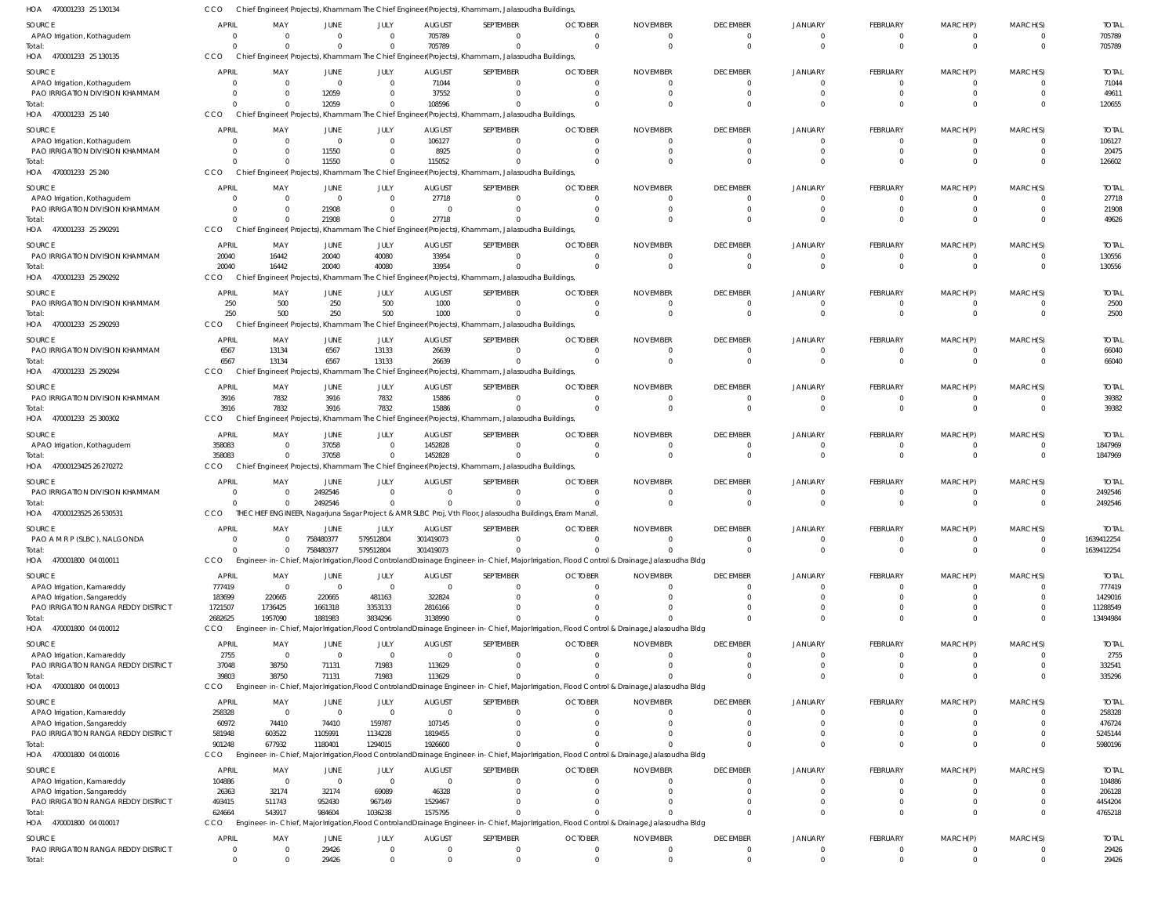| HOA<br>470001233 25 130134                                     | ссо            |                                |                               |                      |                | Chief Engineer( Projects), Khammam The Chief Engineer(Projects), Khammam, Jalasoudha Buildings |                                                                                                                                               |                 |                              |                            |                      |                      |                      |                |
|----------------------------------------------------------------|----------------|--------------------------------|-------------------------------|----------------------|----------------|------------------------------------------------------------------------------------------------|-----------------------------------------------------------------------------------------------------------------------------------------------|-----------------|------------------------------|----------------------------|----------------------|----------------------|----------------------|----------------|
| SOURCE                                                         | <b>APRIL</b>   | MAY                            | JUNE                          | JULY                 | <b>AUGUST</b>  | SEPTEMBER                                                                                      | <b>OCTOBER</b>                                                                                                                                | <b>NOVEMBER</b> | <b>DECEMBER</b>              | <b>JANUARY</b>             | <b>FEBRUARY</b>      | MARCH(P)             | MARCH(S)             | <b>TOTAL</b>   |
| APAO Irrigation, Kothagudem                                    | 0              | $\overline{0}$                 | $\mathbf{0}$                  | $\Omega$             | 705789         | $\Omega$                                                                                       | $\Omega$                                                                                                                                      | 0               | $\mathbf{0}$                 | $\mathbf{0}$               | $\Omega$             | -0                   |                      | 705789         |
| Total:                                                         |                | $\Omega$                       | $\mathbf{0}$                  | $\Omega$             | 705789         | $\Omega$                                                                                       | $\Omega$                                                                                                                                      | $\Omega$        | $\overline{0}$               | $\Omega$                   | $\Omega$             | $\Omega$             | $\Omega$             | 705789         |
| HOA 470001233 25 130135                                        | CCO            |                                |                               |                      |                | Chief Engineer(Projects), Khammam The Chief Engineer(Projects), Khammam, Jalasoudha Buildings  |                                                                                                                                               |                 |                              |                            |                      |                      |                      |                |
| SOURCE                                                         | <b>APRIL</b>   | MAY                            | JUNE                          | JULY                 | <b>AUGUST</b>  | SEPTEMBER                                                                                      | <b>OCTOBER</b>                                                                                                                                | <b>NOVEMBER</b> | <b>DECEMBER</b>              | <b>JANUARY</b>             | <b>FEBRUARY</b>      | MARCH(P)             | MARCH(S)             | <b>TOTAL</b>   |
| APAO Irrigation, Kothagudem                                    |                | $\mathbf{0}$                   | $\overline{0}$                | $\Omega$             | 71044          | $\Omega$                                                                                       | $\Omega$                                                                                                                                      | 0               | $\mathbf{0}$                 | $\mathbf{0}$               | $\Omega$             | $\Omega$             | $\Omega$             | 71044          |
| PAO IRRIGATION DIVISION KHAMMAM                                | 0              | $\overline{0}$                 | 12059                         | $\Omega$             | 37552          | $\Omega$                                                                                       | $\Omega$                                                                                                                                      |                 | 0                            | C                          | $\Omega$             | $\Omega$             |                      | 49611          |
| Total:                                                         | 0              | $\Omega$                       | 12059                         | $\Omega$             | 108596         | $\Omega$                                                                                       | $\Omega$                                                                                                                                      |                 | $\Omega$                     | C                          | $\Omega$             | $\Omega$             | $\Omega$             | 120655         |
| HOA 470001233 25 140                                           | CCO            |                                |                               |                      |                | Chief Engineer(Projects), Khammam The Chief Engineer(Projects), Khammam, Jalasoudha Buildings  |                                                                                                                                               |                 |                              |                            |                      |                      |                      |                |
| SOURCE                                                         | <b>APRIL</b>   | MAY                            | JUNE                          | JULY                 | <b>AUGUST</b>  | SEPTEMBER                                                                                      | <b>OCTOBER</b>                                                                                                                                | <b>NOVEMBER</b> | <b>DECEMBER</b>              | <b>JANUARY</b>             | FEBRUARY             | MARCH(P)             | MARCH(S)             | <b>TOTAL</b>   |
| APAO Irrigation, Kothagudem                                    |                | $\overline{0}$                 | $\overline{0}$                | $\Omega$             | 106127         | $\Omega$                                                                                       | $\Omega$                                                                                                                                      |                 | $\mathbf{0}$                 | $\Omega$                   | $\Omega$             |                      |                      | 106127         |
| PAO IRRIGATION DIVISION KHAMMAM                                |                | $\overline{0}$                 | 11550                         | $\Omega$             | 8925           | $\Omega$                                                                                       | $\Omega$                                                                                                                                      |                 | $\mathbf{0}$                 | C                          | $\Omega$             |                      | $\Omega$             | 20475          |
| Total:                                                         |                | $\Omega$                       | 11550                         | $\Omega$             | 115052         | $\Omega$                                                                                       |                                                                                                                                               |                 | $\Omega$                     | C                          | $\Omega$             | $\Omega$             | $\Omega$             | 126602         |
| HOA 470001233 25 240                                           | CCO            |                                |                               |                      |                | Chief Engineer(Projects), Khammam The Chief Engineer(Projects), Khammam, Jalasoudha Buildings  |                                                                                                                                               |                 |                              |                            |                      |                      |                      |                |
|                                                                |                |                                |                               |                      |                |                                                                                                |                                                                                                                                               |                 |                              |                            |                      |                      |                      |                |
| SOURCE                                                         | <b>APRIL</b>   | MAY                            | JUNE                          | JULY                 | <b>AUGUST</b>  | SEPTEMBER                                                                                      | <b>OCTOBER</b>                                                                                                                                | <b>NOVEMBER</b> | <b>DECEMBER</b>              | <b>JANUARY</b>             | <b>FEBRUARY</b>      | MARCH(P)             | MARCH(S)             | <b>TOTAL</b>   |
| APAO Irrigation, Kothagudem<br>PAO IRRIGATION DIVISION KHAMMAM |                | $\mathbf{0}$<br>$\overline{0}$ | $\overline{0}$<br>21908       | $\Omega$<br>$\Omega$ | 27718<br>0     | $\Omega$<br>$\Omega$                                                                           | $\Omega$<br>$\Omega$                                                                                                                          |                 | $\mathbf{0}$<br>$\mathbf{0}$ | 0<br>C                     | - 0<br>$\Omega$      | $\Omega$             |                      | 27718<br>21908 |
| Total:                                                         |                | $\Omega$                       | 21908                         | $\Omega$             | 27718          | $\Omega$                                                                                       | $\Omega$                                                                                                                                      |                 | $\Omega$                     | $\Omega$                   | $\Omega$             | $\Omega$             | $\Omega$             | 49626          |
| 470001233 25 290291<br>HOA                                     | CCO            |                                |                               |                      |                | Chief Engineer(Projects), Khammam The Chief Engineer(Projects), Khammam, Jalasoudha Buildings  |                                                                                                                                               |                 |                              |                            |                      |                      |                      |                |
|                                                                |                |                                |                               |                      |                |                                                                                                |                                                                                                                                               |                 |                              |                            |                      |                      |                      |                |
| SOURCE                                                         | <b>APRIL</b>   | MAY                            | JUNE                          | JULY                 | <b>AUGUST</b>  | SEPTEMBER                                                                                      | <b>OCTOBER</b>                                                                                                                                | <b>NOVEMBER</b> | <b>DECEMBER</b>              | <b>JANUARY</b>             | <b>FEBRUARY</b>      | MARCH(P)             | MARCH(S)             | <b>TOTAL</b>   |
| PAO IRRIGATION DIVISION KHAMMAM                                | 20040          | 16442                          | 20040                         | 40080                | 33954          | $\Omega$                                                                                       | $\Omega$                                                                                                                                      |                 | $\mathbf{0}$                 | $\Omega$                   | $\Omega$             |                      | $\Omega$             | 130556         |
| Total:                                                         | 20040          | 16442                          | 20040                         | 40080                | 33954          | $\Omega$                                                                                       | $\Omega$                                                                                                                                      |                 | $\overline{0}$               | $\Omega$                   | $\Omega$             | $\Omega$             | $\Omega$             | 130556         |
| HOA 470001233 25 290292                                        | CCO            |                                |                               |                      |                | Chief Engineer( Projects), Khammam The Chief Engineer(Projects), Khammam, Jalasoudha Buildings |                                                                                                                                               |                 |                              |                            |                      |                      |                      |                |
| SOURCE                                                         | <b>APRIL</b>   | MAY                            | JUNE                          | JULY                 | <b>AUGUST</b>  | SEPTEMBER                                                                                      | <b>OCTOBER</b>                                                                                                                                | <b>NOVEMBER</b> | <b>DECEMBER</b>              | <b>JANUARY</b>             | <b>FEBRUARY</b>      | MARCH(P)             | MARCH(S)             | <b>TOTAL</b>   |
| PAO IRRIGATION DIVISION KHAMMAM                                | 250            | 500                            | 250                           | 500                  | 1000           | $\Omega$                                                                                       | $\Omega$                                                                                                                                      | 0               | $\mathbf{0}$                 | 0                          | $\Omega$             | - 0                  | $\Omega$             | 2500           |
| Total:                                                         | 250            | 500                            | 250                           | 500                  | 1000           | $\Omega$                                                                                       | $\Omega$                                                                                                                                      |                 | $\mathbf{0}$                 | C                          | $\Omega$             | $\Omega$             | $\Omega$             | 2500           |
| HOA 470001233 25 290293                                        | CCO            |                                |                               |                      |                | Chief Engineer(Projects), Khammam The Chief Engineer(Projects), Khammam, Jalasoudha Buildings, |                                                                                                                                               |                 |                              |                            |                      |                      |                      |                |
| SOURCE                                                         | <b>APRIL</b>   | MAY                            | JUNE                          | JULY                 | <b>AUGUST</b>  | SEPTEMBER                                                                                      | <b>OCTOBER</b>                                                                                                                                | <b>NOVEMBER</b> | <b>DECEMBER</b>              | <b>JANUARY</b>             | FEBRUARY             | MARCH(P)             | MARCH(S)             | <b>TOTAL</b>   |
| PAO IRRIGATION DIVISION KHAMMAM                                | 6567           | 13134                          | 6567                          | 13133                | 26639          | $\Omega$                                                                                       | $\Omega$                                                                                                                                      |                 | $\mathbf{0}$                 | $\Omega$                   | $\Omega$             |                      |                      | 66040          |
| Total:                                                         | 6567           | 13134                          | 6567                          | 13133                | 26639          | $\Omega$                                                                                       | $\Omega$                                                                                                                                      |                 | $\Omega$                     | $\Omega$                   | $\Omega$             | $\Omega$             | $\Omega$             | 66040          |
| HOA<br>470001233 25 290294                                     | CCO            | Chief                          | ngineer( Projects), Khammam ' |                      |                | The Chief Engineer(Projects), Khammam, Jalasoudha Buildings                                    |                                                                                                                                               |                 |                              |                            |                      |                      |                      |                |
|                                                                |                |                                |                               |                      |                |                                                                                                |                                                                                                                                               |                 |                              |                            |                      |                      |                      |                |
| SOURCE                                                         | <b>APRIL</b>   | MAY                            | JUNE                          | JULY                 | <b>AUGUST</b>  | SEPTEMBER                                                                                      | <b>OCTOBER</b>                                                                                                                                | <b>NOVEMBER</b> | <b>DECEMBER</b>              | <b>JANUARY</b>             | FEBRUARY             | MARCH(P)             | MARCH(S)             | <b>TOTAL</b>   |
| PAO IRRIGATION DIVISION KHAMMAM                                | 3916<br>3916   | 7832                           | 3916<br>3916                  | 7832                 | 15886          | $\Omega$<br>$\Omega$                                                                           | $\overline{0}$<br>$\Omega$                                                                                                                    | $\Omega$        | $\overline{0}$<br>$\Omega$   | $\overline{0}$<br>$\Omega$ | $\Omega$<br>$\Omega$ | $\Omega$<br>$\Omega$ | $\Omega$<br>$\Omega$ | 39382<br>39382 |
| Total:<br>470001233 25 300302<br>HOA                           | CCO            | 7832                           |                               | 7832                 | 15886          |                                                                                                |                                                                                                                                               |                 |                              |                            |                      |                      |                      |                |
|                                                                |                |                                |                               |                      |                | Chief Engineer(Projects), Khammam The Chief Engineer(Projects), Khammam, Jalasoudha Buildings  |                                                                                                                                               |                 |                              |                            |                      |                      |                      |                |
| SOURCE                                                         | <b>APRIL</b>   | MAY                            | JUNE                          | JULY                 | <b>AUGUST</b>  | SEPTEMBER                                                                                      | <b>OCTOBER</b>                                                                                                                                | <b>NOVEMBER</b> | <b>DECEMBER</b>              | <b>JANUARY</b>             | <b>FEBRUARY</b>      | MARCH(P)             | MARCH(S)             | <b>TOTAL</b>   |
| APAO Irrigation, Kothagudem                                    | 358083         | $\overline{0}$                 | 37058                         | $\Omega$             | 1452828        | $\Omega$                                                                                       | $\Omega$                                                                                                                                      |                 | $\overline{0}$               | $\Omega$                   | $\Omega$             |                      | $\Omega$             | 1847969        |
| Total:                                                         | 358083         | $\Omega$                       | 37058                         | $\Omega$             | 1452828        | $\Omega$                                                                                       | $\Omega$                                                                                                                                      |                 | $\mathbf 0$                  | $\Omega$                   | $\Omega$             | $\Omega$             | $\Omega$             | 1847969        |
| HOA 47000123425 26 270272                                      | CCO            |                                |                               |                      |                | Chief Engineer(Projects), Khammam The Chief Engineer(Projects), Khammam, Jalasoudha Buildings, |                                                                                                                                               |                 |                              |                            |                      |                      |                      |                |
| <b>SOURCE</b>                                                  | <b>APRIL</b>   | MAY                            | <b>JUNE</b>                   | JULY                 | <b>AUGUST</b>  | SEPTEMBER                                                                                      | <b>OCTOBER</b>                                                                                                                                | <b>NOVEMBER</b> | <b>DECEMBER</b>              | <b>JANUARY</b>             | <b>FEBRUARY</b>      | MARCH(P)             | MARCH(S)             | <b>TOTAL</b>   |
| PAO IRRIGATION DIVISION KHAMMAM                                | 0              | $\Omega$                       | 2492546                       | $\Omega$             | $\overline{0}$ | $\Omega$                                                                                       | $\Omega$                                                                                                                                      |                 | $\mathbf{0}$                 | 0                          | $\Omega$             |                      | 0                    | 2492546        |
| Total:                                                         |                | $\Omega$                       | 2492546                       | $\Omega$             | $\mathbf 0$    | $\Omega$                                                                                       | $\Omega$                                                                                                                                      |                 | $\overline{0}$               | $\Omega$                   | $\Omega$             | $\Omega$             | $\Omega$             | 2492546        |
| HOA 47000123525 26 530531                                      | CCO            |                                |                               |                      |                |                                                                                                | THE CHIEF ENGINEER, Nagarjuna Sagar Project & AMR SLBC Proj, Vth Floor, Jalasoudha Buildings, Erram Manzil,                                   |                 |                              |                            |                      |                      |                      |                |
| <b>SOURCE</b>                                                  | APRIL          | MAY                            | JUNE                          | <b>JULY</b>          | <b>AUGUST</b>  | SEPTEMBER                                                                                      | <b>OCTOBER</b>                                                                                                                                | <b>NOVEMBER</b> | <b>DECEMBER</b>              | <b>JANUARY</b>             | FEBRUARY             | MARCH(P)             | MARCH(S)             | <b>TOTAL</b>   |
| PAO A M R P (SLBC), NALGONDA                                   |                | $\Omega$                       | 758480377                     | 579512804            | 301419073      |                                                                                                |                                                                                                                                               |                 | $\Omega$                     | $\Omega$                   | $\Omega$             | $\mathbf{0}$         | $\Omega$             | 1639412254     |
| Total:                                                         |                | $\Omega$                       | 758480377                     | 579512804            | 301419073      | $\cap$                                                                                         |                                                                                                                                               |                 | $\Omega$                     | $\Omega$                   | $\Omega$             | $\mathbf 0$          | $\Omega$             | 1639412254     |
| HOA 470001800 04 010011                                        | CCO            |                                |                               |                      |                |                                                                                                | Engineer-in-Chief, Major Irrigation, Flood Controland Drainage Engineer-in-Chief, Major Irrigation, Flood Control & Drainage, Jalasoudha Bldg |                 |                              |                            |                      |                      |                      |                |
|                                                                |                |                                |                               |                      |                |                                                                                                |                                                                                                                                               |                 |                              |                            |                      |                      |                      |                |
| SOURCE                                                         | <b>APRIL</b>   | MAY                            | JUNE                          | JULY                 | <b>AUGUST</b>  | SEPTEMBER                                                                                      | <b>OCTOBER</b>                                                                                                                                | <b>NOVEMBER</b> | <b>DECEMBER</b>              | <b>JANUARY</b>             | <b>FEBRUARY</b>      | MARCH(P)             | MARCH(S)             | <b>TOTAL</b>   |
| APAO Irrigation, Kamareddy                                     | 777419         | $\overline{0}$                 | $\overline{0}$                | $\overline{0}$       | $\overline{0}$ | $\Omega$                                                                                       | $\Omega$                                                                                                                                      |                 | $\mathbf{0}$                 | $\overline{0}$             | $\Omega$             | $\Omega$             |                      | 777419         |
| APAO Irrigation, Sangareddy                                    | 183699         | 220665                         | 220665                        | 481163               | 322824         | $\Omega$                                                                                       | $\Omega$                                                                                                                                      |                 | $\Omega$                     | C                          | $\Omega$             | $\Omega$             |                      | 1429016        |
| PAO IRRIGATION RANGA REDDY DISTRICT                            | 1721507        | 1736425                        | 1661318                       | 3353133              | 2816166        |                                                                                                |                                                                                                                                               |                 | 0<br>$\Omega$                | $\Omega$<br>$\mathsf{C}$   | $\Omega$<br>$\Omega$ | $\Omega$<br>$\Omega$ | $\Omega$             | 11288549       |
| Total:<br>470001800 04 010012<br>HOA                           | 2682625<br>CCO | 1957090                        | 1881983                       | 3834296              | 3138990        |                                                                                                | Engineer-in-Chief, Major Irrigation, Flood Controland Drainage Engineer-in-Chief, Major Irrigation, Flood Control & Drainage, Jalasoudha Bldg |                 |                              |                            |                      |                      |                      | 13494984       |
|                                                                |                |                                |                               |                      |                |                                                                                                |                                                                                                                                               |                 |                              |                            |                      |                      |                      |                |
| SOURCE                                                         | <b>APRIL</b>   | MAY                            | JUNE                          | JULY                 | <b>AUGUST</b>  | SEPTEMBER                                                                                      | <b>OCTOBER</b>                                                                                                                                | <b>NOVEMBER</b> | <b>DECEMBER</b>              | <b>JANUARY</b>             | FEBRUARY             | MARCH(P)             | MARCH(S)             | <b>TOTAL</b>   |
| APAO Irrigation, Kamareddy                                     | 2755           | $\overline{0}$                 | $\overline{0}$                | $\Omega$             | $\overline{0}$ | $\Omega$                                                                                       | $\Omega$                                                                                                                                      |                 | $\mathbf{0}$                 | $\mathbf{0}$               | - 0                  |                      |                      | 2755           |
| PAO IRRIGATION RANGA REDDY DISTRICT                            | 37048          | 38750                          | 71131                         | 71983                | 113629         | $\Omega$                                                                                       | $\Omega$                                                                                                                                      |                 | 0                            | $\Omega$                   | $\Omega$             | $\Omega$             |                      | 332541         |
| Total:                                                         | 39803          | 38750                          | 71131                         | 71983                | 113629         | $\Omega$                                                                                       |                                                                                                                                               |                 | $\Omega$                     | $\Omega$                   | $\Omega$             | $\Omega$             | $\Omega$             | 335296         |
| 470001800 04 010013<br>HOA                                     | CCO            |                                |                               |                      |                |                                                                                                | Engineer-in-Chief, Major Irrigation, Flood Controland Drainage Engineer-in-Chief, Major Irrigation, Flood Control & Drainage, Jalasoudha Bldg |                 |                              |                            |                      |                      |                      |                |
| SOURCE                                                         | <b>APRIL</b>   | MAY                            | JUNE                          | JULY                 | <b>AUGUST</b>  | SEPTEMBER                                                                                      | <b>OCTOBER</b>                                                                                                                                | <b>NOVEMBER</b> | <b>DECEMBER</b>              | <b>JANUARY</b>             | <b>FEBRUARY</b>      | MARCH(P)             | MARCH(S)             | <b>TOTAL</b>   |
| APAO Irrigation, Kamareddy                                     | 258328         | $\overline{0}$                 | $\overline{0}$                | $\Omega$             | $\overline{0}$ | $\Omega$                                                                                       | $\Omega$                                                                                                                                      |                 | $\mathbf{0}$                 | $\Omega$                   | $\Omega$             | $\Omega$             |                      | 258328         |
| APAO Irrigation, Sangareddy                                    | 60972          | 74410                          | 74410                         | 159787               | 107145         | $\Omega$                                                                                       | $\Omega$                                                                                                                                      |                 | $\Omega$                     | C                          | $\Omega$             | $\Omega$             |                      | 476724         |
| PAO IRRIGATION RANGA REDDY DISTRICT                            | 581948         | 603522                         | 1105991                       | 1134228              | 1819455        |                                                                                                | $\Omega$                                                                                                                                      |                 | 0                            | $\Omega$                   | $\Omega$             | $\Omega$             |                      | 5245144        |
| Total:                                                         | 901248         | 677932                         | 1180401                       | 1294015              | 1926600        |                                                                                                |                                                                                                                                               |                 | $\Omega$                     | $\Omega$                   | $\Omega$             | $\Omega$             | $\Omega$             | 5980196        |
| 470001800 04 010016<br>HOA                                     | CCO            |                                |                               |                      |                |                                                                                                | Engineer-in-Chief, Major Irrigation,Flood ControlandDrainage Engineer-in-Chief, Major Irrigation, Flood Control & Drainage,Jalasoudha Bldg    |                 |                              |                            |                      |                      |                      |                |
| SOURCE                                                         | <b>APRIL</b>   | MAY                            | JUNE                          | JULY                 | <b>AUGUST</b>  | SEPTEMBER                                                                                      | <b>OCTOBER</b>                                                                                                                                | <b>NOVEMBER</b> | <b>DECEMBER</b>              | <b>JANUARY</b>             | FEBRUARY             | MARCH(P)             | MARCH(S)             | <b>TOTAL</b>   |
| APAO Irrigation, Kamareddy                                     | 104886         | $\overline{0}$                 | $\overline{0}$                | $\Omega$             | $\overline{0}$ | $\Omega$                                                                                       | $\Omega$                                                                                                                                      |                 | $\Omega$                     | $\Omega$                   | - 0                  |                      |                      | 104886         |
| APAO Irrigation, Sangareddy                                    | 26363          | 32174                          | 32174                         | 69089                | 46328          | $\Omega$                                                                                       | $\Omega$                                                                                                                                      |                 | $\Omega$                     | $\Omega$                   | $\Omega$             |                      |                      | 206128         |
| PAO IRRIGATION RANGA REDDY DISTRICT                            | 493415         | 511743                         | 952430                        | 967149               | 1529467        | $\Omega$                                                                                       |                                                                                                                                               |                 | 0                            | $\Omega$                   | $\Omega$             |                      |                      | 4454204        |
| Total:                                                         | 624664         | 543917                         | 984604                        | 1036238              | 1575795        | $\cap$                                                                                         |                                                                                                                                               |                 | $\Omega$                     | $\Omega$                   | $\Omega$             | $\Omega$             | $\Omega$             | 4765218        |
| HOA 470001800 04 010017                                        | CCO            |                                |                               |                      |                |                                                                                                | Engineer-in-Chief, Major Irrigation, Flood Controland Drainage Engineer-in-Chief, Major Irrigation, Flood Control & Drainage, Jalasoudha Bldg |                 |                              |                            |                      |                      |                      |                |
|                                                                |                |                                |                               |                      |                |                                                                                                |                                                                                                                                               |                 |                              |                            |                      |                      |                      |                |
| <b>SOURCE</b>                                                  | <b>APRIL</b>   | MAY                            | JUNE                          | JULY                 | <b>AUGUST</b>  | SEPTEMBER                                                                                      | <b>OCTOBER</b>                                                                                                                                | <b>NOVEMBER</b> | <b>DECEMBER</b>              | <b>JANUARY</b>             | <b>FEBRUARY</b>      | MARCH(P)             | MARCH(S)             | <b>TOTAL</b>   |
| PAO IRRIGATION RANGA REDDY DISTRICT                            | 0              | $\mathbf{0}$                   | 29426                         | $\Omega$<br>$\Omega$ | $\overline{0}$ | $\overline{0}$                                                                                 | $\mathbf{0}$                                                                                                                                  | 0               | $\mathbf{0}$                 | 0                          | $\Omega$             | $\Omega$             |                      | 29426          |
| Total:                                                         | $\mathbf 0$    | $\overline{0}$                 | 29426                         |                      | $\mathbf{0}$   | $\Omega$                                                                                       | $\mathbf 0$                                                                                                                                   | 0               | $\mathbf{0}$                 | $\overline{0}$             | $\Omega$             | $\Omega$             | $\Omega$             | 29426          |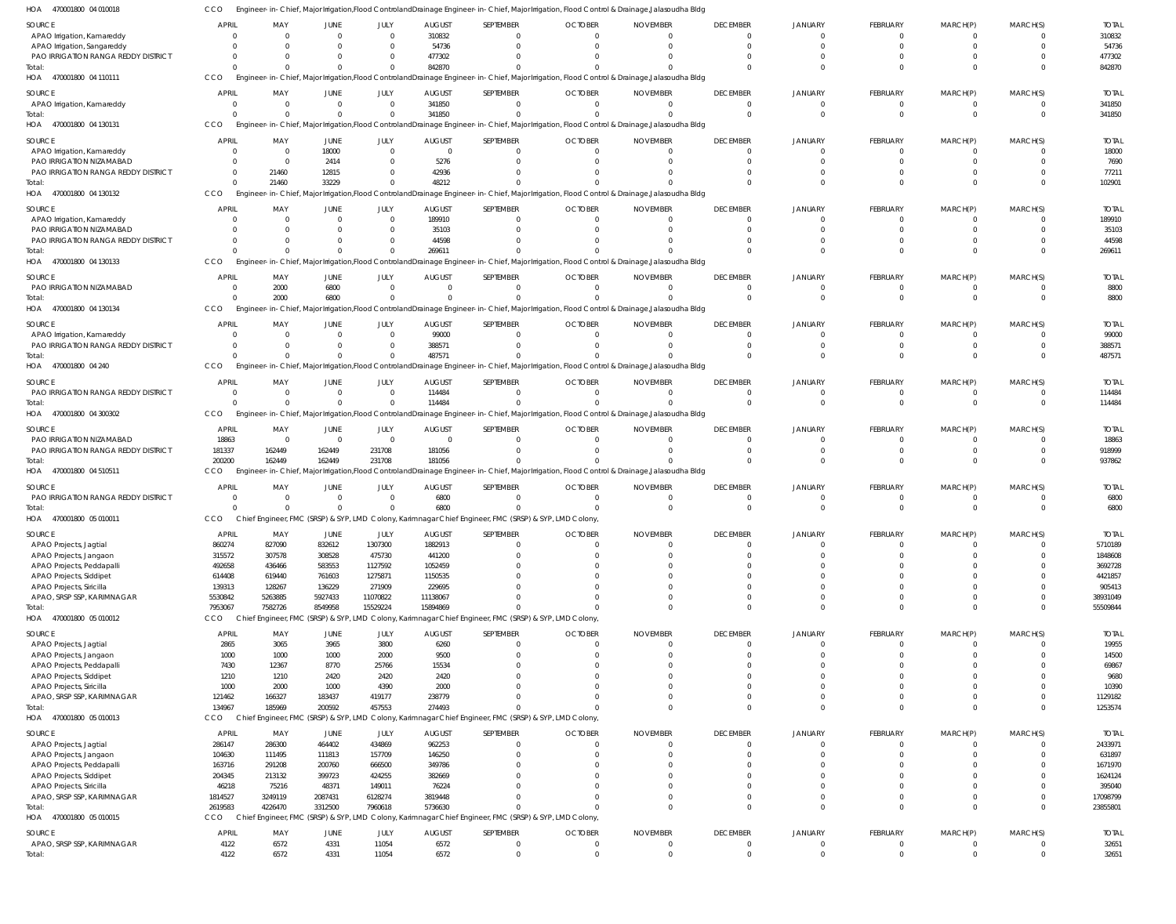470001800 04 010018 HOA CCO Engineer-in-Chief, Major Irrigation,Flood ControlandDrainage Engineer-in-Chief, Major Irrigation, Flood Control & Drainage,Jalasoudha Bldg

| SOURCE                              | <b>APRIL</b> | MAY            | JUNE        | JULY           | <b>AUGUST</b>  | SEPTEMBER    | <b>OCTOBER</b>                                                                                                                                | <b>NOVEMBER</b> | <b>DECEMBER</b> | <b>JANUARY</b> | <b>FEBRUARY</b> | MARCH(P) | MARCH(S) | <b>TOTAL</b> |
|-------------------------------------|--------------|----------------|-------------|----------------|----------------|--------------|-----------------------------------------------------------------------------------------------------------------------------------------------|-----------------|-----------------|----------------|-----------------|----------|----------|--------------|
| APAO Irrigation, Kamareddy          | $\Omega$     | $\Omega$       | $\Omega$    | $\Omega$       | 310832         |              | $\Omega$                                                                                                                                      | $\Omega$        | $\Omega$        | $\Omega$       | $\mathbf{0}$    |          |          | 310832       |
| APAO Irrigation, Sangareddy         |              | $\Omega$       |             | $\Omega$       | 54736          |              | $\Omega$                                                                                                                                      | $\Omega$        | $\Omega$        | $\Omega$       | 0               |          |          | 54736        |
| PAO IRRIGATION RANGA REDDY DISTRICT |              | $\Omega$       |             |                | 477302         |              |                                                                                                                                               |                 |                 | $\cap$         | <sup>0</sup>    |          |          | 477302       |
| Total                               | $\Omega$     | $\Omega$       |             | $\Box$         | 842870         |              | $\Omega$                                                                                                                                      |                 |                 | $\cap$         | $\Omega$        |          |          | 842870       |
| HOA 470001800 04 110111             | CCO          |                |             |                |                |              | Engineer-in-Chief, Major Irrigation,Flood ControlandDrainage Engineer-in-Chief, Major Irrigation, Flood Control & Drainage,Jalasoudha Bldg    |                 |                 |                |                 |          |          |              |
|                                     |              |                |             |                |                |              |                                                                                                                                               |                 |                 |                |                 |          |          |              |
| SOURCE                              | <b>APRIL</b> | MAY            | JUNE        | JULY           | <b>AUGUST</b>  | SEPTEMBER    | <b>OCTOBER</b>                                                                                                                                | <b>NOVEMBER</b> | <b>DECEMBER</b> | <b>JANUARY</b> | <b>FEBRUARY</b> | MARCH(P) | MARCH(S) | <b>TOTAI</b> |
| APAO Irrigation, Kamareddy          | $\Omega$     | $\Omega$       | $\Omega$    | $\Omega$       | 341850         | $\Omega$     | $\Omega$                                                                                                                                      | $\Omega$        | $\Omega$        | $\Omega$       | $\Omega$        | 0        |          | 341850       |
| Total:                              |              | $\Omega$       |             | $\Omega$       | 341850         |              |                                                                                                                                               | $\Omega$        | $\Omega$        |                | $\Omega$        | $\Omega$ | $\Omega$ | 341850       |
| HOA 470001800 04 130131             | CCO          |                |             |                |                |              | Engineer-in-Chief, Major Irrigation, Flood Controland Drainage Engineer-in-Chief, Major Irrigation, Flood Control & Drainage, Jalasoudha Bldg |                 |                 |                |                 |          |          |              |
| SOURCE                              | <b>APRIL</b> | MAY            | JUNE        | JULY           | <b>AUGUST</b>  | SEPTEMBER    | <b>OCTOBER</b>                                                                                                                                | <b>NOVEMBER</b> | <b>DECEMBER</b> | <b>JANUARY</b> | <b>FEBRUARY</b> | MARCH(P) | MARCH(S) | <b>TOTAL</b> |
| APAO Irrigation, Kamareddy          | $\Omega$     | $\overline{0}$ | 18000       | $\Omega$       | $\overline{0}$ |              | $\Omega$                                                                                                                                      | $\Omega$        | $\Omega$        | - 0            | $\Omega$        |          |          | 18000        |
| PAO IRRIGATION NIZAMABAD            |              | $\Omega$       | 2414        | $\Omega$       | 5276           |              | -0                                                                                                                                            | $\Omega$        |                 |                | 0               |          |          | 7690         |
| PAO IRRIGATION RANGA REDDY DISTRICT | $\Omega$     | 21460          | 12815       | $\Omega$       | 42936          |              |                                                                                                                                               |                 |                 |                |                 |          |          | 77211        |
|                                     | $\Omega$     | 21460          |             |                |                |              |                                                                                                                                               |                 |                 | $\Omega$       | $\Omega$        |          |          |              |
| Total:                              |              |                | 33229       |                | 48212          |              |                                                                                                                                               |                 |                 |                |                 |          |          | 102901       |
| HOA 470001800 04 130132             | CCO          |                |             |                |                |              | Engineer-in-Chief, Major Irrigation,Flood ControlandDrainage Engineer-in-Chief, Major Irrigation, Flood Control & Drainage,Jalasoudha Bldg    |                 |                 |                |                 |          |          |              |
| SOURCE                              | APRIL        | MAY            | JUNE        | JULY           | <b>AUGUST</b>  | SEPTEMBER    | <b>OCTOBER</b>                                                                                                                                | <b>NOVEMBER</b> | <b>DECEMBER</b> | <b>JANUARY</b> | <b>FEBRUARY</b> | MARCH(P) | MARCH(S) | <b>TOTAL</b> |
| APAO Irrigation, Kamareddy          |              | $\Omega$       |             | $\Omega$       | 189910         |              | $\Omega$                                                                                                                                      | $\Omega$        |                 |                |                 |          |          | 189910       |
| PAO IRRIGATION NIZAMABAD            |              | $\Omega$       |             | $\Omega$       | 35103          |              |                                                                                                                                               | $\Omega$        |                 |                |                 |          |          | 35103        |
| PAO IRRIGATION RANGA REDDY DISTRICT |              | $\Omega$       |             |                | 44598          |              |                                                                                                                                               |                 |                 |                |                 |          |          | 44598        |
| Total:                              |              |                |             | $\Omega$       | 269611         |              |                                                                                                                                               |                 |                 |                | $\Omega$        |          |          | 269611       |
| HOA 470001800 04 130133             | CCO          |                |             |                |                |              | Engineer-in-Chief, Major Irrigation, Flood Controland Drainage Engineer-in-Chief, Major Irrigation, Flood Control & Drainage, Jalasoudha Bldg |                 |                 |                |                 |          |          |              |
|                                     |              |                |             |                |                |              |                                                                                                                                               |                 |                 |                |                 |          |          |              |
| SOURCE                              | <b>APRIL</b> | MAY            | JUNE        | JULY           | <b>AUGUST</b>  | SEPTEMBER    | <b>OCTOBER</b>                                                                                                                                | <b>NOVEMBER</b> | <b>DECEMBER</b> | <b>JANUARY</b> | <b>FEBRUARY</b> | MARCH(P) | MARCH(S) | <b>TOTAL</b> |
| PAO IRRIGATION NIZAMABAD            | $\Omega$     | 2000           | 6800        | $\overline{0}$ | $\Omega$       | 0            | $\Omega$                                                                                                                                      | $\Omega$        |                 |                | 0               |          |          | 8800         |
| Total:                              | $\Omega$     | 2000           | 6800        | $\Omega$       | $\Omega$       | $\Omega$     | $\Omega$                                                                                                                                      | $\Omega$        | $\Omega$        | $\Omega$       | $\mathbf{0}$    | $\Omega$ | $\Omega$ | 8800         |
| HOA 470001800 04 130134             | <b>CCO</b>   | Engineer-      |             |                |                |              | -in-Chief, Major Irrigation,Flood ControlandDrainage Engineer-in-Chief, Major Irrigation, Flood Control & Drainage,Jalasoudha Bldg            |                 |                 |                |                 |          |          |              |
|                                     |              |                |             |                |                |              |                                                                                                                                               |                 |                 |                |                 |          |          |              |
| SOURCE                              | <b>APRIL</b> | MAY            | JUNE        | JULY           | <b>AUGUST</b>  | SEPTEMBER    | <b>OCTOBER</b>                                                                                                                                | <b>NOVEMBER</b> | <b>DECEMBER</b> | JANUARY        | <b>FEBRUARY</b> | MARCH(P) | MARCH(S) | <b>TOTAI</b> |
| APAO Irrigation, Kamareddy          |              | $\Omega$       |             | $\Omega$       | 99000          |              | $\Omega$                                                                                                                                      | $\Omega$        |                 |                | 0               |          |          | 99000        |
| PAO IRRIGATION RANGA REDDY DISTRICT |              | $\Omega$       |             | $\Omega$       | 388571         |              |                                                                                                                                               |                 |                 |                | <sup>0</sup>    |          |          | 388571       |
| Total:                              |              | $\Omega$       |             | $\Omega$       | 487571         |              |                                                                                                                                               |                 |                 |                | $\Omega$        |          |          | 487571       |
| HOA 470001800 04 240                | CCO          |                |             |                |                |              | Engineer-in-Chief, Major Irrigation,Flood ControlandDrainage Engineer-in-Chief, Major Irrigation, Flood Control & Drainage,Jalasoudha Bldg    |                 |                 |                |                 |          |          |              |
| SOURCE                              | <b>APRIL</b> | MAY            | JUNE        | JULY           | <b>AUGUST</b>  | SEPTEMBER    | <b>OCTOBER</b>                                                                                                                                | <b>NOVEMBER</b> | <b>DECEMBER</b> | <b>JANUARY</b> | <b>FEBRUARY</b> | MARCH(P) | MARCH(S) | <b>TOTAL</b> |
| PAO IRRIGATION RANGA REDDY DISTRICT | $\mathbf{0}$ | $\overline{0}$ | - 0         | $\Omega$       | 114484         | 0            | $\Omega$                                                                                                                                      | $\Omega$        |                 |                | $\mathbf{0}$    | 0        |          | 114484       |
| Total                               | $\Omega$     | $\Omega$       | $\Omega$    | $\Omega$       | 114484         |              | $\Omega$                                                                                                                                      | $\Omega$        | $\Omega$        | $\Omega$       | $\Omega$        | $\Omega$ | $\Omega$ | 114484       |
| HOA 470001800 04 300302             | CCO          |                |             |                |                |              |                                                                                                                                               |                 |                 |                |                 |          |          |              |
|                                     |              |                |             |                |                |              | Engineer-in-Chief, Major Irrigation,Flood ControlandDrainage Engineer-in-Chief, Major Irrigation, Flood Control & Drainage,Jalasoudha Bldg    |                 |                 |                |                 |          |          |              |
| SOURCE                              | <b>APRIL</b> | MAY            | JUNE        | JULY           | <b>AUGUST</b>  | SEPTEMBER    | <b>OCTOBER</b>                                                                                                                                | <b>NOVEMBER</b> | <b>DECEMBER</b> | JANUARY        | <b>FEBRUARY</b> | MARCH(P) | MARCH(S) | <b>TOTAI</b> |
| PAO IRRIGATION NIZAMABAD            | 18863        | $\overline{0}$ | $\Omega$    | $\Omega$       | $\overline{0}$ | <sup>0</sup> | $\Omega$                                                                                                                                      | $\Omega$        | $\Omega$        |                | 0               |          |          | 18863        |
| PAO IRRIGATION RANGA REDDY DISTRICT | 181337       | 162449         | 162449      | 231708         | 181056         |              | $\Omega$                                                                                                                                      | $\Omega$        |                 |                | 0               |          |          | 918999       |
| Total:                              | 200200       | 162449         | 162449      | 231708         | 181056         |              |                                                                                                                                               |                 |                 |                | $\Omega$        |          |          | 937862       |
| HOA 470001800 04 510511             | CCO          |                |             |                |                |              | Engineer-in-Chief, Major Irrigation, Flood Controland Drainage Engineer-in-Chief, Major Irrigation, Flood Control & Drainage, Jalasoudha Bldg |                 |                 |                |                 |          |          |              |
|                                     |              |                |             |                |                |              |                                                                                                                                               |                 |                 |                |                 |          |          |              |
| SOURCE                              | <b>APRIL</b> | MAY            | JUNE        | JULY           | <b>AUGUST</b>  | SEPTEMBER    | <b>OCTOBER</b>                                                                                                                                | <b>NOVEMBER</b> | <b>DECEMBER</b> | <b>JANUARY</b> | <b>FEBRUARY</b> | MARCH(P) | MARCH(S) | <b>TOTAL</b> |
| PAO IRRIGATION RANGA REDDY DISTRICT | $\Omega$     | $\overline{0}$ |             | $\Omega$       | 6800           | $\Omega$     | $\Omega$                                                                                                                                      | $\Omega$        |                 |                | 0               |          |          | 6800         |
| Total:                              | $\Omega$     | $\Omega$       |             | $\Omega$       | 6800           |              | $\Omega$                                                                                                                                      | $\Omega$        | $\Omega$        | $\Omega$       | $\Omega$        | 0        | $\Omega$ | 6800         |
| HOA 470001800 05 010011             | CCO          |                |             |                |                |              | Chief Engineer, FMC (SRSP) & SYP, LMD Colony, Karimnagar Chief Engineer, FMC (SRSP) & SYP, LMD Colony,                                        |                 |                 |                |                 |          |          |              |
| SOURCE                              | APRIL        | MAY            | <b>JUNE</b> | JULY           | <b>AUGUST</b>  | SEPTEMBER    | <b>OCTOBER</b>                                                                                                                                | <b>NOVEMBER</b> | <b>DECEMBER</b> | <b>JANUARY</b> | FEBRUARY        | MARCH(P) | MARCH(S) | <b>TOTAL</b> |
| APAO Projects, Jagtial              | 860274       | 827090         | 832612      | 1307300        | 1882913        |              | $\Omega$                                                                                                                                      | $\Omega$        | $\Omega$        |                |                 |          |          | 5710189      |
| APAO Projects, Jangaon              | 315572       | 307578         | 308528      | 475730         | 441200         | $\Omega$     | $\Omega$                                                                                                                                      | $\Omega$        | $\Omega$        | $\Omega$       | $\Omega$        | $\Omega$ |          | 1848608      |
|                                     |              |                |             |                |                |              | $\Omega$                                                                                                                                      | $\Omega$        | $\Omega$        | $\Omega$       | $\Omega$        |          |          | 3692728      |
| APAO Projects, Peddapalli           | 492658       | 436466         | 583553      | 1127592        | 1052459        |              |                                                                                                                                               |                 | $\Omega$        | $\Omega$       | $\Omega$        |          |          |              |
| APAO Projects, Siddipet             | 614408       | 619440         | 761603      | 1275871        | 1150535        |              | $\Omega$                                                                                                                                      | $\Omega$        |                 |                |                 |          |          | 4421857      |
| APAO Projects, Siricilla            | 139313       | 128267         | 136229      | 271909         | 229695         |              | $\Omega$                                                                                                                                      | $\Omega$        |                 | $\Omega$       |                 |          |          | 905413       |
| APAO, SRSP SSP, KARIMNAGAR          | 5530842      | 5263885        | 5927433     | 11070822       | 11138067       |              | $\Omega$                                                                                                                                      | $\Omega$        | $\Omega$        | $\Omega$       | $\Omega$        | $\Omega$ |          | 38931049     |
| Total:                              | 7953067      | 7582726        | 8549958     | 15529224       | 15894869       |              | $\Omega$                                                                                                                                      | $\Omega$        | $\Omega$        | $\Omega$       | $\Omega$        | $\Omega$ |          | 55509844     |
| HOA 470001800 05 010012             | CCO          |                |             |                |                |              | Chief Engineer, FMC (SRSP) & SYP, LMD Colony, Karimnagar Chief Engineer, FMC (SRSP) & SYP, LMD Colony,                                        |                 |                 |                |                 |          |          |              |
| SOURCE                              | <b>APRIL</b> | MAY            | JUNE        | JULY           | <b>AUGUST</b>  | SEPTEMBER    | <b>OCTOBER</b>                                                                                                                                | <b>NOVEMBER</b> | <b>DECEMBER</b> | <b>JANUARY</b> | FEBRUARY        | MARCH(P) | MARCH(S) | <b>TOTAL</b> |
| APAO Projects, Jagtial              | 2865         | 3065           | 3965        | 3800           | 6260           | 0            | $\overline{0}$                                                                                                                                | $\Omega$        | $\Omega$        | $\Omega$       | $\mathbf{0}$    | 0        |          | 19955        |
| APAO Projects, Jangaon              | 1000         | 1000           | 1000        | 2000           | 9500           |              | $\Omega$                                                                                                                                      | $\Omega$        | $\Omega$        | $\Omega$       | 0               | $\Omega$ | $\Omega$ | 14500        |
| APAO Projects, Peddapalli           | 7430         | 12367          | 8770        | 25766          | 15534          |              | $\Omega$                                                                                                                                      | $\Omega$        | $\Omega$        | $\Omega$       | $\Omega$        |          |          | 69867        |
|                                     |              |                |             |                |                |              | $\Omega$                                                                                                                                      | $\Omega$        | $\Omega$        | $\Omega$       | $\Omega$        |          |          |              |
| APAO Projects, Siddipet             | 1210         | 1210           | 2420        | 2420           | 2420           |              |                                                                                                                                               |                 |                 |                |                 |          |          | 9680         |
| APAO Projects, Siricilla            | 1000         | 2000           | 1000        | 4390           | 2000           |              | $\Omega$                                                                                                                                      | $\Omega$        | $\Omega$        | $\Omega$       | 0               |          |          | 10390        |
| APAO, SRSP SSP, KARIMNAGAR          | 121462       | 166327         | 183437      | 419177         | 238779         |              | $\Omega$                                                                                                                                      | $\Omega$        | $\Omega$        | $\Omega$       | $\Omega$        | 0        |          | 1129182      |
| Total:                              | 134967       | 185969         | 200592      | 457553         | 274493         |              | $\Omega$                                                                                                                                      | $\Omega$        | $\Omega$        | $\Omega$       | $\Omega$        | 0        | $\Omega$ | 1253574      |
| HOA 470001800 05 010013             | <b>CCO</b>   |                |             |                |                |              | Chief Engineer, FMC (SRSP) & SYP, LMD Colony, Karimnagar Chief Engineer, FMC (SRSP) & SYP, LMD Colony,                                        |                 |                 |                |                 |          |          |              |
| SOURCE                              | <b>APRIL</b> | MAY            | JUNE        | JULY           | <b>AUGUST</b>  | SEPTEMBER    | <b>OCTOBER</b>                                                                                                                                | <b>NOVEMBER</b> | <b>DECEMBER</b> | <b>JANUARY</b> | FEBRUARY        | MARCH(P) | MARCH(S) | <b>TOTAL</b> |
| APAO Projects, Jagtial              | 286147       | 286300         | 464402      | 434869         | 962253         |              | $\Omega$                                                                                                                                      | $\Omega$        | $\Omega$        | $\Omega$       | 0               |          |          | 2433971      |
| APAO Projects, Jangaon              | 104630       | 111495         | 111813      | 157709         | 146250         |              | $\Omega$                                                                                                                                      | $\Omega$        | $\Omega$        | $\Omega$       | $\Omega$        |          |          | 631897       |
|                                     |              |                | 200760      | 666500         | 349786         |              | $\Omega$                                                                                                                                      | $\Omega$        | $\Omega$        | $\Omega$       |                 |          |          | 1671970      |
|                                     |              |                |             |                |                |              |                                                                                                                                               | $\Omega$        |                 | $\Omega$       |                 |          |          | 1624124      |
| APAO Projects, Peddapalli           | 163716       | 291208         |             |                |                |              |                                                                                                                                               |                 |                 |                |                 |          |          |              |
| APAO Projects, Siddipet             | 204345       | 213132         | 399723      | 424255         | 382669         |              | $\Omega$                                                                                                                                      |                 |                 |                |                 |          |          |              |
| APAO Projects, Siricilla            | 46218        | 75216          | 48371       | 149011         | 76224          |              | $\Omega$                                                                                                                                      | $\Omega$        | $\Omega$        | $\Omega$       |                 |          |          | 395040       |
| APAO, SRSP SSP, KARIMNAGAR          | 1814527      | 3249119        | 2087431     | 6128274        | 3819448        |              | $\Omega$                                                                                                                                      | $\Omega$        |                 | $\Omega$       | $\Omega$        | 0        |          | 17098799     |
| Total:                              | 2619583      | 4226470        | 3312500     | 7960618        | 5736630        |              | $\Omega$                                                                                                                                      | $\Omega$        | $\Omega$        | $\Omega$       | $\Omega$        | $\Omega$ | $\Omega$ | 23855801     |
| HOA<br>470001800 05 010015          | CCO          |                |             |                |                |              | Chief Engineer, FMC (SRSP) & SYP, LMD Colony, Karimnagar Chief Engineer, FMC (SRSP) & SYP, LMD Colony,                                        |                 |                 |                |                 |          |          |              |
| SOURCE                              | <b>APRIL</b> | MAY            | JUNE        | JULY           | <b>AUGUST</b>  | SEPTEMBER    | <b>OCTOBER</b>                                                                                                                                | <b>NOVEMBER</b> | <b>DECEMBER</b> | <b>JANUARY</b> | FEBRUARY        | MARCH(P) | MARCH(S) | <b>TOTAL</b> |
| APAO, SRSP SSP, KARIMNAGAR          | 4122         | 6572           | 4331        | 11054          | 6572           | 0            | $\overline{0}$                                                                                                                                | $\overline{0}$  | $\Omega$        | $\Omega$       | $\mathbf 0$     | 0        | $\Omega$ | 32651        |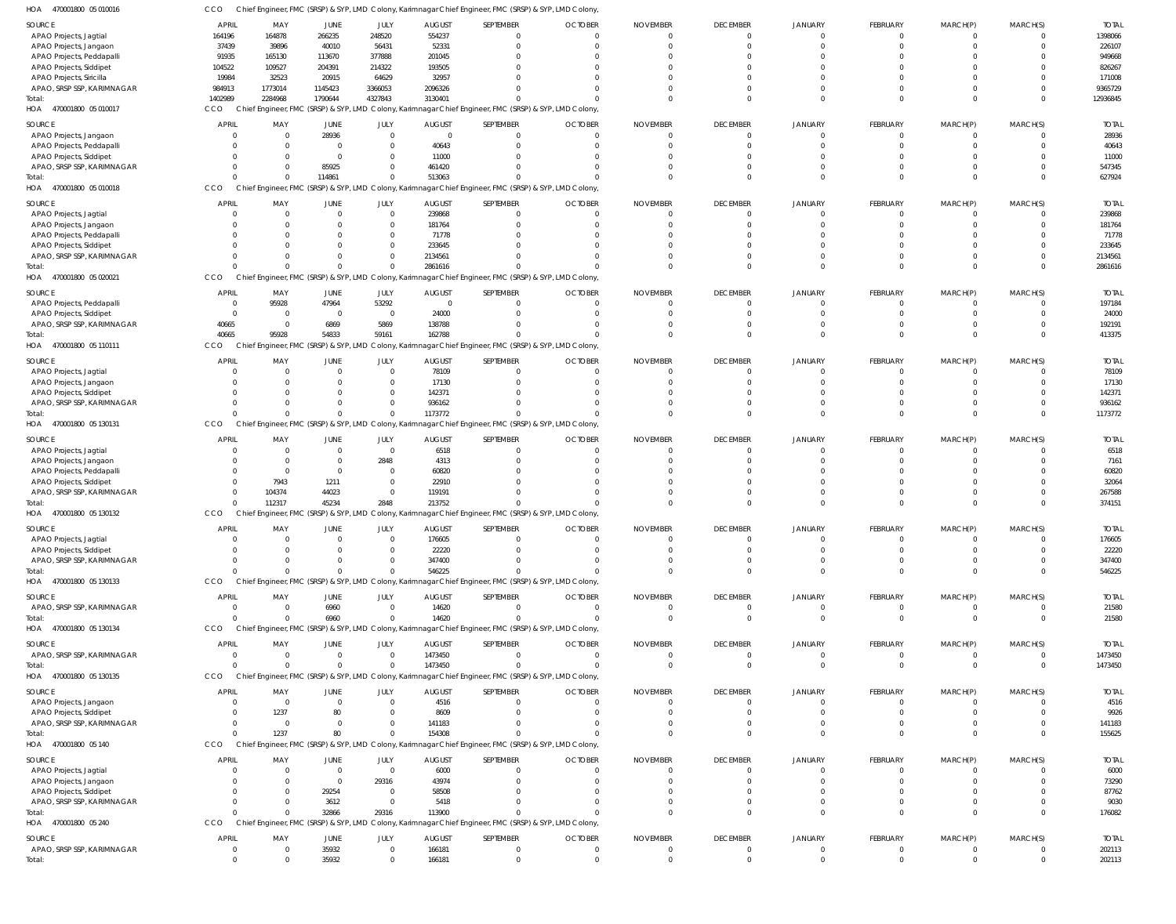| HOA<br>470001800 05 010016                            | CCO          |                  |                                       |                            |                   |                       | Chief Engineer, FMC (SRSP) & SYP, LMD Colony, Karimnagar Chief Engineer, FMC (SRSP) & SYP, LMD Colony  |                             |                             |                            |                    |                |                          |                   |
|-------------------------------------------------------|--------------|------------------|---------------------------------------|----------------------------|-------------------|-----------------------|--------------------------------------------------------------------------------------------------------|-----------------------------|-----------------------------|----------------------------|--------------------|----------------|--------------------------|-------------------|
| SOURCE                                                | APRIL        | MAY              | <b>JUNE</b>                           | JULY                       | <b>AUGUST</b>     | SEPTEMBER             | <b>OCTOBER</b>                                                                                         | <b>NOVEMBER</b>             | <b>DECEMBER</b>             | <b>JANUARY</b>             | FEBRUARY           | MARCH(P)       | MARCH(S)                 | <b>TOTAI</b>      |
| APAO Projects, Jagtial                                | 164196       | 164878           | 266235                                | 248520                     | 554237            | $\Omega$              |                                                                                                        | $\Omega$                    | $\mathbf{0}$                | $\overline{0}$             | $\Omega$           | - 0            | $\Omega$                 | 1398066           |
| APAO Projects, Jangaon                                | 37439        | 39896            | 40010                                 | 56431                      | 52331             | $\Omega$              |                                                                                                        |                             | $\Omega$                    | $\Omega$                   | $\Omega$           |                | $\Omega$                 | 226107            |
| APAO Projects, Peddapalli                             | 91935        | 165130           | 113670                                | 377888                     | 201045            | $\Omega$              |                                                                                                        |                             | $\Omega$                    |                            |                    |                |                          | 949668            |
| APAO Projects, Siddipet                               | 104522       | 109527           | 204391                                | 214322                     | 193505            |                       |                                                                                                        |                             | $\Omega$                    | $\Omega$                   |                    |                |                          | 826267            |
| APAO Projects, Siricilla                              | 19984        | 32523            | 20915                                 | 64629                      | 32957             |                       |                                                                                                        |                             | $\Omega$                    |                            |                    |                |                          | 171008            |
| APAO, SRSP SSP, KARIMNAGAR                            | 984913       | 1773014          | 1145423                               | 3366053                    | 2096326           |                       |                                                                                                        |                             | $\Omega$                    | $\Omega$                   | $\Omega$           |                | $\Omega$                 | 9365729           |
| Total:                                                | 1402989      | 2284968          | 1790644                               | 4327843                    | 3130401           |                       |                                                                                                        |                             | $\Omega$                    | $\Omega$                   | $\Omega$           | $\Omega$       | $\Omega$                 | 12936845          |
| HOA 470001800 05 010017                               | CCO          |                  |                                       |                            |                   |                       | Chief Engineer, FMC (SRSP) & SYP, LMD Colony, Karimnagar Chief Engineer, FMC (SRSP) & SYP, LMD Colony, |                             |                             |                            |                    |                |                          |                   |
| SOURCE                                                | <b>APRIL</b> | MAY              | JUNE                                  | JULY                       | <b>AUGUST</b>     | SEPTEMBER             | <b>OCTOBER</b>                                                                                         | <b>NOVEMBER</b>             | <b>DECEMBER</b>             | <b>JANUARY</b>             | <b>FEBRUARY</b>    | MARCH(P)       | MARCH(S)                 | <b>TOTAL</b>      |
| APAO Projects, Jangaon                                |              |                  | 28936                                 | $\mathbf{0}$               | $\overline{0}$    | $\Omega$              |                                                                                                        | $\Omega$                    | 0                           | $\mathbf{0}$               | $\Omega$           |                | $\Omega$                 | 28936             |
| APAO Projects, Peddapalli                             |              |                  | $\overline{0}$                        | $\mathbf{0}$               | 40643             | $\Omega$              |                                                                                                        |                             | $\Omega$                    | $\Omega$                   | $\Omega$           |                | $\Omega$                 | 40643             |
| APAO Projects, Siddipet                               |              |                  | $\overline{0}$                        | $\mathbf{0}$               | 11000             | $\Omega$              |                                                                                                        |                             | $\Omega$                    |                            | $\cap$             |                | <sup>0</sup>             | 11000             |
| APAO, SRSP SSP, KARIMNAGAR                            |              |                  | 85925                                 | $\mathbf{0}$               | 461420            | $\cap$                |                                                                                                        |                             | $\Omega$                    | $\Omega$                   | $\Omega$           |                |                          | 547345            |
| Total:                                                |              |                  | 114861                                | $\Omega$                   | 513063            | $\cap$                |                                                                                                        |                             | $\Omega$                    | $\Omega$                   | $\Omega$           | $\Omega$       | $\Omega$                 | 627924            |
| 470001800 05 010018<br>HOA                            | CCO          |                  |                                       |                            |                   |                       | Chief Engineer, FMC (SRSP) & SYP, LMD Colony, Karimnagar Chief Engineer, FMC (SRSP) & SYP, LMD Colony  |                             |                             |                            |                    |                |                          |                   |
|                                                       |              |                  |                                       |                            |                   |                       |                                                                                                        |                             |                             |                            |                    |                |                          |                   |
| SOURCE                                                | <b>APRIL</b> | MAY<br>$\Omega$  | JUNE<br>$\overline{0}$                | JULY<br>$\mathbf 0$        | <b>AUGUST</b>     | SEPTEMBER<br>$\Omega$ | <b>OCTOBER</b>                                                                                         | <b>NOVEMBER</b><br>$\Omega$ | <b>DECEMBER</b><br>$\Omega$ | <b>JANUARY</b><br>$\Omega$ | FEBRUARY<br>- 0    | MARCH(P)       | MARCH(S)<br>$\Omega$     | <b>TOTAI</b>      |
| APAO Projects, Jagtial                                |              |                  |                                       |                            | 239868            |                       |                                                                                                        |                             |                             |                            |                    |                |                          | 239868            |
| APAO Projects, Jangaon                                |              |                  | 0<br>$\Omega$                         | $\mathbf 0$<br>$\mathbf 0$ | 181764<br>71778   | $\Omega$<br>$\cap$    |                                                                                                        |                             | $\Omega$<br>$\Omega$        | $\Omega$                   | $\Omega$           |                | 0                        | 181764            |
| APAO Projects, Peddapalli                             |              |                  | $\Omega$                              | $\Omega$                   |                   | $\cap$                |                                                                                                        |                             | $\Omega$                    |                            |                    |                |                          | 71778             |
| APAO Projects, Siddipet<br>APAO, SRSP SSP, KARIMNAGAR |              |                  | $\Omega$                              | $\mathbf 0$                | 233645<br>2134561 |                       |                                                                                                        |                             | $\Omega$                    | $\Omega$                   | $\Omega$           |                | $\Omega$                 | 233645<br>2134561 |
| Total:                                                |              |                  | $\Omega$                              | $\Omega$                   | 2861616           |                       |                                                                                                        |                             | $\Omega$                    | $\Omega$                   | $\Omega$           | $\Omega$       | $\Omega$                 | 2861616           |
| HOA 470001800 05 020021                               | CCO          |                  |                                       |                            |                   |                       |                                                                                                        |                             |                             |                            |                    |                |                          |                   |
|                                                       |              |                  |                                       |                            |                   |                       | Chief Engineer, FMC (SRSP) & SYP, LMD Colony, Karimnagar Chief Engineer, FMC (SRSP) & SYP, LMD Colony, |                             |                             |                            |                    |                |                          |                   |
| SOURCE                                                | <b>APRIL</b> | MAY              | JUNE                                  | JULY                       | <b>AUGUST</b>     | SEPTEMBER             | <b>OCTOBER</b>                                                                                         | <b>NOVEMBER</b>             | <b>DECEMBER</b>             | <b>JANUARY</b>             | FEBRUARY           | MARCH(P)       | MARCH(S)                 | <b>TOTAI</b>      |
| APAO Projects, Peddapalli                             |              | 95928            | 47964                                 | 53292                      | $\overline{0}$    | $\Omega$              |                                                                                                        | $\Omega$                    | 0                           | 0                          | $\Omega$           |                | $\Omega$                 | 197184            |
| APAO Projects, Siddipet                               | $\Omega$     |                  | $\overline{0}$                        | $\mathbf 0$                | 24000             | $\Omega$              |                                                                                                        | $\Omega$                    | $\Omega$                    | $\Omega$                   | $\Omega$           | $\Omega$       | $\Omega$                 | 24000             |
| APAO, SRSP SSP, KARIMNAGAR                            | 40665        | $\overline{0}$   | 6869                                  | 5869                       | 138788            | $\Omega$              |                                                                                                        |                             | $\Omega$                    | $\Omega$                   | $\Omega$           | $\Omega$       | $\Omega$                 | 192191            |
| Total:                                                | 40665        | 95928            | 54833                                 | 59161                      | 162788            | $\Omega$              |                                                                                                        |                             | $\Omega$                    | $\Omega$                   | $\Omega$           | $\Omega$       | $\Omega$                 | 413375            |
| HOA 470001800 05 110111                               | CCO          |                  | Chief Engineer, FMC (SRSP) & SYP, LMD |                            |                   |                       | Colony, Karimnagar Chief Engineer, FMC (SRSP) & SYP, LMD Colony                                        |                             |                             |                            |                    |                |                          |                   |
| SOURCE                                                | <b>APRIL</b> | MAY              | JUNE                                  | JULY                       | <b>AUGUST</b>     | SEPTEMBER             | <b>OCTOBER</b>                                                                                         | <b>NOVEMBER</b>             | <b>DECEMBER</b>             | <b>JANUARY</b>             | FEBRUARY           | MARCH(P)       | MARCH(S)                 | <b>TOTAI</b>      |
| APAO Projects, Jagtial                                |              |                  | $\Omega$                              | $\Omega$                   | 78109             | $\Omega$              |                                                                                                        |                             | 0                           | $\Omega$                   | $\Omega$           |                | $\Omega$                 | 78109             |
| APAO Projects, Jangaon                                |              | $\Omega$         | $\Omega$                              | $\mathbf 0$                | 17130             | $\Omega$              |                                                                                                        |                             | $\Omega$                    | $\Omega$                   | $\Omega$           |                | $\Omega$                 | 17130             |
| APAO Projects, Siddipet                               |              |                  | $\Omega$                              | $\mathbf 0$                | 142371            | $\Omega$              |                                                                                                        |                             | $\Omega$                    | $\Omega$                   | $\Omega$           |                |                          | 142371            |
| APAO, SRSP SSP, KARIMNAGAR                            |              |                  | $\Omega$                              | $\mathbf 0$                | 936162            | $\cap$                |                                                                                                        |                             | $\Omega$                    | $\Omega$                   | $\Omega$           |                | $\Omega$                 | 936162            |
| Total:                                                |              |                  | $\Omega$                              | $\Omega$                   | 1173772           |                       |                                                                                                        |                             | $\Omega$                    | $\Omega$                   | $\Omega$           | $\Omega$       | $\Omega$                 | 1173772           |
| HOA 470001800 05 130131                               | CCO          |                  |                                       |                            |                   |                       | Chief Engineer, FMC (SRSP) & SYP, LMD Colony, Karimnagar Chief Engineer, FMC (SRSP) & SYP, LMD Colony, |                             |                             |                            |                    |                |                          |                   |
|                                                       |              |                  |                                       |                            |                   |                       |                                                                                                        |                             |                             |                            |                    |                |                          |                   |
| SOURCE                                                | <b>APRIL</b> | MAY              | JUNE                                  | JULY                       | <b>AUGUST</b>     | SEPTEMBER             | <b>OCTOBER</b>                                                                                         | <b>NOVEMBER</b>             | <b>DECEMBER</b>             | <b>JANUARY</b>             | <b>FEBRUARY</b>    | MARCH(P)       | MARCH(S)                 | <b>TOTAL</b>      |
| APAO Projects, Jagtial                                |              | 0                | $\overline{0}$                        | $\overline{0}$             | 6518              | $\Omega$              |                                                                                                        |                             | 0                           | $\Omega$                   | $\Omega$           |                | 0                        | 6518              |
| APAO Projects, Jangaon                                |              | $\Omega$         | $\overline{0}$                        | 2848                       | 4313              | $\Omega$<br>$\Omega$  |                                                                                                        |                             | $\Omega$                    | $\Omega$                   | $\Omega$<br>$\cap$ |                | $\Omega$<br><sup>0</sup> | 7161              |
| APAO Projects, Peddapalli                             |              | 0                | $\overline{0}$                        | $\mathbf 0$                | 60820             | $\cap$                |                                                                                                        |                             | $\Omega$                    |                            |                    |                |                          | 60820             |
| APAO Projects, Siddipet                               |              | 7943             | 1211                                  | $\mathbf{0}$               | 22910             | $\cap$                |                                                                                                        |                             | $\Omega$                    |                            | $\Omega$           |                | $\Omega$                 | 32064             |
| APAO, SRSP SSP, KARIMNAGAR                            |              | 104374<br>112317 | 44023<br>45234                        | $\mathbf{0}$<br>2848       | 119191<br>213752  | $\cap$                |                                                                                                        |                             | $\Omega$<br>$\Omega$        | $\Omega$<br>$\Omega$       | $\Omega$           | $\Omega$       | $\Omega$                 | 267588<br>374151  |
| Total:<br>HOA 470001800 05 130132                     | CCO          |                  |                                       |                            |                   |                       | Chief Engineer, FMC (SRSP) & SYP, LMD Colony, Karimnagar Chief Engineer, FMC (SRSP) & SYP, LMD Colony  |                             |                             |                            |                    |                |                          |                   |
|                                                       |              |                  |                                       |                            |                   |                       |                                                                                                        |                             |                             |                            |                    |                |                          |                   |
| SOURCE                                                | <b>APRIL</b> | MAY              | <b>JUNE</b>                           | <b>JULY</b>                | <b>AUGUST</b>     | SEPTEMBER             | <b>OCTOBER</b>                                                                                         | <b>NOVEMBER</b>             | <b>DECEMBER</b>             | <b>JANUARY</b>             | FEBRUARY           | MARCH(P)       | MARCH(S)                 | <b>TOTAL</b>      |
| APAO Projects, Jagtial                                |              |                  | $\Omega$                              | $\Omega$                   | 176605            |                       |                                                                                                        |                             | $\Omega$                    | $\Omega$                   | $\Omega$           |                | $\Omega$                 | 176605            |
| <b>APAO Projects, Siddipet</b>                        | $\Omega$     |                  | $\Omega$                              | $\overline{0}$             | 22220             | $\Omega$              |                                                                                                        | $\Omega$                    | $\Omega$                    | $\Omega$                   | $\Omega$           |                |                          | 22220             |
| APAO, SRSP SSP, KARIMNAGAR                            | $\Omega$     | 0                | $\overline{0}$                        | $\Omega$                   | 347400            | $\Omega$              |                                                                                                        | $\Omega$                    | $\Omega$                    | $\overline{0}$             | $\Omega$           | $\Omega$       |                          | 347400            |
| Total:                                                |              | $\Omega$         | $\Omega$                              | $\mathbf 0$                | 546225            | $\cap$                |                                                                                                        |                             | $\Omega$                    | $\Omega$                   | $\Omega$           | $\Omega$       | $\Omega$                 | 546225            |
| HOA 470001800 05 130133                               | CCO          |                  |                                       |                            |                   |                       | Chief Engineer, FMC (SRSP) & SYP, LMD Colony, Karimnagar Chief Engineer, FMC (SRSP) & SYP, LMD Colony, |                             |                             |                            |                    |                |                          |                   |
| SOURCE                                                | <b>APRIL</b> | MAY              | JUNE                                  | JULY                       | <b>AUGUST</b>     | SEPTEMBER             | <b>OCTOBER</b>                                                                                         | <b>NOVEMBER</b>             | <b>DECEMBER</b>             | <b>JANUARY</b>             | <b>FEBRUARY</b>    | MARCH(P)       | MARCH(S)                 | <b>TOTAL</b>      |
| APAO, SRSP SSP, KARIMNAGAR                            |              | 0                | 6960                                  | $\mathbf{0}$               | 14620             | $\Omega$              | $\mathbf 0$                                                                                            | $\overline{0}$              | $\overline{0}$              | $\overline{0}$             | $\Omega$           | $\Omega$       | 0                        | 21580             |
| Total:                                                |              |                  | 6960                                  | $\Omega$                   | 14620             | $\Omega$              |                                                                                                        |                             | $\overline{0}$              | $\overline{0}$             | $\Omega$           | $\Omega$       | $\Omega$                 | 21580             |
| 470001800 05 130134<br>HOA                            | <b>CCO</b>   |                  |                                       |                            |                   |                       | Chief Engineer, FMC (SRSP) & SYP, LMD Colony, Karimnagar Chief Engineer, FMC (SRSP) & SYP, LMD Colony, |                             |                             |                            |                    |                |                          |                   |
| SOURCE                                                | <b>APRIL</b> | MAY              | JUNE                                  | JULY                       | <b>AUGUST</b>     | SEPTEMBER             | <b>OCTOBER</b>                                                                                         | <b>NOVEMBER</b>             | <b>DECEMBER</b>             | <b>JANUARY</b>             | FEBRUARY           | MARCH(P)       | MARCH(S)                 | <b>TOTAL</b>      |
| APAO, SRSP SSP, KARIMNAGAR                            | $\Omega$     | $\mathbf 0$      | $\mathbf 0$                           | $\mathbf 0$                | 1473450           | $\Omega$              | $\Omega$                                                                                               | $\Omega$                    | $\overline{0}$              | $\overline{0}$             | $\Omega$           | - 0            | $\overline{0}$           | 1473450           |
|                                                       | $\Omega$     | $\Omega$         | $\mathbf 0$                           | $\mathbf 0$                | 1473450           | $\Omega$              | $\Omega$                                                                                               | $\Omega$                    | $\overline{0}$              | $\Omega$                   | $\overline{0}$     | $\overline{0}$ | $\overline{0}$           | 1473450           |
| Total:<br>HOA 470001800 05 130135                     | CCO          |                  |                                       |                            |                   |                       | Chief Engineer, FMC (SRSP) & SYP, LMD Colony, Karimnagar Chief Engineer, FMC (SRSP) & SYP, LMD Colony, |                             |                             |                            |                    |                |                          |                   |
|                                                       |              |                  |                                       |                            |                   |                       |                                                                                                        |                             |                             |                            |                    |                |                          |                   |
| SOURCE                                                | <b>APRIL</b> | MAY              | JUNE                                  | JULY                       | <b>AUGUST</b>     | SEPTEMBER             | <b>OCTOBER</b>                                                                                         | <b>NOVEMBER</b>             | <b>DECEMBER</b>             | <b>JANUARY</b>             | <b>FEBRUARY</b>    | MARCH(P)       | MARCH(S)                 | <b>TOTAL</b>      |
| APAO Projects, Jangaon                                |              | $\overline{0}$   | $\overline{0}$                        | $\mathbf 0$                | 4516              | $\Omega$              |                                                                                                        |                             | 0                           | 0                          | $\Omega$           |                | 0                        | 4516              |
| APAO Projects, Siddipet                               |              | 1237             | 80                                    | $\mathbf 0$                | 8609              | $\Omega$              |                                                                                                        | $\Omega$                    | $\Omega$                    | $\Omega$                   | $\Omega$           | $\Omega$       | $\Omega$                 | 9926              |
| APAO, SRSP SSP, KARIMNAGAR                            |              | $\overline{0}$   | $\mathbf 0$                           | $\mathbf{0}$               | 141183            | $\Omega$              |                                                                                                        |                             | 0                           | $\Omega$                   | $\Omega$           | $\Omega$       | $\overline{0}$           | 141183            |
| Total:                                                |              | 1237             | 80                                    | $\Omega$                   | 154308            | $\Omega$              |                                                                                                        |                             | $\Omega$                    | $\Omega$                   | $\Omega$           | $\Omega$       | $\overline{0}$           | 155625            |
| HOA 470001800 05 140                                  | CCO          |                  |                                       |                            |                   |                       | Chief Engineer, FMC (SRSP) & SYP, LMD Colony, Karimnagar Chief Engineer, FMC (SRSP) & SYP, LMD Colony, |                             |                             |                            |                    |                |                          |                   |
| SOURCE                                                | <b>APRIL</b> | MAY              | <b>JUNE</b>                           | JULY                       | <b>AUGUST</b>     | SEPTEMBER             | <b>OCTOBER</b>                                                                                         | <b>NOVEMBER</b>             | <b>DECEMBER</b>             | <b>JANUARY</b>             | <b>FEBRUARY</b>    | MARCH(P)       | MARCH(S)                 | <b>TOTAL</b>      |
| APAO Projects, Jagtial                                |              |                  | $\overline{0}$                        | $\mathbf 0$                | 6000              | - 0                   |                                                                                                        | $\Omega$                    | $\mathbf{0}$                | 0                          | $\Omega$           |                | $\Omega$                 | 6000              |
| APAO Projects, Jangaon                                |              |                  | $\overline{0}$                        | 29316                      | 43974             | $\Omega$              |                                                                                                        |                             | $\Omega$                    | $\Omega$                   | $\Omega$           |                | $\Omega$                 | 73290             |
| APAO Projects, Siddipet                               |              |                  | 29254                                 | $\mathbf 0$                | 58508             | $\Omega$              |                                                                                                        |                             | 0                           | $\Omega$                   | $\Omega$           |                |                          | 87762             |
| APAO, SRSP SSP, KARIMNAGAR                            |              |                  | 3612                                  | $\mathbf 0$                | 5418              | $\cap$                |                                                                                                        | $\Omega$                    | $\Omega$                    | $\Omega$                   | $\Omega$           |                | $\Omega$                 | 9030              |
| Total:                                                |              |                  | 32866                                 | 29316                      | 113900            | $\cap$                |                                                                                                        |                             | $\Omega$                    | $\Omega$                   | $\Omega$           | $\Omega$       | $\Omega$                 | 176082            |
| HOA 470001800 05 240                                  | CCO          |                  | Chief Engineer, FMC (SRSP) & SYP, LMD |                            |                   |                       | Colony, Karimnagar Chief Engineer, FMC (SRSP) & SYP, LMD Colony,                                       |                             |                             |                            |                    |                |                          |                   |
|                                                       |              |                  |                                       |                            |                   |                       |                                                                                                        |                             |                             |                            |                    |                |                          |                   |
| SOURCE                                                | <b>APRIL</b> | MAY              | JUNE                                  | JULY                       | <b>AUGUST</b>     | SEPTEMBER             | <b>OCTOBER</b>                                                                                         | <b>NOVEMBER</b>             | <b>DECEMBER</b>             | <b>JANUARY</b>             | <b>FEBRUARY</b>    | MARCH(P)       | MARCH(S)                 | <b>TOTAL</b>      |
| APAO, SRSP SSP, KARIMNAGAR                            | 0            | 0                | 35932                                 | $\mathbf 0$                | 166181            | $\Omega$              |                                                                                                        | $\mathbf 0$                 | $\overline{0}$              | $\overline{0}$             | $\overline{0}$     | $\Omega$       | $\overline{0}$           | 202113            |
| Total:                                                | $\Omega$     |                  | 35932                                 | $\mathbf 0$                | 166181            | $\Omega$              | $\Omega$                                                                                               | $\Omega$                    | $\overline{0}$              | $\overline{0}$             | $\Omega$           | $\Omega$       | $\mathbf 0$              | 202113            |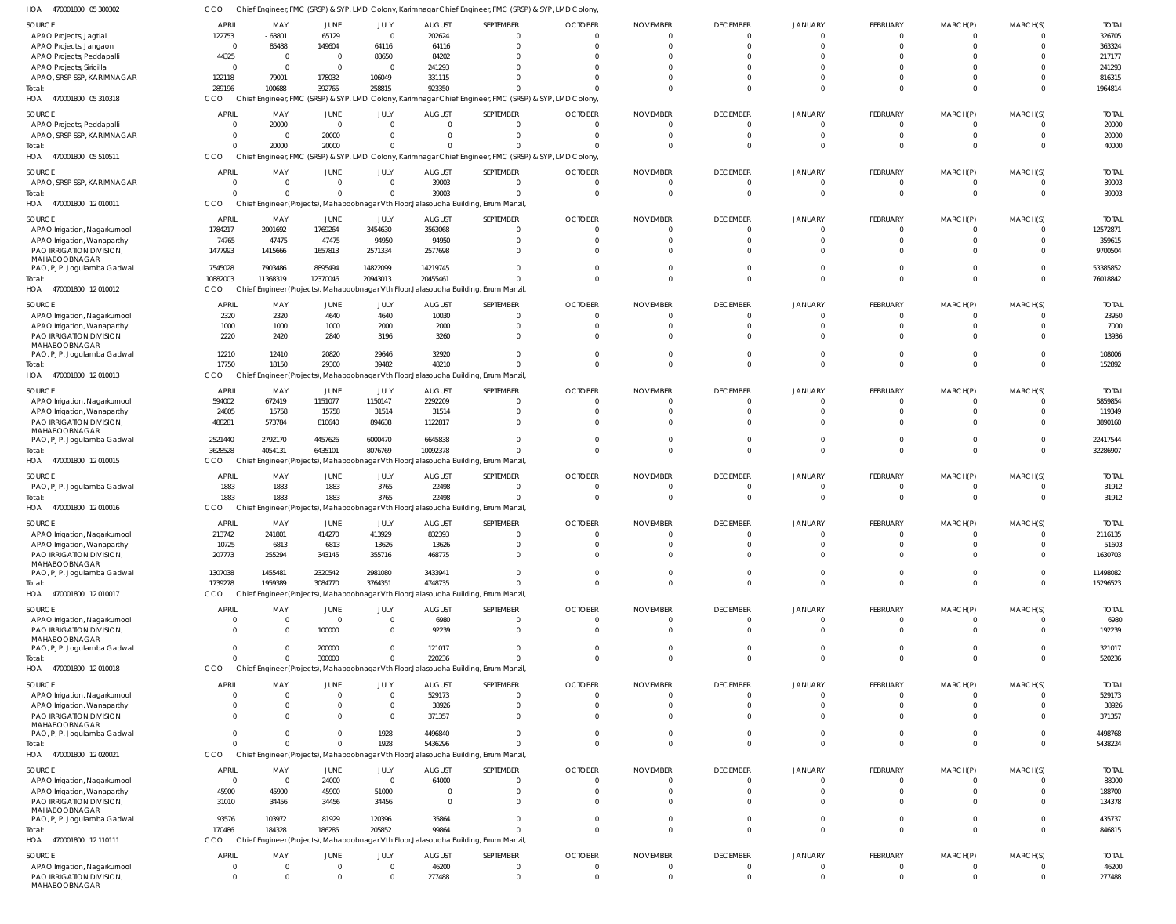| HOA<br>470001800 05 300302                                | ссо               |                   |                        |                          |                       | Chief Engineer, FMC (SRSP) & SYP, LMD Colony, Karimnagar Chief Engineer, FMC (SRSP) & SYP, LMD Colony, |                |                             |                                   |                      |                            |                             |                      |                      |
|-----------------------------------------------------------|-------------------|-------------------|------------------------|--------------------------|-----------------------|--------------------------------------------------------------------------------------------------------|----------------|-----------------------------|-----------------------------------|----------------------|----------------------------|-----------------------------|----------------------|----------------------|
| SOURCE                                                    | <b>APRIL</b>      | MAY               | <b>JUNE</b>            | JULY                     | <b>AUGUST</b>         | SEPTEMBER                                                                                              | <b>OCTOBER</b> | <b>NOVEMBER</b>             | <b>DECEMBER</b>                   | JANUARY              | FEBRUARY                   | MARCH(P)                    | MARCH(S)             | <b>TOTAI</b>         |
| APAO Projects, Jagtial                                    | 122753            | $-63801$          | 65129                  | $\overline{0}$           | 202624                | $\Omega$                                                                                               |                | $\Omega$                    | $\overline{0}$                    | $\Omega$             | $\mathbf 0$                | 0                           | $\Omega$             | 326705               |
| APAO Projects, Jangaon                                    | $\overline{0}$    | 85488             | 149604                 | 64116                    | 64116                 | $\Omega$                                                                                               |                | $\Omega$                    | $\overline{0}$                    | $\Omega$             | $\Omega$                   | $\Omega$                    | $\Omega$             | 363324               |
| APAO Projects, Peddapalli                                 | 44325             | $\overline{0}$    | $\overline{0}$         | 88650                    | 84202                 | $\Omega$                                                                                               |                |                             | $\Omega$                          | $\Omega$             | $\Omega$                   |                             |                      | 217177               |
| APAO Projects, Siricilla                                  | 0                 | $\Omega$          | $\Omega$               | $\overline{0}$           | 241293                | $\Omega$                                                                                               |                |                             | $\Omega$                          | $\Omega$             | $\Omega$                   |                             | $\Omega$             | 241293               |
| APAO, SRSP SSP, KARIMNAGAR<br>Total:                      | 122118<br>289196  | 79001<br>100688   | 178032<br>392765       | 106049<br>258815         | 331115<br>923350      | $\Omega$<br>$\Omega$                                                                                   |                |                             | $\Omega$<br>$\Omega$              | $\Omega$<br>$\Omega$ | $\Omega$<br>$\Omega$       | $\Omega$<br>$\Omega$        | $\Omega$<br>$\Omega$ | 816315<br>1964814    |
| 470001800 05 310318<br>HOA                                | CCO               |                   |                        |                          |                       | Chief Engineer, FMC (SRSP) & SYP, LMD Colony, Karimnagar Chief Engineer, FMC (SRSP) & SYP, LMD Colony, |                |                             |                                   |                      |                            |                             |                      |                      |
|                                                           |                   |                   |                        |                          |                       |                                                                                                        |                |                             |                                   |                      |                            |                             |                      |                      |
| SOURCE                                                    | <b>APRIL</b>      | MAY               | JUNE                   | JULY                     | <b>AUGUST</b>         | SEPTEMBER                                                                                              | <b>OCTOBER</b> | <b>NOVEMBER</b>             | <b>DECEMBER</b>                   | JANUARY              | FEBRUARY                   | MARCH(P)                    | MARCH(S)             | <b>TOTAI</b>         |
| APAO Projects, Peddapalli                                 | 0                 | 20000             | $\overline{0}$         | $\mathbf 0$              | $\Omega$              | $\overline{0}$                                                                                         |                | $\Omega$                    | $\overline{0}$                    | $\Omega$             | $\mathbf 0$                | $\mathbf{0}$                | $\Omega$             | 20000                |
| APAO, SRSP SSP, KARIMNAGAR                                | 0<br>$\Omega$     | $\Omega$<br>20000 | 20000<br>20000         | $\mathbf{0}$<br>$\Omega$ |                       | $\overline{0}$<br>$\Omega$                                                                             |                |                             | $\Omega$<br>$\Omega$              | $\Omega$<br>$\Omega$ | $\mathbf 0$<br>$\mathbf 0$ | $\mathbf{0}$<br>$\mathbf 0$ | $\Omega$<br>$\Omega$ | 20000                |
| Total:<br>HOA 470001800 05 510511                         | CCO               |                   |                        |                          |                       | Chief Engineer, FMC (SRSP) & SYP, LMD Colony, Karimnagar Chief Engineer, FMC (SRSP) & SYP, LMD Colony, |                |                             |                                   |                      |                            |                             |                      | 40000                |
|                                                           |                   |                   |                        |                          |                       |                                                                                                        |                |                             |                                   |                      |                            |                             |                      |                      |
| <b>SOURCE</b>                                             | <b>APRIL</b>      | MAY               | <b>JUNE</b>            | JULY                     | <b>AUGUST</b>         | SEPTEMBER                                                                                              | <b>OCTOBER</b> | <b>NOVEMBER</b>             | <b>DECEMBER</b>                   | JANUARY              | FEBRUARY                   | MARCH(P)                    | MARCH(S)             | <b>TOTAL</b>         |
| APAO, SRSP SSP, KARIMNAGAR                                | 0                 | - 0               | $\overline{0}$         | $\mathbf{0}$             | 39003                 | $\overline{0}$                                                                                         | - 0            | $\Omega$                    | $\overline{0}$                    | $\Omega$             | $\mathbf 0$                | 0                           | - 0                  | 39003                |
| Total:<br>470001800 12 010011<br>HOA                      | $\Omega$<br>CCO   |                   | $\Omega$               | $\Omega$                 | 39003                 | $\Omega$<br>Chief Engineer (Projects), Mahaboobnagar Vth Floor, Jalasoudha Building, Errum Manzil      | $\Omega$       | $\mathsf{C}$                | $\overline{0}$                    | $\Omega$             | $\mathbf 0$                | $\mathbf 0$                 | $\Omega$             | 39003                |
|                                                           |                   |                   |                        |                          |                       |                                                                                                        |                |                             |                                   |                      |                            |                             |                      |                      |
| SOURCE                                                    | <b>APRIL</b>      | MAY               | JUNE                   | JULY                     | <b>AUGUST</b>         | SEPTEMBER                                                                                              | <b>OCTOBER</b> | <b>NOVEMBER</b>             | <b>DECEMBER</b>                   | JANUARY              | <b>FEBRUARY</b>            | MARCH(P)                    | MARCH(S)             | <b>TOTAI</b>         |
| APAO Irrigation, Nagarkurnool                             | 1784217           | 2001692           | 1769264                | 3454630                  | 3563068               | $\overline{0}$                                                                                         |                | $\Omega$                    | $\overline{0}$                    | $\Omega$             | $\mathbf 0$                | $\mathbf{0}$                | $\Omega$             | 12572871             |
| APAO Irrigation, Wanaparthy                               | 74765             | 47475             | 47475                  | 94950                    | 94950                 | $\overline{0}$                                                                                         |                |                             | $\Omega$                          | $\Omega$             | $\mathbf 0$                | $\mathbf{0}$                | $\Omega$             | 359615               |
| PAO IRRIGATION DIVISION,<br>MAHABOOBNAGAR                 | 1477993           | 1415666           | 1657813                | 2571334                  | 2577698               | $\mathbf{0}$                                                                                           |                |                             | $\Omega$                          | $\Omega$             | $\Omega$                   | $\Omega$                    | $\Omega$             | 9700504              |
| PAO, PJP, Jogulamba Gadwal                                | 7545028           | 7903486           | 8895494                | 14822099                 | 14219745              | $\overline{0}$                                                                                         |                |                             | $\Omega$                          | $\Omega$             | $\mathbf 0$                | $\mathbf 0$                 | $\Omega$             | 53385852             |
| Total:                                                    | 10882003          | 11368319          | 12370046               | 20943013                 | 20455461              | $\Omega$                                                                                               |                |                             | $\Omega$                          | $\Omega$             | $\mathbf 0$                | $\mathbf 0$                 | $\Omega$             | 76018842             |
| HOA 470001800 12 010012                                   | CCO               |                   |                        |                          |                       | Chief Engineer (Projects), Mahaboobnagar Vth Floor, Jalasoudha Building, Errum Manzil                  |                |                             |                                   |                      |                            |                             |                      |                      |
| SOURCE                                                    | <b>APRIL</b>      | MAY               | JUNE                   | JULY                     | <b>AUGUST</b>         | SEPTEMBER                                                                                              | <b>OCTOBER</b> | <b>NOVEMBER</b>             | <b>DECEMBER</b>                   | JANUARY              | <b>FEBRUARY</b>            | MARCH(P)                    | MARCH(S)             | <b>TOTAI</b>         |
| APAO Irrigation, Nagarkurnool                             | 2320              | 2320              | 4640                   | 4640                     | 10030                 | $\overline{0}$                                                                                         |                | $\Omega$                    | $\overline{0}$                    | $\Omega$             | $\mathbf 0$                | 0                           | $\Omega$             | 23950                |
| APAO Irrigation, Wanaparthy                               | 1000              | 1000              | 1000                   | 2000                     | 2000                  | $\overline{0}$                                                                                         |                |                             | $\overline{0}$                    | $\Omega$             | $\Omega$                   | $\Omega$                    | $\Omega$             | 7000                 |
| PAO IRRIGATION DIVISION                                   | 2220              | 2420              | 2840                   | 3196                     | 3260                  | $\Omega$                                                                                               |                |                             | $\Omega$                          | $\Omega$             | $\Omega$                   | $\Omega$                    | $\Omega$             | 13936                |
| MAHABOOBNAGAR                                             |                   |                   |                        |                          |                       | $\Omega$                                                                                               |                |                             | $\Omega$                          | $\Omega$             | $\Omega$                   | $\Omega$                    | $\Omega$             |                      |
| PAO, PJP, Jogulamba Gadwal<br>Total:                      | 12210<br>17750    | 12410<br>18150    | 20820<br>29300         | 29646<br>39482           | 32920<br>48210        | $\Omega$                                                                                               |                |                             | $\Omega$                          | $\Omega$             | $\Omega$                   | $\Omega$                    | $\Omega$             | 108006<br>152892     |
| HOA 470001800 12 010013                                   | CCO               |                   |                        |                          |                       | Chief Engineer (Projects), Mahaboobnagar Vth Floor, Jalasoudha Building, Errum Manzil                  |                |                             |                                   |                      |                            |                             |                      |                      |
|                                                           |                   |                   |                        |                          |                       |                                                                                                        |                |                             |                                   |                      |                            |                             |                      |                      |
| SOURCE                                                    | <b>APRIL</b>      | MAY               | JUNE                   | JULY                     | <b>AUGUST</b>         | SEPTEMBER                                                                                              | <b>OCTOBER</b> | <b>NOVEMBER</b>             | <b>DECEMBER</b>                   | JANUARY              | <b>FEBRUARY</b>            | MARCH(P)                    | MARCH(S)             | <b>TOTAI</b>         |
| APAO Irrigation, Nagarkurnool                             | 594002            | 672419            | 1151077                | 1150147                  | 2292209               | $\overline{0}$<br>$\mathbf{0}$                                                                         |                |                             | $\overline{0}$<br>$\Omega$        | $\Omega$<br>$\Omega$ | $\mathbf 0$<br>$\mathbf 0$ | 0<br>$\Omega$               | $\Omega$             | 5859854              |
| APAO Irrigation, Wanaparthy<br>PAO IRRIGATION DIVISION,   | 24805<br>488281   | 15758<br>573784   | 15758<br>810640        | 31514<br>894638          | 31514<br>1122817      | $\Omega$                                                                                               |                |                             | $\Omega$                          | $\Omega$             | $\Omega$                   | $\Omega$                    | $\Omega$             | 119349<br>3890160    |
| MAHABOOBNAGAR                                             |                   |                   |                        |                          |                       |                                                                                                        |                |                             |                                   |                      |                            |                             |                      |                      |
| PAO, PJP, Jogulamba Gadwal                                | 2521440           | 2792170           | 4457626                | 6000470                  | 6645838               | $\Omega$                                                                                               |                |                             | $\Omega$                          | $\Omega$             | $\Omega$                   | $\Omega$                    | $\Omega$             | 22417544             |
| Total:                                                    | 3628528           | 4054131           | 6435101                | 8076769                  | 10092378              | $\Omega$                                                                                               |                |                             | $\Omega$                          | $\Omega$             | $\Omega$                   | $\mathbf 0$                 | $\Omega$             | 32286907             |
| 470001800 12 010015<br>HOA                                | CCO               |                   |                        |                          |                       | Chief Engineer (Projects), Mahaboobnagar Vth Floor, Jalasoudha Building, Errum Manzil                  |                |                             |                                   |                      |                            |                             |                      |                      |
| SOURCE                                                    | <b>APRIL</b>      | MAY               | JUNE                   | JULY                     | <b>AUGUST</b>         | SEPTEMBER                                                                                              | <b>OCTOBER</b> | <b>NOVEMBER</b>             | <b>DECEMBER</b>                   | JANUARY              | FEBRUARY                   | MARCH(P)                    | MARCH(S)             | <b>TOTAL</b>         |
| PAO, PJP, Jogulamba Gadwal                                | 1883              | 1883              | 1883                   | 3765                     | 22498                 | $\overline{0}$                                                                                         |                | -0                          | $\overline{0}$                    | $\Omega$             | 0                          | 0                           | $\Omega$             | 31912                |
| Total:                                                    | 1883              | 1883              | 1883                   | 3765                     | 22498                 | $\Omega$                                                                                               |                |                             | $\overline{0}$                    | $\Omega$             | $\mathbf 0$                | $\mathbf{0}$                | $\Omega$             | 31912                |
| HOA 470001800 12 010016                                   | CCO               |                   |                        |                          |                       | Chief Engineer (Projects), Mahaboobnagar Vth Floor, Jalasoudha Building, Errum Manzil                  |                |                             |                                   |                      |                            |                             |                      |                      |
| SOURCE                                                    | <b>APRIL</b>      | MAY               | JUNE                   | JULY                     | <b>AUGUST</b>         | SEPTEMBER                                                                                              | <b>OCTOBER</b> | <b>NOVEMBER</b>             | <b>DECEMBER</b>                   | <b>JANUARY</b>       | FEBRUARY                   | MARCH(P)                    | MARCH(S)             | <b>TOTAL</b>         |
| APAO Irrigation, Nagarkurnool                             | 213742            | 241801            | 414270                 | 413929                   | 832393                | 0                                                                                                      |                |                             |                                   |                      |                            |                             |                      | 2116135              |
| APAO Irrigation, Wanaparthy                               | 10725             | 6813              | 6813                   | 13626                    | 13626                 | $\mathbf 0$                                                                                            |                |                             | $\Omega$                          | $\Omega$             | $\Omega$                   | $\Omega$                    | $\cap$               | 51603                |
| PAO IRRIGATION DIVISION,                                  | 207773            | 255294            | 343145                 | 355716                   | 468775                | $\mathbf 0$                                                                                            | $\cap$         |                             | $\Omega$                          | $\Omega$             | $\mathbf 0$                | $\mathbf 0$                 | $\Omega$             | 1630703              |
| MAHABOOBNAGAR<br>PAO, PJP, Jogulamba Gadwal               | 1307038           | 1455481           | 2320542                | 2981080                  | 3433941               | $\Omega$                                                                                               | $\cap$         | $\Omega$                    | $\Omega$                          | $\Omega$             | $\mathbf 0$                | $\mathbf{0}$                | $\Omega$             | 11498082             |
| Total:                                                    | 1739278           | 1959389           | 3084770                | 3764351                  | 4748735               | $\Omega$                                                                                               |                |                             | $\Omega$                          | $\Omega$             | $\mathbf 0$                | $\mathbf 0$                 | $\Omega$             | 15296523             |
| 470001800 12 010017<br>HOA                                | CCO               |                   |                        |                          |                       | Chief Engineer (Projects), Mahaboobnagar Vth Floor, Jalasoudha Building, Errum Manzil,                 |                |                             |                                   |                      |                            |                             |                      |                      |
|                                                           |                   |                   |                        |                          |                       |                                                                                                        |                |                             |                                   |                      |                            |                             |                      |                      |
| SOURCE                                                    | <b>APRIL</b><br>0 | MAY<br>- 0        | JUNE<br>$\overline{0}$ | JULY<br>$\mathbf{0}$     | <b>AUGUST</b><br>6980 | SEPTEMBER<br>$\overline{0}$                                                                            | <b>OCTOBER</b> | <b>NOVEMBER</b><br>$\Omega$ | <b>DECEMBER</b><br>$\overline{0}$ | JANUARY<br>$\Omega$  | <b>FEBRUARY</b><br>0       | MARCH(P)<br>0               | MARCH(S)             | <b>TOTAL</b><br>6980 |
| APAO Irrigation, Nagarkurnool<br>PAO IRRIGATION DIVISION, | $\Omega$          | $\Omega$          | 100000                 | $\mathbf{0}$             | 92239                 | $\overline{0}$                                                                                         | $\Omega$       |                             | $\Omega$                          | $\Omega$             | $\Omega$                   | $\Omega$                    | $\Omega$             | 192239               |
| MAHABOOBNAGAR                                             |                   |                   |                        |                          |                       |                                                                                                        |                |                             |                                   |                      |                            |                             |                      |                      |
| PAO, PJP, Jogulamba Gadwal                                | $\mathbf{0}$      |                   | 200000                 | $\mathbf{0}$             | 121017                | $\overline{0}$                                                                                         | $\Omega$       | $\Omega$                    | $\overline{0}$                    | $\overline{0}$       | $\mathbf 0$                | $\mathbf{0}$                | $\Omega$             | 321017               |
| Total:                                                    | $\Omega$          | $\cap$            | 300000                 | $\mathbf 0$              | 220236                | $\Omega$                                                                                               | $\cap$         | $\Omega$                    | $\overline{0}$                    | $\Omega$             | $\mathbf 0$                | $\mathbf 0$                 | $\Omega$             | 520236               |
| HOA 470001800 12 010018                                   | CCO               |                   |                        |                          |                       | Chief Engineer (Projects), Mahaboobnagar Vth Floor, Jalasoudha Building, Errum Manzil                  |                |                             |                                   |                      |                            |                             |                      |                      |
| SOURCE                                                    | <b>APRIL</b>      | MAY               | <b>JUNE</b>            | JULY                     | <b>AUGUST</b>         | SEPTEMBER                                                                                              | <b>OCTOBER</b> | <b>NOVEMBER</b>             | <b>DECEMBER</b>                   | <b>JANUARY</b>       | FEBRUARY                   | MARCH(P)                    | MARCH(S)             | <b>TOTAL</b>         |
| APAO Irrigation, Nagarkurnool                             | 0                 | $\Omega$          | $\overline{0}$         | $\mathbf{0}$             | 529173                | $\overline{0}$                                                                                         |                |                             | $\overline{0}$                    | $\Omega$             | $\mathbf 0$                | 0                           | $\Omega$             | 529173               |
| APAO Irrigation, Wanaparthy                               | 0                 |                   | $\mathbf{0}$           | $\mathbf{0}$             | 38926                 | $\overline{0}$                                                                                         |                |                             | $\Omega$                          | $\Omega$             | $\mathbf 0$                | $\mathbf{0}$                | $\Omega$             | 38926                |
| PAO IRRIGATION DIVISION,                                  | $\Omega$          | $\Omega$          | $\Omega$               | $\mathbf 0$              | 371357                | $\overline{0}$                                                                                         |                |                             | $\Omega$                          | $\Omega$             | $\Omega$                   | $\Omega$                    | $\Omega$             | 371357               |
| MAHABOOBNAGAR<br>PAO, PJP, Jogulamba Gadwal               | $\mathbf{0}$      |                   | $\Omega$               | 1928                     | 4496840               | $\Omega$                                                                                               |                |                             | $\Omega$                          | $\Omega$             | $\mathbf 0$                | $\mathbf{0}$                | $\Omega$             | 4498768              |
| Total:                                                    | $\Omega$          |                   | $\Omega$               | 1928                     | 5436296               | $\Omega$                                                                                               |                |                             | $\overline{0}$                    | $\Omega$             | $\mathbf 0$                | $\mathbf 0$                 | $\Omega$             | 5438224              |
| 470001800 12 020021<br>HOA                                | CCO               |                   |                        |                          |                       | Chief Engineer (Projects), Mahaboobnagar Vth Floor, Jalasoudha Building, Errum Manzil                  |                |                             |                                   |                      |                            |                             |                      |                      |
| SOURCE                                                    | <b>APRIL</b>      | MAY               | JUNE                   | JULY                     | <b>AUGUST</b>         | SEPTEMBER                                                                                              | <b>OCTOBER</b> | <b>NOVEMBER</b>             | <b>DECEMBER</b>                   | JANUARY              | FEBRUARY                   | MARCH(P)                    | MARCH(S)             | <b>TOTAL</b>         |
| APAO Irrigation, Nagarkurnool                             | $\overline{0}$    | $\Omega$          | 24000                  | $\mathbf 0$              | 64000                 | $\Omega$                                                                                               | $\cap$         | -0                          | $\overline{0}$                    | $\Omega$             | $\Omega$                   | $\Omega$                    | $\Omega$             | 88000                |
| APAO Irrigation, Wanaparthy                               | 45900             | 45900             | 45900                  | 51000                    | - 0                   | $\overline{0}$                                                                                         |                | $\Omega$                    | $\overline{0}$                    | $\Omega$             | $\mathbf 0$                | 0                           | $\Omega$             | 188700               |
| PAO IRRIGATION DIVISION,                                  | 31010             | 34456             | 34456                  | 34456                    | $\Omega$              | $\Omega$                                                                                               | $\Omega$       |                             | $\Omega$                          | $\Omega$             | $\Omega$                   | $\Omega$                    | $\Omega$             | 134378               |
| MAHABOOBNAGAR                                             |                   |                   |                        |                          |                       |                                                                                                        |                |                             |                                   |                      |                            |                             |                      |                      |
| PAO, PJP, Jogulamba Gadwal                                | 93576             | 103972            | 81929                  | 120396                   | 35864                 | $\overline{0}$<br>$\Omega$                                                                             | $\cap$         | $\Omega$                    | $\overline{0}$<br>$\Omega$        | $\Omega$<br>$\Omega$ | $\mathbf 0$<br>$\Omega$    | $\mathbf 0$<br>$\Omega$     | $\Omega$<br>$\Omega$ | 435737               |
| Total:<br>HOA 470001800 12 110111                         | 170486<br>CCO     | 184328<br>Chief   | 186285                 | 205852                   | 99864                 | Engineer (Projects), Mahaboobnagar Vth Floor, Jalasoudha Building, Errum Manzil                        |                |                             |                                   |                      |                            |                             |                      | 846815               |
|                                                           |                   |                   |                        |                          |                       |                                                                                                        |                |                             |                                   |                      |                            |                             |                      |                      |
| SOURCE                                                    | <b>APRIL</b>      | MAY               | JUNE                   | JULY                     | <b>AUGUST</b>         | SEPTEMBER                                                                                              | <b>OCTOBER</b> | <b>NOVEMBER</b>             | <b>DECEMBER</b>                   | <b>JANUARY</b>       | FEBRUARY                   | MARCH(P)                    | MARCH(S)             | <b>TOTAL</b>         |
| APAO Irrigation, Nagarkurnool                             | 0                 | - 0               | $\overline{0}$         | $\mathbf{0}$             | 46200                 | $\overline{0}$                                                                                         | - 0            | $\Omega$                    | $\overline{0}$                    | $\overline{0}$       | $\mathbf 0$                | $\mathbf{0}$                | $\Omega$             | 46200                |
| PAO IRRIGATION DIVISION,<br>MAHABOOBNAGAR                 | $\mathbf 0$       | $\Omega$          | $\overline{0}$         | $\mathbf{0}$             | 277488                | $\mathbf 0$                                                                                            | $\Omega$       | $\Omega$                    | $\overline{0}$                    | $\overline{0}$       | $\mathbf 0$                | $\mathbf 0$                 | $\Omega$             | 277488               |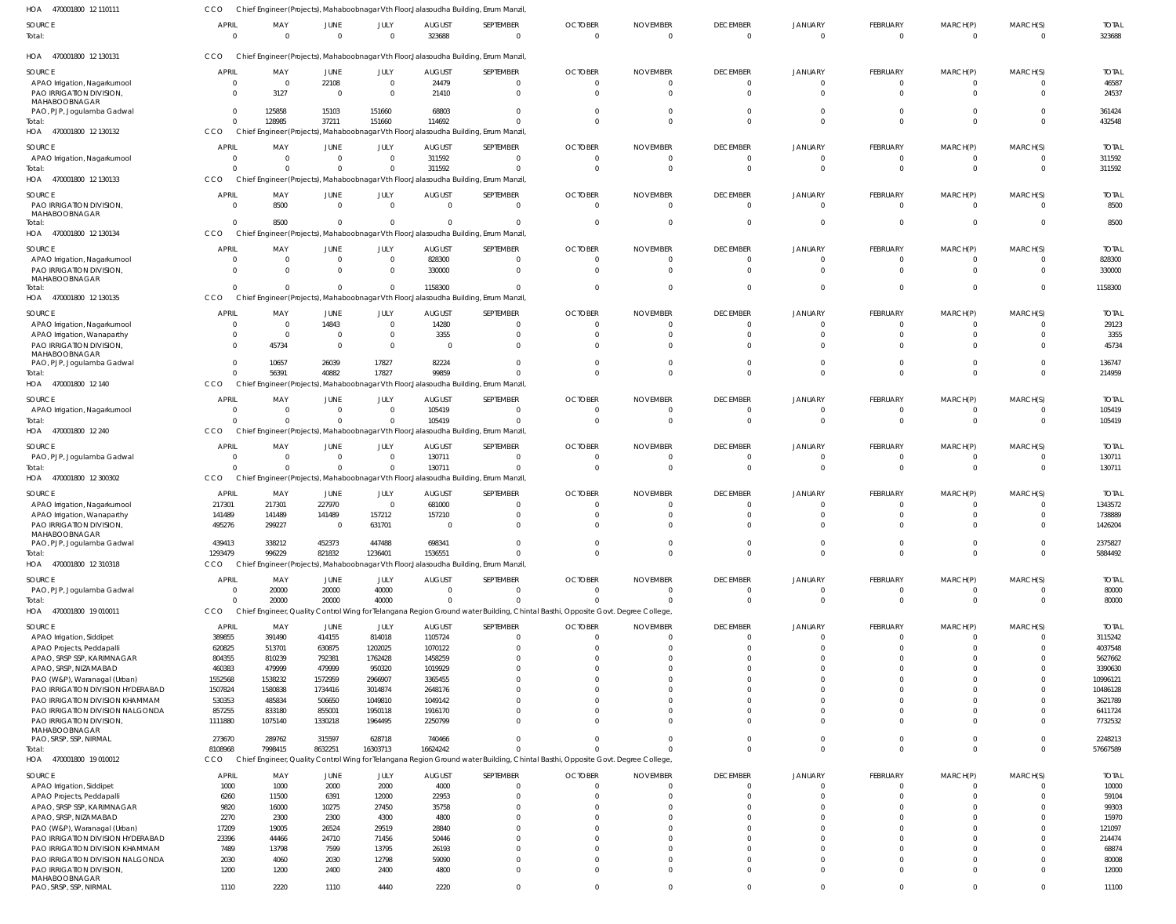| HOA<br>470001800 12 110111                              | CCO                        |                       |                        |                    |                         | Chief Engineer (Projects), Mahaboobnagar Vth Floor, Jalasoudha Building, Errum Manzil                                           |                                  |                                   |                                   |                            |                            |                            |                            |                        |
|---------------------------------------------------------|----------------------------|-----------------------|------------------------|--------------------|-------------------------|---------------------------------------------------------------------------------------------------------------------------------|----------------------------------|-----------------------------------|-----------------------------------|----------------------------|----------------------------|----------------------------|----------------------------|------------------------|
| <b>SOURCE</b><br>Total:                                 | APRIL<br>$\overline{0}$    | MAY<br>$\overline{0}$ | JUNE<br>$\overline{0}$ | JULY<br>$\Omega$   | <b>AUGUST</b><br>323688 | SEPTEMBER<br>$\overline{0}$                                                                                                     | <b>OCTOBER</b><br>$\overline{0}$ | <b>NOVEMBER</b><br>$\overline{0}$ | <b>DECEMBER</b><br>$\overline{0}$ | JANUARY<br>$\overline{0}$  | FEBRUARY<br>$\overline{0}$ | MARCH(P)<br>$\overline{0}$ | MARCH(S)<br>$\overline{0}$ | <b>TOTAL</b><br>323688 |
| HOA 470001800 12 130131                                 | CCO                        |                       |                        |                    |                         | Chief Engineer (Projects), Mahaboobnagar Vth Floor, Jalasoudha Building, Errum Manzil                                           |                                  |                                   |                                   |                            |                            |                            |                            |                        |
| SOURCE                                                  | <b>APRIL</b>               | MAY                   | JUNE                   | JULY               | <b>AUGUST</b>           | SEPTEMBER                                                                                                                       | <b>OCTOBER</b>                   | <b>NOVEMBER</b>                   | <b>DECEMBER</b>                   | <b>JANUARY</b>             | <b>FEBRUARY</b>            | MARCH(P)                   | MARCH(S)                   | <b>TOTAL</b>           |
| APAO Irrigation, Nagarkurnool                           | $\Omega$                   | $\overline{0}$        | 22108                  | $\overline{0}$     | 24479                   | $\Omega$                                                                                                                        | $\Omega$                         | $\Omega$                          | $\Omega$                          | $\Omega$                   | $\mathbf{0}$               | $\Omega$                   |                            | 46587                  |
| PAO IRRIGATION DIVISION,<br>MAHABOOBNAGAR               | $\Omega$                   | 3127                  | 0                      | $\Omega$           | 21410                   | $\Omega$                                                                                                                        | $\Omega$                         | $\Omega$                          | $\Omega$                          | $\Omega$                   | $\overline{0}$             | $\mathbf{0}$               | $\Omega$                   | 24537                  |
| PAO, PJP, Jogulamba Gadwal                              | $\overline{0}$             | 125858                | 15103                  | 151660             | 68803                   |                                                                                                                                 | $\Omega$                         | $\Omega$                          | $\Omega$                          |                            | $\Omega$                   | $\Omega$                   |                            | 361424                 |
| Total:                                                  | $\overline{0}$             | 128985                | 37211                  | 151660             | 114692                  |                                                                                                                                 | $\Omega$                         | $\Omega$                          | $\Omega$                          | $\Omega$                   | $\Omega$                   | $\Omega$                   | $\Omega$                   | 432548                 |
| HOA 470001800 12 130132                                 | CCO                        |                       |                        |                    |                         | Chief Engineer (Projects), Mahaboobnagar Vth Floor, Jalasoudha Building, Errum Manzil                                           |                                  |                                   |                                   |                            |                            |                            |                            |                        |
| SOURCE                                                  | <b>APRIL</b>               | MAY                   | JUNE                   | JULY               | <b>AUGUST</b>           | SEPTEMBER                                                                                                                       | <b>OCTOBER</b>                   | <b>NOVEMBER</b>                   | <b>DECEMBER</b>                   | <b>JANUARY</b>             | <b>FEBRUARY</b>            | MARCH(P)                   | MARCH(S)                   | <b>TOTAL</b>           |
| APAO Irrigation, Nagarkurnool                           | $\overline{0}$             | $\overline{0}$        | $\mathbf 0$            | $\Omega$           | 311592                  | $\Omega$                                                                                                                        | 0                                | 0                                 | 0                                 | 0                          | $\overline{0}$             | - 0                        |                            | 311592                 |
| Total:                                                  | $\Omega$                   | $\Omega$              | $\Omega$               | $\Omega$           | 311592                  | $\Omega$                                                                                                                        | $\Omega$                         | 0                                 | $\overline{0}$                    | $\Omega$                   | $\overline{0}$             | $\overline{0}$             | $\Omega$                   | 311592                 |
| HOA 470001800 12 130133                                 | <b>CCO</b>                 |                       |                        |                    |                         | Chief Engineer (Projects), Mahaboobnagar Vth Floor, Jalasoudha Building, Errum Manzil                                           |                                  |                                   |                                   |                            |                            |                            |                            |                        |
| SOURCE                                                  | <b>APRIL</b>               | MAY                   | JUNE                   | JULY               | <b>AUGUST</b>           | SEPTEMBER                                                                                                                       | <b>OCTOBER</b>                   | <b>NOVEMBER</b>                   | <b>DECEMBER</b>                   | <b>JANUARY</b>             | <b>FEBRUARY</b>            | MARCH(P)                   | MARCH(S)                   | <b>TOTAL</b>           |
| PAO IRRIGATION DIVISION,                                | $\overline{0}$             | 8500                  | $\overline{0}$         | $\overline{0}$     | $\overline{0}$          | $\overline{0}$                                                                                                                  | $\overline{0}$                   | $\Omega$                          | $\Omega$                          | $\Omega$                   | $\overline{0}$             | $\overline{0}$             | $\Omega$                   | 8500                   |
| MAHABOOBNAGAR                                           |                            |                       |                        |                    |                         |                                                                                                                                 |                                  |                                   |                                   |                            |                            |                            |                            |                        |
| Total:                                                  | $\Omega$                   | 8500                  | $\overline{0}$         | $\Omega$           | 0                       | $\Omega$                                                                                                                        | $\overline{0}$                   | 0                                 | $\mathbf{0}$                      | $\Omega$                   | $\overline{0}$             | $\overline{0}$             | $\mathbf 0$                | 8500                   |
| HOA 470001800 12 130134                                 | <b>CCO</b>                 |                       |                        |                    |                         | Chief Engineer (Projects), Mahaboobnagar Vth Floor, Jalasoudha Building, Errum Manzil                                           |                                  |                                   |                                   |                            |                            |                            |                            |                        |
| SOURCE                                                  | <b>APRIL</b>               | MAY                   | JUNE                   | JULY               | <b>AUGUST</b>           | SEPTEMBER                                                                                                                       | <b>OCTOBER</b>                   | <b>NOVEMBER</b>                   | <b>DECEMBER</b>                   | <b>JANUARY</b>             | <b>FEBRUARY</b>            | MARCH(P)                   | MARCH(S)                   | <b>TOTAL</b>           |
| APAO Irrigation, Nagarkurnool                           | $\overline{0}$             | $\overline{0}$        | $\overline{0}$         | $\Omega$           | 828300                  | $\Omega$                                                                                                                        | $\mathbf{0}$                     | 0                                 | $\Omega$                          | $\Omega$                   | $\overline{0}$             | - 0                        |                            | 828300                 |
| PAO IRRIGATION DIVISION,                                | $\Omega$                   | $\Omega$              | $\Omega$               | $\Omega$           | 330000                  | $\Omega$                                                                                                                        | $\Omega$                         | $\Omega$                          | $\Omega$                          | $\Omega$                   | $\Omega$                   | $\Omega$                   |                            | 330000                 |
| MAHABOOBNAGAR                                           | $\Omega$                   | $\overline{0}$        | $\overline{0}$         | $\Omega$           |                         | $\Omega$                                                                                                                        | $\Omega$                         |                                   | $\Omega$                          | $\Omega$                   | $\Omega$                   | $\Omega$                   | $\overline{0}$             | 1158300                |
| Total:<br>HOA 470001800 12 130135                       | CCO                        |                       |                        |                    | 1158300                 | Chief Engineer (Projects), Mahaboobnagar Vth Floor, Jalasoudha Building, Errum Manzil                                           |                                  | 0                                 |                                   |                            |                            |                            |                            |                        |
|                                                         |                            |                       |                        |                    |                         |                                                                                                                                 |                                  |                                   |                                   |                            |                            |                            |                            |                        |
| SOURCE                                                  | <b>APRIL</b>               | MAY                   | JUNE                   | JULY               | <b>AUGUST</b>           | SEPTEMBER                                                                                                                       | <b>OCTOBER</b>                   | <b>NOVEMBER</b>                   | <b>DECEMBER</b>                   | <b>JANUARY</b>             | <b>FEBRUARY</b>            | MARCH(P)                   | MARCH(S)                   | <b>TOTAL</b>           |
| APAO Irrigation, Nagarkurnool                           |                            | $\overline{0}$        | 14843                  | $\Omega$           | 14280                   | 0                                                                                                                               | 0                                | 0                                 | 0                                 |                            | $\overline{0}$             | - 0                        |                            | 29123                  |
| APAO Irrigation, Wanaparthy                             | $\Omega$                   | $\overline{0}$        | $\mathbf 0$            | $\Omega$           | 3355                    | $\Omega$                                                                                                                        | $\Omega$                         | $\Omega$                          | $\Omega$                          |                            | $\Omega$                   | $\Omega$                   |                            | 3355                   |
| PAO IRRIGATION DIVISION,<br>MAHABOOBNAGAR               | $\Omega$                   | 45734                 | 0                      | $\Omega$           | $\overline{\mathbf{0}}$ |                                                                                                                                 | $\Omega$                         | $\Omega$                          | $\Omega$                          |                            | $\Omega$                   | $\Omega$                   |                            | 45734                  |
| PAO, PJP, Jogulamba Gadwal                              | $\overline{0}$             | 10657                 | 26039                  | 17827              | 82224                   |                                                                                                                                 | $\Omega$                         | $\Omega$                          | $\Omega$                          | $\Omega$                   | $\Omega$                   | $\Omega$                   | $\Omega$                   | 136747                 |
| Total:                                                  | $\overline{0}$             | 56391                 | 40882                  | 17827              | 99859                   |                                                                                                                                 | $\Omega$                         | $\Omega$                          | $\Omega$                          | $\Omega$                   | $\Omega$                   | $\Omega$                   | $\Omega$                   | 214959                 |
| HOA 470001800 12 140                                    | CCO                        |                       |                        |                    |                         | Chief Engineer (Projects), Mahaboobnagar Vth Floor, Jalasoudha Building, Errum Manzil                                           |                                  |                                   |                                   |                            |                            |                            |                            |                        |
| SOURCE                                                  | <b>APRIL</b>               | MAY                   | JUNE                   | JULY               | <b>AUGUST</b>           | SEPTEMBER                                                                                                                       | <b>OCTOBER</b>                   | <b>NOVEMBER</b>                   | <b>DECEMBER</b>                   | <b>JANUARY</b>             | <b>FEBRUARY</b>            | MARCH(P)                   | MARCH(S)                   | <b>TOTAL</b>           |
| APAO Irrigation, Nagarkurnool                           | $\overline{0}$             | $\overline{0}$        | $^{\circ}$             | $\Omega$           | 105419                  | $\Omega$                                                                                                                        | 0                                | 0                                 | 0                                 | $\Omega$                   | $\overline{0}$             | - 0                        |                            | 105419                 |
| Total:                                                  | $\Omega$                   | $\Omega$              | $\Omega$               |                    | 105419                  |                                                                                                                                 | 0                                | 0                                 | $\overline{0}$                    |                            | $\overline{0}$             | $\overline{0}$             |                            | 105419                 |
| HOA 470001800 12 240                                    | <b>CCO</b>                 |                       |                        |                    |                         | Chief Engineer (Projects), Mahaboobnagar Vth Floor, Jalasoudha Building, Errum Manzil                                           |                                  |                                   |                                   |                            |                            |                            |                            |                        |
| SOURCE                                                  | <b>APRIL</b>               | MAY                   | JUNE                   | JULY               | <b>AUGUST</b>           | SEPTEMBER                                                                                                                       | <b>OCTOBER</b>                   | <b>NOVEMBER</b>                   | <b>DECEMBER</b>                   | <b>JANUARY</b>             | <b>FEBRUARY</b>            | MARCH(P)                   | MARCH(S)                   | <b>TOTAL</b>           |
| PAO, PJP, Jogulamba Gadwal                              | $\overline{0}$             | $\overline{0}$        | $\overline{0}$         | $\Omega$           | 130711                  | $\Omega$                                                                                                                        | $\overline{0}$                   | 0                                 | 0                                 | $\Omega$                   | $\overline{0}$             | - 0                        |                            | 130711                 |
| Total:                                                  | $\Omega$                   | $\overline{0}$        | $\mathbf{0}$           | $\Omega$           | 130711                  | $\overline{0}$                                                                                                                  | $\overline{0}$                   | $\overline{0}$                    | $\overline{0}$                    | $\Omega$                   | $\overline{0}$             | $\overline{0}$             | $\overline{0}$             | 130711                 |
| HOA 470001800 12 300302                                 | <b>CCO</b>                 |                       |                        |                    |                         | Chief Engineer (Projects), Mahaboobnagar Vth Floor, Jalasoudha Building, Errum Manzil                                           |                                  |                                   |                                   |                            |                            |                            |                            |                        |
| SOURCE                                                  | APRIL                      | MAY                   | JUNE                   | JULY               | <b>AUGUST</b>           | SEPTEMBER                                                                                                                       | <b>OCTOBER</b>                   | <b>NOVEMBER</b>                   | <b>DECEMBER</b>                   | <b>JANUARY</b>             | FEBRUARY                   | MARCH(P)                   | MARCH(S)                   | <b>TOTAL</b>           |
| APAO Irrigation, Nagarkurnool                           | 217301                     | 217301                | 227970                 | $\Omega$           | 681000                  |                                                                                                                                 | $\Omega$                         | 0                                 |                                   |                            | - 0                        | 0                          |                            | 1343572                |
| APAO Irrigation, Wanaparthy                             | 141489                     | 141489                | 141489                 | 157212             | 157210                  | $\Omega$                                                                                                                        | $\Omega$                         | $\Omega$                          | $\Omega$                          |                            | $\Omega$                   | $\Omega$                   |                            | 738889                 |
| PAO IRRIGATION DIVISION,                                | 495276                     | 299227                |                        | 631701             |                         |                                                                                                                                 |                                  |                                   |                                   |                            |                            |                            |                            | 1426204                |
| <b>MAHABOOBNAGAR</b>                                    |                            |                       |                        |                    |                         |                                                                                                                                 |                                  |                                   |                                   |                            |                            |                            |                            |                        |
| PAO, PJP, Jogulamba Gadwal                              | 439413                     | 338212                | 452373                 | 447488             | 698341                  | 0                                                                                                                               | $\mathbf{0}$                     | 0                                 | 0                                 | 0                          | $\overline{0}$             | $\overline{0}$             | $\Omega$                   | 2375827                |
| Total:<br>HOA 470001800 12 310318                       | 1293479<br>CCO             | 996229                | 821832                 | 1236401            | 1536551                 | $\Omega$<br>Chief Engineer (Projects), Mahaboobnagar Vth Floor, Jalasoudha Building, Errum Manzil,                              | $\Omega$                         | $\Omega$                          | $\Omega$                          | $\Omega$                   | $\overline{0}$             | $\Omega$                   | $\Omega$                   | 5884492                |
|                                                         |                            |                       |                        |                    |                         |                                                                                                                                 |                                  |                                   |                                   |                            |                            |                            |                            |                        |
| SOURCE                                                  | <b>APRIL</b>               | MAY                   | JUNE                   | JULY               | <b>AUGUST</b>           | SEPTEMBER                                                                                                                       | <b>OCTOBER</b>                   | <b>NOVEMBER</b>                   | <b>DECEMBER</b>                   | <b>JANUARY</b>             | <b>FEBRUARY</b>            | MARCH(P)                   | MARCH(S)                   | <b>TOTAL</b>           |
| PAO, PJP, Jogulamba Gadwal                              | $\overline{0}$<br>$\Omega$ | 20000                 | 20000                  | 40000              | $\overline{0}$          | $\Omega$<br>$\Omega$                                                                                                            | $\Omega$                         | $\Omega$                          | $\overline{0}$<br>$\Omega$        | $\Omega$<br>$\Omega$       | $\overline{0}$             | $\overline{0}$             | $\Omega$<br>$\Omega$       | 80000                  |
| Total:<br>HOA 470001800 19 010011                       | CCO                        | 20000                 | 20000                  | 40000              | $\Omega$                | Chief Engineer, Quality Control Wing for Telangana Region Ground water Building, Chintal Basthi, Opposite Govt. Degree College, | $\Omega$                         | $\Omega$                          |                                   |                            | $\overline{0}$             | $\overline{0}$             |                            | 80000                  |
|                                                         |                            |                       |                        |                    |                         |                                                                                                                                 |                                  |                                   |                                   |                            |                            |                            |                            |                        |
| <b>SOURCE</b>                                           | <b>APRIL</b>               | MAY                   | JUNE                   | JULY               | <b>AUGUST</b>           | SEPTEMBER                                                                                                                       | <b>OCTOBER</b>                   | <b>NOVEMBER</b>                   | <b>DECEMBER</b>                   | <b>JANUARY</b>             | <b>FEBRUARY</b>            | MARCH(P)                   | MARCH(S)                   | <b>TOTAL</b>           |
| APAO Irrigation, Siddipet                               | 389855                     | 391490                | 414155                 | 814018             | 1105724                 | $\Omega$                                                                                                                        | $\Omega$                         | $\Omega$                          | $\Omega$                          | $\Omega$                   | $\overline{0}$             | $\overline{0}$             | $\Omega$                   | 3115242                |
| APAO Projects, Peddapalli<br>APAO, SRSP SSP, KARIMNAGAR | 620825<br>804355           | 513701<br>810239      | 630875<br>792381       | 1202025<br>1762428 | 1070122<br>1458259      |                                                                                                                                 | $\Omega$<br>$\Omega$             | $\Omega$<br>$\mathcal{L}$         | $\Omega$                          | $\Omega$                   | $\Omega$<br>$\Omega$       | $\Omega$<br>$\Omega$       |                            | 4037548<br>5627662     |
| APAO, SRSP, NIZAMABAD                                   | 460383                     | 479999                | 479999                 | 950320             | 1019929                 |                                                                                                                                 | $\Omega$                         | $\Omega$                          |                                   | $\Omega$                   | $\Omega$                   |                            |                            | 3390630                |
| PAO (W&P), Waranagal (Urban)                            | 1552568                    | 1538232               | 1572959                | 2966907            | 3365455                 |                                                                                                                                 | $\Omega$                         | $\Omega$                          |                                   |                            | $\Omega$                   |                            |                            | 10996121               |
| PAO IRRIGATION DIVISION HYDERABAD                       | 1507824                    | 1580838               | 1734416                | 3014874            | 2648176                 |                                                                                                                                 | $\Omega$                         | $\Omega$                          |                                   |                            | $\Omega$                   |                            |                            | 10486128               |
| PAO IRRIGATION DIVISION KHAMMAM                         | 530353                     | 485834                | 506650                 | 1049810            | 1049142                 |                                                                                                                                 | $\Omega$                         | $\Omega$                          |                                   | $\Omega$                   | $\Omega$                   | $\Omega$                   |                            | 3621789                |
| PAO IRRIGATION DIVISION NALGONDA                        | 857255                     | 833180                | 855001                 | 1950118            | 1916170                 |                                                                                                                                 | $\Omega$                         | $\Omega$                          | $\Omega$                          | $\Omega$                   | $\Omega$                   | $\Omega$                   |                            | 6411724                |
| PAO IRRIGATION DIVISION,                                | 1111880                    | 1075140               | 1330218                | 1964495            | 2250799                 |                                                                                                                                 | $\Omega$                         | $\Omega$                          | $\Omega$                          | $\Omega$                   | $\Omega$                   | $\Omega$                   |                            | 7732532                |
| MAHABOOBNAGAR<br>PAO, SRSP, SSP, NIRMAL                 | 273670                     | 289762                | 315597                 | 628718             | 740466                  | $\Omega$                                                                                                                        | $\Omega$                         | $\Omega$                          | $\Omega$                          | $\Omega$                   | $\overline{0}$             | $\overline{0}$             | $\Omega$                   | 2248213                |
| Total:                                                  | 8108968                    | 7998415               | 8632251                | 16303713           | 16624242                | $\Omega$                                                                                                                        | $\Omega$                         | $\Omega$                          | $\Omega$                          | $\Omega$                   | $\Omega$                   | $\Omega$                   | $\Omega$                   | 57667589               |
| HOA 470001800 19 010012                                 | CCO                        |                       |                        |                    |                         | Chief Engineer, Quality Control Wing for Telangana Region Ground water Building, Chintal Basthi, Opposite Govt. Degree College  |                                  |                                   |                                   |                            |                            |                            |                            |                        |
|                                                         |                            |                       |                        |                    |                         |                                                                                                                                 |                                  |                                   |                                   |                            |                            |                            |                            |                        |
| SOURCE                                                  | <b>APRIL</b>               | MAY                   | JUNE<br>2000           | JULY               | <b>AUGUST</b>           | SEPTEMBER                                                                                                                       | <b>OCTOBER</b><br>$\overline{0}$ | <b>NOVEMBER</b><br>$\Omega$       | <b>DECEMBER</b><br>$\Omega$       | <b>JANUARY</b><br>$\Omega$ | FEBRUARY<br>$\overline{0}$ | MARCH(P)<br>$\Omega$       | MARCH(S)<br>$\Omega$       | <b>TOTAL</b><br>10000  |
| APAO Irrigation, Siddipet                               | 1000<br>6260               | 1000<br>11500         | 6391                   | 2000<br>12000      | 4000<br>22953           | $\Omega$                                                                                                                        | $\Omega$                         | $\Omega$                          | $\Omega$                          | $\Omega$                   | $\Omega$                   | $\Omega$                   | $\Omega$                   | 59104                  |
| APAO Projects, Peddapalli<br>APAO, SRSP SSP, KARIMNAGAR | 9820                       | 16000                 | 10275                  | 27450              | 35758                   |                                                                                                                                 | $\Omega$                         | $\mathcal{L}$                     | $\Omega$                          |                            | $\Omega$                   | $\Omega$                   |                            | 99303                  |
| APAO, SRSP, NIZAMABAD                                   | 2270                       | 2300                  | 2300                   | 4300               | 4800                    |                                                                                                                                 | $\Omega$                         | $\Omega$                          |                                   |                            | $\Omega$                   | $\Omega$                   |                            | 15970                  |
| PAO (W&P), Waranagal (Urban)                            | 17209                      | 19005                 | 26524                  | 29519              | 28840                   |                                                                                                                                 | $\Omega$                         | $\Omega$                          |                                   | $\Omega$                   | $\Omega$                   | $\Omega$                   |                            | 121097                 |
| PAO IRRIGATION DIVISION HYDERABAD                       | 23396                      | 44466                 | 24710                  | 71456              | 50446                   |                                                                                                                                 | $\Omega$                         | $\Omega$                          |                                   |                            | $\Omega$                   | $\Omega$                   |                            | 214474                 |
| PAO IRRIGATION DIVISION KHAMMAM                         | 7489                       | 13798                 | 7599                   | 13795              | 26193                   |                                                                                                                                 | $\Omega$                         | $\Omega$                          | $\Omega$                          | $\Omega$                   | $\Omega$                   | $\Omega$                   | $\Omega$                   | 68874                  |
| PAO IRRIGATION DIVISION NALGONDA                        | 2030                       | 4060                  | 2030                   | 12798              | 59090                   |                                                                                                                                 | $\Omega$                         | $\Omega$                          |                                   | $\Omega$                   | $\Omega$                   | $\Omega$                   |                            | 80008                  |
| PAO IRRIGATION DIVISION,                                | 1200                       | 1200                  | 2400                   | 2400               | 4800                    |                                                                                                                                 | $\Omega$                         | $\Omega$                          | $\Omega$                          | $\Omega$                   | $\Omega$                   | $\Omega$                   | $\Omega$                   | 12000                  |
| MAHABOOBNAGAR<br>PAO, SRSP, SSP, NIRMAL                 | 1110                       | 2220                  | 1110                   | 4440               | 2220                    | $\Omega$                                                                                                                        | $\Omega$                         | $\mathbf{0}$                      | $\Omega$                          | $\Omega$                   | $\overline{0}$             | $\overline{0}$             | $\overline{0}$             |                        |
|                                                         |                            |                       |                        |                    |                         |                                                                                                                                 |                                  |                                   |                                   |                            |                            |                            |                            | 11100                  |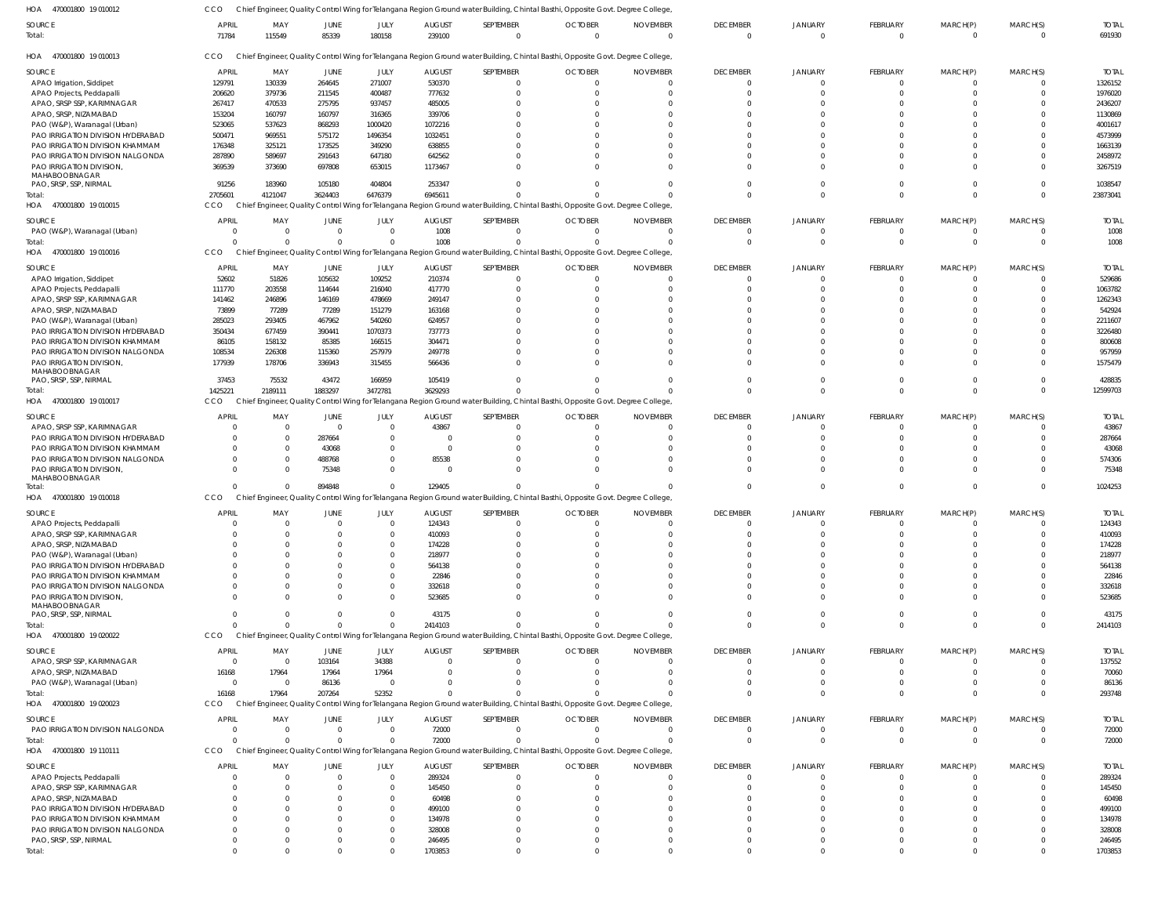| 470001800 19 010012<br>HOA                                        | CCO                      |                  |                  |                      |                        |                          | Chief Engineer, Quality Control Wing for Telangana Region Ground water Building, Chintal Basthi, Opposite Govt. Degree College |                 |                             |                            |                            |                      |                      |                       |
|-------------------------------------------------------------------|--------------------------|------------------|------------------|----------------------|------------------------|--------------------------|--------------------------------------------------------------------------------------------------------------------------------|-----------------|-----------------------------|----------------------------|----------------------------|----------------------|----------------------|-----------------------|
| SOURCE                                                            | <b>APRIL</b>             | MAY              | JUNE             | JULY                 | <b>AUGUST</b>          | SEPTEMBER                | <b>OCTOBER</b>                                                                                                                 | <b>NOVEMBER</b> | <b>DECEMBER</b>             | JANUARY                    | FEBRUARY                   | MARCH(P)             | MARCH(S)             | <b>TOTAL</b>          |
| Total:                                                            | 71784                    | 115549           | 85339            | 180158               | 239100                 | $\overline{0}$           | $\Omega$                                                                                                                       | $\Omega$        | $\overline{0}$              | $\Omega$                   | $\mathbf 0$                | $\overline{0}$       | $\Omega$             | 691930                |
| HOA 470001800 19 010013                                           | CCO                      |                  |                  |                      |                        |                          | Chief Engineer, Quality Control Wing for Telangana Region Ground water Building, Chintal Basthi, Opposite Govt. Degree College |                 |                             |                            |                            |                      |                      |                       |
| SOURCE                                                            | <b>APRIL</b>             | MAY              | JUNE             | JULY                 | <b>AUGUST</b>          | SEPTEMBER                | <b>OCTOBER</b>                                                                                                                 | <b>NOVEMBER</b> | <b>DECEMBER</b>             | <b>JANUARY</b>             | FEBRUARY                   | MARCH(P)             | MARCH(S)             | <b>TOTAL</b>          |
| APAO Irrigation, Siddipet                                         | 129791                   | 130339           | 264645           | 271007               | 530370                 | $\mathbf 0$              |                                                                                                                                |                 | $\Omega$                    | 0                          | $\Omega$                   | $\Omega$             | $\Omega$             | 1326152               |
| APAO Projects, Peddapalli                                         | 206620                   | 379736           | 211545           | 400487               | 777632                 | $\Omega$                 |                                                                                                                                |                 | $\Omega$                    |                            | $\Omega$                   | $\Omega$             | $\Omega$             | 1976020               |
| APAO, SRSP SSP, KARIMNAGAR<br>APAO, SRSP, NIZAMABAD               | 267417<br>153204         | 470533<br>160797 | 275795<br>160797 | 937457               | 485005<br>339706       | $\Omega$<br>$\Omega$     |                                                                                                                                |                 | $\Omega$                    |                            | $\Omega$<br>$\Omega$       | $\Omega$<br>$\Omega$ |                      | 2436207<br>1130869    |
| PAO (W&P), Waranagal (Urban)                                      | 523065                   | 537623           | 868293           | 316365<br>1000420    | 1072216                | $\Omega$                 |                                                                                                                                |                 | $\Omega$                    |                            | $\Omega$                   | $\Omega$             |                      | 4001617               |
| PAO IRRIGATION DIVISION HYDERABAD                                 | 500471                   | 969551           | 575172           | 1496354              | 1032451                | $\Omega$                 |                                                                                                                                |                 |                             |                            | $\Omega$                   | $\Omega$             |                      | 4573999               |
| PAO IRRIGATION DIVISION KHAMMAM                                   | 176348                   | 325121           | 173525           | 349290               | 638855                 | $\Omega$                 |                                                                                                                                |                 | $\Omega$                    |                            |                            | $\Omega$             |                      | 1663139               |
| PAO IRRIGATION DIVISION NALGONDA                                  | 287890                   | 589697           | 291643           | 647180               | 642562                 | $\Omega$                 |                                                                                                                                |                 | $\Omega$                    |                            | $\Omega$                   | $\Omega$             | $\Omega$             | 2458972               |
| PAO IRRIGATION DIVISION,                                          | 369539                   | 373690           | 697808           | 653015               | 1173467                | $\Omega$                 |                                                                                                                                |                 | $\Omega$                    | U                          | $\Omega$                   | $\Omega$             | $\Omega$             | 3267519               |
| MAHABOOBNAGAR                                                     | 91256                    | 183960           | 105180           | 404804               | 253347                 | $\Omega$                 |                                                                                                                                |                 | $\Omega$                    | 0                          | $\Omega$                   | $\Omega$             | $\Omega$             | 1038547               |
| PAO, SRSP, SSP, NIRMAL<br>Total:                                  | 2705601                  | 4121047          | 3624403          | 6476379              | 6945611                | $\Omega$                 |                                                                                                                                |                 | $\Omega$                    | $\Omega$                   | $\Omega$                   | $\Omega$             | $\Omega$             | 23873041              |
| HOA 470001800 19 010015                                           | CCO                      |                  |                  |                      |                        |                          | Chief Engineer, Quality Control Wing for Telangana Region Ground water Building, Chintal Basthi, Opposite Govt. Degree College |                 |                             |                            |                            |                      |                      |                       |
|                                                                   |                          |                  |                  |                      |                        |                          |                                                                                                                                |                 |                             |                            |                            |                      |                      |                       |
| SOURCE                                                            | <b>APRIL</b><br>$\Omega$ | MAY<br>$\Omega$  | JUNE<br>$\Omega$ | JULY<br>$\Omega$     | <b>AUGUST</b><br>1008  | SEPTEMBER<br>$\mathbf 0$ | <b>OCTOBER</b><br>$\Omega$                                                                                                     | <b>NOVEMBER</b> | <b>DECEMBER</b><br>$\Omega$ | <b>JANUARY</b><br>$\Omega$ | FEBRUARY<br>$\overline{0}$ | MARCH(P)<br>0        | MARCH(S)<br>$\Omega$ | <b>TOTAL</b><br>1008  |
| PAO (W&P), Waranagal (Urban)<br>Total:                            |                          |                  | $\Omega$         | $\Omega$             | 1008                   | $\mathbf 0$              |                                                                                                                                |                 | $\overline{0}$              | $\Omega$                   | $\overline{0}$             | $\mathbf{0}$         | $\overline{0}$       | 1008                  |
| HOA 470001800 19 010016                                           | CCO                      |                  |                  |                      |                        |                          | Chief Engineer, Quality Control Wing for Telangana Region Ground water Building, Chintal Basthi, Opposite Govt. Degree College |                 |                             |                            |                            |                      |                      |                       |
|                                                                   |                          |                  |                  |                      |                        |                          |                                                                                                                                |                 |                             |                            |                            |                      |                      |                       |
| SOURCE                                                            | <b>APRIL</b>             | MAY              | JUNE             | JULY                 | <b>AUGUST</b>          | SEPTEMBER                | <b>OCTOBER</b>                                                                                                                 | <b>NOVEMBER</b> | <b>DECEMBER</b>             | <b>JANUARY</b>             | FEBRUARY                   | MARCH(P)             | MARCH(S)             | <b>TOTAL</b>          |
| APAO Irrigation, Siddipet<br>APAO Projects, Peddapalli            | 52602<br>111770          | 51826<br>203558  | 105632<br>114644 | 109252<br>216040     | 210374<br>417770       | $\Omega$<br>$\Omega$     |                                                                                                                                |                 | $\Omega$<br>$\Omega$        | 0                          | $\Omega$<br>$\Omega$       | $\Omega$<br>$\Omega$ | $\Omega$<br>$\Omega$ | 529686<br>1063782     |
| APAO, SRSP SSP, KARIMNAGAR                                        | 141462                   | 246896           | 146169           | 478669               | 249147                 | $\Omega$                 |                                                                                                                                |                 | $\Omega$                    |                            | $\Omega$                   | $\Omega$             |                      | 1262343               |
| APAO, SRSP, NIZAMABAD                                             | 73899                    | 77289            | 77289            | 151279               | 163168                 | $\Omega$                 |                                                                                                                                |                 |                             |                            | $\Omega$                   | $\Omega$             |                      | 542924                |
| PAO (W&P), Waranagal (Urban)                                      | 285023                   | 293405           | 467962           | 540260               | 624957                 | $\Omega$                 |                                                                                                                                |                 | $\Omega$                    |                            | $\Omega$                   | $\Omega$             |                      | 2211607               |
| PAO IRRIGATION DIVISION HYDERABAD                                 | 350434                   | 677459           | 390441           | 1070373              | 737773                 | $\Omega$                 |                                                                                                                                |                 |                             |                            |                            | $\Omega$             |                      | 3226480               |
| PAO IRRIGATION DIVISION KHAMMAM                                   | 86105                    | 158132           | 85385            | 166515               | 304471                 | $\Omega$                 |                                                                                                                                |                 |                             |                            |                            | $\Omega$             |                      | 800608                |
| PAO IRRIGATION DIVISION NALGONDA                                  | 108534                   | 226308           | 115360           | 257979               | 249778                 | $\Omega$                 |                                                                                                                                |                 | $\Omega$                    |                            | $\Omega$                   | $\Omega$             | $\Omega$             | 957959                |
| PAO IRRIGATION DIVISION,                                          | 177939                   | 178706           | 336943           | 315455               | 566436                 | $\Omega$                 |                                                                                                                                |                 | $\Omega$                    |                            | $\Omega$                   | $\Omega$             | $\Omega$             | 1575479               |
| MAHABOOBNAGAR<br>PAO, SRSP, SSP, NIRMAL                           | 37453                    | 75532            | 43472            | 166959               | 105419                 | $\Omega$                 |                                                                                                                                |                 | $\Omega$                    | 0                          | $\Omega$                   | $\Omega$             | $\Omega$             | 428835                |
| Total:                                                            | 1425221                  | 2189111          | 1883297          | 3472781              | 3629293                | $\Omega$                 |                                                                                                                                |                 | $\Omega$                    | $\Omega$                   | $\Omega$                   | $\Omega$             | $\Omega$             | 12599703              |
| HOA 470001800 19 010017                                           | CCO                      |                  |                  |                      |                        |                          | Chief Engineer, Quality Control Wing for Telangana Region Ground water Building, Chintal Basthi, Opposite Govt. Degree College |                 |                             |                            |                            |                      |                      |                       |
|                                                                   |                          |                  |                  |                      |                        |                          |                                                                                                                                |                 |                             |                            |                            |                      |                      |                       |
| SOURCE<br>APAO, SRSP SSP, KARIMNAGAR                              | APRIL<br>- 0             | MAY              | JUNE<br>$\Omega$ | JULY<br>$\Omega$     | <b>AUGUST</b><br>43867 | SEPTEMBER<br>$\Omega$    | <b>OCTOBER</b>                                                                                                                 | <b>NOVEMBER</b> | <b>DECEMBER</b><br>$\Omega$ | <b>JANUARY</b><br>$\Omega$ | FEBRUARY<br>$\Omega$       | MARCH(P)<br>0        | MARCH(S)<br>$\Omega$ | <b>TOTAL</b><br>43867 |
| PAO IRRIGATION DIVISION HYDERABAD                                 | -0                       | $\Omega$         | 287664           | $\Omega$             | $\Omega$               | $\Omega$                 |                                                                                                                                |                 | $\Omega$                    | $\Omega$                   | $\Omega$                   | $\Omega$             | $\Omega$             | 287664                |
| PAO IRRIGATION DIVISION KHAMMAM                                   | -0                       | $\Omega$         | 43068            | $\Omega$             | $\Omega$               | $\Omega$                 |                                                                                                                                |                 | $\Omega$                    |                            | $\Omega$                   | $\Omega$             | $\Omega$             | 43068                 |
| PAO IRRIGATION DIVISION NALGONDA                                  | - 0                      |                  | 488768           | $\Omega$             | 85538                  | $\Omega$                 |                                                                                                                                |                 | $\Omega$                    | $\Omega$                   | $\Omega$                   | $\Omega$             | $\Omega$             | 574306                |
| PAO IRRIGATION DIVISION,                                          |                          |                  | 75348            | $\Omega$             | $\Omega$               | $\Omega$                 |                                                                                                                                |                 | $\Omega$                    |                            | $\Omega$                   | $\Omega$             | $\Omega$             | 75348                 |
| MAHABOOBNAGAR                                                     |                          |                  |                  |                      |                        |                          |                                                                                                                                |                 |                             |                            |                            |                      |                      |                       |
| Total:                                                            |                          |                  | 894848           | $\Omega$             | 129405                 | $\mathbf 0$              |                                                                                                                                |                 | $\Omega$                    | $\Omega$                   | $\Omega$                   | $\mathbf 0$          | $\Omega$             | 1024253               |
| HOA 470001800 19 010018                                           | <b>CCO</b>               |                  |                  |                      |                        |                          | Chief Engineer, Quality Control Wing for Telangana Region Ground water Building, Chintal Basthi, Opposite Govt. Degree College |                 |                             |                            |                            |                      |                      |                       |
| SOURCE                                                            | <b>APRIL</b>             | MAY              | JUNE             | JULY                 | <b>AUGUST</b>          | SEPTEMBER                | <b>OCTOBER</b>                                                                                                                 | <b>NOVEMBER</b> | <b>DECEMBER</b>             | JANUARY                    | FEBRUARY                   | MARCH(P)             | MARCH(S)             | <b>TOTAL</b>          |
| APAO Projects, Peddapalli                                         | $\Omega$                 |                  | $\Omega$         | $\Omega$             | 124343                 | $\Omega$                 | $\Omega$                                                                                                                       | $\Omega$        | $\Omega$                    | $\Omega$                   | $\Omega$                   | $\Omega$             | $\Omega$             | 124343                |
| APAO, SRSP SSP, KARIMNAGAR                                        |                          |                  |                  | 0                    | 410093                 | $\Omega$                 |                                                                                                                                |                 |                             |                            | - 0                        | -0                   |                      | 410093                |
| APAO, SRSP, NIZAMABAD                                             |                          |                  |                  | $\Omega$             | 174228                 | $\Omega$                 |                                                                                                                                |                 |                             |                            | $\Omega$                   | $\Omega$             |                      | 174228                |
| PAO (W&P), Waranagal (Urban)<br>PAO IRRIGATION DIVISION HYDERABAD |                          |                  |                  | $\Omega$<br>$\Omega$ | 218977<br>564138       | $\Omega$<br>$\Omega$     |                                                                                                                                |                 | $\Omega$<br>$\Omega$        |                            | $\Omega$                   | $\Omega$<br>$\Omega$ |                      | 218977<br>564138      |
| PAO IRRIGATION DIVISION KHAMMAM                                   |                          |                  |                  | $\Omega$             | 22846                  | $\Omega$                 |                                                                                                                                |                 |                             |                            |                            |                      |                      | 22846                 |
| PAO IRRIGATION DIVISION NALGONDA                                  |                          |                  |                  | $\Omega$             | 332618                 | $\Omega$                 |                                                                                                                                |                 | $\Omega$                    |                            | $\Omega$                   | $\Omega$             |                      | 332618                |
| PAO IRRIGATION DIVISION,                                          |                          |                  |                  | $\Omega$             | 523685                 | $\Omega$                 |                                                                                                                                |                 | $\Omega$                    |                            | $\Omega$                   | $\Omega$             |                      | 523685                |
| MAHABOOBNAGAR                                                     |                          |                  |                  |                      |                        |                          |                                                                                                                                |                 |                             |                            |                            |                      |                      |                       |
| PAO, SRSP, SSP, NIRMAL                                            | $\Omega$                 |                  | $\Omega$         | $\Omega$             | 43175                  | $\Omega$                 |                                                                                                                                |                 | $\Omega$                    | $\Omega$                   | $\Omega$                   | 0                    |                      | 43175                 |
| Total:                                                            | $\Omega$                 |                  | $\Omega$         | $\Omega$             | 2414103                | $\Omega$                 |                                                                                                                                |                 | $\Omega$                    | $\Omega$                   | $\Omega$                   | $\Omega$             | $\Omega$             | 2414103               |
| HOA 470001800 19 020022                                           | CCO                      |                  |                  |                      |                        |                          | Chief Engineer, Quality Control Wing for Telangana Region Ground water Building, Chintal Basthi, Opposite Govt. Degree College |                 |                             |                            |                            |                      |                      |                       |
| SOURCE                                                            | <b>APRIL</b>             | MAY              | JUNE             | JULY                 | <b>AUGUST</b>          | SEPTEMBER                | <b>OCTOBER</b>                                                                                                                 | <b>NOVEMBER</b> | <b>DECEMBER</b>             | JANUARY                    | FEBRUARY                   | MARCH(P)             | MARCH(S)             | <b>TOTAL</b>          |
| APAO, SRSP SSP, KARIMNAGAR                                        | - 0                      | $\Omega$         | 103164           | 34388                | $\overline{0}$         | $^{\circ}$               |                                                                                                                                |                 | $\mathbf{0}$                | $\Omega$                   | $\Omega$                   | 0                    | $\Omega$             | 137552                |
| APAO, SRSP, NIZAMABAD                                             | 16168                    | 17964            | 17964            | 17964                | $\Omega$               | $^{\circ}$               | $\Omega$                                                                                                                       |                 | $\Omega$                    | 0                          | $\Omega$                   | 0                    |                      | 70060                 |
| PAO (W&P), Waranagal (Urban)                                      | $\circ$                  | - 0              | 86136            | $\overline{0}$       | $\Omega$               | $\Omega$                 |                                                                                                                                |                 | $\Omega$                    | $\Omega$                   | $\mathbf 0$                | $^{\circ}$           | $\Omega$             | 86136                 |
| Total:<br>HOA 470001800 19 020023                                 | 16168<br><b>CCO</b>      | 17964            | 207264           | 52352                | <sup>0</sup>           | $\Omega$                 | Chief Engineer, Quality Control Wing for Telangana Region Ground water Building, Chintal Basthi, Opposite Govt. Degree College |                 | $\Omega$                    | $\Omega$                   | $\Omega$                   | $\Omega$             | $\Omega$             | 293748                |
|                                                                   |                          |                  |                  |                      |                        |                          |                                                                                                                                |                 |                             |                            |                            |                      |                      |                       |
| <b>SOURCE</b>                                                     | <b>APRIL</b>             | MAY              | JUNE             | JULY                 | <b>AUGUST</b>          | SEPTEMBER                | <b>OCTOBER</b>                                                                                                                 | <b>NOVEMBER</b> | <b>DECEMBER</b>             | JANUARY                    | FEBRUARY                   | MARCH(P)             | MARCH(S)             | <b>TOTAL</b>          |
| PAO IRRIGATION DIVISION NALGONDA                                  | $\Omega$                 | $\Omega$         | $\mathbf{0}$     | $\Omega$             | 72000                  | $\mathbf 0$              |                                                                                                                                |                 | $\mathbf{0}$                | 0                          | $\overline{0}$             | 0                    | $\Omega$             | 72000                 |
| Total:                                                            | $\Omega$                 |                  | $\Omega$         | $\Omega$             | 72000                  | $\Omega$                 |                                                                                                                                |                 | $\mathbf 0$                 | $\Omega$                   | $\Omega$                   | $\mathbf 0$          | $\Omega$             | 72000                 |
| HOA 470001800 19 110111                                           | CCO                      |                  |                  |                      |                        |                          | Chief Engineer, Quality Control Wing for Telangana Region Ground water Building, Chintal Basthi, Opposite Govt. Degree College |                 |                             |                            |                            |                      |                      |                       |
|                                                                   | <b>APRIL</b>             | MAY              | <b>JUNE</b>      | JULY                 | <b>AUGUST</b>          | SEPTEMBER                | <b>OCTOBER</b>                                                                                                                 | <b>NOVEMBER</b> | <b>DECEMBER</b>             | <b>JANUARY</b>             | FEBRUARY                   | MARCH(P)             | MARCH(S)             | <b>TOTAL</b>          |
| <b>SOURCE</b>                                                     |                          |                  |                  |                      |                        |                          |                                                                                                                                |                 | $\mathbf{0}$                | $\Omega$                   | $\mathbf{0}$               | 0                    |                      | 289324                |
| APAO Projects, Peddapalli                                         | $\Omega$                 | $\Omega$         | $\Omega$         | $\overline{0}$       | 289324                 | 0                        |                                                                                                                                |                 |                             |                            |                            |                      |                      |                       |
| APAO, SRSP SSP, KARIMNAGAR                                        | -0                       |                  |                  | $\overline{0}$       | 145450                 | $\Omega$                 |                                                                                                                                |                 | $\Omega$                    |                            | $\Omega$                   | $\Omega$             |                      | 145450                |
| APAO, SRSP, NIZAMABAD                                             |                          |                  |                  | $\overline{0}$       | 60498                  | $\Omega$                 |                                                                                                                                |                 |                             |                            | $\Omega$                   |                      |                      | 60498                 |
| PAO IRRIGATION DIVISION HYDERABAD                                 |                          |                  |                  | $\overline{0}$       | 499100                 | $\Omega$                 |                                                                                                                                |                 | $\Omega$                    |                            | $\Omega$                   |                      |                      | 499100                |
| PAO IRRIGATION DIVISION KHAMMAM                                   |                          |                  |                  | $\Omega$<br>$\Omega$ | 134978                 | $\Omega$<br>$\Omega$     |                                                                                                                                |                 | $\Omega$                    |                            | $\Omega$<br>$\Omega$       | $\Omega$             |                      | 134978                |
| PAO IRRIGATION DIVISION NALGONDA<br>PAO, SRSP, SSP, NIRMAL        | -0                       |                  |                  | $\Omega$             | 328008<br>246495       | $^{\circ}$               |                                                                                                                                |                 | $\Omega$                    | 0                          | $\overline{0}$             | 0                    |                      | 328008<br>246495      |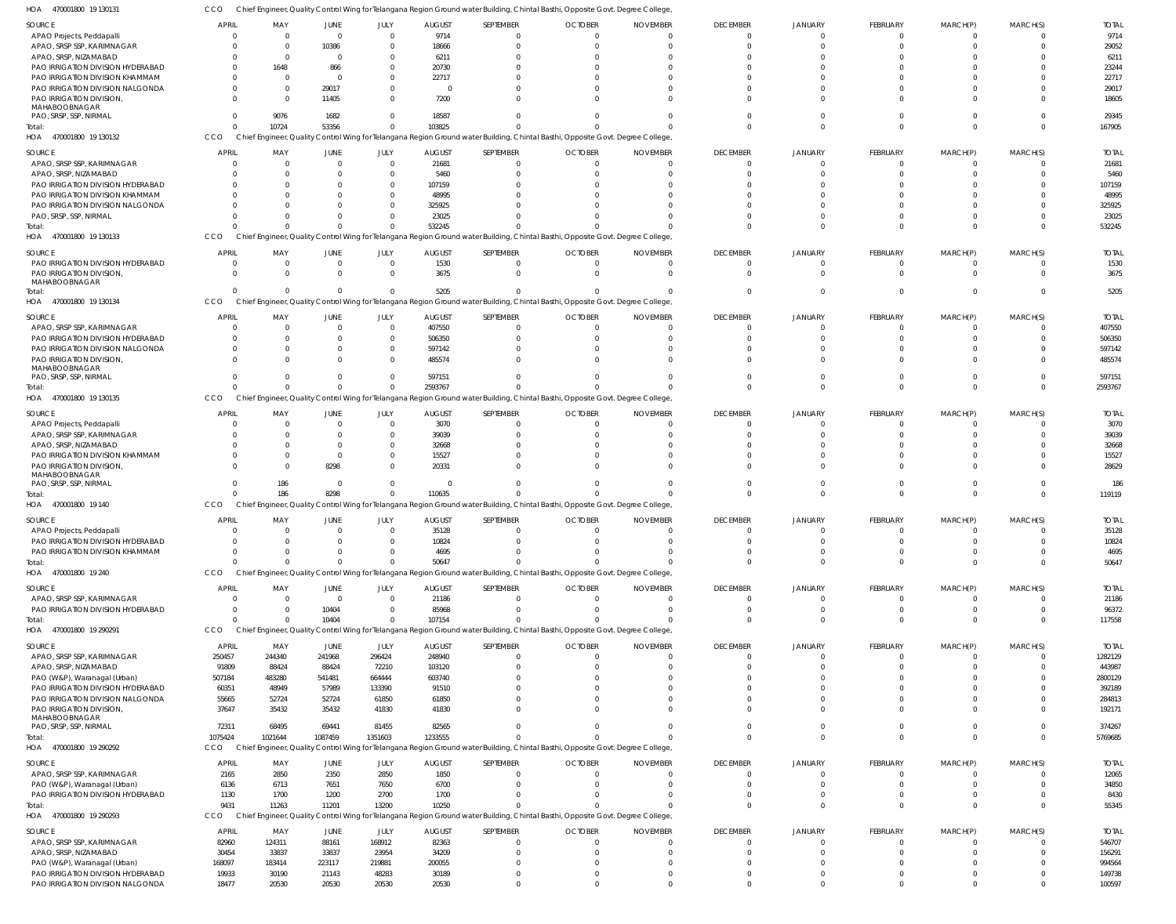CCO Chief Engineer, Quality Control Wing for Telangana Region Ground water Building, Chintal Basthi, Opposite Govt. Degree College,

| HOA<br>470001800 19 130131                                           |                      |                      |                      |                                  |                 |                      |                | Chief Engineer, Quality Control Wing for Telangana Region Ground water Building, Chintal Basthi, Opposite Govt. Degree College  |                 |                          |                      |                      |          |                 |
|----------------------------------------------------------------------|----------------------|----------------------|----------------------|----------------------------------|-----------------|----------------------|----------------|---------------------------------------------------------------------------------------------------------------------------------|-----------------|--------------------------|----------------------|----------------------|----------|-----------------|
| SOURCE                                                               | <b>APRIL</b>         | MAY                  | <b>JUNE</b>          | JULY                             | <b>AUGUST</b>   | SEPTEMBER            | <b>OCTOBER</b> | <b>NOVEMBER</b>                                                                                                                 | <b>DECEMBER</b> | <b>JANUARY</b>           | FEBRUARY             | MARCH(P)             | MARCH(S) | <b>TOTAL</b>    |
| APAO Projects, Peddapalli                                            | $\Omega$             |                      | $\Omega$             | $\Omega$                         | 9714            |                      |                | $\Omega$<br>$\Omega$                                                                                                            | - 0             | $\Omega$                 | $\Omega$             |                      |          | 9714            |
| APAO, SRSP SSP, KARIMNAGAR                                           | $\Omega$             | $\Omega$             | 10386                | $\Omega$                         | 18666           |                      |                | $\Omega$<br>$\Omega$                                                                                                            | $\Omega$        | $\Omega$                 | $\Omega$             |                      |          | 29052           |
| APAO, SRSP, NIZAMABAD                                                | $\Omega$             | $\Omega$             | $\Omega$             | $\Omega$                         | 6211            |                      |                | $\Omega$                                                                                                                        |                 |                          |                      |                      |          | 6211            |
| PAO IRRIGATION DIVISION HYDERABAD                                    | $\Omega$             | 1648                 | 866                  | $\Omega$                         | 20730           |                      |                | $\Omega$                                                                                                                        |                 |                          |                      |                      |          | 23244           |
| PAO IRRIGATION DIVISION KHAMMAM                                      | 0                    | - 0                  | $\Omega$             | $\Omega$                         | 22717           |                      |                | $\Omega$                                                                                                                        |                 |                          |                      |                      |          | 22717           |
| PAO IRRIGATION DIVISION NALGONDA                                     | $\Omega$             | $\Omega$             | 29017                | $\Omega$                         |                 |                      |                | $\Omega$                                                                                                                        |                 |                          |                      |                      |          | 29017           |
| PAO IRRIGATION DIVISION<br>MAHABOOBNAGAR                             | $\Omega$             | $\Omega$             | 11405                | $\Omega$                         | 7200            |                      |                | $\Omega$                                                                                                                        |                 | $\cap$                   | - 0                  |                      |          | 18605           |
| PAO, SRSP, SSP, NIRMAL                                               | $\Omega$             | 9076                 | 1682                 | $\Omega$                         | 18587           |                      |                |                                                                                                                                 |                 | $\cap$                   | $\cap$               |                      |          | 29345           |
| Total:                                                               | $\Omega$             | 10724                | 53356                | $\overline{0}$                   | 103825          |                      |                |                                                                                                                                 |                 | $\Omega$                 | $\Omega$             |                      | $\Omega$ | 167905          |
| HOA 470001800 19 130132                                              | CCO                  |                      |                      |                                  |                 |                      |                | Chief Engineer, Quality Control Wing for Telangana Region Ground water Building, Chintal Basthi, Opposite Govt. Degree College, |                 |                          |                      |                      |          |                 |
|                                                                      |                      |                      |                      |                                  |                 |                      |                |                                                                                                                                 |                 |                          |                      |                      |          |                 |
| SOURCE                                                               | <b>APRIL</b>         | MAY                  | <b>JUNE</b>          | JULY                             | <b>AUGUST</b>   | SEPTEMBER            | <b>OCTOBER</b> | <b>NOVEMBER</b>                                                                                                                 | <b>DECEMBER</b> | <b>JANUARY</b>           | <b>FEBRUARY</b>      | MARCH(P)             | MARCH(S) | <b>TOTAL</b>    |
| APAO, SRSP SSP, KARIMNAGAR                                           | $\Omega$             | $\Omega$             | $\Omega$             | $\overline{0}$                   | 21681           | $\Omega$             |                | 0<br>$\Omega$                                                                                                                   | -0              | $\Omega$                 | $\Omega$             |                      |          | 21681           |
| APAO, SRSP, NIZAMABAD                                                | $\Omega$             | $\Omega$             | $\Omega$<br>$\Omega$ | $\overline{0}$                   | 5460            |                      |                | $\Omega$                                                                                                                        |                 |                          | $\Omega$             |                      |          | 5460            |
| PAO IRRIGATION DIVISION HYDERABAD<br>PAO IRRIGATION DIVISION KHAMMAM | $\Omega$<br>$\Omega$ | $\Omega$             |                      | $\overline{0}$<br>$\Omega$       | 107159<br>48995 |                      |                | $\Omega$<br>$\Omega$                                                                                                            |                 |                          |                      |                      |          | 107159<br>48995 |
| PAO IRRIGATION DIVISION NALGONDA                                     | $\Omega$             |                      | $\cap$               | $\Omega$                         | 325925          |                      |                | $\Omega$                                                                                                                        |                 |                          |                      |                      |          | 325925          |
| PAO, SRSP, SSP, NIRMAL                                               | $\Omega$             |                      | $\cap$               | $\Omega$                         | 23025           |                      |                | $\Omega$                                                                                                                        |                 |                          | $\cap$               |                      |          | 23025           |
| Total:                                                               | $\Omega$             |                      | $\Omega$             | $\overline{0}$                   | 532245          |                      |                |                                                                                                                                 |                 | $\Omega$                 | $\Omega$             | $\cap$               |          | 532245          |
| 470001800 19 130133<br>HOA                                           | CCO                  |                      |                      |                                  |                 |                      |                | Chief Engineer, Quality Control Wing for Telangana Region Ground water Building, Chintal Basthi, Opposite Govt. Degree College  |                 |                          |                      |                      |          |                 |
|                                                                      |                      |                      |                      |                                  |                 |                      |                |                                                                                                                                 |                 |                          |                      |                      |          |                 |
| SOURCE                                                               | <b>APRIL</b>         | MAY                  | JUNE                 | JULY                             | <b>AUGUST</b>   | SEPTEMBER            | <b>OCTOBER</b> | <b>NOVEMBER</b>                                                                                                                 | <b>DECEMBER</b> | <b>JANUARY</b>           | FEBRUARY             | MARCH(P)             | MARCH(S) | <b>TOTAL</b>    |
| PAO IRRIGATION DIVISION HYDERABAD<br>PAO IRRIGATION DIVISION         | $\Omega$<br>$\Omega$ | - 0<br>$\Omega$      | $\Omega$<br>$\Omega$ | $\overline{0}$<br>$\overline{0}$ | 1530<br>3675    | $\Omega$<br>$\Omega$ |                | $\Omega$<br>$\Omega$<br>$\Omega$<br>$\Omega$                                                                                    | -0<br>$\Omega$  | $\Omega$<br>$\Omega$     | $\Omega$<br>$\Omega$ |                      |          | 1530<br>3675    |
| MAHABOOBNAGAR                                                        |                      |                      |                      |                                  |                 |                      |                |                                                                                                                                 |                 |                          |                      |                      |          |                 |
| Total:                                                               | $\Omega$             |                      | $\Omega$             | $\overline{0}$                   | 5205            |                      |                | $\Omega$                                                                                                                        | $\Omega$        | $\Omega$                 | $\Omega$             |                      | $\Omega$ | 5205            |
| 470001800 19 130134<br>HOA                                           | CCO                  |                      |                      |                                  |                 |                      |                | Chief Engineer, Quality Control Wing for Telangana Region Ground water Building, Chintal Basthi, Opposite Govt. Degree College, |                 |                          |                      |                      |          |                 |
| SOURCE                                                               | <b>APRIL</b>         | MAY                  | <b>JUNE</b>          | JULY                             | <b>AUGUST</b>   | SEPTEMBER            | <b>OCTOBER</b> | <b>NOVEMBER</b>                                                                                                                 | <b>DECEMBER</b> | <b>JANUARY</b>           | <b>FEBRUARY</b>      | MARCH(P)             | MARCH(S) | <b>TOTAL</b>    |
| APAO, SRSP SSP, KARIMNAGAR                                           | $\Omega$             | $\Omega$             | $\Omega$             | $\overline{0}$                   | 407550          | $\Omega$             |                | $\Omega$<br>$\Omega$                                                                                                            | - 0             | $\Omega$                 | $\Omega$             |                      |          | 407550          |
| PAO IRRIGATION DIVISION HYDERABAD                                    | $\mathbf{0}$         | $\Omega$             | $\Omega$             | $\overline{0}$                   | 506350          |                      |                | $\Omega$<br>$\Omega$                                                                                                            |                 | $\Omega$                 | $\Omega$             |                      |          | 506350          |
| PAO IRRIGATION DIVISION NALGONDA                                     | $\Omega$             | $\Omega$             | $\Omega$             | $\overline{0}$                   | 597142          |                      |                | $\Omega$                                                                                                                        |                 |                          | $\Omega$             |                      |          | 597142          |
| PAO IRRIGATION DIVISION                                              | $\Omega$             | $\cap$               | $\cap$               | $\overline{0}$                   | 485574          |                      |                | $\Omega$                                                                                                                        |                 | $\cap$                   | $\cap$               |                      |          | 485574          |
| MAHABOOBNAGAR                                                        |                      |                      |                      |                                  |                 |                      |                |                                                                                                                                 |                 |                          |                      |                      |          |                 |
| PAO, SRSP, SSP, NIRMAL                                               | $\Omega$             |                      | $\Omega$             | $\overline{0}$                   | 597151          |                      |                | $\Omega$                                                                                                                        |                 | $\Omega$                 | $\cap$               |                      |          | 597151          |
| Total:                                                               |                      |                      | $\Omega$             | $\overline{0}$                   | 2593767         |                      |                |                                                                                                                                 | $\Omega$        | $\Omega$                 | $\Omega$             | $\Omega$             | $\Omega$ | 2593767         |
| 470001800 19 130135<br>HOA                                           | CCO                  |                      |                      |                                  |                 |                      |                | Chief Engineer, Quality Control Wing for Telangana Region Ground water Building, Chintal Basthi, Opposite Govt. Degree College, |                 |                          |                      |                      |          |                 |
| SOURCE                                                               | <b>APRIL</b>         | MAY                  | JUNE                 | <b>JULY</b>                      | <b>AUGUST</b>   | SEPTEMBER            | <b>OCTOBER</b> | <b>NOVEMBER</b>                                                                                                                 | <b>DECEMBER</b> | <b>JANUARY</b>           | FEBRUARY             | MARCH(P)             | MARCH(S) | <b>TOTAL</b>    |
| APAO Projects, Peddapalli                                            | 0                    | $\Omega$             | $\Omega$             | $\overline{0}$                   | 3070            |                      |                | $\Omega$<br>$\Omega$                                                                                                            | - 0             | $\Omega$                 | - 0                  |                      |          | 3070            |
| APAO, SRSP SSP, KARIMNAGAR                                           | $\Omega$             |                      | $\Omega$             | $\overline{0}$                   | 39039           |                      |                | $\Omega$                                                                                                                        |                 |                          | $\Omega$             |                      |          | 39039           |
| APAO, SRSP, NIZAMABAD                                                | $\Omega$             |                      | $\Omega$             | $\Omega$                         | 32668           |                      |                | $\Omega$                                                                                                                        |                 |                          |                      |                      |          | 32668           |
| PAO IRRIGATION DIVISION KHAMMAM                                      | $\Omega$             | $\Omega$             | $\Omega$             | $\Omega$                         | 15527           |                      |                | $\Omega$                                                                                                                        |                 | $\Omega$                 | - 0                  |                      |          | 15527           |
| PAO IRRIGATION DIVISION                                              | $\Omega$             |                      | 8298                 | $\Omega$                         | 20331           |                      |                | $\Omega$                                                                                                                        |                 | $\cap$                   | $\cap$               |                      |          | 28629           |
| MAHABOOBNAGAR                                                        | $\Omega$             |                      | $\Omega$             | $\overline{0}$                   |                 |                      |                |                                                                                                                                 |                 | $\Omega$                 |                      |                      |          | 186             |
| PAO, SRSP, SSP, NIRMAL<br>Total:                                     |                      | 186<br>186           | 8298                 | $\overline{0}$                   | 110635          |                      |                |                                                                                                                                 | $\cap$          | $\Omega$                 | $\Omega$             | $\Omega$             | $\Omega$ | 119119          |
| HOA 470001800 19 140                                                 | CCO                  |                      |                      |                                  |                 |                      |                | Chief Engineer, Quality Control Wing for Telangana Region Ground water Building, Chintal Basthi, Opposite Govt. Degree College, |                 |                          |                      |                      |          |                 |
|                                                                      |                      |                      |                      |                                  |                 |                      |                |                                                                                                                                 |                 |                          |                      |                      |          |                 |
| SOURCE                                                               | <b>APRIL</b>         | MAY                  | <b>JUNE</b>          | JULY                             | <b>AUGUST</b>   | SEPTEMBER            | <b>OCTOBER</b> | <b>NOVEMBER</b>                                                                                                                 | <b>DECEMBER</b> | <b>JANUARY</b>           | FEBRUARY             | MARCH(P)             | MARCH(S) | <b>TOTAL</b>    |
| APAO Projects, Peddapalli                                            |                      |                      | $\bigcap$            | $\sqrt{ }$                       | 35128           |                      |                | $\cap$                                                                                                                          |                 |                          |                      |                      |          | 35128           |
| PAO IRRIGATION DIVISION HYDERABAD                                    | $\Omega$             |                      | $\Omega$             | $\Omega$                         | 10824           |                      |                |                                                                                                                                 |                 |                          | $\cap$               |                      |          | 10824           |
| PAO IRRIGATION DIVISION KHAMMAM                                      | $\mathbf 0$          | $\Omega$<br>$\Omega$ | $\Omega$<br>$\Omega$ | $\Omega$<br>$\Omega$             | 4695            |                      |                | $\Omega$<br>$\Omega$                                                                                                            |                 | 0                        | $\Omega$<br>$\Omega$ | $\Omega$<br>$\Omega$ |          | 4695            |
| Total:                                                               | $\Omega$             |                      |                      |                                  | 50647           |                      |                |                                                                                                                                 |                 | $\Omega$                 |                      |                      |          | 50647           |
| 470001800 19 240<br>HOA                                              | CCO                  |                      |                      |                                  |                 |                      |                | Chief Engineer, Quality Control Wing for Telangana Region Ground water Building, Chintal Basthi, Opposite Govt. Degree College, |                 |                          |                      |                      |          |                 |
| SOURCE                                                               | <b>APRIL</b>         | MAY                  | JUNE                 | JULY                             | <b>AUGUST</b>   | SEPTEMBER            | <b>OCTOBER</b> | <b>NOVEMBER</b>                                                                                                                 | <b>DECEMBER</b> | <b>JANUARY</b>           | FEBRUARY             | MARCH(P)             | MARCH(S) | <b>TOTAL</b>    |
| APAO, SRSP SSP, KARIMNAGAR                                           | $\mathbf{0}$         | $\Omega$             | $\overline{0}$       | $\overline{0}$                   | 21186           | $\Omega$             |                | $\Omega$<br>$\Omega$                                                                                                            | $\Omega$        | $\Omega$                 | $\Omega$             |                      |          | 21186           |
| PAO IRRIGATION DIVISION HYDERABAD                                    | $\Omega$             |                      | 10404                | $\overline{0}$                   | 85968           |                      |                | $\Omega$<br>$\Omega$                                                                                                            | $\Omega$        | $\Omega$                 | $\Omega$             | - 0                  |          | 96372           |
| Total:                                                               | $\Omega$             |                      | 10404                | $\Omega$                         | 107154          |                      |                | $\Omega$                                                                                                                        | $\Omega$        | $\Omega$                 | $\Omega$             | $\Omega$             |          | 117558          |
| HOA 470001800 19 290291                                              | CCO                  |                      |                      |                                  |                 |                      |                | Chief Engineer, Quality Control Wing for Telangana Region Ground water Building, Chintal Basthi, Opposite Govt. Degree College, |                 |                          |                      |                      |          |                 |
| SOURCE                                                               | APRIL                | MAY                  | <b>JUNE</b>          | JULY                             | <b>AUGUST</b>   | SEPTEMBER            | <b>OCTOBER</b> | <b>NOVEMBER</b>                                                                                                                 | <b>DECEMBER</b> | <b>JANUARY</b>           | FEBRUARY             | MARCH(P)             | MARCH(S) | <b>TOTAL</b>    |
| APAO, SRSP SSP, KARIMNAGAR                                           | 250457               | 244340               | 241968               | 296424                           | 248940          | $\Omega$             |                | $\mathbf 0$<br>$\Omega$                                                                                                         | $\Omega$        | $\mathbf{0}$             | $\Omega$             | $\Omega$             | $\Omega$ | 1282129         |
| APAO, SRSP, NIZAMABAD                                                | 91809                | 88424                | 88424                | 72210                            | 103120          | $\Omega$             |                | $\Omega$<br>$\Omega$                                                                                                            |                 | $\Omega$                 | $\Omega$             | $\Omega$             |          | 443987          |
| PAO (W&P), Waranagal (Urban)                                         | 507184               | 483280               | 541481               | 664444                           | 603740          |                      |                | $\Omega$<br>$\Omega$                                                                                                            |                 | 0                        | $\Omega$             |                      |          | 2800129         |
| PAO IRRIGATION DIVISION HYDERABAD                                    | 60351                | 48949                | 57989                | 133390                           | 91510           |                      |                | $\Omega$<br>$\Omega$                                                                                                            |                 | $\Omega$                 | $\Omega$             |                      |          | 392189          |
| PAO IRRIGATION DIVISION NALGONDA                                     | 55665                | 52724                | 52724                | 61850                            | 61850           |                      |                | $\Omega$<br>$\Omega$                                                                                                            |                 | $\Omega$                 | $\Omega$             |                      |          | 284813          |
| PAO IRRIGATION DIVISION                                              | 37647                | 35432                | 35432                | 41830                            | 41830           |                      |                | $\Omega$<br>n                                                                                                                   |                 | $\Omega$                 | $\Omega$             | $\cap$               |          | 192171          |
| MAHABOOBNAGAR<br>PAO, SRSP, SSP, NIRMAL                              | 72311                | 68495                | 69441                | 81455                            | 82565           |                      |                | $\Omega$<br>$\Omega$                                                                                                            |                 | $\Omega$                 | $\Omega$             | $\Omega$             |          | 374267          |
| Total:                                                               | 1075424              | 1021644              | 1087459              | 1351603                          | 1233555         |                      |                | $\cap$                                                                                                                          |                 | $\Omega$                 | $\Omega$             | $\Omega$             | $\Omega$ | 5769685         |
| 470001800 19 290292<br>HOA                                           | CCO                  |                      |                      |                                  |                 |                      |                | Chief Engineer, Quality Control Wing for Telangana Region Ground water Building, Chintal Basthi, Opposite Govt. Degree College, |                 |                          |                      |                      |          |                 |
|                                                                      |                      |                      |                      |                                  |                 |                      |                |                                                                                                                                 |                 |                          |                      |                      |          |                 |
| SOURCE                                                               | <b>APRIL</b>         | MAY                  | JUNE                 | JULY                             | <b>AUGUST</b>   | SEPTEMBER            | <b>OCTOBER</b> | <b>NOVEMBER</b><br>$\Omega$                                                                                                     | <b>DECEMBER</b> | <b>JANUARY</b>           | FEBRUARY             | MARCH(P)             | MARCH(S) | <b>TOTAL</b>    |
| APAO, SRSP SSP, KARIMNAGAR<br>PAO (W&P), Waranagal (Urban)           | 2165<br>6136         | 2850<br>6713         | 2350<br>7651         | 2850<br>7650                     | 1850<br>6700    | $\Omega$             |                | $\Omega$<br>$\Omega$<br>$\Omega$                                                                                                | -0              | $\Omega$<br>$\Omega$     | $\Omega$<br>$\Omega$ |                      |          | 12065<br>34850  |
| PAO IRRIGATION DIVISION HYDERABAD                                    | 1130                 | 1700                 | 1200                 | 2700                             | 1700            |                      |                | $\Omega$<br>$\Omega$                                                                                                            | -0              | $\Omega$                 | $\Omega$             |                      |          | 8430            |
| Total:                                                               | 9431                 | 11263                | 11201                | 13200                            | 10250           |                      |                | $\cap$                                                                                                                          | $\Omega$        | $\Omega$                 | $\Omega$             | $\Omega$             |          | 55345           |
| HOA 470001800 19 290293                                              | CCO                  |                      |                      |                                  |                 |                      |                | Chief Engineer, Quality Control Wing for Telangana Region Ground water Building, Chintal Basthi, Opposite Govt. Degree College, |                 |                          |                      |                      |          |                 |
|                                                                      |                      |                      |                      |                                  |                 |                      |                |                                                                                                                                 |                 |                          |                      |                      |          |                 |
| SOURCE                                                               | <b>APRIL</b>         | MAY                  | <b>JUNE</b>          | JULY                             | <b>AUGUST</b>   | SEPTEMBER            | <b>OCTOBER</b> | <b>NOVEMBER</b>                                                                                                                 | <b>DECEMBER</b> | <b>JANUARY</b>           | FEBRUARY             | MARCH(P)             | MARCH(S) | <b>TOTAL</b>    |
| APAO, SRSP SSP, KARIMNAGAR                                           | 82960                | 124311               | 88161                | 168912                           | 82363           | $\Omega$             |                | $\Omega$<br>0                                                                                                                   | -0              | 0                        | $\Omega$             |                      |          | 546707          |
| APAO, SRSP, NIZAMABAD                                                | 30454                | 33837                | 33837                | 23954                            | 34209           | $\Omega$             |                | $\Omega$<br>$\Omega$                                                                                                            |                 | $\Omega$                 | $\Omega$             |                      |          | 156291          |
| PAO (W&P), Waranagal (Urban)                                         | 168097               | 183414               | 223117               | 219881                           | 200055          |                      |                | $\Omega$<br>$\Omega$                                                                                                            |                 | 0                        | $\Omega$             |                      |          | 994564          |
| PAO IRRIGATION DIVISION HYDERABAD                                    | 19933                | 30190                | 21143                | 48283                            | 30189           | 0<br>$\Omega$        |                | $\mathbf 0$<br>$\mathbf 0$<br>$\Omega$<br>$\Omega$                                                                              |                 | $\mathbf{0}$<br>$\Omega$ | $\Omega$<br>$\Omega$ | $\Omega$             | $\Omega$ | 149738          |
| PAO IRRIGATION DIVISION NALGONDA                                     | 18477                | 20530                | 20530                | 20530                            | 20530           |                      |                |                                                                                                                                 |                 |                          |                      |                      |          | 100597          |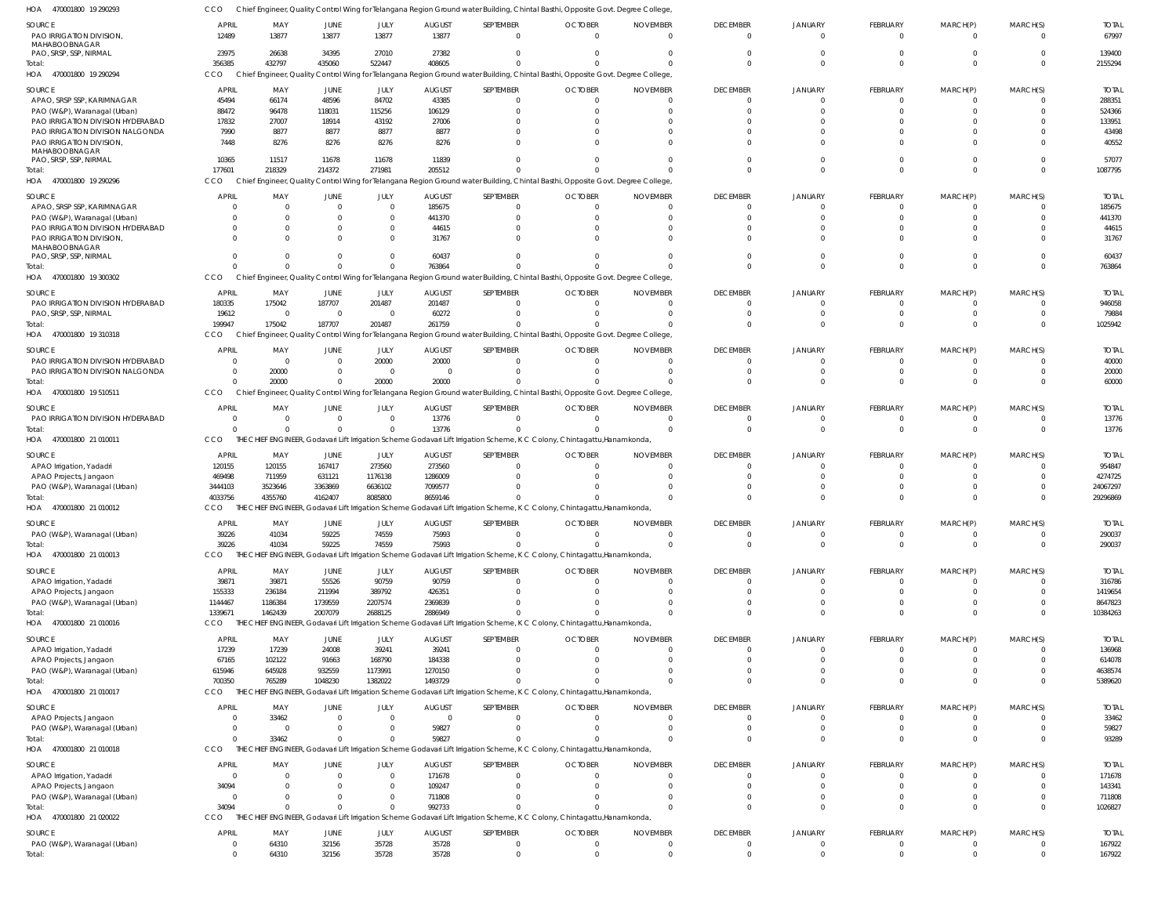| HOA<br>470001800 19 290293                                            |                          |                      |                      |                            |                        |                          | Chief Engineer, Quality Control Wing for Telangana Region Ground water Building, Chintal Basthi, Opposite Govt. Degree College  |                             |                                   |                                  |                               |                         |                      |                        |
|-----------------------------------------------------------------------|--------------------------|----------------------|----------------------|----------------------------|------------------------|--------------------------|---------------------------------------------------------------------------------------------------------------------------------|-----------------------------|-----------------------------------|----------------------------------|-------------------------------|-------------------------|----------------------|------------------------|
| <b>SOURCE</b>                                                         | <b>APRIL</b>             | MAY                  | <b>JUNE</b>          | JULY                       | <b>AUGUST</b>          | SEPTEMBER                | <b>OCTOBER</b>                                                                                                                  | <b>NOVEMBER</b>             | <b>DECEMBER</b>                   | <b>JANUARY</b>                   | <b>FEBRUARY</b>               | MARCH(P)                | MARCH(S)             | <b>TOTAI</b>           |
| PAO IRRIGATION DIVISION,                                              | 12489                    | 13877                | 13877                | 13877                      | 13877                  | $\mathbf 0$              | $\Omega$                                                                                                                        | $\cap$                      | $\Omega$                          | $\Omega$                         | $^{\circ}$                    | $\Omega$                | $\Omega$             | 67997                  |
| MAHABOOBNAGAR                                                         |                          |                      |                      |                            |                        |                          |                                                                                                                                 |                             |                                   |                                  |                               |                         |                      |                        |
| PAO, SRSP, SSP, NIRMAL                                                | 23975                    | 26638                | 34395                | 27010                      | 27382                  | $\mathbf 0$              |                                                                                                                                 |                             | $\Omega$                          | $\Omega$                         | $\Omega$                      | $\Omega$                | $\Omega$             | 139400                 |
| Total:<br>HOA 470001800 19 290294                                     | 356385<br>CCO            | 432797               | 435060               | 522447                     | 408605                 | $\Omega$                 |                                                                                                                                 |                             | $\Omega$                          | $\Omega$                         | $\Omega$                      | $\Omega$                | $\Omega$             | 2155294                |
|                                                                       |                          |                      |                      |                            |                        |                          | Chief Engineer, Quality Control Wing for Telangana Region Ground water Building, Chintal Basthi, Opposite Govt. Degree College  |                             |                                   |                                  |                               |                         |                      |                        |
| <b>SOURCE</b>                                                         | <b>APRIL</b>             | MAY                  | JUNE                 | JULY                       | <b>AUGUST</b>          | SEPTEMBER                | <b>OCTOBER</b>                                                                                                                  | <b>NOVEMBER</b>             | <b>DECEMBER</b>                   | <b>JANUARY</b>                   | <b>FEBRUARY</b>               | MARCH(P)                | MARCH(S)             | <b>TOTAI</b>           |
| APAO, SRSP SSP, KARIMNAGAR                                            | 45494                    | 66174                | 48596                | 84702                      | 43385                  | $\mathbf 0$              |                                                                                                                                 |                             | $\Omega$                          | $\Omega$                         | -0                            | 0                       |                      | 288351                 |
| PAO (W&P), Waranagal (Urban)                                          | 88472                    | 96478                | 118031               | 115256                     | 106129                 | $\mathbf 0$              |                                                                                                                                 |                             |                                   |                                  | $\Omega$                      |                         | $\Omega$             | 524366                 |
| PAO IRRIGATION DIVISION HYDERABAD<br>PAO IRRIGATION DIVISION NALGONDA | 17832<br>7990            | 27007<br>8877        | 18914<br>8877        | 43192<br>8877              | 27006<br>8877          | $\Omega$<br>$\Omega$     |                                                                                                                                 |                             |                                   |                                  | $\Omega$                      |                         | $\cap$               | 133951<br>43498        |
| PAO IRRIGATION DIVISION,                                              | 7448                     | 8276                 | 8276                 | 8276                       | 8276                   | $\Omega$                 |                                                                                                                                 |                             |                                   |                                  | $\Omega$                      |                         | $\cap$               | 40552                  |
| MAHABOOBNAGAR                                                         |                          |                      |                      |                            |                        |                          |                                                                                                                                 |                             |                                   |                                  |                               |                         |                      |                        |
| PAO, SRSP, SSP, NIRMAL                                                | 10365                    | 11517                | 11678                | 11678                      | 11839                  | $\Omega$                 |                                                                                                                                 |                             |                                   |                                  | $\Omega$                      |                         | $\Omega$             | 57077                  |
| Total:                                                                | 177601                   | 218329               | 214372               | 271981                     | 205512                 | $\Omega$                 |                                                                                                                                 |                             |                                   | $\Omega$                         | $\Omega$                      | $\Omega$                | $\Omega$             | 1087795                |
| 470001800 19 290296<br>HOA                                            | CCO                      |                      |                      |                            |                        |                          | Chief Engineer, Quality Control Wing for Telangana Region Ground water Building, Chintal Basthi, Opposite Govt. Degree College, |                             |                                   |                                  |                               |                         |                      |                        |
| <b>SOURCE</b>                                                         | <b>APRIL</b>             | MAY                  | JUNE                 | JULY                       | <b>AUGUST</b>          | SEPTEMBER                | <b>OCTOBER</b>                                                                                                                  | <b>NOVEMBER</b>             | <b>DECEMBER</b>                   | JANUARY                          | FEBRUARY                      | MARCH(P)                | MARCH(S)             | <b>TOTAI</b>           |
| APAO, SRSP SSP, KARIMNAGAR                                            |                          | $\Omega$             | $\Omega$             | $\overline{0}$             | 185675                 | $\mathbf 0$              |                                                                                                                                 | - 0                         | $\Omega$                          | $\Omega$                         | $\Omega$                      | 0                       | - 0                  | 185675                 |
| PAO (W&P), Waranagal (Urban)                                          |                          | $\Omega$             |                      | $\overline{0}$             | 441370                 | $^{\circ}$               |                                                                                                                                 |                             |                                   |                                  | $\Omega$                      |                         | $\Omega$             | 441370                 |
| PAO IRRIGATION DIVISION HYDERABAD                                     |                          | <sup>0</sup>         |                      | $\mathbf{0}$               | 44615                  | $\Omega$                 |                                                                                                                                 |                             |                                   |                                  | $\Omega$                      |                         |                      | 44615                  |
| PAO IRRIGATION DIVISION,<br>MAHABOOBNAGAR                             |                          |                      |                      | $\Omega$                   | 31767                  | $\Omega$                 |                                                                                                                                 |                             |                                   | $\cap$                           | $\Omega$                      |                         | $\cap$               | 31767                  |
| PAO, SRSP, SSP, NIRMAL                                                |                          |                      |                      | $\Omega$                   | 60437                  | $\Omega$                 |                                                                                                                                 |                             |                                   | $\Omega$                         | $\Omega$                      | $\Omega$                | $\Omega$             | 60437                  |
| Total:                                                                |                          |                      |                      | $\mathbf 0$                | 763864                 | $\Omega$                 |                                                                                                                                 |                             |                                   | $\Omega$                         | $\Omega$                      | $\Omega$                | $\Omega$             | 763864                 |
| HOA 470001800 19 300302                                               | CCO                      |                      |                      |                            |                        |                          | Chief Engineer, Quality Control Wing for Telangana Region Ground water Building, Chintal Basthi, Opposite Govt. Degree College  |                             |                                   |                                  |                               |                         |                      |                        |
| <b>SOURCE</b>                                                         | <b>APRIL</b>             | MAY                  | <b>JUNE</b>          | JULY                       | <b>AUGUST</b>          | SEPTEMBER                | <b>OCTOBER</b>                                                                                                                  | <b>NOVEMBER</b>             | <b>DECEMBER</b>                   | <b>JANUARY</b>                   | <b>FEBRUARY</b>               | MARCH(P)                | MARCH(S)             | <b>TOTAI</b>           |
| PAO IRRIGATION DIVISION HYDERABAD                                     | 180335                   | 175042               | 187707               | 201487                     | 201487                 | $\mathbf 0$              |                                                                                                                                 |                             | $\Omega$                          | $\Omega$                         | $^{\circ}$                    | 0                       |                      | 946058                 |
| PAO, SRSP, SSP, NIRMAL                                                | 19612                    | $\Omega$             | $\mathbf 0$          | $\overline{0}$             | 60272                  | $\mathbf 0$              |                                                                                                                                 |                             |                                   | $\Omega$                         | $\mathbf 0$                   | $\Omega$                | $\Omega$             | 79884                  |
| Total:                                                                | 199947                   | 175042               | 187707               | 201487                     | 261759                 | $\Omega$                 |                                                                                                                                 |                             |                                   | $\Omega$                         | $\Omega$                      | $\Omega$                | $\cap$               | 1025942                |
| 470001800 19 310318<br>HOA                                            | CCO                      |                      |                      |                            |                        |                          | Chief Engineer, Quality Control Wing for Telangana Region Ground water Building, Chintal Basthi, Opposite Govt. Degree College  |                             |                                   |                                  |                               |                         |                      |                        |
| SOURCE                                                                | <b>APRIL</b>             | MAY                  | JUNE                 | JULY                       | <b>AUGUST</b>          | SEPTEMBER                | <b>OCTOBER</b>                                                                                                                  | <b>NOVEMBER</b>             | <b>DECEMBER</b>                   | JANUARY                          | FEBRUARY                      | MARCH(P)                | MARCH(S)             | <b>TOTAI</b>           |
| PAO IRRIGATION DIVISION HYDERABAD                                     | - 0                      | $\Omega$             | $\Omega$             | 20000                      | 20000                  | $\overline{0}$           |                                                                                                                                 | $\Omega$                    |                                   | $\Omega$                         | $\Omega$                      | 0                       | $\Omega$             | 40000                  |
| PAO IRRIGATION DIVISION NALGONDA                                      |                          | 20000                | 0                    | $\overline{0}$             | $\Omega$               | $\mathbf 0$              |                                                                                                                                 |                             |                                   | $\Omega$                         | $^{\circ}$                    |                         | $\Omega$             | 20000                  |
| Total:                                                                |                          | 20000                | $\Omega$             | 20000                      | 20000                  | $\Omega$                 |                                                                                                                                 |                             |                                   | $\Omega$                         | $\Omega$                      | $\Omega$                | $\Omega$             | 60000                  |
| 470001800 19 510511<br>HOA                                            | CCO                      |                      |                      |                            |                        |                          | Chief Engineer, Quality Control Wing for Telangana Region Ground water Building, Chintal Basthi, Opposite Govt. Degree College, |                             |                                   |                                  |                               |                         |                      |                        |
| <b>SOURCE</b>                                                         | <b>APRIL</b>             | MAY                  | <b>JUNE</b>          | JULY                       | <b>AUGUST</b>          | SEPTEMBER                | <b>OCTOBER</b>                                                                                                                  | <b>NOVEMBER</b>             | <b>DECEMBER</b>                   | JANUARY                          | FEBRUARY                      | MARCH(P)                | MARCH(S)             | <b>TOTAL</b>           |
| PAO IRRIGATION DIVISION HYDERABAD                                     |                          | $\Omega$             | $\mathbf 0$          | $\overline{0}$             | 13776                  | $\mathbf{0}$             | $\cap$                                                                                                                          | $\Omega$                    | $\Omega$                          | $\Omega$                         | $\mathbf 0$                   | $\mathbf 0$             | $\Omega$             | 13776                  |
| Total:                                                                |                          |                      | $\Omega$             | $\Omega$                   | 13776                  | $\Omega$                 |                                                                                                                                 |                             | $\Omega$                          | $\Omega$                         | $\overline{0}$                | $\mathbf{0}$            | $\Omega$             | 13776                  |
| 470001800 21 010011<br>HOA                                            | CCO                      | THE                  |                      |                            |                        |                          | CHIEF ENGINEER, Godavari Lift Irrigation Scheme Godavari Lift Irrigation Scheme, K C Colony, Chintagattu, Hanamkonda,           |                             |                                   |                                  |                               |                         |                      |                        |
| SOURCE                                                                | <b>APRIL</b>             | MAY                  | <b>JUNE</b>          | JULY                       | <b>AUGUST</b>          | SEPTEMBER                | <b>OCTOBER</b>                                                                                                                  | <b>NOVEMBER</b>             | <b>DECEMBER</b>                   | <b>JANUARY</b>                   | FEBRUARY                      | MARCH(P)                | MARCH(S)             | <b>TOTAI</b>           |
| APAO Irrigation, Yadadri                                              | 120155                   | 120155               | 167417               | 273560                     | 273560                 | $^{\circ}$               |                                                                                                                                 |                             |                                   |                                  | 0                             |                         |                      | 954847                 |
| APAO Projects, Jangaon                                                | 469498                   | 711959               | 631121               | 1176138                    | 1286009                | $\mathbf 0$              |                                                                                                                                 |                             |                                   | $\Omega$                         | $\Omega$                      |                         | $\Omega$             | 4274725                |
| PAO (W&P), Waranagal (Urban)                                          | 3444103                  | 3523646              | 3363869              | 6636102                    | 7099577                | $\Omega$                 |                                                                                                                                 |                             |                                   | $\Omega$                         | $\Omega$                      |                         | $\Omega$             | 24067297               |
| Total:                                                                |                          |                      |                      | 8085800                    | 8659146                |                          |                                                                                                                                 |                             |                                   | $\Omega$                         | $\Omega$                      | $\Omega$                |                      | 29296869               |
| HOA 470001800 21 010012                                               | 4033756                  | 4355760              | 4162407              |                            |                        |                          |                                                                                                                                 |                             |                                   |                                  |                               |                         | $\Omega$             |                        |
|                                                                       | CCO.                     |                      |                      |                            |                        |                          | THE CHIEF ENGINEER, Godavari Lift Irrigation Scheme Godavari Lift Irrigation Scheme, K C Colony, Chintagattu, Hanamkonda        |                             |                                   |                                  |                               |                         |                      |                        |
| <b>SOURCE</b>                                                         | <b>APRIL</b>             | MAY                  | <b>JUNE</b>          | JULY                       | <b>AUGUST</b>          | SEPTEMBER                | <b>OCTOBER</b>                                                                                                                  | <b>NOVEMBER</b>             | <b>DECEMBER</b>                   | <b>JANUARY</b>                   | FEBRUARY                      | MARCH(P)                | MARCH(S)             | <b>TOTAL</b>           |
| PAO (W&P), Waranagal (Urban)                                          | 39226                    | 41034                | 59225                | 74559                      | 75993                  | $^{\circ}$               |                                                                                                                                 |                             |                                   | $\mathbf{0}$                     | $\Omega$                      |                         |                      | 290037                 |
| Total:                                                                | 39226                    | 41034                | 59225                | 74559                      | 75993                  | $\mathbf 0$              |                                                                                                                                 |                             | $\Omega$                          | $\Omega$                         | $\mathbf{0}$                  | $\mathbf 0$             | $\Omega$             | 290037                 |
| HOA 470001800 21 010013                                               | CCO                      |                      |                      |                            |                        |                          | THE CHIEF ENGINEER, Godavari Lift Irrigation Scheme Godavari Lift Irrigation Scheme, K C Colony, Chintagattu, Hanamkonda,       |                             |                                   |                                  |                               |                         |                      |                        |
| <b>SOURCE</b>                                                         | <b>APRIL</b>             | MAY                  | <b>JUNE</b>          | JULY                       | <b>AUGUST</b>          | SEPTEMBER                | <b>OCTOBER</b>                                                                                                                  | <b>NOVEMBER</b>             | <b>DECEMBER</b>                   | <b>JANUARY</b>                   | <b>FEBRUARY</b>               | MARCH(P)                | MARCH(S)             | <b>TOTAL</b>           |
| APAO Irrigation, Yadadri                                              | 39871                    | 39871                | 55526                | 90759                      | 90759                  | $\mathbf 0$              | $\Omega$                                                                                                                        | $\Omega$                    | $\Omega$                          | $\overline{0}$                   | $\mathbf 0$                   | $\mathbf 0$             |                      | 316786                 |
| APAO Projects, Jangaon                                                | 155333                   | 236184               | 211994               | 389792                     | 426351                 | $\mathbf 0$              | $\Omega$                                                                                                                        | $\Omega$                    | $\Omega$                          | $\Omega$                         | $\mathbf 0$                   | $\Omega$                | $\Omega$             | 1419654                |
| PAO (W&P), Waranagal (Urban)                                          | 1144467                  | 1186384              | 1739559              | 2207574                    | 2369839                | $\mathbf 0$              |                                                                                                                                 |                             |                                   | $\overline{0}$                   | $\mathbf 0$                   | 0                       | $\Omega$             | 8647823                |
| Total:                                                                | 1339671                  | 1462439              | 2007079              | 2688125                    | 2886949                | $\Omega$                 |                                                                                                                                 |                             |                                   | $\Omega$                         | $\Omega$                      | $\Omega$                | $\Omega$             | 10384263               |
| HOA 470001800 21 010016                                               | CCO                      |                      |                      |                            |                        |                          | THE CHIEF ENGINEER, Godavari Lift Irrigation Scheme Godavari Lift Irrigation Scheme, K C Colony, Chintagattu, Hanamkonda        |                             |                                   |                                  |                               |                         |                      |                        |
| <b>SOURCE</b>                                                         | <b>APRIL</b>             | MAY                  | <b>JUNE</b>          | JULY                       | <b>AUGUST</b>          | SEPTEMBER                | <b>OCTOBER</b>                                                                                                                  | <b>NOVEMBER</b>             | <b>DECEMBER</b>                   | <b>JANUARY</b>                   | <b>FEBRUARY</b>               | MARCH(P)                | MARCH(S)             | <b>TOTAL</b>           |
| APAO Irrigation, Yadadri                                              | 17239                    | 17239                | 24008                | 39241                      | 39241                  | $\mathbf{0}$             | $\Omega$                                                                                                                        | $\Omega$                    | $\overline{0}$                    | $\overline{0}$                   | $\mathbf 0$                   | $\mathbf 0$             | $\Omega$             | 136968                 |
| APAO Projects, Jangaon                                                | 67165                    | 102122               | 91663                | 168790                     | 184338                 | $\mathbf 0$              |                                                                                                                                 |                             | $\Omega$                          | $\Omega$                         | $\mathbf 0$                   | $\mathbf 0$             | $\Omega$             | 614078                 |
| PAO (W&P), Waranagal (Urban)                                          | 615946                   | 645928               | 932559               | 1173991                    | 1270150                | $\mathbf 0$              |                                                                                                                                 |                             | $\Omega$                          | $\overline{0}$                   | $\mathbf 0$                   | 0                       | $\Omega$             | 4638574                |
| Total:                                                                | 700350                   | 765289               | 1048230              | 1382022                    | 1493729                | $\Omega$                 |                                                                                                                                 |                             | $\Omega$                          | $\Omega$                         | $\Omega$                      | $\Omega$                | $\Omega$             | 5389620                |
| 470001800 21 010017<br>HOA                                            | CCO                      |                      |                      |                            |                        |                          | THE CHIEF ENGINEER, Godavari Lift Irrigation Scheme Godavari Lift Irrigation Scheme, K C Colony, Chintagattu, Hanamkonda,       |                             |                                   |                                  |                               |                         |                      |                        |
| <b>SOURCE</b>                                                         | <b>APRIL</b>             | MAY                  | JUNE                 | JULY                       | <b>AUGUST</b>          | SEPTEMBER                | <b>OCTOBER</b>                                                                                                                  | <b>NOVEMBER</b>             | <b>DECEMBER</b>                   | <b>JANUARY</b>                   | <b>FEBRUARY</b>               | MARCH(P)                | MARCH(S)             | <b>TOTAL</b>           |
| APAO Projects, Jangaon                                                | - 0                      | 33462                | $\Omega$             | $\overline{0}$             | $\mathbf{0}$           | $\overline{0}$           | $\Omega$                                                                                                                        | $\Omega$                    | $\Omega$                          | $\overline{0}$                   | $^{\circ}$                    | 0                       | $\Omega$             | 33462                  |
| PAO (W&P), Waranagal (Urban)                                          | $\Omega$                 | $\Omega$             | $\mathbf 0$          | $\mathbf 0$                | 59827                  | $\mathbf{0}$             | $\Omega$                                                                                                                        | $\Omega$                    | $\Omega$                          | $\overline{0}$                   | $\mathbf 0$                   | $\mathbf 0$             | $\Omega$             | 59827                  |
| Total:                                                                |                          | 33462                | $\Omega$             | $\Omega$                   | 59827                  | $\Omega$                 |                                                                                                                                 | $\cap$                      | $\Omega$                          | $\Omega$                         | $\overline{0}$                | $\Omega$                | $\Omega$             | 93289                  |
| HOA 470001800 21 010018                                               | CCO                      |                      |                      |                            |                        |                          | THE CHIEF ENGINEER, Godavari Lift Irrigation Scheme Godavari Lift Irrigation Scheme, K C Colony, Chintagattu, Hanamkonda        |                             |                                   |                                  |                               |                         |                      |                        |
| <b>SOURCE</b>                                                         | <b>APRIL</b>             | MAY                  | <b>JUNE</b>          | JULY                       | <b>AUGUST</b>          | SEPTEMBER                | <b>OCTOBER</b>                                                                                                                  | <b>NOVEMBER</b>             | <b>DECEMBER</b>                   | <b>JANUARY</b>                   | <b>FEBRUARY</b>               | MARCH(P)                | MARCH(S)             | <b>TOTAL</b>           |
| APAO Irrigation, Yadadri                                              | $\Omega$                 | $\Omega$             | $\mathbf 0$          | $\mathbf 0$                | 171678                 | $\mathbf{0}$             | $\Omega$                                                                                                                        | $\cap$                      | $\overline{0}$                    | $\overline{0}$                   | $\mathbf 0$                   | $\mathbf 0$             | $\Omega$             | 171678                 |
| APAO Projects, Jangaon                                                | 34094                    | $\Omega$             |                      | $\mathbf 0$                | 109247                 | $\mathbf 0$              |                                                                                                                                 |                             | $\Omega$                          | $\Omega$                         | $\mathbf 0$                   | $\mathbf 0$             | $\Omega$             | 143341                 |
| PAO (W&P), Waranagal (Urban)                                          | - 0                      | $\Omega$<br>$\Omega$ | 0<br>$\Omega$        | $\mathbf 0$<br>$\mathbf 0$ | 711808                 | $\mathbf 0$<br>$\Omega$  |                                                                                                                                 |                             | $\Omega$<br>$\Omega$              | $\overline{0}$<br>$\Omega$       | $\mathbf 0$<br>$\Omega$       | $\mathbf 0$<br>$\Omega$ | $\Omega$<br>$\Omega$ | 711808                 |
| Total:<br>470001800 21 020022<br>HOA                                  | 34094<br>CCO             |                      |                      |                            | 992733                 |                          | THE CHIEF ENGINEER, Godavari Lift Irrigation Scheme Godavari Lift Irrigation Scheme, K C Colony, Chintagattu, Hanamkonda,       |                             |                                   |                                  |                               |                         |                      | 1026827                |
|                                                                       |                          |                      |                      |                            |                        |                          |                                                                                                                                 |                             |                                   |                                  |                               |                         |                      |                        |
| <b>SOURCE</b><br>PAO (W&P), Waranagal (Urban)                         | <b>APRIL</b><br>$\Omega$ | MAY<br>64310         | <b>JUNE</b><br>32156 | JULY<br>35728              | <b>AUGUST</b><br>35728 | SEPTEMBER<br>$\mathbf 0$ | <b>OCTOBER</b><br>- 0                                                                                                           | <b>NOVEMBER</b><br>$\Omega$ | <b>DECEMBER</b><br>$\overline{0}$ | <b>JANUARY</b><br>$\overline{0}$ | <b>FEBRUARY</b><br>$^{\circ}$ | MARCH(P)<br>0           | MARCH(S)<br>$\Omega$ | <b>TOTAL</b><br>167922 |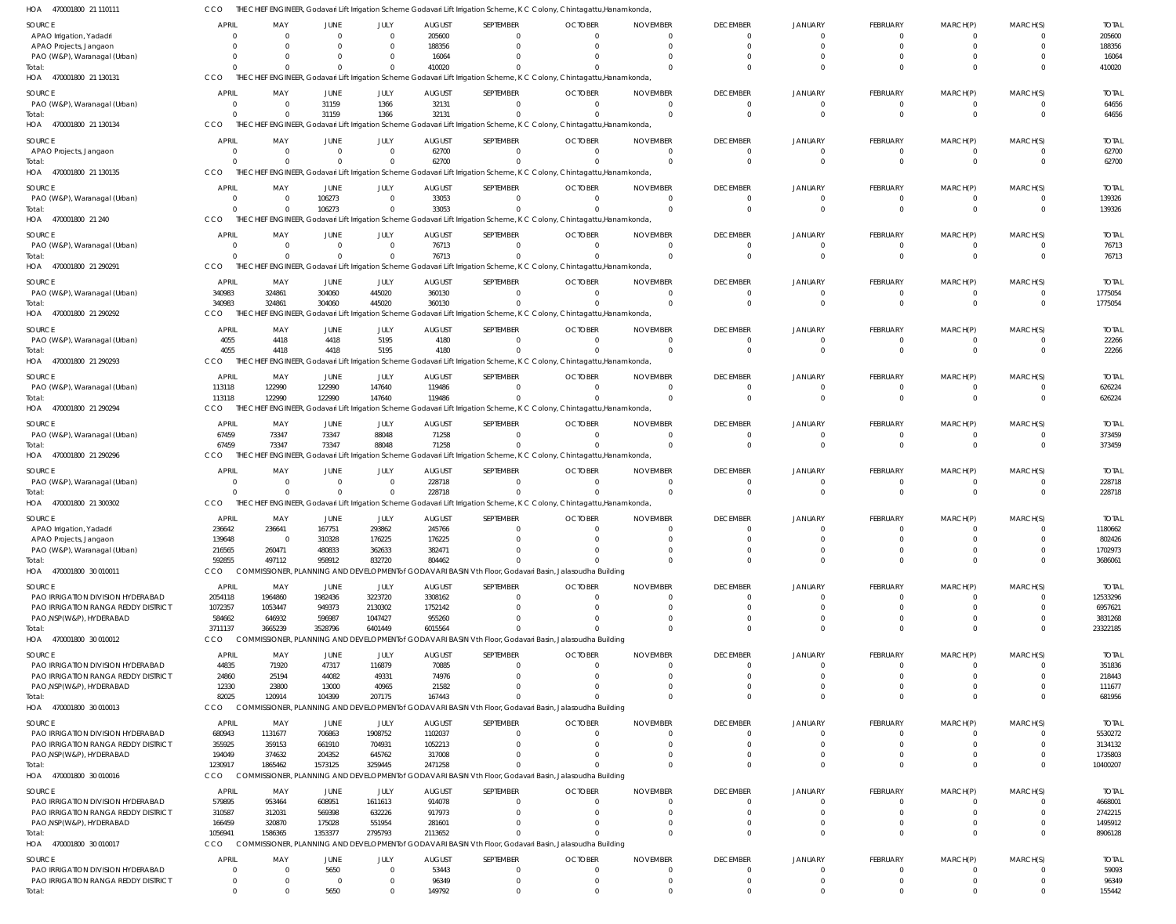THE CHIEF ENGINEER, Godavari Lift Irrigation Scheme Godavari Lift Irrigation Scheme, K C Colony, Chintagattu,Hanamkonda, CCO

| HOA<br>470001800 21 110111                                      | CCO                        |                            |                        |                      |                         |                       | THE CHIEF ENGINEER, Godavari Lift Irrigation Scheme Godavari Lift Irrigation Scheme, K C Colony, Chintagattu,Hanamkonda,  |                             |                                   |                      |                                   |                             |                      |                         |
|-----------------------------------------------------------------|----------------------------|----------------------------|------------------------|----------------------|-------------------------|-----------------------|---------------------------------------------------------------------------------------------------------------------------|-----------------------------|-----------------------------------|----------------------|-----------------------------------|-----------------------------|----------------------|-------------------------|
| SOURCE                                                          | <b>APRIL</b>               | MAY                        | JUNE                   | JULY                 | <b>AUGUST</b>           | SEPTEMBER             | <b>OCTOBER</b>                                                                                                            | <b>NOVEMBER</b>             | <b>DECEMBER</b>                   | <b>JANUARY</b>       | <b>FEBRUARY</b>                   | MARCH(P)                    | MARCH(S)             | <b>TOTAL</b>            |
| APAO Irrigation, Yadadri                                        |                            | $\overline{0}$             | $\mathbf 0$            | $\Omega$             | 205600                  | - 0                   |                                                                                                                           | $\Omega$                    | $\mathbf{0}$                      | $\Omega$             | $\overline{0}$                    | $\Omega$                    |                      | 205600                  |
| APAO Projects, Jangaon                                          |                            | $\Omega$                   | $\Omega$               | $\Omega$             | 188356                  | $\Omega$              |                                                                                                                           | $\Omega$                    | $\mathbf{0}$                      | $\Omega$             | $\overline{0}$                    | $\Omega$                    | $\Omega$             | 188356                  |
| PAO (W&P), Waranagal (Urban)                                    |                            | $\Omega$                   | $^{\circ}$             | $\Omega$             | 16064                   |                       |                                                                                                                           |                             | $\Omega$                          |                      | $\Omega$                          |                             |                      | 16064                   |
| Total:                                                          |                            | $\Omega$                   | $\Omega$               | $\Omega$             | 410020                  |                       |                                                                                                                           |                             | $\Omega$                          |                      | $\Omega$                          | $\Omega$                    | $\Omega$             | 410020                  |
| 470001800 21 130131<br>HOA                                      | CCO                        |                            |                        |                      |                         |                       | THE CHIEF ENGINEER, Godavari Lift Irrigation Scheme Godavari Lift Irrigation Scheme, K C Colony, Chintagattu, Hanamkonda, |                             |                                   |                      |                                   |                             |                      |                         |
| SOURCE                                                          | <b>APRIL</b>               | MAY                        | JUNE                   | JULY                 | <b>AUGUST</b>           | SEPTEMBER             | <b>OCTOBER</b>                                                                                                            | <b>NOVEMBER</b>             | <b>DECEMBER</b>                   | JANUARY              | <b>FEBRUARY</b>                   | MARCH(P)                    | MARCH(S)             | <b>TOTAL</b>            |
| PAO (W&P), Waranagal (Urban)                                    | 0                          | $\overline{0}$             | 31159                  | 1366                 | 32131                   | $\Omega$              | $\Omega$                                                                                                                  | $\Omega$                    | $\overline{0}$                    | $\Omega$             | $\overline{0}$                    | $\mathbf{0}$                | $\Omega$             | 64656                   |
| Total:                                                          | $\Omega$                   | $\overline{0}$             | 31159                  | 1366                 | 32131                   | $\Omega$              |                                                                                                                           | $\Omega$                    | $\Omega$                          | $\Omega$             | $\overline{0}$                    | $\mathbf 0$                 | $\Omega$             | 64656                   |
| HOA 470001800 21 130134                                         | CCO                        |                            |                        |                      |                         |                       | THE CHIEF ENGINEER, Godavari Lift Irrigation Scheme Godavari Lift Irrigation Scheme, K C Colony, Chintagattu, Hanamkonda, |                             |                                   |                      |                                   |                             |                      |                         |
|                                                                 |                            |                            |                        |                      |                         |                       |                                                                                                                           |                             |                                   |                      |                                   |                             |                      |                         |
| SOURCE                                                          | <b>APRIL</b>               | MAY                        | JUNE                   | JULY                 | <b>AUGUST</b>           | SEPTEMBER             | <b>OCTOBER</b>                                                                                                            | <b>NOVEMBER</b>             | <b>DECEMBER</b>                   | JANUARY              | FEBRUARY                          | MARCH(P)                    | MARCH(S)             | <b>TOTAL</b>            |
| APAO Projects, Jangaon                                          |                            | $\overline{0}$             | $\overline{0}$         | $\Omega$             | 62700                   | $\Omega$              | $\Omega$                                                                                                                  | $\Omega$                    | $\mathbf{0}$                      | $\Omega$             | $\mathbf{0}$                      | 0                           |                      | 62700                   |
| Total:                                                          |                            | $\Omega$                   | $\mathbf{0}$           | $\Omega$             | 62700                   | $\Omega$              |                                                                                                                           | $\Omega$                    | $\Omega$                          | $\Omega$             | $\overline{0}$                    | $\mathbf{0}$                | $\Omega$             | 62700                   |
| HOA 470001800 21 130135                                         | CCO                        |                            |                        |                      |                         |                       | THE CHIEF ENGINEER, Godavari Lift Irrigation Scheme Godavari Lift Irrigation Scheme, K C Colony, Chintagattu, Hanamkonda, |                             |                                   |                      |                                   |                             |                      |                         |
| SOURCE                                                          | <b>APRIL</b>               | MAY                        | <b>JUNE</b>            | JULY                 | <b>AUGUST</b>           | SEPTEMBER             | <b>OCTOBER</b>                                                                                                            | <b>NOVEMBER</b>             | <b>DECEMBER</b>                   | <b>JANUARY</b>       | <b>FEBRUARY</b>                   | MARCH(P)                    | MARCH(S)             | <b>TOTAL</b>            |
| PAO (W&P), Waranagal (Urban)                                    | 0                          | $\overline{0}$             | 106273                 | $\Omega$             | 33053                   | $\Omega$              | $\Omega$                                                                                                                  | $\Omega$                    | $\mathbf{0}$                      | $\Omega$             | $\mathbf{0}$                      | 0                           |                      | 139326                  |
| Total:                                                          | $\Omega$                   | $\overline{0}$             | 106273                 | $\Omega$             | 33053                   | $\Omega$              |                                                                                                                           | $\Omega$                    | $\overline{0}$                    | $\Omega$             | $\overline{0}$                    | $\mathbf{0}$                | $\Omega$             | 139326                  |
| HOA 470001800 21 240                                            | CCO                        |                            |                        |                      |                         |                       | THE CHIEF ENGINEER, Godavari Lift Irrigation Scheme Godavari Lift Irrigation Scheme, K C Colony, Chintagattu,Hanamkonda,  |                             |                                   |                      |                                   |                             |                      |                         |
| SOURCE                                                          | <b>APRIL</b>               | MAY                        | JUNE                   | JULY                 | <b>AUGUST</b>           | SEPTEMBER             | <b>OCTOBER</b>                                                                                                            | <b>NOVEMBER</b>             | <b>DECEMBER</b>                   | JANUARY              | <b>FEBRUARY</b>                   | MARCH(P)                    | MARCH(S)             | <b>TOTAL</b>            |
| PAO (W&P), Waranagal (Urban)                                    | $\mathbf 0$                | $\overline{0}$             | $\mathbf 0$            | $\Omega$             | 76713                   | $\Omega$              | $\Omega$                                                                                                                  | $\Omega$                    | 0                                 | $\Omega$             | $\mathbf{0}$                      | $\mathbf{0}$                |                      | 76713                   |
| Total:                                                          |                            | $\Omega$                   | $\mathbf 0$            | $\Omega$             | 76713                   | $\Omega$              |                                                                                                                           | $\Omega$                    | $\Omega$                          | $\Omega$             | $\overline{0}$                    | $\mathbf 0$                 | $\Omega$             | 76713                   |
| HOA 470001800 21 290291                                         | CCO                        |                            |                        |                      |                         |                       | THE CHIEF ENGINEER, Godavari Lift Irrigation Scheme Godavari Lift Irrigation Scheme, K C Colony, Chintagattu, Hanamkonda, |                             |                                   |                      |                                   |                             |                      |                         |
|                                                                 |                            |                            |                        |                      |                         |                       |                                                                                                                           |                             |                                   |                      |                                   |                             |                      |                         |
| SOURCE<br>PAO (W&P), Waranagal (Urban)                          | <b>APRIL</b><br>340983     | MAY<br>324861              | JUNE<br>304060         | JULY<br>445020       | <b>AUGUST</b><br>360130 | SEPTEMBER<br>$\Omega$ | <b>OCTOBER</b><br>$\Omega$                                                                                                | <b>NOVEMBER</b><br>$\Omega$ | <b>DECEMBER</b><br>$\overline{0}$ | JANUARY<br>$\Omega$  | <b>FEBRUARY</b><br>$\overline{0}$ | MARCH(P)<br>$\mathbf{0}$    | MARCH(S)<br>$\Omega$ | <b>TOTAL</b><br>1775054 |
| Total:                                                          | 340983                     | 324861                     | 304060                 | 445020               | 360130                  | $\cap$                |                                                                                                                           | $\Omega$                    | $\Omega$                          |                      | $\overline{0}$                    | $\mathbf{0}$                | $\Omega$             | 1775054                 |
| 470001800 21 290292<br>HOA                                      | CCO                        |                            |                        |                      |                         |                       | THE CHIEF ENGINEER, Godavari Lift Irrigation Scheme Godavari Lift Irrigation Scheme, K C Colony, Chintagattu, Hanamkonda, |                             |                                   |                      |                                   |                             |                      |                         |
|                                                                 |                            |                            |                        |                      |                         |                       |                                                                                                                           |                             |                                   |                      |                                   |                             |                      |                         |
| SOURCE                                                          | <b>APRIL</b>               | MAY                        | JUNE                   | JULY                 | <b>AUGUST</b>           | SEPTEMBER             | <b>OCTOBER</b>                                                                                                            | <b>NOVEMBER</b>             | <b>DECEMBER</b>                   | <b>JANUARY</b>       | <b>FEBRUARY</b>                   | MARCH(P)                    | MARCH(S)             | <b>TOTAL</b>            |
| PAO (W&P), Waranagal (Urban)                                    | 4055                       | 4418                       | 4418                   | 5195                 | 4180                    | $\Omega$              | $\Omega$                                                                                                                  | $\Omega$                    | $\Omega$                          | $\Omega$             | $\overline{0}$                    | 0                           |                      | 22266                   |
| Total:                                                          | 4055                       | 4418                       | 4418                   | 5195                 | 4180                    | $\cap$                |                                                                                                                           | $\Omega$                    | $\Omega$                          | $\Omega$             | $\overline{0}$                    | $\mathbf 0$                 | $\Omega$             | 22266                   |
| HOA 470001800 21 290293                                         | CCO                        |                            |                        |                      |                         |                       | THE CHIEF ENGINEER, Godavari Lift Irrigation Scheme Godavari Lift Irrigation Scheme, K C Colony, Chintagattu, Hanamkonda, |                             |                                   |                      |                                   |                             |                      |                         |
| SOURCE                                                          | <b>APRIL</b>               | MAY                        | JUNE                   | JULY                 | <b>AUGUST</b>           | SEPTEMBER             | <b>OCTOBER</b>                                                                                                            | <b>NOVEMBER</b>             | <b>DECEMBER</b>                   | <b>JANUARY</b>       | <b>FEBRUARY</b>                   | MARCH(P)                    | MARCH(S)             | <b>TOTAL</b>            |
| PAO (W&P), Waranagal (Urban)                                    | 113118                     | 122990                     | 122990                 | 147640               | 119486                  | $\Omega$              | $\Omega$                                                                                                                  | $\Omega$                    | $\mathbf{0}$                      | $\Omega$             | $\overline{0}$                    | 0                           |                      | 626224                  |
| Total:                                                          | 113118                     | 122990                     | 122990                 | 147640               | 119486                  | $\Omega$              |                                                                                                                           | $\Omega$                    | $\overline{0}$                    | $\Omega$             | $\overline{0}$                    | $\mathbf{0}$                | $\Omega$             | 626224                  |
| HOA 470001800 21 290294                                         | CCO                        |                            |                        |                      |                         |                       | THE CHIEF ENGINEER, Godavari Lift Irrigation Scheme Godavari Lift Irrigation Scheme, K C Colony, Chintagattu, Hanamkonda, |                             |                                   |                      |                                   |                             |                      |                         |
| SOURCE                                                          | <b>APRIL</b>               | MAY                        | JUNE                   | JULY                 | <b>AUGUST</b>           | SEPTEMBER             | <b>OCTOBER</b>                                                                                                            | <b>NOVEMBER</b>             | <b>DECEMBER</b>                   | <b>JANUARY</b>       | <b>FEBRUARY</b>                   | MARCH(P)                    | MARCH(S)             | <b>TOTAL</b>            |
| PAO (W&P), Waranagal (Urban)                                    | 67459                      | 73347                      | 73347                  | 88048                | 71258                   | $\Omega$              | $\Omega$                                                                                                                  | $\Omega$                    | $\overline{0}$                    | $\Omega$             | $\overline{0}$                    | 0                           |                      | 373459                  |
| Total:                                                          | 67459                      | 73347                      | 73347                  | 88048                | 71258                   | $\cap$                |                                                                                                                           | $\Omega$                    | $\Omega$                          | $\Omega$             | $\overline{0}$                    | $\Omega$                    | $\Omega$             | 373459                  |
| 470001800 21 290296<br>HOA                                      | CCO                        |                            |                        |                      |                         |                       | EF ENGINEER, Godavari Lift Irrigation Scheme Godavari Lift Irrigation Scheme, K C Colony, Chintagattu, Hanamkonda,        |                             |                                   |                      |                                   |                             |                      |                         |
| SOURCE                                                          | <b>APRIL</b>               | MAY                        | JUNE                   | JULY                 | <b>AUGUST</b>           | SEPTEMBER             | <b>OCTOBER</b>                                                                                                            | <b>NOVEMBER</b>             | <b>DECEMBER</b>                   | JANUARY              | <b>FEBRUARY</b>                   | MARCH(P)                    | MARCH(S)             | <b>TOTAL</b>            |
| PAO (W&P), Waranagal (Urban)                                    | 0                          | $\overline{0}$             | $\overline{0}$         | $\Omega$             | 228718                  | $\Omega$              | $\Omega$                                                                                                                  | $\Omega$                    | $\overline{0}$                    | $\Omega$             | $\overline{0}$                    | $\mathbf{0}$                | $\Omega$             | 228718                  |
| Total:                                                          | $\Omega$                   | $\Omega$                   | $\overline{0}$         | $\mathbf{0}$         | 228718                  | $\Omega$              |                                                                                                                           | $\Omega$                    | $\Omega$                          | $\Omega$             | $\Omega$                          | $\mathbf{0}$                | $\Omega$             | 228718                  |
| HOA 470001800 21 300302                                         | CCO                        |                            |                        |                      |                         |                       | THE CHIEF ENGINEER, Godavari Lift Irrigation Scheme Godavari Lift Irrigation Scheme, K C Colony, Chintagattu, Hanamkonda, |                             |                                   |                      |                                   |                             |                      |                         |
|                                                                 |                            |                            |                        |                      |                         |                       |                                                                                                                           |                             |                                   |                      |                                   |                             |                      |                         |
| SOURCE                                                          | <b>APRIL</b>               | MAY                        | <b>JUNE</b>            | JULY                 | <b>AUGUST</b>           | SEPTEMBER             | <b>OCTOBER</b>                                                                                                            | <b>NOVEMBER</b>             | <b>DECEMBER</b>                   | <b>JANUARY</b>       | FEBRUARY                          | MARCH(P)                    | MARCH(S)             | <b>TOTAL</b>            |
| APAO Irrigation, Yadadri<br>APAO Projects, Jangaon              | 236642                     | 236641<br>$\Omega$         | 167751                 | 293862               | 245766                  | $\mathbf 0$           | $\overline{0}$                                                                                                            | $\overline{0}$              | $\overline{0}$                    | $\overline{0}$       | $\mathbf{0}$                      |                             |                      | 1180662                 |
| PAO (W&P), Waranagal (Urban)                                    | 139648<br>216565           | 260471                     | 310328<br>480833       | 176225<br>362633     | 176225<br>382471        | $\Omega$              |                                                                                                                           | $\Omega$                    | $\overline{0}$                    | $\Omega$             | $\overline{0}$                    | $\Omega$                    |                      | 802426<br>1702973       |
| Total:                                                          | 592855                     | 497112                     | 958912                 | 832720               | 804462                  | $\Omega$              |                                                                                                                           | $\Omega$                    | $\Omega$                          | $\Omega$             | $\Omega$                          | $\Omega$                    |                      | 3686061                 |
| HOA 470001800 30 010011                                         | CCO                        |                            |                        |                      |                         |                       | COMMISSIONER, PLANNING AND DEVELOPMENT of GODAVARI BASIN Vth Floor, Godavari Basin, Jalasoudha Building                   |                             |                                   |                      |                                   |                             |                      |                         |
|                                                                 |                            |                            |                        |                      |                         |                       |                                                                                                                           |                             |                                   |                      |                                   |                             |                      |                         |
| SOURCE                                                          | <b>APRIL</b>               | MAY                        | JUNE                   | JULY                 | <b>AUGUST</b>           | SEPTEMBER             | <b>OCTOBER</b>                                                                                                            | <b>NOVEMBER</b>             | <b>DECEMBER</b>                   | <b>JANUARY</b>       | <b>FEBRUARY</b>                   | MARCH(P)                    | MARCH(S)             | <b>TOTAL</b>            |
| PAO IRRIGATION DIVISION HYDERABAD                               | 2054118                    | 1964860                    | 1982436                | 3223720              | 3308162                 | $\Omega$<br>$\Omega$  |                                                                                                                           |                             | $\mathbf{0}$                      |                      | $\overline{0}$                    | 0                           |                      | 12533296                |
| PAO IRRIGATION RANGA REDDY DISTRICT<br>PAO, NSP(W&P), HYDERABAD | 1072357<br>584662          | 1053447<br>646932          | 949373<br>596987       | 2130302<br>1047427   | 1752142<br>955260       | $\Omega$              |                                                                                                                           |                             | $\Omega$<br>$\Omega$              |                      | $\Omega$<br>$\overline{0}$        | $\Omega$<br>$\Omega$        |                      | 6957621<br>3831268      |
| Total:                                                          | 3711137                    | 3665239                    | 3528796                | 6401449              | 6015564                 | $\Omega$              |                                                                                                                           |                             | $\Omega$                          | $\Omega$             | $\Omega$                          | $\Omega$                    | $\Omega$             | 23322185                |
| HOA 470001800 30 010012                                         | CCO                        |                            |                        |                      |                         |                       | COMMISSIONER, PLANNING AND DEVELOPMENT of GODAVARI BASIN Vth Floor, Godavari Basin, Jalasoudha Building                   |                             |                                   |                      |                                   |                             |                      |                         |
|                                                                 |                            |                            |                        |                      |                         |                       |                                                                                                                           |                             |                                   |                      |                                   |                             |                      |                         |
| SOURCE                                                          | <b>APRIL</b>               | MAY                        | JUNE                   | JULY                 | <b>AUGUST</b>           | SEPTEMBER             | <b>OCTOBER</b>                                                                                                            | <b>NOVEMBER</b>             | <b>DECEMBER</b>                   | <b>JANUARY</b>       | <b>FEBRUARY</b>                   | MARCH(P)                    | MARCH(S)             | <b>TOTAL</b>            |
| PAO IRRIGATION DIVISION HYDERABAD                               | 44835                      | 71920                      | 47317                  | 116879               | 70885                   | - 0                   |                                                                                                                           | $\Omega$                    | $\Omega$                          |                      | $\overline{0}$                    | $\Omega$                    |                      | 351836                  |
| PAO IRRIGATION RANGA REDDY DISTRICT                             | 24860                      | 25194                      | 44082<br>13000         | 49331                | 74976                   | $\Omega$<br>$\Omega$  |                                                                                                                           |                             | $\Omega$<br>$\Omega$              |                      | $\Omega$<br>$\overline{0}$        | $\Omega$                    |                      | 218443                  |
| PAO, NSP(W&P), HYDERABAD<br>Total:                              | 12330<br>82025             | 23800<br>120914            | 104399                 | 40965<br>207175      | 21582<br>167443         | $\cap$                |                                                                                                                           |                             | $\Omega$                          |                      | $\Omega$                          | $\Omega$                    |                      | 111677<br>681956        |
| HOA 470001800 30 010013                                         | CCO                        |                            |                        |                      |                         |                       | COMMISSIONER, PLANNING AND DEVELOPMENT of GODAVARI BASIN Vth Floor, Godavari Basin, Jalasoudha Building                   |                             |                                   |                      |                                   |                             |                      |                         |
|                                                                 |                            |                            |                        |                      |                         |                       |                                                                                                                           |                             |                                   |                      |                                   |                             |                      |                         |
| SOURCE                                                          | <b>APRIL</b>               | MAY                        | JUNE                   | JULY                 | <b>AUGUST</b>           | SEPTEMBER             | <b>OCTOBER</b>                                                                                                            | <b>NOVEMBER</b>             | <b>DECEMBER</b>                   | <b>JANUARY</b>       | <b>FEBRUARY</b>                   | MARCH(P)                    | MARCH(S)             | <b>TOTAL</b>            |
| PAO IRRIGATION DIVISION HYDERABAD                               | 680943                     | 1131677                    | 706863                 | 1908752              | 1102037                 | $\Omega$              |                                                                                                                           | $\Omega$                    | $\overline{0}$                    | $\Omega$             | $\overline{0}$                    | 0                           |                      | 5530272                 |
| PAO IRRIGATION RANGA REDDY DISTRICT                             | 355925                     | 359153                     | 661910                 | 704931               | 1052213                 | $\Omega$              |                                                                                                                           |                             | $\Omega$                          |                      | $\Omega$                          | $\Omega$                    |                      | 3134132                 |
| PAO, NSP(W&P), HYDERABAD                                        | 194049                     | 374632                     | 204352                 | 645762               | 317008                  | $\Omega$<br>$\cap$    |                                                                                                                           |                             | $\Omega$<br>$\Omega$              | $\Omega$<br>$\Omega$ | $\Omega$<br>$\Omega$              | $\Omega$<br>$\Omega$        | $\cap$               | 1735803                 |
| Total:<br>HOA 470001800 30 010016                               | 1230917                    | 1865462                    | 1573125                | 3259445              | 2471258                 |                       | COMMISSIONER, PLANNING AND DEVELOPMENT of GODAVARI BASIN Vth Floor, Godavari Basin, Jalasoudha Building                   |                             |                                   |                      |                                   |                             |                      | 10400207                |
|                                                                 |                            |                            |                        |                      |                         |                       |                                                                                                                           |                             |                                   |                      |                                   |                             |                      |                         |
|                                                                 | CCO                        |                            |                        |                      | <b>AUGUST</b>           | SEPTEMBER             | <b>OCTOBER</b>                                                                                                            | <b>NOVEMBER</b>             | <b>DECEMBER</b>                   | JANUARY              | FEBRUARY                          | MARCH(P)                    | MARCH(S)             | <b>TOTAL</b>            |
| SOURCE                                                          | <b>APRIL</b>               | MAY                        | JUNE                   | JULY                 |                         |                       |                                                                                                                           |                             |                                   |                      |                                   |                             |                      |                         |
| PAO IRRIGATION DIVISION HYDERABAD                               | 579895                     | 953464                     | 608951                 | 1611613              | 914078                  | $\Omega$              |                                                                                                                           |                             | $\Omega$                          |                      | $\Omega$                          |                             |                      | 4668001                 |
| PAO IRRIGATION RANGA REDDY DISTRICT                             | 310587                     | 312031                     | 569398                 | 632226               | 917973                  | $\Omega$              |                                                                                                                           |                             | $\Omega$                          |                      | $\Omega$                          |                             |                      | 2742215                 |
| PAO, NSP(W&P), HYDERABAD                                        | 166459                     | 320870                     | 175028                 | 551954               | 281601                  | $\Omega$              |                                                                                                                           |                             | $\Omega$                          |                      | $\Omega$                          | $\Omega$                    |                      | 1495912                 |
| Total:                                                          | 1056941                    | 1586365                    | 1353377                | 2795793              | 2113652                 | $\Omega$              |                                                                                                                           |                             | $\Omega$                          | $\cap$               | $\Omega$                          | $\Omega$                    | $\Omega$             | 8906128                 |
| HOA 470001800 30 010017                                         | CCO                        |                            |                        |                      |                         |                       | COMMISSIONER, PLANNING AND DEVELOPMENT of GODAVARI BASIN Vth Floor, Godavari Basin, Jalasoudha Building                   |                             |                                   |                      |                                   |                             |                      |                         |
| SOURCE                                                          | <b>APRIL</b>               | MAY                        | <b>JUNE</b>            | JULY                 | <b>AUGUST</b>           | SEPTEMBER             | <b>OCTOBER</b>                                                                                                            | <b>NOVEMBER</b>             | <b>DECEMBER</b>                   | <b>JANUARY</b>       | <b>FEBRUARY</b>                   | MARCH(P)                    | MARCH(S)             | <b>TOTAL</b>            |
| PAO IRRIGATION DIVISION HYDERABAD                               | 0                          | $\Omega$                   | 5650                   | $\Omega$             | 53443                   | $\Omega$              |                                                                                                                           | $\Omega$                    | $\mathbf{0}$                      | $\Omega$             | $\overline{0}$                    | 0                           |                      | 59093                   |
| PAO IRRIGATION RANGA REDDY DISTRICT<br>Total:                   | $\mathbf 0$<br>$\mathbf 0$ | $\overline{0}$<br>$\Omega$ | $\overline{0}$<br>5650 | $\Omega$<br>$\Omega$ | 96349<br>149792         | $\Omega$<br>$\Omega$  | $\Omega$<br>$\Omega$                                                                                                      | $\Omega$<br>$\Omega$        | $\overline{0}$<br>$\overline{0}$  | $\Omega$<br>$\Omega$ | $\overline{0}$<br>$\Omega$        | $\mathbf{0}$<br>$\mathbf 0$ | $\Omega$             | 96349<br>155442         |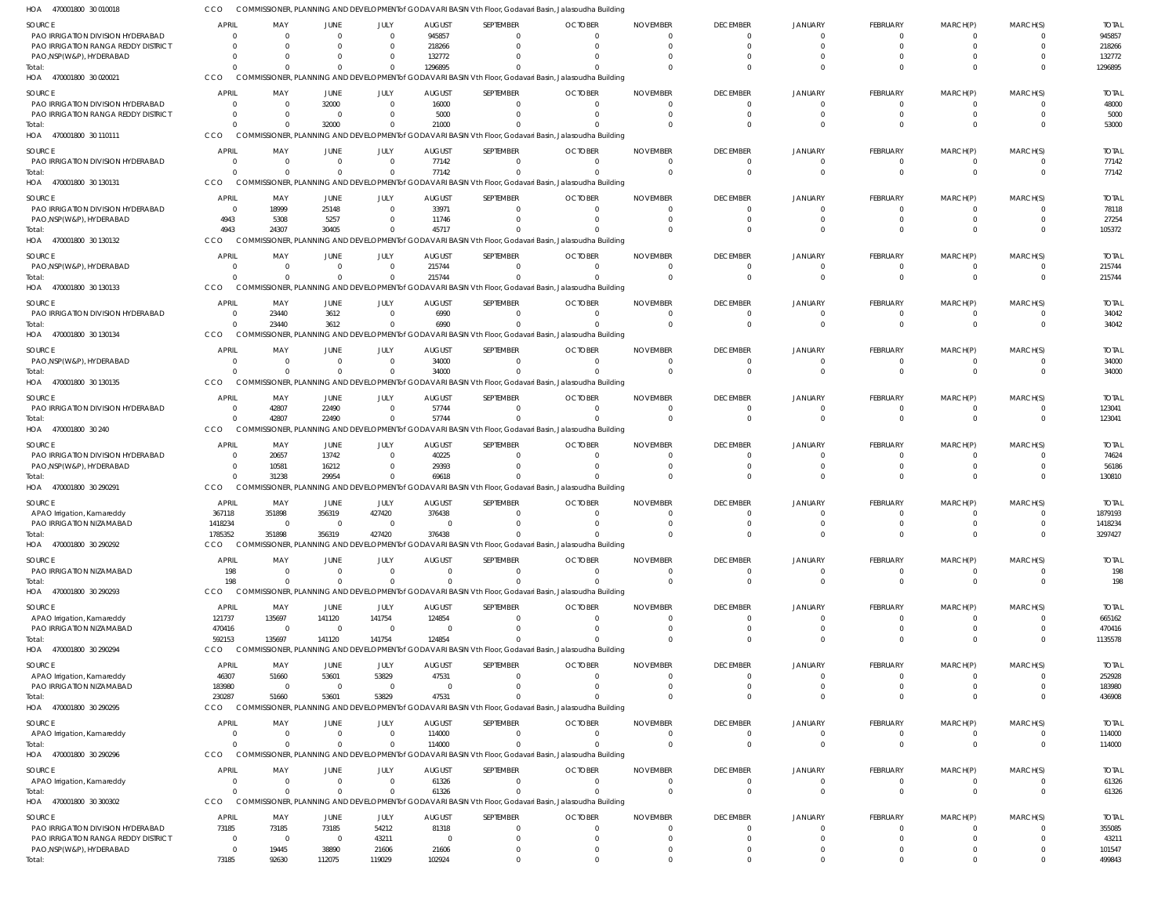| HOA 470001800 30 010018                                                  |                          |                            |                               |                         |                           | COMMISSIONER, PLANNING AND DEVELOPMENTof GODAVARI BASIN Vth Floor, Godavari Basin, Jalasoudha Building              |                |                 |                             |                                  |                      |                      |                            |                        |
|--------------------------------------------------------------------------|--------------------------|----------------------------|-------------------------------|-------------------------|---------------------------|---------------------------------------------------------------------------------------------------------------------|----------------|-----------------|-----------------------------|----------------------------------|----------------------|----------------------|----------------------------|------------------------|
| SOURCE                                                                   | APRIL                    | MAY                        | <b>JUNE</b>                   | JULY                    | <b>AUGUST</b>             | SEPTEMBER                                                                                                           | <b>OCTOBER</b> | <b>NOVEMBER</b> | <b>DECEMBER</b>             | <b>JANUARY</b>                   | FEBRUARY             | MARCH(P)             | MARCH(S)                   | <b>TOTAL</b>           |
| PAO IRRIGATION DIVISION HYDERABAD                                        |                          | $\Omega$                   | $\Omega$                      | $\Omega$                | 945857                    |                                                                                                                     |                |                 |                             | $\Omega$                         |                      | $\Omega$             | $\Omega$                   | 945857                 |
| PAO IRRIGATION RANGA REDDY DISTRICT                                      |                          | $\Omega$                   | 0                             | $\Omega$                | 218266                    |                                                                                                                     |                |                 |                             | $\Omega$                         |                      | $\Omega$             | $\Omega$<br>$\Omega$       | 218266                 |
| PAO, NSP(W&P), HYDERABAD<br>Total:                                       |                          |                            | 0<br>$\Omega$                 |                         | 132772<br>1296895         |                                                                                                                     |                |                 |                             |                                  |                      | $\Omega$             | $\Omega$                   | 132772<br>1296895      |
| HOA 470001800 30 020021                                                  | CCO                      |                            |                               |                         |                           | COMMISSIONER, PLANNING AND DEVELOPMENT of GODAVARI BASIN Vth Floor, Godavari Basin, Jalasoudha Building             |                |                 |                             |                                  |                      |                      |                            |                        |
| SOURCE                                                                   | APRIL                    | MAY                        | JUNE                          | JULY                    | <b>AUGUST</b>             | SEPTEMBER                                                                                                           | <b>OCTOBER</b> | <b>NOVEMBER</b> | <b>DECEMBER</b>             | <b>JANUARY</b>                   | FEBRUARY             | MARCH(P)             | MARCH(S)                   | <b>TOTAL</b>           |
| PAO IRRIGATION DIVISION HYDERABAD                                        |                          | $\Omega$                   | 32000                         | $\Omega$                | 16000                     | 0                                                                                                                   |                |                 | $\Omega$                    | $\Omega$                         | $\Omega$             | $\Omega$             | $\overline{0}$             | 48000                  |
| PAO IRRIGATION RANGA REDDY DISTRICT                                      |                          | - 0                        | $\overline{0}$                |                         | 5000                      |                                                                                                                     |                |                 |                             |                                  | $\Omega$             | $\Omega$             | $\overline{0}$             | 5000                   |
| Total:                                                                   | $\Omega$                 | $\Omega$                   | 32000                         |                         | 21000                     |                                                                                                                     |                |                 |                             |                                  |                      | $\Omega$             | $\Omega$                   | 53000                  |
| HOA 470001800 30 110111                                                  | CCO                      |                            |                               |                         |                           | COMMISSIONER, PLANNING AND DEVELOPMENT of GODAVARI BASIN Vth Floor, Godavari Basin, Jalasoudha Building             |                |                 |                             |                                  |                      |                      |                            |                        |
| SOURCE                                                                   | APRIL                    | MAY                        | JUNE                          | JULY                    | <b>AUGUST</b>             | SEPTEMBER                                                                                                           | <b>OCTOBER</b> | <b>NOVEMBER</b> | <b>DECEMBER</b>             | <b>JANUARY</b>                   | FEBRUARY             | MARCH(P)             | MARCH(S)                   | <b>TOTAL</b>           |
| PAO IRRIGATION DIVISION HYDERABAD<br>Total:                              | $\Omega$<br>$\Omega$     | $\overline{0}$<br>$\Omega$ | $\overline{0}$<br>$\Omega$    | $\Omega$<br>$\Omega$    | 77142<br>77142            | 0<br>$\Omega$                                                                                                       |                | - 0             | $\Omega$<br>$\Omega$        | $\Omega$<br>$\Omega$             | - 0<br>$\Omega$      | $\Omega$<br>$\Omega$ | $\overline{0}$<br>$\Omega$ | 77142<br>77142         |
| HOA 470001800 30 130131                                                  | <b>CCO</b>               |                            |                               |                         |                           | COMMISSIONER, PLANNING AND DEVELOPMENT of GODAVARI BASIN Vth Floor, Godavari Basin, Jalasoudha Building             |                |                 |                             |                                  |                      |                      |                            |                        |
| SOURCE                                                                   | APRIL                    | MAY                        | JUNE                          | JULY                    | <b>AUGUST</b>             | SEPTEMBER                                                                                                           | <b>OCTOBER</b> | <b>NOVEMBER</b> | <b>DECEMBER</b>             | <b>JANUARY</b>                   | FEBRUARY             | MARCH(P)             | MARCH(S)                   | <b>TOTAL</b>           |
| PAO IRRIGATION DIVISION HYDERABAD                                        | $\Omega$                 | 18999                      | 25148                         | $\Omega$                | 33971                     | 0                                                                                                                   |                |                 | $\Omega$                    | $\Omega$                         | $\Omega$             | $\Omega$             | $\overline{0}$             | 78118                  |
| PAO, NSP (W&P), HYDERABAD                                                | 4943                     | 5308                       | 5257                          | $\Omega$                | 11746                     | 0                                                                                                                   |                |                 |                             |                                  |                      | $\Omega$             | $\Omega$                   | 27254                  |
| Total:                                                                   | 4943                     | 24307                      | 30405                         | $\Omega$                | 45717                     | $\Omega$                                                                                                            |                |                 |                             |                                  |                      | $\Omega$             | $\Omega$                   | 105372                 |
| HOA 470001800 30 130132                                                  | <b>CCO</b>               |                            |                               |                         |                           | COMMISSIONER, PLANNING AND DEVELOPMENT of GODAVARI BASIN Vth Floor, Godavari Basin, Jalasoudha Building             |                |                 |                             |                                  |                      |                      |                            |                        |
| SOURCE                                                                   | <b>APRIL</b>             | MAY                        | <b>JUNE</b>                   | JULY                    | <b>AUGUST</b>             | SEPTEMBER                                                                                                           | <b>OCTOBER</b> | <b>NOVEMBER</b> | <b>DECEMBER</b>             | <b>JANUARY</b>                   | FEBRUARY             | MARCH(P)             | MARCH(S)                   | <b>TOTAL</b>           |
| PAO, NSP (W&P), HYDERABAD                                                | $\Omega$                 | $\overline{0}$<br>$\Omega$ | $\mathbf 0$<br>$\Omega$       | $\Omega$<br>$\Omega$    | 215744                    | 0<br>$\Omega$                                                                                                       | $\Omega$       |                 | $\Omega$<br>$\Omega$        | $\Omega$<br>$\Omega$             | $\Omega$             | $\Omega$<br>$\Omega$ | - 0<br>$\Omega$            | 215744                 |
| Total:<br>HOA 470001800 30 130133                                        | CCO                      |                            |                               |                         | 215744                    | COMMISSIONER, PLANNING AND DEVELOPMENT of GODAVARI BASIN Vth Floor, Godavari Basin, Jalasoudha Building             |                |                 |                             |                                  |                      |                      |                            | 215744                 |
|                                                                          |                          |                            |                               |                         |                           |                                                                                                                     |                |                 |                             |                                  |                      |                      |                            |                        |
| SOURCE<br>PAO IRRIGATION DIVISION HYDERABAD                              | <b>APRIL</b><br>$\Omega$ | MAY<br>23440               | JUNE<br>3612                  | JULY<br>$\Omega$        | <b>AUGUST</b><br>6990     | SEPTEMBER<br>$\Omega$                                                                                               | <b>OCTOBER</b> | <b>NOVEMBER</b> | <b>DECEMBER</b><br>$\Omega$ | <b>JANUARY</b><br>$\Omega$       | FEBRUARY<br>$\Omega$ | MARCH(P)<br>$\Omega$ | MARCH(S)<br>$\overline{0}$ | <b>TOTAL</b><br>34042  |
| Total:                                                                   | $\Omega$                 | 23440                      | 3612                          | $\Omega$                | 6990                      | $\Omega$                                                                                                            |                |                 | $\Omega$                    | $\Omega$                         | $\Omega$             | $\Omega$             | $\Omega$                   | 34042                  |
| HOA 470001800 30 130134                                                  | CCO                      |                            |                               |                         |                           | COMMISSIONER, PLANNING AND DEVELOPMENT of GODAVARI BASIN Vth Floor, Godavari Basin, Jalasoudha Building             |                |                 |                             |                                  |                      |                      |                            |                        |
| SOURCE                                                                   | <b>APRIL</b>             | MAY                        | JUNE                          | JULY                    | <b>AUGUST</b>             | SEPTEMBER                                                                                                           | <b>OCTOBER</b> | <b>NOVEMBER</b> | <b>DECEMBER</b>             | <b>JANUARY</b>                   | FEBRUARY             | MARCH(P)             | MARCH(S)                   | <b>TOTAL</b>           |
| PAO, NSP(W&P), HYDERABAD                                                 | $\Omega$                 | $\overline{0}$             | $\overline{0}$                | $\Omega$                | 34000                     | $\Omega$                                                                                                            |                |                 | $\Omega$                    | $\Omega$                         |                      | $\Omega$             | $\circ$                    | 34000                  |
| Total:                                                                   | $\Omega$                 | $\Omega$                   | $\Omega$                      | $\Omega$                | 34000                     |                                                                                                                     |                |                 |                             |                                  |                      | $\Omega$             | $\Omega$                   | 34000                  |
| HOA 470001800 30 130135                                                  | CCO                      |                            |                               |                         |                           | COMMISSIONER, PLANNING AND DEVELOPMENT of GODAVARI BASIN Vth Floor, Godavari Basin, Jalasoudha Building             |                |                 |                             |                                  |                      |                      |                            |                        |
| SOURCE                                                                   | <b>APRIL</b>             | MAY                        | <b>JUNE</b>                   | JULY                    | <b>AUGUST</b>             | SEPTEMBER                                                                                                           | <b>OCTOBER</b> | <b>NOVEMBER</b> | <b>DECEMBER</b>             | <b>JANUARY</b>                   | FEBRUARY             | MARCH(P)             | MARCH(S)                   | <b>TOTAL</b>           |
| PAO IRRIGATION DIVISION HYDERABAD                                        | $\Omega$                 | 42807                      | 22490                         | $\Omega$                | 57744                     | 0                                                                                                                   |                |                 |                             | $\Omega$                         |                      | $\Omega$             | $\circ$                    | 123041                 |
| Total:<br>HOA 470001800 30 240                                           | $\Omega$<br>CCO          | 42807                      | 22490                         | $\Omega$                | 57744                     | $\Omega$<br>COMMISSIONER, PLANNING AND DEVELOPMENT of GODAVARI BASIN Vth Floor, Godavari Basin, Jalasoudha Building |                |                 | $\Omega$                    | $\Omega$                         | $\mathbf{0}$         | $\Omega$             | $\overline{0}$             | 123041                 |
|                                                                          |                          |                            |                               |                         |                           |                                                                                                                     |                |                 |                             |                                  |                      |                      |                            |                        |
| SOURCE<br>PAO IRRIGATION DIVISION HYDERABAD                              | <b>APRIL</b>             | MAY<br>20657               | JUNE<br>13742                 | JULY<br>$\Omega$        | <b>AUGUST</b><br>40225    | SEPTEMBER                                                                                                           | <b>OCTOBER</b> | <b>NOVEMBER</b> | <b>DECEMBER</b>             | <b>JANUARY</b>                   | FEBRUARY             | MARCH(P)<br>- 0      | MARCH(S)<br>- 0            | <b>TOTAL</b><br>74624  |
| PAO, NSP (W&P), HYDERABAD                                                | $\Omega$                 | 10581                      | 16212                         | $\Omega$                | 29393                     |                                                                                                                     |                |                 |                             |                                  |                      |                      | $\Omega$                   | 56186                  |
| Total:                                                                   | $\Omega$                 | 31238                      | 29954                         | $\Omega$                | 69618                     |                                                                                                                     |                |                 |                             |                                  |                      | $\Omega$             | $\Omega$                   | 130810                 |
| HOA 470001800 30 290291                                                  | CCO                      |                            |                               |                         |                           | COMMISSIONER, PLANNING AND DEVELOPMENT of GODAVARI BASIN Vth Floor, Godavari Basin, Jalasoudha Building             |                |                 |                             |                                  |                      |                      |                            |                        |
| SOURCE                                                                   | <b>APRIL</b>             | MAY                        | <b>JUNE</b>                   | JULY                    | <b>AUGUST</b>             | SEPTEMBER                                                                                                           | <b>OCTOBER</b> | <b>NOVEMBER</b> | <b>DECEMBER</b>             | JANUARY                          | FEBRUARY             | MARCH(P)             | MARCH(S)                   | <b>TOTAL</b>           |
| APAO Irrigation, Kamareddy                                               | 367118                   | 351898                     | 356319                        | 427420                  | 376438                    |                                                                                                                     |                |                 |                             | 0                                |                      |                      | $\Omega$                   | 1879193                |
| PAO IRRIGATION NIZAMABAD                                                 | 1418234                  | $\overline{0}$             | $\Omega$                      | $\Omega$                | $\Omega$                  | $\Omega$                                                                                                            |                |                 |                             | $\Omega$                         | $\cap$               |                      | $\Omega$                   | 1418234                |
| Total:<br>HOA 470001800 30 290292                                        | 1785352<br><b>CCO</b>    | 351898                     | 356319                        | 427420                  | 376438                    | COMMISSIONER, PLANNING AND DEVELOPMENT of GODAVARI BASIN Vth Floor, Godavari Basin, Jalasoudha Building             |                |                 |                             |                                  |                      |                      | $\Omega$                   | 3297427                |
|                                                                          |                          |                            |                               |                         |                           |                                                                                                                     |                |                 |                             |                                  |                      |                      |                            |                        |
| SOURCE<br>PAO IRRIGATION NIZAMABAD                                       | APRIL<br>198             | MAY<br>$\overline{0}$      | <b>JUNE</b><br>$\overline{0}$ | JULY<br>$\Omega$        | <b>AUGUST</b><br>$\Omega$ | SEPTEMBER<br>$\Omega$                                                                                               | <b>OCTOBER</b> | <b>NOVEMBER</b> | <b>DECEMBER</b><br>0        | <b>JANUARY</b><br>$\overline{0}$ | FEBRUARY             | MARCH(P)<br>$\Omega$ | MARCH(S)<br>$\Omega$       | <b>TOTAL</b><br>198    |
| Total:                                                                   | 198                      | $\Omega$                   | $\overline{0}$                | $\Omega$                | $\Omega$                  | $\Omega$                                                                                                            |                | - 0             | $\Omega$                    | $\overline{0}$                   | 0                    | $\overline{0}$       | $\overline{\mathbf{0}}$    | 198                    |
| HOA 470001800 30 290293                                                  | CCO                      |                            |                               |                         |                           | COMMISSIONER, PLANNING AND DEVELOPMENT of GODAVARI BASIN Vth Floor, Godavari Basin, Jalasoudha Building             |                |                 |                             |                                  |                      |                      |                            |                        |
| SOURCE                                                                   | APRIL                    | MAY                        | JUNE                          | JULY                    | <b>AUGUST</b>             | SEPTEMBER                                                                                                           | <b>OCTOBER</b> | <b>NOVEMBER</b> | <b>DECEMBER</b>             | JANUARY                          | FEBRUARY             | MARCH(P)             | MARCH(S)                   | <b>TOTAL</b>           |
| APAO Irrigation, Kamareddy                                               | 121737                   | 135697                     | 141120                        | 141754                  | 124854                    |                                                                                                                     |                |                 |                             | 0                                |                      |                      | $\Omega$                   | 665162                 |
| PAO IRRIGATION NIZAMABAD                                                 | 470416                   | $\overline{0}$             | $\mathbf{0}$                  | $\Omega$                | $\Omega$                  | 0                                                                                                                   |                |                 |                             | $\Omega$                         | $\Omega$             | $\Omega$             | $\circ$                    | 470416                 |
| Total:<br>HOA 470001800 30 290294                                        | 592153<br>CCO            | 135697                     | 141120                        | 141754                  | 124854                    | $\Omega$<br>COMMISSIONER, PLANNING AND DEVELOPMENT of GODAVARI BASIN Vth Floor, Godavari Basin, Jalasoudha Building |                |                 |                             | $\Omega$                         |                      | $\Omega$             | $\Omega$                   | 1135578                |
|                                                                          |                          |                            |                               |                         |                           |                                                                                                                     |                |                 |                             |                                  |                      |                      |                            |                        |
| SOURCE                                                                   | APRIL                    | MAY                        | <b>JUNE</b>                   | JULY                    | <b>AUGUST</b>             | SEPTEMBER                                                                                                           | <b>OCTOBER</b> | <b>NOVEMBER</b> | <b>DECEMBER</b>             | JANUARY                          | FEBRUARY             | MARCH(P)             | MARCH(S)                   | <b>TOTAL</b>           |
| APAO Irrigation, Kamareddy<br>PAO IRRIGATION NIZAMABAD                   | 46307<br>183980          | 51660<br>$\overline{0}$    | 53601<br>$\overline{0}$       | 53829<br>$\overline{0}$ | 47531<br>$\Omega$         | 0                                                                                                                   |                |                 |                             | $\Omega$<br>0                    |                      |                      | $\Omega$<br>- 0            | 252928<br>183980       |
| Total:                                                                   | 230287                   | 51660                      | 53601                         | 53829                   | 47531                     |                                                                                                                     |                |                 |                             | $\Omega$                         |                      | $\Omega$             | $\Omega$                   | 436908                 |
| HOA 470001800 30 290295                                                  | CCO                      |                            |                               |                         |                           | COMMISSIONER, PLANNING AND DEVELOPMENT of GODAVARI BASIN Vth Floor, Godavari Basin, Jalasoudha Building             |                |                 |                             |                                  |                      |                      |                            |                        |
| SOURCE                                                                   | APRIL                    | MAY                        | <b>JUNE</b>                   | JULY                    | <b>AUGUST</b>             | SEPTEMBER                                                                                                           | <b>OCTOBER</b> | <b>NOVEMBER</b> | <b>DECEMBER</b>             | <b>JANUARY</b>                   | FEBRUARY             | MARCH(P)             | MARCH(S)                   | <b>TOTAL</b>           |
| APAO Irrigation, Kamareddy                                               | $\Omega$                 | 0                          | $\mathbf 0$                   | $\Omega$                | 114000                    | 0                                                                                                                   |                |                 | 0                           | $\overline{0}$                   | $\Omega$             | $\Omega$             | $\overline{0}$             | 114000                 |
| Total:                                                                   | $\Omega$                 | $\Omega$                   | $\Omega$                      |                         | 114000                    | $\Omega$                                                                                                            |                |                 | $\Omega$                    | $\overline{0}$                   | $\Omega$             | $\Omega$             | $\overline{0}$             | 114000                 |
| HOA 470001800 30 290296                                                  | CCO                      |                            |                               |                         |                           | COMMISSIONER, PLANNING AND DEVELOPMENT of GODAVARI BASIN Vth Floor, Godavari Basin, Jalasoudha Building             |                |                 |                             |                                  |                      |                      |                            |                        |
| SOURCE                                                                   | <b>APRIL</b>             | MAY                        | JUNE                          | JULY                    | <b>AUGUST</b>             | SEPTEMBER                                                                                                           | <b>OCTOBER</b> | <b>NOVEMBER</b> | <b>DECEMBER</b>             | <b>JANUARY</b>                   | FEBRUARY             | MARCH(P)             | MARCH(S)                   | <b>TOTAL</b>           |
| APAO Irrigation, Kamareddy                                               | $\Omega$                 | $\overline{0}$             | $\overline{0}$                | $\Omega$                | 61326                     | $\Omega$                                                                                                            |                |                 | 0                           | 0                                |                      | $\Omega$             | $\circ$                    | 61326                  |
| Total:<br>HOA 470001800 30 300302                                        | $\Omega$<br><b>CCO</b>   | $\Omega$                   | $\overline{0}$                | $\Omega$                | 61326                     | $\Omega$<br>COMMISSIONER, PLANNING AND DEVELOPMENT of GODAVARI BASIN Vth Floor, Godavari Basin, Jalasoudha Building |                | - 0             | $\Omega$                    | $\overline{0}$                   | 0                    | $\overline{0}$       | $\overline{\mathbf{0}}$    | 61326                  |
|                                                                          |                          |                            |                               |                         |                           |                                                                                                                     |                |                 |                             |                                  |                      |                      |                            |                        |
| SOURCE                                                                   | <b>APRIL</b>             | MAY                        | JUNE                          | JULY                    | <b>AUGUST</b>             | SEPTEMBER                                                                                                           | <b>OCTOBER</b> | <b>NOVEMBER</b> | <b>DECEMBER</b>             | JANUARY<br>0                     | FEBRUARY             | MARCH(P)             | MARCH(S)<br>$\Omega$       | <b>TOTAL</b><br>355085 |
| PAO IRRIGATION DIVISION HYDERABAD<br>PAO IRRIGATION RANGA REDDY DISTRICT | 73185<br>$\Omega$        | 73185<br>$\overline{0}$    | 73185<br>$\overline{0}$       | 54212<br>43211          | 81318<br>$\overline{0}$   |                                                                                                                     |                |                 |                             | $\Omega$                         |                      |                      | $\Omega$                   | 43211                  |
| PAO, NSP(W&P), HYDERABAD                                                 | $\Omega$                 | 19445                      | 38890                         | 21606                   | 21606                     |                                                                                                                     |                |                 |                             | $\Omega$                         |                      |                      | - 0                        | 101547                 |
| Total:                                                                   | 73185                    | 92630                      | 112075                        | 119029                  | 102924                    |                                                                                                                     |                |                 |                             | $\Omega$                         |                      | $\Omega$             | $\Omega$                   | 499843                 |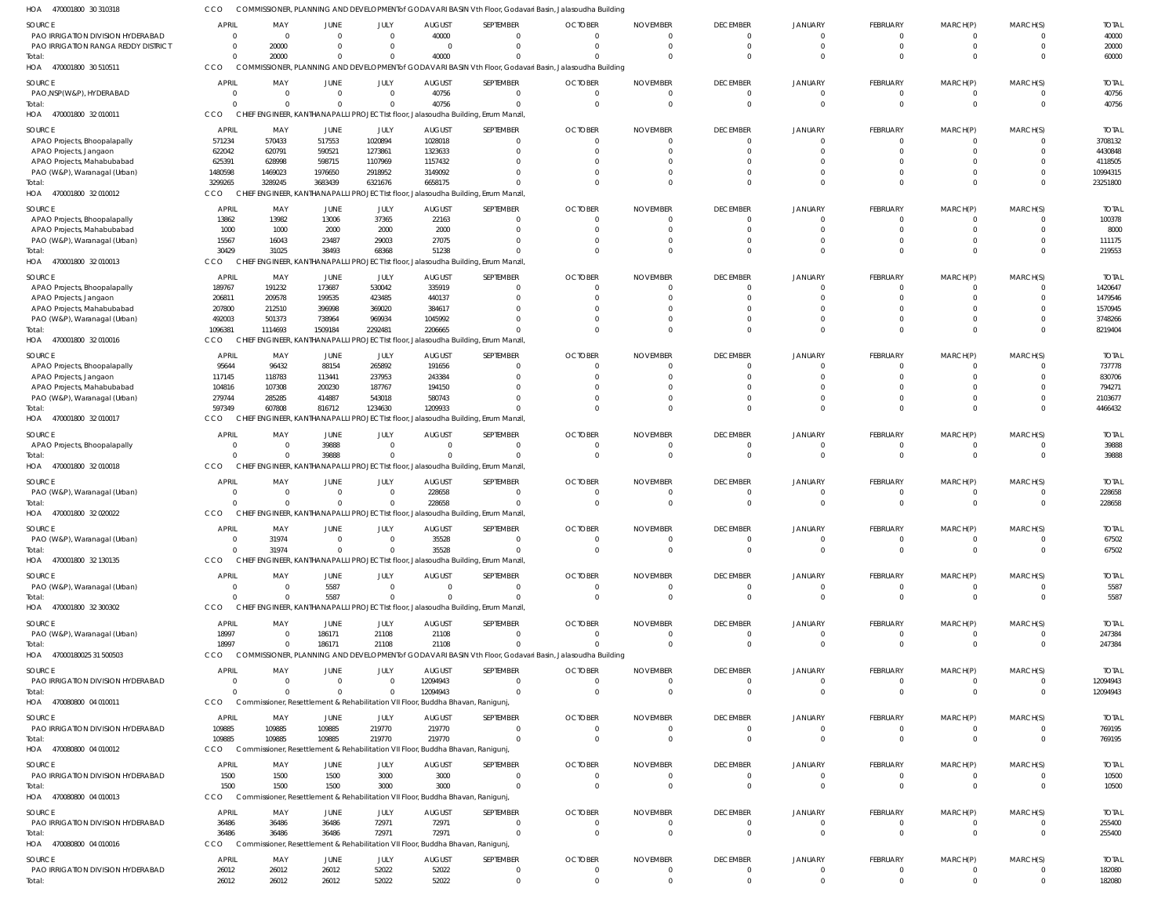| HOA<br>470001800 30 310318                                 | CCO                            |                                                                                 |                         |                      |                            | COMMISSIONER, PLANNING AND DEVELOPMENTof GODAVARI BASIN Vth Floor, Godavari Basin, Jalasoudha Building  |                            |                               |                             |                            |                            |                  |                      |                        |
|------------------------------------------------------------|--------------------------------|---------------------------------------------------------------------------------|-------------------------|----------------------|----------------------------|---------------------------------------------------------------------------------------------------------|----------------------------|-------------------------------|-----------------------------|----------------------------|----------------------------|------------------|----------------------|------------------------|
| SOURCE                                                     | <b>APRIL</b>                   | MAY                                                                             | JUNE                    | JULY                 | <b>AUGUST</b>              | SEPTEMBER                                                                                               | <b>OCTOBER</b>             | <b>NOVEMBER</b>               | <b>DECEMBER</b>             | <b>JANUARY</b>             | <b>FEBRUARY</b>            | MARCH(P)         | MARCH(S)             | <b>TOTAI</b>           |
| PAO IRRIGATION DIVISION HYDERABAD                          | $\overline{0}$                 | $\overline{\mathbf{0}}$                                                         | $\Omega$                | $\Omega$             | 40000                      | $\Omega$                                                                                                | $\Omega$                   | $\Omega$                      | $\Omega$                    | $\Omega$                   | 0                          |                  |                      | 40000                  |
| PAO IRRIGATION RANGA REDDY DISTRICT<br>Total:              | $\overline{0}$<br>$\Omega$     | 20000<br>20000                                                                  | $\Omega$<br>$\mathbf 0$ | $\Omega$<br>$\Omega$ | $\overline{0}$<br>40000    | $\Omega$<br>$\Omega$                                                                                    | $\Omega$                   | $\Omega$<br>$\Omega$          | $\Omega$<br>$\Omega$        | $\Omega$<br>$\Omega$       | 0<br>$\Omega$              | $\Omega$         | $\Omega$<br>$\Omega$ | 20000<br>60000         |
| HOA 470001800 30 510511                                    | CCO                            | <b>COMMIS</b>                                                                   |                         |                      |                            | SIONER, PLANNING AND DEVELOPMENTof GODAVARI BASIN Vth Floor, Godavari Basin, Jalasoudha Building        |                            |                               |                             |                            |                            |                  |                      |                        |
| SOURCE                                                     | <b>APRIL</b>                   | MAY                                                                             | JUNE                    | JULY                 | <b>AUGUST</b>              | SEPTEMBER                                                                                               | <b>OCTOBER</b>             | <b>NOVEMBER</b>               | <b>DECEMBER</b>             | <b>JANUARY</b>             | FEBRUARY                   | MARCH(P)         | MARCH(S)             | <b>TOTAL</b>           |
| PAO, NSP(W&P), HYDERABAD                                   | $\overline{0}$                 | $\overline{\mathbf{0}}$                                                         | $\overline{0}$          | $\Omega$             | 40756                      | $\mathbf 0$                                                                                             | 0                          | 0                             | $\Omega$                    |                            | 0                          |                  |                      | 40756                  |
| Total:                                                     | $\Omega$                       | $\overline{0}$                                                                  | $\mathbf 0$             | $\Omega$             | 40756                      | $\Omega$                                                                                                | $\overline{0}$             | $\overline{0}$                | $\Omega$                    | $\Omega$                   | $\mathbf 0$                | $\mathbf{0}$     | $\Omega$             | 40756                  |
| HOA 470001800 32010011                                     | CCO                            |                                                                                 |                         |                      |                            | CHIEF ENGINEER, KANTHANAPALLI PROJECT Ist floor, Jalasoudha Building, Errum Manzil,                     |                            |                               |                             |                            |                            |                  |                      |                        |
| SOURCE                                                     | APRIL                          | MAY                                                                             | JUNE                    | JULY                 | <b>AUGUST</b>              | SEPTEMBER                                                                                               | <b>OCTOBER</b>             | <b>NOVEMBER</b>               | <b>DECEMBER</b>             | <b>JANUARY</b>             | FEBRUARY                   | MARCH(P)         | MARCH(S)             | <b>TOTAI</b>           |
| APAO Projects, Bhoopalapally                               | 571234                         | 570433                                                                          | 517553                  | 1020894              | 1028018                    | $\Omega$                                                                                                | $\Omega$                   | $\Omega$                      | $\Omega$                    |                            | 0                          |                  |                      | 3708132                |
| APAO Projects, Jangaon                                     | 622042                         | 620791                                                                          | 590521                  | 1273861              | 1323633                    | $\Omega$                                                                                                | $\Omega$                   | $\Omega$                      | $\Omega$<br>$\Omega$        |                            |                            |                  |                      | 4430848                |
| APAO Projects, Mahabubabad<br>PAO (W&P), Waranagal (Urban) | 625391<br>1480598              | 628998<br>1469023                                                               | 598715<br>1976650       | 1107969<br>2918952   | 1157432<br>3149092         |                                                                                                         | 0<br>$\Omega$              | $\Omega$<br>$\Omega$          | $\Omega$                    |                            |                            |                  |                      | 4118505<br>10994315    |
| Total:                                                     | 3299265                        | 3289245                                                                         | 3683439                 | 6321676              | 6658175                    | $\Omega$                                                                                                | $\Omega$                   | $\Omega$                      | $\Omega$                    | $\cap$                     | $\Omega$                   |                  | $\Omega$             | 23251800               |
| HOA 470001800 32 010012                                    | CCO                            |                                                                                 |                         |                      |                            | CHIEF ENGINEER, KANTHANAPALLI PROJECT Ist floor, Jalasoudha Building, Errum Manzil,                     |                            |                               |                             |                            |                            |                  |                      |                        |
| SOURCE                                                     | APRIL                          | MAY                                                                             | JUNE                    | JULY                 | <b>AUGUST</b>              | SEPTEMBER                                                                                               | <b>OCTOBER</b>             | <b>NOVEMBER</b>               | <b>DECEMBER</b>             | <b>JANUARY</b>             | FEBRUARY                   | MARCH(P)         | MARCH(S)             | <b>TOTAL</b>           |
| APAO Projects, Bhoopalapally                               | 13862                          | 13982                                                                           | 13006                   | 37365                | 22163                      | $\Omega$                                                                                                | 0                          | 0                             | $\Omega$                    |                            | 0                          |                  |                      | 100378                 |
| APAO Projects, Mahabubabad                                 | 1000                           | 1000                                                                            | 2000                    | 2000                 | 2000                       | $\Omega$                                                                                                | $\Omega$                   | 0                             | $\Omega$                    | $\Omega$                   | $\Omega$                   |                  | $\Omega$             | 8000                   |
| PAO (W&P), Waranagal (Urban)<br>Total:                     | 15567<br>30429                 | 16043<br>31025                                                                  | 23487<br>38493          | 29003<br>68368       | 27075<br>51238             | $\Omega$<br>$\Omega$                                                                                    | $\Omega$<br>$\Omega$       | $\Omega$<br>$\Omega$          | $\Omega$<br>$\Omega$        | $\Omega$<br>$\cap$         | $\Omega$                   |                  | $\Omega$<br>$\Omega$ | 111175<br>219553       |
| HOA 470001800 32010013                                     | CCO                            | <b>IGINEER, KAN</b><br><b>CHIEF EN</b>                                          |                         |                      |                            | HANAPALLI PROJECT Ist floor, Jalasoudha Building, Errum Manzil,                                         |                            |                               |                             |                            |                            |                  |                      |                        |
| SOURCE                                                     | APRIL                          | MAY                                                                             | JUNE                    | JULY                 | <b>AUGUST</b>              | SEPTEMBER                                                                                               | <b>OCTOBER</b>             | <b>NOVEMBER</b>               | <b>DECEMBER</b>             | <b>JANUARY</b>             | FEBRUARY                   | MARCH(P)         | MARCH(S)             | <b>TOTAI</b>           |
| APAO Projects, Bhoopalapally                               | 189767                         | 191232                                                                          | 173687                  | 530042               | 335919                     | $\Omega$                                                                                                | $\Omega$                   | 0                             | $\Omega$                    | $\cap$                     | 0                          |                  |                      | 1420647                |
| APAO Projects, Jangaon                                     | 206811                         | 209578                                                                          | 199535                  | 423485               | 440137                     | $\Omega$                                                                                                | $\Omega$                   | $\Omega$                      | $\Omega$                    | $\Omega$                   |                            |                  |                      | 1479546                |
| APAO Projects, Mahabubabad                                 | 207800                         | 212510                                                                          | 396998                  | 369020               | 384617                     |                                                                                                         | 0                          | $\Omega$                      | $\Omega$                    |                            |                            |                  |                      | 1570945                |
| PAO (W&P), Waranagal (Urban)                               | 492003                         | 501373                                                                          | 738964                  | 969934               | 1045992                    |                                                                                                         | $\Omega$                   | $\Omega$                      | $\Omega$                    | $\cap$                     |                            |                  |                      | 3748266                |
| Total:<br>HOA 470001800 32 010016                          | 1096381<br>CCO                 | 1114693                                                                         | 1509184                 | 2292481              | 2206665                    | CHIEF ENGINEER, KANTHANAPALLI PROJECT Ist floor, Jalasoudha Building, Errum Manzil,                     | $\Omega$                   | $\Omega$                      | $\Omega$                    | $\Omega$                   | $\Omega$                   | $\Omega$         |                      | 8219404                |
|                                                            |                                |                                                                                 |                         |                      |                            |                                                                                                         |                            |                               |                             |                            |                            |                  |                      |                        |
| SOURCE                                                     | APRIL<br>95644                 | MAY<br>96432                                                                    | JUNE<br>88154           | JULY<br>265892       | <b>AUGUST</b><br>191656    | SEPTEMBER<br>$\Omega$                                                                                   | <b>OCTOBER</b><br>$\Omega$ | <b>NOVEMBER</b><br>$\Omega$   | <b>DECEMBER</b><br>$\Omega$ | <b>JANUARY</b>             | FEBRUARY                   | MARCH(P)         | MARCH(S)             | <b>TOTAI</b><br>737778 |
| APAO Projects, Bhoopalapally<br>APAO Projects, Jangaon     | 117145                         | 118783                                                                          | 113441                  | 237953               | 243384                     | $\Omega$                                                                                                | $\Omega$                   | $\Omega$                      | $\Omega$                    | $\cap$                     | 0                          |                  | $\Omega$             | 830706                 |
| APAO Projects, Mahabubabad                                 | 104816                         | 107308                                                                          | 200230                  | 187767               | 194150                     |                                                                                                         | 0                          | $\Omega$                      | $\Omega$                    |                            |                            |                  |                      | 794271                 |
| PAO (W&P), Waranagal (Urban)                               | 279744                         | 285285                                                                          | 414887                  | 543018               | 580743                     |                                                                                                         | $\Omega$                   | $\Omega$                      | $\Omega$                    | $\cap$                     | 0                          |                  | $\Omega$             | 2103677                |
| Total:                                                     | 597349                         | 607808                                                                          | 816712                  | 1234630              | 1209933                    |                                                                                                         | $\Omega$                   | $\sqrt{2}$                    | $\Omega$                    | $\cap$                     | $\Omega$                   |                  | $\cap$               | 4466432                |
| HOA 470001800 32010017                                     | <b>CCO</b>                     |                                                                                 |                         |                      |                            | CHIEF ENGINEER, KANTHANAPALLI PROJECT Ist floor, Jalasoudha Building, Errum Manzil,                     |                            |                               |                             |                            |                            |                  |                      |                        |
| SOURCE                                                     | <b>APRIL</b>                   | MAY                                                                             | JUNE                    | JULY                 | <b>AUGUST</b>              | SEPTEMBER                                                                                               | <b>OCTOBER</b>             | <b>NOVEMBER</b>               | <b>DECEMBER</b>             | <b>JANUARY</b>             | <b>FEBRUARY</b>            | MARCH(P)         | MARCH(S)             | <b>TOTAL</b>           |
| APAO Projects, Bhoopalapally<br>Total:                     | $\overline{0}$<br>$\Omega$     | $\overline{\mathbf{0}}$<br>$\Omega$                                             | 39888<br>39888          | $\Omega$<br>$\Omega$ | $\overline{0}$<br>$\Omega$ | $\Omega$<br>$\Omega$                                                                                    | 0<br>$\Omega$              | 0<br>$\Omega$                 | $\Omega$<br>$\Omega$        | $\Omega$<br>$\Omega$       | 0<br>$\Omega$              |                  | $\Omega$             | 39888<br>39888         |
| HOA 470001800 32 010018                                    | CCO                            |                                                                                 |                         |                      |                            | CHIEF ENGINEER, KANTHANAPALLI PROJECT Ist floor, Jalasoudha Building, Errum Manzil,                     |                            |                               |                             |                            |                            |                  |                      |                        |
| SOURCE                                                     | <b>APRIL</b>                   | MAY                                                                             | JUNE                    | JULY                 | <b>AUGUST</b>              | SEPTEMBER                                                                                               | <b>OCTOBER</b>             | <b>NOVEMBER</b>               | <b>DECEMBER</b>             | <b>JANUARY</b>             | FEBRUARY                   | MARCH(P)         | MARCH(S)             | <b>TOTAL</b>           |
| PAO (W&P), Waranagal (Urban)                               | $\overline{0}$                 | $\overline{\mathbf{0}}$                                                         | $\overline{0}$          | $\Omega$             | 228658                     | $\Omega$                                                                                                | $\Omega$                   | 0                             | $\Omega$                    |                            | 0                          |                  |                      | 228658                 |
| Total:                                                     | $\Omega$                       | $\overline{0}$                                                                  | $\mathbf 0$             | $\Omega$             | 228658                     | $\mathbf 0$                                                                                             | $\Omega$                   | $\overline{0}$                | $\Omega$                    | $\Omega$                   | $\mathbf 0$                | $\Omega$         | $\Omega$             | 228658                 |
| HOA 470001800 32020022                                     | CCO                            |                                                                                 |                         |                      |                            | CHIEF ENGINEER, KANTHANAPALLI PROJECT Ist floor, Jalasoudha Building, Errum Manzil,                     |                            |                               |                             |                            |                            |                  |                      |                        |
| <b>SOURCE</b>                                              | <b>APRIL</b>                   | MAY                                                                             | JUNE                    | <b>JULY</b>          | <b>AUGUST</b>              | SEPTEMBER                                                                                               | <b>OCTOBER</b>             | NOVEMBER                      | <b>DECEMBER</b>             | <b>JANUARY</b>             | <b>FEBRUARY</b>            | MARCH(P)         | MARCH(S)             | <b>TOTAL</b>           |
| PAO (W&P), Waranagal (Urban)                               | $\overline{0}$                 | 31974                                                                           | $\Omega$                |                      | 35528                      |                                                                                                         | $\Omega$                   | $\Omega$                      |                             | $\cap$                     | $\Omega$                   |                  | $\Omega$             | 67502                  |
| Total:<br>HOA 470001800 32 130135                          | $\Omega$<br>CCO                | 31974                                                                           | $\mathbf 0$             | $\Omega$             | 35528                      | $\Omega$<br>CHIEF ENGINEER, KANTHANAPALLI PROJECT Ist floor, Jalasoudha Building, Errum Manzil,         | $\Omega$                   | $\Omega$                      | $\Omega$                    | $\Omega$                   | $\mathbf 0$                | $\Omega$         | $\Omega$             | 67502                  |
|                                                            |                                |                                                                                 |                         |                      |                            |                                                                                                         |                            |                               |                             |                            |                            |                  |                      |                        |
| SOURCE                                                     | <b>APRIL</b><br>$\overline{0}$ | MAY<br>$\overline{0}$                                                           | JUNE<br>5587            | JULY<br>$\Omega$     | <b>AUGUST</b>              | SEPTEMBER                                                                                               | <b>OCTOBER</b>             | <b>NOVEMBER</b>               | <b>DECEMBER</b><br>$\Omega$ | <b>JANUARY</b><br>$\Omega$ | FEBRUARY                   | MARCH(P)         | MARCH(S)             | <b>TOTAL</b>           |
| PAO (W&P), Waranagal (Urban)<br>Total:                     | $\overline{0}$                 | $\overline{\mathbf{0}}$                                                         | 5587                    | $\Omega$             | $\overline{0}$<br>$\Omega$ | $\overline{0}$<br>$\Omega$                                                                              | $\overline{0}$<br>$\Omega$ | $\overline{0}$<br>$\Omega$    | $\Omega$                    | $\Omega$                   | $\mathbf 0$<br>$\mathbf 0$ | 0<br>$\mathbf 0$ | $\Omega$<br>$\Omega$ | 5587<br>5587           |
| HOA 470001800 32 300302                                    | CCO                            |                                                                                 |                         |                      |                            | CHIEF ENGINEER, KANTHANAPALLI PROJECT Ist floor, Jalasoudha Building, Errum Manzil,                     |                            |                               |                             |                            |                            |                  |                      |                        |
| SOURCE                                                     | <b>APRIL</b>                   | MAY                                                                             | JUNE                    | JULY                 | <b>AUGUST</b>              | SEPTEMBER                                                                                               | <b>OCTOBER</b>             | <b>NOVEMBER</b>               | <b>DECEMBER</b>             | <b>JANUARY</b>             | FEBRUARY                   | MARCH(P)         | MARCH(S)             | <b>TOTAL</b>           |
| PAO (W&P), Waranagal (Urban)                               | 18997                          | $\overline{\mathbf{0}}$                                                         | 186171                  | 21108                | 21108                      | $\Omega$                                                                                                | - 0                        | 0                             | $\Omega$                    | $\Omega$                   | 0                          |                  |                      | 247384                 |
| Total:                                                     | 18997                          | - 0                                                                             | 186171                  | 21108                | 21108                      | $\Omega$                                                                                                | $\Omega$                   | $\Omega$                      | $\Omega$                    | $\Omega$                   | $\mathbf 0$                | $\Omega$         | $\Omega$             | 247384                 |
| HOA 47000180025 31 500503                                  | CCO                            |                                                                                 |                         |                      |                            | COMMISSIONER, PLANNING AND DEVELOPMENT of GODAVARI BASIN Vth Floor, Godavari Basin, Jalasoudha Building |                            |                               |                             |                            |                            |                  |                      |                        |
| SOURCE                                                     | <b>APRIL</b>                   | MAY                                                                             | JUNE                    | JULY                 | <b>AUGUST</b>              | SEPTEMBER                                                                                               | <b>OCTOBER</b>             | <b>NOVEMBER</b>               | <b>DECEMBER</b>             | <b>JANUARY</b>             | FEBRUARY                   | MARCH(P)         | MARCH(S)             | <b>TOTAL</b>           |
| PAO IRRIGATION DIVISION HYDERABAD                          | $\overline{0}$                 | $\overline{\mathbf{0}}$                                                         | $\overline{0}$          | $\Omega$             | 12094943                   | 0                                                                                                       | 0                          | $\mathbf 0$                   | $\Omega$                    | - 0                        | 0                          |                  |                      | 12094943               |
| Total:                                                     | $\Omega$                       | $\Omega$                                                                        | $\Omega$                | $\Omega$             | 12094943                   | $\Omega$                                                                                                | - 0                        | $\overline{0}$                | $\Omega$                    | $\Omega$                   | $\mathbf 0$                | $\mathbf{0}$     | $\Omega$             | 12094943               |
| HOA 470080800 04 010011                                    | CCO                            | Commissioner, Resettlement & Rehabilitation VII Floor, Buddha Bhavan, Ranigunj, |                         |                      |                            |                                                                                                         |                            |                               |                             |                            |                            |                  |                      |                        |
| SOURCE                                                     | APRIL                          | MAY                                                                             | JUNE                    | JULY                 | <b>AUGUST</b>              | SEPTEMBER                                                                                               | <b>OCTOBER</b>             | <b>NOVEMBER</b>               | <b>DECEMBER</b>             | <b>JANUARY</b>             | FEBRUARY                   | MARCH(P)         | MARCH(S)             | <b>TOTAL</b>           |
| PAO IRRIGATION DIVISION HYDERABAD<br>Total:                | 109885<br>109885               | 109885<br>109885                                                                | 109885<br>109885        | 219770<br>219770     | 219770<br>219770           | $\Omega$<br>$\Omega$                                                                                    | $\overline{0}$<br>$\Omega$ | $\mathbf 0$<br>$\overline{0}$ | $\Omega$<br>$\Omega$        | $\Omega$<br>$\Omega$       | 0<br>$\mathbf 0$           | 0<br>$\mathbf 0$ | $\Omega$             | 769195<br>769195       |
| HOA 470080800 04 010012                                    | CCO                            | Commissioner, Resettlement & Rehabilitation VII Floor, Buddha Bhavan, Ranigunj, |                         |                      |                            |                                                                                                         |                            |                               |                             |                            |                            |                  |                      |                        |
| SOURCE                                                     | <b>APRIL</b>                   | MAY                                                                             | JUNE                    | JULY                 | <b>AUGUST</b>              | SEPTEMBER                                                                                               | <b>OCTOBER</b>             | <b>NOVEMBER</b>               | <b>DECEMBER</b>             | <b>JANUARY</b>             | FEBRUARY                   | MARCH(P)         | MARCH(S)             | <b>TOTAL</b>           |
| PAO IRRIGATION DIVISION HYDERABAD                          | 1500                           | 1500                                                                            | 1500                    | 3000                 | 3000                       | $\Omega$                                                                                                | $\overline{0}$             | $\mathbf 0$                   | $\Omega$                    | $\Omega$                   | 0                          | 0                | $\Omega$             | 10500                  |
| Total:                                                     | 1500                           | 1500                                                                            | 1500                    | 3000                 | 3000                       | $\Omega$                                                                                                | $\Omega$                   | $\Omega$                      | $\Omega$                    | $\Omega$                   | $\mathbf 0$                | $\mathbf{0}$     | $\Omega$             | 10500                  |
| HOA 470080800 04 010013                                    | CCO                            | Commissioner, Resettlement & Rehabilitation VII Floor, Buddha Bhavan, Ranigunj, |                         |                      |                            |                                                                                                         |                            |                               |                             |                            |                            |                  |                      |                        |
| SOURCE                                                     | <b>APRIL</b>                   | MAY                                                                             | JUNE                    | JULY                 | <b>AUGUST</b>              | SEPTEMBER                                                                                               | <b>OCTOBER</b>             | <b>NOVEMBER</b>               | <b>DECEMBER</b>             | <b>JANUARY</b>             | FEBRUARY                   | MARCH(P)         | MARCH(S)             | <b>TOTAL</b>           |
| PAO IRRIGATION DIVISION HYDERABAD                          | 36486                          | 36486                                                                           | 36486                   | 72971                | 72971                      | $\Omega$                                                                                                | - 0                        | $\mathbf 0$                   | $\Omega$                    | $\Omega$                   | 0                          |                  | $\Omega$             | 255400                 |
| Total:                                                     | 36486                          | 36486                                                                           | 36486                   | 72971                | 72971                      | $\overline{0}$                                                                                          | $\overline{0}$             | $\overline{0}$                | $\Omega$                    | $\Omega$                   | $\mathbf 0$                | $\mathbf{0}$     | $\Omega$             | 255400                 |
| HOA 470080800 04 010016                                    | <b>CCO</b>                     | Commissioner, Resettlement & Rehabilitation VII Floor, Buddha Bhavan, Ranigunj, |                         |                      |                            |                                                                                                         |                            |                               |                             |                            |                            |                  |                      |                        |
| <b>SOURCE</b>                                              | <b>APRIL</b>                   | MAY                                                                             | JUNE                    | JULY                 | <b>AUGUST</b>              | SEPTEMBER                                                                                               | <b>OCTOBER</b>             | <b>NOVEMBER</b>               | <b>DECEMBER</b>             | <b>JANUARY</b>             | FEBRUARY                   | MARCH(P)         | MARCH(S)             | <b>TOTAL</b>           |
| PAO IRRIGATION DIVISION HYDERABAD<br>Total:                | 26012<br>26012                 | 26012<br>26012                                                                  | 26012<br>26012          | 52022<br>52022       | 52022<br>52022             | 0<br>$\mathbf 0$                                                                                        | 0<br>$\Omega$              | 0<br>$\Omega$                 | $\Omega$<br>$\Omega$        | $\Omega$<br>$\Omega$       | 0<br>$\Omega$              |                  |                      | 182080<br>182080       |
|                                                            |                                |                                                                                 |                         |                      |                            |                                                                                                         |                            |                               |                             |                            |                            |                  |                      |                        |

COMMISSIONER, PLANNING AND DEVELOPMENTof GODAVARI BASIN Vth Floor, Godavari Basin, Jalasoudha Building CCO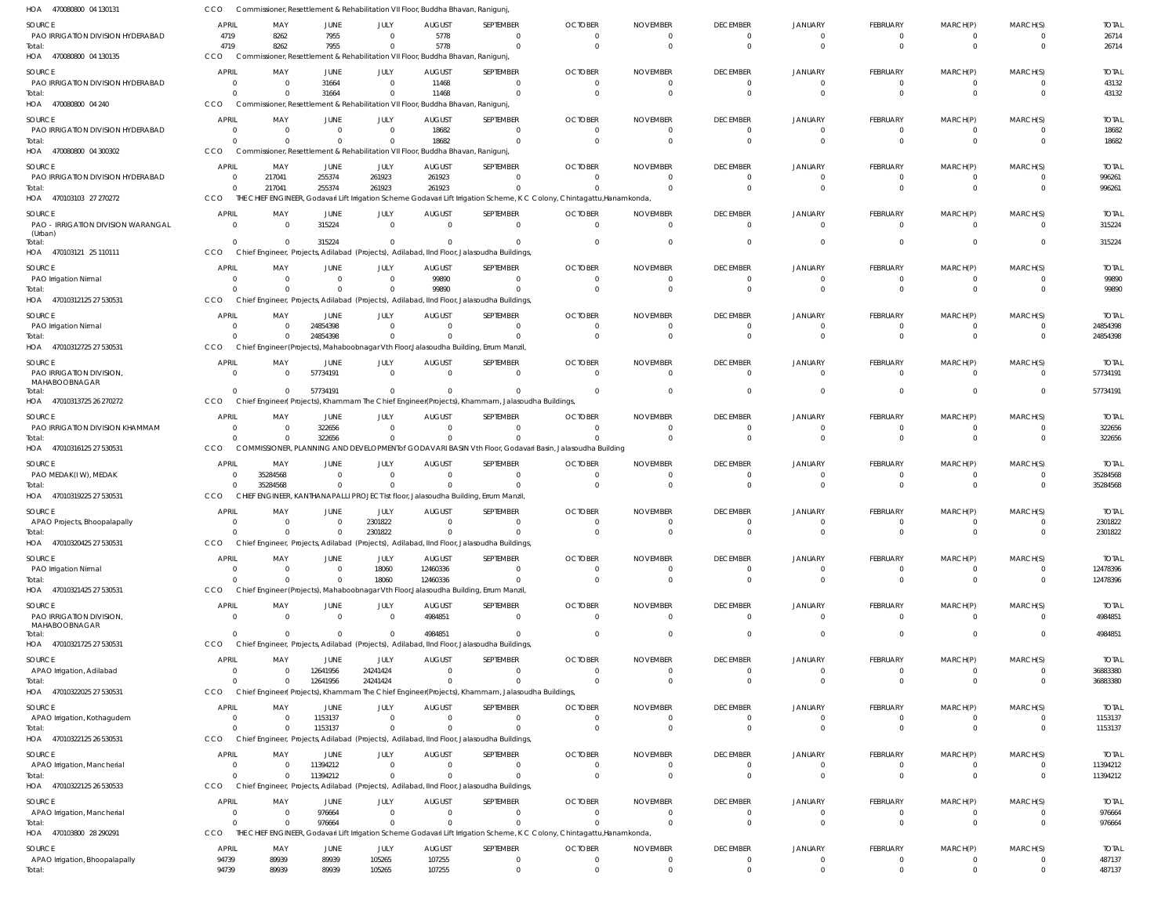| HOA 470080800 04 130131                            | CCO                        | Commissioner, Resettlement & Rehabilitation VII Floor, Buddha Bhavan, Ranigunj,         |                      |                                           |                           |                                                                                                            |                                                                                                                           |                             |                                   |                                  |                             |                      |                            |                          |
|----------------------------------------------------|----------------------------|-----------------------------------------------------------------------------------------|----------------------|-------------------------------------------|---------------------------|------------------------------------------------------------------------------------------------------------|---------------------------------------------------------------------------------------------------------------------------|-----------------------------|-----------------------------------|----------------------------------|-----------------------------|----------------------|----------------------------|--------------------------|
| SOURCE                                             | <b>APRIL</b>               | MAY                                                                                     | JUNE                 | JULY                                      | <b>AUGUST</b>             | SEPTEMBER                                                                                                  | <b>OCTOBER</b>                                                                                                            | <b>NOVEMBER</b>             | <b>DECEMBER</b>                   | <b>JANUARY</b>                   | FEBRUARY                    | MARCH(P)             | MARCH(S)                   | <b>TOTAL</b>             |
| PAO IRRIGATION DIVISION HYDERABAD                  | 4719                       | 8262                                                                                    | 7955                 | $\Omega$                                  | 5778                      | $\Omega$                                                                                                   | $\Omega$                                                                                                                  |                             | $\overline{0}$                    | $\mathbf 0$                      | $\Omega$                    | $\Omega$             | $\overline{0}$             | 26714                    |
| Total:<br>HOA 470080800 04 130135                  | 4719<br>CCO                | 8262<br>Commissioner, Resettlement & Rehabilitation VII Floor, Buddha Bhavan, Ranigunj, | 7955                 | $\Omega$                                  | 5778                      | $\Omega$                                                                                                   | $\Omega$                                                                                                                  |                             | $\overline{0}$                    | $\Omega$                         | $\Omega$                    | $\Omega$             | $\overline{0}$             | 26714                    |
|                                                    |                            |                                                                                         |                      |                                           |                           |                                                                                                            |                                                                                                                           |                             |                                   |                                  |                             |                      |                            |                          |
| <b>SOURCE</b><br>PAO IRRIGATION DIVISION HYDERABAD | <b>APRIL</b><br>$\Omega$   | MAY<br>- 0                                                                              | <b>JUNE</b><br>31664 | <b>JULY</b><br>$\overline{0}$             | <b>AUGUST</b><br>11468    | SEPTEMBER<br>$\overline{0}$                                                                                | <b>OCTOBER</b><br>$\Omega$                                                                                                | <b>NOVEMBER</b><br>$\Omega$ | <b>DECEMBER</b><br>$\overline{0}$ | <b>JANUARY</b><br>$\Omega$       | <b>FEBRUARY</b><br>$\Omega$ | MARCH(P)<br>$\Omega$ | MARCH(S)<br>- 0            | <b>TOTAL</b><br>43132    |
| Total:                                             | $\Omega$                   | $\Omega$                                                                                | 31664                | $\overline{0}$                            | 11468                     | $\Omega$                                                                                                   | $\Omega$                                                                                                                  | $\Omega$                    | $\overline{0}$                    | $\Omega$                         | $\Omega$                    | $\Omega$             | $\overline{0}$             | 43132                    |
| HOA 470080800 04 240                               | CCO                        | Commissioner, Resettlement & Rehabilitation VII Floor, Buddha Bhavan, Ranigunj,         |                      |                                           |                           |                                                                                                            |                                                                                                                           |                             |                                   |                                  |                             |                      |                            |                          |
| SOURCE                                             | <b>APRIL</b>               | MAY                                                                                     | JUNE                 | JULY                                      | <b>AUGUST</b>             | SEPTEMBER                                                                                                  | <b>OCTOBER</b>                                                                                                            | <b>NOVEMBER</b>             | <b>DECEMBER</b>                   | <b>JANUARY</b>                   | <b>FEBRUARY</b>             | MARCH(P)             | MARCH(S)                   | <b>TOTAL</b>             |
| PAO IRRIGATION DIVISION HYDERABAD                  | $\Omega$                   | $\Omega$                                                                                | $\Omega$             | $\Omega$                                  | 18682                     | $\overline{0}$                                                                                             | $\Omega$                                                                                                                  |                             | $\overline{0}$                    | $\overline{0}$                   | $\Omega$                    | $\Omega$             | $\overline{0}$             | 18682                    |
| Total:                                             | $\Omega$                   | $\Omega$                                                                                | $\Omega$             | $\Omega$                                  | 18682                     | $\Omega$                                                                                                   |                                                                                                                           |                             | $\Omega$                          | $\Omega$                         | $\Omega$                    | $\Omega$             | $\Omega$                   | 18682                    |
| HOA 470080800 04 300302                            | CCO                        | Commissioner, Resettlement & Rehabilitation VII Floor, Buddha Bhavan, Ranigunj          |                      |                                           |                           |                                                                                                            |                                                                                                                           |                             |                                   |                                  |                             |                      |                            |                          |
| SOURCE<br>PAO IRRIGATION DIVISION HYDERABAD        | <b>APRIL</b><br>$\Omega$   | MAY<br>217041                                                                           | JUNE<br>255374       | JULY<br>261923                            | <b>AUGUST</b><br>261923   | SEPTEMBER<br>$\Omega$                                                                                      | <b>OCTOBER</b>                                                                                                            | <b>NOVEMBER</b><br>$\Omega$ | <b>DECEMBER</b><br>$\overline{0}$ | <b>JANUARY</b><br>$\Omega$       | <b>FEBRUARY</b><br>$\Omega$ | MARCH(P)<br>$\Omega$ | MARCH(S)<br>$\overline{0}$ | <b>TOTAL</b><br>996261   |
| Total:                                             | $\mathbf 0$                | 217041                                                                                  | 255374               | 261923                                    | 261923                    | $\Omega$                                                                                                   |                                                                                                                           | $\Omega$                    | - 0                               | $\Omega$                         | $\Omega$                    | $\Omega$             | $\Omega$                   | 996261                   |
| HOA 470103103 27 270272                            | CCO                        |                                                                                         |                      |                                           |                           |                                                                                                            | THE CHIEF ENGINEER, Godavari Lift Irrigation Scheme Godavari Lift Irrigation Scheme, K C Colony, Chintagattu, Hanamkonda, |                             |                                   |                                  |                             |                      |                            |                          |
| SOURCE                                             | <b>APRIL</b>               | MAY                                                                                     | JUNE                 | JULY                                      | <b>AUGUST</b>             | SEPTEMBER                                                                                                  | <b>OCTOBER</b>                                                                                                            | <b>NOVEMBER</b>             | <b>DECEMBER</b>                   | <b>JANUARY</b>                   | <b>FEBRUARY</b>             | MARCH(P)             | MARCH(S)                   | <b>TOTAL</b>             |
| PAO - IRRIGATION DIVISION WARANGAL                 | $\overline{0}$             | $\overline{0}$                                                                          | 315224               | $\overline{0}$                            | $\Omega$                  | $\overline{0}$                                                                                             | $\Omega$                                                                                                                  | $\Omega$                    | $\overline{\mathbf{0}}$           | $\overline{0}$                   | $\Omega$                    | $\Omega$             | $\Omega$                   | 315224                   |
| (Urban)<br>Total:                                  | $\Omega$                   | $\Omega$                                                                                | 315224               | $\Omega$                                  |                           | $\Omega$                                                                                                   |                                                                                                                           |                             | $\overline{0}$                    | $\mathbf 0$                      | $\Omega$                    | $\Omega$             | $\overline{0}$             | 315224                   |
| HOA 470103121 25 110111                            | CCO                        |                                                                                         |                      |                                           |                           | Chief Engineer, Projects, Adilabad (Projects), Adilabad, IInd Floor, Jalasoudha Buildings,                 |                                                                                                                           |                             |                                   |                                  |                             |                      |                            |                          |
| SOURCE                                             | <b>APRIL</b>               | MAY                                                                                     | JUNE                 | JULY                                      | <b>AUGUST</b>             | SEPTEMBER                                                                                                  | <b>OCTOBER</b>                                                                                                            | <b>NOVEMBER</b>             | <b>DECEMBER</b>                   | <b>JANUARY</b>                   | <b>FEBRUARY</b>             | MARCH(P)             | MARCH(S)                   | <b>TOTAL</b>             |
| PAO Irrigation Nirmal                              | $\Omega$                   | $\Omega$                                                                                | $\Omega$             | $\overline{0}$                            | 99890                     | $\overline{0}$                                                                                             | $\Omega$                                                                                                                  | $\Omega$                    | $\overline{0}$                    | $\Omega$                         | $\Omega$                    | $\Omega$             | - 0                        | 99890                    |
| Total:                                             | $\Omega$                   | $\Omega$                                                                                | $\Omega$             | $\Omega$                                  | 99890                     | $\overline{0}$                                                                                             | $\Omega$                                                                                                                  | $\Omega$                    | $\overline{0}$                    | $\Omega$                         | $\Omega$                    | $\Omega$             | $\Omega$                   | 99890                    |
| HOA 47010312125 27 530531                          | CCO                        | Chief Engineer, Projects, Adilabad (Projects), Adilabad,                                |                      |                                           |                           | IInd Floor, Jalasoudha Buildings,                                                                          |                                                                                                                           |                             |                                   |                                  |                             |                      |                            |                          |
| SOURCE                                             | <b>APRIL</b>               | MAY                                                                                     | JUNE                 | JULY                                      | <b>AUGUST</b>             | SEPTEMBER                                                                                                  | <b>OCTOBER</b>                                                                                                            | <b>NOVEMBER</b>             | <b>DECEMBER</b>                   | <b>JANUARY</b>                   | <b>FEBRUARY</b>             | MARCH(P)             | MARCH(S)                   | <b>TOTAL</b>             |
| PAO Irrigation Nirmal<br>Total:                    | $\Omega$<br>$\Omega$       | $\Omega$<br>$\Omega$                                                                    | 24854398<br>24854398 | $\Omega$<br>$\overline{0}$                | $\Omega$                  | $\Omega$<br>$\Omega$                                                                                       | $\Omega$                                                                                                                  |                             | $\overline{0}$<br>$\overline{0}$  | $\Omega$<br>$\Omega$             | $\Omega$<br>$\Omega$        | $\Omega$<br>$\Omega$ | - 0<br>$\Omega$            | 24854398<br>24854398     |
| HOA 47010312725 27 530531                          | CCO                        |                                                                                         |                      |                                           |                           | Chief Engineer (Projects), Mahaboobnagar Vth Floor, Jalasoudha Building, Errum Manzil,                     |                                                                                                                           |                             |                                   |                                  |                             |                      |                            |                          |
| SOURCE                                             | <b>APRIL</b>               | MAY                                                                                     | JUNE                 | JULY                                      | <b>AUGUST</b>             | SEPTEMBER                                                                                                  | <b>OCTOBER</b>                                                                                                            | <b>NOVEMBER</b>             | <b>DECEMBER</b>                   | <b>JANUARY</b>                   | FEBRUARY                    | MARCH(P)             | MARCH(S)                   | <b>TOTAL</b>             |
| PAO IRRIGATION DIVISION,                           | $\Omega$                   | $\Omega$                                                                                | 57734191             | $\Omega$                                  | $\overline{0}$            | $\overline{0}$                                                                                             | $\Omega$                                                                                                                  | $\Omega$                    | $\overline{\mathbf{0}}$           | $\overline{0}$                   | $\Omega$                    | $\Omega$             | $\Omega$                   | 57734191                 |
| MAHABOOBNAGAR<br>Total:                            | $\Omega$                   | $\Omega$                                                                                | 57734191             | $\overline{0}$                            | $\Omega$                  | $\Omega$                                                                                                   | $\Omega$                                                                                                                  |                             | $\Omega$                          | $\Omega$                         | $\Omega$                    | $\Omega$             | $\Omega$                   | 57734191                 |
| HOA 47010313725 26 270272                          | CCO                        |                                                                                         |                      |                                           |                           | Chief Engineer(Projects), Khammam The Chief Engineer(Projects), Khammam, Jalasoudha Buildings,             |                                                                                                                           |                             |                                   |                                  |                             |                      |                            |                          |
| SOURCE                                             | <b>APRIL</b>               | MAY                                                                                     | JUNE                 | JULY                                      | <b>AUGUST</b>             | SEPTEMBER                                                                                                  | <b>OCTOBER</b>                                                                                                            | <b>NOVEMBER</b>             | <b>DECEMBER</b>                   | <b>JANUARY</b>                   | <b>FEBRUARY</b>             | MARCH(P)             | MARCH(S)                   | <b>TOTAL</b>             |
| PAO IRRIGATION DIVISION KHAMMAM                    | $\Omega$                   | - 0                                                                                     | 322656               | $\Omega$                                  | $\Omega$                  | $\Omega$                                                                                                   |                                                                                                                           |                             | $\overline{0}$                    | $\Omega$                         | $\Omega$                    | $\Omega$             | $\overline{0}$             | 322656                   |
| Total:                                             | $\Omega$                   | $\Omega$                                                                                | 322656               | $\mathbf 0$                               |                           | $\Omega$                                                                                                   |                                                                                                                           |                             | $\overline{0}$                    | $\Omega$                         | $\Omega$                    | $\Omega$             | $\circ$                    | 322656                   |
| HOA 47010316125 27 530531                          | CCO                        |                                                                                         |                      |                                           |                           |                                                                                                            | COMMISSIONER, PLANNING AND DEVELOPMENT of GODAVARI BASIN Vth Floor, Godavari Basin, Jalasoudha Building                   |                             |                                   |                                  |                             |                      |                            |                          |
| SOURCE                                             | <b>APRIL</b>               | MAY                                                                                     | <b>JUNE</b>          | JULY                                      | <b>AUGUST</b>             | SEPTEMBER                                                                                                  | <b>OCTOBER</b>                                                                                                            | <b>NOVEMBER</b>             | <b>DECEMBER</b>                   | <b>JANUARY</b>                   | <b>FEBRUARY</b>             | MARCH(P)             | MARCH(S)                   | <b>TOTAL</b>             |
| PAO MEDAK(IW), MEDAK                               | 0<br>$\Omega$              | 35284568<br>35284568                                                                    | $\Omega$<br>$\Omega$ | $\overline{\mathbf{0}}$<br>$\overline{0}$ | $\Omega$                  | $\overline{0}$<br>$\Omega$                                                                                 | $\Omega$<br>$\Omega$                                                                                                      | $\Omega$                    | 0<br>$\overline{0}$               | $\Omega$<br>$\Omega$             | $\Omega$<br>$\Omega$        | $\Omega$<br>$\Omega$ | - 0                        | 35284568                 |
| Total:<br>HOA 47010319225 27 530531                | CCO                        | <b>CHIEF</b>                                                                            |                      |                                           |                           | ENGINEER, KANTHANAPALLI PROJECT Ist floor, Jalasoudha Building, Errum Manzil                               |                                                                                                                           | $\Omega$                    |                                   |                                  |                             |                      | $\overline{0}$             | 35284568                 |
| SOURCE                                             | <b>APRIL</b>               | MAY                                                                                     | JUNE                 | JULY                                      | <b>AUGUST</b>             | SEPTEMBER                                                                                                  | <b>OCTOBER</b>                                                                                                            | <b>NOVEMBER</b>             | <b>DECEMBER</b>                   | <b>JANUARY</b>                   | FEBRUARY                    | MARCH(P)             | MARCH(S)                   | <b>TOTAL</b>             |
| APAO Projects, Bhoopalapally                       | $\Omega$                   | $\Omega$                                                                                | $\Omega$             | 2301822                                   | $\Omega$                  | $\overline{0}$                                                                                             | $\Omega$                                                                                                                  | $\Omega$                    | $\overline{0}$                    | $\overline{0}$                   | $\Omega$                    | $\Omega$             | $\Omega$                   | 2301822                  |
| Total:                                             | $\Omega$                   | $\Omega$                                                                                | $\Omega$             | 2301822                                   |                           | $\Omega$                                                                                                   | - 0                                                                                                                       |                             | 0                                 | 0                                | $\Omega$                    | $\Omega$             | $\mathbf{0}$               | 2301822                  |
| HOA 47010320425 27 530531                          | CCO                        |                                                                                         |                      |                                           |                           | Chief Engineer, Projects, Adilabad (Projects), Adilabad, IInd Floor, Jalasoudha Buildings,                 |                                                                                                                           |                             |                                   |                                  |                             |                      |                            |                          |
| SOURCE                                             | <b>APRIL</b>               | MAY                                                                                     | <b>JUNE</b>          | JULY                                      | <b>AUGUST</b>             | SEPTEMBER                                                                                                  | <b>OCTOBER</b>                                                                                                            | <b>NOVEMBER</b>             | <b>DECEMBER</b>                   | <b>JANUARY</b>                   | <b>FEBRUARY</b>             | MARCH(P)             | MARCH(S)                   | <b>TOTAL</b>             |
| PAO Irrigation Nirmal                              | $\overline{0}$<br>$\Omega$ | $\Omega$                                                                                | $\Omega$             | 18060                                     | 12460336                  | $\overline{0}$                                                                                             | $\Omega$                                                                                                                  | $\Omega$                    | $\overline{\mathbf{0}}$           | $\overline{0}$                   | $\Omega$                    | $\Omega$             | $\overline{0}$             | 12478396                 |
| Total:<br>HOA 47010321425 27 530531                | CCO                        | $\Omega$                                                                                | $\Omega$             | 18060                                     | 12460336                  | $\mathbf{0}$<br>Chief Engineer (Projects), Mahaboobnagar Vth Floor, Jalasoudha Building, Errum Manzil      | $\Omega$                                                                                                                  | $\Omega$                    | $\overline{0}$                    | $\overline{0}$                   | $\Omega$                    | $\mathbf{0}$         | $\overline{0}$             | 12478396                 |
| SOURCE                                             | <b>APRIL</b>               | MAY                                                                                     | <b>JUNE</b>          | JULY                                      | <b>AUGUST</b>             | SEPTEMBER                                                                                                  | <b>OCTOBER</b>                                                                                                            | <b>NOVEMBER</b>             | <b>DECEMBER</b>                   | <b>JANUARY</b>                   | <b>FEBRUARY</b>             | MARCH(P)             | MARCH(S)                   | <b>TOTAL</b>             |
| PAO IRRIGATION DIVISION,                           | $\Omega$                   | $\Omega$                                                                                | $\Omega$             | $\overline{0}$                            | 4984851                   | $\overline{0}$                                                                                             | $\Omega$                                                                                                                  | $\Omega$                    | $\overline{0}$                    | $\overline{0}$                   | $\Omega$                    | $\Omega$             | $\overline{0}$             | 4984851                  |
| MAHABOOBNAGAR                                      | $\Omega$                   |                                                                                         | $\Omega$             | $\Omega$                                  |                           |                                                                                                            |                                                                                                                           |                             |                                   |                                  |                             | $\Omega$             |                            |                          |
| Total:<br>HOA 47010321725 27 530531                | CCO                        | $\Omega$                                                                                |                      |                                           | 4984851                   | $\mathbf{0}$<br>Chief Engineer, Projects, Adilabad (Projects), Adilabad, IInd Floor, Jalasoudha Buildings, | $\Omega$                                                                                                                  | $\Omega$                    | $\overline{0}$                    | $\overline{0}$                   | $\Omega$                    |                      | $\overline{0}$             | 4984851                  |
|                                                    | <b>APRIL</b>               |                                                                                         |                      |                                           |                           |                                                                                                            |                                                                                                                           |                             |                                   |                                  |                             |                      |                            |                          |
| SOURCE<br>APAO Irrigation, Adilabad                | $\Omega$                   | MAY<br>$\Omega$                                                                         | JUNE<br>12641956     | JULY<br>24241424                          | <b>AUGUST</b><br>$\Omega$ | SEPTEMBER<br>$\overline{0}$                                                                                | <b>OCTOBER</b><br>$\Omega$                                                                                                | <b>NOVEMBER</b><br>$\Omega$ | <b>DECEMBER</b><br>$\overline{0}$ | <b>JANUARY</b><br>$\mathbf 0$    | <b>FEBRUARY</b><br>$\Omega$ | MARCH(P)<br>$\Omega$ | MARCH(S)<br>$\Omega$       | <b>TOTAL</b><br>36883380 |
| Total:                                             | $\Omega$                   | $\Omega$                                                                                | 12641956             | 24241424                                  | $\Omega$                  | $\Omega$                                                                                                   | $\overline{0}$                                                                                                            | $\Omega$                    | $\overline{0}$                    | $\overline{0}$                   | $\Omega$                    | $\mathbf{0}$         | $\overline{0}$             | 36883380                 |
| HOA 47010322025 27 530531                          | CCO                        |                                                                                         |                      |                                           |                           | Chief Engineer(Projects), Khammam The Chief Engineer(Projects), Khammam, Jalasoudha Buildings,             |                                                                                                                           |                             |                                   |                                  |                             |                      |                            |                          |
| SOURCE                                             | <b>APRIL</b>               | MAY                                                                                     | JUNE                 | JULY                                      | <b>AUGUST</b>             | SEPTEMBER                                                                                                  | <b>OCTOBER</b>                                                                                                            | <b>NOVEMBER</b>             | <b>DECEMBER</b>                   | <b>JANUARY</b>                   | <b>FEBRUARY</b>             | MARCH(P)             | MARCH(S)                   | <b>TOTAL</b>             |
| APAO Irrigation, Kothagudem                        | 0                          | 0                                                                                       | 1153137              | $\overline{0}$                            | $\Omega$                  | $\overline{0}$                                                                                             | $\Omega$                                                                                                                  | $\Omega$                    | $\overline{0}$                    | $\overline{0}$                   | $\Omega$                    | $\Omega$             | $\overline{0}$             | 1153137                  |
| Total:<br>HOA 47010322125 26 530531                | $\Omega$<br><b>CCO</b>     | $\Omega$                                                                                | 1153137              | $\Omega$                                  |                           | $\Omega$<br>Chief Engineer, Projects, Adilabad (Projects), Adilabad, IInd Floor, Jalasoudha Buildings,     |                                                                                                                           |                             | $\overline{0}$                    | $\overline{0}$                   | $\Omega$                    | $\Omega$             | $\overline{0}$             | 1153137                  |
|                                                    | <b>APRIL</b>               |                                                                                         |                      |                                           |                           |                                                                                                            |                                                                                                                           |                             |                                   |                                  |                             |                      |                            | <b>TOTAL</b>             |
| SOURCE<br>APAO Irrigation, Mancherial              | $\mathbf 0$                | MAY<br>$\overline{0}$                                                                   | JUNE<br>11394212     | JULY<br>$\overline{0}$                    | <b>AUGUST</b><br>$\Omega$ | SEPTEMBER<br>$\overline{0}$                                                                                | <b>OCTOBER</b><br>$\Omega$                                                                                                | <b>NOVEMBER</b><br>$\Omega$ | <b>DECEMBER</b><br>$\overline{0}$ | <b>JANUARY</b><br>$\overline{0}$ | <b>FEBRUARY</b><br>$\Omega$ | MARCH(P)<br>$\Omega$ | MARCH(S)<br>$\overline{0}$ | 11394212                 |
| Total:                                             | $\Omega$                   | $\Omega$                                                                                | 11394212             | $\Omega$                                  | $\Omega$                  | $\mathbf 0$                                                                                                | $\Omega$                                                                                                                  | $\Omega$                    | $\overline{0}$                    | $\overline{0}$                   | $\overline{0}$              | $\overline{0}$       | $\overline{0}$             | 11394212                 |
| HOA 47010322125 26 530533                          | CCO                        |                                                                                         |                      |                                           |                           | Chief Engineer, Projects, Adilabad (Projects), Adilabad, IInd Floor, Jalasoudha Buildings,                 |                                                                                                                           |                             |                                   |                                  |                             |                      |                            |                          |
| SOURCE                                             | <b>APRIL</b>               | MAY                                                                                     | <b>JUNE</b>          | JULY                                      | <b>AUGUST</b>             | SEPTEMBER                                                                                                  | <b>OCTOBER</b>                                                                                                            | <b>NOVEMBER</b>             | <b>DECEMBER</b>                   | <b>JANUARY</b>                   | <b>FEBRUARY</b>             | MARCH(P)             | MARCH(S)                   | <b>TOTAL</b>             |
| APAO Irrigation, Mancherial                        | 0                          | $\Omega$                                                                                | 976664               | $\mathbf 0$                               | $\Omega$                  | $\mathbf{0}$                                                                                               |                                                                                                                           |                             | $\mathbf 0$                       | 0                                | $\Omega$                    | $\Omega$             | $\mathbf{0}$               | 976664                   |
| Total:<br>HOA 470103800 28 290291                  | $\Omega$<br>CCO            | $\Omega$                                                                                | 976664               | $\Omega$                                  |                           | $\Omega$                                                                                                   | THE CHIEF ENGINEER, Godavari Lift Irrigation Scheme Godavari Lift Irrigation Scheme, K C Colony, Chintagattu, Hanamkonda, |                             | $\overline{0}$                    | $\overline{0}$                   | $\Omega$                    | $\Omega$             | $\overline{0}$             | 976664                   |
| SOURCE                                             | <b>APRIL</b>               | MAY                                                                                     | JUNE                 | JULY                                      | <b>AUGUST</b>             | SEPTEMBER                                                                                                  | <b>OCTOBER</b>                                                                                                            | <b>NOVEMBER</b>             | <b>DECEMBER</b>                   | <b>JANUARY</b>                   | FEBRUARY                    | MARCH(P)             | MARCH(S)                   | <b>TOTAL</b>             |
| APAO Irrigation, Bhoopalapally                     | 94739                      | 89939                                                                                   | 89939                | 105265                                    | 107255                    | $\overline{0}$                                                                                             | $\Omega$                                                                                                                  | $\Omega$                    | $\overline{0}$                    | $\overline{0}$                   | $\mathbf 0$                 | $\Omega$             | - 0                        | 487137                   |
| Total:                                             | 94739                      | 89939                                                                                   | 89939                | 105265                                    | 107255                    | $\overline{0}$                                                                                             | $\Omega$                                                                                                                  | $\Omega$                    | $\overline{0}$                    | $\mathbf 0$                      | $\Omega$                    | $\Omega$             | $\overline{0}$             | 487137                   |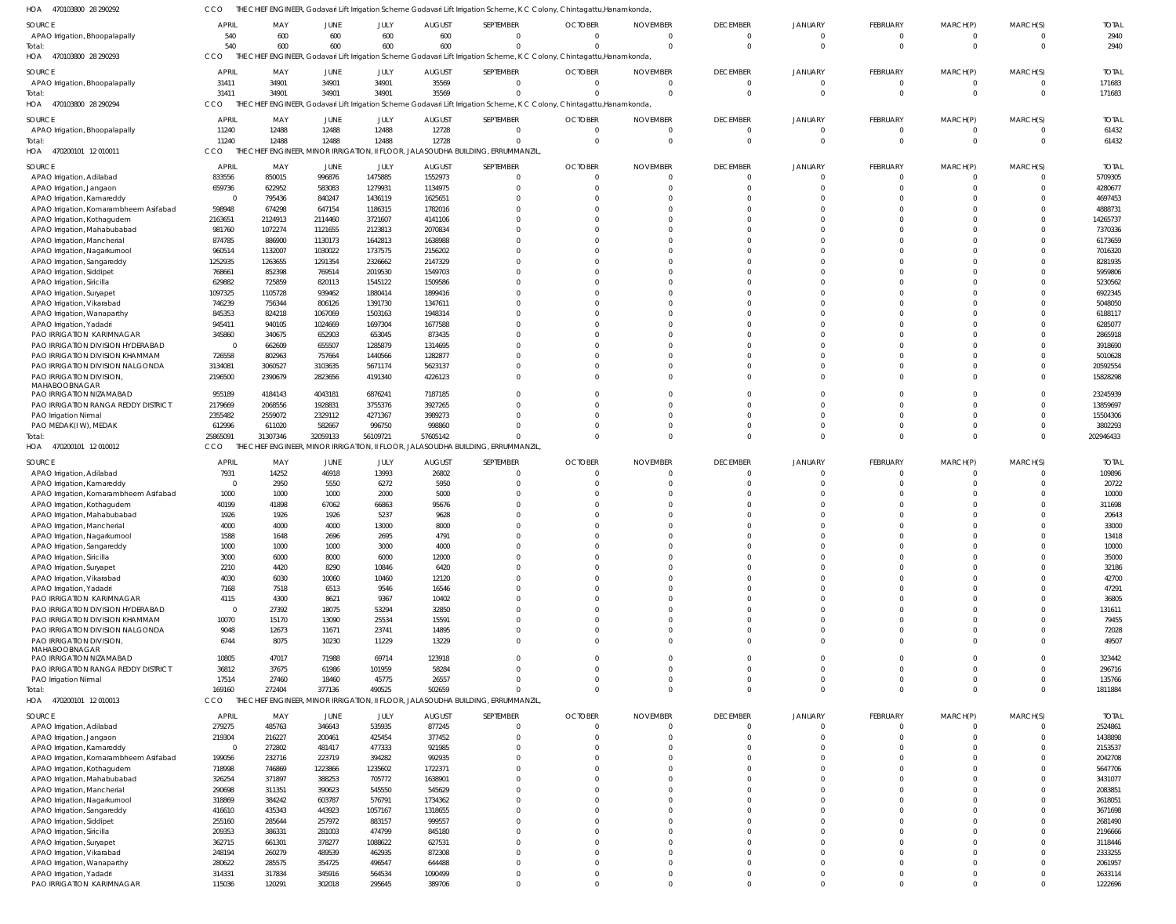| HOA 470103800 28 290292                                             | CCO                      |                    |                    |                    |                          | THE CHIEF ENGINEER, Godavari Lift Irrigation Scheme Godavari Lift Irrigation Scheme, K C Colony, Chintagattu, Hanamkonda  |                      |                             |                      |                      |                                  |                      |                            |                         |
|---------------------------------------------------------------------|--------------------------|--------------------|--------------------|--------------------|--------------------------|---------------------------------------------------------------------------------------------------------------------------|----------------------|-----------------------------|----------------------|----------------------|----------------------------------|----------------------|----------------------------|-------------------------|
| SOURCE                                                              | APRIL                    | MAY                | JUNE               | JULY               | <b>AUGUST</b>            | SEPTEMBER                                                                                                                 | <b>OCTOBER</b>       | <b>NOVEMBER</b>             | <b>DECEMBER</b>      | <b>JANUARY</b>       | <b>FEBRUARY</b>                  | MARCH(P)             | MARCH(S)                   | <b>TOTAL</b>            |
| APAO Irrigation, Bhoopalapally                                      | 540                      | 600                | 600                | 600                | 600                      | $\mathbf{0}$                                                                                                              | $\Omega$             | $\Omega$                    | $\Omega$             | $\Omega$             | $\overline{0}$                   | 0                    | $\overline{0}$             | 2940                    |
| iotal:                                                              | 540                      | 600                | 600                | 600                | 600                      | $\Omega$                                                                                                                  | $\Omega$             | $\Omega$                    | $\Omega$             | $\Omega$             | $\mathbf 0$                      | $\mathbf 0$          | $\overline{0}$             | 2940                    |
| HOA 470103800 28 290293                                             | CCO                      |                    |                    |                    |                          | THE CHIEF ENGINEER, Godavari Lift Irrigation Scheme Godavari Lift Irrigation Scheme, K C Colony, Chintagattu, Hanamkonda, |                      |                             |                      |                      |                                  |                      |                            |                         |
| SOURCE                                                              | APRIL                    | MAY                | JUNE               | JULY               | <b>AUGUST</b>            | SEPTEMBER                                                                                                                 | <b>OCTOBER</b>       | <b>NOVEMBER</b>             | <b>DECEMBER</b>      | <b>JANUARY</b>       | <b>FEBRUARY</b>                  | MARCH(P)             | MARCH(S)                   | <b>TOTAL</b>            |
| APAO Irrigation, Bhoopalapally                                      | 31411                    | 34901              | 34901              | 34901              | 35569                    | $\Omega$                                                                                                                  | $\Omega$             | $\Omega$                    | $\Omega$             | $\Omega$             | $\overline{0}$                   | 0                    | $\overline{0}$             | 171683                  |
| Total:                                                              | 31411<br>CCO             | 34901              | 34901              | 34901              | 35569                    |                                                                                                                           |                      | $\Omega$                    | $\Omega$             | $\Omega$             | $\Omega$                         | $\Omega$             | $\Omega$                   | 171683                  |
| HOA 470103800 28 290294                                             |                          | THE CHIEF          |                    |                    |                          | ENGINEER, Godavari Lift Irrigation Scheme Godavari Lift Irrigation Scheme, K C Colony, Chintagattu, Hanamkonda            |                      |                             |                      |                      |                                  |                      |                            |                         |
| SOURCE                                                              | APRIL                    | MAY                | JUNE               | JULY               | <b>AUGUST</b>            | SEPTEMBER                                                                                                                 | <b>OCTOBER</b>       | <b>NOVEMBER</b>             | <b>DECEMBER</b>      | JANUARY              | <b>FEBRUARY</b>                  | MARCH(P)             | MARCH(S)                   | <b>TOTAL</b>            |
| APAO Irrigation, Bhoopalapally                                      | 11240<br>11240           | 12488<br>12488     | 12488<br>12488     | 12488<br>12488     | 12728<br>12728           | $\overline{0}$<br>$\Omega$                                                                                                | $\Omega$<br>$\Omega$ | $\Omega$<br>$\Omega$        | $\Omega$<br>$\Omega$ | $\Omega$<br>$\Omega$ | $\overline{0}$<br>$\overline{0}$ | 0<br>$\mathbf{0}$    | $\overline{0}$<br>$\Omega$ | 61432<br>61432          |
| HOA 470200101 12010011                                              | CCO                      | THE CHIEF          |                    |                    |                          | ENGINEER, MINOR IRRIGATION, II FLOOR, JALASOUDHA BUILDING, ERRUMMANZIL                                                    |                      |                             |                      |                      |                                  |                      |                            |                         |
|                                                                     | APRIL                    | MAY                |                    |                    |                          | SEPTEMBER                                                                                                                 | <b>OCTOBER</b>       |                             | <b>DECEMBER</b>      |                      | <b>FEBRUARY</b>                  |                      |                            |                         |
| SOURCE<br>APAO Irrigation, Adilabad                                 | 833556                   | 850015             | JUNE<br>996876     | JULY<br>1475885    | <b>AUGUST</b><br>1552973 | $\Omega$                                                                                                                  | $\Omega$             | <b>NOVEMBER</b><br>$\Omega$ | $\Omega$             | JANUARY<br>0         | $\Omega$                         | MARCH(P)<br>C        | MARCH(S)<br>$\Omega$       | <b>TOTAL</b><br>5709305 |
| APAO Irrigation, Jangaon                                            | 659736                   | 622952             | 583083             | 1279931            | 1134975                  |                                                                                                                           | C.                   | $\Omega$                    |                      |                      | $\Omega$                         |                      | $\Omega$                   | 4280677                 |
| APAO Irrigation, Kamareddy                                          | $\Omega$                 | 795436             | 840247             | 1436119            | 1625651                  |                                                                                                                           | -C                   |                             |                      |                      |                                  |                      |                            | 4697453                 |
| APAO Irrigation, Komarambheem Asifabad                              | 598948                   | 674298             | 647154             | 1186315            | 1782016                  |                                                                                                                           | -C                   | $\Omega$                    |                      |                      | $\Omega$                         |                      |                            | 4888731                 |
| APAO Irrigation, Kothagudem                                         | 2163651                  | 2124913            | 2114460            | 3721607            | 4141106                  |                                                                                                                           | -C                   |                             |                      |                      | $\Omega$                         |                      |                            | 14265737                |
| APAO Irrigation, Mahabubabad<br>APAO Irrigation, Mancherial         | 981760<br>874785         | 1072274<br>886900  | 1121655<br>1130173 | 2123813<br>1642813 | 2070834<br>1638988       |                                                                                                                           |                      |                             |                      |                      |                                  |                      |                            | 7370336<br>6173659      |
| APAO Irrigation, Nagarkurnool                                       | 960514                   | 1132007            | 1030022            | 1737575            | 2156202                  |                                                                                                                           | -C                   | $\Omega$                    |                      |                      | $\Omega$                         |                      |                            | 7016320                 |
| APAO Irrigation, Sangareddy                                         | 1252935                  | 1263655            | 1291354            | 2326662            | 2147329                  |                                                                                                                           | -C                   |                             |                      |                      | $\Omega$                         |                      |                            | 8281935                 |
| APAO Irrigation, Siddipet                                           | 768661                   | 852398             | 769514             | 2019530            | 1549703                  |                                                                                                                           |                      |                             |                      |                      |                                  |                      |                            | 5959806                 |
| APAO Irrigation, Siricilla                                          | 629882                   | 725859             | 820113             | 1545122            | 1509586                  |                                                                                                                           | -C                   |                             |                      |                      | $\Omega$                         |                      |                            | 5230562                 |
| APAO Irrigation, Suryapet<br>APAO Irrigation, Vikarabad             | 1097325<br>746239        | 1105728<br>756344  | 939462<br>806126   | 1880414<br>1391730 | 1899416<br>1347611       |                                                                                                                           | -C                   | $\Omega$                    |                      |                      | $\Omega$<br>$\Omega$             |                      |                            | 6922345<br>5048050      |
| APAO Irrigation, Wanaparthy                                         | 845353                   | 824218             | 1067069            | 1503163            | 1948314                  |                                                                                                                           |                      |                             |                      |                      | $\Omega$                         |                      |                            | 6188117                 |
| APAO Irrigation, Yadadri                                            | 945411                   | 940105             | 1024669            | 1697304            | 1677588                  |                                                                                                                           | -C                   | -C                          |                      |                      | $\Omega$                         |                      | <sup>0</sup>               | 6285077                 |
| PAO IRRIGATION KARIMNAGAR                                           | 345860                   | 340675             | 652903             | 653045             | 873435                   |                                                                                                                           |                      |                             |                      |                      | $\Omega$                         |                      |                            | 2865918                 |
| PAO IRRIGATION DIVISION HYDERABAD                                   | $\Omega$                 | 662609             | 655507             | 1285879            | 1314695                  |                                                                                                                           | -C                   | $\Omega$                    |                      |                      | $\Omega$                         |                      | <sup>0</sup>               | 3918690                 |
| PAO IRRIGATION DIVISION KHAMMAM<br>PAO IRRIGATION DIVISION NALGONDA | 726558<br>3134081        | 802963<br>3060527  | 757664<br>3103635  | 1440566<br>5671174 | 1282877<br>5623137       |                                                                                                                           | -C<br>-C             |                             |                      |                      | $\Omega$<br>$\Omega$             | C                    | $\Omega$                   | 5010628<br>20592554     |
| PAO IRRIGATION DIVISION,<br>MAHABOOBNAGAR                           | 2196500                  | 2390679            | 2823656            | 4191340            | 4226123                  | <sup>0</sup>                                                                                                              | -C                   | $\Omega$                    |                      |                      | $\Omega$                         | $\Omega$             | <sup>0</sup>               | 15828298                |
| PAO IRRIGATION NIZAMABAD                                            | 955189                   | 4184143            | 4043181            | 6876241            | 7187185                  | <sup>0</sup>                                                                                                              | $\Omega$             | $\Omega$                    | <sup>0</sup>         |                      | $\Omega$                         | C                    | $\Omega$                   | 23245939                |
| PAO IRRIGATION RANGA REDDY DISTRICT                                 | 2179669                  | 2068556            | 1928831            | 3755376            | 3927265                  |                                                                                                                           | -C                   | $\Omega$                    |                      | $\Omega$             | $\Omega$                         |                      |                            | 13859697                |
| PAO Irrigation Nirmal                                               | 2355482                  | 2559072            | 2329112            | 4271367            | 3989273                  |                                                                                                                           | -C                   | $\Omega$                    |                      | $\Omega$             | $\Omega$                         | C                    | $\Omega$                   | 15504306                |
| PAO MEDAK(I W), MEDAK<br>iotal:                                     | 612996<br>2586509        | 611020<br>31307346 | 582667<br>32059133 | 996750<br>56109721 | 998860<br>57605142       |                                                                                                                           | C.<br>$\Omega$       | $\Omega$<br>$\Omega$        | $\Omega$             | $\Omega$<br>$\Omega$ | $\Omega$<br>$\Omega$             | $\Omega$<br>$\Omega$ | $\Omega$<br>$\Omega$       | 3802293<br>202946433    |
| HOA 470200101 12010012                                              | CCO                      |                    |                    |                    |                          | THE CHIEF ENGINEER, MINOR IRRIGATION, II FLOOR, JALASOUDHA BUILDING, ERRUMMANZIL                                          |                      |                             |                      |                      |                                  |                      |                            |                         |
| SOURCE                                                              | APRIL                    | MAY                | JUNE               | JULY               | <b>AUGUST</b>            | SEPTEMBER                                                                                                                 | <b>OCTOBER</b>       | <b>NOVEMBER</b>             | <b>DECEMBER</b>      | JANUARY              | <b>FEBRUARY</b>                  | MARCH(P)             | MARCH(S)                   | <b>TOTAL</b>            |
| APAO Irrigation, Adilabad                                           | 7931                     | 14252              | 46918              | 13993              | 26802                    | $\Omega$                                                                                                                  | $\Omega$             | $\Omega$                    | $\Omega$             | $\Omega$             | $\Omega$                         | $\Omega$             | $\Omega$                   | 109896                  |
|                                                                     |                          |                    |                    |                    |                          |                                                                                                                           |                      |                             |                      |                      |                                  |                      |                            |                         |
| APAO Irrigation, Kamareddy                                          | $\Omega$                 | 2950               | 5550               | 6272               | 5950                     | $\Omega$                                                                                                                  | $\Omega$             | $\Omega$                    | $\Omega$             |                      | $\Omega$                         | $\Omega$             | $\Omega$                   | 20722                   |
| APAO Irrigation, Komarambheem Asifabad                              | 1000                     | 1000               | 1000               | 2000               | 5000                     |                                                                                                                           | -C                   |                             |                      |                      | $\Omega$                         |                      | $\Omega$                   | 10000                   |
| APAO Irrigation, Kothagudem                                         | 40199                    | 41898              | 67062              | 66863              | 95676                    |                                                                                                                           | -C                   | -C                          |                      |                      | $\Omega$                         |                      | $\Omega$                   | 311698                  |
| APAO Irrigation, Mahabubabad                                        | 1926                     | 1926               | 1926               | 5237               | 9628                     |                                                                                                                           |                      |                             |                      |                      |                                  |                      |                            | 20643                   |
| APAO Irrigation, Mancherial                                         | 4000                     | 4000               | 4000               | 13000              | 8000                     | $\Omega$                                                                                                                  | $\Omega$             | $\Omega$                    | $\Omega$             | $\Omega$<br>$\Omega$ | $\Omega$                         | $\Omega$             | $\Omega$<br>$\Omega$       | 33000                   |
| APAO Irrigation, Nagarkurnool<br>APAO Irrigation, Sangareddy        | 1588<br>1000             | 1648<br>1000       | 2696<br>1000       | 2695<br>3000       | 4791<br>4000             | $\Omega$                                                                                                                  | $\Omega$             | $\Omega$                    | $\Omega$             | $\Omega$             | $\Omega$                         | $\Omega$             | $\Omega$                   | 13418<br>10000          |
| APAO Irrigation, Siricilla                                          | 3000                     | 6000               | 8000               | 6000               | 12000                    | $\Omega$                                                                                                                  | $\Omega$             | $\Omega$                    | $\Omega$             | $\Omega$             | $\Omega$                         | $\Omega$             | $\Omega$                   | 35000                   |
| APAO Irrigation, Suryapet                                           | 2210                     | 4420               | 8290               | 10846              | 6420                     | $\Omega$                                                                                                                  | $\Omega$             | $\Omega$                    | $\Omega$             | $\Omega$             | $\Omega$                         | $\Omega$             | $\Omega$                   | 32186                   |
| APAO Irrigation, Vikarabad                                          | 4030                     | 6030               | 10060              | 10460              | 12120                    | $\Omega$                                                                                                                  | $\Omega$             | $\Omega$                    | $\Omega$             | $\Omega$             | $\Omega$                         | $\Omega$             | $\Omega$                   | 42700                   |
| APAO Irrigation, Yadadri                                            | 7168                     | 7518               | 6513               | 9546               | 16546                    | $\Omega$<br>$\Omega$                                                                                                      | $\Omega$             | $\Omega$<br>$\Omega$        | $\Omega$<br>$\Omega$ | $\Omega$             | $\Omega$                         | $\Omega$             | $\Omega$                   | 47291                   |
| PAO IRRIGATION KARIMNAGAR<br>PAO IRRIGATION DIVISION HYDERABAD      | 4115<br>$\overline{0}$   | 4300<br>27392      | 8621<br>18075      | 9367<br>53294      | 10402<br>32850           | $\Omega$                                                                                                                  | $\Omega$<br>$\Omega$ | $\Omega$                    | $\Omega$             | $\Omega$<br>$\Omega$ | $\Omega$<br>$\Omega$             | $\Omega$<br>$\Omega$ | $\Omega$<br>$\Omega$       | 36805<br>131611         |
| PAO IRRIGATION DIVISION KHAMMAM                                     | 10070                    | 15170              | 13090              | 25534              | 15591                    | $\Omega$                                                                                                                  | $\Omega$             | $\Omega$                    |                      | $\Omega$             | $\Omega$                         | $\Omega$             | $\Omega$                   | 79455                   |
| PAO IRRIGATION DIVISION NALGONDA                                    | 9048                     | 12673              | 11671              | 23741              | 14895                    | $\Omega$                                                                                                                  | $\Omega$             | $\Omega$                    | $\Omega$             | $\Omega$             | $\Omega$                         | $\mathbf 0$          | $\Omega$                   | 72028                   |
| PAO IRRIGATION DIVISION,                                            | 6744                     | 8075               | 10230              | 11229              | 13229                    | $\Omega$                                                                                                                  | $\Omega$             | $\Omega$                    | $\Omega$             | $\Omega$             | $\Omega$                         | $\Omega$             | $\Omega$                   | 49507                   |
| MAHABOOBNAGAR<br>PAO IRRIGATION NIZAMABAD                           | 10805                    | 47017              | 71988              | 69714              | 123918                   | $\Omega$                                                                                                                  | $\Omega$             | $\Omega$                    | $\Omega$             | $\Omega$             | $\Omega$                         | $\Omega$             | $\Omega$                   | 323442                  |
| PAO IRRIGATION RANGA REDDY DISTRICT                                 | 36812                    | 37675              | 61986              | 101959             | 58284                    | $\Omega$                                                                                                                  | $\Omega$             | $\Omega$                    | $\Omega$             | $\Omega$             | $\Omega$                         | $\Omega$             | $\Omega$                   | 296716                  |
| PAO Irrigation Nirmal                                               | 17514                    | 27460              | 18460              | 45775              | 26557                    | $\Omega$                                                                                                                  | $\Omega$             | $\Omega$                    | $\Omega$             | $\Omega$             | $\mathbf 0$                      | $\mathbf 0$          | $\Omega$                   | 135766                  |
| Total:                                                              | 169160                   | 272404             | 377136             | 490525             | 502659                   | $\Omega$                                                                                                                  | $\Omega$             | $\Omega$                    | $\Omega$             | $\Omega$             | $\Omega$                         | $\Omega$             | $\Omega$                   | 1811884                 |
| HOA 470200101 12010013                                              | CCO                      |                    |                    |                    |                          | THE CHIEF ENGINEER, MINOR IRRIGATION, II FLOOR, JALASOUDHA BUILDING, ERRUMMANZIL,                                         |                      |                             |                      |                      |                                  |                      |                            |                         |
| SOURCE                                                              | APRIL                    | MAY                | JUNE               | JULY               | <b>AUGUST</b>            | SEPTEMBER                                                                                                                 | <b>OCTOBER</b>       | <b>NOVEMBER</b>             | <b>DECEMBER</b>      | <b>JANUARY</b>       | FEBRUARY                         | MARCH(P)             | MARCH(S)                   | <b>TOTAL</b>            |
| APAO Irrigation, Adilabad                                           | 279275                   | 485763             | 346643             | 535935             | 877245                   | $\Omega$<br>$\Omega$                                                                                                      | $\Omega$<br>$\Omega$ | $\Omega$<br>$\Omega$        | $\Omega$<br>$\Omega$ | $\Omega$<br>$\Omega$ | $\overline{0}$<br>$\Omega$       | 0<br>$\Omega$        | $\overline{0}$<br>$\Omega$ | 2524861                 |
| APAO Irrigation, Jangaon<br>APAO Irrigation, Kamareddy              | 219304<br>$\overline{0}$ | 216227<br>272802   | 200461<br>481417   | 425454<br>477333   | 377452<br>921985         | $\Omega$                                                                                                                  | $\Omega$             | $\Omega$                    | $\Omega$             | $\Omega$             | $\Omega$                         | $\Omega$             | $\Omega$                   | 1438898<br>2153537      |
| APAO Irrigation, Komarambheem Asifabad                              | 199056                   | 232716             | 223719             | 394282             | 992935                   | $\Omega$                                                                                                                  | $\Omega$             | $\Omega$                    | $\Omega$             | $\Omega$             | $\Omega$                         | $\Omega$             | $\Omega$                   | 2042708                 |
| APAO Irrigation, Kothagudem                                         | 718998                   | 746869             | 1223866            | 1235602            | 1722371                  | U                                                                                                                         | -C                   | $\Omega$                    |                      | $\Omega$             | $\Omega$                         | $\Omega$             | $\Omega$                   | 5647706                 |
| APAO Irrigation, Mahabubabad                                        | 326254                   | 371897             | 388253             | 705772             | 1638901                  | U                                                                                                                         | $\Omega$             | $\Omega$                    | $\Omega$             | $\Omega$             | $\Omega$                         | $\Omega$             | $\Omega$                   | 3431077                 |
| APAO Irrigation, Mancherial                                         | 290698                   | 311351             | 390623             | 545550             | 545629                   | U<br>U                                                                                                                    | $\Omega$<br>$\Omega$ | $\Omega$<br>$\Omega$        | $\Omega$             | $\Omega$<br>$\Omega$ | $\Omega$<br>$\Omega$             | $\Omega$<br>$\Omega$ | $\Omega$<br>$\Omega$       | 2083851                 |
| APAO Irrigation, Nagarkurnool<br>APAO Irrigation, Sangareddy        | 318869<br>416610         | 384242<br>435343   | 603787<br>443923   | 576791<br>1057167  | 1734362<br>1318655       | U                                                                                                                         | $\Omega$             | $\Omega$                    |                      | $\Omega$             | $\Omega$                         | $\Omega$             | $\Omega$                   | 3618051<br>3671698      |
| APAO Irrigation, Siddipet                                           | 255160                   | 285644             | 257972             | 883157             | 999557                   | U                                                                                                                         | $\Omega$             | $\Omega$                    | $\Omega$             | $\Omega$             | $\Omega$                         | $\Omega$             | $\Omega$                   | 2681490                 |
| APAO Irrigation, Siricilla                                          | 209353                   | 386331             | 281003             | 474799             | 845180                   | 0                                                                                                                         | $\Omega$             | $\Omega$                    | $\Omega$             | $\Omega$             | $\Omega$                         | $\Omega$             | $\Omega$                   | 2196666                 |
| APAO Irrigation, Suryapet                                           | 362715                   | 661301             | 378277             | 1088622            | 627531                   | U                                                                                                                         | $\Omega$             | $\Omega$                    |                      | $\Omega$             | $\Omega$                         | $\Omega$             | $\Omega$                   | 3118446                 |
| APAO Irrigation, Vikarabad                                          | 248194                   | 260279             | 489539             | 462935             | 872308                   | U                                                                                                                         | -C<br>$\Omega$       | $\Omega$<br>$\Omega$        | $\Omega$             | $\Omega$<br>$\Omega$ | $\Omega$<br>$\Omega$             | $\Omega$<br>$\Omega$ | $\Omega$<br>$\Omega$       | 2333255                 |
| APAO Irrigation, Wanaparthy<br>APAO Irrigation, Yadadri             | 280622<br>314331         | 285575<br>317834   | 354725<br>345916   | 496547<br>564534   | 644488<br>1090499        | $\Omega$                                                                                                                  | $\Omega$             | $\Omega$                    | $\Omega$             | $\Omega$             | $\mathbf{0}$                     | $\mathbf 0$          | $\Omega$                   | 2061957<br>2633114      |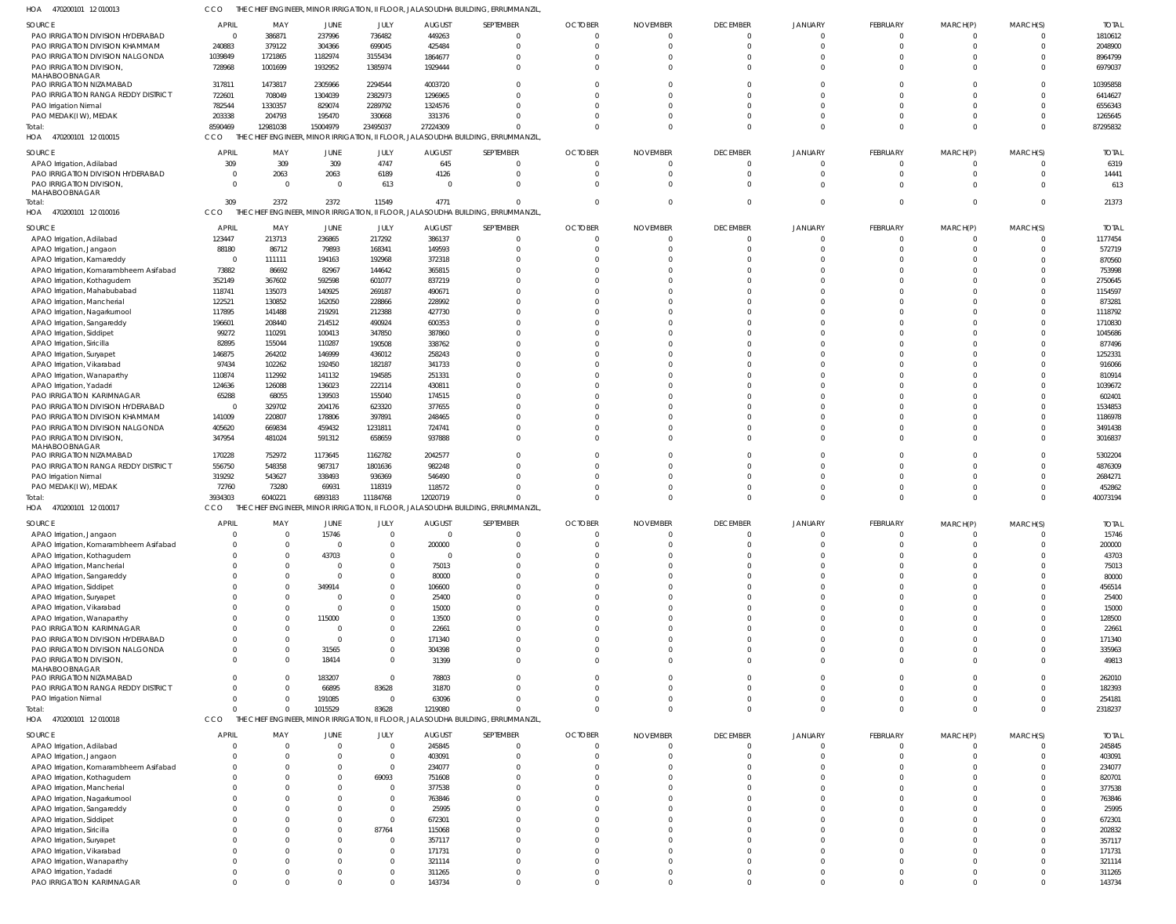| HOA<br>470200101 12 010013                            | cco                 |                 |                             |                            |                         | the Chief Engineer, Minor Irrigation, II floor, Jalasoudha Building, Errummanzil |                            |                             |                                   |                               |                      |                      |                      |                        |
|-------------------------------------------------------|---------------------|-----------------|-----------------------------|----------------------------|-------------------------|----------------------------------------------------------------------------------|----------------------------|-----------------------------|-----------------------------------|-------------------------------|----------------------|----------------------|----------------------|------------------------|
| <b>SOURCE</b>                                         | APRIL               | MAY             | <b>JUNE</b>                 | JULY                       | <b>AUGUST</b>           | SEPTEMBER                                                                        | <b>OCTOBER</b>             | <b>NOVEMBER</b>             | <b>DECEMBER</b>                   | <b>JANUARY</b>                | FEBRUARY             | MARCH(P)             | MARCH(S)             | <b>TOTAI</b>           |
| PAO IRRIGATION DIVISION HYDERABAD                     | $\overline{0}$      | 386871          | 237996                      | 736482                     | 449263                  | $\Omega$                                                                         | $\Omega$                   | $\Omega$                    | $\overline{0}$                    | $\Omega$                      | $\Omega$             | - 0                  | $\Omega$             | 1810612                |
| PAO IRRIGATION DIVISION KHAMMAM                       | 240883              | 379122          | 304366                      | 699045                     | 425484                  | $\mathbf 0$                                                                      | $\Omega$                   | $\Omega$                    | $\overline{0}$                    | $\Omega$                      | $\Omega$             | $\Omega$             | $\Omega$             | 2048900                |
| PAO IRRIGATION DIVISION NALGONDA                      | 1039849             | 1721865         | 1182974                     | 3155434                    | 1864677                 | $^{\circ}$                                                                       | $\Omega$                   |                             | $\Omega$                          | $\Omega$                      |                      |                      |                      | 8964799                |
| PAO IRRIGATION DIVISION,                              | 728968              | 1001699         | 1932952                     | 1385974                    | 1929444                 | $\Omega$                                                                         | $\Omega$                   | $\Omega$                    | $\Omega$                          | $\Omega$                      | $\Omega$             | $\Omega$             | $\Omega$             | 6979037                |
| MAHABOOBNAGAR<br>PAO IRRIGATION NIZAMABAD             | 317811              | 1473817         | 2305966                     | 2294544                    | 4003720                 | $\Omega$                                                                         |                            |                             | $\Omega$                          | $\Omega$                      |                      |                      |                      | 10395858               |
| PAO IRRIGATION RANGA REDDY DISTRICT                   | 722601              | 708049          | 1304039                     | 2382973                    | 1296965                 | $\Omega$                                                                         | $\Omega$                   | $\Omega$                    | $\Omega$                          | $\Omega$                      |                      |                      |                      | 6414627                |
| PAO Irrigation Nirmal                                 | 782544              | 1330357         | 829074                      | 2289792                    | 1324576                 | $\Omega$                                                                         | <sup>0</sup>               | $\Omega$                    | $\Omega$                          | $\Omega$                      |                      |                      |                      | 6556343                |
| PAO MEDAK(IW), MEDAK                                  | 203338              | 204793          | 195470                      | 330668                     | 331376                  | $\Omega$                                                                         | $\Omega$                   | $\Omega$                    | $\Omega$                          | $\Omega$                      |                      | $\Omega$             | $\Omega$             | 1265645                |
| Total:                                                | 8590469             | 12981038        | 15004979                    | 23495037                   | 27224309                | $\Omega$                                                                         | $\Omega$                   | $\Omega$                    | $\Omega$                          | $\Omega$                      | $\Omega$             | $\Omega$             | $\Omega$             | 87295832               |
| 470200101 12 010015<br>HOA                            | CCO                 |                 |                             |                            |                         | THE CHIEF ENGINEER, MINOR IRRIGATION, II FLOOR, JALASOUDHA BUILDING, ERRUMMANZIL |                            |                             |                                   |                               |                      |                      |                      |                        |
| SOURCE                                                | <b>APRIL</b>        | MAY             | <b>JUNE</b>                 | JULY                       | <b>AUGUST</b>           | SEPTEMBER                                                                        | <b>OCTOBER</b>             | <b>NOVEMBER</b>             | <b>DECEMBER</b>                   | <b>JANUARY</b>                | FEBRUARY             | MARCH(P)             | MARCH(S)             | <b>TOTAL</b>           |
| APAO Irrigation, Adilabad                             | 309                 | 309             | 309                         | 4747                       | 645                     | $\mathbf 0$                                                                      | $\mathbf 0$                | 0                           | $\overline{0}$                    | $\mathbf 0$                   | $\Omega$             | $\Omega$             | $\mathbf 0$          | 6319                   |
| PAO IRRIGATION DIVISION HYDERABAD                     | $\Omega$            | 2063            | 2063                        | 6189                       | 4126                    | $\mathbf{0}$                                                                     | $\Omega$                   | $\Omega$                    | $\overline{0}$                    | $\overline{0}$                | $\Omega$             | $\mathbf 0$          | $\Omega$             | 14441                  |
| PAO IRRIGATION DIVISION,                              | $\Omega$            | $\Omega$        | $\overline{0}$              | 613                        | $\Omega$                | $\Omega$                                                                         | $\Omega$                   | $\Omega$                    | $\Omega$                          | $\Omega$                      | $\Omega$             | $\Omega$             | $\Omega$             | 613                    |
| MAHABOOBNAGAR                                         |                     |                 |                             |                            |                         |                                                                                  |                            |                             |                                   |                               |                      |                      |                      |                        |
| Total:                                                | 309                 | 2372            | 2372                        | 11549                      | 4771                    | $\Omega$                                                                         | $\Omega$                   | $\Omega$                    | $\overline{0}$                    | $\overline{0}$                | $\Omega$             | $\Omega$             | $\mathbf 0$          | 21373                  |
| HOA 470200101 12 010016                               | CCO                 |                 |                             |                            |                         | THE CHIEF ENGINEER, MINOR IRRIGATION, II FLOOR, JALASOUDHA BUILDING, ERRUMMANZIL |                            |                             |                                   |                               |                      |                      |                      |                        |
| SOURCE                                                | <b>APRIL</b>        | MAY             | <b>JUNE</b>                 | JULY                       | <b>AUGUST</b>           | SEPTEMBER                                                                        | <b>OCTOBER</b>             | <b>NOVEMBER</b>             | <b>DECEMBER</b>                   | <b>JANUARY</b>                | FEBRUARY             | MARCH(P)             | MARCH(S)             | <b>TOTAL</b>           |
| APAO Irrigation, Adilabad                             | 123447              | 213713          | 236865                      | 217292                     | 386137                  | $\overline{0}$                                                                   | $\Omega$                   | $\Omega$                    | $\overline{0}$                    | $\Omega$                      | $\Omega$             | $\Omega$             | $\Omega$             | 1177454                |
| APAO Irrigation, Jangaon                              | 88180               | 86712           | 79893                       | 168341                     | 149593                  | $\Omega$                                                                         | $\Omega$                   |                             | $\overline{0}$                    | $\Omega$                      | $\Omega$             |                      | $\Omega$             | 572719                 |
| APAO Irrigation, Kamareddy                            | $\overline{0}$      | 111111          | 194163                      | 192968                     | 372318                  | $\Omega$                                                                         | $\Omega$                   |                             | $\Omega$                          | $\Omega$                      |                      |                      |                      | 870560                 |
| APAO Irrigation, Komarambheem Asifabad                | 73882               | 86692           | 82967                       | 144642                     | 365815                  | $\Omega$                                                                         |                            |                             | $\Omega$                          | $\Omega$                      |                      |                      |                      | 753998                 |
| APAO Irrigation, Kothagudem                           | 352149              | 367602          | 592598                      | 601077                     | 837219                  | $\Omega$                                                                         |                            |                             | $\Omega$                          | $\Omega$                      |                      |                      |                      | 2750645                |
| APAO Irrigation, Mahabubabad                          | 118741              | 135073          | 140925                      | 269187                     | 490671                  | $\Omega$                                                                         |                            | $\Omega$                    | $\Omega$                          | $\Omega$                      |                      |                      |                      | 1154597                |
| APAO Irrigation, Mancherial                           | 122521              | 130852          | 162050                      | 228866                     | 228992                  | $\Omega$                                                                         |                            |                             | $\Omega$                          | $\Omega$                      |                      |                      |                      | 873281                 |
| APAO Irrigation, Nagarkurnool                         | 117895              | 141488          | 219291                      | 212388                     | 427730                  | $\Omega$                                                                         | $\Omega$                   |                             | $\Omega$                          | $\Omega$                      |                      |                      | $\Omega$             | 1118792                |
| APAO Irrigation, Sangareddy                           | 196601              | 208440          | 214512                      | 490924                     | 600353                  | $\Omega$                                                                         |                            |                             | $\Omega$                          | $\Omega$                      |                      |                      |                      | 1710830                |
| APAO Irrigation, Siddipet                             | 99272               | 110291          | 100413                      | 347850                     | 387860                  | $\Omega$                                                                         | $\Omega$                   | U                           | $\Omega$                          | $\Omega$                      |                      |                      |                      | 1045686                |
| APAO Irrigation, Siricilla                            | 82895               | 155044          | 110287                      | 190508                     | 338762                  | $\Omega$                                                                         |                            |                             | $\Omega$                          | $\Omega$                      |                      |                      |                      | 877496                 |
| APAO Irrigation, Suryapet                             | 146875              | 264202          | 146999                      | 436012                     | 258243                  | $\Omega$                                                                         |                            |                             | $\Omega$                          | $\Omega$                      |                      |                      |                      | 1252331                |
| APAO Irrigation, Vikarabad                            | 97434               | 102262          | 192450                      | 182187                     | 341733                  | $\Omega$                                                                         |                            | $\Omega$                    | $\Omega$                          | $\Omega$                      |                      |                      |                      | 916066                 |
| APAO Irrigation, Wanaparthy                           | 110874              | 112992          | 141132                      | 194585                     | 251331                  | $\Omega$                                                                         |                            |                             | $\Omega$<br>$\Omega$              | $\Omega$<br>$\Omega$          |                      |                      |                      | 810914                 |
| APAO Irrigation, Yadadr<br>PAO IRRIGATION KARIMNAGAR  | 124636<br>65288     | 126088<br>68055 | 136023<br>139503            | 222114<br>155040           | 430811<br>174515        | $\Omega$<br>$\Omega$                                                             |                            |                             | $\Omega$                          | $\Omega$                      |                      |                      |                      | 1039672<br>602401      |
| PAO IRRIGATION DIVISION HYDERABAD                     | $\overline{0}$      | 329702          | 204176                      | 623320                     | 377655                  | $\Omega$                                                                         |                            |                             | $\Omega$                          | $\Omega$                      |                      |                      |                      | 1534853                |
| PAO IRRIGATION DIVISION KHAMMAM                       | 141009              | 220807          | 178806                      | 397891                     | 248465                  | $\Omega$                                                                         | <sup>0</sup>               | $\Omega$                    | $\Omega$                          | $\Omega$                      |                      |                      | $\Omega$             | 1186978                |
| PAO IRRIGATION DIVISION NALGONDA                      | 405620              | 669834          | 459432                      | 1231811                    | 724741                  | $\Omega$                                                                         | $\Omega$                   |                             | $\Omega$                          | $\Omega$                      |                      | $\Omega$             |                      | 3491438                |
| PAO IRRIGATION DIVISION,                              | 347954              | 481024          | 591312                      | 658659                     | 937888                  | $\Omega$                                                                         | $\Omega$                   | $\Omega$                    | $\Omega$                          | $\Omega$                      |                      |                      | $\Omega$             | 3016837                |
| MAHABOOBNAGAR                                         |                     |                 |                             |                            |                         |                                                                                  |                            |                             |                                   |                               |                      |                      |                      |                        |
| PAO IRRIGATION NIZAMABAD                              | 170228              | 752972          | 1173645                     | 1162782                    | 2042577                 | $\Omega$                                                                         | <sup>0</sup>               |                             | $\Omega$                          | $\Omega$                      |                      |                      |                      | 5302204                |
| PAO IRRIGATION RANGA REDDY DISTRICT                   | 556750              | 548358          | 987317                      | 1801636                    | 982248                  | $\Omega$                                                                         | $\Omega$                   | $\Omega$                    | $\Omega$                          | $\Omega$                      |                      |                      | $\Omega$             | 4876309                |
| PAO Irrigation Nirmal                                 | 319292              | 543627          | 338493                      | 936369                     | 546490                  | $\Omega$                                                                         | $\Omega$                   |                             | $\Omega$                          | $\Omega$                      |                      |                      | $\Omega$             | 2684271                |
| PAO MEDAK(IW), MEDAK                                  | 72760               | 73280           | 69931                       | 118319                     | 118572                  | $\Omega$                                                                         | $\Omega$                   | <sup>0</sup>                | $\Omega$                          | $\Omega$                      | $\Omega$             | $\Omega$             | $\Omega$             | 452862                 |
| Total:                                                | 3934303             | 6040221         | 6893183                     | 11184768                   | 12020719                | $\Omega$                                                                         | $\Omega$                   | $\Omega$                    | $\Omega$                          | $\Omega$                      | $\Omega$             | $\Omega$             | $\Omega$             | 40073194               |
| HOA 470200101 12 010017                               | CCO                 |                 |                             |                            |                         | THE CHIEF ENGINEER, MINOR IRRIGATION, II FLOOR, JALASOUDHA BUILDING, ERRUMMANZIL |                            |                             |                                   |                               |                      |                      |                      |                        |
| SOURCE                                                | <b>APRIL</b>        | MAY             | <b>JUNE</b>                 | JULY                       | <b>AUGUST</b>           | SEPTEMBER                                                                        | <b>OCTOBER</b>             | <b>NOVEMBER</b>             | <b>DECEMBER</b>                   | <b>JANUARY</b>                | FEBRUARY             | MARCH(P)             | MARCH(S)             | <b>TOTAL</b>           |
| APAO Irrigation, Jangaon                              |                     |                 | 15746                       |                            |                         |                                                                                  |                            |                             |                                   |                               |                      |                      |                      | 15746                  |
| APAO Irrigation, Komarambheem Asifabad                |                     |                 | 0                           | $\mathbf 0$                | 200000                  | $\Omega$                                                                         | $\Omega$                   |                             | $\Omega$                          | $\Omega$                      |                      |                      |                      | 200000                 |
| APAO Irrigation, Kothagudem                           |                     |                 | 43703                       | $\mathbf 0$                | $\overline{0}$          | $\mathbf{0}$                                                                     | $\Omega$                   |                             | $\Omega$                          | $\Omega$                      | $\Omega$             | $\Omega$             | $\Omega$             | 43703                  |
| APAO Irrigation, Mancherial                           |                     |                 | 0                           | $\mathbf 0$                | 75013                   | $\Omega$                                                                         |                            |                             |                                   |                               |                      |                      |                      |                        |
| APAO Irrigation, Sangareddy                           |                     |                 | $\Omega$                    |                            |                         |                                                                                  | $\Omega$                   |                             | $\Omega$                          | $\Omega$                      | $\Omega$             | $\Omega$             | $\Omega$             | 75013                  |
| APAO Irrigation, Siddipet                             |                     |                 |                             | $\mathbf 0$                | 80000                   | $\mathbf{0}$                                                                     | $\Omega$                   | U                           | $\Omega$                          | $\Omega$                      |                      | $\Omega$             | $\Omega$             | 80000                  |
| APAO Irrigation, Suryapet                             |                     |                 | 349914                      | $\mathbf 0$                | 106600                  | $\Omega$                                                                         | $\Omega$                   | $\Omega$                    | $\Omega$                          | $\Omega$                      |                      | $\Omega$             | $\Omega$             | 456514                 |
| APAO Irrigation, Vikarabad                            |                     |                 |                             | $\mathbf 0$                | 25400                   | $\Omega$                                                                         | <sup>0</sup>               |                             | $\Omega$                          | $\Omega$                      |                      | $\Omega$             | $\Omega$             | 25400                  |
|                                                       |                     |                 |                             | $\mathbf 0$                | 15000                   | $\Omega$                                                                         | $\Omega$                   | $\Omega$                    | $\Omega$                          | $\Omega$                      | $\Omega$             | $\Omega$             | $\Omega$             | 15000                  |
| APAO Irrigation, Wanaparthy                           |                     |                 | 115000                      | $\mathbf 0$                | 13500                   | $\Omega$                                                                         | $\Omega$                   |                             | $\Omega$                          | $\Omega$                      |                      | $\Omega$             | $\Omega$             | 128500                 |
| PAO IRRIGATION KARIMNAGAR                             |                     |                 | $\Omega$                    | $\mathbf 0$                | 22661                   | $\Omega$                                                                         | $\Omega$                   | U                           | $\Omega$                          | $\Omega$                      | $\Omega$             | $\Omega$             | $\Omega$             | 22661                  |
| PAO IRRIGATION DIVISION HYDERABAD                     |                     |                 | $\Omega$                    | $\mathbf{0}$               | 171340                  | $\mathbf{0}$                                                                     | $\Omega$                   | <sup>0</sup>                | $\Omega$                          | $\Omega$                      |                      | $\Omega$             | $\Omega$             | 171340                 |
| PAO IRRIGATION DIVISION NALGONDA                      |                     |                 | 31565                       | $\mathbf{0}$               | 304398                  | $\Omega$                                                                         | $\Omega$                   | $\Omega$                    | $\Omega$                          | $\overline{0}$                | $\Omega$             | $\Omega$             | $\Omega$             | 335963                 |
| PAO IRRIGATION DIVISION,                              | $\Omega$            |                 | 18414                       | $\mathbf 0$                | 31399                   | $\mathbf{0}$                                                                     | $\Omega$                   | $\Omega$                    | $\Omega$                          | $\overline{0}$                | $\Omega$             | $\Omega$             | $\Omega$             | 49813                  |
| MAHABOOBNAGAR<br>PAO IRRIGATION NIZAMABAD             | $\Omega$            |                 | 183207                      | $\mathbf{0}$               | 78803                   | $\mathbf{0}$                                                                     | $\Omega$                   | <sup>0</sup>                | $\Omega$                          | $\Omega$                      | $\Omega$             | $\Omega$             | $\Omega$             | 262010                 |
| PAO IRRIGATION RANGA REDDY DISTRICT                   | -0                  |                 | 66895                       | 83628                      | 31870                   | $\mathbf 0$                                                                      | $\Omega$                   | 0                           | $\Omega$                          | $\mathbf 0$                   | $\Omega$             | $\Omega$             | $\Omega$             | 182393                 |
| PAO Irrigation Nirmal                                 | -0                  |                 | 191085                      | $\overline{0}$             | 63096                   | $\mathbf 0$                                                                      | $\Omega$                   | $\Omega$                    | $\overline{0}$                    | $\overline{0}$                | $\Omega$             | $\mathbf 0$          | $\Omega$             | 254181                 |
| Total:                                                | $\Omega$            |                 | 1015529                     | 83628                      | 1219080                 | $\Omega$                                                                         | $\Omega$                   | $\Omega$                    | $\Omega$                          | $\overline{0}$                | $\Omega$             | $\Omega$             | $\Omega$             | 2318237                |
| 470200101 12 010018<br>HOA                            | CCO                 |                 |                             |                            |                         | THE CHIEF ENGINEER, MINOR IRRIGATION, II FLOOR, JALASOUDHA BUILDING, ERRUMMANZIL |                            |                             |                                   |                               |                      |                      |                      |                        |
|                                                       |                     |                 |                             |                            |                         |                                                                                  |                            |                             |                                   |                               |                      |                      |                      |                        |
| SOURCE<br>APAO Irrigation, Adilabad                   | <b>APRIL</b><br>- 0 | MAY<br>$\Omega$ | <b>JUNE</b><br>$\mathbf{0}$ | JULY<br>$\overline{0}$     | <b>AUGUST</b><br>245845 | SEPTEMBER<br>$\overline{0}$                                                      | <b>OCTOBER</b><br>$\Omega$ | <b>NOVEMBER</b><br>$\Omega$ | <b>DECEMBER</b><br>$\overline{0}$ | <b>JANUARY</b><br>$\mathbf 0$ | FEBRUARY<br>- 0      | MARCH(P)             | MARCH(S)<br>$\Omega$ | <b>TOTAL</b><br>245845 |
| APAO Irrigation, Jangaon                              | $\Omega$            |                 |                             | $\overline{0}$             | 403091                  | $\overline{0}$                                                                   | $\Omega$                   |                             | $\overline{0}$                    | $\Omega$                      |                      |                      |                      | 403091                 |
| APAO Irrigation, Komarambheem Asifabad                | $\Omega$            |                 | 0                           | $\overline{0}$             | 234077                  | $\Omega$                                                                         | $\Omega$                   |                             | $\Omega$                          | $\Omega$                      |                      |                      | $\Omega$             | 234077                 |
| APAO Irrigation, Kothagudem                           | $\Omega$            |                 |                             | 69093                      | 751608                  | $\Omega$                                                                         | $\Omega$                   |                             | $\Omega$                          | $\Omega$                      |                      |                      |                      | 820701                 |
| APAO Irrigation, Mancherial                           | $\Omega$            |                 |                             | $\overline{0}$             | 377538                  | $\Omega$                                                                         | $\Omega$                   | $\Omega$                    | $\Omega$                          | $\Omega$                      |                      |                      |                      | 377538                 |
| APAO Irrigation, Nagarkurnool                         |                     |                 |                             | $\overline{0}$             | 763846                  | $\Omega$                                                                         |                            |                             | $\Omega$                          | $\Omega$                      |                      |                      |                      | 763846                 |
| APAO Irrigation, Sangareddy                           | - 0                 |                 |                             | $\overline{0}$             | 25995                   | $\Omega$                                                                         | $\Omega$                   |                             | $\Omega$                          | $\Omega$                      |                      |                      |                      | 25995                  |
| APAO Irrigation, Siddipet                             |                     |                 |                             | $\mathbf{0}$               | 672301                  | $\Omega$                                                                         | $\Omega$                   |                             | $\Omega$                          | $\Omega$                      |                      |                      |                      | 672301                 |
| APAO Irrigation, Siricilla                            | $\Omega$            |                 |                             | 87764                      | 115068                  | $\Omega$                                                                         | $\Omega$                   | $\Omega$                    | $\Omega$                          | $\Omega$                      |                      |                      |                      | 202832                 |
| APAO Irrigation, Suryapet                             |                     |                 |                             | $\overline{0}$             | 357117                  | $\Omega$                                                                         | $\Omega$                   |                             | $\Omega$                          | $\Omega$                      |                      |                      |                      | 357117                 |
| APAO Irrigation, Vikarabad                            | - 0                 |                 |                             | $\mathbf{0}$               | 171731                  | $\Omega$                                                                         | $\Omega$                   | $\Omega$                    | $\Omega$                          | $\Omega$                      |                      |                      |                      | 171731                 |
| APAO Irrigation, Wanaparthy                           | -0                  |                 |                             | $\mathbf{0}$               | 321114                  | $\Omega$                                                                         | $\Omega$                   | $\Omega$                    | $\Omega$                          | $\Omega$                      |                      |                      |                      | 321114                 |
| APAO Irrigation, Yadadri<br>PAO IRRIGATION KARIMNAGAR | -0<br>$\Omega$      |                 | $\Omega$                    | $\mathbf 0$<br>$\mathbf 0$ | 311265<br>143734        | $\mathbf 0$<br>$\mathbf{0}$                                                      | $\Omega$<br>$\Omega$       | $\Omega$<br>$\Omega$        | $\overline{0}$<br>$\overline{0}$  | $\mathbf 0$<br>$\mathbf 0$    | $\Omega$<br>$\Omega$ | $\Omega$<br>$\Omega$ | 0<br>$\mathbf 0$     | 311265<br>143734       |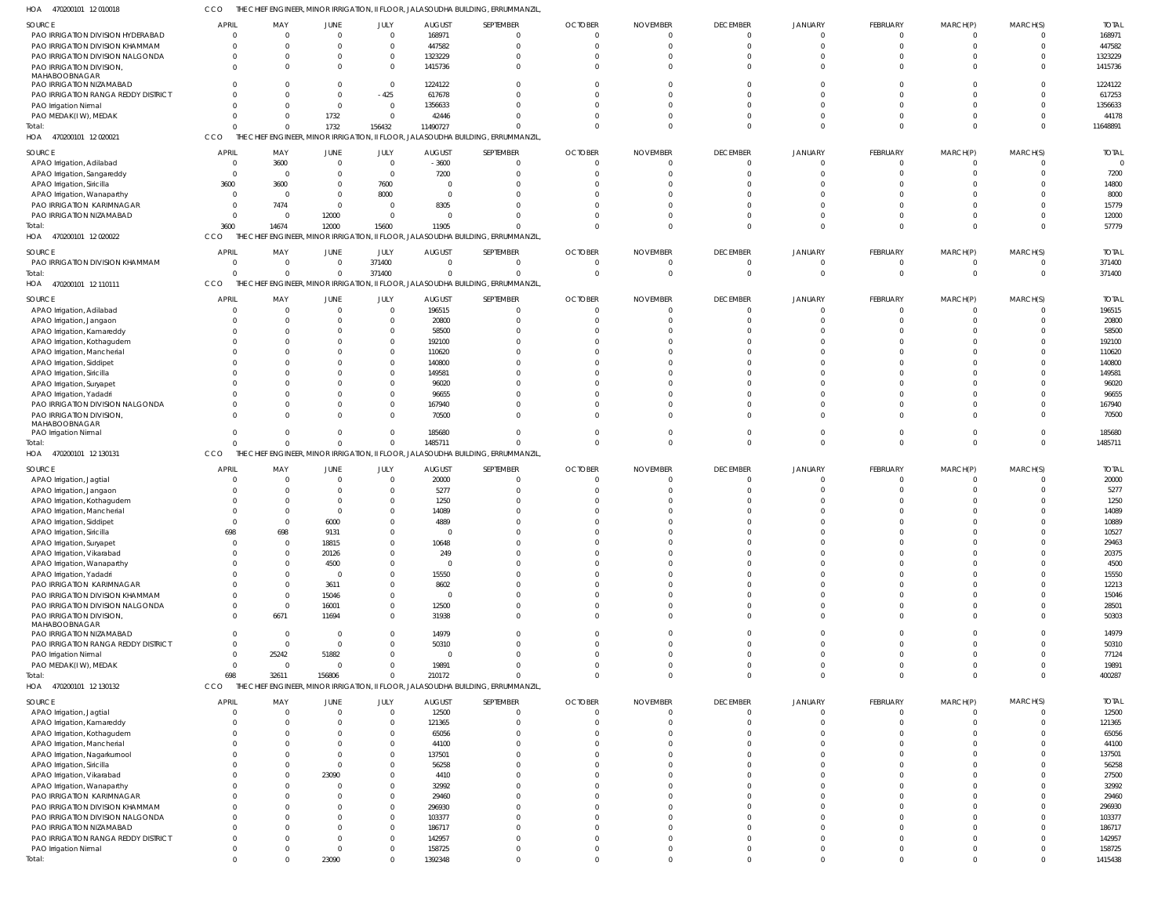470200101 12 010018 HOA CCO THE CHIEF ENGINEER, MINOR IRRIGATION, II FLOOR, JALASOUDHA BUILDING, ERRUMMANZIL,

| SOURCE                              | <b>APRIL</b>   | MAY          | JUNE           | JULY           | <b>AUGUST</b>   | SEPTEMBER                                                                        | <b>OCTOBER</b> | <b>NOVEMBER</b> | <b>DECEMBER</b> | <b>JANUARY</b> | FEBRUARY        | MARCH(P)    | MARCH(S)       | <b>TOTAL</b> |
|-------------------------------------|----------------|--------------|----------------|----------------|-----------------|----------------------------------------------------------------------------------|----------------|-----------------|-----------------|----------------|-----------------|-------------|----------------|--------------|
| PAO IRRIGATION DIVISION HYDERABAD   | $\overline{0}$ | 0            | $\overline{0}$ | $\mathbf 0$    | 168971          | $\overline{0}$                                                                   |                | - 0             | $\overline{0}$  | $\Omega$       | $\mathbf{0}$    |             | $\mathbf 0$    | 168971       |
| PAO IRRIGATION DIVISION KHAMMAM     | $\Omega$       | $\Omega$     | $\Omega$       | $\overline{0}$ | 447582          | $\Omega$                                                                         |                |                 | $\Omega$        | $\Omega$       | $\Omega$        |             | $\overline{0}$ | 447582       |
| PAO IRRIGATION DIVISION NALGONDA    | $\Omega$       | $\Omega$     | $\Omega$       | $\overline{0}$ | 1323229         | $\Omega$                                                                         |                |                 | $\Omega$        | $\Omega$       | $\Omega$        |             | $\mathbf 0$    | 1323229      |
| PAO IRRIGATION DIVISION,            | $\Omega$       | <sup>0</sup> | $\Omega$       | $\overline{0}$ | 1415736         | $\Omega$                                                                         |                |                 | $\Omega$        | $\Omega$       | $\Omega$        |             | $\Omega$       | 1415736      |
| MAHABOOBNAGAR                       |                |              |                |                |                 |                                                                                  |                |                 |                 |                |                 |             |                |              |
| PAO IRRIGATION NIZAMABAD            |                |              | $\Omega$       | $\overline{0}$ | 1224122         | $\Omega$                                                                         |                |                 | $\Omega$        | $\Omega$       | $\Omega$        |             | $\mathbf 0$    | 1224122      |
| PAO IRRIGATION RANGA REDDY DISTRICT |                |              | $\Omega$       | $-425$         | 617678          | $\Omega$                                                                         |                |                 | $\Omega$        | $\Omega$       | $\Omega$        |             | $\Omega$       | 617253       |
| PAO Irrigation Nirmal               |                |              | $\overline{0}$ | $\mathbf 0$    | 1356633         | $\Omega$                                                                         |                |                 | $\Omega$        |                |                 |             | $\mathbf 0$    | 1356633      |
| PAO MEDAK(IW), MEDAK                | <sup>0</sup>   |              | 1732           | $\overline{0}$ | 42446           | $\Omega$                                                                         |                |                 | $\Omega$        |                | $\Omega$        |             | $\Omega$       | 44178        |
| Total:                              |                |              | 1732           | 156432         | 11490727        | $\Omega$                                                                         |                |                 | $\Omega$        | $\Omega$       | $\Omega$        | $\Omega$    | $\overline{0}$ | 11648891     |
|                                     | CCO            |              |                |                |                 | THE CHIEF ENGINEER, MINOR IRRIGATION, II FLOOR, JALASOUDHA BUILDING, ERRUMMANZIL |                |                 |                 |                |                 |             |                |              |
| 470200101 12 020021<br>HOA          |                |              |                |                |                 |                                                                                  |                |                 |                 |                |                 |             |                |              |
| <b>SOURCE</b>                       | <b>APRIL</b>   | MAY          | <b>JUNE</b>    | JULY           | <b>AUGUST</b>   | SEPTEMBER                                                                        | <b>OCTOBER</b> | <b>NOVEMBER</b> | <b>DECEMBER</b> | JANUARY        | FEBRUARY        | MARCH(P)    | MARCH(S)       | <b>TOTAL</b> |
| APAO Irrigation, Adilabad           | $\Omega$       | 3600         | $\overline{0}$ | $\overline{0}$ | $-3600$         | $\Omega$                                                                         |                |                 | $\Omega$        | $\Omega$       | $\Omega$        |             | $\Omega$       |              |
| APAO Irrigation, Sangareddy         | $\Omega$       | $\Omega$     | $\Omega$       | $\overline{0}$ | 7200            | $\Omega$                                                                         |                |                 | $\Omega$        |                | $\Omega$        |             | $\Omega$       | 7200         |
|                                     |                |              | $\Omega$       |                |                 |                                                                                  |                |                 | $\Omega$        |                |                 |             | $\Omega$       | 14800        |
| APAO Irrigation, Siricilla          | 3600           | 3600         |                | 7600           |                 |                                                                                  |                |                 |                 |                |                 |             |                |              |
| APAO Irrigation, Wanaparthy         | $\Omega$       | $\Omega$     | $\Omega$       | 8000           |                 |                                                                                  |                |                 |                 |                |                 |             | $\Omega$       | 8000         |
| PAO IRRIGATION KARIMNAGAR           | $\Omega$       | 7474         | $\Omega$       | 0              | 8305            |                                                                                  |                |                 | $\Omega$        |                |                 |             | $\Omega$       | 15779        |
| PAO IRRIGATION NIZAMABAD            | $\Omega$       | $\Omega$     | 12000          | $\overline{0}$ |                 |                                                                                  |                |                 | $\Omega$        | $\Omega$       | $\Omega$        |             | $\Omega$       | 12000        |
| Total:                              | 3600           | 14674        | 12000          | 15600          | 11905           | $\Omega$                                                                         |                |                 | $\Omega$        | $\Omega$       | $\Omega$        |             | $\Omega$       | 57779        |
| 470200101 12 020022<br>HOA          | CCO<br>THE CH  |              |                |                |                 | ief Engineer, Minor Irrigation, II Floor, Jalasoudha Building, Errummanzil       |                |                 |                 |                |                 |             |                |              |
|                                     |                |              |                |                |                 |                                                                                  |                |                 |                 |                |                 |             |                |              |
| SOURCE                              | <b>APRIL</b>   | MAY          | <b>JUNE</b>    | JULY           | <b>AUGUST</b>   | SEPTEMBER                                                                        | <b>OCTOBER</b> | <b>NOVEMBER</b> | <b>DECEMBER</b> | JANUARY        | FEBRUARY        | MARCH(P)    | MARCH(S)       | <b>TOTAL</b> |
| PAO IRRIGATION DIVISION KHAMMAM     | $\overline{0}$ | $\mathbf 0$  | $\overline{0}$ | 371400         | $\mathbf{0}$    | $\overline{0}$                                                                   |                | - 0             | $\overline{0}$  | $\Omega$       | $\mathbf{0}$    | 0           | $\overline{0}$ | 371400       |
| Total:                              | $\Omega$       | $\Omega$     | $\overline{0}$ | 371400         | $\Omega$        | $\Omega$                                                                         | $\Omega$       | - 0             | $\Omega$        | $\Omega$       | $\mathbf 0$     | $\mathbf 0$ | $\overline{0}$ | 371400       |
| 470200101 12 110111<br>HOA          | CCO            |              |                |                |                 | THE CHIEF ENGINEER, MINOR IRRIGATION, II FLOOR, JALASOUDHA BUILDING, ERRUMMANZIL |                |                 |                 |                |                 |             |                |              |
|                                     |                |              |                |                |                 |                                                                                  |                |                 |                 |                |                 |             |                |              |
| <b>SOURCE</b>                       | <b>APRIL</b>   | MAY          | <b>JUNE</b>    | JULY           | <b>AUGUST</b>   | SEPTEMBER                                                                        | <b>OCTOBER</b> | <b>NOVEMBER</b> | <b>DECEMBER</b> | JANUARY        | <b>FEBRUARY</b> | MARCH(P)    | MARCH(S)       | <b>TOTAL</b> |
| APAO Irrigation, Adilabad           | <sup>0</sup>   |              | $\Omega$       | $\overline{0}$ | 196515          | $\Omega$                                                                         |                |                 | $\Omega$        | $\Omega$       | $\Omega$        |             | $\Omega$       | 196515       |
| APAO Irrigation, Jangaon            |                |              | $\Omega$       | $\overline{0}$ | 20800           | $\Omega$                                                                         |                |                 | $\Omega$        |                |                 |             | $\Omega$       | 20800        |
| APAO Irrigation, Kamareddy          |                |              | $\Omega$       | $\mathbf 0$    | 58500           |                                                                                  |                |                 | $\Omega$        |                |                 |             | $\Omega$       | 58500        |
| APAO Irrigation, Kothagudem         |                |              |                | $\mathbf 0$    | 192100          |                                                                                  |                |                 |                 |                |                 |             | $\Omega$       | 192100       |
| APAO Irrigation, Mancherial         |                |              |                | $\mathbf 0$    | 110620          |                                                                                  |                |                 |                 |                |                 |             | $\Omega$       | 110620       |
| APAO Irrigation, Siddipet           |                |              |                | $\overline{0}$ | 140800          |                                                                                  |                |                 |                 |                |                 |             | $\Omega$       | 140800       |
| APAO Irrigation, Siricilla          |                |              | $\Omega$       | $\mathbf 0$    | 149581          |                                                                                  |                |                 |                 |                |                 |             | $\Omega$       | 149581       |
| APAO Irrigation, Suryapet           |                |              |                | $\Omega$       | 96020           |                                                                                  |                |                 |                 |                |                 |             | $\Omega$       | 96020        |
|                                     |                |              | $\Omega$       | $\Omega$       | 96655           |                                                                                  |                |                 | $\Omega$        |                |                 |             | $\Omega$       | 96655        |
| APAO Irrigation, Yadadri            |                |              |                |                |                 |                                                                                  |                |                 |                 |                |                 |             |                |              |
| PAO IRRIGATION DIVISION NALGONDA    |                |              | $\Omega$       | $\mathbf 0$    | 167940          |                                                                                  |                |                 | $\Omega$        | $\Omega$       |                 |             | $\Omega$       | 167940       |
| PAO IRRIGATION DIVISION,            | $\Omega$       |              | $\Omega$       | $\Omega$       | 70500           |                                                                                  |                |                 | $\Omega$        | $\Omega$       | $\Omega$        |             | $\Omega$       | 70500        |
| MAHABOOBNAGAR                       | <sup>0</sup>   |              | $\Omega$       | $\mathbf 0$    |                 | $\Omega$                                                                         |                |                 | $\Omega$        | $\Omega$       |                 |             | $\Omega$       |              |
| PAO Irrigation Nirmal               |                |              |                |                | 185680          |                                                                                  |                |                 |                 |                |                 |             |                | 185680       |
|                                     |                |              |                |                |                 |                                                                                  |                |                 |                 |                |                 |             |                |              |
| Total:                              |                | $\Omega$     | $\Omega$       | $\overline{0}$ | 1485711         | $\Omega$                                                                         | $\Omega$       | $\cap$          | $\Omega$        | $\Omega$       | $\Omega$        | $\Omega$    | $\Omega$       | 1485711      |
| 470200101 12 130131<br>HOA          | CCO            |              |                |                |                 | THE CHIEF ENGINEER, MINOR IRRIGATION, II FLOOR, JALASOUDHA BUILDING, ERRUMMANZIL |                |                 |                 |                |                 |             |                |              |
|                                     |                |              |                |                |                 |                                                                                  |                |                 |                 |                |                 |             |                |              |
| SOURCE                              | <b>APRIL</b>   | MAY          | JUNE           | JULY           | <b>AUGUST</b>   | SEPTEMBER                                                                        | <b>OCTOBER</b> | <b>NOVEMBER</b> | <b>DECEMBER</b> | JANUARY        | <b>FEBRUARY</b> | MARCH(P)    | MARCH(S)       | <b>TOTAL</b> |
| APAO Irrigation, Jagtial            | $\Omega$       | 0            | $\overline{0}$ | $\mathbf 0$    | 20000           | $\overline{0}$                                                                   |                | - 0             | $\overline{0}$  | $\Omega$       | $\mathbf{0}$    |             | $\overline{0}$ | 20000        |
| APAO Irrigation, Jangaon            |                | 0            | $\Omega$       | $\overline{0}$ | 5277            | $\Omega$                                                                         |                |                 | $\Omega$        |                | $\Omega$        |             | $\mathbf 0$    | 5277         |
| APAO Irrigation, Kothagudem         |                |              | $\Omega$       | $\overline{0}$ | 1250            |                                                                                  |                |                 | $\Omega$        |                |                 |             | $\Omega$       | 1250         |
| APAO Irrigation, Mancherial         |                |              | $\Omega$       | $\mathbf 0$    | 14089           |                                                                                  |                |                 | $\Omega$        |                |                 |             | $\Omega$       | 14089        |
| APAO Irrigation, Siddipet           |                | <sup>0</sup> | 6000           | $\mathbf 0$    | 4889            |                                                                                  |                |                 | <sup>n</sup>    |                |                 |             | $\Omega$       | 10889        |
| APAO Irrigation, Siricilla          | 698            | 698          | 9131           | $\Omega$       | $\Omega$        |                                                                                  |                |                 |                 |                |                 |             | $\Omega$       | 10527        |
| APAO Irrigation, Suryapet           | $\Omega$       | <sup>0</sup> | 18815          | $\overline{0}$ | 10648           | $\Omega$                                                                         |                |                 | $\Omega$        | $\Omega$       | $\Omega$        |             | $\overline{0}$ | 29463        |
|                                     | $\Omega$       | $\Omega$     |                | $\overline{0}$ |                 | $\mathbf{0}$                                                                     |                |                 | $\Omega$        | $\Omega$       | $\Omega$        |             | $\overline{0}$ |              |
| APAO Irrigation, Vikarabad          | $\Omega$       | 0            | 20126          |                | 249<br>$\Omega$ | $\Omega$                                                                         |                |                 | $\Omega$        | $\Omega$       | $\Omega$        |             |                | 20375        |
| APAO Irrigation, Wanaparthy         | <sup>0</sup>   | $\Omega$     | 4500           | $\overline{0}$ |                 | $\Omega$                                                                         |                |                 | $\Omega$        | $\Omega$       | $\Omega$        |             | $\overline{0}$ | 4500         |
| APAO Irrigation, Yadadri            |                |              | $\overline{0}$ | $\overline{0}$ | 15550           |                                                                                  |                |                 |                 |                |                 |             | $\overline{0}$ | 15550        |
| PAO IRRIGATION KARIMNAGAR           | <sup>0</sup>   | $\Omega$     | 3611           | $\overline{0}$ | 8602            | $\Omega$                                                                         |                |                 | $\Omega$        | $\Omega$       | $\Omega$        |             | $\Omega$       | 12213        |
| PAO IRRIGATION DIVISION KHAMMAM     | 0              | $\mathbf 0$  | 15046          | $\overline{0}$ | $\Omega$        | $\Omega$                                                                         |                |                 | $\Omega$        | $\Omega$       | $\Omega$        |             | $\Omega$       | 15046        |
| PAO IRRIGATION DIVISION NALGONDA    | 0              | $\Omega$     | 16001          | $\overline{0}$ | 12500           | $\Omega$                                                                         |                | $\Omega$        | $\Omega$        | $\Omega$       | $\Omega$        |             | $\overline{0}$ | 28501        |
| PAO IRRIGATION DIVISION,            | $\Omega$       | 6671         | 11694          | $\overline{0}$ | 31938           | $\Omega$                                                                         |                |                 | $\Omega$        | $\Omega$       | $\Omega$        | $\Omega$    | $\overline{0}$ | 50303        |
| MAHABOOBNAGAR                       |                |              |                |                |                 |                                                                                  |                |                 |                 |                |                 |             |                |              |
| PAO IRRIGATION NIZAMABAD            | $\Omega$       | $\mathbf 0$  | $\overline{0}$ | $\overline{0}$ | 14979           | $\mathbf{0}$                                                                     |                | $\Omega$        | $\Omega$        | $\Omega$       | $\Omega$        |             | $\overline{0}$ | 14979        |
| PAO IRRIGATION RANGA REDDY DISTRICT | $\mathbf 0$    | $\mathbf 0$  | $\Omega$       | $\overline{0}$ | 50310           | $\mathbf 0$                                                                      |                |                 | $\Omega$        | $\Omega$       | $\Omega$        |             | $\overline{0}$ | 50310        |
| PAO Irrigation Nirmal               | $\Omega$       | 25242        | 51882          | $\overline{0}$ | 0               | $\Omega$                                                                         |                | $\Omega$        | $\Omega$        | $\Omega$       | $\Omega$        |             | $\overline{0}$ | 77124        |
| PAO MEDAK(IW), MEDAK                | $\overline{0}$ | $\mathbf 0$  | $\overline{0}$ | $\overline{0}$ | 19891           | $\overline{0}$                                                                   |                | $\Omega$        | $\Omega$        | $\Omega$       | $\Omega$        | 0           | $\overline{0}$ | 19891        |
| Total:                              | 698            | 32611        | 156806         | $\overline{0}$ | 210172          | $\mathbf 0$                                                                      | $\Omega$       | $\Omega$        | $\Omega$        | $\Omega$       | $\mathbf 0$     | $\Omega$    | $\overline{0}$ | 400287       |
| HOA 470200101 12 130132             | CCO            |              |                |                |                 | THE CHIEF ENGINEER, MINOR IRRIGATION, II FLOOR, JALASOUDHA BUILDING, ERRUMMANZIL |                |                 |                 |                |                 |             |                |              |
|                                     |                |              |                |                |                 |                                                                                  |                |                 |                 |                |                 |             |                |              |
| SOURCE                              | <b>APRIL</b>   | MAY          | JUNE           | JULY           | <b>AUGUST</b>   | SEPTEMBER                                                                        | <b>OCTOBER</b> | <b>NOVEMBER</b> | <b>DECEMBER</b> | <b>JANUARY</b> | <b>FEBRUARY</b> | MARCH(P)    | MARCH(S)       | <b>TOTAL</b> |
| APAO Irrigation, Jagtial            | $\Omega$       | $\Omega$     | $\overline{0}$ | $\overline{0}$ | 12500           | $\overline{0}$                                                                   | $\Omega$       | $\Omega$        | $\overline{0}$  | $\Omega$       | $\mathbf{0}$    | $\Omega$    | $\Omega$       | 12500        |
| APAO Irrigation, Kamareddy          | <sup>0</sup>   | $\Omega$     | $\Omega$       | $\mathbf{0}$   | 121365          | $\Omega$                                                                         |                |                 | $\Omega$        | $\Omega$       | $\Omega$        |             | $\Omega$       | 121365       |
| APAO Irrigation, Kothagudem         | <sup>0</sup>   |              | $\Omega$       | $\overline{0}$ | 65056           | $\Omega$                                                                         |                |                 | $\Omega$        | $\Omega$       |                 |             | $\Omega$       | 65056        |
| APAO Irrigation, Mancherial         | <sup>0</sup>   |              | $\Omega$       | $\overline{0}$ | 44100           | $\Omega$                                                                         |                |                 | $\Omega$        | $\Omega$       |                 |             | $\Omega$       | 44100        |
| APAO Irrigation, Nagarkurnool       | <sup>0</sup>   |              | $\Omega$       | $\overline{0}$ | 137501          |                                                                                  |                |                 | $\Omega$        | $\Omega$       |                 |             | $\Omega$       | 137501       |
| APAO Irrigation, Siricilla          | <sup>0</sup>   |              | $\Omega$       | $\overline{0}$ | 56258           |                                                                                  |                |                 | $\Omega$        | $\Omega$       |                 |             | $\Omega$       | 56258        |
|                                     | <sup>0</sup>   |              | 23090          | $\overline{0}$ | 4410            |                                                                                  |                |                 | $\Omega$        | $\Omega$       |                 |             | $\Omega$       | 27500        |
| APAO Irrigation, Vikarabad          | <sup>0</sup>   |              | $\Omega$       |                |                 |                                                                                  |                |                 | $\Omega$        | $\Omega$       |                 |             | $\Omega$       |              |
| APAO Irrigation, Wanaparthy         |                |              |                | $\overline{0}$ | 32992           |                                                                                  |                |                 |                 |                |                 |             |                | 32992        |
| PAO IRRIGATION KARIMNAGAR           | <sup>0</sup>   |              | $\Omega$       | $\overline{0}$ | 29460           |                                                                                  |                |                 | $\Omega$        | $\Omega$       |                 |             | $\Omega$       | 29460        |
| PAO IRRIGATION DIVISION KHAMMAM     | <sup>0</sup>   |              | $\Omega$       | $\overline{0}$ | 296930          | $\Omega$                                                                         |                |                 | $\Omega$        | $\Omega$       |                 |             | $\Omega$       | 296930       |
| PAO IRRIGATION DIVISION NALGONDA    | <sup>0</sup>   |              | n              | $\overline{0}$ | 103377          | $\Omega$                                                                         |                |                 | $\Omega$        | $\Omega$       |                 |             | $\Omega$       | 103377       |
| PAO IRRIGATION NIZAMABAD            | <sup>0</sup>   |              | $\Omega$       | $\overline{0}$ | 186717          |                                                                                  |                |                 | $\Omega$        | $\Omega$       |                 |             | $\Omega$       | 186717       |
| PAO IRRIGATION RANGA REDDY DISTRICT | <sup>0</sup>   |              | $\Omega$       | $\mathbf{0}$   | 142957          | $\Omega$                                                                         |                |                 | $\Omega$        | $\Omega$       | $\Omega$        |             | $\Omega$       | 142957       |
| PAO Irrigation Nirmal               | 0              |              | $\Omega$       | $\overline{0}$ | 158725          | $\Omega$                                                                         |                | $\Omega$        | $\Omega$        | $\overline{0}$ | $\Omega$        |             | $\Omega$       | 158725       |
| Total:                              | $\mathbf 0$    |              | 23090          | $\overline{0}$ | 1392348         | $\mathbf 0$                                                                      | $\Omega$       | $\cap$          | $\overline{0}$  | $\Omega$       | $\Omega$        | $\Omega$    | $\mathbf 0$    | 1415438      |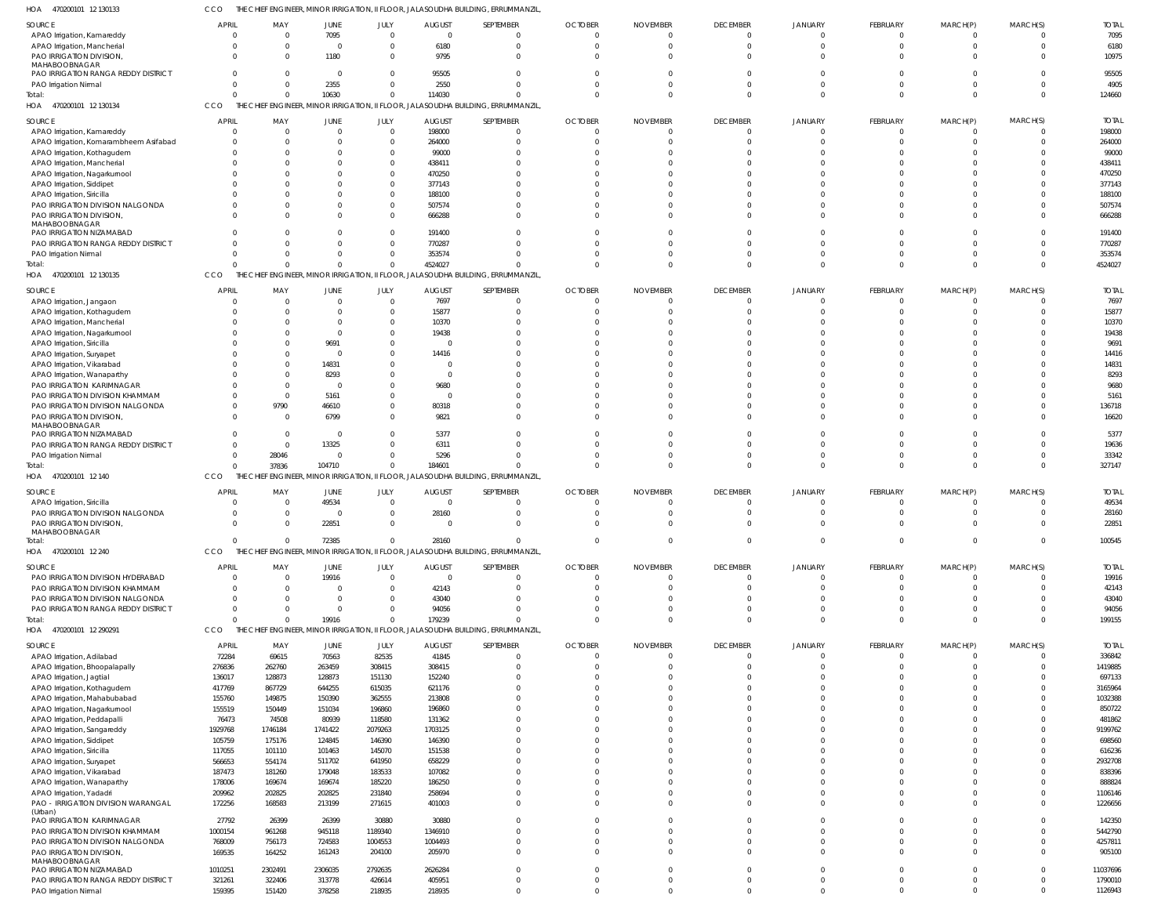470200101 12 130133 HOA CCO THE CHIEF ENGINEER, MINOR IRRIGATION, II FLOOR, JALASOUDHA BUILDING, ERRUMMANZIL,

| SOURCE                                                               | <b>APRIL</b>                  | MAY                            | <b>JUNE</b>                | JULY                     | <b>AUGUST</b>             | SEPTEMBER                                                                                     | <b>OCTOBER</b>                 | <b>NOVEMBER</b>      | <b>DECEMBER</b>            | JANUARY                          | <b>FEBRUARY</b>                  | MARCH(P)                     | MARCH(S)             | <b>TOTAL</b>           |
|----------------------------------------------------------------------|-------------------------------|--------------------------------|----------------------------|--------------------------|---------------------------|-----------------------------------------------------------------------------------------------|--------------------------------|----------------------|----------------------------|----------------------------------|----------------------------------|------------------------------|----------------------|------------------------|
| APAO Irrigation, Kamareddy<br>APAO Irrigation, Mancherial            | $\overline{0}$<br>$\Omega$    | $\mathbf{0}$<br>$\Omega$       | 7095<br>$\overline{0}$     | $\Omega$<br>$\Omega$     | $\overline{0}$<br>6180    | $\Omega$<br>$\Omega$                                                                          | $\overline{0}$<br>$\Omega$     | - 0                  | $\mathbf 0$<br>$\Omega$    | $\overline{0}$<br>$\Omega$       | $\overline{0}$<br>$\overline{0}$ | $\mathbf{0}$<br>$\mathbf{0}$ | $\Omega$<br>$\Omega$ | 7095<br>6180           |
| PAO IRRIGATION DIVISION,                                             | $\Omega$                      | $\Omega$                       | 1180                       | $\Omega$                 | 9795                      | $\Omega$                                                                                      | $\Omega$                       |                      | $\Omega$                   | $\Omega$                         | $\Omega$                         | $\Omega$                     | $\Omega$             | 10975                  |
| MAHABOOBNAGAR<br>PAO IRRIGATION RANGA REDDY DISTRICT                 | $\Omega$                      | $\Omega$                       | $\overline{0}$             | $\Omega$                 | 95505                     | $\Omega$                                                                                      | $\Omega$                       |                      | $\Omega$                   | $\Omega$                         | $\Omega$                         | $\Omega$                     |                      | 95505                  |
| PAO Irrigation Nirmal                                                | $\Omega$                      | $\Omega$                       | 2355                       | $\Omega$                 | 2550                      | $\Omega$                                                                                      | $\Omega$                       |                      | $\Omega$                   | $\Omega$                         | $\Omega$                         | $\Omega$                     | $\Omega$             | 4905                   |
| Total:                                                               | U<br>CCO                      | $\Omega$                       | 10630                      | $\Omega$                 | 114030                    | $\cap$                                                                                        | $\Omega$                       |                      | $\Omega$                   | $\Omega$                         | $\Omega$                         | $\Omega$                     | $\Omega$             | 124660                 |
| 470200101 12 130134<br>HOA                                           |                               |                                |                            |                          |                           | THE CHIEF ENGINEER, MINOR IRRIGATION, II FLOOR, JALASOUDHA BUILDING, ERRUMMANZIL              |                                |                      |                            |                                  |                                  |                              |                      |                        |
| SOURCE<br>APAO Irrigation, Kamareddy                                 | APRIL<br>$\Omega$             | MAY<br>$\Omega$                | JUNE<br>$\Omega$           | JULY<br>$\Omega$         | <b>AUGUST</b><br>198000   | SEPTEMBER<br>$\Omega$                                                                         | <b>OCTOBER</b><br>$\Omega$     | <b>NOVEMBER</b>      | <b>DECEMBER</b><br>0       | JANUARY<br>$\Omega$              | FEBRUARY<br>$\Omega$             | MARCH(P)<br>$\Omega$         | MARCH(S)             | <b>TOTAL</b><br>198000 |
| APAO Irrigation, Komarambheem Asifabad                               |                               | $\Omega$                       | $\Omega$                   | $\Omega$                 | 264000                    | $\Omega$                                                                                      |                                |                      |                            |                                  | $\Omega$                         |                              |                      | 264000                 |
| APAO Irrigation, Kothagudem                                          |                               | $\Omega$                       | $\Omega$                   |                          | 99000                     |                                                                                               |                                |                      |                            |                                  |                                  |                              |                      | 99000                  |
| APAO Irrigation, Mancherial<br>APAO Irrigation, Nagarkurnool         |                               |                                | $\Omega$<br>$\Omega$       |                          | 438411<br>470250          |                                                                                               |                                |                      |                            |                                  |                                  |                              |                      | 438411<br>470250       |
| APAO Irrigation, Siddipet                                            |                               |                                | $\cap$                     |                          | 377143                    |                                                                                               |                                |                      |                            |                                  |                                  |                              |                      | 377143                 |
| APAO Irrigation, Siricilla<br>PAO IRRIGATION DIVISION NALGONDA       |                               | $\Omega$                       | $\Omega$<br>$\Omega$       |                          | 188100<br>507574          |                                                                                               |                                |                      |                            |                                  | $\Omega$                         |                              |                      | 188100<br>507574       |
| PAO IRRIGATION DIVISION,                                             |                               | $\Omega$                       | $\Omega$                   | $\Omega$                 | 666288                    |                                                                                               | <sup>0</sup>                   |                      |                            |                                  | $\Omega$                         |                              |                      | 666288                 |
| MAHABOOBNAGAR<br>PAO IRRIGATION NIZAMABAD                            |                               | $\Omega$                       | $\Omega$                   |                          | 191400                    |                                                                                               |                                |                      |                            |                                  | $\cap$                           |                              |                      | 191400                 |
| PAO IRRIGATION RANGA REDDY DISTRICT                                  |                               | $\Omega$                       | $\Omega$                   |                          | 770287                    |                                                                                               | <sup>0</sup>                   |                      |                            | $\Omega$                         | $\Omega$                         |                              |                      | 770287                 |
| PAO Irrigation Nirmal                                                | U                             | $\Omega$                       | $\Omega$                   | $\Omega$                 | 353574                    |                                                                                               |                                |                      |                            | $\Omega$                         | $\Omega$                         |                              |                      | 353574                 |
| Total:<br>HOA 470200101 12 130135                                    | CCO                           | $\Omega$                       | $\Omega$                   | $\Omega$                 | 4524027                   | THE CHIEF ENGINEER, MINOR IRRIGATION, II FLOOR, JALASOUDHA BUILDING, ERRUMMANZIL              |                                |                      | $\Omega$                   | $\Omega$                         | $\Omega$                         | $\Omega$                     |                      | 4524027                |
| SOURCE                                                               | <b>APRIL</b>                  | MAY                            | <b>JUNE</b>                | JULY                     | <b>AUGUST</b>             | SEPTEMBER                                                                                     | <b>OCTOBER</b>                 | <b>NOVEMBER</b>      | <b>DECEMBER</b>            | <b>JANUARY</b>                   | <b>FEBRUARY</b>                  | MARCH(P)                     | MARCH(S)             | <b>TOTAL</b>           |
| APAO Irrigation, Jangaon                                             | $\Omega$                      | $\Omega$                       | $\overline{0}$             | $\Omega$                 | 7697                      | $\Omega$                                                                                      | $\overline{0}$                 |                      | $\mathbf 0$                | $\overline{0}$                   | $\overline{0}$                   | $\mathbf{0}$                 | $\Omega$             | 7697                   |
| APAO Irrigation, Kothagudem                                          |                               | $\Omega$                       | $\Omega$                   | $\Omega$                 | 15877                     | $\Omega$                                                                                      | $\Omega$                       |                      | $\Omega$                   | $\Omega$                         | $\Omega$                         |                              |                      | 15877                  |
| APAO Irrigation, Mancherial<br>APAO Irrigation, Nagarkurnool         |                               | $\Omega$<br>$\Omega$           | $\Omega$<br>$\overline{0}$ | $\Omega$<br>$\Omega$     | 10370<br>19438            |                                                                                               | $\Omega$                       |                      | $\Omega$                   |                                  | $\Omega$                         |                              |                      | 10370<br>19438         |
| APAO Irrigation, Siricilla                                           |                               | $\Omega$                       | 9691                       | $\Omega$                 | $\Omega$                  |                                                                                               |                                |                      |                            | $\Omega$                         |                                  |                              |                      | 9691                   |
| APAO Irrigation, Suryapet                                            |                               | $\Omega$                       | $\overline{0}$             | $\Omega$                 | 14416                     |                                                                                               |                                |                      |                            |                                  |                                  |                              |                      | 14416                  |
| APAO Irrigation, Vikarabad<br>APAO Irrigation, Wanaparthy            |                               | $\Omega$<br>$\Omega$           | 14831<br>8293              | $\Omega$<br>$\Omega$     | $\Omega$<br>$\Omega$      |                                                                                               |                                |                      |                            |                                  |                                  |                              |                      | 14831<br>8293          |
| PAO IRRIGATION KARIMNAGAR                                            |                               | $\Omega$                       | $\overline{0}$             | $\Omega$                 | 9680                      |                                                                                               |                                |                      |                            | $\Omega$                         |                                  |                              |                      | 9680                   |
| PAO IRRIGATION DIVISION KHAMMAM                                      |                               | $\Omega$                       | 5161                       | $\Omega$                 | $\Omega$                  |                                                                                               | <sup>0</sup>                   |                      |                            |                                  |                                  |                              |                      | 5161                   |
| PAO IRRIGATION DIVISION NALGONDA<br>PAO IRRIGATION DIVISION,         | $\Omega$                      | 9790<br>$\Omega$               | 46610<br>6799              | $\Omega$<br>$\Omega$     | 80318<br>9821             | $\Omega$                                                                                      | $\Omega$<br>$\Omega$           |                      | $\Omega$                   | $\Omega$<br>$\Omega$             | $\Omega$<br>$\Omega$             | $\Omega$                     |                      | 136718<br>16620        |
| MAHABOOBNAGAR                                                        |                               |                                |                            |                          |                           |                                                                                               |                                |                      |                            |                                  |                                  |                              |                      |                        |
| PAO IRRIGATION NIZAMABAD<br>PAO IRRIGATION RANGA REDDY DISTRICT      | $\Omega$                      | $\Omega$<br>$\mathbf{0}$       | $\overline{0}$<br>13325    | $\Omega$<br>$\Omega$     | 5377<br>6311              | $\cap$                                                                                        | <sup>0</sup><br><sup>0</sup>   |                      | <sup>0</sup>               | $\Omega$                         | $\Omega$                         |                              |                      | 5377<br>19636          |
| PAO Irrigation Nirmal                                                | $\Omega$                      | 28046                          | $\mathbf 0$                | $\Omega$                 | 5296                      | $\Omega$                                                                                      | $\Omega$                       |                      | $\Omega$                   | $\Omega$                         | $\Omega$                         | $\Omega$                     | $\Omega$             | 33342                  |
| Total:<br>470200101 12 140<br>HOA                                    | $\Omega$<br>CCO               | 37836<br>THE CH<br>F ENGINEER, | 104710                     | $\Omega$                 | 184601                    | $\cap$<br>MINOR IRRIGATION, II FLOOR, JALASOUDHA BUILDING, ERRUMMANZIL                        | $\Omega$                       |                      | $\Omega$                   | $\Omega$                         | $\Omega$                         | $\Omega$                     | $\Omega$             | 327147                 |
|                                                                      | <b>APRIL</b>                  |                                |                            |                          |                           |                                                                                               |                                |                      |                            |                                  |                                  |                              |                      |                        |
| SOURCE<br>APAO Irrigation, Siricilla                                 |                               | MAY<br>$\Omega$                | JUNE<br>49534              | JULY<br>$\Omega$         | <b>AUGUST</b><br>$\Omega$ | SEPTEMBER                                                                                     | <b>OCTOBER</b><br><sup>0</sup> | <b>NOVEMBER</b>      | <b>DECEMBER</b><br>0       | JANUARY<br>$\Omega$              | FEBRUARY<br>$\Omega$             | MARCH(P)                     | MARCH(S)             | <b>TOTAL</b><br>49534  |
| PAO IRRIGATION DIVISION NALGONDA                                     | $\Omega$                      | $\Omega$                       | $\Omega$                   |                          | 28160                     | $\Omega$                                                                                      | $\Omega$                       |                      | $\Omega$                   | $\Omega$                         | $\Omega$                         |                              |                      | 28160                  |
| PAO IRRIGATION DIVISION,<br>MAHABOOBNAGAR                            | $\Omega$                      | $\Omega$                       | 22851                      | $\Omega$                 | $\Omega$                  |                                                                                               | <sup>0</sup>                   |                      |                            |                                  | $\Omega$                         |                              |                      | 22851                  |
| Total                                                                | $\sim$                        | $\mathbf{0}$                   | 72385                      |                          | 28160                     |                                                                                               |                                |                      |                            |                                  |                                  |                              |                      |                        |
| HOA<br>470200101 12 240                                              |                               |                                |                            |                          |                           |                                                                                               |                                |                      |                            |                                  |                                  |                              |                      | 100545                 |
| SOURCE                                                               | CCO                           |                                |                            |                          |                           | THE CHIEF ENGINEER, MINOR IRRIGATION, II FLOOR, JALASOUDHA BUILDING, ERRUMMANZIL              |                                |                      |                            |                                  |                                  |                              |                      |                        |
|                                                                      | <b>APRIL</b>                  | MAY                            | JUNE                       | JULY                     | <b>AUGUST</b>             | SEPTEMBER                                                                                     | <b>OCTOBER</b>                 | <b>NOVEMBER</b>      | <b>DECEMBER</b>            | <b>JANUARY</b>                   | <b>FEBRUARY</b>                  | MARCH(P)                     | MARCH(S)             | <b>TOTAL</b>           |
| PAO IRRIGATION DIVISION HYDERABAD<br>PAO IRRIGATION DIVISION KHAMMAM | $\overline{0}$<br>$\mathbf 0$ | $\mathbf{0}$<br>$\Omega$       | 19916<br>$\overline{0}$    | $\mathbf{0}$<br>$\Omega$ | $\overline{0}$<br>42143   | $\Omega$<br>$\Omega$                                                                          | $\overline{0}$<br>$\Omega$     | $\Omega$             | $\mathbf 0$<br>$\mathbf 0$ | $\overline{0}$<br>$\Omega$       | $\mathbf 0$<br>$\overline{0}$    | $\mathbf 0$<br>$\mathbf 0$   | $\Omega$             | 19916<br>42143         |
| PAO IRRIGATION DIVISION NALGONDA                                     | $\mathbf 0$                   | $\Omega$                       | $\mathbf{0}$               | $\Omega$                 | 43040                     | $\Omega$                                                                                      | $\Omega$                       |                      | $\Omega$                   | $\mathbf 0$                      | $\Omega$                         | $\mathbf{0}$                 | $\Omega$             | 43040                  |
| PAO IRRIGATION RANGA REDDY DISTRICT                                  | $\Omega$                      | $\Omega$                       | $\overline{0}$             | $\Omega$                 | 94056                     | $\Omega$                                                                                      | $\Omega$                       |                      | $\Omega$                   | $\overline{0}$                   | $\Omega$                         | $\mathbf{0}$                 | $\Omega$             | 94056                  |
| Total:<br>HOA<br>470200101 12 290291                                 | $\Omega$<br>CCO               | $\Omega$                       | 19916                      | $\Omega$                 | 179239                    | $\Omega$<br>THE CHIEF ENGINEER, MINOR IRRIGATION, II FLOOR, JALASOUDHA BUILDING, ERRUMMANZIL, | $\Omega$                       |                      | $\Omega$                   | $\Omega$                         | $\Omega$                         | $\Omega$                     | $\Omega$             | 199155                 |
| SOURCE                                                               | <b>APRIL</b>                  | MAY                            | JUNE                       | JULY                     | <b>AUGUST</b>             | SEPTEMBER                                                                                     | <b>OCTOBER</b>                 | <b>NOVEMBER</b>      | <b>DECEMBER</b>            | <b>JANUARY</b>                   | FEBRUARY                         | MARCH(P)                     | MARCH(S)             | <b>TOTAL</b>           |
| APAO Irrigation, Adilabad                                            | 72284                         | 69615                          | 70563                      | 82535                    | 41845                     | $\Omega$                                                                                      | $\Omega$                       |                      | $\mathbf 0$                | $\Omega$                         | $\overline{0}$                   | $\Omega$                     |                      | 336842                 |
| APAO Irrigation, Bhoopalapally                                       | 276836                        | 262760                         | 263459                     | 308415                   | 308415                    | $\Omega$                                                                                      | $\Omega$                       |                      | $\Omega$                   | $\Omega$                         | $\Omega$                         | $\Omega$                     |                      | 1419885                |
| APAO Irrigation, Jagtial<br>APAO Irrigation, Kothagudem              | 136017<br>417769              | 128873<br>867729               | 128873<br>644255           | 151130<br>615035         | 152240<br>621176          | $\Omega$<br>$\Omega$                                                                          | $\Omega$<br>$\Omega$           |                      | $\Omega$<br>$\Omega$       | $\Omega$<br>$\Omega$             | $\Omega$<br>$\Omega$             |                              |                      | 697133<br>3165964      |
| APAO Irrigation, Mahabubabad                                         | 155760                        | 149875                         | 150390                     | 362555                   | 213808                    |                                                                                               | $\Omega$                       |                      | $\Omega$                   | $\Omega$                         | $\Omega$                         |                              |                      | 1032388                |
| APAO Irrigation, Nagarkurnool                                        | 155519                        | 150449                         | 151034                     | 196860                   | 196860                    | $\Omega$                                                                                      | U<br>$\Omega$                  |                      |                            | $\Omega$<br>$\Omega$             | $\Omega$<br>$\Omega$             |                              |                      | 850722                 |
| APAO Irrigation, Peddapalli<br>APAO Irrigation, Sangareddy           | 76473<br>1929768              | 74508<br>1746184               | 80939<br>1741422           | 118580<br>2079263        | 131362<br>1703125         | $\Omega$                                                                                      |                                |                      |                            | $\Omega$                         | $\Omega$                         |                              |                      | 481862<br>9199762      |
| APAO Irrigation, Siddipet                                            | 105759                        | 175176                         | 124845                     | 146390                   | 146390                    | $\Omega$                                                                                      | $\Omega$                       |                      | $\Omega$                   | $\Omega$                         | $\Omega$                         |                              |                      | 698560                 |
| APAO Irrigation, Siricilla<br>APAO Irrigation, Suryapet              | 117055<br>566653              | 101110<br>554174               | 101463<br>511702           | 145070<br>641950         | 151538<br>658229          | $\Omega$<br>$\Omega$                                                                          | $\Omega$                       |                      | $\Omega$                   | $\Omega$<br>$\Omega$             | $\Omega$<br>$\Omega$             |                              |                      | 616236<br>2932708      |
| APAO Irrigation, Vikarabad                                           | 187473                        | 181260                         | 179048                     | 183533                   | 107082                    | $\Omega$                                                                                      | $\Omega$                       |                      |                            | $\Omega$                         | $\Omega$                         |                              |                      | 838396                 |
| APAO Irrigation, Wanaparthy                                          | 178006                        | 169674                         | 169674                     | 185220                   | 186250                    | $\Omega$                                                                                      | $\Omega$                       |                      |                            | $\Omega$                         | $\Omega$                         |                              |                      | 888824                 |
| APAO Irrigation, Yadadri<br>PAO - IRRIGATION DIVISION WARANGAL       | 209962<br>172256              | 202825<br>168583               | 202825<br>213199           | 231840<br>271615         | 258694<br>401003          | $\Omega$<br>$\Omega$                                                                          | $\Omega$<br>$\Omega$           |                      | $\Omega$<br>$\Omega$       | $\Omega$<br>$\Omega$             | $\Omega$<br>$\Omega$             | $\Omega$<br>$\Omega$         |                      | 1106146<br>1226656     |
| (Urban)                                                              |                               |                                |                            |                          |                           |                                                                                               |                                |                      |                            |                                  |                                  |                              |                      |                        |
| PAO IRRIGATION KARIMNAGAR<br>PAO IRRIGATION DIVISION KHAMMAM         | 27792<br>1000154              | 26399<br>961268                | 26399<br>945118            | 30880<br>1189340         | 30880<br>1346910          | $\Omega$<br>$\Omega$                                                                          | $\Omega$<br>$\Omega$           |                      | $\Omega$<br>$\Omega$       | $\Omega$<br>$\overline{0}$       | $\Omega$<br>$\Omega$             |                              |                      | 142350<br>5442790      |
| PAO IRRIGATION DIVISION NALGONDA                                     | 768009                        | 756173                         | 724583                     | 1004553                  | 1004493                   | $\Omega$                                                                                      | $\Omega$                       | $\Omega$             | $\Omega$                   | $\overline{0}$                   | $\Omega$                         | $\Omega$                     |                      | 4257811                |
| PAO IRRIGATION DIVISION,<br>MAHABOOBNAGAR                            | 169535                        | 164252                         | 161243                     | 204100                   | 205970                    | $\Omega$                                                                                      | $\Omega$                       |                      | $\Omega$                   | $\Omega$                         | $\Omega$                         | $\Omega$                     |                      | 905100                 |
| PAO IRRIGATION NIZAMABAD                                             | 1010251                       | 2302491                        | 2306035                    | 2792635                  | 2626284                   | $\Omega$                                                                                      | $\Omega$                       |                      | $\Omega$                   | $\Omega$                         | $\Omega$                         | $\Omega$                     |                      | 11037696               |
| PAO IRRIGATION RANGA REDDY DISTRICT<br>PAO Irrigation Nirmal         | 321261<br>159395              | 322406<br>151420               | 313778<br>378258           | 426614<br>218935         | 405951<br>218935          | $\Omega$<br>$\Omega$                                                                          | $\Omega$<br>$\Omega$           | $\Omega$<br>$\Omega$ | $\mathbf 0$<br>$\Omega$    | $\overline{0}$<br>$\overline{0}$ | $\overline{0}$<br>$\Omega$       | $\Omega$<br>$\mathbf 0$      | $\Omega$             | 1790010<br>1126943     |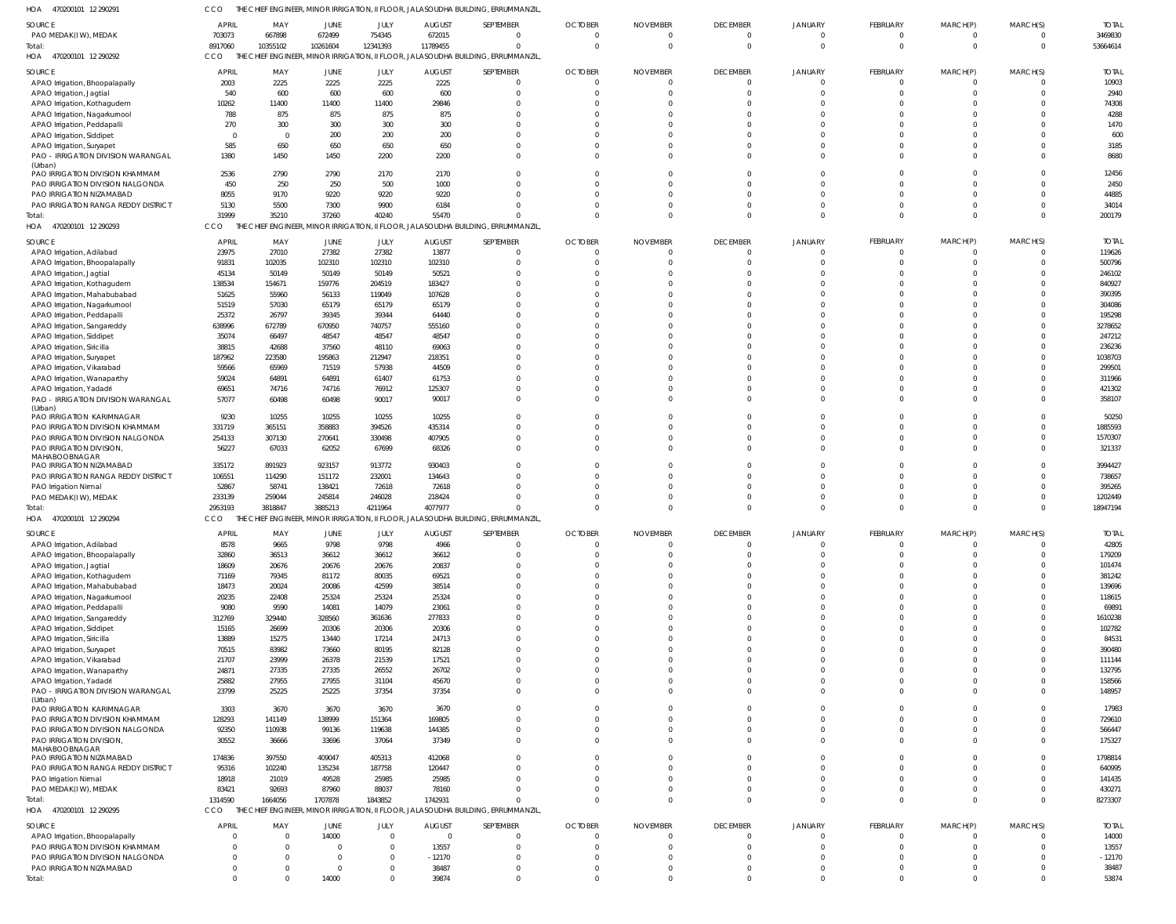470200101 12 290291 HOA CCO THE CHIEF ENGINEER, MINOR IRRIGATION, II FLOOR, JALASOUDHA BUILDING, ERRUMMANZIL,

| SOURCE                                     | <b>APRIL</b>   | MAY      | JUNE        | JULY           | <b>AUGUST</b>  | SEPTEMBER                                                                                       | <b>OCTOBER</b> | <b>NOVEMBER</b> | <b>DECEMBER</b> | <b>JANUARY</b> | FEBRUARY        | MARCH(P)     | MARCH(S)     | <b>TOTAL</b> |
|--------------------------------------------|----------------|----------|-------------|----------------|----------------|-------------------------------------------------------------------------------------------------|----------------|-----------------|-----------------|----------------|-----------------|--------------|--------------|--------------|
| PAO MEDAK(IW), MEDAK                       | 703073         | 667898   | 672499      | 754345         | 672015         | $\mathbf 0$                                                                                     | $\mathbf{0}$   | $\Omega$        | $\overline{0}$  | $\mathbf 0$    | $\Omega$        | $\mathbf{0}$ | $\mathbf 0$  | 3469830      |
| Total:<br>HOA 470200101 12 290292          | 8917060<br>CCO | 10355102 | 10261604    | 12341393       | 11789455       | $\mathbf 0$<br>THE CHIEF ENGINEER, MINOR IRRIGATION, II FLOOR, JALASOUDHA BUILDING, ERRUMMANZIL | $\Omega$       | $\Omega$        | $\overline{0}$  | $\Omega$       | $\Omega$        | $\mathbf 0$  | $\Omega$     | 53664614     |
|                                            |                |          |             |                |                |                                                                                                 |                |                 |                 |                |                 |              |              |              |
| SOURCE                                     | <b>APRIL</b>   | MAY      | <b>JUNE</b> | JULY           | <b>AUGUST</b>  | SEPTEMBER                                                                                       | <b>OCTOBER</b> | <b>NOVEMBER</b> | <b>DECEMBER</b> | JANUARY        | FEBRUARY        | MARCH(P)     | MARCH(S)     | <b>TOTAL</b> |
| APAO Irrigation, Bhoopalapally             | 2003           | 2225     | 2225        | 2225           | 2225           | $\Omega$                                                                                        | $\Omega$       | <sup>0</sup>    | $\overline{0}$  | $\Omega$       | - 0             |              | 0            | 10903        |
| APAO Irrigation, Jagtial                   | 540            | 600      | 600         | 600            | 600            | $\Omega$                                                                                        | $\Omega$       | $\Omega$        | $\Omega$        | $\Omega$       | $\Omega$        |              | $\Omega$     | 2940         |
| APAO Irrigation, Kothagudem                | 10262          | 11400    | 11400       | 11400          | 29846          | $\Omega$                                                                                        |                |                 | $\Omega$        | $\Omega$       |                 |              |              | 74308        |
| APAO Irrigation, Nagarkurnool              | 788            | 875      | 875         | 875            | 875            | $\Omega$                                                                                        |                |                 | $\Omega$        | $\Omega$       |                 |              |              | 4288         |
| APAO Irrigation, Peddapalli                | 270            | 300      | 300         | 300            | 300            |                                                                                                 |                |                 | $\Omega$        | $\Omega$       |                 |              |              | 1470         |
| APAO Irrigation, Siddipet                  | - 0            | $\Omega$ | 200         | 200            | 200            |                                                                                                 |                |                 | $\Omega$        | $\Omega$       |                 |              |              | 600          |
| APAO Irrigation, Suryapet                  | 585            | 650      | 650         | 650            | 650            | $\Omega$                                                                                        |                |                 | $\Omega$        | $\Omega$       |                 |              |              | 3185         |
| PAO - IRRIGATION DIVISION WARANGAL         | 1380           | 1450     | 1450        | 2200           | 2200           | $\Omega$                                                                                        | <sup>0</sup>   |                 | $\Omega$        | $\Omega$       |                 |              |              | 8680         |
| (Urban)<br>PAO IRRIGATION DIVISION KHAMMAM | 2536           | 2790     | 2790        | 2170           | 2170           | $\Omega$                                                                                        |                |                 | $\Omega$        | $\Omega$       |                 |              |              | 12456        |
| PAO IRRIGATION DIVISION NALGONDA           | 450            | 250      | 250         | 500            | 1000           | $\Omega$                                                                                        | <sup>0</sup>   |                 | $\Omega$        | $\Omega$       |                 |              | $\Omega$     | 2450         |
| PAO IRRIGATION NIZAMABAD                   | 8055           | 9170     | 9220        | 9220           | 9220           | $\Omega$                                                                                        |                |                 | $\Omega$        | $\Omega$       |                 |              | <sup>0</sup> | 44885        |
| PAO IRRIGATION RANGA REDDY DISTRICT        | 5130           | 5500     | 7300        | 9900           | 6184           | $\Omega$                                                                                        | <sup>0</sup>   |                 | $\Omega$        | $\Omega$       |                 |              | $\Omega$     | 34014        |
| Total:                                     | 31999          | 35210    | 37260       | 40240          | 55470          | $\Omega$                                                                                        | $\Omega$       | $\Omega$        | $\Omega$        | $\Omega$       | $\Omega$        | $\Omega$     | $\Omega$     | 200179       |
| HOA 470200101 12 290293                    | CCO            | THE CH   |             |                |                | FINGINEER, MINOR IRRIGATION, II FLOOR, JALASOUDHA BUILDING, ERRUMMANZIL                         |                |                 |                 |                |                 |              |              |              |
|                                            |                |          |             |                |                |                                                                                                 |                |                 |                 |                |                 |              |              |              |
| SOURCE                                     | <b>APRIL</b>   | MAY      | <b>JUNE</b> | JULY           | <b>AUGUST</b>  | SEPTEMBER                                                                                       | <b>OCTOBER</b> | <b>NOVEMBER</b> | <b>DECEMBER</b> | JANUARY        | FEBRUARY        | MARCH(P)     | MARCH(S)     | <b>TOTAI</b> |
| APAO Irrigation, Adilabad                  | 23975          | 27010    | 27382       | 27382          | 13877          | $\mathbf 0$                                                                                     | $\Omega$       |                 | $\overline{0}$  | 0              | $\Omega$        |              | 0            | 119626       |
| APAO Irrigation, Bhoopalapally             | 91831          | 102035   | 102310      | 102310         | 102310         | $\Omega$                                                                                        | $\Omega$       |                 | $\Omega$        | $\Omega$       | $\Omega$        | $\Omega$     | $\Omega$     | 500796       |
| APAO Irrigation, Jagtial                   | 45134          | 50149    | 50149       | 50149          | 50521          | $\Omega$                                                                                        | <sup>0</sup>   |                 | $\Omega$        | $\Omega$       |                 |              | $\Omega$     | 246102       |
| APAO Irrigation, Kothagudem                | 138534         | 154671   | 159776      | 204519         | 183427         | $\Omega$                                                                                        | <sup>0</sup>   |                 | $\Omega$        | $\Omega$       |                 |              | $\Omega$     | 840927       |
| APAO Irrigation, Mahabubabad               | 51625          | 55960    | 56133       | 119049         | 107628         | $\Omega$                                                                                        | <sup>0</sup>   |                 | $\Omega$        | $\Omega$       |                 |              | $\Omega$     | 390395       |
| APAO Irrigation, Nagarkurnool              | 51519          | 57030    | 65179       | 65179          | 65179          | $\Omega$                                                                                        |                |                 | $\Omega$        | $\Omega$       |                 |              | $\Omega$     | 304086       |
| APAO Irrigation, Peddapalli                | 25372          | 26797    | 39345       | 39344          | 64440          | $\Omega$                                                                                        |                |                 | $\Omega$        | $\Omega$       |                 |              | $\Omega$     | 195298       |
| APAO Irrigation, Sangareddy                | 638996         | 672789   | 670950      | 740757         | 555160         | $\Omega$                                                                                        |                |                 | $\Omega$        | $\Omega$       |                 |              | $\Omega$     | 3278652      |
| APAO Irrigation, Siddipet                  | 35074          | 66497    | 48547       | 48547          | 48547          | $\Omega$                                                                                        | <sup>0</sup>   |                 | $\Omega$        | $\Omega$       |                 |              | $\Omega$     | 247212       |
| APAO Irrigation, Siricilla                 | 38815          | 42688    | 37560       | 48110          | 69063          | $\Omega$                                                                                        |                |                 | $\Omega$        | $\Omega$       |                 |              | $\Omega$     | 236236       |
| APAO Irrigation, Suryapet                  | 187962         | 223580   | 195863      | 212947         | 218351         | $\Omega$                                                                                        |                |                 | $\Omega$        | $\Omega$       |                 |              | $\Omega$     | 1038703      |
| APAO Irrigation, Vikarabad                 | 59566          | 65969    | 71519       | 57938          | 44509          | $\Omega$                                                                                        |                |                 | $\Omega$        | $\Omega$       |                 |              | $\Omega$     | 299501       |
| APAO Irrigation, Wanaparthy                | 59024          | 64891    | 64891       | 61407          | 61753          | $\Omega$                                                                                        | <sup>0</sup>   |                 | $\Omega$        | $\Omega$       |                 |              | $\Omega$     | 311966       |
| APAO Irrigation, Yadadri                   | 69651          | 74716    | 74716       | 76912          | 125307         | $\Omega$                                                                                        | <sup>0</sup>   |                 | $\Omega$        | $\Omega$       |                 | $\Omega$     | $\Omega$     | 421302       |
| PAO - IRRIGATION DIVISION WARANGAL         | 57077          | 60498    | 60498       | 90017          | 90017          | $\Omega$                                                                                        | <sup>0</sup>   | <sup>0</sup>    | $\Omega$        | $\Omega$       | $\Omega$        | $\Omega$     | $\Omega$     | 358107       |
| (Urban)                                    |                |          |             |                |                |                                                                                                 |                |                 |                 |                |                 |              |              |              |
| PAO IRRIGATION KARIMNAGAR                  | 9230           | 10255    | 10255       | 10255          | 10255          | $\Omega$                                                                                        | <sup>0</sup>   |                 | $\Omega$        | $\Omega$       |                 |              | $\Omega$     | 50250        |
| PAO IRRIGATION DIVISION KHAMMAM            | 331719         | 365151   | 358883      | 394526         | 435314         | $\Omega$                                                                                        | $\Omega$       |                 | $\Omega$        | $\Omega$       |                 | $\Omega$     | $\Omega$     | 1885593      |
| PAO IRRIGATION DIVISION NALGONDA           | 254133         | 307130   | 270641      | 330498         | 407905         | $\Omega$                                                                                        | $\Omega$       | <sup>0</sup>    | $\Omega$        | $\Omega$       |                 | $\Omega$     | $\Omega$     | 1570307      |
| PAO IRRIGATION DIVISION,<br>MAHABOOBNAGAR  | 56227          | 67033    | 62052       | 67699          | 68326          | $\Omega$                                                                                        | $\Omega$       |                 | $\Omega$        | $\Omega$       | $\Omega$        | $\Omega$     | $\Omega$     | 321337       |
| PAO IRRIGATION NIZAMABAD                   | 335172         | 891923   | 923157      | 913772         | 930403         | $\Omega$                                                                                        | <sup>0</sup>   |                 | $\Omega$        | $\Omega$       |                 |              | $\Omega$     | 3994427      |
| PAO IRRIGATION RANGA REDDY DISTRICT        | 106551         | 114290   | 151172      | 232001         | 134643         | $\Omega$                                                                                        | <sup>0</sup>   |                 | $\Omega$        | $\Omega$       |                 |              | $\Omega$     | 738657       |
| PAO Irrigation Nirmal                      | 52867          | 58741    | 138421      | 72618          | 72618          | $\Omega$                                                                                        | <sup>0</sup>   |                 | $\Omega$        | $\Omega$       |                 | $\Omega$     | $\Omega$     | 395265       |
| PAO MEDAK(IW), MEDAK                       | 233139         | 259044   | 245814      | 246028         | 218424         | $\Omega$                                                                                        | <sup>0</sup>   | <sup>0</sup>    | $\Omega$        | $\Omega$       | $\Omega$        | $\Omega$     | $\mathbf 0$  | 1202449      |
| Total:                                     | 2953193        | 3818847  | 3885213     | 4211964        | 4077977        | $\Omega$                                                                                        | $\Omega$       | <sup>0</sup>    | $\Omega$        | $\Omega$       | $\Omega$        | $\Omega$     | $\Omega$     | 18947194     |
| HOA 470200101 12 290294                    | CCO            |          |             |                |                | THE CHIEF ENGINEER, MINOR IRRIGATION, II FLOOR, JALASOUDHA BUILDING, ERRUMMANZIL                |                |                 |                 |                |                 |              |              |              |
|                                            |                |          |             |                |                |                                                                                                 |                |                 |                 |                |                 |              |              |              |
| SOURCE                                     | APRIL          | MAY      | JUNE        | JULY           | <b>AUGUST</b>  | SEPTEMBER                                                                                       | <b>OCTOBER</b> | <b>NOVEMBER</b> | <b>DECEMBER</b> | JANUARY        | <b>FFBRUARY</b> | MARCH(P)     | MARCH(S)     | <b>TOTAI</b> |
| APAO Irrigation, Adilabad                  | 8578           | 9665     | 9798        | 9798           | 4966           | $\Omega$                                                                                        | $\Omega$       |                 | $\Omega$        | $\Omega$       |                 |              | $\Omega$     | 42805        |
| APAO Irrigation, Bhoopalapally             | 32860          | 36513    | 36612       | 36612          | 36612          | $\Omega$                                                                                        | $\Omega$       | $\Omega$        | $\Omega$        | $\Omega$       |                 | $\Omega$     | <sup>0</sup> | 179209       |
| APAO Irrigation, Jagtial                   | 18609          | 20676    | 20676       | 20676          | 20837          | $\Omega$                                                                                        | $\Omega$       |                 | $\Omega$        | $\Omega$       | $\Omega$        | $\Omega$     |              | 101474       |
| APAO Irrigation, Kothagudem                | 71169          | 79345    | 81172       | 80035          | 69521          | $\Omega$                                                                                        | <sup>0</sup>   | U               | $\Omega$        | $\Omega$       |                 |              |              | 381242       |
| APAO Irrigation, Mahabubabad               | 18473          | 20024    | 20086       | 42599          | 38514          | $\Omega$                                                                                        |                | $\Omega$        | $\Omega$        | $\Omega$       |                 |              |              | 139696       |
| APAO Irrigation, Nagarkurnool              | 20235          | 22408    | 25324       | 25324          | 25324          | $\Omega$                                                                                        | <sup>0</sup>   | U               | $\Omega$        | $\Omega$       |                 |              |              | 118615       |
| APAO Irrigation, Peddapalli                | 9080           | 9590     | 14081       | 14079          | 23061          | $\Omega$                                                                                        |                |                 | $\Omega$        | $\Omega$       |                 |              |              | 69891        |
| APAO Irrigation, Sangareddy                | 312769         | 329440   | 328560      | 361636         | 277833         | $\Omega$                                                                                        | <sup>0</sup>   |                 | $\Omega$        | $\Omega$       |                 |              | <sup>0</sup> | 1610238      |
| APAO Irrigation, Siddipet                  | 15165          | 26699    | 20306       | 20306          | 20306          |                                                                                                 |                |                 | $\Omega$        | $\Omega$       |                 |              |              | 102782       |
| APAO Irrigation, Siricilla                 | 13889          | 15275    | 13440       | 17214          | 24713          | $\Omega$                                                                                        | <sup>0</sup>   |                 | $\Omega$        | $\Omega$       |                 |              |              | 84531        |
| APAO Irrigation, Suryapet                  | 70515          | 83982    | 73660       | 80195          | 82128          | $\Omega$                                                                                        |                |                 | $\Omega$        | $\Omega$       |                 |              |              | 390480       |
| APAO Irrigation, Vikarabad                 | 21707          | 23999    | 26378       | 21539          | 17521          | $\Omega$                                                                                        | <sup>0</sup>   |                 | $\Omega$        | $\Omega$       |                 |              | <sup>0</sup> | 111144       |
| APAO Irrigation, Wanaparthy                | 24871          | 27335    | 27335       | 26552          | 26702          | $\Omega$                                                                                        |                |                 | $\Omega$        | $\Omega$       |                 |              | <sup>0</sup> | 132795       |
| APAO Irrigation, Yadadri                   | 25882          | 27955    | 27955       | 31104          | 45670          | $\Omega$                                                                                        | <sup>0</sup>   | <sup>0</sup>    | $\Omega$        | $\Omega$       |                 |              | <sup>0</sup> | 158566       |
| PAO - IRRIGATION DIVISION WARANGAL         | 23799          | 25225    | 25225       | 37354          | 37354          | $\Omega$                                                                                        | <sup>0</sup>   | $\Omega$        | $\Omega$        | $\Omega$       | $\Omega$        | $\Omega$     | <sup>0</sup> | 148957       |
| (Urban)<br>PAO IRRIGATION KARIMNAGAR       | 3303           | 3670     | 3670        | 3670           | 3670           | $\Omega$                                                                                        | <sup>0</sup>   | <sup>0</sup>    | $\Omega$        | $\mathbf 0$    |                 |              | $\Omega$     | 17983        |
| PAO IRRIGATION DIVISION KHAMMAM            | 128293         | 141149   | 138999      | 151364         | 169805         | $\Omega$                                                                                        | $\Omega$       | $\Omega$        | $\Omega$        | $\Omega$       |                 | $\Omega$     | $\Omega$     | 729610       |
| PAO IRRIGATION DIVISION NALGONDA           | 92350          | 110938   | 99136       | 119638         | 144385         | $\Omega$                                                                                        | <sup>0</sup>   | <sup>0</sup>    | $\Omega$        | $\mathbf 0$    |                 | $\Omega$     | $\Omega$     | 566447       |
| PAO IRRIGATION DIVISION,                   | 30552          |          | 33696       | 37064          | 37349          | $\Omega$                                                                                        | $\Omega$       | $\Omega$        | $\Omega$        | $\Omega$       | $\Omega$        | $\Omega$     | $\Omega$     | 175327       |
| MAHABOOBNAGAR                              |                | 36666    |             |                |                |                                                                                                 |                |                 |                 |                |                 |              |              |              |
| PAO IRRIGATION NIZAMABAD                   | 174836         | 397550   | 409047      | 405313         | 412068         | $\Omega$                                                                                        | <sup>0</sup>   | <sup>0</sup>    | $\Omega$        | $\mathbf 0$    |                 |              | $\Omega$     | 1798814      |
| PAO IRRIGATION RANGA REDDY DISTRICT        | 95316          | 102240   | 135234      | 187758         | 120447         | $\Omega$                                                                                        | $\Omega$       |                 | $\Omega$        | $\Omega$       |                 |              | <sup>0</sup> | 640995       |
| PAO Irrigation Nirmal                      | 18918          | 21019    | 49528       | 25985          | 25985          | $\Omega$                                                                                        | <sup>0</sup>   | <sup>0</sup>    | $\Omega$        | $\Omega$       |                 |              | 0            | 141435       |
| PAO MEDAK(IW), MEDAK                       | 83421          | 92693    | 87960       | 88037          | 78160          | $\Omega$                                                                                        | $\Omega$       | $\Omega$        | $\Omega$        | $\mathbf 0$    | $\Omega$        | $\mathbf 0$  | $\Omega$     | 430271       |
| Total:                                     | 1314590        | 1664056  | 1707878     | 1843852        | 1742931        | $\Omega$                                                                                        | $\Omega$       | $\Omega$        | $\Omega$        | $\Omega$       | $\Omega$        | $\Omega$     | $\Omega$     | 8273307      |
| HOA 470200101 12 290295                    | CCO            |          |             |                |                | THE CHIEF ENGINEER, MINOR IRRIGATION, II FLOOR, JALASOUDHA BUILDING, ERRUMMANZIL                |                |                 |                 |                |                 |              |              |              |
|                                            |                |          |             |                |                |                                                                                                 |                |                 |                 |                |                 |              |              |              |
| SOURCE                                     | <b>APRIL</b>   | MAY      | <b>JUNE</b> | JULY           | <b>AUGUST</b>  | SEPTEMBER                                                                                       | <b>OCTOBER</b> | <b>NOVEMBER</b> | <b>DECEMBER</b> | JANUARY        | FEBRUARY        | MARCH(P)     | MARCH(S)     | <b>TOTAL</b> |
| APAO Irrigation, Bhoopalapally             | $\Omega$       |          | 14000       | $\overline{0}$ | $\overline{0}$ | $\mathbf 0$                                                                                     | $\Omega$       | $\Omega$        | $\overline{0}$  | $\mathbf 0$    | $\Omega$        | $\Omega$     | $\mathbf 0$  | 14000        |
| PAO IRRIGATION DIVISION KHAMMAM            |                |          | 0           | $\mathbf{0}$   | 13557          | $\mathbf 0$                                                                                     | $\Omega$       |                 | $\overline{0}$  | $\mathbf 0$    | $\Omega$        | $\mathbf 0$  | $\mathbf 0$  | 13557        |
| PAO IRRIGATION DIVISION NALGONDA           | - 0            |          | 0           | $\mathbf{0}$   | $-12170$       | $\mathbf{0}$                                                                                    | $\Omega$       | $\Omega$        | $\overline{0}$  | $\overline{0}$ | $\Omega$        | $\Omega$     | $\Omega$     | $-12170$     |
| PAO IRRIGATION NIZAMABAD                   | $\mathbf 0$    |          | 0           | $\mathbf 0$    | 38487          | $\mathbf 0$                                                                                     | $\mathbf{0}$   | $\Omega$        | $\overline{0}$  | $\overline{0}$ | $\mathbf{0}$    | $\mathbf 0$  | 0            | 38487        |
| Total:                                     | $\mathbf 0$    |          | 14000       | $\mathbf{0}$   | 39874          | $\mathbf 0$                                                                                     | $\Omega$       | $\Omega$        | $\overline{0}$  | $\mathbf 0$    |                 | $\Omega$     | $\mathbf 0$  | 53874        |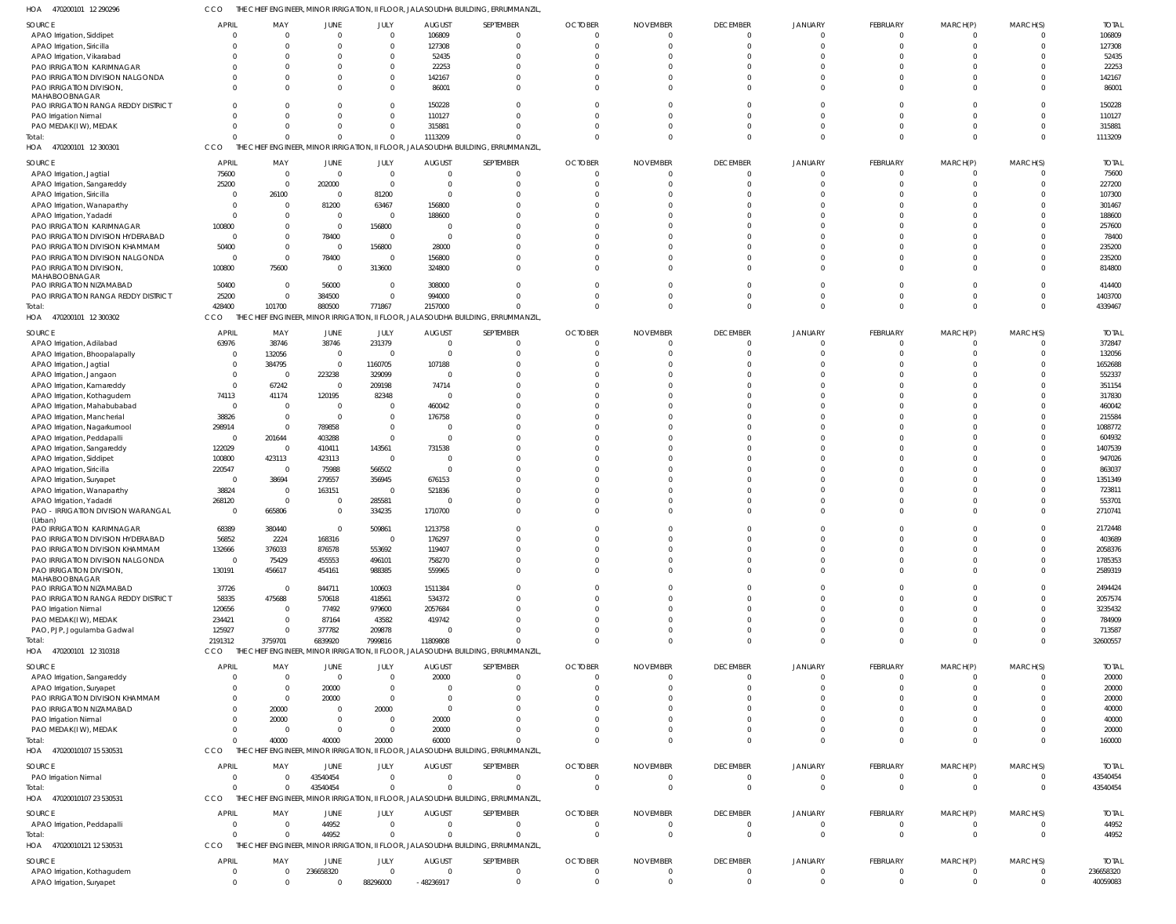470200101 12 290296 HOA CCO THE CHIEF ENGINEER, MINOR IRRIGATION, II FLOOR, JALASOUDHA BUILDING, ERRUMMANZIL,

| SOURCE                                                   | <b>APRIL</b>            | MAY          | JUNE           | JULY           | <b>AUGUST</b>  | SEPTEMBER                                                                         | <b>OCTOBER</b> | <b>NOVEMBER</b> | <b>DECEMBER</b> | <b>JANUARY</b> | FEBRUARY       | MARCH(P)       | MARCH(S)       | <b>TOTAL</b> |
|----------------------------------------------------------|-------------------------|--------------|----------------|----------------|----------------|-----------------------------------------------------------------------------------|----------------|-----------------|-----------------|----------------|----------------|----------------|----------------|--------------|
| APAO Irrigation, Siddipet                                | $\overline{0}$          | 0            | $\overline{0}$ | $\mathbf{0}$   | 106809         | $\Omega$                                                                          | $\Omega$       | $\mathbf{0}$    | $\overline{0}$  | $\overline{0}$ | $\overline{0}$ | $\mathbf{0}$   | $\overline{0}$ | 106809       |
| APAO Irrigation, Siricilla                               | <sup>0</sup>            | $\Omega$     | $\Omega$       | $\mathbf{0}$   | 127308         | $\Omega$                                                                          | $\Omega$       | $\Omega$        | $\overline{0}$  | $\Omega$       | $\mathbf 0$    | $\mathbf 0$    | $\Omega$       | 127308       |
|                                                          |                         |              |                |                |                |                                                                                   |                |                 |                 |                |                |                |                |              |
| APAO Irrigation, Vikarabad                               |                         | $\Omega$     | $\Omega$       | $\mathbf{0}$   | 52435          | $\Omega$                                                                          |                |                 | $\Omega$        | $\Omega$       | $\Omega$       | $\Omega$       | $\Omega$       | 52435        |
| PAO IRRIGATION KARIMNAGAR                                |                         | <sup>0</sup> | $\Omega$       | $\Omega$       | 22253          | $\Omega$                                                                          |                |                 | $\Omega$        | $\Omega$       | $\Omega$       | $\Omega$       | $\Omega$       | 22253        |
| PAO IRRIGATION DIVISION NALGONDA                         |                         | $\Omega$     | $\Omega$       | $\mathbf{0}$   | 142167         | $\Omega$                                                                          |                | <sup>0</sup>    | $\Omega$        | $\Omega$       | $\Omega$       | $\Omega$       | $\Omega$       | 142167       |
| PAO IRRIGATION DIVISION,                                 | <sup>0</sup>            | $\Omega$     | $\Omega$       | $\mathbf{0}$   | 86001          | $\Omega$                                                                          | U              | $\Omega$        | $\Omega$        | $\Omega$       | $\Omega$       | $\Omega$       | $\Omega$       | 86001        |
| MAHABOOBNAGAR                                            |                         |              |                |                |                |                                                                                   |                |                 |                 |                |                |                |                |              |
| PAO IRRIGATION RANGA REDDY DISTRICT                      | <sup>0</sup>            | 0            | $\Omega$       | $\Omega$       | 150228         | $\Omega$                                                                          |                | $\Omega$        | $\Omega$        | $\Omega$       | $\Omega$       | $\Omega$       | $\Omega$       | 150228       |
| PAO Irrigation Nirmal                                    |                         | $\Omega$     | $\Omega$       | $\Omega$       | 110127         | $\Omega$                                                                          |                | $\Omega$        | $\Omega$        | $\Omega$       | $\Omega$       | $\Omega$       | $\Omega$       | 110127       |
|                                                          |                         |              |                |                |                |                                                                                   |                |                 |                 |                |                |                |                |              |
| PAO MEDAK(IW), MEDAK                                     | 0                       | $\Omega$     | $\mathbf{0}$   | $\mathbf 0$    | 315881         | $\Omega$                                                                          |                | <sup>0</sup>    | $\Omega$        | $\Omega$       | $\Omega$       | $\Omega$       | $\Omega$       | 315881       |
| Total:                                                   | $\Omega$                | $\Omega$     | $\Omega$       | $\Omega$       | 1113209        | $\Omega$                                                                          | O              | $\Omega$        | $\Omega$        | $\Omega$       | $\mathbf 0$    | $\mathbf 0$    | $\Omega$       | 1113209      |
| HOA 470200101 12 300301                                  | CCO                     |              |                |                |                | THE CHIEF ENGINEER, MINOR IRRIGATION, II FLOOR, JALASOUDHA BUILDING, ERRUMMANZIL, |                |                 |                 |                |                |                |                |              |
|                                                          |                         |              |                |                |                |                                                                                   |                |                 |                 |                |                |                |                |              |
| SOURCE                                                   | <b>APRIL</b>            | MAY          | JUNE           | JULY           | <b>AUGUST</b>  | SEPTEMBER                                                                         | <b>OCTOBER</b> | <b>NOVEMBER</b> | <b>DECEMBER</b> | <b>JANUARY</b> | FEBRUARY       | MARCH(P)       | MARCH(S)       | <b>TOTAL</b> |
| APAO Irrigation, Jagtial                                 | 75600                   | $\mathbf 0$  | $\overline{0}$ | $\mathbf 0$    | $\overline{0}$ | $\Omega$                                                                          | $\Omega$       | $\Omega$        | $\overline{0}$  | $\Omega$       | $\overline{0}$ | $\Omega$       | $\Omega$       | 75600        |
| APAO Irrigation, Sangareddy                              | 25200                   | $\Omega$     | 202000         | $\overline{0}$ | $\Omega$       | $\Omega$                                                                          |                | <sup>0</sup>    | $\Omega$        | $\Omega$       | $\Omega$       | $\Omega$       | $\Omega$       | 227200       |
|                                                          | $\Omega$                |              | $\overline{0}$ |                | $\Omega$       | $\Omega$                                                                          |                |                 | $\Omega$        |                | $\Omega$       | $\cap$         | $\Omega$       |              |
| APAO Irrigation, Siricilla                               |                         | 26100        |                | 81200          |                |                                                                                   |                |                 |                 |                |                |                |                | 107300       |
| APAO Irrigation, Wanaparthy                              | $\Omega$                | $\Omega$     | 81200          | 63467          | 156800         | $\cap$                                                                            |                |                 | $\Omega$        |                |                | $\cap$         | $\Omega$       | 301467       |
| APAO Irrigation, Yadadri                                 | $\Omega$                | <sup>0</sup> | $\overline{0}$ | $\overline{0}$ | 188600         |                                                                                   |                |                 | $\Omega$        |                |                |                | $\Omega$       | 188600       |
| PAO IRRIGATION KARIMNAGAR                                | 100800                  |              | $\overline{0}$ | 156800         | $\Omega$       |                                                                                   |                |                 | $\Omega$        |                |                |                | $\Omega$       | 257600       |
|                                                          | $\Omega$                |              |                | $\Omega$       | $\Omega$       | $\Omega$                                                                          |                |                 | $\Omega$        |                |                |                | $\Omega$       | 78400        |
| PAO IRRIGATION DIVISION HYDERABAD                        |                         |              | 78400          |                |                |                                                                                   |                |                 |                 |                |                |                |                |              |
| PAO IRRIGATION DIVISION KHAMMAM                          | 50400                   | $\Omega$     | $\overline{0}$ | 156800         | 28000          |                                                                                   |                |                 | $\Omega$        |                |                | $\cap$         | $\Omega$       | 235200       |
| PAO IRRIGATION DIVISION NALGONDA                         | $\overline{0}$          | $\Omega$     | 78400          | $\overline{0}$ | 156800         | $\Omega$                                                                          |                |                 | $\Omega$        | $\Omega$       | $\Omega$       | $\Omega$       | $\Omega$       | 235200       |
| PAO IRRIGATION DIVISION,                                 | 100800                  | 75600        | $\overline{0}$ | 313600         | 324800         | $\Omega$                                                                          |                |                 | $\Omega$        | $\Omega$       | $\Omega$       | $\Omega$       | $\Omega$       | 814800       |
| MAHABOOBNAGAR                                            |                         |              |                |                |                |                                                                                   |                |                 |                 |                |                |                |                |              |
| PAO IRRIGATION NIZAMABAD                                 | 50400                   | $\Omega$     | 56000          | $\mathbf 0$    | 308000         | $\Omega$                                                                          |                |                 | $\Omega$        | $\Omega$       | $\Omega$       | $\Omega$       | $\Omega$       | 414400       |
| PAO IRRIGATION RANGA REDDY DISTRICT                      | 25200                   | $\Omega$     | 384500         | $\mathbf 0$    | 994000         | $\Omega$                                                                          |                | $\Omega$        | $\Omega$        | $\Omega$       | $\Omega$       | $\Omega$       | $\Omega$       | 1403700      |
|                                                          |                         |              |                |                |                |                                                                                   |                |                 |                 |                |                |                |                |              |
| Total:                                                   | 428400                  | 101700       | 880500         | 771867         | 2157000        | $\Omega$                                                                          |                | $\Omega$        | $\Omega$        | $\Omega$       | $\Omega$       | $\Omega$       | $\Omega$       | 4339467      |
| HOA 470200101 12 300302                                  | CCO                     |              |                |                |                | THE CHIEF ENGINEER, MINOR IRRIGATION, II FLOOR, JALASOUDHA BUILDING, ERRUMMANZIL, |                |                 |                 |                |                |                |                |              |
|                                                          |                         |              |                |                |                |                                                                                   |                |                 |                 |                |                |                |                |              |
| SOURCE                                                   | <b>APRIL</b>            | MAY          | JUNE           | JULY           | <b>AUGUST</b>  | SEPTEMBER                                                                         | <b>OCTOBER</b> | <b>NOVEMBER</b> | <b>DECEMBER</b> | <b>JANUARY</b> | FEBRUARY       | MARCH(P)       | MARCH(S)       | <b>TOTAL</b> |
| APAO Irrigation, Adilabad                                | 63976                   | 38746        | 38746          | 231379         | $\overline{0}$ | $\Omega$                                                                          | $\Omega$       | $\Omega$        | $\overline{0}$  | $\overline{0}$ | $\overline{0}$ | $\mathbf{0}$   | $\Omega$       | 372847       |
| APAO Irrigation, Bhoopalapally                           | $\overline{0}$          | 132056       | $\mathbf 0$    | $\overline{0}$ | $\mathbf{0}$   | $\Omega$                                                                          | $\Omega$       | <sup>0</sup>    | $\overline{0}$  | $\Omega$       | $\mathbf 0$    | $\Omega$       | $\Omega$       | 132056       |
|                                                          |                         |              |                |                |                | $\Omega$                                                                          |                |                 | $\Omega$        | $\Omega$       | $\Omega$       | $\Omega$       | $\Omega$       |              |
| APAO Irrigation, Jagtial                                 | $\overline{0}$          | 384795       | $\mathbf 0$    | 1160705        | 107188         |                                                                                   |                |                 |                 |                |                |                |                | 1652688      |
| APAO Irrigation, Jangaon                                 | $\mathbf{0}$            | 0            | 223238         | 329099         | $\Omega$       | $\Omega$                                                                          |                |                 | $\Omega$        | $\Omega$       | $\Omega$       | $\Omega$       | $\Omega$       | 552337       |
| APAO Irrigation, Kamareddy                               | $\overline{0}$          | 67242        | $\overline{0}$ | 209198         | 74714          | $\Omega$                                                                          |                |                 | $\Omega$        | $\Omega$       | $\Omega$       | $\Omega$       | $\Omega$       | 351154       |
| APAO Irrigation, Kothagudem                              | 74113                   | 41174        | 120195         | 82348          | $\overline{0}$ | $\Omega$                                                                          |                |                 | $\Omega$        | $\Omega$       | $\Omega$       | $\Omega$       | $\Omega$       | 317830       |
|                                                          |                         |              |                |                |                | $\Omega$                                                                          |                |                 | $\Omega$        | $\Omega$       | $\Omega$       | $\Omega$       | $\Omega$       |              |
| APAO Irrigation, Mahabubabad                             | $\overline{0}$          | $\mathbf 0$  | $\overline{0}$ | $\mathbf 0$    | 460042         |                                                                                   |                |                 |                 |                |                |                |                | 460042       |
| APAO Irrigation, Mancherial                              | 38826                   | $\mathbf 0$  | $\mathbf 0$    | $\mathbf 0$    | 176758         | $\Omega$                                                                          |                |                 | $\Omega$        | $\Omega$       | $\Omega$       | $\Omega$       | $\Omega$       | 215584       |
| APAO Irrigation, Nagarkurnool                            | 298914                  | $\mathbf 0$  | 789858         | $\mathbf 0$    | 0              | $\Omega$                                                                          |                |                 | $\Omega$        | $\Omega$       | $\Omega$       | $\Omega$       | $\Omega$       | 1088772      |
| APAO Irrigation, Peddapalli                              | $\overline{\mathbf{0}}$ | 201644       | 403288         | $\mathbf 0$    | $\Omega$       | $\Omega$                                                                          |                |                 | $\Omega$        | $\Omega$       | $\Omega$       | $\Omega$       | $\Omega$       | 604932       |
|                                                          |                         |              |                |                |                |                                                                                   |                |                 |                 |                |                |                |                |              |
| APAO Irrigation, Sangareddy                              | 122029                  | $\mathbf 0$  | 410411         | 143561         | 731538         |                                                                                   |                |                 | $\Omega$        | $\Omega$       | $\Omega$       | $\Omega$       | $\Omega$       | 1407539      |
| APAO Irrigation, Siddipet                                | 100800                  | 423113       | 423113         | $\overline{0}$ | $\overline{0}$ | $\Omega$                                                                          |                |                 | $\Omega$        | $\Omega$       | $\Omega$       | $\Omega$       | $\Omega$       | 947026       |
| APAO Irrigation, Siricilla                               | 220547                  | $\mathbf{0}$ | 75988          | 566502         | $\mathbf{0}$   | $\Omega$                                                                          |                |                 | $\Omega$        | $\Omega$       | $\Omega$       | $\Omega$       | $\Omega$       | 863037       |
|                                                          | $\Omega$                | 38694        | 279557         | 356945         | 676153         | $\Omega$                                                                          |                |                 | $\Omega$        | $\Omega$       | $\Omega$       | $\Omega$       | $\Omega$       | 1351349      |
| APAO Irrigation, Suryapet                                |                         |              |                |                |                |                                                                                   |                |                 |                 |                |                |                |                |              |
| APAO Irrigation, Wanaparthy                              | 38824                   | 0            | 163151         | $\overline{0}$ | 521836         | $\Omega$                                                                          |                |                 | $\Omega$        | n              | $\Omega$       | $\Omega$       | $\Omega$       | 723811       |
| APAO Irrigation, Yadadri                                 | 268120                  | $\mathbf 0$  | $\overline{0}$ | 285581         | $\Omega$       | $\Omega$                                                                          |                |                 | $\Omega$        | $\Omega$       | $\Omega$       | $\Omega$       | $\Omega$       | 553701       |
| PAO - IRRIGATION DIVISION WARANGAL                       | $\Omega$                | 665806       | $\overline{0}$ | 334235         | 1710700        | $\Omega$                                                                          |                | $\Omega$        | $\Omega$        | $\Omega$       | $\Omega$       | $\Omega$       | $\Omega$       | 2710741      |
| (Urban)                                                  |                         |              |                |                |                |                                                                                   |                |                 |                 |                |                |                |                |              |
| PAO IRRIGATION KARIMNAGAR                                | 68389                   | 380440       | $\Omega$       | 509861         | 1213758        | $\Omega$                                                                          |                |                 | $\Omega$        | $\Omega$       | $\Omega$       | $\Omega$       | $\Omega$       | 2172448      |
|                                                          |                         |              |                |                |                |                                                                                   |                |                 |                 |                |                |                |                |              |
| PAO IRRIGATION DIVISION HYDERABAD                        | 56852                   | 2224         | 168316         | - 0            | 176297         |                                                                                   |                |                 |                 |                |                | - ( )          |                | 403689       |
| PAO IRRIGATION DIVISION KHAMMAM                          | 132666                  | 376033       | 876578         | 553692         | 119407         | $\Omega$                                                                          |                | $\Omega$        | $\Omega$        | $\Omega$       | $\mathbf{0}$   | $\Omega$       | $\Omega$       | 2058376      |
| PAO IRRIGATION DIVISION NALGONDA                         | $\overline{0}$          | 75429        | 455553         | 496101         | 758270         | $\Omega$                                                                          | $\Omega$       | $\mathbf 0$     | $\Omega$        | $\Omega$       | $\mathbf 0$    | $\mathbf 0$    | $\Omega$       | 1785353      |
| PAO IRRIGATION DIVISION,                                 | 130191                  | 456617       | 454161         | 988385         | 559965         | $\Omega$                                                                          | $\Omega$       | $\Omega$        | $\Omega$        | $\overline{0}$ | $\mathbf{0}$   | $\mathbf 0$    | $\Omega$       | 2589319      |
| MAHABOOBNAGAR                                            |                         |              |                |                |                |                                                                                   |                |                 |                 |                |                |                |                |              |
| PAO IRRIGATION NIZAMABAD                                 | 37726                   | $^{\circ}$   | 844711         | 100603         | 1511384        | $\Omega$                                                                          | $\Omega$       | $\Omega$        | $\Omega$        | $\Omega$       | $\mathbf 0$    | $\mathbf 0$    | $\Omega$       | 2494424      |
|                                                          |                         |              |                |                |                |                                                                                   |                |                 |                 |                |                |                |                |              |
| PAO IRRIGATION RANGA REDDY DISTRICT                      | 58335                   | 475688       | 570618         | 418561         | 534372         | $\Omega$                                                                          |                | $\Omega$        | $\Omega$        | $\Omega$       | $\Omega$       | $\Omega$       | $\Omega$       | 2057574      |
| PAO Irrigation Nirmal                                    | 120656                  | 0            | 77492          | 979600         | 2057684        | $\Omega$                                                                          |                | $\Omega$        | $\Omega$        | $\Omega$       | $\Omega$       | $\Omega$       | $\Omega$       | 3235432      |
| PAO MEDAK(IW), MEDAK                                     | 234421                  | $\mathbf 0$  | 87164          | 43582          | 419742         | $\Omega$                                                                          |                | $\Omega$        | $\Omega$        | $\Omega$       | $\Omega$       | $\Omega$       | $\Omega$       | 784909       |
| PAO, PJP, Jogulamba Gadwal                               | 125927                  | $\mathbf 0$  | 377782         | 209878         | $\Omega$       | $\Omega$                                                                          |                | $\Omega$        | $\Omega$        | $\Omega$       | $\mathbf 0$    | $\mathbf 0$    | $\Omega$       | 713587       |
| Total:                                                   | 2191312                 | 3759701      | 6839920        | 7999816        | 11809808       | $\Omega$                                                                          | U              | $\Omega$        | $\Omega$        | $\Omega$       | $\mathbf{0}$   | $\overline{0}$ | $\Omega$       | 32600557     |
|                                                          |                         |              |                |                |                |                                                                                   |                |                 |                 |                |                |                |                |              |
| HOA 470200101 12 310318                                  | CCO                     | THE          |                |                |                | CHIEF ENGINEER, MINOR IRRIGATION, II FLOOR, JALASOUDHA BUILDING, ERRUMMANZIL,     |                |                 |                 |                |                |                |                |              |
| SOURCE                                                   | <b>APRIL</b>            | MAY          | <b>JUNE</b>    | JULY           | <b>AUGUST</b>  | SEPTEMBER                                                                         | <b>OCTOBER</b> | <b>NOVEMBER</b> | <b>DECEMBER</b> | <b>JANUARY</b> | FEBRUARY       | MARCH(P)       | MARCH(S)       | <b>TOTAL</b> |
|                                                          |                         |              |                |                |                |                                                                                   |                |                 |                 |                |                |                |                |              |
| APAO Irrigation, Sangareddy                              | $\Omega$                | $\Omega$     | $\overline{0}$ | $\Omega$       | 20000          | $\Omega$                                                                          | $\Omega$       | $\Omega$        | $\overline{0}$  | $\Omega$       | $\overline{0}$ | $\Omega$       | $\Omega$       | 20000        |
| APAO Irrigation, Suryapet                                | <sup>0</sup>            | $\Omega$     | 20000          | $\overline{0}$ | $\Omega$       | $\Omega$                                                                          |                | <sup>0</sup>    | $\Omega$        | $\Omega$       | $\Omega$       | $\Omega$       | $\Omega$       | 20000        |
| PAO IRRIGATION DIVISION KHAMMAM                          | 0                       | $\Omega$     | 20000          | $\Omega$       | $\Omega$       | $\Omega$                                                                          |                |                 | $\Omega$        | $\Omega$       | $\Omega$       | $\Omega$       | $\Omega$       | 20000        |
| PAO IRRIGATION NIZAMABAD                                 | 0                       | 20000        | $\overline{0}$ | 20000          | $\Omega$       | $\Omega$                                                                          |                | <sup>0</sup>    | $\Omega$        | $\Omega$       | $\Omega$       | $\Omega$       | $\Omega$       | 40000        |
|                                                          |                         |              |                |                |                |                                                                                   |                |                 |                 |                |                |                |                |              |
| PAO Irrigation Nirmal                                    | 0                       | 20000        | $\overline{0}$ | $\mathbf 0$    | 20000          | $\Omega$                                                                          |                |                 | $\Omega$        | $\Omega$       | $\Omega$       | $\Omega$       | $\Omega$       | 40000        |
| PAO MEDAK(IW), MEDAK                                     | $\Omega$                | $\Omega$     | $\Omega$       | $\Omega$       | 20000          | $\Omega$                                                                          |                | <sup>0</sup>    | $\Omega$        | $\Omega$       | $\Omega$       | $\Omega$       | $\Omega$       | 20000        |
| Total:                                                   | $\Omega$                | 40000        | 40000          | 20000          | 60000          | $\Omega$                                                                          |                | $\Omega$        | $\Omega$        | $\Omega$       | $\Omega$       | $\Omega$       | $\Omega$       | 160000       |
| HOA<br>47020010107 15 530531                             | CCO                     |              |                |                |                | THE CHIEF ENGINEER, MINOR IRRIGATION, II FLOOR, JALASOUDHA BUILDING, ERRUMMANZIL, |                |                 |                 |                |                |                |                |              |
|                                                          |                         |              |                |                |                |                                                                                   |                |                 |                 |                |                |                |                |              |
| SOURCE                                                   | <b>APRIL</b>            | MAY          | JUNE           | JULY           | <b>AUGUST</b>  | SEPTEMBER                                                                         | <b>OCTOBER</b> | <b>NOVEMBER</b> | <b>DECEMBER</b> | JANUARY        | FEBRUARY       | MARCH(P)       | MARCH(S)       | <b>TOTAL</b> |
|                                                          | $\Omega$                | $\Omega$     | 43540454       | $\mathbf{0}$   | $\mathbf{0}$   | $\Omega$                                                                          | $\Omega$       | $\mathbf{0}$    | $\overline{0}$  | $\overline{0}$ | $\overline{0}$ | 0              | $\overline{0}$ | 43540454     |
| PAO Irrigation Nirmal                                    |                         |              |                |                |                |                                                                                   |                |                 |                 |                |                |                |                |              |
| Total:                                                   | $\Omega$                | $\Omega$     | 43540454       | $\mathbf 0$    | $\mathbf 0$    | $\Omega$                                                                          | $\overline{0}$ | $\overline{0}$  | $\overline{0}$  | $\mathbf 0$    | $\mathbf 0$    | $\mathbf 0$    | $\overline{0}$ | 43540454     |
| HOA 47020010107 23 530531                                | CCO                     |              |                |                |                | THE CHIEF ENGINEER, MINOR IRRIGATION, II FLOOR, JALASOUDHA BUILDING, ERRUMMANZIL, |                |                 |                 |                |                |                |                |              |
|                                                          |                         |              |                |                |                |                                                                                   |                |                 |                 |                |                |                |                |              |
| SOURCE                                                   | <b>APRIL</b>            | MAY          | JUNE           | JULY           | <b>AUGUST</b>  | SEPTEMBER                                                                         | <b>OCTOBER</b> | <b>NOVEMBER</b> | <b>DECEMBER</b> | <b>JANUARY</b> | FEBRUARY       | MARCH(P)       | MARCH(S)       | <b>TOTAL</b> |
| APAO Irrigation, Peddapalli                              | $\overline{0}$          | $\Omega$     | 44952          | $\mathbf 0$    | $\Omega$       | $\Omega$                                                                          | $\Omega$       | $\Omega$        | $\overline{0}$  | $\mathbf{0}$   | $\mathbf 0$    | $\overline{0}$ | $\overline{0}$ | 44952        |
| Total:                                                   | $\Omega$                | $\Omega$     | 44952          | $\Omega$       | $\Omega$       | $\Omega$                                                                          | $\Omega$       | $\Omega$        | $\Omega$        | $\Omega$       | $\overline{0}$ | $\mathbf{0}$   | $\Omega$       | 44952        |
|                                                          | CCO                     |              |                |                |                |                                                                                   |                |                 |                 |                |                |                |                |              |
| 47020010121 12 530531<br>HOA                             |                         |              |                |                |                | THE CHIEF ENGINEER, MINOR IRRIGATION, II FLOOR, JALASOUDHA BUILDING, ERRUMMANZIL, |                |                 |                 |                |                |                |                |              |
| SOURCE                                                   | <b>APRIL</b>            | MAY          | JUNE           | JULY           | <b>AUGUST</b>  | SEPTEMBER                                                                         | <b>OCTOBER</b> | <b>NOVEMBER</b> | <b>DECEMBER</b> | <b>JANUARY</b> | FEBRUARY       | MARCH(P)       | MARCH(S)       | <b>TOTAL</b> |
|                                                          | 0                       | $\mathbf 0$  | 236658320      | $\mathbf 0$    | $\mathbf{0}$   | $\Omega$                                                                          | $\mathbf{0}$   | $\overline{0}$  | $\overline{0}$  | $\mathbf{0}$   | $\overline{0}$ | $\mathbf 0$    | $\overline{0}$ | 236658320    |
| APAO Irrigation, Kothagudem<br>APAO Irrigation, Suryapet |                         |              |                |                |                |                                                                                   |                |                 |                 |                |                |                |                |              |
|                                                          | $\mathbf 0$             | $\mathbf 0$  | $\overline{0}$ | 88296000       | -48236917      | $\Omega$                                                                          | $\mathbf 0$    | $\mathbf 0$     | $\overline{0}$  | $\overline{0}$ | $\mathbf 0$    | $\mathbf 0$    | $\overline{0}$ | 40059083     |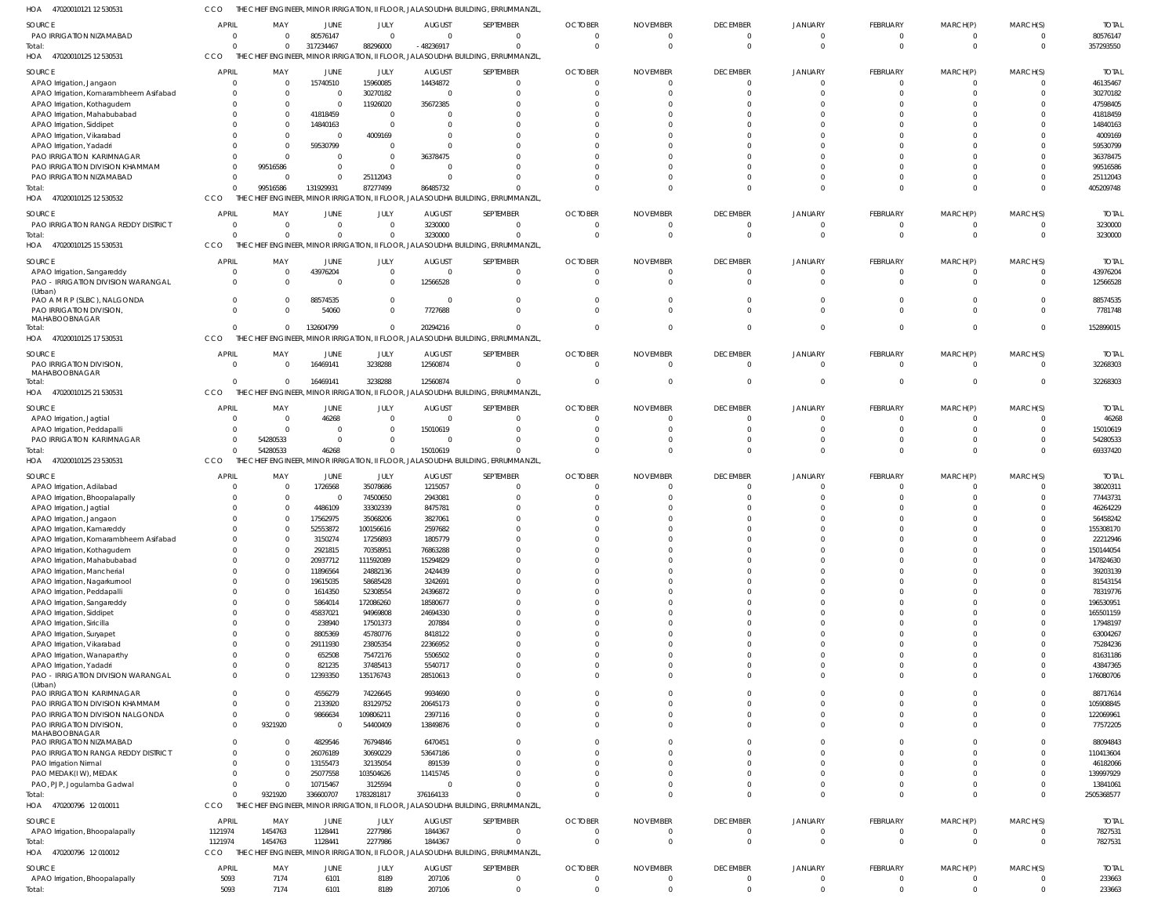47020010121 12 530531 HOA CCO THE CHIEF ENGINEER, MINOR IRRIGATION, II FLOOR, JALASOUDHA BUILDING, ERRUMMANZIL,

|                                           |              |                                                 |                |                |                  | NEER, MIINOR IRRIGAIION, II FLOOR, JALASOUDHA BUILDING, ERRUMIMANZIL             |                              |                      |                                  |                               |                      |                      |                            |                  |
|-------------------------------------------|--------------|-------------------------------------------------|----------------|----------------|------------------|----------------------------------------------------------------------------------|------------------------------|----------------------|----------------------------------|-------------------------------|----------------------|----------------------|----------------------------|------------------|
| SOURCE                                    | <b>APRIL</b> | MAY                                             | <b>JUNE</b>    | JULY           | <b>AUGUST</b>    | SEPTEMBER                                                                        | <b>OCTOBER</b>               | <b>NOVEMBER</b>      | <b>DECEMBER</b>                  | <b>JANUARY</b>                | FEBRUARY             | MARCH(P)             | MARCH(S)                   | <b>TOTAL</b>     |
| PAO IRRIGATION NIZAMABAD                  | $\Omega$     | $\Omega$                                        | 80576147       | $\overline{0}$ | $\Omega$         | $\mathbf 0$                                                                      | $\overline{0}$               | $\Omega$             | $\overline{0}$                   | $\overline{0}$                | $\Omega$             | $\Omega$             | $\Omega$                   | 80576147         |
| Total:                                    | $\Omega$     |                                                 | 317234467      | 88296000       | -48236917        | $\mathbf 0$                                                                      | $\Omega$                     | $\Omega$             | $\overline{0}$                   | $\mathbf 0$                   | $\Omega$             | $\mathbf 0$          | $\Omega$                   | 357293550        |
| 47020010125 12 530531<br>HOA              | CCO          |                                                 |                |                |                  | THE CHIEF ENGINEER, MINOR IRRIGATION, II FLOOR, JALASOUDHA BUILDING, ERRUMMANZIL |                              |                      |                                  |                               |                      |                      |                            |                  |
|                                           |              |                                                 |                |                |                  |                                                                                  |                              |                      |                                  |                               |                      |                      |                            |                  |
| SOURCE                                    | <b>APRIL</b> | MAY                                             | JUNE           | JULY           | <b>AUGUST</b>    | SEPTEMBER                                                                        | <b>OCTOBER</b>               | <b>NOVEMBER</b>      | <b>DECEMBER</b>                  | JANUARY                       | FEBRUARY             | MARCH(P)             | MARCH(S)                   | <b>TOTAL</b>     |
| APAO Irrigation, Jangaon                  | $\Omega$     |                                                 | 15740510       | 15960085       | 14434872         | $^{\circ}$                                                                       | $\Omega$                     | $\Omega$             | $\overline{0}$                   | $\Omega$                      |                      |                      | 0                          | 46135467         |
| APAO Irrigation, Komarambheem Asifabad    | -0           |                                                 | $\overline{0}$ | 30270182       | $\Omega$         | $\Omega$                                                                         |                              |                      | $\Omega$                         | $\Omega$                      |                      |                      |                            | 30270182         |
| APAO Irrigation, Kothagudem               | $\Omega$     |                                                 | $\Omega$       | 11926020       | 35672385         |                                                                                  |                              |                      | $\Omega$                         |                               |                      |                      |                            | 47598405         |
| APAO Irrigation, Mahabubabad              |              |                                                 | 41818459       | $\overline{0}$ |                  |                                                                                  |                              |                      | $\Omega$                         |                               |                      |                      |                            | 41818459         |
| APAO Irrigation, Siddipet                 |              |                                                 | 14840163       | $\Omega$       | $\Omega$         |                                                                                  |                              |                      | $\cap$                           | n                             |                      |                      |                            | 14840163         |
| APAO Irrigation, Vikarabad                |              |                                                 | $\Omega$       | 4009169        |                  |                                                                                  |                              |                      | $\Omega$                         |                               |                      |                      |                            | 4009169          |
| APAO Irrigation, Yadadr                   |              |                                                 | 59530799       | $\Omega$       |                  |                                                                                  |                              |                      | $\cap$                           |                               |                      |                      |                            | 59530799         |
| PAO IRRIGATION KARIMNAGAR                 |              |                                                 | $\Omega$       | $\overline{0}$ | 36378475         |                                                                                  |                              |                      | $\cap$                           |                               |                      |                      |                            | 36378475         |
| PAO IRRIGATION DIVISION KHAMMAM           | -0           | 99516586                                        |                | $\Omega$       |                  |                                                                                  |                              |                      | $\Omega$                         | $\cap$                        |                      |                      |                            | 99516586         |
|                                           |              |                                                 |                |                |                  | $\Omega$                                                                         |                              |                      | $\Omega$                         | $\Omega$                      |                      |                      |                            |                  |
| PAO IRRIGATION NIZAMABAD                  | - 0          |                                                 | $\Omega$       | 25112043       |                  |                                                                                  |                              |                      |                                  |                               |                      |                      |                            | 25112043         |
| Total:                                    | $\Omega$     | 99516586                                        | 131929931      | 87277499       | 86485732         |                                                                                  | $\cap$                       | $\Omega$             | $\Omega$                         | $\Omega$                      |                      | $\Omega$             |                            | 405209748        |
| 47020010125 12 530532<br>HOA              | CCO          | THE CHIEF ENGINEER, MINOR IRRIGATION, II FLOOR, |                |                |                  | JALASOUDHA BUILDING, ERRUMMANZIL                                                 |                              |                      |                                  |                               |                      |                      |                            |                  |
| SOURCE                                    | <b>APRIL</b> | MAY                                             | <b>JUNE</b>    | JULY           | <b>AUGUST</b>    | SEPTEMBER                                                                        | <b>OCTOBER</b>               | <b>NOVEMBER</b>      | <b>DECEMBER</b>                  | <b>JANUARY</b>                | FEBRUARY             | MARCH(P)             | MARCH(S)                   | <b>TOTAL</b>     |
| PAO IRRIGATION RANGA REDDY DISTRICT       | $\Omega$     |                                                 | $\mathbf{0}$   | $\overline{0}$ | 3230000          | $\overline{0}$                                                                   | $\overline{0}$               | $\Omega$             | $\overline{0}$                   | $\overline{0}$                | $\Omega$             | $\mathbf 0$          | $\mathbf 0$                | 3230000          |
| Total:                                    |              |                                                 | $\Omega$       | $\Omega$       | 3230000          | $\Omega$                                                                         | $\Omega$                     | $\Omega$             | $\Omega$                         | $\Omega$                      | $\Omega$             | $\Omega$             | $\Omega$                   | 3230000          |
| 47020010125 15 530531<br>HOA              | CCO          |                                                 |                |                |                  | THE CHIEF ENGINEER, MINOR IRRIGATION, II FLOOR, JALASOUDHA BUILDING, ERRUMMANZIL |                              |                      |                                  |                               |                      |                      |                            |                  |
|                                           |              |                                                 |                |                |                  |                                                                                  |                              |                      |                                  |                               |                      |                      |                            |                  |
| SOURCE                                    | <b>APRIL</b> | MAY                                             | JUNE           | JULY           | <b>AUGUST</b>    | SEPTEMBER                                                                        | <b>OCTOBER</b>               | <b>NOVEMBER</b>      | <b>DECEMBER</b>                  | <b>JANUARY</b>                | FEBRUARY             | MARCH(P)             | MARCH(S)                   | <b>TOTAI</b>     |
| APAO Irrigation, Sangareddy               | $^{\circ}$   | $\Omega$                                        | 43976204       | $\overline{0}$ | $\Omega$         | $^{\circ}$                                                                       | $\Omega$                     | $\Omega$             | $\overline{0}$                   | $\Omega$                      |                      |                      |                            | 43976204         |
| PAO - IRRIGATION DIVISION WARANGAL        | $\Omega$     | $\Omega$                                        | $\Omega$       | $\mathbf 0$    | 12566528         | $\mathbf 0$                                                                      | $\Omega$                     | $\Omega$             | $\Omega$                         | $\Omega$                      | $\Omega$             | $\Omega$             | $\Omega$                   | 12566528         |
| (Urban)                                   |              |                                                 |                |                |                  |                                                                                  |                              |                      |                                  |                               |                      |                      |                            |                  |
| PAO A M R P (SLBC), NALGONDA              | $\Omega$     |                                                 | 88574535       | $\mathbf 0$    | $\Omega$         | $\Omega$                                                                         | $\Omega$                     |                      | $\Omega$                         | $\Omega$                      |                      |                      |                            | 88574535         |
| PAO IRRIGATION DIVISION,                  | $\Omega$     |                                                 | 54060          | $\mathbf 0$    | 7727688          | $\Omega$                                                                         | $\Omega$                     | $\Omega$             | $\Omega$                         | $\Omega$                      |                      | $\Omega$             | $\Omega$                   | 7781748          |
| MAHABOOBNAGAR                             |              |                                                 |                |                |                  |                                                                                  |                              |                      |                                  |                               |                      |                      |                            |                  |
| Total:                                    | $\Omega$     | $\Omega$                                        | 132604799      | $\Omega$       | 20294216         | $\Omega$                                                                         | $\Omega$                     | $\Omega$             | $\Omega$                         | $\Omega$                      | $\Omega$             | $\Omega$             | $\Omega$                   | 152899015        |
| HOA<br>47020010125 17 530531              | CCO          | THE CHIEF ENGINEER, MINOR IRRIGATION, II FLOOR, |                |                |                  | <b>JALASOUDHA BUILDING, ERRUMMANZIL</b>                                          |                              |                      |                                  |                               |                      |                      |                            |                  |
| SOURCE                                    | <b>APRIL</b> | MAY                                             | JUNE           | JULY           | <b>AUGUST</b>    | SEPTEMBER                                                                        | <b>OCTOBER</b>               | <b>NOVEMBER</b>      | <b>DECEMBER</b>                  | <b>JANUARY</b>                | FEBRUARY             | MARCH(P)             | MARCH(S)                   | <b>TOTAL</b>     |
|                                           |              |                                                 |                |                |                  | $\mathbf 0$                                                                      | $\overline{0}$               | $\overline{0}$       | $\overline{0}$                   | $\overline{0}$                | $\mathbf{0}$         | $\mathbf 0$          | $\mathbf 0$                |                  |
| PAO IRRIGATION DIVISION,<br>MAHABOOBNAGAR | - 0          |                                                 | 16469141       | 3238288        | 12560874         |                                                                                  |                              |                      |                                  |                               |                      |                      |                            | 32268303         |
| Total:                                    | $\Omega$     | $\Omega$                                        | 16469141       | 3238288        | 12560874         | $\mathbf 0$                                                                      | $\Omega$                     | $\Omega$             | $\overline{0}$                   | $\overline{0}$                | $\Omega$             | $\mathbf 0$          | $\Omega$                   | 32268303         |
| 47020010125 21 530531<br>HOA              | CCO          |                                                 |                |                |                  | THE CHIEF ENGINEER, MINOR IRRIGATION, II FLOOR, JALASOUDHA BUILDING, ERRUMMANZIL |                              |                      |                                  |                               |                      |                      |                            |                  |
|                                           |              |                                                 |                |                |                  |                                                                                  |                              |                      |                                  |                               |                      |                      |                            |                  |
| SOURCE                                    | <b>APRIL</b> | MAY                                             | JUNE           | JULY           | <b>AUGUST</b>    | SEPTEMBER                                                                        | <b>OCTOBER</b>               | <b>NOVEMBER</b>      | <b>DECEMBER</b>                  | <b>JANUARY</b>                | FEBRUARY             | MARCH(P)             | MARCH(S)                   | <b>TOTAL</b>     |
| APAO Irrigation, Jagtial                  | - 0          | $\Omega$                                        | 46268          | $\overline{0}$ | $\Omega$         | $\Omega$                                                                         | $\Omega$                     | $\Omega$             | $\mathbf{0}$                     | $\Omega$                      |                      |                      |                            | 46268            |
| APAO Irrigation, Peddapalli               | $\mathbf{0}$ | $\Omega$                                        |                | $\mathbf 0$    | 15010619         | $\Omega$                                                                         | $\Omega$                     |                      | $\Omega$                         |                               |                      |                      |                            | 15010619         |
| PAO IRRIGATION KARIMNAGAR                 | $\Omega$     | 54280533                                        | $\overline{0}$ | $\mathbf 0$    |                  | $\Omega$                                                                         | <sup>0</sup>                 |                      | $\Omega$                         | $\Omega$                      |                      |                      |                            | 54280533         |
| Total:                                    | $\Omega$     | 54280533                                        | 46268          | $\mathbf 0$    | 15010619         | $\Omega$                                                                         | $\Omega$                     | $\Omega$             | $\Omega$                         | $\Omega$                      | $\Omega$             | $\Omega$             | $\Omega$                   | 69337420         |
| HOA 47020010125 23 530531                 | CCO          |                                                 |                |                |                  | THE CHIEF ENGINEER, MINOR IRRIGATION, II FLOOR, JALASOUDHA BUILDING, ERRUMMANZIL |                              |                      |                                  |                               |                      |                      |                            |                  |
|                                           |              |                                                 |                |                |                  |                                                                                  |                              |                      |                                  |                               |                      |                      |                            |                  |
| SOURCE                                    | <b>APRIL</b> | MAY                                             | <b>JUNE</b>    | JULY           | <b>AUGUST</b>    | SEPTEMBER                                                                        | <b>OCTOBER</b>               | <b>NOVEMBER</b>      | <b>DECEMBER</b>                  | JANUARY                       | FEBRUARY             | MARCH(P)             | MARCH(S)                   | <b>TOTAI</b>     |
| APAO Irrigation, Adilabad                 |              |                                                 | 1726568        | 35078686       | 1215057          | $\overline{0}$                                                                   | $\Omega$                     |                      | $\overline{0}$                   | $\Omega$                      |                      |                      |                            | 38020311         |
|                                           |              |                                                 | $\overline{0}$ | 74500650       | 2943081          | $\Omega$                                                                         |                              |                      | $\Omega$                         |                               |                      |                      |                            | 77443731         |
| APAO Irrigation, Bhoopalapally            |              |                                                 |                |                |                  |                                                                                  |                              |                      |                                  |                               |                      |                      |                            |                  |
| APAO Irrigation, Jagtial                  |              |                                                 | 4486109        | 33302339       | 8475781          |                                                                                  |                              |                      | $\Omega$                         |                               |                      |                      |                            | 46264229         |
| APAO Irrigation, Jangaon                  |              |                                                 | 17562975       | 35068206       | 3827061          |                                                                                  |                              |                      | $\cap$                           |                               |                      |                      |                            | 56458242         |
| APAO Irrigation, Kamareddy                |              |                                                 | 52553872       | 100156616      | 2597682          |                                                                                  |                              |                      |                                  |                               |                      |                      |                            | 155308170        |
|                                           |              |                                                 |                |                |                  | $\mathbf 0$                                                                      | $\Omega$                     |                      | $\Omega$                         | $\Omega$                      | $\Omega$             |                      | $\Omega$                   |                  |
| APAO Irrigation, Komarambheem Asifabad    |              |                                                 | 3150274        | 17256893       | 1805779          | $\mathbf 0$                                                                      | $\Omega$                     |                      | $\Omega$                         | $\Omega$                      | $\Omega$             | $\Omega$             | $\Omega$                   | 22212946         |
| APAO Irrigation, Kothagudem               |              |                                                 | 2921815        | 70358951       | 76863288         | $\Omega$                                                                         | $\Omega$                     | U                    | $\Omega$                         | $\Omega$                      | $\Omega$             | $\Omega$             |                            | 150144054        |
| APAO Irrigation, Mahabubabad              |              |                                                 | 20937712       | 111592089      | 15294829         |                                                                                  | <sup>0</sup>                 |                      |                                  |                               |                      | $\Omega$             |                            | 147824630        |
| APAO Irrigation, Mancherial               |              |                                                 | 11896564       | 24882136       | 2424439          | $\mathbf 0$                                                                      |                              |                      | $\Omega$                         | $\Omega$                      |                      |                      |                            | 39203139         |
| APAO Irrigation, Nagarkurnool             |              |                                                 | 19615035       | 58685428       | 3242691          | $\Omega$                                                                         |                              |                      | $\Omega$                         | $\Omega$                      |                      |                      |                            | 81543154         |
| APAO Irrigation, Peddapalli               |              |                                                 | 1614350        | 52308554       | 24396872         | $\mathbf 0$                                                                      |                              | U                    | $\Omega$                         | $\Omega$                      |                      | $\Omega$             |                            | 78319776         |
| APAO Irrigation, Sangareddy               |              |                                                 | 5864014        | 172086260      | 18580677         | $\Omega$                                                                         |                              |                      | $\Omega$                         | $\Omega$                      |                      |                      |                            | 196530951        |
| APAO Irrigation, Siddipet                 |              |                                                 | 45837021       | 94969808       | 24694330         | $\Omega$                                                                         |                              |                      | $\Omega$                         | $\Omega$                      |                      |                      |                            | 165501159        |
| APAO Irrigation, Siricilla                |              |                                                 | 238940         | 17501373       | 207884           | $\Omega$                                                                         |                              |                      | $\Omega$                         | $\Omega$                      |                      | $\Omega$             |                            | 17948197         |
| APAO Irrigation, Suryapet                 |              |                                                 | 8805369        | 45780776       | 8418122          | $\Omega$                                                                         |                              |                      | $\Omega$                         | $\Omega$                      |                      |                      |                            | 63004267         |
| APAO Irrigation, Vikarabad                |              |                                                 | 29111930       | 23805354       | 22366952         | $\Omega$                                                                         |                              |                      | $\Omega$                         | $\Omega$                      |                      | $\cap$               |                            | 75284236         |
| APAO Irrigation, Wanaparthy               |              |                                                 | 652508         | 75472176       | 5506502          | $\Omega$                                                                         |                              |                      | $\Omega$                         | $\Omega$                      |                      | $\Omega$             |                            | 81631186         |
| APAO Irrigation, Yadadri                  |              |                                                 | 821235         | 37485413       | 5540717          | $\Omega$                                                                         | <sup>0</sup>                 | <sup>0</sup>         | $\Omega$                         | $\Omega$                      | $\Omega$             | $\Omega$             |                            | 43847365         |
| PAO - IRRIGATION DIVISION WARANGAL        |              |                                                 | 12393350       | 135176743      | 28510613         | $\Omega$                                                                         | $\Omega$                     | <sup>0</sup>         | $\Omega$                         | $\Omega$                      | $\Omega$             | $\Omega$             | $\Omega$                   | 176080706        |
| (Urban)                                   |              |                                                 |                |                |                  |                                                                                  |                              |                      |                                  |                               |                      |                      |                            |                  |
| PAO IRRIGATION KARIMNAGAR                 | $\Omega$     |                                                 | 4556279        | 74226645       | 9934690          | $\Omega$                                                                         |                              | <sup>0</sup>         | $\Omega$                         | $\Omega$                      | $\Omega$             | $\Omega$             | $\Omega$                   | 88717614         |
| PAO IRRIGATION DIVISION KHAMMAM           |              |                                                 | 2133920        | 83129752       | 20645173         | $\Omega$                                                                         | $\Omega$                     | <sup>0</sup>         | $\Omega$                         | $\Omega$                      | $\Omega$             | $\Omega$             | $\Omega$                   | 105908845        |
| PAO IRRIGATION DIVISION NALGONDA          | -0           | $\cap$                                          | 9866634        | 109806211      | 2397116          | $\mathbf 0$                                                                      | $\Omega$                     | $\Omega$             | $\overline{0}$                   | $\mathbf 0$                   | $\Omega$             | $\Omega$             | $\Omega$                   | 122069961        |
| PAO IRRIGATION DIVISION,                  | $\Omega$     | 9321920                                         | $\Omega$       | 54400409       | 13849876         | $\Omega$                                                                         | $\Omega$                     | $\Omega$             | $\Omega$                         | $\Omega$                      | $\Omega$             | $\Omega$             | $\Omega$                   | 77572205         |
| MAHABOOBNAGAR                             |              |                                                 |                |                |                  |                                                                                  |                              |                      |                                  |                               |                      |                      |                            |                  |
| PAO IRRIGATION NIZAMABAD                  |              |                                                 | 4829546        | 76794846       | 6470451          | $\Omega$                                                                         | $\Omega$                     | <sup>0</sup>         | $\Omega$                         | $\Omega$                      |                      | $\Omega$             |                            | 88094843         |
| PAO IRRIGATION RANGA REDDY DISTRICT       |              |                                                 | 26076189       | 30690229       | 53647186         | $\Omega$                                                                         | <sup>0</sup>                 | U                    | $\Omega$                         | $\Omega$                      |                      | $\Omega$             | <sup>0</sup>               | 110413604        |
| PAO Irrigation Nirmal                     |              |                                                 | 13155473       | 32135054       | 891539           | $\Omega$                                                                         |                              |                      | $\Omega$                         | $\Omega$                      |                      | $\Omega$             |                            | 46182066         |
| PAO MEDAK(IW), MEDAK                      |              |                                                 | 25077558       | 103504626      | 11415745         | $\Omega$                                                                         | <sup>0</sup>                 |                      | $\Omega$                         | $\Omega$                      |                      |                      | $\Omega$                   | 139997929        |
| PAO, PJP, Jogulamba Gadwal                | $\Omega$     |                                                 | 10715467       | 3125594        | $\Omega$         | $\Omega$                                                                         | $\Omega$                     | $\Omega$             | $\Omega$                         | $\overline{0}$                | $\Omega$             | $\Omega$             | $\Omega$                   | 13841061         |
| Total:                                    | $\Omega$     | 9321920                                         | 336600707      | 1783281817     | 376164133        | $\Omega$                                                                         | $\Omega$                     | $\Omega$             | $\Omega$                         | $\Omega$                      | $\Omega$             | $\Omega$             | $\Omega$                   | 2505368577       |
| 470200796 12 010011<br>HOA                | CCO          |                                                 |                |                |                  | THE CHIEF ENGINEER, MINOR IRRIGATION, II FLOOR, JALASOUDHA BUILDING, ERRUMMANZIL |                              |                      |                                  |                               |                      |                      |                            |                  |
|                                           |              |                                                 |                |                |                  |                                                                                  |                              |                      |                                  |                               |                      |                      |                            |                  |
| SOURCE                                    | <b>APRIL</b> | MAY                                             | JUNE           | JULY           | <b>AUGUST</b>    | SEPTEMBER                                                                        | <b>OCTOBER</b>               | <b>NOVEMBER</b>      | <b>DECEMBER</b>                  | JANUARY                       | FEBRUARY             | MARCH(P)             | MARCH(S)                   | <b>TOTAL</b>     |
| APAO Irrigation, Bhoopalapally            | 1121974      | 1454763                                         | 1128441        | 2277986        | 1844367          | $\overline{0}$                                                                   | $\mathbf{0}$                 | $\Omega$             | $\overline{0}$                   | $\mathbf 0$                   | - 0                  |                      | $\mathbf 0$                | 7827531          |
| Total:                                    | 1121974      | 1454763                                         | 1128441        | 2277986        | 1844367          | $\Omega$                                                                         | $\Omega$                     | $\Omega$             | $\overline{0}$                   | $\Omega$                      | $\Omega$             | $\mathbf 0$          | $\Omega$                   | 7827531          |
| HOA 470200796 12 010012                   | CCO          |                                                 |                |                |                  | THE CHIEF ENGINEER, MINOR IRRIGATION, II FLOOR, JALASOUDHA BUILDING, ERRUMMANZIL |                              |                      |                                  |                               |                      |                      |                            |                  |
|                                           |              |                                                 |                |                |                  |                                                                                  |                              |                      |                                  |                               |                      |                      |                            |                  |
| <b>SOURCE</b>                             | <b>APRIL</b> | MAY                                             | <b>JUNE</b>    | JULY           | <b>AUGUST</b>    | SEPTEMBER                                                                        | <b>OCTOBER</b>               | <b>NOVEMBER</b>      | <b>DECEMBER</b>                  | <b>JANUARY</b>                | FEBRUARY             | MARCH(P)             | MARCH(S)                   | <b>TOTAL</b>     |
| APAO Irrigation, Bhoopalapally<br>Total:  | 5093<br>5093 | 7174<br>7174                                    | 6101<br>6101   | 8189<br>8189   | 207106<br>207106 | $\overline{0}$<br>$\mathbf 0$                                                    | $\mathbf{0}$<br>$\mathbf{0}$ | $\Omega$<br>$\Omega$ | $\overline{0}$<br>$\overline{0}$ | $\mathbf 0$<br>$\overline{0}$ | $\Omega$<br>$\Omega$ | $\Omega$<br>$\Omega$ | $\mathbf 0$<br>$\mathbf 0$ | 233663<br>233663 |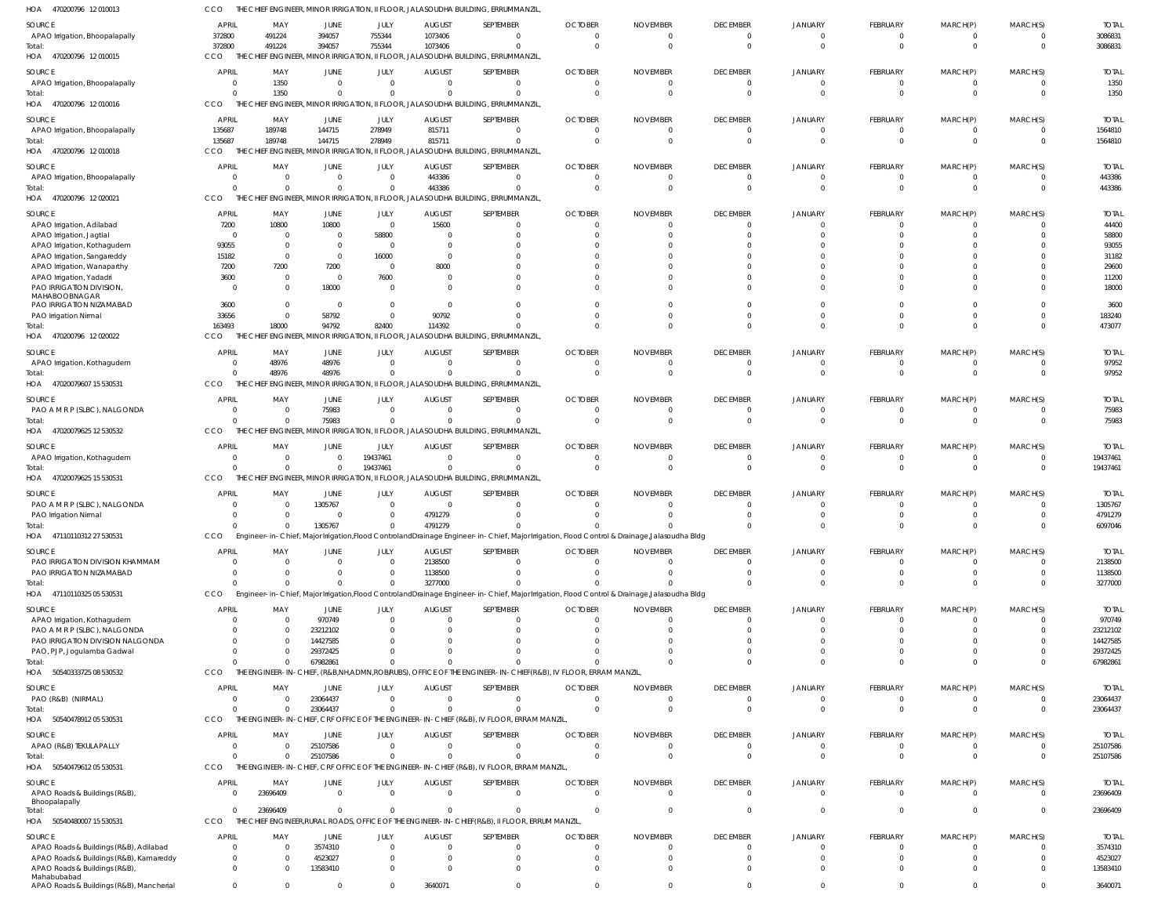| 1OA<br>470200796 12010013                                                | cco                      |                                                    |                                                 |                                  |                                | THE CHIEF ENGINEER, MINOR IRRIGATION, II FLOOR, JALASOUDHA BUILDING, ERRUMMANZIL                                                              |                            |                      |                                 |                      |                                 |                              |                              |                          |
|--------------------------------------------------------------------------|--------------------------|----------------------------------------------------|-------------------------------------------------|----------------------------------|--------------------------------|-----------------------------------------------------------------------------------------------------------------------------------------------|----------------------------|----------------------|---------------------------------|----------------------|---------------------------------|------------------------------|------------------------------|--------------------------|
| SOURCE                                                                   | <b>APRIL</b>             | MAY                                                | JUNE                                            | JULY                             | <b>AUGUST</b>                  | SEPTEMBER                                                                                                                                     | <b>OCTOBER</b>             | <b>NOVEMBER</b>      | <b>DECEMBER</b>                 | JANUARY              | FEBRUARY                        | MARCH(P)                     | MARCH(S)                     | <b>TOTAL</b>             |
| APAO Irrigation, Bhoopalapally                                           | 372800                   | 491224                                             | 394057                                          | 755344                           | 1073406                        |                                                                                                                                               | $\Omega$                   | 0                    | $\mathbf{0}$                    | 0                    | $\overline{0}$                  | $\overline{0}$               | $^{\circ}$                   | 3086831                  |
| Total:                                                                   | 372800                   | 491224                                             | 394057                                          | 755344                           | 1073406                        |                                                                                                                                               | $\Omega$                   | $\Omega$             | $\mathbf 0$                     | $\mathbf 0$          | $\mathbf{0}$                    | $\mathbf{0}$                 | $\overline{0}$               | 3086831                  |
| HOA 470200796 12010015                                                   | <b>CCO</b>               |                                                    | THE CHIEF ENGINEER, MINOR IRRIGATION, II FLOOR, |                                  |                                | JALASOUDHA BUILDING, ERRUMMANZIL,                                                                                                             |                            |                      |                                 |                      |                                 |                              |                              |                          |
| SOURCE                                                                   | <b>APRIL</b>             | MAY                                                | JUNE                                            | JULY                             | <b>AUGUST</b>                  | SEPTEMBER                                                                                                                                     | <b>OCTOBER</b>             | <b>NOVEMBER</b>      | <b>DECEMBER</b>                 | JANUARY              | FEBRUARY                        | MARCH(P)                     | MARCH(S)                     | <b>TOTAL</b>             |
| APAO Irrigation, Bhoopalapally                                           | $\overline{0}$           | 1350                                               | $\overline{0}$                                  | $\overline{0}$                   | $\overline{0}$                 | $\Omega$                                                                                                                                      | $\mathbf 0$                | $\Omega$             | $\mathbf 0$                     | $\mathbf 0$          | $\overline{0}$                  | $\overline{0}$               | $\mathbf 0$                  | 1350                     |
| Total:<br>HOA 470200796 12010016                                         | $\Omega$<br><b>CCO</b>   | 1350                                               | $\mathbf 0$                                     | $\Omega$                         | $\Omega$                       | THE CHIEF ENGINEER, MINOR IRRIGATION, II FLOOR, JALASOUDHA BUILDING, ERRUMMANZIL,                                                             | $\Omega$                   | $\Omega$             | $\mathbf 0$                     | $\mathbf 0$          | $\overline{0}$                  | $\overline{0}$               | $\mathbf 0$                  | 1350                     |
|                                                                          |                          |                                                    |                                                 |                                  |                                |                                                                                                                                               |                            |                      |                                 |                      |                                 |                              |                              |                          |
| SOURCE                                                                   | <b>APRIL</b>             | MAY                                                | JUNE                                            | JULY                             | <b>AUGUST</b>                  | SEPTEMBER                                                                                                                                     | <b>OCTOBER</b>             | <b>NOVEMBER</b>      | <b>DECEMBER</b>                 | JANUARY              | FEBRUARY                        | MARCH(P)                     | MARCH(S)                     | <b>TOTAL</b>             |
| APAO Irrigation, Bhoopalapally<br>Total:                                 | 135687<br>135687         | 189748<br>189748                                   | 144715<br>144715                                | 278949<br>278949                 | 815711<br>815711               | $\Omega$<br>$\Omega$                                                                                                                          | $\Omega$<br>$\Omega$       | $\overline{0}$       | $\mathbf{0}$<br>$\mathbf 0$     | 0<br>$\mathbf 0$     | $\mathbf{0}$<br>$\overline{0}$  | $\mathbf{0}$<br>$\mathbf{0}$ | $^{\circ}$<br>$\overline{0}$ | 1564810<br>1564810       |
| HOA 470200796 12010018                                                   | CCO                      |                                                    |                                                 |                                  |                                | THE CHIEF ENGINEER, MINOR IRRIGATION, II FLOOR, JALASOUDHA BUILDING, ERRUMMANZIL,                                                             |                            |                      |                                 |                      |                                 |                              |                              |                          |
|                                                                          |                          |                                                    |                                                 |                                  |                                |                                                                                                                                               |                            |                      |                                 |                      |                                 |                              |                              |                          |
| SOURCE                                                                   | <b>APRIL</b><br>$\Omega$ | MAY<br>$\overline{0}$                              | <b>JUNE</b><br>$\mathbf 0$                      | JULY<br>$\overline{0}$           | <b>AUGUST</b><br>443386        | SEPTEMBER                                                                                                                                     | <b>OCTOBER</b><br>$\Omega$ | <b>NOVEMBER</b><br>0 | <b>DECEMBER</b><br>$\mathbf{0}$ | JANUARY<br>0         | <b>FEBRUARY</b><br>$\mathbf{0}$ | MARCH(P)<br>$\mathbf{0}$     | MARCH(S)<br>0                | <b>TOTAL</b>             |
| APAO Irrigation, Bhoopalapally<br>lotal:                                 |                          | $\Omega$<br>$\Omega$                               | $\Omega$                                        | $\overline{0}$                   | 443386                         |                                                                                                                                               | $\Omega$                   | $\Omega$             | $\mathbf 0$                     | $\mathbf 0$          | $\overline{0}$                  | $\overline{0}$               | $\mathbf 0$                  | 443386<br>443386         |
| HOA 470200796 12020021                                                   | <b>CCO</b>               |                                                    |                                                 |                                  |                                | THE CHIEF ENGINEER, MINOR IRRIGATION, II FLOOR, JALASOUDHA BUILDING, ERRUMMANZIL,                                                             |                            |                      |                                 |                      |                                 |                              |                              |                          |
| SOURCE                                                                   | <b>APRIL</b>             | MAY                                                | JUNE                                            | JULY                             | <b>AUGUST</b>                  | SEPTEMBER                                                                                                                                     | <b>OCTOBER</b>             | <b>NOVEMBER</b>      | <b>DECEMBER</b>                 | JANUARY              | FEBRUARY                        | MARCH(P)                     | MARCH(S)                     | <b>TOTAL</b>             |
| APAO Irrigation, Adilabad                                                | 7200                     | 10800                                              | 10800                                           | $\overline{0}$                   | 15600                          |                                                                                                                                               | $\Omega$                   |                      | $^{\circ}$                      | $\Omega$             | $\Omega$                        | $\Omega$                     | $\Omega$                     | 44400                    |
| APAO Irrigation, Jagtial                                                 |                          | $\Omega$                                           | $\mathbf 0$                                     | 58800                            | $\Omega$                       |                                                                                                                                               |                            |                      | $^{\circ}$                      | $\Omega$             | $\Omega$                        | $\Omega$                     | $^{\circ}$                   | 58800                    |
| APAO Irrigation, Kothagudem                                              | 93055                    | $\Omega$                                           | $\mathbf 0$                                     | $\overline{0}$                   | $\overline{0}$                 |                                                                                                                                               |                            |                      | $\Omega$                        |                      |                                 |                              | $\Omega$                     | 93055                    |
| APAO Irrigation, Sangareddy                                              | 15182                    | $\Omega$                                           | $\overline{0}$                                  | 16000                            | $\Omega$                       |                                                                                                                                               |                            |                      | $\Omega$                        | $\Omega$             |                                 |                              | $\Omega$                     | 31182                    |
| APAO Irrigation, Wanaparthy                                              | 7200                     | 7200                                               | 7200                                            | $\overline{0}$                   | 8000                           |                                                                                                                                               |                            |                      | $\Omega$                        | $\Omega$             |                                 |                              | $\Omega$                     | 29600                    |
| APAO Irrigation, Yadadri                                                 | 3600                     | $\Omega$<br>$\Omega$                               | $\overline{0}$                                  | 7600<br>$\overline{0}$           | $\overline{0}$<br>- 0          |                                                                                                                                               |                            |                      | $\Omega$<br>$\Omega$            | $\Omega$<br>$\Omega$ | <sup>0</sup>                    | <sup>0</sup>                 | $\Omega$<br>$\Omega$         | 11200                    |
| PAO IRRIGATION DIVISION<br>MAHABOOBNAGAR                                 | -0                       |                                                    | 18000                                           |                                  |                                |                                                                                                                                               |                            |                      |                                 |                      |                                 |                              |                              | 18000                    |
| PAO IRRIGATION NIZAMABAD                                                 | 3600                     | $\Omega$                                           | $\overline{0}$                                  | $\overline{0}$                   | $\overline{0}$                 |                                                                                                                                               |                            |                      | $\Omega$                        | $\Omega$             | $\Omega$                        | $\Omega$                     | $\mathbf 0$                  | 3600                     |
| PAO Irrigation Nirmal                                                    | 33656                    | $\Omega$                                           | 58792                                           | $\overline{0}$                   | 90792                          |                                                                                                                                               |                            |                      | $\overline{0}$                  | $\Omega$             | $\Omega$                        | $\Omega$                     | $\mathbf 0$                  | 183240                   |
| otal:                                                                    | 163493                   | 18000                                              | 94792                                           | 82400                            | 114392                         |                                                                                                                                               |                            |                      | $\Omega$                        | $\Omega$             | $\Omega$                        | $\Omega$                     | $\Omega$                     | 473077                   |
| HOA 470200796 12020022                                                   | <b>CCO</b>               |                                                    |                                                 |                                  |                                | THE CHIEF ENGINEER, MINOR IRRIGATION, II FLOOR, JALASOUDHA BUILDING, ERRUMMANZIL,                                                             |                            |                      |                                 |                      |                                 |                              |                              |                          |
| SOURCE                                                                   | <b>APRIL</b>             | MAY                                                | JUNE                                            | JULY                             | <b>AUGUST</b>                  | SEPTEMBER                                                                                                                                     | <b>OCTOBER</b>             | <b>NOVEMBER</b>      | <b>DECEMBER</b>                 | JANUARY              | FEBRUARY                        | MARCH(P)                     | MARCH(S)                     | <b>TOTAL</b>             |
| APAO Irrigation, Kothagudem                                              |                          | 48976<br>$\mathbf{0}$                              | 48976                                           | $\overline{0}$                   | $\overline{0}$                 | $\Omega$                                                                                                                                      | $\Omega$                   | $\Omega$             | $\mathbf 0$                     | $\mathbf 0$          | $\overline{0}$                  | $\overline{0}$               | $\mathbf 0$                  | 97952                    |
| Total:<br>HOA 47020079607 15 530531                                      | <b>CCO</b>               | 48976<br>$\Omega$<br>THE CHIEF                     | 48976                                           | $\overline{0}$                   | $\Omega$                       | ENGINEER, MINOR IRRIGATION, II FLOOR, JALASOUDHA BUILDING, ERRUMMANZIL,                                                                       | $\Omega$                   | $\Omega$             | $\mathbf 0$                     | $\mathbf 0$          | $\overline{0}$                  | $\overline{0}$               | $\mathbf 0$                  | 97952                    |
|                                                                          |                          |                                                    |                                                 |                                  |                                |                                                                                                                                               |                            |                      |                                 |                      |                                 |                              |                              |                          |
| SOURCE                                                                   | <b>APRIL</b>             | MAY                                                | JUNE                                            | JULY                             | <b>AUGUST</b>                  | SEPTEMBER                                                                                                                                     | <b>OCTOBER</b>             | <b>NOVEMBER</b>      | <b>DECEMBER</b>                 | JANUARY              | <b>FEBRUARY</b>                 | MARCH(P)                     | MARCH(S)                     | <b>TOTAL</b>             |
| PAO A M R P (SLBC), NALGONDA<br>Total:                                   | - 0                      | $\overline{0}$<br>$\Omega$                         | 75983<br>75983                                  | $\overline{0}$<br>$\overline{0}$ | $\mathbf 0$<br>$\Omega$        |                                                                                                                                               | 0<br>$\Omega$              | $\Omega$             | $^{\circ}$<br>$\mathbf 0$       | 0<br>$\Omega$        | $\mathbf{0}$<br>$\overline{0}$  | $\mathbf{0}$<br>$\mathbf{0}$ | $^{\circ}$<br>$\mathbf 0$    | 75983<br>75983           |
| HOA 47020079625 12 530532                                                | <b>CCO</b>               |                                                    |                                                 |                                  |                                | THE CHIEF ENGINEER, MINOR IRRIGATION, II FLOOR, JALASOUDHA BUILDING, ERRUMMANZIL,                                                             |                            |                      |                                 |                      |                                 |                              |                              |                          |
|                                                                          |                          |                                                    |                                                 |                                  |                                |                                                                                                                                               |                            |                      |                                 |                      |                                 |                              |                              |                          |
| SOURCE<br>APAO Irrigation, Kothagudem                                    | <b>APRIL</b>             | MAY<br>$\overline{0}$                              | JUNE<br>$\mathbf 0$                             | JULY<br>19437461                 | <b>AUGUST</b><br>$\mathbf 0$   | SEPTEMBER                                                                                                                                     | <b>OCTOBER</b><br>$\Omega$ | <b>NOVEMBER</b><br>0 | <b>DECEMBER</b><br>$\mathbf 0$  | <b>JANUARY</b><br>0  | FEBRUARY<br>$\mathbf{0}$        | MARCH(P)<br>$\mathbf{0}$     | MARCH(S)<br>$^{\circ}$       | <b>TOTAL</b><br>19437461 |
| lotal:                                                                   |                          | $\Omega$<br>$\overline{0}$                         | $\mathbf 0$                                     | 19437461                         | $\mathbf 0$                    |                                                                                                                                               | $\Omega$                   | $\Omega$             | $\mathbf 0$                     | $\mathbf 0$          | $\overline{0}$                  | $\overline{0}$               | $\mathbf{0}$                 | 19437461                 |
| HOA 47020079625 15 530531                                                | <b>CCO</b>               |                                                    |                                                 |                                  |                                | THE CHIEF ENGINEER, MINOR IRRIGATION, II FLOOR, JALASOUDHA BUILDING, ERRUMMANZIL,                                                             |                            |                      |                                 |                      |                                 |                              |                              |                          |
| SOURCE                                                                   | <b>APRIL</b>             | MAY                                                | JUNE                                            | JULY                             | <b>AUGUST</b>                  | SEPTEMBER                                                                                                                                     | <b>OCTOBER</b>             | <b>NOVEMBER</b>      | <b>DECEMBER</b>                 | JANUARY              | FEBRUARY                        | MARCH(P)                     | MARCH(S)                     | <b>TOTAL</b>             |
| PAO A M R P (SLBC), NALGONDA                                             |                          | - 0                                                | 1305767                                         | $\overline{0}$                   | $\overline{0}$                 |                                                                                                                                               |                            |                      | $\Omega$                        | -0                   | $\Omega$                        |                              | $\Omega$                     | 1305767                  |
| PAO Irrigation Nirmal                                                    |                          | $\Omega$                                           | $\Omega$                                        | $\overline{0}$                   | 4791279                        |                                                                                                                                               |                            |                      | $\Omega$                        | $\Omega$             | $\Omega$                        |                              | $^{\circ}$                   | 4791279                  |
| Total:                                                                   |                          | $\Omega$<br>$\Omega$                               | 1305767                                         | $\Omega$                         | 4791279                        |                                                                                                                                               |                            |                      | $\Omega$                        | $\Omega$             | $\Omega$                        |                              | $\Omega$                     | 6097046                  |
| HOA 47110110312 27 530531                                                | CCO.                     |                                                    |                                                 |                                  |                                | Engineer-in-Chief, Major Irrigation, Flood Controland Drainage Engineer-in-Chief, Major Irrigation, Flood Control & Drainage, Jalasoudha Bldg |                            |                      |                                 |                      |                                 |                              |                              |                          |
| SOURCE                                                                   | <b>APRIL</b>             | MAY                                                | JUNE                                            | JULY                             | <b>AUGUST</b>                  | SEPTEMBER                                                                                                                                     | <b>OCTOBER</b>             | <b>NOVEMBER</b>      | <b>DECEMBER</b>                 | <b>JANUARY</b>       | FEBRUARY                        | MARCH(P)                     | MARCH(S)                     | <b>TOTAL</b>             |
| PAO IRRIGATION DIVISION KHAMMAM                                          |                          | $\Omega$                                           | $\Omega$                                        | $\overline{0}$                   | 2138500                        |                                                                                                                                               | $\Omega$                   | 0                    | $\mathbf 0$                     | $\mathbf 0$          | $\overline{0}$                  | $\mathbf{0}$                 | $^{\circ}$                   | 2138500                  |
| PAO IRRIGATION NIZAMABAD                                                 |                          | $\Omega$<br>$\Omega$                               | $\Omega$                                        | $\overline{0}$                   | 1138500                        |                                                                                                                                               | $\Omega$                   | $\Omega$             | $\mathbf 0$                     | $\mathbf 0$          | $\Omega$                        | $\overline{0}$               | $\mathbf 0$                  | 1138500                  |
| lotal:                                                                   |                          | $\Omega$<br>$\Omega$                               | $\Omega$                                        | $\overline{0}$                   | 3277000                        |                                                                                                                                               |                            |                      | $\Omega$                        | $\Omega$             | $\Omega$                        | $\Omega$                     | $\Omega$                     | 3277000                  |
| HOA 47110110325 05 530531                                                | <b>CCO</b>               |                                                    |                                                 |                                  |                                | Engineer-in-Chief, Major Irrigation, Flood Controland Drainage Engineer-in-Chief, Major Irrigation, Flood Control & Drainage, Jalasoudha Bldg |                            |                      |                                 |                      |                                 |                              |                              |                          |
| SOURCE                                                                   | <b>APRIL</b>             | MAY                                                | JUNE                                            | JULY                             | <b>AUGUST</b>                  | SEPTEMBER                                                                                                                                     | <b>OCTOBER</b>             | <b>NOVEMBER</b>      | <b>DECEMBER</b>                 | JANUARY              | FEBRUARY                        | MARCH(P)                     | MARCH(S)                     | <b>TOTAL</b>             |
| APAO Irrigation, Kothagudem                                              |                          | $\Omega$                                           | 970749                                          | $\overline{0}$                   | $\Omega$                       |                                                                                                                                               | $\Omega$                   | $\Omega$             | $\mathbf{0}$                    | $\Omega$             | $\mathbf{0}$                    | $\Omega$                     | 0                            | 970749                   |
| PAO A M R P (SLBC), NALGONDA                                             |                          | $\overline{0}$                                     | 23212102                                        | $\overline{0}$                   | $\Omega$                       |                                                                                                                                               |                            |                      | $\Omega$                        | $\Omega$             |                                 |                              | $\mathbf 0$                  | 23212102                 |
| PAO IRRIGATION DIVISION NALGONDA<br>PAO, PJP, Jogulamba Gadwal           |                          | $\Omega$<br>$\Omega$                               | 14427585<br>29372425                            | - 0<br>$\Omega$                  |                                |                                                                                                                                               |                            |                      | $\Omega$<br>$\Omega$            | $\Omega$<br>$\Omega$ | $\Omega$                        | $\Omega$                     | $\Omega$<br>$\mathbf 0$      | 14427585<br>29372425     |
| Total:                                                                   |                          | $\Omega$                                           | 67982861                                        | $\Omega$                         |                                |                                                                                                                                               |                            |                      | $\Omega$                        | $\Omega$             | $\Omega$                        | $\Omega$                     | $\mathbf 0$                  | 67982861                 |
| HOA 50540333725 08 530532                                                | CCO                      |                                                    |                                                 |                                  |                                | THE ENGINEER-IN-CHIEF, (R&B,NH,ADMN,ROB/RUBS), OFFICE OF THE ENGINEER-IN-CHIEF(R&B), IV FLOOR, ERRAM MANZIL                                   |                            |                      |                                 |                      |                                 |                              |                              |                          |
| SOURCE                                                                   | <b>APRIL</b>             | MAY                                                | JUNE                                            | JULY                             | <b>AUGUST</b>                  | SEPTEMBER                                                                                                                                     | <b>OCTOBER</b>             | <b>NOVEMBER</b>      | <b>DECEMBER</b>                 | <b>JANUARY</b>       | FEBRUARY                        | MARCH(P)                     | MARCH(S)                     | <b>TOTAL</b>             |
| PAO (R&B) (NIRMAL)                                                       |                          | $\Omega$<br>$\overline{0}$                         | 23064437                                        | $\mathbf{0}$                     | $\mathbf 0$                    | $\Omega$                                                                                                                                      | $\mathbf 0$                | $\mathbf 0$          | $\overline{0}$                  | $\overline{0}$       | $\overline{0}$                  | $\overline{0}$               | $\overline{0}$               | 23064437                 |
| lotal:                                                                   |                          | $\Omega$<br>$\Omega$                               | 23064437                                        | $\overline{0}$                   | $\Omega$                       |                                                                                                                                               | $\Omega$                   | $\Omega$             | $\mathbf 0$                     | $\mathbf 0$          | $\mathbf{0}$                    | $\mathbf{0}$                 | $\overline{0}$               | 23064437                 |
| HOA 5054047891205530531                                                  | <b>CCO</b>               |                                                    |                                                 |                                  |                                | THE ENGINEER-IN-CHIEF, CRF OFFICE OF THE ENGINEER-IN-CHIEF (R&B), IV FLOOR, ERRAM MANZIL,                                                     |                            |                      |                                 |                      |                                 |                              |                              |                          |
| SOURCE                                                                   | <b>APRIL</b>             | MAY                                                | JUNE                                            | JULY                             | <b>AUGUST</b>                  | SEPTEMBER                                                                                                                                     | <b>OCTOBER</b>             | <b>NOVEMBER</b>      | <b>DECEMBER</b>                 | JANUARY              | <b>FEBRUARY</b>                 | MARCH(P)                     | MARCH(S)                     | <b>TOTAL</b>             |
| APAO (R&B) TEKULAPALLY                                                   | - 0                      | $\Omega$                                           | 25107586                                        | $\overline{0}$                   | $\mathbf 0$                    | $\Omega$                                                                                                                                      | $\Omega$                   | $\Omega$             | $\mathbf{0}$                    | $^{\circ}$           | $\mathbf{0}$                    | $\mathbf{0}$                 | $^{\circ}$                   | 25107586                 |
| Total:                                                                   |                          | $\Omega$<br>$\overline{0}$                         | 25107586                                        | $\overline{0}$                   | $\Omega$                       |                                                                                                                                               | $\Omega$                   | $\Omega$             | $\mathbf 0$                     | $\mathbf 0$          | $\Omega$                        | $\overline{0}$               | $\mathbf{0}$                 | 25107586                 |
| HOA 50540479612 05 530531                                                | <b>CCO</b>               |                                                    |                                                 |                                  |                                | THE ENGINEER-IN-CHIEF, CRF OFFICE OF THE ENGINEER-IN-CHIEF (R&B), IV FLOOR, ERRAM MANZIL,                                                     |                            |                      |                                 |                      |                                 |                              |                              |                          |
| SOURCE                                                                   | <b>APRIL</b>             | MAY                                                | JUNE                                            | JULY                             | <b>AUGUST</b>                  | SEPTEMBER                                                                                                                                     | <b>OCTOBER</b>             | <b>NOVEMBER</b>      | <b>DECEMBER</b>                 | <b>JANUARY</b>       | FEBRUARY                        | MARCH(P)                     | MARCH(S)                     | <b>TOTAL</b>             |
| APAO Roads & Buildings (R&B),                                            |                          | 23696409<br>$\Omega$                               | $\overline{0}$                                  | $\overline{0}$                   | $\overline{0}$                 | $\Omega$                                                                                                                                      | $\Omega$                   | $\Omega$             | $\mathbf{0}$                    | $\mathbf 0$          | $\overline{0}$                  | $\overline{0}$               | $\mathbf 0$                  | 23696409                 |
| Bhoopalapally                                                            |                          |                                                    |                                                 |                                  |                                |                                                                                                                                               |                            |                      |                                 |                      |                                 |                              |                              |                          |
| Total:<br>HOA 50540480007 15 530531                                      | <b>CCO</b>               | 23696409<br>$\Omega$                               | $\overline{0}$                                  | $\overline{0}$                   | $\mathbf 0$                    | $\Omega$<br>THE CHIEF ENGINEER, RURAL ROADS, OFFICE OF THE ENGINEER-IN-CHIEF (R&B), II FLOOR, ERRUM MANZIL                                    | $\Omega$                   | $\Omega$             | $\mathbf 0$                     | $\mathbf 0$          | $\overline{0}$                  | $\overline{0}$               | $\overline{0}$               | 23696409                 |
|                                                                          |                          |                                                    |                                                 |                                  |                                |                                                                                                                                               |                            |                      |                                 |                      |                                 |                              |                              |                          |
| SOURCE                                                                   | <b>APRIL</b>             | MAY                                                | JUNE                                            | JULY                             | <b>AUGUST</b>                  | SEPTEMBER                                                                                                                                     | <b>OCTOBER</b>             | <b>NOVEMBER</b>      | <b>DECEMBER</b>                 | JANUARY              | FEBRUARY                        | MARCH(P)                     | MARCH(S)                     | <b>TOTAL</b>             |
| APAO Roads & Buildings (R&B), Adilabad                                   |                          | $\Omega$<br>$\overline{0}$<br>$\Omega$<br>$\Omega$ | 3574310                                         | $\overline{0}$<br>$\overline{0}$ | $\mathbf{0}$<br>$\overline{0}$ | - 0                                                                                                                                           | $\Omega$                   | $\Omega$             | $\overline{0}$                  | $\Omega$             | $\overline{0}$<br>$\Omega$      | $\Omega$<br>$\Omega$         | $\Omega$                     | 3574310<br>4523027       |
| APAO Roads & Buildings (R&B), Kamareddy<br>APAO Roads & Buildings (R&B), |                          | $\Omega$<br>$\Omega$                               | 4523027<br>13583410                             | $\Omega$                         | $\Omega$                       |                                                                                                                                               |                            |                      | $\overline{0}$<br>$\Omega$      | 0<br>$\Omega$        | $\Omega$                        | $\Omega$                     | $^{\circ}$<br>$\Omega$       | 13583410                 |
| Mahabubabad                                                              |                          |                                                    |                                                 |                                  |                                |                                                                                                                                               |                            |                      |                                 |                      |                                 |                              |                              |                          |
| APAO Roads & Buildings (R&B), Mancherial                                 |                          | $\mathbf{0}$<br>$\Omega$                           | $\mathbf 0$                                     | $^{\circ}$                       | 3640071                        | $\Omega$                                                                                                                                      | $\Omega$                   | $\Omega$             | $\mathbf{0}$                    | $\mathbf 0$          | $\mathbf 0$                     | $\mathbf{0}$                 | $\mathbf 0$                  | 3640071                  |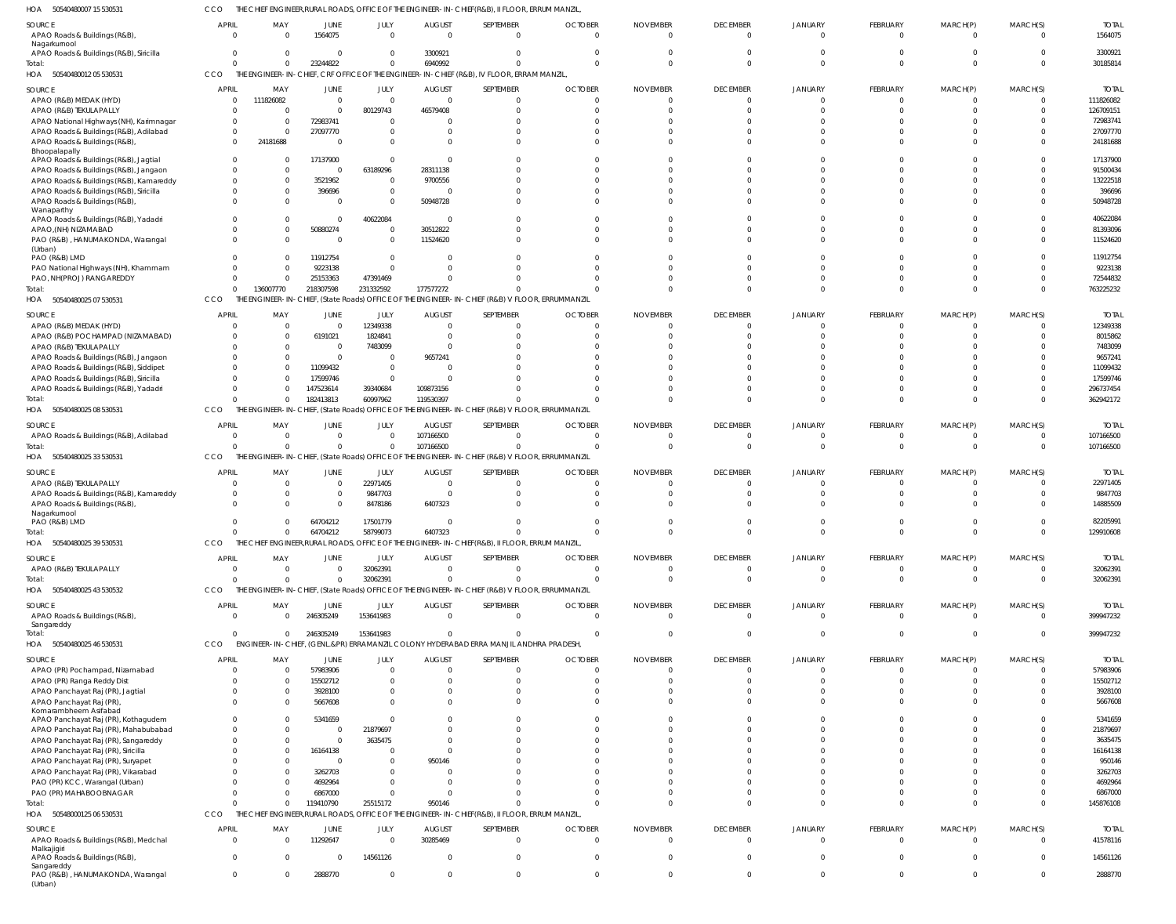50540480007 15 530531 HOA CCO THE CHIEF ENGINEER,RURAL ROADS, OFFICE OF THE ENGINEER-IN-CHIEF(R&B), II FLOOR, ERRUM MANZIL,

| SOURCE                                                                             | <b>APRIL</b>                 | MAY                     | JUNE                                           | JULY                       | <b>AUGUST</b>                | SEPTEMBER                                                                                       | <b>OCTOBER</b>                   | <b>NOVEMBER</b>             | <b>DECEMBER</b>             | <b>JANUARY</b>             | <b>FEBRUARY</b>                | MARCH(P)                   | MARCH(S)             | <b>TOTAL</b>              |
|------------------------------------------------------------------------------------|------------------------------|-------------------------|------------------------------------------------|----------------------------|------------------------------|-------------------------------------------------------------------------------------------------|----------------------------------|-----------------------------|-----------------------------|----------------------------|--------------------------------|----------------------------|----------------------|---------------------------|
| APAO Roads & Buildings (R&B)                                                       | $\Omega$                     | $\Omega$                | 1564075                                        | $\overline{0}$             | $\Omega$                     | $\Omega$                                                                                        | $\overline{0}$                   | $\Omega$                    | $\Omega$                    | $\Omega$                   | $\Omega$                       | $\Omega$                   | $\Omega$             | 1564075                   |
| Nagarkurnool                                                                       |                              |                         |                                                |                            |                              |                                                                                                 |                                  |                             |                             |                            |                                |                            |                      |                           |
| APAO Roads & Buildings (R&B), Siricilla<br>Total:                                  | $\Omega$                     | $\Omega$<br>$\Omega$    | - 0<br>23244822                                | $\Omega$<br>$\overline{0}$ | 3300921<br>6940992           |                                                                                                 | $\Omega$<br>$\Omega$             | $\Omega$<br>$\Omega$        |                             |                            | <sup>0</sup><br>$\Omega$       | $\Omega$                   |                      | 330092<br>30185814        |
| HOA 50540480012 05 530531                                                          | <b>CCO</b>                   |                         |                                                |                            |                              | THE ENGINEER-IN-CHIEF, CRF OFFICE OF THE ENGINEER-IN-CHIEF (R&B), IV FLOOR, ERRAM MANZIL        |                                  |                             |                             |                            |                                |                            |                      |                           |
|                                                                                    |                              |                         |                                                |                            |                              |                                                                                                 |                                  |                             |                             |                            |                                |                            |                      |                           |
| SOURCE                                                                             | <b>APRIL</b><br>$\Omega$     | MAY<br>111826082        | JUNE<br>$\mathbf{0}$                           | JULY<br>$\Omega$           | <b>AUGUST</b><br>$\mathbf 0$ | SEPTEMBER<br>$\mathbf{0}$                                                                       | <b>OCTOBER</b><br>$\mathbf{0}$   | <b>NOVEMBER</b><br>$\Omega$ | <b>DECEMBER</b><br>$\Omega$ | <b>JANUARY</b><br>$\Omega$ | <b>FEBRUARY</b><br>$\mathbf 0$ | MARCH(P)<br>$\Omega$       | MARCH(S)             | <b>TOTAL</b><br>111826082 |
| APAO (R&B) MEDAK (HYD)<br>APAO (R&B) TEKULAPALLY                                   | $\Omega$                     | $\Omega$                | $\Omega$                                       | 80129743                   | 46579408                     | $\Omega$                                                                                        | $\mathbf{0}$                     | $\Omega$                    |                             |                            | $\Omega$                       | $\Omega$                   |                      | 126709151                 |
| APAO National Highways (NH), Karimnagar                                            | $\Omega$                     | $\mathbf 0$             | 72983741                                       | $\Omega$                   | $\Omega$                     |                                                                                                 | $\Omega$                         | $\Omega$                    |                             |                            |                                |                            |                      | 72983741                  |
| APAO Roads & Buildings (R&B), Adilabad                                             | 0                            | $\mathbf{0}$            | 27097770                                       | $\Omega$                   | $\Omega$                     | $\Omega$                                                                                        | $\Omega$                         | $\Omega$                    |                             |                            |                                |                            |                      | 27097770                  |
| APAO Roads & Buildings (R&B)                                                       | $\Omega$                     | 24181688                | $\Omega$                                       | $\Omega$                   | $\Omega$                     | $\cap$                                                                                          | $\Omega$                         | $\Omega$                    |                             |                            |                                |                            |                      | 24181688                  |
| Bhoopalapally                                                                      |                              |                         |                                                |                            |                              |                                                                                                 |                                  |                             |                             |                            |                                |                            |                      |                           |
| APAO Roads & Buildings (R&B), Jagtial                                              | $\Omega$                     | $\Omega$                | 17137900                                       | $\Omega$                   | $\Omega$                     | <sup>0</sup>                                                                                    | $\Omega$                         | $\Omega$                    |                             |                            |                                |                            |                      | 17137900                  |
| APAO Roads & Buildings (R&B), Jangaon                                              | <sup>0</sup><br><sup>0</sup> | $\Omega$<br>$\mathbf 0$ | $\Omega$                                       | 63189296<br>$\Omega$       | 28311138                     | $\Omega$                                                                                        | $\Omega$<br>$\Omega$             | $\Omega$<br>$\Omega$        |                             |                            |                                |                            |                      | 91500434<br>13222518      |
| APAO Roads & Buildings (R&B), Kamareddy<br>APAO Roads & Buildings (R&B), Siricilla | <sup>0</sup>                 | $\mathbf 0$             | 3521962<br>396696                              | $\overline{0}$             | 9700556<br>$\Omega$          |                                                                                                 | $\Omega$                         | $\Omega$                    |                             |                            |                                |                            |                      | 396696                    |
| APAO Roads & Buildings (R&B),                                                      | $\Omega$                     | $\Omega$                | $\Omega$                                       | $\Omega$                   | 50948728                     | $\Omega$                                                                                        | $\Omega$                         | $\Omega$                    |                             |                            |                                | $\Omega$                   |                      | 50948728                  |
| Wanaparthy                                                                         |                              |                         |                                                |                            |                              |                                                                                                 |                                  |                             |                             |                            |                                |                            |                      |                           |
| APAO Roads & Buildings (R&B), Yadadri                                              |                              | $\mathbf 0$             | $\mathbf{0}$                                   | 40622084                   | $\Omega$                     | $\Omega$                                                                                        | $\Omega$                         | $\Omega$                    |                             |                            |                                |                            |                      | 40622084                  |
| APAO, (NH) NIZAMABAD                                                               | $\Omega$                     | $\Omega$                | 50880274                                       | $\overline{0}$             | 30512822                     | $\Omega$                                                                                        | $\Omega$                         | $\Omega$                    |                             |                            | $\Omega$                       |                            |                      | 81393096                  |
| PAO (R&B), HANUMAKONDA, Warangal                                                   | <sup>0</sup>                 | $\Omega$                | $\Omega$                                       | $\Omega$                   | 11524620                     | $\Omega$                                                                                        | $\Omega$                         | $\Omega$                    |                             |                            | $\Omega$                       | $\Omega$                   |                      | 11524620                  |
| (Urban)<br>PAO (R&B) LMD                                                           |                              | $\Omega$                | 11912754                                       | $\Omega$                   | $\Omega$                     |                                                                                                 | $\Omega$                         | $\Omega$                    |                             |                            |                                |                            |                      | 11912754                  |
| PAO National Highways (NH), Khammam                                                | <sup>0</sup>                 | $\Omega$                | 9223138                                        | $\Omega$                   | $\Omega$                     |                                                                                                 | $\Omega$                         | $\Omega$                    |                             |                            |                                |                            |                      | 9223138                   |
| PAO, NH(PROJ) RANGAREDDY                                                           | $\Omega$                     | $\mathbf{0}$            | 25153363                                       | 47391469                   | $\Omega$                     |                                                                                                 | $\Omega$                         | $\Omega$                    |                             |                            | $\Omega$                       |                            |                      | 72544832                  |
| Total:                                                                             | $\Omega$                     | 136007770               | 218307598                                      | 231332592                  | 177577272                    |                                                                                                 | $\Omega$                         | $\Omega$                    |                             |                            | $\Omega$                       | $\Omega$                   |                      | 763225232                 |
| 50540480025 07 530531<br>HOA                                                       | CCO                          |                         | THE ENGINEER-IN-CHIEF, (State Roads) OFFICE OF |                            |                              | THE ENGINEER-IN-CHIEF (R&B) V FLOOR, ERRUMMANZIL                                                |                                  |                             |                             |                            |                                |                            |                      |                           |
| SOURCE                                                                             | <b>APRIL</b>                 | MAY                     | JUNE                                           | JULY                       | <b>AUGUST</b>                | SEPTEMBER                                                                                       | <b>OCTOBER</b>                   | <b>NOVEMBER</b>             | <b>DECEMBER</b>             | <b>JANUARY</b>             | <b>FEBRUARY</b>                | MARCH(P)                   | MARCH(S)             | <b>TOTAL</b>              |
| APAO (R&B) MEDAK (HYD)                                                             |                              | $\Omega$                | $\Omega$                                       | 12349338                   | $\overline{0}$               | $\Omega$                                                                                        | $\Omega$                         | $\Omega$                    |                             |                            | $\Omega$                       | <sup>0</sup>               |                      | 12349338                  |
| APAO (R&B) POCHAMPAD (NIZAMABAD)                                                   |                              | $\Omega$                | 6191021                                        | 1824841                    | $\Omega$                     |                                                                                                 | $\Omega$                         | $\Omega$                    |                             |                            |                                |                            |                      | 8015862                   |
| APAO (R&B) TEKULAPALLY                                                             |                              | $\Omega$                | $\Omega$                                       | 7483099                    |                              |                                                                                                 | $\Omega$                         | $\cap$                      |                             |                            |                                |                            |                      | 7483099                   |
| APAO Roads & Buildings (R&B), Jangaon                                              |                              | $\Omega$                | $\Omega$                                       | $\Omega$                   | 9657241                      |                                                                                                 | $\Omega$                         | $\cap$                      |                             |                            |                                |                            |                      | 965724                    |
| APAO Roads & Buildings (R&B), Siddipet                                             |                              | $\Omega$                | 11099432                                       | $\Omega$                   | - 0                          |                                                                                                 | $\Omega$                         | $\cap$                      |                             |                            |                                |                            |                      | 11099432                  |
| APAO Roads & Buildings (R&B), Siricilla                                            |                              | $\Omega$                | 17599746                                       | $\Omega$                   |                              |                                                                                                 | $\Omega$                         |                             |                             |                            |                                |                            |                      | 17599746                  |
| APAO Roads & Buildings (R&B), Yadadri                                              |                              | $\Omega$                | 147523614                                      | 39340684                   | 109873156                    |                                                                                                 | $\Omega$                         | $\Omega$                    |                             |                            |                                |                            |                      | 296737454                 |
| Total:                                                                             |                              | $\mathbf{0}$            | 182413813                                      | 60997962                   | 119530397                    |                                                                                                 | $\Omega$                         | $\Omega$                    |                             |                            | $\Omega$                       | $\Omega$                   |                      | 362942172                 |
| HOA 50540480025 08 530531                                                          | CCO                          |                         |                                                |                            |                              | THE ENGINEER-IN-CHIEF, (State Roads) OFFICE OF THE ENGINEER-IN-CHIEF (R&B) V FLOOR, ERRUMMANZIL |                                  |                             |                             |                            |                                |                            |                      |                           |
| SOURCE                                                                             | <b>APRIL</b>                 | MAY                     | <b>JUNE</b>                                    | JULY                       | <b>AUGUST</b>                | SEPTEMBER                                                                                       | <b>OCTOBER</b>                   | <b>NOVEMBER</b>             | <b>DECEMBER</b>             | <b>JANUARY</b>             | FEBRUARY                       | MARCH(P)                   | MARCH(S)             | <b>TOTAL</b>              |
| APAO Roads & Buildings (R&B), Adilabad                                             | $\mathbf 0$                  | $\overline{0}$          | $\Omega$                                       | $\Omega$                   | 107166500                    | $\Omega$                                                                                        | $\mathbf{0}$                     | $\overline{0}$              | - 0                         |                            | $\mathbf 0$                    | $\Omega$                   |                      | 107166500                 |
| Total:                                                                             | $\Omega$                     | $\mathbf 0$             | $\Omega$                                       | $\overline{0}$             | 107166500                    | $\Omega$                                                                                        | $\mathbf 0$                      | $\overline{0}$              | $\Omega$                    |                            | $\Omega$                       | $\Omega$                   |                      | 107166500                 |
| HOA 50540480025 33 530531                                                          | CCO                          |                         | THE ENGINEER-IN-CHIEF, (State Roads) OFFICE OF |                            |                              | THE ENGINEER-IN-CHIEF (R&B) V FLOOR, ERRUMMANZIL                                                |                                  |                             |                             |                            |                                |                            |                      |                           |
| SOURCE                                                                             | <b>APRIL</b>                 | MAY                     | JUNE                                           | JULY                       | <b>AUGUST</b>                | SEPTEMBER                                                                                       | <b>OCTOBER</b>                   | <b>NOVEMBER</b>             | <b>DECEMBER</b>             | <b>JANUARY</b>             | <b>FEBRUARY</b>                | MARCH(P)                   | MARCH(S)             | <b>TOTAL</b>              |
| APAO (R&B) TEKULAPALLY                                                             | $\Omega$                     | $\Omega$                | $\Omega$                                       | 22971405                   | $\Omega$                     | $\Omega$                                                                                        | $\Omega$                         | $\Omega$                    |                             | $\Omega$                   | $\Omega$                       | $\Omega$                   |                      | 22971405                  |
| APAO Roads & Buildings (R&B), Kamareddy                                            | $\Omega$                     | $\Omega$                | $\Omega$                                       | 9847703                    | $\Omega$                     | $\Omega$                                                                                        | $\Omega$                         | $\Omega$                    |                             |                            | $\Omega$                       |                            |                      | 9847703                   |
| APAO Roads & Buildings (R&B)                                                       | <sup>0</sup>                 | $\Omega$                | $\Omega$                                       | 8478186                    | 6407323                      |                                                                                                 | $\Omega$                         | $\cap$                      |                             |                            |                                |                            |                      | 14885509                  |
| Nagarkurnool<br>PAO (R&B) LMD                                                      |                              | $\Omega$                | 64704212                                       | 17501779                   |                              |                                                                                                 | $\Omega$                         | $\Omega$                    |                             |                            |                                |                            |                      | 8220599                   |
| Total:                                                                             | $\Omega$                     | $\Omega$                | 64704212                                       | 58799073                   | 6407323                      |                                                                                                 | $\Omega$                         | $\Omega$                    |                             |                            |                                |                            |                      | 129910608                 |
| 50540480025 39 530531<br>HOA                                                       | CCO                          |                         |                                                |                            |                              | THE CHIEF ENGINEER, RURAL ROADS, OFFICE OF THE ENGINEER-IN-CHIEF (R&B), II FLOOR, ERRUM MANZIL  |                                  |                             |                             |                            |                                |                            |                      |                           |
| SOURCE                                                                             | <b>APRIL</b>                 | MAY                     | JUNE                                           | JULY                       | <b>AUGUST</b>                | SEPTEMBER                                                                                       | <b>OCTOBER</b>                   | <b>NOVEMBER</b>             | <b>DECEMBER</b>             | <b>JANUARY</b>             | FEBRUARY                       | MARCH(P)                   | MARCH(S)             | <b>TOTAL</b>              |
| APAO (R&B) TEKULAPALLY                                                             | $\mathbf 0$                  | $\mathbf{0}$            | $\Omega$                                       | 32062391                   | $\mathbf 0$                  | $\overline{0}$                                                                                  | $\overline{0}$                   | $\overline{0}$              | $\Omega$                    | $\Omega$                   | $\mathbf 0$                    | $\mathbf{0}$               |                      | 32062391                  |
| Total:                                                                             | $\Omega$                     | $\mathbf 0$             | $\Omega$                                       | 32062391                   | $\mathbf 0$                  | $\overline{0}$                                                                                  | $\overline{0}$                   | $\mathbf{0}$                | $\Omega$                    | $\Omega$                   | $\mathbf 0$                    | $\overline{0}$             | $\Omega$             | 32062391                  |
| HOA 50540480025 43 530532                                                          | CCO                          |                         |                                                |                            |                              | THE ENGINEER-IN-CHIEF, (State Roads) OFFICE OF THE ENGINEER-IN-CHIEF (R&B) V FLOOR, ERRUMMANZIL |                                  |                             |                             |                            |                                |                            |                      |                           |
|                                                                                    |                              |                         |                                                |                            |                              |                                                                                                 |                                  |                             |                             |                            |                                |                            |                      |                           |
| SOURCE                                                                             | <b>APRIL</b><br>$\Omega$     | MAY<br>$\Omega$         | JUNE                                           | JULY<br>153641983          | <b>AUGUST</b><br>$\Omega$    | SEPTEMBER<br>$\overline{0}$                                                                     | <b>OCTOBER</b><br>$\overline{0}$ | <b>NOVEMBER</b><br>$\Omega$ | <b>DECEMBER</b><br>$\Omega$ | <b>JANUARY</b><br>$\Omega$ | FEBRUARY<br>$\mathbf 0$        | MARCH(P)<br>$\overline{0}$ | MARCH(S)<br>$\Omega$ | <b>TOTAL</b><br>399947232 |
| APAO Roads & Buildings (R&B)<br>Sangareddy                                         |                              |                         | 246305249                                      |                            |                              |                                                                                                 |                                  |                             |                             |                            |                                |                            |                      |                           |
| Total:                                                                             | $\Omega$                     | $\Omega$                | 246305249                                      | 153641983                  | $\Omega$                     | $\Omega$                                                                                        | $\Omega$                         | $\Omega$                    | $\Omega$                    | $\Omega$                   | $\Omega$                       | $\Omega$                   | $\Omega$             | 399947232                 |
| HOA 50540480025 46 530531                                                          | CCO                          |                         |                                                |                            |                              | ENGINEER-IN-CHIEF, (GENL.&PR) ERRAMANZIL COLONY HYDERABAD ERRA MANJIL ANDHRA PRADESH            |                                  |                             |                             |                            |                                |                            |                      |                           |
| SOURCE                                                                             | <b>APRIL</b>                 | MAY                     | JUNE                                           | JULY                       | <b>AUGUST</b>                | SEPTEMBER                                                                                       | <b>OCTOBER</b>                   | <b>NOVEMBER</b>             | <b>DECEMBER</b>             | <b>JANUARY</b>             | FEBRUARY                       | MARCH(P)                   | MARCH(S)             | <b>TOTAL</b>              |
| APAO (PR) Pochampad, Nizamabad                                                     | $\mathbf 0$                  | $\mathbf{0}$            | 57983906                                       | $\overline{0}$             | $\mathbf 0$                  | $\overline{0}$                                                                                  | $\mathbf 0$                      | $\overline{0}$              | $\Omega$                    | $\Omega$                   | $\mathbf 0$                    | $\overline{0}$             | $\Omega$             | 57983906                  |
| APAO (PR) Ranga Reddy Dist                                                         | $\mathbf 0$                  | $\mathbf 0$             | 15502712                                       | $\Omega$                   | $\Omega$                     | $\mathbf 0$                                                                                     | $\mathbf{0}$                     | $\Omega$                    |                             |                            | $\Omega$                       | $\Omega$                   |                      | 15502712                  |
| APAO Panchayat Raj (PR), Jagtial                                                   | 0                            | $\mathbf{0}$            | 3928100                                        | $\Omega$                   | $\Omega$                     | $\mathbf 0$                                                                                     | $\overline{0}$                   | $\overline{0}$              |                             |                            | $\mathbf 0$                    | $\Omega$                   |                      | 3928100                   |
| APAO Panchayat Raj (PR)                                                            | $\Omega$                     | $\Omega$                | 5667608                                        | $\Omega$                   | $\Omega$                     | $\Omega$                                                                                        | $\Omega$                         | $\Omega$                    | $\Omega$                    | $\Omega$                   | $\Omega$                       | $\Omega$                   |                      | 5667608                   |
| Komarambheem Asifabad                                                              | $\Omega$                     | $\Omega$                | 5341659                                        | $\Omega$                   | $\Omega$                     | $\Omega$                                                                                        | $\Omega$                         | $\Omega$                    |                             | $\cap$                     | $\Omega$                       | $\Omega$                   |                      | 5341659                   |
| APAO Panchayat Raj (PR), Kothagudem<br>APAO Panchayat Raj (PR), Mahabubabad        | 0                            | $\mathbf 0$             | 0                                              | 21879697                   | $\Omega$                     | $\Omega$                                                                                        | $\Omega$                         | $\Omega$                    |                             |                            | $\Omega$                       | $\Omega$                   |                      | 21879697                  |
| APAO Panchayat Raj (PR), Sangareddy                                                | $\Omega$                     | $\mathbf 0$             | $\Omega$                                       | 3635475                    | $\Omega$                     | $\Omega$                                                                                        | $\mathbf 0$                      | $\Omega$                    |                             |                            | $\Omega$                       | $\Omega$                   |                      | 3635475                   |
| APAO Panchayat Raj (PR), Siricilla                                                 | <sup>0</sup>                 | $\Omega$                | 16164138                                       | $\Omega$                   | $\Omega$                     | $\Omega$                                                                                        | $\Omega$                         | $\Omega$                    |                             | $\cap$                     | $\Omega$                       | $\Omega$                   |                      | 16164138                  |
| APAO Panchayat Raj (PR), Suryapet                                                  | $\Omega$                     | $\mathbf 0$             | $\Omega$                                       | $\Omega$                   | 950146                       | $\Omega$                                                                                        | $\Omega$                         | $\Omega$                    |                             |                            | $\Omega$                       | $\Omega$                   |                      | 950146                    |
| APAO Panchayat Raj (PR), Vikarabad                                                 | $\Omega$                     | $\Omega$                | 3262703                                        | $\Omega$                   | $\Omega$                     | $\Omega$                                                                                        | $\Omega$                         | $\Omega$                    |                             | $\Omega$                   | $\Omega$                       | $\Omega$                   |                      | 3262703                   |
| PAO (PR) KCC, Warangal (Urban)                                                     | $\Omega$                     | $\Omega$                | 4692964                                        | $\Omega$                   | $\Omega$                     | $\Omega$                                                                                        | $\Omega$                         | $\Omega$                    |                             |                            | $\Omega$                       | $\Omega$                   |                      | 4692964                   |
| PAO (PR) MAHABOOBNAGAR                                                             | $\Omega$                     | $\Omega$                | 6867000                                        | $\Omega$                   | $\Omega$                     | $\Omega$                                                                                        | $\Omega$                         | $\mathbf{0}$                |                             | $\Omega$                   | $\Omega$                       | $\Omega$                   |                      | 6867000                   |
| Total:                                                                             | $\Omega$                     | $\overline{0}$          | 119410790                                      | 25515172                   | 950146                       | $\Omega$                                                                                        | $\Omega$                         | $\mathbf{0}$                |                             | $\Omega$                   | $\Omega$                       | $\Omega$                   | $\Omega$             | 145876108                 |
| HOA 50548000125 06 530531                                                          | CCO                          |                         |                                                |                            |                              | THE CHIEF ENGINEER, RURAL ROADS, OFFICE OF THE ENGINEER-IN-CHIEF (R&B), II FLOOR, ERRUM MANZIL  |                                  |                             |                             |                            |                                |                            |                      |                           |
| SOURCE                                                                             | <b>APRIL</b>                 | MAY                     | JUNE                                           | JULY                       | <b>AUGUST</b>                | SEPTEMBER                                                                                       | <b>OCTOBER</b>                   | <b>NOVEMBER</b>             | <b>DECEMBER</b>             | <b>JANUARY</b>             | FEBRUARY                       | MARCH(P)                   | MARCH(S)             | <b>TOTAL</b>              |
| APAO Roads & Buildings (R&B), Medchal                                              | $\mathbf 0$                  | $\Omega$                | 11292647                                       | $\Omega$                   | 30285469                     | $\overline{0}$                                                                                  | $\overline{0}$                   | $\Omega$                    | $\Omega$                    | $\Omega$                   | $\Omega$                       | $\Omega$                   | $\Omega$             | 41578116                  |
| Malkajigiri<br>APAO Roads & Buildings (R&B),                                       | $\mathbf 0$                  | $\Omega$                | $\Omega$                                       | 14561126                   | $\Omega$                     | $\Omega$                                                                                        | $\overline{0}$                   | $\Omega$                    | $\Omega$                    | $\Omega$                   | $\Omega$                       | $\Omega$                   | $\Omega$             | 14561126                  |
| Sangareddy                                                                         |                              |                         |                                                |                            |                              |                                                                                                 |                                  |                             |                             |                            |                                |                            |                      |                           |
| PAO (R&B), HANUMAKONDA, Warangal                                                   | 0                            | $\Omega$                | 2888770                                        | $\Omega$                   | $\Omega$                     | $\Omega$                                                                                        | $\mathbf 0$                      | $\Omega$                    | $\Omega$                    | $\Omega$                   | $\Omega$                       | $\Omega$                   | $\Omega$             | 2888770                   |
| (Urban)                                                                            |                              |                         |                                                |                            |                              |                                                                                                 |                                  |                             |                             |                            |                                |                            |                      |                           |